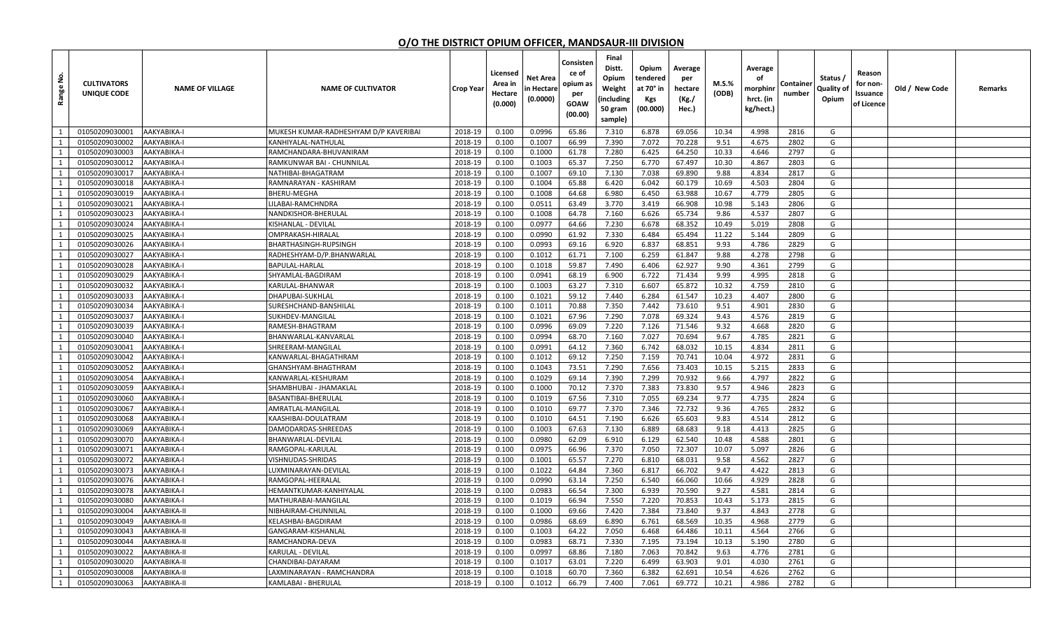## **O/O THE DISTRICT OPIUM OFFICER, MANDSAUR-III DIVISION**

| غ<br>Range                   | <b>CULTIVATORS</b><br>UNIQUE CODE | <b>NAME OF VILLAGE</b>     | <b>NAME OF CULTIVATOR</b>                 | <b>Crop Year</b>   | Licensed<br>Area in<br>Hectare<br>(0.000) | Net Area<br>n Hectare<br>(0.0000) | Consisten<br>ce of<br>opium as<br>per<br><b>GOAW</b><br>(00.00) | Final<br>Distt.<br>Opium<br>Weight<br>including<br>50 gram<br>sample) | Opium<br>tendered<br>at 70° in<br>Kgs<br>(00.000) | Average<br>per<br>hectare<br>(Kg./<br>Hec.) | $M.S.\%$<br>(ODB) | Average<br>оf<br>morphinr<br>hrct. (in<br>kg/hect.) | Containe<br>number | Status /<br>Quality of<br>Opium | Reason<br>for non-<br>Issuance<br>of Licence | Old / New Code | Remarks |
|------------------------------|-----------------------------------|----------------------------|-------------------------------------------|--------------------|-------------------------------------------|-----------------------------------|-----------------------------------------------------------------|-----------------------------------------------------------------------|---------------------------------------------------|---------------------------------------------|-------------------|-----------------------------------------------------|--------------------|---------------------------------|----------------------------------------------|----------------|---------|
| <sup>1</sup>                 | 01050209030001                    | AAKYABIKA-I                | MUKESH KUMAR-RADHESHYAM D/P KAVERIBAI     | 2018-19            | 0.100                                     | 0.0996                            | 65.86                                                           | 7.310                                                                 | 6.878                                             | 69.056                                      | 10.34             | 4.998                                               | 2816               | G                               |                                              |                |         |
| 1                            | 01050209030002                    | AAKYABIKA-I                | KANHIYALAL-NATHULAL                       | 2018-19            | 0.100                                     | 0.1007                            | 66.99                                                           | 7.390                                                                 | 7.072                                             | 70.228                                      | 9.51              | 4.675                                               | 2802               | G                               |                                              |                |         |
| 1                            | 01050209030003                    | AAKYABIKA-I                | RAMCHANDARA-BHUVANIRAM                    | 2018-19            | 0.100                                     | 0.1000                            | 61.78                                                           | 7.280                                                                 | 6.425                                             | 64.250                                      | 10.33             | 4.646                                               | 2797               | G                               |                                              |                |         |
| 1                            | 01050209030012                    | AAKYABIKA-I                | RAMKUNWAR BAI - CHUNNILAL                 | 2018-19            | 0.100                                     | 0.1003                            | 65.37                                                           | 7.250                                                                 | 6.770                                             | 67.497                                      | 10.30             | 4.867                                               | 2803               | G                               |                                              |                |         |
| 1                            | 01050209030017                    | AAKYABIKA-I                | NATHIBAI-BHAGATRAM                        | 2018-19            | 0.100                                     | 0.1007                            | 69.10                                                           | 7.130                                                                 | 7.038                                             | 69.890                                      | 9.88              | 4.834                                               | 2817               | G                               |                                              |                |         |
| 1                            | 01050209030018                    | AAKYABIKA-I                | RAMNARAYAN - KASHIRAM                     | 2018-19            | 0.100                                     | 0.1004                            | 65.88                                                           | 6.420                                                                 | 6.042                                             | 60.179                                      | 10.69             | 4.503                                               | 2804               | G                               |                                              |                |         |
| 1                            | 01050209030019                    | AAKYABIKA-I                | BHERU-MEGHA                               | 2018-19            | 0.100                                     | 0.1008                            | 64.68                                                           | 6.980                                                                 | 6.450                                             | 63.988                                      | 10.67             | 4.779                                               | 2805               | G                               |                                              |                |         |
| 1                            | 01050209030021                    | AAKYABIKA-I                | ILABAI-RAMCHNDRA                          | 2018-19            | 0.100                                     | 0.0511                            | 63.49                                                           | 3.770                                                                 | 3.419                                             | 66.908                                      | 10.98             | 5.143                                               | 2806               | G                               |                                              |                |         |
| 1                            | 01050209030023                    | AAKYABIKA-I                | NANDKISHOR-BHERULAL                       | 2018-19            | 0.100                                     | 0.1008                            | 64.78                                                           | 7.160                                                                 | 6.626                                             | 65.734                                      | 9.86              | 4.537                                               | 2807               | G                               |                                              |                |         |
| 1                            | 01050209030024                    | AAKYABIKA-I                | KISHANLAL - DEVILAL                       | 2018-19            | 0.100                                     | 0.0977                            | 64.66                                                           | 7.230                                                                 | 6.678                                             | 68.352                                      | 10.49             | 5.019                                               | 2808               | G                               |                                              |                |         |
| 1                            | 01050209030025                    | AAKYABIKA-I                | OMPRAKASH-HIRALAL                         | 2018-19            | 0.100                                     | 0.0990                            | 61.92                                                           | 7.330                                                                 | 6.484                                             | 65.494                                      | 11.22             | 5.144                                               | 2809               | G                               |                                              |                |         |
| 1                            | 01050209030026                    | AAKYABIKA-I                | BHARTHASINGH-RUPSINGH                     | 2018-19            | 0.100                                     | 0.0993                            | 69.16                                                           | 6.920                                                                 | 6.837                                             | 68.851                                      | 9.93              | 4.786                                               | 2829               | G                               |                                              |                |         |
| 1                            | 01050209030027                    | AAKYABIKA-I                | RADHESHYAM-D/P.BHANWARLAL                 | 2018-19            | 0.100                                     | 0.1012                            | 61.71                                                           | 7.100                                                                 | 6.259                                             | 61.847                                      | 9.88              | 4.278                                               | 2798               | G                               |                                              |                |         |
| 1                            | 01050209030028                    | AAKYABIKA-I                | BAPULAL-HARLAL                            | 2018-19            | 0.100                                     | 0.1018                            | 59.87                                                           | 7.490                                                                 | 6.406                                             | 62.927                                      | 9.90              | 4.361                                               | 2799               | G                               |                                              |                |         |
| 1                            | 01050209030029                    | AAKYABIKA-I                | SHYAMLAL-BAGDIRAM                         | 2018-19            | 0.100                                     | 0.0941                            | 68.19                                                           | 6.900                                                                 | 6.722                                             | 71.434                                      | 9.99              | 4.995                                               | 2818               | G                               |                                              |                |         |
| 1                            | 01050209030032                    | AAKYABIKA-I                | KARULAL-BHANWAR                           | 2018-19            | 0.100                                     | 0.1003                            | 63.27                                                           | 7.310                                                                 | 6.607                                             | 65.872                                      | 10.32             | 4.759                                               | 2810               | G                               |                                              |                |         |
| 1                            | 01050209030033                    | AAKYABIKA-I                | DHAPUBAI-SUKHLAL                          | 2018-19            | 0.100                                     | 0.1021                            | 59.12                                                           | 7.440                                                                 | 6.284                                             | 61.547                                      | 10.23             | 4.407                                               | 2800               | G                               |                                              |                |         |
| 1                            | 01050209030034                    | AAKYABIKA-I                | SURESHCHAND-BANSHILAI                     | 2018-19            | 0.100                                     | 0.1011                            | 70.88                                                           | 7.350                                                                 | 7.442                                             | 73.610                                      | 9.51              | 4.901                                               | 2830               | G                               |                                              |                |         |
| 1                            | 01050209030037                    | AAKYABIKA-I                | SUKHDEV-MANGILAL                          | 2018-19            | 0.100                                     | 0.1021                            | 67.96                                                           | 7.290                                                                 | 7.078                                             | 69.324                                      | 9.43              | 4.576                                               | 2819               | G                               |                                              |                |         |
| 1                            | 01050209030039                    | AAKYABIKA-I                | RAMESH-BHAGTRAM                           | 2018-19            | 0.100                                     | 0.0996                            | 69.09                                                           | 7.220                                                                 | 7.126                                             | 71.546                                      | 9.32              | 4.668                                               | 2820               | G                               |                                              |                |         |
| 1                            | 01050209030040                    | AAKYABIKA-I                | BHANWARLAL-KANVARLAL                      | 2018-19            | 0.100                                     | 0.0994                            | 68.70                                                           | 7.160                                                                 | 7.027                                             | 70.694                                      | 9.67              | 4.785                                               | 2821               | G                               |                                              |                |         |
| 1                            | 01050209030041                    | AAKYABIKA-I                | SHREERAM-MANGILAL                         | 2018-19            | 0.100                                     | 0.0991                            | 64.12                                                           | 7.360                                                                 | 6.742                                             | 68.032                                      | 10.15             | 4.834                                               | 2811               | G                               |                                              |                |         |
| <sup>1</sup><br><sup>1</sup> | 01050209030042<br>01050209030052  | AAKYABIKA-I                | KANWARLAL-BHAGATHRAM                      | 2018-19            | 0.100<br>0.100                            | 0.1012<br>0.1043                  | 69.12                                                           | 7.250<br>7.290                                                        | 7.159<br>7.656                                    | 70.741<br>73.403                            | 10.04             | 4.972                                               | 2831<br>2833       | G<br>G                          |                                              |                |         |
| 1                            | 01050209030054                    | AAKYABIKA-I<br>AAKYABIKA-I | GHANSHYAM-BHAGTHRAM<br>KANWARLAL-KESHURAM | 2018-19<br>2018-19 | 0.100                                     | 0.1029                            | 73.51<br>69.14                                                  | 7.390                                                                 | 7.299                                             | 70.932                                      | 10.15<br>9.66     | 5.215<br>4.797                                      | 2822               | G                               |                                              |                |         |
| 1                            | 01050209030059                    | AAKYABIKA-I                | SHAMBHUBAI - JHAMAKLAI                    | 2018-19            | 0.100                                     | 0.1000                            | 70.12                                                           | 7.370                                                                 | 7.383                                             | 73.830                                      | 9.57              | 4.946                                               | 2823               | G                               |                                              |                |         |
| 1                            | 01050209030060                    | AAKYABIKA-I                | BASANTIBAI-BHERULAI                       | 2018-19            | 0.100                                     | 0.1019                            | 67.56                                                           | 7.310                                                                 | 7.055                                             | 69.234                                      | 9.77              | 4.735                                               | 2824               | G                               |                                              |                |         |
| 1                            | 01050209030067                    | AAKYABIKA-I                | AMRATLAL-MANGILAL                         | 2018-19            | 0.100                                     | 0.1010                            | 69.77                                                           | 7.370                                                                 | 7.346                                             | 72.732                                      | 9.36              | 4.765                                               | 2832               | G                               |                                              |                |         |
| 1                            | 01050209030068                    | AAKYABIKA-I                | KAASHIBAI-DOULATRAM                       | 2018-19            | 0.100                                     | 0.1010                            | 64.51                                                           | 7.190                                                                 | 6.626                                             | 65.603                                      | 9.83              | 4.514                                               | 2812               | G                               |                                              |                |         |
| <sup>1</sup>                 | 01050209030069                    | AAKYABIKA-I                | DAMODARDAS-SHREEDAS                       | 2018-19            | 0.100                                     | 0.1003                            | 67.63                                                           | 7.130                                                                 | 6.889                                             | 68.683                                      | 9.18              | 4.413                                               | 2825               | G                               |                                              |                |         |
| $\overline{1}$               | 01050209030070                    | AAKYABIKA-I                | BHANWARLAL-DEVILAL                        | 2018-19            | 0.100                                     | 0.0980                            | 62.09                                                           | 6.910                                                                 | 6.129                                             | 62.540                                      | 10.48             | 4.588                                               | 2801               | G                               |                                              |                |         |
| 1                            | 01050209030071                    | AAKYABIKA-I                | RAMGOPAL-KARULAL                          | 2018-19            | 0.100                                     | 0.0975                            | 66.96                                                           | 7.370                                                                 | 7.050                                             | 72.307                                      | 10.07             | 5.097                                               | 2826               | G                               |                                              |                |         |
| 1                            | 01050209030072                    | AAKYABIKA-I                | /ISHNUDAS-SHRIDAS                         | 2018-19            | 0.100                                     | 0.1001                            | 65.57                                                           | 7.270                                                                 | 6.810                                             | 68.031                                      | 9.58              | 4.562                                               | 2827               | G                               |                                              |                |         |
| 1                            | 01050209030073                    | AAKYABIKA-I                | UXMINARAYAN-DEVILAL                       | 2018-19            | 0.100                                     | 0.1022                            | 64.84                                                           | 7.360                                                                 | 6.817                                             | 66.702                                      | 9.47              | 4.422                                               | 2813               | G                               |                                              |                |         |
| 1                            | 01050209030076                    | AAKYABIKA-I                | RAMGOPAL-HEERALAL                         | 2018-19            | 0.100                                     | 0.0990                            | 63.14                                                           | 7.250                                                                 | 6.540                                             | 66.060                                      | 10.66             | 4.929                                               | 2828               | G                               |                                              |                |         |
| 1                            | 01050209030078                    | AAKYABIKA-I                | HEMANTKUMAR-KANHIYALAL                    | 2018-19            | 0.100                                     | 0.0983                            | 66.54                                                           | 7.300                                                                 | 6.939                                             | 70.590                                      | 9.27              | 4.581                                               | 2814               | G                               |                                              |                |         |
| 1                            | 01050209030080                    | AAKYABIKA-I                | MATHURABAI-MANGILAL                       | 2018-19            | 0.100                                     | 0.1019                            | 66.94                                                           | 7.550                                                                 | 7.220                                             | 70.853                                      | 10.43             | 5.173                                               | 2815               | G                               |                                              |                |         |
| 1                            | 01050209030004                    | AAKYABIKA-II               | NIBHAIRAM-CHUNNILAL                       | 2018-19            | 0.100                                     | 0.1000                            | 69.66                                                           | 7.420                                                                 | 7.384                                             | 73.840                                      | 9.37              | 4.843                                               | 2778               | G                               |                                              |                |         |
| 1                            | 01050209030049                    | AAKYABIKA-II               | KELASHBAI-BAGDIRAM                        | 2018-19            | 0.100                                     | 0.0986                            | 68.69                                                           | 6.890                                                                 | 6.761                                             | 68.569                                      | 10.35             | 4.968                                               | 2779               | G                               |                                              |                |         |
| $\mathbf{1}$                 | 01050209030043                    | AAKYABIKA-II               | GANGARAM-KISHANLAL                        | 2018-19            | 0.100                                     | 0.1003                            | 64.22                                                           | 7.050                                                                 | 6.468                                             | 64.486                                      | 10.11             | 4.564                                               | 2766               | G                               |                                              |                |         |
| 1                            | 01050209030044                    | AAKYABIKA-II               | RAMCHANDRA-DEVA                           | 2018-19            | 0.100                                     | 0.0983                            | 68.71                                                           | 7.330                                                                 | 7.195                                             | 73.194                                      | 10.13             | 5.190                                               | 2780               | G                               |                                              |                |         |
| 1                            | 01050209030022                    | AAKYABIKA-II               | KARULAL - DEVILAL                         | 2018-19            | 0.100                                     | 0.0997                            | 68.86                                                           | 7.180                                                                 | 7.063                                             | 70.842                                      | 9.63              | 4.776                                               | 2781               | G                               |                                              |                |         |
| $\mathbf{1}$                 | 01050209030020                    | AAKYABIKA-II               | CHANDIBAI-DAYARAM                         | 2018-19            | 0.100                                     | 0.1017                            | 63.01                                                           | 7.220                                                                 | 6.499                                             | 63.903                                      | 9.01              | 4.030                                               | 2761               | G                               |                                              |                |         |
| 1                            | 01050209030008                    | AAKYABIKA-II               | LAXMINARAYAN - RAMCHANDRA                 | 2018-19            | 0.100                                     | 0.1018                            | 60.70                                                           | 7.360                                                                 | 6.382                                             | 62.691                                      | 10.54             | 4.626                                               | 2762               | G                               |                                              |                |         |
| $\mathbf{1}$                 | 01050209030063                    | AAKYABIKA-II               | KAMLABAI - BHERULAL                       | 2018-19            | 0.100                                     | 0.1012                            | 66.79                                                           | 7.400                                                                 | 7.061                                             | 69.772                                      | 10.21             | 4.986                                               | 2782               | G                               |                                              |                |         |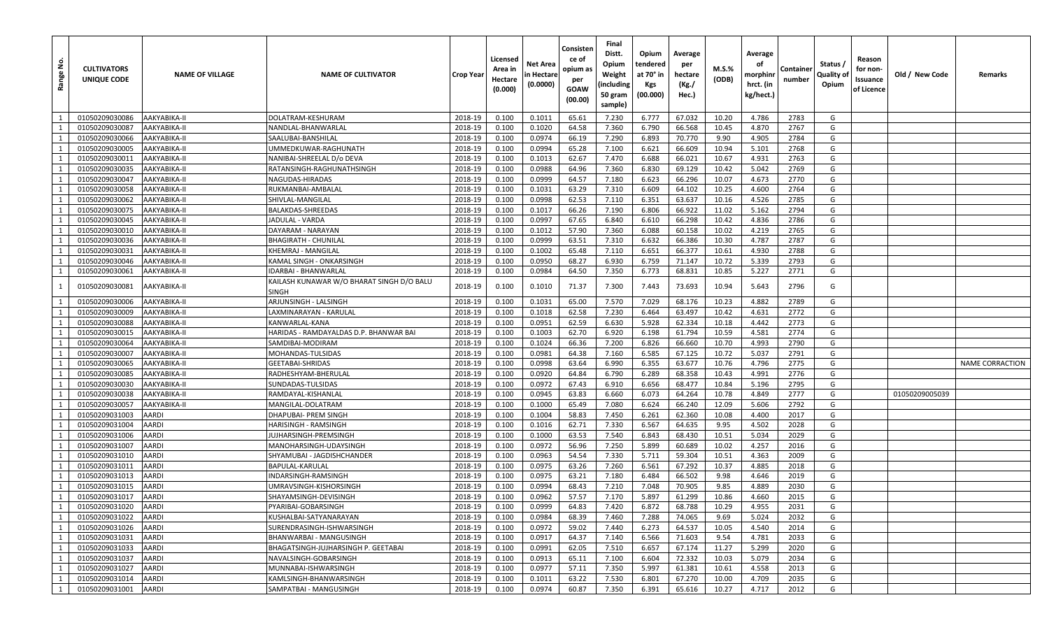| غ<br>Range     | <b>CULTIVATORS</b><br>UNIQUE CODE | <b>NAME OF VILLAGE</b> | <b>NAME OF CULTIVATOR</b>                                 | <b>Crop Year</b> | Licensed<br>Area in<br>Hectare<br>(0.000) | <b>Net Area</b><br>n Hectare<br>(0.0000) | Consisten<br>ce of<br>opium as<br>per<br><b>GOAW</b><br>(00.00) | Final<br>Distt.<br>Opium<br>Weight<br>(including<br>50 gram<br>sample) | Opium<br>tendered<br>at 70° in<br>Kgs<br>(00.000) | Average<br>per<br>hectare<br>(Kg./<br>Hec.) | M.S.%<br>(ODB) | Average<br>оf<br>morphinr<br>hrct. (in<br>kg/hect.) | Container<br>number | Status /<br>Quality of<br>Opium | Reason<br>for non-<br>Issuance<br>of Licence | Old / New Code | Remarks                |
|----------------|-----------------------------------|------------------------|-----------------------------------------------------------|------------------|-------------------------------------------|------------------------------------------|-----------------------------------------------------------------|------------------------------------------------------------------------|---------------------------------------------------|---------------------------------------------|----------------|-----------------------------------------------------|---------------------|---------------------------------|----------------------------------------------|----------------|------------------------|
| $\overline{1}$ | 01050209030086                    | AAKYABIKA-II           | DOLATRAM-KESHURAM                                         | 2018-19          | 0.100                                     | 0.1011                                   | 65.61                                                           | 7.230                                                                  | 6.777                                             | 67.032                                      | 10.20          | 4.786                                               | 2783                | G                               |                                              |                |                        |
| $\overline{1}$ | 01050209030087                    | AAKYABIKA-II           | NANDLAL-BHANWARLAL                                        | 2018-19          | 0.100                                     | 0.1020                                   | 64.58                                                           | 7.360                                                                  | 6.790                                             | 66.568                                      | 10.45          | 4.870                                               | 2767                | G                               |                                              |                |                        |
| <sup>1</sup>   | 01050209030066                    | AAKYABIKA-II           | SAALUBAI-BANSHILAL                                        | 2018-19          | 0.100                                     | 0.0974                                   | 66.19                                                           | 7.290                                                                  | 6.893                                             | 70.770                                      | 9.90           | 4.905                                               | 2784                | G                               |                                              |                |                        |
| $\overline{1}$ | 01050209030005                    | AAKYABIKA-II           | UMMEDKUWAR-RAGHUNATH                                      | 2018-19          | 0.100                                     | 0.0994                                   | 65.28                                                           | 7.100                                                                  | 6.621                                             | 66.609                                      | 10.94          | 5.101                                               | 2768                | G                               |                                              |                |                        |
| $\overline{1}$ | 01050209030011                    | AAKYABIKA-II           | NANIBAI-SHREELAL D/o DEVA                                 | 2018-19          | 0.100                                     | 0.1013                                   | 62.67                                                           | 7.470                                                                  | 6.688                                             | 66.021                                      | 10.67          | 4.931                                               | 2763                | G                               |                                              |                |                        |
| 1              | 01050209030035                    | AAKYABIKA-II           | RATANSINGH-RAGHUNATHSINGH                                 | 2018-19          | 0.100                                     | 0.0988                                   | 64.96                                                           | 7.360                                                                  | 6.830                                             | 69.129                                      | 10.42          | 5.042                                               | 2769                | G                               |                                              |                |                        |
| 1              | 01050209030047                    | AAKYABIKA-II           | NAGUDAS-HIRADAS                                           | 2018-19          | 0.100                                     | 0.0999                                   | 64.57                                                           | 7.180                                                                  | 6.623                                             | 66.296                                      | 10.07          | 4.673                                               | 2770                | G                               |                                              |                |                        |
| 1              | 01050209030058                    | AAKYABIKA-II           | RUKMANBAI-AMBALAI                                         | 2018-19          | 0.100                                     | 0.1031                                   | 63.29                                                           | 7.310                                                                  | 6.609                                             | 64.102                                      | 10.25          | 4.600                                               | 2764                | G                               |                                              |                |                        |
|                | 01050209030062                    | AAKYABIKA-II           | SHIVLAL-MANGILAL                                          | 2018-19          | 0.100                                     | 0.0998                                   | 62.53                                                           | 7.110                                                                  | 6.351                                             | 63.637                                      | 10.16          | 4.526                                               | 2785                | G                               |                                              |                |                        |
| 1              | 01050209030075                    | AAKYABIKA-II           | BALAKDAS-SHREEDAS                                         | 2018-19          | 0.100                                     | 0.1017                                   | 66.26                                                           | 7.190                                                                  | 6.806                                             | 66.922                                      | 11.02          | 5.162                                               | 2794                | G                               |                                              |                |                        |
| 1              | 01050209030045                    | AAKYABIKA-II           | JADULAL - VARDA                                           | 2018-19          | 0.100                                     | 0.0997                                   | 67.65                                                           | 6.840                                                                  | 6.610                                             | 66.298                                      | 10.42          | 4.836                                               | 2786                | G                               |                                              |                |                        |
|                | 01050209030010                    | AAKYABIKA-II           | DAYARAM - NARAYAN                                         | 2018-19          | 0.100                                     | 0.1012                                   | 57.90                                                           | 7.360                                                                  | 6.088                                             | 60.158                                      | 10.02          | 4.219                                               | 2765                | G                               |                                              |                |                        |
| $\overline{1}$ | 01050209030036                    | AAKYABIKA-II           | <b>BHAGIRATH - CHUNILAL</b>                               | 2018-19          | 0.100                                     | 0.0999                                   | 63.51                                                           | 7.310                                                                  | 6.632                                             | 66.386                                      | 10.30          | 4.787                                               | 2787                | G                               |                                              |                |                        |
| 1              | 01050209030031                    | AAKYABIKA-II           | KHEMRAJ - MANGILAL                                        | 2018-19          | 0.100                                     | 0.1002                                   | 65.48                                                           | 7.110                                                                  | 6.651                                             | 66.377                                      | 10.61          | 4.930                                               | 2788                | G                               |                                              |                |                        |
| $\overline{1}$ | 01050209030046                    | AAKYABIKA-II           | KAMAL SINGH - ONKARSINGH                                  | 2018-19          | 0.100                                     | 0.0950                                   | 68.27                                                           | 6.930                                                                  | 6.759                                             | 71.147                                      | 10.72          | 5.339                                               | 2793                | G                               |                                              |                |                        |
|                | 01050209030061                    | AAKYABIKA-II           | IDARBAI - BHANWARLAL                                      | 2018-19          | 0.100                                     | 0.0984                                   | 64.50                                                           | 7.350                                                                  | 6.773                                             | 68.831                                      | 10.85          | 5.227                                               | 2771                | G                               |                                              |                |                        |
| -1             | 01050209030081                    | AAKYABIKA-II           | KAILASH KUNAWAR W/O BHARAT SINGH D/O BALU<br><b>SINGH</b> | 2018-19          | 0.100                                     | 0.1010                                   | 71.37                                                           | 7.300                                                                  | 7.443                                             | 73.693                                      | 10.94          | 5.643                                               | 2796                | G                               |                                              |                |                        |
| $\overline{1}$ | 01050209030006                    | AAKYABIKA-II           | ARJUNSINGH - LALSINGH                                     | 2018-19          | 0.100                                     | 0.1031                                   | 65.00                                                           | 7.570                                                                  | 7.029                                             | 68.176                                      | 10.23          | 4.882                                               | 2789                | G                               |                                              |                |                        |
| -1             | 01050209030009                    | AAKYABIKA-II           | LAXMINARAYAN - KARULAL                                    | 2018-19          | 0.100                                     | 0.1018                                   | 62.58                                                           | 7.230                                                                  | 6.464                                             | 63.497                                      | 10.42          | 4.631                                               | 2772                | G                               |                                              |                |                        |
| 1              | 01050209030088                    | AAKYABIKA-II           | KANWARLAL-KANA                                            | 2018-19          | 0.100                                     | 0.0951                                   | 62.59                                                           | 6.630                                                                  | 5.928                                             | 62.334                                      | 10.18          | 4.442                                               | 2773                | G                               |                                              |                |                        |
| $\overline{1}$ | 01050209030015                    | AAKYABIKA-II           | HARIDAS - RAMDAYALDAS D.P. BHANWAR BAI                    | 2018-19          | 0.100                                     | 0.1003                                   | 62.70                                                           | 6.920                                                                  | 6.198                                             | 61.794                                      | 10.59          | 4.581                                               | 2774                | G                               |                                              |                |                        |
|                | 01050209030064                    | AAKYABIKA-II           | SAMDIBAI-MODIRAM                                          | 2018-19          | 0.100                                     | 0.1024                                   | 66.36                                                           | 7.200                                                                  | 6.826                                             | 66.660                                      | 10.70          | 4.993                                               | 2790                | G                               |                                              |                |                        |
| $\overline{1}$ | 01050209030007                    | AAKYABIKA-II           | MOHANDAS-TULSIDAS                                         | 2018-19          | 0.100                                     | 0.0981                                   | 64.38                                                           | 7.160                                                                  | 6.585                                             | 67.125                                      | 10.72          | 5.037                                               | 2791                | G                               |                                              |                |                        |
| 1              | 01050209030065                    | AAKYABIKA-II           | <b>GEETABAI-SHRIDAS</b>                                   | 2018-19          | 0.100                                     | 0.0998                                   | 63.64                                                           | 6.990                                                                  | 6.355                                             | 63.677                                      | 10.76          | 4.796                                               | 2775                | G                               |                                              |                | <b>NAME CORRACTION</b> |
| $\overline{1}$ | 01050209030085                    | AAKYABIKA-II           | RADHESHYAM-BHERULAL                                       | 2018-19          | 0.100                                     | 0.0920                                   | 64.84                                                           | 6.790                                                                  | 6.289                                             | 68.358                                      | 10.43          | 4.991                                               | 2776                | G                               |                                              |                |                        |
| $\overline{1}$ | 01050209030030                    | AAKYABIKA-II           | SUNDADAS-TULSIDAS                                         | 2018-19          | 0.100                                     | 0.0972                                   | 67.43                                                           | 6.910                                                                  | 6.656                                             | 68.477                                      | 10.84          | 5.196                                               | 2795                | G                               |                                              |                |                        |
| 1              | 01050209030038                    | AAKYABIKA-II           | RAMDAYAL-KISHANLAI                                        | 2018-19          | 0.100                                     | 0.0945                                   | 63.83                                                           | 6.660                                                                  | 6.073                                             | 64.264                                      | 10.78          | 4.849                                               | 2777                | G                               |                                              | 01050209005039 |                        |
| $\overline{1}$ | 01050209030057                    | AAKYABIKA-II           | MANGILAL-DOLATRAM                                         | 2018-19          | 0.100                                     | 0.1000                                   | 65.49                                                           | 7.080                                                                  | 6.624                                             | 66.240                                      | 12.09          | 5.606                                               | 2792                | G                               |                                              |                |                        |
|                | 01050209031003                    | <b>AARDI</b>           | DHAPUBAI- PREM SINGH                                      | 2018-19          | 0.100                                     | 0.1004                                   | 58.83                                                           | 7.450                                                                  | 6.261                                             | 62.360                                      | 10.08          | 4.400                                               | 2017                | G                               |                                              |                |                        |
| 1              | 01050209031004                    | <b>AARDI</b>           | HARISINGH - RAMSINGH                                      | 2018-19          | 0.100                                     | 0.1016                                   | 62.71                                                           | 7.330                                                                  | 6.567                                             | 64.635                                      | 9.95           | 4.502                                               | 2028                | G                               |                                              |                |                        |
| $\overline{1}$ | 01050209031006                    | AARDI                  | JUJHARSINGH-PREMSINGH                                     | 2018-19          | 0.100                                     | 0.1000                                   | 63.53                                                           | 7.540                                                                  | 6.843                                             | 68.430                                      | 10.51          | 5.034                                               | 2029                | G                               |                                              |                |                        |
| $\overline{1}$ | 01050209031007                    | <b>AARDI</b>           | MANOHARSINGH-UDAYSINGH                                    | 2018-19          | 0.100                                     | 0.0972                                   | 56.96                                                           | 7.250                                                                  | 5.899                                             | 60.689                                      | 10.02          | 4.257                                               | 2016                | G                               |                                              |                |                        |
| 1              | 01050209031010                    | <b>AARDI</b>           | SHYAMUBAI - JAGDISHCHANDER                                | 2018-19          | 0.100                                     | 0.0963                                   | 54.54                                                           | 7.330                                                                  | 5.711                                             | 59.304                                      | 10.51          | 4.363                                               | 2009                | G                               |                                              |                |                        |
| 1              | 01050209031011                    | <b>AARDI</b>           | <b>BAPULAL-KARULAL</b>                                    | 2018-19          | 0.100                                     | 0.0975                                   | 63.26                                                           | 7.260                                                                  | 6.561                                             | 67.292                                      | 10.37          | 4.885                                               | 2018                | G                               |                                              |                |                        |
| 1              | 01050209031013                    | <b>AARDI</b>           | INDARSINGH-RAMSINGH                                       | 2018-19          | 0.100                                     | 0.0975                                   | 63.21                                                           | 7.180                                                                  | 6.484                                             | 66.502                                      | 9.98           | 4.646                                               | 2019                | G                               |                                              |                |                        |
| $\overline{1}$ | 01050209031015                    | AARDI                  | UMRAVSINGH-KISHORSINGH                                    | 2018-19          | 0.100                                     | 0.0994                                   | 68.43                                                           | 7.210                                                                  | 7.048                                             | 70.905                                      | 9.85           | 4.889                                               | 2030                | G                               |                                              |                |                        |
| 1              | 01050209031017                    | <b>AARDI</b>           | SHAYAMSINGH-DEVISINGH                                     | 2018-19          | 0.100                                     | 0.0962                                   | 57.57                                                           | 7.170                                                                  | 5.897                                             | 61.299                                      | 10.86          | 4.660                                               | 2015                | G                               |                                              |                |                        |
| $\mathbf{1}$   | 01050209031020                    | AARDI                  | PYARIBAI-GOBARSINGH                                       | 2018-19          | 0.100                                     | 0.0999                                   | 64.83                                                           | 7.420                                                                  | 6.872                                             | 68.788                                      | 10.29          | 4.955                                               | 2031                | G                               |                                              |                |                        |
| $\overline{1}$ | 01050209031022                    | <b>AARDI</b>           | KUSHALBAI-SATYANARAYAN                                    | 2018-19          | 0.100                                     | 0.0984                                   | 68.39                                                           | 7.460                                                                  | 7.288                                             | 74.065                                      | 9.69           | 5.024                                               | 2032                | G                               |                                              |                |                        |
| $\overline{1}$ | 01050209031026                    | <b>AARDI</b>           | SURENDRASINGH-ISHWARSINGH                                 | 2018-19          | 0.100                                     | 0.0972                                   | 59.02                                                           | 7.440                                                                  | 6.273                                             | 64.537                                      | 10.05          | 4.540                                               | 2014                | G                               |                                              |                |                        |
| 1              | 01050209031031                    | <b>AARDI</b>           | BHANWARBAI - MANGUSINGH                                   | 2018-19          | 0.100                                     | 0.0917                                   | 64.37                                                           | 7.140                                                                  | 6.566                                             | 71.603                                      | 9.54           | 4.781                                               | 2033                | G                               |                                              |                |                        |
| $\overline{1}$ | 01050209031033                    | AARDI                  | BHAGATSINGH-JUJHARSINGH P. GEETABAI                       | 2018-19          | 0.100                                     | 0.0991                                   | 62.05                                                           | 7.510                                                                  | 6.657                                             | 67.174                                      | 11.27          | 5.299                                               | 2020                | G                               |                                              |                |                        |
| $\overline{1}$ | 01050209031037                    | <b>AARDI</b>           | NAVALSINGH-GOBARSINGH                                     | 2018-19          | 0.100                                     | 0.0913                                   | 65.11                                                           | 7.100                                                                  | 6.604                                             | 72.332                                      | 10.03          | 5.079                                               | 2034                | G                               |                                              |                |                        |
| $\overline{1}$ | 01050209031027                    | <b>AARDI</b>           | MUNNABAI-ISHWARSINGH                                      | 2018-19          | 0.100                                     | 0.0977                                   | 57.11                                                           | 7.350                                                                  | 5.997                                             | 61.381                                      | 10.61          | 4.558                                               | 2013                | G                               |                                              |                |                        |
| $\overline{1}$ | 01050209031014                    | <b>AARDI</b>           | KAMLSINGH-BHANWARSINGH                                    | 2018-19          | 0.100                                     | 0.1011                                   | 63.22                                                           | 7.530                                                                  | 6.801                                             | 67.270                                      | 10.00          | 4.709                                               | 2035                | G                               |                                              |                |                        |
| 1              | 01050209031001                    | <b>AARDI</b>           | SAMPATBAI - MANGUSINGH                                    | 2018-19          | 0.100                                     | 0.0974                                   | 60.87                                                           | 7.350                                                                  | 6.391                                             | 65.616                                      | 10.27          | 4.717                                               | 2012                | G                               |                                              |                |                        |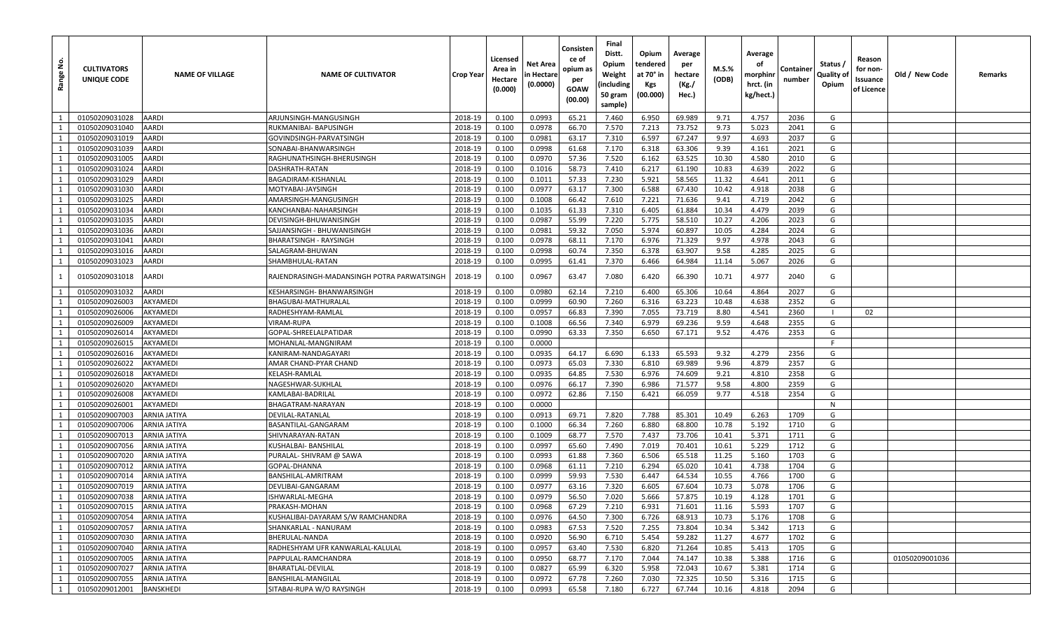| <u>و</u><br>Range | <b>CULTIVATORS</b><br>UNIQUE CODE | <b>NAME OF VILLAGE</b> | <b>NAME OF CULTIVATOR</b>                  | <b>Crop Year</b> | Licensed<br>Area in<br>Hectare<br>(0.000) | Net Area<br>n Hectare<br>(0.0000) | Consisten<br>ce of<br>opium as<br>per<br>GOAW<br>(00.00) | Final<br>Distt.<br>Opium<br>Weight<br>(including<br>50 gram<br>sample) | Opium<br>tendered<br>at 70° in<br>Kgs<br>(00.000) | Average<br>per<br>hectare<br>(Kg./<br>Hec.) | M.S.%<br>(ODB) | Average<br>οf<br>morphinr<br>hrct. (in<br>kg/hect.) | Container<br>number | Status /<br>Quality of<br>Opium | Reason<br>for non-<br>Issuance<br>of Licence | Old / New Code | Remarks |
|-------------------|-----------------------------------|------------------------|--------------------------------------------|------------------|-------------------------------------------|-----------------------------------|----------------------------------------------------------|------------------------------------------------------------------------|---------------------------------------------------|---------------------------------------------|----------------|-----------------------------------------------------|---------------------|---------------------------------|----------------------------------------------|----------------|---------|
| $\overline{1}$    | 01050209031028                    | AARDI                  | ARJUNSINGH-MANGUSINGH                      | 2018-19          | 0.100                                     | 0.0993                            | 65.21                                                    | 7.460                                                                  | 6.950                                             | 69.989                                      | 9.71           | 4.757                                               | 2036                | G                               |                                              |                |         |
| 1                 | 01050209031040                    | AARDI                  | RUKMANIBAI- BAPUSINGH                      | 2018-19          | 0.100                                     | 0.0978                            | 66.70                                                    | 7.570                                                                  | 7.213                                             | 73.752                                      | 9.73           | 5.023                                               | 2041                | G                               |                                              |                |         |
| 1                 | 01050209031019                    | AARDI                  | GOVINDSINGH-PARVATSINGH                    | 2018-19          | 0.100                                     | 0.0981                            | 63.17                                                    | 7.310                                                                  | 6.597                                             | 67.247                                      | 9.97           | 4.693                                               | 2037                | G                               |                                              |                |         |
| 1                 | 01050209031039                    | AARDI                  | SONABAI-BHANWARSINGH                       | 2018-19          | 0.100                                     | 0.0998                            | 61.68                                                    | 7.170                                                                  | 6.318                                             | 63.306                                      | 9.39           | 4.161                                               | 2021                | G                               |                                              |                |         |
| 1                 | 01050209031005                    | AARDI                  | RAGHUNATHSINGH-BHERUSINGH                  | 2018-19          | 0.100                                     | 0.0970                            | 57.36                                                    | 7.520                                                                  | 6.162                                             | 63.525                                      | 10.30          | 4.580                                               | 2010                | G                               |                                              |                |         |
| 1                 | 01050209031024                    | AARDI                  | DASHRATH-RATAN                             | 2018-19          | 0.100                                     | 0.1016                            | 58.73                                                    | 7.410                                                                  | 6.217                                             | 61.190                                      | 10.83          | 4.639                                               | 2022                | G                               |                                              |                |         |
| 1                 | 01050209031029                    | AARDI                  | BAGADIRAM-KISHANLAL                        | 2018-19          | 0.100                                     | 0.1011                            | 57.33                                                    | 7.230                                                                  | 5.921                                             | 58.565                                      | 11.32          | 4.641                                               | 2011                | G                               |                                              |                |         |
| 1                 | 01050209031030                    | AARDI                  | MOTYABAI-JAYSINGH                          | 2018-19          | 0.100                                     | 0.0977                            | 63.17                                                    | 7.300                                                                  | 6.588                                             | 67.430                                      | 10.42          | 4.918                                               | 2038                | G                               |                                              |                |         |
| $\mathbf{1}$      | 01050209031025                    | AARDI                  | AMARSINGH-MANGUSINGH                       | 2018-19          | 0.100                                     | 0.1008                            | 66.42                                                    | 7.610                                                                  | 7.221                                             | 71.636                                      | 9.41           | 4.719                                               | 2042                | G                               |                                              |                |         |
| 1                 | 01050209031034                    | AARDI                  | KANCHANBAI-NAHARSINGH                      | 2018-19          | 0.100                                     | 0.1035                            | 61.33                                                    | 7.310                                                                  | 6.405                                             | 61.884                                      | 10.34          | 4.479                                               | 2039                | G                               |                                              |                |         |
| 1                 | 01050209031035                    | AARDI                  | DEVISINGH-BHUWANISINGH                     | 2018-19          | 0.100                                     | 0.0987                            | 55.99                                                    | 7.220                                                                  | 5.775                                             | 58.510                                      | 10.27          | 4.206                                               | 2023                | G                               |                                              |                |         |
| $\mathbf{1}$      | 01050209031036                    | AARDI                  | SAJJANSINGH - BHUWANISINGH                 | 2018-19          | 0.100                                     | 0.0981                            | 59.32                                                    | 7.050                                                                  | 5.974                                             | 60.897                                      | 10.05          | 4.284                                               | 2024                | G                               |                                              |                |         |
| 1                 | 01050209031041                    | AARDI                  | BHARATSINGH - RAYSINGH                     | 2018-19          | 0.100                                     | 0.0978                            | 68.11                                                    | 7.170                                                                  | 6.976                                             | 71.329                                      | 9.97           | 4.978                                               | 2043                | G                               |                                              |                |         |
| 1                 | 01050209031016                    | AARDI                  | SALAGRAM-BHUWAN                            | 2018-19          | 0.100                                     | 0.0998                            | 60.74                                                    | 7.350                                                                  | 6.378                                             | 63.907                                      | 9.58           | 4.285                                               | 2025                | G                               |                                              |                |         |
| 1                 | 01050209031023                    | AARDI                  | SHAMBHULAL-RATAN                           | 2018-19          | 0.100                                     | 0.0995                            | 61.41                                                    | 7.370                                                                  | 6.466                                             | 64.984                                      | 11.14          | 5.067                                               | 2026                | G                               |                                              |                |         |
| 1                 | 01050209031018                    | AARDI                  | RAJENDRASINGH-MADANSINGH POTRA PARWATSINGH | 2018-19          | 0.100                                     | 0.0967                            | 63.47                                                    | 7.080                                                                  | 6.420                                             | 66.390                                      | 10.71          | 4.977                                               | 2040                | G                               |                                              |                |         |
| 1                 | 01050209031032                    | AARDI                  | KESHARSINGH- BHANWARSINGH                  | 2018-19          | 0.100                                     | 0.0980                            | 62.14                                                    | 7.210                                                                  | 6.400                                             | 65.306                                      | 10.64          | 4.864                                               | 2027                | G                               |                                              |                |         |
| 1                 | 01050209026003                    | AKYAMEDI               | BHAGUBAI-MATHURALAL                        | 2018-19          | 0.100                                     | 0.0999                            | 60.90                                                    | 7.260                                                                  | 6.316                                             | 63.223                                      | 10.48          | 4.638                                               | 2352                | G                               |                                              |                |         |
| 1                 | 01050209026006                    | AKYAMEDI               | RADHESHYAM-RAMLAL                          | 2018-19          | 0.100                                     | 0.0957                            | 66.83                                                    | 7.390                                                                  | 7.055                                             | 73.719                                      | 8.80           | 4.541                                               | 2360                |                                 | 02                                           |                |         |
| 1                 | 01050209026009                    | AKYAMEDI               | <b>VIRAM-RUPA</b>                          | 2018-19          | 0.100                                     | 0.1008                            | 66.56                                                    | 7.340                                                                  | 6.979                                             | 69.236                                      | 9.59           | 4.648                                               | 2355                | G                               |                                              |                |         |
| 1                 | 01050209026014                    | AKYAMEDI               | GOPAL-SHREELALPATIDAR                      | 2018-19          | 0.100                                     | 0.0990                            | 63.33                                                    | 7.350                                                                  | 6.650                                             | 67.171                                      | 9.52           | 4.476                                               | 2353                | G                               |                                              |                |         |
| $\mathbf{1}$      | 01050209026015                    | AKYAMEDI               | MOHANLAL-MANGNIRAM                         | 2018-19          | 0.100                                     | 0.0000                            |                                                          |                                                                        |                                                   |                                             |                |                                                     |                     | F                               |                                              |                |         |
| 1                 | 01050209026016                    | AKYAMEDI               | KANIRAM-NANDAGAYARI                        | 2018-19          | 0.100                                     | 0.0935                            | 64.17                                                    | 6.690                                                                  | 6.133                                             | 65.593                                      | 9.32           | 4.279                                               | 2356                | G                               |                                              |                |         |
| 1                 | 01050209026022                    | AKYAMEDI               | AMAR CHAND-PYAR CHAND                      | 2018-19          | 0.100                                     | 0.0973                            | 65.03                                                    | 7.330                                                                  | 6.810                                             | 69.989                                      | 9.96           | 4.879                                               | 2357                | G                               |                                              |                |         |
| 1                 | 01050209026018                    | AKYAMEDI               | KELASH-RAMLAL                              | 2018-19          | 0.100                                     | 0.0935                            | 64.85                                                    | 7.530                                                                  | 6.976                                             | 74.609                                      | 9.21           | 4.810                                               | 2358                | G                               |                                              |                |         |
| 1                 | 01050209026020                    | AKYAMEDI               | NAGESHWAR-SUKHLAL                          | 2018-19          | 0.100                                     | 0.0976                            | 66.17                                                    | 7.390                                                                  | 6.986                                             | 71.577                                      | 9.58           | 4.800                                               | 2359                | G                               |                                              |                |         |
| 1                 | 01050209026008                    | AKYAMEDI               | KAMLABAI-BADRILAL                          | 2018-19          | 0.100                                     | 0.0972                            | 62.86                                                    | 7.150                                                                  | 6.421                                             | 66.059                                      | 9.77           | 4.518                                               | 2354                | G                               |                                              |                |         |
| 1                 | 01050209026001                    | AKYAMEDI               | BHAGATRAM-NARAYAN                          | 2018-19          | 0.100                                     | 0.0000                            |                                                          |                                                                        |                                                   |                                             |                |                                                     |                     | $\mathsf{N}$                    |                                              |                |         |
| 1                 | 01050209007003                    | ARNIA JATIYA           | DEVILAL-RATANLAL                           | 2018-19          | 0.100                                     | 0.0913                            | 69.71                                                    | 7.820                                                                  | 7.788                                             | 85.301                                      | 10.49          | 6.263                                               | 1709                | G                               |                                              |                |         |
| 1                 | 01050209007006                    | ARNIA JATIYA           | BASANTILAL-GANGARAM                        | 2018-19          | 0.100                                     | 0.1000                            | 66.34                                                    | 7.260                                                                  | 6.880                                             | 68.800                                      | 10.78          | 5.192                                               | 1710                | G                               |                                              |                |         |
| 1                 | 01050209007013                    | ARNIA JATIYA           | SHIVNARAYAN-RATAN                          | 2018-19          | 0.100                                     | 0.1009                            | 68.77                                                    | 7.570                                                                  | 7.437                                             | 73.706                                      | 10.41          | 5.371                                               | 1711                | G                               |                                              |                |         |
| 1                 | 01050209007056                    | ARNIA JATIYA           | KUSHALBAI- BANSHILAL                       | 2018-19          | 0.100                                     | 0.0997                            | 65.60                                                    | 7.490                                                                  | 7.019                                             | 70.401                                      | 10.61          | 5.229                                               | 1712                | G                               |                                              |                |         |
| 1                 | 01050209007020                    | <b>ARNIA JATIYA</b>    | PURALAL- SHIVRAM @ SAWA                    | 2018-19          | 0.100                                     | 0.0993                            | 61.88                                                    | 7.360                                                                  | 6.506                                             | 65.518                                      | 11.25          | 5.160                                               | 1703                | G                               |                                              |                |         |
| 1                 | 01050209007012                    | ARNIA JATIYA           | GOPAL-DHANNA                               | 2018-19          | 0.100                                     | 0.0968                            | 61.11                                                    | 7.210                                                                  | 6.294                                             | 65.020                                      | 10.41          | 4.738                                               | 1704                | G                               |                                              |                |         |
| 1                 | 01050209007014                    | ARNIA JATIYA           | BANSHILAL-AMRITRAM                         | 2018-19          | 0.100                                     | 0.0999                            | 59.93                                                    | 7.530                                                                  | 6.447                                             | 64.534                                      | 10.55          | 4.766                                               | 1700                | G                               |                                              |                |         |
| 1                 | 01050209007019                    | ARNIA JATIYA           | DEVLIBAI-GANGARAM                          | 2018-19          | 0.100                                     | 0.0977                            | 63.16                                                    | 7.320                                                                  | 6.605                                             | 67.604                                      | 10.73          | 5.078                                               | 1706                | G                               |                                              |                |         |
| 1                 | 01050209007038                    | <b>ARNIA JATIYA</b>    | ISHWARLAL-MEGHA                            | 2018-19          | 0.100                                     | 0.0979                            | 56.50                                                    | 7.020                                                                  | 5.666                                             | 57.875                                      | 10.19          | 4.128                                               | 1701                | G                               |                                              |                |         |
| 1                 | 01050209007015                    | <b>ARNIA JATIYA</b>    | PRAKASH-MOHAN                              | 2018-19          | 0.100                                     | 0.0968                            | 67.29                                                    | 7.210                                                                  | 6.931                                             | 71.601                                      | 11.16          | 5.593                                               | 1707                | G                               |                                              |                |         |
| 1                 | 01050209007054                    | ARNIA JATIYA           | KUSHALIBAI-DAYARAM S/W RAMCHANDRA          | 2018-19          | 0.100                                     | 0.0976                            | 64.50                                                    | 7.300                                                                  | 6.726                                             | 68.913                                      | 10.73          | 5.176                                               | 1708                | G                               |                                              |                |         |
| 1                 | 01050209007057                    | ARNIA JATIYA           | SHANKARLAL - NANURAM                       | 2018-19          | 0.100                                     | 0.0983                            | 67.53                                                    | 7.520                                                                  | 7.255                                             | 73.804                                      | 10.34          | 5.342                                               | 1713                | G                               |                                              |                |         |
| 1                 | 01050209007030                    | ARNIA JATIYA           | BHERULAL-NANDA                             | 2018-19          | 0.100                                     | 0.0920                            | 56.90                                                    | 6.710                                                                  | 5.454                                             | 59.282                                      | 11.27          | 4.677                                               | 1702                | G                               |                                              |                |         |
| 1                 | 01050209007040                    | <b>ARNIA JATIYA</b>    | RADHESHYAM UFR KANWARLAL-KALULAL           | 2018-19          | 0.100                                     | 0.0957                            | 63.40                                                    | 7.530                                                                  | 6.820                                             | 71.264                                      | 10.85          | 5.413                                               | 1705                | G                               |                                              |                |         |
| 1                 | 01050209007005                    | <b>ARNIA JATIYA</b>    | PAPPULAL-RAMCHANDRA                        | 2018-19          | 0.100                                     | 0.0950                            | 68.77                                                    | 7.170                                                                  | 7.044                                             | 74.147                                      | 10.38          | 5.388                                               | 1716                | G                               |                                              | 01050209001036 |         |
| 1                 | 01050209007027                    | ARNIA JATIYA           | BHARATLAL-DEVILAL                          | 2018-19          | 0.100                                     | 0.0827                            | 65.99                                                    | 6.320                                                                  | 5.958                                             | 72.043                                      | 10.67          | 5.381                                               | 1714                | G                               |                                              |                |         |
| 1                 | 01050209007055                    | <b>ARNIA JATIYA</b>    | BANSHILAL-MANGILAL                         | 2018-19          | 0.100                                     | 0.0972                            | 67.78                                                    | 7.260                                                                  | 7.030                                             | 72.325                                      | 10.50          | 5.316                                               | 1715                | G                               |                                              |                |         |
| 1                 | 01050209012001                    | <b>BANSKHEDI</b>       | SITABAI-RUPA W/O RAYSINGH                  | 2018-19          | 0.100                                     | 0.0993                            | 65.58                                                    | 7.180                                                                  | 6.727                                             | 67.744                                      | 10.16          | 4.818                                               | 2094                | G                               |                                              |                |         |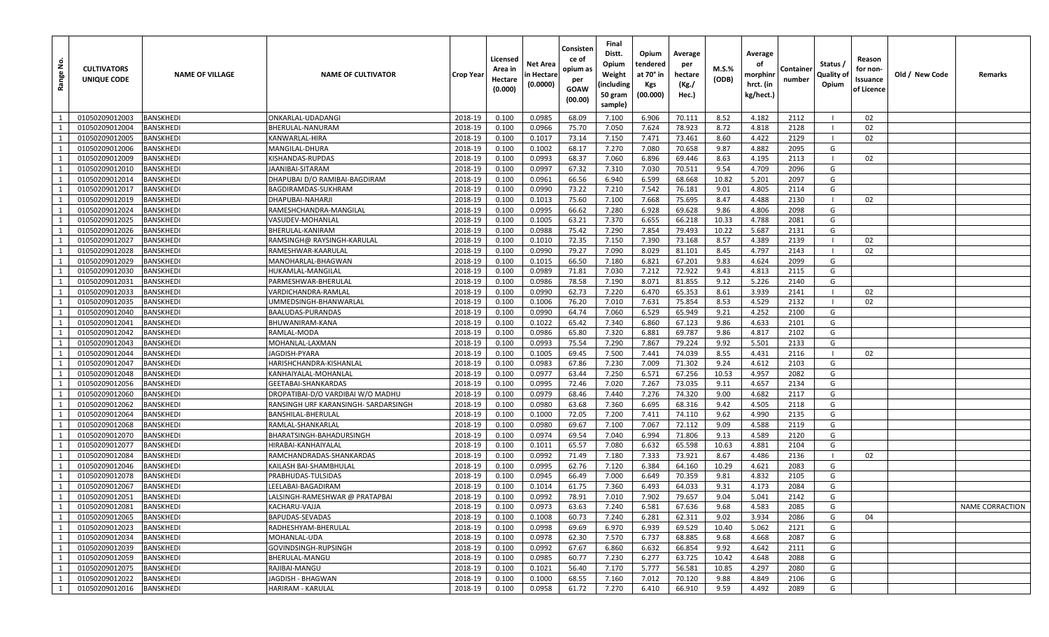| å<br>Range   | <b>CULTIVATORS</b><br>UNIQUE CODE | <b>NAME OF VILLAGE</b> | <b>NAME OF CULTIVATOR</b>            | Crop Year | Licensed<br>Area in<br>Hectare<br>(0.000) | Net Area<br>n Hectare<br>(0.0000) | Consisten<br>ce of<br>opium as<br>per<br>GOAW<br>(00.00) | Final<br>Distt.<br>Opium<br>Weight<br>(including<br>50 gram<br>sample) | Opium<br>tendered<br>at 70° in<br>Kgs<br>(00.000) | Average<br>per<br>hectare<br>(Kg./<br>Hec.) | M.S.%<br>(ODB) | Average<br>οf<br>morphinr<br>hrct. (in<br>kg/hect.) | Containe<br>number | Status /<br>Quality of<br>Opium | Reason<br>for non-<br>Issuance<br>of Licence | Old / New Code | Remarks         |
|--------------|-----------------------------------|------------------------|--------------------------------------|-----------|-------------------------------------------|-----------------------------------|----------------------------------------------------------|------------------------------------------------------------------------|---------------------------------------------------|---------------------------------------------|----------------|-----------------------------------------------------|--------------------|---------------------------------|----------------------------------------------|----------------|-----------------|
| 1            | 01050209012003                    | <b>BANSKHEDI</b>       | ONKARLAL-UDADANGI                    | 2018-19   | 0.100                                     | 0.0985                            | 68.09                                                    | 7.100                                                                  | 6.906                                             | 70.111                                      | 8.52           | 4.182                                               | 2112               |                                 | 02                                           |                |                 |
| 1            | 01050209012004                    | BANSKHEDI              | BHERULAL-NANURAM                     | 2018-19   | 0.100                                     | 0.0966                            | 75.70                                                    | 7.050                                                                  | 7.624                                             | 78.923                                      | 8.72           | 4.818                                               | 2128               |                                 | 02                                           |                |                 |
| 1            | 01050209012005                    | <b>BANSKHEDI</b>       | KANWARLAL-HIRA                       | 2018-19   | 0.100                                     | 0.1017                            | 73.14                                                    | 7.150                                                                  | 7.471                                             | 73.461                                      | 8.60           | 4.422                                               | 2129               |                                 | 02                                           |                |                 |
| 1            | 01050209012006                    | <b>BANSKHEDI</b>       | MANGILAL-DHURA                       | 2018-19   | 0.100                                     | 0.1002                            | 68.17                                                    | 7.270                                                                  | 7.080                                             | 70.658                                      | 9.87           | 4.882                                               | 2095               | G                               |                                              |                |                 |
| 1            | 01050209012009                    | <b>BANSKHEDI</b>       | KISHANDAS-RUPDAS                     | 2018-19   | 0.100                                     | 0.0993                            | 68.37                                                    | 7.060                                                                  | 6.896                                             | 69.446                                      | 8.63           | 4.195                                               | 2113               |                                 | 02                                           |                |                 |
| 1            | 01050209012010                    | <b>BANSKHEDI</b>       | <b>JAANIBAI-SITARAM</b>              | 2018-19   | 0.100                                     | 0.0997                            | 67.32                                                    | 7.310                                                                  | 7.030                                             | 70.511                                      | 9.54           | 4.709                                               | 2096               | G                               |                                              |                |                 |
| 1            | 01050209012014                    | <b>BANSKHEDI</b>       | DHAPUBAI D/O RAMIBAI-BAGDIRAM        | 2018-19   | 0.100                                     | 0.0961                            | 66.56                                                    | 6.940                                                                  | 6.599                                             | 68.668                                      | 10.82          | 5.201                                               | 2097               | G                               |                                              |                |                 |
| 1            | 01050209012017                    | <b>BANSKHEDI</b>       | BAGDIRAMDAS-SUKHRAM                  | 2018-19   | 0.100                                     | 0.0990                            | 73.22                                                    | 7.210                                                                  | 7.542                                             | 76.181                                      | 9.01           | 4.805                                               | 2114               | G                               |                                              |                |                 |
| 1            | 01050209012019                    | <b>BANSKHEDI</b>       | DHAPUBAI-NAHARJI                     | 2018-19   | 0.100                                     | 0.1013                            | 75.60                                                    | 7.100                                                                  | 7.668                                             | 75.695                                      | 8.47           | 4.488                                               | 2130               |                                 | 02                                           |                |                 |
| 1            | 01050209012024                    | BANSKHEDI              | RAMESHCHANDRA-MANGILAL               | 2018-19   | 0.100                                     | 0.0995                            | 66.62                                                    | 7.280                                                                  | 6.928                                             | 69.628                                      | 9.86           | 4.806                                               | 2098               | G                               |                                              |                |                 |
| 1            | 01050209012025                    | <b>BANSKHEDI</b>       | VASUDEV-MOHANLAL                     | 2018-19   | 0.100                                     | 0.1005                            | 63.21                                                    | 7.370                                                                  | 6.655                                             | 66.218                                      | 10.33          | 4.788                                               | 2081               | G                               |                                              |                |                 |
| $\mathbf{1}$ | 01050209012026                    | <b>BANSKHEDI</b>       | BHERULAL-KANIRAM                     | 2018-19   | 0.100                                     | 0.0988                            | 75.42                                                    | 7.290                                                                  | 7.854                                             | 79.493                                      | 10.22          | 5.687                                               | 2131               | G                               |                                              |                |                 |
| 1            | 01050209012027                    | <b>BANSKHEDI</b>       | RAMSINGH@ RAYSINGH-KARULAL           | 2018-19   | 0.100                                     | 0.1010                            | 72.35                                                    | 7.150                                                                  | 7.390                                             | 73.168                                      | 8.57           | 4.389                                               | 2139               |                                 | 02                                           |                |                 |
| 1            | 01050209012028                    | <b>BANSKHEDI</b>       | RAMESHWAR-KAARULAL                   | 2018-19   | 0.100                                     | 0.0990                            | 79.27                                                    | 7.090                                                                  | 8.029                                             | 81.101                                      | 8.45           | 4.797                                               | 2143               | - 1                             | 02                                           |                |                 |
| 1            | 01050209012029                    | <b>BANSKHEDI</b>       | MANOHARLAL-BHAGWAN                   | 2018-19   | 0.100                                     | 0.1015                            | 66.50                                                    | 7.180                                                                  | 6.821                                             | 67.201                                      | 9.83           | 4.624                                               | 2099               | G                               |                                              |                |                 |
| 1            | 01050209012030                    | <b>BANSKHEDI</b>       | HUKAMLAL-MANGILAL                    | 2018-19   | 0.100                                     | 0.0989                            | 71.81                                                    | 7.030                                                                  | 7.212                                             | 72.922                                      | 9.43           | 4.813                                               | 2115               | G                               |                                              |                |                 |
| 1            | 01050209012031                    | <b>BANSKHEDI</b>       | PARMESHWAR-BHERULAL                  | 2018-19   | 0.100                                     | 0.0986                            | 78.58                                                    | 7.190                                                                  | 8.071                                             | 81.855                                      | 9.12           | 5.226                                               | 2140               | G                               |                                              |                |                 |
| 1            | 01050209012033                    | <b>BANSKHEDI</b>       | VARDICHANDRA-RAMLAL                  | 2018-19   | 0.100                                     | 0.0990                            | 62.73                                                    | 7.220                                                                  | 6.470                                             | 65.353                                      | 8.61           | 3.939                                               | 2141               |                                 | 02                                           |                |                 |
| 1            | 01050209012035                    | <b>BANSKHEDI</b>       | UMMEDSINGH-BHANWARLAL                | 2018-19   | 0.100                                     | 0.1006                            | 76.20                                                    | 7.010                                                                  | 7.631                                             | 75.854                                      | 8.53           | 4.529                                               | 2132               |                                 | 02                                           |                |                 |
| 1            | 01050209012040                    | <b>BANSKHEDI</b>       | BAALUDAS-PURANDAS                    | 2018-19   | 0.100                                     | 0.0990                            | 64.74                                                    | 7.060                                                                  | 6.529                                             | 65.949                                      | 9.21           | 4.252                                               | 2100               | G                               |                                              |                |                 |
| 1            | 01050209012041                    | <b>BANSKHEDI</b>       | BHUWANIRAM-KANA                      | 2018-19   | 0.100                                     | 0.1022                            | 65.42                                                    | 7.340                                                                  | 6.860                                             | 67.123                                      | 9.86           | 4.633                                               | 2101               | G                               |                                              |                |                 |
| 1            | 01050209012042                    | <b>BANSKHEDI</b>       | RAMLAL-MODA                          | 2018-19   | 0.100                                     | 0.0986                            | 65.80                                                    | 7.320                                                                  | 6.881                                             | 69.787                                      | 9.86           | 4.817                                               | 2102               | G                               |                                              |                |                 |
| 1            | 01050209012043                    | <b>BANSKHEDI</b>       | MOHANLAL-LAXMAN                      | 2018-19   | 0.100                                     | 0.0993                            | 75.54                                                    | 7.290                                                                  | 7.867                                             | 79.224                                      | 9.92           | 5.501                                               | 2133               | G                               |                                              |                |                 |
| 1            | 01050209012044                    | BANSKHEDI              | IAGDISH-PYARA                        | 2018-19   | 0.100                                     | 0.1005                            | 69.45                                                    | 7.500                                                                  | 7.441                                             | 74.039                                      | 8.55           | 4.431                                               | 2116               |                                 | 02                                           |                |                 |
| 1            | 01050209012047                    | <b>BANSKHEDI</b>       | HARISHCHANDRA-KISHANLAL              | 2018-19   | 0.100                                     | 0.0983                            | 67.86                                                    | 7.230                                                                  | 7.009                                             | 71.302                                      | 9.24           | 4.612                                               | 2103               | G                               |                                              |                |                 |
| 1            | 01050209012048                    | <b>BANSKHEDI</b>       | KANHAIYALAL-MOHANLAI                 | 2018-19   | 0.100                                     | 0.0977                            | 63.44                                                    | 7.250                                                                  | 6.571                                             | 67.256                                      | 10.53          | 4.957                                               | 2082               | G                               |                                              |                |                 |
| 1            | 01050209012056                    | <b>BANSKHEDI</b>       | GEETABAI-SHANKARDAS                  | 2018-19   | 0.100                                     | 0.0995                            | 72.46                                                    | 7.020                                                                  | 7.267                                             | 73.035                                      | 9.11           | 4.657                                               | 2134               | G                               |                                              |                |                 |
| 1            | 01050209012060                    | <b>BANSKHEDI</b>       | DROPATIBAI-D/O VARDIBAI W/O MADHU    | 2018-19   | 0.100                                     | 0.0979                            | 68.46                                                    | 7.440                                                                  | 7.276                                             | 74.320                                      | 9.00           | 4.682                                               | 2117               | G                               |                                              |                |                 |
| 1            | 01050209012062                    | <b>BANSKHEDI</b>       | RANSINGH URF KARANSINGH- SARDARSINGH | 2018-19   | 0.100                                     | 0.0980                            | 63.68                                                    | 7.360                                                                  | 6.695                                             | 68.316                                      | 9.42           | 4.505                                               | 2118               | G                               |                                              |                |                 |
| 1            | 01050209012064                    | BANSKHEDI              | BANSHILAL-BHERULAL                   | 2018-19   | 0.100                                     | 0.1000                            | 72.05                                                    | 7.200                                                                  | 7.411                                             | 74.110                                      | 9.62           | 4.990                                               | 2135               | G                               |                                              |                |                 |
| 1            | 01050209012068                    | <b>BANSKHEDI</b>       | RAMLAL-SHANKARLAL                    | 2018-19   | 0.100                                     | 0.0980                            | 69.67                                                    | 7.100                                                                  | 7.067                                             | 72.112                                      | 9.09           | 4.588                                               | 2119               | G                               |                                              |                |                 |
| 1            | 01050209012070                    | <b>BANSKHEDI</b>       | BHARATSINGH-BAHADURSINGH             | 2018-19   | 0.100                                     | 0.0974                            | 69.54                                                    | 7.040                                                                  | 6.994                                             | 71.806                                      | 9.13           | 4.589                                               | 2120               | G                               |                                              |                |                 |
| 1            | 01050209012077                    | <b>BANSKHEDI</b>       | HIRABAI-KANHAIYALAL                  | 2018-19   | 0.100                                     | 0.1011                            | 65.57                                                    | 7.080                                                                  | 6.632                                             | 65.598                                      | 10.63          | 4.881                                               | 2104               | G                               |                                              |                |                 |
| 1            | 01050209012084                    | <b>BANSKHEDI</b>       | RAMCHANDRADAS-SHANKARDAS             | 2018-19   | 0.100                                     | 0.0992                            | 71.49                                                    | 7.180                                                                  | 7.333                                             | 73.921                                      | 8.67           | 4.486                                               | 2136               |                                 | 02                                           |                |                 |
| $\mathbf{1}$ | 01050209012046                    | <b>BANSKHEDI</b>       | KAILASH BAI-SHAMBHULAL               | 2018-19   | 0.100                                     | 0.0995                            | 62.76                                                    | 7.120                                                                  | 6.384                                             | 64.160                                      | 10.29          | 4.621                                               | 2083               | G                               |                                              |                |                 |
| 1            | 01050209012078                    | <b>BANSKHEDI</b>       | PRABHUDAS-TULSIDAS                   | 2018-19   | 0.100                                     | 0.0945                            | 66.49                                                    | 7.000                                                                  | 6.649                                             | 70.359                                      | 9.81           | 4.832                                               | 2105               | G                               |                                              |                |                 |
| 1            | 01050209012067                    | <b>BANSKHEDI</b>       | LEELABAI-BAGADIRAM                   | 2018-19   | 0.100                                     | 0.1014                            | 61.75                                                    | 7.360                                                                  | 6.493                                             | 64.033                                      | 9.31           | 4.173                                               | 2084               | G                               |                                              |                |                 |
| $\mathbf{1}$ | 01050209012051                    | <b>BANSKHEDI</b>       | LALSINGH-RAMESHWAR @ PRATAPBAI       | 2018-19   | 0.100                                     | 0.0992                            | 78.91                                                    | 7.010                                                                  | 7.902                                             | 79.657                                      | 9.04           | 5.041                                               | 2142               | G                               |                                              |                |                 |
| 1            | 01050209012081                    | <b>BANSKHEDI</b>       | KACHARU-VAJJA                        | 2018-19   | 0.100                                     | 0.0973                            | 63.63                                                    | 7.240                                                                  | 6.581                                             | 67.636                                      | 9.68           | 4.583                                               | 2085               | G                               |                                              |                | NAME CORRACTION |
| 1            | 01050209012065                    | <b>BANSKHEDI</b>       | BAPUDAS-SEVADAS                      | 2018-19   | 0.100                                     | 0.1008                            | 60.73                                                    | 7.240                                                                  | 6.281                                             | 62.311                                      | 9.02           | 3.934                                               | 2086               | G                               | 04                                           |                |                 |
| 1            | 01050209012023                    | <b>BANSKHEDI</b>       | RADHESHYAM-BHERULAL                  | 2018-19   | 0.100                                     | 0.0998                            | 69.69                                                    | 6.970                                                                  | 6.939                                             | 69.529                                      | 10.40          | 5.062                                               | 2121               | G                               |                                              |                |                 |
| 1            | 01050209012034                    | <b>BANSKHEDI</b>       | MOHANLAL-UDA                         | 2018-19   | 0.100                                     | 0.0978                            | 62.30                                                    | 7.570                                                                  | 6.737                                             | 68.885                                      | 9.68           | 4.668                                               | 2087               | G                               |                                              |                |                 |
| 1            | 01050209012039                    | <b>BANSKHEDI</b>       | GOVINDSINGH-RUPSINGH                 | 2018-19   | 0.100                                     | 0.0992                            | 67.67                                                    | 6.860                                                                  | 6.632                                             | 66.854                                      | 9.92           | 4.642                                               | 2111               | G                               |                                              |                |                 |
| 1            | 01050209012059                    | <b>BANSKHEDI</b>       | BHERULAL-MANGU                       | 2018-19   | 0.100                                     | 0.0985                            | 60.77                                                    | 7.230                                                                  | 6.277                                             | 63.725                                      | 10.42          | 4.648                                               | 2088               | G                               |                                              |                |                 |
| 1            | 01050209012075                    | <b>BANSKHEDI</b>       | RAJIBAI-MANGU                        | 2018-19   | 0.100                                     | 0.1021                            | 56.40                                                    | 7.170                                                                  | 5.777                                             | 56.581                                      | 10.85          | 4.297                                               | 2080               | G                               |                                              |                |                 |
| 1            | 01050209012022                    | <b>BANSKHEDI</b>       | JAGDISH - BHAGWAN                    | 2018-19   | 0.100                                     | 0.1000                            | 68.55                                                    | 7.160                                                                  | 7.012                                             | 70.120                                      | 9.88           | 4.849                                               | 2106               | G                               |                                              |                |                 |
| 1            | 01050209012016                    | BANSKHEDI              | <b>HARIRAM - KARULAL</b>             | 2018-19   | 0.100                                     | 0.0958                            | 61.72                                                    | 7.270                                                                  | 6.410                                             | 66.910                                      | 9.59           | 4.492                                               | 2089               | G                               |                                              |                |                 |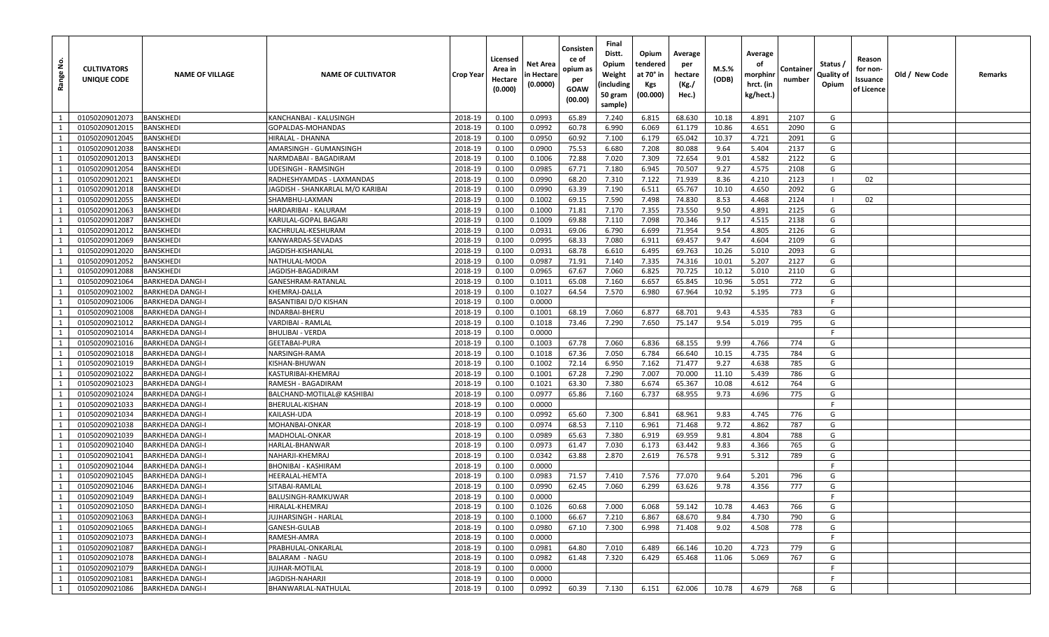| <u>و</u><br>Range | <b>CULTIVATORS</b><br>UNIQUE CODE | <b>NAME OF VILLAGE</b>  | <b>NAME OF CULTIVATOR</b>        | Crop Year | Licensed<br>Area in<br>Hectare<br>(0.000) | Net Area<br>n Hectare<br>(0.0000) | Consisten<br>ce of<br>opium as<br>per<br>GOAW<br>(00.00) | Final<br>Distt.<br>Opium<br>Weight<br>(including<br>50 gram<br>sample) | Opium<br>tendered<br>at 70° in<br>Kgs<br>(00.000) | Average<br>per<br>hectare<br>(Kg./<br>Hec.) | M.S.%<br>(ODB) | Average<br>οf<br>morphinr<br>hrct. (in<br>kg/hect.) | Container<br>number | Status /<br>Quality of<br>Opium | Reason<br>for non-<br>Issuance<br>of Licence | Old / New Code | Remarks |
|-------------------|-----------------------------------|-------------------------|----------------------------------|-----------|-------------------------------------------|-----------------------------------|----------------------------------------------------------|------------------------------------------------------------------------|---------------------------------------------------|---------------------------------------------|----------------|-----------------------------------------------------|---------------------|---------------------------------|----------------------------------------------|----------------|---------|
| 1                 | 01050209012073                    | <b>BANSKHEDI</b>        | KANCHANBAI - KALUSINGH           | 2018-19   | 0.100                                     | 0.0993                            | 65.89                                                    | 7.240                                                                  | 6.815                                             | 68.630                                      | 10.18          | 4.891                                               | 2107                | G                               |                                              |                |         |
| 1                 | 01050209012015                    | BANSKHEDI               | GOPALDAS-MOHANDAS                | 2018-19   | 0.100                                     | 0.0992                            | 60.78                                                    | 6.990                                                                  | 6.069                                             | 61.179                                      | 10.86          | 4.651                                               | 2090                | G                               |                                              |                |         |
| 1                 | 01050209012045                    | <b>BANSKHEDI</b>        | HIRALAL - DHANNA                 | 2018-19   | 0.100                                     | 0.0950                            | 60.92                                                    | 7.100                                                                  | 6.179                                             | 65.042                                      | 10.37          | 4.721                                               | 2091                | G                               |                                              |                |         |
| 1                 | 01050209012038                    | <b>BANSKHEDI</b>        | AMARSINGH - GUMANSINGH           | 2018-19   | 0.100                                     | 0.0900                            | 75.53                                                    | 6.680                                                                  | 7.208                                             | 80.088                                      | 9.64           | 5.404                                               | 2137                | G                               |                                              |                |         |
| 1                 | 01050209012013                    | <b>BANSKHEDI</b>        | NARMDABAI - BAGADIRAN            | 2018-19   | 0.100                                     | 0.1006                            | 72.88                                                    | 7.020                                                                  | 7.309                                             | 72.654                                      | 9.01           | 4.582                                               | 2122                | G                               |                                              |                |         |
| 1                 | 01050209012054                    | <b>BANSKHEDI</b>        | UDESINGH - RAMSINGH              | 2018-19   | 0.100                                     | 0.0985                            | 67.71                                                    | 7.180                                                                  | 6.945                                             | 70.507                                      | 9.27           | 4.575                                               | 2108                | G                               |                                              |                |         |
| 1                 | 01050209012021                    | BANSKHEDI               | RADHESHYAMDAS - LAXMANDAS        | 2018-19   | 0.100                                     | 0.0990                            | 68.20                                                    | 7.310                                                                  | 7.122                                             | 71.939                                      | 8.36           | 4.210                                               | 2123                |                                 | 02                                           |                |         |
| 1                 | 01050209012018                    | <b>BANSKHEDI</b>        | JAGDISH - SHANKARLAL M/O KARIBAI | 2018-19   | 0.100                                     | 0.0990                            | 63.39                                                    | 7.190                                                                  | 6.511                                             | 65.767                                      | 10.10          | 4.650                                               | 2092                | G                               |                                              |                |         |
| 1                 | 01050209012055                    | <b>BANSKHEDI</b>        | SHAMBHU-LAXMAN                   | 2018-19   | 0.100                                     | 0.1002                            | 69.15                                                    | 7.590                                                                  | 7.498                                             | 74.830                                      | 8.53           | 4.468                                               | 2124                |                                 | 02                                           |                |         |
| 1                 | 01050209012063                    | <b>BANSKHEDI</b>        | HARDARIBAI - KALURAM             | 2018-19   | 0.100                                     | 0.1000                            | 71.81                                                    | 7.170                                                                  | 7.355                                             | 73.550                                      | 9.50           | 4.891                                               | 2125                | G                               |                                              |                |         |
| 1                 | 01050209012087                    | <b>BANSKHEDI</b>        | KARULAL-GOPAL BAGARI             | 2018-19   | 0.100                                     | 0.1009                            | 69.88                                                    | 7.110                                                                  | 7.098                                             | 70.346                                      | 9.17           | 4.515                                               | 2138                | G                               |                                              |                |         |
| $\mathbf{1}$      | 01050209012012                    | <b>BANSKHEDI</b>        | KACHRULAL-KESHURAM               | 2018-19   | 0.100                                     | 0.0931                            | 69.06                                                    | 6.790                                                                  | 6.699                                             | 71.954                                      | 9.54           | 4.805                                               | 2126                | G                               |                                              |                |         |
| 1                 | 01050209012069                    | BANSKHEDI               | KANWARDAS-SEVADAS                | 2018-19   | 0.100                                     | 0.0995                            | 68.33                                                    | 7.080                                                                  | 6.911                                             | 69.457                                      | 9.47           | 4.604                                               | 2109                | G                               |                                              |                |         |
| 1                 | 01050209012020                    | <b>BANSKHEDI</b>        | <b>JAGDISH-KISHANLAL</b>         | 2018-19   | 0.100                                     | 0.0931                            | 68.78                                                    | 6.610                                                                  | 6.495                                             | 69.763                                      | 10.26          | 5.010                                               | 2093                | G                               |                                              |                |         |
| 1                 | 01050209012052                    | <b>BANSKHEDI</b>        | NATHULAL-MODA                    | 2018-19   | 0.100                                     | 0.0987                            | 71.91                                                    | 7.140                                                                  | 7.335                                             | 74.316                                      | 10.01          | 5.207                                               | 2127                | G                               |                                              |                |         |
| 1                 | 01050209012088                    | <b>BANSKHEDI</b>        | JAGDISH-BAGADIRAM                | 2018-19   | 0.100                                     | 0.0965                            | 67.67                                                    | 7.060                                                                  | 6.825                                             | 70.725                                      | 10.12          | 5.010                                               | 2110                | G                               |                                              |                |         |
| 1                 | 01050209021064                    | <b>BARKHEDA DANGI-I</b> | GANESHRAM-RATANLAI               | 2018-19   | 0.100                                     | 0.1011                            | 65.08                                                    | 7.160                                                                  | 6.657                                             | 65.845                                      | 10.96          | 5.051                                               | 772                 | G                               |                                              |                |         |
| 1                 | 01050209021002                    | <b>BARKHEDA DANGI-I</b> | KHEMRAJ-DALLA                    | 2018-19   | 0.100                                     | 0.1027                            | 64.54                                                    | 7.570                                                                  | 6.980                                             | 67.964                                      | 10.92          | 5.195                                               | 773                 | G                               |                                              |                |         |
| $\mathbf{1}$      | 01050209021006                    | <b>BARKHEDA DANGI-I</b> | BASANTIBAI D/O KISHAN            | 2018-19   | 0.100                                     | 0.0000                            |                                                          |                                                                        |                                                   |                                             |                |                                                     |                     | F                               |                                              |                |         |
| 1                 | 01050209021008                    | <b>BARKHEDA DANGI-I</b> | INDARBAI-BHERU                   | 2018-19   | 0.100                                     | 0.1001                            | 68.19                                                    | 7.060                                                                  | 6.877                                             | 68.701                                      | 9.43           | 4.535                                               | 783                 | G                               |                                              |                |         |
| 1                 | 01050209021012                    | <b>BARKHEDA DANGI-I</b> | VARDIBAI - RAMLAL                | 2018-19   | 0.100                                     | 0.1018                            | 73.46                                                    | 7.290                                                                  | 7.650                                             | 75.147                                      | 9.54           | 5.019                                               | 795                 | G                               |                                              |                |         |
| 1                 | 01050209021014                    | <b>BARKHEDA DANGI-I</b> | <b>BHULIBAI - VERDA</b>          | 2018-19   | 0.100                                     | 0.0000                            |                                                          |                                                                        |                                                   |                                             |                |                                                     |                     | F                               |                                              |                |         |
| 1                 | 01050209021016                    | <b>BARKHEDA DANGI-I</b> | GEETABAI-PURA                    | 2018-19   | 0.100                                     | 0.1003                            | 67.78                                                    | 7.060                                                                  | 6.836                                             | 68.155                                      | 9.99           | 4.766                                               | 774                 | G                               |                                              |                |         |
| 1                 | 01050209021018                    | <b>BARKHEDA DANGI-I</b> | NARSINGH-RAMA                    | 2018-19   | 0.100                                     | 0.1018                            | 67.36                                                    | 7.050                                                                  | 6.784                                             | 66.640                                      | 10.15          | 4.735                                               | 784                 | G                               |                                              |                |         |
| 1                 | 01050209021019                    | <b>BARKHEDA DANGI-I</b> | KISHAN-BHUWAN                    | 2018-19   | 0.100                                     | 0.1002                            | 72.14                                                    | 6.950                                                                  | 7.162                                             | 71.477                                      | 9.27           | 4.638                                               | 785                 | G                               |                                              |                |         |
| 1                 | 01050209021022                    | <b>BARKHEDA DANGI-I</b> | KASTURIBAI-KHEMRAJ               | 2018-19   | 0.100                                     | 0.1001                            | 67.28                                                    | 7.290                                                                  | 7.007                                             | 70.000                                      | 11.10          | 5.439                                               | 786                 | G                               |                                              |                |         |
| 1                 | 01050209021023                    | <b>BARKHEDA DANGI-I</b> | RAMESH - BAGADIRAM               | 2018-19   | 0.100                                     | 0.1021                            | 63.30                                                    | 7.380                                                                  | 6.674                                             | 65.367                                      | 10.08          | 4.612                                               | 764                 | G                               |                                              |                |         |
| 1                 | 01050209021024                    | <b>BARKHEDA DANGI-I</b> | BALCHAND-MOTILAL@ KASHIBAI       | 2018-19   | 0.100                                     | 0.0977                            | 65.86                                                    | 7.160                                                                  | 6.737                                             | 68.955                                      | 9.73           | 4.696                                               | 775                 | G                               |                                              |                |         |
| 1                 | 01050209021033                    | <b>BARKHEDA DANGI-I</b> | BHERULAL-KISHAN                  | 2018-19   | 0.100                                     | 0.0000                            |                                                          |                                                                        |                                                   |                                             |                |                                                     |                     | F                               |                                              |                |         |
| 1                 | 01050209021034                    | <b>BARKHEDA DANGI-I</b> | KAILASH-UDA                      | 2018-19   | 0.100                                     | 0.0992                            | 65.60                                                    | 7.300                                                                  | 6.841                                             | 68.961                                      | 9.83           | 4.745                                               | 776                 | G                               |                                              |                |         |
| 1                 | 01050209021038                    | <b>BARKHEDA DANGI-I</b> | MOHANBAI-ONKAR                   | 2018-19   | 0.100                                     | 0.0974                            | 68.53                                                    | 7.110                                                                  | 6.961                                             | 71.468                                      | 9.72           | 4.862                                               | 787                 | G                               |                                              |                |         |
| 1                 | 01050209021039                    | <b>BARKHEDA DANGI-I</b> | MADHOLAL-ONKAR                   | 2018-19   | 0.100                                     | 0.0989                            | 65.63                                                    | 7.380                                                                  | 6.919                                             | 69.959                                      | 9.81           | 4.804                                               | 788                 | G                               |                                              |                |         |
| 1                 | 01050209021040                    | <b>BARKHEDA DANGI-</b>  | HARLAL-BHANWAR                   | 2018-19   | 0.100                                     | 0.0973                            | 61.47                                                    | 7.030                                                                  | 6.173                                             | 63.442                                      | 9.83           | 4.366                                               | 765                 | G                               |                                              |                |         |
| 1                 | 01050209021041                    | <b>BARKHEDA DANGI-I</b> | NAHARJI-KHEMRAJ                  | 2018-19   | 0.100                                     | 0.0342                            | 63.88                                                    | 2.870                                                                  | 2.619                                             | 76.578                                      | 9.91           | 5.312                                               | 789                 | G                               |                                              |                |         |
| $\mathbf{1}$      | 01050209021044                    | <b>BARKHEDA DANGI-I</b> | BHONIBAI - KASHIRAM              | 2018-19   | 0.100                                     | 0.0000                            |                                                          |                                                                        |                                                   |                                             |                |                                                     |                     | -F                              |                                              |                |         |
| 1                 | 01050209021045                    | <b>BARKHEDA DANGI-I</b> | HEERALAL-HEMTA                   | 2018-19   | 0.100                                     | 0.0983                            | 71.57                                                    | 7.410                                                                  | 7.576                                             | 77.070                                      | 9.64           | 5.201                                               | 796                 | G                               |                                              |                |         |
| 1                 | 01050209021046                    | <b>BARKHEDA DANGI-I</b> | SITABAI-RAMLAL                   | 2018-19   | 0.100                                     | 0.0990                            | 62.45                                                    | 7.060                                                                  | 6.299                                             | 63.626                                      | 9.78           | 4.356                                               | 777                 | G                               |                                              |                |         |
| $\mathbf{1}$      | 01050209021049                    | <b>BARKHEDA DANGI-I</b> | BALUSINGH-RAMKUWAR               | 2018-19   | 0.100                                     | 0.0000                            |                                                          |                                                                        |                                                   |                                             |                |                                                     |                     | F                               |                                              |                |         |
| 1                 | 01050209021050                    | <b>BARKHEDA DANGI-I</b> | HIRALAL-KHEMRAJ                  | 2018-19   | 0.100                                     | 0.1026                            | 60.68                                                    | 7.000                                                                  | 6.068                                             | 59.142                                      | 10.78          | 4.463                                               | 766                 | G                               |                                              |                |         |
| $\mathbf{1}$      | 01050209021063                    | <b>BARKHEDA DANGI-I</b> | JUJHARSINGH - HARLAL             | 2018-19   | 0.100                                     | 0.1000                            | 66.67                                                    | 7.210                                                                  | 6.867                                             | 68.670                                      | 9.84           | 4.730                                               | 790                 | G                               |                                              |                |         |
| 1                 | 01050209021065                    | <b>BARKHEDA DANGI-I</b> | GANESH-GULAB                     | 2018-19   | 0.100                                     | 0.0980                            | 67.10                                                    | 7.300                                                                  | 6.998                                             | 71.408                                      | 9.02           | 4.508                                               | 778                 | G                               |                                              |                |         |
| $\mathbf{1}$      | 01050209021073                    | <b>BARKHEDA DANGI-I</b> | RAMESH-AMRA                      | 2018-19   | 0.100                                     | 0.0000                            |                                                          |                                                                        |                                                   |                                             |                |                                                     |                     | F.                              |                                              |                |         |
| 1                 | 01050209021087                    | <b>BARKHEDA DANGI-I</b> | PRABHULAL-ONKARLAL               | 2018-19   | 0.100                                     | 0.0981                            | 64.80                                                    | 7.010                                                                  | 6.489                                             | 66.146                                      | 10.20          | 4.723                                               | 779                 | G                               |                                              |                |         |
| 1                 | 01050209021078                    | <b>BARKHEDA DANGI-I</b> | <b>BALARAM - NAGU</b>            | 2018-19   | 0.100                                     | 0.0982                            | 61.48                                                    | 7.320                                                                  | 6.429                                             | 65.468                                      | 11.06          | 5.069                                               | 767                 | G                               |                                              |                |         |
| 1                 | 01050209021079                    | <b>BARKHEDA DANGI-I</b> | JUJHAR-MOTILAL                   | 2018-19   | 0.100                                     | 0.0000                            |                                                          |                                                                        |                                                   |                                             |                |                                                     |                     | F                               |                                              |                |         |
| <sup>1</sup>      | 01050209021081                    | <b>BARKHEDA DANGI-I</b> | JAGDISH-NAHARJI                  | 2018-19   | 0.100                                     | 0.0000                            |                                                          |                                                                        |                                                   |                                             |                |                                                     |                     | F.                              |                                              |                |         |
| 1                 | 01050209021086                    | <b>BARKHEDA DANGI-I</b> | BHANWARLAL-NATHULAL              | 2018-19   | 0.100                                     | 0.0992                            | 60.39                                                    | 7.130                                                                  | 6.151                                             | 62.006                                      | 10.78          | 4.679                                               | 768                 | G                               |                                              |                |         |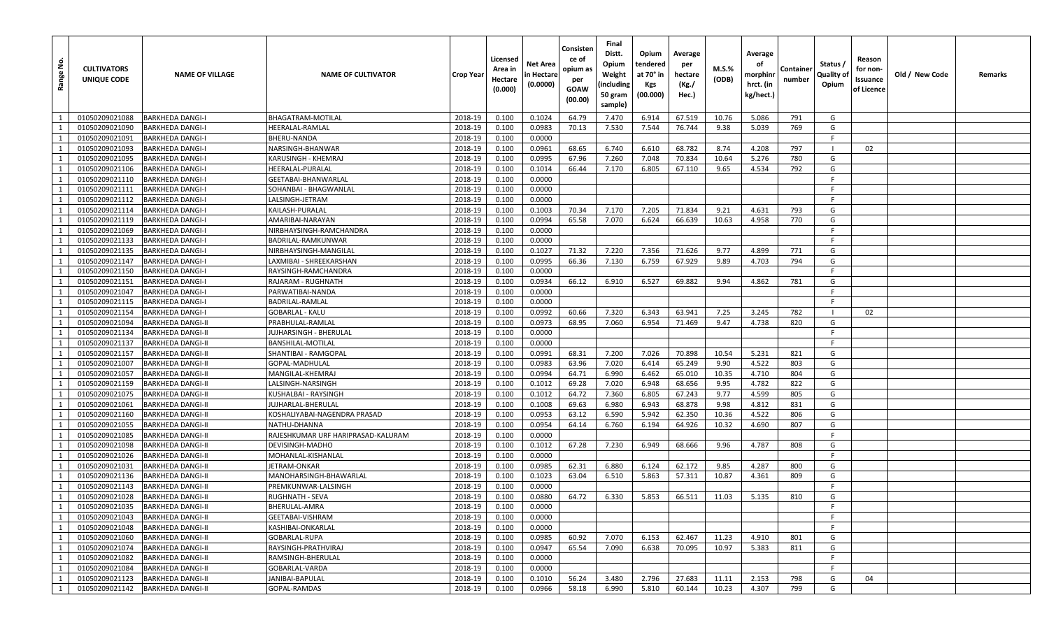| <u>غ</u><br>Range | <b>CULTIVATORS</b><br>UNIQUE CODE | <b>NAME OF VILLAGE</b>   | <b>NAME OF CULTIVATOR</b>          | Crop Year | Licensed<br>Area in<br>Hectare<br>(0.000) | Net Area<br>n Hectare<br>(0.0000) | Consisten<br>ce of<br>opium as<br>per<br><b>GOAW</b><br>(00.00) | Final<br>Distt.<br>Opium<br>Weight<br>(including<br>50 gram<br>sample) | Opium<br>tendered<br>at 70° in<br><b>Kgs</b><br>(00.000) | Average<br>per<br>hectare<br>(Kg./<br>Hec.) | <b>M.S.%</b><br>(ODB) | Average<br>оf<br>morphinr<br>hrct. (in<br>kg/hect.) | Containe<br>number | Status /<br>Quality of<br>Opium | Reason<br>for non-<br>Issuance<br>of Licence | Old / New Code | Remarks |
|-------------------|-----------------------------------|--------------------------|------------------------------------|-----------|-------------------------------------------|-----------------------------------|-----------------------------------------------------------------|------------------------------------------------------------------------|----------------------------------------------------------|---------------------------------------------|-----------------------|-----------------------------------------------------|--------------------|---------------------------------|----------------------------------------------|----------------|---------|
| 1                 | 01050209021088                    | <b>BARKHEDA DANGI-I</b>  | <b>BHAGATRAM-MOTILAL</b>           | 2018-19   | 0.100                                     | 0.1024                            | 64.79                                                           | 7.470                                                                  | 6.914                                                    | 67.519                                      | 10.76                 | 5.086                                               | 791                | G                               |                                              |                |         |
| 1                 | 01050209021090                    | <b>BARKHEDA DANGI-I</b>  | HEERALAL-RAMLAL                    | 2018-19   | 0.100                                     | 0.0983                            | 70.13                                                           | 7.530                                                                  | 7.544                                                    | 76.744                                      | 9.38                  | 5.039                                               | 769                | G                               |                                              |                |         |
| 1                 | 01050209021091                    | <b>BARKHEDA DANGI-I</b>  | BHERU-NANDA                        | 2018-19   | 0.100                                     | 0.0000                            |                                                                 |                                                                        |                                                          |                                             |                       |                                                     |                    | F.                              |                                              |                |         |
| 1                 | 01050209021093                    | <b>BARKHEDA DANGI-I</b>  | NARSINGH-BHANWAR                   | 2018-19   | 0.100                                     | 0.0961                            | 68.65                                                           | 6.740                                                                  | 6.610                                                    | 68.782                                      | 8.74                  | 4.208                                               | 797                | - 1                             | 02                                           |                |         |
| 1                 | 01050209021095                    | <b>BARKHEDA DANGI-I</b>  | KARUSINGH - KHEMRAJ                | 2018-19   | 0.100                                     | 0.0995                            | 67.96                                                           | 7.260                                                                  | 7.048                                                    | 70.834                                      | 10.64                 | 5.276                                               | 780                | G                               |                                              |                |         |
| 1                 | 01050209021106                    | <b>BARKHEDA DANGI-I</b>  | HEERALAL-PURALAL                   | 2018-19   | 0.100                                     | 0.1014                            | 66.44                                                           | 7.170                                                                  | 6.805                                                    | 67.110                                      | 9.65                  | 4.534                                               | 792                | G                               |                                              |                |         |
| 1                 | 01050209021110                    | <b>BARKHEDA DANGI-I</b>  | GEETABAI-BHANWARLAL                | 2018-19   | 0.100                                     | 0.0000                            |                                                                 |                                                                        |                                                          |                                             |                       |                                                     |                    | F.                              |                                              |                |         |
| 1                 | 01050209021111                    | <b>BARKHEDA DANGI-I</b>  | SOHANBAI - BHAGWANLAL              | 2018-19   | 0.100                                     | 0.0000                            |                                                                 |                                                                        |                                                          |                                             |                       |                                                     |                    | F.                              |                                              |                |         |
| 1                 | 01050209021112                    | <b>BARKHEDA DANGI-I</b>  | LALSINGH-JETRAM                    | 2018-19   | 0.100                                     | 0.0000                            |                                                                 |                                                                        |                                                          |                                             |                       |                                                     |                    | -F                              |                                              |                |         |
| 1                 | 01050209021114                    | <b>BARKHEDA DANGI-I</b>  | KAILASH-PURALAL                    | 2018-19   | 0.100                                     | 0.1003                            | 70.34                                                           | 7.170                                                                  | 7.205                                                    | 71.834                                      | 9.21                  | 4.631                                               | 793                | G                               |                                              |                |         |
| 1                 | 01050209021119                    | <b>BARKHEDA DANGI-I</b>  | AMARIBAI-NARAYAN                   | 2018-19   | 0.100                                     | 0.0994                            | 65.58                                                           | 7.070                                                                  | 6.624                                                    | 66.639                                      | 10.63                 | 4.958                                               | 770                | G                               |                                              |                |         |
| $\mathbf{1}$      | 01050209021069                    | <b>BARKHEDA DANGI-I</b>  | NIRBHAYSINGH-RAMCHANDRA            | 2018-19   | 0.100                                     | 0.0000                            |                                                                 |                                                                        |                                                          |                                             |                       |                                                     |                    | F.                              |                                              |                |         |
| 1                 | 01050209021133                    | <b>BARKHEDA DANGI-I</b>  | BADRILAL-RAMKUNWAR                 | 2018-19   | 0.100                                     | 0.0000                            |                                                                 |                                                                        |                                                          |                                             |                       |                                                     |                    | -F                              |                                              |                |         |
| 1                 | 01050209021135                    | <b>BARKHEDA DANGI-I</b>  | NIRBHAYSINGH-MANGILAL              | 2018-19   | 0.100                                     | 0.1027                            | 71.32                                                           | 7.220                                                                  | 7.356                                                    | 71.626                                      | 9.77                  | 4.899                                               | 771                | G                               |                                              |                |         |
| 1                 | 01050209021147                    | <b>BARKHEDA DANGI-I</b>  | LAXMIBAI - SHREEKARSHAN            | 2018-19   | 0.100                                     | 0.0995                            | 66.36                                                           | 7.130                                                                  | 6.759                                                    | 67.929                                      | 9.89                  | 4.703                                               | 794                | G                               |                                              |                |         |
| 1                 | 01050209021150                    | <b>BARKHEDA DANGI-I</b>  | RAYSINGH-RAMCHANDRA                | 2018-19   | 0.100                                     | 0.0000                            |                                                                 |                                                                        |                                                          |                                             |                       |                                                     |                    | F.                              |                                              |                |         |
| 1                 | 01050209021151                    | <b>BARKHEDA DANGI-I</b>  | RAJARAM - RUGHNATH                 | 2018-19   | 0.100                                     | 0.0934                            | 66.12                                                           | 6.910                                                                  | 6.527                                                    | 69.882                                      | 9.94                  | 4.862                                               | 781                | G                               |                                              |                |         |
| 1                 | 01050209021047                    | <b>BARKHEDA DANGI-I</b>  | PARWATIBAI-NANDA                   | 2018-19   | 0.100                                     | 0.0000                            |                                                                 |                                                                        |                                                          |                                             |                       |                                                     |                    | F.                              |                                              |                |         |
| $\mathbf{1}$      | 01050209021115                    | <b>BARKHEDA DANGI-I</b>  | BADRILAL-RAMLAL                    | 2018-19   | 0.100                                     | 0.0000                            |                                                                 |                                                                        |                                                          |                                             |                       |                                                     |                    | F.                              |                                              |                |         |
| 1                 | 01050209021154                    | <b>BARKHEDA DANGI-I</b>  | GOBARLAL - KALU                    | 2018-19   | 0.100                                     | 0.0992                            | 60.66                                                           | 7.320                                                                  | 6.343                                                    | 63.941                                      | 7.25                  | 3.245                                               | 782                |                                 | 02                                           |                |         |
| 1                 | 01050209021094                    | <b>BARKHEDA DANGI-II</b> | PRABHULAL-RAMLAL                   | 2018-19   | 0.100                                     | 0.0973                            | 68.95                                                           | 7.060                                                                  | 6.954                                                    | 71.469                                      | 9.47                  | 4.738                                               | 820                | G                               |                                              |                |         |
| 1                 | 01050209021134                    | <b>BARKHEDA DANGI-II</b> | JUJHARSINGH - BHERULAL             | 2018-19   | 0.100                                     | 0.0000                            |                                                                 |                                                                        |                                                          |                                             |                       |                                                     |                    | F.                              |                                              |                |         |
| 1                 | 01050209021137                    | <b>BARKHEDA DANGI-II</b> | BANSHILAL-MOTILAL                  | 2018-19   | 0.100                                     | 0.0000                            |                                                                 |                                                                        |                                                          |                                             |                       |                                                     |                    | F.                              |                                              |                |         |
| 1                 | 01050209021157                    | <b>BARKHEDA DANGI-II</b> | SHANTIBAI - RAMGOPAL               | 2018-19   | 0.100                                     | 0.0991                            | 68.31                                                           | 7.200                                                                  | 7.026                                                    | 70.898                                      | 10.54                 | 5.231                                               | 821                | G                               |                                              |                |         |
| 1                 | 01050209021007                    | <b>BARKHEDA DANGI-II</b> | GOPAL-MADHULAL                     | 2018-19   | 0.100                                     | 0.0983                            | 63.96                                                           | 7.020                                                                  | 6.414                                                    | 65.249                                      | 9.90                  | 4.522                                               | 803                | G                               |                                              |                |         |
| 1                 | 01050209021057                    | <b>BARKHEDA DANGI-II</b> | MANGILAL-KHEMRAJ                   | 2018-19   | 0.100                                     | 0.0994                            | 64.71                                                           | 6.990                                                                  | 6.462                                                    | 65.010                                      | 10.35                 | 4.710                                               | 804                | G                               |                                              |                |         |
| 1                 | 01050209021159                    | <b>BARKHEDA DANGI-II</b> | LALSINGH-NARSINGH                  | 2018-19   | 0.100                                     | 0.1012                            | 69.28                                                           | 7.020                                                                  | 6.948                                                    | 68.656                                      | 9.95                  | 4.782                                               | 822                | G                               |                                              |                |         |
| 1                 | 01050209021075                    | <b>BARKHEDA DANGI-II</b> | KUSHALBAI - RAYSINGH               | $2018-19$ | 0.100                                     | 0.1012                            | 64.72                                                           | 7.360                                                                  | 6.805                                                    | 67.243                                      | 9.77                  | 4.599                                               | 805                | G                               |                                              |                |         |
| 1                 | 01050209021061                    | <b>BARKHEDA DANGI-II</b> | JUJHARLAL-BHERULAL                 | 2018-19   | 0.100                                     | 0.1008                            | 69.63                                                           | 6.980                                                                  | 6.943                                                    | 68.878                                      | 9.98                  | 4.812                                               | 831                | G                               |                                              |                |         |
| 1                 | 01050209021160                    | <b>BARKHEDA DANGI-II</b> | KOSHALIYABAI-NAGENDRA PRASAD       | 2018-19   | 0.100                                     | 0.0953                            | 63.12                                                           | 6.590                                                                  | 5.942                                                    | 62.350                                      | 10.36                 | 4.522                                               | 806                | G                               |                                              |                |         |
| 1                 | 01050209021055                    | <b>BARKHEDA DANGI-II</b> | NATHU-DHANNA                       | 2018-19   | 0.100                                     | 0.0954                            | 64.14                                                           | 6.760                                                                  | 6.194                                                    | 64.926                                      | 10.32                 | 4.690                                               | 807                | G                               |                                              |                |         |
| 1                 | 01050209021085                    | <b>BARKHEDA DANGI-II</b> | RAJESHKUMAR URF HARIPRASAD-KALURAM | 2018-19   | 0.100                                     | 0.0000                            |                                                                 |                                                                        |                                                          |                                             |                       |                                                     |                    | F.                              |                                              |                |         |
| 1                 | 01050209021098                    | <b>BARKHEDA DANGI-II</b> | DEVISINGH-MADHO                    | 2018-19   | 0.100                                     | 0.1012                            | 67.28                                                           | 7.230                                                                  | 6.949                                                    | 68.666                                      | 9.96                  | 4.787                                               | 808                | G                               |                                              |                |         |
| 1                 | 01050209021026                    | <b>BARKHEDA DANGI-II</b> | MOHANLAL-KISHANLAL                 | 2018-19   | 0.100                                     | 0.0000                            |                                                                 |                                                                        |                                                          |                                             |                       |                                                     |                    | F.                              |                                              |                |         |
| <sup>1</sup>      | 01050209021031                    | <b>BARKHEDA DANGI-II</b> | JETRAM-ONKAR                       | 2018-19   | 0.100                                     | 0.0985                            | 62.31                                                           | 6.880                                                                  | 6.124                                                    | 62.172                                      | 9.85                  | 4.287                                               | 800                | G                               |                                              |                |         |
| 1                 | 01050209021136                    | <b>BARKHEDA DANGI-II</b> | MANOHARSINGH-BHAWARLAL             | 2018-19   | 0.100                                     | 0.1023                            | 63.04                                                           | 6.510                                                                  | 5.863                                                    | 57.311                                      | 10.87                 | 4.361                                               | 809                | G                               |                                              |                |         |
| 1                 | 01050209021143                    | <b>BARKHEDA DANGI-II</b> | PREMKUNWAR-LALSINGH                | 2018-19   | 0.100                                     | 0.0000                            |                                                                 |                                                                        |                                                          |                                             |                       |                                                     |                    | -F                              |                                              |                |         |
| $\mathbf{1}$      | 01050209021028                    | <b>BARKHEDA DANGI-II</b> | RUGHNATH - SEVA                    | 2018-19   | 0.100                                     | 0.0880                            | 64.72                                                           | 6.330                                                                  | 5.853                                                    | 66.511                                      | 11.03                 | 5.135                                               | 810                | G                               |                                              |                |         |
| 1                 | 01050209021035                    | <b>BARKHEDA DANGI-II</b> | BHERULAL-AMRA                      | 2018-19   | 0.100                                     | 0.0000                            |                                                                 |                                                                        |                                                          |                                             |                       |                                                     |                    | -F                              |                                              |                |         |
| $\mathbf{1}$      | 01050209021043                    | <b>BARKHEDA DANGI-II</b> | GEETABAI-VISHRAM                   | 2018-19   | 0.100                                     | 0.0000                            |                                                                 |                                                                        |                                                          |                                             |                       |                                                     |                    | F.                              |                                              |                |         |
| 1                 | 01050209021048                    | <b>BARKHEDA DANGI-II</b> | KASHIBAI-ONKARLAL                  | 2018-19   | 0.100                                     | 0.0000                            |                                                                 |                                                                        |                                                          |                                             |                       |                                                     |                    | F.                              |                                              |                |         |
| <sup>1</sup>      | 01050209021060                    | <b>BARKHEDA DANGI-II</b> | GOBARLAL-RUPA                      | 2018-19   | 0.100                                     | 0.0985                            | 60.92                                                           | 7.070                                                                  | 6.153                                                    | 62.467                                      | 11.23                 | 4.910                                               | 801                | G                               |                                              |                |         |
| 1                 | 01050209021074                    | <b>BARKHEDA DANGI-II</b> | RAYSINGH-PRATHVIRAJ                | 2018-19   | 0.100                                     | 0.0947                            | 65.54                                                           | 7.090                                                                  | 6.638                                                    | 70.095                                      | 10.97                 | 5.383                                               | 811                | G                               |                                              |                |         |
| $\mathbf{1}$      | 01050209021082                    | <b>BARKHEDA DANGI-II</b> | RAMSINGH-BHERULAL                  | 2018-19   | 0.100                                     | 0.0000                            |                                                                 |                                                                        |                                                          |                                             |                       |                                                     |                    | F.                              |                                              |                |         |
| 1                 | 01050209021084                    | <b>BARKHEDA DANGI-II</b> | GOBARLAL-VARDA                     | 2018-19   | 0.100                                     | 0.0000                            |                                                                 |                                                                        |                                                          |                                             |                       |                                                     |                    | F                               |                                              |                |         |
| <sup>1</sup>      | 01050209021123                    | <b>BARKHEDA DANGI-II</b> | JANIBAI-BAPULAL                    | 2018-19   | 0.100                                     | 0.1010                            | 56.24                                                           | 3.480                                                                  | 2.796                                                    | 27.683                                      | 11.11                 | 2.153                                               | 798                | G                               | 04                                           |                |         |
| 1                 | 01050209021142                    | <b>BARKHEDA DANGI-II</b> | GOPAL-RAMDAS                       | 2018-19   | 0.100                                     | 0.0966                            | 58.18                                                           | 6.990                                                                  | 5.810                                                    | 60.144                                      | 10.23                 | 4.307                                               | 799                | G                               |                                              |                |         |
|                   |                                   |                          |                                    |           |                                           |                                   |                                                                 |                                                                        |                                                          |                                             |                       |                                                     |                    |                                 |                                              |                |         |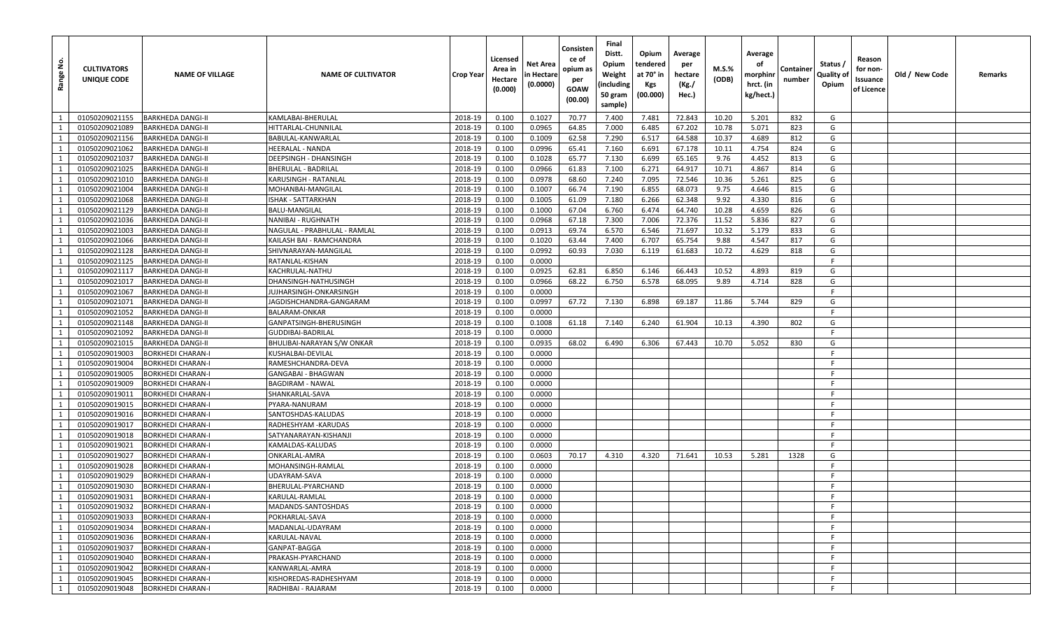| <u>و</u><br>Range | <b>CULTIVATORS</b><br>UNIQUE CODE | <b>NAME OF VILLAGE</b>   | <b>NAME OF CULTIVATOR</b>    | Crop Year | Licensed<br>Area in<br>Hectare<br>(0.000) | Net Area<br>n Hectare<br>(0.0000) | Consisten<br>ce of<br>opium as<br>per<br><b>GOAW</b><br>(00.00) | Final<br>Distt.<br>Opium<br>Weight<br>(including<br>50 gram<br>sample) | Opium<br>tendered<br>at 70° in<br><b>Kgs</b><br>(00.000) | Average<br>per<br>hectare<br>(Kg./<br>Hec.) | <b>M.S.%</b><br>(ODB) | Average<br>оf<br>morphinr<br>hrct. (in<br>kg/hect.) | Containe<br>number | Status /<br>Quality of<br>Opium | Reason<br>for non-<br>Issuance<br>of Licence | Old / New Code | Remarks |
|-------------------|-----------------------------------|--------------------------|------------------------------|-----------|-------------------------------------------|-----------------------------------|-----------------------------------------------------------------|------------------------------------------------------------------------|----------------------------------------------------------|---------------------------------------------|-----------------------|-----------------------------------------------------|--------------------|---------------------------------|----------------------------------------------|----------------|---------|
| 1                 | 01050209021155                    | <b>BARKHEDA DANGI-II</b> | KAMLABAI-BHERULAL            | 2018-19   | 0.100                                     | 0.1027                            | 70.77                                                           | 7.400                                                                  | 7.481                                                    | 72.843                                      | 10.20                 | 5.201                                               | 832                | G                               |                                              |                |         |
| 1                 | 01050209021089                    | <b>BARKHEDA DANGI-II</b> | HITTARLAL-CHUNNILAL          | 2018-19   | 0.100                                     | 0.0965                            | 64.85                                                           | 7.000                                                                  | 6.485                                                    | 67.202                                      | 10.78                 | 5.071                                               | 823                | G                               |                                              |                |         |
| 1                 | 01050209021156                    | <b>BARKHEDA DANGI-II</b> | BABULAL-KANWARLAL            | 2018-19   | 0.100                                     | 0.1009                            | 62.58                                                           | 7.290                                                                  | 6.517                                                    | 64.588                                      | 10.37                 | 4.689                                               | 812                | G                               |                                              |                |         |
| 1                 | 01050209021062                    | <b>BARKHEDA DANGI-II</b> | HEERALAL - NANDA             | 2018-19   | 0.100                                     | 0.0996                            | 65.41                                                           | 7.160                                                                  | 6.691                                                    | 67.178                                      | 10.11                 | 4.754                                               | 824                | G                               |                                              |                |         |
| 1                 | 01050209021037                    | <b>BARKHEDA DANGI-II</b> | DEEPSINGH - DHANSINGH        | 2018-19   | 0.100                                     | 0.1028                            | 65.77                                                           | 7.130                                                                  | 6.699                                                    | 65.165                                      | 9.76                  | 4.452                                               | 813                | G                               |                                              |                |         |
| 1                 | 01050209021025                    | <b>BARKHEDA DANGI-II</b> | <b>BHERULAL - BADRILAL</b>   | 2018-19   | 0.100                                     | 0.0966                            | 61.83                                                           | 7.100                                                                  | 6.271                                                    | 64.917                                      | 10.71                 | 4.867                                               | 814                | G                               |                                              |                |         |
| 1                 | 01050209021010                    | <b>BARKHEDA DANGI-II</b> | KARUSINGH - RATANLAL         | 2018-19   | 0.100                                     | 0.0978                            | 68.60                                                           | 7.240                                                                  | 7.095                                                    | 72.546                                      | 10.36                 | 5.261                                               | 825                | G                               |                                              |                |         |
| 1                 | 01050209021004                    | <b>BARKHEDA DANGI-II</b> | MOHANBAI-MANGILAL            | 2018-19   | 0.100                                     | 0.1007                            | 66.74                                                           | 7.190                                                                  | 6.855                                                    | 68.073                                      | 9.75                  | 4.646                                               | 815                | G                               |                                              |                |         |
| 1                 | 01050209021068                    | <b>BARKHEDA DANGI-II</b> | ISHAK - SATTARKHAN           | 2018-19   | 0.100                                     | 0.1005                            | 61.09                                                           | 7.180                                                                  | 6.266                                                    | 62.348                                      | 9.92                  | 4.330                                               | 816                | G                               |                                              |                |         |
| 1                 | 01050209021129                    | <b>BARKHEDA DANGI-II</b> | BALU-MANGILAL                | 2018-19   | 0.100                                     | 0.1000                            | 67.04                                                           | 6.760                                                                  | 6.474                                                    | 64.740                                      | 10.28                 | 4.659                                               | 826                | G                               |                                              |                |         |
| 1                 | 01050209021036                    | <b>BARKHEDA DANGI-II</b> | NANIBAI - RUGHNATH           | 2018-19   | 0.100                                     | 0.0968                            | 67.18                                                           | 7.300                                                                  | 7.006                                                    | 72.376                                      | 11.52                 | 5.836                                               | 827                | G                               |                                              |                |         |
| $\mathbf{1}$      | 01050209021003                    | <b>BARKHEDA DANGI-II</b> | NAGULAL - PRABHULAL - RAMLAL | 2018-19   | 0.100                                     | 0.0913                            | 69.74                                                           | 6.570                                                                  | 6.546                                                    | 71.697                                      | 10.32                 | 5.179                                               | 833                | G                               |                                              |                |         |
| 1                 | 01050209021066                    | <b>BARKHEDA DANGI-II</b> | KAILASH BAI - RAMCHANDRA     | 2018-19   | 0.100                                     | 0.1020                            | 63.44                                                           | 7.400                                                                  | 6.707                                                    | 65.754                                      | 9.88                  | 4.547                                               | 817                | G                               |                                              |                |         |
| 1                 | 01050209021128                    | <b>BARKHEDA DANGI-II</b> | SHIVNARAYAN-MANGILAL         | 2018-19   | 0.100                                     | 0.0992                            | 60.93                                                           | 7.030                                                                  | 6.119                                                    | 61.683                                      | 10.72                 | 4.629                                               | 818                | G                               |                                              |                |         |
| 1                 | 01050209021125                    | <b>BARKHEDA DANGI-II</b> | RATANLAL-KISHAN              | 2018-19   | 0.100                                     | 0.0000                            |                                                                 |                                                                        |                                                          |                                             |                       |                                                     |                    | -F                              |                                              |                |         |
| 1                 | 01050209021117                    | <b>BARKHEDA DANGI-II</b> | KACHRULAL-NATHU              | 2018-19   | 0.100                                     | 0.0925                            | 62.81                                                           | 6.850                                                                  | 6.146                                                    | 66.443                                      | 10.52                 | 4.893                                               | 819                | G                               |                                              |                |         |
| 1                 | 01050209021017                    | <b>BARKHEDA DANGI-II</b> | DHANSINGH-NATHUSINGH         | 2018-19   | 0.100                                     | 0.0966                            | 68.22                                                           | 6.750                                                                  | 6.578                                                    | 68.095                                      | 9.89                  | 4.714                                               | 828                | G                               |                                              |                |         |
| 1                 | 01050209021067                    | <b>BARKHEDA DANGI-II</b> | JUJHARSINGH-ONKARSINGH       | 2018-19   | 0.100                                     | 0.0000                            |                                                                 |                                                                        |                                                          |                                             |                       |                                                     |                    | F.                              |                                              |                |         |
| $\mathbf{1}$      | 01050209021071                    | <b>BARKHEDA DANGI-II</b> | JAGDISHCHANDRA-GANGARAM      | 2018-19   | 0.100                                     | 0.0997                            | 67.72                                                           | 7.130                                                                  | 6.898                                                    | 69.187                                      | 11.86                 | 5.744                                               | 829                | G                               |                                              |                |         |
| 1                 | 01050209021052                    | <b>BARKHEDA DANGI-II</b> | BALARAM-ONKAR                | 2018-19   | 0.100                                     | 0.0000                            |                                                                 |                                                                        |                                                          |                                             |                       |                                                     |                    | F.                              |                                              |                |         |
| 1                 | 01050209021148                    | <b>BARKHEDA DANGI-II</b> | GANPATSINGH-BHERUSINGH       | 2018-19   | 0.100                                     | 0.1008                            | 61.18                                                           | 7.140                                                                  | 6.240                                                    | 61.904                                      | 10.13                 | 4.390                                               | 802                | G                               |                                              |                |         |
| 1                 | 01050209021092                    | <b>BARKHEDA DANGI-II</b> | <b>GUDDIBAI-BADRILAL</b>     | 2018-19   | 0.100                                     | 0.0000                            |                                                                 |                                                                        |                                                          |                                             |                       |                                                     |                    | F                               |                                              |                |         |
| 1                 | 01050209021015                    | <b>BARKHEDA DANGI-II</b> | BHULIBAI-NARAYAN S/W ONKAR   | 2018-19   | 0.100                                     | 0.0935                            | 68.02                                                           | 6.490                                                                  | 6.306                                                    | 67.443                                      | 10.70                 | 5.052                                               | 830                | G                               |                                              |                |         |
| 1                 | 01050209019003                    | <b>BORKHEDI CHARAN-I</b> | KUSHALBAI-DEVILAL            | 2018-19   | 0.100                                     | 0.0000                            |                                                                 |                                                                        |                                                          |                                             |                       |                                                     |                    | -F                              |                                              |                |         |
| 1                 | 01050209019004                    | <b>BORKHEDI CHARAN-I</b> | RAMESHCHANDRA-DEVA           | 2018-19   | 0.100                                     | 0.0000                            |                                                                 |                                                                        |                                                          |                                             |                       |                                                     |                    | F.                              |                                              |                |         |
| 1                 | 01050209019005                    | <b>BORKHEDI CHARAN-I</b> | GANGABAI - BHAGWAN           | 2018-19   | 0.100                                     | 0.0000                            |                                                                 |                                                                        |                                                          |                                             |                       |                                                     |                    | F.                              |                                              |                |         |
| 1                 | 01050209019009                    | <b>BORKHEDI CHARAN-I</b> | BAGDIRAM - NAWAL             | 2018-19   | 0.100                                     | 0.0000                            |                                                                 |                                                                        |                                                          |                                             |                       |                                                     |                    | -F                              |                                              |                |         |
| 1                 | 01050209019011                    | <b>BORKHEDI CHARAN-I</b> | SHANKARLAL-SAVA              | 2018-19   | 0.100                                     | 0.0000                            |                                                                 |                                                                        |                                                          |                                             |                       |                                                     |                    | F.                              |                                              |                |         |
| 1                 | 01050209019015                    | <b>BORKHEDI CHARAN-I</b> | PYARA-NANURAM                | 2018-19   | 0.100                                     | 0.0000                            |                                                                 |                                                                        |                                                          |                                             |                       |                                                     |                    | -F                              |                                              |                |         |
| 1                 | 01050209019016                    | <b>BORKHEDI CHARAN-I</b> | SANTOSHDAS-KALUDAS           | 2018-19   | 0.100                                     | 0.0000                            |                                                                 |                                                                        |                                                          |                                             |                       |                                                     |                    | -F                              |                                              |                |         |
| 1                 | 01050209019017                    | <b>BORKHEDI CHARAN-I</b> | RADHESHYAM - KARUDAS         | 2018-19   | 0.100                                     | 0.0000                            |                                                                 |                                                                        |                                                          |                                             |                       |                                                     |                    | -F                              |                                              |                |         |
| 1                 | 01050209019018                    | <b>BORKHEDI CHARAN-I</b> | SATYANARAYAN-KISHANJI        | 2018-19   | 0.100                                     | 0.0000                            |                                                                 |                                                                        |                                                          |                                             |                       |                                                     |                    | -F.                             |                                              |                |         |
| 1                 | 01050209019021                    | <b>BORKHEDI CHARAN-I</b> | KAMALDAS-KALUDAS             | 2018-19   | 0.100                                     | 0.0000                            |                                                                 |                                                                        |                                                          |                                             |                       |                                                     |                    | F.                              |                                              |                |         |
| 1                 | 01050209019027                    | <b>BORKHEDI CHARAN-I</b> | ONKARLAL-AMRA                | 2018-19   | 0.100                                     | 0.0603                            | 70.17                                                           | 4.310                                                                  | 4.320                                                    | 71.641                                      | 10.53                 | 5.281                                               | 1328               | G                               |                                              |                |         |
| <sup>1</sup>      | 01050209019028                    | <b>BORKHEDI CHARAN-I</b> | MOHANSINGH-RAMLAL            | 2018-19   | 0.100                                     | 0.0000                            |                                                                 |                                                                        |                                                          |                                             |                       |                                                     |                    | F.                              |                                              |                |         |
| 1                 | 01050209019029                    | <b>BORKHEDI CHARAN-I</b> | UDAYRAM-SAVA                 | 2018-19   | 0.100                                     | 0.0000                            |                                                                 |                                                                        |                                                          |                                             |                       |                                                     |                    | -F                              |                                              |                |         |
| 1                 | 01050209019030                    | <b>BORKHEDI CHARAN-I</b> | BHERULAL-PYARCHAND           | 2018-19   | 0.100                                     | 0.0000                            |                                                                 |                                                                        |                                                          |                                             |                       |                                                     |                    | -F                              |                                              |                |         |
| $\mathbf{1}$      | 01050209019031                    | <b>BORKHEDI CHARAN-I</b> | KARULAL-RAMLAL               | 2018-19   | 0.100                                     | 0.0000                            |                                                                 |                                                                        |                                                          |                                             |                       |                                                     |                    | -F.                             |                                              |                |         |
| 1                 | 01050209019032                    | <b>BORKHEDI CHARAN-I</b> | MADANDS-SANTOSHDAS           | 2018-19   | 0.100                                     | 0.0000                            |                                                                 |                                                                        |                                                          |                                             |                       |                                                     |                    | -F                              |                                              |                |         |
| $\overline{1}$    | 01050209019033                    | <b>BORKHEDI CHARAN-I</b> | POKHARLAL-SAVA               | 2018-19   | 0.100                                     | 0.0000                            |                                                                 |                                                                        |                                                          |                                             |                       |                                                     |                    | F.                              |                                              |                |         |
| 1                 | 01050209019034                    | <b>BORKHEDI CHARAN-I</b> | MADANLAL-UDAYRAM             | 2018-19   | 0.100                                     | 0.0000                            |                                                                 |                                                                        |                                                          |                                             |                       |                                                     |                    | F.                              |                                              |                |         |
| <sup>1</sup>      | 01050209019036                    | <b>BORKHEDI CHARAN-I</b> | KARULAL-NAVAL                | 2018-19   | 0.100                                     | 0.0000                            |                                                                 |                                                                        |                                                          |                                             |                       |                                                     |                    | F.                              |                                              |                |         |
| 1                 | 01050209019037                    | <b>BORKHEDI CHARAN-I</b> | GANPAT-BAGGA                 | 2018-19   | 0.100                                     | 0.0000                            |                                                                 |                                                                        |                                                          |                                             |                       |                                                     |                    | -F                              |                                              |                |         |
| $\overline{1}$    | 01050209019040                    | <b>BORKHEDI CHARAN-I</b> | PRAKASH-PYARCHAND            | 2018-19   | 0.100                                     | 0.0000                            |                                                                 |                                                                        |                                                          |                                             |                       |                                                     |                    | -F                              |                                              |                |         |
| 1                 | 01050209019042                    | <b>BORKHEDI CHARAN-I</b> | KANWARLAL-AMRA               | 2018-19   | 0.100                                     | 0.0000                            |                                                                 |                                                                        |                                                          |                                             |                       |                                                     |                    | F                               |                                              |                |         |
| <sup>1</sup>      | 01050209019045                    | <b>BORKHEDI CHARAN-I</b> | KISHOREDAS-RADHESHYAM        | 2018-19   | 0.100                                     | 0.0000                            |                                                                 |                                                                        |                                                          |                                             |                       |                                                     |                    | F.                              |                                              |                |         |
| 1                 | 01050209019048                    | <b>BORKHEDI CHARAN-I</b> | RADHIBAI - RAJARAM           | 2018-19   | 0.100                                     | 0.0000                            |                                                                 |                                                                        |                                                          |                                             |                       |                                                     |                    | F                               |                                              |                |         |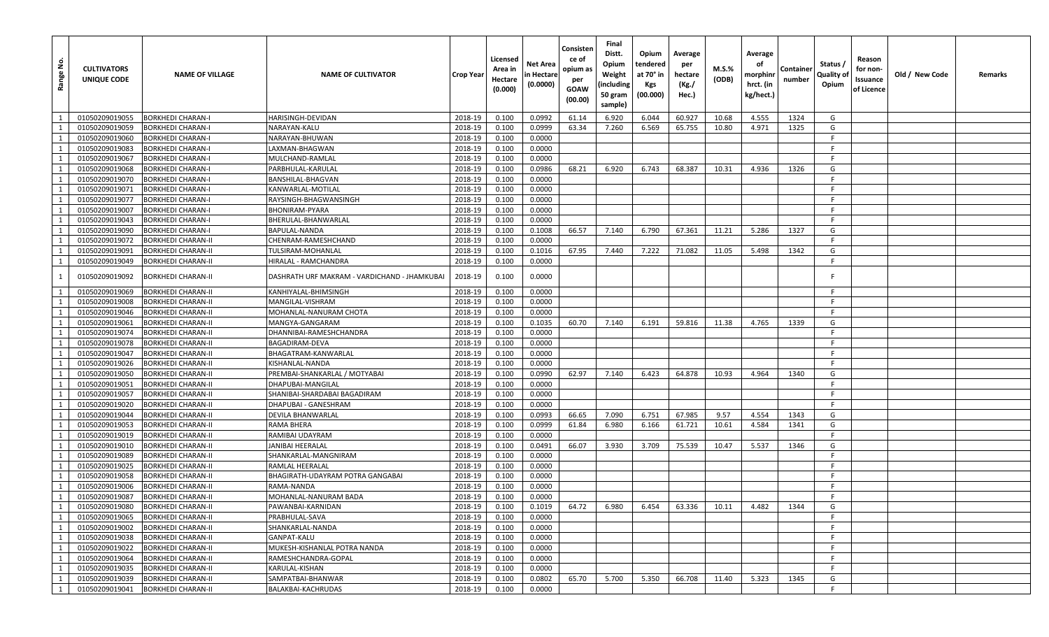| Range No.    | <b>CULTIVATORS</b><br>UNIQUE CODE | <b>NAME OF VILLAGE</b>    | <b>NAME OF CULTIVATOR</b>                    | Crop Year | Licensed<br>Area in<br>Hectare<br>(0.000) | Net Area<br>n Hectare<br>(0.0000) | Consisten<br>ce of<br>opium as<br>per<br><b>GOAW</b><br>(00.00) | Final<br>Distt.<br>Opium<br>Weight<br>(including<br>50 gram<br>sample) | Opium<br>tendered<br>at 70° in<br><b>Kgs</b><br>(00.000) | Average<br>per<br>hectare<br>(Kg./<br>Hec.) | <b>M.S.%</b><br>(ODB) | Average<br>οf<br>morphinr<br>hrct. (in<br>kg/hect.) | Container<br>number | Status /<br>Quality of<br>Opium | Reason<br>for non-<br>Issuance<br>of Licence | Old / New Code | Remarks |
|--------------|-----------------------------------|---------------------------|----------------------------------------------|-----------|-------------------------------------------|-----------------------------------|-----------------------------------------------------------------|------------------------------------------------------------------------|----------------------------------------------------------|---------------------------------------------|-----------------------|-----------------------------------------------------|---------------------|---------------------------------|----------------------------------------------|----------------|---------|
| 1            | 01050209019055                    | <b>BORKHEDI CHARAN-I</b>  | HARISINGH-DEVIDAN                            | 2018-19   | 0.100                                     | 0.0992                            | 61.14                                                           | 6.920                                                                  | 6.044                                                    | 60.927                                      | 10.68                 | 4.555                                               | 1324                | G                               |                                              |                |         |
| 1            | 01050209019059                    | <b>BORKHEDI CHARAN-I</b>  | NARAYAN-KALU                                 | 2018-19   | 0.100                                     | 0.0999                            | 63.34                                                           | 7.260                                                                  | 6.569                                                    | 65.755                                      | 10.80                 | 4.971                                               | 1325                | G                               |                                              |                |         |
| 1            | 01050209019060                    | <b>BORKHEDI CHARAN-I</b>  | NARAYAN-BHUWAN                               | 2018-19   | 0.100                                     | 0.0000                            |                                                                 |                                                                        |                                                          |                                             |                       |                                                     |                     | F                               |                                              |                |         |
| 1            | 01050209019083                    | <b>BORKHEDI CHARAN-I</b>  | LAXMAN-BHAGWAN                               | 2018-19   | 0.100                                     | 0.0000                            |                                                                 |                                                                        |                                                          |                                             |                       |                                                     |                     | F.                              |                                              |                |         |
| 1            | 01050209019067                    | <b>BORKHEDI CHARAN-I</b>  | MULCHAND-RAMLAL                              | 2018-19   | 0.100                                     | 0.0000                            |                                                                 |                                                                        |                                                          |                                             |                       |                                                     |                     | F.                              |                                              |                |         |
| 1            | 01050209019068                    | <b>BORKHEDI CHARAN-I</b>  | PARBHULAL-KARULAL                            | 2018-19   | 0.100                                     | 0.0986                            | 68.21                                                           | 6.920                                                                  | 6.743                                                    | 68.387                                      | 10.31                 | 4.936                                               | 1326                | G                               |                                              |                |         |
| 1            | 01050209019070                    | <b>BORKHEDI CHARAN-I</b>  | BANSHILAL-BHAGVAN                            | 2018-19   | 0.100                                     | 0.0000                            |                                                                 |                                                                        |                                                          |                                             |                       |                                                     |                     | F.                              |                                              |                |         |
| 1            | 01050209019071                    | <b>BORKHEDI CHARAN-I</b>  | KANWARLAL-MOTILAL                            | 2018-19   | 0.100                                     | 0.0000                            |                                                                 |                                                                        |                                                          |                                             |                       |                                                     |                     | F.                              |                                              |                |         |
| 1            | 01050209019077                    | <b>BORKHEDI CHARAN-I</b>  | RAYSINGH-BHAGWANSINGH                        | 2018-19   | 0.100                                     | 0.0000                            |                                                                 |                                                                        |                                                          |                                             |                       |                                                     |                     | -F.                             |                                              |                |         |
| 1            | 01050209019007                    | <b>BORKHEDI CHARAN-I</b>  | BHONIRAM-PYARA                               | 2018-19   | 0.100                                     | 0.0000                            |                                                                 |                                                                        |                                                          |                                             |                       |                                                     |                     | - F                             |                                              |                |         |
| 1            | 01050209019043                    | <b>BORKHEDI CHARAN-I</b>  | BHERULAL-BHANWARLAL                          | 2018-19   | 0.100                                     | 0.0000                            |                                                                 |                                                                        |                                                          |                                             |                       |                                                     |                     | F.                              |                                              |                |         |
| 1            | 01050209019090                    | <b>BORKHEDI CHARAN-I</b>  | BAPULAL-NANDA                                | 2018-19   | 0.100                                     | 0.1008                            | 66.57                                                           | 7.140                                                                  | 6.790                                                    | 67.361                                      | 11.21                 | 5.286                                               | 1327                | G                               |                                              |                |         |
| -1           | 01050209019072                    | <b>BORKHEDI CHARAN-II</b> | CHENRAM-RAMESHCHAND                          | 2018-19   | 0.100                                     | 0.0000                            |                                                                 |                                                                        |                                                          |                                             |                       |                                                     |                     | F.                              |                                              |                |         |
| 1            | 01050209019091                    | <b>BORKHEDI CHARAN-II</b> | <b>TULSIRAM-MOHANLAL</b>                     | 2018-19   | 0.100                                     | 0.1016                            | 67.95                                                           | 7.440                                                                  | 7.222                                                    | 71.082                                      | 11.05                 | 5.498                                               | 1342                | G                               |                                              |                |         |
| 1            | 01050209019049                    | <b>BORKHEDI CHARAN-II</b> | HIRALAL - RAMCHANDRA                         | 2018-19   | 0.100                                     | 0.0000                            |                                                                 |                                                                        |                                                          |                                             |                       |                                                     |                     | F.                              |                                              |                |         |
| 1            | 01050209019092                    | <b>BORKHEDI CHARAN-II</b> | DASHRATH URF MAKRAM - VARDICHAND - JHAMKUBAI | 2018-19   | 0.100                                     | 0.0000                            |                                                                 |                                                                        |                                                          |                                             |                       |                                                     |                     | -F                              |                                              |                |         |
| 1            | 01050209019069                    | <b>BORKHEDI CHARAN-II</b> | KANHIYALAL-BHIMSINGH                         | 2018-19   | 0.100                                     | 0.0000                            |                                                                 |                                                                        |                                                          |                                             |                       |                                                     |                     | -F.                             |                                              |                |         |
| 1            | 01050209019008                    | <b>BORKHEDI CHARAN-II</b> | MANGILAL-VISHRAM                             | 2018-19   | 0.100                                     | 0.0000                            |                                                                 |                                                                        |                                                          |                                             |                       |                                                     |                     | F.                              |                                              |                |         |
| 1            | 01050209019046                    | <b>BORKHEDI CHARAN-II</b> | MOHANLAL-NANURAM CHOTA                       | 2018-19   | 0.100                                     | 0.0000                            |                                                                 |                                                                        |                                                          |                                             |                       |                                                     |                     | -F                              |                                              |                |         |
| 1            | 01050209019061                    | <b>BORKHEDI CHARAN-II</b> | MANGYA-GANGARAM                              | 2018-19   | 0.100                                     | 0.1035                            | 60.70                                                           | 7.140                                                                  | 6.191                                                    | 59.816                                      | 11.38                 | 4.765                                               | 1339                | G                               |                                              |                |         |
| 1            | 01050209019074                    | <b>BORKHEDI CHARAN-II</b> | DHANNIBAI-RAMESHCHANDRA                      | 2018-19   | 0.100                                     | 0.0000                            |                                                                 |                                                                        |                                                          |                                             |                       |                                                     |                     | F.                              |                                              |                |         |
| 1            | 01050209019078                    | <b>BORKHEDI CHARAN-II</b> | <b>BAGADIRAM-DEVA</b>                        | 2018-19   | 0.100                                     | 0.0000                            |                                                                 |                                                                        |                                                          |                                             |                       |                                                     |                     | F.                              |                                              |                |         |
| <sup>1</sup> | 01050209019047                    | <b>BORKHEDI CHARAN-II</b> | BHAGATRAM-KANWARLAL                          | 2018-19   | 0.100                                     | 0.0000                            |                                                                 |                                                                        |                                                          |                                             |                       |                                                     |                     | F.                              |                                              |                |         |
| 1            | 01050209019026                    | <b>BORKHEDI CHARAN-II</b> | KISHANLAL-NANDA                              | 2018-19   | 0.100                                     | 0.0000                            |                                                                 |                                                                        |                                                          |                                             |                       |                                                     |                     | F.                              |                                              |                |         |
| 1            | 01050209019050                    | <b>BORKHEDI CHARAN-II</b> | PREMBAI-SHANKARLAL / MOTYABAI                | 2018-19   | 0.100                                     | 0.0990                            | 62.97                                                           | 7.140                                                                  | 6.423                                                    | 64.878                                      | 10.93                 | 4.964                                               | 1340                | G                               |                                              |                |         |
| 1            | 01050209019051                    | <b>BORKHEDI CHARAN-II</b> | DHAPUBAI-MANGILAL                            | 2018-19   | 0.100                                     | 0.0000                            |                                                                 |                                                                        |                                                          |                                             |                       |                                                     |                     | F.                              |                                              |                |         |
| 1            | 01050209019057                    | <b>BORKHEDI CHARAN-II</b> | SHANIBAI-SHARDABAI BAGADIRAM                 | 2018-19   | 0.100                                     | 0.0000                            |                                                                 |                                                                        |                                                          |                                             |                       |                                                     |                     | -F                              |                                              |                |         |
| 1            | 01050209019020                    | <b>BORKHEDI CHARAN-II</b> | DHAPUBAI - GANESHRAM                         | 2018-19   | 0.100                                     | 0.0000                            |                                                                 |                                                                        |                                                          |                                             |                       |                                                     |                     | F.                              |                                              |                |         |
| 1            | 01050209019044                    | <b>BORKHEDI CHARAN-II</b> | DEVILA BHANWARLAL                            | 2018-19   | 0.100                                     | 0.0993                            | 66.65                                                           | 7.090                                                                  | 6.751                                                    | 67.985                                      | 9.57                  | 4.554                                               | 1343                | G                               |                                              |                |         |
| 1            | 01050209019053                    | <b>BORKHEDI CHARAN-II</b> | RAMA BHERA                                   | 2018-19   | 0.100                                     | 0.0999                            | 61.84                                                           | 6.980                                                                  | 6.166                                                    | 61.721                                      | 10.61                 | 4.584                                               | 1341                | G                               |                                              |                |         |
| 1            | 01050209019019                    | <b>BORKHEDI CHARAN-II</b> | RAMIBAI UDAYRAM                              | 2018-19   | 0.100                                     | 0.0000                            |                                                                 |                                                                        |                                                          |                                             |                       |                                                     |                     | F.                              |                                              |                |         |
| 1            | 01050209019010                    | <b>BORKHEDI CHARAN-II</b> | JANIBAI HEERALAL                             | 2018-19   | 0.100                                     | 0.0491                            | 66.07                                                           | 3.930                                                                  | 3.709                                                    | 75.539                                      | 10.47                 | 5.537                                               | 1346                | G                               |                                              |                |         |
| 1            | 01050209019089                    | <b>BORKHEDI CHARAN-II</b> | SHANKARLAL-MANGNIRAM                         | 2018-19   | 0.100                                     | 0.0000                            |                                                                 |                                                                        |                                                          |                                             |                       |                                                     |                     | F.                              |                                              |                |         |
| 1            | 01050209019025                    | <b>BORKHEDI CHARAN-II</b> | RAMLAL HEERALAL                              | 2018-19   | 0.100                                     | 0.0000                            |                                                                 |                                                                        |                                                          |                                             |                       |                                                     |                     | -F                              |                                              |                |         |
| 1            | 01050209019058                    | <b>BORKHEDI CHARAN-II</b> | BHAGIRATH-UDAYRAM POTRA GANGABAI             | 2018-19   | 0.100                                     | 0.0000                            |                                                                 |                                                                        |                                                          |                                             |                       |                                                     |                     | F.                              |                                              |                |         |
| 1            | 01050209019006                    | <b>BORKHEDI CHARAN-II</b> | RAMA-NANDA                                   | 2018-19   | 0.100                                     | 0.0000                            |                                                                 |                                                                        |                                                          |                                             |                       |                                                     |                     | -F.                             |                                              |                |         |
| $\mathbf{1}$ | 01050209019087                    | <b>BORKHEDI CHARAN-II</b> | MOHANLAL-NANURAM BADA                        | 2018-19   | 0.100                                     | 0.0000                            |                                                                 |                                                                        |                                                          |                                             |                       |                                                     |                     | -F                              |                                              |                |         |
| 1            | 01050209019080                    | <b>BORKHEDI CHARAN-II</b> | PAWANBAI-KARNIDAN                            | 2018-19   | 0.100                                     | 0.1019                            | 64.72                                                           | 6.980                                                                  | 6.454                                                    | 63.336                                      | 10.11                 | 4.482                                               | 1344                | G                               |                                              |                |         |
| 1            | 01050209019065                    | <b>BORKHEDI CHARAN-II</b> | PRABHULAL-SAVA                               | 2018-19   | 0.100                                     | 0.0000                            |                                                                 |                                                                        |                                                          |                                             |                       |                                                     |                     | F.                              |                                              |                |         |
| 1            | 01050209019002                    | <b>BORKHEDI CHARAN-II</b> | SHANKARLAL-NANDA                             | 2018-19   | 0.100                                     | 0.0000                            |                                                                 |                                                                        |                                                          |                                             |                       |                                                     |                     | F.                              |                                              |                |         |
| <sup>1</sup> | 01050209019038                    | <b>BORKHEDI CHARAN-II</b> | GANPAT-KALU                                  | 2018-19   | 0.100                                     | 0.0000                            |                                                                 |                                                                        |                                                          |                                             |                       |                                                     |                     | F                               |                                              |                |         |
| 1            | 01050209019022                    | <b>BORKHEDI CHARAN-II</b> | MUKESH-KISHANLAL POTRA NANDA                 | 2018-19   | 0.100                                     | 0.0000                            |                                                                 |                                                                        |                                                          |                                             |                       |                                                     |                     | F.                              |                                              |                |         |
| 1            | 01050209019064                    | <b>BORKHEDI CHARAN-II</b> | RAMESHCHANDRA-GOPAL                          | 2018-19   | 0.100                                     | 0.0000                            |                                                                 |                                                                        |                                                          |                                             |                       |                                                     |                     | F                               |                                              |                |         |
| 1            | 01050209019035                    | <b>BORKHEDI CHARAN-II</b> | KARULAL-KISHAN                               | 2018-19   | 0.100                                     | 0.0000                            |                                                                 |                                                                        |                                                          |                                             |                       |                                                     |                     | F.                              |                                              |                |         |
| $\mathbf{1}$ | 01050209019039                    | <b>BORKHEDI CHARAN-II</b> | SAMPATBAI-BHANWAR                            | 2018-19   | 0.100                                     | 0.0802                            | 65.70                                                           | 5.700                                                                  | 5.350                                                    | 66.708                                      | 11.40                 | 5.323                                               | 1345                | G                               |                                              |                |         |
| 1            | 01050209019041                    | <b>BORKHEDI CHARAN-II</b> | BALAKBAI-KACHRUDAS                           | 2018-19   | 0.100                                     | 0.0000                            |                                                                 |                                                                        |                                                          |                                             |                       |                                                     |                     | F.                              |                                              |                |         |
|              |                                   |                           |                                              |           |                                           |                                   |                                                                 |                                                                        |                                                          |                                             |                       |                                                     |                     |                                 |                                              |                |         |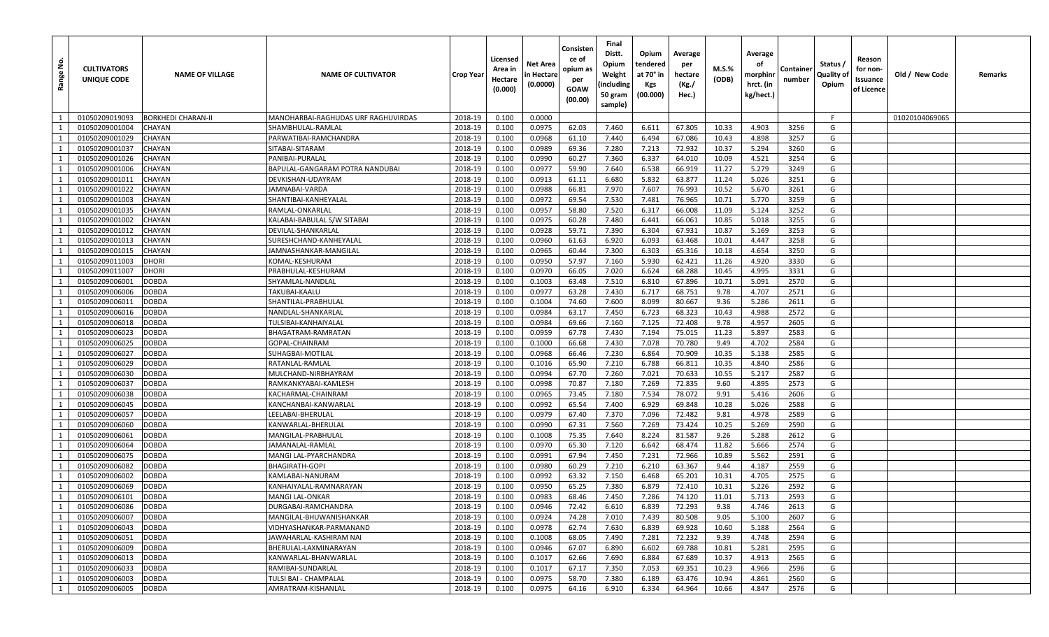| <u>و</u><br>Range | <b>CULTIVATORS</b><br>UNIQUE CODE | <b>NAME OF VILLAGE</b>    | <b>NAME OF CULTIVATOR</b>           | <b>Crop Year</b> | Licensed<br>Area in<br>Hectare<br>(0.000) | Net Area<br>n Hectare<br>(0.0000) | Consister<br>ce of<br>opium as<br>per<br><b>GOAW</b><br>(00.00) | Final<br>Distt.<br>Opium<br>Weight<br>including<br>50 gram<br>sample) | Opium<br>tendered<br>at 70° in<br>Kgs<br>(00.000) | Average<br>per<br>hectare<br>(Kg./<br>Hec.) | $M.S.\%$<br>(ODB) | Average<br>оf<br>morphinr<br>hrct. (in<br>kg/hect.) | Containeı<br>number | Status /<br>Quality oʻ<br>Opium | Reason<br>for non-<br>Issuance<br>of Licence | Old / New Code | Remarks |
|-------------------|-----------------------------------|---------------------------|-------------------------------------|------------------|-------------------------------------------|-----------------------------------|-----------------------------------------------------------------|-----------------------------------------------------------------------|---------------------------------------------------|---------------------------------------------|-------------------|-----------------------------------------------------|---------------------|---------------------------------|----------------------------------------------|----------------|---------|
| $\overline{1}$    | 01050209019093                    | <b>BORKHEDI CHARAN-II</b> | MANOHARBAI-RAGHUDAS URF RAGHUVIRDAS | 2018-19          | 0.100                                     | 0.0000                            |                                                                 |                                                                       |                                                   |                                             |                   |                                                     |                     | F.                              |                                              | 01020104069065 |         |
| 1                 | 01050209001004                    | CHAYAN                    | SHAMBHULAL-RAMLAL                   | 2018-19          | 0.100                                     | 0.0975                            | 62.03                                                           | 7.460                                                                 | 6.611                                             | 67.805                                      | 10.33             | 4.903                                               | 3256                | G                               |                                              |                |         |
| 1                 | 01050209001029                    | CHAYAN                    | PARWATIBAI-RAMCHANDRA               | 2018-19          | 0.100                                     | 0.0968                            | 61.10                                                           | 7.440                                                                 | 6.494                                             | 67.086                                      | 10.43             | 4.898                                               | 3257                | G                               |                                              |                |         |
| 1                 | 01050209001037                    | <b>CHAYAN</b>             | SITABAI-SITARAM                     | 2018-19          | 0.100                                     | 0.0989                            | 69.36                                                           | 7.280                                                                 | 7.213                                             | 72.932                                      | 10.37             | 5.294                                               | 3260                | G                               |                                              |                |         |
| 1                 | 01050209001026                    | CHAYAN                    | PANIBAI-PURALAI                     | 2018-19          | 0.100                                     | 0.0990                            | 60.27                                                           | 7.360                                                                 | 6.337                                             | 64.010                                      | 10.09             | 4.521                                               | 3254                | G                               |                                              |                |         |
| 1                 | 01050209001006                    | CHAYAN                    | BAPULAL-GANGARAM POTRA NANDUBAI     | 2018-19          | 0.100                                     | 0.0977                            | 59.90                                                           | 7.640                                                                 | 6.538                                             | 66.919                                      | 11.27             | 5.279                                               | 3249                | G                               |                                              |                |         |
| 1                 | 01050209001011                    | CHAYAN                    | DEVKISHAN-UDAYRAM                   | 2018-19          | 0.100                                     | 0.0913                            | 61.11                                                           | 6.680                                                                 | 5.832                                             | 63.877                                      | 11.24             | 5.026                                               | 3251                | G                               |                                              |                |         |
| 1                 | 01050209001022                    | <b>CHAYAN</b>             | JAMNABAI-VARDA                      | 2018-19          | 0.100                                     | 0.0988                            | 66.81                                                           | 7.970                                                                 | 7.607                                             | 76.993                                      | 10.52             | 5.670                                               | 3261                | G                               |                                              |                |         |
| $\mathbf{1}$      | 01050209001003                    | CHAYAN                    | SHANTIBAI-KANHEYALAL                | 2018-19          | 0.100                                     | 0.0972                            | 69.54                                                           | 7.530                                                                 | 7.481                                             | 76.965                                      | 10.71             | 5.770                                               | 3259                | G                               |                                              |                |         |
| 1                 | 01050209001035                    | CHAYAN                    | RAMLAL-ONKARLAL                     | 2018-19          | 0.100                                     | 0.0957                            | 58.80                                                           | 7.520                                                                 | 6.317                                             | 66.008                                      | 11.09             | 5.124                                               | 3252                | G                               |                                              |                |         |
| 1                 | 01050209001002                    | <b>CHAYAN</b>             | KALABAI-BABULAL S/W SITABAI         | 2018-19          | 0.100                                     | 0.0975                            | 60.28                                                           | 7.480                                                                 | 6.441                                             | 66.061                                      | 10.85             | 5.018                                               | 3255                | G                               |                                              |                |         |
| 1                 | 01050209001012                    | <b>CHAYAN</b>             | DEVILAL-SHANKARLAL                  | 2018-19          | 0.100                                     | 0.0928                            | 59.71                                                           | 7.390                                                                 | 6.304                                             | 67.931                                      | 10.87             | 5.169                                               | 3253                | G                               |                                              |                |         |
| 1                 | 01050209001013                    | CHAYAN                    | SURESHCHAND-KANHEYALAL              | 2018-19          | 0.100                                     | 0.0960                            | 61.63                                                           | 6.920                                                                 | 6.093                                             | 63.468                                      | 10.01             | 4.447                                               | 3258                | G                               |                                              |                |         |
| 1                 | 01050209001015                    | CHAYAN                    | JAMNASHANKAR-MANGILAL               | 2018-19          | 0.100                                     | 0.0965                            | 60.44                                                           | 7.300                                                                 | 6.303                                             | 65.316                                      | 10.18             | 4.654                                               | 3250                | G                               |                                              |                |         |
| 1                 | 01050209011003                    | <b>DHORI</b>              | KOMAL-KESHURAM                      | 2018-19          | 0.100                                     | 0.0950                            | 57.97                                                           | 7.160                                                                 | 5.930                                             | 62.421                                      | 11.26             | 4.920                                               | 3330                | G                               |                                              |                |         |
| 1                 | 01050209011007                    | DHORI                     | PRABHULAL-KESHURAM                  | 2018-19          | 0.100                                     | 0.0970                            | 66.05                                                           | 7.020                                                                 | 6.624                                             | 68.288                                      | 10.45             | 4.995                                               | 3331                | G                               |                                              |                |         |
| 1                 | 01050209006001                    | <b>DOBDA</b>              | SHYAMLAL-NANDLAL                    | 2018-19          | 0.100                                     | 0.1003                            | 63.48                                                           | 7.510                                                                 | 6.810                                             | 67.896                                      | 10.71             | 5.091                                               | 2570                | G                               |                                              |                |         |
| 1                 | 01050209006006                    | <b>DOBDA</b>              | TAKUBAI-KAALU                       | 2018-19          | 0.100                                     | 0.0977                            | 63.28                                                           | 7.430                                                                 | 6.717                                             | 68.751                                      | 9.78              | 4.707                                               | 2571                | G                               |                                              |                |         |
| 1                 | 01050209006011                    | DOBDA                     | SHANTILAL-PRABHULAL                 | 2018-19          | 0.100                                     | 0.1004                            | 74.60                                                           | 7.600                                                                 | 8.099                                             | 80.667                                      | 9.36              | 5.286                                               | 2611                | G                               |                                              |                |         |
| 1                 | 01050209006016                    | <b>DOBDA</b>              | NANDLAL-SHANKARLAL                  | 2018-19          | 0.100                                     | 0.0984                            | 63.17                                                           | 7.450                                                                 | 6.723                                             | 68.323                                      | 10.43             | 4.988                                               | 2572                | G                               |                                              |                |         |
| 1                 | 01050209006018                    | DOBDA                     | TULSIBAI-KANHAIYALAL                | 2018-19          | 0.100                                     | 0.0984                            | 69.66                                                           | 7.160                                                                 | 7.125                                             | 72.408                                      | 9.78              | 4.957                                               | 2605                | G                               |                                              |                |         |
| 1                 | 01050209006023                    | <b>DOBDA</b>              | BHAGATRAM-RAMRATAN                  | 2018-19          | 0.100                                     | 0.0959                            | 67.78                                                           | 7.430                                                                 | 7.194                                             | 75.015                                      | 11.23             | 5.897                                               | 2583                | G                               |                                              |                |         |
| $\mathbf{1}$      | 01050209006025                    | DOBDA                     | GOPAL-CHAINRAM                      | 2018-19          | 0.100                                     | 0.1000                            | 66.68                                                           | 7.430                                                                 | 7.078                                             | 70.780                                      | 9.49              | 4.702                                               | 2584                | G                               |                                              |                |         |
| 1                 | 01050209006027                    | DOBDA                     | SUHAGBAI-MOTILAL                    | 2018-19          | 0.100                                     | 0.0968                            | 66.46                                                           | 7.230                                                                 | 6.864                                             | 70.909                                      | 10.35             | 5.138                                               | 2585                | G                               |                                              |                |         |
| 1                 | 01050209006029                    | <b>DOBDA</b>              | RATANLAL-RAMLAL                     | 2018-19          | 0.100                                     | 0.1016                            | 65.90                                                           | 7.210                                                                 | 6.788                                             | 66.811                                      | 10.35             | 4.840                                               | 2586                | G                               |                                              |                |         |
| 1                 | 01050209006030                    | <b>DOBDA</b>              | MULCHAND-NIRBHAYRAM                 | 2018-19          | 0.100                                     | 0.0994                            | 67.70                                                           | 7.260                                                                 | 7.021                                             | 70.633                                      | 10.55             | 5.217                                               | 2587                | G                               |                                              |                |         |
| 1                 | 01050209006037                    | DOBDA                     | RAMKANKYABAI-KAMLESH                | 2018-19          | 0.100                                     | 0.0998                            | 70.87                                                           | 7.180                                                                 | 7.269                                             | 72.835                                      | 9.60              | 4.895                                               | 2573                | G                               |                                              |                |         |
| 1                 | 01050209006038                    | <b>DOBDA</b>              | KACHARMAL-CHAINRAM                  | 2018-19          | 0.100                                     | 0.0965                            | 73.45                                                           | 7.180                                                                 | 7.534                                             | 78.072                                      | 9.91              | 5.416                                               | 2606                | G                               |                                              |                |         |
| 1                 | 01050209006045                    | <b>DOBDA</b>              | KANCHANBAI-KANWARLAL                | 2018-19          | 0.100                                     | 0.0992                            | 65.54                                                           | 7.400                                                                 | 6.929                                             | 69.848                                      | 10.28             | 5.026                                               | 2588                | G                               |                                              |                |         |
| 1                 | 01050209006057                    | DOBDA                     | LEELABAI-BHERULAL                   | 2018-19          | 0.100                                     | 0.0979                            | 67.40                                                           | 7.370                                                                 | 7.096                                             | 72.482                                      | 9.81              | 4.978                                               | 2589                | G                               |                                              |                |         |
| 1                 | 01050209006060                    | <b>DOBDA</b>              | KANWARLAL-BHERULAL                  | 2018-19          | 0.100                                     | 0.0990                            | 67.31                                                           | 7.560                                                                 | 7.269                                             | 73.424                                      | 10.25             | 5.269                                               | 2590                | G                               |                                              |                |         |
| 1                 | 01050209006061                    | DOBDA                     | MANGILAL-PRABHULAL                  | 2018-19          | 0.100                                     | 0.1008                            | 75.35                                                           | 7.640                                                                 | 8.224                                             | 81.587                                      | 9.26              | 5.288                                               | 2612                | G                               |                                              |                |         |
| 1                 | 01050209006064                    | <b>DOBDA</b>              | JAMANALAL-RAMLAI                    | 2018-19          | 0.100                                     | 0.0970                            | 65.30                                                           | 7.120                                                                 | 6.642                                             | 68.474                                      | 11.82             | 5.666                                               | 2574                | G                               |                                              |                |         |
| 1                 | 01050209006075                    | <b>DOBDA</b>              | MANGI LAL-PYARCHANDRA               | 2018-19          | 0.100                                     | 0.0991                            | 67.94                                                           | 7.450                                                                 | 7.231                                             | 72.966                                      | 10.89             | 5.562                                               | 2591                | G                               |                                              |                |         |
| 1                 | 01050209006082                    | DOBDA                     | <b>BHAGIRATH-GOPI</b>               | 2018-19          | 0.100                                     | 0.0980                            | 60.29                                                           | 7.210                                                                 | 6.210                                             | 63.367                                      | 9.44              | 4.187                                               | 2559                | G                               |                                              |                |         |
| 1                 | 01050209006002                    | DOBDA                     | KAMLABAI-NANURAM                    | 2018-19          | 0.100                                     | 0.0992                            | 63.32                                                           | 7.150                                                                 | 6.468                                             | 65.201                                      | 10.31             | 4.705                                               | 2575                | G                               |                                              |                |         |
| $\mathbf{1}$      | 01050209006069                    | <b>DOBDA</b>              | KANHAIYALAL-RAMNARAYAN              | 2018-19          | 0.100                                     | 0.0950                            | 65.25                                                           | 7.380                                                                 | 6.879                                             | 72.410                                      | 10.31             | 5.226                                               | 2592                | G                               |                                              |                |         |
| 1                 | 01050209006101                    | DOBDA                     | <b>MANGI LAL-ONKAR</b>              | 2018-19          | 0.100                                     | 0.0983                            | 68.46                                                           | 7.450                                                                 | 7.286                                             | 74.120                                      | 11.01             | 5.713                                               | 2593                | G                               |                                              |                |         |
| 1                 | 01050209006086                    | <b>DOBDA</b>              | DURGABAI-RAMCHANDRA                 | 2018-19          | 0.100                                     | 0.0946                            | 72.42                                                           | 6.610                                                                 | 6.839                                             | 72.293                                      | 9.38              | 4.746                                               | 2613                | G                               |                                              |                |         |
| 1                 | 01050209006007                    | <b>DOBDA</b>              | MANGILAL-BHUWANISHANKAR             | 2018-19          | 0.100                                     | 0.0924                            | 74.28                                                           | 7.010                                                                 | 7.439                                             | 80.508                                      | 9.05              | 5.100                                               | 2607                | G                               |                                              |                |         |
| 1                 | 01050209006043                    | <b>DOBDA</b>              | VIDHYASHANKAR-PARMANAND             | 2018-19          | 0.100                                     | 0.0978                            | 62.74                                                           | 7.630                                                                 | 6.839                                             | 69.928                                      | 10.60             | 5.188                                               | 2564                | G                               |                                              |                |         |
| 1                 | 01050209006051                    | <b>DOBDA</b>              | JAWAHARLAL-KASHIRAM NAI             | 2018-19          | 0.100                                     | 0.1008                            | 68.05                                                           | 7.490                                                                 | 7.281                                             | 72.232                                      | 9.39              | 4.748                                               | 2594                | G                               |                                              |                |         |
| 1                 | 01050209006009                    | <b>DOBDA</b>              | BHERULAL-LAXMINARAYAN               | 2018-19          | 0.100                                     | 0.0946                            | 67.07                                                           | 6.890                                                                 | 6.602                                             | 69.788                                      | 10.81             | 5.281                                               | 2595                | G                               |                                              |                |         |
| 1                 | 01050209006013                    | <b>DOBDA</b>              | KANWARLAL-BHANWARLAL                | 2018-19          | 0.100                                     | 0.1017                            | 62.66                                                           | 7.690                                                                 | 6.884                                             | 67.689                                      | 10.37             | 4.913                                               | 2565                | G                               |                                              |                |         |
| 1                 | 01050209006033                    | <b>DOBDA</b>              | RAMIBAI-SUNDARLAL                   | 2018-19          | 0.100                                     | 0.1017                            | 67.17                                                           | 7.350                                                                 | 7.053                                             | 69.351                                      | 10.23             | 4.966                                               | 2596                | G                               |                                              |                |         |
| 1                 | 01050209006003                    | <b>DOBDA</b>              | TULSI BAI - CHAMPALAL               | 2018-19          | 0.100                                     | 0.0975                            | 58.70                                                           | 7.380                                                                 | 6.189                                             | 63.476                                      | 10.94             | 4.861                                               | 2560                | G                               |                                              |                |         |
| 1                 | 01050209006005                    | <b>DOBDA</b>              | AMRATRAM-KISHANLAL                  | 2018-19          | 0.100                                     | 0.0975                            | 64.16                                                           | 6.910                                                                 | 6.334                                             | 64.964                                      | 10.66             | 4.847                                               | 2576                | G                               |                                              |                |         |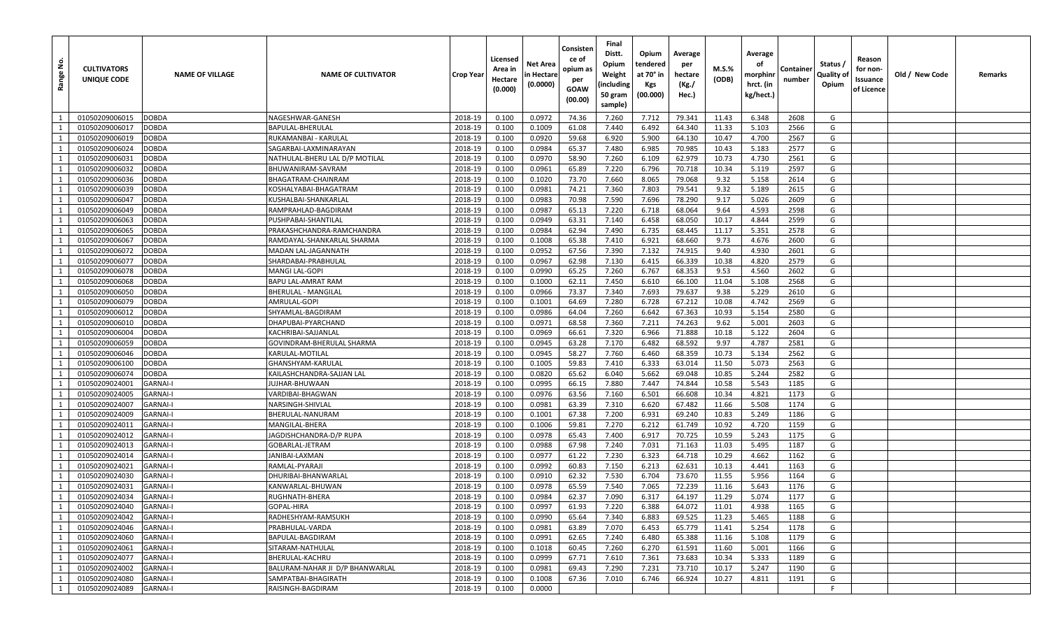| غ.<br>Range    | <b>CULTIVATORS</b><br>UNIQUE CODE | <b>NAME OF VILLAGE</b> | <b>NAME OF CULTIVATOR</b>       | <b>Crop Year</b> | Licensed<br>Area in<br>Hectare<br>(0.000) | Net Area<br>n Hectare<br>(0.0000) | Consisten<br>ce of<br>opium as<br>per<br>GOAW<br>(00.00) | Final<br>Distt.<br>Opium<br>Weight<br>(including<br>50 gram<br>sample) | Opium<br>tendered<br>at 70° in<br>Kgs<br>(00.000) | Average<br>per<br>hectare<br>(Kg./<br>Hec.) | M.S.%<br>(ODB) | Average<br>οf<br>morphinr<br>hrct. (in<br>kg/hect.) | Container<br>number | Status /<br>Quality of<br>Opium | Reason<br>for non-<br>Issuance<br>of Licence | Old / New Code | Remarks |
|----------------|-----------------------------------|------------------------|---------------------------------|------------------|-------------------------------------------|-----------------------------------|----------------------------------------------------------|------------------------------------------------------------------------|---------------------------------------------------|---------------------------------------------|----------------|-----------------------------------------------------|---------------------|---------------------------------|----------------------------------------------|----------------|---------|
| $\overline{1}$ | 01050209006015                    | DOBDA                  | NAGESHWAR-GANESH                | 2018-19          | 0.100                                     | 0.0972                            | 74.36                                                    | 7.260                                                                  | 7.712                                             | 79.341                                      | 11.43          | 6.348                                               | 2608                | G                               |                                              |                |         |
| 1              | 01050209006017                    | DOBDA                  | BAPULAL-BHERULAL                | 2018-19          | 0.100                                     | 0.1009                            | 61.08                                                    | 7.440                                                                  | 6.492                                             | 64.340                                      | 11.33          | 5.103                                               | 2566                | G                               |                                              |                |         |
| 1              | 01050209006019                    | DOBDA                  | RUKAMANBAI - KARULAL            | 2018-19          | 0.100                                     | 0.0920                            | 59.68                                                    | 6.920                                                                  | 5.900                                             | 64.130                                      | 10.47          | 4.700                                               | 2567                | G                               |                                              |                |         |
| 1              | 01050209006024                    | DOBDA                  | SAGARBAI-LAXMINARAYAN           | 2018-19          | 0.100                                     | 0.0984                            | 65.37                                                    | 7.480                                                                  | 6.985                                             | 70.985                                      | 10.43          | 5.183                                               | 2577                | G                               |                                              |                |         |
| 1              | 01050209006031                    | DOBDA                  | NATHULAL-BHERU LAL D/P MOTILAL  | 2018-19          | 0.100                                     | 0.0970                            | 58.90                                                    | 7.260                                                                  | 6.109                                             | 62.979                                      | 10.73          | 4.730                                               | 2561                | G                               |                                              |                |         |
| 1              | 01050209006032                    | DOBDA                  | BHUWANIRAM-SAVRAM               | 2018-19          | 0.100                                     | 0.0961                            | 65.89                                                    | 7.220                                                                  | 6.796                                             | 70.718                                      | 10.34          | 5.119                                               | 2597                | G                               |                                              |                |         |
| 1              | 01050209006036                    | DOBDA                  | BHAGATRAM-CHAINRAM              | 2018-19          | 0.100                                     | 0.1020                            | 73.70                                                    | 7.660                                                                  | 8.065                                             | 79.068                                      | 9.32           | 5.158                                               | 2614                | G                               |                                              |                |         |
| 1              | 01050209006039                    | DOBDA                  | KOSHALYABAI-BHAGATRAM           | 2018-19          | 0.100                                     | 0.0981                            | 74.21                                                    | 7.360                                                                  | 7.803                                             | 79.541                                      | 9.32           | 5.189                                               | 2615                | G                               |                                              |                |         |
| $\mathbf{1}$   | 01050209006047                    | DOBDA                  | KUSHALBAI-SHANKARLAI            | 2018-19          | 0.100                                     | 0.0983                            | 70.98                                                    | 7.590                                                                  | 7.696                                             | 78.290                                      | 9.17           | 5.026                                               | 2609                | G                               |                                              |                |         |
| 1              | 01050209006049                    | DOBDA                  | RAMPRAHLAD-BAGDIRAM             | 2018-19          | 0.100                                     | 0.0987                            | 65.13                                                    | 7.220                                                                  | 6.718                                             | 68.064                                      | 9.64           | 4.593                                               | 2598                | G                               |                                              |                |         |
| 1              | 01050209006063                    | DOBDA                  | PUSHPABAI-SHANTILAI             | 2018-19          | 0.100                                     | 0.0949                            | 63.31                                                    | 7.140                                                                  | 6.458                                             | 68.050                                      | 10.17          | 4.844                                               | 2599                | G                               |                                              |                |         |
| 1              | 01050209006065                    | DOBDA                  | PRAKASHCHANDRA-RAMCHANDRA       | 2018-19          | 0.100                                     | 0.0984                            | 62.94                                                    | 7.490                                                                  | 6.735                                             | 68.445                                      | 11.17          | 5.351                                               | 2578                | G                               |                                              |                |         |
| 1              | 01050209006067                    | DOBDA                  | RAMDAYAL-SHANKARLAL SHARMA      | 2018-19          | 0.100                                     | 0.1008                            | 65.38                                                    | 7.410                                                                  | 6.921                                             | 68.660                                      | 9.73           | 4.676                                               | 2600                | G                               |                                              |                |         |
| 1              | 01050209006072                    | DOBDA                  | MADAN LAL-JAGANNATH             | 2018-19          | 0.100                                     | 0.0952                            | 67.56                                                    | 7.390                                                                  | 7.132                                             | 74.915                                      | 9.40           | 4.930                                               | 2601                | G                               |                                              |                |         |
| 1              | 01050209006077                    | DOBDA                  | SHARDABAI-PRABHULAL             | 2018-19          | 0.100                                     | 0.0967                            | 62.98                                                    | 7.130                                                                  | 6.415                                             | 66.339                                      | 10.38          | 4.820                                               | 2579                | G                               |                                              |                |         |
| 1              | 01050209006078                    | DOBDA                  | MANGI LAL-GOPI                  | 2018-19          | 0.100                                     | 0.0990                            | 65.25                                                    | 7.260                                                                  | 6.767                                             | 68.353                                      | 9.53           | 4.560                                               | 2602                | G                               |                                              |                |         |
| 1              | 01050209006068                    | DOBDA                  | BAPU LAL-AMRAT RAM              | 2018-19          | 0.100                                     | 0.1000                            | 62.11                                                    | 7.450                                                                  | 6.610                                             | 66.100                                      | 11.04          | 5.108                                               | 2568                | G                               |                                              |                |         |
| 1              | 01050209006050                    | <b>DOBDA</b>           | BHERULAL - MANGILAL             | 2018-19          | 0.100                                     | 0.0966                            | 73.37                                                    | 7.340                                                                  | 7.693                                             | 79.637                                      | 9.38           | 5.229                                               | 2610                | G                               |                                              |                |         |
| 1              | 01050209006079                    | DOBDA                  | AMRULAL-GOPI                    | 2018-19          | 0.100                                     | 0.1001                            | 64.69                                                    | 7.280                                                                  | 6.728                                             | 67.212                                      | 10.08          | 4.742                                               | 2569                | G                               |                                              |                |         |
| 1              | 01050209006012                    | DOBDA                  | SHYAMLAL-BAGDIRAM               | 2018-19          | 0.100                                     | 0.0986                            | 64.04                                                    | 7.260                                                                  | 6.642                                             | 67.363                                      | 10.93          | 5.154                                               | 2580                | G                               |                                              |                |         |
| 1              | 01050209006010                    | DOBDA                  | DHAPUBAI-PYARCHAND              | 2018-19          | 0.100                                     | 0.0971                            | 68.58                                                    | 7.360                                                                  | 7.211                                             | 74.263                                      | 9.62           | 5.001                                               | 2603                | G                               |                                              |                |         |
| 1              | 01050209006004                    | DOBDA                  | KACHRIBAI-SAJJANLAL             | 2018-19          | 0.100                                     | 0.0969                            | 66.61                                                    | 7.320                                                                  | 6.966                                             | 71.888                                      | 10.18          | 5.122                                               | 2604                | G                               |                                              |                |         |
| $\mathbf{1}$   | 01050209006059                    | DOBDA                  | GOVINDRAM-BHERULAL SHARMA       | 2018-19          | 0.100                                     | 0.0945                            | 63.28                                                    | 7.170                                                                  | 6.482                                             | 68.592                                      | 9.97           | 4.787                                               | 2581                | G                               |                                              |                |         |
| 1              | 01050209006046                    | DOBDA                  | KARULAL-MOTILAL                 | 2018-19          | 0.100                                     | 0.0945                            | 58.27                                                    | 7.760                                                                  | 6.460                                             | 68.359                                      | 10.73          | 5.134                                               | 2562                | G                               |                                              |                |         |
| 1              | 01050209006100                    | DOBDA                  | GHANSHYAM-KARULAI               | 2018-19          | 0.100                                     | 0.1005                            | 59.83                                                    | 7.410                                                                  | 6.333                                             | 63.014                                      | 11.50          | 5.073                                               | 2563                | G                               |                                              |                |         |
| 1              | 01050209006074                    | DOBDA                  | KAILASHCHANDRA-SAJJAN LAL       | 2018-19          | 0.100                                     | 0.0820                            | 65.62                                                    | 6.040                                                                  | 5.662                                             | 69.048                                      | 10.85          | 5.244                                               | 2582                | G                               |                                              |                |         |
| 1              | 01050209024001                    | <b>GARNAI-I</b>        | UJHAR-BHUWAAN                   | 2018-19          | 0.100                                     | 0.0995                            | 66.15                                                    | 7.880                                                                  | 7.447                                             | 74.844                                      | 10.58          | 5.543                                               | 1185                | G                               |                                              |                |         |
| 1              | 01050209024005                    | <b>GARNAI-I</b>        | VARDIBAI-BHAGWAN                | 2018-19          | 0.100                                     | 0.0976                            | 63.56                                                    | 7.160                                                                  | 6.501                                             | 66.608                                      | 10.34          | 4.821                                               | 1173                | G                               |                                              |                |         |
| 1              | 01050209024007                    | <b>GARNAI-I</b>        | NARSINGH-SHIVLAL                | 2018-19          | 0.100                                     | 0.0981                            | 63.39                                                    | 7.310                                                                  | 6.620                                             | 67.482                                      | 11.66          | 5.508                                               | 1174                | G                               |                                              |                |         |
| 1              | 01050209024009                    | <b>GARNAI-I</b>        | BHERULAL-NANURAM                | 2018-19          | 0.100                                     | 0.1001                            | 67.38                                                    | 7.200                                                                  | 6.931                                             | 69.240                                      | 10.83          | 5.249                                               | 1186                | G                               |                                              |                |         |
| 1              | 01050209024011                    | <b>GARNAI-I</b>        | MANGILAL-BHERA                  | 2018-19          | 0.100                                     | 0.1006                            | 59.81                                                    | 7.270                                                                  | 6.212                                             | 61.749                                      | 10.92          | 4.720                                               | 1159                | G                               |                                              |                |         |
| 1              | 01050209024012                    | <b>GARNAI-I</b>        | JAGDISHCHANDRA-D/P RUPA         | 2018-19          | 0.100                                     | 0.0978                            | 65.43                                                    | 7.400                                                                  | 6.917                                             | 70.725                                      | 10.59          | 5.243                                               | 1175                | G                               |                                              |                |         |
| 1              | 01050209024013                    | <b>GARNAI-I</b>        | GOBARLAL-JETRAM                 | 2018-19          | 0.100                                     | 0.0988                            | 67.98                                                    | 7.240                                                                  | 7.031                                             | 71.163                                      | 11.03          | 5.495                                               | 1187                | G                               |                                              |                |         |
| 1              | 01050209024014                    | <b>GARNAI-I</b>        | JANIBAI-LAXMAN                  | 2018-19          | 0.100                                     | 0.0977                            | 61.22                                                    | 7.230                                                                  | 6.323                                             | 64.718                                      | 10.29          | 4.662                                               | 1162                | G                               |                                              |                |         |
| 1              | 01050209024021                    | <b>GARNAI-I</b>        | RAMLAL-PYARAJI                  | 2018-19          | 0.100                                     | 0.0992                            | 60.83                                                    | 7.150                                                                  | 6.213                                             | 62.631                                      | 10.13          | 4.441                                               | 1163                | G                               |                                              |                |         |
| 1              | 01050209024030                    | <b>GARNAI-I</b>        | DHURIBAI-BHANWARLAL             | 2018-19          | 0.100                                     | 0.0910                            | 62.32                                                    | 7.530                                                                  | 6.704                                             | 73.670                                      | 11.55          | 5.956                                               | 1164                | G                               |                                              |                |         |
| 1              | 01050209024031                    | <b>GARNAI-I</b>        | KANWARLAL-BHUWAN                | 2018-19          | 0.100                                     | 0.0978                            | 65.59                                                    | 7.540                                                                  | 7.065                                             | 72.239                                      | 11.16          | 5.643                                               | 1176                | G                               |                                              |                |         |
| 1              | 01050209024034                    | <b>GARNAI-I</b>        | RUGHNATH-BHERA                  | 2018-19          | 0.100                                     | 0.0984                            | 62.37                                                    | 7.090                                                                  | 6.317                                             | 64.197                                      | 11.29          | 5.074                                               | 1177                | G                               |                                              |                |         |
| 1              | 01050209024040                    | <b>GARNAI-I</b>        | GOPAL-HIRA                      | 2018-19          | 0.100                                     | 0.0997                            | 61.93                                                    | 7.220                                                                  | 6.388                                             | 64.072                                      | 11.01          | 4.938                                               | 1165                | G                               |                                              |                |         |
| 1              | 01050209024042                    | <b>GARNAI-I</b>        | RADHESHYAM-RAMSUKH              | 2018-19          | 0.100                                     | 0.0990                            | 65.64                                                    | 7.340                                                                  | 6.883                                             | 69.525                                      | 11.23          | 5.465                                               | 1188                | G                               |                                              |                |         |
| $\mathbf{1}$   | 01050209024046                    | <b>GARNAI-I</b>        | PRABHULAL-VARDA                 | 2018-19          | 0.100                                     | 0.0981                            | 63.89                                                    | 7.070                                                                  | 6.453                                             | 65.779                                      | 11.41          | 5.254                                               | 1178                | G                               |                                              |                |         |
| 1              | 01050209024060                    | <b>GARNAI-I</b>        | BAPULAL-BAGDIRAM                | 2018-19          | 0.100                                     | 0.0991                            | 62.65                                                    | 7.240                                                                  | 6.480                                             | 65.388                                      | 11.16          | 5.108                                               | 1179                | G                               |                                              |                |         |
| 1              | 01050209024061                    | <b>GARNAI-I</b>        | SITARAM-NATHULAL                | 2018-19          | 0.100                                     | 0.1018                            | 60.45                                                    | 7.260                                                                  | 6.270                                             | 61.591                                      | 11.60          | 5.001                                               | 1166                | G                               |                                              |                |         |
| 1              | 01050209024077                    | <b>GARNAI-I</b>        | BHERULAL-KACHRU                 | 2018-19          | 0.100                                     | 0.0999                            | 67.71                                                    | 7.610                                                                  | 7.361                                             | 73.683                                      | 10.34          | 5.333                                               | 1189                | G                               |                                              |                |         |
| 1              | 01050209024002                    | <b>GARNAI-I</b>        | BALURAM-NAHAR JI D/P BHANWARLAL | 2018-19          | 0.100                                     | 0.0981                            | 69.43                                                    | 7.290                                                                  | 7.231                                             | 73.710                                      | 10.17          | 5.247                                               | 1190                | G                               |                                              |                |         |
| 1              | 01050209024080                    | <b>GARNAI-I</b>        | SAMPATBAI-BHAGIRATH             | 2018-19          | 0.100                                     | 0.1008                            | 67.36                                                    | 7.010                                                                  | 6.746                                             | 66.924                                      | 10.27          | 4.811                                               | 1191                | G<br>F                          |                                              |                |         |
| 1              | 01050209024089                    | <b>GARNAI-I</b>        | RAISINGH-BAGDIRAM               | 2018-19          | 0.100                                     | 0.0000                            |                                                          |                                                                        |                                                   |                                             |                |                                                     |                     |                                 |                                              |                |         |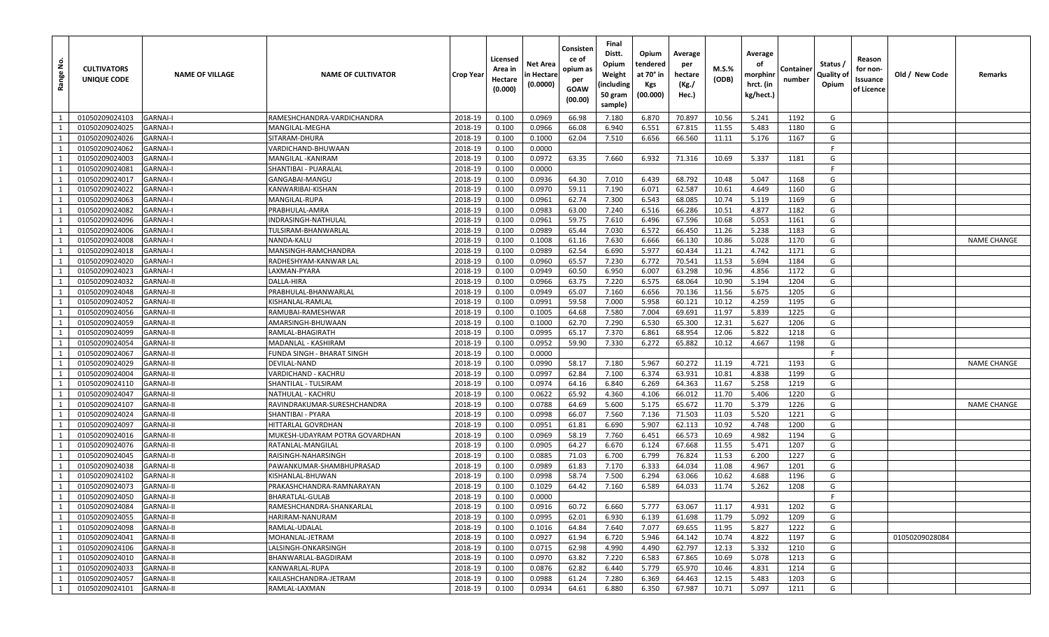| <u>و</u><br>Range | <b>CULTIVATORS</b><br>UNIQUE CODE | <b>NAME OF VILLAGE</b> | <b>NAME OF CULTIVATOR</b>      | Crop Year | Licensed<br>Area in<br>Hectare<br>(0.000) | Net Area<br>n Hectare<br>(0.0000) | Consisten<br>ce of<br>opium as<br>per<br>GOAW<br>(00.00) | Final<br>Distt.<br>Opium<br>Weight<br>(including<br>50 gram<br>sample) | Opium<br>tendered<br>at 70° in<br>Kgs<br>(00.000) | Average<br>per<br>hectare<br>(Kg./<br>Hec.) | M.S.%<br>(ODB) | Average<br>оf<br>morphinr<br>hrct. (in<br>kg/hect.) | Containe<br>number | Status,<br>Quality of<br>Opium | Reason<br>for non-<br>Issuance<br>of Licence | Old / New Code | Remarks            |
|-------------------|-----------------------------------|------------------------|--------------------------------|-----------|-------------------------------------------|-----------------------------------|----------------------------------------------------------|------------------------------------------------------------------------|---------------------------------------------------|---------------------------------------------|----------------|-----------------------------------------------------|--------------------|--------------------------------|----------------------------------------------|----------------|--------------------|
| 1                 | 01050209024103                    | <b>GARNAI-I</b>        | RAMESHCHANDRA-VARDICHANDRA     | 2018-19   | 0.100                                     | 0.0969                            | 66.98                                                    | 7.180                                                                  | 6.870                                             | 70.897                                      | 10.56          | 5.241                                               | 1192               | G                              |                                              |                |                    |
| 1                 | 01050209024025                    | <b>GARNAI-I</b>        | MANGILAL-MEGHA                 | 2018-19   | 0.100                                     | 0.0966                            | 66.08                                                    | 6.940                                                                  | 6.551                                             | 67.815                                      | 11.55          | 5.483                                               | 1180               | G                              |                                              |                |                    |
| 1                 | 01050209024026                    | <b>GARNAI-I</b>        | SITARAM-DHURA                  | 2018-19   | 0.100                                     | 0.1000                            | 62.04                                                    | 7.510                                                                  | 6.656                                             | 66.560                                      | 11.11          | 5.176                                               | 1167               | G                              |                                              |                |                    |
| 1                 | 01050209024062                    | <b>GARNAI-I</b>        | VARDICHAND-BHUWAAN             | 2018-19   | 0.100                                     | 0.0000                            |                                                          |                                                                        |                                                   |                                             |                |                                                     |                    | F                              |                                              |                |                    |
| 1                 | 01050209024003                    | <b>GARNAI-I</b>        | MANGILAL - KANIRAM             | 2018-19   | 0.100                                     | 0.0972                            | 63.35                                                    | 7.660                                                                  | 6.932                                             | 71.316                                      | 10.69          | 5.337                                               | 1181               | G                              |                                              |                |                    |
| 1                 | 01050209024081                    | <b>GARNAI-I</b>        | SHANTIBAI - PUARALAI           | 2018-19   | 0.100                                     | 0.0000                            |                                                          |                                                                        |                                                   |                                             |                |                                                     |                    | F                              |                                              |                |                    |
| 1                 | 01050209024017                    | <b>GARNAI-I</b>        | GANGABAI-MANGU                 | 2018-19   | 0.100                                     | 0.0936                            | 64.30                                                    | 7.010                                                                  | 6.439                                             | 68.792                                      | 10.48          | 5.047                                               | 1168               | G                              |                                              |                |                    |
| 1                 | 01050209024022                    | <b>GARNAI-I</b>        | KANWARIBAI-KISHAN              | 2018-19   | 0.100                                     | 0.0970                            | 59.11                                                    | 7.190                                                                  | 6.071                                             | 62.587                                      | 10.61          | 4.649                                               | 1160               | G                              |                                              |                |                    |
| 1                 | 01050209024063                    | <b>GARNAI-I</b>        | MANGILAL-RUPA                  | 2018-19   | 0.100                                     | 0.0961                            | 62.74                                                    | 7.300                                                                  | 6.543                                             | 68.085                                      | 10.74          | 5.119                                               | 1169               | G                              |                                              |                |                    |
| 1                 | 01050209024082                    | <b>GARNAI-I</b>        | PRABHULAL-AMRA                 | 2018-19   | 0.100                                     | 0.0983                            | 63.00                                                    | 7.240                                                                  | 6.516                                             | 66.286                                      | 10.51          | 4.877                                               | 1182               | G                              |                                              |                |                    |
| 1                 | 01050209024096                    | <b>GARNAI-I</b>        | INDRASINGH-NATHULAI            | 2018-19   | 0.100                                     | 0.0961                            | 59.75                                                    | 7.610                                                                  | 6.496                                             | 67.596                                      | 10.68          | 5.053                                               | 1161               | G                              |                                              |                |                    |
| $\mathbf{1}$      | 01050209024006                    | <b>GARNAI-I</b>        | TULSIRAM-BHANWARLAL            | 2018-19   | 0.100                                     | 0.0989                            | 65.44                                                    | 7.030                                                                  | 6.572                                             | 66.450                                      | 11.26          | 5.238                                               | 1183               | G                              |                                              |                |                    |
| 1                 | 01050209024008                    | <b>GARNAI-I</b>        | NANDA-KALU                     | 2018-19   | 0.100                                     | 0.1008                            | 61.16                                                    | 7.630                                                                  | 6.666                                             | 66.130                                      | 10.86          | 5.028                                               | 1170               | G                              |                                              |                | <b>NAME CHANGE</b> |
| 1                 | 01050209024018                    | <b>GARNAI-I</b>        | MANSINGH-RAMCHANDRA            | 2018-19   | 0.100                                     | 0.0989                            | 62.54                                                    | 6.690                                                                  | 5.977                                             | 60.434                                      | 11.21          | 4.742                                               | 1171               | G                              |                                              |                |                    |
| 1                 | 01050209024020                    | <b>GARNAI-I</b>        | RADHESHYAM-KANWAR LAL          | 2018-19   | 0.100                                     | 0.0960                            | 65.57                                                    | 7.230                                                                  | 6.772                                             | 70.541                                      | 11.53          | 5.694                                               | 1184               | G                              |                                              |                |                    |
| 1                 | 01050209024023                    | <b>GARNAI-I</b>        | .AXMAN-PYARA                   | 2018-19   | 0.100                                     | 0.0949                            | 60.50                                                    | 6.950                                                                  | 6.007                                             | 63.298                                      | 10.96          | 4.856                                               | 1172               | G                              |                                              |                |                    |
| 1                 | 01050209024032                    | <b>GARNAI-II</b>       | DALLA-HIRA                     | 2018-19   | 0.100                                     | 0.0966                            | 63.75                                                    | 7.220                                                                  | 6.575                                             | 68.064                                      | 10.90          | 5.194                                               | 1204               | G                              |                                              |                |                    |
| 1                 | 01050209024048                    | <b>GARNAI-II</b>       | PRABHULAL-BHANWARLAL           | 2018-19   | 0.100                                     | 0.0949                            | 65.07                                                    | 7.160                                                                  | 6.656                                             | 70.136                                      | 11.56          | 5.675                                               | 1205               | G                              |                                              |                |                    |
| $\mathbf{1}$      | 01050209024052                    | <b>GARNAI-II</b>       | KISHANLAL-RAMLAL               | 2018-19   | 0.100                                     | 0.0991                            | 59.58                                                    | 7.000                                                                  | 5.958                                             | 60.121                                      | 10.12          | 4.259                                               | 1195               | G                              |                                              |                |                    |
| 1                 | 01050209024056                    | <b>GARNAI-II</b>       | RAMUBAI-RAMESHWAR              | 2018-19   | 0.100                                     | 0.1005                            | 64.68                                                    | 7.580                                                                  | 7.004                                             | 69.691                                      | 11.97          | 5.839                                               | 1225               | G                              |                                              |                |                    |
| 1                 | 01050209024059                    | <b>GARNAI-II</b>       | AMARSINGH-BHUWAAN              | 2018-19   | 0.100                                     | 0.1000                            | 62.70                                                    | 7.290                                                                  | 6.530                                             | 65.300                                      | 12.31          | 5.627                                               | 1206               | G                              |                                              |                |                    |
| 1                 | 01050209024099                    | <b>GARNAI-II</b>       | RAMLAL-BHAGIRATH               | 2018-19   | 0.100                                     | 0.0995                            | 65.17                                                    | 7.370                                                                  | 6.861                                             | 68.954                                      | 12.06          | 5.822                                               | 1218               | G                              |                                              |                |                    |
| 1                 | 01050209024054                    | <b>GARNAI-II</b>       | MADANLAL - KASHIRAM            | 2018-19   | 0.100                                     | 0.0952                            | 59.90                                                    | 7.330                                                                  | 6.272                                             | 65.882                                      | 10.12          | 4.667                                               | 1198               | G                              |                                              |                |                    |
| 1                 | 01050209024067                    | <b>GARNAI-II</b>       | FUNDA SINGH - BHARAT SINGH     | 2018-19   | 0.100                                     | 0.0000                            |                                                          |                                                                        |                                                   |                                             |                |                                                     |                    | F                              |                                              |                |                    |
| 1                 | 01050209024029                    | <b>GARNAI-II</b>       | DEVILAL-NAND                   | 2018-19   | 0.100                                     | 0.0990                            | 58.17                                                    | 7.180                                                                  | 5.967                                             | 60.272                                      | 11.19          | 4.721                                               | 1193               | G                              |                                              |                | <b>NAME CHANGE</b> |
| 1                 | 01050209024004                    | <b>GARNAI-II</b>       | VARDICHAND - KACHRU            | 2018-19   | 0.100                                     | 0.0997                            | 62.84                                                    | 7.100                                                                  | 6.374                                             | 63.931                                      | 10.81          | 4.838                                               | 1199               | G                              |                                              |                |                    |
| 1                 | 01050209024110                    | <b>GARNAI-II</b>       | SHANTILAL - TULSIRAM           | 2018-19   | 0.100                                     | 0.0974                            | 64.16                                                    | 6.840                                                                  | 6.269                                             | 64.363                                      | 11.67          | 5.258                                               | 1219               | G                              |                                              |                |                    |
| 1                 | 01050209024047                    | <b>GARNAI-II</b>       | NATHULAL - KACHRU              | 2018-19   | 0.100                                     | 0.0622                            | 65.92                                                    | 4.360                                                                  | 4.106                                             | 66.012                                      | 11.70          | 5.406                                               | 1220               | G                              |                                              |                |                    |
| 1                 | 01050209024107                    | <b>GARNAI-II</b>       | RAVINDRAKUMAR-SURESHCHANDRA    | 2018-19   | 0.100                                     | 0.0788                            | 64.69                                                    | 5.600                                                                  | 5.175                                             | 65.672                                      | 11.70          | 5.379                                               | 1226               | G                              |                                              |                | <b>NAME CHANGE</b> |
| 1                 | 01050209024024                    | <b>GARNAI-II</b>       | SHANTIBAI - PYARA              | 2018-19   | 0.100                                     | 0.0998                            | 66.07                                                    | 7.560                                                                  | 7.136                                             | 71.503                                      | 11.03          | 5.520                                               | 1221               | G                              |                                              |                |                    |
| 1                 | 01050209024097                    | <b>GARNAI-II</b>       | HITTARLAL GOVRDHAN             | 2018-19   | 0.100                                     | 0.0951                            | 61.81                                                    | 6.690                                                                  | 5.907                                             | 62.113                                      | 10.92          | 4.748                                               | 1200               | G                              |                                              |                |                    |
| 1                 | 01050209024016                    | <b>GARNAI-II</b>       | MUKESH-UDAYRAM POTRA GOVARDHAN | 2018-19   | 0.100                                     | 0.0969                            | 58.19                                                    | 7.760                                                                  | 6.451                                             | 66.573                                      | 10.69          | 4.982                                               | 1194               | G                              |                                              |                |                    |
| 1                 | 01050209024076                    | <b>GARNAI-II</b>       | RATANLAL-MANGILAL              | 2018-19   | 0.100                                     | 0.0905                            | 64.27                                                    | 6.670                                                                  | 6.124                                             | 67.668                                      | 11.55          | 5.471                                               | 1207               | G                              |                                              |                |                    |
| 1                 | 01050209024045                    | <b>GARNAI-II</b>       | RAISINGH-NAHARSINGH            | 2018-19   | 0.100                                     | 0.0885                            | 71.03                                                    | 6.700                                                                  | 6.799                                             | 76.824                                      | 11.53          | 6.200                                               | 1227               | G                              |                                              |                |                    |
| <sup>1</sup>      | 01050209024038                    | <b>GARNAI-II</b>       | PAWANKUMAR-SHAMBHUPRASAD       | 2018-19   | 0.100                                     | 0.0989                            | 61.83                                                    | 7.170                                                                  | 6.333                                             | 64.034                                      | 11.08          | 4.967                                               | 1201               | G                              |                                              |                |                    |
| 1                 | 01050209024102                    | <b>GARNAI-II</b>       | KISHANLAL-BHUWAN               | 2018-19   | 0.100                                     | 0.0998                            | 58.74                                                    | 7.500                                                                  | 6.294                                             | 63.066                                      | 10.62          | 4.688                                               | 1196               | G                              |                                              |                |                    |
| 1                 | 01050209024073                    | <b>GARNAI-II</b>       | PRAKASHCHANDRA-RAMNARAYAN      | 2018-19   | 0.100                                     | 0.1029                            | 64.42                                                    | 7.160                                                                  | 6.589                                             | 64.033                                      | 11.74          | 5.262                                               | 1208               | G                              |                                              |                |                    |
| $\mathbf{1}$      | 01050209024050                    | <b>GARNAI-II</b>       | BHARATLAL-GULAB                | 2018-19   | 0.100                                     | 0.0000                            |                                                          |                                                                        |                                                   |                                             |                |                                                     |                    | Е                              |                                              |                |                    |
| <sup>1</sup>      | 01050209024084                    | <b>GARNAI-II</b>       | RAMESHCHANDRA-SHANKARLAL       | 2018-19   | 0.100                                     | 0.0916                            | 60.72                                                    | 6.660                                                                  | 5.777                                             | 63.067                                      | 11.17          | 4.931                                               | 1202               | G                              |                                              |                |                    |
| 1                 | 01050209024055                    | <b>GARNAI-II</b>       | HARIRAM-NANURAM                | 2018-19   | 0.100                                     | 0.0995                            | 62.01                                                    | 6.930                                                                  | 6.139                                             | 61.698                                      | 11.79          | 5.092                                               | 1209               | G                              |                                              |                |                    |
| 1                 | 01050209024098                    | <b>GARNAI-II</b>       | RAMLAL-UDALAL                  | 2018-19   | 0.100                                     | 0.1016                            | 64.84                                                    | 7.640                                                                  | 7.077                                             | 69.655                                      | 11.95          | 5.827                                               | 1222               | G                              |                                              |                |                    |
| 1                 | 01050209024041                    | <b>GARNAI-II</b>       | MOHANLAL-JETRAM                | 2018-19   | 0.100                                     | 0.0927                            | 61.94                                                    | 6.720                                                                  | 5.946                                             | 64.142                                      | 10.74          | 4.822                                               | 1197               | G                              |                                              | 01050209028084 |                    |
| 1                 | 01050209024106                    | <b>GARNAI-II</b>       | LALSINGH-ONKARSINGH            | 2018-19   | 0.100                                     | 0.0715                            | 62.98                                                    | 4.990                                                                  | 4.490                                             | 62.797                                      | 12.13          | 5.332                                               | 1210               | G                              |                                              |                |                    |
| 1                 | 01050209024010                    | <b>GARNAI-II</b>       | BHANWARLAL-BAGDIRAM            | 2018-19   | 0.100                                     | 0.0970                            | 63.82                                                    | 7.220                                                                  | 6.583                                             | 67.865                                      | 10.69          | 5.078                                               | 1213               | G                              |                                              |                |                    |
| 1                 | 01050209024033                    | <b>GARNAI-II</b>       | KANWARLAL-RUPA                 | 2018-19   | 0.100                                     | 0.0876                            | 62.82                                                    | 6.440                                                                  | 5.779                                             | 65.970                                      | 10.46          | 4.831                                               | 1214               | G                              |                                              |                |                    |
| 1                 | 01050209024057                    | <b>GARNAI-II</b>       | KAILASHCHANDRA-JETRAM          | 2018-19   | 0.100                                     | 0.0988                            | 61.24                                                    | 7.280                                                                  | 6.369                                             | 64.463                                      | 12.15          | 5.483                                               | 1203               | G                              |                                              |                |                    |
| 1                 | 01050209024101                    | <b>GARNAI-II</b>       | RAMLAL-LAXMAN                  | 2018-19   | 0.100                                     | 0.0934                            | 64.61                                                    | 6.880                                                                  | 6.350                                             | 67.987                                      | 10.71          | 5.097                                               | 1211               | G                              |                                              |                |                    |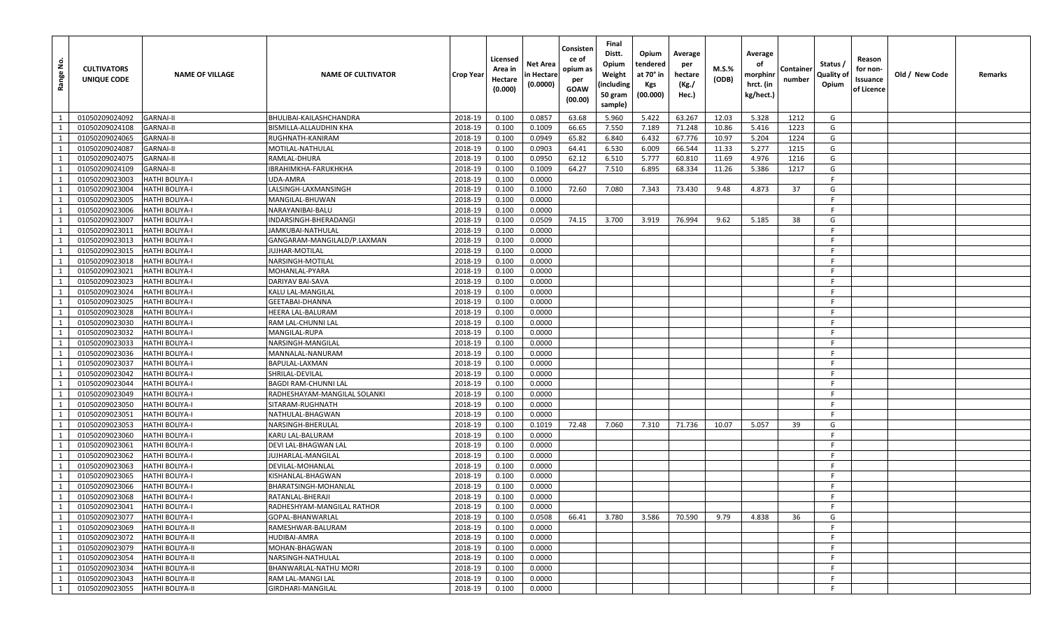| <u>غ</u><br>Range | <b>CULTIVATORS</b><br>UNIQUE CODE | <b>NAME OF VILLAGE</b> | <b>NAME OF CULTIVATOR</b>    | Crop Year | Licensed<br>Area in<br>Hectare<br>(0.000) | Net Area<br>n Hectare<br>(0.0000) | Consisten<br>ce of<br>opium as<br>per<br><b>GOAW</b><br>(00.00) | Final<br>Distt.<br>Opium<br>Weight<br>(including<br>50 gram<br>sample) | Opium<br>tendered<br>at 70° in<br><b>Kgs</b><br>(00.000) | Average<br>per<br>hectare<br>(Kg./<br>Hec.) | M.S.%<br>(ODB) | Average<br>оf<br>morphinr<br>hrct. (in<br>kg/hect.) | Containe<br>number | Status /<br>Quality of<br>Opium | Reason<br>for non-<br>Issuance<br>of Licence | Old / New Code | Remarks |
|-------------------|-----------------------------------|------------------------|------------------------------|-----------|-------------------------------------------|-----------------------------------|-----------------------------------------------------------------|------------------------------------------------------------------------|----------------------------------------------------------|---------------------------------------------|----------------|-----------------------------------------------------|--------------------|---------------------------------|----------------------------------------------|----------------|---------|
| 1                 | 01050209024092                    | <b>GARNAI-II</b>       | BHULIBAI-KAILASHCHANDRA      | 2018-19   | 0.100                                     | 0.0857                            | 63.68                                                           | 5.960                                                                  | 5.422                                                    | 63.267                                      | 12.03          | 5.328                                               | 1212               | G                               |                                              |                |         |
| 1                 | 01050209024108                    | <b>GARNAI-II</b>       | BISMILLA-ALLAUDHIN KHA       | 2018-19   | 0.100                                     | 0.1009                            | 66.65                                                           | 7.550                                                                  | 7.189                                                    | 71.248                                      | 10.86          | 5.416                                               | 1223               | G                               |                                              |                |         |
| 1                 | 01050209024065                    | <b>GARNAI-II</b>       | RUGHNATH-KANIRAM             | 2018-19   | 0.100                                     | 0.0949                            | 65.82                                                           | 6.840                                                                  | 6.432                                                    | 67.776                                      | 10.97          | 5.204                                               | 1224               | G                               |                                              |                |         |
| 1                 | 01050209024087                    | <b>GARNAI-II</b>       | MOTILAL-NATHULAL             | 2018-19   | 0.100                                     | 0.0903                            | 64.41                                                           | 6.530                                                                  | 6.009                                                    | 66.544                                      | 11.33          | 5.277                                               | 1215               | G                               |                                              |                |         |
| 1                 | 01050209024075                    | <b>GARNAI-II</b>       | RAMLAL-DHURA                 | 2018-19   | 0.100                                     | 0.0950                            | 62.12                                                           | 6.510                                                                  | 5.777                                                    | 60.810                                      | 11.69          | 4.976                                               | 1216               | G                               |                                              |                |         |
| 1                 | 01050209024109                    | <b>GARNAI-II</b>       | IBRAHIMKHA-FARUKHKHA         | 2018-19   | 0.100                                     | 0.1009                            | 64.27                                                           | 7.510                                                                  | 6.895                                                    | 68.334                                      | 11.26          | 5.386                                               | 1217               | G                               |                                              |                |         |
| 1                 | 01050209023003                    | <b>HATHI BOLIYA-I</b>  | UDA-AMRA                     | 2018-19   | 0.100                                     | 0.0000                            |                                                                 |                                                                        |                                                          |                                             |                |                                                     |                    | F.                              |                                              |                |         |
| 1                 | 01050209023004                    | <b>HATHI BOLIYA-I</b>  | LALSINGH-LAXMANSINGH         | 2018-19   | 0.100                                     | 0.1000                            | 72.60                                                           | 7.080                                                                  | 7.343                                                    | 73.430                                      | 9.48           | 4.873                                               | 37                 | G                               |                                              |                |         |
| 1                 | 01050209023005                    | <b>HATHI BOLIYA-I</b>  | MANGILAL-BHUWAN              | 2018-19   | 0.100                                     | 0.0000                            |                                                                 |                                                                        |                                                          |                                             |                |                                                     |                    | -F                              |                                              |                |         |
| 1                 | 01050209023006                    | <b>HATHI BOLIYA-I</b>  | NARAYANIBAI-BALU             | 2018-19   | 0.100                                     | 0.0000                            |                                                                 |                                                                        |                                                          |                                             |                |                                                     |                    | F.                              |                                              |                |         |
| 1                 | 01050209023007                    | <b>HATHI BOLIYA-I</b>  | INDARSINGH-BHERADANGI        | 2018-19   | 0.100                                     | 0.0509                            | 74.15                                                           | 3.700                                                                  | 3.919                                                    | 76.994                                      | 9.62           | 5.185                                               | 38                 | G                               |                                              |                |         |
| $\mathbf{1}$      | 01050209023011                    | <b>HATHI BOLIYA-I</b>  | JAMKUBAI-NATHULAL            | 2018-19   | 0.100                                     | 0.0000                            |                                                                 |                                                                        |                                                          |                                             |                |                                                     |                    | F.                              |                                              |                |         |
| 1                 | 01050209023013                    | <b>HATHI BOLIYA-I</b>  | GANGARAM-MANGILALD/P.LAXMAN  | 2018-19   | 0.100                                     | 0.0000                            |                                                                 |                                                                        |                                                          |                                             |                |                                                     |                    | -F                              |                                              |                |         |
| 1                 | 01050209023015                    | <b>HATHI BOLIYA-I</b>  | <b>JUJHAR-MOTILAL</b>        | 2018-19   | 0.100                                     | 0.0000                            |                                                                 |                                                                        |                                                          |                                             |                |                                                     |                    | F.                              |                                              |                |         |
| 1                 | 01050209023018                    | <b>HATHI BOLIYA-I</b>  | NARSINGH-MOTILAL             | 2018-19   | 0.100                                     | 0.0000                            |                                                                 |                                                                        |                                                          |                                             |                |                                                     |                    | -F                              |                                              |                |         |
| 1                 | 01050209023021                    | <b>HATHI BOLIYA-I</b>  | MOHANLAL-PYARA               | 2018-19   | 0.100                                     | 0.0000                            |                                                                 |                                                                        |                                                          |                                             |                |                                                     |                    | -F                              |                                              |                |         |
| 1                 | 01050209023023                    | <b>HATHI BOLIYA-I</b>  | DARIYAV BAI-SAVA             | 2018-19   | 0.100                                     | 0.0000                            |                                                                 |                                                                        |                                                          |                                             |                |                                                     |                    | -F                              |                                              |                |         |
| 1                 | 01050209023024                    | <b>HATHI BOLIYA-I</b>  | KALU LAL-MANGILAL            | 2018-19   | 0.100                                     | 0.0000                            |                                                                 |                                                                        |                                                          |                                             |                |                                                     |                    | -F                              |                                              |                |         |
| 1                 | 01050209023025                    | <b>HATHI BOLIYA-I</b>  | GEETABAI-DHANNA              | 2018-19   | 0.100                                     | 0.0000                            |                                                                 |                                                                        |                                                          |                                             |                |                                                     |                    | -F                              |                                              |                |         |
| 1                 | 01050209023028                    | <b>HATHI BOLIYA-I</b>  | HEERA LAL-BALURAM            | 2018-19   | 0.100                                     | 0.0000                            |                                                                 |                                                                        |                                                          |                                             |                |                                                     |                    | -F                              |                                              |                |         |
| <sup>1</sup>      | 01050209023030                    | <b>HATHI BOLIYA-I</b>  | RAM LAL-CHUNNI LAL           | 2018-19   | 0.100                                     | 0.0000                            |                                                                 |                                                                        |                                                          |                                             |                |                                                     |                    | F                               |                                              |                |         |
| 1                 | 01050209023032                    | <b>HATHI BOLIYA-I</b>  | MANGILAL-RUPA                | 2018-19   | 0.100                                     | 0.0000                            |                                                                 |                                                                        |                                                          |                                             |                |                                                     |                    | -F                              |                                              |                |         |
| 1                 | 01050209023033                    | <b>HATHI BOLIYA-I</b>  | NARSINGH-MANGILAL            | 2018-19   | 0.100                                     | 0.0000                            |                                                                 |                                                                        |                                                          |                                             |                |                                                     |                    | -F                              |                                              |                |         |
| <sup>1</sup>      | 01050209023036                    | <b>HATHI BOLIYA-I</b>  | MANNALAL-NANURAM             | 2018-19   | 0.100                                     | 0.0000                            |                                                                 |                                                                        |                                                          |                                             |                |                                                     |                    | -F                              |                                              |                |         |
| 1                 | 01050209023037                    | <b>HATHI BOLIYA-I</b>  | BAPULAL-LAXMAN               | 2018-19   | 0.100                                     | 0.0000                            |                                                                 |                                                                        |                                                          |                                             |                |                                                     |                    | -F                              |                                              |                |         |
| 1                 | 01050209023042                    | <b>HATHI BOLIYA-I</b>  | SHRILAL-DEVILAL              | 2018-19   | 0.100                                     | 0.0000                            |                                                                 |                                                                        |                                                          |                                             |                |                                                     |                    | F.                              |                                              |                |         |
| 1                 | 01050209023044                    | <b>HATHI BOLIYA-I</b>  | BAGDI RAM-CHUNNI LAL         | 2018-19   | 0.100                                     | 0.0000                            |                                                                 |                                                                        |                                                          |                                             |                |                                                     |                    | -F                              |                                              |                |         |
| 1                 | 01050209023049                    | <b>HATHI BOLIYA-I</b>  | RADHESHAYAM-MANGILAL SOLANKI | 2018-19   | 0.100                                     | 0.0000                            |                                                                 |                                                                        |                                                          |                                             |                |                                                     |                    | F.                              |                                              |                |         |
| 1                 | 01050209023050                    | <b>HATHI BOLIYA-I</b>  | SITARAM-RUGHNATH             | 2018-19   | 0.100                                     | 0.0000                            |                                                                 |                                                                        |                                                          |                                             |                |                                                     |                    | -F                              |                                              |                |         |
| 1                 | 01050209023051                    | <b>HATHI BOLIYA-I</b>  | NATHULAL-BHAGWAN             | 2018-19   | 0.100                                     | 0.0000                            |                                                                 |                                                                        |                                                          |                                             |                |                                                     |                    | -F                              |                                              |                |         |
| 1                 | 01050209023053                    | <b>HATHI BOLIYA-I</b>  | NARSINGH-BHERULAL            | 2018-19   | 0.100                                     | 0.1019                            | 72.48                                                           | 7.060                                                                  | 7.310                                                    | 71.736                                      | 10.07          | 5.057                                               | 39                 | G                               |                                              |                |         |
| 1                 | 01050209023060                    | <b>HATHI BOLIYA-I</b>  | KARU LAL-BALURAM             | 2018-19   | 0.100                                     | 0.0000                            |                                                                 |                                                                        |                                                          |                                             |                |                                                     |                    | F.                              |                                              |                |         |
| 1                 | 01050209023061                    | <b>HATHI BOLIYA-I</b>  | DEVI LAL-BHAGWAN LAI         | 2018-19   | 0.100                                     | 0.0000                            |                                                                 |                                                                        |                                                          |                                             |                |                                                     |                    | F.                              |                                              |                |         |
| 1                 | 01050209023062                    | <b>HATHI BOLIYA-I</b>  | JUJHARLAL-MANGILAL           | 2018-19   | 0.100                                     | 0.0000                            |                                                                 |                                                                        |                                                          |                                             |                |                                                     |                    | -F                              |                                              |                |         |
| <sup>1</sup>      | 01050209023063                    | <b>HATHI BOLIYA-I</b>  | DEVILAL-MOHANLAL             | 2018-19   | 0.100                                     | 0.0000                            |                                                                 |                                                                        |                                                          |                                             |                |                                                     |                    | F.                              |                                              |                |         |
| 1                 | 01050209023065                    | <b>HATHI BOLIYA-I</b>  | KISHANLAL-BHAGWAN            | 2018-19   | 0.100                                     | 0.0000                            |                                                                 |                                                                        |                                                          |                                             |                |                                                     |                    | -F                              |                                              |                |         |
| 1                 | 01050209023066                    | <b>HATHI BOLIYA-I</b>  | BHARATSINGH-MOHANLAL         | 2018-19   | 0.100                                     | 0.0000                            |                                                                 |                                                                        |                                                          |                                             |                |                                                     |                    | -F.                             |                                              |                |         |
| $\mathbf{1}$      | 01050209023068                    | <b>HATHI BOLIYA-I</b>  | RATANLAL-BHERAJI             | 2018-19   | 0.100                                     | 0.0000                            |                                                                 |                                                                        |                                                          |                                             |                |                                                     |                    | -F.                             |                                              |                |         |
| 1                 | 01050209023041                    | <b>HATHI BOLIYA-I</b>  | RADHESHYAM-MANGILAL RATHOR   | 2018-19   | 0.100                                     | 0.0000                            |                                                                 |                                                                        |                                                          |                                             |                |                                                     |                    | F.                              |                                              |                |         |
| 1                 | 01050209023077                    | <b>HATHI BOLIYA-I</b>  | GOPAL-BHANWARLAL             | 2018-19   | 0.100                                     | 0.0508                            | 66.41                                                           | 3.780                                                                  | 3.586                                                    | 70.590                                      | 9.79           | 4.838                                               | 36                 | G                               |                                              |                |         |
| 1                 | 01050209023069                    | <b>HATHI BOLIYA-II</b> | RAMESHWAR-BALURAM            | 2018-19   | 0.100                                     | 0.0000                            |                                                                 |                                                                        |                                                          |                                             |                |                                                     |                    | F.                              |                                              |                |         |
| 1                 | 01050209023072                    | <b>HATHI BOLIYA-II</b> | HUDIBAI-AMRA                 | 2018-19   | 0.100                                     | 0.0000                            |                                                                 |                                                                        |                                                          |                                             |                |                                                     |                    | F.                              |                                              |                |         |
| 1                 | 01050209023079                    | <b>HATHI BOLIYA-II</b> | MOHAN-BHAGWAN                | 2018-19   | 0.100                                     | 0.0000                            |                                                                 |                                                                        |                                                          |                                             |                |                                                     |                    | -F                              |                                              |                |         |
| $\overline{1}$    | 01050209023054                    | <b>HATHI BOLIYA-II</b> | NARSINGH-NATHULAL            | 2018-19   | 0.100                                     | 0.0000                            |                                                                 |                                                                        |                                                          |                                             |                |                                                     |                    | F.                              |                                              |                |         |
| 1                 | 01050209023034                    | <b>HATHI BOLIYA-II</b> | BHANWARLAL-NATHU MORI        | 2018-19   | 0.100                                     | 0.0000                            |                                                                 |                                                                        |                                                          |                                             |                |                                                     |                    | F                               |                                              |                |         |
| 1                 | 01050209023043                    | <b>HATHI BOLIYA-II</b> | RAM LAL-MANGI LAL            | 2018-19   | 0.100                                     | 0.0000                            |                                                                 |                                                                        |                                                          |                                             |                |                                                     |                    | F.                              |                                              |                |         |
| 1                 | 01050209023055                    | <b>HATHI BOLIYA-II</b> | GIRDHARI-MANGILAL            | 2018-19   | 0.100                                     | 0.0000                            |                                                                 |                                                                        |                                                          |                                             |                |                                                     |                    | F                               |                                              |                |         |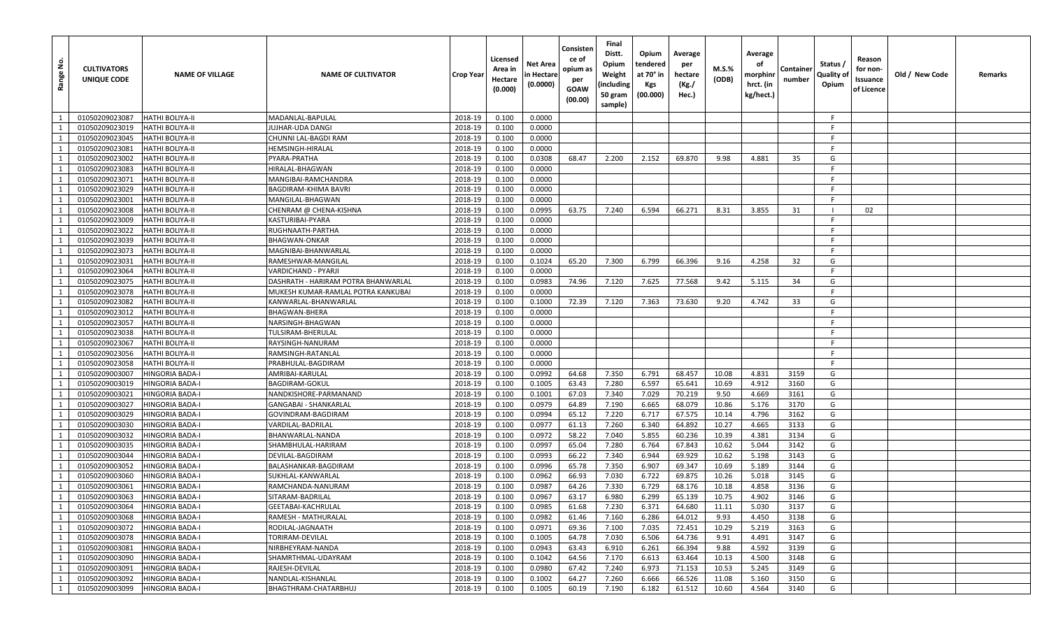| å<br>Range     | <b>CULTIVATORS</b><br>UNIQUE CODE | <b>NAME OF VILLAGE</b> | <b>NAME OF CULTIVATOR</b>           | <b>Crop Year</b> | Licensed<br>Area in<br>Hectare<br>(0.000) | Net Area<br>in Hectare<br>(0.0000) | Consisten<br>ce of<br>opium as<br>per<br>GOAW<br>(00.00) | Final<br>Distt.<br>Opium<br>Weight<br>(including<br>50 gram<br>sample) | Opium<br>tendered<br>at 70° in<br>Kgs<br>(00.000) | Average<br>per<br>hectare<br>(Kg./<br>Hec.) | M.S.%<br>(ODB) | Average<br>оf<br>morphinr<br>hrct. (in<br>kg/hect.) | Container<br>number | Status /<br>Quality of<br>Opium | Reason<br>for non-<br>Issuance<br>of Licence | Old / New Code | Remarks |
|----------------|-----------------------------------|------------------------|-------------------------------------|------------------|-------------------------------------------|------------------------------------|----------------------------------------------------------|------------------------------------------------------------------------|---------------------------------------------------|---------------------------------------------|----------------|-----------------------------------------------------|---------------------|---------------------------------|----------------------------------------------|----------------|---------|
| $\overline{1}$ | 01050209023087                    | <b>HATHI BOLIYA-II</b> | MADANLAL-BAPULAL                    | 2018-19          | 0.100                                     | 0.0000                             |                                                          |                                                                        |                                                   |                                             |                |                                                     |                     | F                               |                                              |                |         |
| 1              | 01050209023019                    | <b>HATHI BOLIYA-II</b> | UJHAR-UDA DANGI                     | 2018-19          | 0.100                                     | 0.0000                             |                                                          |                                                                        |                                                   |                                             |                |                                                     |                     |                                 |                                              |                |         |
| 1              | 01050209023045                    | <b>HATHI BOLIYA-II</b> | CHUNNI LAL-BAGDI RAM                | 2018-19          | 0.100                                     | 0.0000                             |                                                          |                                                                        |                                                   |                                             |                |                                                     |                     | F                               |                                              |                |         |
| 1              | 01050209023081                    | <b>HATHI BOLIYA-II</b> | HEMSINGH-HIRALAL                    | 2018-19          | 0.100                                     | 0.0000                             |                                                          |                                                                        |                                                   |                                             |                |                                                     |                     | F                               |                                              |                |         |
|                | 01050209023002                    | <b>HATHI BOLIYA-II</b> | PYARA-PRATHA                        | 2018-19          | 0.100                                     | 0.0308                             | 68.47                                                    | 2.200                                                                  | 2.152                                             | 69.870                                      | 9.98           | 4.881                                               | 35                  | G                               |                                              |                |         |
| -1             | 01050209023083                    | <b>HATHI BOLIYA-II</b> | HIRALAL-BHAGWAN                     | 2018-19          | 0.100                                     | 0.0000                             |                                                          |                                                                        |                                                   |                                             |                |                                                     |                     | F                               |                                              |                |         |
| 1              | 01050209023071                    | <b>HATHI BOLIYA-II</b> | MANGIBAI-RAMCHANDRA                 | 2018-19          | 0.100                                     | 0.0000                             |                                                          |                                                                        |                                                   |                                             |                |                                                     |                     | F                               |                                              |                |         |
| 1              | 01050209023029                    | <b>HATHI BOLIYA-II</b> | BAGDIRAM-KHIMA BAVRI                | 2018-19          | 0.100                                     | 0.0000                             |                                                          |                                                                        |                                                   |                                             |                |                                                     |                     | F                               |                                              |                |         |
|                | 01050209023001                    | <b>HATHI BOLIYA-II</b> | MANGILAL-BHAGWAN                    | 2018-19          | 0.100                                     | 0.0000                             |                                                          |                                                                        |                                                   |                                             |                |                                                     |                     |                                 |                                              |                |         |
| -1             | 01050209023008                    | <b>HATHI BOLIYA-II</b> | CHENRAM @ CHENA-KISHNA              | 2018-19          | 0.100                                     | 0.0995                             | 63.75                                                    | 7.240                                                                  | 6.594                                             | 66.271                                      | 8.31           | 3.855                                               | 31                  |                                 | 02                                           |                |         |
| <sup>1</sup>   | 01050209023009                    | <b>HATHI BOLIYA-II</b> | KASTURIBAI-PYARA                    | 2018-19          | 0.100                                     | 0.0000                             |                                                          |                                                                        |                                                   |                                             |                |                                                     |                     | F.                              |                                              |                |         |
|                | 01050209023022                    | <b>HATHI BOLIYA-II</b> | RUGHNAATH-PARTHA                    | 2018-19          | 0.100                                     | 0.0000                             |                                                          |                                                                        |                                                   |                                             |                |                                                     |                     |                                 |                                              |                |         |
| 1              | 01050209023039                    | <b>HATHI BOLIYA-II</b> | BHAGWAN-ONKAR                       | 2018-19          | 0.100                                     | 0.0000                             |                                                          |                                                                        |                                                   |                                             |                |                                                     |                     |                                 |                                              |                |         |
| 1              | 01050209023073                    | <b>HATHI BOLIYA-II</b> | MAGNIBAI-BHANWARLAL                 | 2018-19          | 0.100                                     | 0.0000                             |                                                          |                                                                        |                                                   |                                             |                |                                                     |                     | F                               |                                              |                |         |
| $\overline{1}$ | 01050209023031                    | <b>HATHI BOLIYA-II</b> | RAMESHWAR-MANGILAL                  | 2018-19          | 0.100                                     | 0.1024                             | 65.20                                                    | 7.300                                                                  | 6.799                                             | 66.396                                      | 9.16           | 4.258                                               | 32                  | G                               |                                              |                |         |
|                | 01050209023064                    | <b>HATHI BOLIYA-II</b> | VARDICHAND - PYARJI                 | 2018-19          | 0.100                                     | 0.0000                             |                                                          |                                                                        |                                                   |                                             |                |                                                     |                     |                                 |                                              |                |         |
| 1              | 01050209023075                    | <b>HATHI BOLIYA-II</b> | DASHRATH - HARIRAM POTRA BHANWARLAL | 2018-19          | 0.100                                     | 0.0983                             | 74.96                                                    | 7.120                                                                  | 7.625                                             | 77.568                                      | 9.42           | 5.115                                               | 34                  | G                               |                                              |                |         |
| $\overline{1}$ | 01050209023078                    | <b>HATHI BOLIYA-II</b> | MUKESH KUMAR-RAMLAL POTRA KANKUBAI  | 2018-19          | 0.100                                     | 0.0000                             |                                                          |                                                                        |                                                   |                                             |                |                                                     |                     | F                               |                                              |                |         |
|                | 01050209023082                    | <b>HATHI BOLIYA-II</b> | KANWARLAL-BHANWARLAL                | 2018-19          | 0.100                                     | 0.1000                             | 72.39                                                    | 7.120                                                                  | 7.363                                             | 73.630                                      | 9.20           | 4.742                                               | 33                  | G                               |                                              |                |         |
| 1              | 01050209023012                    | <b>HATHI BOLIYA-II</b> | <b>BHAGWAN-BHERA</b>                | 2018-19          | 0.100                                     | 0.0000                             |                                                          |                                                                        |                                                   |                                             |                |                                                     |                     |                                 |                                              |                |         |
| 1              | 01050209023057                    | <b>HATHI BOLIYA-II</b> | NARSINGH-BHAGWAN                    | 2018-19          | 0.100                                     | 0.0000                             |                                                          |                                                                        |                                                   |                                             |                |                                                     |                     | F.                              |                                              |                |         |
| 1              | 01050209023038                    | <b>HATHI BOLIYA-II</b> | TULSIRAM-BHERULAL                   | 2018-19          | 0.100                                     | 0.0000                             |                                                          |                                                                        |                                                   |                                             |                |                                                     |                     | F.                              |                                              |                |         |
|                | 01050209023067                    | <b>HATHI BOLIYA-II</b> | RAYSINGH-NANURAM                    | 2018-19          | 0.100                                     | 0.0000                             |                                                          |                                                                        |                                                   |                                             |                |                                                     |                     |                                 |                                              |                |         |
| 1              | 01050209023056                    | <b>HATHI BOLIYA-II</b> | RAMSINGH-RATANLAL                   | 2018-19          | 0.100                                     | 0.0000                             |                                                          |                                                                        |                                                   |                                             |                |                                                     |                     | F                               |                                              |                |         |
| 1              | 01050209023058                    | <b>HATHI BOLIYA-II</b> | PRABHULAL-BAGDIRAM                  | 2018-19          | 0.100                                     | 0.0000                             |                                                          |                                                                        |                                                   |                                             |                |                                                     |                     | F.                              |                                              |                |         |
| $\overline{1}$ | 01050209003007                    | <b>HINGORIA BADA-I</b> | AMRIBAI-KARULAL                     | 2018-19          | 0.100                                     | 0.0992                             | 64.68                                                    | 7.350                                                                  | 6.791                                             | 68.457                                      | 10.08          | 4.831                                               | 3159                | G                               |                                              |                |         |
| 1              | 01050209003019                    | <b>HINGORIA BADA-I</b> | <b>BAGDIRAM-GOKUL</b>               | 2018-19          | 0.100                                     | 0.1005                             | 63.43                                                    | 7.280                                                                  | 6.597                                             | 65.641                                      | 10.69          | 4.912                                               | 3160                | G                               |                                              |                |         |
| <sup>1</sup>   | 01050209003021                    | <b>HINGORIA BADA-I</b> | NANDKISHORE-PARMANAND               | 2018-19          | 0.100                                     | 0.1001                             | 67.03                                                    | 7.340                                                                  | 7.029                                             | 70.219                                      | 9.50           | 4.669                                               | 3161                | G                               |                                              |                |         |
| $\overline{1}$ | 01050209003027                    | <b>HINGORIA BADA-I</b> | GANGABAI - SHANKARLAL               | 2018-19          | 0.100                                     | 0.0979                             | 64.89                                                    | 7.190                                                                  | 6.665                                             | 68.079                                      | 10.86          | 5.176                                               | 3170                | G                               |                                              |                |         |
|                | 01050209003029                    | <b>HINGORIA BADA-I</b> | GOVINDRAM-BAGDIRAM                  | 2018-19          | 0.100                                     | 0.0994                             | 65.12                                                    | 7.220                                                                  | 6.717                                             | 67.575                                      | 10.14          | 4.796                                               | 3162                | G                               |                                              |                |         |
| 1              | 01050209003030                    | <b>HINGORIA BADA-I</b> | VARDILAL-BADRILAL                   | 2018-19          | 0.100                                     | 0.0977                             | 61.13                                                    | 7.260                                                                  | 6.340                                             | 64.892                                      | 10.27          | 4.665                                               | 3133                | G                               |                                              |                |         |
| <sup>1</sup>   | 01050209003032                    | <b>HINGORIA BADA-I</b> | BHANWARLAL-NANDA                    | 2018-19          | 0.100                                     | 0.0972                             | 58.22                                                    | 7.040                                                                  | 5.855                                             | 60.236                                      | 10.39          | 4.381                                               | 3134                | G                               |                                              |                |         |
| 1              | 01050209003035                    | <b>HINGORIA BADA-I</b> | SHAMBHULAL-HARIRAM                  | 2018-19          | 0.100                                     | 0.0997                             | 65.04                                                    | 7.280                                                                  | 6.764                                             | 67.843                                      | 10.62          | 5.044                                               | 3142                | G                               |                                              |                |         |
| $\mathbf{1}$   | 01050209003044                    | HINGORIA BADA-I        | DEVILAL-BAGDIRAM                    | 2018-19          | 0.100                                     | 0.0993                             | 66.22                                                    | 7.340                                                                  | 6.944                                             | 69.929                                      | 10.62          | 5.198                                               | 3143                | G                               |                                              |                |         |
| <sup>1</sup>   | 01050209003052                    | <b>HINGORIA BADA-I</b> | BALASHANKAR-BAGDIRAM                | 2018-19          | 0.100                                     | 0.0996                             | 65.78                                                    | 7.350                                                                  | 6.907                                             | 69.347                                      | 10.69          | 5.189                                               | 3144                | G                               |                                              |                |         |
| 1              | 01050209003060                    | HINGORIA BADA-I        | SUKHLAL-KANWARLAL                   | 2018-19          | 0.100                                     | 0.0962                             | 66.93                                                    | 7.030                                                                  | 6.722                                             | 69.875                                      | 10.26          | 5.018                                               | 3145                | G                               |                                              |                |         |
|                | 01050209003061                    | <b>HINGORIA BADA-I</b> | RAMCHANDA-NANURAM                   | 2018-19          | 0.100                                     | 0.0987                             | 64.26                                                    | 7.330                                                                  | 6.729                                             | 68.176                                      | 10.18          | 4.858                                               | 3136                | G                               |                                              |                |         |
| $\mathbf{1}$   | 01050209003063                    | <b>HINGORIA BADA-I</b> | SITARAM-BADRILAL                    | 2018-19          | 0.100                                     | 0.0967                             | 63.17                                                    | 6.980                                                                  | 6.299                                             | 65.139                                      | 10.75          | 4.902                                               | 3146                | G                               |                                              |                |         |
| $\mathbf{1}$   | 01050209003064                    | <b>HINGORIA BADA-I</b> | GEETABAI-KACHRULAL                  | 2018-19          | 0.100                                     | 0.0985                             | 61.68                                                    | 7.230                                                                  | 6.371                                             | 64.680                                      | 11.11          | 5.030                                               | 3137                | G                               |                                              |                |         |
| 1              | 01050209003068                    | <b>HINGORIA BADA-I</b> | RAMESH - MATHURALAL                 | 2018-19          | 0.100                                     | 0.0982                             | 61.46                                                    | 7.160                                                                  | 6.286                                             | 64.012                                      | 9.93           | 4.450                                               | 3138                | G                               |                                              |                |         |
| $\overline{1}$ | 01050209003072                    | <b>HINGORIA BADA-I</b> | RODILAL-JAGNAATH                    | 2018-19          | 0.100                                     | 0.0971                             | 69.36                                                    | 7.100                                                                  | 7.035                                             | 72.451                                      | 10.29          | 5.219                                               | 3163                | G                               |                                              |                |         |
| 1              | 01050209003078                    | <b>HINGORIA BADA-I</b> | TORIRAM-DEVILAL                     | 2018-19          | 0.100                                     | 0.1005                             | 64.78                                                    | 7.030                                                                  | 6.506                                             | 64.736                                      | 9.91           | 4.491                                               | 3147                | G                               |                                              |                |         |
| $\mathbf{1}$   | 01050209003081                    | <b>HINGORIA BADA-I</b> | NIRBHEYRAM-NANDA                    | 2018-19          | 0.100                                     | 0.0943                             | 63.43                                                    | 6.910                                                                  | 6.261                                             | 66.394                                      | 9.88           | 4.592                                               | 3139                | G                               |                                              |                |         |
| $\overline{1}$ | 01050209003090                    | <b>HINGORIA BADA-I</b> | SHAMRTHMAL-UDAYRAM                  | 2018-19          | 0.100                                     | 0.1042                             | 64.56                                                    | 7.170                                                                  | 6.613                                             | 63.464                                      | 10.13          | 4.500                                               | 3148                | G                               |                                              |                |         |
| $\overline{1}$ | 01050209003091                    | <b>HINGORIA BADA-I</b> | RAJESH-DEVILAL                      | 2018-19          | 0.100                                     | 0.0980                             | 67.42                                                    | 7.240                                                                  | 6.973                                             | 71.153                                      | 10.53          | 5.245                                               | 3149                | G                               |                                              |                |         |
| 1              | 01050209003092                    | <b>HINGORIA BADA-I</b> | NANDLAL-KISHANLAL                   | 2018-19          | 0.100                                     | 0.1002                             | 64.27                                                    | 7.260                                                                  | 6.666                                             | 66.526                                      | 11.08          | 5.160                                               | 3150                | G                               |                                              |                |         |
| $1 \vert$      | 01050209003099                    | <b>HINGORIA BADA-I</b> | BHAGTHRAM-CHATARBHUJ                | 2018-19          | 0.100                                     | 0.1005                             | 60.19                                                    | 7.190                                                                  | 6.182                                             | 61.512                                      | 10.60          | 4.564                                               | 3140                | G                               |                                              |                |         |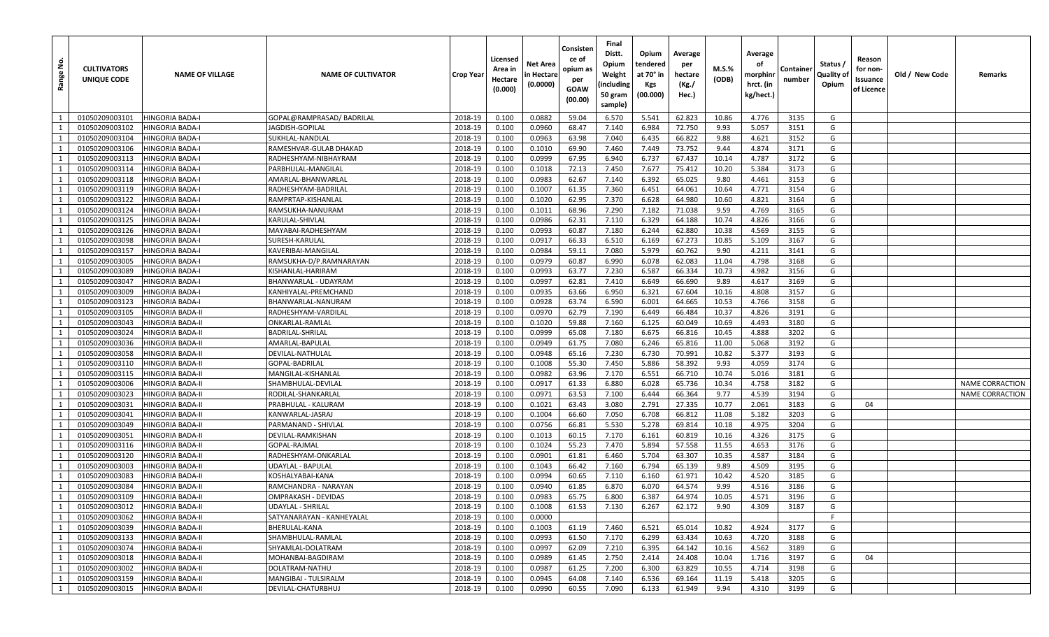| Range No.    | <b>CULTIVATORS</b><br>UNIQUE CODE | <b>NAME OF VILLAGE</b>  | <b>NAME OF CULTIVATOR</b> | <b>Crop Year</b> | Licensed<br>Area in<br>Hectare<br>(0.000) | Net Area<br>n Hectare<br>(0.0000) | Consisten<br>ce of<br>opium as<br>per<br>GOAW<br>(00.00) | Final<br>Distt.<br>Opium<br>Weight<br>(including<br>50 gram<br>sample) | Opium<br>tendered<br>at 70° in<br>Kgs<br>(00.000) | Average<br>per<br>hectare<br>(Kg./<br>Hec.) | M.S.%<br>(ODB) | Average<br>оf<br>morphinr<br>hrct. (in<br>kg/hect.) | Container<br>number | Status /<br>Quality of<br>Opium | Reason<br>for non-<br>ssuance<br>of Licence | Old / New Code | Remarks                |
|--------------|-----------------------------------|-------------------------|---------------------------|------------------|-------------------------------------------|-----------------------------------|----------------------------------------------------------|------------------------------------------------------------------------|---------------------------------------------------|---------------------------------------------|----------------|-----------------------------------------------------|---------------------|---------------------------------|---------------------------------------------|----------------|------------------------|
| 1            | 01050209003101                    | <b>HINGORIA BADA-I</b>  | GOPAL@RAMPRASAD/BADRILAL  | 2018-19          | 0.100                                     | 0.0882                            | 59.04                                                    | 6.570                                                                  | 5.541                                             | 62.823                                      | 10.86          | 4.776                                               | 3135                | G                               |                                             |                |                        |
| 1            | 01050209003102                    | HINGORIA BADA-I         | IAGDISH-GOPILAL           | 2018-19          | 0.100                                     | 0.0960                            | 68.47                                                    | 7.140                                                                  | 6.984                                             | 72.750                                      | 9.93           | 5.057                                               | 3151                | G                               |                                             |                |                        |
| 1            | 01050209003104                    | HINGORIA BADA-I         | SUKHLAL-NANDLAI           | 2018-19          | 0.100                                     | 0.0963                            | 63.98                                                    | 7.040                                                                  | 6.435                                             | 66.822                                      | 9.88           | 4.621                                               | 3152                | G                               |                                             |                |                        |
| 1            | 01050209003106                    | HINGORIA BADA-I         | RAMESHVAR-GULAB DHAKAD    | 2018-19          | 0.100                                     | 0.1010                            | 69.90                                                    | 7.460                                                                  | 7.449                                             | 73.752                                      | 9.44           | 4.874                                               | 3171                | G                               |                                             |                |                        |
| 1            | 01050209003113                    | <b>HINGORIA BADA-I</b>  | RADHESHYAM-NIBHAYRAM      | 2018-19          | 0.100                                     | 0.0999                            | 67.95                                                    | 6.940                                                                  | 6.737                                             | 67.437                                      | 10.14          | 4.787                                               | 3172                | G                               |                                             |                |                        |
| 1            | 01050209003114                    | <b>HINGORIA BADA-I</b>  | PARBHULAL-MANGILAL        | 2018-19          | 0.100                                     | 0.1018                            | 72.13                                                    | 7.450                                                                  | 7.677                                             | 75.412                                      | 10.20          | 5.384                                               | 3173                | G                               |                                             |                |                        |
| $\mathbf{1}$ | 01050209003118                    | HINGORIA BADA-I         | AMARLAL-BHANWARLAL        | 2018-19          | 0.100                                     | 0.0983                            | 62.67                                                    | 7.140                                                                  | 6.392                                             | 65.025                                      | 9.80           | 4.461                                               | 3153                | G                               |                                             |                |                        |
| 1            | 01050209003119                    | <b>HINGORIA BADA-I</b>  | RADHESHYAM-BADRILAL       | 2018-19          | 0.100                                     | 0.1007                            | 61.35                                                    | 7.360                                                                  | 6.451                                             | 64.061                                      | 10.64          | 4.771                                               | 3154                | G                               |                                             |                |                        |
| 1            | 01050209003122                    | HINGORIA BADA-I         | RAMPRTAP-KISHANLAL        | 2018-19          | 0.100                                     | 0.1020                            | 62.95                                                    | 7.370                                                                  | 6.628                                             | 64.980                                      | 10.60          | 4.821                                               | 3164                | G                               |                                             |                |                        |
| 1            | 01050209003124                    | HINGORIA BADA-I         | RAMSUKHA-NANURAM          | 2018-19          | 0.100                                     | 0.1011                            | 68.96                                                    | 7.290                                                                  | 7.182                                             | 71.038                                      | 9.59           | 4.769                                               | 3165                | G                               |                                             |                |                        |
| 1            | 01050209003125                    | <b>HINGORIA BADA-I</b>  | KARULAL-SHIVLAL           | 2018-19          | 0.100                                     | 0.0986                            | 62.31                                                    | 7.110                                                                  | 6.329                                             | 64.188                                      | 10.74          | 4.826                                               | 3166                | G                               |                                             |                |                        |
| 1            | 01050209003126                    | <b>HINGORIA BADA-I</b>  | MAYABAI-RADHESHYAM        | 2018-19          | 0.100                                     | 0.0993                            | 60.87                                                    | 7.180                                                                  | 6.244                                             | 62.880                                      | 10.38          | 4.569                                               | 3155                | G                               |                                             |                |                        |
| 1            | 01050209003098                    | HINGORIA BADA-I         | SURESH-KARULAL            | 2018-19          | 0.100                                     | 0.0917                            | 66.33                                                    | 6.510                                                                  | 6.169                                             | 67.273                                      | 10.85          | 5.109                                               | 3167                | G                               |                                             |                |                        |
| 1            | 01050209003157                    | HINGORIA BADA-I         | KAVERIBAI-MANGILAL        | 2018-19          | 0.100                                     | 0.0984                            | 59.11                                                    | 7.080                                                                  | 5.979                                             | 60.762                                      | 9.90           | 4.211                                               | 3141                | G                               |                                             |                |                        |
| 1            | 01050209003005                    | <b>HINGORIA BADA-I</b>  | RAMSUKHA-D/P.RAMNARAYAN   | 2018-19          | 0.100                                     | 0.0979                            | 60.87                                                    | 6.990                                                                  | 6.078                                             | 62.083                                      | 11.04          | 4.798                                               | 3168                | G                               |                                             |                |                        |
| 1            | 01050209003089                    | HINGORIA BADA-I         | KISHANLAL-HARIRAM         | 2018-19          | 0.100                                     | 0.0993                            | 63.77                                                    | 7.230                                                                  | 6.587                                             | 66.334                                      | 10.73          | 4.982                                               | 3156                | G                               |                                             |                |                        |
| 1            | 01050209003047                    | <b>HINGORIA BADA-I</b>  | BHANWARLAL - UDAYRAM      | 2018-19          | 0.100                                     | 0.0997                            | 62.81                                                    | 7.410                                                                  | 6.649                                             | 66.690                                      | 9.89           | 4.617                                               | 3169                | G                               |                                             |                |                        |
| 1            | 01050209003009                    | HINGORIA BADA-I         | KANHIYALAL-PREMCHAND      | 2018-19          | 0.100                                     | 0.0935                            | 63.66                                                    | 6.950                                                                  | 6.321                                             | 67.604                                      | 10.16          | 4.808                                               | 3157                | G                               |                                             |                |                        |
| 1            | 01050209003123                    | <b>HINGORIA BADA-I</b>  | BHANWARLAL-NANURAM        | 2018-19          | 0.100                                     | 0.0928                            | 63.74                                                    | 6.590                                                                  | 6.001                                             | 64.665                                      | 10.53          | 4.766                                               | 3158                | G                               |                                             |                |                        |
| 1            | 01050209003105                    | HINGORIA BADA-II        | RADHESHYAM-VARDILAL       | 2018-19          | 0.100                                     | 0.0970                            | 62.79                                                    | 7.190                                                                  | 6.449                                             | 66.484                                      | 10.37          | 4.826                                               | 3191                | G                               |                                             |                |                        |
| 1            | 01050209003043                    | HINGORIA BADA-II        | ONKARLAL-RAMLAL           | 2018-19          | 0.100                                     | 0.1020                            | 59.88                                                    | 7.160                                                                  | 6.125                                             | 60.049                                      | 10.69          | 4.493                                               | 3180                | G                               |                                             |                |                        |
| 1            | 01050209003024                    | <b>HINGORIA BADA-II</b> | BADRILAL-SHRILAL          | 2018-19          | 0.100                                     | 0.0999                            | 65.08                                                    | 7.180                                                                  | 6.675                                             | 66.816                                      | 10.45          | 4.888                                               | 3202                | G                               |                                             |                |                        |
| 1            | 01050209003036                    | HINGORIA BADA-II        | AMARLAL-BAPULAL           | 2018-19          | 0.100                                     | 0.0949                            | 61.75                                                    | 7.080                                                                  | 6.246                                             | 65.816                                      | 11.00          | 5.068                                               | 3192                | G                               |                                             |                |                        |
| 1            | 01050209003058                    | HINGORIA BADA-II        | DEVILAL-NATHULAL          | 2018-19          | 0.100                                     | 0.0948                            | 65.16                                                    | 7.230                                                                  | 6.730                                             | 70.991                                      | 10.82          | 5.377                                               | 3193                | G                               |                                             |                |                        |
| 1            | 01050209003110                    | <b>HINGORIA BADA-II</b> | GOPAL-BADRILAL            | 2018-19          | 0.100                                     | 0.1008                            | 55.30                                                    | 7.450                                                                  | 5.886                                             | 58.392                                      | 9.93           | 4.059                                               | 3174                | G                               |                                             |                |                        |
| 1            | 01050209003115                    | <b>HINGORIA BADA-II</b> | MANGILAL-KISHANLAL        | 2018-19          | 0.100                                     | 0.0982                            | 63.96                                                    | 7.170                                                                  | 6.551                                             | 66.710                                      | 10.74          | 5.016                                               | 3181                | G                               |                                             |                |                        |
| $\mathbf{1}$ | 01050209003006                    | HINGORIA BADA-II        | SHAMBHULAL-DEVILAL        | 2018-19          | 0.100                                     | 0.0917                            | 61.33                                                    | 6.880                                                                  | 6.028                                             | 65.736                                      | 10.34          | 4.758                                               | 3182                | G                               |                                             |                | <b>NAME CORRACTION</b> |
| 1            | 01050209003023                    | HINGORIA BADA-II        | RODILAL-SHANKARLAL        | 2018-19          | 0.100                                     | 0.0971                            | 63.53                                                    | 7.100                                                                  | 6.444                                             | 66.364                                      | 9.77           | 4.539                                               | 3194                | G                               |                                             |                | <b>NAME CORRACTION</b> |
| 1            | 01050209003031                    | HINGORIA BADA-II        | PRABHULAL - KALURAM       | 2018-19          | 0.100                                     | 0.1021                            | 63.43                                                    | 3.080                                                                  | 2.791                                             | 27.335                                      | 10.77          | 2.061                                               | 3183                | G                               | 04                                          |                |                        |
| 1            | 01050209003041                    | <b>HINGORIA BADA-II</b> | KANWARLAL-JASRAJ          | 2018-19          | 0.100                                     | 0.1004                            | 66.60                                                    | 7.050                                                                  | 6.708                                             | 66.812                                      | 11.08          | 5.182                                               | 3203                | G                               |                                             |                |                        |
| 1            | 01050209003049                    | HINGORIA BADA-II        | PARMANAND - SHIVLAL       | 2018-19          | 0.100                                     | 0.0756                            | 66.81                                                    | 5.530                                                                  | 5.278                                             | 69.814                                      | 10.18          | 4.975                                               | 3204                | G                               |                                             |                |                        |
| $\mathbf{1}$ | 01050209003051                    | <b>HINGORIA BADA-II</b> | DEVILAL-RAMKISHAN         | 2018-19          | 0.100                                     | 0.1013                            | 60.15                                                    | 7.170                                                                  | 6.161                                             | 60.819                                      | 10.16          | 4.326                                               | 3175                | G                               |                                             |                |                        |
| 1            | 01050209003116                    | <b>HINGORIA BADA-II</b> | GOPAL-RAJMAL              | 2018-19          | 0.100                                     | 0.1024                            | 55.23                                                    | 7.470                                                                  | 5.894                                             | 57.558                                      | 11.55          | 4.653                                               | 3176                | G                               |                                             |                |                        |
| $\mathbf{1}$ | 01050209003120                    | HINGORIA BADA-II        | RADHESHYAM-ONKARLAL       | 2018-19          | 0.100                                     | 0.0901                            | 61.81                                                    | 6.460                                                                  | 5.704                                             | 63.307                                      | 10.35          | 4.587                                               | 3184                | G                               |                                             |                |                        |
| 1            | 01050209003003                    | HINGORIA BADA-II        | UDAYLAL - BAPULAL         | 2018-19          | 0.100                                     | 0.1043                            | 66.42                                                    | 7.160                                                                  | 6.794                                             | 65.139                                      | 9.89           | 4.509                                               | 3195                | G                               |                                             |                |                        |
| 1            | 01050209003083                    | HINGORIA BADA-II        | KOSHALYABAI-KANA          | 2018-19          | 0.100                                     | 0.0994                            | 60.65                                                    | 7.110                                                                  | 6.160                                             | 61.971                                      | 10.42          | 4.520                                               | 3185                | G                               |                                             |                |                        |
| 1            | 01050209003084                    | HINGORIA BADA-II        | RAMCHANDRA - NARAYAN      | 2018-19          | 0.100                                     | 0.0940                            | 61.85                                                    | 6.870                                                                  | 6.070                                             | 64.574                                      | 9.99           | 4.516                                               | 3186                | G                               |                                             |                |                        |
| $\mathbf{1}$ | 01050209003109                    | <b>HINGORIA BADA-II</b> | OMPRAKASH - DEVIDAS       | 2018-19          | 0.100                                     | 0.0983                            | 65.75                                                    | 6.800                                                                  | 6.387                                             | 64.974                                      | 10.05          | 4.571                                               | 3196                | G                               |                                             |                |                        |
| 1            | 01050209003012                    | <b>HINGORIA BADA-II</b> | UDAYLAL - SHRILAL         | 2018-19          | 0.100                                     | 0.1008                            | 61.53                                                    | 7.130                                                                  | 6.267                                             | 62.172                                      | 9.90           | 4.309                                               | 3187                | G                               |                                             |                |                        |
| 1            | 01050209003062                    | <b>HINGORIA BADA-II</b> | SATYANARAYAN - KANHEYALAL | 2018-19          | 0.100                                     | 0.0000                            |                                                          |                                                                        |                                                   |                                             |                |                                                     |                     | F.                              |                                             |                |                        |
| 1            | 01050209003039                    | <b>HINGORIA BADA-II</b> | <b>BHERULAL-KANA</b>      | 2018-19          | 0.100                                     | 0.1003                            | 61.19                                                    | 7.460                                                                  | 6.521                                             | 65.014                                      | 10.82          | 4.924                                               | 3177                | G                               |                                             |                |                        |
| 1            | 01050209003133                    | <b>HINGORIA BADA-II</b> | SHAMBHULAL-RAMLAL         | 2018-19          | 0.100                                     | 0.0993                            | 61.50                                                    | 7.170                                                                  | 6.299                                             | 63.434                                      | 10.63          | 4.720                                               | 3188                | G                               |                                             |                |                        |
| 1            | 01050209003074                    | <b>HINGORIA BADA-II</b> | SHYAMLAL-DOLATRAM         | 2018-19          | 0.100                                     | 0.0997                            | 62.09                                                    | 7.210                                                                  | 6.395                                             | 64.142                                      | 10.16          | 4.562                                               | 3189                | G                               |                                             |                |                        |
| 1            | 01050209003018                    | <b>HINGORIA BADA-II</b> | MOHANBAI-BAGDIRAM         | 2018-19          | 0.100                                     | 0.0989                            | 61.45                                                    | 2.750                                                                  | 2.414                                             | 24.408                                      | 10.04          | 1.716                                               | 3197                | G                               | 04                                          |                |                        |
| 1            | 01050209003002                    | <b>HINGORIA BADA-II</b> | DOLATRAM-NATHU            | 2018-19          | 0.100                                     | 0.0987                            | 61.25                                                    | 7.200                                                                  | 6.300                                             | 63.829                                      | 10.55          | 4.714                                               | 3198                | G                               |                                             |                |                        |
| $\mathbf{1}$ | 01050209003159                    | <b>HINGORIA BADA-II</b> | MANGIBAI - TULSIRALM      | 2018-19          | 0.100                                     | 0.0945                            | 64.08                                                    | 7.140                                                                  | 6.536                                             | 69.164                                      | 11.19          | 5.418                                               | 3205                | G                               |                                             |                |                        |
| 1            | 01050209003015                    | <b>HINGORIA BADA-II</b> | DEVILAL-CHATURBHUJ        | 2018-19          | 0.100                                     | 0.0990                            | 60.55                                                    | 7.090                                                                  | 6.133                                             | 61.949                                      | 9.94           | 4.310                                               | 3199                | G                               |                                             |                |                        |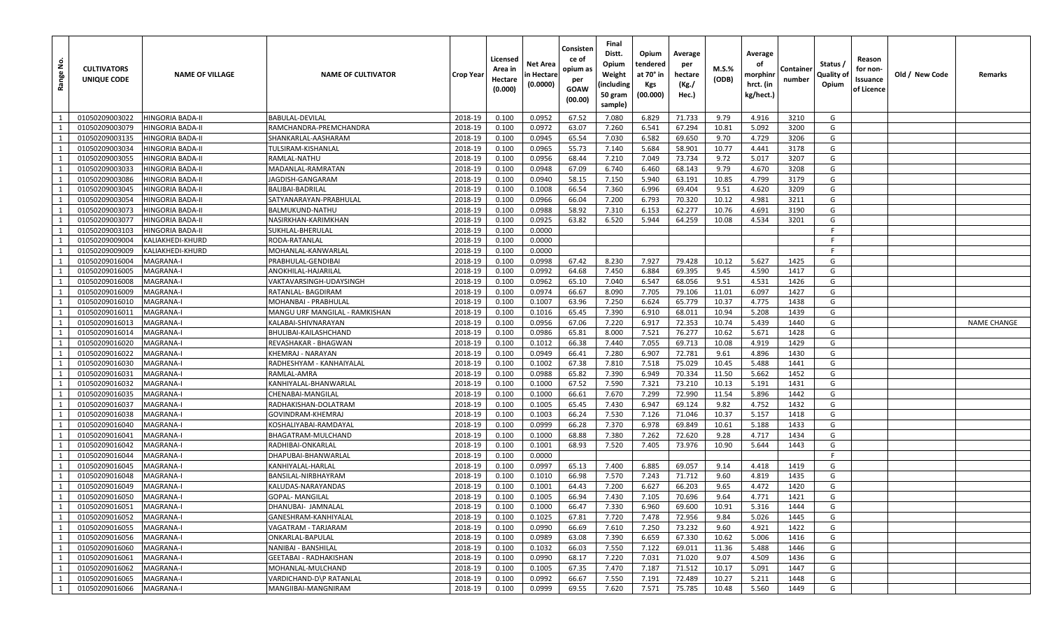| Range No.    | <b>CULTIVATORS</b><br>UNIQUE CODE | <b>NAME OF VILLAGE</b>  | <b>NAME OF CULTIVATOR</b>      | <b>Crop Year</b> | Licensed<br>Area in<br>Hectare<br>(0.000) | Net Area<br>n Hectare<br>(0.0000) | Consisten<br>ce of<br>opium as<br>per<br>GOAW<br>(00.00) | Final<br>Distt.<br>Opium<br>Weight<br>(including<br>50 gram<br>sample) | Opium<br>tendered<br>at 70° in<br>Kgs<br>(00.000) | Average<br>per<br>hectare<br>(Kg./<br>Hec.) | $M.S.\%$<br>(ODB) | Average<br>оf<br>morphinr<br>hrct. (in<br>kg/hect.) | Container<br>number | Status /<br>Quality of<br>Opium | Reason<br>for non-<br>ssuance<br>of Licence | Old / New Code | Remarks            |
|--------------|-----------------------------------|-------------------------|--------------------------------|------------------|-------------------------------------------|-----------------------------------|----------------------------------------------------------|------------------------------------------------------------------------|---------------------------------------------------|---------------------------------------------|-------------------|-----------------------------------------------------|---------------------|---------------------------------|---------------------------------------------|----------------|--------------------|
| 1            | 01050209003022                    | <b>HINGORIA BADA-II</b> | BABULAL-DEVILAL                | 2018-19          | 0.100                                     | 0.0952                            | 67.52                                                    | 7.080                                                                  | 6.829                                             | 71.733                                      | 9.79              | 4.916                                               | 3210                | G                               |                                             |                |                    |
| 1            | 01050209003079                    | <b>HINGORIA BADA-II</b> | RAMCHANDRA-PREMCHANDRA         | 2018-19          | 0.100                                     | 0.0972                            | 63.07                                                    | 7.260                                                                  | 6.541                                             | 67.294                                      | 10.81             | 5.092                                               | 3200                | G                               |                                             |                |                    |
| 1            | 01050209003135                    | <b>HINGORIA BADA-II</b> | SHANKARLAL-AASHARAM            | 2018-19          | 0.100                                     | 0.0945                            | 65.54                                                    | 7.030                                                                  | 6.582                                             | 69.650                                      | 9.70              | 4.729                                               | 3206                | G                               |                                             |                |                    |
| 1            | 01050209003034                    | <b>HINGORIA BADA-II</b> | TULSIRAM-KISHANLAL             | 2018-19          | 0.100                                     | 0.0965                            | 55.73                                                    | 7.140                                                                  | 5.684                                             | 58.901                                      | 10.77             | 4.441                                               | 3178                | G                               |                                             |                |                    |
| 1            | 01050209003055                    | <b>HINGORIA BADA-II</b> | RAMLAL-NATHU                   | 2018-19          | 0.100                                     | 0.0956                            | 68.44                                                    | 7.210                                                                  | 7.049                                             | 73.734                                      | 9.72              | 5.017                                               | 3207                | G                               |                                             |                |                    |
| 1            | 01050209003033                    | <b>HINGORIA BADA-II</b> | MADANLAL-RAMRATAN              | 2018-19          | 0.100                                     | 0.0948                            | 67.09                                                    | 6.740                                                                  | 6.460                                             | 68.143                                      | 9.79              | 4.670                                               | 3208                | G                               |                                             |                |                    |
| $\mathbf{1}$ | 01050209003086                    | HINGORIA BADA-II        | IAGDISH-GANGARAM               | 2018-19          | 0.100                                     | 0.0940                            | 58.15                                                    | 7.150                                                                  | 5.940                                             | 63.191                                      | 10.85             | 4.799                                               | 3179                | G                               |                                             |                |                    |
| 1            | 01050209003045                    | <b>HINGORIA BADA-II</b> | BALIBAI-BADRILAL               | 2018-19          | 0.100                                     | 0.1008                            | 66.54                                                    | 7.360                                                                  | 6.996                                             | 69.404                                      | 9.51              | 4.620                                               | 3209                | G                               |                                             |                |                    |
| 1            | 01050209003054                    | HINGORIA BADA-II        | SATYANARAYAN-PRABHULAL         | 2018-19          | 0.100                                     | 0.0966                            | 66.04                                                    | 7.200                                                                  | 6.793                                             | 70.320                                      | 10.12             | 4.981                                               | 3211                | G                               |                                             |                |                    |
| 1            | 01050209003073                    | HINGORIA BADA-II        | BALMUKUND-NATHU                | 2018-19          | 0.100                                     | 0.0988                            | 58.92                                                    | 7.310                                                                  | 6.153                                             | 62.277                                      | 10.76             | 4.691                                               | 3190                | G                               |                                             |                |                    |
| 1            | 01050209003077                    | <b>HINGORIA BADA-II</b> | NASIRKHAN-KARIMKHAN            | 2018-19          | 0.100                                     | 0.0925                            | 63.82                                                    | 6.520                                                                  | 5.944                                             | 64.259                                      | 10.08             | 4.534                                               | 3201                | G                               |                                             |                |                    |
| 1            | 01050209003103                    | <b>HINGORIA BADA-II</b> | SUKHLAL-BHERULAL               | 2018-19          | 0.100                                     | 0.0000                            |                                                          |                                                                        |                                                   |                                             |                   |                                                     |                     | -F                              |                                             |                |                    |
| 1            | 01050209009004                    | KALIAKHEDI-KHURD        | RODA-RATANLAL                  | 2018-19          | 0.100                                     | 0.0000                            |                                                          |                                                                        |                                                   |                                             |                   |                                                     |                     |                                 |                                             |                |                    |
| 1            | 01050209009009                    | KALIAKHEDI-KHURD        | MOHANLAL-KANWARLAL             | 2018-19          | 0.100                                     | 0.0000                            |                                                          |                                                                        |                                                   |                                             |                   |                                                     |                     | -F                              |                                             |                |                    |
| 1            | 01050209016004                    | <b>MAGRANA-I</b>        | PRABHULAL-GENDIBAI             | 2018-19          | 0.100                                     | 0.0998                            | 67.42                                                    | 8.230                                                                  | 7.927                                             | 79.428                                      | 10.12             | 5.627                                               | 1425                | G                               |                                             |                |                    |
| 1            | 01050209016005                    | MAGRANA-I               | ANOKHILAL-HAJARILAL            | 2018-19          | 0.100                                     | 0.0992                            | 64.68                                                    | 7.450                                                                  | 6.884                                             | 69.395                                      | 9.45              | 4.590                                               | 1417                | G                               |                                             |                |                    |
| 1            | 01050209016008                    | <b>MAGRANA-I</b>        | VAKTAVARSINGH-UDAYSINGH        | 2018-19          | 0.100                                     | 0.0962                            | 65.10                                                    | 7.040                                                                  | 6.547                                             | 68.056                                      | 9.51              | 4.531                                               | 1426                | G                               |                                             |                |                    |
| 1            | 01050209016009                    | <b>MAGRANA-I</b>        | RATANLAL- BAGDIRAM             | 2018-19          | 0.100                                     | 0.0974                            | 66.67                                                    | 8.090                                                                  | 7.705                                             | 79.106                                      | 11.01             | 6.097                                               | 1427                | G                               |                                             |                |                    |
| 1            | 01050209016010                    | MAGRANA-I               | MOHANBAI - PRABHULAL           | 2018-19          | 0.100                                     | 0.1007                            | 63.96                                                    | 7.250                                                                  | 6.624                                             | 65.779                                      | 10.37             | 4.775                                               | 1438                | G                               |                                             |                |                    |
| 1            | 01050209016011                    | <b>MAGRANA-I</b>        | MANGU URF MANGILAL - RAMKISHAN | 2018-19          | 0.100                                     | 0.1016                            | 65.45                                                    | 7.390                                                                  | 6.910                                             | 68.011                                      | 10.94             | 5.208                                               | 1439                | G                               |                                             |                |                    |
| 1            | 01050209016013                    | <b>MAGRANA-I</b>        | KALABAI-SHIVNARAYAN            | 2018-19          | 0.100                                     | 0.0956                            | 67.06                                                    | 7.220                                                                  | 6.917                                             | 72.353                                      | 10.74             | 5.439                                               | 1440                | G                               |                                             |                | <b>NAME CHANGE</b> |
| 1            | 01050209016014                    | <b>MAGRANA-I</b>        | BHULIBAI-KAILASHCHAND          | 2018-19          | 0.100                                     | 0.0986                            | 65.81                                                    | 8.000                                                                  | 7.521                                             | 76.277                                      | 10.62             | 5.671                                               | 1428                | G                               |                                             |                |                    |
| 1            | 01050209016020                    | <b>MAGRANA-I</b>        | REVASHAKAR - BHAGWAN           | 2018-19          | 0.100                                     | 0.1012                            | 66.38                                                    | 7.440                                                                  | 7.055                                             | 69.713                                      | 10.08             | 4.919                                               | 1429                | G                               |                                             |                |                    |
| 1            | 01050209016022                    | <b>MAGRANA-I</b>        | KHEMRAJ - NARAYAN              | 2018-19          | 0.100                                     | 0.0949                            | 66.41                                                    | 7.280                                                                  | 6.907                                             | 72.781                                      | 9.61              | 4.896                                               | 1430                | G                               |                                             |                |                    |
| 1            | 01050209016030                    | MAGRANA-I               | RADHESHYAM - KANHAIYALAL       | 2018-19          | 0.100                                     | 0.1002                            | 67.38                                                    | 7.810                                                                  | 7.518                                             | 75.029                                      | 10.45             | 5.488                                               | 1441                | G                               |                                             |                |                    |
| 1            | 01050209016031                    | <b>MAGRANA-I</b>        | RAMLAL-AMRA                    | 2018-19          | 0.100                                     | 0.0988                            | 65.82                                                    | 7.390                                                                  | 6.949                                             | 70.334                                      | 11.50             | 5.662                                               | 1452                | G                               |                                             |                |                    |
| 1            | 01050209016032                    | <b>MAGRANA-I</b>        | KANHIYALAL-BHANWARLAL          | 2018-19          | 0.100                                     | 0.1000                            | 67.52                                                    | 7.590                                                                  | 7.321                                             | 73.210                                      | 10.13             | 5.191                                               | 1431                | G                               |                                             |                |                    |
| 1            | 01050209016035                    | <b>MAGRANA-I</b>        | CHENABAI-MANGILAL              | 2018-19          | 0.100                                     | 0.1000                            | 66.61                                                    | 7.670                                                                  | 7.299                                             | 72.990                                      | 11.54             | 5.896                                               | 1442                | G                               |                                             |                |                    |
| 1            | 01050209016037                    | <b>MAGRANA-I</b>        | RADHAKISHAN-DOLATRAM           | 2018-19          | 0.100                                     | 0.1005                            | 65.45                                                    | 7.430                                                                  | 6.947                                             | 69.124                                      | 9.82              | 4.752                                               | 1432                | G                               |                                             |                |                    |
| 1            | 01050209016038                    | MAGRANA-I               | GOVINDRAM-KHEMRAJ              | 2018-19          | 0.100                                     | 0.1003                            | 66.24                                                    | 7.530                                                                  | 7.126                                             | 71.046                                      | 10.37             | 5.157                                               | 1418                | G                               |                                             |                |                    |
| 1            | 01050209016040                    | <b>MAGRANA-I</b>        | KOSHALIYABAI-RAMDAYAL          | 2018-19          | 0.100                                     | 0.0999                            | 66.28                                                    | 7.370                                                                  | 6.978                                             | 69.849                                      | 10.61             | 5.188                                               | 1433                | G                               |                                             |                |                    |
| $\mathbf{1}$ | 01050209016041                    | <b>MAGRANA-I</b>        | BHAGATRAM-MULCHAND             | 2018-19          | 0.100                                     | 0.1000                            | 68.88                                                    | 7.380                                                                  | 7.262                                             | 72.620                                      | 9.28              | 4.717                                               | 1434                | G                               |                                             |                |                    |
| 1            | 01050209016042                    | <b>MAGRANA-I</b>        | RADHIBAI-ONKARLAL              | 2018-19          | 0.100                                     | 0.1001                            | 68.93                                                    | 7.520                                                                  | 7.405                                             | 73.976                                      | 10.90             | 5.644                                               | 1443                | G                               |                                             |                |                    |
| 1            | 01050209016044                    | <b>MAGRANA-I</b>        | DHAPUBAI-BHANWARLAL            | 2018-19          | 0.100                                     | 0.0000                            |                                                          |                                                                        |                                                   |                                             |                   |                                                     |                     | F                               |                                             |                |                    |
| 1            | 01050209016045                    | MAGRANA-I               | KANHIYALAL-HARLAL              | 2018-19          | 0.100                                     | 0.0997                            | 65.13                                                    | 7.400                                                                  | 6.885                                             | 69.057                                      | 9.14              | 4.418                                               | 1419                | G                               |                                             |                |                    |
| 1            | 01050209016048                    | <b>MAGRANA-I</b>        | BANSILAL-NIRBHAYRAM            | 2018-19          | 0.100                                     | 0.1010                            | 66.98                                                    | 7.570                                                                  | 7.243                                             | 71.712                                      | 9.60              | 4.819                                               | 1435                | G                               |                                             |                |                    |
| 1            | 01050209016049                    | <b>MAGRANA-I</b>        | KALUDAS-NARAYANDAS             | 2018-19          | 0.100                                     | 0.1001                            | 64.43                                                    | 7.200                                                                  | 6.627                                             | 66.203                                      | 9.65              | 4.472                                               | 1420                | G                               |                                             |                |                    |
| $\mathbf{1}$ | 01050209016050                    | <b>MAGRANA-I</b>        | <b>GOPAL- MANGILAL</b>         | 2018-19          | 0.100                                     | 0.1005                            | 66.94                                                    | 7.430                                                                  | 7.105                                             | 70.696                                      | 9.64              | 4.771                                               | 1421                | G                               |                                             |                |                    |
| 1            | 01050209016051                    | <b>MAGRANA-I</b>        | DHANUBAI- JAMNALAL             | 2018-19          | 0.100                                     | 0.1000                            | 66.47                                                    | 7.330                                                                  | 6.960                                             | 69.600                                      | 10.91             | 5.316                                               | 1444                | G                               |                                             |                |                    |
| 1            | 01050209016052                    | MAGRANA-I               | GANESHRAM-KANHIYALAL           | 2018-19          | 0.100                                     | 0.1025                            | 67.81                                                    | 7.720                                                                  | 7.478                                             | 72.956                                      | 9.84              | 5.026                                               | 1445                | G                               |                                             |                |                    |
| 1            | 01050209016055                    | MAGRANA-I               | VAGATRAM - TARJARAM            | 2018-19          | 0.100                                     | 0.0990                            | 66.69                                                    | 7.610                                                                  | 7.250                                             | 73.232                                      | 9.60              | 4.921                                               | 1422                | G                               |                                             |                |                    |
| $\mathbf{1}$ | 01050209016056                    | <b>MAGRANA-I</b>        | ONKARLAL-BAPULAL               | 2018-19          | 0.100                                     | 0.0989                            | 63.08                                                    | 7.390                                                                  | 6.659                                             | 67.330                                      | 10.62             | 5.006                                               | 1416                | G                               |                                             |                |                    |
| 1            | 01050209016060                    | MAGRANA-I               | NANIBAI - BANSHILAL            | 2018-19          | 0.100                                     | 0.1032                            | 66.03                                                    | 7.550                                                                  | 7.122                                             | 69.011                                      | 11.36             | 5.488                                               | 1446                | G                               |                                             |                |                    |
| $\mathbf{1}$ | 01050209016061                    | MAGRANA-I               | <b>GEETABAI - RADHAKISHAN</b>  | 2018-19          | 0.100                                     | 0.0990                            | 68.17                                                    | 7.220                                                                  | 7.031                                             | 71.020                                      | 9.07              | 4.509                                               | 1436                | G                               |                                             |                |                    |
| 1            | 01050209016062                    | <b>MAGRANA-I</b>        | MOHANLAL-MULCHAND              | 2018-19          | 0.100                                     | 0.1005                            | 67.35                                                    | 7.470                                                                  | 7.187                                             | 71.512                                      | 10.17             | 5.091                                               | 1447                | G                               |                                             |                |                    |
| $\mathbf{1}$ | 01050209016065                    | <b>MAGRANA-I</b>        | VARDICHAND-D\P RATANLAL        | 2018-19          | 0.100                                     | 0.0992                            | 66.67                                                    | 7.550                                                                  | 7.191                                             | 72.489                                      | 10.27             | 5.211                                               | 1448                | G                               |                                             |                |                    |
| 1            | 01050209016066                    | <b>MAGRANA-I</b>        | MANGIIBAI-MANGNIRAM            | 2018-19          | 0.100                                     | 0.0999                            | 69.55                                                    | 7.620                                                                  | 7.571                                             | 75.785                                      | 10.48             | 5.560                                               | 1449                | G                               |                                             |                |                    |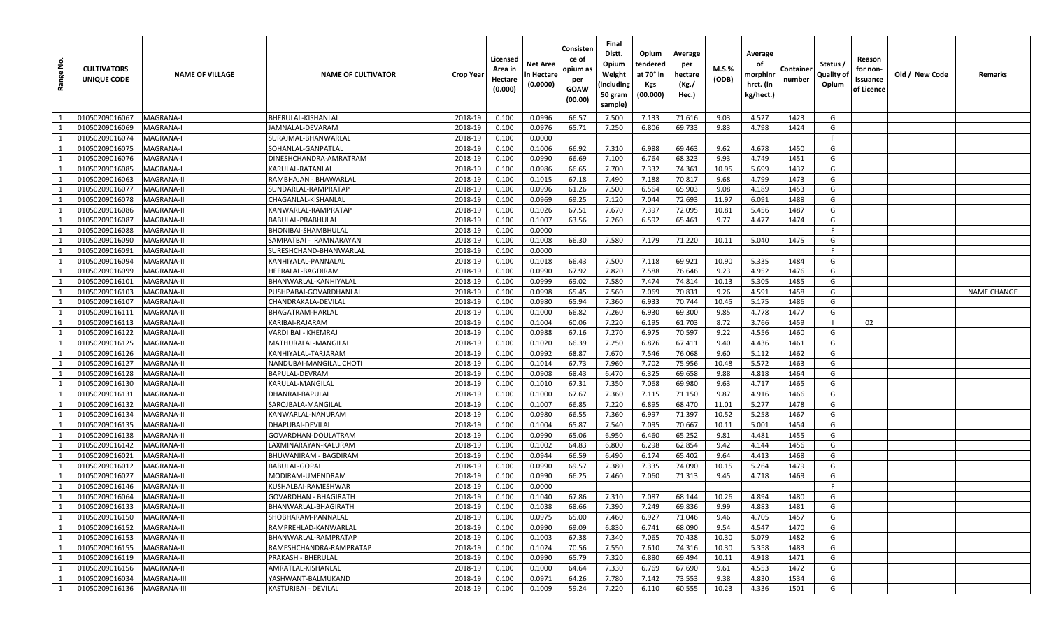| <u>فع</u><br>Range | <b>CULTIVATORS</b><br>UNIQUE CODE | <b>NAME OF VILLAGE</b> | <b>NAME OF CULTIVATOR</b>                | Crop Year | Licensed<br>Area in<br>Hectare<br>(0.000) | Net Area<br>n Hectare<br>(0.0000) | Consisten<br>ce of<br>opium as<br>per<br>GOAW<br>(00.00) | Final<br>Distt.<br>Opium<br>Weight<br>(including<br>50 gram<br>sample) | Opium<br>tendered<br>at 70° in<br>Kgs<br>(00.000) | Average<br>per<br>hectare<br>(Kg./<br>Hec.) | M.S.%<br>(ODB) | Average<br>οf<br>morphinr<br>hrct. (in<br>kg/hect.) | Containe<br>number | Status /<br>Quality of<br>Opium | Reason<br>for non-<br>Issuance<br>of Licence | Old / New Code | Remarks            |
|--------------------|-----------------------------------|------------------------|------------------------------------------|-----------|-------------------------------------------|-----------------------------------|----------------------------------------------------------|------------------------------------------------------------------------|---------------------------------------------------|---------------------------------------------|----------------|-----------------------------------------------------|--------------------|---------------------------------|----------------------------------------------|----------------|--------------------|
| 1                  | 01050209016067                    | <b>MAGRANA-I</b>       | BHERULAL-KISHANLAL                       | 2018-19   | 0.100                                     | 0.0996                            | 66.57                                                    | 7.500                                                                  | 7.133                                             | 71.616                                      | 9.03           | 4.527                                               | 1423               | G                               |                                              |                |                    |
| 1                  | 01050209016069                    | MAGRANA-I              | IAMNALAL-DEVARAM                         | 2018-19   | 0.100                                     | 0.0976                            | 65.71                                                    | 7.250                                                                  | 6.806                                             | 69.733                                      | 9.83           | 4.798                                               | 1424               | G                               |                                              |                |                    |
| 1                  | 01050209016074                    | MAGRANA-I              | SURAJMAL-BHANWARLAL                      | 2018-19   | 0.100                                     | 0.0000                            |                                                          |                                                                        |                                                   |                                             |                |                                                     |                    | F.                              |                                              |                |                    |
| 1                  | 01050209016075                    | <b>MAGRANA-I</b>       | SOHANLAL-GANPATLAI                       | 2018-19   | 0.100                                     | 0.1006                            | 66.92                                                    | 7.310                                                                  | 6.988                                             | 69.463                                      | 9.62           | 4.678                                               | 1450               | G                               |                                              |                |                    |
| 1                  | 01050209016076                    | MAGRANA-I              | DINESHCHANDRA-AMRATRAM                   | 2018-19   | 0.100                                     | 0.0990                            | 66.69                                                    | 7.100                                                                  | 6.764                                             | 68.323                                      | 9.93           | 4.749                                               | 1451               | G                               |                                              |                |                    |
| 1                  | 01050209016085                    | <b>MAGRANA-I</b>       | KARULAL-RATANLAL                         | 2018-19   | 0.100                                     | 0.0986                            | 66.65                                                    | 7.700                                                                  | 7.332                                             | 74.361                                      | 10.95          | 5.699                                               | 1437               | G                               |                                              |                |                    |
| 1                  | 01050209016063                    | <b>MAGRANA-II</b>      | RAMBHAJAN - BHAWARLAL                    | 2018-19   | 0.100                                     | 0.1015                            | 67.18                                                    | 7.490                                                                  | 7.188                                             | 70.817                                      | 9.68           | 4.799                                               | 1473               | G                               |                                              |                |                    |
| 1                  | 01050209016077                    | <b>MAGRANA-II</b>      | SUNDARLAL-RAMPRATAP                      | 2018-19   | 0.100                                     | 0.0996                            | 61.26                                                    | 7.500                                                                  | 6.564                                             | 65.903                                      | 9.08           | 4.189                                               | 1453               | G                               |                                              |                |                    |
| 1                  | 01050209016078                    | <b>MAGRANA-II</b>      | CHAGANLAL-KISHANLAL                      | 2018-19   | 0.100                                     | 0.0969                            | 69.25                                                    | 7.120                                                                  | 7.044                                             | 72.693                                      | 11.97          | 6.091                                               | 1488               | G                               |                                              |                |                    |
| 1                  | 01050209016086                    | <b>MAGRANA-II</b>      | KANWARLAL-RAMPRATAP                      | 2018-19   | 0.100                                     | 0.1026                            | 67.51                                                    | 7.670                                                                  | 7.397                                             | 72.095                                      | 10.81          | 5.456                                               | 1487               | G                               |                                              |                |                    |
| 1                  | 01050209016087                    | <b>MAGRANA-II</b>      | BABULAL-PRABHULAL                        | 2018-19   | 0.100                                     | 0.1007                            | 63.56                                                    | 7.260                                                                  | 6.592                                             | 65.461                                      | 9.77           | 4.477                                               | 1474               | G                               |                                              |                |                    |
| 1                  | 01050209016088                    | <b>MAGRANA-II</b>      | BHONIBAI-SHAMBHULAL                      | 2018-19   | 0.100                                     | 0.0000                            |                                                          |                                                                        |                                                   |                                             |                |                                                     |                    | Е                               |                                              |                |                    |
| 1                  | 01050209016090                    | <b>MAGRANA-II</b>      | SAMPATBAI - RAMNARAYAN                   | 2018-19   | 0.100                                     | 0.1008                            | 66.30                                                    | 7.580                                                                  | 7.179                                             | 71.220                                      | 10.11          | 5.040                                               | 1475               | G                               |                                              |                |                    |
| 1                  | 01050209016091                    | <b>MAGRANA-II</b>      | SURESHCHAND-BHANWARLAL                   | 2018-19   | 0.100                                     | 0.0000                            |                                                          |                                                                        |                                                   |                                             |                |                                                     |                    | F.                              |                                              |                |                    |
| 1                  | 01050209016094                    | <b>MAGRANA-II</b>      | KANHIYALAL-PANNALAL                      | 2018-19   | 0.100                                     | 0.1018                            | 66.43                                                    | 7.500                                                                  | 7.118                                             | 69.921                                      | 10.90          | 5.335                                               | 1484               | G                               |                                              |                |                    |
| 1                  | 01050209016099                    | <b>MAGRANA-II</b>      | HEERALAL-BAGDIRAM                        | 2018-19   | 0.100                                     | 0.0990                            | 67.92                                                    | 7.820                                                                  | 7.588                                             | 76.646                                      | 9.23           | 4.952                                               | 1476               | G                               |                                              |                |                    |
| 1                  | 01050209016101                    | <b>MAGRANA-II</b>      | BHANWARLAL-KANHIYALAI                    | 2018-19   | 0.100                                     | 0.0999                            | 69.02                                                    | 7.580                                                                  | 7.474                                             | 74.814                                      | 10.13          | 5.305                                               | 1485               | G                               |                                              |                |                    |
| 1                  | 01050209016103                    | <b>MAGRANA-II</b>      | PUSHPABAI-GOVARDHANLAL                   | 2018-19   | 0.100                                     | 0.0998                            | 65.45                                                    | 7.560                                                                  | 7.069                                             | 70.831                                      | 9.26           | 4.591                                               | 1458               | G                               |                                              |                | <b>NAME CHANGE</b> |
| $\mathbf{1}$       | 01050209016107                    | MAGRANA-II             | CHANDRAKALA-DEVILAL                      | 2018-19   | 0.100                                     | 0.0980                            | 65.94                                                    | 7.360                                                                  | 6.933                                             | 70.744                                      | 10.45          | 5.175                                               | 1486               | G                               |                                              |                |                    |
| 1                  | 01050209016111                    | <b>MAGRANA-II</b>      | BHAGATRAM-HARLAL                         | 2018-19   | 0.100                                     | 0.1000                            | 66.82                                                    | 7.260                                                                  | 6.930                                             | 69.300                                      | 9.85           | 4.778                                               | 1477               | G                               |                                              |                |                    |
| 1                  | 01050209016113                    | <b>MAGRANA-II</b>      | KARIBAI-RAJARAM                          | 2018-19   | 0.100                                     | 0.1004                            | 60.06                                                    | 7.220                                                                  | 6.195                                             | 61.703                                      | 8.72           | 3.766                                               | 1459               | - 1                             | 02                                           |                |                    |
| 1                  | 01050209016122                    | <b>MAGRANA-II</b>      | VARDI BAI - KHEMRAJ                      | 2018-19   | 0.100                                     | 0.0988                            | 67.16                                                    | 7.270                                                                  | 6.975                                             | 70.597                                      | 9.22           | 4.556                                               | 1460               | G                               |                                              |                |                    |
| 1                  | 01050209016125                    | <b>MAGRANA-II</b>      | MATHURALAL-MANGILAL                      | 2018-19   | 0.100                                     | 0.1020                            | 66.39                                                    | 7.250                                                                  | 6.876                                             | 67.411                                      | 9.40           | 4.436                                               | 1461               | G                               |                                              |                |                    |
| 1                  | 01050209016126                    | <b>MAGRANA-II</b>      | KANHIYALAL-TARJARAM                      | 2018-19   | 0.100                                     | 0.0992                            | 68.87                                                    | 7.670                                                                  | 7.546                                             | 76.068                                      | 9.60           | 5.112                                               | 1462               | G                               |                                              |                |                    |
| 1                  | 01050209016127                    | <b>MAGRANA-II</b>      | NANDUBAI-MANGILAL CHOTI                  | 2018-19   | 0.100                                     | 0.1014                            | 67.73                                                    | 7.960                                                                  | 7.702                                             | 75.956                                      | 10.48          | 5.572                                               | 1463               | G                               |                                              |                |                    |
| 1                  | 01050209016128                    | <b>MAGRANA-II</b>      | BAPULAL-DEVRAM                           | 2018-19   | 0.100                                     | 0.0908                            | 68.43                                                    | 6.470                                                                  | 6.325                                             | 69.658                                      | 9.88           | 4.818                                               | 1464               | G                               |                                              |                |                    |
| 1                  | 01050209016130                    | <b>MAGRANA-II</b>      | KARULAL-MANGILAL                         | 2018-19   | 0.100                                     | 0.1010                            | 67.31                                                    | 7.350                                                                  | 7.068                                             | 69.980                                      | 9.63           | 4.717                                               | 1465               | G                               |                                              |                |                    |
| 1                  | 01050209016131                    | <b>MAGRANA-II</b>      | DHANRAJ-BAPULAL                          | 2018-19   | 0.100                                     | 0.1000                            | 67.67                                                    | 7.360                                                                  | 7.115                                             | 71.150                                      | 9.87           | 4.916                                               | 1466               | G                               |                                              |                |                    |
| 1                  | 01050209016132                    | <b>MAGRANA-II</b>      | SAROJBALA-MANGILAL                       | 2018-19   | 0.100                                     | 0.1007                            | 66.85                                                    | 7.220                                                                  | 6.895                                             | 68.470                                      | 11.01          | 5.277                                               | 1478               | G                               |                                              |                |                    |
| 1                  | 01050209016134                    | MAGRANA-II             | KANWARLAL-NANURAM                        | 2018-19   | 0.100                                     | 0.0980                            | 66.55                                                    | 7.360                                                                  | 6.997                                             | 71.397                                      | 10.52          | 5.258                                               | 1467               | G                               |                                              |                |                    |
| 1                  | 01050209016135                    | <b>MAGRANA-II</b>      | DHAPUBAI-DEVILAL                         | 2018-19   | 0.100                                     | 0.1004                            | 65.87                                                    | 7.540                                                                  | 7.095                                             | 70.667                                      | 10.11          | 5.001                                               | 1454               | G                               |                                              |                |                    |
| 1                  | 01050209016138                    | <b>MAGRANA-II</b>      | GOVARDHAN-DOULATRAM                      | 2018-19   | 0.100                                     | 0.0990                            | 65.06                                                    | 6.950                                                                  | 6.460                                             | 65.252                                      | 9.81           | 4.481                                               | 1455               | G                               |                                              |                |                    |
| 1                  | 01050209016142                    | <b>MAGRANA-II</b>      | LAXMINARAYAN-KALURAM                     | 2018-19   | 0.100                                     | 0.1002                            | 64.83                                                    | 6.800                                                                  | 6.298                                             | 62.854                                      | 9.42           | 4.144                                               | 1456               | G                               |                                              |                |                    |
| 1                  | 01050209016021                    | <b>MAGRANA-II</b>      | BHUWANIRAM - BAGDIRAM                    | 2018-19   | 0.100                                     | 0.0944                            | 66.59                                                    | 6.490                                                                  | 6.174                                             | 65.402                                      | 9.64           | 4.413                                               | 1468               | G                               |                                              |                |                    |
| $\mathbf{1}$       | 01050209016012                    | <b>MAGRANA-II</b>      | BABULAL-GOPAL                            | 2018-19   | 0.100                                     | 0.0990                            | 69.57                                                    | 7.380                                                                  | 7.335                                             | 74.090                                      | 10.15          | 5.264                                               | 1479               | G                               |                                              |                |                    |
| 1                  | 01050209016027                    | <b>MAGRANA-II</b>      | MODIRAM-UMENDRAM                         | 2018-19   | 0.100                                     | 0.0990                            | 66.25                                                    | 7.460                                                                  | 7.060                                             | 71.313                                      | 9.45           | 4.718                                               | 1469               | G                               |                                              |                |                    |
| 1                  | 01050209016146                    | <b>MAGRANA-II</b>      | KUSHALBAI-RAMESHWAR                      | 2018-19   | 0.100                                     | 0.0000                            |                                                          |                                                                        |                                                   |                                             |                |                                                     |                    |                                 |                                              |                |                    |
| $\mathbf{1}$       | 01050209016064                    | <b>MAGRANA-II</b>      | <b>GOVARDHAN - BHAGIRATH</b>             | 2018-19   | 0.100                                     | 0.1040                            | 67.86                                                    | 7.310                                                                  | 7.087                                             | 68.144                                      | 10.26          | 4.894                                               | 1480               | G                               |                                              |                |                    |
| 1                  | 01050209016133                    | <b>MAGRANA-II</b>      | BHANWARLAL-BHAGIRATH                     | 2018-19   | 0.100                                     | 0.1038                            | 68.66                                                    | 7.390                                                                  | 7.249                                             | 69.836                                      | 9.99           | 4.883                                               | 1481               | G                               |                                              |                |                    |
| $\mathbf{1}$       | 01050209016150<br>01050209016152  | MAGRANA-II             | SHOBHARAM-PANNALAL                       | 2018-19   | 0.100                                     | 0.0975                            | 65.00                                                    | 7.460                                                                  | 6.927                                             | 71.046                                      | 9.46           | 4.705                                               | 1457               | G                               |                                              |                |                    |
| 1                  |                                   | <b>MAGRANA-II</b>      | RAMPREHLAD-KANWARLAL                     | 2018-19   | 0.100                                     | 0.0990                            | 69.09                                                    | 6.830                                                                  | 6.741                                             | 68.090                                      | 9.54           | 4.547                                               | 1470               | G                               |                                              |                |                    |
| $\mathbf{1}$       | 01050209016153                    | MAGRANA-II             | BHANWARLAL-RAMPRATAP                     | 2018-19   | 0.100                                     | 0.1003                            | 67.38                                                    | 7.340                                                                  | 7.065                                             | 70.438                                      | 10.30          | 5.079                                               | 1482               | G                               |                                              |                |                    |
| 1                  | 01050209016155                    | MAGRANA-II             | RAMESHCHANDRA-RAMPRATAP                  | 2018-19   | 0.100                                     | 0.1024                            | 70.56                                                    | 7.550                                                                  | 7.610                                             | 74.316                                      | 10.30          | 5.358                                               | 1483               | G                               |                                              |                |                    |
| 1<br>1             | 01050209016119                    | <b>MAGRANA-II</b>      | PRAKASH - BHERULAL<br>AMRATLAL-KISHANLAL | 2018-19   | 0.100                                     | 0.0990                            | 65.79                                                    | 7.320                                                                  | 6.880                                             | 69.494                                      | 10.11          | 4.918                                               | 1471               | G<br>G                          |                                              |                |                    |
|                    | 01050209016156                    | MAGRANA-II             |                                          | 2018-19   | 0.100                                     | 0.1000                            | 64.64                                                    | 7.330                                                                  | 6.769                                             | 67.690                                      | 9.61           | 4.553                                               | 1472               |                                 |                                              |                |                    |
| $\mathbf{1}$       | 01050209016034                    | <b>MAGRANA-III</b>     | YASHWANT-BALMUKAND                       | 2018-19   | 0.100                                     | 0.0971                            | 64.26                                                    | 7.780                                                                  | 7.142                                             | 73.553                                      | 9.38           | 4.830                                               | 1534               | G                               |                                              |                |                    |
| 1                  | 01050209016136                    | MAGRANA-III            | KASTURIBAI - DEVILAL                     | 2018-19   | 0.100                                     | 0.1009                            | 59.24                                                    | 7.220                                                                  | 6.110                                             | 60.555                                      | 10.23          | 4.336                                               | 1501               | G                               |                                              |                |                    |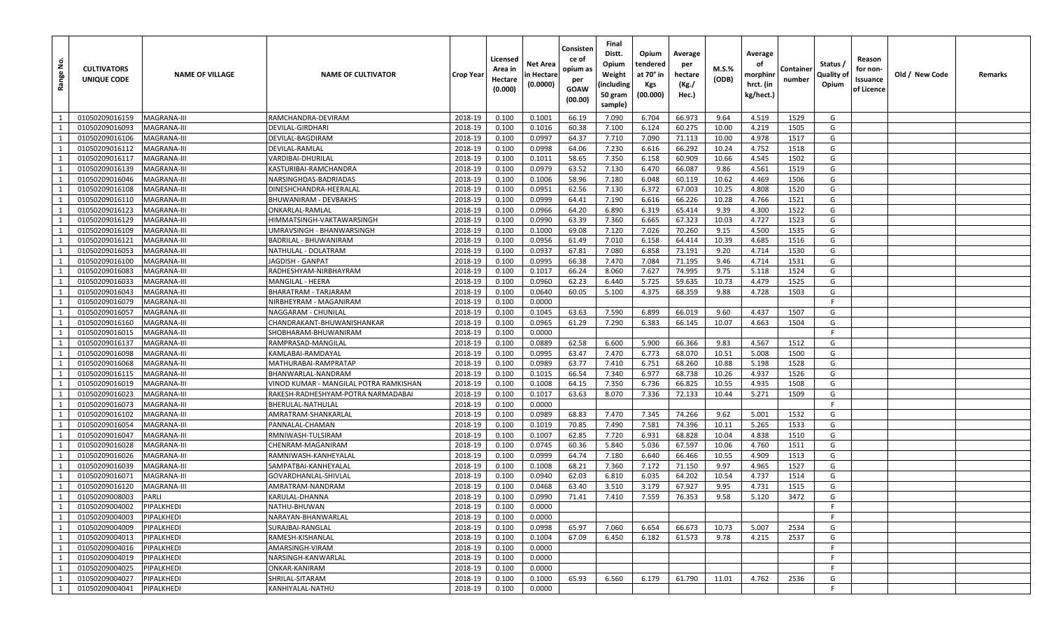| غ<br>Range     | <b>CULTIVATORS</b><br>UNIQUE CODE | <b>NAME OF VILLAGE</b>     | <b>NAME OF CULTIVATOR</b>                    | <b>Crop Year</b>   | Licensed<br>Area in<br>Hectare<br>(0.000) | Net Area<br>in Hectare<br>(0.0000) | Consisten<br>ce of<br>opium as<br>per<br>GOAW<br>(00.00) | Final<br>Distt.<br>Opium<br>Weight<br>(including<br>50 gram<br>sample) | Opium<br>tendered<br>at 70° in<br>Kgs<br>(00.000) | Average<br>per<br>hectare<br>(Kg./<br>Hec.) | M.S.%<br>(ODB) | Average<br>οf<br>morphinr<br>hrct. (in<br>kg/hect.) | Container<br>number | Status /<br>Quality of<br>Opium | Reason<br>for non-<br>Issuance<br>of Licence | Old / New Code | Remarks |
|----------------|-----------------------------------|----------------------------|----------------------------------------------|--------------------|-------------------------------------------|------------------------------------|----------------------------------------------------------|------------------------------------------------------------------------|---------------------------------------------------|---------------------------------------------|----------------|-----------------------------------------------------|---------------------|---------------------------------|----------------------------------------------|----------------|---------|
| $\overline{1}$ | 01050209016159                    | MAGRANA-III                | RAMCHANDRA-DEVIRAM                           | 2018-19            | 0.100                                     | 0.1001                             | 66.19                                                    | 7.090                                                                  | 6.704                                             | 66.973                                      | 9.64           | 4.519                                               | 1529                | G                               |                                              |                |         |
| 1              | 01050209016093                    | MAGRANA-III                | DEVILAL-GIRDHARI                             | 2018-19            | 0.100                                     | 0.1016                             | 60.38                                                    | 7.100                                                                  | 6.124                                             | 60.275                                      | 10.00          | 4.219                                               | 1505                | G                               |                                              |                |         |
| 1              | 01050209016106                    | MAGRANA-III                | DEVILAL-BAGDIRAM                             | 2018-19            | 0.100                                     | 0.0997                             | 64.37                                                    | 7.710                                                                  | 7.090                                             | 71.113                                      | 10.00          | 4.978                                               | 1517                | G                               |                                              |                |         |
| 1              | 01050209016112                    | MAGRANA-III                | DEVILAL-RAMLAL                               | 2018-19            | 0.100                                     | 0.0998                             | 64.06                                                    | 7.230                                                                  | 6.616                                             | 66.292                                      | 10.24          | 4.752                                               | 1518                | G                               |                                              |                |         |
| 1              | 01050209016117                    | MAGRANA-III                | VARDIBAI-DHURILAL                            | 2018-19            | 0.100                                     | 0.1011                             | 58.65                                                    | 7.350                                                                  | 6.158                                             | 60.909                                      | 10.66          | 4.545                                               | 1502                | G                               |                                              |                |         |
| 1              | 01050209016139                    | MAGRANA-III                | KASTURIBAI-RAMCHANDRA                        | 2018-19            | 0.100                                     | 0.0979                             | 63.52                                                    | 7.130                                                                  | 6.470                                             | 66.087                                      | 9.86           | 4.561                                               | 1519                | G                               |                                              |                |         |
| 1              | 01050209016046                    | MAGRANA-III                | NARSINGHDAS-BADRIADAS                        | 2018-19            | 0.100                                     | 0.1006                             | 58.96                                                    | 7.180                                                                  | 6.048                                             | 60.119                                      | 10.62          | 4.469                                               | 1506                | G                               |                                              |                |         |
| 1              | 01050209016108                    | MAGRANA-III                | DINESHCHANDRA-HEERALAL                       | 2018-19            | 0.100                                     | 0.0951                             | 62.56                                                    | 7.130                                                                  | 6.372                                             | 67.003                                      | 10.25          | 4.808                                               | 1520                | G                               |                                              |                |         |
| $\mathbf{1}$   | 01050209016110                    | MAGRANA-III                | BHUWANIRAM - DEVBAKHS                        | 2018-19            | 0.100                                     | 0.0999                             | 64.41                                                    | 7.190                                                                  | 6.616                                             | 66.226                                      | 10.28          | 4.766                                               | 1521                | G                               |                                              |                |         |
| 1              | 01050209016123                    | MAGRANA-III                | ONKARLAL-RAMLAL                              | 2018-19            | 0.100                                     | 0.0966                             | 64.20                                                    | 6.890                                                                  | 6.319                                             | 65.414                                      | 9.39           | 4.300                                               | 1522                | G                               |                                              |                |         |
| 1              | 01050209016129                    | <b>MAGRANA-III</b>         | HIMMATSINGH-VAKTAWARSINGH                    | 2018-19            | 0.100                                     | 0.0990                             | 63.39                                                    | 7.360                                                                  | 6.665                                             | 67.323                                      | 10.03          | 4.727                                               | 1523                | G                               |                                              |                |         |
| 1              | 01050209016109                    | MAGRANA-III                | JMRAVSINGH - BHANWARSINGH                    | 2018-19            | 0.100                                     | 0.1000                             | 69.08                                                    | 7.120                                                                  | 7.026                                             | 70.260                                      | 9.15           | 4.500                                               | 1535                | G                               |                                              |                |         |
| 1              | 01050209016121                    | MAGRANA-III                | BADRILAL - BHUWANIRAM                        | 2018-19            | 0.100                                     | 0.0956                             | 61.49                                                    | 7.010                                                                  | 6.158                                             | 64.414                                      | 10.39          | 4.685                                               | 1516                | G                               |                                              |                |         |
| 1              | 01050209016053                    | MAGRANA-III                | NATHULAL - DOLATRAM                          | 2018-19            | 0.100                                     | 0.0937                             | 67.81                                                    | 7.080                                                                  | 6.858                                             | 73.191                                      | 9.20           | 4.714                                               | 1530                | G                               |                                              |                |         |
| 1              | 01050209016100                    | <b>MAGRANA-III</b>         | JAGDISH - GANPAT                             | 2018-19            | 0.100                                     | 0.0995                             | 66.38                                                    | 7.470                                                                  | 7.084                                             | 71.195                                      | 9.46           | 4.714                                               | 1531                | G                               |                                              |                |         |
| 1              | 01050209016083                    | MAGRANA-III                | RADHESHYAM-NIRBHAYRAM                        | 2018-19            | 0.100                                     | 0.1017                             | 66.24                                                    | 8.060                                                                  | 7.627                                             | 74.995                                      | 9.75           | 5.118                                               | 1524                | G                               |                                              |                |         |
| 1              | 01050209016033                    | MAGRANA-III                | MANGILAL - HEERA                             | 2018-19            | 0.100                                     | 0.0960                             | 62.23                                                    | 6.440                                                                  | 5.725                                             | 59.635                                      | 10.73          | 4.479                                               | 1525                | G                               |                                              |                |         |
| 1              | 01050209016043                    | MAGRANA-III                | BHARATRAM - TARJARAM                         | 2018-19            | 0.100                                     | 0.0640                             | 60.05                                                    | 5.100                                                                  | 4.375                                             | 68.359                                      | 9.88           | 4.728                                               | 1503                | G                               |                                              |                |         |
| 1              | 01050209016079                    | MAGRANA-III                | NIRBHEYRAM - MAGANIRAM                       | 2018-19            | 0.100                                     | 0.0000                             |                                                          |                                                                        |                                                   |                                             |                |                                                     |                     | F                               |                                              |                |         |
| 1              | 01050209016057                    | MAGRANA-III                | NAGGARAM - CHUNILAI                          | 2018-19            | 0.100                                     | 0.1045                             | 63.63                                                    | 7.590                                                                  | 6.899                                             | 66.019                                      | 9.60           | 4.437                                               | 1507                | G                               |                                              |                |         |
| 1              | 01050209016160                    | MAGRANA-III                | CHANDRAKANT-BHUWANISHANKAR                   | 2018-19            | 0.100                                     | 0.0965                             | 61.29                                                    | 7.290                                                                  | 6.383                                             | 66.145                                      | 10.07          | 4.663                                               | 1504                | G                               |                                              |                |         |
| 1              | 01050209016015                    | <b>MAGRANA-III</b>         | SHOBHARAM-BHUWANIRAM                         | 2018-19            | 0.100                                     | 0.0000                             |                                                          |                                                                        |                                                   |                                             |                |                                                     |                     | F                               |                                              |                |         |
| $\mathbf{1}$   | 01050209016137                    | MAGRANA-III                | RAMPRASAD-MANGILAL                           | 2018-19            | 0.100                                     | 0.0889                             | 62.58                                                    | 6.600                                                                  | 5.900                                             | 66.366                                      | 9.83           | 4.567                                               | 1512                | G                               |                                              |                |         |
| 1              | 01050209016098                    | MAGRANA-III                | KAMLABAI-RAMDAYAL                            | 2018-19            | 0.100                                     | 0.0995                             | 63.47                                                    | 7.470                                                                  | 6.773                                             | 68.070                                      | 10.51          | 5.008                                               | 1500                | G                               |                                              |                |         |
| 1              | 01050209016068                    | MAGRANA-III                | MATHURABAI-RAMPRATAP                         | 2018-19            | 0.100                                     | 0.0989                             | 63.77                                                    | 7.410                                                                  | 6.751                                             | 68.260                                      | 10.88          | 5.198                                               | 1528                | G                               |                                              |                |         |
| 1              | 01050209016115                    | MAGRANA-III                | BHANWARLAL-NANDRAM                           | 2018-19            | 0.100                                     | 0.1015                             | 66.54                                                    | 7.340                                                                  | 6.977                                             | 68.738                                      | 10.26          | 4.937                                               | 1526                | G                               |                                              |                |         |
| 1              | 01050209016019                    | MAGRANA-III                | VINOD KUMAR - MANGILAL POTRA RAMKISHAN       | 2018-19            | 0.100                                     | 0.1008                             | 64.15                                                    | 7.350                                                                  | 6.736                                             | 66.825                                      | 10.55          | 4.935                                               | 1508                | G                               |                                              |                |         |
| 1              | 01050209016023                    | MAGRANA-III                | RAKESH-RADHESHYAM-POTRA NARMADABAI           | 2018-19            | 0.100                                     | 0.1017                             | 63.63                                                    | 8.070                                                                  | 7.336                                             | 72.133                                      | 10.44          | 5.271                                               | 1509                | G                               |                                              |                |         |
| 1              | 01050209016073                    | MAGRANA-III                | BHERULAL-NATHULAL                            | 2018-19            | 0.100                                     | 0.0000                             |                                                          |                                                                        |                                                   |                                             |                |                                                     |                     | -F                              |                                              |                |         |
| 1              | 01050209016102                    | MAGRANA-III                | AMRATRAM-SHANKARLAL                          | 2018-19            | 0.100                                     | 0.0989                             | 68.83                                                    | 7.470                                                                  | 7.345                                             | 74.266                                      | 9.62           | 5.001                                               | 1532                | G                               |                                              |                |         |
| 1              | 01050209016054                    | MAGRANA-III                | PANNALAL-CHAMAN                              | 2018-19            | 0.100                                     | 0.1019                             | 70.85                                                    | 7.490                                                                  | 7.581                                             | 74.396                                      | 10.11          | 5.265                                               | 1533                | G                               |                                              |                |         |
| 1<br>1         | 01050209016047                    | MAGRANA-III<br>MAGRANA-III | RMNIWASH-TULSIRAM<br>CHENRAM-MAGANIRAM       | 2018-19            | 0.100                                     | 0.1007<br>0.0745                   | 62.85                                                    | 7.720<br>5.840                                                         | 6.931<br>5.036                                    | 68.828<br>67.597                            | 10.04<br>10.06 | 4.838<br>4.760                                      | 1510<br>1511        | G<br>G                          |                                              |                |         |
| 1              | 01050209016028<br>01050209016026  |                            |                                              | 2018-19<br>2018-19 | 0.100                                     | 0.0999                             | 60.36                                                    |                                                                        | 6.640                                             | 66.466                                      | 10.55          |                                                     |                     | G                               |                                              |                |         |
| 1              | 01050209016039                    | MAGRANA-III<br>MAGRANA-III | RAMNIWASH-KANHEYALAL<br>SAMPATBAI-KANHEYALAL | 2018-19            | 0.100<br>0.100                            | 0.1008                             | 64.74<br>68.21                                           | 7.180<br>7.360                                                         | 7.172                                             | 71.150                                      | 9.97           | 4.909<br>4.965                                      | 1513<br>1527        | G                               |                                              |                |         |
| 1              | 01050209016071                    | MAGRANA-III                | GOVARDHANLAL-SHIVLAL                         | 2018-19            | 0.100                                     | 0.0940                             | 62.03                                                    | 6.810                                                                  | 6.035                                             | 64.202                                      | 10.54          | 4.737                                               | 1514                | G                               |                                              |                |         |
| 1              | 01050209016120                    | MAGRANA-III                | AMRATRAM-NANDRAM                             | 2018-19            | 0.100                                     | 0.0468                             | 63.40                                                    | 3.510                                                                  | 3.179                                             | 67.927                                      | 9.95           | 4.731                                               | 1515                | G                               |                                              |                |         |
| 1              | 01050209008003                    | PARLI                      | KARULAL-DHANNA                               | 2018-19            | 0.100                                     | 0.0990                             | 71.41                                                    | 7.410                                                                  | 7.559                                             | 76.353                                      | 9.58           | 5.120                                               | 3472                | G                               |                                              |                |         |
| 1              | 01050209004002                    | PIPALKHEDI                 | NATHU-BHUWAN                                 | 2018-19            | 0.100                                     | 0.0000                             |                                                          |                                                                        |                                                   |                                             |                |                                                     |                     | F.                              |                                              |                |         |
| 1              | 01050209004003                    | PIPALKHEDI                 | NARAYAN-BHANWARLAL                           | 2018-19            | 0.100                                     | 0.0000                             |                                                          |                                                                        |                                                   |                                             |                |                                                     |                     | F.                              |                                              |                |         |
| $\mathbf{1}$   | 01050209004009                    | PIPALKHEDI                 | SURAJBAI-RANGLAL                             | 2018-19            | 0.100                                     | 0.0998                             | 65.97                                                    | 7.060                                                                  | 6.654                                             | 66.673                                      | 10.73          | 5.007                                               | 2534                | G                               |                                              |                |         |
| 1              | 01050209004013                    | PIPALKHEDI                 | RAMESH-KISHANLAL                             | 2018-19            | 0.100                                     | 0.1004                             | 67.09                                                    | 6.450                                                                  | 6.182                                             | 61.573                                      | 9.78           | 4.215                                               | 2537                | G                               |                                              |                |         |
| 1              | 01050209004016                    | PIPALKHEDI                 | AMARSINGH-VIRAM                              | 2018-19            | 0.100                                     | 0.0000                             |                                                          |                                                                        |                                                   |                                             |                |                                                     |                     | F                               |                                              |                |         |
| 1              | 01050209004019                    | PIPALKHEDI                 | NARSINGH-KANWARLAL                           | 2018-19            | 0.100                                     | 0.0000                             |                                                          |                                                                        |                                                   |                                             |                |                                                     |                     | F                               |                                              |                |         |
| 1              | 01050209004025                    | PIPALKHEDI                 | ONKAR-KANIRAM                                | 2018-19            | 0.100                                     | 0.0000                             |                                                          |                                                                        |                                                   |                                             |                |                                                     |                     | -F                              |                                              |                |         |
| 1              | 01050209004027                    | PIPALKHEDI                 | SHRILAL-SITARAM                              | 2018-19            | 0.100                                     | 0.1000                             | 65.93                                                    | 6.560                                                                  | 6.179                                             | 61.790                                      | 11.01          | 4.762                                               | 2536                | G                               |                                              |                |         |
| 1              | 01050209004041                    | PIPALKHEDI                 | KANHIYALAL-NATHU                             | 2018-19            | 0.100                                     | 0.0000                             |                                                          |                                                                        |                                                   |                                             |                |                                                     |                     | F                               |                                              |                |         |
|                |                                   |                            |                                              |                    |                                           |                                    |                                                          |                                                                        |                                                   |                                             |                |                                                     |                     |                                 |                                              |                |         |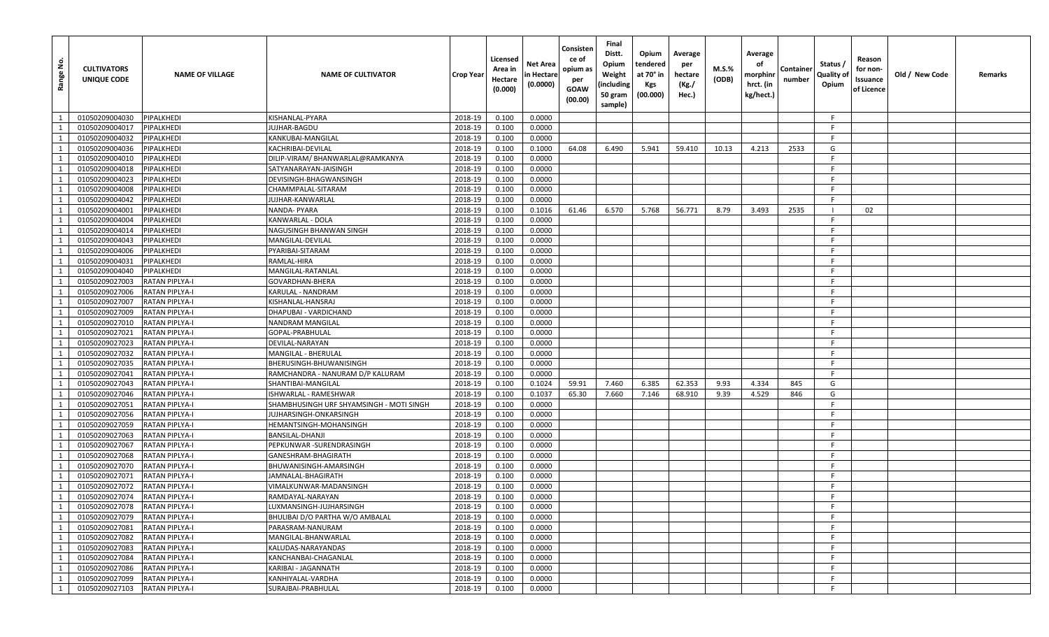| Range No.      | <b>CULTIVATORS</b><br>UNIQUE CODE | <b>NAME OF VILLAGE</b> | <b>NAME OF CULTIVATOR</b>                | Crop Year | Licensed<br>Area in<br>Hectare<br>(0.000) | Net Area<br>n Hectare<br>(0.0000) | Consisten<br>ce of<br>opium as<br>per<br><b>GOAW</b><br>(00.00) | Final<br>Distt.<br>Opium<br>Weight<br>(including<br>50 gram<br>sample) | Opium<br>tendered<br>at 70° in<br><b>Kgs</b><br>(00.000) | Average<br>per<br>hectare<br>(Kg./<br>Hec.) | M.S.%<br>(ODB) | Average<br>οf<br>morphinr<br>hrct. (in<br>kg/hect.) | Container<br>number | Status /<br>Quality of<br>Opium | Reason<br>for non-<br>Issuance<br>of Licence | Old / New Code | Remarks |
|----------------|-----------------------------------|------------------------|------------------------------------------|-----------|-------------------------------------------|-----------------------------------|-----------------------------------------------------------------|------------------------------------------------------------------------|----------------------------------------------------------|---------------------------------------------|----------------|-----------------------------------------------------|---------------------|---------------------------------|----------------------------------------------|----------------|---------|
| $\overline{1}$ | 01050209004030                    | PIPALKHEDI             | KISHANLAL-PYARA                          | 2018-19   | 0.100                                     | 0.0000                            |                                                                 |                                                                        |                                                          |                                             |                |                                                     |                     | F                               |                                              |                |         |
| 1              | 01050209004017                    | PIPALKHEDI             | UJHAR-BAGDU                              | 2018-19   | 0.100                                     | 0.0000                            |                                                                 |                                                                        |                                                          |                                             |                |                                                     |                     | -F                              |                                              |                |         |
| 1              | 01050209004032                    | PIPALKHEDI             | KANKUBAI-MANGILAL                        | 2018-19   | 0.100                                     | 0.0000                            |                                                                 |                                                                        |                                                          |                                             |                |                                                     |                     | F.                              |                                              |                |         |
| 1              | 01050209004036                    | PIPALKHEDI             | KACHRIBAI-DEVILAL                        | 2018-19   | 0.100                                     | 0.1000                            | 64.08                                                           | 6.490                                                                  | 5.941                                                    | 59.410                                      | 10.13          | 4.213                                               | 2533                | G                               |                                              |                |         |
| 1              | 01050209004010                    | PIPALKHEDI             | DILIP-VIRAM/ BHANWARLAL@RAMKANYA         | 2018-19   | 0.100                                     | 0.0000                            |                                                                 |                                                                        |                                                          |                                             |                |                                                     |                     | F.                              |                                              |                |         |
| 1              | 01050209004018                    | PIPALKHEDI             | SATYANARAYAN-JAISINGH                    | 2018-19   | 0.100                                     | 0.0000                            |                                                                 |                                                                        |                                                          |                                             |                |                                                     |                     | -F                              |                                              |                |         |
| 1              | 01050209004023                    | PIPALKHEDI             | DEVISINGH-BHAGWANSINGH                   | 2018-19   | 0.100                                     | 0.0000                            |                                                                 |                                                                        |                                                          |                                             |                |                                                     |                     | F.                              |                                              |                |         |
| 1              | 01050209004008                    | PIPALKHEDI             | CHAMMPALAL-SITARAM                       | 2018-19   | 0.100                                     | 0.0000                            |                                                                 |                                                                        |                                                          |                                             |                |                                                     |                     | -F.                             |                                              |                |         |
| $\mathbf{1}$   | 01050209004042                    | PIPALKHEDI             | IUJHAR-KANWARLAL                         | 2018-19   | 0.100                                     | 0.0000                            |                                                                 |                                                                        |                                                          |                                             |                |                                                     |                     | E                               |                                              |                |         |
| 1              | 01050209004001                    | PIPALKHEDI             | NANDA- PYARA                             | 2018-19   | 0.100                                     | 0.1016                            | 61.46                                                           | 6.570                                                                  | 5.768                                                    | 56.771                                      | 8.79           | 3.493                                               | 2535                |                                 | 02                                           |                |         |
| 1              | 01050209004004                    | PIPALKHEDI             | KANWARLAL - DOLA                         | 2018-19   | 0.100                                     | 0.0000                            |                                                                 |                                                                        |                                                          |                                             |                |                                                     |                     | -F                              |                                              |                |         |
| $\overline{1}$ | 01050209004014                    | PIPALKHEDI             | NAGUSINGH BHANWAN SINGH                  | 2018-19   | 0.100                                     | 0.0000                            |                                                                 |                                                                        |                                                          |                                             |                |                                                     |                     | -F.                             |                                              |                |         |
| 1              | 01050209004043                    | PIPALKHEDI             | MANGILAL-DEVILAL                         | 2018-19   | 0.100                                     | 0.0000                            |                                                                 |                                                                        |                                                          |                                             |                |                                                     |                     | -F                              |                                              |                |         |
| 1              | 01050209004006                    | PIPALKHEDI             | PYARIBAI-SITARAM                         | 2018-19   | 0.100                                     | 0.0000                            |                                                                 |                                                                        |                                                          |                                             |                |                                                     |                     | F.                              |                                              |                |         |
| 1              | 01050209004031                    | PIPALKHEDI             | RAMLAL-HIRA                              | 2018-19   | 0.100                                     | 0.0000                            |                                                                 |                                                                        |                                                          |                                             |                |                                                     |                     | -F                              |                                              |                |         |
| 1              | 01050209004040                    | PIPALKHEDI             | MANGILAL-RATANLAL                        | 2018-19   | 0.100                                     | 0.0000                            |                                                                 |                                                                        |                                                          |                                             |                |                                                     |                     | -F                              |                                              |                |         |
| 1              | 01050209027003                    | RATAN PIPLYA-I         | GOVARDHAN-BHERA                          | 2018-19   | 0.100                                     | 0.0000                            |                                                                 |                                                                        |                                                          |                                             |                |                                                     |                     | -F                              |                                              |                |         |
| 1              | 01050209027006                    | RATAN PIPLYA-I         | KARULAL - NANDRAM                        | 2018-19   | 0.100                                     | 0.0000                            |                                                                 |                                                                        |                                                          |                                             |                |                                                     |                     | F.                              |                                              |                |         |
| 1              | 01050209027007                    | <b>RATAN PIPLYA-I</b>  | KISHANLAL-HANSRAJ                        | 2018-19   | 0.100                                     | 0.0000                            |                                                                 |                                                                        |                                                          |                                             |                |                                                     |                     | -F                              |                                              |                |         |
| 1              | 01050209027009                    | RATAN PIPLYA-I         | DHAPUBAI - VARDICHAND                    | 2018-19   | 0.100                                     | 0.0000                            |                                                                 |                                                                        |                                                          |                                             |                |                                                     |                     | -F                              |                                              |                |         |
| 1              | 01050209027010                    | RATAN PIPLYA-I         | NANDRAM MANGILAL                         | 2018-19   | 0.100                                     | 0.0000                            |                                                                 |                                                                        |                                                          |                                             |                |                                                     |                     | F.                              |                                              |                |         |
| 1              | 01050209027021                    | <b>RATAN PIPLYA-I</b>  | GOPAL-PRABHULAL                          | 2018-19   | 0.100                                     | 0.0000                            |                                                                 |                                                                        |                                                          |                                             |                |                                                     |                     | -F                              |                                              |                |         |
| $\mathbf{1}$   | 01050209027023                    | RATAN PIPLYA-I         | DEVILAL-NARAYAN                          | 2018-19   | 0.100                                     | 0.0000                            |                                                                 |                                                                        |                                                          |                                             |                |                                                     |                     | F.                              |                                              |                |         |
| 1              | 01050209027032                    | RATAN PIPLYA-I         | MANGILAL - BHERULAL                      | 2018-19   | 0.100                                     | 0.0000                            |                                                                 |                                                                        |                                                          |                                             |                |                                                     |                     | -F                              |                                              |                |         |
| 1              | 01050209027035                    | RATAN PIPLYA-I         | BHERUSINGH-BHUWANISINGH                  | 2018-19   | 0.100                                     | 0.0000                            |                                                                 |                                                                        |                                                          |                                             |                |                                                     |                     | F.                              |                                              |                |         |
| 1              | 01050209027041                    | RATAN PIPLYA-I         | RAMCHANDRA - NANURAM D/P KALURAM         | 2018-19   | 0.100                                     | 0.0000                            |                                                                 |                                                                        |                                                          |                                             |                |                                                     |                     | F.                              |                                              |                |         |
| 1              | 01050209027043                    | RATAN PIPLYA-I         | SHANTIBAI-MANGILAL                       | 2018-19   | 0.100                                     | 0.1024                            | 59.91                                                           | 7.460                                                                  | 6.385                                                    | 62.353                                      | 9.93           | 4.334                                               | 845                 | G                               |                                              |                |         |
| 1              | 01050209027046                    | RATAN PIPLYA-I         | ISHWARLAL - RAMESHWAR                    | 2018-19   | 0.100                                     | 0.1037                            | 65.30                                                           | 7.660                                                                  | 7.146                                                    | 68.910                                      | 9.39           | 4.529                                               | 846                 | G                               |                                              |                |         |
| 1              | 01050209027051                    | <b>RATAN PIPLYA-I</b>  | SHAMBHUSINGH URF SHYAMSINGH - MOTI SINGH | 2018-19   | 0.100                                     | 0.0000                            |                                                                 |                                                                        |                                                          |                                             |                |                                                     |                     | -F.                             |                                              |                |         |
| $\mathbf{1}$   | 01050209027056                    | RATAN PIPLYA-I         | IUJHARSINGH-ONKARSINGH                   | 2018-19   | 0.100                                     | 0.0000                            |                                                                 |                                                                        |                                                          |                                             |                |                                                     |                     | -F                              |                                              |                |         |
| 1              | 01050209027059                    | RATAN PIPLYA-I         | HEMANTSINGH-MOHANSINGH                   | 2018-19   | 0.100                                     | 0.0000                            |                                                                 |                                                                        |                                                          |                                             |                |                                                     |                     | -F                              |                                              |                |         |
| 1              | 01050209027063                    | RATAN PIPLYA-I         | BANSILAL-DHANJI                          | 2018-19   | 0.100                                     | 0.0000                            |                                                                 |                                                                        |                                                          |                                             |                |                                                     |                     | -F.                             |                                              |                |         |
| 1              | 01050209027067                    | <b>RATAN PIPLYA-I</b>  | PEPKUNWAR -SURENDRASINGH                 | 2018-19   | 0.100                                     | 0.0000                            |                                                                 |                                                                        |                                                          |                                             |                |                                                     |                     | F.                              |                                              |                |         |
| 1              | 01050209027068                    | RATAN PIPLYA-I         | GANESHRAM-BHAGIRATH                      | 2018-19   | 0.100                                     | 0.0000                            |                                                                 |                                                                        |                                                          |                                             |                |                                                     |                     | F.                              |                                              |                |         |
| 1              | 01050209027070                    | RATAN PIPLYA-I         | BHUWANISINGH-AMARSINGH                   | 2018-19   | 0.100                                     | 0.0000                            |                                                                 |                                                                        |                                                          |                                             |                |                                                     |                     | F.                              |                                              |                |         |
| 1              | 01050209027071                    | RATAN PIPLYA-I         | JAMNALAL-BHAGIRATH                       | 2018-19   | 0.100                                     | 0.0000                            |                                                                 |                                                                        |                                                          |                                             |                |                                                     |                     | -F                              |                                              |                |         |
| $\mathbf{1}$   | 01050209027072                    | RATAN PIPLYA-I         | VIMALKUNWAR-MADANSINGH                   | 2018-19   | 0.100                                     | 0.0000                            |                                                                 |                                                                        |                                                          |                                             |                |                                                     |                     | E                               |                                              |                |         |
| 1              | 01050209027074                    | <b>RATAN PIPLYA-I</b>  | RAMDAYAL-NARAYAN                         | 2018-19   | 0.100                                     | 0.0000                            |                                                                 |                                                                        |                                                          |                                             |                |                                                     |                     | -F.                             |                                              |                |         |
| 1              | 01050209027078                    | <b>RATAN PIPLYA-I</b>  | LUXMANSINGH-JUJHARSINGH                  | 2018-19   | 0.100                                     | 0.0000                            |                                                                 |                                                                        |                                                          |                                             |                |                                                     |                     | F.                              |                                              |                |         |
| 1              | 01050209027079                    | <b>RATAN PIPLYA-I</b>  | BHULIBAI D/O PARTHA W/O AMBALAL          | 2018-19   | 0.100                                     | 0.0000                            |                                                                 |                                                                        |                                                          |                                             |                |                                                     |                     | F.                              |                                              |                |         |
| $\mathbf{1}$   | 01050209027081                    | <b>RATAN PIPLYA-I</b>  | PARASRAM-NANURAM                         | 2018-19   | 0.100                                     | 0.0000                            |                                                                 |                                                                        |                                                          |                                             |                |                                                     |                     | F.                              |                                              |                |         |
| 1              | 01050209027082                    | <b>RATAN PIPLYA-I</b>  | MANGILAL-BHANWARLAL                      | 2018-19   | 0.100                                     | 0.0000                            |                                                                 |                                                                        |                                                          |                                             |                |                                                     |                     | F.                              |                                              |                |         |
| 1              | 01050209027083                    | <b>RATAN PIPLYA-I</b>  | KALUDAS-NARAYANDAS                       | 2018-19   | 0.100                                     | 0.0000                            |                                                                 |                                                                        |                                                          |                                             |                |                                                     |                     | -F                              |                                              |                |         |
| 1              | 01050209027084                    | <b>RATAN PIPLYA-I</b>  | KANCHANBAI-CHAGANLAL                     | 2018-19   | 0.100                                     | 0.0000                            |                                                                 |                                                                        |                                                          |                                             |                |                                                     |                     | -F                              |                                              |                |         |
| 1              | 01050209027086                    | <b>RATAN PIPLYA-I</b>  | KARIBAI - JAGANNATH                      | 2018-19   | 0.100                                     | 0.0000                            |                                                                 |                                                                        |                                                          |                                             |                |                                                     |                     | F.                              |                                              |                |         |
| 1              | 01050209027099                    | <b>RATAN PIPLYA-I</b>  | KANHIYALAL-VARDHA                        | 2018-19   | 0.100                                     | 0.0000                            |                                                                 |                                                                        |                                                          |                                             |                |                                                     |                     | F.                              |                                              |                |         |
| 1              | 01050209027103                    | <b>RATAN PIPLYA-I</b>  | SURAJBAI-PRABHULAL                       | 2018-19   | 0.100                                     | 0.0000                            |                                                                 |                                                                        |                                                          |                                             |                |                                                     |                     | F                               |                                              |                |         |
|                |                                   |                        |                                          |           |                                           |                                   |                                                                 |                                                                        |                                                          |                                             |                |                                                     |                     |                                 |                                              |                |         |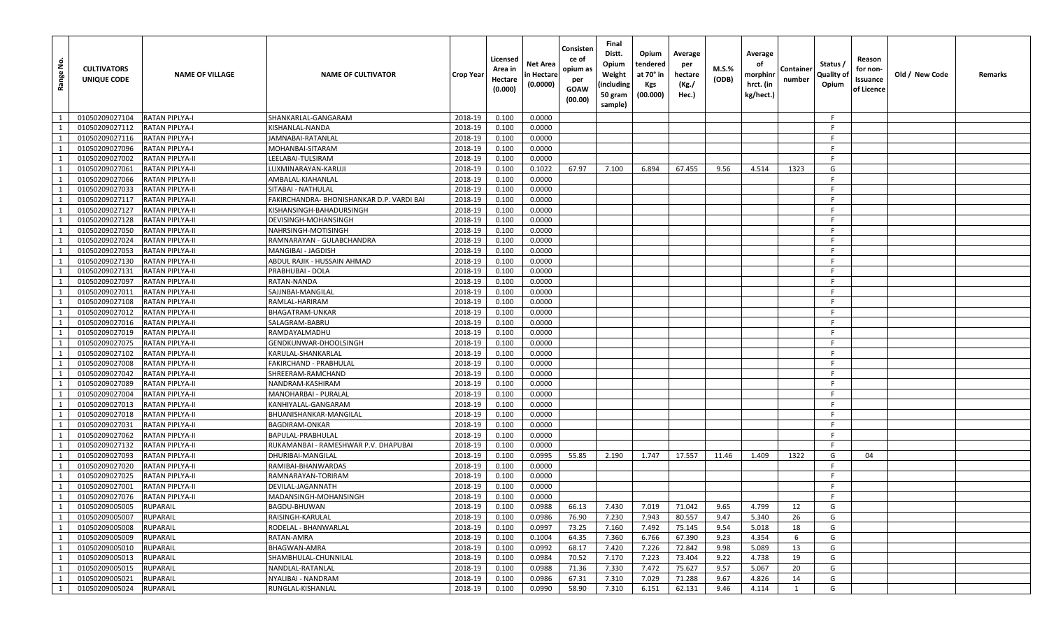| å<br>Range     | <b>CULTIVATORS</b><br>UNIQUE CODE | <b>NAME OF VILLAGE</b> | <b>NAME OF CULTIVATOR</b>                 | <b>Crop Year</b> | Licensed<br>Area in<br>Hectare<br>(0.000) | Net Area<br>in Hectare<br>(0.0000) | Consisten<br>ce of<br>opium as<br>per<br>GOAW<br>(00.00) | Final<br>Distt.<br>Opium<br>Weight<br>(including<br>50 gram<br>sample) | Opium<br>tendered<br>at 70° in<br>Kgs<br>(00.000) | Average<br>per<br>hectare<br>(Kg./<br>Hec.) | M.S.%<br>(ODB) | Average<br>оf<br>morphinr<br>hrct. (in<br>kg/hect.) | Container<br>number | Status /<br>Quality of<br>Opium | Reason<br>for non-<br>Issuance<br>of Licence | Old / New Code | Remarks |
|----------------|-----------------------------------|------------------------|-------------------------------------------|------------------|-------------------------------------------|------------------------------------|----------------------------------------------------------|------------------------------------------------------------------------|---------------------------------------------------|---------------------------------------------|----------------|-----------------------------------------------------|---------------------|---------------------------------|----------------------------------------------|----------------|---------|
| $\overline{1}$ | 01050209027104                    | <b>RATAN PIPLYA-I</b>  | SHANKARLAL-GANGARAM                       | 2018-19          | 0.100                                     | 0.0000                             |                                                          |                                                                        |                                                   |                                             |                |                                                     |                     | F                               |                                              |                |         |
| $\mathbf{1}$   | 01050209027112                    | <b>RATAN PIPLYA-I</b>  | KISHANLAL-NANDA                           | 2018-19          | 0.100                                     | 0.0000                             |                                                          |                                                                        |                                                   |                                             |                |                                                     |                     |                                 |                                              |                |         |
| 1              | 01050209027116                    | <b>RATAN PIPLYA-I</b>  | JAMNABAI-RATANLAL                         | 2018-19          | 0.100                                     | 0.0000                             |                                                          |                                                                        |                                                   |                                             |                |                                                     |                     | F                               |                                              |                |         |
| $\overline{1}$ | 01050209027096                    | <b>RATAN PIPLYA-I</b>  | MOHANBAI-SITARAM                          | 2018-19          | 0.100                                     | 0.0000                             |                                                          |                                                                        |                                                   |                                             |                |                                                     |                     | -F                              |                                              |                |         |
| 1              | 01050209027002                    | <b>RATAN PIPLYA-II</b> | LEELABAI-TULSIRAM                         | 2018-19          | 0.100                                     | 0.0000                             |                                                          |                                                                        |                                                   |                                             |                |                                                     |                     |                                 |                                              |                |         |
| -1             | 01050209027061                    | <b>RATAN PIPLYA-II</b> | LUXMINARAYAN-KARUJI                       | 2018-19          | 0.100                                     | 0.1022                             | 67.97                                                    | 7.100                                                                  | 6.894                                             | 67.455                                      | 9.56           | 4.514                                               | 1323                | G                               |                                              |                |         |
| 1              | 01050209027066                    | <b>RATAN PIPLYA-II</b> | AMBALAL-KIAHANLAL                         | 2018-19          | 0.100                                     | 0.0000                             |                                                          |                                                                        |                                                   |                                             |                |                                                     |                     | F                               |                                              |                |         |
| 1              | 01050209027033                    | <b>RATAN PIPLYA-II</b> | SITABAI - NATHULAL                        | 2018-19          | 0.100                                     | 0.0000                             |                                                          |                                                                        |                                                   |                                             |                |                                                     |                     | F                               |                                              |                |         |
|                | 01050209027117                    | <b>RATAN PIPLYA-II</b> | FAKIRCHANDRA- BHONISHANKAR D.P. VARDI BAI | 2018-19          | 0.100                                     | 0.0000                             |                                                          |                                                                        |                                                   |                                             |                |                                                     |                     |                                 |                                              |                |         |
| -1             | 01050209027127                    | <b>RATAN PIPLYA-II</b> | KISHANSINGH-BAHADURSINGH                  | 2018-19          | 0.100                                     | 0.0000                             |                                                          |                                                                        |                                                   |                                             |                |                                                     |                     | F                               |                                              |                |         |
| 1              | 01050209027128                    | <b>RATAN PIPLYA-II</b> | DEVISINGH-MOHANSINGH                      | 2018-19          | 0.100                                     | 0.0000                             |                                                          |                                                                        |                                                   |                                             |                |                                                     |                     | F.                              |                                              |                |         |
|                | 01050209027050                    | <b>RATAN PIPLYA-II</b> | NAHRSINGH-MOTISINGH                       | 2018-19          | 0.100                                     | 0.0000                             |                                                          |                                                                        |                                                   |                                             |                |                                                     |                     |                                 |                                              |                |         |
| 1              | 01050209027024                    | <b>RATAN PIPLYA-II</b> | RAMNARAYAN - GULABCHANDRA                 | 2018-19          | 0.100                                     | 0.0000                             |                                                          |                                                                        |                                                   |                                             |                |                                                     |                     |                                 |                                              |                |         |
| 1              | 01050209027053                    | <b>RATAN PIPLYA-II</b> | MANGIBAI - JAGDISH                        | 2018-19          | 0.100                                     | 0.0000                             |                                                          |                                                                        |                                                   |                                             |                |                                                     |                     | F                               |                                              |                |         |
| $\overline{1}$ | 01050209027130                    | <b>RATAN PIPLYA-II</b> | ABDUL RAJIK - HUSSAIN AHMAD               | 2018-19          | 0.100                                     | 0.0000                             |                                                          |                                                                        |                                                   |                                             |                |                                                     |                     | F                               |                                              |                |         |
|                | 01050209027131                    | <b>RATAN PIPLYA-II</b> | PRABHUBAI - DOLA                          | 2018-19          | 0.100                                     | 0.0000                             |                                                          |                                                                        |                                                   |                                             |                |                                                     |                     |                                 |                                              |                |         |
| 1              | 01050209027097                    | <b>RATAN PIPLYA-II</b> | RATAN-NANDA                               | 2018-19          | 0.100                                     | 0.0000                             |                                                          |                                                                        |                                                   |                                             |                |                                                     |                     | F                               |                                              |                |         |
| 1              | 01050209027011                    | <b>RATAN PIPLYA-II</b> | SAJJNBAI-MANGILAL                         | 2018-19          | 0.100                                     | 0.0000                             |                                                          |                                                                        |                                                   |                                             |                |                                                     |                     | F                               |                                              |                |         |
|                | 01050209027108                    | <b>RATAN PIPLYA-II</b> | RAMLAL-HARIRAM                            | 2018-19          | 0.100                                     | 0.0000                             |                                                          |                                                                        |                                                   |                                             |                |                                                     |                     |                                 |                                              |                |         |
| 1              | 01050209027012                    | <b>RATAN PIPLYA-II</b> | BHAGATRAM-UNKAR                           | 2018-19          | 0.100                                     | 0.0000                             |                                                          |                                                                        |                                                   |                                             |                |                                                     |                     | F                               |                                              |                |         |
| 1              | 01050209027016                    | <b>RATAN PIPLYA-II</b> | SALAGRAM-BABRU                            | 2018-19          | 0.100                                     | 0.0000                             |                                                          |                                                                        |                                                   |                                             |                |                                                     |                     | F.                              |                                              |                |         |
| $\overline{1}$ | 01050209027019                    | <b>RATAN PIPLYA-II</b> | RAMDAYALMADHU                             | 2018-19          | 0.100                                     | 0.0000                             |                                                          |                                                                        |                                                   |                                             |                |                                                     |                     | F.                              |                                              |                |         |
|                | 01050209027075                    | <b>RATAN PIPLYA-II</b> | GENDKUNWAR-DHOOLSINGH                     | 2018-19          | 0.100                                     | 0.0000                             |                                                          |                                                                        |                                                   |                                             |                |                                                     |                     |                                 |                                              |                |         |
| 1              | 01050209027102                    | <b>RATAN PIPLYA-II</b> | KARULAL-SHANKARLAL                        | 2018-19          | 0.100                                     | 0.0000                             |                                                          |                                                                        |                                                   |                                             |                |                                                     |                     | F                               |                                              |                |         |
| 1              | 01050209027008                    | <b>RATAN PIPLYA-II</b> | FAKIRCHAND - PRABHULAL                    | 2018-19          | 0.100                                     | 0.0000                             |                                                          |                                                                        |                                                   |                                             |                |                                                     |                     | F                               |                                              |                |         |
| $\overline{1}$ | 01050209027042                    | <b>RATAN PIPLYA-II</b> | SHREERAM-RAMCHAND                         | 2018-19          | 0.100                                     | 0.0000                             |                                                          |                                                                        |                                                   |                                             |                |                                                     |                     | F                               |                                              |                |         |
| 1              | 01050209027089                    | <b>RATAN PIPLYA-II</b> | NANDRAM-KASHIRAM                          | 2018-19          | 0.100                                     | 0.0000                             |                                                          |                                                                        |                                                   |                                             |                |                                                     |                     |                                 |                                              |                |         |
| <sup>1</sup>   | 01050209027004                    | <b>RATAN PIPLYA-II</b> | MANOHARBAI - PURALAL                      | 2018-19          | 0.100                                     | 0.0000                             |                                                          |                                                                        |                                                   |                                             |                |                                                     |                     | F.                              |                                              |                |         |
| $\overline{1}$ | 01050209027013                    | <b>RATAN PIPLYA-II</b> | KANHIYALAL-GANGARAM                       | 2018-19          | 0.100                                     | 0.0000                             |                                                          |                                                                        |                                                   |                                             |                |                                                     |                     | F                               |                                              |                |         |
|                | 01050209027018                    | <b>RATAN PIPLYA-II</b> | BHUANISHANKAR-MANGILAL                    | 2018-19          | 0.100                                     | 0.0000                             |                                                          |                                                                        |                                                   |                                             |                |                                                     |                     |                                 |                                              |                |         |
| 1              | 01050209027031                    | <b>RATAN PIPLYA-II</b> | BAGDIRAM-ONKAR                            | 2018-19          | 0.100                                     | 0.0000                             |                                                          |                                                                        |                                                   |                                             |                |                                                     |                     | F                               |                                              |                |         |
| <sup>1</sup>   | 01050209027062                    | <b>RATAN PIPLYA-II</b> | BAPULAL-PRABHULAL                         | 2018-19          | 0.100                                     | 0.0000                             |                                                          |                                                                        |                                                   |                                             |                |                                                     |                     | -F                              |                                              |                |         |
| $\overline{1}$ | 01050209027132                    | <b>RATAN PIPLYA-II</b> | RUKAMANBAI - RAMESHWAR P.V. DHAPUBAI      | 2018-19          | 0.100                                     | 0.0000                             |                                                          |                                                                        |                                                   |                                             |                |                                                     |                     | F                               |                                              |                |         |
| 1              | 01050209027093                    | <b>RATAN PIPLYA-II</b> | DHURIBAI-MANGILAL                         | 2018-19          | 0.100                                     | 0.0995                             | 55.85                                                    | 2.190                                                                  | 1.747                                             | 17.557                                      | 11.46          | 1.409                                               | 1322                | G                               | 04                                           |                |         |
| 1              | 01050209027020                    | <b>RATAN PIPLYA-II</b> | RAMIBAI-BHANWARDAS                        | 2018-19          | 0.100                                     | 0.0000                             |                                                          |                                                                        |                                                   |                                             |                |                                                     |                     | F.                              |                                              |                |         |
| 1              | 01050209027025                    | <b>RATAN PIPLYA-II</b> | RAMNARAYAN-TORIRAM                        | 2018-19          | 0.100                                     | 0.0000                             |                                                          |                                                                        |                                                   |                                             |                |                                                     |                     | F.                              |                                              |                |         |
| 1              | 01050209027001                    | <b>RATAN PIPLYA-II</b> | DEVILAL-JAGANNATH                         | 2018-19          | 0.100                                     | 0.0000                             |                                                          |                                                                        |                                                   |                                             |                |                                                     |                     |                                 |                                              |                |         |
| $\overline{1}$ | 01050209027076                    | <b>RATAN PIPLYA-II</b> | MADANSINGH-MOHANSINGH                     | 2018-19          | 0.100                                     | 0.0000                             |                                                          |                                                                        |                                                   |                                             |                |                                                     |                     |                                 |                                              |                |         |
| $\mathbf{1}$   | 01050209005005                    | <b>RUPARAIL</b>        | <b>BAGDU-BHUWAN</b>                       | 2018-19          | 0.100                                     | 0.0988                             | 66.13                                                    | 7.430                                                                  | 7.019                                             | 71.042                                      | 9.65           | 4.799                                               | 12                  | G                               |                                              |                |         |
| 1              | 01050209005007                    | <b>RUPARAIL</b>        | RAISINGH-KARULAL                          | 2018-19          | 0.100                                     | 0.0986                             | 76.90                                                    | 7.230                                                                  | 7.943                                             | 80.557                                      | 9.47           | 5.340                                               | 26                  | G                               |                                              |                |         |
| $\overline{1}$ | 01050209005008                    | <b>RUPARAIL</b>        | RODELAL - BHANWARLAL                      | 2018-19          | 0.100                                     | 0.0997                             | 73.25                                                    | 7.160                                                                  | 7.492                                             | 75.145                                      | 9.54           | 5.018                                               | 18                  | G                               |                                              |                |         |
| 1              | 01050209005009                    | <b>RUPARAIL</b>        | RATAN-AMRA                                | 2018-19          | 0.100                                     | 0.1004                             | 64.35                                                    | 7.360                                                                  | 6.766                                             | 67.390                                      | 9.23           | 4.354                                               | 6                   | G                               |                                              |                |         |
| $\overline{1}$ | 01050209005010                    | <b>RUPARAIL</b>        | BHAGWAN-AMRA                              | 2018-19          | 0.100                                     | 0.0992                             | 68.17                                                    | 7.420                                                                  | 7.226                                             | 72.842                                      | 9.98           | 5.089                                               | 13                  | G                               |                                              |                |         |
| $\overline{1}$ | 01050209005013                    | <b>RUPARAIL</b>        | SHAMBHULAL-CHUNNILAL                      | 2018-19          | 0.100                                     | 0.0984                             | 70.52                                                    | 7.170                                                                  | 7.223                                             | 73.404                                      | 9.22           | 4.738                                               | 19                  | G                               |                                              |                |         |
| $\overline{1}$ | 01050209005015                    | <b>RUPARAIL</b>        | NANDLAL-RATANLAL                          | 2018-19          | 0.100                                     | 0.0988                             | 71.36                                                    | 7.330                                                                  | 7.472                                             | 75.627                                      | 9.57           | 5.067                                               | 20                  | G                               |                                              |                |         |
| 1              | 01050209005021                    | <b>RUPARAIL</b>        | NYALIBAI - NANDRAM                        | 2018-19          | 0.100                                     | 0.0986                             | 67.31                                                    | 7.310                                                                  | 7.029                                             | 71.288                                      | 9.67           | 4.826                                               | 14                  | G                               |                                              |                |         |
|                | 1 01050209005024                  | RUPARAIL               | RUNGLAL-KISHANLAL                         | 2018-19          | 0.100                                     | 0.0990                             | 58.90                                                    | 7.310                                                                  | 6.151                                             | 62.131                                      | 9.46           | 4.114                                               | 1                   | G                               |                                              |                |         |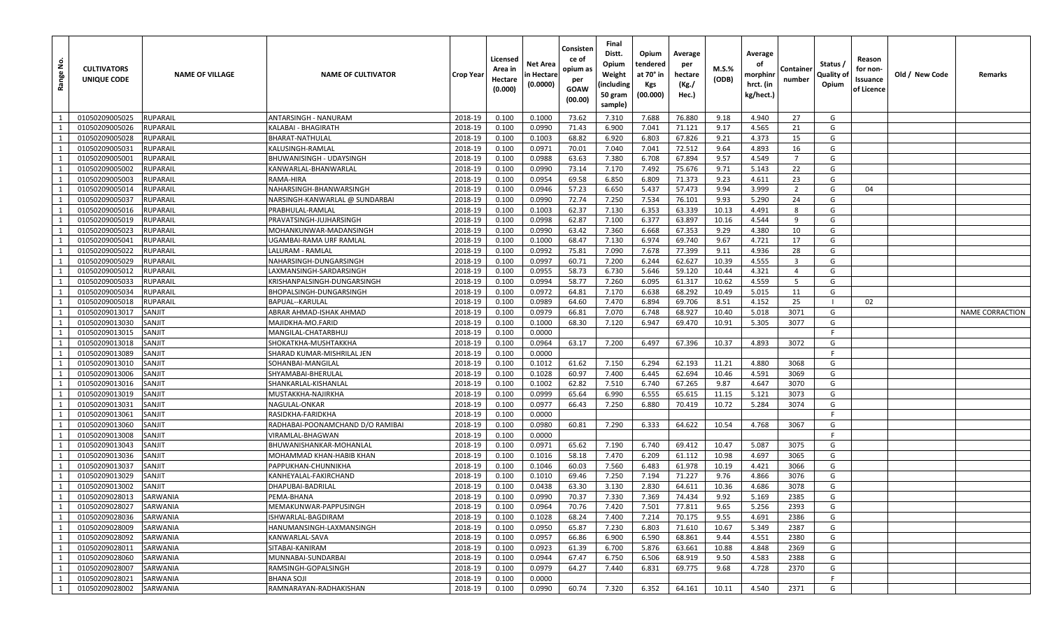| <u>غ</u><br>Range | <b>CULTIVATORS</b><br>UNIQUE CODE | <b>NAME OF VILLAGE</b> | <b>NAME OF CULTIVATOR</b>                    | Crop Year          | Licensed<br>Area in<br>Hectare<br>(0.000) | Net Area<br>n Hectare<br>(0.0000) | Consisten<br>ce of<br>opium as<br>per<br>GOAW<br>(00.00) | Final<br>Distt.<br>Opium<br>Weight<br>(including<br>50 gram<br>sample) | Opium<br>tendered<br>at 70° in<br>Kgs<br>(00.000) | Average<br>per<br>hectare<br>(Kg./<br>Hec.) | M.S.%<br>(ODB) | Average<br>оf<br>morphinı<br>hrct. (in<br>kg/hect.) | Containe<br>number      | Status /<br>Quality of<br>Opium | Reason<br>for non-<br>Issuance<br>of Licence | Old / New Code | Remarks                |
|-------------------|-----------------------------------|------------------------|----------------------------------------------|--------------------|-------------------------------------------|-----------------------------------|----------------------------------------------------------|------------------------------------------------------------------------|---------------------------------------------------|---------------------------------------------|----------------|-----------------------------------------------------|-------------------------|---------------------------------|----------------------------------------------|----------------|------------------------|
| 1                 | 01050209005025                    | RUPARAIL               | ANTARSINGH - NANURAM                         | 2018-19            | 0.100                                     | 0.1000                            | 73.62                                                    | 7.310                                                                  | 7.688                                             | 76.880                                      | 9.18           | 4.940                                               | 27                      | G                               |                                              |                |                        |
| 1                 | 01050209005026                    | RUPARAIL               | KALABAI - BHAGIRATH                          | 2018-19            | 0.100                                     | 0.0990                            | 71.43                                                    | 6.900                                                                  | 7.041                                             | 71.121                                      | 9.17           | 4.565                                               | 21                      | G                               |                                              |                |                        |
| 1                 | 01050209005028                    | <b>RUPARAIL</b>        | BHARAT-NATHULAL                              | 2018-19            | 0.100                                     | 0.1003                            | 68.82                                                    | 6.920                                                                  | 6.803                                             | 67.826                                      | 9.21           | 4.373                                               | 15                      | G                               |                                              |                |                        |
| 1                 | 01050209005031                    | RUPARAIL               | KALUSINGH-RAMLAL                             | 2018-19            | 0.100                                     | 0.0971                            | 70.01                                                    | 7.040                                                                  | 7.041                                             | 72.512                                      | 9.64           | 4.893                                               | 16                      | G                               |                                              |                |                        |
| 1                 | 01050209005001                    | <b>RUPARAIL</b>        | BHUWANISINGH - UDAYSINGH                     | 2018-19            | 0.100                                     | 0.0988                            | 63.63                                                    | 7.380                                                                  | 6.708                                             | 67.894                                      | 9.57           | 4.549                                               | $\overline{7}$          | G                               |                                              |                |                        |
| 1                 | 01050209005002                    | RUPARAIL               | KANWARLAL-BHANWARLAL                         | 2018-19            | 0.100                                     | 0.0990                            | 73.14                                                    | 7.170                                                                  | 7.492                                             | 75.676                                      | 9.71           | 5.143                                               | 22                      | G                               |                                              |                |                        |
| 1                 | 01050209005003                    | RUPARAIL               | RAMA-HIRA                                    | 2018-19            | 0.100                                     | 0.0954                            | 69.58                                                    | 6.850                                                                  | 6.809                                             | 71.373                                      | 9.23           | 4.611                                               | 23                      | G                               |                                              |                |                        |
| 1                 | 01050209005014                    | RUPARAIL               | NAHARSINGH-BHANWARSINGH                      | 2018-19            | 0.100                                     | 0.0946                            | 57.23                                                    | 6.650                                                                  | 5.437                                             | 57.473                                      | 9.94           | 3.999                                               | $\overline{2}$          | G                               | 04                                           |                |                        |
| 1                 | 01050209005037                    | RUPARAIL               | NARSINGH-KANWARLAL @ SUNDARBAI               | 2018-19            | 0.100                                     | 0.0990                            | 72.74                                                    | 7.250                                                                  | 7.534                                             | 76.101                                      | 9.93           | 5.290                                               | 24                      | G                               |                                              |                |                        |
| 1                 | 01050209005016                    | RUPARAIL               | PRABHULAL-RAMLAL                             | 2018-19            | 0.100                                     | 0.1003                            | 62.37                                                    | 7.130                                                                  | 6.353                                             | 63.339                                      | 10.13          | 4.491                                               | 8                       | G                               |                                              |                |                        |
| 1                 | 01050209005019                    | RUPARAIL               | PRAVATSINGH-JUJHARSINGH                      | 2018-19            | 0.100                                     | 0.0998                            | 62.87                                                    | 7.100                                                                  | 6.377                                             | 63.897                                      | 10.16          | 4.544                                               | 9                       | G                               |                                              |                |                        |
| $\mathbf{1}$      | 01050209005023                    | <b>RUPARAIL</b>        | MOHANKUNWAR-MADANSINGH                       | 2018-19            | 0.100                                     | 0.0990                            | 63.42                                                    | 7.360                                                                  | 6.668                                             | 67.353                                      | 9.29           | 4.380                                               | 10                      | G                               |                                              |                |                        |
| 1                 | 01050209005041                    | RUPARAIL               | UGAMBAI-RAMA URF RAMLAL                      | 2018-19            | 0.100                                     | 0.1000                            | 68.47                                                    | 7.130                                                                  | 6.974                                             | 69.740                                      | 9.67           | 4.721                                               | 17                      | G                               |                                              |                |                        |
| 1                 | 01050209005022                    | RUPARAIL               | LALURAM - RAMLAL                             | 2018-19            | 0.100                                     | 0.0992                            | 75.81                                                    | 7.090                                                                  | 7.678                                             | 77.399                                      | 9.11           | 4.936                                               | 28                      | G                               |                                              |                |                        |
| 1                 | 01050209005029                    | RUPARAIL               | NAHARSINGH-DUNGARSINGH                       | 2018-19            | 0.100                                     | 0.0997                            | 60.71                                                    | 7.200                                                                  | 6.244                                             | 62.627                                      | 10.39          | 4.555                                               | $\overline{\mathbf{3}}$ | G                               |                                              |                |                        |
| 1                 | 01050209005012                    | RUPARAIL               | .AXMANSINGH-SARDARSINGH                      | 2018-19            | 0.100                                     | 0.0955                            | 58.73                                                    | 6.730                                                                  | 5.646                                             | 59.120                                      | 10.44          | 4.321                                               | $\overline{4}$          | G                               |                                              |                |                        |
| 1                 | 01050209005033                    | RUPARAIL               | KRISHANPALSINGH-DUNGARSINGH                  | 2018-19            | 0.100                                     | 0.0994                            | 58.77                                                    | 7.260                                                                  | 6.095                                             | 61.317                                      | 10.62          | 4.559                                               | 5                       | G                               |                                              |                |                        |
| 1                 | 01050209005034                    | <b>RUPARAIL</b>        | BHOPALSINGH-DUNGARSINGH                      | 2018-19            | 0.100                                     | 0.0972                            | 64.81                                                    | 7.170                                                                  | 6.638                                             | 68.292                                      | 10.49          | 5.015                                               | 11                      | G                               |                                              |                |                        |
| 1                 | 01050209005018                    | <b>RUPARAIL</b>        | <b>BAPUAL--KARULAL</b>                       | 2018-19            | 0.100                                     | 0.0989                            | 64.60                                                    | 7.470                                                                  | 6.894                                             | 69.706                                      | 8.51           | 4.152                                               | 25                      |                                 | 02                                           |                |                        |
| 1                 | 01050209013017                    | SANJIT                 | ABRAR AHMAD-ISHAK AHMAD                      | 2018-19            | 0.100                                     | 0.0979                            | 66.81                                                    | 7.070                                                                  | 6.748                                             | 68.927                                      | 10.40          | 5.018                                               | 3071                    | G                               |                                              |                | <b>NAME CORRACTION</b> |
| <sup>1</sup>      | 01050209013030                    | SANJIT                 | MAJIDKHA-MO.FARID                            | 2018-19            | 0.100                                     | 0.1000                            | 68.30                                                    | 7.120                                                                  | 6.947                                             | 69.470                                      | 10.91          | 5.305                                               | 3077                    | G                               |                                              |                |                        |
| 1                 | 01050209013015                    | SANJIT                 | MANGILAL-CHATARBHUJ                          | 2018-19            | 0.100                                     | 0.0000                            |                                                          |                                                                        |                                                   |                                             |                |                                                     |                         | F                               |                                              |                |                        |
| 1                 | 01050209013018                    | SANJIT                 | SHOKATKHA-MUSHTAKKHA                         | 2018-19            | 0.100                                     | 0.0964                            | 63.17                                                    | 7.200                                                                  | 6.497                                             | 67.396                                      | 10.37          | 4.893                                               | 3072                    | G                               |                                              |                |                        |
| <sup>1</sup>      | 01050209013089                    | SANJIT                 | SHARAD KUMAR-MISHRILAL JEN                   | 2018-19            | 0.100                                     | 0.0000                            |                                                          |                                                                        |                                                   |                                             |                |                                                     |                         | E                               |                                              |                |                        |
| 1                 | 01050209013010                    | SANJIT                 | SOHANBAI-MANGILAL                            | 2018-19            | 0.100                                     | 0.1012                            | 61.62                                                    | 7.150                                                                  | 6.294                                             | 62.193                                      | 11.21          | 4.880                                               | 3068                    | G                               |                                              |                |                        |
| 1                 | 01050209013006                    | SANJIT                 | SHYAMABAI-BHERULAL                           | 2018-19            | 0.100                                     | 0.1028                            | 60.97                                                    | 7.400                                                                  | 6.445                                             | 62.694                                      | 10.46          | 4.591                                               | 3069                    | G                               |                                              |                |                        |
| <sup>1</sup>      | 01050209013016                    | SANJIT                 | SHANKARLAL-KISHANLAL                         | 2018-19            | 0.100                                     | 0.1002                            | 62.82                                                    | 7.510                                                                  | 6.740                                             | 67.265                                      | 9.87           | 4.647                                               | 3070                    | G                               |                                              |                |                        |
| 1                 | 01050209013019                    | SANJIT                 | MUSTAKKHA-NAJIRKHA                           | 2018-19            | 0.100                                     | 0.0999                            | 65.64                                                    | 6.990                                                                  | 6.555                                             | 65.615                                      | 11.15          | 5.121                                               | 3073                    | G                               |                                              |                |                        |
| 1                 | 01050209013031                    | SANJIT                 | NAGULAL-ONKAR                                | 2018-19            | 0.100                                     | 0.0977                            | 66.43                                                    | 7.250                                                                  | 6.880                                             | 70.419                                      | 10.72          | 5.284                                               | 3074                    | G                               |                                              |                |                        |
| 1                 | 01050209013061                    | SANJIT                 | RASIDKHA-FARIDKHA                            | 2018-19            | 0.100                                     | 0.0000                            |                                                          |                                                                        |                                                   |                                             |                |                                                     |                         | F                               |                                              |                |                        |
| <sup>1</sup>      | 01050209013060                    | SANJIT                 | RADHABAI-POONAMCHAND D/O RAMIBAI             | 2018-19            | 0.100                                     | 0.0980                            | 60.81                                                    | 7.290                                                                  | 6.333                                             | 64.622                                      | 10.54          | 4.768                                               | 3067                    | G<br>-F                         |                                              |                |                        |
| 1                 | 01050209013008                    | SANJIT                 | VIRAMLAL-BHAGWAN                             | 2018-19            | 0.100                                     | 0.0000                            |                                                          |                                                                        |                                                   |                                             |                |                                                     |                         |                                 |                                              |                |                        |
| 1                 | 01050209013043                    | SANJIT                 | BHUWANISHANKAR-MOHANLAL                      | 2018-19            | 0.100                                     | 0.0971                            | 65.62                                                    | 7.190                                                                  | 6.740                                             | 69.412                                      | 10.47          | 5.087                                               | 3075                    | G                               |                                              |                |                        |
| 1<br><sup>1</sup> | 01050209013036<br>01050209013037  | SANJIT<br>SANJIT       | MOHAMMAD KHAN-HABIB KHAN                     | 2018-19            | 0.100                                     | 0.1016<br>0.1046                  | 58.18                                                    | 7.470<br>7.560                                                         | 6.209<br>6.483                                    | 61.112                                      | 10.98<br>10.19 | 4.697<br>4.421                                      | 3065<br>3066            | G<br>G                          |                                              |                |                        |
| 1                 | 01050209013029                    | SANJIT                 | PAPPUKHAN-CHUNNIKHA<br>KANHEYALAL-FAKIRCHAND | 2018-19<br>2018-19 | 0.100<br>0.100                            | 0.1010                            | 60.03                                                    | 7.250                                                                  | 7.194                                             | 61.978<br>71.227                            | 9.76           | 4.866                                               | 3076                    | G                               |                                              |                |                        |
| 1                 | 01050209013002                    | SANJIT                 | DHAPUBAI-BADRILAL                            | 2018-19            | 0.100                                     | 0.0438                            | 69.46<br>63.30                                           | 3.130                                                                  | 2.830                                             | 64.611                                      | 10.36          | 4.686                                               | 3078                    | G                               |                                              |                |                        |
| $\mathbf{1}$      | 01050209028013                    | SARWANIA               | PEMA-BHANA                                   | 2018-19            | 0.100                                     | 0.0990                            | 70.37                                                    | 7.330                                                                  | 7.369                                             | 74.434                                      | 9.92           | 5.169                                               | 2385                    | G                               |                                              |                |                        |
| 1                 | 01050209028027                    | SARWANIA               | MEMAKUNWAR-PAPPUSINGH                        | 2018-19            | 0.100                                     | 0.0964                            | 70.76                                                    | 7.420                                                                  | 7.501                                             | 77.811                                      | 9.65           | 5.256                                               | 2393                    | G                               |                                              |                |                        |
| $\overline{1}$    | 01050209028036                    | SARWANIA               | ISHWARLAL-BAGDIRAM                           | 2018-19            | 0.100                                     | 0.1028                            | 68.24                                                    | 7.400                                                                  | 7.214                                             | 70.175                                      | 9.55           | 4.691                                               | 2386                    | G                               |                                              |                |                        |
| 1                 | 01050209028009                    | SARWANIA               | HANUMANSINGH-LAXMANSINGH                     | 2018-19            | 0.100                                     | 0.0950                            | 65.87                                                    | 7.230                                                                  | 6.803                                             | 71.610                                      | 10.67          | 5.349                                               | 2387                    | G                               |                                              |                |                        |
| 1                 | 01050209028092                    | SARWANIA               | KANWARLAL-SAVA                               | 2018-19            | 0.100                                     | 0.0957                            | 66.86                                                    | 6.900                                                                  | 6.590                                             | 68.861                                      | 9.44           | 4.551                                               | 2380                    | G                               |                                              |                |                        |
| 1                 | 01050209028011                    | SARWANIA               | SITABAI-KANIRAM                              | 2018-19            | 0.100                                     | 0.0923                            | 61.39                                                    | 6.700                                                                  | 5.876                                             | 63.661                                      | 10.88          | 4.848                                               | 2369                    | G                               |                                              |                |                        |
| 1                 | 01050209028060                    | SARWANIA               | MUNNABAI-SUNDARBAI                           | 2018-19            | 0.100                                     | 0.0944                            | 67.47                                                    | 6.750                                                                  | 6.506                                             | 68.919                                      | 9.50           | 4.583                                               | 2388                    | G                               |                                              |                |                        |
| 1                 | 01050209028007                    | SARWANIA               | RAMSINGH-GOPALSINGH                          | 2018-19            | 0.100                                     | 0.0979                            | 64.27                                                    | 7.440                                                                  | 6.831                                             | 69.775                                      | 9.68           | 4.728                                               | 2370                    | G                               |                                              |                |                        |
| <sup>1</sup>      | 01050209028021                    | SARWANIA               | BHANA SOJI                                   | 2018-19            | 0.100                                     | 0.0000                            |                                                          |                                                                        |                                                   |                                             |                |                                                     |                         | F.                              |                                              |                |                        |
| 1                 | 01050209028002                    | SARWANIA               | RAMNARAYAN-RADHAKISHAN                       | 2018-19            | 0.100                                     | 0.0990                            | 60.74                                                    | 7.320                                                                  | 6.352                                             | 64.161                                      | 10.11          | 4.540                                               | 2371                    | G                               |                                              |                |                        |
|                   |                                   |                        |                                              |                    |                                           |                                   |                                                          |                                                                        |                                                   |                                             |                |                                                     |                         |                                 |                                              |                |                        |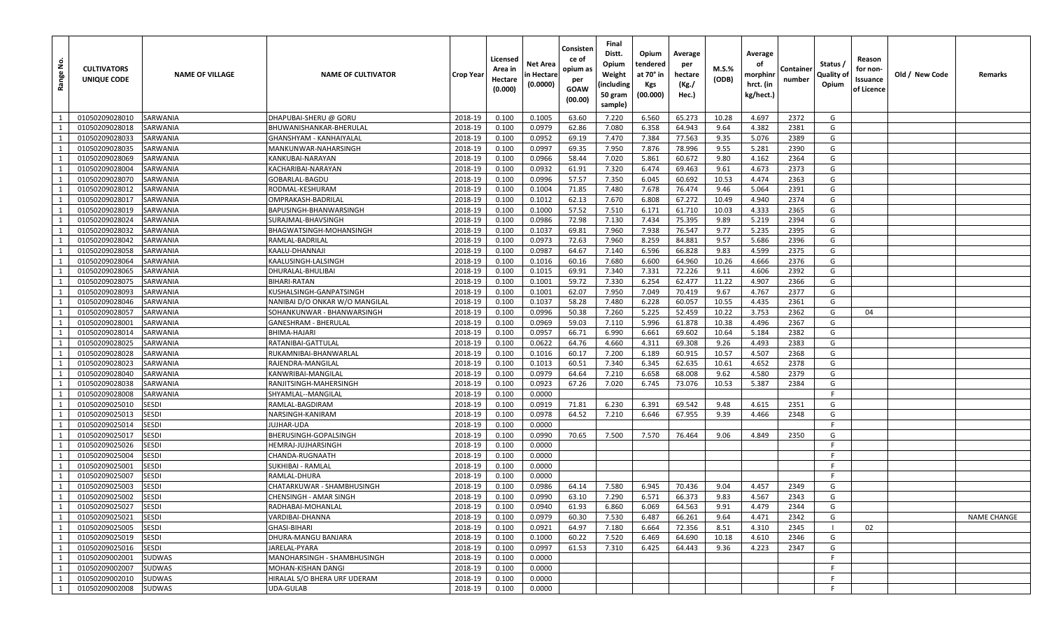| <u>و</u><br>Range | <b>CULTIVATORS</b><br>UNIQUE CODE | <b>NAME OF VILLAGE</b>       | <b>NAME OF CULTIVATOR</b>         | <b>Crop Year</b>   | Licensed<br>Area in<br>Hectare<br>(0.000) | Net Area<br>in Hectare<br>(0.0000) | Consisten<br>ce of<br>opium as<br>per<br>GOAW<br>(00.00) | Final<br>Distt.<br>Opium<br>Weight<br>(including<br>50 gram<br>sample) | Opium<br>tendered<br>at 70° in<br>Kgs<br>(00.000) | Average<br>per<br>hectare<br>(Kg./<br>Hec.) | M.S.%<br>(ODB) | Average<br>οf<br>morphinr<br>hrct. (in<br>kg/hect.) | Container<br>number | Status /<br>Quality of<br>Opium | Reason<br>for non-<br>Issuance<br>of Licence | Old / New Code | Remarks            |
|-------------------|-----------------------------------|------------------------------|-----------------------------------|--------------------|-------------------------------------------|------------------------------------|----------------------------------------------------------|------------------------------------------------------------------------|---------------------------------------------------|---------------------------------------------|----------------|-----------------------------------------------------|---------------------|---------------------------------|----------------------------------------------|----------------|--------------------|
| $\overline{1}$    | 01050209028010                    | SARWANIA                     | DHAPUBAI-SHERU @ GORU             | 2018-19            | 0.100                                     | 0.1005                             | 63.60                                                    | 7.220                                                                  | 6.560                                             | 65.273                                      | 10.28          | 4.697                                               | 2372                | G                               |                                              |                |                    |
| 1                 | 01050209028018                    | SARWANIA                     | BHUWANISHANKAR-BHERULAL           | 2018-19            | 0.100                                     | 0.0979                             | 62.86                                                    | 7.080                                                                  | 6.358                                             | 64.943                                      | 9.64           | 4.382                                               | 2381                | G                               |                                              |                |                    |
| 1                 | 01050209028033                    | SARWANIA                     | GHANSHYAM - KANHAIYALAL           | 2018-19            | 0.100                                     | 0.0952                             | 69.19                                                    | 7.470                                                                  | 7.384                                             | 77.563                                      | 9.35           | 5.076                                               | 2389                | G                               |                                              |                |                    |
| 1                 | 01050209028035                    | SARWANIA                     | MANKUNWAR-NAHARSINGH              | 2018-19            | 0.100                                     | 0.0997                             | 69.35                                                    | 7.950                                                                  | 7.876                                             | 78.996                                      | 9.55           | 5.281                                               | 2390                | G                               |                                              |                |                    |
| 1                 | 01050209028069                    | SARWANIA                     | KANKUBAI-NARAYAN                  | 2018-19            | 0.100                                     | 0.0966                             | 58.44                                                    | 7.020                                                                  | 5.861                                             | 60.672                                      | 9.80           | 4.162                                               | 2364                | G                               |                                              |                |                    |
| 1                 | 01050209028004                    | SARWANIA                     | KACHARIBAI-NARAYAN                | 2018-19            | 0.100                                     | 0.0932                             | 61.91                                                    | 7.320                                                                  | 6.474                                             | 69.463                                      | 9.61           | 4.673                                               | 2373                | G                               |                                              |                |                    |
| 1                 | 01050209028070                    | SARWANIA                     | GOBARLAL-BAGDU                    | 2018-19            | 0.100                                     | 0.0996                             | 57.57                                                    | 7.350                                                                  | 6.045                                             | 60.692                                      | 10.53          | 4.474                                               | 2363                | G                               |                                              |                |                    |
| 1                 | 01050209028012                    | SARWANIA                     | RODMAL-KESHURAM                   | 2018-19            | 0.100                                     | 0.1004                             | 71.85                                                    | 7.480                                                                  | 7.678                                             | 76.474                                      | 9.46           | 5.064                                               | 2391                | G                               |                                              |                |                    |
| $\mathbf{1}$      | 01050209028017                    | SARWANIA                     | OMPRAKASH-BADRILAI                | 2018-19            | 0.100                                     | 0.1012                             | 62.13                                                    | 7.670                                                                  | 6.808                                             | 67.272                                      | 10.49          | 4.940                                               | 2374                | G                               |                                              |                |                    |
| 1                 | 01050209028019                    | SARWANIA                     | BAPUSINGH-BHANWARSINGH            | 2018-19            | 0.100                                     | 0.1000                             | 57.52                                                    | 7.510                                                                  | 6.171                                             | 61.710                                      | 10.03          | 4.333                                               | 2365                | G                               |                                              |                |                    |
| 1                 | 01050209028024                    | SARWANIA                     | SURAJMAL-BHAVSINGH                | 2018-19            | 0.100                                     | 0.0986                             | 72.98                                                    | 7.130                                                                  | 7.434                                             | 75.395                                      | 9.89           | 5.219                                               | 2394                | G                               |                                              |                |                    |
| $\mathbf{1}$      | 01050209028032                    | SARWANIA                     | BHAGWATSINGH-MOHANSINGH           | 2018-19            | 0.100                                     | 0.1037                             | 69.81                                                    | 7.960                                                                  | 7.938                                             | 76.547                                      | 9.77           | 5.235                                               | 2395                | G                               |                                              |                |                    |
| 1                 | 01050209028042                    | SARWANIA                     | RAMLAL-BADRILAL                   | 2018-19            | 0.100                                     | 0.0973                             | 72.63                                                    | 7.960                                                                  | 8.259                                             | 84.881                                      | 9.57           | 5.686                                               | 2396                | G                               |                                              |                |                    |
| 1                 | 01050209028058                    | SARWANIA                     | KAALU-DHANNAJI                    | 2018-19            | 0.100                                     | 0.0987                             | 64.67                                                    | 7.140                                                                  | 6.596                                             | 66.828                                      | 9.83           | 4.599                                               | 2375                | G                               |                                              |                |                    |
| 1                 | 01050209028064                    | SARWANIA                     | KAALUSINGH-LALSINGH               | 2018-19            | 0.100                                     | 0.1016                             | 60.16                                                    | 7.680                                                                  | 6.600                                             | 64.960                                      | 10.26          | 4.666                                               | 2376                | G                               |                                              |                |                    |
| 1                 | 01050209028065                    | SARWANIA                     | DHURALAL-BHULIBAI                 | 2018-19            | 0.100                                     | 0.1015                             | 69.91                                                    | 7.340                                                                  | 7.331                                             | 72.226                                      | 9.11           | 4.606                                               | 2392                | G                               |                                              |                |                    |
| 1                 | 01050209028075                    | SARWANIA                     | BIHARI-RATAN                      | 2018-19            | 0.100                                     | 0.1001                             | 59.72                                                    | 7.330                                                                  | 6.254                                             | 62.477                                      | 11.22          | 4.907                                               | 2366                | G                               |                                              |                |                    |
| 1                 | 01050209028093                    | SARWANIA                     | KUSHALSINGH-GANPATSINGH           | 2018-19            | 0.100                                     | 0.1001                             | 62.07                                                    | 7.950                                                                  | 7.049                                             | 70.419                                      | 9.67           | 4.767                                               | 2377                | G                               |                                              |                |                    |
| 1                 | 01050209028046                    | SARWANIA                     | NANIBAI D/O ONKAR W/O MANGILAL    | 2018-19            | 0.100                                     | 0.1037                             | 58.28                                                    | 7.480                                                                  | 6.228                                             | 60.057                                      | 10.55          | 4.435                                               | 2361                | G                               |                                              |                |                    |
| 1                 | 01050209028057                    | SARWANIA                     | SOHANKUNWAR - BHANWARSINGH        | 2018-19            | 0.100                                     | 0.0996                             | 50.38                                                    | 7.260                                                                  | 5.225                                             | 52.459                                      | 10.22          | 3.753                                               | 2362                | G                               | 04                                           |                |                    |
| 1                 | 01050209028001                    | SARWANIA                     | GANESHRAM - BHERULAL              | 2018-19            | 0.100                                     | 0.0969                             | 59.03                                                    | 7.110                                                                  | 5.996                                             | 61.878                                      | 10.38          | 4.496                                               | 2367                | G                               |                                              |                |                    |
| 1                 | 01050209028014                    | SARWANIA                     | BHIMA-HAJARI                      | 2018-19            | 0.100                                     | 0.0957                             | 66.71                                                    | 6.990                                                                  | 6.661                                             | 69.602                                      | 10.64          | 5.184                                               | 2382                | G                               |                                              |                |                    |
| $\mathbf{1}$      | 01050209028025                    | SARWANIA                     | RATANIBAI-GATTULAL                | 2018-19            | 0.100                                     | 0.0622                             | 64.76                                                    | 4.660                                                                  | 4.311                                             | 69.308                                      | 9.26           | 4.493                                               | 2383                | G                               |                                              |                |                    |
| 1                 | 01050209028028                    | SARWANIA                     | RUKAMNIBAI-BHANWARLAL             | 2018-19            | 0.100                                     | 0.1016                             | 60.17                                                    | 7.200                                                                  | 6.189                                             | 60.915                                      | 10.57          | 4.507                                               | 2368                | G                               |                                              |                |                    |
| 1                 | 01050209028023                    | SARWANIA                     | RAJENDRA-MANGILAL                 | 2018-19            | 0.100                                     | 0.1013                             | 60.51                                                    | 7.340                                                                  | 6.345                                             | 62.635                                      | 10.61          | 4.652                                               | 2378                | G                               |                                              |                |                    |
| 1                 | 01050209028040                    | SARWANIA                     | KANWRIBAI-MANGILAI                | 2018-19            | 0.100                                     | 0.0979                             | 64.64                                                    | 7.210                                                                  | 6.658                                             | 68.008                                      | 9.62           | 4.580                                               | 2379                | G                               |                                              |                |                    |
| 1                 | 01050209028038                    | SARWANIA                     | RANJITSINGH-MAHERSINGH            | 2018-19            | 0.100                                     | 0.0923                             | 67.26                                                    | 7.020                                                                  | 6.745                                             | 73.076                                      | 10.53          | 5.387                                               | 2384                | G                               |                                              |                |                    |
| 1                 | 01050209028008                    | SARWANIA                     | SHYAMLAL--MANGILAL                | 2018-19            | 0.100                                     | 0.0000                             |                                                          |                                                                        |                                                   |                                             |                |                                                     |                     | F                               |                                              |                |                    |
| 1                 | 01050209025010                    | <b>SESDI</b>                 | RAMLAL-BAGDIRAM                   | 2018-19            | 0.100                                     | 0.0919                             | 71.81                                                    | 6.230                                                                  | 6.391                                             | 69.542                                      | 9.48           | 4.615                                               | 2351                | G                               |                                              |                |                    |
| 1                 | 01050209025013                    | <b>SESDI</b>                 | NARSINGH-KANIRAM                  | 2018-19            | 0.100                                     | 0.0978                             | 64.52                                                    | 7.210                                                                  | 6.646                                             | 67.955                                      | 9.39           | 4.466                                               | 2348                | G<br>-F                         |                                              |                |                    |
| 1                 | 01050209025014                    | <b>SESDI</b>                 | UJHAR-UDA                         | 2018-19            | 0.100                                     | 0.0000                             |                                                          |                                                                        |                                                   |                                             |                |                                                     |                     |                                 |                                              |                |                    |
| 1                 | 01050209025017<br>01050209025026  | <b>SESDI</b>                 | BHERUSINGH-GOPALSINGH             | 2018-19            | 0.100                                     | 0.0990                             | 70.65                                                    | 7.500                                                                  | 7.570                                             | 76.464                                      | 9.06           | 4.849                                               | 2350                | G<br>F                          |                                              |                |                    |
| 1<br>1            |                                   | <b>SESDI</b>                 | HEMRAJ-JUJHARSINGH                | 2018-19            | 0.100                                     | 0.0000                             |                                                          |                                                                        |                                                   |                                             |                |                                                     |                     | F                               |                                              |                |                    |
| 1                 | 01050209025004                    | <b>SESDI</b><br><b>SESDI</b> | CHANDA-RUGNAATH                   | 2018-19            | 0.100                                     | 0.0000<br>0.0000                   |                                                          |                                                                        |                                                   |                                             |                |                                                     |                     | -F                              |                                              |                |                    |
| 1                 | 01050209025001<br>01050209025007  | <b>SESDI</b>                 | SUKHIBAI - RAMLAL<br>RAMLAL-DHURA | 2018-19<br>2018-19 | 0.100<br>0.100                            | 0.0000                             |                                                          |                                                                        |                                                   |                                             |                |                                                     |                     | F.                              |                                              |                |                    |
| 1                 | 01050209025003                    | SESDI                        | CHATARKUWAR - SHAMBHUSINGH        | 2018-19            | 0.100                                     | 0.0986                             | 64.14                                                    | 7.580                                                                  | 6.945                                             | 70.436                                      | 9.04           | 4.457                                               | 2349                | G                               |                                              |                |                    |
| 1                 | 01050209025002                    | <b>SESDI</b>                 | CHENSINGH - AMAR SINGH            | 2018-19            | 0.100                                     | 0.0990                             | 63.10                                                    | 7.290                                                                  | 6.571                                             | 66.373                                      | 9.83           | 4.567                                               | 2343                | G                               |                                              |                |                    |
| 1                 | 01050209025027                    | <b>SESDI</b>                 | RADHABAI-MOHANLAL                 | 2018-19            | 0.100                                     | 0.0940                             | 61.93                                                    | 6.860                                                                  | 6.069                                             | 64.563                                      | 9.91           | 4.479                                               | 2344                | G                               |                                              |                |                    |
| 1                 | 01050209025021                    | <b>SESDI</b>                 | VARDIBAI-DHANNA                   | 2018-19            | 0.100                                     | 0.0979                             | 60.30                                                    | 7.530                                                                  | 6.487                                             | 66.261                                      | 9.64           | 4.471                                               | 2342                | G                               |                                              |                | <b>NAME CHANGE</b> |
| 1                 | 01050209025005                    | <b>SESDI</b>                 | GHASI-BIHARI                      | 2018-19            | 0.100                                     | 0.0921                             | 64.97                                                    | 7.180                                                                  | 6.664                                             | 72.356                                      | 8.51           | 4.310                                               | 2345                |                                 | 02                                           |                |                    |
| 1                 | 01050209025019                    | <b>SESDI</b>                 | DHURA-MANGU BANJARA               | 2018-19            | 0.100                                     | 0.1000                             | 60.22                                                    | 7.520                                                                  | 6.469                                             | 64.690                                      | 10.18          | 4.610                                               | 2346                | G                               |                                              |                |                    |
| 1                 | 01050209025016                    | <b>SESDI</b>                 | JARELAL-PYARA                     | 2018-19            | 0.100                                     | 0.0997                             | 61.53                                                    | 7.310                                                                  | 6.425                                             | 64.443                                      | 9.36           | 4.223                                               | 2347                | G                               |                                              |                |                    |
| 1                 | 01050209002001                    | SUDWAS                       | MANOHARSINGH - SHAMBHUSINGH       | 2018-19            | 0.100                                     | 0.0000                             |                                                          |                                                                        |                                                   |                                             |                |                                                     |                     | F                               |                                              |                |                    |
| 1                 | 01050209002007                    | SUDWAS                       | MOHAN-KISHAN DANGI                | 2018-19            | 0.100                                     | 0.0000                             |                                                          |                                                                        |                                                   |                                             |                |                                                     |                     | F                               |                                              |                |                    |
| 1                 | 01050209002010                    | SUDWAS                       | HIRALAL S/O BHERA URF UDERAM      | 2018-19            | 0.100                                     | 0.0000                             |                                                          |                                                                        |                                                   |                                             |                |                                                     |                     | F.                              |                                              |                |                    |
| 1                 | 01050209002008                    | SUDWAS                       | <b>UDA-GULAB</b>                  | 2018-19            | 0.100                                     | 0.0000                             |                                                          |                                                                        |                                                   |                                             |                |                                                     |                     | F                               |                                              |                |                    |
|                   |                                   |                              |                                   |                    |                                           |                                    |                                                          |                                                                        |                                                   |                                             |                |                                                     |                     |                                 |                                              |                |                    |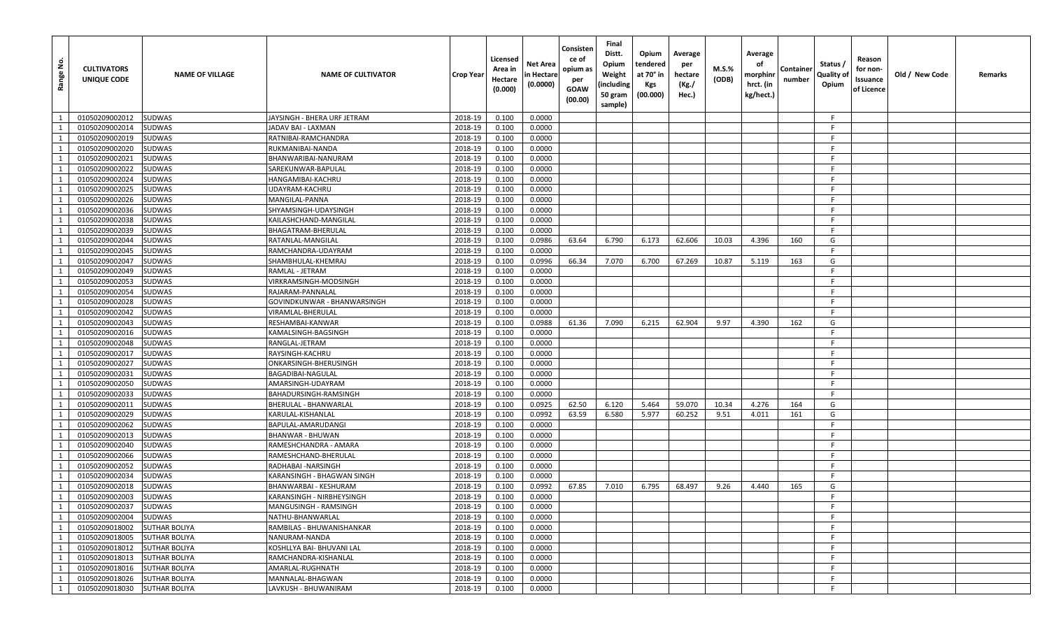| <u>ي</u><br>Range | <b>CULTIVATORS</b><br>UNIQUE CODE | <b>NAME OF VILLAGE</b> | <b>NAME OF CULTIVATOR</b>   | Crop Year | Licensed<br>Area in<br>Hectare<br>(0.000) | Net Area<br>n Hectare<br>(0.0000) | Consisten<br>ce of<br>opium as<br>per<br><b>GOAW</b><br>(00.00) | Final<br>Distt.<br>Opium<br>Weight<br>(including<br>50 gram<br>sample) | Opium<br>tendered<br>at 70° in<br><b>Kgs</b><br>(00.000) | Average<br>per<br>hectare<br>(Kg./<br>Hec.) | <b>M.S.%</b><br>(ODB) | Average<br>оf<br>morphinr<br>hrct. (in<br>kg/hect.) | Containe<br>number | Status /<br>Quality of<br>Opium | Reason<br>for non-<br>Issuance<br>of Licence | Old / New Code | Remarks |
|-------------------|-----------------------------------|------------------------|-----------------------------|-----------|-------------------------------------------|-----------------------------------|-----------------------------------------------------------------|------------------------------------------------------------------------|----------------------------------------------------------|---------------------------------------------|-----------------------|-----------------------------------------------------|--------------------|---------------------------------|----------------------------------------------|----------------|---------|
| 1                 | 01050209002012                    | <b>SUDWAS</b>          | JAYSINGH - BHERA URF JETRAM | 2018-19   | 0.100                                     | 0.0000                            |                                                                 |                                                                        |                                                          |                                             |                       |                                                     |                    | - F                             |                                              |                |         |
| 1                 | 01050209002014                    | SUDWAS                 | JADAV BAI - LAXMAN          | 2018-19   | 0.100                                     | 0.0000                            |                                                                 |                                                                        |                                                          |                                             |                       |                                                     |                    | F.                              |                                              |                |         |
| 1                 | 01050209002019                    | <b>SUDWAS</b>          | RATNIBAI-RAMCHANDRA         | 2018-19   | 0.100                                     | 0.0000                            |                                                                 |                                                                        |                                                          |                                             |                       |                                                     |                    | F.                              |                                              |                |         |
| 1                 | 01050209002020                    | <b>SUDWAS</b>          | RUKMANIBAI-NANDA            | 2018-19   | 0.100                                     | 0.0000                            |                                                                 |                                                                        |                                                          |                                             |                       |                                                     |                    | F.                              |                                              |                |         |
| 1                 | 01050209002021                    | <b>SUDWAS</b>          | BHANWARIBAI-NANURAM         | 2018-19   | 0.100                                     | 0.0000                            |                                                                 |                                                                        |                                                          |                                             |                       |                                                     |                    | -F                              |                                              |                |         |
| 1                 | 01050209002022                    | <b>SUDWAS</b>          | SAREKUNWAR-BAPULAL          | 2018-19   | 0.100                                     | 0.0000                            |                                                                 |                                                                        |                                                          |                                             |                       |                                                     |                    | F.                              |                                              |                |         |
| 1                 | 01050209002024                    | <b>SUDWAS</b>          | HANGAMIBAI-KACHRU           | 2018-19   | 0.100                                     | 0.0000                            |                                                                 |                                                                        |                                                          |                                             |                       |                                                     |                    | F.                              |                                              |                |         |
| 1                 | 01050209002025                    | <b>SUDWAS</b>          | UDAYRAM-KACHRU              | 2018-19   | 0.100                                     | 0.0000                            |                                                                 |                                                                        |                                                          |                                             |                       |                                                     |                    | F.                              |                                              |                |         |
| 1                 | 01050209002026                    | <b>SUDWAS</b>          | MANGILAL-PANNA              | 2018-19   | 0.100                                     | 0.0000                            |                                                                 |                                                                        |                                                          |                                             |                       |                                                     |                    | -F                              |                                              |                |         |
| 1                 | 01050209002036                    | <b>SUDWAS</b>          | SHYAMSINGH-UDAYSINGH        | 2018-19   | 0.100                                     | 0.0000                            |                                                                 |                                                                        |                                                          |                                             |                       |                                                     |                    | F.                              |                                              |                |         |
| 1                 | 01050209002038                    | <b>SUDWAS</b>          | KAILASHCHAND-MANGILAL       | 2018-19   | 0.100                                     | 0.0000                            |                                                                 |                                                                        |                                                          |                                             |                       |                                                     |                    | F.                              |                                              |                |         |
| $\mathbf{1}$      | 01050209002039                    | <b>SUDWAS</b>          | BHAGATRAM-BHERULAL          | 2018-19   | 0.100                                     | 0.0000                            |                                                                 |                                                                        |                                                          |                                             |                       |                                                     |                    | F.                              |                                              |                |         |
| 1                 | 01050209002044                    | SUDWAS                 | RATANLAL-MANGILAL           | 2018-19   | 0.100                                     | 0.0986                            | 63.64                                                           | 6.790                                                                  | 6.173                                                    | 62.606                                      | 10.03                 | 4.396                                               | 160                | G                               |                                              |                |         |
| 1                 | 01050209002045                    | <b>SUDWAS</b>          | RAMCHANDRA-UDAYRAM          | 2018-19   | 0.100                                     | 0.0000                            |                                                                 |                                                                        |                                                          |                                             |                       |                                                     |                    | F.                              |                                              |                |         |
| 1                 | 01050209002047                    | <b>SUDWAS</b>          | SHAMBHULAL-KHEMRAJ          | 2018-19   | 0.100                                     | 0.0996                            | 66.34                                                           | 7.070                                                                  | 6.700                                                    | 67.269                                      | 10.87                 | 5.119                                               | 163                | G                               |                                              |                |         |
| 1                 | 01050209002049                    | <b>SUDWAS</b>          | RAMLAL - JETRAM             | 2018-19   | 0.100                                     | 0.0000                            |                                                                 |                                                                        |                                                          |                                             |                       |                                                     |                    | F.                              |                                              |                |         |
| 1                 | 01050209002053                    | <b>SUDWAS</b>          | VIRKRAMSINGH-MODSINGH       | 2018-19   | 0.100                                     | 0.0000                            |                                                                 |                                                                        |                                                          |                                             |                       |                                                     |                    | - F                             |                                              |                |         |
| 1                 | 01050209002054                    | <b>SUDWAS</b>          | RAJARAM-PANNALAL            | 2018-19   | 0.100                                     | 0.0000                            |                                                                 |                                                                        |                                                          |                                             |                       |                                                     |                    | F.                              |                                              |                |         |
| $\mathbf{1}$      | 01050209002028                    | <b>SUDWAS</b>          | GOVINDKUNWAR - BHANWARSINGH | 2018-19   | 0.100                                     | 0.0000                            |                                                                 |                                                                        |                                                          |                                             |                       |                                                     |                    | F.                              |                                              |                |         |
| 1                 | 01050209002042                    | <b>SUDWAS</b>          | VIRAMLAL-BHERULAL           | 2018-19   | 0.100                                     | 0.0000                            |                                                                 |                                                                        |                                                          |                                             |                       |                                                     |                    | F.                              |                                              |                |         |
| $\mathbf{1}$      | 01050209002043                    | <b>SUDWAS</b>          | RESHAMBAI-KANWAR            | 2018-19   | 0.100                                     | 0.0988                            | 61.36                                                           | 7.090                                                                  | 6.215                                                    | 62.904                                      | 9.97                  | 4.390                                               | 162                | G                               |                                              |                |         |
| 1                 | 01050209002016                    | <b>SUDWAS</b>          | KAMALSINGH-BAGSINGH         | 2018-19   | 0.100                                     | 0.0000                            |                                                                 |                                                                        |                                                          |                                             |                       |                                                     |                    | F.                              |                                              |                |         |
| 1                 | 01050209002048                    | <b>SUDWAS</b>          | RANGLAL-JETRAM              | 2018-19   | 0.100                                     | 0.0000                            |                                                                 |                                                                        |                                                          |                                             |                       |                                                     |                    | F.                              |                                              |                |         |
| $\mathbf{1}$      | 01050209002017                    | <b>SUDWAS</b>          | RAYSINGH-KACHRU             | 2018-19   | 0.100                                     | 0.0000                            |                                                                 |                                                                        |                                                          |                                             |                       |                                                     |                    | F.                              |                                              |                |         |
| 1                 | 01050209002027                    | <b>SUDWAS</b>          | ONKARSINGH-BHERUSINGH       | 2018-19   | 0.100                                     | 0.0000                            |                                                                 |                                                                        |                                                          |                                             |                       |                                                     |                    | F.                              |                                              |                |         |
| 1                 | 01050209002031                    | <b>SUDWAS</b>          | BAGADIBAI-NAGULAL           | 2018-19   | 0.100                                     | 0.0000                            |                                                                 |                                                                        |                                                          |                                             |                       |                                                     |                    | F.                              |                                              |                |         |
| 1                 | 01050209002050                    | SUDWAS                 | AMARSINGH-UDAYRAM           | 2018-19   | 0.100                                     | 0.0000                            |                                                                 |                                                                        |                                                          |                                             |                       |                                                     |                    | - F                             |                                              |                |         |
| 1                 | 01050209002033                    | <b>SUDWAS</b>          | BAHADURSINGH-RAMSINGH       | 2018-19   | 0.100                                     | 0.0000                            |                                                                 |                                                                        |                                                          |                                             |                       |                                                     |                    | F                               |                                              |                |         |
| 1                 | 01050209002011                    | <b>SUDWAS</b>          | BHERULAL - BHANWARLAL       | 2018-19   | 0.100                                     | 0.0925                            | 62.50                                                           | 6.120                                                                  | 5.464                                                    | 59.070                                      | 10.34                 | 4.276                                               | 164                | G                               |                                              |                |         |
| 1                 | 01050209002029                    | <b>SUDWAS</b>          | KARULAL-KISHANLAL           | 2018-19   | 0.100                                     | 0.0992                            | 63.59                                                           | 6.580                                                                  | 5.977                                                    | 60.252                                      | 9.51                  | 4.011                                               | 161                | G                               |                                              |                |         |
| 1                 | 01050209002062                    | <b>SUDWAS</b>          | BAPULAL-AMARUDANGI          | 2018-19   | 0.100                                     | 0.0000                            |                                                                 |                                                                        |                                                          |                                             |                       |                                                     |                    | F.                              |                                              |                |         |
| 1                 | 01050209002013                    | <b>SUDWAS</b>          | BHANWAR - BHUWAN            | 2018-19   | 0.100                                     | 0.0000                            |                                                                 |                                                                        |                                                          |                                             |                       |                                                     |                    | -F.                             |                                              |                |         |
| 1                 | 01050209002040                    | <b>SUDWAS</b>          | RAMESHCHANDRA - AMARA       | 2018-19   | 0.100                                     | 0.0000                            |                                                                 |                                                                        |                                                          |                                             |                       |                                                     |                    | F.                              |                                              |                |         |
| 1                 | 01050209002066                    | SUDWAS                 | RAMESHCHAND-BHERULAL        | 2018-19   | 0.100                                     | 0.0000                            |                                                                 |                                                                        |                                                          |                                             |                       |                                                     |                    | F.                              |                                              |                |         |
| $\mathbf{1}$      | 01050209002052                    | <b>SUDWAS</b>          | RADHABAI -NARSINGH          | 2018-19   | 0.100                                     | 0.0000                            |                                                                 |                                                                        |                                                          |                                             |                       |                                                     |                    | F                               |                                              |                |         |
| 1                 | 01050209002034                    | <b>SUDWAS</b>          | KARANSINGH - BHAGWAN SINGH  | 2018-19   | 0.100                                     | 0.0000                            |                                                                 |                                                                        |                                                          |                                             |                       |                                                     |                    | F.                              |                                              |                |         |
| 1                 | 01050209002018                    | <b>SUDWAS</b>          | BHANWARBAI - KESHURAM       | 2018-19   | 0.100                                     | 0.0992                            | 67.85                                                           | 7.010                                                                  | 6.795                                                    | 68.497                                      | 9.26                  | 4.440                                               | 165                | G                               |                                              |                |         |
| $\mathbf{1}$      | 01050209002003                    | <b>SUDWAS</b>          | KARANSINGH - NIRBHEYSINGH   | 2018-19   | 0.100                                     | 0.0000                            |                                                                 |                                                                        |                                                          |                                             |                       |                                                     |                    | F.                              |                                              |                |         |
| 1                 | 01050209002037                    | SUDWAS                 | MANGUSINGH - RAMSINGH       | 2018-19   | 0.100                                     | 0.0000                            |                                                                 |                                                                        |                                                          |                                             |                       |                                                     |                    | -F                              |                                              |                |         |
| 1                 | 01050209002004                    | SUDWAS                 | NATHU-BHANWARLAL            | 2018-19   | 0.100                                     | 0.0000                            |                                                                 |                                                                        |                                                          |                                             |                       |                                                     |                    | F.                              |                                              |                |         |
| $\mathbf{1}$      | 01050209018002                    | <b>SUTHAR BOLIYA</b>   | RAMBILAS - BHUWANISHANKAR   | 2018-19   | 0.100                                     | 0.0000                            |                                                                 |                                                                        |                                                          |                                             |                       |                                                     |                    | F.                              |                                              |                |         |
| 1                 | 01050209018005                    | <b>SUTHAR BOLIYA</b>   | NANURAM-NANDA               | 2018-19   | 0.100                                     | 0.0000                            |                                                                 |                                                                        |                                                          |                                             |                       |                                                     |                    | F.                              |                                              |                |         |
| 1                 | 01050209018012                    | <b>SUTHAR BOLIYA</b>   | KOSHLLYA BAI- BHUVANI LAL   | 2018-19   | 0.100                                     | 0.0000                            |                                                                 |                                                                        |                                                          |                                             |                       |                                                     |                    | -F                              |                                              |                |         |
| 1                 | 01050209018013                    | <b>SUTHAR BOLIYA</b>   | RAMCHANDRA-KISHANLAL        | 2018-19   | 0.100                                     | 0.0000                            |                                                                 |                                                                        |                                                          |                                             |                       |                                                     |                    | -F                              |                                              |                |         |
| 1                 | 01050209018016                    | <b>SUTHAR BOLIYA</b>   | AMARLAL-RUGHNATH            | 2018-19   | 0.100                                     | 0.0000                            |                                                                 |                                                                        |                                                          |                                             |                       |                                                     |                    | F                               |                                              |                |         |
| 1                 | 01050209018026                    | <b>SUTHAR BOLIYA</b>   | MANNALAL-BHAGWAN            | 2018-19   | 0.100                                     | 0.0000                            |                                                                 |                                                                        |                                                          |                                             |                       |                                                     |                    | F.                              |                                              |                |         |
| 1                 | 01050209018030                    | <b>SUTHAR BOLIYA</b>   | LAVKUSH - BHUWANIRAM        | 2018-19   | 0.100                                     | 0.0000                            |                                                                 |                                                                        |                                                          |                                             |                       |                                                     |                    | F                               |                                              |                |         |
|                   |                                   |                        |                             |           |                                           |                                   |                                                                 |                                                                        |                                                          |                                             |                       |                                                     |                    |                                 |                                              |                |         |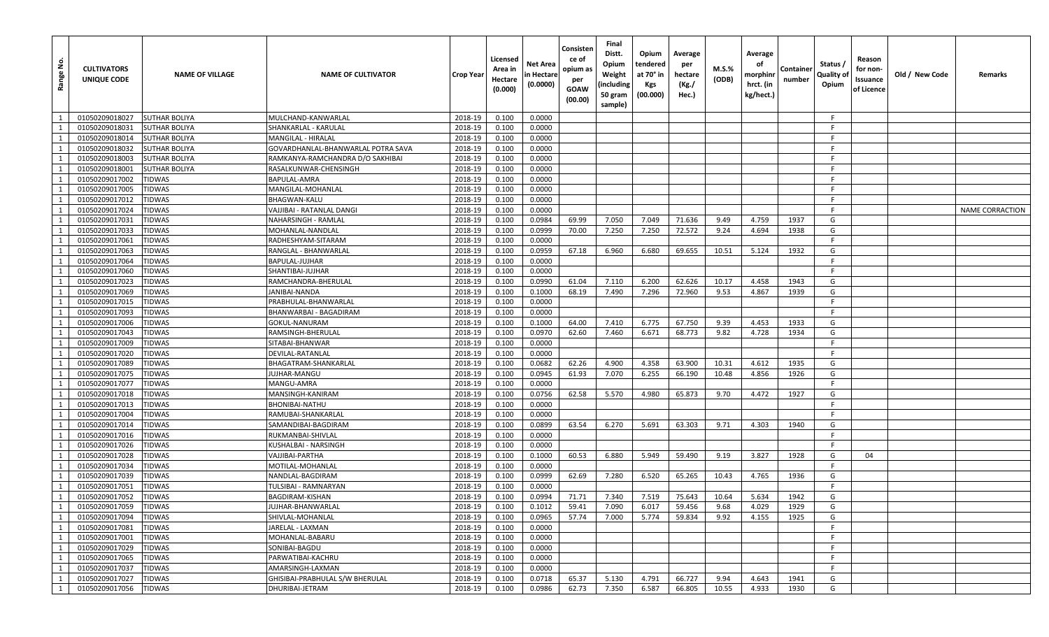| (00.00)<br>sample)                                                                                                                                                       |                        |
|--------------------------------------------------------------------------------------------------------------------------------------------------------------------------|------------------------|
| $\overline{1}$<br>01050209018027<br>2018-19<br>0.100<br>0.0000<br><b>SUTHAR BOLIYA</b><br>MULCHAND-KANWARLAL<br>F.                                                       |                        |
| 2018-19<br>1<br>01050209018031<br>SUTHAR BOLIYA<br>0.100<br>0.0000<br>-F<br>SHANKARLAL - KARULAL                                                                         |                        |
| 2018-19<br>0.100<br>0.0000<br>F.<br>1<br>01050209018014<br>SUTHAR BOLIYA<br><b>MANGILAL - HIRALAL</b>                                                                    |                        |
| 2018-19<br>1<br>01050209018032<br><b>SUTHAR BOLIYA</b><br>GOVARDHANLAL-BHANWARLAL POTRA SAVA<br>0.100<br>0.0000<br>F.                                                    |                        |
| $\mathbf{1}$<br>2018-19<br>0.100<br>0.0000<br>01050209018003<br>SUTHAR BOLIYA<br>RAMKANYA-RAMCHANDRA D/O SAKHIBAI<br>-F                                                  |                        |
| 2018-19<br>01050209018001<br>SUTHAR BOLIYA<br>RASALKUNWAR-CHENSINGH<br>0.100<br>0.0000<br>F.<br>1                                                                        |                        |
| 1<br>2018-19<br>0.100<br>0.0000<br>F.<br>01050209017002<br>TIDWAS<br>BAPULAL-AMRA                                                                                        |                        |
| 2018-19<br>1<br>01050209017005<br><b>TIDWAS</b><br>MANGILAL-MOHANLAL<br>0.100<br>0.0000<br>-F                                                                            |                        |
| $\mathbf{1}$<br>2018-19<br>0.100<br>01050209017012<br>TIDWAS<br>BHAGWAN-KALU<br>0.0000<br>-F                                                                             |                        |
| 2018-19<br>0.0000<br>F.<br>01050209017024<br>TIDWAS<br>0.100<br>1<br>VAJJIBAI - RATANLAL DANGI                                                                           | <b>NAME CORRACTION</b> |
| 2018-19<br>1<br>01050209017031<br><b>TIDWAS</b><br>NAHARSINGH - RAMLAL<br>0.100<br>0.0984<br>69.99<br>7.050<br>7.049<br>71.636<br>9.49<br>4.759<br>1937<br>G             |                        |
| $\mathbf{1}$<br>2018-19<br>0.0999<br>7.250<br>7.250<br>72.572<br>9.24<br>01050209017033<br>TIDWAS<br>MOHANLAL-NANDLAL<br>0.100<br>70.00<br>4.694<br>1938<br>G            |                        |
| 2018-19<br>F.<br>1<br>01050209017061<br>TIDWAS<br>0.100<br>0.0000<br>RADHESHYAM-SITARAM                                                                                  |                        |
| 2018-19<br>0.0959<br>67.18<br>6.960<br>69.655<br>1932<br>G<br>01050209017063<br>TIDWAS<br>RANGLAL - BHANWARLAL<br>0.100<br>6.680<br>10.51<br>5.124<br>1                  |                        |
| 2018-19<br>0.0000<br>1<br>01050209017064<br><b>TIDWAS</b><br>BAPULAL-JUJHAR<br>0.100<br>-F                                                                               |                        |
| 1<br><b>TIDWAS</b><br>2018-19<br>0.100<br>0.0000<br>-F<br>01050209017060<br>SHANTIBAI-JUJHAR                                                                             |                        |
| 2018-19<br>0.0990<br>1<br>01050209017023<br><b>TIDWAS</b><br>RAMCHANDRA-BHERULAL<br>0.100<br>61.04<br>7.110<br>6.200<br>62.626<br>10.17<br>4.458<br>1943<br>G            |                        |
| 1<br>2018-19<br>G<br>01050209017069<br><b>TIDWAS</b><br>0.100<br>0.1000<br>68.19<br>7.490<br>7.296<br>72.960<br>9.53<br>4.867<br>1939<br>JANIBAI-NANDA                   |                        |
| 1<br><b>TIDWAS</b><br>2018-19<br>0.100<br>0.0000<br>F.<br>01050209017015<br>PRABHULAL-BHANWARLAL                                                                         |                        |
| 2018-19<br>0.0000<br>1<br>01050209017093<br><b>TIDWAS</b><br>0.100<br>-F<br>BHANWARBAI - BAGADIRAM                                                                       |                        |
| <b>TIDWAS</b><br>2018-19<br>6.775<br>G<br>1<br>01050209017006<br>0.100<br>0.1000<br>64.00<br>7.410<br>67.750<br>9.39<br>4.453<br>1933<br>GOKUL-NANURAM                   |                        |
| 2018-19<br>0.100<br>0.0970<br>1<br>01050209017043<br><b>TIDWAS</b><br>RAMSINGH-BHERULAL<br>62.60<br>7.460<br>6.671<br>68.773<br>9.82<br>4.728<br>1934<br>G               |                        |
| $\mathbf{1}$<br>2018-19<br>0.100<br>0.0000<br>F.<br>01050209017009<br>TIDWAS<br>SITABAI-BHANWAR                                                                          |                        |
| 2018-19<br>0.0000<br>1<br>01050209017020<br>TIDWAS<br>0.100<br>-F<br>DEVILAL-RATANLAL                                                                                    |                        |
| 2018-19<br>4.358<br>G<br>1<br>01050209017089<br>TIDWAS<br>BHAGATRAM-SHANKARLAL<br>0.100<br>0.0682<br>62.26<br>4.900<br>63.900<br>10.31<br>4.612<br>1935                  |                        |
| 1<br><b>TIDWAS</b><br>2018-19<br>0.100<br>0.0945<br>61.93<br>7.070<br>6.255<br>4.856<br>1926<br>G<br>01050209017075<br>JUJHAR-MANGU<br>66.190<br>10.48                   |                        |
| 2018-19<br>F.<br>1<br>01050209017077<br>TIDWAS<br>0.100<br>0.0000<br>MANGU-AMRA                                                                                          |                        |
| <b>TIDWAS</b><br>2018-19<br>0.100<br>0.0756<br>62.58<br>5.570<br>4.980<br>65.873<br>9.70<br>4.472<br>1927<br>G<br>1<br>01050209017018<br>MANSINGH-KANIRAM                |                        |
| 2018-19<br>1<br>01050209017013<br>TIDWAS<br>0.100<br>0.0000<br>-F.<br>BHONIBAI-NATHU                                                                                     |                        |
| 1<br>2018-19<br>0.0000<br>-F<br>01050209017004<br>TIDWAS<br>0.100<br>RAMUBAI-SHANKARLAL                                                                                  |                        |
| 2018-19<br>0.0899<br>63.54<br>6.270<br>1940<br>1<br>01050209017014<br>TIDWAS<br>SAMANDIBAI-BAGDIRAM<br>0.100<br>5.691<br>63.303<br>9.71<br>4.303<br>G                    |                        |
| 1<br>2018-19<br>F.<br>01050209017016<br>TIDWAS<br>0.100<br>0.0000<br>RUKMANBAI-SHIVLAL                                                                                   |                        |
| <b>TIDWAS</b><br>2018-19<br>0.100<br>0.0000<br>F.<br>1<br>01050209017026<br>KUSHALBAI - NARSINGH                                                                         |                        |
| 1<br>2018-19<br>0.100<br>60.53<br>6.880<br>01050209017028<br>TIDWAS<br>VAJJIBAI-PARTHA<br>0.1000<br>5.949<br>59.490<br>9.19<br>3.827<br>1928<br>G<br>04                  |                        |
| <b>TIDWAS</b><br>2018-19<br>0.0000<br>F.<br>1<br>01050209017034<br>0.100<br>MOTILAL-MOHANLAL                                                                             |                        |
| 1<br>01050209017039<br>TIDWAS<br>NANDLAL-BAGDIRAM<br>2018-19<br>0.100<br>0.0999<br>62.69<br>7.280<br>6.520<br>65.265<br>10.43<br>4.765<br>1936<br>G                      |                        |
| $\mathbf{1}$<br>2018-19<br>0.0000<br>01050209017051<br>TIDWAS<br>TULSIBAI - RAMNARYAN<br>0.100<br>E                                                                      |                        |
| 01050209017052<br><b>TIDWAS</b><br>2018-19<br>0.100<br>0.0994<br>7.340<br>BAGDIRAM-KISHAN<br>71.71<br>7.519<br>75.643<br>10.64<br>5.634<br>1942<br>G<br>1                |                        |
| 1<br>01050209017059<br><b>TIDWAS</b><br>JUJHAR-BHANWARLAL<br>2018-19<br>0.1012<br>59.41<br>7.090<br>59.456<br>9.68<br>4.029<br>1929<br>G<br>0.100<br>6.017               |                        |
| 1<br>01050209017094<br>SHIVLAL-MOHANLAL<br>2018-19<br>0.100<br>0.0965<br>57.74<br>7.000<br>5.774<br>59.834<br>9.92<br>4.155<br>1925<br>G<br><b>TIDWAS</b>                |                        |
| $\mathbf{1}$<br>F<br>01050209017081<br><b>TIDWAS</b><br>JARELAL - LAXMAN<br>2018-19<br>0.100<br>0.0000                                                                   |                        |
| 1<br>01050209017001<br><b>TIDWAS</b><br>MOHANLAL-BABARU<br>2018-19<br>0.100<br>0.0000<br>F.                                                                              |                        |
| 1<br>01050209017029<br>SONIBAI-BAGDU<br>2018-19<br>0.100<br>0.0000<br>F.<br><b>TIDWAS</b>                                                                                |                        |
| 1<br>01050209017065<br><b>TIDWAS</b><br>PARWATIBAI-KACHRU<br>2018-19<br>0.100<br>0.0000<br>-F                                                                            |                        |
| 1<br>2018-19<br>0.100<br>0.0000<br>F.<br>01050209017037<br><b>TIDWAS</b><br>AMARSINGH-LAXMAN                                                                             |                        |
| 1<br>01050209017027<br>2018-19<br>65.37<br>4.791<br>66.727<br>9.94<br>4.643<br>G<br><b>TIDWAS</b><br>GHISIBAI-PRABHULAL S/W BHERULAL<br>0.100<br>0.0718<br>5.130<br>1941 |                        |
| 01050209017056<br><b>TIDWAS</b><br>DHURIBAI-JETRAM<br>2018-19<br>0.100<br>0.0986<br>62.73<br>7.350<br>6.587<br>66.805<br>10.55<br>4.933<br>1930<br>G<br>1                |                        |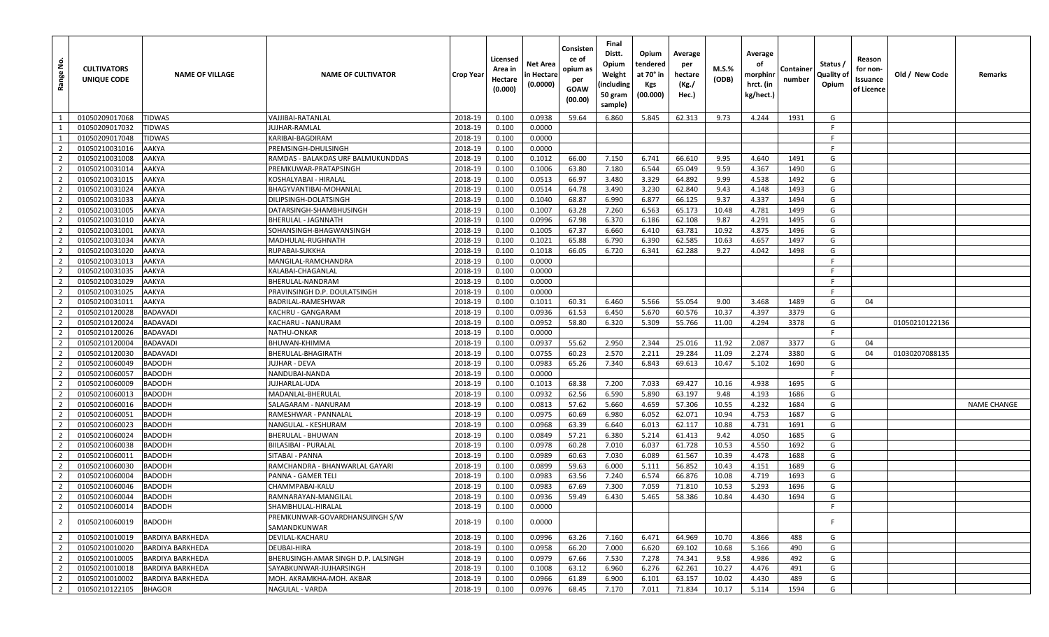| å<br>Range                       | <b>CULTIVATORS</b><br>UNIQUE CODE | <b>NAME OF VILLAGE</b>  | <b>NAME OF CULTIVATOR</b>                      | Crop Year | Licensed<br>Area in<br>Hectare<br>(0.000) | Net Area<br>n Hectare<br>(0.0000) | Consisten<br>ce of<br>opium as<br>per<br>GOAW<br>(00.00) | Final<br>Distt.<br>Opium<br>Weight<br>(including<br>50 gram<br>sample) | Opium<br>tendered<br>at 70° in<br><b>Kgs</b><br>(00.000) | Average<br>per<br>hectare<br>(Kg./<br>Hec.) | M.S.%<br>(ODB) | Average<br>оf<br>morphinr<br>hrct. (in<br>kg/hect.) | Container<br>number | Status /<br>Quality of<br>Opium | Reason<br>for non-<br>Issuance<br>of Licence | Old / New Code | Remarks            |
|----------------------------------|-----------------------------------|-------------------------|------------------------------------------------|-----------|-------------------------------------------|-----------------------------------|----------------------------------------------------------|------------------------------------------------------------------------|----------------------------------------------------------|---------------------------------------------|----------------|-----------------------------------------------------|---------------------|---------------------------------|----------------------------------------------|----------------|--------------------|
| $\mathbf{1}$                     | 01050209017068                    | <b>TIDWAS</b>           | VAJJIBAI-RATANLAL                              | 2018-19   | 0.100                                     | 0.0938                            | 59.64                                                    | 6.860                                                                  | 5.845                                                    | 62.313                                      | 9.73           | 4.244                                               | 1931                | G                               |                                              |                |                    |
| $\mathbf{1}$                     | 01050209017032                    | <b>TIDWAS</b>           | <b>JUJHAR-RAMLAL</b>                           | 2018-19   | 0.100                                     | 0.0000                            |                                                          |                                                                        |                                                          |                                             |                |                                                     |                     | E                               |                                              |                |                    |
| 1                                | 01050209017048                    | <b>TIDWAS</b>           | KARIBAI-BAGDIRAM                               | 2018-19   | 0.100                                     | 0.0000                            |                                                          |                                                                        |                                                          |                                             |                |                                                     |                     | -F                              |                                              |                |                    |
| 2                                | 01050210031016                    | AAKYA                   | PREMSINGH-DHULSINGH                            | 2018-19   | 0.100                                     | 0.0000                            |                                                          |                                                                        |                                                          |                                             |                |                                                     |                     | -F                              |                                              |                |                    |
| $\overline{2}$                   | 01050210031008                    | AAKYA                   | RAMDAS - BALAKDAS URF BALMUKUNDDAS             | 2018-19   | 0.100                                     | 0.1012                            | 66.00                                                    | 7.150                                                                  | 6.741                                                    | 66.610                                      | 9.95           | 4.640                                               | 1491                | G                               |                                              |                |                    |
| $\overline{2}$                   | 01050210031014                    | AAKYA                   | PREMKUWAR-PRATAPSINGH                          | 2018-19   | 0.100                                     | 0.1006                            | 63.80                                                    | 7.180                                                                  | 6.544                                                    | 65.049                                      | 9.59           | 4.367                                               | 1490                | G                               |                                              |                |                    |
| $\overline{2}$                   | 01050210031015                    | AAKYA                   | KOSHALYABAI - HIRALAL                          | 2018-19   | 0.100                                     | 0.0513                            | 66.97                                                    | 3.480                                                                  | 3.329                                                    | 64.892                                      | 9.99           | 4.538                                               | 1492                | G                               |                                              |                |                    |
| $\overline{2}$                   | 01050210031024                    | AAKYA                   | BHAGYVANTIBAI-MOHANLAL                         | 2018-19   | 0.100                                     | 0.0514                            | 64.78                                                    | 3.490                                                                  | 3.230                                                    | 62.840                                      | 9.43           | 4.148                                               | 1493                | G                               |                                              |                |                    |
| $\overline{2}$                   | 01050210031033                    | AAKYA                   | DILIPSINGH-DOLATSINGH                          | 2018-19   | 0.100                                     | 0.1040                            | 68.87                                                    | 6.990                                                                  | 6.877                                                    | 66.125                                      | 9.37           | 4.337                                               | 1494                | G                               |                                              |                |                    |
| $\overline{2}$                   | 01050210031005                    | AAKYA                   | DATARSINGH-SHAMBHUSINGH                        | 2018-19   | 0.100                                     | 0.1007                            | 63.28                                                    | 7.260                                                                  | 6.563                                                    | 65.173                                      | 10.48          | 4.781                                               | 1499                | G                               |                                              |                |                    |
| 2                                | 01050210031010                    | AAKYA                   | BHERULAL - JAGNNATH                            | 2018-19   | 0.100                                     | 0.0996                            | 67.98                                                    | 6.370                                                                  | 6.186                                                    | 62.108                                      | 9.87           | 4.291                                               | 1495                | G                               |                                              |                |                    |
| $\overline{2}$                   | 01050210031001                    | AAKYA                   | SOHANSINGH-BHAGWANSINGH                        | 2018-19   | 0.100                                     | 0.1005                            | 67.37                                                    | 6.660                                                                  | 6.410                                                    | 63.781                                      | 10.92          | 4.875                                               | 1496                | G                               |                                              |                |                    |
| $\overline{2}$                   | 01050210031034                    | AAKYA                   | MADHULAL-RUGHNATH                              | 2018-19   | 0.100                                     | 0.1021                            | 65.88                                                    | 6.790                                                                  | 6.390                                                    | 62.585                                      | 10.63          | 4.657                                               | 1497                | G                               |                                              |                |                    |
| $\overline{2}$                   | 01050210031020                    | AAKYA                   | RUPABAI-SUKKHA                                 | 2018-19   | 0.100                                     | 0.1018                            | 66.05                                                    | 6.720                                                                  | 6.341                                                    | 62.288                                      | 9.27           | 4.042                                               | 1498                | G                               |                                              |                |                    |
| $\overline{2}$                   | 01050210031013                    | AAKYA                   | MANGILAL-RAMCHANDRA                            | 2018-19   | 0.100                                     | 0.0000                            |                                                          |                                                                        |                                                          |                                             |                |                                                     |                     | -F                              |                                              |                |                    |
| $\overline{2}$                   | 01050210031035                    | AAKYA                   | KALABAI-CHAGANLAI                              | 2018-19   | 0.100                                     | 0.0000                            |                                                          |                                                                        |                                                          |                                             |                |                                                     |                     |                                 |                                              |                |                    |
| $\overline{2}$                   | 01050210031029                    | AAKYA                   | BHERULAL-NANDRAM                               | 2018-19   | 0.100                                     | 0.0000                            |                                                          |                                                                        |                                                          |                                             |                |                                                     |                     | -F                              |                                              |                |                    |
| $\overline{2}$                   |                                   | AAKYA                   | PRAVINSINGH D.P. DOULATSINGH                   | 2018-19   |                                           | 0.0000                            |                                                          |                                                                        |                                                          |                                             |                |                                                     |                     | -F                              |                                              |                |                    |
|                                  | 01050210031025                    | AAKYA                   |                                                |           | 0.100                                     |                                   |                                                          |                                                                        |                                                          |                                             |                |                                                     |                     |                                 | 04                                           |                |                    |
| $\overline{2}$<br>$\overline{2}$ | 01050210031011<br>01050210120028  |                         | BADRILAL-RAMESHWAR                             | 2018-19   | 0.100                                     | 0.1011                            | 60.31                                                    | 6.460                                                                  | 5.566                                                    | 55.054                                      | 9.00           | 3.468                                               | 1489                | G                               |                                              |                |                    |
|                                  | 01050210120024                    | <b>BADAVADI</b>         | KACHRU - GANGARAM                              | 2018-19   | 0.100                                     | 0.0936                            | 61.53                                                    | 6.450                                                                  | 5.670                                                    | 60.576                                      | 10.37          | 4.397                                               | 3379                | G                               |                                              |                |                    |
| $\overline{2}$                   |                                   | <b>BADAVADI</b>         | KACHARU - NANURAM                              | 2018-19   | 0.100                                     | 0.0952                            | 58.80                                                    | 6.320                                                                  | 5.309                                                    | 55.766                                      | 11.00          | 4.294                                               | 3378                | G                               |                                              | 01050210122136 |                    |
| $\overline{2}$                   | 01050210120026                    | <b>BADAVADI</b>         | NATHU-ONKAR                                    | 2018-19   | 0.100                                     | 0.0000                            |                                                          |                                                                        |                                                          |                                             |                |                                                     |                     | F.                              |                                              |                |                    |
| $\overline{2}$                   | 01050210120004                    | <b>BADAVADI</b>         | BHUWAN-KHIMMA                                  | 2018-19   | 0.100                                     | 0.0937                            | 55.62                                                    | 2.950                                                                  | 2.344                                                    | 25.016                                      | 11.92          | 2.087                                               | 3377                | G                               | 04                                           |                |                    |
| $\overline{2}$                   | 01050210120030                    | <b>BADAVADI</b>         | BHERULAL-BHAGIRATH                             | 2018-19   | 0.100                                     | 0.0755                            | 60.23                                                    | 2.570                                                                  | 2.211                                                    | 29.284                                      | 11.09          | 2.274                                               | 3380                | G                               | 04                                           | 01030207088135 |                    |
| $\overline{2}$                   | 01050210060049                    | <b>BADODH</b>           | JUJHAR - DEVA                                  | 2018-19   | 0.100                                     | 0.0983                            | 65.26                                                    | 7.340                                                                  | 6.843                                                    | 69.613                                      | 10.47          | 5.102                                               | 1690                | G                               |                                              |                |                    |
| $\overline{2}$                   | 01050210060057                    | <b>BADODH</b>           | NANDUBAI-NANDA                                 | 2018-19   | 0.100                                     | 0.0000                            |                                                          |                                                                        |                                                          |                                             |                |                                                     |                     | F                               |                                              |                |                    |
| $\overline{2}$                   | 01050210060009                    | <b>BADODH</b>           | IUJHARLAL-UDA                                  | 2018-19   | 0.100                                     | 0.1013                            | 68.38                                                    | 7.200                                                                  | 7.033                                                    | 69.427                                      | 10.16          | 4.938                                               | 1695                | G                               |                                              |                |                    |
| $\overline{2}$                   | 01050210060013                    | <b>BADODH</b>           | MADANLAL-BHERULAL                              | 2018-19   | 0.100                                     | 0.0932                            | 62.56                                                    | 6.590                                                                  | 5.890                                                    | 63.197                                      | 9.48           | 4.193                                               | 1686                | G                               |                                              |                |                    |
| $\overline{2}$                   | 01050210060016                    | <b>BADODH</b>           | SALAGARAM - NANURAM                            | 2018-19   | 0.100                                     | 0.0813                            | 57.62                                                    | 5.660                                                                  | 4.659                                                    | 57.306                                      | 10.55          | 4.232                                               | 1684                | G                               |                                              |                | <b>NAME CHANGE</b> |
| $\overline{2}$                   | 01050210060051                    | <b>BADODH</b>           | RAMESHWAR - PANNALAL                           | 2018-19   | 0.100                                     | 0.0975                            | 60.69                                                    | 6.980                                                                  | 6.052                                                    | 62.071                                      | 10.94          | 4.753                                               | 1687                | G                               |                                              |                |                    |
| $\overline{2}$                   | 01050210060023                    | <b>BADODH</b>           | NANGULAL - KESHURAM                            | 2018-19   | 0.100                                     | 0.0968                            | 63.39                                                    | 6.640                                                                  | 6.013                                                    | 62.117                                      | 10.88          | 4.731                                               | 1691                | G                               |                                              |                |                    |
| $\overline{2}$                   | 01050210060024                    | <b>BADODH</b>           | BHERULAL - BHUWAN                              | 2018-19   | 0.100                                     | 0.0849                            | 57.21                                                    | 6.380                                                                  | 5.214                                                    | 61.413                                      | 9.42           | 4.050                                               | 1685                | G                               |                                              |                |                    |
| $\overline{2}$                   | 01050210060038                    | <b>BADODH</b>           | BIILASIBAI - PURALAL                           | 2018-19   | 0.100                                     | 0.0978                            | 60.28                                                    | 7.010                                                                  | 6.037                                                    | 61.728                                      | 10.53          | 4.550                                               | 1692                | G                               |                                              |                |                    |
| $\overline{2}$                   | 01050210060011                    | <b>BADODH</b>           | SITABAI - PANNA                                | 2018-19   | 0.100                                     | 0.0989                            | 60.63                                                    | 7.030                                                                  | 6.089                                                    | 61.567                                      | 10.39          | 4.478                                               | 1688                | G                               |                                              |                |                    |
| $\overline{2}$                   | 01050210060030                    | <b>BADODH</b>           | RAMCHANDRA - BHANWARLAL GAYARI                 | 2018-19   | 0.100                                     | 0.0899                            | 59.63                                                    | 6.000                                                                  | 5.111                                                    | 56.852                                      | 10.43          | 4.151                                               | 1689                | G                               |                                              |                |                    |
| $\overline{2}$                   | 01050210060004                    | <b>BADODH</b>           | PANNA - GAMER TELI                             | 2018-19   | 0.100                                     | 0.0983                            | 63.56                                                    | 7.240                                                                  | 6.574                                                    | 66.876                                      | 10.08          | 4.719                                               | 1693                | G                               |                                              |                |                    |
| 2                                | 01050210060046                    | <b>BADODH</b>           | CHAMMPABAI-KALU                                | 2018-19   | 0.100                                     | 0.0983                            | 67.69                                                    | 7.300                                                                  | 7.059                                                    | 71.810                                      | 10.53          | 5.293                                               | 1696                | G                               |                                              |                |                    |
| $\overline{2}$                   | 01050210060044                    | <b>BADODH</b>           | RAMNARAYAN-MANGILAL                            | 2018-19   | 0.100                                     | 0.0936                            | 59.49                                                    | 6.430                                                                  | 5.465                                                    | 58.386                                      | 10.84          | 4.430                                               | 1694                | G                               |                                              |                |                    |
| $\overline{2}$                   | 01050210060014                    | <b>BADODH</b>           | SHAMBHULAL-HIRALAL                             | 2018-19   | 0.100                                     | 0.0000                            |                                                          |                                                                        |                                                          |                                             |                |                                                     |                     | -F                              |                                              |                |                    |
| $\overline{2}$                   | 01050210060019                    | <b>BADODH</b>           | PREMKUNWAR-GOVARDHANSUINGH S/W<br>SAMANDKUNWAR | 2018-19   | 0.100                                     | 0.0000                            |                                                          |                                                                        |                                                          |                                             |                |                                                     |                     |                                 |                                              |                |                    |
| $\overline{2}$                   | 01050210010019                    | <b>BARDIYA BARKHEDA</b> | DEVILAL-KACHARU                                | 2018-19   | 0.100                                     | 0.0996                            | 63.26                                                    | 7.160                                                                  | 6.471                                                    | 64.969                                      | 10.70          | 4.866                                               | 488                 | G                               |                                              |                |                    |
| $\overline{2}$                   | 01050210010020                    | <b>BARDIYA BARKHEDA</b> | DEUBAI-HIRA                                    | 2018-19   | 0.100                                     | 0.0958                            | 66.20                                                    | 7.000                                                                  | 6.620                                                    | 69.102                                      | 10.68          | 5.166                                               | 490                 | G                               |                                              |                |                    |
| $\overline{2}$                   | 01050210010005                    | <b>BARDIYA BARKHEDA</b> | BHERUSINGH-AMAR SINGH D.P. LALSINGH            | 2018-19   | 0.100                                     | 0.0979                            | 67.66                                                    | 7.530                                                                  | 7.278                                                    | 74.341                                      | 9.58           | 4.986                                               | 492                 | G                               |                                              |                |                    |
| $\overline{2}$                   | 01050210010018                    | <b>BARDIYA BARKHEDA</b> | SAYABKUNWAR-JUJHARSINGH                        | 2018-19   | 0.100                                     | 0.1008                            | 63.12                                                    | 6.960                                                                  | 6.276                                                    | 62.261                                      | 10.27          | 4.476                                               | 491                 | G                               |                                              |                |                    |
| $\overline{2}$                   | 01050210010002                    | <b>BARDIYA BARKHEDA</b> | MOH. AKRAMKHA-MOH. AKBAR                       | 2018-19   | 0.100                                     | 0.0966                            | 61.89                                                    | 6.900                                                                  | 6.101                                                    | 63.157                                      | 10.02          | 4.430                                               | 489                 | G                               |                                              |                |                    |
| $\overline{2}$                   | 01050210122105                    | <b>BHAGOR</b>           | NAGULAL - VARDA                                | 2018-19   | 0.100                                     | 0.0976                            | 68.45                                                    | 7.170                                                                  | 7.011                                                    | 71.834                                      | 10.17          | 5.114                                               | 1594                | G                               |                                              |                |                    |
|                                  |                                   |                         |                                                |           |                                           |                                   |                                                          |                                                                        |                                                          |                                             |                |                                                     |                     |                                 |                                              |                |                    |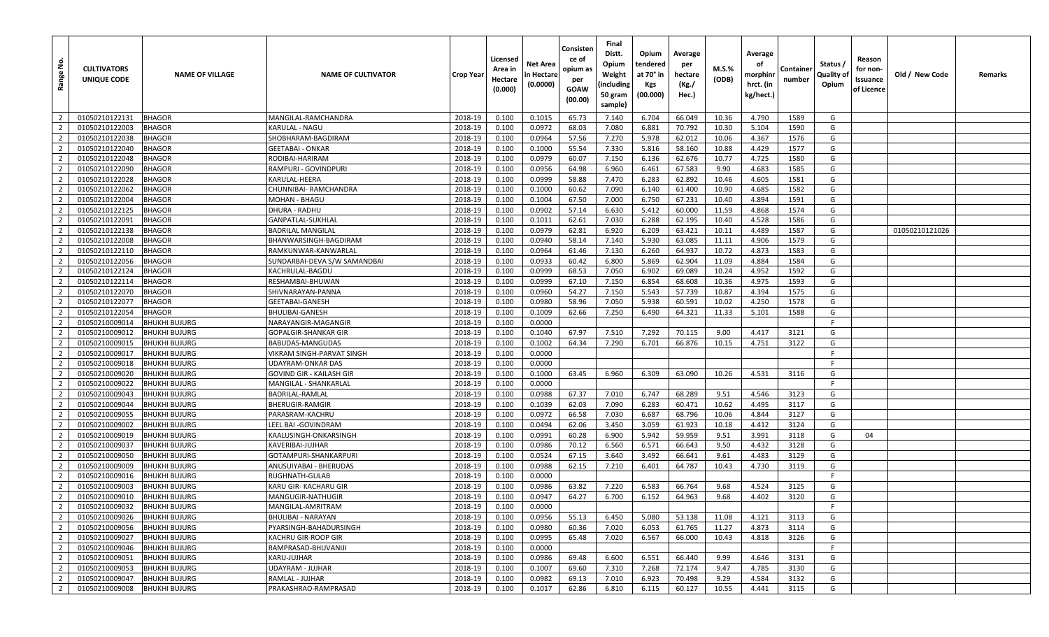| غ.<br>Range    | <b>CULTIVATORS</b><br>UNIQUE CODE | <b>NAME OF VILLAGE</b> | <b>NAME OF CULTIVATOR</b>    | <b>Crop Year</b> | Licensed<br>Area in<br>Hectare<br>(0.000) | Net Area<br>n Hectare<br>(0.0000) | Consisten<br>ce of<br>opium as<br>per<br>GOAW<br>(00.00) | Final<br>Distt.<br>Opium<br>Weight<br>(including<br>50 gram<br>sample) | Opium<br>tendered<br>at 70° in<br>Kgs<br>(00.000) | Average<br>per<br>hectare<br>(Kg./<br>Hec.) | M.S.%<br>(ODB) | Average<br>οf<br>morphinr<br>hrct. (in<br>kg/hect.) | Containe<br>number | Status /<br>Quality of<br>Opium | Reason<br>for non-<br>Issuance<br>of Licence | Old / New Code | Remarks |
|----------------|-----------------------------------|------------------------|------------------------------|------------------|-------------------------------------------|-----------------------------------|----------------------------------------------------------|------------------------------------------------------------------------|---------------------------------------------------|---------------------------------------------|----------------|-----------------------------------------------------|--------------------|---------------------------------|----------------------------------------------|----------------|---------|
| $\overline{2}$ | 01050210122131                    | <b>BHAGOR</b>          | MANGILAL-RAMCHANDRA          | 2018-19          | 0.100                                     | 0.1015                            | 65.73                                                    | 7.140                                                                  | 6.704                                             | 66.049                                      | 10.36          | 4.790                                               | 1589               | G                               |                                              |                |         |
| $\overline{2}$ | 01050210122003                    | BHAGOR                 | KARULAL - NAGU               | 2018-19          | 0.100                                     | 0.0972                            | 68.03                                                    | 7.080                                                                  | 6.881                                             | 70.792                                      | 10.30          | 5.104                                               | 1590               | G                               |                                              |                |         |
| $\overline{2}$ | 01050210122038                    | <b>BHAGOR</b>          | SHOBHARAM-BAGDIRAM           | 2018-19          | 0.100                                     | 0.0964                            | 57.56                                                    | 7.270                                                                  | 5.978                                             | 62.012                                      | 10.06          | 4.367                                               | 1576               | G                               |                                              |                |         |
| $\overline{2}$ | 01050210122040                    | <b>BHAGOR</b>          | GEETABAI - ONKAR             | 2018-19          | 0.100                                     | 0.1000                            | 55.54                                                    | 7.330                                                                  | 5.816                                             | 58.160                                      | 10.88          | 4.429                                               | 1577               | G                               |                                              |                |         |
| $\overline{2}$ | 01050210122048                    | <b>BHAGOR</b>          | RODIBAI-HARIRAM              | 2018-19          | 0.100                                     | 0.0979                            | 60.07                                                    | 7.150                                                                  | 6.136                                             | 62.676                                      | 10.77          | 4.725                                               | 1580               | G                               |                                              |                |         |
| $\overline{2}$ | 01050210122090                    | <b>BHAGOR</b>          | RAMPURI - GOVINDPURI         | 2018-19          | 0.100                                     | 0.0956                            | 64.98                                                    | 6.960                                                                  | 6.461                                             | 67.583                                      | 9.90           | 4.683                                               | 1585               | G                               |                                              |                |         |
| $\overline{2}$ | 01050210122028                    | <b>BHAGOR</b>          | KARULAL-HEERA                | 2018-19          | 0.100                                     | 0.0999                            | 58.88                                                    | 7.470                                                                  | 6.283                                             | 62.892                                      | 10.46          | 4.605                                               | 1581               | G                               |                                              |                |         |
| $\overline{2}$ | 01050210122062                    | <b>BHAGOR</b>          | CHUNNIBAI- RAMCHANDRA        | 2018-19          | 0.100                                     | 0.1000                            | 60.62                                                    | 7.090                                                                  | 6.140                                             | 61.400                                      | 10.90          | 4.685                                               | 1582               | G                               |                                              |                |         |
| $\overline{2}$ | 01050210122004                    | <b>BHAGOR</b>          | <b>MOHAN - BHAGU</b>         | 2018-19          | 0.100                                     | 0.1004                            | 67.50                                                    | 7.000                                                                  | 6.750                                             | 67.231                                      | 10.40          | 4.894                                               | 1591               | G                               |                                              |                |         |
| $\overline{2}$ | 01050210122125                    | <b>BHAGOR</b>          | DHURA - RADHU                | 2018-19          | 0.100                                     | 0.0902                            | 57.14                                                    | 6.630                                                                  | 5.412                                             | 60.000                                      | 11.59          | 4.868                                               | 1574               | G                               |                                              |                |         |
| $\overline{2}$ | 01050210122091                    | <b>BHAGOR</b>          | GANPATLAL-SUKHLAL            | 2018-19          | 0.100                                     | 0.1011                            | 62.61                                                    | 7.030                                                                  | 6.288                                             | 62.195                                      | 10.40          | 4.528                                               | 1586               | G                               |                                              |                |         |
| $\overline{2}$ | 01050210122138                    | <b>BHAGOR</b>          | <b>BADRILAL MANGILAL</b>     | 2018-19          | 0.100                                     | 0.0979                            | 62.81                                                    | 6.920                                                                  | 6.209                                             | 63.421                                      | 10.11          | 4.489                                               | 1587               | G                               |                                              | 01050210121026 |         |
| $\overline{2}$ | 01050210122008                    | <b>BHAGOR</b>          | BHANWARSINGH-BAGDIRAM        | 2018-19          | 0.100                                     | 0.0940                            | 58.14                                                    | 7.140                                                                  | 5.930                                             | 63.085                                      | 11.11          | 4.906                                               | 1579               | G                               |                                              |                |         |
| $\overline{2}$ | 01050210122110                    | <b>BHAGOR</b>          | RAMKUNWAR-KANWARLAL          | 2018-19          | 0.100                                     | 0.0964                            | 61.46                                                    | 7.130                                                                  | 6.260                                             | 64.937                                      | 10.72          | 4.873                                               | 1583               | G                               |                                              |                |         |
| $\overline{2}$ | 01050210122056                    | <b>BHAGOR</b>          | SUNDARBAI-DEVA S/W SAMANDBAI | 2018-19          | 0.100                                     | 0.0933                            | 60.42                                                    | 6.800                                                                  | 5.869                                             | 62.904                                      | 11.09          | 4.884                                               | 1584               | G                               |                                              |                |         |
| $\overline{2}$ | 01050210122124                    | <b>BHAGOR</b>          | KACHRULAL-BAGDU              | 2018-19          | 0.100                                     | 0.0999                            | 68.53                                                    | 7.050                                                                  | 6.902                                             | 69.089                                      | 10.24          | 4.952                                               | 1592               | G                               |                                              |                |         |
| $\overline{2}$ | 01050210122114                    | <b>BHAGOR</b>          | RESHAMBAI-BHUWAN             | 2018-19          | 0.100                                     | 0.0999                            | 67.10                                                    | 7.150                                                                  | 6.854                                             | 68.608                                      | 10.36          | 4.975                                               | 1593               | G                               |                                              |                |         |
| $\overline{2}$ | 01050210122070                    | <b>BHAGOR</b>          | SHIVNARAYAN-PANNA            | 2018-19          | 0.100                                     | 0.0960                            | 54.27                                                    | 7.150                                                                  | 5.543                                             | 57.739                                      | 10.87          | 4.394                                               | 1575               | G                               |                                              |                |         |
| $\overline{2}$ | 01050210122077                    | <b>BHAGOR</b>          | GEETABAI-GANESH              | 2018-19          | 0.100                                     | 0.0980                            | 58.96                                                    | 7.050                                                                  | 5.938                                             | 60.591                                      | 10.02          | 4.250                                               | 1578               | G                               |                                              |                |         |
| $\overline{2}$ | 01050210122054                    | <b>BHAGOR</b>          | BHULIBAI-GANESH              | 2018-19          | 0.100                                     | 0.1009                            | 62.66                                                    | 7.250                                                                  | 6.490                                             | 64.321                                      | 11.33          | 5.101                                               | 1588               | G                               |                                              |                |         |
| $\overline{2}$ | 01050210009014                    | <b>BHUKHI BUJURG</b>   | NARAYANGIR-MAGANGIR          | 2018-19          | 0.100                                     | 0.0000                            |                                                          |                                                                        |                                                   |                                             |                |                                                     |                    | F.                              |                                              |                |         |
| $\overline{2}$ | 01050210009012                    | <b>BHUKHI BUJURG</b>   | GOPALGIR-SHANKAR GIR         | 2018-19          | 0.100                                     | 0.1040                            | 67.97                                                    | 7.510                                                                  | 7.292                                             | 70.115                                      | 9.00           | 4.417                                               | 3121               | G                               |                                              |                |         |
| $\overline{2}$ | 01050210009015                    | <b>BHUKHI BUJURG</b>   | BABUDAS-MANGUDAS             | 2018-19          | 0.100                                     | 0.1002                            | 64.34                                                    | 7.290                                                                  | 6.701                                             | 66.876                                      | 10.15          | 4.751                                               | 3122               | G                               |                                              |                |         |
| $\overline{2}$ | 01050210009017                    | <b>BHUKHI BUJURG</b>   | VIKRAM SINGH-PARVAT SINGH    | 2018-19          | 0.100                                     | 0.0000                            |                                                          |                                                                        |                                                   |                                             |                |                                                     |                    | -F                              |                                              |                |         |
| $\overline{2}$ | 01050210009018                    | <b>BHUKHI BUJURG</b>   | UDAYRAM-ONKAR DAS            | 2018-19          | 0.100                                     | 0.0000                            |                                                          |                                                                        |                                                   |                                             |                |                                                     |                    | F.                              |                                              |                |         |
| $\overline{2}$ | 01050210009020                    | <b>BHUKHI BUJURG</b>   | GOVIND GIR - KAILASH GIF     | 2018-19          | 0.100                                     | 0.1000                            | 63.45                                                    | 6.960                                                                  | 6.309                                             | 63.090                                      | 10.26          | 4.531                                               | 3116               | G                               |                                              |                |         |
| $\overline{2}$ | 01050210009022                    | <b>BHUKHI BUJURG</b>   | MANGILAL - SHANKARLAL        | 2018-19          | 0.100                                     | 0.0000                            |                                                          |                                                                        |                                                   |                                             |                |                                                     |                    | F                               |                                              |                |         |
| $\overline{2}$ | 01050210009043                    | <b>BHUKHI BUJURG</b>   | BADRILAL-RAMLAL              | 2018-19          | 0.100                                     | 0.0988                            | 67.37                                                    | 7.010                                                                  | 6.747                                             | 68.289                                      | 9.51           | 4.546                                               | 3123               | G                               |                                              |                |         |
| $\overline{2}$ | 01050210009044                    | <b>BHUKHI BUJURG</b>   | BHERUGIR-RAMGIR              | 2018-19          | 0.100                                     | 0.1039                            | 62.03                                                    | 7.090                                                                  | 6.283                                             | 60.471                                      | 10.62          | 4.495                                               | 3117               | G                               |                                              |                |         |
| $\overline{2}$ | 01050210009055                    | <b>BHUKHI BUJURG</b>   | PARASRAM-KACHRU              | 2018-19          | 0.100                                     | 0.0972                            | 66.58                                                    | 7.030                                                                  | 6.687                                             | 68.796                                      | 10.06          | 4.844                                               | 3127               | G                               |                                              |                |         |
| $\overline{2}$ | 01050210009002                    | <b>BHUKHI BUJURG</b>   | LEEL BAI -GOVINDRAM          | 2018-19          | 0.100                                     | 0.0494                            | 62.06                                                    | 3.450                                                                  | 3.059                                             | 61.923                                      | 10.18          | 4.412                                               | 3124               | G                               |                                              |                |         |
| $\overline{2}$ | 01050210009019                    | <b>BHUKHI BUJURG</b>   | KAALUSINGH-ONKARSINGH        | 2018-19          | 0.100                                     | 0.0991                            | 60.28                                                    | 6.900                                                                  | 5.942                                             | 59.959                                      | 9.51           | 3.991                                               | 3118               | G                               | 04                                           |                |         |
| $\overline{2}$ | 01050210009037                    | <b>BHUKHI BUJURG</b>   | KAVERIBAI-JUJHAR             | 2018-19          | 0.100                                     | 0.0986                            | 70.12                                                    | 6.560                                                                  | 6.571                                             | 66.643                                      | 9.50           | 4.432                                               | 3128               | G                               |                                              |                |         |
| $\overline{2}$ | 01050210009050                    | <b>BHUKHI BUJURG</b>   | GOTAMPURI-SHANKARPURI        | 2018-19          | 0.100                                     | 0.0524                            | 67.15                                                    | 3.640                                                                  | 3.492                                             | 66.641                                      | 9.61           | 4.483                                               | 3129               | G                               |                                              |                |         |
| $\overline{2}$ | 01050210009009                    | <b>BHUKHI BUJURG</b>   | ANUSUIYABAI - BHERUDAS       | 2018-19          | 0.100                                     | 0.0988                            | 62.15                                                    | 7.210                                                                  | 6.401                                             | 64.787                                      | 10.43          | 4.730                                               | 3119               | G                               |                                              |                |         |
| $\overline{2}$ | 01050210009016                    | <b>BHUKHI BUJURG</b>   | RUGHNATH-GULAB               | 2018-19          | 0.100                                     | 0.0000                            |                                                          |                                                                        |                                                   |                                             |                |                                                     |                    | F.                              |                                              |                |         |
| $\overline{2}$ | 01050210009003                    | <b>BHUKHI BUJURG</b>   | KARU GIR- KACHARU GIR        | 2018-19          | 0.100                                     | 0.0986                            | 63.82                                                    | 7.220                                                                  | 6.583                                             | 66.764                                      | 9.68           | 4.524                                               | 3125               | G                               |                                              |                |         |
| $\overline{2}$ | 01050210009010                    | <b>BHUKHI BUJURG</b>   | MANGUGIR-NATHUGIR            | 2018-19          | 0.100                                     | 0.0947                            | 64.27                                                    | 6.700                                                                  | 6.152                                             | 64.963                                      | 9.68           | 4.402                                               | 3120               | G                               |                                              |                |         |
| $\overline{2}$ | 01050210009032                    | <b>BHUKHI BUJURG</b>   | MANGILAL-AMRITRAM            | 2018-19          | 0.100                                     | 0.0000                            |                                                          |                                                                        |                                                   |                                             |                |                                                     |                    | -F                              |                                              |                |         |
| $\overline{2}$ | 01050210009026                    | <b>BHUKHI BUJURG</b>   | BHULIBAI - NARAYAN           | 2018-19          | 0.100                                     | 0.0956                            | 55.13                                                    | 6.450                                                                  | 5.080                                             | 53.138                                      | 11.08          | 4.121                                               | 3113               | G                               |                                              |                |         |
| $\overline{2}$ | 01050210009056                    | <b>BHUKHI BUJURG</b>   | PYARSINGH-BAHADURSINGH       | 2018-19          | 0.100                                     | 0.0980                            | 60.36                                                    | 7.020                                                                  | 6.053                                             | 61.765                                      | 11.27          | 4.873                                               | 3114               | G                               |                                              |                |         |
| $\overline{2}$ | 01050210009027                    | <b>BHUKHI BUJURG</b>   | <b>KACHRU GIR-ROOP GIR</b>   | 2018-19          | 0.100                                     | 0.0995                            | 65.48                                                    | 7.020                                                                  | 6.567                                             | 66.000                                      | 10.43          | 4.818                                               | 3126               | G                               |                                              |                |         |
| $\overline{2}$ | 01050210009046                    | <b>BHUKHI BUJURG</b>   | RAMPRASAD-BHUVANIJI          | 2018-19          | 0.100                                     | 0.0000                            |                                                          |                                                                        |                                                   |                                             |                |                                                     |                    | F.                              |                                              |                |         |
| $\overline{2}$ | 01050210009051                    | <b>BHUKHI BUJURG</b>   | KARU-JUJHAR                  | 2018-19          | 0.100                                     | 0.0986                            | 69.48                                                    | 6.600                                                                  | 6.551                                             | 66.440                                      | 9.99           | 4.646                                               | 3131               | G                               |                                              |                |         |
| $\overline{2}$ | 01050210009053                    | <b>BHUKHI BUJURG</b>   | UDAYRAM - JUJHAR             | 2018-19          | 0.100                                     | 0.1007                            | 69.60                                                    | 7.310                                                                  | 7.268                                             | 72.174                                      | 9.47           | 4.785                                               | 3130               | G                               |                                              |                |         |
| $\overline{2}$ | 01050210009047                    | <b>BHUKHI BUJURG</b>   | RAMLAL - JUJHAR              | 2018-19          | 0.100                                     | 0.0982                            | 69.13                                                    | 7.010                                                                  | 6.923                                             | 70.498                                      | 9.29           | 4.584                                               | 3132               | G                               |                                              |                |         |
| $\overline{2}$ | 01050210009008                    | <b>BHUKHI BUJURG</b>   | PRAKASHRAO-RAMPRASAD         | 2018-19          | 0.100                                     | 0.1017                            | 62.86                                                    | 6.810                                                                  | 6.115                                             | 60.127                                      | 10.55          | 4.441                                               | 3115               | G                               |                                              |                |         |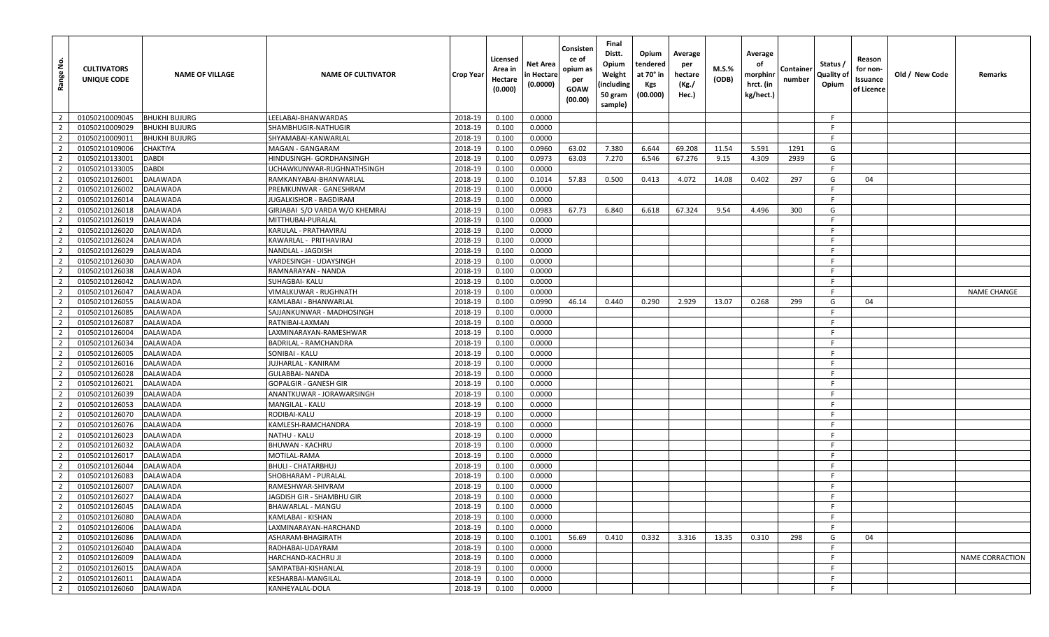| Range No.      | <b>CULTIVATORS</b><br>UNIQUE CODE | <b>NAME OF VILLAGE</b> | <b>NAME OF CULTIVATOR</b>        | Crop Year | Licensed<br>Area in<br>Hectare<br>(0.000) | Net Area<br>n Hectare<br>(0.0000) | Consisten<br>ce of<br>opium as<br>per<br><b>GOAW</b><br>(00.00) | Final<br>Distt.<br>Opium<br>Weight<br>(including<br>50 gram<br>sample) | Opium<br>tendered<br>at 70° in<br><b>Kgs</b><br>(00.000) | Average<br>per<br>hectare<br>(Kg./<br>Hec.) | M.S.%<br>(ODB) | Average<br>оf<br>morphinr<br>hrct. (in<br>kg/hect.) | Container<br>number | Status /<br>Quality of<br>Opium | Reason<br>for non-<br>Issuance<br>of Licence | Old / New Code | Remarks            |
|----------------|-----------------------------------|------------------------|----------------------------------|-----------|-------------------------------------------|-----------------------------------|-----------------------------------------------------------------|------------------------------------------------------------------------|----------------------------------------------------------|---------------------------------------------|----------------|-----------------------------------------------------|---------------------|---------------------------------|----------------------------------------------|----------------|--------------------|
| $\overline{2}$ | 01050210009045                    | <b>BHUKHI BUJURG</b>   | LEELABAI-BHANWARDAS              | 2018-19   | 0.100                                     | 0.0000                            |                                                                 |                                                                        |                                                          |                                             |                |                                                     |                     | -F                              |                                              |                |                    |
| $\overline{2}$ | 01050210009029                    | <b>BHUKHI BUJURG</b>   | SHAMBHUGIR-NATHUGIR              | 2018-19   | 0.100                                     | 0.0000                            |                                                                 |                                                                        |                                                          |                                             |                |                                                     |                     | -F                              |                                              |                |                    |
| $\overline{2}$ | 01050210009011                    | <b>BHUKHI BUJURG</b>   | SHYAMABAI-KANWARLAL              | 2018-19   | 0.100                                     | 0.0000                            |                                                                 |                                                                        |                                                          |                                             |                |                                                     |                     | -F                              |                                              |                |                    |
| 2              | 01050210109006                    | <b>CHAKTIYA</b>        | MAGAN - GANGARAM                 | 2018-19   | 0.100                                     | 0.0960                            | 63.02                                                           | 7.380                                                                  | 6.644                                                    | 69.208                                      | 11.54          | 5.591                                               | 1291                | G                               |                                              |                |                    |
| $\overline{2}$ | 01050210133001                    | <b>DABDI</b>           | HINDUSINGH- GORDHANSINGH         | 2018-19   | 0.100                                     | 0.0973                            | 63.03                                                           | 7.270                                                                  | 6.546                                                    | 67.276                                      | 9.15           | 4.309                                               | 2939                | G                               |                                              |                |                    |
| $\overline{2}$ | 01050210133005                    | <b>DABDI</b>           | JCHAWKUNWAR-RUGHNATHSINGH        | 2018-19   | 0.100                                     | 0.0000                            |                                                                 |                                                                        |                                                          |                                             |                |                                                     |                     | F.                              |                                              |                |                    |
| $\overline{2}$ | 01050210126001                    | <b>DALAWADA</b>        | RAMKANYABAI-BHANWARLAL           | 2018-19   | 0.100                                     | 0.1014                            | 57.83                                                           | 0.500                                                                  | 0.413                                                    | 4.072                                       | 14.08          | 0.402                                               | 297                 | G                               | 04                                           |                |                    |
| $\overline{2}$ | 01050210126002                    | <b>DALAWADA</b>        | PREMKUNWAR - GANESHRAM           | 2018-19   | 0.100                                     | 0.0000                            |                                                                 |                                                                        |                                                          |                                             |                |                                                     |                     | -F                              |                                              |                |                    |
| $\overline{2}$ | 01050210126014                    | <b>DALAWADA</b>        | IUGALKISHOR - BAGDIRAM           | 2018-19   | 0.100                                     | 0.0000                            |                                                                 |                                                                        |                                                          |                                             |                |                                                     |                     | F                               |                                              |                |                    |
| $\overline{2}$ | 01050210126018                    | <b>DALAWADA</b>        | GIRJABAI S/O VARDA W/O KHEMRAJ   | 2018-19   | 0.100                                     | 0.0983                            | 67.73                                                           | 6.840                                                                  | 6.618                                                    | 67.324                                      | 9.54           | 4.496                                               | 300                 | G                               |                                              |                |                    |
| 2              | 01050210126019                    | <b>DALAWADA</b>        | MITTHUBAI-PURALAL                | 2018-19   | 0.100                                     | 0.0000                            |                                                                 |                                                                        |                                                          |                                             |                |                                                     |                     | -F                              |                                              |                |                    |
| $\overline{2}$ | 01050210126020                    | <b>DALAWADA</b>        | KARULAL - PRATHAVIRAJ            | 2018-19   | 0.100                                     | 0.0000                            |                                                                 |                                                                        |                                                          |                                             |                |                                                     |                     | -F                              |                                              |                |                    |
| $\overline{2}$ | 01050210126024                    | <b>DALAWADA</b>        | KAWARLAL - PRITHAVIRAJ           | 2018-19   | 0.100                                     | 0.0000                            |                                                                 |                                                                        |                                                          |                                             |                |                                                     |                     | -F                              |                                              |                |                    |
| $\overline{2}$ | 01050210126029                    | <b>DALAWADA</b>        | NANDLAL - JAGDISH                | 2018-19   | 0.100                                     | 0.0000                            |                                                                 |                                                                        |                                                          |                                             |                |                                                     |                     | -F                              |                                              |                |                    |
| $\overline{2}$ | 01050210126030                    | <b>DALAWADA</b>        | VARDESINGH - UDAYSINGH           | 2018-19   | 0.100                                     | 0.0000                            |                                                                 |                                                                        |                                                          |                                             |                |                                                     |                     | -F                              |                                              |                |                    |
| $\overline{2}$ | 01050210126038                    | <b>DALAWADA</b>        | RAMNARAYAN - NANDA               | 2018-19   | 0.100                                     | 0.0000                            |                                                                 |                                                                        |                                                          |                                             |                |                                                     |                     |                                 |                                              |                |                    |
| $\overline{2}$ | 01050210126042                    | <b>DALAWADA</b>        | SUHAGBAI- KALU                   | 2018-19   | 0.100                                     | 0.0000                            |                                                                 |                                                                        |                                                          |                                             |                |                                                     |                     | -F                              |                                              |                |                    |
| $\overline{2}$ | 01050210126047                    | <b>DALAWADA</b>        | VIMALKUWAR - RUGHNATH            | 2018-19   | 0.100                                     | 0.0000                            |                                                                 |                                                                        |                                                          |                                             |                |                                                     |                     | -F                              |                                              |                | <b>NAME CHANGE</b> |
| $\overline{2}$ | 01050210126055                    | <b>DALAWADA</b>        | KAMLABAI - BHANWARLAL            | 2018-19   | 0.100                                     | 0.0990                            | 46.14                                                           | 0.440                                                                  | 0.290                                                    | 2.929                                       | 13.07          | 0.268                                               | 299                 | G                               | 04                                           |                |                    |
| $\overline{2}$ | 01050210126085                    | <b>DALAWADA</b>        | SAJJANKUNWAR - MADHOSINGH        | 2018-19   | 0.100                                     | 0.0000                            |                                                                 |                                                                        |                                                          |                                             |                |                                                     |                     |                                 |                                              |                |                    |
| $\overline{2}$ | 01050210126087                    | <b>DALAWADA</b>        | RATNIBAI-LAXMAN                  | 2018-19   | 0.100                                     | 0.0000                            |                                                                 |                                                                        |                                                          |                                             |                |                                                     |                     | -F                              |                                              |                |                    |
| $\overline{2}$ | 01050210126004                    | <b>DALAWADA</b>        | LAXMINARAYAN-RAMESHWAR           | 2018-19   | 0.100                                     | 0.0000                            |                                                                 |                                                                        |                                                          |                                             |                |                                                     |                     | -F                              |                                              |                |                    |
| $\overline{2}$ | 01050210126034                    | <b>DALAWADA</b>        | BADRILAL - RAMCHANDRA            | 2018-19   | 0.100                                     | 0.0000                            |                                                                 |                                                                        |                                                          |                                             |                |                                                     |                     | F                               |                                              |                |                    |
| $\overline{2}$ | 01050210126005                    | <b>DALAWADA</b>        | SONIBAI - KALU                   | 2018-19   | 0.100                                     | 0.0000                            |                                                                 |                                                                        |                                                          |                                             |                |                                                     |                     | - F                             |                                              |                |                    |
| $\overline{2}$ | 01050210126016                    | <b>DALAWADA</b>        | JUJHARLAL - KANIRAM              | 2018-19   | 0.100                                     | 0.0000                            |                                                                 |                                                                        |                                                          |                                             |                |                                                     |                     | -F                              |                                              |                |                    |
| $\overline{2}$ | 01050210126028                    | <b>DALAWADA</b>        | GULABBAI- NANDA                  | 2018-19   | 0.100                                     | 0.0000                            |                                                                 |                                                                        |                                                          |                                             |                |                                                     |                     | -F                              |                                              |                |                    |
| $\overline{2}$ | 01050210126021                    | <b>DALAWADA</b>        | GOPALGIR - GANESH GIR            | 2018-19   | 0.100                                     | 0.0000                            |                                                                 |                                                                        |                                                          |                                             |                |                                                     |                     | - F                             |                                              |                |                    |
| $\overline{2}$ | 01050210126039                    | <b>DALAWADA</b>        | ANANTKUWAR - JORAWARSINGH        | 2018-19   | 0.100                                     | 0.0000                            |                                                                 |                                                                        |                                                          |                                             |                |                                                     |                     | -F                              |                                              |                |                    |
| $\overline{2}$ | 01050210126053                    | <b>DALAWADA</b>        | MANGILAL - KALU                  | 2018-19   | 0.100                                     | 0.0000                            |                                                                 |                                                                        |                                                          |                                             |                |                                                     |                     | -F                              |                                              |                |                    |
| $\overline{2}$ | 01050210126070                    | <b>DALAWADA</b>        | RODIBAI-KALU                     | 2018-19   | 0.100                                     | 0.0000                            |                                                                 |                                                                        |                                                          |                                             |                |                                                     |                     | -F                              |                                              |                |                    |
| $\overline{2}$ | 01050210126076                    | <b>DALAWADA</b>        | KAMLESH-RAMCHANDRA               | 2018-19   | 0.100                                     | 0.0000                            |                                                                 |                                                                        |                                                          |                                             |                |                                                     |                     | -F                              |                                              |                |                    |
| $\overline{2}$ | 01050210126023                    | <b>DALAWADA</b>        | NATHU - KALU                     | 2018-19   | 0.100                                     | 0.0000                            |                                                                 |                                                                        |                                                          |                                             |                |                                                     |                     | -F                              |                                              |                |                    |
| $\overline{2}$ | 01050210126032                    | <b>DALAWADA</b>        | <b>BHUWAN - KACHRU</b>           | 2018-19   | 0.100                                     | 0.0000                            |                                                                 |                                                                        |                                                          |                                             |                |                                                     |                     | -F                              |                                              |                |                    |
| $\overline{2}$ | 01050210126017                    | <b>DALAWADA</b>        | MOTILAL-RAMA                     | 2018-19   | 0.100                                     | 0.0000                            |                                                                 |                                                                        |                                                          |                                             |                |                                                     |                     | F.                              |                                              |                |                    |
| 2              | 01050210126044                    | <b>DALAWADA</b>        | BHULI - CHATARBHUJ               | 2018-19   | 0.100                                     | 0.0000                            |                                                                 |                                                                        |                                                          |                                             |                |                                                     |                     | -F                              |                                              |                |                    |
| $\overline{2}$ | 01050210126083                    | <b>DALAWADA</b>        | SHOBHARAM - PURALAL              | 2018-19   | 0.100                                     | 0.0000                            |                                                                 |                                                                        |                                                          |                                             |                |                                                     |                     | -F                              |                                              |                |                    |
| $\overline{2}$ | 01050210126007                    | <b>DALAWADA</b>        | RAMESHWAR-SHIVRAM                | 2018-19   | 0.100                                     | 0.0000                            |                                                                 |                                                                        |                                                          |                                             |                |                                                     |                     | F                               |                                              |                |                    |
| $\overline{2}$ | 01050210126027                    | <b>DALAWADA</b>        | <b>JAGDISH GIR - SHAMBHU GIR</b> | 2018-19   | 0.100                                     | 0.0000                            |                                                                 |                                                                        |                                                          |                                             |                |                                                     |                     | F.                              |                                              |                |                    |
| $\overline{2}$ | 01050210126045                    | DALAWADA               | BHAWARLAL - MANGU                | 2018-19   | 0.100                                     | 0.0000                            |                                                                 |                                                                        |                                                          |                                             |                |                                                     |                     | -F                              |                                              |                |                    |
| $\overline{2}$ | 01050210126080                    | <b>DALAWADA</b>        | KAMLABAI - KISHAN                | 2018-19   | 0.100                                     | 0.0000                            |                                                                 |                                                                        |                                                          |                                             |                |                                                     |                     | F.                              |                                              |                |                    |
| $\overline{2}$ | 01050210126006                    | <b>DALAWADA</b>        | LAXMINARAYAN-HARCHAND            | 2018-19   | 0.100                                     | 0.0000                            |                                                                 |                                                                        |                                                          |                                             |                |                                                     |                     |                                 |                                              |                |                    |
| $\overline{2}$ | 01050210126086                    | <b>DALAWADA</b>        | ASHARAM-BHAGIRATH                | 2018-19   | 0.100                                     | 0.1001                            | 56.69                                                           | 0.410                                                                  | 0.332                                                    | 3.316                                       | 13.35          | 0.310                                               | 298                 | G                               | 04                                           |                |                    |
| $\overline{2}$ | 01050210126040                    | <b>DALAWADA</b>        | RADHABAI-UDAYRAM                 | 2018-19   | 0.100                                     | 0.0000                            |                                                                 |                                                                        |                                                          |                                             |                |                                                     |                     | -F                              |                                              |                |                    |
| $\overline{2}$ | 01050210126009                    | <b>DALAWADA</b>        | HARCHAND-KACHRU JI               | 2018-19   | 0.100                                     | 0.0000                            |                                                                 |                                                                        |                                                          |                                             |                |                                                     |                     | <b>F</b>                        |                                              |                | NAME CORRACTION    |
| $\overline{2}$ | 01050210126015                    | <b>DALAWADA</b>        | SAMPATBAI-KISHANLAL              | 2018-19   | 0.100                                     | 0.0000                            |                                                                 |                                                                        |                                                          |                                             |                |                                                     |                     | F.                              |                                              |                |                    |
| $\overline{2}$ | 01050210126011                    | <b>DALAWADA</b>        | KESHARBAI-MANGILAL               | 2018-19   | 0.100                                     | 0.0000                            |                                                                 |                                                                        |                                                          |                                             |                |                                                     |                     | F.                              |                                              |                |                    |
| $\overline{2}$ | 01050210126060                    | <b>DALAWADA</b>        | KANHEYALAL-DOLA                  | 2018-19   | 0.100                                     | 0.0000                            |                                                                 |                                                                        |                                                          |                                             |                |                                                     |                     | F                               |                                              |                |                    |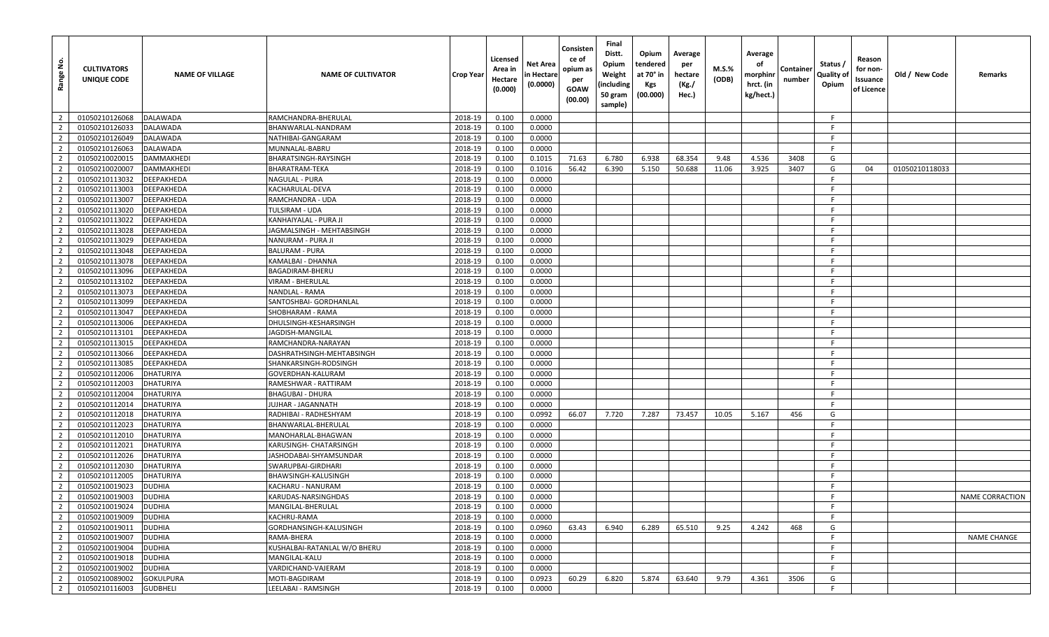| <u>ي</u><br>Range | <b>CULTIVATORS</b><br>UNIQUE CODE | <b>NAME OF VILLAGE</b> | <b>NAME OF CULTIVATOR</b>    | Crop Year | Licensed<br>Area in<br>Hectare<br>(0.000) | Net Area<br>n Hectare<br>(0.0000) | Consisten<br>ce of<br>opium as<br>per<br><b>GOAW</b><br>(00.00) | Final<br>Distt.<br>Opium<br>Weight<br>(including<br>50 gram<br>sample) | Opium<br>tendered<br>at 70° in<br>Kgs<br>(00.000) | Average<br>per<br>hectare<br>(Kg./<br>Hec.) | M.S.%<br>(ODB) | Average<br>оf<br>morphinr<br>hrct. (in<br>kg/hect.) | Containe<br>number | Status /<br>Quality of<br>Opium | Reason<br>for non-<br>Issuance<br>of Licence | Old / New Code | Remarks                |
|-------------------|-----------------------------------|------------------------|------------------------------|-----------|-------------------------------------------|-----------------------------------|-----------------------------------------------------------------|------------------------------------------------------------------------|---------------------------------------------------|---------------------------------------------|----------------|-----------------------------------------------------|--------------------|---------------------------------|----------------------------------------------|----------------|------------------------|
| $\overline{2}$    | 01050210126068                    | <b>DALAWADA</b>        | RAMCHANDRA-BHERULAL          | 2018-19   | 0.100                                     | 0.0000                            |                                                                 |                                                                        |                                                   |                                             |                |                                                     |                    | F                               |                                              |                |                        |
| $\overline{2}$    | 01050210126033                    | <b>DALAWADA</b>        | BHANWARLAL-NANDRAM           | 2018-19   | 0.100                                     | 0.0000                            |                                                                 |                                                                        |                                                   |                                             |                |                                                     |                    | -F                              |                                              |                |                        |
| $\overline{2}$    | 01050210126049                    | <b>DALAWADA</b>        | NATHIBAI-GANGARAM            | 2018-19   | 0.100                                     | 0.0000                            |                                                                 |                                                                        |                                                   |                                             |                |                                                     |                    | F.                              |                                              |                |                        |
| $\overline{2}$    | 01050210126063                    | <b>DALAWADA</b>        | MUNNALAL-BABRU               | 2018-19   | 0.100                                     | 0.0000                            |                                                                 |                                                                        |                                                   |                                             |                |                                                     |                    | -F                              |                                              |                |                        |
| $\overline{2}$    | 01050210020015                    | <b>DAMMAKHEDI</b>      | BHARATSINGH-RAYSINGH         | 2018-19   | 0.100                                     | 0.1015                            | 71.63                                                           | 6.780                                                                  | 6.938                                             | 68.354                                      | 9.48           | 4.536                                               | 3408               | G                               |                                              |                |                        |
| $\overline{2}$    | 01050210020007                    | DAMMAKHEDI             | BHARATRAM-TEKA               | 2018-19   | 0.100                                     | 0.1016                            | 56.42                                                           | 6.390                                                                  | 5.150                                             | 50.688                                      | 11.06          | 3.925                                               | 3407               | G                               | 04                                           | 01050210118033 |                        |
| $\overline{2}$    | 01050210113032                    | <b>DEEPAKHEDA</b>      | NAGULAL - PURA               | 2018-19   | 0.100                                     | 0.0000                            |                                                                 |                                                                        |                                                   |                                             |                |                                                     |                    | F.                              |                                              |                |                        |
| $\overline{2}$    | 01050210113003                    | <b>DEEPAKHEDA</b>      | KACHARULAL-DEVA              | 2018-19   | 0.100                                     | 0.0000                            |                                                                 |                                                                        |                                                   |                                             |                |                                                     |                    | -F                              |                                              |                |                        |
| $\overline{2}$    | 01050210113007                    | <b>DEEPAKHEDA</b>      | RAMCHANDRA - UDA             | 2018-19   | 0.100                                     | 0.0000                            |                                                                 |                                                                        |                                                   |                                             |                |                                                     |                    | -F                              |                                              |                |                        |
| $\overline{2}$    | 01050210113020                    | <b>DEEPAKHEDA</b>      | TULSIRAM - UDA               | 2018-19   | 0.100                                     | 0.0000                            |                                                                 |                                                                        |                                                   |                                             |                |                                                     |                    | F.                              |                                              |                |                        |
| $\overline{2}$    | 01050210113022                    | <b>DEEPAKHEDA</b>      | KANHAIYALAL - PURA JI        | 2018-19   | 0.100                                     | 0.0000                            |                                                                 |                                                                        |                                                   |                                             |                |                                                     |                    | -F                              |                                              |                |                        |
| $\overline{2}$    | 01050210113028                    | DEEPAKHEDA             | JAGMALSINGH - MEHTABSINGH    | 2018-19   | 0.100                                     | 0.0000                            |                                                                 |                                                                        |                                                   |                                             |                |                                                     |                    | -F.                             |                                              |                |                        |
| $\overline{2}$    | 01050210113029                    | <b>DEEPAKHEDA</b>      | NANURAM - PURA JI            | 2018-19   | 0.100                                     | 0.0000                            |                                                                 |                                                                        |                                                   |                                             |                |                                                     |                    | -F                              |                                              |                |                        |
| $\overline{2}$    | 01050210113048                    | <b>DEEPAKHEDA</b>      | BALURAM - PURA               | 2018-19   | 0.100                                     | 0.0000                            |                                                                 |                                                                        |                                                   |                                             |                |                                                     |                    | F.                              |                                              |                |                        |
| $\overline{2}$    | 01050210113078                    | <b>DEEPAKHEDA</b>      | KAMALBAI - DHANNA            | 2018-19   | 0.100                                     | 0.0000                            |                                                                 |                                                                        |                                                   |                                             |                |                                                     |                    | -F                              |                                              |                |                        |
| $\overline{2}$    | 01050210113096                    | <b>DEEPAKHEDA</b>      | BAGADIRAM-BHERU              | 2018-19   | 0.100                                     | 0.0000                            |                                                                 |                                                                        |                                                   |                                             |                |                                                     |                    | -F                              |                                              |                |                        |
| $\overline{2}$    | 01050210113102                    | <b>DEEPAKHEDA</b>      | VIRAM - BHERULAL             | 2018-19   | 0.100                                     | 0.0000                            |                                                                 |                                                                        |                                                   |                                             |                |                                                     |                    | -F                              |                                              |                |                        |
| $\overline{2}$    | 01050210113073                    | <b>DEEPAKHEDA</b>      | NANDLAL - RAMA               | 2018-19   | 0.100                                     | 0.0000                            |                                                                 |                                                                        |                                                   |                                             |                |                                                     |                    | -F                              |                                              |                |                        |
| $\overline{2}$    | 01050210113099                    | <b>DEEPAKHEDA</b>      | SANTOSHBAI- GORDHANLAL       | 2018-19   | 0.100                                     | 0.0000                            |                                                                 |                                                                        |                                                   |                                             |                |                                                     |                    | -F                              |                                              |                |                        |
| $\overline{2}$    | 01050210113047                    | <b>DEEPAKHEDA</b>      | SHOBHARAM - RAMA             | 2018-19   | 0.100                                     | 0.0000                            |                                                                 |                                                                        |                                                   |                                             |                |                                                     |                    | -F                              |                                              |                |                        |
| $\overline{2}$    | 01050210113006                    | <b>DEEPAKHEDA</b>      | DHULSINGH-KESHARSINGH        | 2018-19   | 0.100                                     | 0.0000                            |                                                                 |                                                                        |                                                   |                                             |                |                                                     |                    | F                               |                                              |                |                        |
| $\overline{2}$    | 01050210113101                    | <b>DEEPAKHEDA</b>      | JAGDISH-MANGILAL             | 2018-19   | 0.100                                     | 0.0000                            |                                                                 |                                                                        |                                                   |                                             |                |                                                     |                    | -F                              |                                              |                |                        |
| $\overline{2}$    | 01050210113015                    | <b>DEEPAKHEDA</b>      | RAMCHANDRA-NARAYAN           | 2018-19   | 0.100                                     | 0.0000                            |                                                                 |                                                                        |                                                   |                                             |                |                                                     |                    | -F.                             |                                              |                |                        |
| $\overline{2}$    | 01050210113066                    | <b>DEEPAKHEDA</b>      | DASHRATHSINGH-MEHTABSINGH    | 2018-19   | 0.100                                     | 0.0000                            |                                                                 |                                                                        |                                                   |                                             |                |                                                     |                    | -F                              |                                              |                |                        |
| $\overline{2}$    | 01050210113085                    | <b>DEEPAKHEDA</b>      | SHANKARSINGH-RODSINGH        | 2018-19   | 0.100                                     | 0.0000                            |                                                                 |                                                                        |                                                   |                                             |                |                                                     |                    | -F                              |                                              |                |                        |
| $\overline{2}$    | 01050210112006                    | <b>DHATURIYA</b>       | GOVERDHAN-KALURAM            | 2018-19   | 0.100                                     | 0.0000                            |                                                                 |                                                                        |                                                   |                                             |                |                                                     |                    | F.                              |                                              |                |                        |
| $\overline{2}$    | 01050210112003                    | <b>DHATURIYA</b>       | RAMESHWAR - RATTIRAM         | 2018-19   | 0.100                                     | 0.0000                            |                                                                 |                                                                        |                                                   |                                             |                |                                                     |                    | -F                              |                                              |                |                        |
| $\overline{2}$    | 01050210112004                    | <b>DHATURIYA</b>       | <b>BHAGUBAI - DHURA</b>      | 2018-19   | 0.100                                     | 0.0000                            |                                                                 |                                                                        |                                                   |                                             |                |                                                     |                    | F.                              |                                              |                |                        |
| $\overline{2}$    | 01050210112014                    | DHATURIYA              | JUJHAR - JAGANNATH           | 2018-19   | 0.100                                     | 0.0000                            |                                                                 |                                                                        |                                                   |                                             |                |                                                     |                    | -F                              |                                              |                |                        |
| $\overline{2}$    | 01050210112018                    | DHATURIYA              | RADHIBAI - RADHESHYAM        | 2018-19   | 0.100                                     | 0.0992                            | 66.07                                                           | 7.720                                                                  | 7.287                                             | 73.457                                      | 10.05          | 5.167                                               | 456                | G                               |                                              |                |                        |
| $\overline{2}$    | 01050210112023                    | <b>DHATURIYA</b>       | BHANWARLAL-BHERULAL          | 2018-19   | 0.100                                     | 0.0000                            |                                                                 |                                                                        |                                                   |                                             |                |                                                     |                    | -F                              |                                              |                |                        |
| $\overline{2}$    | 01050210112010                    | <b>DHATURIYA</b>       | MANOHARLAL-BHAGWAN           | 2018-19   | 0.100                                     | 0.0000                            |                                                                 |                                                                        |                                                   |                                             |                |                                                     |                    | -F.                             |                                              |                |                        |
| $\overline{2}$    | 01050210112021                    | DHATURIYA              | KARUSINGH- CHATARSINGH       | 2018-19   | 0.100                                     | 0.0000                            |                                                                 |                                                                        |                                                   |                                             |                |                                                     |                    | F.                              |                                              |                |                        |
| $\overline{2}$    | 01050210112026                    | <b>DHATURIYA</b>       | JASHODABAI-SHYAMSUNDAR       | 2018-19   | 0.100                                     | 0.0000                            |                                                                 |                                                                        |                                                   |                                             |                |                                                     |                    | F.                              |                                              |                |                        |
| $\overline{2}$    | 01050210112030                    | <b>DHATURIYA</b>       | SWARUPBAI-GIRDHARI           | 2018-19   | 0.100                                     | 0.0000                            |                                                                 |                                                                        |                                                   |                                             |                |                                                     |                    | F.                              |                                              |                |                        |
| $\overline{2}$    | 01050210112005                    | <b>DHATURIYA</b>       | BHAWSINGH-KALUSINGH          | 2018-19   | 0.100                                     | 0.0000                            |                                                                 |                                                                        |                                                   |                                             |                |                                                     |                    | -F                              |                                              |                |                        |
| $\overline{2}$    | 01050210019023                    | <b>DUDHIA</b>          | KACHARU - NANURAM            | 2018-19   | 0.100                                     | 0.0000                            |                                                                 |                                                                        |                                                   |                                             |                |                                                     |                    | -F                              |                                              |                |                        |
| $\overline{2}$    | 01050210019003                    | <b>DUDHIA</b>          | KARUDAS-NARSINGHDAS          | 2018-19   | 0.100                                     | 0.0000                            |                                                                 |                                                                        |                                                   |                                             |                |                                                     |                    | -F.                             |                                              |                | <b>NAME CORRACTION</b> |
| $\overline{2}$    | 01050210019024                    | <b>DUDHIA</b>          | MANGILAL-BHERULAL            | 2018-19   | 0.100                                     | 0.0000                            |                                                                 |                                                                        |                                                   |                                             |                |                                                     |                    | -F                              |                                              |                |                        |
| $\overline{2}$    | 01050210019009                    | <b>DUDHIA</b>          | KACHRU-RAMA                  | 2018-19   | 0.100                                     | 0.0000                            |                                                                 |                                                                        |                                                   |                                             |                |                                                     |                    | F.                              |                                              |                |                        |
| $\overline{2}$    | 01050210019011                    | <b>DUDHIA</b>          | GORDHANSINGH-KALUSINGH       | 2018-19   | 0.100                                     | 0.0960                            | 63.43                                                           | 6.940                                                                  | 6.289                                             | 65.510                                      | 9.25           | 4.242                                               | 468                | G                               |                                              |                |                        |
| $\overline{2}$    | 01050210019007                    | <b>DUDHIA</b>          | RAMA-BHERA                   | 2018-19   | 0.100                                     | 0.0000                            |                                                                 |                                                                        |                                                   |                                             |                |                                                     |                    | F.                              |                                              |                | <b>NAME CHANGE</b>     |
| $\overline{2}$    | 01050210019004                    | <b>DUDHIA</b>          | KUSHALBAI-RATANLAL W/O BHERU | 2018-19   | 0.100                                     | 0.0000                            |                                                                 |                                                                        |                                                   |                                             |                |                                                     |                    | F                               |                                              |                |                        |
| $\overline{2}$    | 01050210019018                    | <b>DUDHIA</b>          | MANGILAL-KALU                | 2018-19   | 0.100                                     | 0.0000                            |                                                                 |                                                                        |                                                   |                                             |                |                                                     |                    | F.                              |                                              |                |                        |
| $\overline{2}$    | 01050210019002                    | <b>DUDHIA</b>          | VARDICHAND-VAJERAM           | 2018-19   | 0.100                                     | 0.0000                            |                                                                 |                                                                        |                                                   |                                             |                |                                                     |                    | F.                              |                                              |                |                        |
| $\overline{2}$    | 01050210089002                    | <b>GOKULPURA</b>       | MOTI-BAGDIRAM                | 2018-19   | 0.100                                     | 0.0923                            | 60.29                                                           | 6.820                                                                  | 5.874                                             | 63.640                                      | 9.79           | 4.361                                               | 3506               | G                               |                                              |                |                        |
| $\overline{2}$    | 01050210116003                    | <b>GUDBHELI</b>        | LEELABAI - RAMSINGH          | 2018-19   | 0.100                                     | 0.0000                            |                                                                 |                                                                        |                                                   |                                             |                |                                                     |                    | F                               |                                              |                |                        |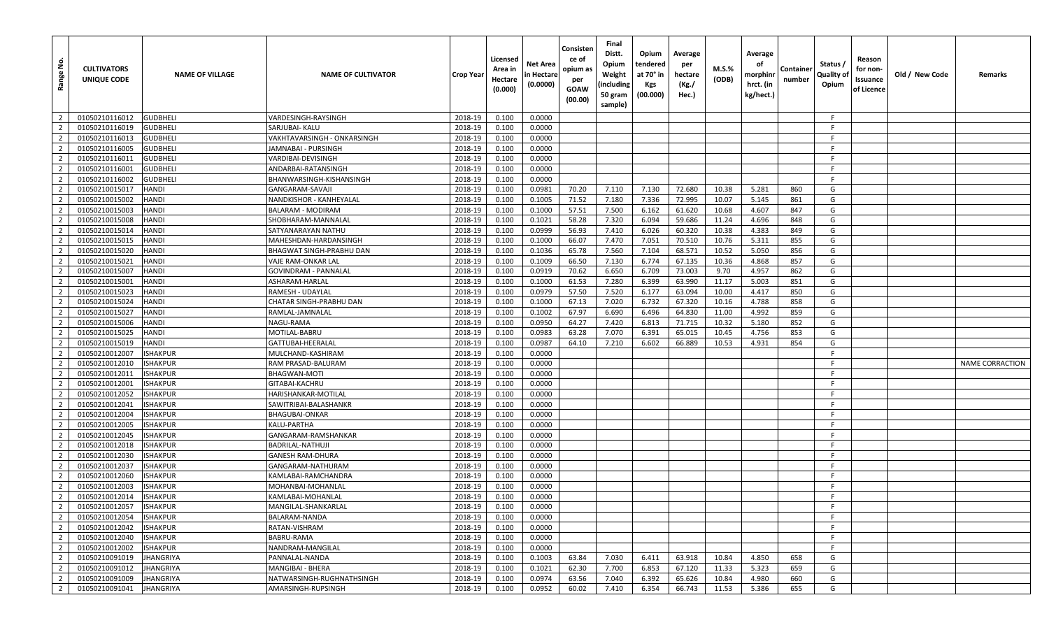| <u>غ</u><br>Range | <b>CULTIVATORS</b><br>UNIQUE CODE | <b>NAME OF VILLAGE</b> | <b>NAME OF CULTIVATOR</b>   | Crop Year | Licensed<br>Area in<br>Hectare<br>(0.000) | Net Area<br>n Hectare<br>(0.0000) | Consisten<br>ce of<br>opium as<br>per<br><b>GOAW</b><br>(00.00) | Final<br>Distt.<br>Opium<br>Weight<br>(including<br>50 gram<br>sample) | Opium<br>tendered<br>at 70° in<br>Kgs<br>(00.000) | Average<br>per<br>hectare<br>(Kg./<br>Hec.) | M.S.%<br>(ODB) | Average<br>оf<br>morphinr<br>hrct. (in<br>kg/hect.) | Containe<br>number | Status /<br>Quality of<br>Opium | Reason<br>for non-<br>Issuance<br>of Licence | Old / New Code | Remarks         |
|-------------------|-----------------------------------|------------------------|-----------------------------|-----------|-------------------------------------------|-----------------------------------|-----------------------------------------------------------------|------------------------------------------------------------------------|---------------------------------------------------|---------------------------------------------|----------------|-----------------------------------------------------|--------------------|---------------------------------|----------------------------------------------|----------------|-----------------|
| $\overline{2}$    | 01050210116012                    | <b>GUDBHELI</b>        | VARDESINGH-RAYSINGH         | 2018-19   | 0.100                                     | 0.0000                            |                                                                 |                                                                        |                                                   |                                             |                |                                                     |                    | E                               |                                              |                |                 |
| $\overline{2}$    | 01050210116019                    | <b>GUDBHELI</b>        | SARJUBAI- KALU              | 2018-19   | 0.100                                     | 0.0000                            |                                                                 |                                                                        |                                                   |                                             |                |                                                     |                    | F                               |                                              |                |                 |
| $\overline{2}$    | 01050210116013                    | <b>GUDBHELI</b>        | VAKHTAVARSINGH - ONKARSINGH | 2018-19   | 0.100                                     | 0.0000                            |                                                                 |                                                                        |                                                   |                                             |                |                                                     |                    | -F                              |                                              |                |                 |
| $\overline{2}$    | 01050210116005                    | <b>GUDBHELI</b>        | JAMNABAI - PURSINGH         | 2018-19   | 0.100                                     | 0.0000                            |                                                                 |                                                                        |                                                   |                                             |                |                                                     |                    | -F                              |                                              |                |                 |
| $\overline{2}$    | 01050210116011                    | <b>GUDBHELI</b>        | VARDIBAI-DEVISINGH          | 2018-19   | 0.100                                     | 0.0000                            |                                                                 |                                                                        |                                                   |                                             |                |                                                     |                    |                                 |                                              |                |                 |
| $\overline{2}$    | 01050210116001                    | <b>GUDBHELI</b>        | ANDARBAI-RATANSINGH         | 2018-19   | 0.100                                     | 0.0000                            |                                                                 |                                                                        |                                                   |                                             |                |                                                     |                    | F                               |                                              |                |                 |
| $\overline{2}$    | 01050210116002                    | <b>GUDBHELI</b>        | BHANWARSINGH-KISHANSINGH    | 2018-19   | 0.100                                     | 0.0000                            |                                                                 |                                                                        |                                                   |                                             |                |                                                     |                    | -F                              |                                              |                |                 |
| $\overline{2}$    | 01050210015017                    | <b>HANDI</b>           | GANGARAM-SAVAJI             | 2018-19   | 0.100                                     | 0.0981                            | 70.20                                                           | 7.110                                                                  | 7.130                                             | 72.680                                      | 10.38          | 5.281                                               | 860                | G                               |                                              |                |                 |
| $\overline{2}$    | 01050210015002                    | <b>HANDI</b>           | NANDKISHOR - KANHEYALAL     | 2018-19   | 0.100                                     | 0.1005                            | 71.52                                                           | 7.180                                                                  | 7.336                                             | 72.995                                      | 10.07          | 5.145                                               | 861                | G                               |                                              |                |                 |
| $\overline{2}$    | 01050210015003                    | <b>HANDI</b>           | BALARAM - MODIRAM           | 2018-19   | 0.100                                     | 0.1000                            | 57.51                                                           | 7.500                                                                  | 6.162                                             | 61.620                                      | 10.68          | 4.607                                               | 847                | G                               |                                              |                |                 |
| $\overline{2}$    | 01050210015008                    | <b>HANDI</b>           | SHOBHARAM-MANNALAL          | 2018-19   | 0.100                                     | 0.1021                            | 58.28                                                           | 7.320                                                                  | 6.094                                             | 59.686                                      | 11.24          | 4.696                                               | 848                | G                               |                                              |                |                 |
| $\overline{2}$    | 01050210015014                    | <b>HANDI</b>           | SATYANARAYAN NATHU          | 2018-19   | 0.100                                     | 0.0999                            | 56.93                                                           | 7.410                                                                  | 6.026                                             | 60.320                                      | 10.38          | 4.383                                               | 849                | G                               |                                              |                |                 |
| $\overline{2}$    | 01050210015015                    | <b>HANDI</b>           | MAHESHDAN-HARDANSINGH       | 2018-19   | 0.100                                     | 0.1000                            | 66.07                                                           | 7.470                                                                  | 7.051                                             | 70.510                                      | 10.76          | 5.311                                               | 855                | G                               |                                              |                |                 |
| $\overline{2}$    | 01050210015020                    | <b>HANDI</b>           | BHAGWAT SINGH-PRABHU DAN    | 2018-19   | 0.100                                     | 0.1036                            | 65.78                                                           | 7.560                                                                  | 7.104                                             | 68.571                                      | 10.52          | 5.050                                               | 856                | G                               |                                              |                |                 |
| $\overline{2}$    | 01050210015021                    | <b>HANDI</b>           | VAJE RAM-ONKAR LAL          | 2018-19   | 0.100                                     | 0.1009                            | 66.50                                                           | 7.130                                                                  | 6.774                                             | 67.135                                      | 10.36          | 4.868                                               | 857                | G                               |                                              |                |                 |
| $\overline{2}$    | 01050210015007                    | <b>HANDI</b>           | GOVINDRAM - PANNALAL        | 2018-19   | 0.100                                     | 0.0919                            | 70.62                                                           | 6.650                                                                  | 6.709                                             | 73.003                                      | 9.70           | 4.957                                               | 862                | G                               |                                              |                |                 |
| $\overline{2}$    | 01050210015001                    | <b>HANDI</b>           | ASHARAM-HARLAL              | 2018-19   | 0.100                                     | 0.1000                            | 61.53                                                           | 7.280                                                                  | 6.399                                             | 63.990                                      | 11.17          | 5.003                                               | 851                | G                               |                                              |                |                 |
| $\overline{2}$    | 01050210015023                    | <b>HANDI</b>           | RAMESH - UDAYLAL            | 2018-19   | 0.100                                     | 0.0979                            | 57.50                                                           | 7.520                                                                  | 6.177                                             | 63.094                                      | 10.00          | 4.417                                               | 850                | G                               |                                              |                |                 |
| $\overline{2}$    | 01050210015024                    | <b>HANDI</b>           | CHATAR SINGH-PRABHU DAN     | 2018-19   | 0.100                                     | 0.1000                            | 67.13                                                           | 7.020                                                                  | 6.732                                             | 67.320                                      | 10.16          | 4.788                                               | 858                | G                               |                                              |                |                 |
| $\overline{2}$    | 01050210015027                    | <b>HANDI</b>           | RAMLAL-JAMNALAL             | 2018-19   | 0.100                                     | 0.1002                            | 67.97                                                           | 6.690                                                                  | 6.496                                             | 64.830                                      | 11.00          | 4.992                                               | 859                | G                               |                                              |                |                 |
| $\overline{2}$    | 01050210015006                    | <b>HANDI</b>           | NAGU-RAMA                   | 2018-19   | 0.100                                     | 0.0950                            | 64.27                                                           | 7.420                                                                  | 6.813                                             | 71.715                                      | 10.32          | 5.180                                               | 852                | G                               |                                              |                |                 |
| $\overline{2}$    | 01050210015025                    | <b>HANDI</b>           | MOTILAL-BABRU               | 2018-19   | 0.100                                     | 0.0983                            | 63.28                                                           | 7.070                                                                  | 6.391                                             | 65.015                                      | 10.45          | 4.756                                               | 853                | G                               |                                              |                |                 |
| $\overline{2}$    | 01050210015019                    | <b>HANDI</b>           | GATTUBAI-HEERALAL           | 2018-19   | 0.100                                     | 0.0987                            | 64.10                                                           | 7.210                                                                  | 6.602                                             | 66.889                                      | 10.53          | 4.931                                               | 854                | G                               |                                              |                |                 |
| $\overline{2}$    | 01050210012007                    | <b>ISHAKPUR</b>        | MULCHAND-KASHIRAM           | 2018-19   | 0.100                                     | 0.0000                            |                                                                 |                                                                        |                                                   |                                             |                |                                                     |                    | E                               |                                              |                |                 |
| $\overline{2}$    | 01050210012010                    | <b>ISHAKPUR</b>        | RAM PRASAD-BALURAM          | 2018-19   | 0.100                                     | 0.0000                            |                                                                 |                                                                        |                                                   |                                             |                |                                                     |                    | F                               |                                              |                | NAME CORRACTION |
| $\overline{2}$    | 01050210012011                    | <b>ISHAKPUR</b>        | <b>BHAGWAN-MOTI</b>         | 2018-19   | 0.100                                     | 0.0000                            |                                                                 |                                                                        |                                                   |                                             |                |                                                     |                    | F                               |                                              |                |                 |
| $\overline{2}$    | 01050210012001                    | <b>ISHAKPUR</b>        | GITABAI-KACHRU              | 2018-19   | 0.100                                     | 0.0000                            |                                                                 |                                                                        |                                                   |                                             |                |                                                     |                    | F                               |                                              |                |                 |
| $\overline{2}$    | 01050210012052                    | <b>ISHAKPUR</b>        | HARISHANKAR-MOTILAL         | 2018-19   | 0.100                                     | 0.0000                            |                                                                 |                                                                        |                                                   |                                             |                |                                                     |                    | -F                              |                                              |                |                 |
| $\overline{2}$    | 01050210012041                    | <b>ISHAKPUR</b>        | SAWITRIBAI-BALASHANKR       | 2018-19   | 0.100                                     | 0.0000                            |                                                                 |                                                                        |                                                   |                                             |                |                                                     |                    | -F                              |                                              |                |                 |
| $\overline{2}$    | 01050210012004                    | <b>ISHAKPUR</b>        | <b>BHAGUBAI-ONKAR</b>       | 2018-19   | 0.100                                     | 0.0000                            |                                                                 |                                                                        |                                                   |                                             |                |                                                     |                    | F                               |                                              |                |                 |
| $\overline{2}$    | 01050210012005                    | <b>ISHAKPUR</b>        | KALU-PARTHA                 | 2018-19   | 0.100                                     | 0.0000                            |                                                                 |                                                                        |                                                   |                                             |                |                                                     |                    | F                               |                                              |                |                 |
| $\overline{2}$    | 01050210012045                    | <b>ISHAKPUR</b>        | GANGARAM-RAMSHANKAR         | 2018-19   | 0.100                                     | 0.0000                            |                                                                 |                                                                        |                                                   |                                             |                |                                                     |                    | -F                              |                                              |                |                 |
| $\overline{2}$    | 01050210012018                    | <b>ISHAKPUR</b>        | <b>BADRILAL-NATHUJI</b>     | 2018-19   | 0.100                                     | 0.0000                            |                                                                 |                                                                        |                                                   |                                             |                |                                                     |                    | E                               |                                              |                |                 |
| $\overline{2}$    | 01050210012030                    | <b>ISHAKPUR</b>        | <b>GANESH RAM-DHURA</b>     | 2018-19   | 0.100                                     | 0.0000                            |                                                                 |                                                                        |                                                   |                                             |                |                                                     |                    | F                               |                                              |                |                 |
| $\overline{2}$    | 01050210012037                    | <b>ISHAKPUR</b>        | GANGARAM-NATHURAM           | 2018-19   | 0.100                                     | 0.0000                            |                                                                 |                                                                        |                                                   |                                             |                |                                                     |                    | -F                              |                                              |                |                 |
| $\overline{2}$    | 01050210012060                    | <b>ISHAKPUR</b>        | KAMLABAI-RAMCHANDRA         | 2018-19   | 0.100                                     | 0.0000                            |                                                                 |                                                                        |                                                   |                                             |                |                                                     |                    | -F                              |                                              |                |                 |
| $\overline{2}$    | 01050210012003                    | <b>ISHAKPUR</b>        | MOHANBAI-MOHANLAL           | 2018-19   | 0.100                                     | 0.0000                            |                                                                 |                                                                        |                                                   |                                             |                |                                                     |                    |                                 |                                              |                |                 |
| $\overline{2}$    | 01050210012014                    | <b>ISHAKPUR</b>        | KAMLABAI-MOHANLAL           | 2018-19   | 0.100                                     | 0.0000                            |                                                                 |                                                                        |                                                   |                                             |                |                                                     |                    | Е                               |                                              |                |                 |
| $\overline{2}$    | 01050210012057                    | <b>ISHAKPUR</b>        | MANGILAL-SHANKARLAL         | 2018-19   | 0.100                                     | 0.0000                            |                                                                 |                                                                        |                                                   |                                             |                |                                                     |                    | -F                              |                                              |                |                 |
| $\overline{2}$    | 01050210012054                    | <b>ISHAKPUR</b>        | BALARAM-NANDA               | 2018-19   | 0.100                                     | 0.0000                            |                                                                 |                                                                        |                                                   |                                             |                |                                                     |                    | F.                              |                                              |                |                 |
| $\overline{2}$    | 01050210012042                    | <b>ISHAKPUR</b>        | RATAN-VISHRAM               | 2018-19   | 0.100                                     | 0.0000                            |                                                                 |                                                                        |                                                   |                                             |                |                                                     |                    |                                 |                                              |                |                 |
| $\overline{2}$    | 01050210012040                    | <b>ISHAKPUR</b>        | BABRU-RAMA                  | 2018-19   | 0.100                                     | 0.0000                            |                                                                 |                                                                        |                                                   |                                             |                |                                                     |                    | F.                              |                                              |                |                 |
| $\overline{2}$    | 01050210012002                    | <b>ISHAKPUR</b>        | NANDRAM-MANGILAL            | 2018-19   | 0.100                                     | 0.0000                            |                                                                 |                                                                        |                                                   |                                             |                |                                                     |                    | -F                              |                                              |                |                 |
| $\overline{2}$    | 01050210091019                    | <b>JHANGRIYA</b>       | PANNALAL-NANDA              | 2018-19   | 0.100                                     | 0.1003                            | 63.84                                                           | 7.030                                                                  | 6.411                                             | 63.918                                      | 10.84          | 4.850                                               | 658                | G                               |                                              |                |                 |
| $\overline{2}$    | 01050210091012                    | <b>JHANGRIYA</b>       | MANGIBAI - BHERA            | 2018-19   | 0.100                                     | 0.1021                            | 62.30                                                           | 7.700                                                                  | 6.853                                             | 67.120                                      | 11.33          | 5.323                                               | 659                | G                               |                                              |                |                 |
| $\overline{2}$    | 01050210091009                    | <b>JHANGRIYA</b>       | NATWARSINGH-RUGHNATHSINGH   | 2018-19   | 0.100                                     | 0.0974                            | 63.56                                                           | 7.040                                                                  | 6.392                                             | 65.626                                      | 10.84          | 4.980                                               | 660                | G                               |                                              |                |                 |
| $\overline{2}$    | 01050210091041                    | <b>JHANGRIYA</b>       | AMARSINGH-RUPSINGH          | 2018-19   | 0.100                                     | 0.0952                            | 60.02                                                           | 7.410                                                                  | 6.354                                             | 66.743                                      | 11.53          | 5.386                                               | 655                | G                               |                                              |                |                 |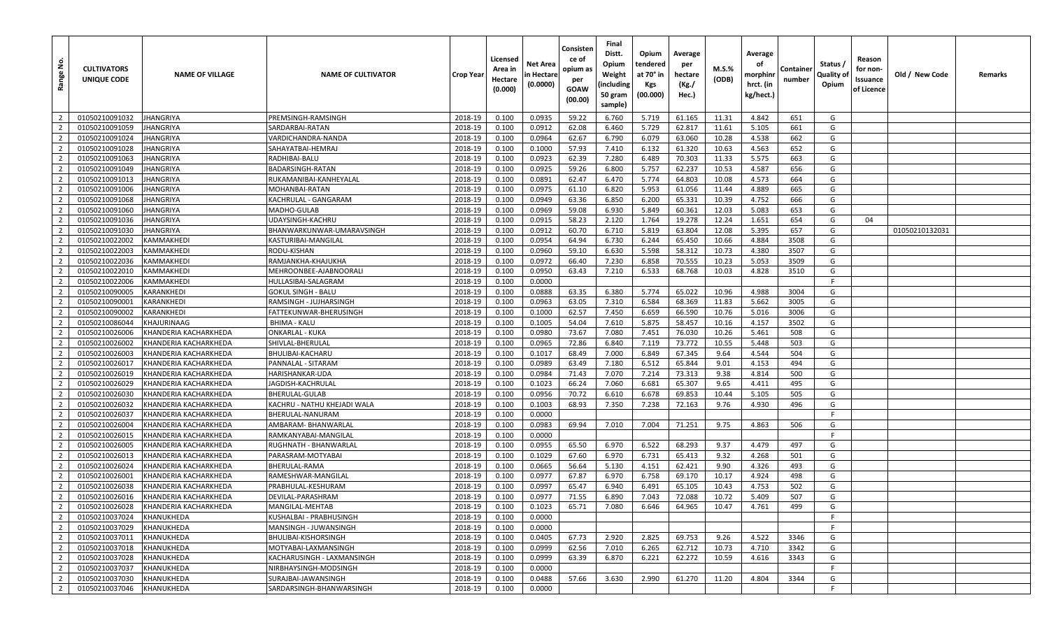| å<br>Range     | <b>CULTIVATORS</b><br>UNIQUE CODE | <b>NAME OF VILLAGE</b> | <b>NAME OF CULTIVATOR</b>   | Crop Year | Licensed<br>Area in<br>Hectare<br>(0.000) | Net Area<br>n Hectare<br>(0.0000) | Consisten<br>ce of<br>opium as<br>per<br><b>GOAW</b><br>(00.00) | Final<br>Distt.<br>Opium<br>Weight<br>(including<br>50 gram<br>sample) | Opium<br>tendered<br>at 70° in<br>Kgs<br>(00.000) | Average<br>per<br>hectare<br>(Kg./<br>Hec.) | $M.S.\%$<br>(ODB) | Average<br>οf<br>morphinn<br>hrct. (in<br>kg/hect.) | Container<br>number | Status /<br>Quality of<br>Opium | Reason<br>for non-<br>Issuance<br>of Licence | Old / New Code | Remarks |
|----------------|-----------------------------------|------------------------|-----------------------------|-----------|-------------------------------------------|-----------------------------------|-----------------------------------------------------------------|------------------------------------------------------------------------|---------------------------------------------------|---------------------------------------------|-------------------|-----------------------------------------------------|---------------------|---------------------------------|----------------------------------------------|----------------|---------|
| $\overline{2}$ | 01050210091032                    | <b>JHANGRIYA</b>       | PREMSINGH-RAMSINGH          | 2018-19   | 0.100                                     | 0.0935                            | 59.22                                                           | 6.760                                                                  | 5.719                                             | 61.165                                      | 11.31             | 4.842                                               | 651                 | G                               |                                              |                |         |
| $\overline{2}$ | 01050210091059                    | JHANGRIYA              | SARDARBAI-RATAN             | 2018-19   | 0.100                                     | 0.0912                            | 62.08                                                           | 6.460                                                                  | 5.729                                             | 62.817                                      | 11.61             | 5.105                                               | 661                 | G                               |                                              |                |         |
| $\overline{2}$ | 01050210091024                    | <b>JHANGRIYA</b>       | VARDICHANDRA-NANDA          | 2018-19   | 0.100                                     | 0.0964                            | 62.67                                                           | 6.790                                                                  | 6.079                                             | 63.060                                      | 10.28             | 4.538                                               | 662                 | G                               |                                              |                |         |
| 2              | 01050210091028                    | <b>JHANGRIYA</b>       | SAHAYATBAI-HEMRAJ           | 2018-19   | 0.100                                     | 0.1000                            | 57.93                                                           | 7.410                                                                  | 6.132                                             | 61.320                                      | 10.63             | 4.563                                               | 652                 | G                               |                                              |                |         |
| $\overline{2}$ | 01050210091063                    | <b>JHANGRIYA</b>       | RADHIBAI-BALU               | 2018-19   | 0.100                                     | 0.0923                            | 62.39                                                           | 7.280                                                                  | 6.489                                             | 70.303                                      | 11.33             | 5.575                                               | 663                 | G                               |                                              |                |         |
| $\overline{2}$ | 01050210091049                    | <b>JHANGRIYA</b>       | BADARSINGH-RATAN            | 2018-19   | 0.100                                     | 0.0925                            | 59.26                                                           | 6.800                                                                  | 5.757                                             | 62.237                                      | 10.53             | 4.587                                               | 656                 | G                               |                                              |                |         |
| $\overline{2}$ | 01050210091013                    | <b>JHANGRIYA</b>       | RUKAMANIBAI-KANHEYALAL      | 2018-19   | 0.100                                     | 0.0891                            | 62.47                                                           | 6.470                                                                  | 5.774                                             | 64.803                                      | 10.08             | 4.573                                               | 664                 | G                               |                                              |                |         |
| $\overline{2}$ | 01050210091006                    | <b>JHANGRIYA</b>       | MOHANBAI-RATAN              | 2018-19   | 0.100                                     | 0.0975                            | 61.10                                                           | 6.820                                                                  | 5.953                                             | 61.056                                      | 11.44             | 4.889                                               | 665                 | G                               |                                              |                |         |
| $\overline{2}$ | 01050210091068                    | <b>JHANGRIYA</b>       | KACHRULAL - GANGARAM        | 2018-19   | 0.100                                     | 0.0949                            | 63.36                                                           | 6.850                                                                  | 6.200                                             | 65.331                                      | 10.39             | 4.752                                               | 666                 | G                               |                                              |                |         |
| $\overline{2}$ | 01050210091060                    | <b>JHANGRIYA</b>       | MADHO-GULAB                 | 2018-19   | 0.100                                     | 0.0969                            | 59.08                                                           | 6.930                                                                  | 5.849                                             | 60.361                                      | 12.03             | 5.083                                               | 653                 | G                               |                                              |                |         |
| $\overline{2}$ | 01050210091036                    | <b>JHANGRIYA</b>       | UDAYSINGH-KACHRU            | 2018-19   | 0.100                                     | 0.0915                            | 58.23                                                           | 2.120                                                                  | 1.764                                             | 19.278                                      | 12.24             | 1.651                                               | 654                 | G                               | 04                                           |                |         |
| $\overline{2}$ | 01050210091030                    | <b>JHANGRIYA</b>       | BHANWARKUNWAR-UMARAVSINGH   | 2018-19   | 0.100                                     | 0.0912                            | 60.70                                                           | 6.710                                                                  | 5.819                                             | 63.804                                      | 12.08             | 5.395                                               | 657                 | G                               |                                              | 01050210132031 |         |
| $\overline{2}$ | 01050210022002                    | <b>KAMMAKHEDI</b>      | KASTURIBAI-MANGILAL         | 2018-19   | 0.100                                     | 0.0954                            | 64.94                                                           | 6.730                                                                  | 6.244                                             | 65.450                                      | 10.66             | 4.884                                               | 3508                | G                               |                                              |                |         |
| $\overline{2}$ | 01050210022003                    | <b>KAMMAKHEDI</b>      | RODU-KISHAN                 | 2018-19   | 0.100                                     | 0.0960                            | 59.10                                                           | 6.630                                                                  | 5.598                                             | 58.312                                      | 10.73             | 4.380                                               | 3507                | G                               |                                              |                |         |
| $\overline{2}$ | 01050210022036                    | <b>KAMMAKHEDI</b>      | RAMJANKHA-KHAJUKHA          | 2018-19   | 0.100                                     | 0.0972                            | 66.40                                                           | 7.230                                                                  | 6.858                                             | 70.555                                      | 10.23             | 5.053                                               | 3509                | G                               |                                              |                |         |
| $\overline{2}$ | 01050210022010                    | <b>KAMMAKHEDI</b>      | MEHROONBEE-AJABNOORALI      | 2018-19   | 0.100                                     | 0.0950                            | 63.43                                                           | 7.210                                                                  | 6.533                                             | 68.768                                      | 10.03             | 4.828                                               | 3510                | G                               |                                              |                |         |
| $\overline{2}$ | 01050210022006                    | <b>KAMMAKHEDI</b>      | HULLASIBAI-SALAGRAM         | 2018-19   | 0.100                                     | 0.0000                            |                                                                 |                                                                        |                                                   |                                             |                   |                                                     |                     | F.                              |                                              |                |         |
| $\overline{2}$ | 01050210090005                    | <b>KARANKHEDI</b>      | GOKUL SINGH - BALU          | 2018-19   | 0.100                                     | 0.0888                            | 63.35                                                           | 6.380                                                                  | 5.774                                             | 65.022                                      | 10.96             | 4.988                                               | 3004                | G                               |                                              |                |         |
| $\overline{2}$ | 01050210090001                    | <b>KARANKHEDI</b>      | RAMSINGH - JUJHARSINGH      | 2018-19   | 0.100                                     | 0.0963                            | 63.05                                                           | 7.310                                                                  | 6.584                                             | 68.369                                      | 11.83             | 5.662                                               | 3005                | G                               |                                              |                |         |
| $\overline{2}$ | 01050210090002                    | <b>KARANKHEDI</b>      | FATTEKUNWAR-BHERUSINGH      | 2018-19   | 0.100                                     | 0.1000                            | 62.57                                                           | 7.450                                                                  | 6.659                                             | 66.590                                      | 10.76             | 5.016                                               | 3006                | G                               |                                              |                |         |
| $\overline{2}$ | 01050210086044                    | KHAJURINAAG            | <b>BHIMA - KALU</b>         | 2018-19   | 0.100                                     | 0.1005                            | 54.04                                                           | 7.610                                                                  | 5.875                                             | 58.457                                      | 10.16             | 4.157                                               | 3502                | G                               |                                              |                |         |
| $\overline{2}$ | 01050210026006                    | KHANDERIA KACHARKHEDA  | <b>ONKARLAL - KUKA</b>      | 2018-19   | 0.100                                     | 0.0980                            | 73.67                                                           | 7.080                                                                  | 7.451                                             | 76.030                                      | 10.26             | 5.461                                               | 508                 | G                               |                                              |                |         |
| $\overline{2}$ | 01050210026002                    | KHANDERIA KACHARKHEDA  | SHIVLAL-BHERULAL            | 2018-19   | 0.100                                     | 0.0965                            | 72.86                                                           | 6.840                                                                  | 7.119                                             | 73.772                                      | 10.55             | 5.448                                               | 503                 | G                               |                                              |                |         |
| $\overline{2}$ | 01050210026003                    | KHANDERIA KACHARKHEDA  | BHULIBAI-KACHARU            | 2018-19   | 0.100                                     | 0.1017                            | 68.49                                                           | 7.000                                                                  | 6.849                                             | 67.345                                      | 9.64              | 4.544                                               | 504                 | G                               |                                              |                |         |
| $\overline{2}$ | 01050210026017                    | KHANDERIA KACHARKHEDA  | PANNALAL - SITARAM          | 2018-19   | 0.100                                     | 0.0989                            | 63.49                                                           | 7.180                                                                  | 6.512                                             | 65.844                                      | 9.01              | 4.153                                               | 494                 | G                               |                                              |                |         |
| $\overline{2}$ | 01050210026019                    | KHANDERIA KACHARKHEDA  | HARISHANKAR-UDA             | 2018-19   | 0.100                                     | 0.0984                            | 71.43                                                           | 7.070                                                                  | 7.214                                             | 73.313                                      | 9.38              | 4.814                                               | 500                 | G                               |                                              |                |         |
| $\overline{2}$ | 01050210026029                    | KHANDERIA KACHARKHEDA  | IAGDISH-KACHRULAL           | 2018-19   | 0.100                                     | 0.1023                            | 66.24                                                           | 7.060                                                                  | 6.681                                             | 65.307                                      | 9.65              | 4.411                                               | 495                 | G                               |                                              |                |         |
| $\overline{2}$ | 01050210026030                    | KHANDERIA KACHARKHEDA  | BHERULAL-GULAB              | 2018-19   | 0.100                                     | 0.0956                            | 70.72                                                           | 6.610                                                                  | 6.678                                             | 69.853                                      | 10.44             | 5.105                                               | 505                 | G                               |                                              |                |         |
| $\overline{2}$ | 01050210026032                    | KHANDERIA KACHARKHEDA  | KACHRU - NATHU KHEJADI WALA | 2018-19   | 0.100                                     | 0.1003                            | 68.93                                                           | 7.350                                                                  | 7.238                                             | 72.163                                      | 9.76              | 4.930                                               | 496                 | G                               |                                              |                |         |
| $\overline{2}$ | 01050210026037                    | KHANDERIA KACHARKHEDA  | BHERULAL-NANURAM            | 2018-19   | 0.100                                     | 0.0000                            |                                                                 |                                                                        |                                                   |                                             |                   |                                                     |                     | - F                             |                                              |                |         |
| $\overline{2}$ | 01050210026004                    | KHANDERIA KACHARKHEDA  | AMBARAM- BHANWARLAI         | 2018-19   | 0.100                                     | 0.0983                            | 69.94                                                           | 7.010                                                                  | 7.004                                             | 71.251                                      | 9.75              | 4.863                                               | 506                 | G                               |                                              |                |         |
| $\overline{2}$ | 01050210026015                    | KHANDERIA KACHARKHEDA  | RAMKANYABAI-MANGILAI        | 2018-19   | 0.100                                     | 0.0000                            |                                                                 |                                                                        |                                                   |                                             |                   |                                                     |                     | -F                              |                                              |                |         |
| $\overline{2}$ | 01050210026005                    | KHANDERIA KACHARKHEDA  | RUGHNATH - BHANWARLAL       | 2018-19   | 0.100                                     | 0.0955                            | 65.50                                                           | 6.970                                                                  | 6.522                                             | 68.293                                      | 9.37              | 4.479                                               | 497                 | G                               |                                              |                |         |
| $\overline{2}$ | 01050210026013                    | KHANDERIA KACHARKHEDA  | PARASRAM-MOTYABAI           | 2018-19   | 0.100                                     | 0.1029                            | 67.60                                                           | 6.970                                                                  | 6.731                                             | 65.413                                      | 9.32              | 4.268                                               | 501                 | G                               |                                              |                |         |
| $\overline{2}$ | 01050210026024                    | KHANDERIA KACHARKHEDA  | BHERULAL-RAMA               | 2018-19   | 0.100                                     | 0.0665                            | 56.64                                                           | 5.130                                                                  | 4.151                                             | 62.421                                      | 9.90              | 4.326                                               | 493                 | G                               |                                              |                |         |
| $\overline{2}$ | 01050210026001                    | KHANDERIA KACHARKHEDA  | RAMESHWAR-MANGILAL          | 2018-19   | 0.100                                     | 0.0977                            | 67.87                                                           | 6.970                                                                  | 6.758                                             | 69.170                                      | 10.17             | 4.924                                               | 498                 | G                               |                                              |                |         |
| 2              | 01050210026038                    | KHANDERIA KACHARKHEDA  | PRABHULAL-KESHURAM          | 2018-19   | 0.100                                     | 0.0997                            | 65.47                                                           | 6.940                                                                  | 6.491                                             | 65.105                                      | 10.43             | 4.753                                               | 502                 | G                               |                                              |                |         |
| $\overline{2}$ | 01050210026016                    | KHANDERIA KACHARKHEDA  | DEVILAL-PARASHRAM           | 2018-19   | 0.100                                     | 0.0977                            | 71.55                                                           | 6.890                                                                  | 7.043                                             | 72.088                                      | 10.72             | 5.409                                               | 507                 | G                               |                                              |                |         |
| $\overline{2}$ | 01050210026028                    | KHANDERIA KACHARKHEDA  | MANGILAL-MEHTAB             | 2018-19   | 0.100                                     | 0.1023                            | 65.71                                                           | 7.080                                                                  | 6.646                                             | 64.965                                      | 10.47             | 4.761                                               | 499                 | G                               |                                              |                |         |
| $\overline{2}$ | 01050210037024                    | KHANUKHEDA             | KUSHALBAI - PRABHUSINGH     | 2018-19   | 0.100                                     | 0.0000                            |                                                                 |                                                                        |                                                   |                                             |                   |                                                     |                     | F                               |                                              |                |         |
| $\overline{2}$ | 01050210037029                    | KHANUKHEDA             | MANSINGH - JUWANSINGH       | 2018-19   | 0.100                                     | 0.0000                            |                                                                 |                                                                        |                                                   |                                             |                   |                                                     |                     |                                 |                                              |                |         |
| $\overline{2}$ | 01050210037011                    | KHANUKHEDA             | BHULIBAI-KISHORSINGH        | 2018-19   | 0.100                                     | 0.0405                            | 67.73                                                           | 2.920                                                                  | 2.825                                             | 69.753                                      | 9.26              | 4.522                                               | 3346                | G                               |                                              |                |         |
| $\overline{2}$ | 01050210037018                    | KHANUKHEDA             | MOTYABAI-LAXMANSINGH        | 2018-19   | 0.100                                     | 0.0999                            | 62.56                                                           | 7.010                                                                  | 6.265                                             | 62.712                                      | 10.73             | 4.710                                               | 3342                | G                               |                                              |                |         |
| $\overline{2}$ | 01050210037028                    | KHANUKHEDA             | KACHARUSINGH - LAXMANSINGH  | 2018-19   | 0.100                                     | 0.0999                            | 63.39                                                           | 6.870                                                                  | 6.221                                             | 62.272                                      | 10.59             | 4.616                                               | 3343                | G                               |                                              |                |         |
| $\overline{2}$ | 01050210037037                    | KHANUKHEDA             | NIRBHAYSINGH-MODSINGH       | 2018-19   | 0.100                                     | 0.0000                            |                                                                 |                                                                        |                                                   |                                             |                   |                                                     |                     | F.                              |                                              |                |         |
| $\overline{2}$ | 01050210037030                    | KHANUKHEDA             | SURAJBAI-JAWANSINGH         | 2018-19   | 0.100                                     | 0.0488                            | 57.66                                                           | 3.630                                                                  | 2.990                                             | 61.270                                      | 11.20             | 4.804                                               | 3344                | G                               |                                              |                |         |
| $\overline{2}$ | 01050210037046                    | KHANUKHEDA             | SARDARSINGH-BHANWARSINGH    | 2018-19   | 0.100                                     | 0.0000                            |                                                                 |                                                                        |                                                   |                                             |                   |                                                     |                     | F                               |                                              |                |         |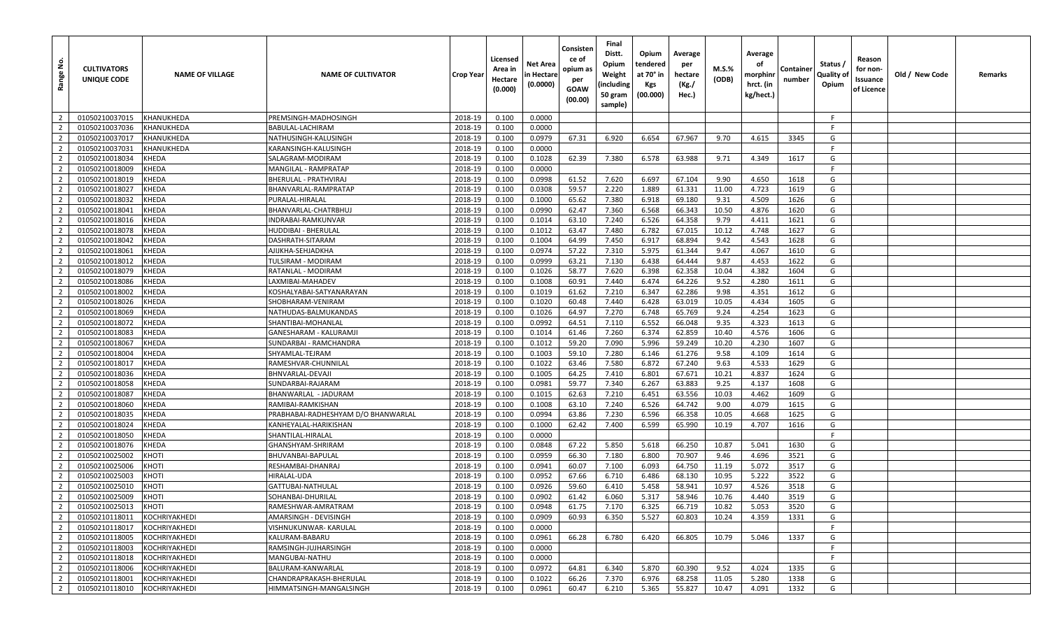| <u>غ</u><br>Range | <b>CULTIVATORS</b><br>UNIQUE CODE | <b>NAME OF VILLAGE</b> | <b>NAME OF CULTIVATOR</b>           | Crop Year | Licensed<br>Area in<br>Hectare<br>(0.000) | Net Area<br>n Hectare<br>(0.0000) | Consisten<br>ce of<br>opium as<br>per<br><b>GOAW</b><br>(00.00) | Final<br>Distt.<br>Opium<br>Weight<br>(including<br>50 gram<br>sample) | Opium<br>tendered<br>at 70° in<br><b>Kgs</b><br>(00.000) | Average<br>per<br>hectare<br>(Kg./<br>Hec.) | $M.S.\%$<br>(ODB) | Average<br>οf<br>morphinr<br>hrct. (in<br>kg/hect.) | Containe<br>number | Status /<br>Quality of<br>Opium | Reason<br>for non-<br>Issuance<br>of Licence | Old / New Code | Remarks |
|-------------------|-----------------------------------|------------------------|-------------------------------------|-----------|-------------------------------------------|-----------------------------------|-----------------------------------------------------------------|------------------------------------------------------------------------|----------------------------------------------------------|---------------------------------------------|-------------------|-----------------------------------------------------|--------------------|---------------------------------|----------------------------------------------|----------------|---------|
| $\overline{2}$    | 01050210037015                    | KHANUKHEDA             | PREMSINGH-MADHOSINGH                | 2018-19   | 0.100                                     | 0.0000                            |                                                                 |                                                                        |                                                          |                                             |                   |                                                     |                    | - F                             |                                              |                |         |
| $\overline{2}$    | 01050210037036                    | KHANUKHEDA             | BABULAL-LACHIRAM                    | 2018-19   | 0.100                                     | 0.0000                            |                                                                 |                                                                        |                                                          |                                             |                   |                                                     |                    | -F                              |                                              |                |         |
| $\overline{2}$    | 01050210037017                    | <b>KHANUKHEDA</b>      | NATHUSINGH-KALUSINGH                | 2018-19   | 0.100                                     | 0.0979                            | 67.31                                                           | 6.920                                                                  | 6.654                                                    | 67.967                                      | 9.70              | 4.615                                               | 3345               | G                               |                                              |                |         |
| $\overline{2}$    | 01050210037031                    | KHANUKHEDA             | KARANSINGH-KALUSINGH                | 2018-19   | 0.100                                     | 0.0000                            |                                                                 |                                                                        |                                                          |                                             |                   |                                                     |                    | -F                              |                                              |                |         |
| $\overline{2}$    | 01050210018034                    | <b>KHEDA</b>           | SALAGRAM-MODIRAM                    | 2018-19   | 0.100                                     | 0.1028                            | 62.39                                                           | 7.380                                                                  | 6.578                                                    | 63.988                                      | 9.71              | 4.349                                               | 1617               | G                               |                                              |                |         |
| $\overline{2}$    | 01050210018009                    | <b>KHEDA</b>           | MANGILAL - RAMPRATAP                | 2018-19   | 0.100                                     | 0.0000                            |                                                                 |                                                                        |                                                          |                                             |                   |                                                     |                    | F.                              |                                              |                |         |
| $\overline{2}$    | 01050210018019                    | <b>KHEDA</b>           | BHERULAL - PRATHVIRAJ               | 2018-19   | 0.100                                     | 0.0998                            | 61.52                                                           | 7.620                                                                  | 6.697                                                    | 67.104                                      | 9.90              | 4.650                                               | 1618               | G                               |                                              |                |         |
| $\overline{2}$    | 01050210018027                    | <b>KHEDA</b>           | BHANVARLAL-RAMPRATAP                | 2018-19   | 0.100                                     | 0.0308                            | 59.57                                                           | 2.220                                                                  | 1.889                                                    | 61.331                                      | 11.00             | 4.723                                               | 1619               | G                               |                                              |                |         |
| $\overline{2}$    | 01050210018032                    | <b>KHEDA</b>           | PURALAL-HIRALAL                     | 2018-19   | 0.100                                     | 0.1000                            | 65.62                                                           | 7.380                                                                  | 6.918                                                    | 69.180                                      | 9.31              | 4.509                                               | 1626               | G                               |                                              |                |         |
| $\overline{2}$    | 01050210018041                    | <b>KHEDA</b>           | BHANVARLAL-CHATRBHU.                | 2018-19   | 0.100                                     | 0.0990                            | 62.47                                                           | 7.360                                                                  | 6.568                                                    | 66.343                                      | 10.50             | 4.876                                               | 1620               | G                               |                                              |                |         |
| $\overline{2}$    | 01050210018016                    | <b>KHEDA</b>           | INDRABAI-RAMKUNVAR                  | 2018-19   | 0.100                                     | 0.1014                            | 63.10                                                           | 7.240                                                                  | 6.526                                                    | 64.358                                      | 9.79              | 4.411                                               | 1621               | G                               |                                              |                |         |
| $\overline{2}$    | 01050210018078                    | <b>KHEDA</b>           | HUDDIBAI - BHERULAL                 | 2018-19   | 0.100                                     | 0.1012                            | 63.47                                                           | 7.480                                                                  | 6.782                                                    | 67.015                                      | 10.12             | 4.748                                               | 1627               | G                               |                                              |                |         |
| $\overline{2}$    | 01050210018042                    | <b>KHEDA</b>           | DASHRATH-SITARAM                    | 2018-19   | 0.100                                     | 0.1004                            | 64.99                                                           | 7.450                                                                  | 6.917                                                    | 68.894                                      | 9.42              | 4.543                                               | 1628               | G                               |                                              |                |         |
| $\overline{2}$    | 01050210018061                    | <b>KHEDA</b>           | AJIJKHA-SEHJADKHA                   | 2018-19   | 0.100                                     | 0.0974                            | 57.22                                                           | 7.310                                                                  | 5.975                                                    | 61.344                                      | 9.47              | 4.067                                               | 1610               | G                               |                                              |                |         |
| $\overline{2}$    | 01050210018012                    | <b>KHEDA</b>           | TULSIRAM - MODIRAM                  | 2018-19   | 0.100                                     | 0.0999                            | 63.21                                                           | 7.130                                                                  | 6.438                                                    | 64.444                                      | 9.87              | 4.453                                               | 1622               | G                               |                                              |                |         |
| $\overline{2}$    | 01050210018079                    | <b>KHEDA</b>           | RATANLAL - MODIRAM                  | 2018-19   | 0.100                                     | 0.1026                            | 58.77                                                           | 7.620                                                                  | 6.398                                                    | 62.358                                      | 10.04             | 4.382                                               | 1604               | G                               |                                              |                |         |
| $\overline{2}$    | 01050210018086                    | <b>KHEDA</b>           | LAXMIBAI-MAHADEV                    | 2018-19   | 0.100                                     | 0.1008                            | 60.91                                                           | 7.440                                                                  | 6.474                                                    | 64.226                                      | 9.52              | 4.280                                               | 1611               | G                               |                                              |                |         |
| $\overline{2}$    | 01050210018002                    | <b>KHEDA</b>           | KOSHALYABAI-SATYANARAYAN            | 2018-19   | 0.100                                     | 0.1019                            | 61.62                                                           | 7.210                                                                  | 6.347                                                    | 62.286                                      | 9.98              | 4.351                                               | 1612               | G                               |                                              |                |         |
| $\overline{2}$    | 01050210018026                    | <b>KHEDA</b>           | SHOBHARAM-VENIRAM                   | 2018-19   | 0.100                                     | 0.1020                            | 60.48                                                           | 7.440                                                                  | 6.428                                                    | 63.019                                      | 10.05             | 4.434                                               | 1605               | G                               |                                              |                |         |
| $\overline{2}$    | 01050210018069                    | <b>KHEDA</b>           | NATHUDAS-BALMUKANDAS                | 2018-19   | 0.100                                     | 0.1026                            | 64.97                                                           | 7.270                                                                  | 6.748                                                    | 65.769                                      | 9.24              | 4.254                                               | 1623               | G                               |                                              |                |         |
| $\overline{2}$    | 01050210018072                    | <b>KHEDA</b>           | SHANTIBAI-MOHANLAL                  | 2018-19   | 0.100                                     | 0.0992                            | 64.51                                                           | 7.110                                                                  | 6.552                                                    | 66.048                                      | 9.35              | 4.323                                               | 1613               | G                               |                                              |                |         |
| $\overline{2}$    | 01050210018083                    | <b>KHEDA</b>           | GANESHARAM - KALURAMJI              | 2018-19   | 0.100                                     | 0.1014                            | 61.46                                                           | 7.260                                                                  | 6.374                                                    | 62.859                                      | 10.40             | 4.576                                               | 1606               | G                               |                                              |                |         |
| $\overline{2}$    | 01050210018067                    | <b>KHEDA</b>           | SUNDARBAI - RAMCHANDRA              | 2018-19   | 0.100                                     | 0.1012                            | 59.20                                                           | 7.090                                                                  | 5.996                                                    | 59.249                                      | 10.20             | 4.230                                               | 1607               | G                               |                                              |                |         |
| $\overline{2}$    | 01050210018004                    | <b>KHEDA</b>           | SHYAMLAL-TEJRAM                     | 2018-19   | 0.100                                     | 0.1003                            | 59.10                                                           | 7.280                                                                  | 6.146                                                    | 61.276                                      | 9.58              | 4.109                                               | 1614               | G                               |                                              |                |         |
| $\overline{2}$    | 01050210018017                    | <b>KHEDA</b>           | RAMESHVAR-CHUNNILAL                 | 2018-19   | 0.100                                     | 0.1022                            | 63.46                                                           | 7.580                                                                  | 6.872                                                    | 67.240                                      | 9.63              | 4.533                                               | 1629               | G                               |                                              |                |         |
| $\overline{2}$    | 01050210018036                    | <b>KHEDA</b>           | BHNVARLAL-DEVAJI                    | 2018-19   | 0.100                                     | 0.1005                            | 64.25                                                           | 7.410                                                                  | 6.801                                                    | 67.671                                      | 10.21             | 4.837                                               | 1624               | G                               |                                              |                |         |
| $\overline{2}$    | 01050210018058                    | <b>KHEDA</b>           | SUNDARBAI-RAJARAM                   | 2018-19   | 0.100                                     | 0.0981                            | 59.77                                                           | 7.340                                                                  | 6.267                                                    | 63.883                                      | 9.25              | 4.137                                               | 1608               | G                               |                                              |                |         |
| $\overline{2}$    | 01050210018087                    | <b>KHEDA</b>           | BHANWARLAL - JADURAM                | 2018-19   | 0.100                                     | 0.1015                            | 62.63                                                           | 7.210                                                                  | 6.451                                                    | 63.556                                      | 10.03             | 4.462                                               | 1609               | G                               |                                              |                |         |
| $\overline{2}$    | 01050210018060                    | <b>KHEDA</b>           | RAMIBAI-RAMKISHAN                   | 2018-19   | 0.100                                     | 0.1008                            | 63.10                                                           | 7.240                                                                  | 6.526                                                    | 64.742                                      | 9.00              | 4.079                                               | 1615               | G                               |                                              |                |         |
| $\overline{2}$    | 01050210018035                    | <b>KHEDA</b>           | PRABHABAI-RADHESHYAM D/O BHANWARLAL | 2018-19   | 0.100                                     | 0.0994                            | 63.86                                                           | 7.230                                                                  | 6.596                                                    | 66.358                                      | 10.05             | 4.668                                               | 1625               | G                               |                                              |                |         |
| $\overline{2}$    | 01050210018024                    | <b>KHEDA</b>           | KANHEYALAL-HARIKISHAN               | 2018-19   | 0.100                                     | 0.1000                            | 62.42                                                           | 7.400                                                                  | 6.599                                                    | 65.990                                      | 10.19             | 4.707                                               | 1616               | G                               |                                              |                |         |
| $\overline{2}$    | 01050210018050                    | <b>KHEDA</b>           | SHANTILAL-HIRALAL                   | 2018-19   | 0.100                                     | 0.0000                            |                                                                 |                                                                        |                                                          |                                             |                   |                                                     |                    | F.                              |                                              |                |         |
| $\overline{2}$    | 01050210018076                    | <b>KHEDA</b>           | GHANSHYAM-SHRIRAM                   | 2018-19   | 0.100                                     | 0.0848                            | 67.22                                                           | 5.850                                                                  | 5.618                                                    | 66.250                                      | 10.87             | 5.041                                               | 1630               | G                               |                                              |                |         |
| $\overline{2}$    | 01050210025002                    | <b>KHOTI</b>           | BHUVANBAI-BAPULAL                   | 2018-19   | 0.100                                     | 0.0959                            | 66.30                                                           | 7.180                                                                  | 6.800                                                    | 70.907                                      | 9.46              | 4.696                                               | 3521               | G                               |                                              |                |         |
| $\overline{2}$    | 01050210025006                    | KHOTI                  | RESHAMBAI-DHANRAJ                   | 2018-19   | 0.100                                     | 0.0941                            | 60.07                                                           | 7.100                                                                  | 6.093                                                    | 64.750                                      | 11.19             | 5.072                                               | 3517               | G                               |                                              |                |         |
| $\overline{2}$    | 01050210025003                    | <b>KHOTI</b>           | HIRALAL-UDA                         | 2018-19   | 0.100                                     | 0.0952                            | 67.66                                                           | 6.710                                                                  | 6.486                                                    | 68.130                                      | 10.95             | 5.222                                               | 3522               | G                               |                                              |                |         |
| $\overline{2}$    | 01050210025010                    | <b>KHOTI</b>           | GATTUBAI-NATHULAL                   | 2018-19   | 0.100                                     | 0.0926                            | 59.60                                                           | 6.410                                                                  | 5.458                                                    | 58.941                                      | 10.97             | 4.526                                               | 3518               | G                               |                                              |                |         |
| $\overline{2}$    | 01050210025009                    | <b>KHOTI</b>           | SOHANBAI-DHURILAL                   | 2018-19   | 0.100                                     | 0.0902                            | 61.42                                                           | 6.060                                                                  | 5.317                                                    | 58.946                                      | 10.76             | 4.440                                               | 3519               | G                               |                                              |                |         |
| $\overline{2}$    | 01050210025013                    | <b>KHOTI</b>           | RAMESHWAR-AMRATRAM                  | 2018-19   | 0.100                                     | 0.0948                            | 61.75                                                           | 7.170                                                                  | 6.325                                                    | 66.719                                      | 10.82             | 5.053                                               | 3520               | G                               |                                              |                |         |
| $\overline{2}$    | 01050210118011                    | KOCHRIYAKHEDI          | AMARSINGH - DEVISINGH               | 2018-19   | 0.100                                     | 0.0909                            | 60.93                                                           | 6.350                                                                  | 5.527                                                    | 60.803                                      | 10.24             | 4.359                                               | 1331               | G                               |                                              |                |         |
| $\overline{2}$    | 01050210118017                    | KOCHRIYAKHEDI          | VISHNUKUNWAR- KARULAL               | 2018-19   | 0.100                                     | 0.0000                            |                                                                 |                                                                        |                                                          |                                             |                   |                                                     |                    | F.                              |                                              |                |         |
| $\overline{2}$    | 01050210118005                    | KOCHRIYAKHEDI          | KALURAM-BABARU                      | 2018-19   | 0.100                                     | 0.0961                            | 66.28                                                           | 6.780                                                                  | 6.420                                                    | 66.805                                      | 10.79             | 5.046                                               | 1337               | G                               |                                              |                |         |
| $\overline{2}$    | 01050210118003                    | <b>KOCHRIYAKHEDI</b>   | RAMSINGH-JUJHARSINGH                | 2018-19   | 0.100                                     | 0.0000                            |                                                                 |                                                                        |                                                          |                                             |                   |                                                     |                    | -F                              |                                              |                |         |
| $\overline{2}$    | 01050210118018                    | KOCHRIYAKHEDI          | MANGUBAI-NATHU                      | 2018-19   | 0.100                                     | 0.0000                            |                                                                 |                                                                        |                                                          |                                             |                   |                                                     |                    | -F                              |                                              |                |         |
| $\overline{2}$    | 01050210118006                    | KOCHRIYAKHEDI          | BALURAM-KANWARLAL                   | 2018-19   | 0.100                                     | 0.0972                            | 64.81                                                           | 6.340                                                                  | 5.870                                                    | 60.390                                      | 9.52              | 4.024                                               | 1335               | G                               |                                              |                |         |
| $\overline{2}$    | 01050210118001                    | <b>KOCHRIYAKHEDI</b>   | CHANDRAPRAKASH-BHERULAL             | 2018-19   | 0.100                                     | 0.1022                            | 66.26                                                           | 7.370                                                                  | 6.976                                                    | 68.258                                      | 11.05             | 5.280                                               | 1338               | G                               |                                              |                |         |
| $\overline{2}$    | 01050210118010                    | KOCHRIYAKHEDI          | HIMMATSINGH-MANGALSINGH             | 2018-19   | 0.100                                     | 0.0961                            | 60.47                                                           | 6.210                                                                  | 5.365                                                    | 55.827                                      | 10.47             | 4.091                                               | 1332               | G                               |                                              |                |         |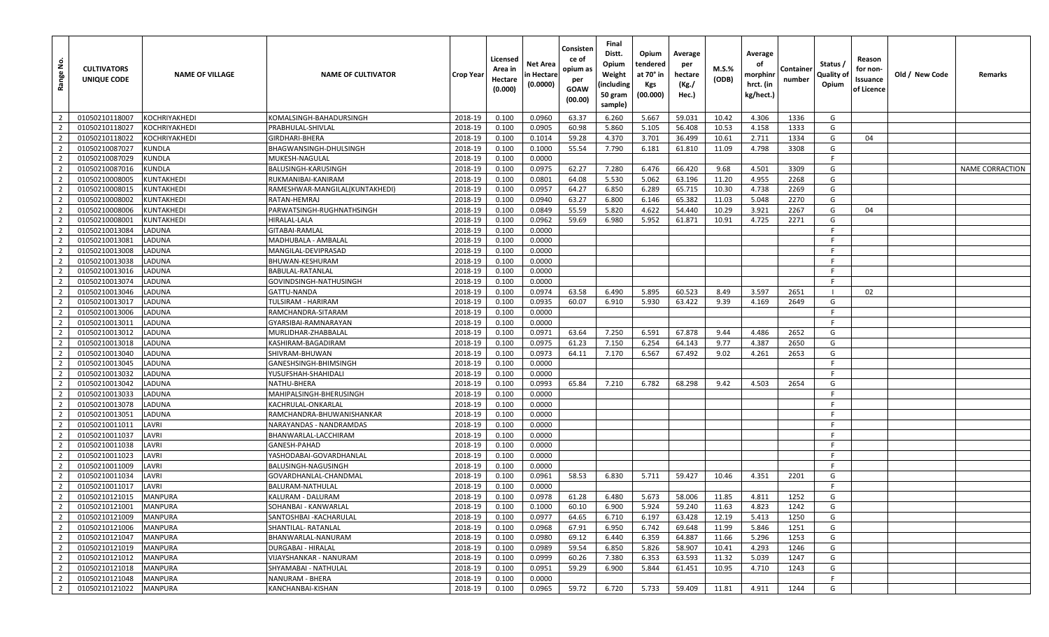| <u>غ</u><br>Range | <b>CULTIVATORS</b><br>UNIQUE CODE | <b>NAME OF VILLAGE</b> | <b>NAME OF CULTIVATOR</b>      | Crop Year | Licensed<br>Area in<br>Hectare<br>(0.000) | Net Area<br>n Hectare<br>(0.0000) | Consisten<br>ce of<br>opium as<br>per<br><b>GOAW</b><br>(00.00) | Final<br>Distt.<br>Opium<br>Weight<br>(including<br>50 gram<br>sample) | Opium<br>tendered<br>at 70° in<br><b>Kgs</b><br>(00.000) | Average<br>per<br>hectare<br>(Kg./<br>Hec.) | <b>M.S.%</b><br>(ODB) | Average<br>οf<br>morphinr<br>hrct. (in<br>kg/hect.) | Containe<br>number | Status /<br>Quality of<br>Opium | Reason<br>for non-<br>Issuance<br>of Licence | Old / New Code | Remarks                |
|-------------------|-----------------------------------|------------------------|--------------------------------|-----------|-------------------------------------------|-----------------------------------|-----------------------------------------------------------------|------------------------------------------------------------------------|----------------------------------------------------------|---------------------------------------------|-----------------------|-----------------------------------------------------|--------------------|---------------------------------|----------------------------------------------|----------------|------------------------|
| $\overline{2}$    | 01050210118007                    | <b>KOCHRIYAKHEDI</b>   | KOMALSINGH-BAHADURSINGH        | 2018-19   | 0.100                                     | 0.0960                            | 63.37                                                           | 6.260                                                                  | 5.667                                                    | 59.031                                      | 10.42                 | 4.306                                               | 1336               | G                               |                                              |                |                        |
| $\overline{2}$    | 01050210118027                    | <b>KOCHRIYAKHEDI</b>   | PRABHULAL-SHIVLAL              | 2018-19   | 0.100                                     | 0.0905                            | 60.98                                                           | 5.860                                                                  | 5.105                                                    | 56.408                                      | 10.53                 | 4.158                                               | 1333               | G                               |                                              |                |                        |
| $\overline{2}$    | 01050210118022                    | KOCHRIYAKHEDI          | GIRDHARI-BHERA                 | 2018-19   | 0.100                                     | 0.1014                            | 59.28                                                           | 4.370                                                                  | 3.701                                                    | 36.499                                      | 10.61                 | 2.711                                               | 1334               | G                               | 04                                           |                |                        |
| $\overline{2}$    | 01050210087027                    | <b>KUNDLA</b>          | BHAGWANSINGH-DHULSINGH         | 2018-19   | 0.100                                     | 0.1000                            | 55.54                                                           | 7.790                                                                  | 6.181                                                    | 61.810                                      | 11.09                 | 4.798                                               | 3308               | G                               |                                              |                |                        |
| $\overline{2}$    | 01050210087029                    | <b>KUNDLA</b>          | MUKESH-NAGULAL                 | 2018-19   | 0.100                                     | 0.0000                            |                                                                 |                                                                        |                                                          |                                             |                       |                                                     |                    | F.                              |                                              |                |                        |
| $\overline{2}$    | 01050210087016                    | <b>KUNDLA</b>          | BALUSINGH-KARUSINGH            | 2018-19   | 0.100                                     | 0.0975                            | 62.27                                                           | 7.280                                                                  | 6.476                                                    | 66.420                                      | 9.68                  | 4.501                                               | 3309               | G                               |                                              |                | <b>NAME CORRACTION</b> |
| $\overline{2}$    | 01050210008005                    | <b>KUNTAKHEDI</b>      | RUKMANIBAI-KANIRAM             | 2018-19   | 0.100                                     | 0.0801                            | 64.08                                                           | 5.530                                                                  | 5.062                                                    | 63.196                                      | 11.20                 | 4.955                                               | 2268               | G                               |                                              |                |                        |
| $\overline{2}$    | 01050210008015                    | <b>KUNTAKHEDI</b>      | RAMESHWAR-MANGILAL(KUNTAKHEDI) | 2018-19   | 0.100                                     | 0.0957                            | 64.27                                                           | 6.850                                                                  | 6.289                                                    | 65.715                                      | 10.30                 | 4.738                                               | 2269               | G                               |                                              |                |                        |
| $\overline{2}$    | 01050210008002                    | <b>KUNTAKHEDI</b>      | RATAN-HEMRAJ                   | 2018-19   | 0.100                                     | 0.0940                            | 63.27                                                           | 6.800                                                                  | 6.146                                                    | 65.382                                      | 11.03                 | 5.048                                               | 2270               | G                               |                                              |                |                        |
| $\overline{2}$    | 01050210008006                    | <b>KUNTAKHEDI</b>      | PARWATSINGH-RUGHNATHSINGH      | 2018-19   | 0.100                                     | 0.0849                            | 55.59                                                           | 5.820                                                                  | 4.622                                                    | 54.440                                      | 10.29                 | 3.921                                               | 2267               | G                               | 04                                           |                |                        |
| $\overline{2}$    | 01050210008001                    | <b>KUNTAKHEDI</b>      | HIRALAL-LALA                   | 2018-19   | 0.100                                     | 0.0962                            | 59.69                                                           | 6.980                                                                  | 5.952                                                    | 61.871                                      | 10.91                 | 4.725                                               | 2271               | G                               |                                              |                |                        |
| $\overline{2}$    | 01050210013084                    | <b>LADUNA</b>          | GITABAI-RAMLAL                 | 2018-19   | 0.100                                     | 0.0000                            |                                                                 |                                                                        |                                                          |                                             |                       |                                                     |                    | -F                              |                                              |                |                        |
| $\overline{2}$    | 01050210013081                    | LADUNA                 | MADHUBALA - AMBALAL            | 2018-19   | 0.100                                     | 0.0000                            |                                                                 |                                                                        |                                                          |                                             |                       |                                                     |                    | -F                              |                                              |                |                        |
| $\overline{2}$    | 01050210013008                    | <b>LADUNA</b>          | MANGILAL-DEVIPRASAD            | 2018-19   | 0.100                                     | 0.0000                            |                                                                 |                                                                        |                                                          |                                             |                       |                                                     |                    | F.                              |                                              |                |                        |
| $\overline{2}$    | 01050210013038                    | <b>LADUNA</b>          | BHUWAN-KESHURAM                | 2018-19   | 0.100                                     | 0.0000                            |                                                                 |                                                                        |                                                          |                                             |                       |                                                     |                    | -F                              |                                              |                |                        |
| $\overline{2}$    | 01050210013016                    | LADUNA                 | BABULAL-RATANLAL               | 2018-19   | 0.100                                     | 0.0000                            |                                                                 |                                                                        |                                                          |                                             |                       |                                                     |                    | -F                              |                                              |                |                        |
| $\overline{2}$    | 01050210013074                    | LADUNA                 | GOVINDSINGH-NATHUSINGH         | 2018-19   | 0.100                                     | 0.0000                            |                                                                 |                                                                        |                                                          |                                             |                       |                                                     |                    | -F                              |                                              |                |                        |
| $\overline{2}$    | 01050210013046                    | <b>LADUNA</b>          | GATTU-NANDA                    | 2018-19   | 0.100                                     | 0.0974                            | 63.58                                                           | 6.490                                                                  | 5.895                                                    | 60.523                                      | 8.49                  | 3.597                                               | 2651               | - 1                             | 02                                           |                |                        |
| $\overline{2}$    | 01050210013017                    | LADUNA                 | TULSIRAM - HARIRAM             | 2018-19   | 0.100                                     | 0.0935                            | 60.07                                                           | 6.910                                                                  | 5.930                                                    | 63.422                                      | 9.39                  | 4.169                                               | 2649               | G                               |                                              |                |                        |
| $\overline{2}$    | 01050210013006                    | LADUNA                 | RAMCHANDRA-SITARAM             | 2018-19   | 0.100                                     | 0.0000                            |                                                                 |                                                                        |                                                          |                                             |                       |                                                     |                    | -F                              |                                              |                |                        |
| $\overline{2}$    | 01050210013011                    | <b>LADUNA</b>          | GYARSIBAI-RAMNARAYAN           | 2018-19   | 0.100                                     | 0.0000                            |                                                                 |                                                                        |                                                          |                                             |                       |                                                     |                    | F                               |                                              |                |                        |
| $\overline{2}$    | 01050210013012                    | <b>LADUNA</b>          | MURLIDHAR-ZHABBALAI            | 2018-19   | 0.100                                     | 0.0971                            | 63.64                                                           | 7.250                                                                  | 6.591                                                    | 67.878                                      | 9.44                  | 4.486                                               | 2652               | G                               |                                              |                |                        |
| $\overline{2}$    | 01050210013018                    | LADUNA                 | KASHIRAM-BAGADIRAM             | 2018-19   | 0.100                                     | 0.0975                            | 61.23                                                           | 7.150                                                                  | 6.254                                                    | 64.143                                      | 9.77                  | 4.387                                               | 2650               | G                               |                                              |                |                        |
| $\overline{2}$    | 01050210013040                    | LADUNA                 | SHIVRAM-BHUWAN                 | 2018-19   | 0.100                                     | 0.0973                            | 64.11                                                           | 7.170                                                                  | 6.567                                                    | 67.492                                      | 9.02                  | 4.261                                               | 2653               | G                               |                                              |                |                        |
| $\overline{2}$    | 01050210013045                    | <b>LADUNA</b>          | GANESHSINGH-BHIMSINGH          | 2018-19   | 0.100                                     | 0.0000                            |                                                                 |                                                                        |                                                          |                                             |                       |                                                     |                    | F.                              |                                              |                |                        |
| $\overline{2}$    | 01050210013032                    | LADUNA                 | YUSUFSHAH-SHAHIDALI            | 2018-19   | 0.100                                     | 0.0000                            |                                                                 |                                                                        |                                                          |                                             |                       |                                                     |                    | F.                              |                                              |                |                        |
| $\overline{2}$    | 01050210013042                    | LADUNA                 | NATHU-BHERA                    | 2018-19   | 0.100                                     | 0.0993                            | 65.84                                                           | 7.210                                                                  | 6.782                                                    | 68.298                                      | 9.42                  | 4.503                                               | 2654               | G                               |                                              |                |                        |
| $\overline{2}$    | 01050210013033                    | LADUNA                 | MAHIPALSINGH-BHERUSINGH        | 2018-19   | 0.100                                     | 0.0000                            |                                                                 |                                                                        |                                                          |                                             |                       |                                                     |                    | F.                              |                                              |                |                        |
| $\overline{2}$    | 01050210013078                    | <b>LADUNA</b>          | KACHRULAL-ONKARLAL             | 2018-19   | 0.100                                     | 0.0000                            |                                                                 |                                                                        |                                                          |                                             |                       |                                                     |                    | -F.                             |                                              |                |                        |
| $\overline{2}$    | 01050210013051                    | LADUNA                 | RAMCHANDRA-BHUWANISHANKAR      | 2018-19   | 0.100                                     | 0.0000                            |                                                                 |                                                                        |                                                          |                                             |                       |                                                     |                    | -F                              |                                              |                |                        |
| $\overline{2}$    | 01050210011011                    | LAVRI                  | NARAYANDAS - NANDRAMDAS        | 2018-19   | 0.100                                     | 0.0000                            |                                                                 |                                                                        |                                                          |                                             |                       |                                                     |                    | -F                              |                                              |                |                        |
| $\overline{2}$    | 01050210011037                    | LAVRI                  | BHANWARLAL-LACCHIRAM           | 2018-19   | 0.100                                     | 0.0000                            |                                                                 |                                                                        |                                                          |                                             |                       |                                                     |                    | -F.                             |                                              |                |                        |
| $\overline{2}$    | 01050210011038                    | LAVRI                  | GANESH-PAHAD                   | 2018-19   | 0.100                                     | 0.0000                            |                                                                 |                                                                        |                                                          |                                             |                       |                                                     |                    | -F                              |                                              |                |                        |
| $\overline{2}$    | 01050210011023                    | LAVRI                  | YASHODABAI-GOVARDHANLAL        | 2018-19   | 0.100                                     | 0.0000                            |                                                                 |                                                                        |                                                          |                                             |                       |                                                     |                    | -F                              |                                              |                |                        |
| $\overline{2}$    | 01050210011009                    | LAVRI                  | BALUSINGH-NAGUSINGH            | 2018-19   | 0.100                                     | 0.0000                            |                                                                 |                                                                        |                                                          |                                             |                       |                                                     |                    | F.                              |                                              |                |                        |
| $\overline{2}$    | 01050210011034                    | LAVRI                  | GOVARDHANLAL-CHANDMAL          | 2018-19   | 0.100                                     | 0.0961                            | 58.53                                                           | 6.830                                                                  | 5.711                                                    | 59.427                                      | 10.46                 | 4.351                                               | 2201               | G                               |                                              |                |                        |
| $\overline{2}$    | 01050210011017                    | LAVRI                  | BALURAM-NATHULAL               | 2018-19   | 0.100                                     | 0.0000                            |                                                                 |                                                                        |                                                          |                                             |                       |                                                     |                    | E                               |                                              |                |                        |
| $\overline{2}$    | 01050210121015                    | <b>MANPURA</b>         | KALURAM - DALURAM              | 2018-19   | 0.100                                     | 0.0978                            | 61.28                                                           | 6.480                                                                  | 5.673                                                    | 58.006                                      | 11.85                 | 4.811                                               | 1252               | G                               |                                              |                |                        |
| $\overline{2}$    | 01050210121001                    | <b>MANPURA</b>         | SOHANBAI - KANWARLAL           | 2018-19   | 0.100                                     | 0.1000                            | 60.10                                                           | 6.900                                                                  | 5.924                                                    | 59.240                                      | 11.63                 | 4.823                                               | 1242               | G                               |                                              |                |                        |
| $\overline{2}$    | 01050210121009                    | <b>MANPURA</b>         | SANTOSHBAI - KACHARULAL        | 2018-19   | 0.100                                     | 0.0977                            | 64.65                                                           | 6.710                                                                  | 6.197                                                    | 63.428                                      | 12.19                 | 5.413                                               | 1250               | G                               |                                              |                |                        |
| $\overline{2}$    | 01050210121006                    | <b>MANPURA</b>         | SHANTILAL- RATANLAL            | 2018-19   | 0.100                                     | 0.0968                            | 67.91                                                           | 6.950                                                                  | 6.742                                                    | 69.648                                      | 11.99                 | 5.846                                               | 1251               | G                               |                                              |                |                        |
| $\overline{2}$    | 01050210121047                    | <b>MANPURA</b>         | BHANWARLAL-NANURAM             | 2018-19   | 0.100                                     | 0.0980                            | 69.12                                                           | 6.440                                                                  | 6.359                                                    | 64.887                                      | 11.66                 | 5.296                                               | 1253               | G                               |                                              |                |                        |
| $\overline{2}$    | 01050210121019                    | <b>MANPURA</b>         | <b>DURGABAI - HIRALAL</b>      | 2018-19   | 0.100                                     | 0.0989                            | 59.54                                                           | 6.850                                                                  | 5.826                                                    | 58.907                                      | 10.41                 | 4.293                                               | 1246               | G                               |                                              |                |                        |
| $\overline{2}$    | 01050210121012                    | <b>MANPURA</b>         | <b>VIJAYSHANKAR - NANURAM</b>  | 2018-19   | 0.100                                     | 0.0999                            | 60.26                                                           | 7.380                                                                  | 6.353                                                    | 63.593                                      | 11.32                 | 5.039                                               | 1247               | G                               |                                              |                |                        |
| $\overline{2}$    | 01050210121018                    | <b>MANPURA</b>         | SHYAMABAI - NATHULAL           | 2018-19   | 0.100                                     | 0.0951                            | 59.29                                                           | 6.900                                                                  | 5.844                                                    | 61.451                                      | 10.95                 | 4.710                                               | 1243               | G                               |                                              |                |                        |
| $\overline{2}$    | 01050210121048                    | <b>MANPURA</b>         | NANURAM - BHERA                | 2018-19   | 0.100                                     | 0.0000                            |                                                                 |                                                                        |                                                          |                                             |                       |                                                     |                    | F.                              |                                              |                |                        |
| $\overline{2}$    | 01050210121022                    | <b>MANPURA</b>         | KANCHANBAI-KISHAN              | 2018-19   | 0.100                                     | 0.0965                            | 59.72                                                           | 6.720                                                                  | 5.733                                                    | 59.409                                      | 11.81                 | 4.911                                               | 1244               | G                               |                                              |                |                        |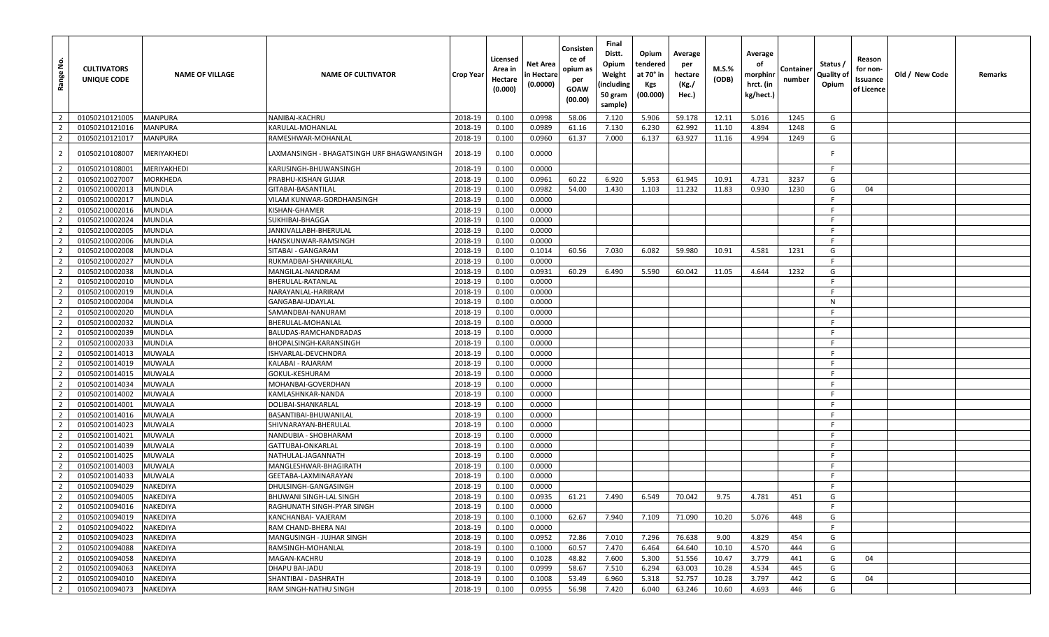| Range No.      | <b>CULTIVATORS</b><br>UNIQUE CODE | <b>NAME OF VILLAGE</b> | <b>NAME OF CULTIVATOR</b>                  | <b>Crop Year</b> | Licensed<br>Area in<br>Hectare<br>(0.000) | Net Area<br>in Hectare<br>(0.0000) | Consisten<br>ce of<br>opium as<br>per<br>GOAW<br>(00.00) | Final<br>Distt.<br>Opium<br>Weight<br>(including<br>50 gram<br>sample) | Opium<br>tendered<br>at 70° in<br>Kgs<br>(00.000) | Average<br>per<br>hectare<br>(Kg./<br>Hec.) | M.S.%<br>(ODB) | Average<br>οf<br>morphinr<br>hrct. (in<br>kg/hect.) | Container<br>number | Status /<br>Quality of<br>Opium | Reason<br>for non-<br>Issuance<br>of Licence | Old / New Code | Remarks |
|----------------|-----------------------------------|------------------------|--------------------------------------------|------------------|-------------------------------------------|------------------------------------|----------------------------------------------------------|------------------------------------------------------------------------|---------------------------------------------------|---------------------------------------------|----------------|-----------------------------------------------------|---------------------|---------------------------------|----------------------------------------------|----------------|---------|
| $\overline{2}$ | 01050210121005                    | <b>MANPURA</b>         | NANIBAI-KACHRU                             | 2018-19          | 0.100                                     | 0.0998                             | 58.06                                                    | 7.120                                                                  | 5.906                                             | 59.178                                      | 12.11          | 5.016                                               | 1245                | G                               |                                              |                |         |
| $\overline{2}$ | 01050210121016                    | <b>MANPURA</b>         | KARULAL-MOHANLAL                           | 2018-19          | 0.100                                     | 0.0989                             | 61.16                                                    | 7.130                                                                  | 6.230                                             | 62.992                                      | 11.10          | 4.894                                               | 1248                | G                               |                                              |                |         |
| $\overline{2}$ | 01050210121017                    | <b>MANPURA</b>         | RAMESHWAR-MOHANLAL                         | 2018-19          | 0.100                                     | 0.0960                             | 61.37                                                    | 7.000                                                                  | 6.137                                             | 63.927                                      | 11.16          | 4.994                                               | 1249                | G                               |                                              |                |         |
| $\overline{2}$ | 01050210108007                    | MERIYAKHEDI            | LAXMANSINGH - BHAGATSINGH URF BHAGWANSINGH | 2018-19          | 0.100                                     | 0.0000                             |                                                          |                                                                        |                                                   |                                             |                |                                                     |                     |                                 |                                              |                |         |
| $\overline{2}$ | 01050210108001                    | MERIYAKHEDI            | KARUSINGH-BHUWANSINGH                      | 2018-19          | 0.100                                     | 0.0000                             |                                                          |                                                                        |                                                   |                                             |                |                                                     |                     | -F                              |                                              |                |         |
| $\overline{2}$ | 01050210027007                    | MORKHEDA               | PRABHU-KISHAN GUJAR                        | 2018-19          | 0.100                                     | 0.0961                             | 60.22                                                    | 6.920                                                                  | 5.953                                             | 61.945                                      | 10.91          | 4.731                                               | 3237                | G                               |                                              |                |         |
| $\overline{2}$ | 01050210002013                    | MUNDLA                 | GITABAI-BASANTILAL                         | 2018-19          | 0.100                                     | 0.0982                             | 54.00                                                    | 1.430                                                                  | 1.103                                             | 11.232                                      | 11.83          | 0.930                                               | 1230                | G                               | 04                                           |                |         |
| $\overline{2}$ | 01050210002017                    | MUNDLA                 | VILAM KUNWAR-GORDHANSINGH                  | 2018-19          | 0.100                                     | 0.0000                             |                                                          |                                                                        |                                                   |                                             |                |                                                     |                     | -F                              |                                              |                |         |
| $\overline{2}$ | 01050210002016                    | MUNDLA                 | KISHAN-GHAMER                              | 2018-19          | 0.100                                     | 0.0000                             |                                                          |                                                                        |                                                   |                                             |                |                                                     |                     | -F                              |                                              |                |         |
| $\overline{2}$ | 01050210002024                    | MUNDLA                 | SUKHIBAI-BHAGGA                            | 2018-19          | 0.100                                     | 0.0000                             |                                                          |                                                                        |                                                   |                                             |                |                                                     |                     | -F                              |                                              |                |         |
| $\overline{2}$ | 01050210002005                    | MUNDLA                 | JANKIVALLABH-BHERULAL                      | 2018-19          | 0.100                                     | 0.0000                             |                                                          |                                                                        |                                                   |                                             |                |                                                     |                     | F                               |                                              |                |         |
| $\overline{2}$ | 01050210002006                    | <b>AUNDLA</b>          | HANSKUNWAR-RAMSINGH                        | 2018-19          | 0.100                                     | 0.0000                             |                                                          |                                                                        |                                                   |                                             |                |                                                     |                     | -F                              |                                              |                |         |
| $\overline{2}$ | 01050210002008                    | MUNDLA                 | SITABAI - GANGARAM                         | 2018-19          | 0.100                                     | 0.1014                             | 60.56                                                    | 7.030                                                                  | 6.082                                             | 59.980                                      | 10.91          | 4.581                                               | 1231                | G                               |                                              |                |         |
| $\overline{2}$ | 01050210002027                    | <b>MUNDLA</b>          | RUKMADBAI-SHANKARLAL                       | 2018-19          | 0.100                                     | 0.0000                             |                                                          |                                                                        |                                                   |                                             |                |                                                     |                     | -F                              |                                              |                |         |
| $\overline{2}$ | 01050210002038                    | MUNDLA                 | MANGILAL-NANDRAM                           | 2018-19          | 0.100                                     | 0.0931                             | 60.29                                                    | 6.490                                                                  | 5.590                                             | 60.042                                      | 11.05          | 4.644                                               | 1232                | G                               |                                              |                |         |
| $\overline{2}$ | 01050210002010                    | MUNDLA                 | BHERULAL-RATANLAL                          | 2018-19          | 0.100                                     | 0.0000                             |                                                          |                                                                        |                                                   |                                             |                |                                                     |                     | F.                              |                                              |                |         |
| $\overline{2}$ | 01050210002019                    | <b>MUNDLA</b>          | NARAYANLAL-HARIRAM                         | 2018-19          | 0.100                                     | 0.0000                             |                                                          |                                                                        |                                                   |                                             |                |                                                     |                     | -F                              |                                              |                |         |
| $\overline{2}$ | 01050210002004                    | MUNDLA                 | GANGABAI-UDAYLAL                           | 2018-19          | 0.100                                     | 0.0000                             |                                                          |                                                                        |                                                   |                                             |                |                                                     |                     | $\mathsf{N}$                    |                                              |                |         |
| $\overline{2}$ | 01050210002020                    | MUNDLA                 | SAMANDBAI-NANURAM                          | 2018-19          | 0.100                                     | 0.0000                             |                                                          |                                                                        |                                                   |                                             |                |                                                     |                     | -F                              |                                              |                |         |
| $\overline{2}$ | 01050210002032                    | MUNDLA                 | BHERULAL-MOHANLAL                          | 2018-19          | 0.100                                     | 0.0000                             |                                                          |                                                                        |                                                   |                                             |                |                                                     |                     | -F                              |                                              |                |         |
| $\overline{2}$ | 01050210002039                    | MUNDLA                 | BALUDAS-RAMCHANDRADAS                      | 2018-19          | 0.100                                     | 0.0000                             |                                                          |                                                                        |                                                   |                                             |                |                                                     |                     | - F                             |                                              |                |         |
| $\overline{2}$ | 01050210002033                    | MUNDLA                 | BHOPALSINGH-KARANSINGH                     | 2018-19          | 0.100                                     | 0.0000                             |                                                          |                                                                        |                                                   |                                             |                |                                                     |                     | F                               |                                              |                |         |
| $\overline{2}$ | 01050210014013                    | MUWALA                 | SHVARLAL-DEVCHNDRA                         | 2018-19          | 0.100                                     | 0.0000                             |                                                          |                                                                        |                                                   |                                             |                |                                                     |                     | -F                              |                                              |                |         |
| $\overline{2}$ | 01050210014019                    | <b>MUWALA</b>          | KALABAI - RAJARAM                          | 2018-19          | 0.100                                     | 0.0000                             |                                                          |                                                                        |                                                   |                                             |                |                                                     |                     | F                               |                                              |                |         |
| $\overline{2}$ | 01050210014015                    | MUWALA                 | GOKUL-KESHURAM                             | 2018-19          | 0.100                                     | 0.0000                             |                                                          |                                                                        |                                                   |                                             |                |                                                     |                     | F                               |                                              |                |         |
| $\overline{2}$ | 01050210014034                    | MUWALA                 | MOHANBAI-GOVERDHAN                         | 2018-19          | 0.100                                     | 0.0000                             |                                                          |                                                                        |                                                   |                                             |                |                                                     |                     | -F                              |                                              |                |         |
| $\overline{2}$ | 01050210014002                    | <b>MUWALA</b>          | KAMLASHNKAR-NANDA                          | 2018-19          | 0.100                                     | 0.0000                             |                                                          |                                                                        |                                                   |                                             |                |                                                     |                     | -F                              |                                              |                |         |
| $\overline{2}$ | 01050210014001                    | <b>MUWALA</b>          | DOLIBAI-SHANKARLAL                         | 2018-19          | 0.100                                     | 0.0000                             |                                                          |                                                                        |                                                   |                                             |                |                                                     |                     | -F                              |                                              |                |         |
| $\overline{2}$ | 01050210014016                    | MUWALA                 | BASANTIBAI-BHUWANILAL                      | 2018-19          | 0.100                                     | 0.0000                             |                                                          |                                                                        |                                                   |                                             |                |                                                     |                     | F                               |                                              |                |         |
| $\overline{2}$ | 01050210014023                    | <b>MUWALA</b>          | SHIVNARAYAN-BHERULAL                       | 2018-19          | 0.100                                     | 0.0000                             |                                                          |                                                                        |                                                   |                                             |                |                                                     |                     | F                               |                                              |                |         |
| $\overline{2}$ | 01050210014021                    | <b>MUWALA</b>          | NANDUBIA - SHOBHARAM                       | 2018-19          | 0.100                                     | 0.0000                             |                                                          |                                                                        |                                                   |                                             |                |                                                     |                     | E                               |                                              |                |         |
| $\overline{2}$ | 01050210014039                    | <b>MUWALA</b>          | GATTUBAI-ONKARLAL                          | 2018-19          | 0.100                                     | 0.0000                             |                                                          |                                                                        |                                                   |                                             |                |                                                     |                     | -F                              |                                              |                |         |
| $\overline{2}$ | 01050210014025                    | <b>MUWALA</b>          | NATHULAL-JAGANNATH                         | 2018-19          | 0.100                                     | 0.0000                             |                                                          |                                                                        |                                                   |                                             |                |                                                     |                     | -F                              |                                              |                |         |
| $\overline{2}$ | 01050210014003                    | MUWALA                 | MANGLESHWAR-BHAGIRATH                      | 2018-19          | 0.100                                     | 0.0000                             |                                                          |                                                                        |                                                   |                                             |                |                                                     |                     | -F                              |                                              |                |         |
| $\overline{2}$ | 01050210014033                    | <b>MUWALA</b>          | GEETABA-LAXMINARAYAN                       | 2018-19          | 0.100                                     | 0.0000                             |                                                          |                                                                        |                                                   |                                             |                |                                                     |                     | -F                              |                                              |                |         |
| $\overline{2}$ | 01050210094029                    | NAKEDIYA               | DHULSINGH-GANGASINGH                       | 2018-19          | 0.100                                     | 0.0000                             |                                                          |                                                                        |                                                   |                                             |                |                                                     |                     | E                               |                                              |                |         |
| $\overline{2}$ | 01050210094005                    | NAKEDIYA               | BHUWANI SINGH-LAL SINGH                    | 2018-19          | 0.100                                     | 0.0935                             | 61.21                                                    | 7.490                                                                  | 6.549                                             | 70.042                                      | 9.75           | 4.781                                               | 451                 | G                               |                                              |                |         |
| 2 <sup>1</sup> | 01050210094016                    | NAKEDIYA               | RAGHUNATH SINGH-PYAR SINGH                 | 2018-19          | 0.100                                     | 0.0000                             |                                                          |                                                                        |                                                   |                                             |                |                                                     |                     | F.                              |                                              |                |         |
| $\overline{2}$ | 01050210094019                    | NAKEDIYA               | KANCHANBAI- VAJERAM                        | 2018-19          | 0.100                                     | 0.1000                             | 62.67                                                    | 7.940                                                                  | 7.109                                             | 71.090                                      | 10.20          | 5.076                                               | 448                 | G                               |                                              |                |         |
| $\overline{2}$ | 01050210094022                    | NAKEDIYA               | RAM CHAND-BHERA NAI                        | 2018-19          | 0.100                                     | 0.0000                             |                                                          |                                                                        |                                                   |                                             |                |                                                     |                     | F                               |                                              |                |         |
| $\overline{2}$ | 01050210094023                    | <b>NAKEDIYA</b>        | MANGUSINGH - JUJHAR SINGH                  | 2018-19          | 0.100                                     | 0.0952                             | 72.86                                                    | 7.010                                                                  | 7.296                                             | 76.638                                      | 9.00           | 4.829                                               | 454                 | G                               |                                              |                |         |
| $\overline{2}$ | 01050210094088                    | NAKEDIYA               | RAMSINGH-MOHANLAL                          | 2018-19          | 0.100                                     | 0.1000                             | 60.57                                                    | 7.470                                                                  | 6.464                                             | 64.640                                      | 10.10          | 4.570                                               | 444                 | G                               |                                              |                |         |
| $\overline{2}$ | 01050210094058                    | NAKEDIYA               | MAGAN-KACHRU                               | 2018-19          | 0.100                                     | 0.1028                             | 48.82                                                    | 7.600                                                                  | 5.300                                             | 51.556                                      | 10.47          | 3.779                                               | 441                 | G                               | 04                                           |                |         |
| $\overline{2}$ | 01050210094063                    | NAKEDIYA               | DHAPU BAI-JADU                             | 2018-19          | 0.100                                     | 0.0999                             | 58.67                                                    | 7.510                                                                  | 6.294                                             | 63.003                                      | 10.28          | 4.534                                               | 445                 | G                               |                                              |                |         |
| $\overline{2}$ | 01050210094010                    | NAKEDIYA               | SHANTIBAI - DASHRATH                       | 2018-19          | 0.100                                     | 0.1008                             | 53.49                                                    | 6.960                                                                  | 5.318                                             | 52.757                                      | 10.28          | 3.797                                               | 442                 | G                               | 04                                           |                |         |
| $\overline{2}$ | 01050210094073                    | NAKEDIYA               | RAM SINGH-NATHU SINGH                      | 2018-19          | 0.100                                     | 0.0955                             | 56.98                                                    | 7.420                                                                  | 6.040                                             | 63.246                                      | 10.60          | 4.693                                               | 446                 | G                               |                                              |                |         |
|                |                                   |                        |                                            |                  |                                           |                                    |                                                          |                                                                        |                                                   |                                             |                |                                                     |                     |                                 |                                              |                |         |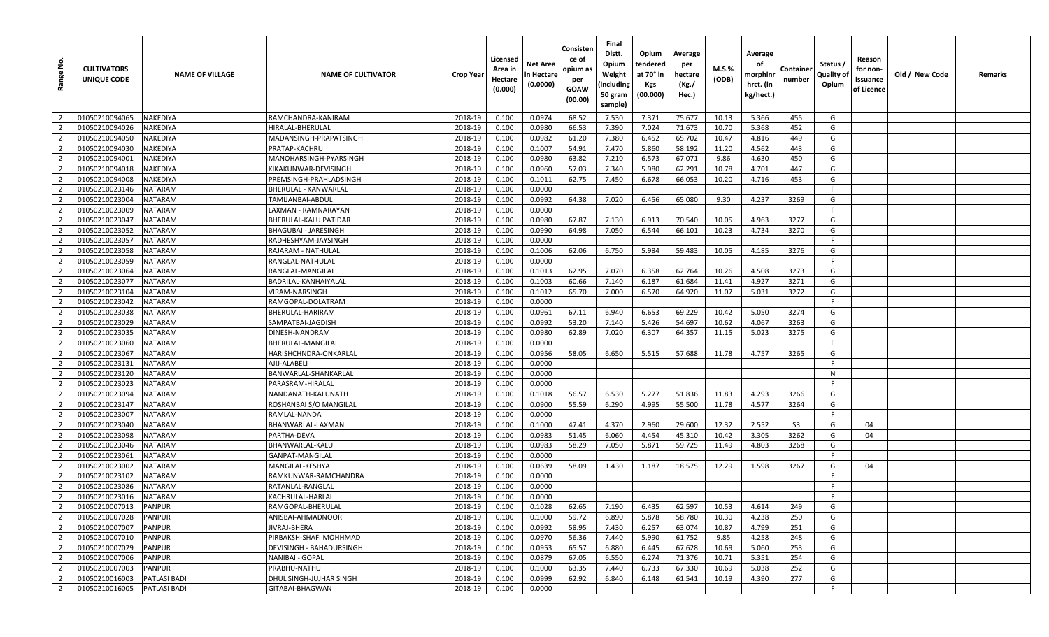| <u>غ</u><br>Range       | <b>CULTIVATORS</b><br>UNIQUE CODE | <b>NAME OF VILLAGE</b> | <b>NAME OF CULTIVATOR</b>   | Crop Year | Licensed<br>Area in<br>Hectare<br>(0.000) | Net Area<br>n Hectare<br>(0.0000) | Consisten<br>ce of<br>opium as<br>per<br><b>GOAW</b><br>(00.00) | Final<br>Distt.<br>Opium<br>Weight<br>(including<br>50 gram<br>sample) | Opium<br>tendered<br>at 70° in<br><b>Kgs</b><br>(00.000) | Average<br>per<br>hectare<br>(Kg./<br>Hec.) | $M.S.\%$<br>(ODB) | Average<br>оf<br>morphinr<br>hrct. (in<br>kg/hect.) | Containe<br>number | Status /<br>Quality of<br>Opium | Reason<br>for non-<br>Issuance<br>of Licence | Old / New Code | Remarks |
|-------------------------|-----------------------------------|------------------------|-----------------------------|-----------|-------------------------------------------|-----------------------------------|-----------------------------------------------------------------|------------------------------------------------------------------------|----------------------------------------------------------|---------------------------------------------|-------------------|-----------------------------------------------------|--------------------|---------------------------------|----------------------------------------------|----------------|---------|
| $\overline{2}$          | 01050210094065                    | <b>NAKEDIYA</b>        | RAMCHANDRA-KANIRAM          | 2018-19   | 0.100                                     | 0.0974                            | 68.52                                                           | 7.530                                                                  | 7.371                                                    | 75.677                                      | 10.13             | 5.366                                               | 455                | G                               |                                              |                |         |
| $\overline{2}$          | 01050210094026                    | NAKEDIYA               | HIRALAL-BHERULAL            | 2018-19   | 0.100                                     | 0.0980                            | 66.53                                                           | 7.390                                                                  | 7.024                                                    | 71.673                                      | 10.70             | 5.368                                               | 452                | G                               |                                              |                |         |
| $\overline{2}$          | 01050210094050                    | <b>NAKEDIYA</b>        | MADANSINGH-PRAPATSINGH      | 2018-19   | 0.100                                     | 0.0982                            | 61.20                                                           | 7.380                                                                  | 6.452                                                    | 65.702                                      | 10.47             | 4.816                                               | 449                | G                               |                                              |                |         |
| $\overline{2}$          | 01050210094030                    | <b>NAKEDIYA</b>        | PRATAP-KACHRU               | 2018-19   | 0.100                                     | 0.1007                            | 54.91                                                           | 7.470                                                                  | 5.860                                                    | 58.192                                      | 11.20             | 4.562                                               | 443                | G                               |                                              |                |         |
| $\overline{2}$          | 01050210094001                    | NAKEDIYA               | MANOHARSINGH-PYARSINGH      | 2018-19   | 0.100                                     | 0.0980                            | 63.82                                                           | 7.210                                                                  | 6.573                                                    | 67.071                                      | 9.86              | 4.630                                               | 450                | G                               |                                              |                |         |
| $\overline{2}$          | 01050210094018                    | NAKEDIYA               | KIKAKUNWAR-DEVISINGH        | 2018-19   | 0.100                                     | 0.0960                            | 57.03                                                           | 7.340                                                                  | 5.980                                                    | 62.291                                      | 10.78             | 4.701                                               | 447                | G                               |                                              |                |         |
| $\overline{2}$          | 01050210094008                    | <b>NAKEDIYA</b>        | PREMSINGH-PRAHLADSINGH      | 2018-19   | 0.100                                     | 0.1011                            | 62.75                                                           | 7.450                                                                  | 6.678                                                    | 66.053                                      | 10.20             | 4.716                                               | 453                | G                               |                                              |                |         |
| $\overline{2}$          | 01050210023146                    | <b>NATARAM</b>         | BHERULAL - KANWARLAL        | 2018-19   | 0.100                                     | 0.0000                            |                                                                 |                                                                        |                                                          |                                             |                   |                                                     |                    | F.                              |                                              |                |         |
| $\overline{2}$          | 01050210023004                    | <b>NATARAM</b>         | TAMIJANBAI-ABDUL            | 2018-19   | 0.100                                     | 0.0992                            | 64.38                                                           | 7.020                                                                  | 6.456                                                    | 65.080                                      | 9.30              | 4.237                                               | 3269               | G                               |                                              |                |         |
| $\overline{2}$          | 01050210023009                    | <b>NATARAM</b>         | LAXMAN - RAMNARAYAN         | 2018-19   | 0.100                                     | 0.0000                            |                                                                 |                                                                        |                                                          |                                             |                   |                                                     |                    | F.                              |                                              |                |         |
| $\overline{2}$          | 01050210023047                    | <b>NATARAM</b>         | BHERULAL-KALU PATIDAR       | 2018-19   | 0.100                                     | 0.0980                            | 67.87                                                           | 7.130                                                                  | 6.913                                                    | 70.540                                      | 10.05             | 4.963                                               | 3277               | G                               |                                              |                |         |
| $\overline{2}$          | 01050210023052                    | <b>NATARAM</b>         | <b>BHAGUBAI - JARESINGH</b> | 2018-19   | 0.100                                     | 0.0990                            | 64.98                                                           | 7.050                                                                  | 6.544                                                    | 66.101                                      | 10.23             | 4.734                                               | 3270               | G                               |                                              |                |         |
| $\overline{2}$          | 01050210023057                    | <b>NATARAM</b>         | RADHESHYAM-JAYSINGH         | 2018-19   | 0.100                                     | 0.0000                            |                                                                 |                                                                        |                                                          |                                             |                   |                                                     |                    | F.                              |                                              |                |         |
| $\overline{2}$          | 01050210023058                    | <b>NATARAM</b>         | RAJARAM - NATHULAL          | 2018-19   | 0.100                                     | 0.1006                            | 62.06                                                           | 6.750                                                                  | 5.984                                                    | 59.483                                      | 10.05             | 4.185                                               | 3276               | G                               |                                              |                |         |
| $\overline{2}$          | 01050210023059                    | <b>NATARAM</b>         | RANGLAL-NATHULAL            | 2018-19   | 0.100                                     | 0.0000                            |                                                                 |                                                                        |                                                          |                                             |                   |                                                     |                    | -F                              |                                              |                |         |
| $\overline{2}$          | 01050210023064                    | <b>NATARAM</b>         | RANGLAL-MANGILAL            | 2018-19   | 0.100                                     | 0.1013                            | 62.95                                                           | 7.070                                                                  | 6.358                                                    | 62.764                                      | 10.26             | 4.508                                               | 3273               | G                               |                                              |                |         |
| $\overline{2}$          | 01050210023077                    | <b>NATARAM</b>         | BADRILAL-KANHAIYALAL        | 2018-19   | 0.100                                     | 0.1003                            | 60.66                                                           | 7.140                                                                  | 6.187                                                    | 61.684                                      | 11.41             | 4.927                                               | 3271               | G                               |                                              |                |         |
| $\overline{2}$          | 01050210023104                    | <b>NATARAM</b>         | VIRAM-NARSINGH              | 2018-19   | 0.100                                     | 0.1012                            | 65.70                                                           | 7.000                                                                  | 6.570                                                    | 64.920                                      | 11.07             | 5.031                                               | 3272               | G                               |                                              |                |         |
| $\overline{2}$          | 01050210023042                    | <b>NATARAM</b>         | RAMGOPAL-DOLATRAM           | 2018-19   | 0.100                                     | 0.0000                            |                                                                 |                                                                        |                                                          |                                             |                   |                                                     |                    | F.                              |                                              |                |         |
| $\overline{2}$          | 01050210023038                    | <b>NATARAM</b>         | BHERULAL-HARIRAM            | 2018-19   | 0.100                                     | 0.0961                            | 67.11                                                           | 6.940                                                                  | 6.653                                                    | 69.229                                      | 10.42             | 5.050                                               | 3274               | G                               |                                              |                |         |
| $\overline{2}$          | 01050210023029                    | <b>NATARAM</b>         | SAMPATBAI-JAGDISH           | 2018-19   | 0.100                                     | 0.0992                            | 53.20                                                           | 7.140                                                                  | 5.426                                                    | 54.697                                      | 10.62             | 4.067                                               | 3263               | G                               |                                              |                |         |
| $\overline{2}$          | 01050210023035                    | <b>NATARAM</b>         | DINESH-NANDRAM              | 2018-19   | 0.100                                     | 0.0980                            | 62.89                                                           | 7.020                                                                  | 6.307                                                    | 64.357                                      | 11.15             | 5.023                                               | 3275               | G                               |                                              |                |         |
| $\overline{2}$          | 01050210023060                    | <b>NATARAM</b>         | BHERULAL-MANGILAL           | 2018-19   | 0.100                                     | 0.0000                            |                                                                 |                                                                        |                                                          |                                             |                   |                                                     |                    | F.                              |                                              |                |         |
| $\overline{2}$          | 01050210023067                    | <b>NATARAM</b>         | HARISHCHNDRA-ONKARLAL       | 2018-19   | 0.100                                     | 0.0956                            | 58.05                                                           | 6.650                                                                  | 5.515                                                    | 57.688                                      | 11.78             | 4.757                                               | 3265               | G                               |                                              |                |         |
| $\overline{2}$          | 01050210023131                    | <b>NATARAM</b>         | AJIJ-ALABELI                | 2018-19   | 0.100                                     | 0.0000                            |                                                                 |                                                                        |                                                          |                                             |                   |                                                     |                    | F.                              |                                              |                |         |
| $\overline{2}$          | 01050210023120                    | <b>NATARAM</b>         | BANWARLAL-SHANKARLAI        | 2018-19   | 0.100                                     | 0.0000                            |                                                                 |                                                                        |                                                          |                                             |                   |                                                     |                    | N                               |                                              |                |         |
| $\overline{2}$          | 01050210023023                    | <b>NATARAM</b>         | PARASRAM-HIRALAL            | 2018-19   | 0.100                                     | 0.0000                            |                                                                 |                                                                        |                                                          |                                             |                   |                                                     |                    | - F                             |                                              |                |         |
| $\overline{2}$          | 01050210023094                    | <b>NATARAM</b>         | NANDANATH-KALUNATH          | 2018-19   | 0.100                                     | 0.1018                            | 56.57                                                           | 6.530                                                                  | 5.277                                                    | 51.836                                      | 11.83             | 4.293                                               | 3266               | G                               |                                              |                |         |
| $\overline{2}$          | 01050210023147                    | <b>NATARAM</b>         | ROSHANBAI S/O MANGILAI      | 2018-19   | 0.100                                     | 0.0900                            | 55.59                                                           | 6.290                                                                  | 4.995                                                    | 55.500                                      | 11.78             | 4.577                                               | 3264               | G                               |                                              |                |         |
| $\overline{2}$          | 01050210023007                    | <b>NATARAM</b>         | RAMLAL-NANDA                | 2018-19   | 0.100                                     | 0.0000                            |                                                                 |                                                                        |                                                          |                                             |                   |                                                     |                    | -F                              |                                              |                |         |
| $\overline{2}$          | 01050210023040                    | <b>NATARAM</b>         | BHANWARLAL-LAXMAN           | 2018-19   | 0.100                                     | 0.1000                            | 47.41                                                           | 4.370                                                                  | 2.960                                                    | 29.600                                      | 12.32             | 2.552                                               | S <sub>3</sub>     | G                               | 04                                           |                |         |
| $\overline{2}$          | 01050210023098                    | <b>NATARAM</b>         | PARTHA-DEVA                 | 2018-19   | 0.100                                     | 0.0983                            | 51.45                                                           | 6.060                                                                  | 4.454                                                    | 45.310                                      | 10.42             | 3.305                                               | 3262               | G                               | 04                                           |                |         |
| $\overline{2}$          | 01050210023046                    | <b>NATARAM</b>         | BHANWARLAL-KALU             | 2018-19   | 0.100                                     | 0.0983                            | 58.29                                                           | 7.050                                                                  | 5.871                                                    | 59.725                                      | 11.49             | 4.803                                               | 3268               | G                               |                                              |                |         |
| $\overline{2}$          | 01050210023061                    | <b>NATARAM</b>         | GANPAT-MANGILAL             | 2018-19   | 0.100                                     | 0.0000                            |                                                                 |                                                                        |                                                          |                                             |                   |                                                     |                    | E                               |                                              |                |         |
| $\overline{2}$          | 01050210023002                    | <b>NATARAM</b>         | MANGILAL-KESHYA             | 2018-19   | 0.100                                     | 0.0639                            | 58.09                                                           | 1.430                                                                  | 1.187                                                    | 18.575                                      | 12.29             | 1.598                                               | 3267               | G                               | 04                                           |                |         |
| $\overline{2}$          | 01050210023102                    | <b>NATARAM</b>         | RAMKUNWAR-RAMCHANDRA        | 2018-19   | 0.100                                     | 0.0000                            |                                                                 |                                                                        |                                                          |                                             |                   |                                                     |                    | -F                              |                                              |                |         |
| $\overline{2}$          | 01050210023086                    | <b>NATARAM</b>         | RATANLAL-RANGLAL            | 2018-19   | 0.100                                     | 0.0000                            |                                                                 |                                                                        |                                                          |                                             |                   |                                                     |                    | -F                              |                                              |                |         |
| $\overline{2}$          | 01050210023016                    | <b>NATARAM</b>         | KACHRULAL-HARLAL            | 2018-19   | 0.100                                     | 0.0000                            |                                                                 |                                                                        |                                                          |                                             |                   |                                                     |                    | -F.                             |                                              |                |         |
| $\overline{2}$          | 01050210007013                    | <b>PANPUR</b>          | RAMGOPAL-BHERULAL           | 2018-19   | 0.100                                     | 0.1028                            | 62.65                                                           | 7.190                                                                  | 6.435                                                    | 62.597                                      | 10.53             | 4.614                                               | 249                | G                               |                                              |                |         |
| $\overline{2}$          | 01050210007028                    | <b>PANPUR</b>          | ANISBAI-AHMADNOOR           | 2018-19   | 0.100                                     | 0.1000                            | 59.72                                                           | 6.890                                                                  | 5.878                                                    | 58.780                                      | 10.30             | 4.238                                               | 250                | G                               |                                              |                |         |
| $\overline{2}$          | 01050210007007                    | <b>PANPUR</b>          | JIVRAJ-BHERA                | 2018-19   | 0.100                                     | 0.0992                            | 58.95                                                           | 7.430                                                                  | 6.257                                                    | 63.074                                      | 10.87             | 4.799                                               | 251                | G                               |                                              |                |         |
| $\overline{\mathbf{2}}$ | 01050210007010                    | <b>PANPUR</b>          | PIRBAKSH-SHAFI MOHHMAD      | 2018-19   | 0.100                                     | 0.0970                            | 56.36                                                           | 7.440                                                                  | 5.990                                                    | 61.752                                      | 9.85              | 4.258                                               | 248                | G                               |                                              |                |         |
| $\overline{2}$          | 01050210007029                    | <b>PANPUR</b>          | DEVISINGH - BAHADURSINGH    | 2018-19   | 0.100                                     | 0.0953                            | 65.57                                                           | 6.880                                                                  | 6.445                                                    | 67.628                                      | 10.69             | 5.060                                               | 253                | G                               |                                              |                |         |
| $\overline{2}$          | 01050210007006                    | <b>PANPUR</b>          | <b>NANIBAI - GOPAL</b>      | 2018-19   | 0.100                                     | 0.0879                            | 67.05                                                           | 6.550                                                                  | 6.274                                                    | 71.376                                      | 10.71             | 5.351                                               | 254                | G                               |                                              |                |         |
| $\overline{2}$          | 01050210007003                    | <b>PANPUR</b>          | PRABHU-NATHU                | 2018-19   | 0.100                                     | 0.1000                            | 63.35                                                           | 7.440                                                                  | 6.733                                                    | 67.330                                      | 10.69             | 5.038                                               | 252                | G                               |                                              |                |         |
| $\overline{2}$          | 01050210016003                    | PATLASI BADI           | DHUL SINGH-JUJHAR SINGH     | 2018-19   | 0.100                                     | 0.0999                            | 62.92                                                           | 6.840                                                                  | 6.148                                                    | 61.541                                      | 10.19             | 4.390                                               | 277                | G                               |                                              |                |         |
| $\overline{2}$          | 01050210016005                    | PATLASI BADI           | GITABAI-BHAGWAN             | 2018-19   | 0.100                                     | 0.0000                            |                                                                 |                                                                        |                                                          |                                             |                   |                                                     |                    | F                               |                                              |                |         |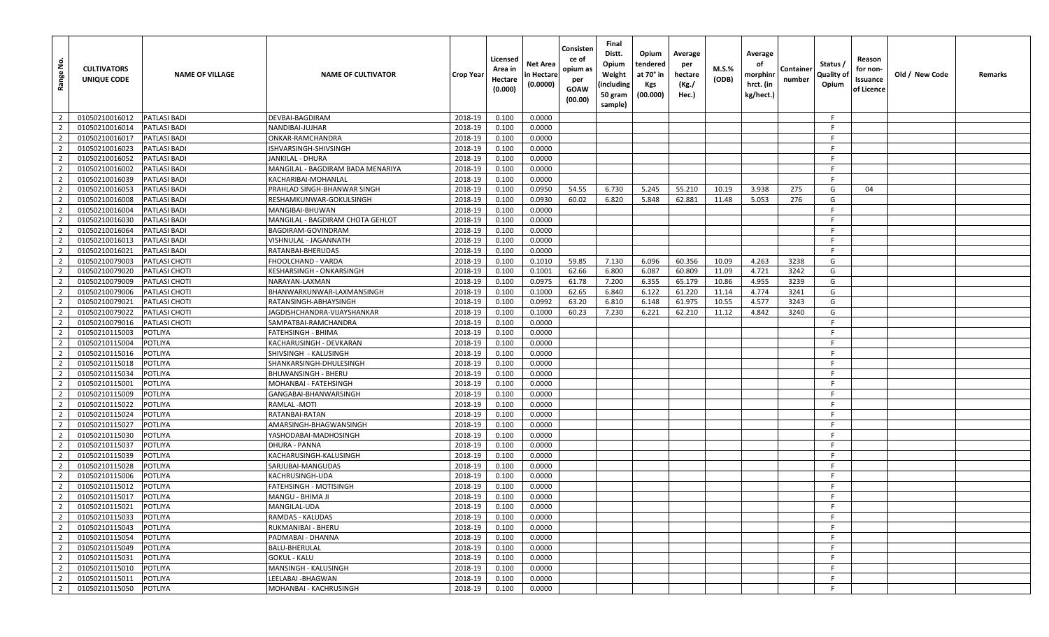| <u>ي</u><br>Range | <b>CULTIVATORS</b><br>UNIQUE CODE | <b>NAME OF VILLAGE</b> | <b>NAME OF CULTIVATOR</b>         | Crop Year | Licensed<br>Area in<br>Hectare<br>(0.000) | Net Area<br>n Hectare<br>(0.0000) | Consisten<br>ce of<br>opium as<br>per<br><b>GOAW</b><br>(00.00) | Final<br>Distt.<br>Opium<br>Weight<br>(including<br>50 gram<br>sample) | Opium<br>tendered<br>at 70° in<br>Kgs<br>(00.000) | Average<br>per<br>hectare<br>(Kg./<br>Hec.) | <b>M.S.%</b><br>(ODB) | Average<br>оf<br>morphinr<br>hrct. (in<br>kg/hect.) | Containe<br>number | Status /<br>Quality of<br>Opium | Reason<br>for non-<br>Issuance<br>of Licence | Old / New Code | Remarks |
|-------------------|-----------------------------------|------------------------|-----------------------------------|-----------|-------------------------------------------|-----------------------------------|-----------------------------------------------------------------|------------------------------------------------------------------------|---------------------------------------------------|---------------------------------------------|-----------------------|-----------------------------------------------------|--------------------|---------------------------------|----------------------------------------------|----------------|---------|
| $\overline{2}$    | 01050210016012                    | <b>PATLASI BADI</b>    | DEVBAI-BAGDIRAM                   | 2018-19   | 0.100                                     | 0.0000                            |                                                                 |                                                                        |                                                   |                                             |                       |                                                     |                    | - F                             |                                              |                |         |
| $\overline{2}$    | 01050210016014                    | <b>PATLASI BADI</b>    | NANDIBAI-JUJHAR                   | 2018-19   | 0.100                                     | 0.0000                            |                                                                 |                                                                        |                                                   |                                             |                       |                                                     |                    | -F                              |                                              |                |         |
| $\overline{2}$    | 01050210016017                    | <b>PATLASI BADI</b>    | ONKAR-RAMCHANDRA                  | 2018-19   | 0.100                                     | 0.0000                            |                                                                 |                                                                        |                                                   |                                             |                       |                                                     |                    | -F                              |                                              |                |         |
| $\overline{2}$    | 01050210016023                    | <b>PATLASI BADI</b>    | ISHVARSINGH-SHIVSINGH             | 2018-19   | 0.100                                     | 0.0000                            |                                                                 |                                                                        |                                                   |                                             |                       |                                                     |                    | -F                              |                                              |                |         |
| $\overline{2}$    | 01050210016052                    | <b>PATLASI BADI</b>    | JANKILAL - DHURA                  | 2018-19   | 0.100                                     | 0.0000                            |                                                                 |                                                                        |                                                   |                                             |                       |                                                     |                    | -F                              |                                              |                |         |
| $\overline{2}$    | 01050210016002                    | <b>PATLASI BADI</b>    | MANGILAL - BAGDIRAM BADA MENARIYA | 2018-19   | 0.100                                     | 0.0000                            |                                                                 |                                                                        |                                                   |                                             |                       |                                                     |                    | -F                              |                                              |                |         |
| $\overline{2}$    | 01050210016039                    | <b>PATLASI BADI</b>    | KACHARIBAI-MOHANLAL               | 2018-19   | 0.100                                     | 0.0000                            |                                                                 |                                                                        |                                                   |                                             |                       |                                                     |                    | F.                              |                                              |                |         |
| $\overline{2}$    | 01050210016053                    | <b>PATLASI BADI</b>    | PRAHLAD SINGH-BHANWAR SINGH       | 2018-19   | 0.100                                     | 0.0950                            | 54.55                                                           | 6.730                                                                  | 5.245                                             | 55.210                                      | 10.19                 | 3.938                                               | 275                | G                               | 04                                           |                |         |
| $\overline{2}$    | 01050210016008                    | <b>PATLASI BADI</b>    | RESHAMKUNWAR-GOKULSINGH           | 2018-19   | 0.100                                     | 0.0930                            | 60.02                                                           | 6.820                                                                  | 5.848                                             | 62.881                                      | 11.48                 | 5.053                                               | 276                | G                               |                                              |                |         |
| $\overline{2}$    | 01050210016004                    | <b>PATLASI BADI</b>    | MANGIBAI-BHUWAN                   | 2018-19   | 0.100                                     | 0.0000                            |                                                                 |                                                                        |                                                   |                                             |                       |                                                     |                    | F.                              |                                              |                |         |
| $\overline{2}$    | 01050210016030                    | <b>PATLASI BADI</b>    | MANGILAL - BAGDIRAM CHOTA GEHLOT  | 2018-19   | 0.100                                     | 0.0000                            |                                                                 |                                                                        |                                                   |                                             |                       |                                                     |                    | -F                              |                                              |                |         |
| $\overline{2}$    | 01050210016064                    | <b>PATLASI BADI</b>    | BAGDIRAM-GOVINDRAM                | 2018-19   | 0.100                                     | 0.0000                            |                                                                 |                                                                        |                                                   |                                             |                       |                                                     |                    | -F                              |                                              |                |         |
| $\overline{2}$    | 01050210016013                    | <b>PATLASI BADI</b>    | VISHNULAL - JAGANNATH             | 2018-19   | 0.100                                     | 0.0000                            |                                                                 |                                                                        |                                                   |                                             |                       |                                                     |                    | -F                              |                                              |                |         |
| $\overline{2}$    | 01050210016021                    | <b>PATLASI BADI</b>    | RATANBAI-BHERUDAS                 | 2018-19   | 0.100                                     | 0.0000                            |                                                                 |                                                                        |                                                   |                                             |                       |                                                     |                    | F.                              |                                              |                |         |
| $\overline{2}$    | 01050210079003                    | <b>PATLASI CHOTI</b>   | FHOOLCHAND - VARDA                | 2018-19   | 0.100                                     | 0.1010                            | 59.85                                                           | 7.130                                                                  | 6.096                                             | 60.356                                      | 10.09                 | 4.263                                               | 3238               | G                               |                                              |                |         |
| $\overline{2}$    | 01050210079020                    | <b>PATLASI CHOTI</b>   | KESHARSINGH - ONKARSINGH          | 2018-19   | 0.100                                     | 0.1001                            | 62.66                                                           | 6.800                                                                  | 6.087                                             | 60.809                                      | 11.09                 | 4.721                                               | 3242               | G                               |                                              |                |         |
| $\overline{2}$    | 01050210079009                    | <b>PATLASI CHOTI</b>   | NARAYAN-LAXMAN                    | 2018-19   | 0.100                                     | 0.0975                            | 61.78                                                           | 7.200                                                                  | 6.355                                             | 65.179                                      | 10.86                 | 4.955                                               | 3239               | G                               |                                              |                |         |
| $\overline{2}$    | 01050210079006                    | <b>PATLASI CHOTI</b>   | BHANWARKUNWAR-LAXMANSINGH         | 2018-19   | 0.100                                     | 0.1000                            | 62.65                                                           | 6.840                                                                  | 6.122                                             | 61.220                                      | 11.14                 | 4.774                                               | 3241               | G                               |                                              |                |         |
| $\overline{2}$    | 01050210079021                    | <b>PATLASI CHOTI</b>   | RATANSINGH-ABHAYSINGH             | 2018-19   | 0.100                                     | 0.0992                            | 63.20                                                           | 6.810                                                                  | 6.148                                             | 61.975                                      | 10.55                 | 4.577                                               | 3243               | G                               |                                              |                |         |
| $\overline{2}$    | 01050210079022                    | PATLASI CHOTI          | JAGDISHCHANDRA-VIJAYSHANKAR       | 2018-19   | 0.100                                     | 0.1000                            | 60.23                                                           | 7.230                                                                  | 6.221                                             | 62.210                                      | 11.12                 | 4.842                                               | 3240               | G                               |                                              |                |         |
| $\overline{2}$    | 01050210079016                    | <b>PATLASI CHOTI</b>   | SAMPATBAI-RAMCHANDRA              | 2018-19   | 0.100                                     | 0.0000                            |                                                                 |                                                                        |                                                   |                                             |                       |                                                     |                    | F.                              |                                              |                |         |
| $\overline{2}$    | 01050210115003                    | <b>POTLIYA</b>         | FATEHSINGH - BHIMA                | 2018-19   | 0.100                                     | 0.0000                            |                                                                 |                                                                        |                                                   |                                             |                       |                                                     |                    | -F                              |                                              |                |         |
| $\overline{2}$    | 01050210115004                    | <b>POTLIYA</b>         | KACHARUSINGH - DEVKARAN           | 2018-19   | 0.100                                     | 0.0000                            |                                                                 |                                                                        |                                                   |                                             |                       |                                                     |                    | -F                              |                                              |                |         |
| $\overline{2}$    | 01050210115016                    | <b>POTLIYA</b>         | SHIVSINGH - KALUSINGH             | 2018-19   | 0.100                                     | 0.0000                            |                                                                 |                                                                        |                                                   |                                             |                       |                                                     |                    | -F                              |                                              |                |         |
| $\overline{2}$    | 01050210115018                    | <b>POTLIYA</b>         | SHANKARSINGH-DHULESINGH           | 2018-19   | 0.100                                     | 0.0000                            |                                                                 |                                                                        |                                                   |                                             |                       |                                                     |                    | -F                              |                                              |                |         |
| $\overline{2}$    | 01050210115034                    | <b>POTLIYA</b>         | <b>BHUWANSINGH - BHERU</b>        | 2018-19   | 0.100                                     | 0.0000                            |                                                                 |                                                                        |                                                   |                                             |                       |                                                     |                    | F.                              |                                              |                |         |
| $\overline{2}$    | 01050210115001                    | <b>POTLIYA</b>         | MOHANBAI - FATEHSINGH             | 2018-19   | 0.100                                     | 0.0000                            |                                                                 |                                                                        |                                                   |                                             |                       |                                                     |                    | -F                              |                                              |                |         |
| $\overline{2}$    | 01050210115009                    | <b>POTLIYA</b>         | GANGABAI-BHANWARSINGH             | 2018-19   | 0.100                                     | 0.0000                            |                                                                 |                                                                        |                                                   |                                             |                       |                                                     |                    | F.                              |                                              |                |         |
| $\overline{2}$    | 01050210115022                    | <b>POTLIYA</b>         | RAMLAL -MOTI                      | 2018-19   | 0.100                                     | 0.0000                            |                                                                 |                                                                        |                                                   |                                             |                       |                                                     |                    | -F                              |                                              |                |         |
| $\overline{2}$    | 01050210115024                    | <b>POTLIYA</b>         | RATANBAI-RATAN                    | 2018-19   | 0.100                                     | 0.0000                            |                                                                 |                                                                        |                                                   |                                             |                       |                                                     |                    | -F                              |                                              |                |         |
| $\overline{2}$    | 01050210115027                    | <b>POTLIYA</b>         | AMARSINGH-BHAGWANSINGH            | 2018-19   | 0.100                                     | 0.0000                            |                                                                 |                                                                        |                                                   |                                             |                       |                                                     |                    | -F                              |                                              |                |         |
| $\overline{2}$    | 01050210115030                    | <b>POTLIYA</b>         | YASHODABAI-MADHOSINGH             | 2018-19   | 0.100                                     | 0.0000                            |                                                                 |                                                                        |                                                   |                                             |                       |                                                     |                    | -F.                             |                                              |                |         |
| $\overline{2}$    | 01050210115037                    | <b>POTLIYA</b>         | <b>DHURA - PANNA</b>              | 2018-19   | 0.100                                     | 0.0000                            |                                                                 |                                                                        |                                                   |                                             |                       |                                                     |                    | F.                              |                                              |                |         |
| $\overline{2}$    | 01050210115039                    | <b>POTLIYA</b>         | KACHARUSINGH-KALUSINGH            | 2018-19   | 0.100                                     | 0.0000                            |                                                                 |                                                                        |                                                   |                                             |                       |                                                     |                    | -F                              |                                              |                |         |
| $\overline{2}$    | 01050210115028                    | <b>POTLIYA</b>         | SARJUBAI-MANGUDAS                 | 2018-19   | 0.100                                     | 0.0000                            |                                                                 |                                                                        |                                                   |                                             |                       |                                                     |                    | F.                              |                                              |                |         |
| $\overline{2}$    | 01050210115006                    | <b>POTLIYA</b>         | KACHRUSINGH-UDA                   | 2018-19   | 0.100                                     | 0.0000                            |                                                                 |                                                                        |                                                   |                                             |                       |                                                     |                    | -F                              |                                              |                |         |
| $\overline{2}$    | 01050210115012                    | <b>POTLIYA</b>         | FATEHSINGH - MOTISINGH            | 2018-19   | 0.100                                     | 0.0000                            |                                                                 |                                                                        |                                                   |                                             |                       |                                                     |                    | -F.                             |                                              |                |         |
| $\overline{2}$    | 01050210115017                    | <b>POTLIYA</b>         | MANGU - BHIMA JI                  | 2018-19   | 0.100                                     | 0.0000                            |                                                                 |                                                                        |                                                   |                                             |                       |                                                     |                    | -F.                             |                                              |                |         |
| $\overline{2}$    | 01050210115021                    | POTLIYA                | MANGILAL-UDA                      | 2018-19   | 0.100                                     | 0.0000                            |                                                                 |                                                                        |                                                   |                                             |                       |                                                     |                    | -F                              |                                              |                |         |
| $\overline{2}$    | 01050210115033                    | POTLIYA                | RAMDAS - KALUDAS                  | 2018-19   | 0.100                                     | 0.0000                            |                                                                 |                                                                        |                                                   |                                             |                       |                                                     |                    | F.                              |                                              |                |         |
| $\overline{2}$    | 01050210115043                    | POTLIYA                | RUKMANIBAI - BHERU                | 2018-19   | 0.100                                     | 0.0000                            |                                                                 |                                                                        |                                                   |                                             |                       |                                                     |                    | F.                              |                                              |                |         |
| $\overline{2}$    | 01050210115054                    | <b>POTLIYA</b>         | PADMABAI - DHANNA                 | 2018-19   | 0.100                                     | 0.0000                            |                                                                 |                                                                        |                                                   |                                             |                       |                                                     |                    | F.                              |                                              |                |         |
| $\overline{2}$    | 01050210115049                    | POTLIYA                | BALU-BHERULAL                     | 2018-19   | 0.100                                     | 0.0000                            |                                                                 |                                                                        |                                                   |                                             |                       |                                                     |                    | -F                              |                                              |                |         |
| $\overline{2}$    | 01050210115031                    | POTLIYA                | <b>GOKUL - KALU</b>               | 2018-19   | 0.100                                     | 0.0000                            |                                                                 |                                                                        |                                                   |                                             |                       |                                                     |                    | -F                              |                                              |                |         |
| $\overline{2}$    | 01050210115010                    | POTLIYA                | MANSINGH - KALUSINGH              | 2018-19   | 0.100                                     | 0.0000                            |                                                                 |                                                                        |                                                   |                                             |                       |                                                     |                    | F                               |                                              |                |         |
| $\overline{2}$    | 01050210115011                    | <b>POTLIYA</b>         | LEELABAI -BHAGWAN                 | 2018-19   | 0.100                                     | 0.0000                            |                                                                 |                                                                        |                                                   |                                             |                       |                                                     |                    | F.                              |                                              |                |         |
| $\overline{2}$    | 01050210115050                    | <b>POTLIYA</b>         | MOHANBAI - KACHRUSINGH            | 2018-19   | 0.100                                     | 0.0000                            |                                                                 |                                                                        |                                                   |                                             |                       |                                                     |                    | F                               |                                              |                |         |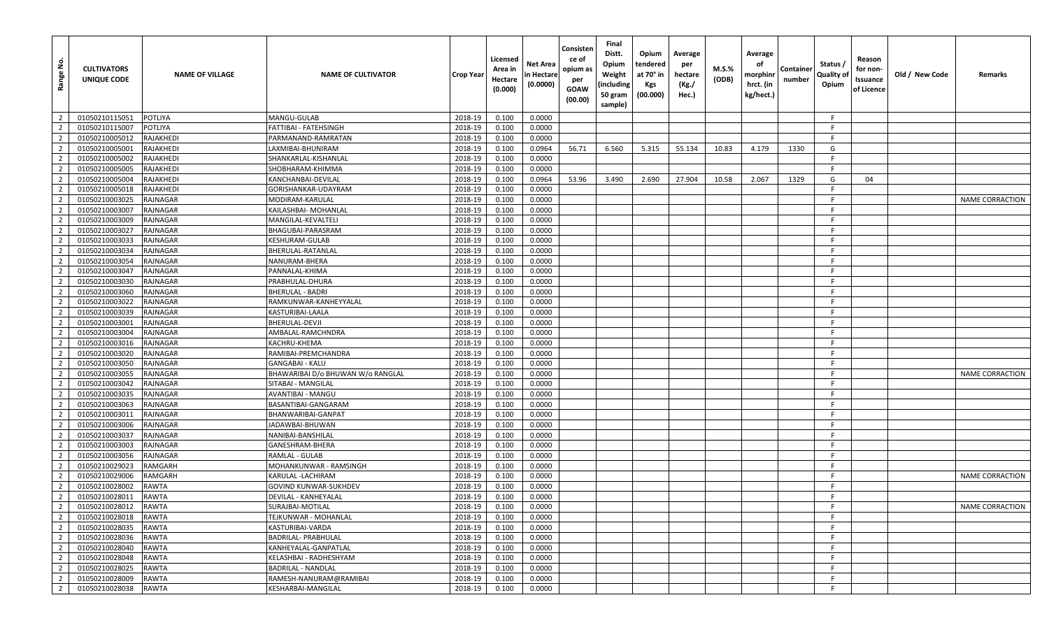| Range No.               | <b>CULTIVATORS</b><br>UNIQUE CODE | <b>NAME OF VILLAGE</b> | <b>NAME OF CULTIVATOR</b>         | Crop Year | Licensed<br>Area in<br>Hectare<br>(0.000) | Net Area<br>n Hectare<br>(0.0000) | Consisten<br>ce of<br>opium as<br>per<br><b>GOAW</b><br>(00.00) | Final<br>Distt.<br>Opium<br>Weight<br>(including<br>50 gram<br>sample) | Opium<br>tendered<br>at 70° in<br>Kgs<br>(00.000) | Average<br>per<br>hectare<br>(Kg./<br>Hec.) | M.S.%<br>(ODB) | Average<br>of<br>morphinr<br>hrct. (in<br>kg/hect.) | Containe<br>number | Status /<br>Quality of<br>Opium | Reason<br>for non-<br>Issuance<br>of Licence | Old / New Code | Remarks                |
|-------------------------|-----------------------------------|------------------------|-----------------------------------|-----------|-------------------------------------------|-----------------------------------|-----------------------------------------------------------------|------------------------------------------------------------------------|---------------------------------------------------|---------------------------------------------|----------------|-----------------------------------------------------|--------------------|---------------------------------|----------------------------------------------|----------------|------------------------|
| $\overline{2}$          | 01050210115051                    | <b>POTLIYA</b>         | MANGU-GULAB                       | 2018-19   | 0.100                                     | 0.0000                            |                                                                 |                                                                        |                                                   |                                             |                |                                                     |                    | F                               |                                              |                |                        |
| $\overline{2}$          | 01050210115007                    | <b>POTLIYA</b>         | FATTIBAI - FATEHSINGH             | 2018-19   | 0.100                                     | 0.0000                            |                                                                 |                                                                        |                                                   |                                             |                |                                                     |                    | -F                              |                                              |                |                        |
| $\overline{2}$          | 01050210005012                    | RAJAKHEDI              | PARMANAND-RAMRATAN                | 2018-19   | 0.100                                     | 0.0000                            |                                                                 |                                                                        |                                                   |                                             |                |                                                     |                    | F.                              |                                              |                |                        |
| $\overline{2}$          | 01050210005001                    | RAJAKHEDI              | LAXMIBAI-BHUNIRAM                 | 2018-19   | 0.100                                     | 0.0964                            | 56.71                                                           | 6.560                                                                  | 5.315                                             | 55.134                                      | 10.83          | 4.179                                               | 1330               | G                               |                                              |                |                        |
| $\overline{2}$          | 01050210005002                    | RAJAKHEDI              | SHANKARLAL-KISHANLAL              | 2018-19   | 0.100                                     | 0.0000                            |                                                                 |                                                                        |                                                   |                                             |                |                                                     |                    | E                               |                                              |                |                        |
| $\overline{2}$          | 01050210005005                    | RAJAKHEDI              | SHOBHARAM-KHIMMA                  | 2018-19   | 0.100                                     | 0.0000                            |                                                                 |                                                                        |                                                   |                                             |                |                                                     |                    | -F                              |                                              |                |                        |
| $\overline{2}$          | 01050210005004                    | RAJAKHEDI              | KANCHANBAI-DEVILAL                | 2018-19   | 0.100                                     | 0.0964                            | 53.96                                                           | 3.490                                                                  | 2.690                                             | 27.904                                      | 10.58          | 2.067                                               | 1329               | G                               | 04                                           |                |                        |
| $\overline{2}$          | 01050210005018                    | RAJAKHEDI              | GORISHANKAR-UDAYRAM               | 2018-19   | 0.100                                     | 0.0000                            |                                                                 |                                                                        |                                                   |                                             |                |                                                     |                    | -F.                             |                                              |                |                        |
| $\overline{2}$          | 01050210003025                    | <b>RAJNAGAR</b>        | MODIRAM-KARULAL                   | 2018-19   | 0.100                                     | 0.0000                            |                                                                 |                                                                        |                                                   |                                             |                |                                                     |                    | -F                              |                                              |                | <b>NAME CORRACTION</b> |
| $\overline{2}$          | 01050210003007                    | <b>RAJNAGAR</b>        | KAILASHBAI- MOHANLAL              | 2018-19   | 0.100                                     | 0.0000                            |                                                                 |                                                                        |                                                   |                                             |                |                                                     |                    | F.                              |                                              |                |                        |
| $\overline{2}$          | 01050210003009                    | <b>RAJNAGAR</b>        | MANGILAL-KEVALTELI                | 2018-19   | 0.100                                     | 0.0000                            |                                                                 |                                                                        |                                                   |                                             |                |                                                     |                    | -F                              |                                              |                |                        |
| $\overline{2}$          | 01050210003027                    | RAJNAGAR               | BHAGUBAI-PARASRAM                 | 2018-19   | 0.100                                     | 0.0000                            |                                                                 |                                                                        |                                                   |                                             |                |                                                     |                    | -F                              |                                              |                |                        |
| $\overline{2}$          | 01050210003033                    | <b>RAJNAGAR</b>        | KESHURAM-GULAB                    | 2018-19   | 0.100                                     | 0.0000                            |                                                                 |                                                                        |                                                   |                                             |                |                                                     |                    | -F                              |                                              |                |                        |
| $\overline{2}$          | 01050210003034                    | <b>RAJNAGAR</b>        | BHERULAL-RATANLAL                 | 2018-19   | 0.100                                     | 0.0000                            |                                                                 |                                                                        |                                                   |                                             |                |                                                     |                    | F.                              |                                              |                |                        |
| $\overline{2}$          | 01050210003054                    | <b>RAJNAGAR</b>        | NANURAM-BHERA                     | 2018-19   | 0.100                                     | 0.0000                            |                                                                 |                                                                        |                                                   |                                             |                |                                                     |                    | -F                              |                                              |                |                        |
| $\overline{2}$          | 01050210003047                    | RAJNAGAR               | PANNALAL-KHIMA                    | 2018-19   | 0.100                                     | 0.0000                            |                                                                 |                                                                        |                                                   |                                             |                |                                                     |                    | -F                              |                                              |                |                        |
| $\overline{2}$          | 01050210003030                    | <b>RAJNAGAR</b>        | PRABHULAL-DHURA                   | 2018-19   | 0.100                                     | 0.0000                            |                                                                 |                                                                        |                                                   |                                             |                |                                                     |                    | -F                              |                                              |                |                        |
| $\overline{2}$          | 01050210003060                    | <b>RAJNAGAR</b>        | <b>BHERULAL - BADRI</b>           | 2018-19   | 0.100                                     | 0.0000                            |                                                                 |                                                                        |                                                   |                                             |                |                                                     |                    | F.                              |                                              |                |                        |
| $\overline{2}$          | 01050210003022                    | <b>RAJNAGAR</b>        | RAMKUNWAR-KANHEYYALAL             | 2018-19   | 0.100                                     | 0.0000                            |                                                                 |                                                                        |                                                   |                                             |                |                                                     |                    | -F                              |                                              |                |                        |
| $\overline{2}$          | 01050210003039                    | <b>RAJNAGAR</b>        | KASTURIBAI-LAALA                  | 2018-19   | 0.100                                     | 0.0000                            |                                                                 |                                                                        |                                                   |                                             |                |                                                     |                    | -F                              |                                              |                |                        |
| $\overline{2}$          | 01050210003001                    | <b>RAJNAGAR</b>        | BHERULAL-DEVJI                    | 2018-19   | 0.100                                     | 0.0000                            |                                                                 |                                                                        |                                                   |                                             |                |                                                     |                    | F.                              |                                              |                |                        |
| $\overline{2}$          | 01050210003004                    | <b>RAJNAGAR</b>        | AMBALAL-RAMCHNDRA                 | 2018-19   | 0.100                                     | 0.0000                            |                                                                 |                                                                        |                                                   |                                             |                |                                                     |                    | -F                              |                                              |                |                        |
| $\overline{2}$          | 01050210003016                    | <b>RAJNAGAR</b>        | KACHRU-KHEMA                      | 2018-19   | 0.100                                     | 0.0000                            |                                                                 |                                                                        |                                                   |                                             |                |                                                     |                    | -F.                             |                                              |                |                        |
| $\overline{2}$          | 01050210003020                    | <b>RAJNAGAR</b>        | RAMIBAI-PREMCHANDRA               | 2018-19   | 0.100                                     | 0.0000                            |                                                                 |                                                                        |                                                   |                                             |                |                                                     |                    | -F                              |                                              |                |                        |
| $\overline{2}$          | 01050210003050                    | <b>RAJNAGAR</b>        | <b>GANGABAI - KALU</b>            | 2018-19   | 0.100                                     | 0.0000                            |                                                                 |                                                                        |                                                   |                                             |                |                                                     |                    | F.                              |                                              |                |                        |
| $\overline{2}$          | 01050210003055                    | <b>RAJNAGAR</b>        | BHAWARIBAI D/o BHUWAN W/o RANGLAL | 2018-19   | 0.100                                     | 0.0000                            |                                                                 |                                                                        |                                                   |                                             |                |                                                     |                    | F.                              |                                              |                | <b>NAME CORRACTION</b> |
| $\overline{2}$          | 01050210003042                    | RAJNAGAR               | SITABAI - MANGILAL                | 2018-19   | 0.100                                     | 0.0000                            |                                                                 |                                                                        |                                                   |                                             |                |                                                     |                    | -F                              |                                              |                |                        |
| $\overline{2}$          | 01050210003035                    | <b>RAJNAGAR</b>        | AVANTIBAI - MANGU                 | 2018-19   | 0.100                                     | 0.0000                            |                                                                 |                                                                        |                                                   |                                             |                |                                                     |                    | F.                              |                                              |                |                        |
| $\overline{2}$          | 01050210003063                    | RAJNAGAR               | BASANTIBAI-GANGARAM               | 2018-19   | 0.100                                     | 0.0000                            |                                                                 |                                                                        |                                                   |                                             |                |                                                     |                    | -F.                             |                                              |                |                        |
| $\overline{2}$          | 01050210003011                    | RAJNAGAR               | BHANWARIBAI-GANPAT                | 2018-19   | 0.100                                     | 0.0000                            |                                                                 |                                                                        |                                                   |                                             |                |                                                     |                    | -F                              |                                              |                |                        |
| $\overline{2}$          | 01050210003006                    | <b>RAJNAGAR</b>        | JADAWBAI-BHUWAN                   | 2018-19   | 0.100                                     | 0.0000                            |                                                                 |                                                                        |                                                   |                                             |                |                                                     |                    | -F                              |                                              |                |                        |
| $\overline{2}$          | 01050210003037                    | <b>RAJNAGAR</b>        | NANIBAI-BANSHILAL                 | 2018-19   | 0.100                                     | 0.0000                            |                                                                 |                                                                        |                                                   |                                             |                |                                                     |                    | -F.                             |                                              |                |                        |
| $\overline{2}$          | 01050210003003                    | RAJNAGAR               | GANESHRAM-BHERA                   | 2018-19   | 0.100                                     | 0.0000                            |                                                                 |                                                                        |                                                   |                                             |                |                                                     |                    | F.                              |                                              |                |                        |
| $\overline{2}$          | 01050210003056                    | <b>RAJNAGAR</b>        | RAMLAL - GULAB                    | 2018-19   | 0.100                                     | 0.0000                            |                                                                 |                                                                        |                                                   |                                             |                |                                                     |                    | F.                              |                                              |                |                        |
| $\overline{2}$          | 01050210029023                    | RAMGARH                | MOHANKUNWAR - RAMSINGH            | 2018-19   | 0.100                                     | 0.0000                            |                                                                 |                                                                        |                                                   |                                             |                |                                                     |                    | F.                              |                                              |                |                        |
| $\overline{2}$          | 01050210029006                    | RAMGARH                | KARULAL -LACHIRAM                 | 2018-19   | 0.100                                     | 0.0000                            |                                                                 |                                                                        |                                                   |                                             |                |                                                     |                    | -F.                             |                                              |                | NAME CORRACTION        |
| $\overline{2}$          | 01050210028002                    | <b>RAWTA</b>           | <b>GOVIND KUNWAR-SUKHDEV</b>      | 2018-19   | 0.100                                     | 0.0000                            |                                                                 |                                                                        |                                                   |                                             |                |                                                     |                    | -F                              |                                              |                |                        |
| $\overline{2}$          | 01050210028011                    | <b>RAWTA</b>           | DEVILAL - KANHEYALAL              | 2018-19   | 0.100                                     | 0.0000                            |                                                                 |                                                                        |                                                   |                                             |                |                                                     |                    | -F.                             |                                              |                |                        |
| $\overline{2}$          | 01050210028012                    | <b>RAWTA</b>           | SURAJBAI-MOTILAL                  | 2018-19   | 0.100                                     | 0.0000                            |                                                                 |                                                                        |                                                   |                                             |                |                                                     |                    | -F                              |                                              |                | NAME CORRACTION        |
| $\overline{2}$          | 01050210028018                    | <b>RAWTA</b>           | TEJKUNWAR - MOHANLAL              | 2018-19   | 0.100                                     | 0.0000                            |                                                                 |                                                                        |                                                   |                                             |                |                                                     |                    | F.                              |                                              |                |                        |
| $\overline{\mathbf{2}}$ | 01050210028035                    | <b>RAWTA</b>           | KASTURIBAI-VARDA                  | 2018-19   | 0.100                                     | 0.0000                            |                                                                 |                                                                        |                                                   |                                             |                |                                                     |                    | F.                              |                                              |                |                        |
| $\overline{2}$          | 01050210028036                    | <b>RAWTA</b>           | BADRILAL- PRABHULAL               | 2018-19   | 0.100                                     | 0.0000                            |                                                                 |                                                                        |                                                   |                                             |                |                                                     |                    | F.                              |                                              |                |                        |
| $\overline{2}$          | 01050210028040                    | <b>RAWTA</b>           | KANHEYALAL-GANPATLAL              | 2018-19   | 0.100                                     | 0.0000                            |                                                                 |                                                                        |                                                   |                                             |                |                                                     |                    | -F                              |                                              |                |                        |
| $\overline{2}$          | 01050210028048                    | <b>RAWTA</b>           | KELASHBAI - RADHESHYAM            | 2018-19   | 0.100                                     | 0.0000                            |                                                                 |                                                                        |                                                   |                                             |                |                                                     |                    | -F                              |                                              |                |                        |
| $\overline{2}$          | 01050210028025                    | <b>RAWTA</b>           | BADRILAL - NANDLAL                | 2018-19   | 0.100                                     | 0.0000                            |                                                                 |                                                                        |                                                   |                                             |                |                                                     |                    | F                               |                                              |                |                        |
| $\overline{2}$          | 01050210028009                    | <b>RAWTA</b>           | RAMESH-NANURAM@RAMIBAI            | 2018-19   | 0.100                                     | 0.0000                            |                                                                 |                                                                        |                                                   |                                             |                |                                                     |                    | F.                              |                                              |                |                        |
| $\overline{2}$          | 01050210028038                    | <b>RAWTA</b>           | KESHARBAI-MANGILAL                | 2018-19   | 0.100                                     | 0.0000                            |                                                                 |                                                                        |                                                   |                                             |                |                                                     |                    | F                               |                                              |                |                        |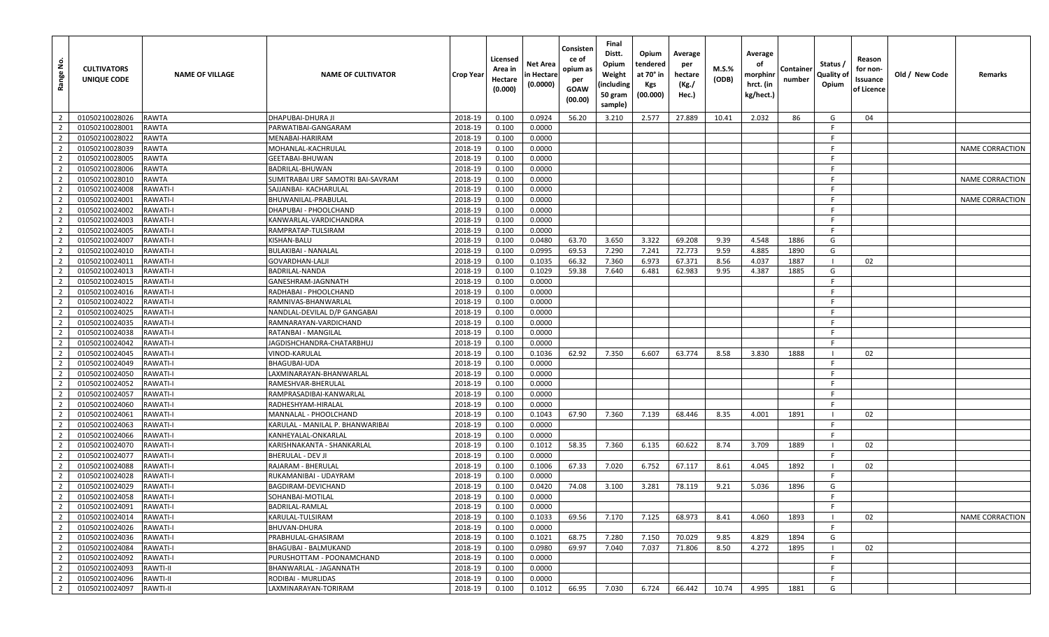| Range No.      | <b>CULTIVATORS</b><br>UNIQUE CODE | <b>NAME OF VILLAGE</b> | <b>NAME OF CULTIVATOR</b>         | <b>Crop Year</b> | Licensed<br>Area in<br>Hectare<br>(0.000) | Net Area<br>n Hectare<br>(0.0000) | Consisten<br>ce of<br>opium as<br>per<br><b>GOAW</b><br>(00.00) | Final<br>Distt.<br>Opium<br>Weight<br>(including<br>50 gram<br>sample) | Opium<br>tendered<br>at 70° in<br>Kgs<br>(00.000) | Average<br>per<br>hectare<br>(Kg./<br>Hec.) | <b>M.S.%</b><br>(ODB) | Average<br>оf<br>morphinr<br>hrct. (in<br>kg/hect.) | Container<br>number | Status /<br>Quality of<br>Opium | Reason<br>for non-<br>Issuance<br>of Licence | Old / New Code | Remarks                |
|----------------|-----------------------------------|------------------------|-----------------------------------|------------------|-------------------------------------------|-----------------------------------|-----------------------------------------------------------------|------------------------------------------------------------------------|---------------------------------------------------|---------------------------------------------|-----------------------|-----------------------------------------------------|---------------------|---------------------------------|----------------------------------------------|----------------|------------------------|
| $\overline{2}$ | 01050210028026                    | <b>RAWTA</b>           | DHAPUBAI-DHURA JI                 | 2018-19          | 0.100                                     | 0.0924                            | 56.20                                                           | 3.210                                                                  | 2.577                                             | 27.889                                      | 10.41                 | 2.032                                               | 86                  | G                               | 04                                           |                |                        |
| $\overline{2}$ | 01050210028001                    | <b>RAWTA</b>           | PARWATIBAI-GANGARAM               | 2018-19          | 0.100                                     | 0.0000                            |                                                                 |                                                                        |                                                   |                                             |                       |                                                     |                     | -F                              |                                              |                |                        |
| $\overline{2}$ | 01050210028022                    | <b>RAWTA</b>           | MENABAI-HARIRAM                   | 2018-19          | 0.100                                     | 0.0000                            |                                                                 |                                                                        |                                                   |                                             |                       |                                                     |                     | F.                              |                                              |                |                        |
| $\overline{2}$ | 01050210028039                    | <b>RAWTA</b>           | MOHANLAL-KACHRULAL                | 2018-19          | 0.100                                     | 0.0000                            |                                                                 |                                                                        |                                                   |                                             |                       |                                                     |                     | -F.                             |                                              |                | NAME CORRACTION        |
| $\overline{2}$ | 01050210028005                    | <b>RAWTA</b>           | GEETABAI-BHUWAN                   | 2018-19          | 0.100                                     | 0.0000                            |                                                                 |                                                                        |                                                   |                                             |                       |                                                     |                     | -F                              |                                              |                |                        |
| $\overline{2}$ | 01050210028006                    | <b>RAWTA</b>           | BADRILAL-BHUWAN                   | 2018-19          | 0.100                                     | 0.0000                            |                                                                 |                                                                        |                                                   |                                             |                       |                                                     |                     | -F                              |                                              |                |                        |
| $\overline{2}$ | 01050210028010                    | <b>RAWTA</b>           | SUMITRABAI URF SAMOTRI BAI-SAVRAM | 2018-19          | 0.100                                     | 0.0000                            |                                                                 |                                                                        |                                                   |                                             |                       |                                                     |                     | -F.                             |                                              |                | NAME CORRACTION        |
| $\overline{2}$ | 01050210024008                    | <b>RAWATI-I</b>        | SAJJANBAI- KACHARULAL             | 2018-19          | 0.100                                     | 0.0000                            |                                                                 |                                                                        |                                                   |                                             |                       |                                                     |                     | -F                              |                                              |                |                        |
| $\overline{2}$ | 01050210024001                    | <b>RAWATI-I</b>        | BHUWANILAL-PRABULAL               | 2018-19          | 0.100                                     | 0.0000                            |                                                                 |                                                                        |                                                   |                                             |                       |                                                     |                     | -F                              |                                              |                | NAME CORRACTION        |
| $\overline{2}$ | 01050210024002                    | <b>RAWATI-I</b>        | DHAPUBAI - PHOOLCHAND             | 2018-19          | 0.100                                     | 0.0000                            |                                                                 |                                                                        |                                                   |                                             |                       |                                                     |                     | F.                              |                                              |                |                        |
| $\overline{2}$ | 01050210024003                    | <b>RAWATI-I</b>        | KANWARLAL-VARDICHANDRA            | 2018-19          | 0.100                                     | 0.0000                            |                                                                 |                                                                        |                                                   |                                             |                       |                                                     |                     | F.                              |                                              |                |                        |
| $\overline{2}$ | 01050210024005                    | <b>RAWATI-I</b>        | RAMPRATAP-TULSIRAM                | 2018-19          | 0.100                                     | 0.0000                            |                                                                 |                                                                        |                                                   |                                             |                       |                                                     |                     | F.                              |                                              |                |                        |
| $\overline{2}$ | 01050210024007                    | <b>RAWATI-I</b>        | KISHAN-BALU                       | 2018-19          | 0.100                                     | 0.0480                            | 63.70                                                           | 3.650                                                                  | 3.322                                             | 69.208                                      | 9.39                  | 4.548                                               | 1886                | G                               |                                              |                |                        |
| $\overline{2}$ | 01050210024010                    | <b>RAWATI-I</b>        | <b>BULAKIBAI - NANALAL</b>        | 2018-19          | 0.100                                     | 0.0995                            | 69.53                                                           | 7.290                                                                  | 7.241                                             | 72.773                                      | 9.59                  | 4.885                                               | 1890                | G                               |                                              |                |                        |
| $\overline{2}$ | 01050210024011                    | <b>RAWATI-I</b>        | <b>GOVARDHAN-LALJI</b>            | 2018-19          | 0.100                                     | 0.1035                            | 66.32                                                           | 7.360                                                                  | 6.973                                             | 67.371                                      | 8.56                  | 4.037                                               | 1887                |                                 | 02                                           |                |                        |
| $\overline{2}$ | 01050210024013                    | <b>RAWATI-I</b>        | BADRILAL-NANDA                    | 2018-19          | 0.100                                     | 0.1029                            | 59.38                                                           | 7.640                                                                  | 6.481                                             | 62.983                                      | 9.95                  | 4.387                                               | 1885                | G                               |                                              |                |                        |
| $\overline{2}$ | 01050210024015                    | <b>RAWATI-I</b>        | GANESHRAM-JAGNNATH                | 2018-19          | 0.100                                     | 0.0000                            |                                                                 |                                                                        |                                                   |                                             |                       |                                                     |                     | F.                              |                                              |                |                        |
| $\overline{2}$ | 01050210024016                    | <b>RAWATI-I</b>        | RADHABAI - PHOOLCHAND             | 2018-19          | 0.100                                     | 0.0000                            |                                                                 |                                                                        |                                                   |                                             |                       |                                                     |                     | -F                              |                                              |                |                        |
| $\overline{2}$ | 01050210024022                    | <b>RAWATI-I</b>        | RAMNIVAS-BHANWARLAL               | 2018-19          | 0.100                                     | 0.0000                            |                                                                 |                                                                        |                                                   |                                             |                       |                                                     |                     | -F                              |                                              |                |                        |
| $\overline{2}$ | 01050210024025                    | <b>RAWATI-I</b>        | NANDLAL-DEVILAL D/P GANGABAI      | 2018-19          | 0.100                                     | 0.0000                            |                                                                 |                                                                        |                                                   |                                             |                       |                                                     |                     | -F                              |                                              |                |                        |
| $\overline{2}$ | 01050210024035                    | <b>RAWATI-I</b>        | RAMNARAYAN-VARDICHAND             | 2018-19          | 0.100                                     | 0.0000                            |                                                                 |                                                                        |                                                   |                                             |                       |                                                     |                     | F.                              |                                              |                |                        |
| $\overline{2}$ | 01050210024038                    | <b>RAWATI-I</b>        | RATANBAI - MANGILAL               | 2018-19          | 0.100                                     | 0.0000                            |                                                                 |                                                                        |                                                   |                                             |                       |                                                     |                     | F.                              |                                              |                |                        |
| $\overline{2}$ | 01050210024042                    | <b>RAWATI-I</b>        | JAGDISHCHANDRA-CHATARBHUJ         | 2018-19          | 0.100                                     | 0.0000                            |                                                                 |                                                                        |                                                   |                                             |                       |                                                     |                     | -F                              |                                              |                |                        |
| $\overline{2}$ | 01050210024045                    | <b>RAWATI-I</b>        | VINOD-KARULAL                     | 2018-19          | 0.100                                     | 0.1036                            | 62.92                                                           | 7.350                                                                  | 6.607                                             | 63.774                                      | 8.58                  | 3.830                                               | 1888                |                                 | 02                                           |                |                        |
| $\overline{2}$ | 01050210024049                    | <b>RAWATI-I</b>        | <b>BHAGUBAI-UDA</b>               | 2018-19          | 0.100                                     | 0.0000                            |                                                                 |                                                                        |                                                   |                                             |                       |                                                     |                     | F.                              |                                              |                |                        |
| $\overline{2}$ | 01050210024050                    | <b>RAWATI-I</b>        | LAXMINARAYAN-BHANWARLAL           | 2018-19          | 0.100                                     | 0.0000                            |                                                                 |                                                                        |                                                   |                                             |                       |                                                     |                     | -F                              |                                              |                |                        |
| $\overline{2}$ | 01050210024052                    | <b>RAWATI-I</b>        | RAMESHVAR-BHERULAL                | 2018-19          | 0.100                                     | 0.0000                            |                                                                 |                                                                        |                                                   |                                             |                       |                                                     |                     | - F                             |                                              |                |                        |
| $\overline{2}$ | 01050210024057                    | <b>RAWATI-I</b>        | RAMPRASADIBAI-KANWARLAL           | 2018-19          | 0.100                                     | 0.0000                            |                                                                 |                                                                        |                                                   |                                             |                       |                                                     |                     | F.                              |                                              |                |                        |
| $\overline{2}$ | 01050210024060                    | <b>RAWATI-I</b>        | RADHESHYAM-HIRALAI                | 2018-19          | 0.100                                     | 0.0000                            |                                                                 |                                                                        |                                                   |                                             |                       |                                                     |                     | F.                              |                                              |                |                        |
| $\overline{2}$ | 01050210024061                    | <b>RAWATI-I</b>        | MANNALAL - PHOOLCHAND             | 2018-19          | 0.100                                     | 0.1043                            | 67.90                                                           | 7.360                                                                  | 7.139                                             | 68.446                                      | 8.35                  | 4.001                                               | 1891                |                                 | 02                                           |                |                        |
| $\overline{2}$ | 01050210024063                    | <b>RAWATI-I</b>        | KARULAL - MANILAL P. BHANWARIBAI  | 2018-19          | 0.100                                     | 0.0000                            |                                                                 |                                                                        |                                                   |                                             |                       |                                                     |                     | F                               |                                              |                |                        |
| $\overline{2}$ | 01050210024066                    | <b>RAWATI-I</b>        | KANHEYALAL-ONKARLAL               | 2018-19          | 0.100                                     | 0.0000                            |                                                                 |                                                                        |                                                   |                                             |                       |                                                     |                     | -F.                             |                                              |                |                        |
| $\overline{2}$ | 01050210024070                    | <b>RAWATI-I</b>        | KARISHNAKANTA - SHANKARLAL        | 2018-19          | 0.100                                     | 0.1012                            | 58.35                                                           | 7.360                                                                  | 6.135                                             | 60.622                                      | 8.74                  | 3.709                                               | 1889                |                                 | 02                                           |                |                        |
| $\overline{2}$ | 01050210024077                    | <b>RAWATI-I</b>        | <b>BHERULAL - DEV JI</b>          | 2018-19          | 0.100                                     | 0.0000                            |                                                                 |                                                                        |                                                   |                                             |                       |                                                     |                     | -F                              |                                              |                |                        |
| $\overline{2}$ | 01050210024088                    | <b>RAWATI-I</b>        | RAJARAM - BHERULAL                | 2018-19          | 0.100                                     | 0.1006                            | 67.33                                                           | 7.020                                                                  | 6.752                                             | 67.117                                      | 8.61                  | 4.045                                               | 1892                |                                 | 02                                           |                |                        |
| $\overline{2}$ | 01050210024028                    | <b>RAWATI-I</b>        | RUKAMANIBAI - UDAYRAM             | 2018-19          | 0.100                                     | 0.0000                            |                                                                 |                                                                        |                                                   |                                             |                       |                                                     |                     | F.                              |                                              |                |                        |
| $\overline{2}$ | 01050210024029                    | <b>RAWATI-I</b>        | BAGDIRAM-DEVICHAND                | 2018-19          | 0.100                                     | 0.0420                            | 74.08                                                           | 3.100                                                                  | 3.281                                             | 78.119                                      | 9.21                  | 5.036                                               | 1896                | G                               |                                              |                |                        |
| $\overline{2}$ | 01050210024058                    | <b>RAWATI-I</b>        | SOHANBAI-MOTILAL                  | 2018-19          | 0.100                                     | 0.0000                            |                                                                 |                                                                        |                                                   |                                             |                       |                                                     |                     | F.                              |                                              |                |                        |
| $\overline{2}$ | 01050210024091                    | <b>RAWATI-I</b>        | BADRILAL-RAMLAL                   | 2018-19          | 0.100                                     | 0.0000                            |                                                                 |                                                                        |                                                   |                                             |                       |                                                     |                     | F.                              |                                              |                |                        |
| $\overline{2}$ | 01050210024014                    | <b>RAWATI-I</b>        | KARULAL-TULSIRAM                  | 2018-19          | 0.100                                     | 0.1033                            | 69.56                                                           | 7.170                                                                  | 7.125                                             | 68.973                                      | 8.41                  | 4.060                                               | 1893                |                                 | 02                                           |                | <b>NAME CORRACTION</b> |
| $\overline{2}$ | 01050210024026                    | <b>RAWATI-I</b>        | BHUVAN-DHURA                      | 2018-19          | 0.100                                     | 0.0000                            |                                                                 |                                                                        |                                                   |                                             |                       |                                                     |                     | -F                              |                                              |                |                        |
| $\overline{2}$ | 01050210024036                    | <b>RAWATI-I</b>        | PRABHULAL-GHASIRAM                | 2018-19          | 0.100                                     | 0.1021                            | 68.75                                                           | 7.280                                                                  | 7.150                                             | 70.029                                      | 9.85                  | 4.829                                               | 1894                | G                               |                                              |                |                        |
| $\overline{2}$ | 01050210024084                    | <b>RAWATI-I</b>        | BHAGUBAI - BALMUKAND              | 2018-19          | 0.100                                     | 0.0980                            | 69.97                                                           | 7.040                                                                  | 7.037                                             | 71.806                                      | 8.50                  | 4.272                                               | 1895                |                                 | 02                                           |                |                        |
| $\overline{2}$ | 01050210024092                    | <b>RAWATI-I</b>        | PURUSHOTTAM - POONAMCHAND         | 2018-19          | 0.100                                     | 0.0000                            |                                                                 |                                                                        |                                                   |                                             |                       |                                                     |                     | F.                              |                                              |                |                        |
| $\overline{2}$ | 01050210024093                    | RAWTI-II               | BHANWARLAL - JAGANNATH            | 2018-19          | 0.100                                     | 0.0000                            |                                                                 |                                                                        |                                                   |                                             |                       |                                                     |                     | F                               |                                              |                |                        |
| $\overline{2}$ | 01050210024096                    | <b>RAWTI-II</b>        | RODIBAI - MURLIDAS                | 2018-19          | 0.100                                     | 0.0000                            |                                                                 |                                                                        |                                                   |                                             |                       |                                                     |                     | F                               |                                              |                |                        |
| $\overline{2}$ | 01050210024097                    | <b>RAWTI-II</b>        | LAXMINARAYAN-TORIRAM              | 2018-19          | 0.100                                     | 0.1012                            | 66.95                                                           | 7.030                                                                  | 6.724                                             | 66.442                                      | 10.74                 | 4.995                                               | 1881                | G                               |                                              |                |                        |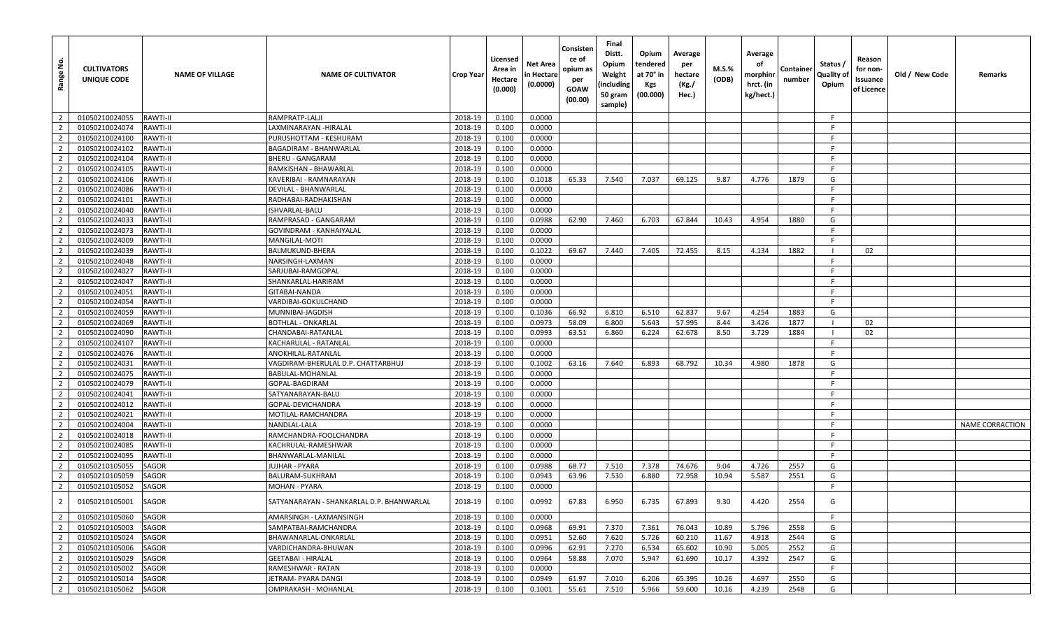| Range No.      | <b>CULTIVATORS</b><br><b>UNIQUE CODE</b> | <b>NAME OF VILLAGE</b> | <b>NAME OF CULTIVATOR</b>                 | <b>Crop Year</b> | Licensed<br>Area in<br>Hectare<br>(0.000) | Net Area<br>n Hectare<br>(0.0000) | Consisten<br>ce of<br>opium as<br>per<br><b>GOAW</b><br>(00.00) | Final<br>Distt.<br>Opium<br>Weight<br>(including<br>50 gram<br>sample) | Opium<br>tendered<br>at 70° in<br>Kgs<br>(00.000) | Average<br>per<br>hectare<br>(Kg./<br>Hec.) | M.S.%<br>(ODB) | Average<br>оf<br>morphinr<br>hrct. (in<br>kg/hect.) | Container<br>number | Status /<br>Quality of<br>Opium | Reason<br>for non-<br>Issuance<br>of Licence | Old / New Code | Remarks                |
|----------------|------------------------------------------|------------------------|-------------------------------------------|------------------|-------------------------------------------|-----------------------------------|-----------------------------------------------------------------|------------------------------------------------------------------------|---------------------------------------------------|---------------------------------------------|----------------|-----------------------------------------------------|---------------------|---------------------------------|----------------------------------------------|----------------|------------------------|
| $\overline{2}$ | 01050210024055                           | <b>RAWTI-II</b>        | RAMPRATP-LALJI                            | 2018-19          | 0.100                                     | 0.0000                            |                                                                 |                                                                        |                                                   |                                             |                |                                                     |                     | -F.                             |                                              |                |                        |
| $\overline{2}$ | 01050210024074                           | <b>RAWTI-II</b>        | LAXMINARAYAN -HIRALAL                     | 2018-19          | 0.100                                     | 0.0000                            |                                                                 |                                                                        |                                                   |                                             |                |                                                     |                     | -F                              |                                              |                |                        |
| $\overline{2}$ | 01050210024100                           | <b>RAWTI-II</b>        | PURUSHOTTAM - KESHURAM                    | 2018-19          | 0.100                                     | 0.0000                            |                                                                 |                                                                        |                                                   |                                             |                |                                                     |                     | -F.                             |                                              |                |                        |
| $\overline{2}$ | 01050210024102                           | <b>RAWTI-II</b>        | <b>BAGADIRAM - BHANWARLAL</b>             | 2018-19          | 0.100                                     | 0.0000                            |                                                                 |                                                                        |                                                   |                                             |                |                                                     |                     | -F.                             |                                              |                |                        |
| $\overline{2}$ | 01050210024104                           | <b>RAWTI-II</b>        | BHERU - GANGARAM                          | 2018-19          | 0.100                                     | 0.0000                            |                                                                 |                                                                        |                                                   |                                             |                |                                                     |                     | -F                              |                                              |                |                        |
| $\overline{2}$ | 01050210024105                           | <b>RAWTI-II</b>        | RAMKISHAN - BHAWARLAL                     | 2018-19          | 0.100                                     | 0.0000                            |                                                                 |                                                                        |                                                   |                                             |                |                                                     |                     | F.                              |                                              |                |                        |
| $\overline{2}$ | 01050210024106                           | <b>RAWTI-II</b>        | KAVERIBAI - RAMNARAYAN                    | 2018-19          | 0.100                                     | 0.1018                            | 65.33                                                           | 7.540                                                                  | 7.037                                             | 69.125                                      | 9.87           | 4.776                                               | 1879                | G                               |                                              |                |                        |
| $\overline{2}$ | 01050210024086                           | <b>RAWTI-II</b>        | DEVILAL - BHANWARLAL                      | 2018-19          | 0.100                                     | 0.0000                            |                                                                 |                                                                        |                                                   |                                             |                |                                                     |                     | F.                              |                                              |                |                        |
| $\overline{2}$ | 01050210024101                           | <b>RAWTI-II</b>        | RADHABAI-RADHAKISHAN                      | 2018-19          | 0.100                                     | 0.0000                            |                                                                 |                                                                        |                                                   |                                             |                |                                                     |                     | -F                              |                                              |                |                        |
| $\overline{2}$ | 01050210024040                           | <b>RAWTI-II</b>        | ISHVARLAL-BALU                            | 2018-19          | 0.100                                     | 0.0000                            |                                                                 |                                                                        |                                                   |                                             |                |                                                     |                     | F.                              |                                              |                |                        |
| $\overline{2}$ | 01050210024033                           | <b>RAWTI-II</b>        | RAMPRASAD - GANGARAM                      | 2018-19          | 0.100                                     | 0.0988                            | 62.90                                                           | 7.460                                                                  | 6.703                                             | 67.844                                      | 10.43          | 4.954                                               | 1880                | G                               |                                              |                |                        |
| $\overline{2}$ | 01050210024073                           | <b>RAWTI-II</b>        | GOVINDRAM - KANHAIYALAL                   | 2018-19          | 0.100                                     | 0.0000                            |                                                                 |                                                                        |                                                   |                                             |                |                                                     |                     | F.                              |                                              |                |                        |
| $\overline{2}$ | 01050210024009                           | RAWTI-II               | MANGILAL-MOTI                             | 2018-19          | 0.100                                     | 0.0000                            |                                                                 |                                                                        |                                                   |                                             |                |                                                     |                     | F                               |                                              |                |                        |
| $\overline{2}$ | 01050210024039                           | <b>RAWTI-II</b>        | BALMUKUND-BHERA                           | 2018-19          | 0.100                                     | 0.1022                            | 69.67                                                           | 7.440                                                                  | 7.405                                             | 72.455                                      | 8.15           | 4.134                                               | 1882                |                                 | 02                                           |                |                        |
| $\overline{2}$ | 01050210024048                           | <b>RAWTI-II</b>        | NARSINGH-LAXMAN                           | 2018-19          | 0.100                                     | 0.0000                            |                                                                 |                                                                        |                                                   |                                             |                |                                                     |                     | F.                              |                                              |                |                        |
| $\overline{2}$ | 01050210024027                           | <b>RAWTI-II</b>        | SARJUBAI-RAMGOPAL                         | 2018-19          | 0.100                                     | 0.0000                            |                                                                 |                                                                        |                                                   |                                             |                |                                                     |                     | -F                              |                                              |                |                        |
| $\overline{2}$ | 01050210024047                           | <b>RAWTI-II</b>        | SHANKARLAL-HARIRAM                        | 2018-19          | 0.100                                     | 0.0000                            |                                                                 |                                                                        |                                                   |                                             |                |                                                     |                     | F.                              |                                              |                |                        |
| $\overline{2}$ | 01050210024051                           | <b>RAWTI-II</b>        | GITABAI-NANDA                             | 2018-19          | 0.100                                     | 0.0000                            |                                                                 |                                                                        |                                                   |                                             |                |                                                     |                     | -F.                             |                                              |                |                        |
| $\overline{2}$ | 01050210024054                           | <b>RAWTI-II</b>        | VARDIBAI-GOKULCHAND                       | 2018-19          | 0.100                                     | 0.0000                            |                                                                 |                                                                        |                                                   |                                             |                |                                                     |                     | -F                              |                                              |                |                        |
| $\overline{2}$ | 01050210024059                           | <b>RAWTI-II</b>        | MUNNIBAI-JAGDISH                          | 2018-19          | 0.100                                     | 0.1036                            | 66.92                                                           | 6.810                                                                  | 6.510                                             | 62.837                                      | 9.67           | 4.254                                               | 1883                | G                               |                                              |                |                        |
| $\overline{2}$ | 01050210024069                           | <b>RAWTI-II</b>        | BOTHLAL - ONKARLAL                        | 2018-19          | 0.100                                     | 0.0973                            | 58.09                                                           | 6.800                                                                  | 5.643                                             | 57.995                                      | 8.44           | 3.426                                               | 1877                |                                 | 02                                           |                |                        |
| $\overline{2}$ | 01050210024090                           | <b>RAWTI-II</b>        | CHANDABAI-RATANLAL                        | 2018-19          | 0.100                                     | 0.0993                            | 63.51                                                           | 6.860                                                                  | 6.224                                             | 62.678                                      | 8.50           | 3.729                                               | 1884                |                                 | 02                                           |                |                        |
| $\overline{2}$ | 01050210024107                           | <b>RAWTI-II</b>        | KACHARULAL - RATANLAL                     | 2018-19          | 0.100                                     | 0.0000                            |                                                                 |                                                                        |                                                   |                                             |                |                                                     |                     | -F                              |                                              |                |                        |
| $\overline{2}$ | 01050210024076                           | <b>RAWTI-II</b>        | ANOKHILAL-RATANLAL                        | 2018-19          | 0.100                                     | 0.0000                            |                                                                 |                                                                        |                                                   |                                             |                |                                                     |                     | F.                              |                                              |                |                        |
| $\overline{2}$ | 01050210024031                           | <b>RAWTI-II</b>        | VAGDIRAM-BHERULAL D.P. CHATTARBHUJ        | 2018-19          | 0.100                                     | 0.1002                            | 63.16                                                           | 7.640                                                                  | 6.893                                             | 68.792                                      | 10.34          | 4.980                                               | 1878                | G                               |                                              |                |                        |
| $\overline{2}$ | 01050210024075                           | <b>RAWTI-II</b>        | BABULAL-MOHANLAL                          | 2018-19          | 0.100                                     | 0.0000                            |                                                                 |                                                                        |                                                   |                                             |                |                                                     |                     | F.                              |                                              |                |                        |
| $\overline{2}$ | 01050210024079                           | <b>RAWTI-II</b>        | GOPAL-BAGDIRAM                            | 2018-19          | 0.100                                     | 0.0000                            |                                                                 |                                                                        |                                                   |                                             |                |                                                     |                     | - F                             |                                              |                |                        |
| $\overline{2}$ | 01050210024041                           | <b>RAWTI-II</b>        | SATYANARAYAN-BALU                         | 2018-19          | 0.100                                     | 0.0000                            |                                                                 |                                                                        |                                                   |                                             |                |                                                     |                     | F.                              |                                              |                |                        |
| $\overline{2}$ | 01050210024012                           | <b>RAWTI-II</b>        | GOPAL-DEVICHANDRA                         | 2018-19          | 0.100                                     | 0.0000                            |                                                                 |                                                                        |                                                   |                                             |                |                                                     |                     | -F                              |                                              |                |                        |
| $\overline{2}$ | 01050210024021                           | <b>RAWTI-II</b>        | MOTILAL-RAMCHANDRA                        | 2018-19          | 0.100                                     | 0.0000                            |                                                                 |                                                                        |                                                   |                                             |                |                                                     |                     | -F                              |                                              |                |                        |
| $\overline{2}$ | 01050210024004                           | <b>RAWTI-II</b>        | NANDLAL-LALA                              | 2018-19          | 0.100                                     | 0.0000                            |                                                                 |                                                                        |                                                   |                                             |                |                                                     |                     | F.                              |                                              |                | <b>NAME CORRACTION</b> |
| $\overline{2}$ | 01050210024018                           | <b>RAWTI-II</b>        | RAMCHANDRA-FOOLCHANDRA                    | 2018-19          | 0.100                                     | 0.0000                            |                                                                 |                                                                        |                                                   |                                             |                |                                                     |                     | -F.                             |                                              |                |                        |
| $\overline{2}$ | 01050210024085                           | <b>RAWTI-II</b>        | KACHRULAL-RAMESHWAR                       | 2018-19          | 0.100                                     | 0.0000                            |                                                                 |                                                                        |                                                   |                                             |                |                                                     |                     | F.                              |                                              |                |                        |
| $\overline{2}$ | 01050210024095                           | <b>RAWTI-II</b>        | BHANWARLAL-MANILAL                        | 2018-19          | 0.100                                     | 0.0000                            |                                                                 |                                                                        |                                                   |                                             |                |                                                     |                     | -F                              |                                              |                |                        |
| $\overline{2}$ | 01050210105055                           | <b>SAGOR</b>           | JUJHAR - PYARA                            | 2018-19          | 0.100                                     | 0.0988                            | 68.77                                                           | 7.510                                                                  | 7.378                                             | 74.676                                      | 9.04           | 4.726                                               | 2557                | G                               |                                              |                |                        |
| $\overline{2}$ | 01050210105059                           | <b>SAGOR</b>           | BALURAM-SUKHRAM                           | 2018-19          | 0.100                                     | 0.0943                            | 63.96                                                           | 7.530                                                                  | 6.880                                             | 72.958                                      | 10.94          | 5.587                                               | 2551                | G                               |                                              |                |                        |
| $\overline{2}$ | 01050210105052                           | <b>SAGOR</b>           | MOHAN - PYARA                             | 2018-19          | 0.100                                     | 0.0000                            |                                                                 |                                                                        |                                                   |                                             |                |                                                     |                     | F.                              |                                              |                |                        |
|                | 01050210105001                           | SAGOR                  | SATYANARAYAN - SHANKARLAL D.P. BHANWARLAL | 2018-19          | 0.100                                     | 0.0992                            | 67.83                                                           | 6.950                                                                  | 6.735                                             | 67.893                                      | 9.30           | 4.420                                               | 2554                | G                               |                                              |                |                        |
| $\overline{2}$ | 01050210105060                           | SAGOR                  | AMARSINGH - LAXMANSINGH                   | 2018-19          | 0.100                                     | 0.0000                            |                                                                 |                                                                        |                                                   |                                             |                |                                                     |                     | -F                              |                                              |                |                        |
| $\overline{2}$ | 01050210105003                           | <b>SAGOR</b>           | SAMPATBAI-RAMCHANDRA                      | 2018-19          | 0.100                                     | 0.0968                            | 69.91                                                           | 7.370                                                                  | 7.361                                             | 76.043                                      | 10.89          | 5.796                                               | 2558                | G                               |                                              |                |                        |
| $\overline{2}$ | 01050210105024                           | SAGOR                  | BHAWANARLAL-ONKARLAL                      | 2018-19          | 0.100                                     | 0.0951                            | 52.60                                                           | 7.620                                                                  | 5.726                                             | 60.210                                      | 11.67          | 4.918                                               | 2544                | G                               |                                              |                |                        |
| $\overline{2}$ | 01050210105006                           | SAGOR                  | VARDICHANDRA-BHUWAN                       | 2018-19          | 0.100                                     | 0.0996                            | 62.91                                                           | 7.270                                                                  | 6.534                                             | 65.602                                      | 10.90          | 5.005                                               | 2552                | G                               |                                              |                |                        |
| $\overline{2}$ | 01050210105029                           | SAGOR                  | <b>GEETABAI - HIRALAL</b>                 | 2018-19          | 0.100                                     | 0.0964                            | 58.88                                                           | 7.070                                                                  | 5.947                                             | 61.690                                      | 10.17          | 4.392                                               | 2547                | G                               |                                              |                |                        |
| $\overline{2}$ | 01050210105002                           | SAGOR                  | RAMESHWAR - RATAN                         | 2018-19          | 0.100                                     | 0.0000                            |                                                                 |                                                                        |                                                   |                                             |                |                                                     |                     | F.                              |                                              |                |                        |
| $\overline{2}$ | 01050210105014                           | SAGOR                  | JETRAM- PYARA DANGI                       | 2018-19          | 0.100                                     | 0.0949                            | 61.97                                                           | 7.010                                                                  | 6.206                                             | 65.395                                      | 10.26          | 4.697                                               | 2550                | G                               |                                              |                |                        |
| $\overline{2}$ | 01050210105062                           | SAGOR                  | OMPRAKASH - MOHANLAL                      | 2018-19          | 0.100                                     | 0.1001                            | 55.61                                                           | 7.510                                                                  | 5.966                                             | 59.600                                      | 10.16          | 4.239                                               | 2548                | G                               |                                              |                |                        |
|                |                                          |                        |                                           |                  |                                           |                                   |                                                                 |                                                                        |                                                   |                                             |                |                                                     |                     |                                 |                                              |                |                        |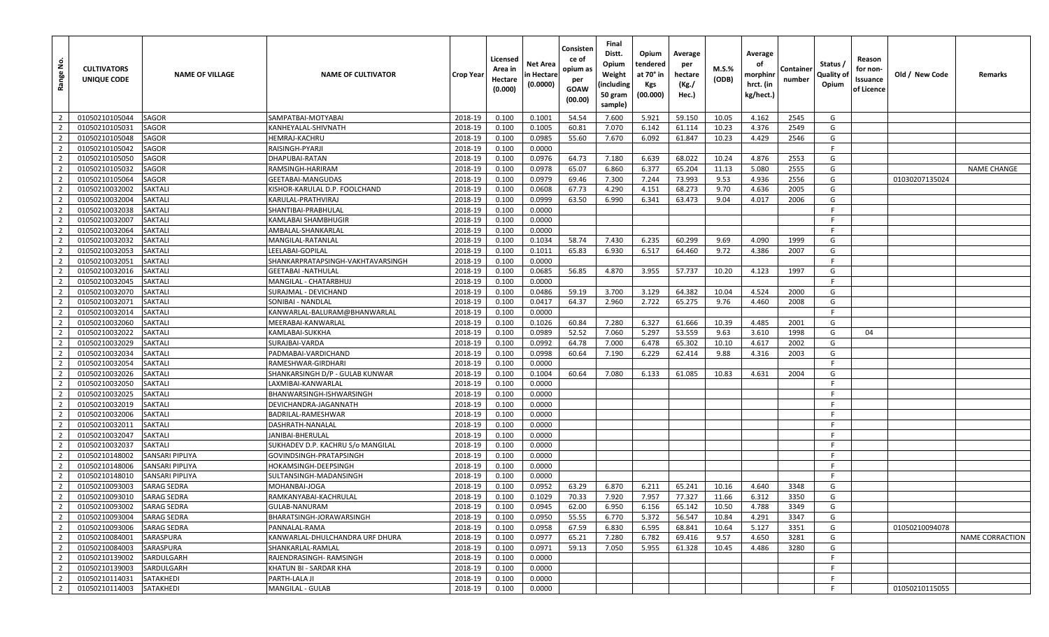| <u>غ</u><br>Range                | <b>CULTIVATORS</b><br>UNIQUE CODE | <b>NAME OF VILLAGE</b>                       | <b>NAME OF CULTIVATOR</b>               | Crop Year          | Licensed<br>Area in<br>Hectare<br>(0.000) | Net Area<br>n Hectare<br>(0.0000) | Consisten<br>ce of<br>opium as<br>per<br>GOAW<br>(00.00) | Final<br>Distt.<br>Opium<br>Weight<br>(including<br>50 gram<br>sample) | Opium<br>tendered<br>at 70° in<br>Kgs<br>(00.000) | Average<br>per<br>hectare<br>(Kg./<br>Hec.) | M.S.%<br>(ODB) | Average<br>оf<br>morphinr<br>hrct. (in<br>kg/hect.) | Containe<br>number | Status /<br>Quality of<br>Opium | Reason<br>for non-<br>Issuance<br>of Licence | Old / New Code | Remarks            |
|----------------------------------|-----------------------------------|----------------------------------------------|-----------------------------------------|--------------------|-------------------------------------------|-----------------------------------|----------------------------------------------------------|------------------------------------------------------------------------|---------------------------------------------------|---------------------------------------------|----------------|-----------------------------------------------------|--------------------|---------------------------------|----------------------------------------------|----------------|--------------------|
| $\overline{2}$                   | 01050210105044                    | <b>SAGOR</b>                                 | SAMPATBAI-MOTYABAI                      | 2018-19            | 0.100                                     | 0.1001                            | 54.54                                                    | 7.600                                                                  | 5.921                                             | 59.150                                      | 10.05          | 4.162                                               | 2545               | G                               |                                              |                |                    |
| $\overline{2}$                   | 01050210105031                    | <b>SAGOR</b>                                 | KANHEYALAL-SHIVNATH                     | 2018-19            | 0.100                                     | 0.1005                            | 60.81                                                    | 7.070                                                                  | 6.142                                             | 61.114                                      | 10.23          | 4.376                                               | 2549               | G                               |                                              |                |                    |
| $\overline{2}$                   | 01050210105048                    | <b>SAGOR</b>                                 | <b>HEMRAJ-KACHRU</b>                    | 2018-19            | 0.100                                     | 0.0985                            | 55.60                                                    | 7.670                                                                  | 6.092                                             | 61.847                                      | 10.23          | 4.429                                               | 2546               | G                               |                                              |                |                    |
| $\overline{2}$                   | 01050210105042                    | <b>SAGOR</b>                                 | RAISINGH-PYARJI                         | 2018-19            | 0.100                                     | 0.0000                            |                                                          |                                                                        |                                                   |                                             |                |                                                     |                    | F.                              |                                              |                |                    |
| $\overline{2}$                   | 01050210105050                    | <b>SAGOR</b>                                 | DHAPUBAI-RATAN                          | 2018-19            | 0.100                                     | 0.0976                            | 64.73                                                    | 7.180                                                                  | 6.639                                             | 68.022                                      | 10.24          | 4.876                                               | 2553               | G                               |                                              |                |                    |
| $\overline{2}$                   | 01050210105032                    | <b>SAGOR</b>                                 | RAMSINGH-HARIRAM                        | 2018-19            | 0.100                                     | 0.0978                            | 65.07                                                    | 6.860                                                                  | 6.377                                             | 65.204                                      | 11.13          | 5.080                                               | 2555               | G                               |                                              |                | <b>NAME CHANGE</b> |
| $\overline{2}$                   | 01050210105064                    | <b>SAGOR</b>                                 | GEETABAI-MANGUDAS                       | 2018-19            | 0.100                                     | 0.0979                            | 69.46                                                    | 7.300                                                                  | 7.244                                             | 73.993                                      | 9.53           | 4.936                                               | 2556               | G                               |                                              | 01030207135024 |                    |
| $\overline{2}$                   | 01050210032002                    | <b>SAKTALI</b>                               | KISHOR-KARULAL D.P. FOOLCHAND           | 2018-19            | 0.100                                     | 0.0608                            | 67.73                                                    | 4.290                                                                  | 4.151                                             | 68.273                                      | 9.70           | 4.636                                               | 2005               | G                               |                                              |                |                    |
| $\overline{2}$                   | 01050210032004                    | <b>SAKTALI</b>                               | KARULAL-PRATHVIRAJ                      | 2018-19            | 0.100                                     | 0.0999                            | 63.50                                                    | 6.990                                                                  | 6.341                                             | 63.473                                      | 9.04           | 4.017                                               | 2006               | G                               |                                              |                |                    |
| $\overline{2}$                   | 01050210032038                    | <b>SAKTALI</b>                               | SHANTIBAI-PRABHULAL                     | 2018-19            | 0.100                                     | 0.0000                            |                                                          |                                                                        |                                                   |                                             |                |                                                     |                    | F                               |                                              |                |                    |
| $\overline{2}$                   | 01050210032007                    | <b>SAKTALI</b>                               | KAMLABAI SHAMBHUGIR                     | 2018-19            | 0.100                                     | 0.0000                            |                                                          |                                                                        |                                                   |                                             |                |                                                     |                    | -F                              |                                              |                |                    |
| $\overline{2}$                   | 01050210032064                    | <b>SAKTALI</b>                               | AMBALAL-SHANKARLAL                      | 2018-19            | 0.100                                     | 0.0000                            |                                                          |                                                                        |                                                   |                                             |                |                                                     |                    | F                               |                                              |                |                    |
| $\overline{2}$                   | 01050210032032                    | <b>SAKTALI</b>                               | MANGILAL-RATANLAL                       | 2018-19            | 0.100                                     | 0.1034                            | 58.74                                                    | 7.430                                                                  | 6.235                                             | 60.299                                      | 9.69           | 4.090                                               | 1999               | G                               |                                              |                |                    |
| $\overline{2}$                   | 01050210032053                    | <b>SAKTALI</b>                               | LEELABAI-GOPILAL                        | 2018-19            | 0.100                                     | 0.1011                            | 65.83                                                    | 6.930                                                                  | 6.517                                             | 64.460                                      | 9.72           | 4.386                                               | 2007               | G                               |                                              |                |                    |
| $\overline{2}$                   | 01050210032051                    | <b>SAKTALI</b>                               | SHANKARPRATAPSINGH-VAKHTAVARSINGH       | 2018-19            | 0.100                                     | 0.0000                            |                                                          |                                                                        |                                                   |                                             |                |                                                     |                    | -F                              |                                              |                |                    |
| $\overline{2}$                   | 01050210032016                    | <b>SAKTALI</b>                               | <b>GEETABAI -NATHULAL</b>               | 2018-19            | 0.100                                     | 0.0685                            | 56.85                                                    | 4.870                                                                  | 3.955                                             | 57.737                                      | 10.20          | 4.123                                               | 1997               | G                               |                                              |                |                    |
| $\overline{2}$                   | 01050210032045                    | <b>SAKTALI</b>                               | MANGILAL - CHATARBHUJ                   | 2018-19            | 0.100                                     | 0.0000                            |                                                          |                                                                        |                                                   |                                             |                |                                                     |                    | -F                              |                                              |                |                    |
| $\overline{2}$                   | 01050210032070                    | <b>SAKTALI</b>                               | SURAJMAL - DEVICHAND                    | 2018-19            | 0.100                                     | 0.0486                            | 59.19                                                    | 3.700                                                                  | 3.129                                             | 64.382                                      | 10.04          | 4.524                                               | 2000               | G                               |                                              |                |                    |
| $\overline{2}$                   | 01050210032071                    | <b>SAKTALI</b>                               | SONIBAI - NANDLAL                       | 2018-19            | 0.100                                     | 0.0417                            | 64.37                                                    | 2.960                                                                  | 2.722                                             | 65.275                                      | 9.76           | 4.460                                               | 2008               | G                               |                                              |                |                    |
| $\overline{2}$                   | 01050210032014                    | <b>SAKTALI</b>                               | KANWARLAL-BALURAM@BHANWARLAL            | 2018-19            | 0.100                                     | 0.0000                            |                                                          |                                                                        |                                                   |                                             |                |                                                     |                    | F                               |                                              |                |                    |
| $\overline{2}$                   | 01050210032060                    | <b>SAKTALI</b>                               | MEERABAI-KANWARLAL                      | 2018-19            | 0.100                                     | 0.1026                            | 60.84                                                    | 7.280                                                                  | 6.327                                             | 61.666                                      | 10.39          | 4.485                                               | 2001               | G                               |                                              |                |                    |
| $\overline{2}$                   | 01050210032022                    | <b>SAKTALI</b>                               | KAMLABAI-SUKKHA                         | 2018-19            | 0.100                                     | 0.0989                            | 52.52                                                    | 7.060                                                                  | 5.297                                             | 53.559                                      | 9.63           | 3.610                                               | 1998               | G                               | 04                                           |                |                    |
| $\overline{2}$                   | 01050210032029                    | <b>SAKTALI</b>                               | SURAJBAI-VARDA                          | 2018-19            | 0.100                                     | 0.0992                            | 64.78                                                    | 7.000                                                                  | 6.478                                             | 65.302                                      | 10.10          | 4.617                                               | 2002               | G                               |                                              |                |                    |
| $\overline{2}$                   | 01050210032034                    | <b>SAKTALI</b>                               | PADMABAI-VARDICHAND                     | 2018-19            | 0.100                                     | 0.0998                            | 60.64                                                    | 7.190                                                                  | 6.229                                             | 62.414                                      | 9.88           | 4.316                                               | 2003               | G                               |                                              |                |                    |
| $\overline{2}$                   | 01050210032054                    | <b>SAKTALI</b>                               | RAMESHWAR-GIRDHARI                      | 2018-19            | 0.100                                     | 0.0000                            |                                                          |                                                                        |                                                   |                                             |                |                                                     |                    | F.                              |                                              |                |                    |
| $\overline{2}$                   | 01050210032026                    | <b>SAKTALI</b>                               | SHANKARSINGH D/P - GULAB KUNWAR         | 2018-19            | 0.100                                     | 0.1004                            | 60.64                                                    | 7.080                                                                  | 6.133                                             | 61.085                                      | 10.83          | 4.631                                               | 2004               | G                               |                                              |                |                    |
| $\overline{2}$                   | 01050210032050                    | <b>SAKTALI</b>                               | LAXMIBAI-KANWARLAL                      | 2018-19            | 0.100                                     | 0.0000                            |                                                          |                                                                        |                                                   |                                             |                |                                                     |                    | F                               |                                              |                |                    |
| $\overline{2}$                   | 01050210032025                    | <b>SAKTALI</b>                               | BHANWARSINGH-ISHWARSINGH                | 2018-19            | 0.100                                     | 0.0000                            |                                                          |                                                                        |                                                   |                                             |                |                                                     |                    | -F                              |                                              |                |                    |
| $\overline{2}$                   | 01050210032019                    | <b>SAKTALI</b>                               | DEVICHANDRA-JAGANNATH                   | 2018-19            | 0.100                                     | 0.0000                            |                                                          |                                                                        |                                                   |                                             |                |                                                     |                    | -F                              |                                              |                |                    |
| $\overline{2}$                   | 01050210032006                    | <b>SAKTALI</b>                               | BADRILAL-RAMESHWAR                      | 2018-19            | 0.100                                     | 0.0000                            |                                                          |                                                                        |                                                   |                                             |                |                                                     |                    |                                 |                                              |                |                    |
| $\overline{2}$                   | 01050210032011                    | <b>SAKTALI</b>                               | DASHRATH-NANALAL                        | 2018-19            | 0.100                                     | 0.0000                            |                                                          |                                                                        |                                                   |                                             |                |                                                     |                    | E                               |                                              |                |                    |
| $\overline{2}$                   | 01050210032047                    | <b>SAKTALI</b>                               | JANIBAI-BHERULAL                        | 2018-19            | 0.100                                     | 0.0000                            |                                                          |                                                                        |                                                   |                                             |                |                                                     |                    | -F                              |                                              |                |                    |
| $\overline{2}$                   | 01050210032037                    | <b>SAKTALI</b>                               | SUKHADEV D.P. KACHRU S/o MANGILAL       | 2018-19            | 0.100                                     | 0.0000                            |                                                          |                                                                        |                                                   |                                             |                |                                                     |                    | F                               |                                              |                |                    |
| $\overline{2}$                   | 01050210148002                    | <b>SANSARI PIPLIYA</b>                       | GOVINDSINGH-PRATAPSINGH                 | 2018-19            | 0.100                                     | 0.0000                            |                                                          |                                                                        |                                                   |                                             |                |                                                     |                    | F                               |                                              |                |                    |
| $\overline{2}$                   | 01050210148006                    | <b>SANSARI PIPLIYA</b>                       | HOKAMSINGH-DEEPSINGH                    | 2018-19            | 0.100                                     | 0.0000                            |                                                          |                                                                        |                                                   |                                             |                |                                                     |                    | -F<br>F.                        |                                              |                |                    |
| $\overline{2}$<br>$\overline{2}$ | 01050210148010<br>01050210093003  | <b>SANSARI PIPLIYA</b><br><b>SARAG SEDRA</b> | SULTANSINGH-MADANSINGH<br>MOHANBAI-JOGA | 2018-19<br>2018-19 | 0.100<br>0.100                            | 0.0000<br>0.0952                  | 63.29                                                    | 6.870                                                                  | 6.211                                             | 65.241                                      | 10.16          | 4.640                                               | 3348               | G                               |                                              |                |                    |
| $\overline{2}$                   | 01050210093010                    | <b>SARAG SEDRA</b>                           | RAMKANYABAI-KACHRULAL                   | 2018-19            | 0.100                                     | 0.1029                            | 70.33                                                    | 7.920                                                                  | 7.957                                             | 77.327                                      | 11.66          | 6.312                                               | 3350               | G                               |                                              |                |                    |
| $\overline{2}$                   | 01050210093002                    | <b>SARAG SEDRA</b>                           | GULAB-NANURAM                           | 2018-19            | 0.100                                     | 0.0945                            | 62.00                                                    | 6.950                                                                  | 6.156                                             | 65.142                                      | 10.50          | 4.788                                               | 3349               | G                               |                                              |                |                    |
| $\overline{2}$                   | 01050210093004                    | <b>SARAG SEDRA</b>                           | BHARATSINGH-JORAWARSINGH                | 2018-19            | 0.100                                     | 0.0950                            | 55.55                                                    | 6.770                                                                  | 5.372                                             | 56.547                                      | 10.84          | 4.291                                               | 3347               | G                               |                                              |                |                    |
| $\overline{2}$                   | 01050210093006                    | <b>SARAG SEDRA</b>                           | PANNALAL-RAMA                           | 2018-19            | 0.100                                     | 0.0958                            | 67.59                                                    | 6.830                                                                  | 6.595                                             | 68.841                                      | 10.64          | 5.127                                               | 3351               | G                               |                                              | 01050210094078 |                    |
| $\overline{2}$                   | 01050210084001                    | SARASPURA                                    | KANWARLAL-DHULCHANDRA URF DHURA         | 2018-19            | 0.100                                     | 0.0977                            | 65.21                                                    | 7.280                                                                  | 6.782                                             | 69.416                                      | 9.57           | 4.650                                               | 3281               | G                               |                                              |                | NAME CORRACTION    |
| $\overline{2}$                   | 01050210084003                    | SARASPURA                                    | SHANKARLAL-RAMLAL                       | 2018-19            | 0.100                                     | 0.0971                            | 59.13                                                    | 7.050                                                                  | 5.955                                             | 61.328                                      | 10.45          | 4.486                                               | 3280               | G                               |                                              |                |                    |
| $\overline{2}$                   | 01050210139002                    | SARDULGARH                                   | RAJENDRASINGH- RAMSINGH                 | 2018-19            | 0.100                                     | 0.0000                            |                                                          |                                                                        |                                                   |                                             |                |                                                     |                    |                                 |                                              |                |                    |
| $\overline{2}$                   | 01050210139003                    | SARDULGARH                                   | KHATUN BI - SARDAR KHA                  | 2018-19            | 0.100                                     | 0.0000                            |                                                          |                                                                        |                                                   |                                             |                |                                                     |                    | F                               |                                              |                |                    |
| $\overline{2}$                   | 01050210114031                    | SATAKHEDI                                    | PARTH-LALA JI                           | 2018-19            | 0.100                                     | 0.0000                            |                                                          |                                                                        |                                                   |                                             |                |                                                     |                    | F.                              |                                              |                |                    |
| $\overline{2}$                   | 01050210114003                    | SATAKHEDI                                    | <b>MANGILAL - GULAB</b>                 | 2018-19            | 0.100                                     | 0.0000                            |                                                          |                                                                        |                                                   |                                             |                |                                                     |                    | -F                              |                                              | 01050210115055 |                    |
|                                  |                                   |                                              |                                         |                    |                                           |                                   |                                                          |                                                                        |                                                   |                                             |                |                                                     |                    |                                 |                                              |                |                    |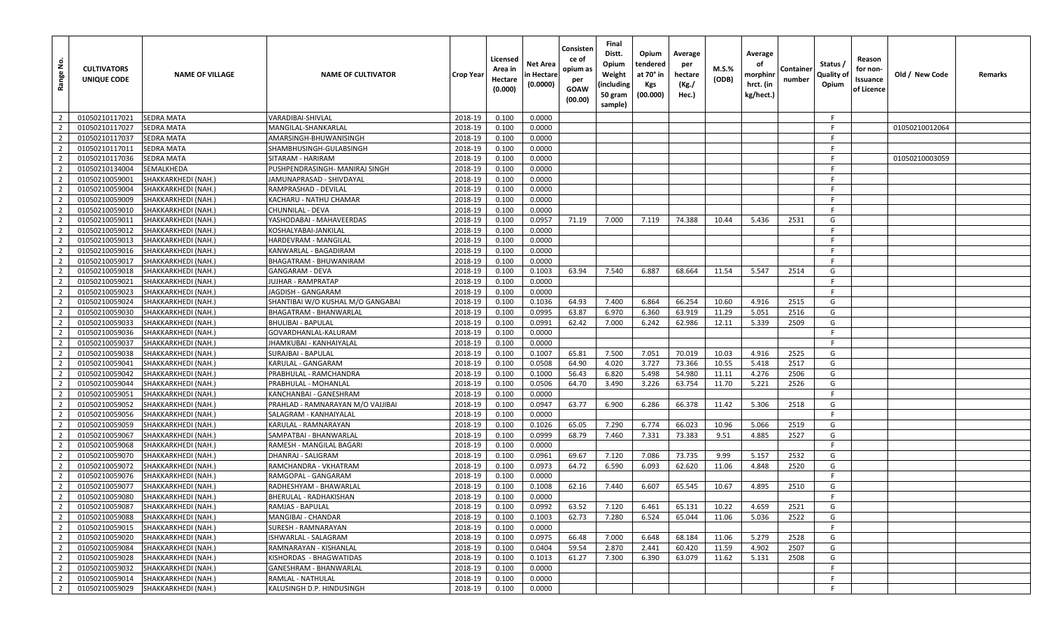| $\overline{2}$<br>2018-19<br>0.100<br>0.0000<br>01050210117021<br><b>SEDRA MATA</b><br>VARADIBAI-SHIVLAL<br>-F<br>$\overline{2}$<br>01050210117027<br><b>SEDRA MATA</b><br>2018-19<br>0.100<br>0.0000<br>-F<br>MANGILAL-SHANKARLAL<br>01050210012064<br>$\overline{2}$<br>2018-19<br>0.0000<br>01050210117037<br><b>SEDRA MATA</b><br>AMARSINGH-BHUWANISINGH<br>0.100<br>-F<br>$\overline{2}$<br>2018-19<br>01050210117011<br><b>SEDRA MATA</b><br>0.100<br>0.0000<br>-F<br>SHAMBHUSINGH-GULABSINGH<br>$\overline{2}$<br><b>SEDRA MATA</b><br>2018-19<br>0.0000<br>01050210117036<br>SITARAM - HARIRAM<br>0.100<br>E<br>01050210003059<br>$\overline{2}$<br>2018-19<br>01050210134004<br>SEMALKHEDA<br>PUSHPENDRASINGH- MANIRAJ SINGH<br>0.100<br>0.0000<br>-F<br>$\overline{2}$<br>2018-19<br>F.<br>01050210059001<br>SHAKKARKHEDI (NAH.)<br>0.100<br>0.0000<br>JAMUNAPRASAD - SHIVDAYAL<br>$\overline{2}$<br>2018-19<br>01050210059004<br>SHAKKARKHEDI (NAH.)<br>RAMPRASHAD - DEVILAL<br>0.100<br>0.0000<br>-F<br>$\overline{2}$<br>2018-19<br>01050210059009<br>SHAKKARKHEDI (NAH.<br>KACHARU - NATHU CHAMAR<br>0.100<br>0.0000<br>-F<br>$\overline{2}$<br>2018-19<br>F.<br>0.100<br>0.0000<br>01050210059010<br>SHAKKARKHEDI (NAH.)<br>CHUNNILAL - DEVA<br>$\overline{2}$<br>2018-19<br>01050210059011<br>SHAKKARKHEDI (NAH.)<br>YASHODABAI - MAHAVEERDAS<br>0.100<br>0.0957<br>71.19<br>7.000<br>7.119<br>74.388<br>10.44<br>5.436<br>2531<br>G<br>$\overline{2}$<br>2018-19<br>0.0000<br>01050210059012<br>SHAKKARKHEDI (NAH.)<br>KOSHALYABAI-JANKILAL<br>0.100<br>-F<br>$\overline{2}$<br>2018-19<br>0.100<br>0.0000<br>-F<br>01050210059013<br>SHAKKARKHEDI (NAH.)<br>HARDEVRAM - MANGILAL<br>$\overline{2}$<br>2018-19<br>0.0000<br>F.<br>01050210059016<br>SHAKKARKHEDI (NAH.)<br>0.100<br>KANWARLAL - BAGADIRAM<br>$\overline{2}$<br>2018-19<br>0.0000<br>01050210059017<br>SHAKKARKHEDI (NAH.)<br>0.100<br>-F<br>BHAGATRAM - BHUWANIRAM<br>$\overline{2}$<br>2018-19<br>0.1003<br>63.94<br>7.540<br>68.664<br>5.547<br>G<br>GANGARAM - DEVA<br>0.100<br>6.887<br>11.54<br>2514<br>01050210059018<br>SHAKKARKHEDI (NAH.)<br>$\overline{2}$<br>2018-19<br>0.0000<br>F<br>01050210059021<br>JUJHAR - RAMPRATAP<br>0.100<br>SHAKKARKHEDI (NAH.)<br>$\overline{2}$<br>2018-19<br>0.0000<br>F.<br>01050210059023<br>SHAKKARKHEDI (NAH.)<br>0.100<br>JAGDISH - GANGARAM<br>$\overline{2}$<br>2018-19<br>0.1036<br>64.93<br>01050210059024<br>SHAKKARKHEDI (NAH.<br>SHANTIBAI W/O KUSHAL M/O GANGABAI<br>0.100<br>7.400<br>6.864<br>66.254<br>10.60<br>4.916<br>2515<br>G<br>$\overline{2}$<br>2018-19<br>0.0995<br>63.87<br>6.970<br>6.360<br>63.919<br>2516<br>01050210059030<br>0.100<br>11.29<br>5.051<br>G<br>SHAKKARKHEDI (NAH.)<br>BHAGATRAM - BHANWARLAL<br>$\overline{2}$<br>2018-19<br>0.0991<br>62.42<br>6.242<br>62.986<br>12.11<br>5.339<br>2509<br>G<br>01050210059033<br>0.100<br>7.000<br>SHAKKARKHEDI (NAH.)<br><b>BHULIBAI - BAPULAL</b><br>$\overline{2}$<br>2018-19<br>0.0000<br>F<br>01050210059036<br>SHAKKARKHEDI (NAH.)<br>GOVARDHANLAL-KALURAM<br>0.100<br>$\overline{2}$<br>2018-19<br>0.0000<br>F.<br>01050210059037<br>0.100<br>SHAKKARKHEDI (NAH.)<br>JHAMKUBAI - KANHAIYALAL<br>$\overline{2}$<br>2018-19<br>65.81<br>0.100<br>0.1007<br>7.500<br>7.051<br>70.019<br>10.03<br>4.916<br>2525<br>G<br>01050210059038<br>SHAKKARKHEDI (NAH.)<br>SURAJBAI - BAPULAL<br>$\overline{2}$<br>2018-19<br>G<br>SHAKKARKHEDI (NAH.)<br>KARULAL - GANGARAM<br>0.100<br>0.0508<br>64.90<br>4.020<br>3.727<br>73.366<br>10.55<br>2517<br>01050210059041<br>5.418<br>$\overline{2}$<br>2018-19<br>0.100<br>0.1000<br>56.43<br>6.820<br>5.498<br>54.980<br>11.11<br>4.276<br>2506<br>G<br>01050210059042<br>SHAKKARKHEDI (NAH.<br>PRABHULAL - RAMCHANDRA<br>$\overline{2}$<br>3.226<br>5.221<br>2526<br>G<br>2018-19<br>0.100<br>0.0506<br>64.70<br>3.490<br>63.754<br>11.70<br>01050210059044<br>SHAKKARKHEDI (NAH.)<br>PRABHULAL - MOHANLAI<br>$\overline{2}$<br>2018-19<br>0.0000<br>F.<br>01050210059051<br>SHAKKARKHEDI (NAH.)<br>KANCHANBAI - GANESHRAM<br>0.100<br>$\overline{2}$<br>2018-19<br>6.900<br>01050210059052<br>SHAKKARKHEDI (NAH.)<br>0.100<br>0.0947<br>63.77<br>6.286<br>66.378<br>11.42<br>5.306<br>2518<br>G<br>PRAHLAD - RAMNARAYAN M/O VAJJIBAI<br>$\overline{2}$<br>0.0000<br>F.<br>SHAKKARKHEDI (NAH.)<br>2018-19<br>0.100<br>01050210059056<br>SALAGRAM - KANHAIYALAL<br>$\overline{2}$<br>2018-19<br>0.1026<br>7.290<br>6.774<br>66.023<br>01050210059059<br>KARULAL - RAMNARAYAN<br>0.100<br>65.05<br>10.96<br>5.066<br>2519<br>G<br>SHAKKARKHEDI (NAH.)<br>$\overline{2}$<br>2018-19<br>68.79<br>7.460<br>2527<br>G<br>01050210059067<br>0.100<br>0.0999<br>7.331<br>73.383<br>9.51<br>4.885<br>SHAKKARKHEDI (NAH.)<br>SAMPATBAI - BHANWARLAL<br>F<br>$\overline{2}$<br>2018-19<br>0.0000<br>01050210059068<br>SHAKKARKHEDI (NAH.)<br>RAMESH - MANGILAL BAGARI<br>0.100<br>$\overline{2}$<br>2018-19<br>0.0961<br>73.735<br>G<br>01050210059070<br>SHAKKARKHEDI (NAH.)<br>DHANRAJ - SALIGRAM<br>0.100<br>69.67<br>7.120<br>7.086<br>9.99<br>5.157<br>2532<br>$\overline{2}$<br>2018-19<br>0.0973<br>64.72<br>6.590<br>6.093<br>62.620<br>2520<br>G<br>01050210059072<br>0.100<br>11.06<br>4.848<br>SHAKKARKHEDI (NAH.)<br>RAMCHANDRA - VKHATRAM<br>F.<br>$\overline{2}$<br>01050210059076<br>SHAKKARKHEDI (NAH.)<br>RAMGOPAL - GANGARAM<br>2018-19<br>0.100<br>0.0000<br>$\overline{2}$<br>2018-19<br>65.545<br>4.895<br>01050210059077<br>0.100<br>0.1008<br>62.16<br>7.440<br>6.607<br>10.67<br>2510<br>G<br>SHAKKARKHEDI (NAH.<br>RADHESHYAM - BHAWARLAL<br>$\overline{2}$<br>SHAKKARKHEDI (NAH.)<br>2018-19<br>0.0000<br>01050210059080<br>BHERULAL - RADHAKISHAN<br>0.100<br>-F.<br>$\overline{2}$<br>01050210059087<br>SHAKKARKHEDI (NAH.)<br>RAMJAS - BAPULAL<br>2018-19<br>0.0992<br>7.120<br>65.131<br>10.22<br>4.659<br>2521<br>G<br>0.100<br>63.52<br>6.461<br>$\overline{2}$<br>2018-19<br>62.73<br>6.524<br>65.044<br>2522<br>01050210059088<br>SHAKKARKHEDI (NAH.)<br>MANGIBAI - CHANDAR<br>0.100<br>0.1003<br>7.280<br>11.06<br>5.036<br>G<br>$\overline{2}$<br>2018-19<br>0.0000<br>F.<br>01050210059015<br>SHAKKARKHEDI (NAH.)<br>SURESH - RAMNARAYAN<br>0.100<br>$\overline{2}$<br>ISHWARLAL - SALAGRAM<br>2018-19<br>0.0975<br>66.48<br>7.000<br>6.648<br>68.184<br>11.06<br>5.279<br>2528<br>G<br>01050210059020<br>SHAKKARKHEDI (NAH.)<br>0.100<br>$\overline{2}$<br>2018-19<br>01050210059084<br>SHAKKARKHEDI (NAH.)<br>RAMNARAYAN - KISHANLAL<br>0.100<br>0.0404<br>59.54<br>2.870<br>2.441<br>60.420<br>11.59<br>4.902<br>2507<br>G<br>$\overline{2}$<br>01050210059028<br>SHAKKARKHEDI (NAH.)<br>KISHORDAS - BHAGWATIDAS<br>2018-19<br>7.300<br>6.390<br>5.131<br>2508<br>G<br>0.100<br>0.1013<br>61.27<br>63.079<br>11.62<br>$\overline{2}$<br>2018-19<br>F<br>01050210059032<br>SHAKKARKHEDI (NAH.)<br>GANESHRAM - BHANWARLAL<br>0.100<br>0.0000<br>$\overline{2}$<br>F.<br>01050210059014<br>SHAKKARKHEDI (NAH.)<br>RAMLAL - NATHULAL<br>2018-19<br>0.100<br>0.0000<br>$\overline{2}$<br>01050210059029<br>SHAKKARKHEDI (NAH.)<br>KALUSINGH D.P. HINDUSINGH<br>2018-19<br>0.100<br>0.0000<br>-F | <u>و</u><br>Range | <b>CULTIVATORS</b><br>UNIQUE CODE | <b>NAME OF VILLAGE</b> | <b>NAME OF CULTIVATOR</b> | Crop Year | Licensed<br>Area in<br>Hectare<br>(0.000) | Net Area<br>n Hectare<br>(0.0000) | Consisten<br>ce of<br>opium as<br>per<br><b>GOAW</b><br>(00.00) | Final<br>Distt.<br>Opium<br>Weight<br>(including<br>50 gram<br>sample) | Opium<br>tendered<br>at 70° in<br><b>Kgs</b><br>(00.000) | Average<br>per<br>hectare<br>(Kg./<br>Hec.) | <b>M.S.%</b><br>(ODB) | Average<br>оf<br>morphinr<br>hrct. (in<br>kg/hect.) | Containe<br>number | Status /<br>Quality of<br>Opium | Reason<br>for non-<br>Issuance<br>of Licence | Old / New Code | Remarks |
|------------------------------------------------------------------------------------------------------------------------------------------------------------------------------------------------------------------------------------------------------------------------------------------------------------------------------------------------------------------------------------------------------------------------------------------------------------------------------------------------------------------------------------------------------------------------------------------------------------------------------------------------------------------------------------------------------------------------------------------------------------------------------------------------------------------------------------------------------------------------------------------------------------------------------------------------------------------------------------------------------------------------------------------------------------------------------------------------------------------------------------------------------------------------------------------------------------------------------------------------------------------------------------------------------------------------------------------------------------------------------------------------------------------------------------------------------------------------------------------------------------------------------------------------------------------------------------------------------------------------------------------------------------------------------------------------------------------------------------------------------------------------------------------------------------------------------------------------------------------------------------------------------------------------------------------------------------------------------------------------------------------------------------------------------------------------------------------------------------------------------------------------------------------------------------------------------------------------------------------------------------------------------------------------------------------------------------------------------------------------------------------------------------------------------------------------------------------------------------------------------------------------------------------------------------------------------------------------------------------------------------------------------------------------------------------------------------------------------------------------------------------------------------------------------------------------------------------------------------------------------------------------------------------------------------------------------------------------------------------------------------------------------------------------------------------------------------------------------------------------------------------------------------------------------------------------------------------------------------------------------------------------------------------------------------------------------------------------------------------------------------------------------------------------------------------------------------------------------------------------------------------------------------------------------------------------------------------------------------------------------------------------------------------------------------------------------------------------------------------------------------------------------------------------------------------------------------------------------------------------------------------------------------------------------------------------------------------------------------------------------------------------------------------------------------------------------------------------------------------------------------------------------------------------------------------------------------------------------------------------------------------------------------------------------------------------------------------------------------------------------------------------------------------------------------------------------------------------------------------------------------------------------------------------------------------------------------------------------------------------------------------------------------------------------------------------------------------------------------------------------------------------------------------------------------------------------------------------------------------------------------------------------------------------------------------------------------------------------------------------------------------------------------------------------------------------------------------------------------------------------------------------------------------------------------------------------------------------------------------------------------------------------------------------------------------------------------------------------------------------------------------------------------------------------------------------------------------------------------------------------------------------------------------------------------------------------------------------------------------------------------------------------------------------------------------------------------------------------------------------------------------------------------------------------------------------------------------------------------------------------------------------------------------------------------------------------------------------------------------------------------------------------------------------------------------------------------------------------------------------------------------------------------------------------------------------------------------------------------------------------------------------------------------------------------------------------------------------------------------------------------------------------------------------------------------------------------------------------------------------------------------------------------------------------------------------------------------------------------------------------------------------------------------------------------------------------------------------------------------------------------------------------------------------------------------------------------------------------------------------------------------------------------------------------------------------------------------------------------------------------------------------------------------------------------------------------------------------------------------------------------------------------------------------------|-------------------|-----------------------------------|------------------------|---------------------------|-----------|-------------------------------------------|-----------------------------------|-----------------------------------------------------------------|------------------------------------------------------------------------|----------------------------------------------------------|---------------------------------------------|-----------------------|-----------------------------------------------------|--------------------|---------------------------------|----------------------------------------------|----------------|---------|
|                                                                                                                                                                                                                                                                                                                                                                                                                                                                                                                                                                                                                                                                                                                                                                                                                                                                                                                                                                                                                                                                                                                                                                                                                                                                                                                                                                                                                                                                                                                                                                                                                                                                                                                                                                                                                                                                                                                                                                                                                                                                                                                                                                                                                                                                                                                                                                                                                                                                                                                                                                                                                                                                                                                                                                                                                                                                                                                                                                                                                                                                                                                                                                                                                                                                                                                                                                                                                                                                                                                                                                                                                                                                                                                                                                                                                                                                                                                                                                                                                                                                                                                                                                                                                                                                                                                                                                                                                                                                                                                                                                                                                                                                                                                                                                                                                                                                                                                                                                                                                                                                                                                                                                                                                                                                                                                                                                                                                                                                                                                                                                                                                                                                                                                                                                                                                                                                                                                                                                                                                                                                                                                                                                                                                                                                                                                                                                                                                                                                                                                                                                                                                                                                                                                                                                                                                                                                                                                                                                                                                                                                                                                                                                              |                   |                                   |                        |                           |           |                                           |                                   |                                                                 |                                                                        |                                                          |                                             |                       |                                                     |                    |                                 |                                              |                |         |
|                                                                                                                                                                                                                                                                                                                                                                                                                                                                                                                                                                                                                                                                                                                                                                                                                                                                                                                                                                                                                                                                                                                                                                                                                                                                                                                                                                                                                                                                                                                                                                                                                                                                                                                                                                                                                                                                                                                                                                                                                                                                                                                                                                                                                                                                                                                                                                                                                                                                                                                                                                                                                                                                                                                                                                                                                                                                                                                                                                                                                                                                                                                                                                                                                                                                                                                                                                                                                                                                                                                                                                                                                                                                                                                                                                                                                                                                                                                                                                                                                                                                                                                                                                                                                                                                                                                                                                                                                                                                                                                                                                                                                                                                                                                                                                                                                                                                                                                                                                                                                                                                                                                                                                                                                                                                                                                                                                                                                                                                                                                                                                                                                                                                                                                                                                                                                                                                                                                                                                                                                                                                                                                                                                                                                                                                                                                                                                                                                                                                                                                                                                                                                                                                                                                                                                                                                                                                                                                                                                                                                                                                                                                                                                              |                   |                                   |                        |                           |           |                                           |                                   |                                                                 |                                                                        |                                                          |                                             |                       |                                                     |                    |                                 |                                              |                |         |
|                                                                                                                                                                                                                                                                                                                                                                                                                                                                                                                                                                                                                                                                                                                                                                                                                                                                                                                                                                                                                                                                                                                                                                                                                                                                                                                                                                                                                                                                                                                                                                                                                                                                                                                                                                                                                                                                                                                                                                                                                                                                                                                                                                                                                                                                                                                                                                                                                                                                                                                                                                                                                                                                                                                                                                                                                                                                                                                                                                                                                                                                                                                                                                                                                                                                                                                                                                                                                                                                                                                                                                                                                                                                                                                                                                                                                                                                                                                                                                                                                                                                                                                                                                                                                                                                                                                                                                                                                                                                                                                                                                                                                                                                                                                                                                                                                                                                                                                                                                                                                                                                                                                                                                                                                                                                                                                                                                                                                                                                                                                                                                                                                                                                                                                                                                                                                                                                                                                                                                                                                                                                                                                                                                                                                                                                                                                                                                                                                                                                                                                                                                                                                                                                                                                                                                                                                                                                                                                                                                                                                                                                                                                                                                              |                   |                                   |                        |                           |           |                                           |                                   |                                                                 |                                                                        |                                                          |                                             |                       |                                                     |                    |                                 |                                              |                |         |
|                                                                                                                                                                                                                                                                                                                                                                                                                                                                                                                                                                                                                                                                                                                                                                                                                                                                                                                                                                                                                                                                                                                                                                                                                                                                                                                                                                                                                                                                                                                                                                                                                                                                                                                                                                                                                                                                                                                                                                                                                                                                                                                                                                                                                                                                                                                                                                                                                                                                                                                                                                                                                                                                                                                                                                                                                                                                                                                                                                                                                                                                                                                                                                                                                                                                                                                                                                                                                                                                                                                                                                                                                                                                                                                                                                                                                                                                                                                                                                                                                                                                                                                                                                                                                                                                                                                                                                                                                                                                                                                                                                                                                                                                                                                                                                                                                                                                                                                                                                                                                                                                                                                                                                                                                                                                                                                                                                                                                                                                                                                                                                                                                                                                                                                                                                                                                                                                                                                                                                                                                                                                                                                                                                                                                                                                                                                                                                                                                                                                                                                                                                                                                                                                                                                                                                                                                                                                                                                                                                                                                                                                                                                                                                              |                   |                                   |                        |                           |           |                                           |                                   |                                                                 |                                                                        |                                                          |                                             |                       |                                                     |                    |                                 |                                              |                |         |
|                                                                                                                                                                                                                                                                                                                                                                                                                                                                                                                                                                                                                                                                                                                                                                                                                                                                                                                                                                                                                                                                                                                                                                                                                                                                                                                                                                                                                                                                                                                                                                                                                                                                                                                                                                                                                                                                                                                                                                                                                                                                                                                                                                                                                                                                                                                                                                                                                                                                                                                                                                                                                                                                                                                                                                                                                                                                                                                                                                                                                                                                                                                                                                                                                                                                                                                                                                                                                                                                                                                                                                                                                                                                                                                                                                                                                                                                                                                                                                                                                                                                                                                                                                                                                                                                                                                                                                                                                                                                                                                                                                                                                                                                                                                                                                                                                                                                                                                                                                                                                                                                                                                                                                                                                                                                                                                                                                                                                                                                                                                                                                                                                                                                                                                                                                                                                                                                                                                                                                                                                                                                                                                                                                                                                                                                                                                                                                                                                                                                                                                                                                                                                                                                                                                                                                                                                                                                                                                                                                                                                                                                                                                                                                              |                   |                                   |                        |                           |           |                                           |                                   |                                                                 |                                                                        |                                                          |                                             |                       |                                                     |                    |                                 |                                              |                |         |
|                                                                                                                                                                                                                                                                                                                                                                                                                                                                                                                                                                                                                                                                                                                                                                                                                                                                                                                                                                                                                                                                                                                                                                                                                                                                                                                                                                                                                                                                                                                                                                                                                                                                                                                                                                                                                                                                                                                                                                                                                                                                                                                                                                                                                                                                                                                                                                                                                                                                                                                                                                                                                                                                                                                                                                                                                                                                                                                                                                                                                                                                                                                                                                                                                                                                                                                                                                                                                                                                                                                                                                                                                                                                                                                                                                                                                                                                                                                                                                                                                                                                                                                                                                                                                                                                                                                                                                                                                                                                                                                                                                                                                                                                                                                                                                                                                                                                                                                                                                                                                                                                                                                                                                                                                                                                                                                                                                                                                                                                                                                                                                                                                                                                                                                                                                                                                                                                                                                                                                                                                                                                                                                                                                                                                                                                                                                                                                                                                                                                                                                                                                                                                                                                                                                                                                                                                                                                                                                                                                                                                                                                                                                                                                              |                   |                                   |                        |                           |           |                                           |                                   |                                                                 |                                                                        |                                                          |                                             |                       |                                                     |                    |                                 |                                              |                |         |
|                                                                                                                                                                                                                                                                                                                                                                                                                                                                                                                                                                                                                                                                                                                                                                                                                                                                                                                                                                                                                                                                                                                                                                                                                                                                                                                                                                                                                                                                                                                                                                                                                                                                                                                                                                                                                                                                                                                                                                                                                                                                                                                                                                                                                                                                                                                                                                                                                                                                                                                                                                                                                                                                                                                                                                                                                                                                                                                                                                                                                                                                                                                                                                                                                                                                                                                                                                                                                                                                                                                                                                                                                                                                                                                                                                                                                                                                                                                                                                                                                                                                                                                                                                                                                                                                                                                                                                                                                                                                                                                                                                                                                                                                                                                                                                                                                                                                                                                                                                                                                                                                                                                                                                                                                                                                                                                                                                                                                                                                                                                                                                                                                                                                                                                                                                                                                                                                                                                                                                                                                                                                                                                                                                                                                                                                                                                                                                                                                                                                                                                                                                                                                                                                                                                                                                                                                                                                                                                                                                                                                                                                                                                                                                              |                   |                                   |                        |                           |           |                                           |                                   |                                                                 |                                                                        |                                                          |                                             |                       |                                                     |                    |                                 |                                              |                |         |
|                                                                                                                                                                                                                                                                                                                                                                                                                                                                                                                                                                                                                                                                                                                                                                                                                                                                                                                                                                                                                                                                                                                                                                                                                                                                                                                                                                                                                                                                                                                                                                                                                                                                                                                                                                                                                                                                                                                                                                                                                                                                                                                                                                                                                                                                                                                                                                                                                                                                                                                                                                                                                                                                                                                                                                                                                                                                                                                                                                                                                                                                                                                                                                                                                                                                                                                                                                                                                                                                                                                                                                                                                                                                                                                                                                                                                                                                                                                                                                                                                                                                                                                                                                                                                                                                                                                                                                                                                                                                                                                                                                                                                                                                                                                                                                                                                                                                                                                                                                                                                                                                                                                                                                                                                                                                                                                                                                                                                                                                                                                                                                                                                                                                                                                                                                                                                                                                                                                                                                                                                                                                                                                                                                                                                                                                                                                                                                                                                                                                                                                                                                                                                                                                                                                                                                                                                                                                                                                                                                                                                                                                                                                                                                              |                   |                                   |                        |                           |           |                                           |                                   |                                                                 |                                                                        |                                                          |                                             |                       |                                                     |                    |                                 |                                              |                |         |
|                                                                                                                                                                                                                                                                                                                                                                                                                                                                                                                                                                                                                                                                                                                                                                                                                                                                                                                                                                                                                                                                                                                                                                                                                                                                                                                                                                                                                                                                                                                                                                                                                                                                                                                                                                                                                                                                                                                                                                                                                                                                                                                                                                                                                                                                                                                                                                                                                                                                                                                                                                                                                                                                                                                                                                                                                                                                                                                                                                                                                                                                                                                                                                                                                                                                                                                                                                                                                                                                                                                                                                                                                                                                                                                                                                                                                                                                                                                                                                                                                                                                                                                                                                                                                                                                                                                                                                                                                                                                                                                                                                                                                                                                                                                                                                                                                                                                                                                                                                                                                                                                                                                                                                                                                                                                                                                                                                                                                                                                                                                                                                                                                                                                                                                                                                                                                                                                                                                                                                                                                                                                                                                                                                                                                                                                                                                                                                                                                                                                                                                                                                                                                                                                                                                                                                                                                                                                                                                                                                                                                                                                                                                                                                              |                   |                                   |                        |                           |           |                                           |                                   |                                                                 |                                                                        |                                                          |                                             |                       |                                                     |                    |                                 |                                              |                |         |
|                                                                                                                                                                                                                                                                                                                                                                                                                                                                                                                                                                                                                                                                                                                                                                                                                                                                                                                                                                                                                                                                                                                                                                                                                                                                                                                                                                                                                                                                                                                                                                                                                                                                                                                                                                                                                                                                                                                                                                                                                                                                                                                                                                                                                                                                                                                                                                                                                                                                                                                                                                                                                                                                                                                                                                                                                                                                                                                                                                                                                                                                                                                                                                                                                                                                                                                                                                                                                                                                                                                                                                                                                                                                                                                                                                                                                                                                                                                                                                                                                                                                                                                                                                                                                                                                                                                                                                                                                                                                                                                                                                                                                                                                                                                                                                                                                                                                                                                                                                                                                                                                                                                                                                                                                                                                                                                                                                                                                                                                                                                                                                                                                                                                                                                                                                                                                                                                                                                                                                                                                                                                                                                                                                                                                                                                                                                                                                                                                                                                                                                                                                                                                                                                                                                                                                                                                                                                                                                                                                                                                                                                                                                                                                              |                   |                                   |                        |                           |           |                                           |                                   |                                                                 |                                                                        |                                                          |                                             |                       |                                                     |                    |                                 |                                              |                |         |
|                                                                                                                                                                                                                                                                                                                                                                                                                                                                                                                                                                                                                                                                                                                                                                                                                                                                                                                                                                                                                                                                                                                                                                                                                                                                                                                                                                                                                                                                                                                                                                                                                                                                                                                                                                                                                                                                                                                                                                                                                                                                                                                                                                                                                                                                                                                                                                                                                                                                                                                                                                                                                                                                                                                                                                                                                                                                                                                                                                                                                                                                                                                                                                                                                                                                                                                                                                                                                                                                                                                                                                                                                                                                                                                                                                                                                                                                                                                                                                                                                                                                                                                                                                                                                                                                                                                                                                                                                                                                                                                                                                                                                                                                                                                                                                                                                                                                                                                                                                                                                                                                                                                                                                                                                                                                                                                                                                                                                                                                                                                                                                                                                                                                                                                                                                                                                                                                                                                                                                                                                                                                                                                                                                                                                                                                                                                                                                                                                                                                                                                                                                                                                                                                                                                                                                                                                                                                                                                                                                                                                                                                                                                                                                              |                   |                                   |                        |                           |           |                                           |                                   |                                                                 |                                                                        |                                                          |                                             |                       |                                                     |                    |                                 |                                              |                |         |
|                                                                                                                                                                                                                                                                                                                                                                                                                                                                                                                                                                                                                                                                                                                                                                                                                                                                                                                                                                                                                                                                                                                                                                                                                                                                                                                                                                                                                                                                                                                                                                                                                                                                                                                                                                                                                                                                                                                                                                                                                                                                                                                                                                                                                                                                                                                                                                                                                                                                                                                                                                                                                                                                                                                                                                                                                                                                                                                                                                                                                                                                                                                                                                                                                                                                                                                                                                                                                                                                                                                                                                                                                                                                                                                                                                                                                                                                                                                                                                                                                                                                                                                                                                                                                                                                                                                                                                                                                                                                                                                                                                                                                                                                                                                                                                                                                                                                                                                                                                                                                                                                                                                                                                                                                                                                                                                                                                                                                                                                                                                                                                                                                                                                                                                                                                                                                                                                                                                                                                                                                                                                                                                                                                                                                                                                                                                                                                                                                                                                                                                                                                                                                                                                                                                                                                                                                                                                                                                                                                                                                                                                                                                                                                              |                   |                                   |                        |                           |           |                                           |                                   |                                                                 |                                                                        |                                                          |                                             |                       |                                                     |                    |                                 |                                              |                |         |
|                                                                                                                                                                                                                                                                                                                                                                                                                                                                                                                                                                                                                                                                                                                                                                                                                                                                                                                                                                                                                                                                                                                                                                                                                                                                                                                                                                                                                                                                                                                                                                                                                                                                                                                                                                                                                                                                                                                                                                                                                                                                                                                                                                                                                                                                                                                                                                                                                                                                                                                                                                                                                                                                                                                                                                                                                                                                                                                                                                                                                                                                                                                                                                                                                                                                                                                                                                                                                                                                                                                                                                                                                                                                                                                                                                                                                                                                                                                                                                                                                                                                                                                                                                                                                                                                                                                                                                                                                                                                                                                                                                                                                                                                                                                                                                                                                                                                                                                                                                                                                                                                                                                                                                                                                                                                                                                                                                                                                                                                                                                                                                                                                                                                                                                                                                                                                                                                                                                                                                                                                                                                                                                                                                                                                                                                                                                                                                                                                                                                                                                                                                                                                                                                                                                                                                                                                                                                                                                                                                                                                                                                                                                                                                              |                   |                                   |                        |                           |           |                                           |                                   |                                                                 |                                                                        |                                                          |                                             |                       |                                                     |                    |                                 |                                              |                |         |
|                                                                                                                                                                                                                                                                                                                                                                                                                                                                                                                                                                                                                                                                                                                                                                                                                                                                                                                                                                                                                                                                                                                                                                                                                                                                                                                                                                                                                                                                                                                                                                                                                                                                                                                                                                                                                                                                                                                                                                                                                                                                                                                                                                                                                                                                                                                                                                                                                                                                                                                                                                                                                                                                                                                                                                                                                                                                                                                                                                                                                                                                                                                                                                                                                                                                                                                                                                                                                                                                                                                                                                                                                                                                                                                                                                                                                                                                                                                                                                                                                                                                                                                                                                                                                                                                                                                                                                                                                                                                                                                                                                                                                                                                                                                                                                                                                                                                                                                                                                                                                                                                                                                                                                                                                                                                                                                                                                                                                                                                                                                                                                                                                                                                                                                                                                                                                                                                                                                                                                                                                                                                                                                                                                                                                                                                                                                                                                                                                                                                                                                                                                                                                                                                                                                                                                                                                                                                                                                                                                                                                                                                                                                                                                              |                   |                                   |                        |                           |           |                                           |                                   |                                                                 |                                                                        |                                                          |                                             |                       |                                                     |                    |                                 |                                              |                |         |
|                                                                                                                                                                                                                                                                                                                                                                                                                                                                                                                                                                                                                                                                                                                                                                                                                                                                                                                                                                                                                                                                                                                                                                                                                                                                                                                                                                                                                                                                                                                                                                                                                                                                                                                                                                                                                                                                                                                                                                                                                                                                                                                                                                                                                                                                                                                                                                                                                                                                                                                                                                                                                                                                                                                                                                                                                                                                                                                                                                                                                                                                                                                                                                                                                                                                                                                                                                                                                                                                                                                                                                                                                                                                                                                                                                                                                                                                                                                                                                                                                                                                                                                                                                                                                                                                                                                                                                                                                                                                                                                                                                                                                                                                                                                                                                                                                                                                                                                                                                                                                                                                                                                                                                                                                                                                                                                                                                                                                                                                                                                                                                                                                                                                                                                                                                                                                                                                                                                                                                                                                                                                                                                                                                                                                                                                                                                                                                                                                                                                                                                                                                                                                                                                                                                                                                                                                                                                                                                                                                                                                                                                                                                                                                              |                   |                                   |                        |                           |           |                                           |                                   |                                                                 |                                                                        |                                                          |                                             |                       |                                                     |                    |                                 |                                              |                |         |
|                                                                                                                                                                                                                                                                                                                                                                                                                                                                                                                                                                                                                                                                                                                                                                                                                                                                                                                                                                                                                                                                                                                                                                                                                                                                                                                                                                                                                                                                                                                                                                                                                                                                                                                                                                                                                                                                                                                                                                                                                                                                                                                                                                                                                                                                                                                                                                                                                                                                                                                                                                                                                                                                                                                                                                                                                                                                                                                                                                                                                                                                                                                                                                                                                                                                                                                                                                                                                                                                                                                                                                                                                                                                                                                                                                                                                                                                                                                                                                                                                                                                                                                                                                                                                                                                                                                                                                                                                                                                                                                                                                                                                                                                                                                                                                                                                                                                                                                                                                                                                                                                                                                                                                                                                                                                                                                                                                                                                                                                                                                                                                                                                                                                                                                                                                                                                                                                                                                                                                                                                                                                                                                                                                                                                                                                                                                                                                                                                                                                                                                                                                                                                                                                                                                                                                                                                                                                                                                                                                                                                                                                                                                                                                              |                   |                                   |                        |                           |           |                                           |                                   |                                                                 |                                                                        |                                                          |                                             |                       |                                                     |                    |                                 |                                              |                |         |
|                                                                                                                                                                                                                                                                                                                                                                                                                                                                                                                                                                                                                                                                                                                                                                                                                                                                                                                                                                                                                                                                                                                                                                                                                                                                                                                                                                                                                                                                                                                                                                                                                                                                                                                                                                                                                                                                                                                                                                                                                                                                                                                                                                                                                                                                                                                                                                                                                                                                                                                                                                                                                                                                                                                                                                                                                                                                                                                                                                                                                                                                                                                                                                                                                                                                                                                                                                                                                                                                                                                                                                                                                                                                                                                                                                                                                                                                                                                                                                                                                                                                                                                                                                                                                                                                                                                                                                                                                                                                                                                                                                                                                                                                                                                                                                                                                                                                                                                                                                                                                                                                                                                                                                                                                                                                                                                                                                                                                                                                                                                                                                                                                                                                                                                                                                                                                                                                                                                                                                                                                                                                                                                                                                                                                                                                                                                                                                                                                                                                                                                                                                                                                                                                                                                                                                                                                                                                                                                                                                                                                                                                                                                                                                              |                   |                                   |                        |                           |           |                                           |                                   |                                                                 |                                                                        |                                                          |                                             |                       |                                                     |                    |                                 |                                              |                |         |
|                                                                                                                                                                                                                                                                                                                                                                                                                                                                                                                                                                                                                                                                                                                                                                                                                                                                                                                                                                                                                                                                                                                                                                                                                                                                                                                                                                                                                                                                                                                                                                                                                                                                                                                                                                                                                                                                                                                                                                                                                                                                                                                                                                                                                                                                                                                                                                                                                                                                                                                                                                                                                                                                                                                                                                                                                                                                                                                                                                                                                                                                                                                                                                                                                                                                                                                                                                                                                                                                                                                                                                                                                                                                                                                                                                                                                                                                                                                                                                                                                                                                                                                                                                                                                                                                                                                                                                                                                                                                                                                                                                                                                                                                                                                                                                                                                                                                                                                                                                                                                                                                                                                                                                                                                                                                                                                                                                                                                                                                                                                                                                                                                                                                                                                                                                                                                                                                                                                                                                                                                                                                                                                                                                                                                                                                                                                                                                                                                                                                                                                                                                                                                                                                                                                                                                                                                                                                                                                                                                                                                                                                                                                                                                              |                   |                                   |                        |                           |           |                                           |                                   |                                                                 |                                                                        |                                                          |                                             |                       |                                                     |                    |                                 |                                              |                |         |
|                                                                                                                                                                                                                                                                                                                                                                                                                                                                                                                                                                                                                                                                                                                                                                                                                                                                                                                                                                                                                                                                                                                                                                                                                                                                                                                                                                                                                                                                                                                                                                                                                                                                                                                                                                                                                                                                                                                                                                                                                                                                                                                                                                                                                                                                                                                                                                                                                                                                                                                                                                                                                                                                                                                                                                                                                                                                                                                                                                                                                                                                                                                                                                                                                                                                                                                                                                                                                                                                                                                                                                                                                                                                                                                                                                                                                                                                                                                                                                                                                                                                                                                                                                                                                                                                                                                                                                                                                                                                                                                                                                                                                                                                                                                                                                                                                                                                                                                                                                                                                                                                                                                                                                                                                                                                                                                                                                                                                                                                                                                                                                                                                                                                                                                                                                                                                                                                                                                                                                                                                                                                                                                                                                                                                                                                                                                                                                                                                                                                                                                                                                                                                                                                                                                                                                                                                                                                                                                                                                                                                                                                                                                                                                              |                   |                                   |                        |                           |           |                                           |                                   |                                                                 |                                                                        |                                                          |                                             |                       |                                                     |                    |                                 |                                              |                |         |
|                                                                                                                                                                                                                                                                                                                                                                                                                                                                                                                                                                                                                                                                                                                                                                                                                                                                                                                                                                                                                                                                                                                                                                                                                                                                                                                                                                                                                                                                                                                                                                                                                                                                                                                                                                                                                                                                                                                                                                                                                                                                                                                                                                                                                                                                                                                                                                                                                                                                                                                                                                                                                                                                                                                                                                                                                                                                                                                                                                                                                                                                                                                                                                                                                                                                                                                                                                                                                                                                                                                                                                                                                                                                                                                                                                                                                                                                                                                                                                                                                                                                                                                                                                                                                                                                                                                                                                                                                                                                                                                                                                                                                                                                                                                                                                                                                                                                                                                                                                                                                                                                                                                                                                                                                                                                                                                                                                                                                                                                                                                                                                                                                                                                                                                                                                                                                                                                                                                                                                                                                                                                                                                                                                                                                                                                                                                                                                                                                                                                                                                                                                                                                                                                                                                                                                                                                                                                                                                                                                                                                                                                                                                                                                              |                   |                                   |                        |                           |           |                                           |                                   |                                                                 |                                                                        |                                                          |                                             |                       |                                                     |                    |                                 |                                              |                |         |
|                                                                                                                                                                                                                                                                                                                                                                                                                                                                                                                                                                                                                                                                                                                                                                                                                                                                                                                                                                                                                                                                                                                                                                                                                                                                                                                                                                                                                                                                                                                                                                                                                                                                                                                                                                                                                                                                                                                                                                                                                                                                                                                                                                                                                                                                                                                                                                                                                                                                                                                                                                                                                                                                                                                                                                                                                                                                                                                                                                                                                                                                                                                                                                                                                                                                                                                                                                                                                                                                                                                                                                                                                                                                                                                                                                                                                                                                                                                                                                                                                                                                                                                                                                                                                                                                                                                                                                                                                                                                                                                                                                                                                                                                                                                                                                                                                                                                                                                                                                                                                                                                                                                                                                                                                                                                                                                                                                                                                                                                                                                                                                                                                                                                                                                                                                                                                                                                                                                                                                                                                                                                                                                                                                                                                                                                                                                                                                                                                                                                                                                                                                                                                                                                                                                                                                                                                                                                                                                                                                                                                                                                                                                                                                              |                   |                                   |                        |                           |           |                                           |                                   |                                                                 |                                                                        |                                                          |                                             |                       |                                                     |                    |                                 |                                              |                |         |
|                                                                                                                                                                                                                                                                                                                                                                                                                                                                                                                                                                                                                                                                                                                                                                                                                                                                                                                                                                                                                                                                                                                                                                                                                                                                                                                                                                                                                                                                                                                                                                                                                                                                                                                                                                                                                                                                                                                                                                                                                                                                                                                                                                                                                                                                                                                                                                                                                                                                                                                                                                                                                                                                                                                                                                                                                                                                                                                                                                                                                                                                                                                                                                                                                                                                                                                                                                                                                                                                                                                                                                                                                                                                                                                                                                                                                                                                                                                                                                                                                                                                                                                                                                                                                                                                                                                                                                                                                                                                                                                                                                                                                                                                                                                                                                                                                                                                                                                                                                                                                                                                                                                                                                                                                                                                                                                                                                                                                                                                                                                                                                                                                                                                                                                                                                                                                                                                                                                                                                                                                                                                                                                                                                                                                                                                                                                                                                                                                                                                                                                                                                                                                                                                                                                                                                                                                                                                                                                                                                                                                                                                                                                                                                              |                   |                                   |                        |                           |           |                                           |                                   |                                                                 |                                                                        |                                                          |                                             |                       |                                                     |                    |                                 |                                              |                |         |
|                                                                                                                                                                                                                                                                                                                                                                                                                                                                                                                                                                                                                                                                                                                                                                                                                                                                                                                                                                                                                                                                                                                                                                                                                                                                                                                                                                                                                                                                                                                                                                                                                                                                                                                                                                                                                                                                                                                                                                                                                                                                                                                                                                                                                                                                                                                                                                                                                                                                                                                                                                                                                                                                                                                                                                                                                                                                                                                                                                                                                                                                                                                                                                                                                                                                                                                                                                                                                                                                                                                                                                                                                                                                                                                                                                                                                                                                                                                                                                                                                                                                                                                                                                                                                                                                                                                                                                                                                                                                                                                                                                                                                                                                                                                                                                                                                                                                                                                                                                                                                                                                                                                                                                                                                                                                                                                                                                                                                                                                                                                                                                                                                                                                                                                                                                                                                                                                                                                                                                                                                                                                                                                                                                                                                                                                                                                                                                                                                                                                                                                                                                                                                                                                                                                                                                                                                                                                                                                                                                                                                                                                                                                                                                              |                   |                                   |                        |                           |           |                                           |                                   |                                                                 |                                                                        |                                                          |                                             |                       |                                                     |                    |                                 |                                              |                |         |
|                                                                                                                                                                                                                                                                                                                                                                                                                                                                                                                                                                                                                                                                                                                                                                                                                                                                                                                                                                                                                                                                                                                                                                                                                                                                                                                                                                                                                                                                                                                                                                                                                                                                                                                                                                                                                                                                                                                                                                                                                                                                                                                                                                                                                                                                                                                                                                                                                                                                                                                                                                                                                                                                                                                                                                                                                                                                                                                                                                                                                                                                                                                                                                                                                                                                                                                                                                                                                                                                                                                                                                                                                                                                                                                                                                                                                                                                                                                                                                                                                                                                                                                                                                                                                                                                                                                                                                                                                                                                                                                                                                                                                                                                                                                                                                                                                                                                                                                                                                                                                                                                                                                                                                                                                                                                                                                                                                                                                                                                                                                                                                                                                                                                                                                                                                                                                                                                                                                                                                                                                                                                                                                                                                                                                                                                                                                                                                                                                                                                                                                                                                                                                                                                                                                                                                                                                                                                                                                                                                                                                                                                                                                                                                              |                   |                                   |                        |                           |           |                                           |                                   |                                                                 |                                                                        |                                                          |                                             |                       |                                                     |                    |                                 |                                              |                |         |
|                                                                                                                                                                                                                                                                                                                                                                                                                                                                                                                                                                                                                                                                                                                                                                                                                                                                                                                                                                                                                                                                                                                                                                                                                                                                                                                                                                                                                                                                                                                                                                                                                                                                                                                                                                                                                                                                                                                                                                                                                                                                                                                                                                                                                                                                                                                                                                                                                                                                                                                                                                                                                                                                                                                                                                                                                                                                                                                                                                                                                                                                                                                                                                                                                                                                                                                                                                                                                                                                                                                                                                                                                                                                                                                                                                                                                                                                                                                                                                                                                                                                                                                                                                                                                                                                                                                                                                                                                                                                                                                                                                                                                                                                                                                                                                                                                                                                                                                                                                                                                                                                                                                                                                                                                                                                                                                                                                                                                                                                                                                                                                                                                                                                                                                                                                                                                                                                                                                                                                                                                                                                                                                                                                                                                                                                                                                                                                                                                                                                                                                                                                                                                                                                                                                                                                                                                                                                                                                                                                                                                                                                                                                                                                              |                   |                                   |                        |                           |           |                                           |                                   |                                                                 |                                                                        |                                                          |                                             |                       |                                                     |                    |                                 |                                              |                |         |
|                                                                                                                                                                                                                                                                                                                                                                                                                                                                                                                                                                                                                                                                                                                                                                                                                                                                                                                                                                                                                                                                                                                                                                                                                                                                                                                                                                                                                                                                                                                                                                                                                                                                                                                                                                                                                                                                                                                                                                                                                                                                                                                                                                                                                                                                                                                                                                                                                                                                                                                                                                                                                                                                                                                                                                                                                                                                                                                                                                                                                                                                                                                                                                                                                                                                                                                                                                                                                                                                                                                                                                                                                                                                                                                                                                                                                                                                                                                                                                                                                                                                                                                                                                                                                                                                                                                                                                                                                                                                                                                                                                                                                                                                                                                                                                                                                                                                                                                                                                                                                                                                                                                                                                                                                                                                                                                                                                                                                                                                                                                                                                                                                                                                                                                                                                                                                                                                                                                                                                                                                                                                                                                                                                                                                                                                                                                                                                                                                                                                                                                                                                                                                                                                                                                                                                                                                                                                                                                                                                                                                                                                                                                                                                              |                   |                                   |                        |                           |           |                                           |                                   |                                                                 |                                                                        |                                                          |                                             |                       |                                                     |                    |                                 |                                              |                |         |
|                                                                                                                                                                                                                                                                                                                                                                                                                                                                                                                                                                                                                                                                                                                                                                                                                                                                                                                                                                                                                                                                                                                                                                                                                                                                                                                                                                                                                                                                                                                                                                                                                                                                                                                                                                                                                                                                                                                                                                                                                                                                                                                                                                                                                                                                                                                                                                                                                                                                                                                                                                                                                                                                                                                                                                                                                                                                                                                                                                                                                                                                                                                                                                                                                                                                                                                                                                                                                                                                                                                                                                                                                                                                                                                                                                                                                                                                                                                                                                                                                                                                                                                                                                                                                                                                                                                                                                                                                                                                                                                                                                                                                                                                                                                                                                                                                                                                                                                                                                                                                                                                                                                                                                                                                                                                                                                                                                                                                                                                                                                                                                                                                                                                                                                                                                                                                                                                                                                                                                                                                                                                                                                                                                                                                                                                                                                                                                                                                                                                                                                                                                                                                                                                                                                                                                                                                                                                                                                                                                                                                                                                                                                                                                              |                   |                                   |                        |                           |           |                                           |                                   |                                                                 |                                                                        |                                                          |                                             |                       |                                                     |                    |                                 |                                              |                |         |
|                                                                                                                                                                                                                                                                                                                                                                                                                                                                                                                                                                                                                                                                                                                                                                                                                                                                                                                                                                                                                                                                                                                                                                                                                                                                                                                                                                                                                                                                                                                                                                                                                                                                                                                                                                                                                                                                                                                                                                                                                                                                                                                                                                                                                                                                                                                                                                                                                                                                                                                                                                                                                                                                                                                                                                                                                                                                                                                                                                                                                                                                                                                                                                                                                                                                                                                                                                                                                                                                                                                                                                                                                                                                                                                                                                                                                                                                                                                                                                                                                                                                                                                                                                                                                                                                                                                                                                                                                                                                                                                                                                                                                                                                                                                                                                                                                                                                                                                                                                                                                                                                                                                                                                                                                                                                                                                                                                                                                                                                                                                                                                                                                                                                                                                                                                                                                                                                                                                                                                                                                                                                                                                                                                                                                                                                                                                                                                                                                                                                                                                                                                                                                                                                                                                                                                                                                                                                                                                                                                                                                                                                                                                                                                              |                   |                                   |                        |                           |           |                                           |                                   |                                                                 |                                                                        |                                                          |                                             |                       |                                                     |                    |                                 |                                              |                |         |
|                                                                                                                                                                                                                                                                                                                                                                                                                                                                                                                                                                                                                                                                                                                                                                                                                                                                                                                                                                                                                                                                                                                                                                                                                                                                                                                                                                                                                                                                                                                                                                                                                                                                                                                                                                                                                                                                                                                                                                                                                                                                                                                                                                                                                                                                                                                                                                                                                                                                                                                                                                                                                                                                                                                                                                                                                                                                                                                                                                                                                                                                                                                                                                                                                                                                                                                                                                                                                                                                                                                                                                                                                                                                                                                                                                                                                                                                                                                                                                                                                                                                                                                                                                                                                                                                                                                                                                                                                                                                                                                                                                                                                                                                                                                                                                                                                                                                                                                                                                                                                                                                                                                                                                                                                                                                                                                                                                                                                                                                                                                                                                                                                                                                                                                                                                                                                                                                                                                                                                                                                                                                                                                                                                                                                                                                                                                                                                                                                                                                                                                                                                                                                                                                                                                                                                                                                                                                                                                                                                                                                                                                                                                                                                              |                   |                                   |                        |                           |           |                                           |                                   |                                                                 |                                                                        |                                                          |                                             |                       |                                                     |                    |                                 |                                              |                |         |
|                                                                                                                                                                                                                                                                                                                                                                                                                                                                                                                                                                                                                                                                                                                                                                                                                                                                                                                                                                                                                                                                                                                                                                                                                                                                                                                                                                                                                                                                                                                                                                                                                                                                                                                                                                                                                                                                                                                                                                                                                                                                                                                                                                                                                                                                                                                                                                                                                                                                                                                                                                                                                                                                                                                                                                                                                                                                                                                                                                                                                                                                                                                                                                                                                                                                                                                                                                                                                                                                                                                                                                                                                                                                                                                                                                                                                                                                                                                                                                                                                                                                                                                                                                                                                                                                                                                                                                                                                                                                                                                                                                                                                                                                                                                                                                                                                                                                                                                                                                                                                                                                                                                                                                                                                                                                                                                                                                                                                                                                                                                                                                                                                                                                                                                                                                                                                                                                                                                                                                                                                                                                                                                                                                                                                                                                                                                                                                                                                                                                                                                                                                                                                                                                                                                                                                                                                                                                                                                                                                                                                                                                                                                                                                              |                   |                                   |                        |                           |           |                                           |                                   |                                                                 |                                                                        |                                                          |                                             |                       |                                                     |                    |                                 |                                              |                |         |
|                                                                                                                                                                                                                                                                                                                                                                                                                                                                                                                                                                                                                                                                                                                                                                                                                                                                                                                                                                                                                                                                                                                                                                                                                                                                                                                                                                                                                                                                                                                                                                                                                                                                                                                                                                                                                                                                                                                                                                                                                                                                                                                                                                                                                                                                                                                                                                                                                                                                                                                                                                                                                                                                                                                                                                                                                                                                                                                                                                                                                                                                                                                                                                                                                                                                                                                                                                                                                                                                                                                                                                                                                                                                                                                                                                                                                                                                                                                                                                                                                                                                                                                                                                                                                                                                                                                                                                                                                                                                                                                                                                                                                                                                                                                                                                                                                                                                                                                                                                                                                                                                                                                                                                                                                                                                                                                                                                                                                                                                                                                                                                                                                                                                                                                                                                                                                                                                                                                                                                                                                                                                                                                                                                                                                                                                                                                                                                                                                                                                                                                                                                                                                                                                                                                                                                                                                                                                                                                                                                                                                                                                                                                                                                              |                   |                                   |                        |                           |           |                                           |                                   |                                                                 |                                                                        |                                                          |                                             |                       |                                                     |                    |                                 |                                              |                |         |
|                                                                                                                                                                                                                                                                                                                                                                                                                                                                                                                                                                                                                                                                                                                                                                                                                                                                                                                                                                                                                                                                                                                                                                                                                                                                                                                                                                                                                                                                                                                                                                                                                                                                                                                                                                                                                                                                                                                                                                                                                                                                                                                                                                                                                                                                                                                                                                                                                                                                                                                                                                                                                                                                                                                                                                                                                                                                                                                                                                                                                                                                                                                                                                                                                                                                                                                                                                                                                                                                                                                                                                                                                                                                                                                                                                                                                                                                                                                                                                                                                                                                                                                                                                                                                                                                                                                                                                                                                                                                                                                                                                                                                                                                                                                                                                                                                                                                                                                                                                                                                                                                                                                                                                                                                                                                                                                                                                                                                                                                                                                                                                                                                                                                                                                                                                                                                                                                                                                                                                                                                                                                                                                                                                                                                                                                                                                                                                                                                                                                                                                                                                                                                                                                                                                                                                                                                                                                                                                                                                                                                                                                                                                                                                              |                   |                                   |                        |                           |           |                                           |                                   |                                                                 |                                                                        |                                                          |                                             |                       |                                                     |                    |                                 |                                              |                |         |
|                                                                                                                                                                                                                                                                                                                                                                                                                                                                                                                                                                                                                                                                                                                                                                                                                                                                                                                                                                                                                                                                                                                                                                                                                                                                                                                                                                                                                                                                                                                                                                                                                                                                                                                                                                                                                                                                                                                                                                                                                                                                                                                                                                                                                                                                                                                                                                                                                                                                                                                                                                                                                                                                                                                                                                                                                                                                                                                                                                                                                                                                                                                                                                                                                                                                                                                                                                                                                                                                                                                                                                                                                                                                                                                                                                                                                                                                                                                                                                                                                                                                                                                                                                                                                                                                                                                                                                                                                                                                                                                                                                                                                                                                                                                                                                                                                                                                                                                                                                                                                                                                                                                                                                                                                                                                                                                                                                                                                                                                                                                                                                                                                                                                                                                                                                                                                                                                                                                                                                                                                                                                                                                                                                                                                                                                                                                                                                                                                                                                                                                                                                                                                                                                                                                                                                                                                                                                                                                                                                                                                                                                                                                                                                              |                   |                                   |                        |                           |           |                                           |                                   |                                                                 |                                                                        |                                                          |                                             |                       |                                                     |                    |                                 |                                              |                |         |
|                                                                                                                                                                                                                                                                                                                                                                                                                                                                                                                                                                                                                                                                                                                                                                                                                                                                                                                                                                                                                                                                                                                                                                                                                                                                                                                                                                                                                                                                                                                                                                                                                                                                                                                                                                                                                                                                                                                                                                                                                                                                                                                                                                                                                                                                                                                                                                                                                                                                                                                                                                                                                                                                                                                                                                                                                                                                                                                                                                                                                                                                                                                                                                                                                                                                                                                                                                                                                                                                                                                                                                                                                                                                                                                                                                                                                                                                                                                                                                                                                                                                                                                                                                                                                                                                                                                                                                                                                                                                                                                                                                                                                                                                                                                                                                                                                                                                                                                                                                                                                                                                                                                                                                                                                                                                                                                                                                                                                                                                                                                                                                                                                                                                                                                                                                                                                                                                                                                                                                                                                                                                                                                                                                                                                                                                                                                                                                                                                                                                                                                                                                                                                                                                                                                                                                                                                                                                                                                                                                                                                                                                                                                                                                              |                   |                                   |                        |                           |           |                                           |                                   |                                                                 |                                                                        |                                                          |                                             |                       |                                                     |                    |                                 |                                              |                |         |
|                                                                                                                                                                                                                                                                                                                                                                                                                                                                                                                                                                                                                                                                                                                                                                                                                                                                                                                                                                                                                                                                                                                                                                                                                                                                                                                                                                                                                                                                                                                                                                                                                                                                                                                                                                                                                                                                                                                                                                                                                                                                                                                                                                                                                                                                                                                                                                                                                                                                                                                                                                                                                                                                                                                                                                                                                                                                                                                                                                                                                                                                                                                                                                                                                                                                                                                                                                                                                                                                                                                                                                                                                                                                                                                                                                                                                                                                                                                                                                                                                                                                                                                                                                                                                                                                                                                                                                                                                                                                                                                                                                                                                                                                                                                                                                                                                                                                                                                                                                                                                                                                                                                                                                                                                                                                                                                                                                                                                                                                                                                                                                                                                                                                                                                                                                                                                                                                                                                                                                                                                                                                                                                                                                                                                                                                                                                                                                                                                                                                                                                                                                                                                                                                                                                                                                                                                                                                                                                                                                                                                                                                                                                                                                              |                   |                                   |                        |                           |           |                                           |                                   |                                                                 |                                                                        |                                                          |                                             |                       |                                                     |                    |                                 |                                              |                |         |
|                                                                                                                                                                                                                                                                                                                                                                                                                                                                                                                                                                                                                                                                                                                                                                                                                                                                                                                                                                                                                                                                                                                                                                                                                                                                                                                                                                                                                                                                                                                                                                                                                                                                                                                                                                                                                                                                                                                                                                                                                                                                                                                                                                                                                                                                                                                                                                                                                                                                                                                                                                                                                                                                                                                                                                                                                                                                                                                                                                                                                                                                                                                                                                                                                                                                                                                                                                                                                                                                                                                                                                                                                                                                                                                                                                                                                                                                                                                                                                                                                                                                                                                                                                                                                                                                                                                                                                                                                                                                                                                                                                                                                                                                                                                                                                                                                                                                                                                                                                                                                                                                                                                                                                                                                                                                                                                                                                                                                                                                                                                                                                                                                                                                                                                                                                                                                                                                                                                                                                                                                                                                                                                                                                                                                                                                                                                                                                                                                                                                                                                                                                                                                                                                                                                                                                                                                                                                                                                                                                                                                                                                                                                                                                              |                   |                                   |                        |                           |           |                                           |                                   |                                                                 |                                                                        |                                                          |                                             |                       |                                                     |                    |                                 |                                              |                |         |
|                                                                                                                                                                                                                                                                                                                                                                                                                                                                                                                                                                                                                                                                                                                                                                                                                                                                                                                                                                                                                                                                                                                                                                                                                                                                                                                                                                                                                                                                                                                                                                                                                                                                                                                                                                                                                                                                                                                                                                                                                                                                                                                                                                                                                                                                                                                                                                                                                                                                                                                                                                                                                                                                                                                                                                                                                                                                                                                                                                                                                                                                                                                                                                                                                                                                                                                                                                                                                                                                                                                                                                                                                                                                                                                                                                                                                                                                                                                                                                                                                                                                                                                                                                                                                                                                                                                                                                                                                                                                                                                                                                                                                                                                                                                                                                                                                                                                                                                                                                                                                                                                                                                                                                                                                                                                                                                                                                                                                                                                                                                                                                                                                                                                                                                                                                                                                                                                                                                                                                                                                                                                                                                                                                                                                                                                                                                                                                                                                                                                                                                                                                                                                                                                                                                                                                                                                                                                                                                                                                                                                                                                                                                                                                              |                   |                                   |                        |                           |           |                                           |                                   |                                                                 |                                                                        |                                                          |                                             |                       |                                                     |                    |                                 |                                              |                |         |
|                                                                                                                                                                                                                                                                                                                                                                                                                                                                                                                                                                                                                                                                                                                                                                                                                                                                                                                                                                                                                                                                                                                                                                                                                                                                                                                                                                                                                                                                                                                                                                                                                                                                                                                                                                                                                                                                                                                                                                                                                                                                                                                                                                                                                                                                                                                                                                                                                                                                                                                                                                                                                                                                                                                                                                                                                                                                                                                                                                                                                                                                                                                                                                                                                                                                                                                                                                                                                                                                                                                                                                                                                                                                                                                                                                                                                                                                                                                                                                                                                                                                                                                                                                                                                                                                                                                                                                                                                                                                                                                                                                                                                                                                                                                                                                                                                                                                                                                                                                                                                                                                                                                                                                                                                                                                                                                                                                                                                                                                                                                                                                                                                                                                                                                                                                                                                                                                                                                                                                                                                                                                                                                                                                                                                                                                                                                                                                                                                                                                                                                                                                                                                                                                                                                                                                                                                                                                                                                                                                                                                                                                                                                                                                              |                   |                                   |                        |                           |           |                                           |                                   |                                                                 |                                                                        |                                                          |                                             |                       |                                                     |                    |                                 |                                              |                |         |
|                                                                                                                                                                                                                                                                                                                                                                                                                                                                                                                                                                                                                                                                                                                                                                                                                                                                                                                                                                                                                                                                                                                                                                                                                                                                                                                                                                                                                                                                                                                                                                                                                                                                                                                                                                                                                                                                                                                                                                                                                                                                                                                                                                                                                                                                                                                                                                                                                                                                                                                                                                                                                                                                                                                                                                                                                                                                                                                                                                                                                                                                                                                                                                                                                                                                                                                                                                                                                                                                                                                                                                                                                                                                                                                                                                                                                                                                                                                                                                                                                                                                                                                                                                                                                                                                                                                                                                                                                                                                                                                                                                                                                                                                                                                                                                                                                                                                                                                                                                                                                                                                                                                                                                                                                                                                                                                                                                                                                                                                                                                                                                                                                                                                                                                                                                                                                                                                                                                                                                                                                                                                                                                                                                                                                                                                                                                                                                                                                                                                                                                                                                                                                                                                                                                                                                                                                                                                                                                                                                                                                                                                                                                                                                              |                   |                                   |                        |                           |           |                                           |                                   |                                                                 |                                                                        |                                                          |                                             |                       |                                                     |                    |                                 |                                              |                |         |
|                                                                                                                                                                                                                                                                                                                                                                                                                                                                                                                                                                                                                                                                                                                                                                                                                                                                                                                                                                                                                                                                                                                                                                                                                                                                                                                                                                                                                                                                                                                                                                                                                                                                                                                                                                                                                                                                                                                                                                                                                                                                                                                                                                                                                                                                                                                                                                                                                                                                                                                                                                                                                                                                                                                                                                                                                                                                                                                                                                                                                                                                                                                                                                                                                                                                                                                                                                                                                                                                                                                                                                                                                                                                                                                                                                                                                                                                                                                                                                                                                                                                                                                                                                                                                                                                                                                                                                                                                                                                                                                                                                                                                                                                                                                                                                                                                                                                                                                                                                                                                                                                                                                                                                                                                                                                                                                                                                                                                                                                                                                                                                                                                                                                                                                                                                                                                                                                                                                                                                                                                                                                                                                                                                                                                                                                                                                                                                                                                                                                                                                                                                                                                                                                                                                                                                                                                                                                                                                                                                                                                                                                                                                                                                              |                   |                                   |                        |                           |           |                                           |                                   |                                                                 |                                                                        |                                                          |                                             |                       |                                                     |                    |                                 |                                              |                |         |
|                                                                                                                                                                                                                                                                                                                                                                                                                                                                                                                                                                                                                                                                                                                                                                                                                                                                                                                                                                                                                                                                                                                                                                                                                                                                                                                                                                                                                                                                                                                                                                                                                                                                                                                                                                                                                                                                                                                                                                                                                                                                                                                                                                                                                                                                                                                                                                                                                                                                                                                                                                                                                                                                                                                                                                                                                                                                                                                                                                                                                                                                                                                                                                                                                                                                                                                                                                                                                                                                                                                                                                                                                                                                                                                                                                                                                                                                                                                                                                                                                                                                                                                                                                                                                                                                                                                                                                                                                                                                                                                                                                                                                                                                                                                                                                                                                                                                                                                                                                                                                                                                                                                                                                                                                                                                                                                                                                                                                                                                                                                                                                                                                                                                                                                                                                                                                                                                                                                                                                                                                                                                                                                                                                                                                                                                                                                                                                                                                                                                                                                                                                                                                                                                                                                                                                                                                                                                                                                                                                                                                                                                                                                                                                              |                   |                                   |                        |                           |           |                                           |                                   |                                                                 |                                                                        |                                                          |                                             |                       |                                                     |                    |                                 |                                              |                |         |
|                                                                                                                                                                                                                                                                                                                                                                                                                                                                                                                                                                                                                                                                                                                                                                                                                                                                                                                                                                                                                                                                                                                                                                                                                                                                                                                                                                                                                                                                                                                                                                                                                                                                                                                                                                                                                                                                                                                                                                                                                                                                                                                                                                                                                                                                                                                                                                                                                                                                                                                                                                                                                                                                                                                                                                                                                                                                                                                                                                                                                                                                                                                                                                                                                                                                                                                                                                                                                                                                                                                                                                                                                                                                                                                                                                                                                                                                                                                                                                                                                                                                                                                                                                                                                                                                                                                                                                                                                                                                                                                                                                                                                                                                                                                                                                                                                                                                                                                                                                                                                                                                                                                                                                                                                                                                                                                                                                                                                                                                                                                                                                                                                                                                                                                                                                                                                                                                                                                                                                                                                                                                                                                                                                                                                                                                                                                                                                                                                                                                                                                                                                                                                                                                                                                                                                                                                                                                                                                                                                                                                                                                                                                                                                              |                   |                                   |                        |                           |           |                                           |                                   |                                                                 |                                                                        |                                                          |                                             |                       |                                                     |                    |                                 |                                              |                |         |
|                                                                                                                                                                                                                                                                                                                                                                                                                                                                                                                                                                                                                                                                                                                                                                                                                                                                                                                                                                                                                                                                                                                                                                                                                                                                                                                                                                                                                                                                                                                                                                                                                                                                                                                                                                                                                                                                                                                                                                                                                                                                                                                                                                                                                                                                                                                                                                                                                                                                                                                                                                                                                                                                                                                                                                                                                                                                                                                                                                                                                                                                                                                                                                                                                                                                                                                                                                                                                                                                                                                                                                                                                                                                                                                                                                                                                                                                                                                                                                                                                                                                                                                                                                                                                                                                                                                                                                                                                                                                                                                                                                                                                                                                                                                                                                                                                                                                                                                                                                                                                                                                                                                                                                                                                                                                                                                                                                                                                                                                                                                                                                                                                                                                                                                                                                                                                                                                                                                                                                                                                                                                                                                                                                                                                                                                                                                                                                                                                                                                                                                                                                                                                                                                                                                                                                                                                                                                                                                                                                                                                                                                                                                                                                              |                   |                                   |                        |                           |           |                                           |                                   |                                                                 |                                                                        |                                                          |                                             |                       |                                                     |                    |                                 |                                              |                |         |
|                                                                                                                                                                                                                                                                                                                                                                                                                                                                                                                                                                                                                                                                                                                                                                                                                                                                                                                                                                                                                                                                                                                                                                                                                                                                                                                                                                                                                                                                                                                                                                                                                                                                                                                                                                                                                                                                                                                                                                                                                                                                                                                                                                                                                                                                                                                                                                                                                                                                                                                                                                                                                                                                                                                                                                                                                                                                                                                                                                                                                                                                                                                                                                                                                                                                                                                                                                                                                                                                                                                                                                                                                                                                                                                                                                                                                                                                                                                                                                                                                                                                                                                                                                                                                                                                                                                                                                                                                                                                                                                                                                                                                                                                                                                                                                                                                                                                                                                                                                                                                                                                                                                                                                                                                                                                                                                                                                                                                                                                                                                                                                                                                                                                                                                                                                                                                                                                                                                                                                                                                                                                                                                                                                                                                                                                                                                                                                                                                                                                                                                                                                                                                                                                                                                                                                                                                                                                                                                                                                                                                                                                                                                                                                              |                   |                                   |                        |                           |           |                                           |                                   |                                                                 |                                                                        |                                                          |                                             |                       |                                                     |                    |                                 |                                              |                |         |
|                                                                                                                                                                                                                                                                                                                                                                                                                                                                                                                                                                                                                                                                                                                                                                                                                                                                                                                                                                                                                                                                                                                                                                                                                                                                                                                                                                                                                                                                                                                                                                                                                                                                                                                                                                                                                                                                                                                                                                                                                                                                                                                                                                                                                                                                                                                                                                                                                                                                                                                                                                                                                                                                                                                                                                                                                                                                                                                                                                                                                                                                                                                                                                                                                                                                                                                                                                                                                                                                                                                                                                                                                                                                                                                                                                                                                                                                                                                                                                                                                                                                                                                                                                                                                                                                                                                                                                                                                                                                                                                                                                                                                                                                                                                                                                                                                                                                                                                                                                                                                                                                                                                                                                                                                                                                                                                                                                                                                                                                                                                                                                                                                                                                                                                                                                                                                                                                                                                                                                                                                                                                                                                                                                                                                                                                                                                                                                                                                                                                                                                                                                                                                                                                                                                                                                                                                                                                                                                                                                                                                                                                                                                                                                              |                   |                                   |                        |                           |           |                                           |                                   |                                                                 |                                                                        |                                                          |                                             |                       |                                                     |                    |                                 |                                              |                |         |
|                                                                                                                                                                                                                                                                                                                                                                                                                                                                                                                                                                                                                                                                                                                                                                                                                                                                                                                                                                                                                                                                                                                                                                                                                                                                                                                                                                                                                                                                                                                                                                                                                                                                                                                                                                                                                                                                                                                                                                                                                                                                                                                                                                                                                                                                                                                                                                                                                                                                                                                                                                                                                                                                                                                                                                                                                                                                                                                                                                                                                                                                                                                                                                                                                                                                                                                                                                                                                                                                                                                                                                                                                                                                                                                                                                                                                                                                                                                                                                                                                                                                                                                                                                                                                                                                                                                                                                                                                                                                                                                                                                                                                                                                                                                                                                                                                                                                                                                                                                                                                                                                                                                                                                                                                                                                                                                                                                                                                                                                                                                                                                                                                                                                                                                                                                                                                                                                                                                                                                                                                                                                                                                                                                                                                                                                                                                                                                                                                                                                                                                                                                                                                                                                                                                                                                                                                                                                                                                                                                                                                                                                                                                                                                              |                   |                                   |                        |                           |           |                                           |                                   |                                                                 |                                                                        |                                                          |                                             |                       |                                                     |                    |                                 |                                              |                |         |
|                                                                                                                                                                                                                                                                                                                                                                                                                                                                                                                                                                                                                                                                                                                                                                                                                                                                                                                                                                                                                                                                                                                                                                                                                                                                                                                                                                                                                                                                                                                                                                                                                                                                                                                                                                                                                                                                                                                                                                                                                                                                                                                                                                                                                                                                                                                                                                                                                                                                                                                                                                                                                                                                                                                                                                                                                                                                                                                                                                                                                                                                                                                                                                                                                                                                                                                                                                                                                                                                                                                                                                                                                                                                                                                                                                                                                                                                                                                                                                                                                                                                                                                                                                                                                                                                                                                                                                                                                                                                                                                                                                                                                                                                                                                                                                                                                                                                                                                                                                                                                                                                                                                                                                                                                                                                                                                                                                                                                                                                                                                                                                                                                                                                                                                                                                                                                                                                                                                                                                                                                                                                                                                                                                                                                                                                                                                                                                                                                                                                                                                                                                                                                                                                                                                                                                                                                                                                                                                                                                                                                                                                                                                                                                              |                   |                                   |                        |                           |           |                                           |                                   |                                                                 |                                                                        |                                                          |                                             |                       |                                                     |                    |                                 |                                              |                |         |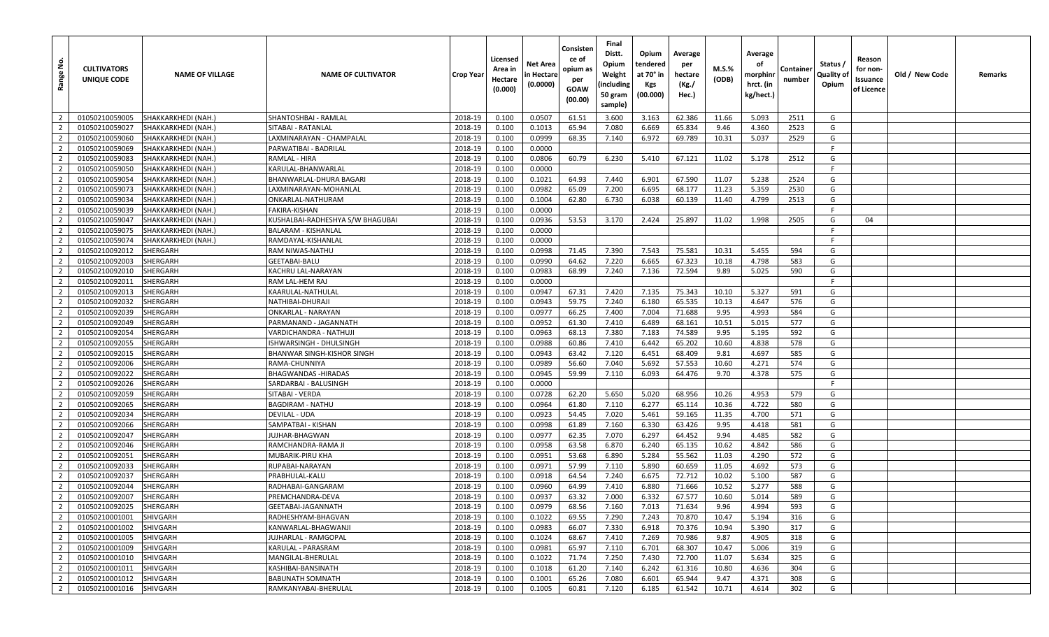| å<br>Range     | <b>CULTIVATORS</b><br>UNIQUE CODE | <b>NAME OF VILLAGE</b> | <b>NAME OF CULTIVATOR</b>        | Crop Year | Licensed<br>Area in<br>Hectare<br>(0.000) | Net Area<br>n Hectare<br>(0.0000) | Consisten<br>ce of<br>opium as<br>per<br><b>GOAW</b><br>(00.00) | Final<br>Distt.<br>Opium<br>Weight<br>(including<br>50 gram<br>sample) | Opium<br>tendered<br>at 70° in<br>Kgs<br>(00.000) | Average<br>per<br>hectare<br>(Kg./<br>Hec.) | M.S.%<br>(ODB) | Average<br>οf<br>morphinn<br>hrct. (in<br>kg/hect.) | Container<br>number | Status /<br>Quality of<br>Opium | Reason<br>for non-<br>Issuance<br>of Licence | Old / New Code | Remarks |
|----------------|-----------------------------------|------------------------|----------------------------------|-----------|-------------------------------------------|-----------------------------------|-----------------------------------------------------------------|------------------------------------------------------------------------|---------------------------------------------------|---------------------------------------------|----------------|-----------------------------------------------------|---------------------|---------------------------------|----------------------------------------------|----------------|---------|
| $\overline{2}$ | 01050210059005                    | SHAKKARKHEDI (NAH.)    | SHANTOSHBAI - RAMLAL             | 2018-19   | 0.100                                     | 0.0507                            | 61.51                                                           | 3.600                                                                  | 3.163                                             | 62.386                                      | 11.66          | 5.093                                               | 2511                | G                               |                                              |                |         |
| $\overline{2}$ | 01050210059027                    | SHAKKARKHEDI (NAH.)    | SITABAI - RATANLAL               | 2018-19   | 0.100                                     | 0.1013                            | 65.94                                                           | 7.080                                                                  | 6.669                                             | 65.834                                      | 9.46           | 4.360                                               | 2523                | G                               |                                              |                |         |
| $\overline{2}$ | 01050210059060                    | SHAKKARKHEDI (NAH.)    | LAXMINARAYAN - CHAMPALAL         | 2018-19   | 0.100                                     | 0.0999                            | 68.35                                                           | 7.140                                                                  | 6.972                                             | 69.789                                      | 10.31          | 5.037                                               | 2529                | G                               |                                              |                |         |
| $\overline{2}$ | 01050210059069                    | SHAKKARKHEDI (NAH.)    | PARWATIBAI - BADRILAL            | 2018-19   | 0.100                                     | 0.0000                            |                                                                 |                                                                        |                                                   |                                             |                |                                                     |                     | -F                              |                                              |                |         |
| $\overline{2}$ | 01050210059083                    | SHAKKARKHEDI (NAH.     | RAMLAL - HIRA                    | 2018-19   | 0.100                                     | 0.0806                            | 60.79                                                           | 6.230                                                                  | 5.410                                             | 67.121                                      | 11.02          | 5.178                                               | 2512                | G                               |                                              |                |         |
| $\overline{2}$ | 01050210059050                    | SHAKKARKHEDI (NAH.)    | KARULAL-BHANWARLAL               | 2018-19   | 0.100                                     | 0.0000                            |                                                                 |                                                                        |                                                   |                                             |                |                                                     |                     | F.                              |                                              |                |         |
| $\overline{2}$ | 01050210059054                    | SHAKKARKHEDI (NAH.)    | BHANWARLAL-DHURA BAGARI          | 2018-19   | 0.100                                     | 0.1021                            | 64.93                                                           | 7.440                                                                  | 6.901                                             | 67.590                                      | 11.07          | 5.238                                               | 2524                | G                               |                                              |                |         |
| $\overline{2}$ | 01050210059073                    | SHAKKARKHEDI (NAH.)    | LAXMINARAYAN-MOHANLAL            | 2018-19   | 0.100                                     | 0.0982                            | 65.09                                                           | 7.200                                                                  | 6.695                                             | 68.177                                      | 11.23          | 5.359                                               | 2530                | G                               |                                              |                |         |
| $\overline{2}$ | 01050210059034                    | SHAKKARKHEDI (NAH.     | ONKARLAL-NATHURAM                | 2018-19   | 0.100                                     | 0.1004                            | 62.80                                                           | 6.730                                                                  | 6.038                                             | 60.139                                      | 11.40          | 4.799                                               | 2513                | G                               |                                              |                |         |
| $\overline{2}$ | 01050210059039                    | SHAKKARKHEDI (NAH.)    | FAKIRA-KISHAN                    | 2018-19   | 0.100                                     | 0.0000                            |                                                                 |                                                                        |                                                   |                                             |                |                                                     |                     | F                               |                                              |                |         |
| 2              | 01050210059047                    | SHAKKARKHEDI (NAH.)    | KUSHALBAI-RADHESHYA S/W BHAGUBAI | 2018-19   | 0.100                                     | 0.0936                            | 53.53                                                           | 3.170                                                                  | 2.424                                             | 25.897                                      | 11.02          | 1.998                                               | 2505                | G                               | 04                                           |                |         |
| $\overline{2}$ | 01050210059075                    | SHAKKARKHEDI (NAH.)    | BALARAM - KISHANLAL              | 2018-19   | 0.100                                     | 0.0000                            |                                                                 |                                                                        |                                                   |                                             |                |                                                     |                     | -F                              |                                              |                |         |
| $\overline{2}$ | 01050210059074                    | SHAKKARKHEDI (NAH.)    | RAMDAYAL-KISHANLAL               | 2018-19   | 0.100                                     | 0.0000                            |                                                                 |                                                                        |                                                   |                                             |                |                                                     |                     | - F                             |                                              |                |         |
| $\overline{2}$ | 01050210092012                    | SHERGARH               | RAM NIWAS-NATHU                  | 2018-19   | 0.100                                     | 0.0998                            | 71.45                                                           | 7.390                                                                  | 7.543                                             | 75.581                                      | 10.31          | 5.455                                               | 594                 | G                               |                                              |                |         |
| $\overline{2}$ | 01050210092003                    | <b>SHERGARH</b>        | GEETABAI-BALU                    | 2018-19   | 0.100                                     | 0.0990                            | 64.62                                                           | 7.220                                                                  | 6.665                                             | 67.323                                      | 10.18          | 4.798                                               | 583                 | G                               |                                              |                |         |
| $\overline{2}$ | 01050210092010                    | SHERGARH               | KACHRU LAL-NARAYAN               | 2018-19   | 0.100                                     | 0.0983                            | 68.99                                                           | 7.240                                                                  | 7.136                                             | 72.594                                      | 9.89           | 5.025                                               | 590                 | G                               |                                              |                |         |
| $\overline{2}$ | 01050210092011                    | SHERGARH               | RAM LAL-HEM RAJ                  | 2018-19   | 0.100                                     | 0.0000                            |                                                                 |                                                                        |                                                   |                                             |                |                                                     |                     | F.                              |                                              |                |         |
| $\overline{2}$ | 01050210092013                    | SHERGARH               | KAARULAL-NATHULAL                | 2018-19   | 0.100                                     | 0.0947                            | 67.31                                                           | 7.420                                                                  | 7.135                                             | 75.343                                      | 10.10          | 5.327                                               | 591                 | G                               |                                              |                |         |
| $\overline{2}$ | 01050210092032                    | SHERGARH               | NATHIBAI-DHURAJI                 | 2018-19   | 0.100                                     | 0.0943                            | 59.75                                                           | 7.240                                                                  | 6.180                                             | 65.535                                      | 10.13          | 4.647                                               | 576                 | G                               |                                              |                |         |
| $\overline{2}$ | 01050210092039                    | SHERGARH               | ONKARLAL - NARAYAN               | 2018-19   | 0.100                                     | 0.0977                            | 66.25                                                           | 7.400                                                                  | 7.004                                             | 71.688                                      | 9.95           | 4.993                                               | 584                 | G                               |                                              |                |         |
| $\overline{2}$ | 01050210092049                    | <b>SHERGARH</b>        | PARMANAND - JAGANNATH            | 2018-19   | 0.100                                     | 0.0952                            | 61.30                                                           | 7.410                                                                  | 6.489                                             | 68.161                                      | 10.51          | 5.015                                               | 577                 | G                               |                                              |                |         |
| $\overline{2}$ | 01050210092054                    | SHERGARH               | VARDICHANDRA - NATHUJI           | 2018-19   | 0.100                                     | 0.0963                            | 68.13                                                           | 7.380                                                                  | 7.183                                             | 74.589                                      | 9.95           | 5.195                                               | 592                 | G                               |                                              |                |         |
| $\overline{2}$ | 01050210092055                    | SHERGARH               | ISHWARSINGH - DHULSINGH          | 2018-19   | 0.100                                     | 0.0988                            | 60.86                                                           | 7.410                                                                  | 6.442                                             | 65.202                                      | 10.60          | 4.838                                               | 578                 | G                               |                                              |                |         |
| $\overline{2}$ | 01050210092015                    | <b>SHERGARH</b>        | BHANWAR SINGH-KISHOR SINGH       | 2018-19   | 0.100                                     | 0.0943                            | 63.42                                                           | 7.120                                                                  | 6.451                                             | 68.409                                      | 9.81           | 4.697                                               | 585                 | G                               |                                              |                |         |
| $\overline{2}$ | 01050210092006                    | <b>SHERGARH</b>        | RAMA-CHUNNIYA                    | 2018-19   | 0.100                                     | 0.0989                            | 56.60                                                           | 7.040                                                                  | 5.692                                             | 57.553                                      | 10.60          | 4.271                                               | 574                 | G                               |                                              |                |         |
| $\overline{2}$ | 01050210092022                    | SHERGARH               | BHAGWANDAS -HIRADAS              | 2018-19   | 0.100                                     | 0.0945                            | 59.99                                                           | 7.110                                                                  | 6.093                                             | 64.476                                      | 9.70           | 4.378                                               | 575                 | G                               |                                              |                |         |
| $\overline{2}$ | 01050210092026                    | SHERGARH               | SARDARBAI - BALUSINGH            | 2018-19   | 0.100                                     | 0.0000                            |                                                                 |                                                                        |                                                   |                                             |                |                                                     |                     | - F                             |                                              |                |         |
| $\overline{2}$ | 01050210092059                    | <b>SHERGARH</b>        | SITABAI - VERDA                  | 2018-19   | 0.100                                     | 0.0728                            | 62.20                                                           | 5.650                                                                  | 5.020                                             | 68.956                                      | 10.26          | 4.953                                               | 579                 | G                               |                                              |                |         |
| $\overline{2}$ | 01050210092065                    | SHERGARH               | BAGDIRAM - NATHU                 | 2018-19   | 0.100                                     | 0.0964                            | 61.80                                                           | 7.110                                                                  | 6.277                                             | 65.114                                      | 10.36          | 4.722                                               | 580                 | G                               |                                              |                |         |
| $\overline{2}$ | 01050210092034                    | SHERGARH               | DEVILAL - UDA                    | 2018-19   | 0.100                                     | 0.0923                            | 54.45                                                           | 7.020                                                                  | 5.461                                             | 59.165                                      | 11.35          | 4.700                                               | 571                 | G                               |                                              |                |         |
| $\overline{2}$ | 01050210092066                    | <b>SHERGARH</b>        | SAMPATBAI - KISHAN               | 2018-19   | 0.100                                     | 0.0998                            | 61.89                                                           | 7.160                                                                  | 6.330                                             | 63.426                                      | 9.95           | 4.418                                               | 581                 | G                               |                                              |                |         |
| $\overline{2}$ | 01050210092047                    | <b>SHERGARH</b>        | JUJHAR-BHAGWAN                   | 2018-19   | 0.100                                     | 0.0977                            | 62.35                                                           | 7.070                                                                  | 6.297                                             | 64.452                                      | 9.94           | 4.485                                               | 582                 | G                               |                                              |                |         |
| $\overline{2}$ | 01050210092046                    | SHERGARH               | RAMCHANDRA-RAMA JI               | 2018-19   | 0.100                                     | 0.0958                            | 63.58                                                           | 6.870                                                                  | 6.240                                             | 65.135                                      | 10.62          | 4.842                                               | 586                 | G                               |                                              |                |         |
| $\overline{2}$ | 01050210092051                    | SHERGARH               | MUBARIK-PIRU KHA                 | 2018-19   | 0.100                                     | 0.0951                            | 53.68                                                           | 6.890                                                                  | 5.284                                             | 55.562                                      | 11.03          | 4.290                                               | 572                 | G                               |                                              |                |         |
| $\overline{2}$ | 01050210092033                    | <b>SHERGARH</b>        | RUPABAI-NARAYAN                  | 2018-19   | 0.100                                     | 0.0971                            | 57.99                                                           | 7.110                                                                  | 5.890                                             | 60.659                                      | 11.05          | 4.692                                               | 573                 | G                               |                                              |                |         |
| $\overline{2}$ | 01050210092037                    | SHERGARH               | PRABHULAL-KALU                   | 2018-19   | 0.100                                     | 0.0918                            | 64.54                                                           | 7.240                                                                  | 6.675                                             | 72.712                                      | 10.02          | 5.100                                               | 587                 | G                               |                                              |                |         |
| 2              | 01050210092044                    | <b>SHERGARH</b>        | RADHABAI-GANGARAM                | 2018-19   | 0.100                                     | 0.0960                            | 64.99                                                           | 7.410                                                                  | 6.880                                             | 71.666                                      | 10.52          | 5.277                                               | 588                 | G                               |                                              |                |         |
| $\overline{2}$ | 01050210092007                    | SHERGARH               | PREMCHANDRA-DEVA                 | 2018-19   | 0.100                                     | 0.0937                            | 63.32                                                           | 7.000                                                                  | 6.332                                             | 67.577                                      | 10.60          | 5.014                                               | 589                 | G                               |                                              |                |         |
| $\overline{2}$ | 01050210092025                    | SHERGARH               | GEETABAI-JAGANNATH               | 2018-19   | 0.100                                     | 0.0979                            | 68.56                                                           | 7.160                                                                  | 7.013                                             | 71.634                                      | 9.96           | 4.994                                               | 593                 | G                               |                                              |                |         |
| $\overline{2}$ | 01050210001001                    | <b>SHIVGARH</b>        | RADHESHYAM-BHAGVAN               | 2018-19   | 0.100                                     | 0.1022                            | 69.55                                                           | 7.290                                                                  | 7.243                                             | 70.870                                      | 10.47          | 5.194                                               | 316                 | G                               |                                              |                |         |
| $\overline{2}$ | 01050210001002                    | SHIVGARH               | KANWARLAL-BHAGWANJI              | 2018-19   | 0.100                                     | 0.0983                            | 66.07                                                           | 7.330                                                                  | 6.918                                             | 70.376                                      | 10.94          | 5.390                                               | 317                 | G                               |                                              |                |         |
| $\overline{2}$ | 01050210001005                    | SHIVGARH               | JUJHARLAL - RAMGOPAL             | 2018-19   | 0.100                                     | 0.1024                            | 68.67                                                           | 7.410                                                                  | 7.269                                             | 70.986                                      | 9.87           | 4.905                                               | 318                 | G                               |                                              |                |         |
| $\overline{2}$ | 01050210001009                    | SHIVGARH               | KARULAL - PARASRAM               | 2018-19   | 0.100                                     | 0.0981                            | 65.97                                                           | 7.110                                                                  | 6.701                                             | 68.307                                      | 10.47          | 5.006                                               | 319                 | G                               |                                              |                |         |
| $\overline{2}$ | 01050210001010                    | SHIVGARH               | MANGILAL-BHERULAL                | 2018-19   | 0.100                                     | 0.1022                            | 71.74                                                           | 7.250                                                                  | 7.430                                             | 72.700                                      | 11.07          | 5.634                                               | 325                 | G                               |                                              |                |         |
| $\overline{2}$ | 01050210001011                    | SHIVGARH               | KASHIBAI-BANSINATH               | 2018-19   | 0.100                                     | 0.1018                            | 61.20                                                           | 7.140                                                                  | 6.242                                             | 61.316                                      | 10.80          | 4.636                                               | 304                 | G                               |                                              |                |         |
| $\overline{2}$ | 01050210001012                    | SHIVGARH               | BABUNATH SOMNATH                 | 2018-19   | 0.100                                     | 0.1001                            | 65.26                                                           | 7.080                                                                  | 6.601                                             | 65.944                                      | 9.47           | 4.371                                               | 308                 | G                               |                                              |                |         |
| $\overline{2}$ | 01050210001016                    | <b>SHIVGARH</b>        | RAMKANYABAI-BHERULAL             | 2018-19   | 0.100                                     | 0.1005                            | 60.81                                                           | 7.120                                                                  | 6.185                                             | 61.542                                      | 10.71          | 4.614                                               | 302                 | G                               |                                              |                |         |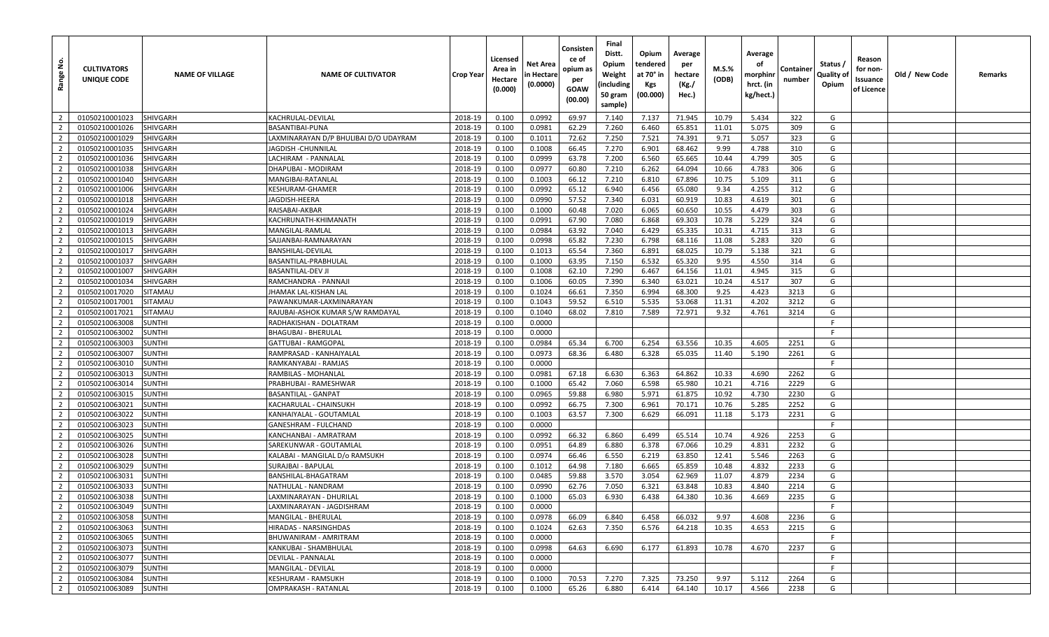| <u>ទំ</u><br>Range               | <b>CULTIVATORS</b><br>UNIQUE CODE | <b>NAME OF VILLAGE</b>         | <b>NAME OF CULTIVATOR</b>                      | <b>Crop Year</b>   | Licensed<br>Area in<br>Hectare<br>(0.000) | Net Area<br>in Hectare<br>(0.0000) | Consisten<br>ce of<br>opium as<br>per<br>GOAW<br>(00.00) | Final<br>Distt.<br>Opium<br>Weight<br>(including<br>50 gram<br>sample) | Opium<br>tendered<br>at 70° in<br>Kgs<br>(00.000) | Average<br>per<br>hectare<br>(Kg./<br>Hec.) | M.S.%<br>(ODB) | Average<br>οf<br>morphinr<br>hrct. (in<br>kg/hect.) | Container<br>number | Status /<br>Quality of<br>Opium | Reason<br>for non-<br>Issuance<br>of Licence | Old / New Code | Remarks |
|----------------------------------|-----------------------------------|--------------------------------|------------------------------------------------|--------------------|-------------------------------------------|------------------------------------|----------------------------------------------------------|------------------------------------------------------------------------|---------------------------------------------------|---------------------------------------------|----------------|-----------------------------------------------------|---------------------|---------------------------------|----------------------------------------------|----------------|---------|
| $\overline{2}$                   | 01050210001023                    | SHIVGARH                       | KACHRULAL-DEVILAL                              | 2018-19            | 0.100                                     | 0.0992                             | 69.97                                                    | 7.140                                                                  | 7.137                                             | 71.945                                      | 10.79          | 5.434                                               | 322                 | G                               |                                              |                |         |
| $\overline{2}$                   | 01050210001026                    | SHIVGARH                       | BASANTIBAI-PUNA                                | 2018-19            | 0.100                                     | 0.0981                             | 62.29                                                    | 7.260                                                                  | 6.460                                             | 65.851                                      | 11.01          | 5.075                                               | 309                 | G                               |                                              |                |         |
| $\overline{2}$                   | 01050210001029                    | SHIVGARH                       | LAXMINARAYAN D/P BHULIBAI D/O UDAYRAM          | 2018-19            | 0.100                                     | 0.1011                             | 72.62                                                    | 7.250                                                                  | 7.521                                             | 74.391                                      | 9.71           | 5.057                                               | 323                 | G                               |                                              |                |         |
| $\overline{2}$                   | 01050210001035                    | SHIVGARH                       | JAGDISH -CHUNNILAL                             | 2018-19            | 0.100                                     | 0.1008                             | 66.45                                                    | 7.270                                                                  | 6.901                                             | 68.462                                      | 9.99           | 4.788                                               | 310                 | G                               |                                              |                |         |
| $\overline{2}$                   | 01050210001036                    | SHIVGARH                       | LACHIRAM - PANNALAL                            | 2018-19            | 0.100                                     | 0.0999                             | 63.78                                                    | 7.200                                                                  | 6.560                                             | 65.665                                      | 10.44          | 4.799                                               | 305                 | G                               |                                              |                |         |
| $\overline{2}$                   | 01050210001038                    | SHIVGARH                       | DHAPUBAI - MODIRAM                             | 2018-19            | 0.100                                     | 0.0977                             | 60.80                                                    | 7.210                                                                  | 6.262                                             | 64.094                                      | 10.66          | 4.783                                               | 306                 | G                               |                                              |                |         |
| $\overline{2}$                   | 01050210001040                    | SHIVGARH                       | MANGIBAI-RATANLAL                              | 2018-19            | 0.100                                     | 0.1003                             | 66.12                                                    | 7.210                                                                  | 6.810                                             | 67.896                                      | 10.75          | 5.109                                               | 311                 | G                               |                                              |                |         |
| $\overline{2}$                   | 01050210001006                    | <b>SHIVGARH</b>                | KESHURAM-GHAMER                                | 2018-19            | 0.100                                     | 0.0992                             | 65.12                                                    | 6.940                                                                  | 6.456                                             | 65.080                                      | 9.34           | 4.255                                               | 312                 | G                               |                                              |                |         |
| $\overline{2}$                   | 01050210001018                    | <b>SHIVGARH</b>                | IAGDISH-HEERA                                  | 2018-19            | 0.100                                     | 0.0990                             | 57.52                                                    | 7.340                                                                  | 6.031                                             | 60.919                                      | 10.83          | 4.619                                               | 301                 | G                               |                                              |                |         |
| $\overline{2}$                   | 01050210001024                    | SHIVGARH                       | RAISABAI-AKBAR                                 | 2018-19            | 0.100                                     | 0.1000                             | 60.48                                                    | 7.020                                                                  | 6.065                                             | 60.650                                      | 10.55          | 4.479                                               | 303                 | G                               |                                              |                |         |
| $\overline{2}$                   | 01050210001019                    | <b>SHIVGARH</b>                | KACHRUNATH-KHIMANATH                           | 2018-19            | 0.100                                     | 0.0991                             | 67.90                                                    | 7.080                                                                  | 6.868                                             | 69.303                                      | 10.78          | 5.229                                               | 324                 | G                               |                                              |                |         |
| $\overline{2}$                   | 01050210001013                    | SHIVGARH                       | MANGILAL-RAMLAL                                | 2018-19            | 0.100                                     | 0.0984                             | 63.92                                                    | 7.040                                                                  | 6.429                                             | 65.335                                      | 10.31          | 4.715                                               | 313                 | G                               |                                              |                |         |
| $\overline{2}$                   | 01050210001015                    | SHIVGARH                       | SAJJANBAI-RAMNARAYAN                           | 2018-19            | 0.100                                     | 0.0998                             | 65.82                                                    | 7.230                                                                  | 6.798                                             | 68.116                                      | 11.08          | 5.283                                               | 320                 | G                               |                                              |                |         |
| $\overline{2}$                   | 01050210001017                    | SHIVGARH                       | BANSHILAL-DEVILAL                              | 2018-19            | 0.100                                     | 0.1013                             | 65.54                                                    | 7.360                                                                  | 6.891                                             | 68.025                                      | 10.79          | 5.138                                               | 321                 | G                               |                                              |                |         |
| $\overline{2}$                   | 01050210001037                    | <b>SHIVGARH</b>                | BASANTILAL-PRABHULAL                           | 2018-19            | 0.100                                     | 0.1000                             | 63.95                                                    | 7.150                                                                  | 6.532                                             | 65.320                                      | 9.95           | 4.550                                               | 314                 | G                               |                                              |                |         |
| $\overline{2}$                   | 01050210001007                    | SHIVGARH                       | BASANTILAL-DEV JI                              | 2018-19            | 0.100                                     | 0.1008                             | 62.10                                                    | 7.290                                                                  | 6.467                                             | 64.156                                      | 11.01          | 4.945                                               | 315                 | G                               |                                              |                |         |
| $\overline{2}$                   | 01050210001034                    | SHIVGARH                       | RAMCHANDRA - PANNAJI                           | 2018-19            | 0.100                                     | 0.1006                             | 60.05                                                    | 7.390                                                                  | 6.340                                             | 63.021                                      | 10.24          | 4.517                                               | 307                 | G                               |                                              |                |         |
| $\overline{2}$                   | 01050210017020                    | SITAMAU                        | IHAMAK LAL-KISHAN LAL                          | 2018-19            | 0.100                                     | 0.1024                             | 66.61                                                    | 7.350                                                                  | 6.994                                             | 68.300                                      | 9.25           | 4.423                                               | 3213                | G                               |                                              |                |         |
| $\overline{2}$                   | 01050210017001                    | SITAMAU                        | PAWANKUMAR-LAXMINARAYAN                        | 2018-19            | 0.100                                     | 0.1043                             | 59.52                                                    | 6.510                                                                  | 5.535                                             | 53.068                                      | 11.31          | 4.202                                               | 3212                | G                               |                                              |                |         |
| $\overline{2}$                   | 01050210017021                    | SITAMAU                        | RAJUBAI-ASHOK KUMAR S/W RAMDAYAL               | 2018-19            | 0.100                                     | 0.1040                             | 68.02                                                    | 7.810                                                                  | 7.589                                             | 72.971                                      | 9.32           | 4.761                                               | 3214                | G                               |                                              |                |         |
| $\overline{2}$                   | 01050210063008                    | SUNTHI                         | RADHAKISHAN - DOLATRAM                         | 2018-19            | 0.100                                     | 0.0000                             |                                                          |                                                                        |                                                   |                                             |                |                                                     |                     | F.                              |                                              |                |         |
| $\overline{2}$                   | 01050210063002                    | <b>SUNTHI</b>                  | <b>BHAGUBAI - BHERULAL</b>                     | 2018-19            | 0.100                                     | 0.0000                             |                                                          |                                                                        |                                                   |                                             |                |                                                     |                     | F                               |                                              |                |         |
| $\overline{2}$                   | 01050210063003                    | <b>SUNTHI</b>                  | GATTUBAI - RAMGOPAL                            | 2018-19            | 0.100                                     | 0.0984                             | 65.34                                                    | 6.700                                                                  | 6.254                                             | 63.556                                      | 10.35          | 4.605                                               | 2251                | G                               |                                              |                |         |
| $\overline{2}$                   | 01050210063007                    | SUNTHI                         | RAMPRASAD - KANHAIYALAL                        | 2018-19            | 0.100                                     | 0.0973                             | 68.36                                                    | 6.480                                                                  | 6.328                                             | 65.035                                      | 11.40          | 5.190                                               | 2261                | G                               |                                              |                |         |
| $\overline{2}$                   | 01050210063010                    | <b>SUNTHI</b>                  | RAMKANYABAI - RAMJAS                           | 2018-19            | 0.100                                     | 0.0000                             |                                                          |                                                                        |                                                   |                                             |                |                                                     |                     | F.                              |                                              |                |         |
| $\overline{2}$                   | 01050210063013                    | SUNTHI                         | RAMBILAS - MOHANLAL                            | 2018-19            | 0.100                                     | 0.0981                             | 67.18                                                    | 6.630                                                                  | 6.363                                             | 64.862                                      | 10.33          | 4.690                                               | 2262                | G                               |                                              |                |         |
| $\overline{2}$                   | 01050210063014                    | SUNTHI                         | PRABHUBAI - RAMESHWAR                          | 2018-19            | 0.100                                     | 0.1000                             | 65.42                                                    | 7.060                                                                  | 6.598                                             | 65.980                                      | 10.21          | 4.716                                               | 2229                | G                               |                                              |                |         |
| $\overline{2}$                   | 01050210063015                    | <b>SUNTHI</b>                  | BASANTILAL - GANPAT                            | 2018-19            | 0.100                                     | 0.0965                             | 59.88                                                    | 6.980                                                                  | 5.971                                             | 61.875                                      | 10.92          | 4.730                                               | 2230                | G                               |                                              |                |         |
| $\overline{2}$                   | 01050210063021                    | <b>SUNTHI</b>                  | KACHARULAL - CHAINSUKH                         | 2018-19            | 0.100                                     | 0.0992                             | 66.75                                                    | 7.300                                                                  | 6.961                                             | 70.171                                      | 10.76          | 5.285                                               | 2252                | G                               |                                              |                |         |
| $\overline{2}$                   | 01050210063022                    | SUNTHI                         | KANHAIYALAL - GOUTAMLAL                        | 2018-19            | 0.100                                     | 0.1003                             | 63.57                                                    | 7.300                                                                  | 6.629                                             | 66.091                                      | 11.18          | 5.173                                               | 2231                | G                               |                                              |                |         |
| $\overline{2}$                   | 01050210063023                    | SUNTHI                         | GANESHRAM - FULCHAND                           | 2018-19            | 0.100                                     | 0.0000                             |                                                          |                                                                        |                                                   |                                             |                |                                                     |                     | $\mathsf{F}$                    |                                              |                |         |
| $\overline{2}$                   | 01050210063025                    | <b>SUNTHI</b>                  | KANCHANBAI - AMRATRAM                          | 2018-19            | 0.100                                     | 0.0992                             | 66.32                                                    | 6.860                                                                  | 6.499                                             | 65.514                                      | 10.74          | 4.926                                               | 2253                | G                               |                                              |                |         |
| $\overline{2}$                   | 01050210063026                    | <b>SUNTHI</b>                  | SAREKUNWAR - GOUTAMLAI                         | 2018-19            | 0.100                                     | 0.0951                             | 64.89                                                    | 6.880                                                                  | 6.378                                             | 67.066                                      | 10.29          | 4.831                                               | 2232                | G                               |                                              |                |         |
| $\overline{2}$                   | 01050210063028                    | <b>SUNTHI</b>                  | KALABAI - MANGILAL D/o RAMSUKH                 | 2018-19            | 0.100                                     | 0.0974                             | 66.46                                                    | 6.550                                                                  | 6.219                                             | 63.850                                      | 12.41          | 5.546                                               | 2263                | G                               |                                              |                |         |
| $\overline{2}$                   | 01050210063029                    | SUNTHI                         | <b>SURAJBAI - BAPULAL</b>                      | 2018-19            | 0.100                                     | 0.1012                             | 64.98                                                    | 7.180                                                                  | 6.665                                             | 65.859                                      | 10.48          | 4.832                                               | 2233                | G                               |                                              |                |         |
| $\overline{2}$                   | 01050210063031                    | <b>SUNTHI</b>                  | BANSHILAL-BHAGATRAM                            | 2018-19            | 0.100                                     | 0.0485                             | 59.88                                                    | 3.570                                                                  | 3.054                                             | 62.969                                      | 11.07          | 4.879                                               | 2234                | G                               |                                              |                |         |
| $\overline{2}$                   | 01050210063033                    | SUNTHI                         | NATHULAL - NANDRAM                             | 2018-19            | 0.100                                     | 0.0990                             | 62.76                                                    | 7.050                                                                  | 6.321                                             | 63.848                                      | 10.83          | 4.840                                               | 2214                | G                               |                                              |                |         |
| $\overline{2}$                   | 01050210063038                    | SUNTHI                         | LAXMINARAYAN - DHURILAL                        | 2018-19            | 0.100                                     | 0.1000                             | 65.03                                                    | 6.930                                                                  | 6.438                                             | 64.380                                      | 10.36          | 4.669                                               | 2235                | G                               |                                              |                |         |
| 2 <sup>1</sup>                   | 01050210063049                    | <b>SUNTHI</b>                  | LAXMINARAYAN - JAGDISHRAM                      | 2018-19            | 0.100                                     | 0.0000                             |                                                          |                                                                        |                                                   |                                             |                |                                                     |                     | -F.                             |                                              |                |         |
| $\overline{2}$<br>$\overline{2}$ | 01050210063058                    | <b>SUNTHI</b>                  | <b>MANGILAL - BHERULAL</b>                     | 2018-19<br>2018-19 | 0.100                                     | 0.0978                             | 66.09<br>62.63                                           | 6.840<br>7.350                                                         | 6.458<br>6.576                                    | 66.032                                      | 9.97<br>10.35  | 4.608<br>4.653                                      | 2236<br>2215        | G<br>G                          |                                              |                |         |
| $\overline{2}$                   | 01050210063063<br>01050210063065  | <b>SUNTHI</b>                  | HIRADAS - NARSINGHDAS<br>BHUWANIRAM - AMRITRAM |                    | 0.100                                     | 0.1024<br>0.0000                   |                                                          |                                                                        |                                                   | 64.218                                      |                |                                                     |                     | F.                              |                                              |                |         |
| $\overline{2}$                   | 01050210063073                    | <b>SUNTHI</b><br><b>SUNTHI</b> | KANKUBAI - SHAMBHULAL                          | 2018-19<br>2018-19 | 0.100<br>0.100                            | 0.0998                             | 64.63                                                    | 6.690                                                                  | 6.177                                             | 61.893                                      | 10.78          | 4.670                                               | 2237                | G                               |                                              |                |         |
| $\overline{2}$                   | 01050210063077                    | <b>SUNTHI</b>                  | DEVILAL - PANNALAL                             | 2018-19            | 0.100                                     | 0.0000                             |                                                          |                                                                        |                                                   |                                             |                |                                                     |                     | F                               |                                              |                |         |
| $\overline{2}$                   | 01050210063079                    | <b>SUNTHI</b>                  | MANGILAL - DEVILAL                             | 2018-19            | 0.100                                     | 0.0000                             |                                                          |                                                                        |                                                   |                                             |                |                                                     |                     | F                               |                                              |                |         |
| $\overline{2}$                   | 01050210063084                    | <b>SUNTHI</b>                  | KESHURAM - RAMSUKH                             | 2018-19            | 0.100                                     | 0.1000                             | 70.53                                                    | 7.270                                                                  | 7.325                                             | 73.250                                      | 9.97           | 5.112                                               | 2264                | G                               |                                              |                |         |
| $\overline{2}$                   | 01050210063089                    | <b>SUNTHI</b>                  | OMPRAKASH - RATANLAL                           | 2018-19            | 0.100                                     | 0.1000                             | 65.26                                                    | 6.880                                                                  | 6.414                                             | 64.140                                      | 10.17          | 4.566                                               | 2238                | G                               |                                              |                |         |
|                                  |                                   |                                |                                                |                    |                                           |                                    |                                                          |                                                                        |                                                   |                                             |                |                                                     |                     |                                 |                                              |                |         |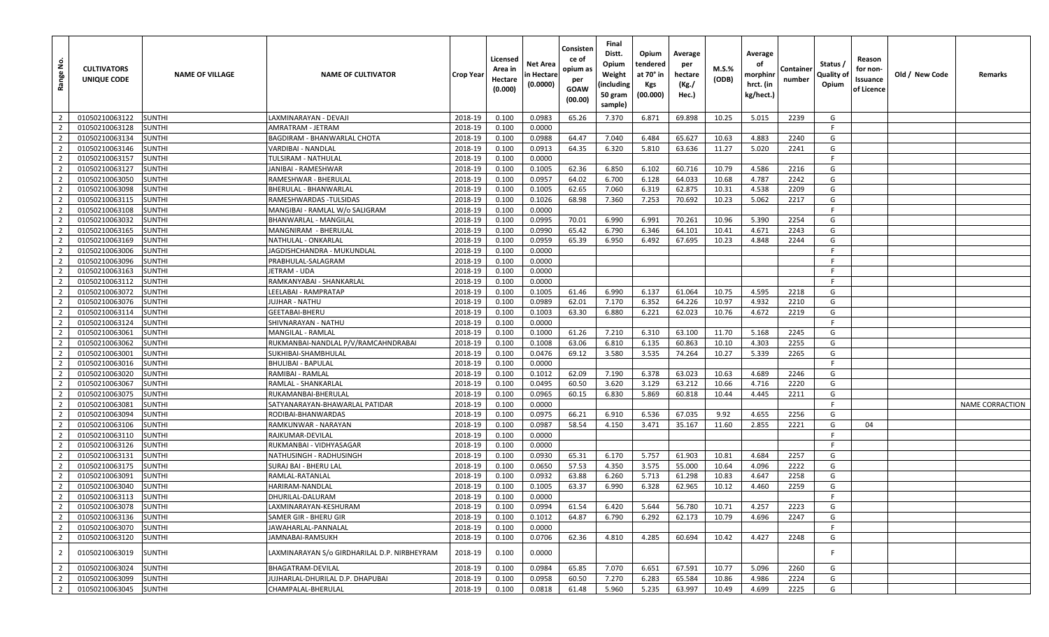| <u>غ</u><br>Range | <b>CULTIVATORS</b><br>UNIQUE CODE | <b>NAME OF VILLAGE</b> | <b>NAME OF CULTIVATOR</b>                      | Crop Year | Licensed<br>Area in<br>Hectare<br>(0.000) | Net Area<br>n Hectare<br>(0.0000) | Consisten<br>ce of<br>opium as<br>per<br><b>GOAW</b><br>(00.00) | Final<br>Distt.<br>Opium<br>Weight<br>(including<br>50 gram<br>sample) | Opium<br>tendered<br>at 70° in<br><b>Kgs</b><br>(00.000) | Average<br>per<br>hectare<br>(Kg./<br>Hec.) | <b>M.S.%</b><br>(ODB) | Average<br>оf<br>morphinr<br>hrct. (in<br>kg/hect.) | Containe<br>number | Status /<br>Quality of<br>Opium | Reason<br>for non-<br>Issuance<br>of Licence | Old / New Code | Remarks         |
|-------------------|-----------------------------------|------------------------|------------------------------------------------|-----------|-------------------------------------------|-----------------------------------|-----------------------------------------------------------------|------------------------------------------------------------------------|----------------------------------------------------------|---------------------------------------------|-----------------------|-----------------------------------------------------|--------------------|---------------------------------|----------------------------------------------|----------------|-----------------|
| $\overline{2}$    | 01050210063122                    | <b>SUNTHI</b>          | LAXMINARAYAN - DEVAJI                          | 2018-19   | 0.100                                     | 0.0983                            | 65.26                                                           | 7.370                                                                  | 6.871                                                    | 69.898                                      | 10.25                 | 5.015                                               | 2239               | G                               |                                              |                |                 |
| $\overline{2}$    | 01050210063128                    | <b>SUNTHI</b>          | AMRATRAM - JETRAM                              | 2018-19   | 0.100                                     | 0.0000                            |                                                                 |                                                                        |                                                          |                                             |                       |                                                     |                    | F.                              |                                              |                |                 |
| $\overline{2}$    | 01050210063134                    | <b>SUNTHI</b>          | <b>BAGDIRAM - BHANWARLAL CHOTA</b>             | 2018-19   | 0.100                                     | 0.0988                            | 64.47                                                           | 7.040                                                                  | 6.484                                                    | 65.627                                      | 10.63                 | 4.883                                               | 2240               | G                               |                                              |                |                 |
| $\overline{2}$    | 01050210063146                    | <b>SUNTHI</b>          | VARDIBAI - NANDLAL                             | 2018-19   | 0.100                                     | 0.0913                            | 64.35                                                           | 6.320                                                                  | 5.810                                                    | 63.636                                      | 11.27                 | 5.020                                               | 2241               | G                               |                                              |                |                 |
| $\overline{2}$    | 01050210063157                    | <b>SUNTHI</b>          | TULSIRAM - NATHULAL                            | 2018-19   | 0.100                                     | 0.0000                            |                                                                 |                                                                        |                                                          |                                             |                       |                                                     |                    | F.                              |                                              |                |                 |
| $\overline{2}$    | 01050210063127                    | <b>SUNTHI</b>          | JANIBAI - RAMESHWAR                            | 2018-19   | 0.100                                     | 0.1005                            | 62.36                                                           | 6.850                                                                  | 6.102                                                    | 60.716                                      | 10.79                 | 4.586                                               | 2216               | G                               |                                              |                |                 |
| $\overline{2}$    | 01050210063050                    | <b>SUNTHI</b>          | RAMESHWAR - BHERULAL                           | 2018-19   | 0.100                                     | 0.0957                            | 64.02                                                           | 6.700                                                                  | 6.128                                                    | 64.033                                      | 10.68                 | 4.787                                               | 2242               | G                               |                                              |                |                 |
| $\overline{2}$    | 01050210063098                    | <b>SUNTHI</b>          | BHERULAL - BHANWARLAL                          | 2018-19   | 0.100                                     | 0.1005                            | 62.65                                                           | 7.060                                                                  | 6.319                                                    | 62.875                                      | 10.31                 | 4.538                                               | 2209               | G                               |                                              |                |                 |
| $\overline{2}$    | 01050210063115                    | <b>SUNTHI</b>          | RAMESHWARDAS -TULSIDAS                         | 2018-19   | 0.100                                     | 0.1026                            | 68.98                                                           | 7.360                                                                  | 7.253                                                    | 70.692                                      | 10.23                 | 5.062                                               | 2217               | G                               |                                              |                |                 |
| $\overline{2}$    | 01050210063108                    | <b>SUNTHI</b>          | MANGIBAI - RAMLAL W/o SALIGRAM                 | 2018-19   | 0.100                                     | 0.0000                            |                                                                 |                                                                        |                                                          |                                             |                       |                                                     |                    | F.                              |                                              |                |                 |
| $\overline{2}$    | 01050210063032                    | <b>SUNTHI</b>          | BHANWARLAL - MANGILAL                          | 2018-19   | 0.100                                     | 0.0995                            | 70.01                                                           | 6.990                                                                  | 6.991                                                    | 70.261                                      | 10.96                 | 5.390                                               | 2254               | G                               |                                              |                |                 |
| $\overline{2}$    | 01050210063165                    | <b>SUNTHI</b>          | MANGNIRAM - BHERULAL                           | 2018-19   | 0.100                                     | 0.0990                            | 65.42                                                           | 6.790                                                                  | 6.346                                                    | 64.101                                      | 10.41                 | 4.671                                               | 2243               | G                               |                                              |                |                 |
| $\overline{2}$    | 01050210063169                    | <b>SUNTHI</b>          | NATHULAL - ONKARLAL                            | 2018-19   | 0.100                                     | 0.0959                            | 65.39                                                           | 6.950                                                                  | 6.492                                                    | 67.695                                      | 10.23                 | 4.848                                               | 2244               | G                               |                                              |                |                 |
| $\overline{2}$    | 01050210063006                    | <b>SUNTHI</b>          | JAGDISHCHANDRA - MUKUNDLAL                     | 2018-19   | 0.100                                     | 0.0000                            |                                                                 |                                                                        |                                                          |                                             |                       |                                                     |                    | F.                              |                                              |                |                 |
| $\overline{2}$    | 01050210063096                    | <b>SUNTHI</b>          | PRABHULAL-SALAGRAM                             | 2018-19   | 0.100                                     | 0.0000                            |                                                                 |                                                                        |                                                          |                                             |                       |                                                     |                    | F.                              |                                              |                |                 |
| $\overline{2}$    | 01050210063163                    | <b>SUNTHI</b>          | <b>JETRAM - UDA</b>                            | 2018-19   | 0.100                                     | 0.0000                            |                                                                 |                                                                        |                                                          |                                             |                       |                                                     |                    | -F                              |                                              |                |                 |
| $\overline{2}$    | 01050210063112                    | <b>SUNTHI</b>          | RAMKANYABAI - SHANKARLAL                       | 2018-19   | 0.100                                     | 0.0000                            |                                                                 |                                                                        |                                                          |                                             |                       |                                                     |                    | - F                             |                                              |                |                 |
| $\overline{2}$    | 01050210063072                    | <b>SUNTHI</b>          | LEELABAI - RAMPRATAP                           | 2018-19   | 0.100                                     | 0.1005                            | 61.46                                                           | 6.990                                                                  | 6.137                                                    | 61.064                                      | 10.75                 | 4.595                                               | 2218               | G                               |                                              |                |                 |
| $\overline{2}$    | 01050210063076                    | <b>SUNTHI</b>          | JUJHAR - NATHU                                 | 2018-19   | 0.100                                     | 0.0989                            | 62.01                                                           | 7.170                                                                  | 6.352                                                    | 64.226                                      | 10.97                 | 4.932                                               | 2210               | G                               |                                              |                |                 |
| $\overline{2}$    | 01050210063114                    | <b>SUNTHI</b>          | GEETABAI-BHERU                                 | 2018-19   | 0.100                                     | 0.1003                            | 63.30                                                           | 6.880                                                                  | 6.221                                                    | 62.023                                      | 10.76                 | 4.672                                               | 2219               | G                               |                                              |                |                 |
| $\overline{2}$    | 01050210063124                    | <b>SUNTHI</b>          | SHIVNARAYAN - NATHU                            | 2018-19   | 0.100                                     | 0.0000                            |                                                                 |                                                                        |                                                          |                                             |                       |                                                     |                    | F.                              |                                              |                |                 |
| $\overline{2}$    | 01050210063061                    | <b>SUNTHI</b>          | MANGILAL - RAMLAL                              | 2018-19   | 0.100                                     | 0.1000                            | 61.26                                                           | 7.210                                                                  | 6.310                                                    | 63.100                                      | 11.70                 | 5.168                                               | 2245               | G                               |                                              |                |                 |
| $\overline{2}$    | 01050210063062                    | <b>SUNTHI</b>          | RUKMANBAI-NANDLAL P/V/RAMCAHNDRABAI            | 2018-19   | 0.100                                     | 0.1008                            | 63.06                                                           | 6.810                                                                  | 6.135                                                    | 60.863                                      | 10.10                 | 4.303                                               | 2255               | G                               |                                              |                |                 |
| $\overline{2}$    | 01050210063001                    | <b>SUNTHI</b>          | SUKHIBAI-SHAMBHULAL                            | 2018-19   | 0.100                                     | 0.0476                            | 69.12                                                           | 3.580                                                                  | 3.535                                                    | 74.264                                      | 10.27                 | 5.339                                               | 2265               | G                               |                                              |                |                 |
| $\overline{2}$    | 01050210063016                    | <b>SUNTHI</b>          | <b>BHULIBAI - BAPULAL</b>                      | 2018-19   | 0.100                                     | 0.0000                            |                                                                 |                                                                        |                                                          |                                             |                       |                                                     |                    | F.                              |                                              |                |                 |
| $\overline{2}$    | 01050210063020                    | <b>SUNTHI</b>          | RAMIBAI - RAMLAL                               | 2018-19   | 0.100                                     | 0.1012                            | 62.09                                                           | 7.190                                                                  | 6.378                                                    | 63.023                                      | 10.63                 | 4.689                                               | 2246               | G                               |                                              |                |                 |
| $\overline{2}$    | 01050210063067                    | <b>SUNTHI</b>          | RAMLAL - SHANKARLAL                            | 2018-19   | 0.100                                     | 0.0495                            | 60.50                                                           | 3.620                                                                  | 3.129                                                    | 63.212                                      | 10.66                 | 4.716                                               | 2220               | G                               |                                              |                |                 |
| $\overline{2}$    | 01050210063075                    | <b>SUNTHI</b>          | RUKAMANBAI-BHERULAL                            | 2018-19   | 0.100                                     | 0.0965                            | 60.15                                                           | 6.830                                                                  | 5.869                                                    | 60.818                                      | 10.44                 | 4.445                                               | 2211               | G                               |                                              |                |                 |
| $\overline{2}$    | 01050210063081                    | <b>SUNTHI</b>          | SATYANARAYAN-BHAWARLAL PATIDAR                 | 2018-19   | 0.100                                     | 0.0000                            |                                                                 |                                                                        |                                                          |                                             |                       |                                                     |                    | F.                              |                                              |                | NAME CORRACTION |
| $\overline{2}$    | 01050210063094                    | <b>SUNTHI</b>          | RODIBAI-BHANWARDAS                             | 2018-19   | 0.100                                     | 0.0975                            | 66.21                                                           | 6.910                                                                  | 6.536                                                    | 67.035                                      | 9.92                  | 4.655                                               | 2256               | G                               |                                              |                |                 |
| $\overline{2}$    | 01050210063106                    | <b>SUNTHI</b>          | RAMKUNWAR - NARAYAN                            | 2018-19   | 0.100                                     | 0.0987                            | 58.54                                                           | 4.150                                                                  | 3.471                                                    | 35.167                                      | 11.60                 | 2.855                                               | 2221               | G                               | 04                                           |                |                 |
| $\overline{2}$    | 01050210063110                    | <b>SUNTHI</b>          | RAJKUMAR-DEVILAL                               | 2018-19   | 0.100                                     | 0.0000                            |                                                                 |                                                                        |                                                          |                                             |                       |                                                     |                    | F.                              |                                              |                |                 |
| $\overline{2}$    | 01050210063126                    | <b>SUNTHI</b>          | RUKMANBAI - VIDHYASAGAR                        | 2018-19   | 0.100                                     | 0.0000                            |                                                                 |                                                                        |                                                          |                                             |                       |                                                     |                    | F.                              |                                              |                |                 |
| $\overline{2}$    | 01050210063131                    | <b>SUNTHI</b>          | NATHUSINGH - RADHUSINGH                        | 2018-19   | 0.100                                     | 0.0930                            | 65.31                                                           | 6.170                                                                  | 5.757                                                    | 61.903                                      | 10.81                 | 4.684                                               | 2257               | G                               |                                              |                |                 |
| $\overline{2}$    | 01050210063175                    | <b>SUNTHI</b>          | SURAJ BAI - BHERU LAL                          | 2018-19   | 0.100                                     | 0.0650                            | 57.53                                                           | 4.350                                                                  | 3.575                                                    | 55.000                                      | 10.64                 | 4.096                                               | 2222               | G                               |                                              |                |                 |
| $\overline{2}$    | 01050210063091                    | <b>SUNTHI</b>          | RAMLAL-RATANLAL                                | 2018-19   | 0.100                                     | 0.0932                            | 63.88                                                           | 6.260                                                                  | 5.713                                                    | 61.298                                      | 10.83                 | 4.647                                               | 2258               | G                               |                                              |                |                 |
| $\overline{2}$    | 01050210063040                    | <b>SUNTHI</b>          | HARIRAM-NANDLAL                                | 2018-19   | 0.100                                     | 0.1005                            | 63.37                                                           | 6.990                                                                  | 6.328                                                    | 62.965                                      | 10.12                 | 4.460                                               | 2259               | G                               |                                              |                |                 |
| $\overline{2}$    | 01050210063113                    | <b>SUNTHI</b>          | DHURILAL-DALURAM                               | 2018-19   | 0.100                                     | 0.0000                            |                                                                 |                                                                        |                                                          |                                             |                       |                                                     |                    | F.                              |                                              |                |                 |
| $\overline{2}$    | 01050210063078                    | <b>SUNTHI</b>          |                                                | 2018-19   |                                           | 0.0994                            | 61.54                                                           | 6.420                                                                  | 5.644                                                    | 56.780                                      | 10.71                 | 4.257                                               | 2223               | G                               |                                              |                |                 |
| $\overline{2}$    | 01050210063136                    | <b>SUNTHI</b>          | LAXMINARAYAN-KESHURAM<br>SAMER GIR - BHERU GIR | 2018-19   | 0.100<br>0.100                            | 0.1012                            | 64.87                                                           | 6.790                                                                  | 6.292                                                    | 62.173                                      | 10.79                 | 4.696                                               | 2247               | G                               |                                              |                |                 |
| $\overline{2}$    | 01050210063070                    | <b>SUNTHI</b>          | JAWAHARLAL-PANNALAL                            | 2018-19   | 0.100                                     | 0.0000                            |                                                                 |                                                                        |                                                          |                                             |                       |                                                     |                    | F.                              |                                              |                |                 |
| $\overline{2}$    | 01050210063120                    |                        | JAMNABAI-RAMSUKH                               | 2018-19   | 0.100                                     | 0.0706                            | 62.36                                                           | 4.810                                                                  | 4.285                                                    | 60.694                                      | 10.42                 | 4.427                                               | 2248               | G                               |                                              |                |                 |
|                   |                                   | SUNTHI                 |                                                |           |                                           |                                   |                                                                 |                                                                        |                                                          |                                             |                       |                                                     |                    |                                 |                                              |                |                 |
| $\overline{2}$    | 01050210063019                    | <b>SUNTHI</b>          | LAXMINARAYAN S/o GIRDHARILAL D.P. NIRBHEYRAM   | 2018-19   | 0.100                                     | 0.0000                            |                                                                 |                                                                        |                                                          |                                             |                       |                                                     |                    | -F                              |                                              |                |                 |
| $\overline{2}$    | 01050210063024                    | <b>SUNTHI</b>          | BHAGATRAM-DEVILAL                              | 2018-19   | 0.100                                     | 0.0984                            | 65.85                                                           | 7.070                                                                  | 6.651                                                    | 67.591                                      | 10.77                 | 5.096                                               | 2260               | G                               |                                              |                |                 |
| $\overline{2}$    | 01050210063099                    | <b>SUNTHI</b>          | JUJHARLAL-DHURILAL D.P. DHAPUBAI               | 2018-19   | 0.100                                     | 0.0958                            | 60.50                                                           | 7.270                                                                  | 6.283                                                    | 65.584                                      | 10.86                 | 4.986                                               | 2224               | G                               |                                              |                |                 |
| $\overline{2}$    | 01050210063045                    | <b>SUNTHI</b>          | CHAMPALAL-BHERULAL                             | 2018-19   | 0.100                                     | 0.0818                            | 61.48                                                           | 5.960                                                                  | 5.235                                                    | 63.997                                      | 10.49                 | 4.699                                               | 2225               | G                               |                                              |                |                 |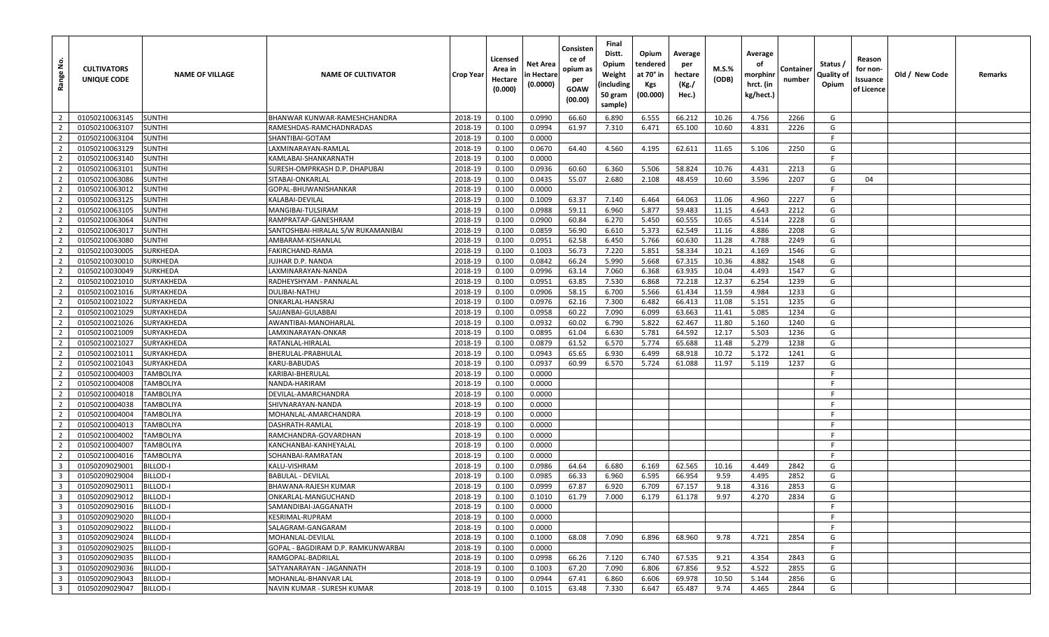| Range No.                        | <b>CULTIVATORS</b><br>UNIQUE CODE | <b>NAME OF VILLAGE</b>        | <b>NAME OF CULTIVATOR</b>                  | Crop Year          | Licensed<br>Area in<br>Hectare<br>(0.000) | <b>Net Area</b><br>n Hectare<br>(0.0000) | Consisten<br>ce of<br>opium as<br>per<br>GOAW<br>(00.00) | Final<br>Distt.<br>Opium<br>Weight<br>(including<br>50 gram<br>sample) | Opium<br>tendered<br>at 70° in<br>Kgs<br>(00.000) | Average<br>per<br>hectare<br>(Kg./<br>Hec.) | M.S.%<br>(ODB) | Average<br>оf<br>morphinr<br>hrct. (in<br>kg/hect.) | Container<br>number | Status /<br>Quality of<br>Opium | Reason<br>for non-<br>Issuance<br>of Licence | Old / New Code | Remarks |
|----------------------------------|-----------------------------------|-------------------------------|--------------------------------------------|--------------------|-------------------------------------------|------------------------------------------|----------------------------------------------------------|------------------------------------------------------------------------|---------------------------------------------------|---------------------------------------------|----------------|-----------------------------------------------------|---------------------|---------------------------------|----------------------------------------------|----------------|---------|
| $\overline{2}$                   | 01050210063145                    | <b>SUNTHI</b>                 | BHANWAR KUNWAR-RAMESHCHANDRA               | 2018-19            | 0.100                                     | 0.0990                                   | 66.60                                                    | 6.890                                                                  | 6.555                                             | 66.212                                      | 10.26          | 4.756                                               | 2266                | G                               |                                              |                |         |
| $\overline{2}$                   | 01050210063107                    | SUNTHI                        | RAMESHDAS-RAMCHADNRADAS                    | 2018-19            | 0.100                                     | 0.0994                                   | 61.97                                                    | 7.310                                                                  | 6.471                                             | 65.100                                      | 10.60          | 4.831                                               | 2226                | G                               |                                              |                |         |
| $\overline{2}$                   | 01050210063104                    | SUNTHI                        | SHANTIBAI-GOTAM                            | 2018-19            | 0.100                                     | 0.0000                                   |                                                          |                                                                        |                                                   |                                             |                |                                                     |                     | -F                              |                                              |                |         |
| $\overline{2}$                   | 01050210063129                    | <b>SUNTHI</b>                 | LAXMINARAYAN-RAMLAL                        | 2018-19            | 0.100                                     | 0.0670                                   | 64.40                                                    | 4.560                                                                  | 4.195                                             | 62.611                                      | 11.65          | 5.106                                               | 2250                | G                               |                                              |                |         |
| $\overline{2}$                   | 01050210063140                    | <b>SUNTHI</b>                 | KAMLABAI-SHANKARNATH                       | 2018-19            | 0.100                                     | 0.0000                                   |                                                          |                                                                        |                                                   |                                             |                |                                                     |                     | F                               |                                              |                |         |
| $\overline{2}$                   | 01050210063101                    | <b>SUNTHI</b>                 | SURESH-OMPRKASH D.P. DHAPUBAI              | 2018-19            | 0.100                                     | 0.0936                                   | 60.60                                                    | 6.360                                                                  | 5.506                                             | 58.824                                      | 10.76          | 4.431                                               | 2213                | G                               |                                              |                |         |
| $\overline{2}$                   | 01050210063086                    | SUNTHI                        | SITABAI-ONKARLAL                           | 2018-19            | 0.100                                     | 0.0435                                   | 55.07                                                    | 2.680                                                                  | 2.108                                             | 48.459                                      | 10.60          | 3.596                                               | 2207                | G                               | 04                                           |                |         |
| $\overline{2}$                   | 01050210063012                    | <b>SUNTHI</b>                 | GOPAL-BHUWANISHANKAR                       | 2018-19            | 0.100                                     | 0.0000                                   |                                                          |                                                                        |                                                   |                                             |                |                                                     |                     | F                               |                                              |                |         |
| $\overline{2}$                   | 01050210063125                    | <b>SUNTHI</b>                 | KALABAI-DEVILAL                            | 2018-19            | 0.100                                     | 0.1009                                   | 63.37                                                    | 7.140                                                                  | 6.464                                             | 64.063                                      | 11.06          | 4.960                                               | 2227                | G                               |                                              |                |         |
| $\overline{2}$                   | 01050210063105                    | SUNTHI                        | MANGIBAI-TULSIRAM                          | 2018-19            | 0.100                                     | 0.0988                                   | 59.11                                                    | 6.960                                                                  | 5.877                                             | 59.483                                      | 11.15          | 4.643                                               | 2212                | G                               |                                              |                |         |
| $\overline{2}$                   | 01050210063064                    | <b>SUNTHI</b>                 | RAMPRATAP-GANESHRAM                        | 2018-19            | 0.100                                     | 0.0900                                   | 60.84                                                    | 6.270                                                                  | 5.450                                             | 60.555                                      | 10.65          | 4.514                                               | 2228                | G                               |                                              |                |         |
| $\overline{2}$                   | 01050210063017                    | <b>SUNTHI</b>                 | SANTOSHBAI-HIRALAL S/W RUKAMANIBAI         | 2018-19            | 0.100                                     | 0.0859                                   | 56.90                                                    | 6.610                                                                  | 5.373                                             | 62.549                                      | 11.16          | 4.886                                               | 2208                | G                               |                                              |                |         |
| $\overline{2}$                   | 01050210063080                    | SUNTHI                        | AMBARAM-KISHANLAL                          | 2018-19            | 0.100                                     | 0.0951                                   | 62.58                                                    | 6.450                                                                  | 5.766                                             | 60.630                                      | 11.28          | 4.788                                               | 2249                | G                               |                                              |                |         |
| $\overline{2}$                   | 01050210030005                    | SURKHEDA                      | FAKIRCHAND-RAMA                            | 2018-19            | 0.100                                     | 0.1003                                   | 56.73                                                    | 7.220                                                                  | 5.851                                             | 58.334                                      | 10.21          | 4.169                                               | 1546                | G                               |                                              |                |         |
| $\overline{2}$                   | 01050210030010                    | SURKHEDA                      | JUJHAR D.P. NANDA                          | 2018-19            | 0.100                                     | 0.0842                                   | 66.24                                                    | 5.990                                                                  | 5.668                                             | 67.315                                      | 10.36          | 4.882                                               | 1548                | G                               |                                              |                |         |
| $\overline{2}$                   | 01050210030049                    | SURKHEDA                      | LAXMINARAYAN-NANDA                         | 2018-19            | 0.100                                     | 0.0996                                   | 63.14                                                    | 7.060                                                                  | 6.368                                             | 63.935                                      | 10.04          | 4.493                                               | 1547                | G                               |                                              |                |         |
| $\overline{2}$                   | 01050210021010                    | SURYAKHEDA                    | RADHEYSHYAM - PANNALAL                     | 2018-19            | 0.100                                     | 0.0951                                   | 63.85                                                    | 7.530                                                                  | 6.868                                             | 72.218                                      | 12.37          | 6.254                                               | 1239                | G                               |                                              |                |         |
| $\overline{2}$                   | 01050210021016                    | SURYAKHEDA                    | DULIBAI-NATHU                              | 2018-19            | 0.100                                     | 0.0906                                   | 58.15                                                    | 6.700                                                                  | 5.566                                             | 61.434                                      | 11.59          | 4.984                                               | 1233                | G                               |                                              |                |         |
| $\overline{2}$                   | 01050210021022                    | SURYAKHEDA                    | ONKARLAL-HANSRAJ                           | 2018-19            | 0.100                                     | 0.0976                                   | 62.16                                                    | 7.300                                                                  | 6.482                                             | 66.413                                      | 11.08          | 5.151                                               | 1235                | G                               |                                              |                |         |
| $\overline{2}$                   | 01050210021029                    | SURYAKHEDA                    | SAJJANBAI-GULABBAI                         | 2018-19            | 0.100                                     | 0.0958                                   | 60.22                                                    | 7.090                                                                  | 6.099                                             | 63.663                                      | 11.41          | 5.085                                               | 1234                | G                               |                                              |                |         |
| $\overline{2}$                   | 01050210021026                    | SURYAKHEDA                    | AWANTIBAI-MANOHARLAL                       | 2018-19            | 0.100                                     | 0.0932                                   | 60.02                                                    | 6.790                                                                  | 5.822                                             | 62.467                                      | 11.80          | 5.160                                               | 1240                | G                               |                                              |                |         |
| $\overline{2}$                   | 01050210021009                    | SURYAKHEDA                    | LAMXINARAYAN-ONKAR                         | 2018-19            | 0.100                                     | 0.0895                                   | 61.04                                                    | 6.630                                                                  | 5.781                                             | 64.592                                      | 12.17          | 5.503                                               | 1236                | G                               |                                              |                |         |
| $\overline{2}$                   | 01050210021027                    | SURYAKHEDA                    | RATANLAL-HIRALAL                           | 2018-19            | 0.100                                     | 0.0879                                   | 61.52                                                    | 6.570                                                                  | 5.774                                             | 65.688                                      | 11.48          | 5.279                                               | 1238                | G                               |                                              |                |         |
| $\overline{2}$                   | 01050210021011                    | SURYAKHEDA                    | BHERULAL-PRABHULAL                         | 2018-19            | 0.100                                     | 0.0943                                   | 65.65                                                    | 6.930                                                                  | 6.499                                             | 68.918                                      | 10.72          | 5.172                                               | 1241                | G                               |                                              |                |         |
| $\overline{2}$                   | 01050210021043                    | SURYAKHEDA                    | KARU-BABUDAS                               | 2018-19            | 0.100                                     | 0.0937                                   | 60.99                                                    | 6.570                                                                  | 5.724                                             | 61.088                                      | 11.97          | 5.119                                               | 1237                | G                               |                                              |                |         |
| $\overline{2}$                   | 01050210004003                    | <b>TAMBOLIYA</b>              | KARIBAI-BHERULAL                           | 2018-19            | 0.100                                     | 0.0000                                   |                                                          |                                                                        |                                                   |                                             |                |                                                     |                     | F                               |                                              |                |         |
| $\overline{2}$                   | 01050210004008                    | TAMBOLIYA                     | NANDA-HARIRAM                              | 2018-19            | 0.100                                     | 0.0000                                   |                                                          |                                                                        |                                                   |                                             |                |                                                     |                     | F                               |                                              |                |         |
| $\overline{2}$                   | 01050210004018                    | TAMBOLIYA                     | DEVILAL-AMARCHANDRA                        | 2018-19            | 0.100                                     | 0.0000                                   |                                                          |                                                                        |                                                   |                                             |                |                                                     |                     | F                               |                                              |                |         |
| $\overline{2}$                   | 01050210004038                    | <b>TAMBOLIYA</b>              | SHIVNARAYAN-NANDA                          | 2018-19            | 0.100                                     | 0.0000                                   |                                                          |                                                                        |                                                   |                                             |                |                                                     |                     | -F<br>E                         |                                              |                |         |
| $\overline{2}$                   | 01050210004004                    | <b>TAMBOLIYA</b>              | MOHANLAL-AMARCHANDRA                       | 2018-19            | 0.100                                     | 0.0000                                   |                                                          |                                                                        |                                                   |                                             |                |                                                     |                     |                                 |                                              |                |         |
| $\overline{2}$                   | 01050210004013                    | <b>TAMBOLIYA</b>              | DASHRATH-RAMLAL                            | 2018-19            | 0.100                                     | 0.0000                                   |                                                          |                                                                        |                                                   |                                             |                |                                                     |                     | -F<br>F                         |                                              |                |         |
| $\overline{2}$<br>$\overline{2}$ | 01050210004002<br>01050210004007  | TAMBOLIYA<br><b>TAMBOLIYA</b> | RAMCHANDRA-GOVARDHAN                       | 2018-19<br>2018-19 | 0.100<br>0.100                            | 0.0000<br>0.0000                         |                                                          |                                                                        |                                                   |                                             |                |                                                     |                     | -F                              |                                              |                |         |
| $\overline{2}$                   | 01050210004016                    |                               | KANCHANBAI-KANHEYALAL<br>SOHANBAI-RAMRATAN | 2018-19            | 0.100                                     | 0.0000                                   |                                                          |                                                                        |                                                   |                                             |                |                                                     |                     | E                               |                                              |                |         |
| $\overline{\mathbf{3}}$          | 01050209029001                    | TAMBOLIYA<br>BILLOD-I         | KALU-VISHRAM                               | 2018-19            | 0.100                                     | 0.0986                                   | 64.64                                                    | 6.680                                                                  | 6.169                                             | 62.565                                      | 10.16          | 4.449                                               | 2842                | G                               |                                              |                |         |
| $\overline{\mathbf{3}}$          | 01050209029004                    | 3ILLOD-I                      | BABULAL - DEVILAL                          | 2018-19            | 0.100                                     | 0.0985                                   | 66.33                                                    | 6.960                                                                  | 6.595                                             | 66.954                                      | 9.59           | 4.495                                               | 2852                | G                               |                                              |                |         |
| $\overline{\mathbf{3}}$          | 01050209029011                    | BILLOD-I                      | BHAWANA-RAJESH KUMAR                       | 2018-19            | 0.100                                     | 0.0999                                   | 67.87                                                    | 6.920                                                                  | 6.709                                             | 67.157                                      | 9.18           | 4.316                                               | 2853                | G                               |                                              |                |         |
| $\overline{\mathbf{3}}$          | 01050209029012                    | BILLOD-I                      | ONKARLAL-MANGUCHAND                        | 2018-19            | 0.100                                     | 0.1010                                   | 61.79                                                    | 7.000                                                                  | 6.179                                             | 61.178                                      | 9.97           | 4.270                                               | 2834                | G                               |                                              |                |         |
| 3 <sup>1</sup>                   | 01050209029016                    | BILLOD-I                      | SAMANDIBAI-JAGGANATH                       | 2018-19            | 0.100                                     | 0.0000                                   |                                                          |                                                                        |                                                   |                                             |                |                                                     |                     | F.                              |                                              |                |         |
| $\overline{\mathbf{3}}$          | 01050209029020                    | BILLOD-I                      | KESRIMAL-RUPRAM                            | 2018-19            | 0.100                                     | 0.0000                                   |                                                          |                                                                        |                                                   |                                             |                |                                                     |                     | F.                              |                                              |                |         |
| $\overline{\mathbf{3}}$          | 01050209029022                    | BILLOD-I                      | SALAGRAM-GANGARAM                          | 2018-19            | 0.100                                     | 0.0000                                   |                                                          |                                                                        |                                                   |                                             |                |                                                     |                     | F.                              |                                              |                |         |
| $\overline{\mathbf{3}}$          | 01050209029024                    | BILLOD-I                      | MOHANLAL-DEVILAL                           | 2018-19            | 0.100                                     | 0.1000                                   | 68.08                                                    | 7.090                                                                  | 6.896                                             | 68.960                                      | 9.78           | 4.721                                               | 2854                | G                               |                                              |                |         |
| $\overline{\mathbf{3}}$          | 01050209029025                    | BILLOD-I                      | GOPAL - BAGDIRAM D.P. RAMKUNWARBAI         | 2018-19            | 0.100                                     | 0.0000                                   |                                                          |                                                                        |                                                   |                                             |                |                                                     |                     | F.                              |                                              |                |         |
| $\overline{\mathbf{3}}$          | 01050209029035                    | <b>BILLOD-I</b>               | RAMGOPAL-BADRILAL                          | 2018-19            | 0.100                                     | 0.0998                                   | 66.26                                                    | 7.120                                                                  | 6.740                                             | 67.535                                      | 9.21           | 4.354                                               | 2843                | G                               |                                              |                |         |
| $\overline{\mathbf{3}}$          | 01050209029036                    | BILLOD-I                      | SATYANARAYAN - JAGANNATH                   | 2018-19            | 0.100                                     | 0.1003                                   | 67.20                                                    | 7.090                                                                  | 6.806                                             | 67.856                                      | 9.52           | 4.522                                               | 2855                | G                               |                                              |                |         |
| $\overline{\mathbf{3}}$          | 01050209029043                    | BILLOD-I                      | MOHANLAL-BHANVAR LAL                       | 2018-19            | 0.100                                     | 0.0944                                   | 67.41                                                    | 6.860                                                                  | 6.606                                             | 69.978                                      | 10.50          | 5.144                                               | 2856                | G                               |                                              |                |         |
| 3 <sup>1</sup>                   | 01050209029047                    | BILLOD-I                      | NAVIN KUMAR - SURESH KUMAR                 | 2018-19            | 0.100                                     | 0.1015                                   | 63.48                                                    | 7.330                                                                  | 6.647                                             | 65.487                                      | 9.74           | 4.465                                               | 2844                | G                               |                                              |                |         |
|                                  |                                   |                               |                                            |                    |                                           |                                          |                                                          |                                                                        |                                                   |                                             |                |                                                     |                     |                                 |                                              |                |         |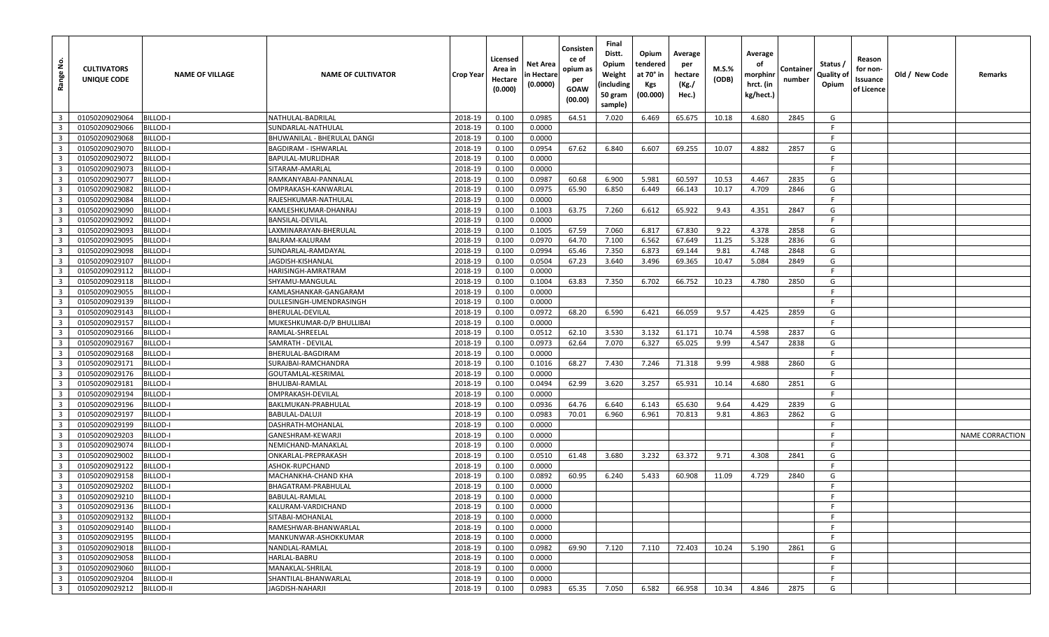| $\overline{\mathbf{3}}$<br>01050209029064<br><b>BILLOD-I</b><br>2018-19<br>0.100<br>0.0985<br>64.51<br>7.020<br>65.675<br>2845<br>NATHULAL-BADRILAL<br>6.469<br>10.18<br>4.680<br>G<br>$\overline{3}$<br>2018-19<br>F.<br>01050209029066<br>3ILLOD-I<br>0.100<br>0.0000<br>SUNDARLAL-NATHULAL<br>$\overline{\mathbf{3}}$<br><b>BILLOD-I</b><br>2018-19<br>0.0000<br>F.<br>01050209029068<br>BHUWANILAL - BHERULAL DANGI<br>0.100<br>$\overline{\mathbf{3}}$<br>2018-19<br>01050209029070<br>BILLOD-I<br>0.100<br>0.0954<br>67.62<br>6.840<br>6.607<br>69.255<br>10.07<br>4.882<br>2857<br>G<br><b>BAGDIRAM - ISHWARLAL</b><br>$\overline{\mathbf{3}}$<br><b>BILLOD-I</b><br>2018-19<br>0.100<br>0.0000<br>F.<br>01050209029072<br>BAPULAL-MURLIDHAR<br>$\overline{\mathbf{3}}$<br>2018-19<br>0.0000<br>01050209029073<br>BILLOD-I<br>SITARAM-AMARLAL<br>0.100<br>-F<br>$\overline{\mathbf{3}}$<br>2018-19<br>60.68<br>6.900<br>5.981<br>60.597<br>G<br>01050209029077<br>Billod-I<br>0.100<br>0.0987<br>10.53<br>4.467<br>2835<br>RAMKANYABAI-PANNALAL<br>$\overline{\mathbf{3}}$<br>2018-19<br>01050209029082<br>BILLOD-I<br>OMPRAKASH-KANWARLAI<br>0.100<br>0.0975<br>65.90<br>6.850<br>6.449<br>66.143<br>10.17<br>4.709<br>2846<br>G<br>$\overline{3}$<br>2018-19<br>0.100<br>F.<br>01050209029084<br>BILLOD-I<br>0.0000<br>RAJESHKUMAR-NATHULAL<br>$\overline{3}$<br>2018-19<br>7.260<br>6.612<br>65.922<br>9.43<br>2847<br>G<br>01050209029090<br>3ILLOD-I<br>0.100<br>0.1003<br>63.75<br>4.351<br>KAMLESHKUMAR-DHANRAJ<br>$\overline{\mathbf{3}}$<br>2018-19<br>0.0000<br>F.<br>01050209029092<br>BILLOD-I<br>BANSILAL-DEVILAL<br>0.100<br>$\overline{3}$<br>2018-19<br>0.1005<br>67.59<br>7.060<br>67.830<br>9.22<br>01050209029093<br>BILLOD-I<br>LAXMINARAYAN-BHERULAL<br>0.100<br>6.817<br>4.378<br>2858<br>G<br>$\overline{\mathbf{3}}$<br>6.562<br>2018-19<br>7.100<br>67.649<br>2836<br>G<br>01050209029095<br>BILLOD-I<br>0.100<br>0.0970<br>64.70<br>11.25<br>5.328<br>BALRAM-KALURAM<br>$\overline{\mathbf{3}}$<br>2018-19<br>7.350<br>6.873<br>2848<br>G<br>01050209029098<br>BILLOD-I<br>SUNDARLAL-RAMDAYAL<br>0.100<br>0.0994<br>65.46<br>69.144<br>9.81<br>4.748<br>$\overline{\mathbf{3}}$<br>2018-19<br>01050209029107<br><b>BILLOD-I</b><br>0.100<br>0.0504<br>67.23<br>3.640<br>3.496<br>69.365<br>10.47<br>5.084<br>2849<br>G<br>JAGDISH-KISHANLAI<br>$\overline{\mathbf{3}}$<br>F<br>BILLOD-I<br>2018-19<br>0.100<br>0.0000<br>01050209029112<br>HARISINGH-AMRATRAM<br>$\overline{\mathbf{3}}$<br>2018-19<br>01050209029118<br>BILLOD-I<br>SHYAMU-MANGULAL<br>0.100<br>0.1004<br>63.83<br>7.350<br>6.702<br>66.752<br>10.23<br>4.780<br>2850<br>G<br>$\overline{\mathbf{3}}$<br>2018-19<br>0.0000<br>F.<br>01050209029055<br>BILLOD-I<br>0.100<br>KAMLASHANKAR-GANGARAM<br>$\overline{3}$<br><b>BILLOD-I</b><br>2018-19<br>0.0000<br>F.<br>01050209029139<br>DULLESINGH-UMENDRASINGH<br>0.100<br>$\overline{3}$<br>2018-19<br>0.0972<br>68.20<br>6.590<br>9.57<br>01050209029143<br>BILLOD-I<br>BHERULAL-DEVILAL<br>0.100<br>6.421<br>66.059<br>4.425<br>2859<br>G<br>$\overline{\mathbf{3}}$<br><b>BILLOD-I</b><br>2018-19<br>0.0000<br>F.<br>01050209029157<br>0.100<br>MUKESHKUMAR-D/P BHULLIBAI<br>$\overline{\mathbf{3}}$<br>2018-19<br>3.530<br>01050209029166<br>BILLOD-I<br>RAMLAL-SHREELAL<br>0.100<br>0.0512<br>62.10<br>3.132<br>61.171<br>10.74<br>4.598<br>2837<br>G<br>$\overline{3}$<br>2018-19<br>0.100<br>0.0973<br>7.070<br>6.327<br>65.025<br>4.547<br>G<br>01050209029167<br>BILLOD-I<br>SAMRATH - DEVILAL<br>62.64<br>9.99<br>2838<br>$\overline{\mathbf{3}}$<br>2018-19<br>0.0000<br>F.<br>01050209029168<br>BILLOD-I<br>0.100<br>BHERULAL-BAGDIRAM<br>$\overline{\mathbf{3}}$<br>2018-19<br>G<br>01050209029171<br>BILLOD-I<br>SURAJBAI-RAMCHANDRA<br>0.100<br>0.1016<br>68.27<br>7.430<br>7.246<br>71.318<br>9.99<br>4.988<br>2860<br>$\overline{3}$<br><b>BILLOD-I</b><br>2018-19<br>0.100<br>0.0000<br>F.<br>01050209029176<br>GOUTAMLAL-KESRIMAL<br>$\overline{\mathbf{3}}$<br>BILLOD-I<br>2018-19<br>0.100<br>0.0494<br>62.99<br>3.620<br>3.257<br>65.931<br>10.14<br>4.680<br>2851<br>G<br>01050209029181<br>BHULIBAI-RAMLAL<br>$\overline{\mathbf{3}}$<br>2018-19<br>0.100<br>0.0000<br>F.<br>01050209029194<br>BILLOD-I<br>OMPRAKASH-DEVILAL<br>$\overline{\mathbf{3}}$<br>2018-19<br>01050209029196<br>BILLOD-I<br>0.100<br>0.0936<br>64.76<br>6.640<br>6.143<br>65.630<br>9.64<br>4.429<br>2839<br>G<br>BAKLMUKAN-PRABHULAL<br>$\overline{3}$<br>2018-19<br>G<br>01050209029197<br>Billod-I<br>0.100<br>0.0983<br>70.01<br>6.960<br>6.961<br>70.813<br>9.81<br>4.863<br>2862<br>BABULAL-DALUJI<br>$\overline{\mathbf{3}}$<br><b>BILLOD-I</b><br>2018-19<br>0.0000<br>F.<br>01050209029199<br>DASHRATH-MOHANLAL<br>0.100<br>$\overline{\mathbf{3}}$<br>2018-19<br>F.<br>01050209029203<br>Billod-I<br>0.100<br>0.0000<br><b>NAME CORRACTION</b><br>GANESHRAM-KEWARJI<br>$\overline{\mathbf{3}}$<br><b>BILLOD-I</b><br>2018-19<br>0.0000<br>F.<br>01050209029074<br>NEMICHAND-MANAKLAL<br>0.100<br>$\overline{3}$<br>2018-19<br>01050209029002<br>BILLOD-I<br>ONKARLAL-PREPRAKASH<br>0.100<br>0.0510<br>61.48<br>3.680<br>3.232<br>63.372<br>9.71<br>4.308<br>2841<br>G<br>$\overline{\mathbf{3}}$<br>2018-19<br>0.0000<br>F.<br>01050209029122<br>BILLOD-I<br>0.100<br>ASHOK-RUPCHAND<br>$\overline{\mathbf{3}}$<br>01050209029158<br>BILLOD-I<br>2018-19<br>0.100<br>0.0892<br>60.95<br>6.240<br>5.433<br>60.908<br>11.09<br>4.729<br>2840<br>G<br>MACHANKHA-CHAND KHA<br>$\overline{\mathbf{3}}$<br>2018-19<br>01050209029202<br>BILLOD-I<br>BHAGATRAM-PRABHULAL<br>0.100<br>0.0000<br>E<br>$\overline{\mathbf{3}}$<br>01050209029210<br>BILLOD-I<br>2018-19<br>BABULAL-RAMLAL<br>0.100<br>0.0000<br>-F.<br>3 <sup>1</sup><br>0.0000<br>01050209029136<br>BILLOD-I<br>KALURAM-VARDICHAND<br>2018-19<br>-F<br>0.100<br>$\overline{\mathbf{3}}$<br>01050209029132<br><b>BILLOD-I</b><br>2018-19<br>0.0000<br>F.<br>SITABAI-MOHANLAL<br>0.100<br>$\overline{\mathbf{3}}$<br>01050209029140<br><b>BILLOD-I</b><br>2018-19<br>0.100<br>0.0000<br>F.<br>RAMESHWAR-BHANWARLAL<br>$\overline{\mathbf{3}}$<br>01050209029195<br><b>BILLOD-I</b><br>MANKUNWAR-ASHOKKUMAR<br>2018-19<br>0.100<br>0.0000<br>F.<br>$\overline{\mathbf{3}}$<br>01050209029018<br>2018-19<br>0.100<br>0.0982<br>69.90<br>7.120<br>72.403<br>BILLOD-I<br>NANDLAL-RAMLAL<br>7.110<br>10.24<br>5.190<br>2861<br>G<br>$\overline{\mathbf{3}}$<br>01050209029058<br>BILLOD-I<br>HARLAL-BABRU<br>2018-19<br>0.100<br>0.0000<br>F.<br>$\overline{\mathbf{3}}$<br>2018-19<br>0.100<br>0.0000<br>F.<br>01050209029060<br>BILLOD-I<br>MANAKLAL-SHRILAL<br>$\overline{\mathbf{3}}$<br>F.<br>01050209029204<br>BILLOD-II<br>SHANTILAL-BHANWARLAL<br>2018-19<br>0.100<br>0.0000<br>$\overline{3}$<br>01050209029212<br><b>BILLOD-II</b><br>JAGDISH-NAHARJI<br>2018-19<br>0.0983<br>7.050<br>4.846<br>2875<br>0.100<br>65.35<br>6.582<br>66.958<br>10.34<br>G | Range No. | <b>CULTIVATORS</b><br>UNIQUE CODE | <b>NAME OF VILLAGE</b> | <b>NAME OF CULTIVATOR</b> | Crop Year | Licensed<br>Area in<br>Hectare<br>(0.000) | Net Area<br>n Hectare<br>(0.0000) | Consisten<br>ce of<br>opium as<br>per<br>GOAW<br>(00.00) | Final<br>Distt.<br>Opium<br>Weight<br>(including<br>50 gram<br>sample) | Opium<br>tendered<br>at 70° in<br>Kgs<br>(00.000) | Average<br>per<br>hectare<br>(Kg./<br>Hec.) | M.S.%<br>(ODB) | Average<br>оf<br>morphinr<br>hrct. (in<br>kg/hect.) | Containe<br>number | Status /<br>Quality of<br>Opium | Reason<br>for non-<br>Issuance<br>of Licence | Old / New Code | Remarks |
|-------------------------------------------------------------------------------------------------------------------------------------------------------------------------------------------------------------------------------------------------------------------------------------------------------------------------------------------------------------------------------------------------------------------------------------------------------------------------------------------------------------------------------------------------------------------------------------------------------------------------------------------------------------------------------------------------------------------------------------------------------------------------------------------------------------------------------------------------------------------------------------------------------------------------------------------------------------------------------------------------------------------------------------------------------------------------------------------------------------------------------------------------------------------------------------------------------------------------------------------------------------------------------------------------------------------------------------------------------------------------------------------------------------------------------------------------------------------------------------------------------------------------------------------------------------------------------------------------------------------------------------------------------------------------------------------------------------------------------------------------------------------------------------------------------------------------------------------------------------------------------------------------------------------------------------------------------------------------------------------------------------------------------------------------------------------------------------------------------------------------------------------------------------------------------------------------------------------------------------------------------------------------------------------------------------------------------------------------------------------------------------------------------------------------------------------------------------------------------------------------------------------------------------------------------------------------------------------------------------------------------------------------------------------------------------------------------------------------------------------------------------------------------------------------------------------------------------------------------------------------------------------------------------------------------------------------------------------------------------------------------------------------------------------------------------------------------------------------------------------------------------------------------------------------------------------------------------------------------------------------------------------------------------------------------------------------------------------------------------------------------------------------------------------------------------------------------------------------------------------------------------------------------------------------------------------------------------------------------------------------------------------------------------------------------------------------------------------------------------------------------------------------------------------------------------------------------------------------------------------------------------------------------------------------------------------------------------------------------------------------------------------------------------------------------------------------------------------------------------------------------------------------------------------------------------------------------------------------------------------------------------------------------------------------------------------------------------------------------------------------------------------------------------------------------------------------------------------------------------------------------------------------------------------------------------------------------------------------------------------------------------------------------------------------------------------------------------------------------------------------------------------------------------------------------------------------------------------------------------------------------------------------------------------------------------------------------------------------------------------------------------------------------------------------------------------------------------------------------------------------------------------------------------------------------------------------------------------------------------------------------------------------------------------------------------------------------------------------------------------------------------------------------------------------------------------------------------------------------------------------------------------------------------------------------------------------------------------------------------------------------------------------------------------------------------------------------------------------------------------------------------------------------------------------------------------------------------------------------------------------------------------------------------------------------------------------------------------------------------------------------------------------------------------------------------------------------------------------------------------------------------------------------------------------------------------------------------------------------------------------------------------------------------------------------------------------------------------------------------------------------------------------------------------------------------------------------------------------------------------------------------------------------------------------------------------------------------------------------------------------------------------------------------------------------------------------------------------------------------------------------------------------------------------------------------------------------------------------------------------------------------------------------------------------------------------------------------------------------|-----------|-----------------------------------|------------------------|---------------------------|-----------|-------------------------------------------|-----------------------------------|----------------------------------------------------------|------------------------------------------------------------------------|---------------------------------------------------|---------------------------------------------|----------------|-----------------------------------------------------|--------------------|---------------------------------|----------------------------------------------|----------------|---------|
|                                                                                                                                                                                                                                                                                                                                                                                                                                                                                                                                                                                                                                                                                                                                                                                                                                                                                                                                                                                                                                                                                                                                                                                                                                                                                                                                                                                                                                                                                                                                                                                                                                                                                                                                                                                                                                                                                                                                                                                                                                                                                                                                                                                                                                                                                                                                                                                                                                                                                                                                                                                                                                                                                                                                                                                                                                                                                                                                                                                                                                                                                                                                                                                                                                                                                                                                                                                                                                                                                                                                                                                                                                                                                                                                                                                                                                                                                                                                                                                                                                                                                                                                                                                                                                                                                                                                                                                                                                                                                                                                                                                                                                                                                                                                                                                                                                                                                                                                                                                                                                                                                                                                                                                                                                                                                                                                                                                                                                                                                                                                                                                                                                                                                                                                                                                                                                                                                                                                                                                                                                                                                                                                                                                                                                                                                                                                                                                                                                                                                                                                                                                                                                                                                                                                                                                                                                                                                                                                                                               |           |                                   |                        |                           |           |                                           |                                   |                                                          |                                                                        |                                                   |                                             |                |                                                     |                    |                                 |                                              |                |         |
|                                                                                                                                                                                                                                                                                                                                                                                                                                                                                                                                                                                                                                                                                                                                                                                                                                                                                                                                                                                                                                                                                                                                                                                                                                                                                                                                                                                                                                                                                                                                                                                                                                                                                                                                                                                                                                                                                                                                                                                                                                                                                                                                                                                                                                                                                                                                                                                                                                                                                                                                                                                                                                                                                                                                                                                                                                                                                                                                                                                                                                                                                                                                                                                                                                                                                                                                                                                                                                                                                                                                                                                                                                                                                                                                                                                                                                                                                                                                                                                                                                                                                                                                                                                                                                                                                                                                                                                                                                                                                                                                                                                                                                                                                                                                                                                                                                                                                                                                                                                                                                                                                                                                                                                                                                                                                                                                                                                                                                                                                                                                                                                                                                                                                                                                                                                                                                                                                                                                                                                                                                                                                                                                                                                                                                                                                                                                                                                                                                                                                                                                                                                                                                                                                                                                                                                                                                                                                                                                                                               |           |                                   |                        |                           |           |                                           |                                   |                                                          |                                                                        |                                                   |                                             |                |                                                     |                    |                                 |                                              |                |         |
|                                                                                                                                                                                                                                                                                                                                                                                                                                                                                                                                                                                                                                                                                                                                                                                                                                                                                                                                                                                                                                                                                                                                                                                                                                                                                                                                                                                                                                                                                                                                                                                                                                                                                                                                                                                                                                                                                                                                                                                                                                                                                                                                                                                                                                                                                                                                                                                                                                                                                                                                                                                                                                                                                                                                                                                                                                                                                                                                                                                                                                                                                                                                                                                                                                                                                                                                                                                                                                                                                                                                                                                                                                                                                                                                                                                                                                                                                                                                                                                                                                                                                                                                                                                                                                                                                                                                                                                                                                                                                                                                                                                                                                                                                                                                                                                                                                                                                                                                                                                                                                                                                                                                                                                                                                                                                                                                                                                                                                                                                                                                                                                                                                                                                                                                                                                                                                                                                                                                                                                                                                                                                                                                                                                                                                                                                                                                                                                                                                                                                                                                                                                                                                                                                                                                                                                                                                                                                                                                                                               |           |                                   |                        |                           |           |                                           |                                   |                                                          |                                                                        |                                                   |                                             |                |                                                     |                    |                                 |                                              |                |         |
|                                                                                                                                                                                                                                                                                                                                                                                                                                                                                                                                                                                                                                                                                                                                                                                                                                                                                                                                                                                                                                                                                                                                                                                                                                                                                                                                                                                                                                                                                                                                                                                                                                                                                                                                                                                                                                                                                                                                                                                                                                                                                                                                                                                                                                                                                                                                                                                                                                                                                                                                                                                                                                                                                                                                                                                                                                                                                                                                                                                                                                                                                                                                                                                                                                                                                                                                                                                                                                                                                                                                                                                                                                                                                                                                                                                                                                                                                                                                                                                                                                                                                                                                                                                                                                                                                                                                                                                                                                                                                                                                                                                                                                                                                                                                                                                                                                                                                                                                                                                                                                                                                                                                                                                                                                                                                                                                                                                                                                                                                                                                                                                                                                                                                                                                                                                                                                                                                                                                                                                                                                                                                                                                                                                                                                                                                                                                                                                                                                                                                                                                                                                                                                                                                                                                                                                                                                                                                                                                                                               |           |                                   |                        |                           |           |                                           |                                   |                                                          |                                                                        |                                                   |                                             |                |                                                     |                    |                                 |                                              |                |         |
|                                                                                                                                                                                                                                                                                                                                                                                                                                                                                                                                                                                                                                                                                                                                                                                                                                                                                                                                                                                                                                                                                                                                                                                                                                                                                                                                                                                                                                                                                                                                                                                                                                                                                                                                                                                                                                                                                                                                                                                                                                                                                                                                                                                                                                                                                                                                                                                                                                                                                                                                                                                                                                                                                                                                                                                                                                                                                                                                                                                                                                                                                                                                                                                                                                                                                                                                                                                                                                                                                                                                                                                                                                                                                                                                                                                                                                                                                                                                                                                                                                                                                                                                                                                                                                                                                                                                                                                                                                                                                                                                                                                                                                                                                                                                                                                                                                                                                                                                                                                                                                                                                                                                                                                                                                                                                                                                                                                                                                                                                                                                                                                                                                                                                                                                                                                                                                                                                                                                                                                                                                                                                                                                                                                                                                                                                                                                                                                                                                                                                                                                                                                                                                                                                                                                                                                                                                                                                                                                                                               |           |                                   |                        |                           |           |                                           |                                   |                                                          |                                                                        |                                                   |                                             |                |                                                     |                    |                                 |                                              |                |         |
|                                                                                                                                                                                                                                                                                                                                                                                                                                                                                                                                                                                                                                                                                                                                                                                                                                                                                                                                                                                                                                                                                                                                                                                                                                                                                                                                                                                                                                                                                                                                                                                                                                                                                                                                                                                                                                                                                                                                                                                                                                                                                                                                                                                                                                                                                                                                                                                                                                                                                                                                                                                                                                                                                                                                                                                                                                                                                                                                                                                                                                                                                                                                                                                                                                                                                                                                                                                                                                                                                                                                                                                                                                                                                                                                                                                                                                                                                                                                                                                                                                                                                                                                                                                                                                                                                                                                                                                                                                                                                                                                                                                                                                                                                                                                                                                                                                                                                                                                                                                                                                                                                                                                                                                                                                                                                                                                                                                                                                                                                                                                                                                                                                                                                                                                                                                                                                                                                                                                                                                                                                                                                                                                                                                                                                                                                                                                                                                                                                                                                                                                                                                                                                                                                                                                                                                                                                                                                                                                                                               |           |                                   |                        |                           |           |                                           |                                   |                                                          |                                                                        |                                                   |                                             |                |                                                     |                    |                                 |                                              |                |         |
|                                                                                                                                                                                                                                                                                                                                                                                                                                                                                                                                                                                                                                                                                                                                                                                                                                                                                                                                                                                                                                                                                                                                                                                                                                                                                                                                                                                                                                                                                                                                                                                                                                                                                                                                                                                                                                                                                                                                                                                                                                                                                                                                                                                                                                                                                                                                                                                                                                                                                                                                                                                                                                                                                                                                                                                                                                                                                                                                                                                                                                                                                                                                                                                                                                                                                                                                                                                                                                                                                                                                                                                                                                                                                                                                                                                                                                                                                                                                                                                                                                                                                                                                                                                                                                                                                                                                                                                                                                                                                                                                                                                                                                                                                                                                                                                                                                                                                                                                                                                                                                                                                                                                                                                                                                                                                                                                                                                                                                                                                                                                                                                                                                                                                                                                                                                                                                                                                                                                                                                                                                                                                                                                                                                                                                                                                                                                                                                                                                                                                                                                                                                                                                                                                                                                                                                                                                                                                                                                                                               |           |                                   |                        |                           |           |                                           |                                   |                                                          |                                                                        |                                                   |                                             |                |                                                     |                    |                                 |                                              |                |         |
|                                                                                                                                                                                                                                                                                                                                                                                                                                                                                                                                                                                                                                                                                                                                                                                                                                                                                                                                                                                                                                                                                                                                                                                                                                                                                                                                                                                                                                                                                                                                                                                                                                                                                                                                                                                                                                                                                                                                                                                                                                                                                                                                                                                                                                                                                                                                                                                                                                                                                                                                                                                                                                                                                                                                                                                                                                                                                                                                                                                                                                                                                                                                                                                                                                                                                                                                                                                                                                                                                                                                                                                                                                                                                                                                                                                                                                                                                                                                                                                                                                                                                                                                                                                                                                                                                                                                                                                                                                                                                                                                                                                                                                                                                                                                                                                                                                                                                                                                                                                                                                                                                                                                                                                                                                                                                                                                                                                                                                                                                                                                                                                                                                                                                                                                                                                                                                                                                                                                                                                                                                                                                                                                                                                                                                                                                                                                                                                                                                                                                                                                                                                                                                                                                                                                                                                                                                                                                                                                                                               |           |                                   |                        |                           |           |                                           |                                   |                                                          |                                                                        |                                                   |                                             |                |                                                     |                    |                                 |                                              |                |         |
|                                                                                                                                                                                                                                                                                                                                                                                                                                                                                                                                                                                                                                                                                                                                                                                                                                                                                                                                                                                                                                                                                                                                                                                                                                                                                                                                                                                                                                                                                                                                                                                                                                                                                                                                                                                                                                                                                                                                                                                                                                                                                                                                                                                                                                                                                                                                                                                                                                                                                                                                                                                                                                                                                                                                                                                                                                                                                                                                                                                                                                                                                                                                                                                                                                                                                                                                                                                                                                                                                                                                                                                                                                                                                                                                                                                                                                                                                                                                                                                                                                                                                                                                                                                                                                                                                                                                                                                                                                                                                                                                                                                                                                                                                                                                                                                                                                                                                                                                                                                                                                                                                                                                                                                                                                                                                                                                                                                                                                                                                                                                                                                                                                                                                                                                                                                                                                                                                                                                                                                                                                                                                                                                                                                                                                                                                                                                                                                                                                                                                                                                                                                                                                                                                                                                                                                                                                                                                                                                                                               |           |                                   |                        |                           |           |                                           |                                   |                                                          |                                                                        |                                                   |                                             |                |                                                     |                    |                                 |                                              |                |         |
|                                                                                                                                                                                                                                                                                                                                                                                                                                                                                                                                                                                                                                                                                                                                                                                                                                                                                                                                                                                                                                                                                                                                                                                                                                                                                                                                                                                                                                                                                                                                                                                                                                                                                                                                                                                                                                                                                                                                                                                                                                                                                                                                                                                                                                                                                                                                                                                                                                                                                                                                                                                                                                                                                                                                                                                                                                                                                                                                                                                                                                                                                                                                                                                                                                                                                                                                                                                                                                                                                                                                                                                                                                                                                                                                                                                                                                                                                                                                                                                                                                                                                                                                                                                                                                                                                                                                                                                                                                                                                                                                                                                                                                                                                                                                                                                                                                                                                                                                                                                                                                                                                                                                                                                                                                                                                                                                                                                                                                                                                                                                                                                                                                                                                                                                                                                                                                                                                                                                                                                                                                                                                                                                                                                                                                                                                                                                                                                                                                                                                                                                                                                                                                                                                                                                                                                                                                                                                                                                                                               |           |                                   |                        |                           |           |                                           |                                   |                                                          |                                                                        |                                                   |                                             |                |                                                     |                    |                                 |                                              |                |         |
|                                                                                                                                                                                                                                                                                                                                                                                                                                                                                                                                                                                                                                                                                                                                                                                                                                                                                                                                                                                                                                                                                                                                                                                                                                                                                                                                                                                                                                                                                                                                                                                                                                                                                                                                                                                                                                                                                                                                                                                                                                                                                                                                                                                                                                                                                                                                                                                                                                                                                                                                                                                                                                                                                                                                                                                                                                                                                                                                                                                                                                                                                                                                                                                                                                                                                                                                                                                                                                                                                                                                                                                                                                                                                                                                                                                                                                                                                                                                                                                                                                                                                                                                                                                                                                                                                                                                                                                                                                                                                                                                                                                                                                                                                                                                                                                                                                                                                                                                                                                                                                                                                                                                                                                                                                                                                                                                                                                                                                                                                                                                                                                                                                                                                                                                                                                                                                                                                                                                                                                                                                                                                                                                                                                                                                                                                                                                                                                                                                                                                                                                                                                                                                                                                                                                                                                                                                                                                                                                                                               |           |                                   |                        |                           |           |                                           |                                   |                                                          |                                                                        |                                                   |                                             |                |                                                     |                    |                                 |                                              |                |         |
|                                                                                                                                                                                                                                                                                                                                                                                                                                                                                                                                                                                                                                                                                                                                                                                                                                                                                                                                                                                                                                                                                                                                                                                                                                                                                                                                                                                                                                                                                                                                                                                                                                                                                                                                                                                                                                                                                                                                                                                                                                                                                                                                                                                                                                                                                                                                                                                                                                                                                                                                                                                                                                                                                                                                                                                                                                                                                                                                                                                                                                                                                                                                                                                                                                                                                                                                                                                                                                                                                                                                                                                                                                                                                                                                                                                                                                                                                                                                                                                                                                                                                                                                                                                                                                                                                                                                                                                                                                                                                                                                                                                                                                                                                                                                                                                                                                                                                                                                                                                                                                                                                                                                                                                                                                                                                                                                                                                                                                                                                                                                                                                                                                                                                                                                                                                                                                                                                                                                                                                                                                                                                                                                                                                                                                                                                                                                                                                                                                                                                                                                                                                                                                                                                                                                                                                                                                                                                                                                                                               |           |                                   |                        |                           |           |                                           |                                   |                                                          |                                                                        |                                                   |                                             |                |                                                     |                    |                                 |                                              |                |         |
|                                                                                                                                                                                                                                                                                                                                                                                                                                                                                                                                                                                                                                                                                                                                                                                                                                                                                                                                                                                                                                                                                                                                                                                                                                                                                                                                                                                                                                                                                                                                                                                                                                                                                                                                                                                                                                                                                                                                                                                                                                                                                                                                                                                                                                                                                                                                                                                                                                                                                                                                                                                                                                                                                                                                                                                                                                                                                                                                                                                                                                                                                                                                                                                                                                                                                                                                                                                                                                                                                                                                                                                                                                                                                                                                                                                                                                                                                                                                                                                                                                                                                                                                                                                                                                                                                                                                                                                                                                                                                                                                                                                                                                                                                                                                                                                                                                                                                                                                                                                                                                                                                                                                                                                                                                                                                                                                                                                                                                                                                                                                                                                                                                                                                                                                                                                                                                                                                                                                                                                                                                                                                                                                                                                                                                                                                                                                                                                                                                                                                                                                                                                                                                                                                                                                                                                                                                                                                                                                                                               |           |                                   |                        |                           |           |                                           |                                   |                                                          |                                                                        |                                                   |                                             |                |                                                     |                    |                                 |                                              |                |         |
|                                                                                                                                                                                                                                                                                                                                                                                                                                                                                                                                                                                                                                                                                                                                                                                                                                                                                                                                                                                                                                                                                                                                                                                                                                                                                                                                                                                                                                                                                                                                                                                                                                                                                                                                                                                                                                                                                                                                                                                                                                                                                                                                                                                                                                                                                                                                                                                                                                                                                                                                                                                                                                                                                                                                                                                                                                                                                                                                                                                                                                                                                                                                                                                                                                                                                                                                                                                                                                                                                                                                                                                                                                                                                                                                                                                                                                                                                                                                                                                                                                                                                                                                                                                                                                                                                                                                                                                                                                                                                                                                                                                                                                                                                                                                                                                                                                                                                                                                                                                                                                                                                                                                                                                                                                                                                                                                                                                                                                                                                                                                                                                                                                                                                                                                                                                                                                                                                                                                                                                                                                                                                                                                                                                                                                                                                                                                                                                                                                                                                                                                                                                                                                                                                                                                                                                                                                                                                                                                                                               |           |                                   |                        |                           |           |                                           |                                   |                                                          |                                                                        |                                                   |                                             |                |                                                     |                    |                                 |                                              |                |         |
|                                                                                                                                                                                                                                                                                                                                                                                                                                                                                                                                                                                                                                                                                                                                                                                                                                                                                                                                                                                                                                                                                                                                                                                                                                                                                                                                                                                                                                                                                                                                                                                                                                                                                                                                                                                                                                                                                                                                                                                                                                                                                                                                                                                                                                                                                                                                                                                                                                                                                                                                                                                                                                                                                                                                                                                                                                                                                                                                                                                                                                                                                                                                                                                                                                                                                                                                                                                                                                                                                                                                                                                                                                                                                                                                                                                                                                                                                                                                                                                                                                                                                                                                                                                                                                                                                                                                                                                                                                                                                                                                                                                                                                                                                                                                                                                                                                                                                                                                                                                                                                                                                                                                                                                                                                                                                                                                                                                                                                                                                                                                                                                                                                                                                                                                                                                                                                                                                                                                                                                                                                                                                                                                                                                                                                                                                                                                                                                                                                                                                                                                                                                                                                                                                                                                                                                                                                                                                                                                                                               |           |                                   |                        |                           |           |                                           |                                   |                                                          |                                                                        |                                                   |                                             |                |                                                     |                    |                                 |                                              |                |         |
|                                                                                                                                                                                                                                                                                                                                                                                                                                                                                                                                                                                                                                                                                                                                                                                                                                                                                                                                                                                                                                                                                                                                                                                                                                                                                                                                                                                                                                                                                                                                                                                                                                                                                                                                                                                                                                                                                                                                                                                                                                                                                                                                                                                                                                                                                                                                                                                                                                                                                                                                                                                                                                                                                                                                                                                                                                                                                                                                                                                                                                                                                                                                                                                                                                                                                                                                                                                                                                                                                                                                                                                                                                                                                                                                                                                                                                                                                                                                                                                                                                                                                                                                                                                                                                                                                                                                                                                                                                                                                                                                                                                                                                                                                                                                                                                                                                                                                                                                                                                                                                                                                                                                                                                                                                                                                                                                                                                                                                                                                                                                                                                                                                                                                                                                                                                                                                                                                                                                                                                                                                                                                                                                                                                                                                                                                                                                                                                                                                                                                                                                                                                                                                                                                                                                                                                                                                                                                                                                                                               |           |                                   |                        |                           |           |                                           |                                   |                                                          |                                                                        |                                                   |                                             |                |                                                     |                    |                                 |                                              |                |         |
|                                                                                                                                                                                                                                                                                                                                                                                                                                                                                                                                                                                                                                                                                                                                                                                                                                                                                                                                                                                                                                                                                                                                                                                                                                                                                                                                                                                                                                                                                                                                                                                                                                                                                                                                                                                                                                                                                                                                                                                                                                                                                                                                                                                                                                                                                                                                                                                                                                                                                                                                                                                                                                                                                                                                                                                                                                                                                                                                                                                                                                                                                                                                                                                                                                                                                                                                                                                                                                                                                                                                                                                                                                                                                                                                                                                                                                                                                                                                                                                                                                                                                                                                                                                                                                                                                                                                                                                                                                                                                                                                                                                                                                                                                                                                                                                                                                                                                                                                                                                                                                                                                                                                                                                                                                                                                                                                                                                                                                                                                                                                                                                                                                                                                                                                                                                                                                                                                                                                                                                                                                                                                                                                                                                                                                                                                                                                                                                                                                                                                                                                                                                                                                                                                                                                                                                                                                                                                                                                                                               |           |                                   |                        |                           |           |                                           |                                   |                                                          |                                                                        |                                                   |                                             |                |                                                     |                    |                                 |                                              |                |         |
|                                                                                                                                                                                                                                                                                                                                                                                                                                                                                                                                                                                                                                                                                                                                                                                                                                                                                                                                                                                                                                                                                                                                                                                                                                                                                                                                                                                                                                                                                                                                                                                                                                                                                                                                                                                                                                                                                                                                                                                                                                                                                                                                                                                                                                                                                                                                                                                                                                                                                                                                                                                                                                                                                                                                                                                                                                                                                                                                                                                                                                                                                                                                                                                                                                                                                                                                                                                                                                                                                                                                                                                                                                                                                                                                                                                                                                                                                                                                                                                                                                                                                                                                                                                                                                                                                                                                                                                                                                                                                                                                                                                                                                                                                                                                                                                                                                                                                                                                                                                                                                                                                                                                                                                                                                                                                                                                                                                                                                                                                                                                                                                                                                                                                                                                                                                                                                                                                                                                                                                                                                                                                                                                                                                                                                                                                                                                                                                                                                                                                                                                                                                                                                                                                                                                                                                                                                                                                                                                                                               |           |                                   |                        |                           |           |                                           |                                   |                                                          |                                                                        |                                                   |                                             |                |                                                     |                    |                                 |                                              |                |         |
|                                                                                                                                                                                                                                                                                                                                                                                                                                                                                                                                                                                                                                                                                                                                                                                                                                                                                                                                                                                                                                                                                                                                                                                                                                                                                                                                                                                                                                                                                                                                                                                                                                                                                                                                                                                                                                                                                                                                                                                                                                                                                                                                                                                                                                                                                                                                                                                                                                                                                                                                                                                                                                                                                                                                                                                                                                                                                                                                                                                                                                                                                                                                                                                                                                                                                                                                                                                                                                                                                                                                                                                                                                                                                                                                                                                                                                                                                                                                                                                                                                                                                                                                                                                                                                                                                                                                                                                                                                                                                                                                                                                                                                                                                                                                                                                                                                                                                                                                                                                                                                                                                                                                                                                                                                                                                                                                                                                                                                                                                                                                                                                                                                                                                                                                                                                                                                                                                                                                                                                                                                                                                                                                                                                                                                                                                                                                                                                                                                                                                                                                                                                                                                                                                                                                                                                                                                                                                                                                                                               |           |                                   |                        |                           |           |                                           |                                   |                                                          |                                                                        |                                                   |                                             |                |                                                     |                    |                                 |                                              |                |         |
|                                                                                                                                                                                                                                                                                                                                                                                                                                                                                                                                                                                                                                                                                                                                                                                                                                                                                                                                                                                                                                                                                                                                                                                                                                                                                                                                                                                                                                                                                                                                                                                                                                                                                                                                                                                                                                                                                                                                                                                                                                                                                                                                                                                                                                                                                                                                                                                                                                                                                                                                                                                                                                                                                                                                                                                                                                                                                                                                                                                                                                                                                                                                                                                                                                                                                                                                                                                                                                                                                                                                                                                                                                                                                                                                                                                                                                                                                                                                                                                                                                                                                                                                                                                                                                                                                                                                                                                                                                                                                                                                                                                                                                                                                                                                                                                                                                                                                                                                                                                                                                                                                                                                                                                                                                                                                                                                                                                                                                                                                                                                                                                                                                                                                                                                                                                                                                                                                                                                                                                                                                                                                                                                                                                                                                                                                                                                                                                                                                                                                                                                                                                                                                                                                                                                                                                                                                                                                                                                                                               |           |                                   |                        |                           |           |                                           |                                   |                                                          |                                                                        |                                                   |                                             |                |                                                     |                    |                                 |                                              |                |         |
|                                                                                                                                                                                                                                                                                                                                                                                                                                                                                                                                                                                                                                                                                                                                                                                                                                                                                                                                                                                                                                                                                                                                                                                                                                                                                                                                                                                                                                                                                                                                                                                                                                                                                                                                                                                                                                                                                                                                                                                                                                                                                                                                                                                                                                                                                                                                                                                                                                                                                                                                                                                                                                                                                                                                                                                                                                                                                                                                                                                                                                                                                                                                                                                                                                                                                                                                                                                                                                                                                                                                                                                                                                                                                                                                                                                                                                                                                                                                                                                                                                                                                                                                                                                                                                                                                                                                                                                                                                                                                                                                                                                                                                                                                                                                                                                                                                                                                                                                                                                                                                                                                                                                                                                                                                                                                                                                                                                                                                                                                                                                                                                                                                                                                                                                                                                                                                                                                                                                                                                                                                                                                                                                                                                                                                                                                                                                                                                                                                                                                                                                                                                                                                                                                                                                                                                                                                                                                                                                                                               |           |                                   |                        |                           |           |                                           |                                   |                                                          |                                                                        |                                                   |                                             |                |                                                     |                    |                                 |                                              |                |         |
|                                                                                                                                                                                                                                                                                                                                                                                                                                                                                                                                                                                                                                                                                                                                                                                                                                                                                                                                                                                                                                                                                                                                                                                                                                                                                                                                                                                                                                                                                                                                                                                                                                                                                                                                                                                                                                                                                                                                                                                                                                                                                                                                                                                                                                                                                                                                                                                                                                                                                                                                                                                                                                                                                                                                                                                                                                                                                                                                                                                                                                                                                                                                                                                                                                                                                                                                                                                                                                                                                                                                                                                                                                                                                                                                                                                                                                                                                                                                                                                                                                                                                                                                                                                                                                                                                                                                                                                                                                                                                                                                                                                                                                                                                                                                                                                                                                                                                                                                                                                                                                                                                                                                                                                                                                                                                                                                                                                                                                                                                                                                                                                                                                                                                                                                                                                                                                                                                                                                                                                                                                                                                                                                                                                                                                                                                                                                                                                                                                                                                                                                                                                                                                                                                                                                                                                                                                                                                                                                                                               |           |                                   |                        |                           |           |                                           |                                   |                                                          |                                                                        |                                                   |                                             |                |                                                     |                    |                                 |                                              |                |         |
|                                                                                                                                                                                                                                                                                                                                                                                                                                                                                                                                                                                                                                                                                                                                                                                                                                                                                                                                                                                                                                                                                                                                                                                                                                                                                                                                                                                                                                                                                                                                                                                                                                                                                                                                                                                                                                                                                                                                                                                                                                                                                                                                                                                                                                                                                                                                                                                                                                                                                                                                                                                                                                                                                                                                                                                                                                                                                                                                                                                                                                                                                                                                                                                                                                                                                                                                                                                                                                                                                                                                                                                                                                                                                                                                                                                                                                                                                                                                                                                                                                                                                                                                                                                                                                                                                                                                                                                                                                                                                                                                                                                                                                                                                                                                                                                                                                                                                                                                                                                                                                                                                                                                                                                                                                                                                                                                                                                                                                                                                                                                                                                                                                                                                                                                                                                                                                                                                                                                                                                                                                                                                                                                                                                                                                                                                                                                                                                                                                                                                                                                                                                                                                                                                                                                                                                                                                                                                                                                                                               |           |                                   |                        |                           |           |                                           |                                   |                                                          |                                                                        |                                                   |                                             |                |                                                     |                    |                                 |                                              |                |         |
|                                                                                                                                                                                                                                                                                                                                                                                                                                                                                                                                                                                                                                                                                                                                                                                                                                                                                                                                                                                                                                                                                                                                                                                                                                                                                                                                                                                                                                                                                                                                                                                                                                                                                                                                                                                                                                                                                                                                                                                                                                                                                                                                                                                                                                                                                                                                                                                                                                                                                                                                                                                                                                                                                                                                                                                                                                                                                                                                                                                                                                                                                                                                                                                                                                                                                                                                                                                                                                                                                                                                                                                                                                                                                                                                                                                                                                                                                                                                                                                                                                                                                                                                                                                                                                                                                                                                                                                                                                                                                                                                                                                                                                                                                                                                                                                                                                                                                                                                                                                                                                                                                                                                                                                                                                                                                                                                                                                                                                                                                                                                                                                                                                                                                                                                                                                                                                                                                                                                                                                                                                                                                                                                                                                                                                                                                                                                                                                                                                                                                                                                                                                                                                                                                                                                                                                                                                                                                                                                                                               |           |                                   |                        |                           |           |                                           |                                   |                                                          |                                                                        |                                                   |                                             |                |                                                     |                    |                                 |                                              |                |         |
|                                                                                                                                                                                                                                                                                                                                                                                                                                                                                                                                                                                                                                                                                                                                                                                                                                                                                                                                                                                                                                                                                                                                                                                                                                                                                                                                                                                                                                                                                                                                                                                                                                                                                                                                                                                                                                                                                                                                                                                                                                                                                                                                                                                                                                                                                                                                                                                                                                                                                                                                                                                                                                                                                                                                                                                                                                                                                                                                                                                                                                                                                                                                                                                                                                                                                                                                                                                                                                                                                                                                                                                                                                                                                                                                                                                                                                                                                                                                                                                                                                                                                                                                                                                                                                                                                                                                                                                                                                                                                                                                                                                                                                                                                                                                                                                                                                                                                                                                                                                                                                                                                                                                                                                                                                                                                                                                                                                                                                                                                                                                                                                                                                                                                                                                                                                                                                                                                                                                                                                                                                                                                                                                                                                                                                                                                                                                                                                                                                                                                                                                                                                                                                                                                                                                                                                                                                                                                                                                                                               |           |                                   |                        |                           |           |                                           |                                   |                                                          |                                                                        |                                                   |                                             |                |                                                     |                    |                                 |                                              |                |         |
|                                                                                                                                                                                                                                                                                                                                                                                                                                                                                                                                                                                                                                                                                                                                                                                                                                                                                                                                                                                                                                                                                                                                                                                                                                                                                                                                                                                                                                                                                                                                                                                                                                                                                                                                                                                                                                                                                                                                                                                                                                                                                                                                                                                                                                                                                                                                                                                                                                                                                                                                                                                                                                                                                                                                                                                                                                                                                                                                                                                                                                                                                                                                                                                                                                                                                                                                                                                                                                                                                                                                                                                                                                                                                                                                                                                                                                                                                                                                                                                                                                                                                                                                                                                                                                                                                                                                                                                                                                                                                                                                                                                                                                                                                                                                                                                                                                                                                                                                                                                                                                                                                                                                                                                                                                                                                                                                                                                                                                                                                                                                                                                                                                                                                                                                                                                                                                                                                                                                                                                                                                                                                                                                                                                                                                                                                                                                                                                                                                                                                                                                                                                                                                                                                                                                                                                                                                                                                                                                                                               |           |                                   |                        |                           |           |                                           |                                   |                                                          |                                                                        |                                                   |                                             |                |                                                     |                    |                                 |                                              |                |         |
|                                                                                                                                                                                                                                                                                                                                                                                                                                                                                                                                                                                                                                                                                                                                                                                                                                                                                                                                                                                                                                                                                                                                                                                                                                                                                                                                                                                                                                                                                                                                                                                                                                                                                                                                                                                                                                                                                                                                                                                                                                                                                                                                                                                                                                                                                                                                                                                                                                                                                                                                                                                                                                                                                                                                                                                                                                                                                                                                                                                                                                                                                                                                                                                                                                                                                                                                                                                                                                                                                                                                                                                                                                                                                                                                                                                                                                                                                                                                                                                                                                                                                                                                                                                                                                                                                                                                                                                                                                                                                                                                                                                                                                                                                                                                                                                                                                                                                                                                                                                                                                                                                                                                                                                                                                                                                                                                                                                                                                                                                                                                                                                                                                                                                                                                                                                                                                                                                                                                                                                                                                                                                                                                                                                                                                                                                                                                                                                                                                                                                                                                                                                                                                                                                                                                                                                                                                                                                                                                                                               |           |                                   |                        |                           |           |                                           |                                   |                                                          |                                                                        |                                                   |                                             |                |                                                     |                    |                                 |                                              |                |         |
|                                                                                                                                                                                                                                                                                                                                                                                                                                                                                                                                                                                                                                                                                                                                                                                                                                                                                                                                                                                                                                                                                                                                                                                                                                                                                                                                                                                                                                                                                                                                                                                                                                                                                                                                                                                                                                                                                                                                                                                                                                                                                                                                                                                                                                                                                                                                                                                                                                                                                                                                                                                                                                                                                                                                                                                                                                                                                                                                                                                                                                                                                                                                                                                                                                                                                                                                                                                                                                                                                                                                                                                                                                                                                                                                                                                                                                                                                                                                                                                                                                                                                                                                                                                                                                                                                                                                                                                                                                                                                                                                                                                                                                                                                                                                                                                                                                                                                                                                                                                                                                                                                                                                                                                                                                                                                                                                                                                                                                                                                                                                                                                                                                                                                                                                                                                                                                                                                                                                                                                                                                                                                                                                                                                                                                                                                                                                                                                                                                                                                                                                                                                                                                                                                                                                                                                                                                                                                                                                                                               |           |                                   |                        |                           |           |                                           |                                   |                                                          |                                                                        |                                                   |                                             |                |                                                     |                    |                                 |                                              |                |         |
|                                                                                                                                                                                                                                                                                                                                                                                                                                                                                                                                                                                                                                                                                                                                                                                                                                                                                                                                                                                                                                                                                                                                                                                                                                                                                                                                                                                                                                                                                                                                                                                                                                                                                                                                                                                                                                                                                                                                                                                                                                                                                                                                                                                                                                                                                                                                                                                                                                                                                                                                                                                                                                                                                                                                                                                                                                                                                                                                                                                                                                                                                                                                                                                                                                                                                                                                                                                                                                                                                                                                                                                                                                                                                                                                                                                                                                                                                                                                                                                                                                                                                                                                                                                                                                                                                                                                                                                                                                                                                                                                                                                                                                                                                                                                                                                                                                                                                                                                                                                                                                                                                                                                                                                                                                                                                                                                                                                                                                                                                                                                                                                                                                                                                                                                                                                                                                                                                                                                                                                                                                                                                                                                                                                                                                                                                                                                                                                                                                                                                                                                                                                                                                                                                                                                                                                                                                                                                                                                                                               |           |                                   |                        |                           |           |                                           |                                   |                                                          |                                                                        |                                                   |                                             |                |                                                     |                    |                                 |                                              |                |         |
|                                                                                                                                                                                                                                                                                                                                                                                                                                                                                                                                                                                                                                                                                                                                                                                                                                                                                                                                                                                                                                                                                                                                                                                                                                                                                                                                                                                                                                                                                                                                                                                                                                                                                                                                                                                                                                                                                                                                                                                                                                                                                                                                                                                                                                                                                                                                                                                                                                                                                                                                                                                                                                                                                                                                                                                                                                                                                                                                                                                                                                                                                                                                                                                                                                                                                                                                                                                                                                                                                                                                                                                                                                                                                                                                                                                                                                                                                                                                                                                                                                                                                                                                                                                                                                                                                                                                                                                                                                                                                                                                                                                                                                                                                                                                                                                                                                                                                                                                                                                                                                                                                                                                                                                                                                                                                                                                                                                                                                                                                                                                                                                                                                                                                                                                                                                                                                                                                                                                                                                                                                                                                                                                                                                                                                                                                                                                                                                                                                                                                                                                                                                                                                                                                                                                                                                                                                                                                                                                                                               |           |                                   |                        |                           |           |                                           |                                   |                                                          |                                                                        |                                                   |                                             |                |                                                     |                    |                                 |                                              |                |         |
|                                                                                                                                                                                                                                                                                                                                                                                                                                                                                                                                                                                                                                                                                                                                                                                                                                                                                                                                                                                                                                                                                                                                                                                                                                                                                                                                                                                                                                                                                                                                                                                                                                                                                                                                                                                                                                                                                                                                                                                                                                                                                                                                                                                                                                                                                                                                                                                                                                                                                                                                                                                                                                                                                                                                                                                                                                                                                                                                                                                                                                                                                                                                                                                                                                                                                                                                                                                                                                                                                                                                                                                                                                                                                                                                                                                                                                                                                                                                                                                                                                                                                                                                                                                                                                                                                                                                                                                                                                                                                                                                                                                                                                                                                                                                                                                                                                                                                                                                                                                                                                                                                                                                                                                                                                                                                                                                                                                                                                                                                                                                                                                                                                                                                                                                                                                                                                                                                                                                                                                                                                                                                                                                                                                                                                                                                                                                                                                                                                                                                                                                                                                                                                                                                                                                                                                                                                                                                                                                                                               |           |                                   |                        |                           |           |                                           |                                   |                                                          |                                                                        |                                                   |                                             |                |                                                     |                    |                                 |                                              |                |         |
|                                                                                                                                                                                                                                                                                                                                                                                                                                                                                                                                                                                                                                                                                                                                                                                                                                                                                                                                                                                                                                                                                                                                                                                                                                                                                                                                                                                                                                                                                                                                                                                                                                                                                                                                                                                                                                                                                                                                                                                                                                                                                                                                                                                                                                                                                                                                                                                                                                                                                                                                                                                                                                                                                                                                                                                                                                                                                                                                                                                                                                                                                                                                                                                                                                                                                                                                                                                                                                                                                                                                                                                                                                                                                                                                                                                                                                                                                                                                                                                                                                                                                                                                                                                                                                                                                                                                                                                                                                                                                                                                                                                                                                                                                                                                                                                                                                                                                                                                                                                                                                                                                                                                                                                                                                                                                                                                                                                                                                                                                                                                                                                                                                                                                                                                                                                                                                                                                                                                                                                                                                                                                                                                                                                                                                                                                                                                                                                                                                                                                                                                                                                                                                                                                                                                                                                                                                                                                                                                                                               |           |                                   |                        |                           |           |                                           |                                   |                                                          |                                                                        |                                                   |                                             |                |                                                     |                    |                                 |                                              |                |         |
|                                                                                                                                                                                                                                                                                                                                                                                                                                                                                                                                                                                                                                                                                                                                                                                                                                                                                                                                                                                                                                                                                                                                                                                                                                                                                                                                                                                                                                                                                                                                                                                                                                                                                                                                                                                                                                                                                                                                                                                                                                                                                                                                                                                                                                                                                                                                                                                                                                                                                                                                                                                                                                                                                                                                                                                                                                                                                                                                                                                                                                                                                                                                                                                                                                                                                                                                                                                                                                                                                                                                                                                                                                                                                                                                                                                                                                                                                                                                                                                                                                                                                                                                                                                                                                                                                                                                                                                                                                                                                                                                                                                                                                                                                                                                                                                                                                                                                                                                                                                                                                                                                                                                                                                                                                                                                                                                                                                                                                                                                                                                                                                                                                                                                                                                                                                                                                                                                                                                                                                                                                                                                                                                                                                                                                                                                                                                                                                                                                                                                                                                                                                                                                                                                                                                                                                                                                                                                                                                                                               |           |                                   |                        |                           |           |                                           |                                   |                                                          |                                                                        |                                                   |                                             |                |                                                     |                    |                                 |                                              |                |         |
|                                                                                                                                                                                                                                                                                                                                                                                                                                                                                                                                                                                                                                                                                                                                                                                                                                                                                                                                                                                                                                                                                                                                                                                                                                                                                                                                                                                                                                                                                                                                                                                                                                                                                                                                                                                                                                                                                                                                                                                                                                                                                                                                                                                                                                                                                                                                                                                                                                                                                                                                                                                                                                                                                                                                                                                                                                                                                                                                                                                                                                                                                                                                                                                                                                                                                                                                                                                                                                                                                                                                                                                                                                                                                                                                                                                                                                                                                                                                                                                                                                                                                                                                                                                                                                                                                                                                                                                                                                                                                                                                                                                                                                                                                                                                                                                                                                                                                                                                                                                                                                                                                                                                                                                                                                                                                                                                                                                                                                                                                                                                                                                                                                                                                                                                                                                                                                                                                                                                                                                                                                                                                                                                                                                                                                                                                                                                                                                                                                                                                                                                                                                                                                                                                                                                                                                                                                                                                                                                                                               |           |                                   |                        |                           |           |                                           |                                   |                                                          |                                                                        |                                                   |                                             |                |                                                     |                    |                                 |                                              |                |         |
|                                                                                                                                                                                                                                                                                                                                                                                                                                                                                                                                                                                                                                                                                                                                                                                                                                                                                                                                                                                                                                                                                                                                                                                                                                                                                                                                                                                                                                                                                                                                                                                                                                                                                                                                                                                                                                                                                                                                                                                                                                                                                                                                                                                                                                                                                                                                                                                                                                                                                                                                                                                                                                                                                                                                                                                                                                                                                                                                                                                                                                                                                                                                                                                                                                                                                                                                                                                                                                                                                                                                                                                                                                                                                                                                                                                                                                                                                                                                                                                                                                                                                                                                                                                                                                                                                                                                                                                                                                                                                                                                                                                                                                                                                                                                                                                                                                                                                                                                                                                                                                                                                                                                                                                                                                                                                                                                                                                                                                                                                                                                                                                                                                                                                                                                                                                                                                                                                                                                                                                                                                                                                                                                                                                                                                                                                                                                                                                                                                                                                                                                                                                                                                                                                                                                                                                                                                                                                                                                                                               |           |                                   |                        |                           |           |                                           |                                   |                                                          |                                                                        |                                                   |                                             |                |                                                     |                    |                                 |                                              |                |         |
|                                                                                                                                                                                                                                                                                                                                                                                                                                                                                                                                                                                                                                                                                                                                                                                                                                                                                                                                                                                                                                                                                                                                                                                                                                                                                                                                                                                                                                                                                                                                                                                                                                                                                                                                                                                                                                                                                                                                                                                                                                                                                                                                                                                                                                                                                                                                                                                                                                                                                                                                                                                                                                                                                                                                                                                                                                                                                                                                                                                                                                                                                                                                                                                                                                                                                                                                                                                                                                                                                                                                                                                                                                                                                                                                                                                                                                                                                                                                                                                                                                                                                                                                                                                                                                                                                                                                                                                                                                                                                                                                                                                                                                                                                                                                                                                                                                                                                                                                                                                                                                                                                                                                                                                                                                                                                                                                                                                                                                                                                                                                                                                                                                                                                                                                                                                                                                                                                                                                                                                                                                                                                                                                                                                                                                                                                                                                                                                                                                                                                                                                                                                                                                                                                                                                                                                                                                                                                                                                                                               |           |                                   |                        |                           |           |                                           |                                   |                                                          |                                                                        |                                                   |                                             |                |                                                     |                    |                                 |                                              |                |         |
|                                                                                                                                                                                                                                                                                                                                                                                                                                                                                                                                                                                                                                                                                                                                                                                                                                                                                                                                                                                                                                                                                                                                                                                                                                                                                                                                                                                                                                                                                                                                                                                                                                                                                                                                                                                                                                                                                                                                                                                                                                                                                                                                                                                                                                                                                                                                                                                                                                                                                                                                                                                                                                                                                                                                                                                                                                                                                                                                                                                                                                                                                                                                                                                                                                                                                                                                                                                                                                                                                                                                                                                                                                                                                                                                                                                                                                                                                                                                                                                                                                                                                                                                                                                                                                                                                                                                                                                                                                                                                                                                                                                                                                                                                                                                                                                                                                                                                                                                                                                                                                                                                                                                                                                                                                                                                                                                                                                                                                                                                                                                                                                                                                                                                                                                                                                                                                                                                                                                                                                                                                                                                                                                                                                                                                                                                                                                                                                                                                                                                                                                                                                                                                                                                                                                                                                                                                                                                                                                                                               |           |                                   |                        |                           |           |                                           |                                   |                                                          |                                                                        |                                                   |                                             |                |                                                     |                    |                                 |                                              |                |         |
|                                                                                                                                                                                                                                                                                                                                                                                                                                                                                                                                                                                                                                                                                                                                                                                                                                                                                                                                                                                                                                                                                                                                                                                                                                                                                                                                                                                                                                                                                                                                                                                                                                                                                                                                                                                                                                                                                                                                                                                                                                                                                                                                                                                                                                                                                                                                                                                                                                                                                                                                                                                                                                                                                                                                                                                                                                                                                                                                                                                                                                                                                                                                                                                                                                                                                                                                                                                                                                                                                                                                                                                                                                                                                                                                                                                                                                                                                                                                                                                                                                                                                                                                                                                                                                                                                                                                                                                                                                                                                                                                                                                                                                                                                                                                                                                                                                                                                                                                                                                                                                                                                                                                                                                                                                                                                                                                                                                                                                                                                                                                                                                                                                                                                                                                                                                                                                                                                                                                                                                                                                                                                                                                                                                                                                                                                                                                                                                                                                                                                                                                                                                                                                                                                                                                                                                                                                                                                                                                                                               |           |                                   |                        |                           |           |                                           |                                   |                                                          |                                                                        |                                                   |                                             |                |                                                     |                    |                                 |                                              |                |         |
|                                                                                                                                                                                                                                                                                                                                                                                                                                                                                                                                                                                                                                                                                                                                                                                                                                                                                                                                                                                                                                                                                                                                                                                                                                                                                                                                                                                                                                                                                                                                                                                                                                                                                                                                                                                                                                                                                                                                                                                                                                                                                                                                                                                                                                                                                                                                                                                                                                                                                                                                                                                                                                                                                                                                                                                                                                                                                                                                                                                                                                                                                                                                                                                                                                                                                                                                                                                                                                                                                                                                                                                                                                                                                                                                                                                                                                                                                                                                                                                                                                                                                                                                                                                                                                                                                                                                                                                                                                                                                                                                                                                                                                                                                                                                                                                                                                                                                                                                                                                                                                                                                                                                                                                                                                                                                                                                                                                                                                                                                                                                                                                                                                                                                                                                                                                                                                                                                                                                                                                                                                                                                                                                                                                                                                                                                                                                                                                                                                                                                                                                                                                                                                                                                                                                                                                                                                                                                                                                                                               |           |                                   |                        |                           |           |                                           |                                   |                                                          |                                                                        |                                                   |                                             |                |                                                     |                    |                                 |                                              |                |         |
|                                                                                                                                                                                                                                                                                                                                                                                                                                                                                                                                                                                                                                                                                                                                                                                                                                                                                                                                                                                                                                                                                                                                                                                                                                                                                                                                                                                                                                                                                                                                                                                                                                                                                                                                                                                                                                                                                                                                                                                                                                                                                                                                                                                                                                                                                                                                                                                                                                                                                                                                                                                                                                                                                                                                                                                                                                                                                                                                                                                                                                                                                                                                                                                                                                                                                                                                                                                                                                                                                                                                                                                                                                                                                                                                                                                                                                                                                                                                                                                                                                                                                                                                                                                                                                                                                                                                                                                                                                                                                                                                                                                                                                                                                                                                                                                                                                                                                                                                                                                                                                                                                                                                                                                                                                                                                                                                                                                                                                                                                                                                                                                                                                                                                                                                                                                                                                                                                                                                                                                                                                                                                                                                                                                                                                                                                                                                                                                                                                                                                                                                                                                                                                                                                                                                                                                                                                                                                                                                                                               |           |                                   |                        |                           |           |                                           |                                   |                                                          |                                                                        |                                                   |                                             |                |                                                     |                    |                                 |                                              |                |         |
|                                                                                                                                                                                                                                                                                                                                                                                                                                                                                                                                                                                                                                                                                                                                                                                                                                                                                                                                                                                                                                                                                                                                                                                                                                                                                                                                                                                                                                                                                                                                                                                                                                                                                                                                                                                                                                                                                                                                                                                                                                                                                                                                                                                                                                                                                                                                                                                                                                                                                                                                                                                                                                                                                                                                                                                                                                                                                                                                                                                                                                                                                                                                                                                                                                                                                                                                                                                                                                                                                                                                                                                                                                                                                                                                                                                                                                                                                                                                                                                                                                                                                                                                                                                                                                                                                                                                                                                                                                                                                                                                                                                                                                                                                                                                                                                                                                                                                                                                                                                                                                                                                                                                                                                                                                                                                                                                                                                                                                                                                                                                                                                                                                                                                                                                                                                                                                                                                                                                                                                                                                                                                                                                                                                                                                                                                                                                                                                                                                                                                                                                                                                                                                                                                                                                                                                                                                                                                                                                                                               |           |                                   |                        |                           |           |                                           |                                   |                                                          |                                                                        |                                                   |                                             |                |                                                     |                    |                                 |                                              |                |         |
|                                                                                                                                                                                                                                                                                                                                                                                                                                                                                                                                                                                                                                                                                                                                                                                                                                                                                                                                                                                                                                                                                                                                                                                                                                                                                                                                                                                                                                                                                                                                                                                                                                                                                                                                                                                                                                                                                                                                                                                                                                                                                                                                                                                                                                                                                                                                                                                                                                                                                                                                                                                                                                                                                                                                                                                                                                                                                                                                                                                                                                                                                                                                                                                                                                                                                                                                                                                                                                                                                                                                                                                                                                                                                                                                                                                                                                                                                                                                                                                                                                                                                                                                                                                                                                                                                                                                                                                                                                                                                                                                                                                                                                                                                                                                                                                                                                                                                                                                                                                                                                                                                                                                                                                                                                                                                                                                                                                                                                                                                                                                                                                                                                                                                                                                                                                                                                                                                                                                                                                                                                                                                                                                                                                                                                                                                                                                                                                                                                                                                                                                                                                                                                                                                                                                                                                                                                                                                                                                                                               |           |                                   |                        |                           |           |                                           |                                   |                                                          |                                                                        |                                                   |                                             |                |                                                     |                    |                                 |                                              |                |         |
|                                                                                                                                                                                                                                                                                                                                                                                                                                                                                                                                                                                                                                                                                                                                                                                                                                                                                                                                                                                                                                                                                                                                                                                                                                                                                                                                                                                                                                                                                                                                                                                                                                                                                                                                                                                                                                                                                                                                                                                                                                                                                                                                                                                                                                                                                                                                                                                                                                                                                                                                                                                                                                                                                                                                                                                                                                                                                                                                                                                                                                                                                                                                                                                                                                                                                                                                                                                                                                                                                                                                                                                                                                                                                                                                                                                                                                                                                                                                                                                                                                                                                                                                                                                                                                                                                                                                                                                                                                                                                                                                                                                                                                                                                                                                                                                                                                                                                                                                                                                                                                                                                                                                                                                                                                                                                                                                                                                                                                                                                                                                                                                                                                                                                                                                                                                                                                                                                                                                                                                                                                                                                                                                                                                                                                                                                                                                                                                                                                                                                                                                                                                                                                                                                                                                                                                                                                                                                                                                                                               |           |                                   |                        |                           |           |                                           |                                   |                                                          |                                                                        |                                                   |                                             |                |                                                     |                    |                                 |                                              |                |         |
|                                                                                                                                                                                                                                                                                                                                                                                                                                                                                                                                                                                                                                                                                                                                                                                                                                                                                                                                                                                                                                                                                                                                                                                                                                                                                                                                                                                                                                                                                                                                                                                                                                                                                                                                                                                                                                                                                                                                                                                                                                                                                                                                                                                                                                                                                                                                                                                                                                                                                                                                                                                                                                                                                                                                                                                                                                                                                                                                                                                                                                                                                                                                                                                                                                                                                                                                                                                                                                                                                                                                                                                                                                                                                                                                                                                                                                                                                                                                                                                                                                                                                                                                                                                                                                                                                                                                                                                                                                                                                                                                                                                                                                                                                                                                                                                                                                                                                                                                                                                                                                                                                                                                                                                                                                                                                                                                                                                                                                                                                                                                                                                                                                                                                                                                                                                                                                                                                                                                                                                                                                                                                                                                                                                                                                                                                                                                                                                                                                                                                                                                                                                                                                                                                                                                                                                                                                                                                                                                                                               |           |                                   |                        |                           |           |                                           |                                   |                                                          |                                                                        |                                                   |                                             |                |                                                     |                    |                                 |                                              |                |         |
|                                                                                                                                                                                                                                                                                                                                                                                                                                                                                                                                                                                                                                                                                                                                                                                                                                                                                                                                                                                                                                                                                                                                                                                                                                                                                                                                                                                                                                                                                                                                                                                                                                                                                                                                                                                                                                                                                                                                                                                                                                                                                                                                                                                                                                                                                                                                                                                                                                                                                                                                                                                                                                                                                                                                                                                                                                                                                                                                                                                                                                                                                                                                                                                                                                                                                                                                                                                                                                                                                                                                                                                                                                                                                                                                                                                                                                                                                                                                                                                                                                                                                                                                                                                                                                                                                                                                                                                                                                                                                                                                                                                                                                                                                                                                                                                                                                                                                                                                                                                                                                                                                                                                                                                                                                                                                                                                                                                                                                                                                                                                                                                                                                                                                                                                                                                                                                                                                                                                                                                                                                                                                                                                                                                                                                                                                                                                                                                                                                                                                                                                                                                                                                                                                                                                                                                                                                                                                                                                                                               |           |                                   |                        |                           |           |                                           |                                   |                                                          |                                                                        |                                                   |                                             |                |                                                     |                    |                                 |                                              |                |         |
|                                                                                                                                                                                                                                                                                                                                                                                                                                                                                                                                                                                                                                                                                                                                                                                                                                                                                                                                                                                                                                                                                                                                                                                                                                                                                                                                                                                                                                                                                                                                                                                                                                                                                                                                                                                                                                                                                                                                                                                                                                                                                                                                                                                                                                                                                                                                                                                                                                                                                                                                                                                                                                                                                                                                                                                                                                                                                                                                                                                                                                                                                                                                                                                                                                                                                                                                                                                                                                                                                                                                                                                                                                                                                                                                                                                                                                                                                                                                                                                                                                                                                                                                                                                                                                                                                                                                                                                                                                                                                                                                                                                                                                                                                                                                                                                                                                                                                                                                                                                                                                                                                                                                                                                                                                                                                                                                                                                                                                                                                                                                                                                                                                                                                                                                                                                                                                                                                                                                                                                                                                                                                                                                                                                                                                                                                                                                                                                                                                                                                                                                                                                                                                                                                                                                                                                                                                                                                                                                                                               |           |                                   |                        |                           |           |                                           |                                   |                                                          |                                                                        |                                                   |                                             |                |                                                     |                    |                                 |                                              |                |         |
|                                                                                                                                                                                                                                                                                                                                                                                                                                                                                                                                                                                                                                                                                                                                                                                                                                                                                                                                                                                                                                                                                                                                                                                                                                                                                                                                                                                                                                                                                                                                                                                                                                                                                                                                                                                                                                                                                                                                                                                                                                                                                                                                                                                                                                                                                                                                                                                                                                                                                                                                                                                                                                                                                                                                                                                                                                                                                                                                                                                                                                                                                                                                                                                                                                                                                                                                                                                                                                                                                                                                                                                                                                                                                                                                                                                                                                                                                                                                                                                                                                                                                                                                                                                                                                                                                                                                                                                                                                                                                                                                                                                                                                                                                                                                                                                                                                                                                                                                                                                                                                                                                                                                                                                                                                                                                                                                                                                                                                                                                                                                                                                                                                                                                                                                                                                                                                                                                                                                                                                                                                                                                                                                                                                                                                                                                                                                                                                                                                                                                                                                                                                                                                                                                                                                                                                                                                                                                                                                                                               |           |                                   |                        |                           |           |                                           |                                   |                                                          |                                                                        |                                                   |                                             |                |                                                     |                    |                                 |                                              |                |         |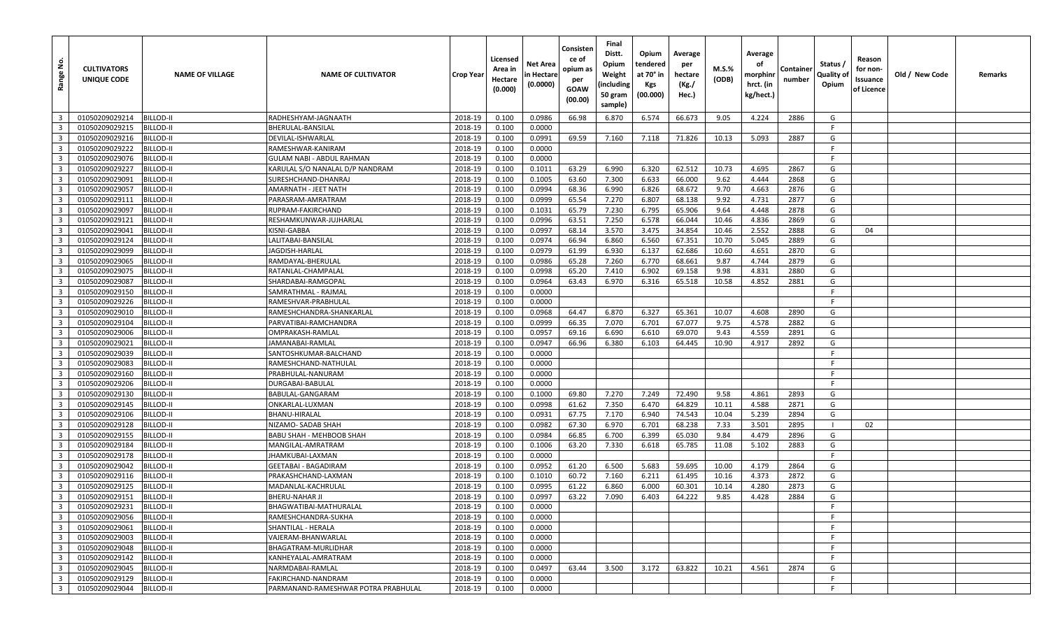| غ<br>Range                                         | <b>CULTIVATORS</b><br>UNIQUE CODE | <b>NAME OF VILLAGE</b>        | <b>NAME OF CULTIVATOR</b>                     | <b>Crop Year</b>   | Licensed<br>Area in<br>Hectare<br>(0.000) | Net Area<br>n Hectare<br>(0.0000) | Consisten<br>ce of<br>opium as<br>per<br>GOAW<br>(00.00) | Final<br>Distt.<br>Opium<br>Weight<br>(including<br>50 gram<br>sample) | Opium<br>tendered<br>at 70° in<br>Kgs<br>(00.000) | Average<br>per<br>hectare<br>(Kg./<br>Hec.) | M.S.%<br>(ODB) | Average<br>оf<br>morphini<br>hrct. (in<br>kg/hect.) | Container<br>number | Status /<br>Quality of<br>Opium | Reason<br>for non-<br>Issuance<br>of Licence | Old / New Code | Remarks |
|----------------------------------------------------|-----------------------------------|-------------------------------|-----------------------------------------------|--------------------|-------------------------------------------|-----------------------------------|----------------------------------------------------------|------------------------------------------------------------------------|---------------------------------------------------|---------------------------------------------|----------------|-----------------------------------------------------|---------------------|---------------------------------|----------------------------------------------|----------------|---------|
| $\overline{\mathbf{3}}$                            | 01050209029214                    | BILLOD-II                     | RADHESHYAM-JAGNAATH                           | 2018-19            | 0.100                                     | 0.0986                            | 66.98                                                    | 6.870                                                                  | 6.574                                             | 66.673                                      | 9.05           | 4.224                                               | 2886                | G                               |                                              |                |         |
| $\overline{\mathbf{3}}$                            | 01050209029215                    | <b>BILLOD-II</b>              | BHERULAL-BANSILAL                             | 2018-19            | 0.100                                     | 0.0000                            |                                                          |                                                                        |                                                   |                                             |                |                                                     |                     | F                               |                                              |                |         |
| $\overline{\mathbf{3}}$                            | 01050209029216                    | BILLOD-II                     | DEVILAL-ISHWARLAL                             | 2018-19            | 0.100                                     | 0.0991                            | 69.59                                                    | 7.160                                                                  | 7.118                                             | 71.826                                      | 10.13          | 5.093                                               | 2887                | G                               |                                              |                |         |
| $\overline{\mathbf{3}}$                            | 01050209029222                    | BILLOD-II                     | RAMESHWAR-KANIRAM                             | 2018-19            | 0.100                                     | 0.0000                            |                                                          |                                                                        |                                                   |                                             |                |                                                     |                     | F                               |                                              |                |         |
| $\overline{\mathbf{3}}$                            | 01050209029076                    | <b>BILLOD-II</b>              | GULAM NABI - ABDUL RAHMAN                     | 2018-19            | 0.100                                     | 0.0000                            |                                                          |                                                                        |                                                   |                                             |                |                                                     |                     |                                 |                                              |                |         |
| $\overline{\mathbf{3}}$                            | 01050209029227                    | BILLOD-II                     | KARULAL S/O NANALAL D/P NANDRAM               | 2018-19            | 0.100                                     | 0.1011                            | 63.29                                                    | 6.990                                                                  | 6.320                                             | 62.512                                      | 10.73          | 4.695                                               | 2867                | G                               |                                              |                |         |
| $\overline{\mathbf{3}}$                            | 01050209029091                    | BILLOD-II                     | SURESHCHAND-DHANRAJ                           | 2018-19            | 0.100                                     | 0.1005                            | 63.60                                                    | 7.300                                                                  | 6.633                                             | 66.000                                      | 9.62           | 4.444                                               | 2868                | G                               |                                              |                |         |
| $\overline{\mathbf{3}}$                            | 01050209029057                    | <b>BILLOD-II</b>              | AMARNATH - JEET NATH                          | 2018-19            | 0.100                                     | 0.0994                            | 68.36                                                    | 6.990                                                                  | 6.826                                             | 68.672                                      | 9.70           | 4.663                                               | 2876                | G                               |                                              |                |         |
| $\overline{\mathbf{3}}$                            | 01050209029111                    | BILLOD-II                     | PARASRAM-AMRATRAM                             | 2018-19            | 0.100                                     | 0.0999                            | 65.54                                                    | 7.270                                                                  | 6.807                                             | 68.138                                      | 9.92           | 4.731                                               | 2877                | G                               |                                              |                |         |
| $\overline{\mathbf{3}}$                            | 01050209029097                    | 3ILLOD-II                     | RUPRAM-FAKIRCHAND                             | 2018-19            | 0.100                                     | 0.1031                            | 65.79                                                    | 7.230                                                                  | 6.795                                             | 65.906                                      | 9.64           | 4.448                                               | 2878                | G                               |                                              |                |         |
| $\overline{\mathbf{3}}$                            | 01050209029121                    | BILLOD-II                     | RESHAMKUNWAR-JUJHARLAL                        | 2018-19            | 0.100                                     | 0.0996                            | 63.51                                                    | 7.250                                                                  | 6.578                                             | 66.044                                      | 10.46          | 4.836                                               | 2869                | G                               |                                              |                |         |
| $\overline{\mathbf{3}}$                            | 01050209029041                    | <b>BILLOD-II</b>              | KISNI-GABBA                                   | 2018-19            | 0.100                                     | 0.0997                            | 68.14                                                    | 3.570                                                                  | 3.475                                             | 34.854                                      | 10.46          | 2.552                                               | 2888                | G                               | 04                                           |                |         |
| $\overline{\mathbf{3}}$                            | 01050209029124                    | BILLOD-II                     | LALITABAI-BANSILAL                            | 2018-19            | 0.100                                     | 0.0974                            | 66.94                                                    | 6.860                                                                  | 6.560                                             | 67.351                                      | 10.70          | 5.045                                               | 2889                | G                               |                                              |                |         |
| $\overline{\mathbf{3}}$                            | 01050209029099                    | BILLOD-II                     | JAGDISH-HARLAL                                | 2018-19            | 0.100                                     | 0.0979                            | 61.99                                                    | 6.930                                                                  | 6.137                                             | 62.686                                      | 10.60          | 4.651                                               | 2870                | G                               |                                              |                |         |
| $\overline{\mathbf{3}}$                            | 01050209029065                    | <b>BILLOD-II</b>              | RAMDAYAL-BHERULAI                             | 2018-19            | 0.100                                     | 0.0986                            | 65.28                                                    | 7.260                                                                  | 6.770                                             | 68.661                                      | 9.87           | 4.744                                               | 2879                | G                               |                                              |                |         |
| $\overline{\mathbf{3}}$                            | 01050209029075                    | BILLOD-II                     | RATANLAL-CHAMPALAL                            | 2018-19            | 0.100                                     | 0.0998                            | 65.20                                                    | 7.410                                                                  | 6.902                                             | 69.158                                      | 9.98           | 4.831                                               | 2880                | G                               |                                              |                |         |
| $\overline{\mathbf{3}}$                            | 01050209029087                    | BILLOD-II                     | SHARDABAI-RAMGOPAL                            | 2018-19            | 0.100                                     | 0.0964                            | 63.43                                                    | 6.970                                                                  | 6.316                                             | 65.518                                      | 10.58          | 4.852                                               | 2881                | G                               |                                              |                |         |
| $\overline{\mathbf{3}}$                            | 01050209029150                    | BILLOD-II                     | SAMRATHMAL - RAJMAL                           | 2018-19            | 0.100                                     | 0.0000                            |                                                          |                                                                        |                                                   |                                             |                |                                                     |                     | F                               |                                              |                |         |
| $\overline{\mathbf{3}}$                            | 01050209029226                    | <b>BILLOD-II</b>              | RAMESHVAR-PRABHULAL                           | 2018-19            | 0.100                                     | 0.0000                            |                                                          |                                                                        |                                                   |                                             |                |                                                     |                     | F                               |                                              |                |         |
| $\overline{\mathbf{3}}$                            | 01050209029010                    | BILLOD-II                     | RAMESHCHANDRA-SHANKARLAL                      | 2018-19            | 0.100                                     | 0.0968                            | 64.47                                                    | 6.870                                                                  | 6.327                                             | 65.361                                      | 10.07          | 4.608                                               | 2890                | G                               |                                              |                |         |
| $\overline{\mathbf{3}}$                            | 01050209029104                    | BILLOD-II                     | PARVATIBAI-RAMCHANDRA                         | 2018-19            | 0.100                                     | 0.0999                            | 66.35                                                    | 7.070                                                                  | 6.701                                             | 67.077                                      | 9.75           | 4.578                                               | 2882                | G                               |                                              |                |         |
| $\overline{\mathbf{3}}$                            | 01050209029006                    | <b>BILLOD-II</b>              | OMPRAKASH-RAMLAL                              | 2018-19            | 0.100                                     | 0.0957                            | 69.16                                                    | 6.690                                                                  | 6.610                                             | 69.070                                      | 9.43           | 4.559                                               | 2891                | G                               |                                              |                |         |
| $\overline{\mathbf{3}}$                            | 01050209029021                    | BILLOD-II                     | JAMANABAI-RAMLAL                              | 2018-19            | 0.100                                     | 0.0947                            | 66.96                                                    | 6.380                                                                  | 6.103                                             | 64.445                                      | 10.90          | 4.917                                               | 2892                | G                               |                                              |                |         |
| $\overline{\mathbf{3}}$                            | 01050209029039                    | <b>BILLOD-II</b>              | SANTOSHKUMAR-BALCHAND                         | 2018-19            | 0.100                                     | 0.0000                            |                                                          |                                                                        |                                                   |                                             |                |                                                     |                     | F                               |                                              |                |         |
| $\overline{\mathbf{3}}$                            | 01050209029083                    | BILLOD-II                     | RAMESHCHAND-NATHULAL                          | 2018-19            | 0.100                                     | 0.0000                            |                                                          |                                                                        |                                                   |                                             |                |                                                     |                     | F                               |                                              |                |         |
| $\overline{\mathbf{3}}$                            | 01050209029160                    | <b>BILLOD-II</b>              | PRABHULAL-NANURAM                             | 2018-19            | 0.100                                     | 0.0000                            |                                                          |                                                                        |                                                   |                                             |                |                                                     |                     | F                               |                                              |                |         |
| $\overline{\mathbf{3}}$                            | 01050209029206                    | BILLOD-II                     | DURGABAI-BABULAL                              | 2018-19            | 0.100                                     | 0.0000                            |                                                          |                                                                        |                                                   |                                             |                |                                                     |                     |                                 |                                              |                |         |
| $\overline{\mathbf{3}}$                            | 01050209029130                    | <b>BILLOD-II</b>              | BABULAL-GANGARAM                              | 2018-19            | 0.100                                     | 0.1000                            | 69.80                                                    | 7.270                                                                  | 7.249                                             | 72.490                                      | 9.58           | 4.861                                               | 2893                | G                               |                                              |                |         |
| $\overline{\mathbf{3}}$                            | 01050209029145                    | <b>BILLOD-II</b>              | ONKARLAL-LUXMAN                               | 2018-19            | 0.100                                     | 0.0998                            | 61.62                                                    | 7.350                                                                  | 6.470                                             | 64.829                                      | 10.11          | 4.588                                               | 2871                | G                               |                                              |                |         |
| $\overline{\mathbf{3}}$                            | 01050209029106                    | BILLOD-II                     | BHANU-HIRALAL                                 | 2018-19            | 0.100                                     | 0.0931                            | 67.75                                                    | 7.170                                                                  | 6.940                                             | 74.543                                      | 10.04          | 5.239                                               | 2894                | G                               |                                              |                |         |
| $\overline{\mathbf{3}}$<br>$\overline{\mathbf{3}}$ | 01050209029128                    | BILLOD-II                     | NIZAMO- SADAB SHAH                            | 2018-19            | 0.100                                     | 0.0982                            | 67.30                                                    | 6.970                                                                  | 6.701                                             | 68.238                                      | 7.33           | 3.501                                               | 2895                | G                               | 02                                           |                |         |
| $\overline{\mathbf{3}}$                            | 01050209029155<br>01050209029184  | BILLOD-II<br><b>BILLOD-II</b> | BABU SHAH - MEHBOOB SHAH<br>MANGILAL-AMRATRAM | 2018-19<br>2018-19 | 0.100<br>0.100                            | 0.0984<br>0.1006                  | 66.85<br>63.20                                           | 6.700<br>7.330                                                         | 6.399<br>6.618                                    | 65.030<br>65.785                            | 9.84<br>11.08  | 4.479<br>5.102                                      | 2896<br>2883        | G                               |                                              |                |         |
| $\overline{\mathbf{3}}$                            | 01050209029178                    | BILLOD-II                     | JHAMKUBAI-LAXMAN                              | 2018-19            | 0.100                                     | 0.0000                            |                                                          |                                                                        |                                                   |                                             |                |                                                     |                     | F                               |                                              |                |         |
| $\overline{\mathbf{3}}$                            | 01050209029042                    | BILLOD-II                     | GEETABAI - BAGADIRAM                          | 2018-19            | 0.100                                     | 0.0952                            | 61.20                                                    | 6.500                                                                  | 5.683                                             | 59.695                                      | 10.00          | 4.179                                               | 2864                | G                               |                                              |                |         |
| $\overline{\mathbf{3}}$                            | 01050209029116                    | <b>BILLOD-II</b>              | PRAKASHCHAND-LAXMAN                           | 2018-19            | 0.100                                     | 0.1010                            | 60.72                                                    | 7.160                                                                  | 6.211                                             | 61.495                                      | 10.16          | 4.373                                               | 2872                | G                               |                                              |                |         |
| $\overline{\mathbf{3}}$                            | 01050209029125                    | BILLOD-II                     | MADANLAL-KACHRULAL                            | 2018-19            | 0.100                                     | 0.0995                            | 61.22                                                    | 6.860                                                                  | 6.000                                             | 60.301                                      | 10.14          | 4.280                                               | 2873                | G                               |                                              |                |         |
| $\overline{\mathbf{3}}$                            | 01050209029151                    | <b>BILLOD-II</b>              | <b>BHERU-NAHAR JI</b>                         | 2018-19            | 0.100                                     | 0.0997                            | 63.22                                                    | 7.090                                                                  | 6.403                                             | 64.222                                      | 9.85           | 4.428                                               | 2884                | G                               |                                              |                |         |
| $\overline{\mathbf{3}}$                            | 01050209029231                    | <b>BILLOD-II</b>              | BHAGWATIBAI-MATHURALAL                        | 2018-19            | 0.100                                     | 0.0000                            |                                                          |                                                                        |                                                   |                                             |                |                                                     |                     | F.                              |                                              |                |         |
| $\overline{\mathbf{3}}$                            | 01050209029056                    | <b>BILLOD-II</b>              | RAMESHCHANDRA-SUKHA                           | 2018-19            | 0.100                                     | 0.0000                            |                                                          |                                                                        |                                                   |                                             |                |                                                     |                     | F                               |                                              |                |         |
| $\overline{\mathbf{3}}$                            | 01050209029061                    | <b>BILLOD-II</b>              | SHANTILAL - HERALA                            | 2018-19            | 0.100                                     | 0.0000                            |                                                          |                                                                        |                                                   |                                             |                |                                                     |                     |                                 |                                              |                |         |
| $\overline{\mathbf{3}}$                            | 01050209029003                    | <b>BILLOD-II</b>              | VAJERAM-BHANWARLAL                            | 2018-19            | 0.100                                     | 0.0000                            |                                                          |                                                                        |                                                   |                                             |                |                                                     |                     | F                               |                                              |                |         |
| $\overline{\mathbf{3}}$                            | 01050209029048                    | <b>BILLOD-II</b>              | BHAGATRAM-MURLIDHAR                           | 2018-19            | 0.100                                     | 0.0000                            |                                                          |                                                                        |                                                   |                                             |                |                                                     |                     | F                               |                                              |                |         |
| $\overline{\mathbf{3}}$                            | 01050209029142                    | <b>BILLOD-II</b>              | KANHEYALAL-AMRATRAM                           | 2018-19            | 0.100                                     | 0.0000                            |                                                          |                                                                        |                                                   |                                             |                |                                                     |                     |                                 |                                              |                |         |
| $\overline{\mathbf{3}}$                            | 01050209029045                    | <b>BILLOD-II</b>              | NARMDABAI-RAMLAL                              | 2018-19            | 0.100                                     | 0.0497                            | 63.44                                                    | 3.500                                                                  | 3.172                                             | 63.822                                      | 10.21          | 4.561                                               | 2874                | G                               |                                              |                |         |
| $\overline{\mathbf{3}}$                            | 01050209029129                    | <b>BILLOD-II</b>              | FAKIRCHAND-NANDRAM                            | 2018-19            | 0.100                                     | 0.0000                            |                                                          |                                                                        |                                                   |                                             |                |                                                     |                     | F                               |                                              |                |         |
| 3 <sup>1</sup>                                     | 01050209029044                    | <b>BILLOD-II</b>              | PARMANAND-RAMESHWAR POTRA PRABHULAL           | 2018-19            | 0.100                                     | 0.0000                            |                                                          |                                                                        |                                                   |                                             |                |                                                     |                     | F.                              |                                              |                |         |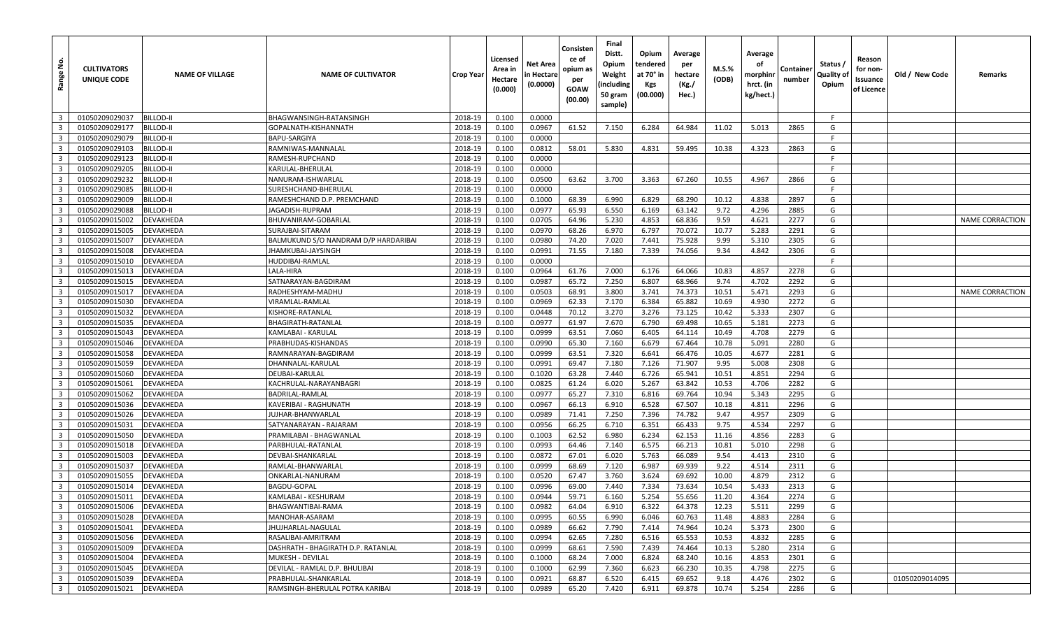| <u>غ</u><br>Range       | <b>CULTIVATORS</b><br>UNIQUE CODE | <b>NAME OF VILLAGE</b> | <b>NAME OF CULTIVATOR</b>            | Crop Year | Licensed<br>Area in<br>Hectare<br>(0.000) | Net Area<br>n Hectare<br>(0.0000) | Consisten<br>ce of<br>opium as<br>per<br>GOAW<br>(00.00) | Final<br>Distt.<br>Opium<br>Weight<br>(including<br>50 gram<br>sample) | Opium<br>tendered<br>at 70° in<br><b>Kgs</b><br>(00.000) | Average<br>per<br>hectare<br>(Kg./<br>Hec.) | $M.S.\%$<br>(ODB) | Average<br>оf<br>morphinr<br>hrct. (in<br>kg/hect.) | Containe<br>number | Status /<br>Quality of<br>Opium | Reason<br>for non-<br>Issuance<br>of Licence | Old / New Code | Remarks                |
|-------------------------|-----------------------------------|------------------------|--------------------------------------|-----------|-------------------------------------------|-----------------------------------|----------------------------------------------------------|------------------------------------------------------------------------|----------------------------------------------------------|---------------------------------------------|-------------------|-----------------------------------------------------|--------------------|---------------------------------|----------------------------------------------|----------------|------------------------|
| $\overline{\mathbf{3}}$ | 01050209029037                    | <b>BILLOD-II</b>       | BHAGWANSINGH-RATANSINGH              | 2018-19   | 0.100                                     | 0.0000                            |                                                          |                                                                        |                                                          |                                             |                   |                                                     |                    | F                               |                                              |                |                        |
| $\overline{\mathbf{3}}$ | 01050209029177                    | <b>BILLOD-II</b>       | GOPALNATH-KISHANNATH                 | 2018-19   | 0.100                                     | 0.0967                            | 61.52                                                    | 7.150                                                                  | 6.284                                                    | 64.984                                      | 11.02             | 5.013                                               | 2865               | G                               |                                              |                |                        |
| $\overline{\mathbf{3}}$ | 01050209029079                    | <b>BILLOD-II</b>       | <b>BAPU-SARGIYA</b>                  | 2018-19   | 0.100                                     | 0.0000                            |                                                          |                                                                        |                                                          |                                             |                   |                                                     |                    | F.                              |                                              |                |                        |
| $\overline{\mathbf{3}}$ | 01050209029103                    | <b>BILLOD-II</b>       | RAMNIWAS-MANNALAL                    | 2018-19   | 0.100                                     | 0.0812                            | 58.01                                                    | 5.830                                                                  | 4.831                                                    | 59.495                                      | 10.38             | 4.323                                               | 2863               | G                               |                                              |                |                        |
| $\overline{\mathbf{3}}$ | 01050209029123                    | <b>BILLOD-II</b>       | RAMESH-RUPCHAND                      | 2018-19   | 0.100                                     | 0.0000                            |                                                          |                                                                        |                                                          |                                             |                   |                                                     |                    | -F                              |                                              |                |                        |
| $\overline{\mathbf{3}}$ | 01050209029205                    | <b>BILLOD-II</b>       | KARULAL-BHERULAL                     | 2018-19   | 0.100                                     | 0.0000                            |                                                          |                                                                        |                                                          |                                             |                   |                                                     |                    | -F                              |                                              |                |                        |
| $\overline{\mathbf{3}}$ | 01050209029232                    | <b>BILLOD-II</b>       | NANURAM-ISHWARLAI                    | 2018-19   | 0.100                                     | 0.0500                            | 63.62                                                    | 3.700                                                                  | 3.363                                                    | 67.260                                      | 10.55             | 4.967                                               | 2866               | G                               |                                              |                |                        |
| $\overline{\mathbf{3}}$ | 01050209029085                    | <b>BILLOD-II</b>       | SURESHCHAND-BHERULAL                 | 2018-19   | 0.100                                     | 0.0000                            |                                                          |                                                                        |                                                          |                                             |                   |                                                     |                    | F.                              |                                              |                |                        |
| $\overline{\mathbf{3}}$ | 01050209029009                    | <b>BILLOD-II</b>       | RAMESHCHAND D.P. PREMCHAND           | 2018-19   | 0.100                                     | 0.1000                            | 68.39                                                    | 6.990                                                                  | 6.829                                                    | 68.290                                      | 10.12             | 4.838                                               | 2897               | G                               |                                              |                |                        |
| $\overline{\mathbf{3}}$ | 01050209029088                    | <b>BILLOD-II</b>       | JAGADISH-RUPRAM                      | 2018-19   | 0.100                                     | 0.0977                            | 65.93                                                    | 6.550                                                                  | 6.169                                                    | 63.142                                      | 9.72              | 4.296                                               | 2885               | G                               |                                              |                |                        |
| $\overline{\mathbf{3}}$ | 01050209015002                    | DEVAKHEDA              | BHUVANIRAM-GOBARLAL                  | 2018-19   | 0.100                                     | 0.0705                            | 64.96                                                    | 5.230                                                                  | 4.853                                                    | 68.836                                      | 9.59              | 4.621                                               | 2277               | G                               |                                              |                | <b>NAME CORRACTION</b> |
| $\overline{3}$          | 01050209015005                    | <b>DEVAKHEDA</b>       | SURAJBAI-SITARAM                     | 2018-19   | 0.100                                     | 0.0970                            | 68.26                                                    | 6.970                                                                  | 6.797                                                    | 70.072                                      | 10.77             | 5.283                                               | 2291               | G                               |                                              |                |                        |
| $\overline{\mathbf{3}}$ | 01050209015007                    | <b>DEVAKHEDA</b>       | BALMUKUND S/O NANDRAM D/P HARDARIBAI | 2018-19   | 0.100                                     | 0.0980                            | 74.20                                                    | 7.020                                                                  | 7.441                                                    | 75.928                                      | 9.99              | 5.310                                               | 2305               | G                               |                                              |                |                        |
| $\overline{\mathbf{3}}$ | 01050209015008                    | <b>DEVAKHEDA</b>       | JHAMKUBAI-JAYSINGH                   | 2018-19   | 0.100                                     | 0.0991                            | 71.55                                                    | 7.180                                                                  | 7.339                                                    | 74.056                                      | 9.34              | 4.842                                               | 2306               | G                               |                                              |                |                        |
| $\overline{\mathbf{3}}$ | 01050209015010                    | <b>DEVAKHEDA</b>       | HUDDIBAI-RAMLAL                      | 2018-19   | 0.100                                     | 0.0000                            |                                                          |                                                                        |                                                          |                                             |                   |                                                     |                    | -F                              |                                              |                |                        |
| $\overline{\mathbf{3}}$ | 01050209015013                    | <b>DEVAKHEDA</b>       | LALA-HIRA                            | 2018-19   | 0.100                                     | 0.0964                            | 61.76                                                    | 7.000                                                                  | 6.176                                                    | 64.066                                      | 10.83             | 4.857                                               | 2278               | G                               |                                              |                |                        |
| $\overline{\mathbf{3}}$ | 01050209015015                    | DEVAKHEDA              | SATNARAYAN-BAGDIRAM                  | 2018-19   | 0.100                                     | 0.0987                            | 65.72                                                    | 7.250                                                                  | 6.807                                                    | 68.966                                      | 9.74              | 4.702                                               | 2292               | G                               |                                              |                |                        |
| $\overline{\mathbf{3}}$ | 01050209015017                    | <b>DEVAKHEDA</b>       | RADHESHYAM-MADHU                     | 2018-19   | 0.100                                     | 0.0503                            | 68.91                                                    | 3.800                                                                  | 3.741                                                    | 74.373                                      | 10.51             | 5.471                                               | 2293               | G                               |                                              |                | <b>NAME CORRACTION</b> |
| $\overline{\mathbf{3}}$ | 01050209015030                    | <b>DEVAKHEDA</b>       | VIRAMLAL-RAMLAL                      | 2018-19   | 0.100                                     | 0.0969                            | 62.33                                                    | 7.170                                                                  | 6.384                                                    | 65.882                                      | 10.69             | 4.930                                               | 2272               | G                               |                                              |                |                        |
| $\overline{\mathbf{3}}$ | 01050209015032                    | <b>DEVAKHEDA</b>       | KISHORE-RATANLAL                     | 2018-19   | 0.100                                     | 0.0448                            | 70.12                                                    | 3.270                                                                  | 3.276                                                    | 73.125                                      | 10.42             | 5.333                                               | 2307               | G                               |                                              |                |                        |
| $\overline{\mathbf{3}}$ | 01050209015035                    | <b>DEVAKHEDA</b>       | BHAGIRATH-RATANLAL                   | 2018-19   | 0.100                                     | 0.0977                            | 61.97                                                    | 7.670                                                                  | 6.790                                                    | 69.498                                      | 10.65             | 5.181                                               | 2273               | G                               |                                              |                |                        |
| $\overline{\mathbf{3}}$ | 01050209015043                    | DEVAKHEDA              | KAMLABAI - KARULAL                   | 2018-19   | 0.100                                     | 0.0999                            | 63.51                                                    | 7.060                                                                  | 6.405                                                    | 64.114                                      | 10.49             | 4.708                                               | 2279               | G                               |                                              |                |                        |
| $\overline{3}$          | 01050209015046                    | <b>DEVAKHEDA</b>       | PRABHUDAS-KISHANDAS                  | 2018-19   | 0.100                                     | 0.0990                            | 65.30                                                    | 7.160                                                                  | 6.679                                                    | 67.464                                      | 10.78             | 5.091                                               | 2280               | G                               |                                              |                |                        |
| $\overline{\mathbf{3}}$ | 01050209015058                    | <b>DEVAKHEDA</b>       | RAMNARAYAN-BAGDIRAM                  | 2018-19   | 0.100                                     | 0.0999                            | 63.51                                                    | 7.320                                                                  | 6.641                                                    | 66.476                                      | 10.05             | 4.677                                               | 2281               | G                               |                                              |                |                        |
| $\overline{\mathbf{3}}$ | 01050209015059                    | <b>DEVAKHEDA</b>       | DHANNALAL-KARULAL                    | 2018-19   | 0.100                                     | 0.0991                            | 69.47                                                    | 7.180                                                                  | 7.126                                                    | 71.907                                      | 9.95              | 5.008                                               | 2308               | G                               |                                              |                |                        |
| $\overline{3}$          | 01050209015060                    | <b>DEVAKHEDA</b>       | DEUBAI-KARULAL                       | 2018-19   | 0.100                                     | 0.1020                            | 63.28                                                    | 7.440                                                                  | 6.726                                                    | 65.941                                      | 10.51             | 4.851                                               | 2294               | G                               |                                              |                |                        |
| $\overline{\mathbf{3}}$ | 01050209015061                    | <b>DEVAKHEDA</b>       | KACHRULAL-NARAYANBAGRI               | 2018-19   | 0.100                                     | 0.0825                            | 61.24                                                    | 6.020                                                                  | 5.267                                                    | 63.842                                      | 10.53             | 4.706                                               | 2282               | G                               |                                              |                |                        |
| $\overline{\mathbf{3}}$ | 01050209015062                    | DEVAKHEDA              | BADRILAL-RAMLAL                      | 2018-19   | 0.100                                     | 0.0977                            | 65.27                                                    | 7.310                                                                  | 6.816                                                    | 69.764                                      | 10.94             | 5.343                                               | 2295               | G                               |                                              |                |                        |
| $\overline{\mathbf{3}}$ | 01050209015036                    | DEVAKHEDA              | KAVERIBAI - RAGHUNATH                | 2018-19   | 0.100                                     | 0.0967                            | 66.13                                                    | 6.910                                                                  | 6.528                                                    | 67.507                                      | 10.18             | 4.811                                               | 2296               | G                               |                                              |                |                        |
| $\overline{\mathbf{3}}$ | 01050209015026                    | <b>DEVAKHEDA</b>       | IUJHAR-BHANWARLAL                    | 2018-19   | 0.100                                     | 0.0989                            | 71.41                                                    | 7.250                                                                  | 7.396                                                    | 74.782                                      | 9.47              | 4.957                                               | 2309               | G                               |                                              |                |                        |
| $\overline{\mathbf{3}}$ | 01050209015031                    | <b>DEVAKHEDA</b>       | SATYANARAYAN - RAJARAM               | 2018-19   | 0.100                                     | 0.0956                            | 66.25                                                    | 6.710                                                                  | 6.351                                                    | 66.433                                      | 9.75              | 4.534                                               | 2297               | G                               |                                              |                |                        |
| $\overline{\mathbf{3}}$ | 01050209015050                    | <b>DEVAKHEDA</b>       | PRAMILABAI - BHAGWANLAL              | 2018-19   | 0.100                                     | 0.1003                            | 62.52                                                    | 6.980                                                                  | 6.234                                                    | 62.153                                      | 11.16             | 4.856                                               | 2283               | G                               |                                              |                |                        |
| $\overline{\mathbf{3}}$ | 01050209015018                    | DEVAKHEDA              | PARBHULAL-RATANLAL                   | 2018-19   | 0.100                                     | 0.0993                            | 64.46                                                    | 7.140                                                                  | 6.575                                                    | 66.213                                      | 10.81             | 5.010                                               | 2298               | G                               |                                              |                |                        |
| $\overline{\mathbf{3}}$ | 01050209015003                    | <b>DEVAKHEDA</b>       | DEVBAI-SHANKARLAL                    | 2018-19   | 0.100                                     | 0.0872                            | 67.01                                                    | 6.020                                                                  | 5.763                                                    | 66.089                                      | 9.54              | 4.413                                               | 2310               | G                               |                                              |                |                        |
| $\overline{\mathbf{3}}$ | 01050209015037                    | <b>DEVAKHEDA</b>       | RAMLAL-BHANWARLAL                    | 2018-19   | 0.100                                     | 0.0999                            | 68.69                                                    | 7.120                                                                  | 6.987                                                    | 69.939                                      | 9.22              | 4.514                                               | 2311               | G                               |                                              |                |                        |
| $\overline{\mathbf{3}}$ | 01050209015055                    | <b>DEVAKHEDA</b>       | ONKARLAL-NANURAM                     | 2018-19   | 0.100                                     | 0.0520                            | 67.47                                                    | 3.760                                                                  | 3.624                                                    | 69.692                                      | 10.00             | 4.879                                               | 2312               | G                               |                                              |                |                        |
| $\overline{\mathbf{3}}$ | 01050209015014                    | <b>DEVAKHEDA</b>       | BAGDU-GOPAL                          | 2018-19   | 0.100                                     | 0.0996                            | 69.00                                                    | 7.440                                                                  | 7.334                                                    | 73.634                                      | 10.54             | 5.433                                               | 2313               | G                               |                                              |                |                        |
| $\overline{\mathbf{3}}$ | 01050209015011                    | <b>DEVAKHEDA</b>       | KAMLABAI - KESHURAM                  | 2018-19   | 0.100                                     | 0.0944                            | 59.71                                                    | 6.160                                                                  | 5.254                                                    | 55.656                                      | 11.20             | 4.364                                               | 2274               | G                               |                                              |                |                        |
| $\overline{\mathbf{3}}$ | 01050209015006                    | <b>DEVAKHEDA</b>       | BHAGWANTIBAI-RAMA                    | 2018-19   | 0.100                                     | 0.0982                            | 64.04                                                    | 6.910                                                                  | 6.322                                                    | 64.378                                      | 12.23             | 5.511                                               | 2299               | G                               |                                              |                |                        |
| $\overline{\mathbf{3}}$ | 01050209015028                    | <b>DEVAKHEDA</b>       | MANOHAR-ASARAM                       | 2018-19   | 0.100                                     | 0.0995                            | 60.55                                                    | 6.990                                                                  | 6.046                                                    | 60.763                                      | 11.48             | 4.883                                               | 2284               | G                               |                                              |                |                        |
| $\overline{\mathbf{3}}$ | 01050209015041                    | <b>DEVAKHEDA</b>       | JHUJHARLAL-NAGULAL                   | 2018-19   | 0.100                                     | 0.0989                            | 66.62                                                    | 7.790                                                                  | 7.414                                                    | 74.964                                      | 10.24             | 5.373                                               | 2300               | G                               |                                              |                |                        |
| $\overline{\mathbf{3}}$ | 01050209015056                    | DEVAKHEDA              | RASALIBAI-AMRITRAM                   | 2018-19   | 0.100                                     | 0.0994                            | 62.65                                                    | 7.280                                                                  | 6.516                                                    | 65.553                                      | 10.53             | 4.832                                               | 2285               | G                               |                                              |                |                        |
| $\overline{\mathbf{3}}$ | 01050209015009                    | <b>DEVAKHEDA</b>       | DASHRATH - BHAGIRATH D.P. RATANLAL   | 2018-19   | 0.100                                     | 0.0999                            | 68.61                                                    | 7.590                                                                  | 7.439                                                    | 74.464                                      | 10.13             | 5.280                                               | 2314               | G                               |                                              |                |                        |
| $\overline{\mathbf{3}}$ | 01050209015004                    | DEVAKHEDA              | MUKESH - DEVILAL                     | 2018-19   | 0.100                                     | 0.1000                            | 68.24                                                    | 7.000                                                                  | 6.824                                                    | 68.240                                      | 10.16             | 4.853                                               | 2301               | G                               |                                              |                |                        |
| $\overline{\mathbf{3}}$ | 01050209015045                    | DEVAKHEDA              | DEVILAL - RAMLAL D.P. BHULIBAI       | 2018-19   | 0.100                                     | 0.1000                            | 62.99                                                    | 7.360                                                                  | 6.623                                                    | 66.230                                      | 10.35             | 4.798                                               | 2275               | G                               |                                              |                |                        |
| $\overline{\mathbf{3}}$ | 01050209015039                    | <b>DEVAKHEDA</b>       | PRABHULAL-SHANKARLAL                 | 2018-19   | 0.100                                     | 0.0921                            | 68.87                                                    | 6.520                                                                  | 6.415                                                    | 69.652                                      | 9.18              | 4.476                                               | 2302               | G                               |                                              | 01050209014095 |                        |
| $\overline{\mathbf{3}}$ | 01050209015021                    | <b>DEVAKHEDA</b>       | RAMSINGH-BHERULAL POTRA KARIBAI      | 2018-19   | 0.100                                     | 0.0989                            | 65.20                                                    | 7.420                                                                  | 6.911                                                    | 69.878                                      | 10.74             | 5.254                                               | 2286               | G                               |                                              |                |                        |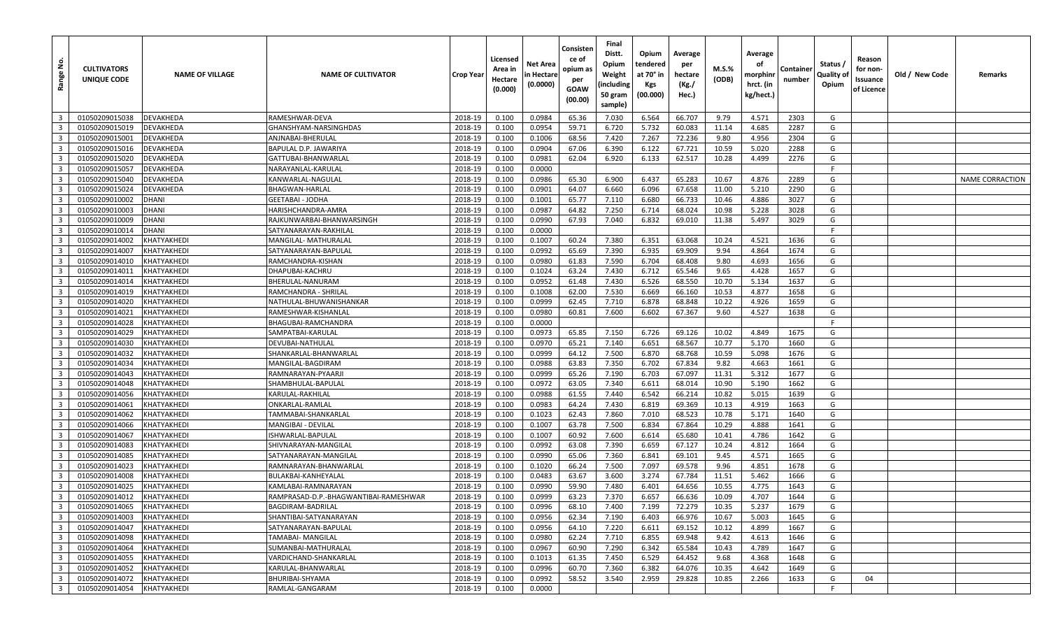| <u>و</u><br>Range                                  | <b>CULTIVATORS</b><br>UNIQUE CODE | <b>NAME OF VILLAGE</b>            | <b>NAME OF CULTIVATOR</b>                 | <b>Crop Year</b>   | Licensed<br>Area in<br>Hectare<br>(0.000) | Net Area<br>n Hectare<br>(0.0000) | Consisten<br>ce of<br>opium as<br>per<br>GOAW<br>(00.00) | Final<br>Distt.<br>Opium<br>Weight<br>(including<br>50 gram<br>sample) | Opium<br>tendered<br>at 70° in<br>Kgs<br>(00.000) | Average<br>per<br>hectare<br>(Kg./<br>Hec.) | M.S.%<br>(ODB) | Average<br>οf<br>morphinr<br>hrct. (in<br>kg/hect.) | Containe<br>number | Status /<br>Quality of<br>Opium | Reason<br>for non-<br>Issuance<br>of Licence | Old / New Code | Remarks         |
|----------------------------------------------------|-----------------------------------|-----------------------------------|-------------------------------------------|--------------------|-------------------------------------------|-----------------------------------|----------------------------------------------------------|------------------------------------------------------------------------|---------------------------------------------------|---------------------------------------------|----------------|-----------------------------------------------------|--------------------|---------------------------------|----------------------------------------------|----------------|-----------------|
| $\overline{\mathbf{3}}$                            | 01050209015038                    | <b>DEVAKHEDA</b>                  | RAMESHWAR-DEVA                            | 2018-19            | 0.100                                     | 0.0984                            | 65.36                                                    | 7.030                                                                  | 6.564                                             | 66.707                                      | 9.79           | 4.571                                               | 2303               | G                               |                                              |                |                 |
| $\overline{\mathbf{3}}$                            | 01050209015019                    | <b>DEVAKHEDA</b>                  | GHANSHYAM-NARSINGHDAS                     | 2018-19            | 0.100                                     | 0.0954                            | 59.71                                                    | 6.720                                                                  | 5.732                                             | 60.083                                      | 11.14          | 4.685                                               | 2287               | G                               |                                              |                |                 |
| $\overline{\mathbf{3}}$                            | 01050209015001                    | <b>DEVAKHEDA</b>                  | ANJNABAI-BHERULAL                         | 2018-19            | 0.100                                     | 0.1006                            | 68.56                                                    | 7.420                                                                  | 7.267                                             | 72.236                                      | 9.80           | 4.956                                               | 2304               | G                               |                                              |                |                 |
| $\overline{3}$                                     | 01050209015016                    | <b>DEVAKHEDA</b>                  | BAPULAL D.P. JAWARIYA                     | 2018-19            | 0.100                                     | 0.0904                            | 67.06                                                    | 6.390                                                                  | 6.122                                             | 67.721                                      | 10.59          | 5.020                                               | 2288               | G                               |                                              |                |                 |
| $\overline{\mathbf{3}}$                            | 01050209015020                    | <b>DEVAKHEDA</b>                  | GATTUBAI-BHANWARLAL                       | 2018-19            | 0.100                                     | 0.0981                            | 62.04                                                    | 6.920                                                                  | 6.133                                             | 62.517                                      | 10.28          | 4.499                                               | 2276               | G                               |                                              |                |                 |
| $\overline{\mathbf{3}}$                            | 01050209015057                    | <b>DEVAKHEDA</b>                  | NARAYANLAL-KARULAL                        | 2018-19            | 0.100                                     | 0.0000                            |                                                          |                                                                        |                                                   |                                             |                |                                                     |                    | F                               |                                              |                |                 |
| $\overline{\mathbf{3}}$                            | 01050209015040                    | DEVAKHEDA                         | KANWARLAL-NAGULAL                         | 2018-19            | 0.100                                     | 0.0986                            | 65.30                                                    | 6.900                                                                  | 6.437                                             | 65.283                                      | 10.67          | 4.876                                               | 2289               | G                               |                                              |                | NAME CORRACTION |
| $\overline{\mathbf{3}}$                            | 01050209015024                    | <b>DEVAKHEDA</b>                  | <b>BHAGWAN-HARLAL</b>                     | 2018-19            | 0.100                                     | 0.0901                            | 64.07                                                    | 6.660                                                                  | 6.096                                             | 67.658                                      | 11.00          | 5.210                                               | 2290               | G                               |                                              |                |                 |
| $\overline{\mathbf{3}}$                            | 01050209010002                    | <b>DHANI</b>                      | <b>GEETABAI - JODHA</b>                   | 2018-19            | 0.100                                     | 0.1001                            | 65.77                                                    | 7.110                                                                  | 6.680                                             | 66.733                                      | 10.46          | 4.886                                               | 3027               | G                               |                                              |                |                 |
| $\overline{\mathbf{3}}$                            | 01050209010003                    | <b>DHANI</b>                      | HARISHCHANDRA-AMRA                        | 2018-19            | 0.100                                     | 0.0987                            | 64.82                                                    | 7.250                                                                  | 6.714                                             | 68.024                                      | 10.98          | 5.228                                               | 3028               | G                               |                                              |                |                 |
| $\overline{\mathbf{3}}$                            | 01050209010009                    | <b>DHANI</b>                      | RAJKUNWARBAI-BHANWARSINGH                 | 2018-19            | 0.100                                     | 0.0990                            | 67.93                                                    | 7.040                                                                  | 6.832                                             | 69.010                                      | 11.38          | 5.497                                               | 3029               | G                               |                                              |                |                 |
| $\overline{3}$                                     | 01050209010014                    | <b>DHANI</b>                      | SATYANARAYAN-RAKHILAI                     | 2018-19            | 0.100                                     | 0.0000                            |                                                          |                                                                        |                                                   |                                             |                |                                                     |                    | F                               |                                              |                |                 |
| $\overline{\mathbf{3}}$                            | 01050209014002                    | KHATYAKHEDI                       | MANGILAL- MATHURALAL                      | 2018-19            | 0.100                                     | 0.1007                            | 60.24                                                    | 7.380                                                                  | 6.351                                             | 63.068                                      | 10.24          | 4.521                                               | 1636               | G                               |                                              |                |                 |
| $\overline{\mathbf{3}}$                            | 01050209014007                    | KHATYAKHEDI                       | SATYANARAYAN-BAPULAL                      | 2018-19            | 0.100                                     | 0.0992                            | 65.69                                                    | 7.390                                                                  | 6.935                                             | 69.909                                      | 9.94           | 4.864                                               | 1674               | G                               |                                              |                |                 |
| $\overline{\mathbf{3}}$                            | 01050209014010                    | <b>KHATYAKHEDI</b>                | RAMCHANDRA-KISHAN                         | 2018-19            | 0.100                                     | 0.0980                            | 61.83                                                    | 7.590                                                                  | 6.704                                             | 68.408                                      | 9.80           | 4.693                                               | 1656               | G                               |                                              |                |                 |
| $\overline{\mathbf{3}}$                            | 01050209014011                    | KHATYAKHEDI                       | DHAPUBAI-KACHRU                           | 2018-19            | 0.100                                     | 0.1024                            | 63.24                                                    | 7.430                                                                  | 6.712                                             | 65.546                                      | 9.65           | 4.428                                               | 1657               | G                               |                                              |                |                 |
| $\overline{\mathbf{3}}$                            | 01050209014014                    | KHATYAKHEDI                       | BHERULAL-NANURAM                          | 2018-19            | 0.100                                     | 0.0952                            | 61.48                                                    | 7.430                                                                  | 6.526                                             | 68.550                                      | 10.70          | 5.134                                               | 1637               | G                               |                                              |                |                 |
| $\overline{\mathbf{3}}$                            | 01050209014019                    | KHATYAKHEDI                       | RAMCHANDRA - SHRILAL                      | 2018-19            | 0.100                                     | 0.1008                            | 62.00                                                    | 7.530                                                                  | 6.669                                             | 66.160                                      | 10.53          | 4.877                                               | 1658               | G                               |                                              |                |                 |
| $\overline{\mathbf{3}}$                            | 01050209014020                    | KHATYAKHEDI                       | NATHULAL-BHUWANISHANKAR                   | 2018-19            | 0.100                                     | 0.0999                            | 62.45                                                    | 7.710                                                                  | 6.878                                             | 68.848                                      | 10.22          | 4.926                                               | 1659               | G                               |                                              |                |                 |
| $\overline{\mathbf{3}}$                            | 01050209014021                    | KHATYAKHEDI                       | RAMESHWAR-KISHANLAL                       | 2018-19            | 0.100                                     | 0.0980                            | 60.81                                                    | 7.600                                                                  | 6.602                                             | 67.367                                      | 9.60           | 4.527                                               | 1638               | G                               |                                              |                |                 |
| $\overline{\mathbf{3}}$                            | 01050209014028                    | KHATYAKHEDI                       | BHAGUBAI-RAMCHANDRA                       | 2018-19            | 0.100                                     | 0.0000                            |                                                          |                                                                        |                                                   |                                             |                |                                                     |                    | F.                              |                                              |                |                 |
| $\overline{\mathbf{3}}$                            | 01050209014029                    | KHATYAKHEDI                       | SAMPATBAI-KARULAL                         | 2018-19            | 0.100                                     | 0.0973                            | 65.85                                                    | 7.150                                                                  | 6.726                                             | 69.126                                      | 10.02          | 4.849                                               | 1675               | G                               |                                              |                |                 |
| $\overline{3}$                                     | 01050209014030                    | KHATYAKHEDI                       | DEVUBAI-NATHULAL                          | 2018-19            | 0.100                                     | 0.0970                            | 65.21                                                    | 7.140                                                                  | 6.651                                             | 68.567                                      | 10.77          | 5.170                                               | 1660               | G                               |                                              |                |                 |
| $\overline{\mathbf{3}}$                            | 01050209014032                    | KHATYAKHEDI                       | SHANKARLAL-BHANWARLAL                     | 2018-19            | 0.100                                     | 0.0999                            | 64.12                                                    | 7.500                                                                  | 6.870                                             | 68.768                                      | 10.59          | 5.098                                               | 1676               | G                               |                                              |                |                 |
| $\overline{\mathbf{3}}$                            | 01050209014034                    | KHATYAKHEDI                       | MANGILAL-BAGDIRAM                         | 2018-19            | 0.100                                     | 0.0988                            | 63.83                                                    | 7.350                                                                  | 6.702                                             | 67.834                                      | 9.82           | 4.663                                               | 1661               | G                               |                                              |                |                 |
| $\overline{3}$                                     | 01050209014043                    | KHATYAKHEDI                       | RAMNARAYAN-PYAARJI                        | 2018-19            | 0.100                                     | 0.0999                            | 65.26                                                    | 7.190                                                                  | 6.703                                             | 67.097                                      | 11.31          | 5.312                                               | 1677               | G                               |                                              |                |                 |
| $\overline{\mathbf{3}}$                            | 01050209014048                    | KHATYAKHEDI                       | SHAMBHULAL-BAPULAL                        | 2018-19            | 0.100                                     | 0.0972                            | 63.05                                                    | 7.340                                                                  | 6.611                                             | 68.014                                      | 10.90          | 5.190                                               | 1662               | G                               |                                              |                |                 |
| $\overline{\mathbf{3}}$                            | 01050209014056                    | KHATYAKHEDI                       | KARULAL-RAKHILAL                          | 2018-19            | 0.100                                     | 0.0988                            | 61.55                                                    | 7.440                                                                  | 6.542                                             | 66.214                                      | 10.82          | 5.015                                               | 1639               | G                               |                                              |                |                 |
| $\overline{\mathbf{3}}$                            | 01050209014061                    | <b>KHATYAKHEDI</b>                | ONKARLAL-RAMLAL                           | 2018-19            | 0.100                                     | 0.0983                            | 64.24                                                    | 7.430                                                                  | 6.819                                             | 69.369                                      | 10.13          | 4.919                                               | 1663               | G                               |                                              |                |                 |
| $\overline{\mathbf{3}}$                            | 01050209014062                    | KHATYAKHEDI                       | TAMMABAI-SHANKARLAL                       | 2018-19            | 0.100                                     | 0.1023                            | 62.43                                                    | 7.860                                                                  | 7.010                                             | 68.523                                      | 10.78          | 5.171                                               | 1640               | G                               |                                              |                |                 |
| $\overline{\mathbf{3}}$                            | 01050209014066                    | KHATYAKHEDI                       | MANGIBAI - DEVILAL                        | 2018-19            | 0.100                                     | 0.1007                            | 63.78                                                    | 7.500                                                                  | 6.834                                             | 67.864                                      | 10.29          | 4.888                                               | 1641               | G<br>G                          |                                              |                |                 |
| $\overline{\mathbf{3}}$<br>$\overline{\mathbf{3}}$ | 01050209014067<br>01050209014083  | KHATYAKHEDI<br><b>KHATYAKHEDI</b> | ISHWARLAL-BAPULAL<br>SHIVNARAYAN-MANGILAL | 2018-19<br>2018-19 | 0.100<br>0.100                            | 0.1007<br>0.0992                  | 60.92<br>63.08                                           | 7.600<br>7.390                                                         | 6.614<br>6.659                                    | 65.680<br>67.127                            | 10.41<br>10.24 | 4.786<br>4.812                                      | 1642<br>1664       | G                               |                                              |                |                 |
| $\overline{\mathbf{3}}$                            | 01050209014085                    | KHATYAKHEDI                       | SATYANARAYAN-MANGILAL                     | 2018-19            | 0.100                                     | 0.0990                            | 65.06                                                    | 7.360                                                                  | 6.841                                             | 69.101                                      | 9.45           | 4.571                                               | 1665               | G                               |                                              |                |                 |
| $\overline{\mathbf{3}}$                            | 01050209014023                    | KHATYAKHEDI                       | RAMNARAYAN-BHANWARLAL                     | 2018-19            | 0.100                                     | 0.1020                            | 66.24                                                    | 7.500                                                                  | 7.097                                             | 69.578                                      | 9.96           | 4.851                                               | 1678               | G                               |                                              |                |                 |
| $\overline{\mathbf{3}}$                            | 01050209014008                    | KHATYAKHEDI                       | BULAKBAI-KANHEYALAL                       | 2018-19            | 0.100                                     | 0.0483                            | 63.67                                                    | 3.600                                                                  | 3.274                                             | 67.784                                      | 11.51          | 5.462                                               | 1666               | G                               |                                              |                |                 |
| $\overline{3}$                                     | 01050209014025                    | KHATYAKHEDI                       | KAMLABAI-RAMNARAYAN                       | 2018-19            | 0.100                                     | 0.0990                            | 59.90                                                    | 7.480                                                                  | 6.401                                             | 64.656                                      | 10.55          | 4.775                                               | 1643               | G                               |                                              |                |                 |
| $\overline{\mathbf{3}}$                            | 01050209014012                    | <b>KHATYAKHEDI</b>                | RAMPRASAD-D.P.-BHAGWANTIBAI-RAMESHWAR     | 2018-19            | 0.100                                     | 0.0999                            | 63.23                                                    | 7.370                                                                  | 6.657                                             | 66.636                                      | 10.09          | 4.707                                               | 1644               | G                               |                                              |                |                 |
| $\overline{\mathbf{3}}$                            | 01050209014065                    | KHATYAKHEDI                       | BAGDIRAM-BADRILAL                         | 2018-19            | 0.100                                     | 0.0996                            | 68.10                                                    | 7.400                                                                  | 7.199                                             | 72.279                                      | 10.35          | 5.237                                               | 1679               | G                               |                                              |                |                 |
| $\overline{\mathbf{3}}$                            | 01050209014003                    | KHATYAKHEDI                       | SHANTIBAI-SATYANARAYAN                    | 2018-19            | 0.100                                     | 0.0956                            | 62.34                                                    | 7.190                                                                  | 6.403                                             | 66.976                                      | 10.67          | 5.003                                               | 1645               | G                               |                                              |                |                 |
| $\overline{\mathbf{3}}$                            | 01050209014047                    | KHATYAKHEDI                       | SATYANARAYAN-BAPULAL                      | 2018-19            | 0.100                                     | 0.0956                            | 64.10                                                    | 7.220                                                                  | 6.611                                             | 69.152                                      | 10.12          | 4.899                                               | 1667               | G                               |                                              |                |                 |
| $\overline{\mathbf{3}}$                            | 01050209014098                    | KHATYAKHEDI                       | <b>TAMABAI- MANGILAL</b>                  | 2018-19            | 0.100                                     | 0.0980                            | 62.24                                                    | 7.710                                                                  | 6.855                                             | 69.948                                      | 9.42           | 4.613                                               | 1646               | G                               |                                              |                |                 |
| $\overline{\mathbf{3}}$                            | 01050209014064                    | KHATYAKHEDI                       | SUMANBAI-MATHURALAL                       | 2018-19            | 0.100                                     | 0.0967                            | 60.90                                                    | 7.290                                                                  | 6.342                                             | 65.584                                      | 10.43          | 4.789                                               | 1647               | G                               |                                              |                |                 |
| $\overline{\mathbf{3}}$                            | 01050209014055                    | KHATYAKHEDI                       | VARDICHAND-SHANKARLAL                     | 2018-19            | 0.100                                     | 0.1013                            | 61.35                                                    | 7.450                                                                  | 6.529                                             | 64.452                                      | 9.68           | 4.368                                               | 1648               | G                               |                                              |                |                 |
| $\overline{\mathbf{3}}$                            | 01050209014052                    | KHATYAKHEDI                       | KARULAL-BHANWARLAL                        | 2018-19            | 0.100                                     | 0.0996                            | 60.70                                                    | 7.360                                                                  | 6.382                                             | 64.076                                      | 10.35          | 4.642                                               | 1649               | G                               |                                              |                |                 |
| $\overline{\mathbf{3}}$                            | 01050209014072                    | KHATYAKHEDI                       | BHURIBAI-SHYAMA                           | 2018-19            | 0.100                                     | 0.0992                            | 58.52                                                    | 3.540                                                                  | 2.959                                             | 29.828                                      | 10.85          | 2.266                                               | 1633               | G                               | 04                                           |                |                 |
| $\overline{\mathbf{3}}$                            | 01050209014054                    | KHATYAKHEDI                       | RAMLAL-GANGARAM                           | 2018-19            | 0.100                                     | 0.0000                            |                                                          |                                                                        |                                                   |                                             |                |                                                     |                    | -F                              |                                              |                |                 |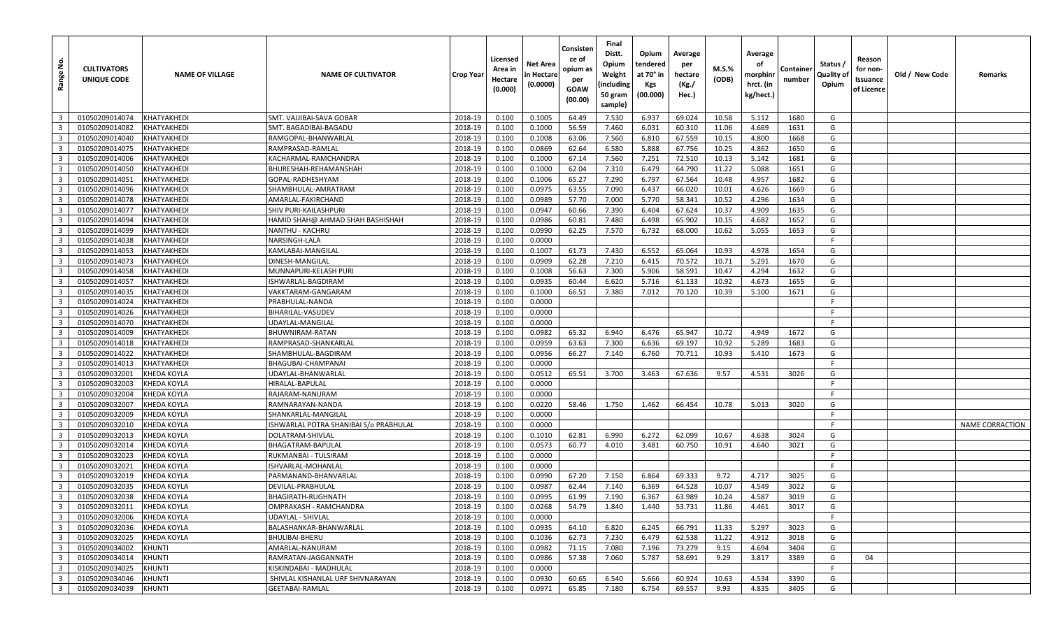| <u>ទំ</u><br>Range                        | <b>CULTIVATORS</b><br>UNIQUE CODE | <b>NAME OF VILLAGE</b>     | <b>NAME OF CULTIVATOR</b>              | <b>Crop Year</b>   | Licensed<br>Area in<br>Hectare<br>(0.000) | Net Area<br>in Hectare<br>(0.0000) | Consisten<br>ce of<br>opium as<br>per<br>GOAW<br>(00.00) | Final<br>Distt.<br>Opium<br>Weight<br>(including<br>50 gram<br>sample) | Opium<br>tendered<br>at 70° in<br>Kgs<br>(00.000) | Average<br>per<br>hectare<br>(Kg./<br>Hec.) | M.S.%<br>(ODB) | Average<br>οf<br>morphinr<br>hrct. (in<br>kg/hect.) | Container<br>number | Status /<br>Quality of<br>Opium | Reason<br>for non-<br>Issuance<br>of Licence | Old / New Code | Remarks                |
|-------------------------------------------|-----------------------------------|----------------------------|----------------------------------------|--------------------|-------------------------------------------|------------------------------------|----------------------------------------------------------|------------------------------------------------------------------------|---------------------------------------------------|---------------------------------------------|----------------|-----------------------------------------------------|---------------------|---------------------------------|----------------------------------------------|----------------|------------------------|
| $\overline{\mathbf{3}}$                   | 01050209014074                    | KHATYAKHEDI                | SMT. VAJJIBAI-SAVA GOBAR               | 2018-19            | 0.100                                     | 0.1005                             | 64.49                                                    | 7.530                                                                  | 6.937                                             | 69.024                                      | 10.58          | 5.112                                               | 1680                | G                               |                                              |                |                        |
| $\overline{3}$                            | 01050209014082                    | KHATYAKHEDI                | SMT. BAGADIBAI-BAGADU                  | 2018-19            | 0.100                                     | 0.1000                             | 56.59                                                    | 7.460                                                                  | 6.031                                             | 60.310                                      | 11.06          | 4.669                                               | 1631                | G                               |                                              |                |                        |
| $\overline{\mathbf{3}}$                   | 01050209014040                    | KHATYAKHEDI                | RAMGOPAL-BHANWARLAL                    | 2018-19            | 0.100                                     | 0.1008                             | 63.06                                                    | 7.560                                                                  | 6.810                                             | 67.559                                      | 10.15          | 4.800                                               | 1668                | G                               |                                              |                |                        |
| $\overline{\mathbf{3}}$                   | 01050209014075                    | KHATYAKHEDI                | RAMPRASAD-RAMLAL                       | 2018-19            | 0.100                                     | 0.0869                             | 62.64                                                    | 6.580                                                                  | 5.888                                             | 67.756                                      | 10.25          | 4.862                                               | 1650                | G                               |                                              |                |                        |
| $\overline{\mathbf{3}}$                   | 01050209014006                    | KHATYAKHEDI                | KACHARMAL-RAMCHANDRA                   | 2018-19            | 0.100                                     | 0.1000                             | 67.14                                                    | 7.560                                                                  | 7.251                                             | 72.510                                      | 10.13          | 5.142                                               | 1681                | G                               |                                              |                |                        |
| $\overline{\mathbf{3}}$                   | 01050209014050                    | KHATYAKHEDI                | BHURESHAH-REHAMANSHAH                  | 2018-19            | 0.100                                     | 0.1000                             | 62.04                                                    | 7.310                                                                  | 6.479                                             | 64.790                                      | 11.22          | 5.088                                               | 1651                | G                               |                                              |                |                        |
| $\overline{\mathbf{3}}$                   | 01050209014051                    | KHATYAKHEDI                | GOPAL-RADHESHYAM                       | 2018-19            | 0.100                                     | 0.1006                             | 65.27                                                    | 7.290                                                                  | 6.797                                             | 67.564                                      | 10.48          | 4.957                                               | 1682                | G                               |                                              |                |                        |
| $\overline{\mathbf{3}}$                   | 01050209014096                    | KHATYAKHEDI                | SHAMBHULAL-AMRATRAM                    | 2018-19            | 0.100                                     | 0.0975                             | 63.55                                                    | 7.090                                                                  | 6.437                                             | 66.020                                      | 10.01          | 4.626                                               | 1669                | G                               |                                              |                |                        |
| $\overline{3}$                            | 01050209014078                    | KHATYAKHEDI                | AMARLAL-FAKIRCHAND                     | 2018-19            | 0.100                                     | 0.0989                             | 57.70                                                    | 7.000                                                                  | 5.770                                             | 58.341                                      | 10.52          | 4.296                                               | 1634                | G                               |                                              |                |                        |
| $\overline{3}$                            | 01050209014077                    | KHATYAKHEDI                | SHIV PURI-KAILASHPURI                  | 2018-19            | 0.100                                     | 0.0947                             | 60.66                                                    | 7.390                                                                  | 6.404                                             | 67.624                                      | 10.37          | 4.909                                               | 1635                | G                               |                                              |                |                        |
| $\overline{\mathbf{3}}$                   | 01050209014094                    | KHATYAKHEDI                | HAMID SHAH@ AHMAD SHAH BASHISHAH       | 2018-19            | 0.100                                     | 0.0986                             | 60.81                                                    | 7.480                                                                  | 6.498                                             | 65.902                                      | 10.15          | 4.682                                               | 1652                | G                               |                                              |                |                        |
| $\overline{3}$                            | 01050209014099                    | KHATYAKHEDI                | NANTHU - KACHRU                        | 2018-19            | 0.100                                     | 0.0990                             | 62.25                                                    | 7.570                                                                  | 6.732                                             | 68.000                                      | 10.62          | 5.055                                               | 1653                | G                               |                                              |                |                        |
| $\overline{\mathbf{3}}$                   | 01050209014038                    | KHATYAKHEDI                | NARSINGH-LALA                          | 2018-19            | 0.100                                     | 0.0000                             |                                                          |                                                                        |                                                   |                                             |                |                                                     |                     | F                               |                                              |                |                        |
| $\overline{\mathbf{3}}$                   | 01050209014053                    | KHATYAKHEDI                | KAMLABAI-MANGILAL                      | 2018-19            | 0.100                                     | 0.1007                             | 61.73                                                    | 7.430                                                                  | 6.552                                             | 65.064                                      | 10.93          | 4.978                                               | 1654                | G                               |                                              |                |                        |
| $\overline{\mathbf{3}}$                   | 01050209014073                    | KHATYAKHEDI                | DINESH-MANGILAL                        | 2018-19            | 0.100                                     | 0.0909                             | 62.28                                                    | 7.210                                                                  | 6.415                                             | 70.572                                      | 10.71          | 5.291                                               | 1670                | G                               |                                              |                |                        |
| $\overline{\mathbf{3}}$                   | 01050209014058                    | KHATYAKHEDI                | MUNNAPURI-KELASH PURI                  | 2018-19            | 0.100                                     | 0.1008                             | 56.63                                                    | 7.300                                                                  | 5.906                                             | 58.591                                      | 10.47          | 4.294                                               | 1632                | G                               |                                              |                |                        |
| $\overline{\mathbf{3}}$                   | 01050209014057                    | KHATYAKHEDI                | ISHWARLAL-BAGDIRAM                     | 2018-19            | 0.100                                     | 0.0935                             | 60.44                                                    | 6.620                                                                  | 5.716                                             | 61.133                                      | 10.92          | 4.673                                               | 1655                | G                               |                                              |                |                        |
| $\overline{\mathbf{3}}$                   | 01050209014035                    | KHATYAKHEDI                | VAKKTARAM-GANGARAM                     | 2018-19            | 0.100                                     | 0.1000                             | 66.51                                                    | 7.380                                                                  | 7.012                                             | 70.120                                      | 10.39          | 5.100                                               | 1671                | G                               |                                              |                |                        |
| $\overline{3}$                            | 01050209014024                    | KHATYAKHEDI                | PRABHULAL-NANDA                        | 2018-19            | 0.100                                     | 0.0000                             |                                                          |                                                                        |                                                   |                                             |                |                                                     |                     | F                               |                                              |                |                        |
| $\overline{3}$                            | 01050209014026                    | KHATYAKHEDI                | BIHARILAL-VASUDEV                      | 2018-19            | 0.100                                     | 0.0000                             |                                                          |                                                                        |                                                   |                                             |                |                                                     |                     | F                               |                                              |                |                        |
| $\overline{3}$                            | 01050209014070                    | KHATYAKHEDI                | UDAYLAL-MANGILAL                       | 2018-19            | 0.100                                     | 0.0000                             |                                                          |                                                                        |                                                   |                                             |                |                                                     |                     | - F                             |                                              |                |                        |
| $\overline{\mathbf{3}}$                   | 01050209014009                    | KHATYAKHEDI                | BHUWNIRAM-RATAN                        | 2018-19            | 0.100                                     | 0.0982                             | 65.32                                                    | 6.940                                                                  | 6.476                                             | 65.947                                      | 10.72          | 4.949                                               | 1672                | G                               |                                              |                |                        |
| $\overline{3}$                            | 01050209014018                    | KHATYAKHEDI                | RAMPRASAD-SHANKARLAL                   | 2018-19            | 0.100                                     | 0.0959                             | 63.63                                                    | 7.300                                                                  | 6.636                                             | 69.197                                      | 10.92          | 5.289                                               | 1683                | G                               |                                              |                |                        |
| $\overline{\mathbf{3}}$                   | 01050209014022                    | KHATYAKHEDI                | SHAMBHULAL-BAGDIRAM                    | 2018-19            | 0.100                                     | 0.0956                             | 66.27                                                    | 7.140                                                                  | 6.760                                             | 70.711                                      | 10.93          | 5.410                                               | 1673                | G                               |                                              |                |                        |
| $\overline{\mathbf{3}}$                   | 01050209014013                    | KHATYAKHEDI                | BHAGUBAI-CHAMPANAI                     | 2018-19            | 0.100                                     | 0.0000                             |                                                          |                                                                        |                                                   |                                             |                |                                                     |                     | F.                              |                                              |                |                        |
| $\overline{3}$                            | 01050209032001                    | KHEDA KOYLA                | UDAYLAL-BHANWARLAL                     | 2018-19            | 0.100                                     | 0.0512                             | 65.51                                                    | 3.700                                                                  | 3.463                                             | 67.636                                      | 9.57           | 4.531                                               | 3026                | G                               |                                              |                |                        |
| $\overline{\mathbf{3}}$                   | 01050209032003                    | KHEDA KOYLA                | HIRALAL-BAPULAL                        | 2018-19            | 0.100                                     | 0.0000                             |                                                          |                                                                        |                                                   |                                             |                |                                                     |                     | F                               |                                              |                |                        |
| $\overline{3}$                            | 01050209032004                    | KHEDA KOYLA                | RAJARAM-NANURAM                        | 2018-19            | 0.100                                     | 0.0000                             |                                                          |                                                                        |                                                   |                                             |                |                                                     |                     | F.                              |                                              |                |                        |
| $\overline{\mathbf{3}}$                   | 01050209032007                    | KHEDA KOYLA                | RAMNARAYAN-NANDA                       | 2018-19            | 0.100                                     | 0.0220                             | 58.46                                                    | 1.750                                                                  | 1.462                                             | 66.454                                      | 10.78          | 5.013                                               | 3020                | G<br>E                          |                                              |                |                        |
| $\overline{\mathbf{3}}$                   | 01050209032009                    | KHEDA KOYLA                | SHANKARLAL-MANGILAL                    | 2018-19            | 0.100                                     | 0.0000                             |                                                          |                                                                        |                                                   |                                             |                |                                                     |                     | -F                              |                                              |                |                        |
| $\overline{\mathbf{3}}$                   | 01050209032010                    | KHEDA KOYLA                | ISHWARLAL POTRA SHANIBAI S/o PRABHULAL | 2018-19            | 0.100                                     | 0.0000                             |                                                          |                                                                        |                                                   |                                             |                |                                                     |                     | G                               |                                              |                | <b>NAME CORRACTION</b> |
| $\overline{3}$<br>$\overline{\mathbf{3}}$ | 01050209032013<br>01050209032014  | KHEDA KOYLA<br>KHEDA KOYLA | DOLATRAM-SHIVLAL<br>BHAGATRAM-BAPULAL  | 2018-19<br>2018-19 | 0.100<br>0.100                            | 0.1010<br>0.0573                   | 62.81<br>60.77                                           | 6.990<br>4.010                                                         | 6.272<br>3.481                                    | 62.099<br>60.750                            | 10.67<br>10.91 | 4.638<br>4.640                                      | 3024<br>3021        | G                               |                                              |                |                        |
| $\overline{3}$                            | 01050209032023                    | KHEDA KOYLA                | RUKMANBAI - TULSIRAM                   | 2018-19            | 0.100                                     | 0.0000                             |                                                          |                                                                        |                                                   |                                             |                |                                                     |                     | F                               |                                              |                |                        |
| $\overline{3}$                            | 01050209032021                    | KHEDA KOYLA                | ISHVARLAL-MOHANLAL                     | 2018-19            | 0.100                                     | 0.0000                             |                                                          |                                                                        |                                                   |                                             |                |                                                     |                     | - F                             |                                              |                |                        |
| $\overline{\mathbf{3}}$                   | 01050209032019                    | KHEDA KOYLA                | PARMANAND-BHANVARLAL                   | 2018-19            | 0.100                                     | 0.0990                             | 67.20                                                    | 7.150                                                                  | 6.864                                             | 69.333                                      | 9.72           | 4.717                                               | 3025                | G                               |                                              |                |                        |
| $\overline{\mathbf{3}}$                   | 01050209032035                    | KHEDA KOYLA                | DEVILAL-PRABHULAL                      | 2018-19            | 0.100                                     | 0.0987                             | 62.44                                                    | 7.140                                                                  | 6.369                                             | 64.528                                      | 10.07          | 4.549                                               | 3022                | G                               |                                              |                |                        |
| $\overline{\mathbf{3}}$                   | 01050209032038                    | KHEDA KOYLA                | BHAGIRATH-RUGHNATH                     | 2018-19            | 0.100                                     | 0.0995                             | 61.99                                                    | 7.190                                                                  | 6.367                                             | 63.989                                      | 10.24          | 4.587                                               | 3019                | G                               |                                              |                |                        |
| 3 <sup>1</sup>                            | 01050209032011                    | <b>KHEDA KOYLA</b>         | OMPRAKASH - RAMCHANDRA                 | 2018-19            | 0.100                                     | 0.0268                             | 54.79                                                    | 1.840                                                                  | 1.440                                             | 53.731                                      | 11.86          | 4.461                                               | 3017                | G                               |                                              |                |                        |
| $\overline{\mathbf{3}}$                   | 01050209032006                    | <b>KHEDA KOYLA</b>         | UDAYLAL - SHIVLAL                      | 2018-19            | 0.100                                     | 0.0000                             |                                                          |                                                                        |                                                   |                                             |                |                                                     |                     | -F.                             |                                              |                |                        |
| $\overline{\mathbf{3}}$                   | 01050209032036                    | KHEDA KOYLA                | BALASHANKAR-BHANWARLAL                 | 2018-19            | 0.100                                     | 0.0935                             | 64.10                                                    | 6.820                                                                  | 6.245                                             | 66.791                                      | 11.33          | 5.297                                               | 3023                | G                               |                                              |                |                        |
| $\overline{\mathbf{3}}$                   | 01050209032025                    | <b>KHEDA KOYLA</b>         | BHULIBAI-BHERU                         | 2018-19            | 0.100                                     | 0.1036                             | 62.73                                                    | 7.230                                                                  | 6.479                                             | 62.538                                      | 11.22          | 4.912                                               | 3018                | G                               |                                              |                |                        |
| $\overline{\mathbf{3}}$                   | 01050209034002                    | <b>KHUNTI</b>              | AMARLAL-NANURAM                        | 2018-19            | 0.100                                     | 0.0982                             | 71.15                                                    | 7.080                                                                  | 7.196                                             | 73.279                                      | 9.15           | 4.694                                               | 3404                | G                               |                                              |                |                        |
| $\overline{3}$                            | 01050209034014                    | KHUNTI                     | RAMRATAN-JAGGANNATH                    | 2018-19            | 0.100                                     | 0.0986                             | 57.38                                                    | 7.060                                                                  | 5.787                                             | 58.691                                      | 9.29           | 3.817                                               | 3389                | G                               | 04                                           |                |                        |
| $\overline{\mathbf{3}}$                   | 01050209034025                    | <b>KHUNTI</b>              | KISKINDABAI - MADHULAL                 | 2018-19            | 0.100                                     | 0.0000                             |                                                          |                                                                        |                                                   |                                             |                |                                                     |                     | F                               |                                              |                |                        |
| $\overline{\mathbf{3}}$                   | 01050209034046                    | KHUNTI                     | SHIVLAL KISHANLAL URF SHIVNARAYAN      | 2018-19            | 0.100                                     | 0.0930                             | 60.65                                                    | 6.540                                                                  | 5.666                                             | 60.924                                      | 10.63          | 4.534                                               | 3390                | G                               |                                              |                |                        |
| 3 <sup>1</sup>                            | 01050209034039                    | <b>KHUNTI</b>              | <b>GEETABAI-RAMLAL</b>                 | 2018-19            | 0.100                                     | 0.0971                             | 65.85                                                    | 7.180                                                                  | 6.754                                             | 69.557                                      | 9.93           | 4.835                                               | 3405                | G                               |                                              |                |                        |
|                                           |                                   |                            |                                        |                    |                                           |                                    |                                                          |                                                                        |                                                   |                                             |                |                                                     |                     |                                 |                                              |                |                        |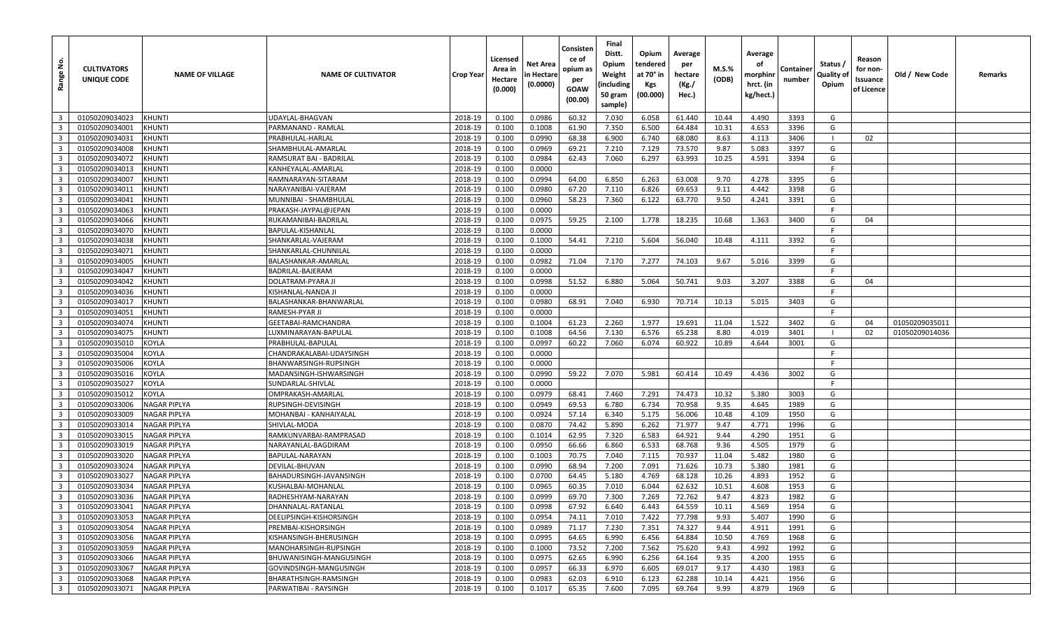| غ<br>Range              | <b>CULTIVATORS</b><br>UNIQUE CODE | <b>NAME OF VILLAGE</b> | <b>NAME OF CULTIVATOR</b> | <b>Crop Year</b> | Licensed<br>Area in<br>Hectare<br>(0.000) | Net Area<br>in Hectare<br>(0.0000) | Consisten<br>ce of<br>opium as<br>per<br>GOAW<br>(00.00) | Final<br>Distt.<br>Opium<br>Weight<br>(including<br>50 gram<br>sample) | Opium<br>tendered<br>at 70° in<br>Kgs<br>(00.000) | Average<br>per<br>hectare<br>(Kg./<br>Hec.) | M.S.%<br>(ODB) | Average<br>оf<br>morphini<br>hrct. (in<br>kg/hect.) | Container<br>number | Status /<br>Quality of<br>Opium | Reason<br>for non-<br>Issuance<br>of Licence | Old / New Code | Remarks |
|-------------------------|-----------------------------------|------------------------|---------------------------|------------------|-------------------------------------------|------------------------------------|----------------------------------------------------------|------------------------------------------------------------------------|---------------------------------------------------|---------------------------------------------|----------------|-----------------------------------------------------|---------------------|---------------------------------|----------------------------------------------|----------------|---------|
| $\overline{\mathbf{3}}$ | 01050209034023                    | <b>KHUNTI</b>          | UDAYLAL-BHAGVAN           | 2018-19          | 0.100                                     | 0.0986                             | 60.32                                                    | 7.030                                                                  | 6.058                                             | 61.440                                      | 10.44          | 4.490                                               | 3393                | G                               |                                              |                |         |
| $\overline{\mathbf{3}}$ | 01050209034001                    | KHUNTI                 | PARMANAND - RAMLAL        | 2018-19          | 0.100                                     | 0.1008                             | 61.90                                                    | 7.350                                                                  | 6.500                                             | 64.484                                      | 10.31          | 4.653                                               | 3396                | G                               |                                              |                |         |
| $\overline{\mathbf{3}}$ | 01050209034031                    | <b>KHUNTI</b>          | PRABHULAL-HARLAL          | 2018-19          | 0.100                                     | 0.0990                             | 68.38                                                    | 6.900                                                                  | 6.740                                             | 68.080                                      | 8.63           | 4.113                                               | 3406                |                                 | 02                                           |                |         |
| $\overline{\mathbf{3}}$ | 01050209034008                    | <b>KHUNTI</b>          | SHAMBHULAL-AMARLAL        | 2018-19          | 0.100                                     | 0.0969                             | 69.21                                                    | 7.210                                                                  | 7.129                                             | 73.570                                      | 9.87           | 5.083                                               | 3397                | G                               |                                              |                |         |
| $\overline{\mathbf{3}}$ | 01050209034072                    | <b>KHUNTI</b>          | RAMSURAT BAI - BADRILAL   | 2018-19          | 0.100                                     | 0.0984                             | 62.43                                                    | 7.060                                                                  | 6.297                                             | 63.993                                      | 10.25          | 4.591                                               | 3394                | G                               |                                              |                |         |
| $\overline{\mathbf{3}}$ | 01050209034013                    | <b>KHUNTI</b>          | KANHEYALAL-AMARLAL        | 2018-19          | 0.100                                     | 0.0000                             |                                                          |                                                                        |                                                   |                                             |                |                                                     |                     | F                               |                                              |                |         |
| $\overline{\mathbf{3}}$ | 01050209034007                    | <b>KHUNTI</b>          | RAMNARAYAN-SITARAM        | 2018-19          | 0.100                                     | 0.0994                             | 64.00                                                    | 6.850                                                                  | 6.263                                             | 63.008                                      | 9.70           | 4.278                                               | 3395                | G                               |                                              |                |         |
| $\overline{\mathbf{3}}$ | 01050209034011                    | <b>KHUNTI</b>          | NARAYANIBAI-VAJERAM       | 2018-19          | 0.100                                     | 0.0980                             | 67.20                                                    | 7.110                                                                  | 6.826                                             | 69.653                                      | 9.11           | 4.442                                               | 3398                | G                               |                                              |                |         |
| $\overline{\mathbf{3}}$ | 01050209034041                    | KHUNTI                 | MUNNIBAI - SHAMBHULAL     | 2018-19          | 0.100                                     | 0.0960                             | 58.23                                                    | 7.360                                                                  | 6.122                                             | 63.770                                      | 9.50           | 4.241                                               | 3391                | G                               |                                              |                |         |
| $\overline{\mathbf{3}}$ | 01050209034063                    | KHUNTI                 | PRAKASH-JAYPAL@JEPAN      | 2018-19          | 0.100                                     | 0.0000                             |                                                          |                                                                        |                                                   |                                             |                |                                                     |                     | F                               |                                              |                |         |
| $\overline{\mathbf{3}}$ | 01050209034066                    | <b>KHUNTI</b>          | RUKAMANIBAI-BADRILAL      | 2018-19          | 0.100                                     | 0.0975                             | 59.25                                                    | 2.100                                                                  | 1.778                                             | 18.235                                      | 10.68          | 1.363                                               | 3400                | G                               | 04                                           |                |         |
| $\overline{\mathbf{3}}$ | 01050209034070                    | <b>KHUNTI</b>          | BAPULAL-KISHANLAL         | 2018-19          | 0.100                                     | 0.0000                             |                                                          |                                                                        |                                                   |                                             |                |                                                     |                     |                                 |                                              |                |         |
| $\overline{\mathbf{3}}$ | 01050209034038                    | <b>KHUNTI</b>          | SHANKARLAL-VAJERAM        | 2018-19          | 0.100                                     | 0.1000                             | 54.41                                                    | 7.210                                                                  | 5.604                                             | 56.040                                      | 10.48          | 4.111                                               | 3392                | G                               |                                              |                |         |
| $\overline{\mathbf{3}}$ | 01050209034071                    | <b>KHUNTI</b>          | SHANKARLAL-CHUNNILAL      | 2018-19          | 0.100                                     | 0.0000                             |                                                          |                                                                        |                                                   |                                             |                |                                                     |                     | E                               |                                              |                |         |
| $\overline{\mathbf{3}}$ | 01050209034005                    | <b>KHUNTI</b>          | BALASHANKAR-AMARLAL       | 2018-19          | 0.100                                     | 0.0982                             | 71.04                                                    | 7.170                                                                  | 7.277                                             | 74.103                                      | 9.67           | 5.016                                               | 3399                | G                               |                                              |                |         |
| $\overline{\mathbf{3}}$ | 01050209034047                    | KHUNTI                 | BADRILAL-BAJERAM          | 2018-19          | 0.100                                     | 0.0000                             |                                                          |                                                                        |                                                   |                                             |                |                                                     |                     |                                 |                                              |                |         |
| $\overline{\mathbf{3}}$ | 01050209034042                    | <b>KHUNTI</b>          | <b>DOLATRAM-PYARA JI</b>  | 2018-19          | 0.100                                     | 0.0998                             | 51.52                                                    | 6.880                                                                  | 5.064                                             | 50.741                                      | 9.03           | 3.207                                               | 3388                | G                               | 04                                           |                |         |
| $\overline{\mathbf{3}}$ | 01050209034036                    | <b>KHUNTI</b>          | KISHANLAL-NANDA JI        | 2018-19          | 0.100                                     | 0.0000                             |                                                          |                                                                        |                                                   |                                             |                |                                                     |                     | F                               |                                              |                |         |
| $\overline{\mathbf{3}}$ | 01050209034017                    | <b>KHUNTI</b>          | BALASHANKAR-BHANWARLAL    | 2018-19          | 0.100                                     | 0.0980                             | 68.91                                                    | 7.040                                                                  | 6.930                                             | 70.714                                      | 10.13          | 5.015                                               | 3403                | G                               |                                              |                |         |
| $\overline{\mathbf{3}}$ | 01050209034051                    | <b>KHUNTI</b>          | RAMESH-PYAR JI            | 2018-19          | 0.100                                     | 0.0000                             |                                                          |                                                                        |                                                   |                                             |                |                                                     |                     |                                 |                                              |                |         |
| $\overline{\mathbf{3}}$ | 01050209034074                    | <b>KHUNTI</b>          | GEETABAI-RAMCHANDRA       | 2018-19          | 0.100                                     | 0.1004                             | 61.23                                                    | 2.260                                                                  | 1.977                                             | 19.691                                      | 11.04          | 1.522                                               | 3402                | G                               | 04                                           | 01050209035011 |         |
| $\overline{\mathbf{3}}$ | 01050209034075                    | <b>KHUNTI</b>          | LUXMINARAYAN-BAPULAI      | 2018-19          | 0.100                                     | 0.1008                             | 64.56                                                    | 7.130                                                                  | 6.576                                             | 65.238                                      | 8.80           | 4.019                                               | 3401                | $\blacksquare$                  | 02                                           | 01050209014036 |         |
| $\overline{\mathbf{3}}$ | 01050209035010                    | <b>KOYLA</b>           | PRABHULAL-BAPULAL         | 2018-19          | 0.100                                     | 0.0997                             | 60.22                                                    | 7.060                                                                  | 6.074                                             | 60.922                                      | 10.89          | 4.644                                               | 3001                | G                               |                                              |                |         |
| $\overline{\mathbf{3}}$ | 01050209035004                    | <b>KOYLA</b>           | CHANDRAKALABAI-UDAYSINGH  | 2018-19          | 0.100                                     | 0.0000                             |                                                          |                                                                        |                                                   |                                             |                |                                                     |                     | F                               |                                              |                |         |
| $\overline{\mathbf{3}}$ | 01050209035006                    | <b>KOYLA</b>           | BHANWARSINGH-RUPSINGH     | 2018-19          | 0.100                                     | 0.0000                             |                                                          |                                                                        |                                                   |                                             |                |                                                     |                     | F.                              |                                              |                |         |
| $\overline{\mathbf{3}}$ | 01050209035016                    | <b>KOYLA</b>           | MADANSINGH-ISHWARSINGH    | 2018-19          | 0.100                                     | 0.0990                             | 59.22                                                    | 7.070                                                                  | 5.981                                             | 60.414                                      | 10.49          | 4.436                                               | 3002                | G                               |                                              |                |         |
| $\overline{\mathbf{3}}$ | 01050209035027                    | <b>KOYLA</b>           | SUNDARLAL-SHIVLAL         | 2018-19          | 0.100                                     | 0.0000                             |                                                          |                                                                        |                                                   |                                             |                |                                                     |                     | F                               |                                              |                |         |
| $\overline{\mathbf{3}}$ | 01050209035012                    | <b>KOYLA</b>           | OMPRAKASH-AMARLAI         | 2018-19          | 0.100                                     | 0.0979                             | 68.41                                                    | 7.460                                                                  | 7.291                                             | 74.473                                      | 10.32          | 5.380                                               | 3003                | G                               |                                              |                |         |
| $\overline{\mathbf{3}}$ | 01050209033006                    | <b>NAGAR PIPLYA</b>    | RUPSINGH-DEVISINGH        | 2018-19          | 0.100                                     | 0.0949                             | 69.53                                                    | 6.780                                                                  | 6.734                                             | 70.958                                      | 9.35           | 4.645                                               | 1989                | G                               |                                              |                |         |
| $\overline{\mathbf{3}}$ | 01050209033009                    | <b>NAGAR PIPLYA</b>    | MOHANBAI - KANHAIYALAL    | 2018-19          | 0.100                                     | 0.0924                             | 57.14                                                    | 6.340                                                                  | 5.175                                             | 56.006                                      | 10.48          | 4.109                                               | 1950                | G                               |                                              |                |         |
| $\overline{\mathbf{3}}$ | 01050209033014                    | <b>NAGAR PIPLYA</b>    | SHIVLAL-MODA              | 2018-19          | 0.100                                     | 0.0870                             | 74.42                                                    | 5.890                                                                  | 6.262                                             | 71.977                                      | 9.47           | 4.771                                               | 1996                | G                               |                                              |                |         |
| $\overline{\mathbf{3}}$ | 01050209033015                    | <b>NAGAR PIPLYA</b>    | RAMKUNVARBAI-RAMPRASAD    | 2018-19          | 0.100                                     | 0.1014                             | 62.95                                                    | 7.320                                                                  | 6.583                                             | 64.921                                      | 9.44           | 4.290                                               | 1951                | G                               |                                              |                |         |
| $\overline{\mathbf{3}}$ | 01050209033019                    | <b>NAGAR PIPLYA</b>    | NARAYANLAL-BAGDIRAM       | 2018-19          | 0.100                                     | 0.0950                             | 66.66                                                    | 6.860                                                                  | 6.533                                             | 68.768                                      | 9.36           | 4.505                                               | 1979                | G                               |                                              |                |         |
| $\overline{\mathbf{3}}$ | 01050209033020                    | <b>NAGAR PIPLYA</b>    | BAPULAL-NARAYAN           | 2018-19          | 0.100                                     | 0.1003                             | 70.75                                                    | 7.040                                                                  | 7.115                                             | 70.937                                      | 11.04          | 5.482                                               | 1980                | G                               |                                              |                |         |
| $\overline{\mathbf{3}}$ | 01050209033024                    | <b>NAGAR PIPLYA</b>    | DEVILAL-BHUVAN            | 2018-19          | 0.100                                     | 0.0990                             | 68.94                                                    | 7.200                                                                  | 7.091                                             | 71.626                                      | 10.73          | 5.380                                               | 1981                | G                               |                                              |                |         |
| $\overline{\mathbf{3}}$ | 01050209033027                    | <b>NAGAR PIPLYA</b>    | BAHADURSINGH-JAVANSINGH   | 2018-19          | 0.100                                     | 0.0700                             | 64.45                                                    | 5.180                                                                  | 4.769                                             | 68.128                                      | 10.26          | 4.893                                               | 1952                | G                               |                                              |                |         |
| $\overline{\mathbf{3}}$ | 01050209033034                    | <b>NAGAR PIPLYA</b>    | KUSHALBAI-MOHANLAL        | 2018-19          | 0.100                                     | 0.0965                             | 60.35                                                    | 7.010                                                                  | 6.044                                             | 62.632                                      | 10.51          | 4.608                                               | 1953                | G                               |                                              |                |         |
| $\overline{\mathbf{3}}$ | 01050209033036                    | <b>NAGAR PIPLYA</b>    | RADHESHYAM-NARAYAN        | 2018-19          | 0.100                                     | 0.0999                             | 69.70                                                    | 7.300                                                                  | 7.269                                             | 72.762                                      | 9.47           | 4.823                                               | 1982                | G                               |                                              |                |         |
| $\overline{\mathbf{3}}$ | 01050209033041                    | <b>NAGAR PIPLYA</b>    | DHANNALAL-RATANLAL        | 2018-19          | 0.100                                     | 0.0998                             | 67.92                                                    | 6.640                                                                  | 6.443                                             | 64.559                                      | 10.11          | 4.569                                               | 1954                | G                               |                                              |                |         |
| $\overline{\mathbf{3}}$ | 01050209033053                    | <b>NAGAR PIPLYA</b>    | DEELIPSINGH-KISHORSINGH   | 2018-19          | 0.100                                     | 0.0954                             | 74.11                                                    | 7.010                                                                  | 7.422                                             | 77.798                                      | 9.93           | 5.407                                               | 1990                | G                               |                                              |                |         |
| $\overline{\mathbf{3}}$ | 01050209033054                    | <b>NAGAR PIPLYA</b>    | PREMBAI-KISHORSINGH       | 2018-19          | 0.100                                     | 0.0989                             | 71.17                                                    | 7.230                                                                  | 7.351                                             | 74.327                                      | 9.44           | 4.911                                               | 1991                | G                               |                                              |                |         |
| $\overline{\mathbf{3}}$ | 01050209033056                    | <b>NAGAR PIPLYA</b>    | KISHANSINGH-BHERUSINGH    | 2018-19          | 0.100                                     | 0.0995                             | 64.65                                                    | 6.990                                                                  | 6.456                                             | 64.884                                      | 10.50          | 4.769                                               | 1968                | G                               |                                              |                |         |
| $\overline{\mathbf{3}}$ | 01050209033059                    | <b>NAGAR PIPLYA</b>    | MANOHARSINGH-RUPSINGH     | 2018-19          | 0.100                                     | 0.1000                             | 73.52                                                    | 7.200                                                                  | 7.562                                             | 75.620                                      | 9.43           | 4.992                                               | 1992                | G                               |                                              |                |         |
| $\overline{\mathbf{3}}$ | 01050209033066                    | <b>NAGAR PIPLYA</b>    | BHUWANISINGH-MANGUSINGH   | 2018-19          | 0.100                                     | 0.0975                             | 62.65                                                    | 6.990                                                                  | 6.256                                             | 64.164                                      | 9.35           | 4.200                                               | 1955                | G                               |                                              |                |         |
| $\overline{\mathbf{3}}$ | 01050209033067                    | <b>NAGAR PIPLYA</b>    | GOVINDSINGH-MANGUSINGH    | 2018-19          | 0.100                                     | 0.0957                             | 66.33                                                    | 6.970                                                                  | 6.605                                             | 69.017                                      | 9.17           | 4.430                                               | 1983                | G                               |                                              |                |         |
| $\overline{\mathbf{3}}$ | 01050209033068                    | <b>NAGAR PIPLYA</b>    | BHARATHSINGH-RAMSINGH     | 2018-19          | 0.100                                     | 0.0983                             | 62.03                                                    | 6.910                                                                  | 6.123                                             | 62.288                                      | 10.14          | 4.421                                               | 1956                | G                               |                                              |                |         |
|                         | 3 01050209033071                  | <b>NAGAR PIPLYA</b>    | PARWATIBAI - RAYSINGH     | 2018-19          | 0.100                                     | 0.1017                             | 65.35                                                    | 7.600                                                                  | 7.095                                             | 69.764                                      | 9.99           | 4.879                                               | 1969                | G                               |                                              |                |         |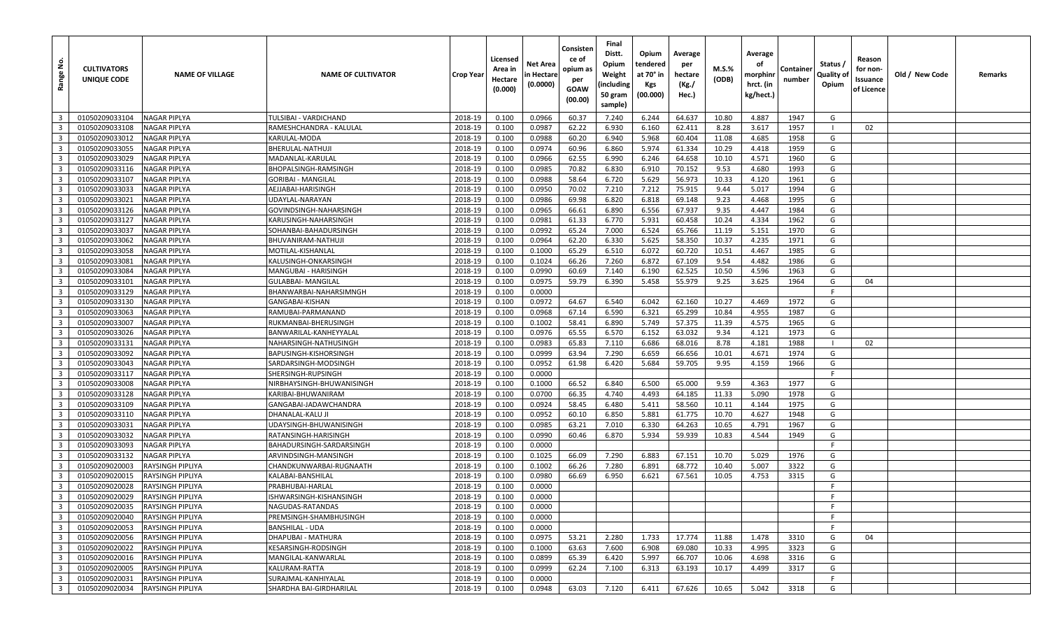| غ<br>Range                                | <b>CULTIVATORS</b><br>UNIQUE CODE | <b>NAME OF VILLAGE</b>              | <b>NAME OF CULTIVATOR</b>                        | <b>Crop Year</b>   | Licensed<br>Area in<br>Hectare<br>(0.000) | Net Area<br>in Hectare<br>(0.0000) | Consisten<br>ce of<br>opium as<br>per<br>GOAW<br>(00.00) | Final<br>Distt.<br>Opium<br>Weight<br>(including<br>50 gram<br>sample) | Opium<br>tendered<br>at 70° in<br>Kgs<br>(00.000) | Average<br>per<br>hectare<br>(Kg./<br>Hec.) | M.S.%<br>(ODB) | Average<br>οf<br>morphinr<br>hrct. (in<br>kg/hect.) | Container<br>number | Status /<br>Quality of<br>Opium | Reason<br>for non-<br>Issuance<br>of Licence | Old / New Code | Remarks |
|-------------------------------------------|-----------------------------------|-------------------------------------|--------------------------------------------------|--------------------|-------------------------------------------|------------------------------------|----------------------------------------------------------|------------------------------------------------------------------------|---------------------------------------------------|---------------------------------------------|----------------|-----------------------------------------------------|---------------------|---------------------------------|----------------------------------------------|----------------|---------|
| $\overline{\mathbf{3}}$                   | 01050209033104                    | NAGAR PIPLYA                        | TULSIBAI - VARDICHAND                            | 2018-19            | 0.100                                     | 0.0966                             | 60.37                                                    | 7.240                                                                  | 6.244                                             | 64.637                                      | 10.80          | 4.887                                               | 1947                | G                               |                                              |                |         |
| $\overline{3}$                            | 01050209033108                    | NAGAR PIPLYA                        | RAMESHCHANDRA - KALULAL                          | 2018-19            | 0.100                                     | 0.0987                             | 62.22                                                    | 6.930                                                                  | 6.160                                             | 62.411                                      | 8.28           | 3.617                                               | 1957                |                                 | 02                                           |                |         |
| $\overline{\mathbf{3}}$                   | 01050209033012                    | NAGAR PIPLYA                        | KARULAL-MODA                                     | 2018-19            | 0.100                                     | 0.0988                             | 60.20                                                    | 6.940                                                                  | 5.968                                             | 60.404                                      | 11.08          | 4.685                                               | 1958                | G                               |                                              |                |         |
| $\overline{\mathbf{3}}$                   | 01050209033055                    | NAGAR PIPLYA                        | BHERULAL-NATHUJI                                 | 2018-19            | 0.100                                     | 0.0974                             | 60.96                                                    | 6.860                                                                  | 5.974                                             | 61.334                                      | 10.29          | 4.418                                               | 1959                | G                               |                                              |                |         |
| $\overline{\mathbf{3}}$                   | 01050209033029                    | NAGAR PIPLYA                        | MADANLAL-KARULAL                                 | 2018-19            | 0.100                                     | 0.0966                             | 62.55                                                    | 6.990                                                                  | 6.246                                             | 64.658                                      | 10.10          | 4.571                                               | 1960                | G                               |                                              |                |         |
| $\overline{\mathbf{3}}$                   | 01050209033116                    | NAGAR PIPLYA                        | BHOPALSINGH-RAMSINGH                             | 2018-19            | 0.100                                     | 0.0985                             | 70.82                                                    | 6.830                                                                  | 6.910                                             | 70.152                                      | 9.53           | 4.680                                               | 1993                | G                               |                                              |                |         |
| $\overline{\mathbf{3}}$                   | 01050209033107                    | NAGAR PIPLYA                        | GORIBAI - MANGILAL                               | 2018-19            | 0.100                                     | 0.0988                             | 58.64                                                    | 6.720                                                                  | 5.629                                             | 56.973                                      | 10.33          | 4.120                                               | 1961                | G                               |                                              |                |         |
| $\overline{\mathbf{3}}$                   | 01050209033033                    | <b>NAGAR PIPLYA</b>                 | AEJJABAI-HARISINGH                               | 2018-19            | 0.100                                     | 0.0950                             | 70.02                                                    | 7.210                                                                  | 7.212                                             | 75.915                                      | 9.44           | 5.017                                               | 1994                | G                               |                                              |                |         |
| $\overline{3}$                            | 01050209033021                    | NAGAR PIPLYA                        | UDAYLAL-NARAYAN                                  | 2018-19            | 0.100                                     | 0.0986                             | 69.98                                                    | 6.820                                                                  | 6.818                                             | 69.148                                      | 9.23           | 4.468                                               | 1995                | G                               |                                              |                |         |
| $\overline{3}$                            | 01050209033126                    | NAGAR PIPLYA                        | GOVINDSINGH-NAHARSINGH                           | 2018-19            | 0.100                                     | 0.0965                             | 66.61                                                    | 6.890                                                                  | 6.556                                             | 67.937                                      | 9.35           | 4.447                                               | 1984                | G                               |                                              |                |         |
| $\overline{\mathbf{3}}$                   | 01050209033127                    | <b>NAGAR PIPLYA</b>                 | KARUSINGH-NAHARSINGH                             | 2018-19            | 0.100                                     | 0.0981                             | 61.33                                                    | 6.770                                                                  | 5.931                                             | 60.458                                      | 10.24          | 4.334                                               | 1962                | G                               |                                              |                |         |
| $\overline{3}$                            | 01050209033037                    | <b>NAGAR PIPLYA</b>                 | SOHANBAI-BAHADURSINGH                            | 2018-19            | 0.100                                     | 0.0992                             | 65.24                                                    | 7.000                                                                  | 6.524                                             | 65.766                                      | 11.19          | 5.151                                               | 1970                | G                               |                                              |                |         |
| $\overline{\mathbf{3}}$                   | 01050209033062                    | NAGAR PIPLYA                        | BHUVANIRAM-NATHUJI                               | 2018-19            | 0.100                                     | 0.0964                             | 62.20                                                    | 6.330                                                                  | 5.625                                             | 58.350                                      | 10.37          | 4.235                                               | 1971                | G                               |                                              |                |         |
| $\overline{\mathbf{3}}$                   | 01050209033058                    | NAGAR PIPLYA                        | MOTILAL-KISHANLAL                                | 2018-19            | 0.100                                     | 0.1000                             | 65.29                                                    | 6.510                                                                  | 6.072                                             | 60.720                                      | 10.51          | 4.467                                               | 1985                | G                               |                                              |                |         |
| $\overline{\mathbf{3}}$                   | 01050209033081                    | <b>NAGAR PIPLYA</b>                 | KALUSINGH-ONKARSINGH                             | 2018-19            | 0.100                                     | 0.1024                             | 66.26                                                    | 7.260                                                                  | 6.872                                             | 67.109                                      | 9.54           | 4.482                                               | 1986                | G                               |                                              |                |         |
| $\overline{\mathbf{3}}$                   | 01050209033084                    | NAGAR PIPLYA                        | MANGUBAI - HARISINGH                             | 2018-19            | 0.100                                     | 0.0990                             | 60.69                                                    | 7.140                                                                  | 6.190                                             | 62.525                                      | 10.50          | 4.596                                               | 1963                | G                               |                                              |                |         |
| $\overline{\mathbf{3}}$                   | 01050209033101                    | NAGAR PIPLYA                        | <b>GULABBAI- MANGILAL</b>                        | 2018-19            | 0.100                                     | 0.0975                             | 59.79                                                    | 6.390                                                                  | 5.458                                             | 55.979                                      | 9.25           | 3.625                                               | 1964                | G                               | 04                                           |                |         |
| $\overline{\mathbf{3}}$                   | 01050209033129                    | NAGAR PIPLYA                        | BHANWARBAI-NAHARSIMNGH                           | 2018-19            | 0.100                                     | 0.0000                             |                                                          |                                                                        |                                                   |                                             |                |                                                     |                     | -F                              |                                              |                |         |
| $\overline{3}$                            | 01050209033130                    | NAGAR PIPLYA                        | GANGABAI-KISHAN                                  | 2018-19            | 0.100                                     | 0.0972                             | 64.67                                                    | 6.540                                                                  | 6.042                                             | 62.160                                      | 10.27          | 4.469                                               | 1972                | G                               |                                              |                |         |
| $\overline{3}$                            | 01050209033063                    | NAGAR PIPLYA                        | RAMUBAI-PARMANAND                                | 2018-19            | 0.100                                     | 0.0968                             | 67.14                                                    | 6.590                                                                  | 6.321                                             | 65.299                                      | 10.84          | 4.955                                               | 1987                | G                               |                                              |                |         |
| $\overline{3}$                            | 01050209033007                    | NAGAR PIPLYA                        | RUKMANBAI-BHERUSINGH                             | 2018-19            | 0.100                                     | 0.1002                             | 58.41                                                    | 6.890                                                                  | 5.749                                             | 57.375                                      | 11.39          | 4.575                                               | 1965                | G                               |                                              |                |         |
| $\overline{\mathbf{3}}$                   | 01050209033026                    | <b>NAGAR PIPLYA</b>                 | BANWARILAL-KANHEYYALAI                           | 2018-19            | 0.100                                     | 0.0976                             | 65.55                                                    | 6.570                                                                  | 6.152                                             | 63.032                                      | 9.34           | 4.121                                               | 1973                | G                               |                                              |                |         |
| $\overline{3}$                            | 01050209033131                    | NAGAR PIPLYA                        | NAHARSINGH-NATHUSINGH                            | 2018-19            | 0.100                                     | 0.0983                             | 65.83                                                    | 7.110                                                                  | 6.686                                             | 68.016                                      | 8.78           | 4.181                                               | 1988                |                                 | 02                                           |                |         |
| $\overline{\mathbf{3}}$                   | 01050209033092                    | NAGAR PIPLYA                        | BAPUSINGH-KISHORSINGH                            | 2018-19            | 0.100                                     | 0.0999                             | 63.94                                                    | 7.290                                                                  | 6.659                                             | 66.656                                      | 10.01          | 4.671                                               | 1974                | G                               |                                              |                |         |
| $\overline{\mathbf{3}}$                   | 01050209033043                    | NAGAR PIPLYA                        | SARDARSINGH-MODSINGH                             | 2018-19            | 0.100                                     | 0.0952                             | 61.98                                                    | 6.420                                                                  | 5.684                                             | 59.705                                      | 9.95           | 4.159                                               | 1966                | G                               |                                              |                |         |
| $\overline{3}$                            | 01050209033117                    | NAGAR PIPLYA                        | SHERSINGH-RUPSINGH                               | 2018-19            | 0.100                                     | 0.0000                             |                                                          |                                                                        |                                                   |                                             |                |                                                     |                     | E                               |                                              |                |         |
| $\overline{\mathbf{3}}$                   | 01050209033008                    | NAGAR PIPLYA                        | NIRBHAYSINGH-BHUWANISINGH                        | 2018-19            | 0.100                                     | 0.1000                             | 66.52                                                    | 6.840                                                                  | 6.500                                             | 65.000                                      | 9.59           | 4.363                                               | 1977                | G                               |                                              |                |         |
| $\overline{3}$                            | 01050209033128                    | NAGAR PIPLYA                        | KARIBAI-BHUWANIRAM                               | 2018-19            | 0.100                                     | 0.0700                             | 66.35                                                    | 4.740                                                                  | 4.493                                             | 64.185                                      | 11.33          | 5.090                                               | 1978                | G                               |                                              |                |         |
| $\overline{\mathbf{3}}$                   | 01050209033109                    | NAGAR PIPLYA                        | GANGABAI-JADAWCHANDRA                            | 2018-19            | 0.100                                     | 0.0924                             | 58.45                                                    | 6.480                                                                  | 5.411                                             | 58.560                                      | 10.11          | 4.144                                               | 1975                | G                               |                                              |                |         |
| $\overline{3}$<br>$\overline{\mathbf{3}}$ | 01050209033110                    | NAGAR PIPLYA                        | DHANALAL-KALU JI                                 | 2018-19<br>2018-19 | 0.100                                     | 0.0952                             | 60.10                                                    | 6.850                                                                  | 5.881                                             | 61.775<br>64.263                            | 10.70<br>10.65 | 4.627                                               | 1948<br>1967        | G<br>G                          |                                              |                |         |
| $\overline{\mathbf{3}}$                   | 01050209033031<br>01050209033032  | <b>NAGAR PIPLYA</b>                 | UDAYSINGH-BHUWANISINGH                           | 2018-19            | 0.100<br>0.100                            | 0.0985<br>0.0990                   | 63.21<br>60.46                                           | 7.010<br>6.870                                                         | 6.330<br>5.934                                    | 59.939                                      | 10.83          | 4.791<br>4.544                                      | 1949                | G                               |                                              |                |         |
| $\overline{\mathbf{3}}$                   | 01050209033093                    | NAGAR PIPLYA<br><b>NAGAR PIPLYA</b> | RATANSINGH-HARISINGH<br>BAHADURSINGH-SARDARSINGH | 2018-19            | 0.100                                     | 0.0000                             |                                                          |                                                                        |                                                   |                                             |                |                                                     |                     | F.                              |                                              |                |         |
| $\overline{3}$                            | 01050209033132                    | NAGAR PIPLYA                        | ARVINDSINGH-MANSINGH                             | 2018-19            | 0.100                                     | 0.1025                             | 66.09                                                    | 7.290                                                                  | 6.883                                             | 67.151                                      | 10.70          | 5.029                                               | 1976                | G                               |                                              |                |         |
| $\overline{3}$                            | 01050209020003                    | RAYSINGH PIPLIYA                    | CHANDKUNWARBAI-RUGNAATH                          | 2018-19            | 0.100                                     | 0.1002                             | 66.26                                                    | 7.280                                                                  | 6.891                                             | 68.772                                      | 10.40          | 5.007                                               | 3322                | G                               |                                              |                |         |
| $\overline{\mathbf{3}}$                   | 01050209020015                    | RAYSINGH PIPLIYA                    | KALABAI-BANSHILAL                                | 2018-19            | 0.100                                     | 0.0980                             | 66.69                                                    | 6.950                                                                  | 6.621                                             | 67.561                                      | 10.05          | 4.753                                               | 3315                | G                               |                                              |                |         |
| $\overline{\mathbf{3}}$                   | 01050209020028                    | RAYSINGH PIPLIYA                    | PRABHUBAI-HARLAL                                 | 2018-19            | 0.100                                     | 0.0000                             |                                                          |                                                                        |                                                   |                                             |                |                                                     |                     | F                               |                                              |                |         |
| $\overline{\mathbf{3}}$                   | 01050209020029                    | RAYSINGH PIPLIYA                    | ISHWARSINGH-KISHANSINGH                          | 2018-19            | 0.100                                     | 0.0000                             |                                                          |                                                                        |                                                   |                                             |                |                                                     |                     | F                               |                                              |                |         |
| 3 <sup>1</sup>                            | 01050209020035                    | <b>RAYSINGH PIPLIYA</b>             | NAGUDAS-RATANDAS                                 | 2018-19            | 0.100                                     | 0.0000                             |                                                          |                                                                        |                                                   |                                             |                |                                                     |                     | -F.                             |                                              |                |         |
| $\overline{\mathbf{3}}$                   | 01050209020040                    | <b>RAYSINGH PIPLIYA</b>             | PREMSINGH-SHAMBHUSINGH                           | 2018-19            | 0.100                                     | 0.0000                             |                                                          |                                                                        |                                                   |                                             |                |                                                     |                     | F.                              |                                              |                |         |
| $\overline{\mathbf{3}}$                   | 01050209020053                    | RAYSINGH PIPLIYA                    | BANSHILAL - UDA                                  | 2018-19            | 0.100                                     | 0.0000                             |                                                          |                                                                        |                                                   |                                             |                |                                                     |                     |                                 |                                              |                |         |
| $\overline{\mathbf{3}}$                   | 01050209020056                    | <b>RAYSINGH PIPLIYA</b>             | DHAPUBAI - MATHURA                               | 2018-19            | 0.100                                     | 0.0975                             | 53.21                                                    | 2.280                                                                  | 1.733                                             | 17.774                                      | 11.88          | 1.478                                               | 3310                | G                               | 04                                           |                |         |
| $\overline{\mathbf{3}}$                   | 01050209020022                    | <b>RAYSINGH PIPLIYA</b>             | KESARSINGH-RODSINGH                              | 2018-19            | 0.100                                     | 0.1000                             | 63.63                                                    | 7.600                                                                  | 6.908                                             | 69.080                                      | 10.33          | 4.995                                               | 3323                | G                               |                                              |                |         |
| $\overline{\mathbf{3}}$                   | 01050209020016                    | RAYSINGH PIPLIYA                    | MANGILAL-KANWARLAL                               | 2018-19            | 0.100                                     | 0.0899                             | 65.39                                                    | 6.420                                                                  | 5.997                                             | 66.707                                      | 10.06          | 4.698                                               | 3316                | G                               |                                              |                |         |
| $\overline{\mathbf{3}}$                   | 01050209020005                    | RAYSINGH PIPLIYA                    | KALURAM-RATTA                                    | 2018-19            | 0.100                                     | 0.0999                             | 62.24                                                    | 7.100                                                                  | 6.313                                             | 63.193                                      | 10.17          | 4.499                                               | 3317                | G                               |                                              |                |         |
| $\overline{\mathbf{3}}$                   | 01050209020031                    | RAYSINGH PIPLIYA                    | SURAJMAL-KANHIYALAL                              | 2018-19            | 0.100                                     | 0.0000                             |                                                          |                                                                        |                                                   |                                             |                |                                                     |                     | -F                              |                                              |                |         |
| $\overline{3}$                            | 01050209020034                    | <b>RAYSINGH PIPLIYA</b>             | SHARDHA BAI-GIRDHARILAL                          | 2018-19            | 0.100                                     | 0.0948                             | 63.03                                                    | 7.120                                                                  | 6.411                                             | 67.626                                      | 10.65          | 5.042                                               | 3318                | G                               |                                              |                |         |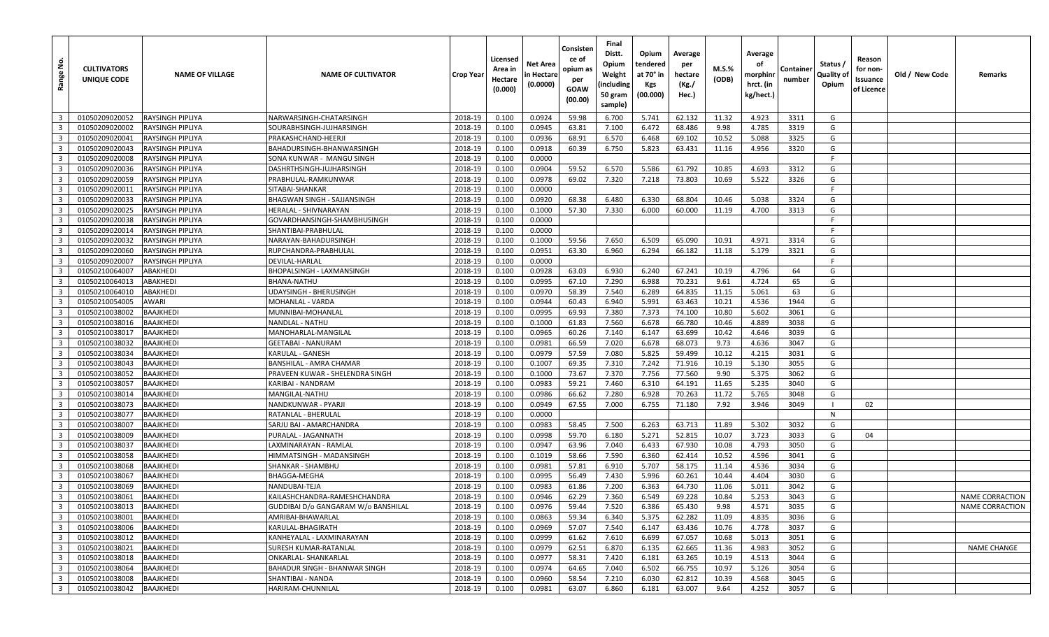| <u>ទំ</u><br>Range      | <b>CULTIVATORS</b><br>UNIQUE CODE | <b>NAME OF VILLAGE</b>  | <b>NAME OF CULTIVATOR</b>           | <b>Crop Year</b> | Licensed<br>Area in<br>Hectare<br>(0.000) | Net Area<br>in Hectare<br>(0.0000) | Consisten<br>ce of<br>opium as<br>per<br>GOAW<br>(00.00) | Final<br>Distt.<br>Opium<br>Weight<br>(including<br>50 gram<br>sample) | Opium<br>tendered<br>at 70° in<br>Kgs<br>(00.000) | Average<br>per<br>hectare<br>(Kg./<br>Hec.) | M.S.%<br>(ODB) | Average<br>οf<br>morphinr<br>hrct. (in<br>kg/hect.) | Container<br>number | Status /<br>Quality of<br>Opium | Reason<br>for non-<br>Issuance<br>of Licence | Old / New Code | Remarks         |
|-------------------------|-----------------------------------|-------------------------|-------------------------------------|------------------|-------------------------------------------|------------------------------------|----------------------------------------------------------|------------------------------------------------------------------------|---------------------------------------------------|---------------------------------------------|----------------|-----------------------------------------------------|---------------------|---------------------------------|----------------------------------------------|----------------|-----------------|
| $\overline{\mathbf{3}}$ | 01050209020052                    | <b>RAYSINGH PIPLIYA</b> | NARWARSINGH-CHATARSINGH             | 2018-19          | 0.100                                     | 0.0924                             | 59.98                                                    | 6.700                                                                  | 5.741                                             | 62.132                                      | 11.32          | 4.923                                               | 3311                | G                               |                                              |                |                 |
| $\overline{\mathbf{3}}$ | 01050209020002                    | RAYSINGH PIPLIYA        | SOURABHSINGH-JUJHARSINGH            | 2018-19          | 0.100                                     | 0.0945                             | 63.81                                                    | 7.100                                                                  | 6.472                                             | 68.486                                      | 9.98           | 4.785                                               | 3319                | G                               |                                              |                |                 |
| $\overline{\mathbf{3}}$ | 01050209020041                    | <b>RAYSINGH PIPLIYA</b> | PRAKASHCHAND-HEERJ                  | 2018-19          | 0.100                                     | 0.0936                             | 68.91                                                    | 6.570                                                                  | 6.468                                             | 69.102                                      | 10.52          | 5.088                                               | 3325                | G                               |                                              |                |                 |
| $\overline{\mathbf{3}}$ | 01050209020043                    | RAYSINGH PIPLIYA        | BAHADURSINGH-BHANWARSINGH           | 2018-19          | 0.100                                     | 0.0918                             | 60.39                                                    | 6.750                                                                  | 5.823                                             | 63.431                                      | 11.16          | 4.956                                               | 3320                | G                               |                                              |                |                 |
| $\overline{\mathbf{3}}$ | 01050209020008                    | <b>RAYSINGH PIPLIYA</b> | SONA KUNWAR - MANGU SINGH           | 2018-19          | 0.100                                     | 0.0000                             |                                                          |                                                                        |                                                   |                                             |                |                                                     |                     | F                               |                                              |                |                 |
| $\overline{3}$          | 01050209020036                    | RAYSINGH PIPLIYA        | DASHRTHSINGH-JUJHARSINGH            | 2018-19          | 0.100                                     | 0.0904                             | 59.52                                                    | 6.570                                                                  | 5.586                                             | 61.792                                      | 10.85          | 4.693                                               | 3312                | G                               |                                              |                |                 |
| $\overline{3}$          | 01050209020059                    | RAYSINGH PIPLIYA        | PRABHULAL-RAMKUNWAR                 | 2018-19          | 0.100                                     | 0.0978                             | 69.02                                                    | 7.320                                                                  | 7.218                                             | 73.803                                      | 10.69          | 5.522                                               | 3326                | G                               |                                              |                |                 |
| $\overline{\mathbf{3}}$ | 01050209020011                    | <b>RAYSINGH PIPLIYA</b> | SITABAI-SHANKAR                     | 2018-19          | 0.100                                     | 0.0000                             |                                                          |                                                                        |                                                   |                                             |                |                                                     |                     | E                               |                                              |                |                 |
| $\overline{3}$          | 01050209020033                    | RAYSINGH PIPLIYA        | BHAGWAN SINGH - SAJJANSINGH         | 2018-19          | 0.100                                     | 0.0920                             | 68.38                                                    | 6.480                                                                  | 6.330                                             | 68.804                                      | 10.46          | 5.038                                               | 3324                | G                               |                                              |                |                 |
| $\overline{3}$          | 01050209020025                    | RAYSINGH PIPLIYA        | HERALAL - SHIVNARAYAN               | 2018-19          | 0.100                                     | 0.1000                             | 57.30                                                    | 7.330                                                                  | 6.000                                             | 60.000                                      | 11.19          | 4.700                                               | 3313                | G                               |                                              |                |                 |
| $\overline{\mathbf{3}}$ | 01050209020038                    | RAYSINGH PIPLIYA        | GOVARDHANSINGH-SHAMBHUSINGH         | 2018-19          | 0.100                                     | 0.0000                             |                                                          |                                                                        |                                                   |                                             |                |                                                     |                     | -F                              |                                              |                |                 |
| $\overline{3}$          | 01050209020014                    | <b>RAYSINGH PIPLIYA</b> | SHANTIBAI-PRABHULAL                 | 2018-19          | 0.100                                     | 0.0000                             |                                                          |                                                                        |                                                   |                                             |                |                                                     |                     | F                               |                                              |                |                 |
| $\overline{\mathbf{3}}$ | 01050209020032                    | RAYSINGH PIPLIYA        | NARAYAN-BAHADURSINGH                | 2018-19          | 0.100                                     | 0.1000                             | 59.56                                                    | 7.650                                                                  | 6.509                                             | 65.090                                      | 10.91          | 4.971                                               | 3314                | G                               |                                              |                |                 |
| $\overline{3}$          | 01050209020060                    | <b>RAYSINGH PIPLIYA</b> | RUPCHANDRA-PRABHULAL                | 2018-19          | 0.100                                     | 0.0951                             | 63.30                                                    | 6.960                                                                  | 6.294                                             | 66.182                                      | 11.18          | 5.179                                               | 3321                | G                               |                                              |                |                 |
| $\overline{3}$          | 01050209020007                    | RAYSINGH PIPLIYA        | DEVILAL-HARLAL                      | 2018-19          | 0.100                                     | 0.0000                             |                                                          |                                                                        |                                                   |                                             |                |                                                     |                     | -F                              |                                              |                |                 |
| $\overline{\mathbf{3}}$ | 01050210064007                    | ABAKHEDI                | BHOPALSINGH - LAXMANSINGH           | 2018-19          | 0.100                                     | 0.0928                             | 63.03                                                    | 6.930                                                                  | 6.240                                             | 67.241                                      | 10.19          | 4.796                                               | 64                  | G                               |                                              |                |                 |
| $\overline{\mathbf{3}}$ | 01050210064013                    | ABAKHEDI                | BHANA-NATHU                         | 2018-19          | 0.100                                     | 0.0995                             | 67.10                                                    | 7.290                                                                  | 6.988                                             | 70.231                                      | 9.61           | 4.724                                               | 65                  | G                               |                                              |                |                 |
| $\overline{\mathbf{3}}$ | 01050210064010                    | ABAKHEDI                | UDAYSINGH - BHERUSINGH              | 2018-19          | 0.100                                     | 0.0970                             | 58.39                                                    | 7.540                                                                  | 6.289                                             | 64.835                                      | 11.15          | 5.061                                               | 63                  | G                               |                                              |                |                 |
| $\overline{3}$          | 01050210054005                    | AWARI                   | MOHANLAL - VARDA                    | 2018-19          | 0.100                                     | 0.0944                             | 60.43                                                    | 6.940                                                                  | 5.991                                             | 63.463                                      | 10.21          | 4.536                                               | 1944                | G                               |                                              |                |                 |
| $\overline{\mathbf{3}}$ | 01050210038002                    | BAAJKHEDI               | MUNNIBAI-MOHANLAL                   | 2018-19          | 0.100                                     | 0.0995                             | 69.93                                                    | 7.380                                                                  | 7.373                                             | 74.100                                      | 10.80          | 5.602                                               | 3061                | G                               |                                              |                |                 |
| $\overline{3}$          | 01050210038016                    | BAAJKHEDI               | NANDLAL - NATHU                     | 2018-19          | 0.100                                     | 0.1000                             | 61.83                                                    | 7.560                                                                  | 6.678                                             | 66.780                                      | 10.46          | 4.889                                               | 3038                | G                               |                                              |                |                 |
| $\overline{\mathbf{3}}$ | 01050210038017                    | <b>BAAJKHEDI</b>        | MANOHARLAL-MANGILAL                 | 2018-19          | 0.100                                     | 0.0965                             | 60.26                                                    | 7.140                                                                  | 6.147                                             | 63.699                                      | 10.42          | 4.646                                               | 3039                | G                               |                                              |                |                 |
| $\overline{3}$          | 01050210038032                    | BAAJKHEDI               | <b>GEETABAI - NANURAM</b>           | 2018-19          | 0.100                                     | 0.0981                             | 66.59                                                    | 7.020                                                                  | 6.678                                             | 68.073                                      | 9.73           | 4.636                                               | 3047                | G                               |                                              |                |                 |
| $\overline{3}$          | 01050210038034                    | BAAJKHEDI               | KARULAL - GANESH                    | 2018-19          | 0.100                                     | 0.0979                             | 57.59                                                    | 7.080                                                                  | 5.825                                             | 59.499                                      | 10.12          | 4.215                                               | 3031                | G                               |                                              |                |                 |
| $\overline{\mathbf{3}}$ | 01050210038043                    | BAAJKHEDI               | BANSHILAL - AMRA CHAMAR             | 2018-19          | 0.100                                     | 0.1007                             | 69.35                                                    | 7.310                                                                  | 7.242                                             | 71.916                                      | 10.19          | 5.130                                               | 3055                | G                               |                                              |                |                 |
| $\overline{3}$          | 01050210038052                    | <b>BAAJKHEDI</b>        | PRAVEEN KUWAR - SHELENDRA SINGH     | 2018-19          | 0.100                                     | 0.1000                             | 73.67                                                    | 7.370                                                                  | 7.756                                             | 77.560                                      | 9.90           | 5.375                                               | 3062                | G                               |                                              |                |                 |
| $\overline{\mathbf{3}}$ | 01050210038057                    | BAAJKHEDI               | KARIBAI - NANDRAM                   | 2018-19          | 0.100                                     | 0.0983                             | 59.21                                                    | 7.460                                                                  | 6.310                                             | 64.191                                      | 11.65          | 5.235                                               | 3040                | G                               |                                              |                |                 |
| $\overline{3}$          | 01050210038014                    | <b>BAAJKHEDI</b>        | MANGILAL-NATHU                      | 2018-19          | 0.100                                     | 0.0986                             | 66.62                                                    | 7.280                                                                  | 6.928                                             | 70.263                                      | 11.72          | 5.765                                               | 3048                | G                               |                                              |                |                 |
| $\overline{\mathbf{3}}$ | 01050210038073                    | BAAJKHEDI               | NANDKUNWAR - PYARJI                 | 2018-19          | 0.100                                     | 0.0949                             | 67.55                                                    | 7.000                                                                  | 6.755                                             | 71.180                                      | 7.92           | 3.946                                               | 3049                | - 1                             | 02                                           |                |                 |
| $\overline{\mathbf{3}}$ | 01050210038077                    | BAAJKHEDI               | RATANLAL - BHERULAL                 | 2018-19          | 0.100                                     | 0.0000                             |                                                          |                                                                        |                                                   |                                             |                |                                                     |                     | $\mathsf{N}$                    |                                              |                |                 |
| $\overline{\mathbf{3}}$ | 01050210038007                    | BAAJKHEDI               | SARJU BAI - AMARCHANDRA             | 2018-19          | 0.100                                     | 0.0983                             | 58.45                                                    | 7.500                                                                  | 6.263                                             | 63.713                                      | 11.89          | 5.302                                               | 3032                | G                               |                                              |                |                 |
| $\overline{3}$          | 01050210038009                    | BAAJKHEDI               | PURALAL - JAGANNATH                 | 2018-19          | 0.100                                     | 0.0998                             | 59.70                                                    | 6.180                                                                  | 5.271                                             | 52.815                                      | 10.07          | 3.723                                               | 3033                | G                               | 04                                           |                |                 |
| $\overline{\mathbf{3}}$ | 01050210038037                    | BAAJKHEDI               | LAXMINARAYAN - RAMLAI               | 2018-19          | 0.100                                     | 0.0947                             | 63.96                                                    | 7.040                                                                  | 6.433                                             | 67.930                                      | 10.08          | 4.793                                               | 3050                | G                               |                                              |                |                 |
| $\overline{3}$          | 01050210038058                    | BAAJKHEDI               | HIMMATSINGH - MADANSINGH            | 2018-19          | 0.100                                     | 0.1019                             | 58.66                                                    | 7.590                                                                  | 6.360                                             | 62.414                                      | 10.52          | 4.596                                               | 3041                | G                               |                                              |                |                 |
| $\overline{\mathbf{3}}$ | 01050210038068                    | BAAJKHEDI               | SHANKAR - SHAMBHU                   | 2018-19          | 0.100                                     | 0.0981                             | 57.81                                                    | 6.910                                                                  | 5.707                                             | 58.175                                      | 11.14          | 4.536                                               | 3034                | G                               |                                              |                |                 |
| $\overline{\mathbf{3}}$ | 01050210038067                    | BAAJKHEDI               | BHAGGA-MEGHA                        | 2018-19          | 0.100                                     | 0.0995                             | 56.49                                                    | 7.430                                                                  | 5.996                                             | 60.261                                      | 10.44          | 4.404                                               | 3030                | G                               |                                              |                |                 |
| $\overline{\mathbf{3}}$ | 01050210038069                    | BAAJKHEDI               | NANDUBAI-TEJA                       | 2018-19          | 0.100                                     | 0.0983                             | 61.86                                                    | 7.200                                                                  | 6.363                                             | 64.730                                      | 11.06          | 5.011                                               | 3042                | G                               |                                              |                |                 |
| $\overline{\mathbf{3}}$ | 01050210038061                    | BAAJKHEDI               | KAILASHCHANDRA-RAMESHCHANDRA        | 2018-19          | 0.100                                     | 0.0946                             | 62.29                                                    | 7.360                                                                  | 6.549                                             | 69.228                                      | 10.84          | 5.253                                               | 3043                | G                               |                                              |                | NAME CORRACTION |
| 3 <sup>1</sup>          | 01050210038013                    | <b>BAAJKHEDI</b>        | GUDDIBAI D/o GANGARAM W/o BANSHILAL | 2018-19          | 0.100                                     | 0.0976                             | 59.44                                                    | 7.520                                                                  | 6.386                                             | 65.430                                      | 9.98           | 4.571                                               | 3035                | G                               |                                              |                | NAME CORRACTION |
| $\overline{3}$          | 01050210038001                    | <b>BAAJKHEDI</b>        | AMRIBAI-BHAWARLAL                   | 2018-19          | 0.100                                     | 0.0863                             | 59.34                                                    | 6.340                                                                  | 5.375                                             | 62.282                                      | 11.09          | 4.835                                               | 3036                | G                               |                                              |                |                 |
| $\overline{\mathbf{3}}$ | 01050210038006                    | BAAJKHEDI               | KARULAL-BHAGIRATH                   | 2018-19          | 0.100                                     | 0.0969                             | 57.07                                                    | 7.540                                                                  | 6.147                                             | 63.436                                      | 10.76          | 4.778                                               | 3037                | G                               |                                              |                |                 |
| $\overline{\mathbf{3}}$ | 01050210038012                    | <b>BAAJKHEDI</b>        | KANHEYALAL - LAXMINARAYAN           | 2018-19          | 0.100                                     | 0.0999                             | 61.62                                                    | 7.610                                                                  | 6.699                                             | 67.057                                      | 10.68          | 5.013                                               | 3051                | G                               |                                              |                |                 |
| $\overline{\mathbf{3}}$ | 01050210038021                    | BAAJKHEDI               | SURESH KUMAR-RATANLAL               | 2018-19          | 0.100                                     | 0.0979                             | 62.51                                                    | 6.870                                                                  | 6.135                                             | 62.665                                      | 11.36          | 4.983                                               | 3052                | G                               |                                              |                | NAME CHANGE     |
| $\overline{3}$          | 01050210038018                    | <b>BAAJKHEDI</b>        | ONKARLAL- SHANKARLAL                | 2018-19          | 0.100                                     | 0.0977                             | 58.31                                                    | 7.420                                                                  | 6.181                                             | 63.265                                      | 10.19          | 4.513                                               | 3044                | G                               |                                              |                |                 |
| $\overline{\mathbf{3}}$ | 01050210038064                    | BAAJKHEDI               | BAHADUR SINGH - BHANWAR SINGH       | 2018-19          | 0.100                                     | 0.0974                             | 64.65                                                    | 7.040                                                                  | 6.502                                             | 66.755                                      | 10.97          | 5.126                                               | 3054                | G                               |                                              |                |                 |
| $\overline{\mathbf{3}}$ | 01050210038008                    | <b>BAAJKHEDI</b>        | SHANTIBAI - NANDA                   | 2018-19          | 0.100                                     | 0.0960                             | 58.54                                                    | 7.210                                                                  | 6.030                                             | 62.812                                      | 10.39          | 4.568                                               | 3045                | G                               |                                              |                |                 |
| $\overline{\mathbf{3}}$ | 01050210038042                    | BAAJKHEDI               | HARIRAM-CHUNNILAL                   | 2018-19          | 0.100                                     | 0.0981                             | 63.07                                                    | 6.860                                                                  | 6.181                                             | 63.007                                      | 9.64           | 4.252                                               | 3057                | G                               |                                              |                |                 |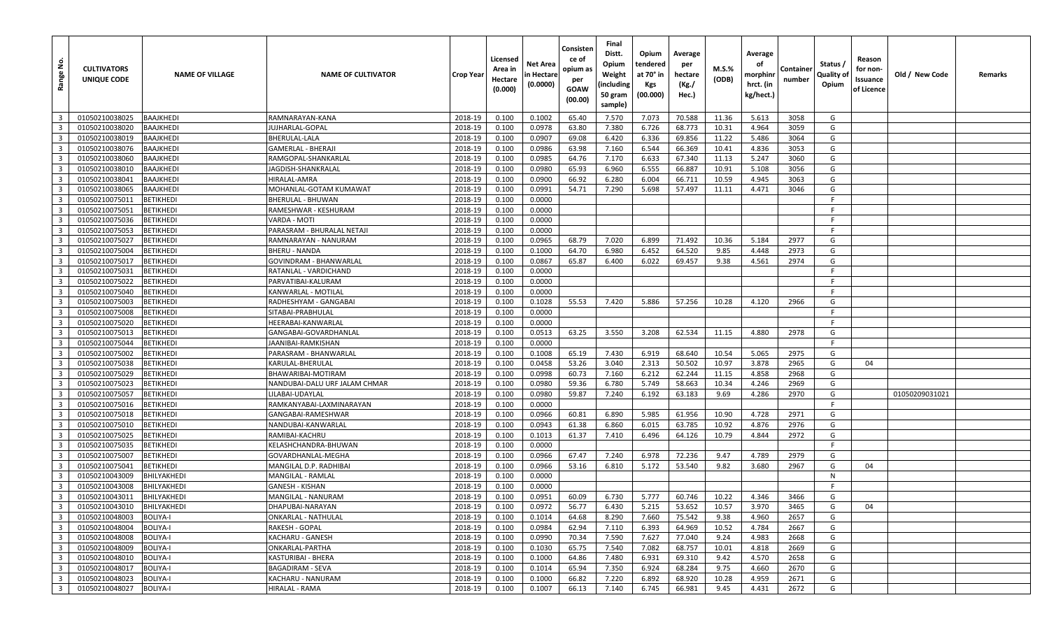| <u>ទំ</u><br>Range                        | <b>CULTIVATORS</b><br>UNIQUE CODE | <b>NAME OF VILLAGE</b> | <b>NAME OF CULTIVATOR</b>                   | <b>Crop Year</b>   | Licensed<br>Area in<br>Hectare<br>(0.000) | Net Area<br>in Hectare<br>(0.0000) | Consisten<br>ce of<br>opium as<br>per<br>GOAW<br>(00.00) | Final<br>Distt.<br>Opium<br>Weight<br>(including<br>50 gram<br>sample) | Opium<br>tendered<br>at 70° in<br>Kgs<br>(00.000) | Average<br>per<br>hectare<br>(Kg./<br>Hec.) | M.S.%<br>(ODB) | Average<br>οf<br>morphinr<br>hrct. (in<br>kg/hect.) | Container<br>number | Status /<br>Quality of<br>Opium | Reason<br>for non-<br>Issuance<br>of Licence | Old / New Code | Remarks |
|-------------------------------------------|-----------------------------------|------------------------|---------------------------------------------|--------------------|-------------------------------------------|------------------------------------|----------------------------------------------------------|------------------------------------------------------------------------|---------------------------------------------------|---------------------------------------------|----------------|-----------------------------------------------------|---------------------|---------------------------------|----------------------------------------------|----------------|---------|
| $\overline{\mathbf{3}}$                   | 01050210038025                    | BAAJKHEDI              | RAMNARAYAN-KANA                             | 2018-19            | 0.100                                     | 0.1002                             | 65.40                                                    | 7.570                                                                  | 7.073                                             | 70.588                                      | 11.36          | 5.613                                               | 3058                | G                               |                                              |                |         |
| $\overline{3}$                            | 01050210038020                    | BAAJKHEDI              | UJHARLAL-GOPAL                              | 2018-19            | 0.100                                     | 0.0978                             | 63.80                                                    | 7.380                                                                  | 6.726                                             | 68.773                                      | 10.31          | 4.964                                               | 3059                | G                               |                                              |                |         |
| $\overline{\mathbf{3}}$                   | 01050210038019                    | <b>BAAJKHEDI</b>       | BHERULAL-LALA                               | 2018-19            | 0.100                                     | 0.0907                             | 69.08                                                    | 6.420                                                                  | 6.336                                             | 69.856                                      | 11.22          | 5.486                                               | 3064                | G                               |                                              |                |         |
| $\overline{\mathbf{3}}$                   | 01050210038076                    | BAAJKHEDI              | GAMERLAL - BHERAJI                          | 2018-19            | 0.100                                     | 0.0986                             | 63.98                                                    | 7.160                                                                  | 6.544                                             | 66.369                                      | 10.41          | 4.836                                               | 3053                | G                               |                                              |                |         |
| $\overline{\mathbf{3}}$                   | 01050210038060                    | <b>BAAJKHEDI</b>       | RAMGOPAL-SHANKARLAL                         | 2018-19            | 0.100                                     | 0.0985                             | 64.76                                                    | 7.170                                                                  | 6.633                                             | 67.340                                      | 11.13          | 5.247                                               | 3060                | G                               |                                              |                |         |
| $\overline{\mathbf{3}}$                   | 01050210038010                    | BAAJKHEDI              | JAGDISH-SHANKRALAL                          | 2018-19            | 0.100                                     | 0.0980                             | 65.93                                                    | 6.960                                                                  | 6.555                                             | 66.887                                      | 10.91          | 5.108                                               | 3056                | G                               |                                              |                |         |
| $\overline{3}$                            | 01050210038041                    | BAAJKHEDI              | HIRALAL-AMRA                                | 2018-19            | 0.100                                     | 0.0900                             | 66.92                                                    | 6.280                                                                  | 6.004                                             | 66.711                                      | 10.59          | 4.945                                               | 3063                | G                               |                                              |                |         |
| $\overline{\mathbf{3}}$                   | 01050210038065                    | <b>BAAJKHEDI</b>       | MOHANLAL-GOTAM KUMAWAT                      | 2018-19            | 0.100                                     | 0.0991                             | 54.71                                                    | 7.290                                                                  | 5.698                                             | 57.497                                      | 11.11          | 4.471                                               | 3046                | G                               |                                              |                |         |
| $\overline{3}$                            | 01050210075011                    | BETIKHEDI              | BHERULAL - BHUWAN                           | 2018-19            | 0.100                                     | 0.0000                             |                                                          |                                                                        |                                                   |                                             |                |                                                     |                     | F                               |                                              |                |         |
| $\overline{3}$                            | 01050210075051                    | BETIKHEDI              | RAMESHWAR - KESHURAM                        | 2018-19            | 0.100                                     | 0.0000                             |                                                          |                                                                        |                                                   |                                             |                |                                                     |                     | -F                              |                                              |                |         |
| $\overline{\mathbf{3}}$                   | 01050210075036                    | <b>BETIKHEDI</b>       | VARDA - MOTI                                | 2018-19            | 0.100                                     | 0.0000                             |                                                          |                                                                        |                                                   |                                             |                |                                                     |                     | -F                              |                                              |                |         |
| $\overline{3}$                            | 01050210075053                    | BETIKHEDI              | PARASRAM - BHURALAL NETAJI                  | 2018-19            | 0.100                                     | 0.0000                             |                                                          |                                                                        |                                                   |                                             |                |                                                     |                     | F                               |                                              |                |         |
| $\overline{\mathbf{3}}$                   | 01050210075027                    | BETIKHEDI              | RAMNARAYAN - NANURAM                        | 2018-19            | 0.100                                     | 0.0965                             | 68.79                                                    | 7.020                                                                  | 6.899                                             | 71.492                                      | 10.36          | 5.184                                               | 2977                | G                               |                                              |                |         |
| $\overline{3}$                            | 01050210075004                    | BETIKHEDI              | BHERU - NANDA                               | 2018-19            | 0.100                                     | 0.1000                             | 64.70                                                    | 6.980                                                                  | 6.452                                             | 64.520                                      | 9.85           | 4.448                                               | 2973                | G                               |                                              |                |         |
| $\overline{\mathbf{3}}$                   | 01050210075017                    | <b>BETIKHEDI</b>       | GOVINDRAM - BHANWARLAL                      | 2018-19            | 0.100                                     | 0.0867                             | 65.87                                                    | 6.400                                                                  | 6.022                                             | 69.457                                      | 9.38           | 4.561                                               | 2974                | G                               |                                              |                |         |
| $\overline{\mathbf{3}}$                   | 01050210075031                    | <b>BETIKHEDI</b>       | RATANLAL - VARDICHAND                       | 2018-19            | 0.100                                     | 0.0000                             |                                                          |                                                                        |                                                   |                                             |                |                                                     |                     | F                               |                                              |                |         |
| $\overline{\mathbf{3}}$                   | 01050210075022                    | BETIKHEDI              | PARVATIBAI-KALURAM                          | 2018-19            | 0.100                                     | 0.0000                             |                                                          |                                                                        |                                                   |                                             |                |                                                     |                     | -F                              |                                              |                |         |
| $\overline{\mathbf{3}}$                   | 01050210075040                    | <b>BETIKHEDI</b>       | KANWARLAL - MOTILAL                         | 2018-19            | 0.100                                     | 0.0000                             |                                                          |                                                                        |                                                   |                                             |                |                                                     |                     | -F                              |                                              |                |         |
| $\overline{3}$                            | 01050210075003                    | BETIKHEDI              | RADHESHYAM - GANGABAI                       | 2018-19            | 0.100                                     | 0.1028                             | 55.53                                                    | 7.420                                                                  | 5.886                                             | 57.256                                      | 10.28          | 4.120                                               | 2966                | G                               |                                              |                |         |
| $\overline{\mathbf{3}}$                   | 01050210075008                    | <b>BETIKHEDI</b>       | SITABAI-PRABHULAL                           | 2018-19            | 0.100                                     | 0.0000                             |                                                          |                                                                        |                                                   |                                             |                |                                                     |                     | F                               |                                              |                |         |
| $\overline{3}$                            | 01050210075020                    | BETIKHEDI              | HEERABAI-KANWARLAL                          | 2018-19            | 0.100                                     | 0.0000                             |                                                          |                                                                        |                                                   |                                             |                |                                                     |                     | F                               |                                              |                |         |
| $\overline{\mathbf{3}}$                   | 01050210075013                    | <b>BETIKHEDI</b>       | GANGABAI-GOVARDHANLAL                       | 2018-19            | 0.100                                     | 0.0513                             | 63.25                                                    | 3.550                                                                  | 3.208                                             | 62.534                                      | 11.15          | 4.880                                               | 2978                | G                               |                                              |                |         |
| $\overline{3}$                            | 01050210075044                    | BETIKHEDI              | JAANIBAI-RAMKISHAN                          | 2018-19            | 0.100                                     | 0.0000                             |                                                          |                                                                        |                                                   |                                             |                |                                                     |                     | F                               |                                              |                |         |
| $\overline{\mathbf{3}}$                   | 01050210075002                    | BETIKHEDI              | PARASRAM - BHANWARLAL                       | 2018-19            | 0.100                                     | 0.1008                             | 65.19                                                    | 7.430                                                                  | 6.919                                             | 68.640                                      | 10.54          | 5.065                                               | 2975                | G                               |                                              |                |         |
| $\overline{\mathbf{3}}$                   | 01050210075038                    | BETIKHEDI              | KARULAL-BHERULAL                            | 2018-19            | 0.100                                     | 0.0458                             | 53.26                                                    | 3.040                                                                  | 2.313                                             | 50.502                                      | 10.97          | 3.878                                               | 2965                | G                               | 04                                           |                |         |
| $\overline{3}$                            | 01050210075029                    | BETIKHEDI              | BHAWARIBAI-MOTIRAM                          | 2018-19            | 0.100                                     | 0.0998                             | 60.73                                                    | 7.160                                                                  | 6.212                                             | 62.244                                      | 11.15          | 4.858                                               | 2968                | G                               |                                              |                |         |
| $\overline{\mathbf{3}}$                   | 01050210075023                    | BETIKHEDI              | NANDUBAI-DALU URF JALAM CHMAR               | 2018-19            | 0.100                                     | 0.0980                             | 59.36                                                    | 6.780                                                                  | 5.749                                             | 58.663                                      | 10.34          | 4.246                                               | 2969                | G                               |                                              |                |         |
| $\overline{3}$                            | 01050210075057                    | BETIKHEDI              | ILABAI-UDAYLAL.                             | 2018-19            | 0.100                                     | 0.0980                             | 59.87                                                    | 7.240                                                                  | 6.192                                             | 63.183                                      | 9.69           | 4.286                                               | 2970                | G                               |                                              | 01050209031021 |         |
| $\overline{\mathbf{3}}$                   | 01050210075016                    | <b>BETIKHEDI</b>       | RAMKANYABAI-LAXMINARAYAN                    | 2018-19            | 0.100                                     | 0.0000                             |                                                          |                                                                        |                                                   |                                             |                |                                                     |                     | -F                              |                                              |                |         |
| $\overline{\mathbf{3}}$                   | 01050210075018                    | BETIKHEDI              | GANGABAI-RAMESHWAR                          | 2018-19            | 0.100                                     | 0.0966                             | 60.81                                                    | 6.890                                                                  | 5.985                                             | 61.956                                      | 10.90          | 4.728                                               | 2971                | G                               |                                              |                |         |
| $\overline{\mathbf{3}}$                   | 01050210075010                    | BETIKHEDI              | NANDUBAI-KANWARLAL                          | 2018-19            | 0.100                                     | 0.0943                             | 61.38                                                    | 6.860                                                                  | 6.015                                             | 63.785                                      | 10.92          | 4.876                                               | 2976                | G                               |                                              |                |         |
| $\overline{3}$                            | 01050210075025                    | BETIKHEDI              | RAMIBAI-KACHRU                              | 2018-19            | 0.100                                     | 0.1013                             | 61.37                                                    | 7.410                                                                  | 6.496                                             | 64.126                                      | 10.79          | 4.844                                               | 2972                | G<br>F.                         |                                              |                |         |
| $\overline{\mathbf{3}}$<br>$\overline{3}$ | 01050210075035                    | <b>BETIKHEDI</b>       | KELASHCHANDRA-BHUWAN                        | 2018-19            | 0.100                                     | 0.0000                             |                                                          |                                                                        |                                                   | 72.236                                      |                |                                                     |                     | G                               |                                              |                |         |
| $\overline{\mathbf{3}}$                   | 01050210075007                    | BETIKHEDI<br>BETIKHEDI | GOVARDHANLAL-MEGHA                          | 2018-19            | 0.100                                     | 0.0966<br>0.0966                   | 67.47<br>53.16                                           | 7.240<br>6.810                                                         | 6.978<br>5.172                                    | 53.540                                      | 9.47<br>9.82   | 4.789<br>3.680                                      | 2979<br>2967        | G                               | 04                                           |                |         |
| $\overline{\mathbf{3}}$                   | 01050210075041<br>01050210043009  | BHILYAKHEDI            | MANGILAL D.P. RADHIBAI<br>MANGILAL - RAMLAL | 2018-19<br>2018-19 | 0.100<br>0.100                            | 0.0000                             |                                                          |                                                                        |                                                   |                                             |                |                                                     |                     | N                               |                                              |                |         |
| $\overline{\mathbf{3}}$                   | 01050210043008                    | BHILYAKHEDI            | GANESH - KISHAN                             | 2018-19            | 0.100                                     | 0.0000                             |                                                          |                                                                        |                                                   |                                             |                |                                                     |                     | F                               |                                              |                |         |
| $\overline{\mathbf{3}}$                   | 01050210043011                    | BHILYAKHEDI            | MANGILAL - NANURAM                          | 2018-19            | 0.100                                     | 0.0951                             | 60.09                                                    | 6.730                                                                  | 5.777                                             | 60.746                                      | 10.22          | 4.346                                               | 3466                | G                               |                                              |                |         |
| 3 <sup>1</sup>                            | 01050210043010                    | BHILYAKHEDI            | DHAPUBAI-NARAYAN                            | 2018-19            | 0.100                                     | 0.0972                             | 56.77                                                    | 6.430                                                                  | 5.215                                             | 53.652                                      | 10.57          | 3.970                                               | 3465                | G                               | 04                                           |                |         |
| $\overline{\mathbf{3}}$                   | 01050210048003                    | <b>BOLIYA-I</b>        | ONKARLAL - NATHULAL                         | 2018-19            | 0.100                                     | 0.1014                             | 64.68                                                    | 8.290                                                                  | 7.660                                             | 75.542                                      | 9.38           | 4.960                                               | 2657                | G                               |                                              |                |         |
| $\overline{\mathbf{3}}$                   | 01050210048004                    | <b>BOLIYA-I</b>        | RAKESH - GOPAL                              | 2018-19            | 0.100                                     | 0.0984                             | 62.94                                                    | 7.110                                                                  | 6.393                                             | 64.969                                      | 10.52          | 4.784                                               | 2667                | G                               |                                              |                |         |
| $\overline{\mathbf{3}}$                   | 01050210048008                    | <b>BOLIYA-I</b>        | KACHARU - GANESH                            | 2018-19            | 0.100                                     | 0.0990                             | 70.34                                                    | 7.590                                                                  | 7.627                                             | 77.040                                      | 9.24           | 4.983                                               | 2668                | G                               |                                              |                |         |
| $\overline{\mathbf{3}}$                   | 01050210048009                    | <b>BOLIYA-I</b>        | ONKARLAL-PARTHA                             | 2018-19            | 0.100                                     | 0.1030                             | 65.75                                                    | 7.540                                                                  | 7.082                                             | 68.757                                      | 10.01          | 4.818                                               | 2669                | G                               |                                              |                |         |
| $\overline{\mathbf{3}}$                   | 01050210048010                    | <b>BOLIYA-I</b>        | KASTURIBAI - BHERA                          | 2018-19            | 0.100                                     | 0.1000                             | 64.86                                                    | 7.480                                                                  | 6.931                                             | 69.310                                      | 9.42           | 4.570                                               | 2658                | G                               |                                              |                |         |
| $\overline{\mathbf{3}}$                   | 01050210048017                    | <b>BOLIYA-I</b>        | <b>BAGADIRAM - SEVA</b>                     | 2018-19            | 0.100                                     | 0.1014                             | 65.94                                                    | 7.350                                                                  | 6.924                                             | 68.284                                      | 9.75           | 4.660                                               | 2670                | G                               |                                              |                |         |
| $\overline{\mathbf{3}}$                   | 01050210048023                    | <b>BOLIYA-I</b>        | KACHARU - NANURAM                           | 2018-19            | 0.100                                     | 0.1000                             | 66.82                                                    | 7.220                                                                  | 6.892                                             | 68.920                                      | 10.28          | 4.959                                               | 2671                | G                               |                                              |                |         |
| 3 <sup>1</sup>                            | 01050210048027                    | <b>BOLIYA-I</b>        | HIRALAL - RAMA                              | 2018-19            | 0.100                                     | 0.1007                             | 66.13                                                    | 7.140                                                                  | 6.745                                             | 66.981                                      | 9.45           | 4.431                                               | 2672                | G                               |                                              |                |         |
|                                           |                                   |                        |                                             |                    |                                           |                                    |                                                          |                                                                        |                                                   |                                             |                |                                                     |                     |                                 |                                              |                |         |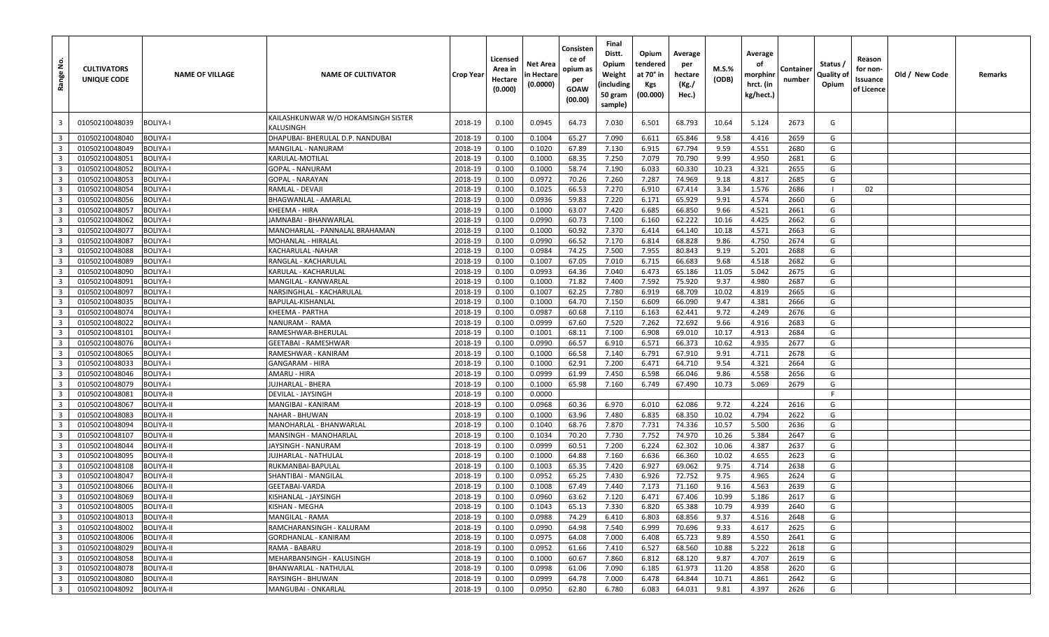| ِّ ج<br>Range             | <b>CULTIVATORS</b><br><b>UNIQUE CODE</b> | <b>NAME OF VILLAGE</b> | <b>NAME OF CULTIVATOR</b>                        | <b>Crop Year</b> | Licensed<br>Area in<br>Hectare<br>(0.000) | Net Area<br>n Hectare<br>(0.0000) | Consisten<br>ce of<br>opium as<br>per<br>GOAW<br>(00.00) | Final<br>Distt.<br>Opium<br>Weight<br>(including<br>50 gram<br>sample) | Opium<br>tendered<br>at 70° in<br>Kgs<br>(00.000) | Average<br>per<br>hectare<br>(Kg./<br>Hec.) | M.S.%<br>(ODB) | Average<br>оf<br>morphinr<br>hrct. (in<br>kg/hect.) | Container<br>number | Status /<br>Quality of<br>Opium | Reason<br>for non-<br>Issuance<br>of Licence | Old / New Code | Remarks |
|---------------------------|------------------------------------------|------------------------|--------------------------------------------------|------------------|-------------------------------------------|-----------------------------------|----------------------------------------------------------|------------------------------------------------------------------------|---------------------------------------------------|---------------------------------------------|----------------|-----------------------------------------------------|---------------------|---------------------------------|----------------------------------------------|----------------|---------|
| -3                        | 01050210048039                           | <b>BOLIYA-I</b>        | KAILASHKUNWAR W/O HOKAMSINGH SISTER<br>KALUSINGH | 2018-19          | 0.100                                     | 0.0945                            | 64.73                                                    | 7.030                                                                  | 6.501                                             | 68.793                                      | 10.64          | 5.124                                               | 2673                | G                               |                                              |                |         |
| $\overline{\mathbf{3}}$   | 01050210048040                           | <b>BOLIYA-I</b>        | DHAPUBAI- BHERULAL D.P. NANDUBAI                 | 2018-19          | 0.100                                     | 0.1004                            | 65.27                                                    | 7.090                                                                  | 6.611                                             | 65.846                                      | 9.58           | 4.416                                               | 2659                | G                               |                                              |                |         |
| $\overline{\mathbf{3}}$   | 01050210048049                           | <b>BOLIYA-I</b>        | MANGILAL - NANURAM                               | 2018-19          | 0.100                                     | 0.1020                            | 67.89                                                    | 7.130                                                                  | 6.915                                             | 67.794                                      | 9.59           | 4.551                                               | 2680                | G                               |                                              |                |         |
| $\overline{\mathbf{3}}$   | 01050210048051                           | <b>BOLIYA-I</b>        | KARULAL-MOTILAL                                  | 2018-19          | 0.100                                     | 0.1000                            | 68.35                                                    | 7.250                                                                  | 7.079                                             | 70.790                                      | 9.99           | 4.950                                               | 2681                | G                               |                                              |                |         |
| $\overline{\mathbf{3}}$   | 01050210048052                           | <b>BOLIYA-I</b>        | <b>GOPAL - NANURAM</b>                           | 2018-19          | 0.100                                     | 0.1000                            | 58.74                                                    | 7.190                                                                  | 6.033                                             | 60.330                                      | 10.23          | 4.321                                               | 2655                | G                               |                                              |                |         |
| $\overline{\mathbf{3}}$   | 01050210048053                           | <b>BOLIYA-I</b>        | <b>GOPAL - NARAYAN</b>                           | 2018-19          | 0.100                                     | 0.0972                            | 70.26                                                    | 7.260                                                                  | 7.287                                             | 74.969                                      | 9.18           | 4.817                                               | 2685                | G                               |                                              |                |         |
| $\overline{\mathbf{3}}$   | 01050210048054                           | <b>BOLIYA-I</b>        | RAMLAL - DEVAJI                                  | 2018-19          | 0.100                                     | 0.1025                            | 66.53                                                    | 7.270                                                                  | 6.910                                             | 67.414                                      | 3.34           | 1.576                                               | 2686                |                                 | 02                                           |                |         |
| $\overline{\mathbf{3}}$   | 01050210048056                           | <b>BOLIYA-I</b>        | BHAGWANLAL - AMARLAL                             | 2018-19          | 0.100                                     | 0.0936                            | 59.83                                                    | 7.220                                                                  | 6.171                                             | 65.929                                      | 9.91           | 4.574                                               | 2660                | G                               |                                              |                |         |
| $\overline{\mathbf{3}}$   | 01050210048057                           | <b>BOLIYA-I</b>        | KHEEMA - HIRA                                    | 2018-19          | 0.100                                     | 0.1000                            | 63.07                                                    | 7.420                                                                  | 6.685                                             | 66.850                                      | 9.66           | 4.521                                               | 2661                | G                               |                                              |                |         |
| $\overline{\mathbf{3}}$   | 01050210048062                           | <b>BOLIYA-I</b>        | JAMNABAI - BHANWARLAL                            | 2018-19          | 0.100                                     | 0.0990                            | 60.73                                                    | 7.100                                                                  | 6.160                                             | 62.222                                      | 10.16          | 4.425                                               | 2662                | G                               |                                              |                |         |
| $\overline{\mathbf{3}}$   | 01050210048077                           | <b>BOLIYA-I</b>        | MANOHARLAL - PANNALAL BRAHAMAN                   | 2018-19          | 0.100                                     | 0.1000                            | 60.92                                                    | 7.370                                                                  | 6.414                                             | 64.140                                      | 10.18          | 4.571                                               | 2663                | G                               |                                              |                |         |
| $\overline{\mathbf{3}}$   | 01050210048087                           | <b>BOLIYA-I</b>        | MOHANLAL - HIRALAL                               | 2018-19          | 0.100                                     | 0.0990                            | 66.52                                                    | 7.170                                                                  | 6.814                                             | 68.828                                      | 9.86           | 4.750                                               | 2674                | G                               |                                              |                |         |
| $\overline{\mathbf{3}}$   | 01050210048088                           | <b>BOLIYA-I</b>        | KACHARULAL - NAHAR                               | 2018-19          | 0.100                                     | 0.0984                            | 74.25                                                    | 7.500                                                                  | 7.955                                             | 80.843                                      | 9.19           | 5.201                                               | 2688                | G                               |                                              |                |         |
| $\overline{\mathbf{3}}$   | 01050210048089                           | <b>BOLIYA-I</b>        | RANGLAL - KACHARULAL                             | 2018-19          | 0.100                                     | 0.1007                            | 67.05                                                    | 7.010                                                                  | 6.715                                             | 66.683                                      | 9.68           | 4.518                                               | 2682                | G                               |                                              |                |         |
| $\overline{\mathbf{3}}$   | 01050210048090                           | <b>BOLIYA-I</b>        | KARULAL - KACHARULAL                             | 2018-19          | 0.100                                     | 0.0993                            | 64.36                                                    | 7.040                                                                  | 6.473                                             | 65.186                                      | 11.05          | 5.042                                               | 2675                | G                               |                                              |                |         |
| $\overline{\mathbf{3}}$   | 01050210048091                           | <b>BOLIYA-I</b>        | MANGILAL - KANWARLAI                             | 2018-19          | 0.100                                     | 0.1000                            | 71.82                                                    | 7.400                                                                  | 7.592                                             | 75.920                                      | 9.37           | 4.980                                               | 2687                | G                               |                                              |                |         |
| $\overline{\mathbf{3}}$   | 01050210048097                           | <b>BOLIYA-I</b>        | NARSINGHLAL - KACHARULAL                         | 2018-19          | 0.100                                     | 0.1007                            | 62.25                                                    | 7.780                                                                  | 6.919                                             | 68.709                                      | 10.02          | 4.819                                               | 2665                | G                               |                                              |                |         |
| $\overline{\mathbf{3}}$   | 01050210048035                           | <b>BOLIYA-I</b>        | BAPULAL-KISHANLAL                                | 2018-19          | 0.100                                     | 0.1000                            | 64.70                                                    | 7.150                                                                  | 6.609                                             | 66.090                                      | 9.47           | 4.381                                               | 2666                | G                               |                                              |                |         |
| $\overline{\mathbf{3}}$   | 01050210048074                           | <b>BOLIYA-I</b>        | KHEEMA - PARTHA                                  | 2018-19          | 0.100                                     | 0.0987                            | 60.68                                                    | 7.110                                                                  | 6.163                                             | 62.441                                      | 9.72           | 4.249                                               | 2676                | G                               |                                              |                |         |
| $\overline{\mathbf{3}}$   | 01050210048022                           | <b>BOLIYA-I</b>        | NANURAM - RAMA                                   | 2018-19          | 0.100                                     | 0.0999                            | 67.60                                                    | 7.520                                                                  | 7.262                                             | 72.692                                      | 9.66           | 4.916                                               | 2683                | G                               |                                              |                |         |
| $\overline{\mathbf{3}}$   | 01050210048101                           | <b>BOLIYA-I</b>        | RAMESHWAR-BHERULAL                               | 2018-19          | 0.100                                     | 0.1001                            | 68.11                                                    | 7.100                                                                  | 6.908                                             | 69.010                                      | 10.17          | 4.913                                               | 2684                | G                               |                                              |                |         |
| $\overline{\mathbf{3}}$   | 01050210048076                           | <b>BOLIYA-I</b>        | <b>GEETABAI - RAMESHWAR</b>                      | 2018-19          | 0.100                                     | 0.0990                            | 66.57                                                    | 6.910                                                                  | 6.571                                             | 66.373                                      | 10.62          | 4.935                                               | 2677                | G                               |                                              |                |         |
| $\overline{\mathbf{3}}$   | 01050210048065                           | <b>BOLIYA-I</b>        | RAMESHWAR - KANIRAM                              | 2018-19          | 0.100                                     | 0.1000                            | 66.58                                                    | 7.140                                                                  | 6.791                                             | 67.910                                      | 9.91           | 4.711                                               | 2678                | G                               |                                              |                |         |
| $\overline{\mathbf{3}}$   | 01050210048033                           | <b>BOLIYA-I</b>        | <b>GANGARAM - HIRA</b>                           | 2018-19          | 0.100                                     | 0.1000                            | 62.91                                                    | 7.200                                                                  | 6.471                                             | 64.710                                      | 9.54           | 4.321                                               | 2664                | G                               |                                              |                |         |
| $\overline{\mathbf{3}}$   | 01050210048046                           | <b>BOLIYA-I</b>        | AMARU - HIRA                                     | 2018-19          | 0.100                                     | 0.0999                            | 61.99                                                    | 7.450                                                                  | 6.598                                             | 66.046                                      | 9.86           | 4.558                                               | 2656                | G                               |                                              |                |         |
| $\overline{\mathbf{3}}$   | 01050210048079                           | <b>BOLIYA-I</b>        | JUJHARLAL - BHERA                                | 2018-19          | 0.100                                     | 0.1000                            | 65.98                                                    | 7.160                                                                  | 6.749                                             | 67.490                                      | 10.73          | 5.069                                               | 2679                | G                               |                                              |                |         |
| $\overline{\mathbf{3}}$   | 01050210048081                           | <b>BOLIYA-II</b>       | DEVILAL - JAYSINGH                               | 2018-19          | 0.100                                     | 0.0000                            |                                                          |                                                                        |                                                   |                                             |                |                                                     |                     | F                               |                                              |                |         |
| $\overline{\mathbf{3}}$   | 01050210048067                           | <b>BOLIYA-II</b>       | MANGIBAI - KANIRAM                               | 2018-19          | 0.100                                     | 0.0968                            | 60.36                                                    | 6.970                                                                  | 6.010                                             | 62.086                                      | 9.72           | 4.224                                               | 2616                | G                               |                                              |                |         |
| $\overline{\mathbf{3}}$   | 01050210048083                           | <b>BOLIYA-II</b>       | <b>NAHAR - BHUWAN</b>                            | 2018-19          | 0.100                                     | 0.1000                            | 63.96                                                    | 7.480                                                                  | 6.835                                             | 68.350                                      | 10.02          | 4.794                                               | 2622                | G                               |                                              |                |         |
| $\overline{\mathbf{3}}$   | 01050210048094                           | <b>BOLIYA-II</b>       | MANOHARLAL - BHANWARLAL                          | 2018-19          | 0.100                                     | 0.1040                            | 68.76                                                    | 7.870                                                                  | 7.731                                             | 74.336                                      | 10.57          | 5.500                                               | 2636                | G                               |                                              |                |         |
| $\overline{\mathbf{3}}$   | 01050210048107                           | <b>BOLIYA-II</b>       | MANSINGH - MANOHARLAL                            | 2018-19          | 0.100                                     | 0.1034                            | 70.20                                                    | 7.730                                                                  | 7.752                                             | 74.970                                      | 10.26          | 5.384                                               | 2647                | G                               |                                              |                |         |
| $\overline{\mathbf{3}}$   | 01050210048044                           | <b>BOLIYA-II</b>       | JAYSINGH - NANURAM                               | 2018-19          | 0.100                                     | 0.0999                            | 60.51                                                    | 7.200                                                                  | 6.224                                             | 62.302                                      | 10.06          | 4.387                                               | 2637                | G                               |                                              |                |         |
| $\overline{\mathbf{3}}$   | 01050210048095                           | <b>BOLIYA-II</b>       | JUJHARLAL - NATHULAL                             | 2018-19          | 0.100                                     | 0.1000                            | 64.88                                                    | 7.160                                                                  | 6.636                                             | 66.360                                      | 10.02          | 4.655                                               | 2623                | G                               |                                              |                |         |
| $\overline{\mathbf{3}}$   | 01050210048108                           | <b>BOLIYA-II</b>       | RUKMANBAI-BAPULAL                                | 2018-19          | 0.100                                     | 0.1003                            | 65.35                                                    | 7.420                                                                  | 6.927                                             | 69.062                                      | 9.75           | 4.714                                               | 2638                | G                               |                                              |                |         |
| $\overline{\mathbf{3}}$   | 01050210048047                           | <b>BOLIYA-II</b>       | SHANTIBAI - MANGILAL                             | 2018-19          | 0.100                                     | 0.0952                            | 65.25                                                    | 7.430                                                                  | 6.926                                             | 72.752                                      | 9.75           | 4.965                                               | 2624                | G                               |                                              |                |         |
| $\overline{\mathbf{3}}$   | 01050210048066                           | <b>BOLIYA-II</b>       | GEETABAI-VARDA                                   | 2018-19          | 0.100                                     | 0.1008                            | 67.49                                                    | 7.440                                                                  | 7.173                                             | 71.160                                      | 9.16           | 4.563                                               | 2639                | G                               |                                              |                |         |
| 3 <sup>1</sup>            | 01050210048069                           | <b>BOLIYA-II</b>       | KISHANLAL - JAYSINGH                             | 2018-19          | 0.100                                     | 0.0960                            | 63.62                                                    | 7.120                                                                  | 6.471                                             | 67.406                                      | 10.99          | 5.186                                               | 2617                | G                               |                                              |                |         |
| $\overline{\phantom{a}3}$ | 01050210048005                           | <b>BOLIYA-II</b>       | KISHAN - MEGHA                                   | 2018-19          | 0.100                                     | 0.1043                            | 65.13                                                    | 7.330                                                                  | 6.820                                             | 65.388                                      | 10.79          | 4.939                                               | 2640                | G                               |                                              |                |         |
| 3 <sup>1</sup>            | 01050210048013                           | <b>BOLIYA-II</b>       | MANGILAL - RAMA                                  | 2018-19          | 0.100                                     | 0.0988                            | 74.29                                                    | 6.410                                                                  | 6.803                                             | 68.856                                      | 9.37           | 4.516                                               | 2648                | G                               |                                              |                |         |
| 3 <sup>1</sup>            | 01050210048002                           | <b>BOLIYA-II</b>       | RAMCHARANSINGH - KALURAM                         | 2018-19          | 0.100                                     | 0.0990                            | 64.98                                                    | 7.540                                                                  | 6.999                                             | 70.696                                      | 9.33           | 4.617                                               | 2625                | G                               |                                              |                |         |
| $\overline{\mathbf{3}}$   | 01050210048006                           | <b>BOLIYA-II</b>       | GORDHANLAL - KANIRAM                             | 2018-19          | 0.100                                     | 0.0975                            | 64.08                                                    | 7.000                                                                  | 6.408                                             | 65.723                                      | 9.89           | 4.550                                               | 2641                | G                               |                                              |                |         |
| $\overline{\mathbf{3}}$   | 01050210048029                           | <b>BOLIYA-II</b>       | RAMA - BABARU                                    | 2018-19          | 0.100                                     | 0.0952                            | 61.66                                                    | 7.410                                                                  | 6.527                                             | 68.560                                      | 10.88          | 5.222                                               | 2618                | G                               |                                              |                |         |
| $\overline{\mathbf{3}}$   | 01050210048058                           | <b>BOLIYA-II</b>       | MEHARBANSINGH - KALUSINGH                        | 2018-19          | 0.100                                     | 0.1000                            | 60.67                                                    | 7.860                                                                  | 6.812                                             | 68.120                                      | 9.87           | 4.707                                               | 2619                | G                               |                                              |                |         |
| $\overline{\mathbf{3}}$   | 01050210048078                           | <b>BOLIYA-II</b>       | BHANWARLAL - NATHULAL                            | 2018-19          | 0.100                                     | 0.0998                            | 61.06                                                    | 7.090                                                                  | 6.185                                             | 61.973                                      | 11.20          | 4.858                                               | 2620                | G                               |                                              |                |         |
| $\overline{\mathbf{3}}$   | 01050210048080                           | <b>BOLIYA-II</b>       | RAYSINGH - BHUWAN                                | 2018-19          | 0.100                                     | 0.0999                            | 64.78                                                    | 7.000                                                                  | 6.478                                             | 64.844                                      | 10.71          | 4.861                                               | 2642                | G                               |                                              |                |         |
|                           | 3 01050210048092                         | <b>BOLIYA-II</b>       | MANGUBAI - ONKARLAL                              | 2018-19          | 0.100                                     | 0.0950                            | 62.80                                                    | 6.780                                                                  | 6.083                                             | 64.031                                      | 9.81           | 4.397                                               | 2626                | G                               |                                              |                |         |
|                           |                                          |                        |                                                  |                  |                                           |                                   |                                                          |                                                                        |                                                   |                                             |                |                                                     |                     |                                 |                                              |                |         |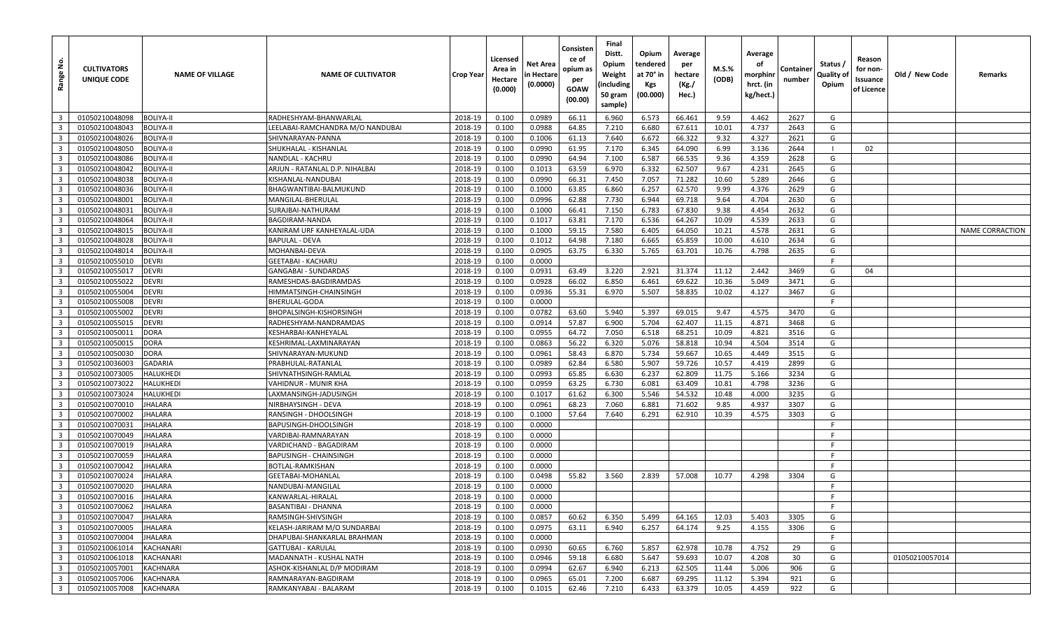| <u>ទំ</u><br>Range                        | <b>CULTIVATORS</b><br>UNIQUE CODE | <b>NAME OF VILLAGE</b>    | <b>NAME OF CULTIVATOR</b>                     | <b>Crop Year</b>   | Licensed<br>Area in<br>Hectare<br>(0.000) | Net Area<br>n Hectare<br>(0.0000) | Consisten<br>ce of<br>opium as<br>per<br>GOAW<br>(00.00) | Final<br>Distt.<br>Opium<br>Weight<br>(including<br>50 gram<br>sample) | Opium<br>tendered<br>at 70° in<br>Kgs<br>(00.000) | Average<br>per<br>hectare<br>(Kg./<br>Hec.) | M.S.%<br>(ODB) | Average<br>οf<br>morphinr<br>hrct. (in<br>kg/hect.) | Container<br>number | Status /<br>Quality of<br>Opium | Reason<br>for non-<br>Issuance<br>of Licence | Old / New Code | Remarks                |
|-------------------------------------------|-----------------------------------|---------------------------|-----------------------------------------------|--------------------|-------------------------------------------|-----------------------------------|----------------------------------------------------------|------------------------------------------------------------------------|---------------------------------------------------|---------------------------------------------|----------------|-----------------------------------------------------|---------------------|---------------------------------|----------------------------------------------|----------------|------------------------|
| $\overline{\mathbf{3}}$                   | 01050210048098                    | <b>BOLIYA-II</b>          | RADHESHYAM-BHANWARLAI                         | 2018-19            | 0.100                                     | 0.0989                            | 66.11                                                    | 6.960                                                                  | 6.573                                             | 66.461                                      | 9.59           | 4.462                                               | 2627                | G                               |                                              |                |                        |
| $\overline{3}$                            | 01050210048043                    | BOLIYA-II                 | EELABAI-RAMCHANDRA M/O NANDUBAI.              | 2018-19            | 0.100                                     | 0.0988                            | 64.85                                                    | 7.210                                                                  | 6.680                                             | 67.611                                      | 10.01          | 4.737                                               | 2643                | G                               |                                              |                |                        |
| $\overline{\mathbf{3}}$                   | 01050210048026                    | <b>BOLIYA-II</b>          | SHIVNARAYAN-PANNA                             | 2018-19            | 0.100                                     | 0.1006                            | 61.13                                                    | 7.640                                                                  | 6.672                                             | 66.322                                      | 9.32           | 4.327                                               | 2621                | G                               |                                              |                |                        |
| $\overline{\mathbf{3}}$                   | 01050210048050                    | <b>BOLIYA-II</b>          | SHUKHALAL - KISHANLAL                         | 2018-19            | 0.100                                     | 0.0990                            | 61.95                                                    | 7.170                                                                  | 6.345                                             | 64.090                                      | 6.99           | 3.136                                               | 2644                | - 1                             | 02                                           |                |                        |
| $\overline{\mathbf{3}}$                   | 01050210048086                    | <b>BOLIYA-II</b>          | NANDLAL - KACHRU                              | 2018-19            | 0.100                                     | 0.0990                            | 64.94                                                    | 7.100                                                                  | 6.587                                             | 66.535                                      | 9.36           | 4.359                                               | 2628                | G                               |                                              |                |                        |
| $\overline{\mathbf{3}}$                   | 01050210048042                    | <b>BOLIYA-II</b>          | ARJUN - RATANLAL D.P. NIHALBAI                | 2018-19            | 0.100                                     | 0.1013                            | 63.59                                                    | 6.970                                                                  | 6.332                                             | 62.507                                      | 9.67           | 4.231                                               | 2645                | G                               |                                              |                |                        |
| $\overline{\mathbf{3}}$                   | 01050210048038                    | <b>BOLIYA-II</b>          | KISHANLAL-NANDUBAI                            | 2018-19            | 0.100                                     | 0.0990                            | 66.31                                                    | 7.450                                                                  | 7.057                                             | 71.282                                      | 10.60          | 5.289                                               | 2646                | G                               |                                              |                |                        |
| $\overline{\mathbf{3}}$                   | 01050210048036                    | <b>BOLIYA-II</b>          | BHAGWANTIBAI-BALMUKUND                        | 2018-19            | 0.100                                     | 0.1000                            | 63.85                                                    | 6.860                                                                  | 6.257                                             | 62.570                                      | 9.99           | 4.376                                               | 2629                | G                               |                                              |                |                        |
| $\overline{3}$                            | 01050210048001                    | <b>BOLIYA-II</b>          | MANGILAL-BHERULAL                             | 2018-19            | 0.100                                     | 0.0996                            | 62.88                                                    | 7.730                                                                  | 6.944                                             | 69.718                                      | 9.64           | 4.704                                               | 2630                | G                               |                                              |                |                        |
| $\overline{3}$                            | 01050210048031                    | <b>BOLIYA-II</b>          | SURAJBAI-NATHURAM                             | 2018-19            | 0.100                                     | 0.1000                            | 66.41                                                    | 7.150                                                                  | 6.783                                             | 67.830                                      | 9.38           | 4.454                                               | 2632                | G                               |                                              |                |                        |
| $\overline{\mathbf{3}}$                   | 01050210048064                    | <b>BOLIYA-II</b>          | BAGDIRAM-NANDA                                | 2018-19            | 0.100                                     | 0.1017                            | 63.81                                                    | 7.170                                                                  | 6.536                                             | 64.267                                      | 10.09          | 4.539                                               | 2633                | G                               |                                              |                |                        |
| $\overline{3}$                            | 01050210048015                    | <b>BOLIYA-II</b>          | KANIRAM URF KANHEYALAL-UDA                    | 2018-19            | 0.100                                     | 0.1000                            | 59.15                                                    | 7.580                                                                  | 6.405                                             | 64.050                                      | 10.21          | 4.578                                               | 2631                | G                               |                                              |                | <b>NAME CORRACTION</b> |
| $\overline{\mathbf{3}}$                   | 01050210048028                    | BOLIYA-II                 | BAPULAL - DEVA                                | 2018-19            | 0.100                                     | 0.1012                            | 64.98                                                    | 7.180                                                                  | 6.665                                             | 65.859                                      | 10.00          | 4.610                                               | 2634                | G                               |                                              |                |                        |
| $\overline{\mathbf{3}}$                   | 01050210048014                    | <b>BOLIYA-II</b>          | MOHANBAI-DEVA                                 | 2018-19            | 0.100                                     | 0.0905                            | 63.75                                                    | 6.330                                                                  | 5.765                                             | 63.701                                      | 10.76          | 4.798                                               | 2635                | G                               |                                              |                |                        |
| $\overline{3}$                            | 01050210055010                    | <b>DEVRI</b>              | GEETABAI - KACHARU                            | 2018-19            | 0.100                                     | 0.0000                            |                                                          |                                                                        |                                                   |                                             |                |                                                     |                     | -F                              |                                              |                |                        |
| $\overline{\mathbf{3}}$                   | 01050210055017                    | DEVRI                     | GANGABAI - SUNDARDAS                          | 2018-19            | 0.100                                     | 0.0931                            | 63.49                                                    | 3.220                                                                  | 2.921                                             | 31.374                                      | 11.12          | 2.442                                               | 3469                | G                               | 04                                           |                |                        |
| $\overline{\mathbf{3}}$                   | 01050210055022                    | <b>DEVRI</b>              | RAMESHDAS-BAGDIRAMDAS                         | 2018-19            | 0.100                                     | 0.0928                            | 66.02                                                    | 6.850                                                                  | 6.461                                             | 69.622                                      | 10.36          | 5.049                                               | 3471                | G                               |                                              |                |                        |
| $\overline{\mathbf{3}}$                   | 01050210055004                    | <b>DEVRI</b>              | HIMMATSINGH-CHAINSINGH                        | 2018-19            | 0.100                                     | 0.0936                            | 55.31                                                    | 6.970                                                                  | 5.507                                             | 58.835                                      | 10.02          | 4.127                                               | 3467                | G                               |                                              |                |                        |
| $\overline{3}$                            | 01050210055008                    | <b>DEVRI</b>              | BHERULAL-GODA                                 | 2018-19            | 0.100                                     | 0.0000                            |                                                          |                                                                        |                                                   |                                             |                |                                                     |                     | F                               |                                              |                |                        |
| $\overline{\mathbf{3}}$                   | 01050210055002                    | <b>DEVRI</b>              | BHOPALSINGH-KISHORSINGH                       | 2018-19            | 0.100                                     | 0.0782                            | 63.60                                                    | 5.940                                                                  | 5.397                                             | 69.015                                      | 9.47           | 4.575                                               | 3470                | G                               |                                              |                |                        |
| $\overline{3}$                            | 01050210055015                    | <b>DEVRI</b>              | RADHESHYAM-NANDRAMDAS                         | 2018-19            | 0.100                                     | 0.0914                            | 57.87                                                    | 6.900                                                                  | 5.704                                             | 62.407                                      | 11.15          | 4.871                                               | 3468                | G                               |                                              |                |                        |
| $\overline{\mathbf{3}}$                   | 01050210050011                    | <b>DORA</b>               | KESHARBAI-KANHEYALAI                          | 2018-19            | 0.100                                     | 0.0955                            | 64.72                                                    | 7.050                                                                  | 6.518                                             | 68.251                                      | 10.09          | 4.821                                               | 3516                | G                               |                                              |                |                        |
| $\overline{3}$                            | 01050210050015                    | DORA                      | KESHRIMAL-LAXMINARAYAN                        | 2018-19            | 0.100                                     | 0.0863                            | 56.22                                                    | 6.320                                                                  | 5.076                                             | 58.818                                      | 10.94          | 4.504                                               | 3514                | G                               |                                              |                |                        |
| $\overline{\mathbf{3}}$                   | 01050210050030                    | DORA                      | SHIVNARAYAN-MUKUND                            | 2018-19            | 0.100                                     | 0.0961                            | 58.43                                                    | 6.870                                                                  | 5.734                                             | 59.667                                      | 10.65          | 4.449                                               | 3515                | G                               |                                              |                |                        |
| $\overline{\mathbf{3}}$                   | 01050210036003                    | GADARIA                   | PRABHULAL-RATANLAL                            | 2018-19            | 0.100                                     | 0.0989                            | 62.84                                                    | 6.580                                                                  | 5.907                                             | 59.726                                      | 10.57          | 4.419                                               | 2899                | G                               |                                              |                |                        |
| $\overline{3}$                            | 01050210073005                    | HALUKHEDI                 | SHIVNATHSINGH-RAMLAL                          | 2018-19            | 0.100                                     | 0.0993                            | 65.85                                                    | 6.630                                                                  | 6.237                                             | 62.809                                      | 11.75          | 5.166                                               | 3234                | G                               |                                              |                |                        |
| $\overline{\mathbf{3}}$                   | 01050210073022                    | HALUKHEDI                 | √AHIDNUR - MUNIR KHA                          | 2018-19            | 0.100                                     | 0.0959                            | 63.25                                                    | 6.730                                                                  | 6.081                                             | 63.409                                      | 10.81          | 4.798                                               | 3236                | G                               |                                              |                |                        |
| $\overline{3}$                            | 01050210073024                    | HALUKHEDI                 | LAXMANSINGH-JADUSINGH                         | 2018-19            | 0.100                                     | 0.1017                            | 61.62                                                    | 6.300                                                                  | 5.546                                             | 54.532                                      | 10.48          | 4.000                                               | 3235                | G                               |                                              |                |                        |
| $\overline{\mathbf{3}}$                   | 01050210070010                    | <b>JHALARA</b>            | NIRBHAYSINGH - DEVA                           | 2018-19            | 0.100                                     | 0.0961                            | 68.23                                                    | 7.060                                                                  | 6.881                                             | 71.602                                      | 9.85           | 4.937                                               | 3307                | G                               |                                              |                |                        |
| $\overline{3}$                            | 01050210070002                    | JHALARA                   | RANSINGH - DHOOLSINGH                         | 2018-19            | 0.100                                     | 0.1000                            | 57.64                                                    | 7.640                                                                  | 6.291                                             | 62.910                                      | 10.39          | 4.575                                               | 3303                | G<br>-F                         |                                              |                |                        |
| $\overline{\mathbf{3}}$                   | 01050210070031                    | <b>JHALARA</b>            | BAPUSINGH-DHOOLSINGH                          | 2018-19            | 0.100                                     | 0.0000                            |                                                          |                                                                        |                                                   |                                             |                |                                                     |                     | -F                              |                                              |                |                        |
| $\overline{3}$<br>$\overline{\mathbf{3}}$ | 01050210070049<br>01050210070019  | JHALARA<br><b>JHALARA</b> | VARDIBAI-RAMNARAYAN<br>VARDICHAND - BAGADIRAM | 2018-19<br>2018-19 | 0.100<br>0.100                            | 0.0000<br>0.0000                  |                                                          |                                                                        |                                                   |                                             |                |                                                     |                     | E                               |                                              |                |                        |
| $\overline{3}$                            | 01050210070059                    | JHALARA                   | <b>BAPUSINGH - CHAINSINGH</b>                 | 2018-19            | 0.100                                     | 0.0000                            |                                                          |                                                                        |                                                   |                                             |                |                                                     |                     | F                               |                                              |                |                        |
| $\overline{3}$                            | 01050210070042                    | JHALARA                   | BOTLAL-RAMKISHAN                              | 2018-19            | 0.100                                     | 0.0000                            |                                                          |                                                                        |                                                   |                                             |                |                                                     |                     | -F                              |                                              |                |                        |
| $\overline{\mathbf{3}}$                   | 01050210070024                    | JHALARA                   | GEETABAI-MOHANLAL                             | 2018-19            | 0.100                                     | 0.0498                            | 55.82                                                    | 3.560                                                                  | 2.839                                             | 57.008                                      | 10.77          | 4.298                                               | 3304                | G                               |                                              |                |                        |
| $\overline{\mathbf{3}}$                   | 01050210070020                    | JHALARA                   | NANDUBAI-MANGILAL                             | 2018-19            | 0.100                                     | 0.0000                            |                                                          |                                                                        |                                                   |                                             |                |                                                     |                     | F                               |                                              |                |                        |
| $\overline{\mathbf{3}}$                   | 01050210070016                    | JHALARA                   | KANWARLAL-HIRALAL                             | 2018-19            | 0.100                                     | 0.0000                            |                                                          |                                                                        |                                                   |                                             |                |                                                     |                     | E                               |                                              |                |                        |
| 3 <sup>1</sup>                            | 01050210070062                    | <b>JHALARA</b>            | BASANTIBAI - DHANNA                           | 2018-19            | 0.100                                     | 0.0000                            |                                                          |                                                                        |                                                   |                                             |                |                                                     |                     | -F.                             |                                              |                |                        |
| $\overline{\mathbf{3}}$                   | 01050210070047                    | <b>JHALARA</b>            | RAMSINGH-SHIVSINGH                            | 2018-19            | 0.100                                     | 0.0857                            | 60.62                                                    | 6.350                                                                  | 5.499                                             | 64.165                                      | 12.03          | 5.403                                               | 3305                | G                               |                                              |                |                        |
| $\overline{3}$                            | 01050210070005                    | <b>JHALARA</b>            | KELASH-JARIRAM M/O SUNDARBAI                  | 2018-19            | 0.100                                     | 0.0975                            | 63.11                                                    | 6.940                                                                  | 6.257                                             | 64.174                                      | 9.25           | 4.155                                               | 3306                | G                               |                                              |                |                        |
| $\overline{\mathbf{3}}$                   | 01050210070004                    | <b>JHALARA</b>            | DHAPUBAI-SHANKARLAL BRAHMAN                   | 2018-19            | 0.100                                     | 0.0000                            |                                                          |                                                                        |                                                   |                                             |                |                                                     |                     | F.                              |                                              |                |                        |
| $\overline{\mathbf{3}}$                   | 01050210061014                    | <b>KACHANARI</b>          | GATTUBAI - KARULAL                            | 2018-19            | 0.100                                     | 0.0930                            | 60.65                                                    | 6.760                                                                  | 5.857                                             | 62.978                                      | 10.78          | 4.752                                               | 29                  | G                               |                                              |                |                        |
| $\overline{3}$                            | 01050210061018                    | <b>KACHANARI</b>          | MADANNATH - KUSHAL NATH                       | 2018-19            | 0.100                                     | 0.0946                            | 59.18                                                    | 6.680                                                                  | 5.647                                             | 59.693                                      | 10.07          | 4.208                                               | 30                  | G                               |                                              | 01050210057014 |                        |
| $\overline{\mathbf{3}}$                   | 01050210057001                    | KACHNARA                  | ASHOK-KISHANLAL D/P MODIRAM                   | 2018-19            | 0.100                                     | 0.0994                            | 62.67                                                    | 6.940                                                                  | 6.213                                             | 62.505                                      | 11.44          | 5.006                                               | 906                 | G                               |                                              |                |                        |
| $\overline{\mathbf{3}}$                   | 01050210057006                    | KACHNARA                  | RAMNARAYAN-BAGDIRAM                           | 2018-19            | 0.100                                     | 0.0965                            | 65.01                                                    | 7.200                                                                  | 6.687                                             | 69.295                                      | 11.12          | 5.394                                               | 921                 | G                               |                                              |                |                        |
| $\overline{\mathbf{3}}$                   | 01050210057008                    | <b>KACHNARA</b>           | RAMKANYABAI - BALARAM                         | 2018-19            | 0.100                                     | 0.1015                            | 62.46                                                    | 7.210                                                                  | 6.433                                             | 63.379                                      | 10.05          | 4.459                                               | 922                 | G                               |                                              |                |                        |
|                                           |                                   |                           |                                               |                    |                                           |                                   |                                                          |                                                                        |                                                   |                                             |                |                                                     |                     |                                 |                                              |                |                        |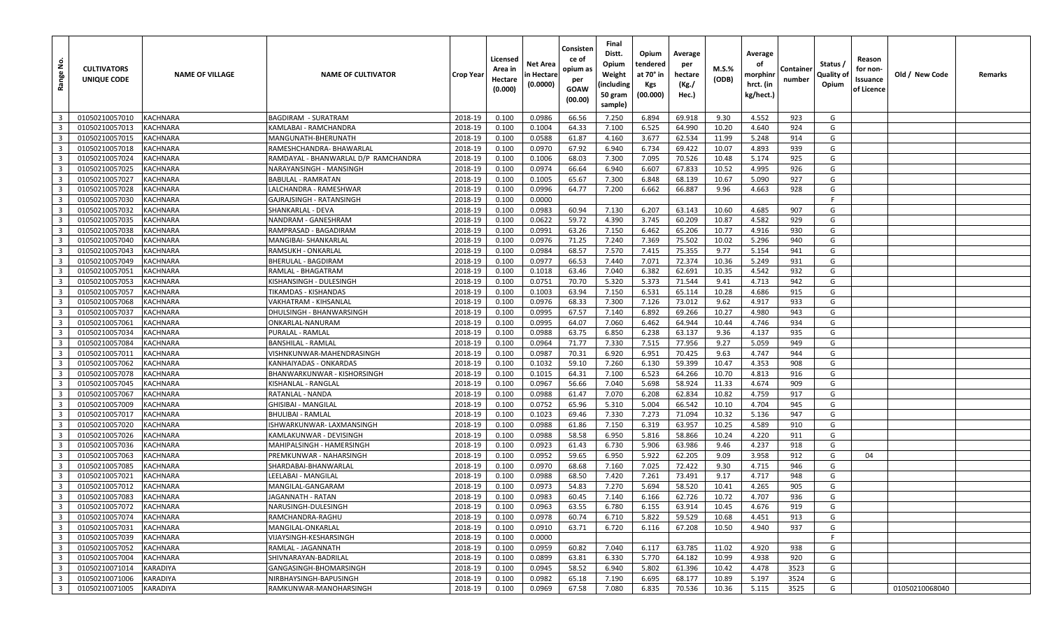| غ<br>Range              | <b>CULTIVATORS</b><br>UNIQUE CODE | <b>NAME OF VILLAGE</b> | <b>NAME OF CULTIVATOR</b>            | Crop Year | Licensed<br>Area in<br>Hectare<br>(0.000) | Net Area<br>n Hectare<br>(0.0000) | Consisten<br>ce of<br>opium as<br>per<br><b>GOAW</b><br>(00.00) | Final<br>Distt.<br>Opium<br>Weight<br>(including<br>50 gram<br>sample) | Opium<br>tendered<br>at 70° in<br><b>Kgs</b><br>(00.000) | Average<br>per<br>hectare<br>(Kg./<br>Hec.) | <b>M.S.%</b><br>(ODB) | Average<br>оf<br>morphinr<br>hrct. (in<br>kg/hect.) | Containe<br>number | Status /<br>Quality of<br>Opium | Reason<br>for non-<br>Issuance<br>of Licence | Old / New Code | Remarks |
|-------------------------|-----------------------------------|------------------------|--------------------------------------|-----------|-------------------------------------------|-----------------------------------|-----------------------------------------------------------------|------------------------------------------------------------------------|----------------------------------------------------------|---------------------------------------------|-----------------------|-----------------------------------------------------|--------------------|---------------------------------|----------------------------------------------|----------------|---------|
| $\overline{\mathbf{3}}$ | 01050210057010                    | <b>KACHNARA</b>        | <b>BAGDIRAM - SURATRAM</b>           | 2018-19   | 0.100                                     | 0.0986                            | 66.56                                                           | 7.250                                                                  | 6.894                                                    | 69.918                                      | 9.30                  | 4.552                                               | 923                | G                               |                                              |                |         |
| $\overline{\mathbf{3}}$ | 01050210057013                    | <b>KACHNARA</b>        | KAMLABAI - RAMCHANDRA                | 2018-19   | 0.100                                     | 0.1004                            | 64.33                                                           | 7.100                                                                  | 6.525                                                    | 64.990                                      | 10.20                 | 4.640                                               | 924                | G                               |                                              |                |         |
| $\overline{\mathbf{3}}$ | 01050210057015                    | <b>KACHNARA</b>        | MANGUNATH-BHERUNATH                  | 2018-19   | 0.100                                     | 0.0588                            | 61.87                                                           | 4.160                                                                  | 3.677                                                    | 62.534                                      | 11.99                 | 5.248                                               | 914                | G                               |                                              |                |         |
| $\overline{\mathbf{3}}$ | 01050210057018                    | <b>KACHNARA</b>        | RAMESHCHANDRA- BHAWARLAL             | 2018-19   | 0.100                                     | 0.0970                            | 67.92                                                           | 6.940                                                                  | 6.734                                                    | 69.422                                      | 10.07                 | 4.893                                               | 939                | G                               |                                              |                |         |
| $\overline{\mathbf{3}}$ | 01050210057024                    | <b>KACHNARA</b>        | RAMDAYAL - BHANWARLAL D/P RAMCHANDRA | 2018-19   | 0.100                                     | 0.1006                            | 68.03                                                           | 7.300                                                                  | 7.095                                                    | 70.526                                      | 10.48                 | 5.174                                               | 925                | G                               |                                              |                |         |
| $\overline{\mathbf{3}}$ | 01050210057025                    | <b>KACHNARA</b>        | NARAYANSINGH - MANSINGH              | 2018-19   | 0.100                                     | 0.0974                            | 66.64                                                           | 6.940                                                                  | 6.607                                                    | 67.833                                      | 10.52                 | 4.995                                               | 926                | G                               |                                              |                |         |
| $\overline{\mathbf{3}}$ | 01050210057027                    | <b>KACHNARA</b>        | BABULAL - RAMRATAN                   | 2018-19   | 0.100                                     | 0.1005                            | 65.67                                                           | 7.300                                                                  | 6.848                                                    | 68.139                                      | 10.67                 | 5.090                                               | 927                | G                               |                                              |                |         |
| $\overline{\mathbf{3}}$ | 01050210057028                    | <b>KACHNARA</b>        | LALCHANDRA - RAMESHWAR               | 2018-19   | 0.100                                     | 0.0996                            | 64.77                                                           | 7.200                                                                  | 6.662                                                    | 66.887                                      | 9.96                  | 4.663                                               | 928                | G                               |                                              |                |         |
| $\overline{\mathbf{3}}$ | 01050210057030                    | <b>KACHNARA</b>        | GAJRAJSINGH - RATANSINGH             | 2018-19   | 0.100                                     | 0.0000                            |                                                                 |                                                                        |                                                          |                                             |                       |                                                     |                    | -F                              |                                              |                |         |
| $\overline{\mathbf{3}}$ | 01050210057032                    | <b>KACHNARA</b>        | SHANKARLAL - DEVA                    | 2018-19   | 0.100                                     | 0.0983                            | 60.94                                                           | 7.130                                                                  | 6.207                                                    | 63.143                                      | 10.60                 | 4.685                                               | 907                | G                               |                                              |                |         |
| $\overline{\mathbf{3}}$ | 01050210057035                    | <b>KACHNARA</b>        | NANDRAM - GANESHRAM                  | 2018-19   | 0.100                                     | 0.0622                            | 59.72                                                           | 4.390                                                                  | 3.745                                                    | 60.209                                      | 10.87                 | 4.582                                               | 929                | G                               |                                              |                |         |
| $\overline{\mathbf{3}}$ | 01050210057038                    | <b>KACHNARA</b>        | RAMPRASAD - BAGADIRAM                | 2018-19   | 0.100                                     | 0.0991                            | 63.26                                                           | 7.150                                                                  | 6.462                                                    | 65.206                                      | 10.77                 | 4.916                                               | 930                | G                               |                                              |                |         |
| $\overline{\mathbf{3}}$ | 01050210057040                    | <b>KACHNARA</b>        | MANGIBAI- SHANKARLAL                 | 2018-19   | 0.100                                     | 0.0976                            | 71.25                                                           | 7.240                                                                  | 7.369                                                    | 75.502                                      | 10.02                 | 5.296                                               | 940                | G                               |                                              |                |         |
| $\overline{\mathbf{3}}$ | 01050210057043                    | <b>KACHNARA</b>        | RAMSUKH - ONKARLAL                   | 2018-19   | 0.100                                     | 0.0984                            | 68.57                                                           | 7.570                                                                  | 7.415                                                    | 75.355                                      | 9.77                  | 5.154                                               | 941                | G                               |                                              |                |         |
| $\overline{\mathbf{3}}$ | 01050210057049                    | <b>KACHNARA</b>        | <b>BHERULAL - BAGDIRAM</b>           | 2018-19   | 0.100                                     | 0.0977                            | 66.53                                                           | 7.440                                                                  | 7.071                                                    | 72.374                                      | 10.36                 | 5.249                                               | 931                | G                               |                                              |                |         |
| $\overline{\mathbf{3}}$ | 01050210057051                    | <b>KACHNARA</b>        | RAMLAL - BHAGATRAM                   | 2018-19   | 0.100                                     | 0.1018                            | 63.46                                                           | 7.040                                                                  | 6.382                                                    | 62.691                                      | 10.35                 | 4.542                                               | 932                | G                               |                                              |                |         |
| $\overline{\mathbf{3}}$ | 01050210057053                    | <b>KACHNARA</b>        | KISHANSINGH - DULESINGH              | 2018-19   | 0.100                                     | 0.0751                            | 70.70                                                           | 5.320                                                                  | 5.373                                                    | 71.544                                      | 9.41                  | 4.713                                               | 942                | G                               |                                              |                |         |
| $\overline{\mathbf{3}}$ | 01050210057057                    | <b>KACHNARA</b>        | TIKAMDAS - KISHANDAS                 | 2018-19   | 0.100                                     | 0.1003                            | 63.94                                                           | 7.150                                                                  | 6.531                                                    | 65.114                                      | 10.28                 | 4.686                                               | 915                | G                               |                                              |                |         |
| $\overline{\mathbf{3}}$ | 01050210057068                    | <b>KACHNARA</b>        | VAKHATRAM - KIHSANLAL                | 2018-19   | 0.100                                     | 0.0976                            | 68.33                                                           | 7.300                                                                  | 7.126                                                    | 73.012                                      | 9.62                  | 4.917                                               | 933                | G                               |                                              |                |         |
| $\overline{\mathbf{3}}$ | 01050210057037                    | <b>KACHNARA</b>        | DHULSINGH - BHANWARSINGH             | 2018-19   | 0.100                                     | 0.0995                            | 67.57                                                           | 7.140                                                                  | 6.892                                                    | 69.266                                      | 10.27                 | 4.980                                               | 943                | G                               |                                              |                |         |
| $\overline{\mathbf{3}}$ | 01050210057061                    | <b>KACHNARA</b>        | ONKARLAL-NANURAM                     | 2018-19   | 0.100                                     | 0.0995                            | 64.07                                                           | 7.060                                                                  | 6.462                                                    | 64.944                                      | 10.44                 | 4.746                                               | 934                | G                               |                                              |                |         |
| $\overline{\mathbf{3}}$ | 01050210057034                    | <b>KACHNARA</b>        | PURALAL - RAMLAL                     | 2018-19   | 0.100                                     | 0.0988                            | 63.75                                                           | 6.850                                                                  | 6.238                                                    | 63.137                                      | 9.36                  | 4.137                                               | 935                | G                               |                                              |                |         |
| $\overline{\mathbf{3}}$ | 01050210057084                    | <b>KACHNARA</b>        | <b>BANSHILAL - RAMLAL</b>            | 2018-19   | 0.100                                     | 0.0964                            | 71.77                                                           | 7.330                                                                  | 7.515                                                    | 77.956                                      | 9.27                  | 5.059                                               | 949                | G                               |                                              |                |         |
| $\overline{\mathbf{3}}$ | 01050210057011                    | <b>KACHNARA</b>        | VISHNKUNWAR-MAHENDRASINGH            | 2018-19   | 0.100                                     | 0.0987                            | 70.31                                                           | 6.920                                                                  | 6.951                                                    | 70.425                                      | 9.63                  | 4.747                                               | 944                | G                               |                                              |                |         |
| $\overline{\mathbf{3}}$ | 01050210057062                    | <b>KACHNARA</b>        | KANHAIYADAS - ONKARDAS               | 2018-19   | 0.100                                     | 0.1032                            | 59.10                                                           | 7.260                                                                  | 6.130                                                    | 59.399                                      | 10.47                 | 4.353                                               | 908                | G                               |                                              |                |         |
| $\overline{\mathbf{3}}$ | 01050210057078                    | <b>KACHNARA</b>        | BHANWARKUNWAR - KISHORSINGH          | 2018-19   | 0.100                                     | 0.1015                            | 64.31                                                           | 7.100                                                                  | 6.523                                                    | 64.266                                      | 10.70                 | 4.813                                               | 916                | G                               |                                              |                |         |
| $\overline{\mathbf{3}}$ | 01050210057045                    | <b>KACHNARA</b>        | KISHANLAL - RANGLAL                  | 2018-19   | 0.100                                     | 0.0967                            | 56.66                                                           | 7.040                                                                  | 5.698                                                    | 58.924                                      | 11.33                 | 4.674                                               | 909                | G                               |                                              |                |         |
| $\overline{\mathbf{3}}$ | 01050210057067                    | <b>KACHNARA</b>        | RATANLAL - NANDA                     | 2018-19   | 0.100                                     | 0.0988                            | 61.47                                                           | 7.070                                                                  | 6.208                                                    | 62.834                                      | 10.82                 | 4.759                                               | 917                | G                               |                                              |                |         |
| $\overline{\mathbf{3}}$ | 01050210057009                    | <b>KACHNARA</b>        | GHISIBAI - MANGILAL                  | 2018-19   | 0.100                                     | 0.0752                            | 65.96                                                           | 5.310                                                                  | 5.004                                                    | 66.542                                      | 10.10                 | 4.704                                               | 945                | G                               |                                              |                |         |
| $\overline{\mathbf{3}}$ | 01050210057017                    | <b>KACHNARA</b>        | BHULIBAI - RAMLAL                    | 2018-19   | 0.100                                     | 0.1023                            | 69.46                                                           | 7.330                                                                  | 7.273                                                    | 71.094                                      | 10.32                 | 5.136                                               | 947                | G                               |                                              |                |         |
| $\overline{\mathbf{3}}$ | 01050210057020                    | <b>KACHNARA</b>        | ISHWARKUNWAR- LAXMANSINGH            | 2018-19   | 0.100                                     | 0.0988                            | 61.86                                                           | 7.150                                                                  | 6.319                                                    | 63.957                                      | 10.25                 | 4.589                                               | 910                | G                               |                                              |                |         |
| $\overline{\mathbf{3}}$ | 01050210057026                    | <b>KACHNARA</b>        | KAMLAKUNWAR - DEVISINGH              | 2018-19   | 0.100                                     | 0.0988                            | 58.58                                                           | 6.950                                                                  | 5.816                                                    | 58.866                                      | 10.24                 | 4.220                                               | 911                | G                               |                                              |                |         |
| $\overline{\mathbf{3}}$ | 01050210057036                    | <b>KACHNARA</b>        | MAHIPALSINGH - HAMERSINGH            | 2018-19   | 0.100                                     | 0.0923                            | 61.43                                                           | 6.730                                                                  | 5.906                                                    | 63.986                                      | 9.46                  | 4.237                                               | 918                | G                               |                                              |                |         |
| $\overline{\mathbf{3}}$ | 01050210057063                    | <b>KACHNARA</b>        | PREMKUNWAR - NAHARSINGH              | 2018-19   | 0.100                                     | 0.0952                            | 59.65                                                           | 6.950                                                                  | 5.922                                                    | 62.205                                      | 9.09                  | 3.958                                               | 912                | G                               | 04                                           |                |         |
| $\overline{\mathbf{3}}$ | 01050210057085                    | <b>KACHNARA</b>        | SHARDABAI-BHANWARLAL                 | 2018-19   | 0.100                                     | 0.0970                            | 68.68                                                           | 7.160                                                                  | 7.025                                                    | 72.422                                      | 9.30                  | 4.715                                               | 946                | G                               |                                              |                |         |
| $\overline{\mathbf{3}}$ | 01050210057021                    | <b>KACHNARA</b>        | LEELABAI - MANGILAL                  | 2018-19   | 0.100                                     | 0.0988                            | 68.50                                                           | 7.420                                                                  | 7.261                                                    | 73.491                                      | 9.17                  | 4.717                                               | 948                | G                               |                                              |                |         |
| $\overline{\mathbf{3}}$ | 01050210057012                    | <b>KACHNARA</b>        | MANGILAL-GANGARAM                    | 2018-19   | 0.100                                     | 0.0973                            | 54.83                                                           | 7.270                                                                  | 5.694                                                    | 58.520                                      | 10.41                 | 4.265                                               | 905                | G                               |                                              |                |         |
| $\overline{\mathbf{3}}$ | 01050210057083                    | <b>KACHNARA</b>        | JAGANNATH - RATAN                    | 2018-19   | 0.100                                     | 0.0983                            | 60.45                                                           | 7.140                                                                  | 6.166                                                    | 62.726                                      | 10.72                 | 4.707                                               | 936                | G                               |                                              |                |         |
| $\overline{\mathbf{3}}$ | 01050210057072                    | <b>KACHNARA</b>        | NARUSINGH-DULESINGH                  | 2018-19   | 0.100                                     | 0.0963                            | 63.55                                                           | 6.780                                                                  | 6.155                                                    | 63.914                                      | 10.45                 | 4.676                                               | 919                | G                               |                                              |                |         |
| $\overline{\mathbf{3}}$ | 01050210057074                    | <b>KACHNARA</b>        | RAMCHANDRA-RAGHU                     | 2018-19   | 0.100                                     | 0.0978                            | 60.74                                                           | 6.710                                                                  | 5.822                                                    | 59.529                                      | 10.68                 | 4.451                                               | 913                | G                               |                                              |                |         |
| $\overline{\mathbf{3}}$ | 01050210057031                    | <b>KACHNARA</b>        | MANGILAL-ONKARLAL                    | 2018-19   | 0.100                                     | 0.0910                            | 63.71                                                           | 6.720                                                                  | 6.116                                                    | 67.208                                      | 10.50                 | 4.940                                               | 937                | G                               |                                              |                |         |
| $\overline{\mathbf{3}}$ | 01050210057039                    | <b>KACHNARA</b>        | VIJAYSINGH-KESHARSINGH               | 2018-19   | 0.100                                     | 0.0000                            |                                                                 |                                                                        |                                                          |                                             |                       |                                                     |                    | F.                              |                                              |                |         |
| $\overline{\mathbf{3}}$ | 01050210057052                    | <b>KACHNARA</b>        | RAMLAL - JAGANNATH                   | 2018-19   | 0.100                                     | 0.0959                            | 60.82                                                           | 7.040                                                                  | 6.117                                                    | 63.785                                      | 11.02                 | 4.920                                               | 938                | G                               |                                              |                |         |
| $\overline{\mathbf{3}}$ | 01050210057004                    | <b>KACHNARA</b>        | SHIVNARAYAN-BADRILAL                 | 2018-19   | 0.100                                     | 0.0899                            | 63.81                                                           | 6.330                                                                  | 5.770                                                    | 64.182                                      | 10.99                 | 4.938                                               | 920                | G                               |                                              |                |         |
| $\overline{\mathbf{3}}$ | 01050210071014                    | <b>KARADIYA</b>        | GANGASINGH-BHOMARSINGH               | 2018-19   | 0.100                                     | 0.0945                            | 58.52                                                           | 6.940                                                                  | 5.802                                                    | 61.396                                      | 10.42                 | 4.478                                               | 3523               | G                               |                                              |                |         |
| $\overline{\mathbf{3}}$ | 01050210071006                    | KARADIYA               | NIRBHAYSINGH-BAPUSINGH               | 2018-19   | 0.100                                     | 0.0982                            | 65.18                                                           | 7.190                                                                  | 6.695                                                    | 68.177                                      | 10.89                 | 5.197                                               | 3524               | G                               |                                              |                |         |
| $\overline{\mathbf{3}}$ | 01050210071005                    | KARADIYA               | RAMKUNWAR-MANOHARSINGH               | 2018-19   | 0.100                                     | 0.0969                            | 67.58                                                           | 7.080                                                                  | 6.835                                                    | 70.536                                      | 10.36                 | 5.115                                               | 3525               | G                               |                                              | 01050210068040 |         |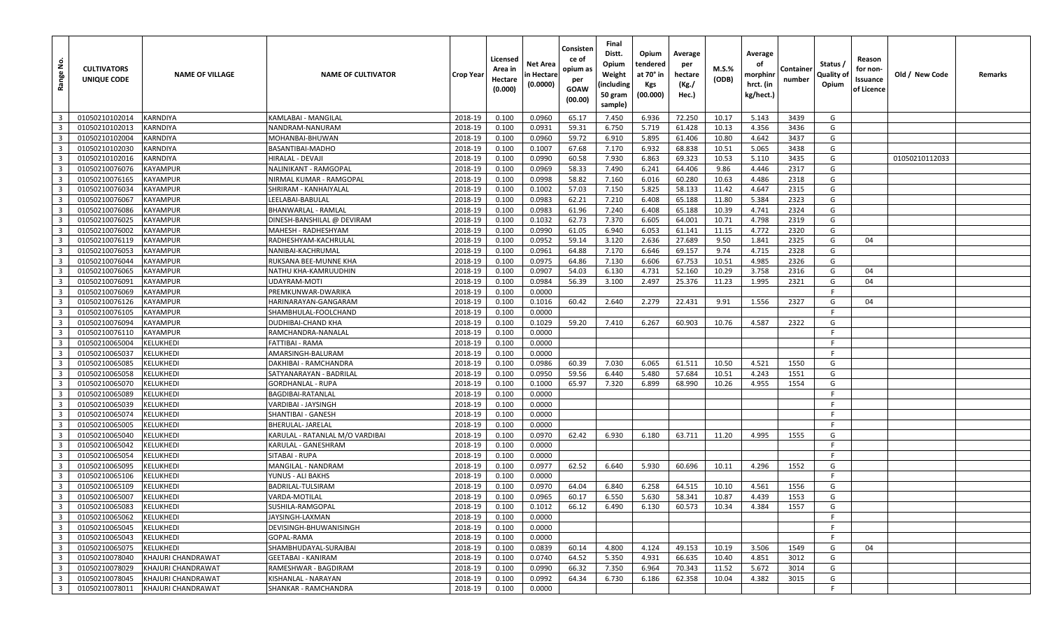| <u>غ</u><br>Range       | <b>CULTIVATORS</b><br>UNIQUE CODE | <b>NAME OF VILLAGE</b> | <b>NAME OF CULTIVATOR</b>       | Crop Year | Licensed<br>Area in<br>Hectare<br>(0.000) | Net Area<br>n Hectare<br>(0.0000) | Consisten<br>ce of<br>opium as<br>per<br><b>GOAW</b><br>(00.00) | Final<br>Distt.<br>Opium<br>Weight<br>(including<br>50 gram<br>sample) | Opium<br>tendered<br>at 70° in<br><b>Kgs</b><br>(00.000) | Average<br>per<br>hectare<br>(Kg./<br>Hec.) | $M.S.\%$<br>(ODB) | Average<br>оf<br>morphinr<br>hrct. (in<br>kg/hect.) | Containe<br>number | Status /<br>Quality of<br>Opium | Reason<br>for non-<br>Issuance<br>of Licence | Old / New Code | Remarks |
|-------------------------|-----------------------------------|------------------------|---------------------------------|-----------|-------------------------------------------|-----------------------------------|-----------------------------------------------------------------|------------------------------------------------------------------------|----------------------------------------------------------|---------------------------------------------|-------------------|-----------------------------------------------------|--------------------|---------------------------------|----------------------------------------------|----------------|---------|
| $\overline{\mathbf{3}}$ | 01050210102014                    | <b>KARNDIYA</b>        | KAMLABAI - MANGILAI             | 2018-19   | 0.100                                     | 0.0960                            | 65.17                                                           | 7.450                                                                  | 6.936                                                    | 72.250                                      | 10.17             | 5.143                                               | 3439               | G                               |                                              |                |         |
| $\overline{\mathbf{3}}$ | 01050210102013                    | <b>KARNDIYA</b>        | NANDRAM-NANURAM                 | 2018-19   | 0.100                                     | 0.0931                            | 59.31                                                           | 6.750                                                                  | 5.719                                                    | 61.428                                      | 10.13             | 4.356                                               | 3436               | G                               |                                              |                |         |
| $\overline{\mathbf{3}}$ | 01050210102004                    | <b>KARNDIYA</b>        | MOHANBAI-BHUWAN                 | 2018-19   | 0.100                                     | 0.0960                            | 59.72                                                           | 6.910                                                                  | 5.895                                                    | 61.406                                      | 10.80             | 4.642                                               | 3437               | G                               |                                              |                |         |
| $\overline{\mathbf{3}}$ | 01050210102030                    | <b>KARNDIYA</b>        | BASANTIBAI-MADHO                | 2018-19   | 0.100                                     | 0.1007                            | 67.68                                                           | 7.170                                                                  | 6.932                                                    | 68.838                                      | 10.51             | 5.065                                               | 3438               | G                               |                                              |                |         |
| $\overline{\mathbf{3}}$ | 01050210102016                    | <b>KARNDIYA</b>        | HIRALAL - DEVAJI                | 2018-19   | 0.100                                     | 0.0990                            | 60.58                                                           | 7.930                                                                  | 6.863                                                    | 69.323                                      | 10.53             | 5.110                                               | 3435               | G                               |                                              | 01050210112033 |         |
| $\overline{\mathbf{3}}$ | 01050210076076                    | <b>KAYAMPUR</b>        | NALINIKANT - RAMGOPAL           | 2018-19   | 0.100                                     | 0.0969                            | 58.33                                                           | 7.490                                                                  | 6.241                                                    | 64.406                                      | 9.86              | 4.446                                               | 2317               | G                               |                                              |                |         |
| $\overline{\mathbf{3}}$ | 01050210076165                    | <b>KAYAMPUR</b>        | NIRMAL KUMAR - RAMGOPAL         | 2018-19   | 0.100                                     | 0.0998                            | 58.82                                                           | 7.160                                                                  | 6.016                                                    | 60.280                                      | 10.63             | 4.486                                               | 2318               | G                               |                                              |                |         |
| $\overline{\mathbf{3}}$ | 01050210076034                    | <b>KAYAMPUR</b>        | SHRIRAM - KANHAIYALAL           | 2018-19   | 0.100                                     | 0.1002                            | 57.03                                                           | 7.150                                                                  | 5.825                                                    | 58.133                                      | 11.42             | 4.647                                               | 2315               | G                               |                                              |                |         |
| $\overline{\mathbf{3}}$ | 01050210076067                    | <b>KAYAMPUR</b>        | LEELABAI-BABULAL                | 2018-19   | 0.100                                     | 0.0983                            | 62.21                                                           | 7.210                                                                  | 6.408                                                    | 65.188                                      | 11.80             | 5.384                                               | 2323               | G                               |                                              |                |         |
| $\overline{\mathbf{3}}$ | 01050210076086                    | <b>KAYAMPUR</b>        | BHANWARLAL - RAMLAL             | 2018-19   | 0.100                                     | 0.0983                            | 61.96                                                           | 7.240                                                                  | 6.408                                                    | 65.188                                      | 10.39             | 4.741                                               | 2324               | G                               |                                              |                |         |
| $\overline{\mathbf{3}}$ | 01050210076025                    | <b>KAYAMPUR</b>        | DINESH-BANSHILAL @ DEVIRAM      | 2018-19   | 0.100                                     | 0.1032                            | 62.73                                                           | 7.370                                                                  | 6.605                                                    | 64.001                                      | 10.71             | 4.798                                               | 2319               | G                               |                                              |                |         |
| $\overline{3}$          | 01050210076002                    | <b>KAYAMPUR</b>        | MAHESH - RADHESHYAM             | 2018-19   | 0.100                                     | 0.0990                            | 61.05                                                           | 6.940                                                                  | 6.053                                                    | 61.141                                      | 11.15             | 4.772                                               | 2320               | G                               |                                              |                |         |
| $\overline{\mathbf{3}}$ | 01050210076119                    | <b>KAYAMPUR</b>        | RADHESHYAM-KACHRULAL            | 2018-19   | 0.100                                     | 0.0952                            | 59.14                                                           | 3.120                                                                  | 2.636                                                    | 27.689                                      | 9.50              | 1.841                                               | 2325               | G                               | 04                                           |                |         |
| $\overline{\mathbf{3}}$ | 01050210076053                    | <b>KAYAMPUR</b>        | NANIBAI-KACHRUMAL               | 2018-19   | 0.100                                     | 0.0961                            | 64.88                                                           | 7.170                                                                  | 6.646                                                    | 69.157                                      | 9.74              | 4.715                                               | 2328               | G                               |                                              |                |         |
| $\overline{\mathbf{3}}$ | 01050210076044                    | <b>KAYAMPUR</b>        | RUKSANA BEE-MUNNE KHA           | 2018-19   | 0.100                                     | 0.0975                            | 64.86                                                           | 7.130                                                                  | 6.606                                                    | 67.753                                      | 10.51             | 4.985                                               | 2326               | G                               |                                              |                |         |
| $\overline{\mathbf{3}}$ | 01050210076065                    | <b>KAYAMPUR</b>        | NATHU KHA-KAMRUUDHIN            | 2018-19   | 0.100                                     | 0.0907                            | 54.03                                                           | 6.130                                                                  | 4.731                                                    | 52.160                                      | 10.29             | 3.758                                               | 2316               | G                               | 04                                           |                |         |
| $\overline{\mathbf{3}}$ | 01050210076091                    | <b>KAYAMPUR</b>        | UDAYRAM-MOTI                    | 2018-19   | 0.100                                     | 0.0984                            | 56.39                                                           | 3.100                                                                  | 2.497                                                    | 25.376                                      | 11.23             | 1.995                                               | 2321               | G                               | 04                                           |                |         |
| $\overline{\mathbf{3}}$ | 01050210076069                    | <b>KAYAMPUR</b>        | PREMKUNWAR-DWARIKA              | 2018-19   | 0.100                                     | 0.0000                            |                                                                 |                                                                        |                                                          |                                             |                   |                                                     |                    | F.                              |                                              |                |         |
| $\overline{\mathbf{3}}$ | 01050210076126                    | <b>KAYAMPUR</b>        | HARINARAYAN-GANGARAM            | 2018-19   | 0.100                                     | 0.1016                            | 60.42                                                           | 2.640                                                                  | 2.279                                                    | 22.431                                      | 9.91              | 1.556                                               | 2327               | G                               | 04                                           |                |         |
| $\overline{\mathbf{3}}$ | 01050210076105                    | <b>KAYAMPUR</b>        | SHAMBHULAL-FOOLCHAND            | 2018-19   | 0.100                                     | 0.0000                            |                                                                 |                                                                        |                                                          |                                             |                   |                                                     |                    | -F                              |                                              |                |         |
| $\overline{\mathbf{3}}$ | 01050210076094                    | <b>KAYAMPUR</b>        | DUDHIBAI-CHAND KHA              | 2018-19   | 0.100                                     | 0.1029                            | 59.20                                                           | 7.410                                                                  | 6.267                                                    | 60.903                                      | 10.76             | 4.587                                               | 2322               | G                               |                                              |                |         |
| $\overline{\mathbf{3}}$ | 01050210076110                    | <b>KAYAMPUR</b>        | RAMCHANDRA-NANALAL              | 2018-19   | 0.100                                     | 0.0000                            |                                                                 |                                                                        |                                                          |                                             |                   |                                                     |                    | F.                              |                                              |                |         |
| $\overline{3}$          | 01050210065004                    | <b>KELUKHEDI</b>       | FATTIBAI - RAMA                 | 2018-19   | 0.100                                     | 0.0000                            |                                                                 |                                                                        |                                                          |                                             |                   |                                                     |                    | -F                              |                                              |                |         |
| $\overline{\mathbf{3}}$ | 01050210065037                    | <b>KELUKHEDI</b>       | AMARSINGH-BALURAM               | 2018-19   | 0.100                                     | 0.0000                            |                                                                 |                                                                        |                                                          |                                             |                   |                                                     |                    | - F                             |                                              |                |         |
| $\overline{\mathbf{3}}$ | 01050210065085                    | <b>KELUKHEDI</b>       | DAKHIBAI - RAMCHANDRA           | 2018-19   | 0.100                                     | 0.0986                            | 60.39                                                           | 7.030                                                                  | 6.065                                                    | 61.511                                      | 10.50             | 4.521                                               | 1550               | G                               |                                              |                |         |
| $\overline{3}$          | 01050210065058                    | <b>KELUKHEDI</b>       | SATYANARAYAN - BADRILAL         | 2018-19   | 0.100                                     | 0.0950                            | 59.56                                                           | 6.440                                                                  | 5.480                                                    | 57.684                                      | 10.51             | 4.243                                               | 1551               | G                               |                                              |                |         |
| $\overline{\mathbf{3}}$ | 01050210065070                    | <b>KELUKHEDI</b>       | GORDHANLAL - RUPA               | 2018-19   | 0.100                                     | 0.1000                            | 65.97                                                           | 7.320                                                                  | 6.899                                                    | 68.990                                      | 10.26             | 4.955                                               | 1554               | G                               |                                              |                |         |
| $\overline{\mathbf{3}}$ | 01050210065089                    | <b>KELUKHEDI</b>       | BAGDIBAI-RATANLAL               | 2018-19   | 0.100                                     | 0.0000                            |                                                                 |                                                                        |                                                          |                                             |                   |                                                     |                    | F.                              |                                              |                |         |
| $\overline{\mathbf{3}}$ | 01050210065039                    | <b>KELUKHEDI</b>       | VARDIBAI - JAYSINGH             | 2018-19   | 0.100                                     | 0.0000                            |                                                                 |                                                                        |                                                          |                                             |                   |                                                     |                    | -F                              |                                              |                |         |
| $\overline{\mathbf{3}}$ | 01050210065074                    | <b>KELUKHEDI</b>       | SHANTIBAI - GANESH              | 2018-19   | 0.100                                     | 0.0000                            |                                                                 |                                                                        |                                                          |                                             |                   |                                                     |                    | -F                              |                                              |                |         |
| $\overline{\mathbf{3}}$ | 01050210065005                    | <b>KELUKHEDI</b>       | <b>BHERULAL-JARELAL</b>         | 2018-19   | 0.100                                     | 0.0000                            |                                                                 |                                                                        |                                                          |                                             |                   |                                                     |                    | -F                              |                                              |                |         |
| $\overline{\mathbf{3}}$ | 01050210065040                    | <b>KELUKHEDI</b>       | KARULAL - RATANLAL M/O VARDIBAI | 2018-19   | 0.100                                     | 0.0970                            | 62.42                                                           | 6.930                                                                  | 6.180                                                    | 63.711                                      | 11.20             | 4.995                                               | 1555               | G                               |                                              |                |         |
| $\overline{\mathbf{3}}$ | 01050210065042                    | <b>KELUKHEDI</b>       | KARULAL - GANESHRAM             | 2018-19   | 0.100                                     | 0.0000                            |                                                                 |                                                                        |                                                          |                                             |                   |                                                     |                    | F.                              |                                              |                |         |
| $\overline{\mathbf{3}}$ | 01050210065054                    | <b>KELUKHEDI</b>       | SITABAI - RUPA                  | 2018-19   | 0.100                                     | 0.0000                            |                                                                 |                                                                        |                                                          |                                             |                   |                                                     |                    | E                               |                                              |                |         |
| $\overline{\mathbf{3}}$ | 01050210065095                    | <b>KELUKHED</b>        | MANGILAL - NANDRAM              | 2018-19   | 0.100                                     | 0.0977                            | 62.52                                                           | 6.640                                                                  | 5.930                                                    | 60.696                                      | 10.11             | 4.296                                               | 1552               | G                               |                                              |                |         |
| $\overline{\mathbf{3}}$ | 01050210065106                    | <b>KELUKHEDI</b>       | YUNUS - ALI BAKHS               | 2018-19   | 0.100                                     | 0.0000                            |                                                                 |                                                                        |                                                          |                                             |                   |                                                     |                    | -F                              |                                              |                |         |
| $\overline{\mathbf{3}}$ | 01050210065109                    | <b>KELUKHEDI</b>       | BADRILAL-TULSIRAM               | 2018-19   | 0.100                                     | 0.0970                            | 64.04                                                           | 6.840                                                                  | 6.258                                                    | 64.515                                      | 10.10             | 4.561                                               | 1556               | G                               |                                              |                |         |
| $\overline{\mathbf{3}}$ | 01050210065007                    | <b>KELUKHEDI</b>       | VARDA-MOTILAL                   | 2018-19   | 0.100                                     | 0.0965                            | 60.17                                                           | 6.550                                                                  | 5.630                                                    | 58.341                                      | 10.87             | 4.439                                               | 1553               | G                               |                                              |                |         |
| $\overline{\mathbf{3}}$ | 01050210065083                    | KELUKHEDI              | SUSHILA-RAMGOPAL                | 2018-19   | 0.100                                     | 0.1012                            | 66.12                                                           | 6.490                                                                  | 6.130                                                    | 60.573                                      | 10.34             | 4.384                                               | 1557               | G                               |                                              |                |         |
| $\overline{\mathbf{3}}$ | 01050210065062                    | KELUKHEDI              | JAYSINGH-LAXMAN                 | 2018-19   | 0.100                                     | 0.0000                            |                                                                 |                                                                        |                                                          |                                             |                   |                                                     |                    | -F.                             |                                              |                |         |
| $\overline{\mathbf{3}}$ | 01050210065045                    | <b>KELUKHEDI</b>       | DEVISINGH-BHUWANISINGH          | 2018-19   | 0.100                                     | 0.0000                            |                                                                 |                                                                        |                                                          |                                             |                   |                                                     |                    | F.                              |                                              |                |         |
| $\overline{\mathbf{3}}$ | 01050210065043                    | KELUKHEDI              | GOPAL-RAMA                      | 2018-19   | 0.100                                     | 0.0000                            |                                                                 |                                                                        |                                                          |                                             |                   |                                                     |                    | F.                              |                                              |                |         |
| $\overline{\mathbf{3}}$ | 01050210065075                    | KELUKHEDI              | SHAMBHUDAYAL-SURAJBAI           | 2018-19   | 0.100                                     | 0.0839                            | 60.14                                                           | 4.800                                                                  | 4.124                                                    | 49.153                                      | 10.19             | 3.506                                               | 1549               | G                               | 04                                           |                |         |
| $\overline{\mathbf{3}}$ | 01050210078040                    | KHAJURI CHANDRAWAT     | <b>GEETABAI - KANIRAM</b>       | 2018-19   | 0.100                                     | 0.0740                            | 64.52                                                           | 5.350                                                                  | 4.931                                                    | 66.635                                      | 10.40             | 4.851                                               | 3012               | G                               |                                              |                |         |
| $\overline{\mathbf{3}}$ | 01050210078029                    | KHAJURI CHANDRAWAT     | RAMESHWAR - BAGDIRAM            | 2018-19   | 0.100                                     | 0.0990                            | 66.32                                                           | 7.350                                                                  | 6.964                                                    | 70.343                                      | 11.52             | 5.672                                               | 3014               | G                               |                                              |                |         |
| $\overline{\mathbf{3}}$ | 01050210078045                    | KHAJURI CHANDRAWAT     | KISHANLAL - NARAYAN             | 2018-19   | 0.100                                     | 0.0992                            | 64.34                                                           | 6.730                                                                  | 6.186                                                    | 62.358                                      | 10.04             | 4.382                                               | 3015               | G                               |                                              |                |         |
| $\overline{\mathbf{3}}$ | 01050210078011                    | KHAJURI CHANDRAWAT     | SHANKAR - RAMCHANDRA            | 2018-19   | 0.100                                     | 0.0000                            |                                                                 |                                                                        |                                                          |                                             |                   |                                                     |                    | F                               |                                              |                |         |
|                         |                                   |                        |                                 |           |                                           |                                   |                                                                 |                                                                        |                                                          |                                             |                   |                                                     |                    |                                 |                                              |                |         |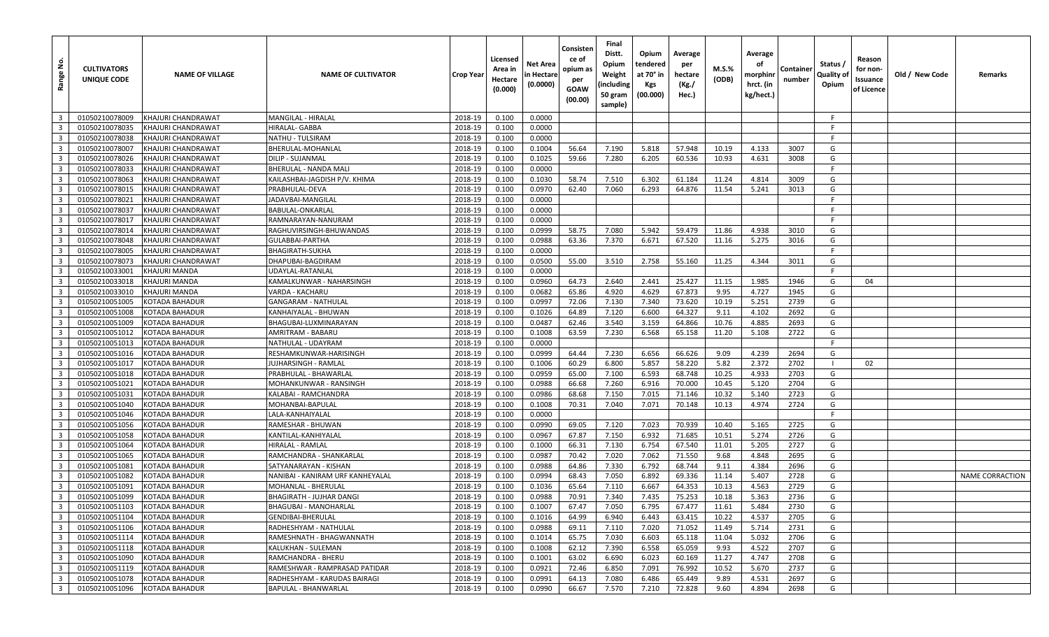| <u>غ</u><br>Range       | <b>CULTIVATORS</b><br>UNIQUE CODE | <b>NAME OF VILLAGE</b> | <b>NAME OF CULTIVATOR</b>        | Crop Year | Licensed<br>Area in<br>Hectare<br>(0.000) | Net Area<br>n Hectare<br>(0.0000) | Consisten<br>ce of<br>opium as<br>per<br>GOAW<br>(00.00) | Final<br>Distt.<br>Opium<br>Weight<br>(including<br>50 gram<br>sample) | Opium<br>tendered<br>at 70° in<br><b>Kgs</b><br>(00.000) | Average<br>per<br>hectare<br>(Kg./<br>Hec.) | <b>M.S.%</b><br>(ODB) | Average<br>оf<br>morphinr<br>hrct. (in<br>kg/hect.) | Containe<br>number | Status /<br>Quality of<br>Opium | Reason<br>for non-<br>Issuance<br>of Licence | Old / New Code | Remarks                |
|-------------------------|-----------------------------------|------------------------|----------------------------------|-----------|-------------------------------------------|-----------------------------------|----------------------------------------------------------|------------------------------------------------------------------------|----------------------------------------------------------|---------------------------------------------|-----------------------|-----------------------------------------------------|--------------------|---------------------------------|----------------------------------------------|----------------|------------------------|
| $\overline{\mathbf{3}}$ | 01050210078009                    | KHAJURI CHANDRAWAT     | MANGILAL - HIRALAL               | 2018-19   | 0.100                                     | 0.0000                            |                                                          |                                                                        |                                                          |                                             |                       |                                                     |                    | -F                              |                                              |                |                        |
| $\overline{\mathbf{3}}$ | 01050210078035                    | KHAJURI CHANDRAWAT     | HIRALAL- GABBA                   | 2018-19   | 0.100                                     | 0.0000                            |                                                          |                                                                        |                                                          |                                             |                       |                                                     |                    | -F                              |                                              |                |                        |
| $\overline{\mathbf{3}}$ | 01050210078038                    | KHAJURI CHANDRAWAT     | NATHU - TULSIRAM                 | 2018-19   | 0.100                                     | 0.0000                            |                                                          |                                                                        |                                                          |                                             |                       |                                                     |                    | F.                              |                                              |                |                        |
| $\overline{\mathbf{3}}$ | 01050210078007                    | KHAJURI CHANDRAWAT     | BHERULAL-MOHANLAL                | 2018-19   | 0.100                                     | 0.1004                            | 56.64                                                    | 7.190                                                                  | 5.818                                                    | 57.948                                      | 10.19                 | 4.133                                               | 3007               | G                               |                                              |                |                        |
| $\overline{\mathbf{3}}$ | 01050210078026                    | KHAJURI CHANDRAWAT     | DILIP - SUJANMAL                 | 2018-19   | 0.100                                     | 0.1025                            | 59.66                                                    | 7.280                                                                  | 6.205                                                    | 60.536                                      | 10.93                 | 4.631                                               | 3008               | G                               |                                              |                |                        |
| $\overline{\mathbf{3}}$ | 01050210078033                    | KHAJURI CHANDRAWAT     | BHERULAL - NANDA MALI            | 2018-19   | 0.100                                     | 0.0000                            |                                                          |                                                                        |                                                          |                                             |                       |                                                     |                    | F.                              |                                              |                |                        |
| $\overline{\mathbf{3}}$ | 01050210078063                    | KHAJURI CHANDRAWAT     | KAILASHBAI-JAGDISH P/V. KHIMA    | 2018-19   | 0.100                                     | 0.1030                            | 58.74                                                    | 7.510                                                                  | 6.302                                                    | 61.184                                      | 11.24                 | 4.814                                               | 3009               | G                               |                                              |                |                        |
| $\overline{\mathbf{3}}$ | 01050210078015                    | KHAJURI CHANDRAWAT     | PRABHULAL-DEVA                   | 2018-19   | 0.100                                     | 0.0970                            | 62.40                                                    | 7.060                                                                  | 6.293                                                    | 64.876                                      | 11.54                 | 5.241                                               | 3013               | G                               |                                              |                |                        |
| $\overline{\mathbf{3}}$ | 01050210078021                    | KHAJURI CHANDRAWAT     | JADAVBAI-MANGILAL                | 2018-19   | 0.100                                     | 0.0000                            |                                                          |                                                                        |                                                          |                                             |                       |                                                     |                    | F.                              |                                              |                |                        |
| $\overline{\mathbf{3}}$ | 01050210078037                    | KHAJURI CHANDRAWAT     | BABULAL-ONKARLAL                 | 2018-19   | 0.100                                     | 0.0000                            |                                                          |                                                                        |                                                          |                                             |                       |                                                     |                    | F.                              |                                              |                |                        |
| $\overline{\mathbf{3}}$ | 01050210078017                    | KHAJURI CHANDRAWAT     | RAMNARAYAN-NANURAM               | 2018-19   | 0.100                                     | 0.0000                            |                                                          |                                                                        |                                                          |                                             |                       |                                                     |                    | -F                              |                                              |                |                        |
| $\overline{\mathbf{3}}$ | 01050210078014                    | KHAJURI CHANDRAWAT     | RAGHUVIRSINGH-BHUWANDAS          | 2018-19   | 0.100                                     | 0.0999                            | 58.75                                                    | 7.080                                                                  | 5.942                                                    | 59.479                                      | 11.86                 | 4.938                                               | 3010               | G                               |                                              |                |                        |
| $\overline{\mathbf{3}}$ | 01050210078048                    | KHAJURI CHANDRAWAT     | GULABBAI-PARTHA                  | 2018-19   | 0.100                                     | 0.0988                            | 63.36                                                    | 7.370                                                                  | 6.671                                                    | 67.520                                      | 11.16                 | 5.275                                               | 3016               | G                               |                                              |                |                        |
| $\overline{\mathbf{3}}$ | 01050210078005                    | KHAJURI CHANDRAWAT     | BHAGIRATH-SUKHA                  | 2018-19   | 0.100                                     | 0.0000                            |                                                          |                                                                        |                                                          |                                             |                       |                                                     |                    | F                               |                                              |                |                        |
| $\overline{\mathbf{3}}$ | 01050210078073                    | KHAJURI CHANDRAWAT     | DHAPUBAI-BAGDIRAM                | 2018-19   | 0.100                                     | 0.0500                            | 55.00                                                    | 3.510                                                                  | 2.758                                                    | 55.160                                      | 11.25                 | 4.344                                               | 3011               | G                               |                                              |                |                        |
| $\overline{\mathbf{3}}$ | 01050210033001                    | <b>KHAJURI MANDA</b>   | UDAYLAL-RATANLAL                 | 2018-19   | 0.100                                     | 0.0000                            |                                                          |                                                                        |                                                          |                                             |                       |                                                     |                    | -F                              |                                              |                |                        |
| $\overline{\mathbf{3}}$ | 01050210033018                    | <b>KHAJURI MANDA</b>   | KAMALKUNWAR - NAHARSINGH         | 2018-19   | 0.100                                     | 0.0960                            | 64.73                                                    | 2.640                                                                  | 2.441                                                    | 25.427                                      | 11.15                 | 1.985                                               | 1946               | G                               | 04                                           |                |                        |
| $\overline{\mathbf{3}}$ | 01050210033010                    | KHAJURI MANDA          | VARDA - KACHARU                  | 2018-19   | 0.100                                     | 0.0682                            | 65.86                                                    | 4.920                                                                  | 4.629                                                    | 67.873                                      | 9.95                  | 4.727                                               | 1945               | G                               |                                              |                |                        |
| $\overline{\mathbf{3}}$ | 01050210051005                    | <b>KOTADA BAHADUR</b>  | <b>GANGARAM - NATHULAL</b>       | 2018-19   | 0.100                                     | 0.0997                            | 72.06                                                    | 7.130                                                                  | 7.340                                                    | 73.620                                      | 10.19                 | 5.251                                               | 2739               | G                               |                                              |                |                        |
| $\overline{\mathbf{3}}$ | 01050210051008                    | <b>KOTADA BAHADUR</b>  | KANHAIYALAL - BHUWAN             | 2018-19   | 0.100                                     | 0.1026                            | 64.89                                                    | 7.120                                                                  | 6.600                                                    | 64.327                                      | 9.11                  | 4.102                                               | 2692               | G                               |                                              |                |                        |
| $\overline{\mathbf{3}}$ | 01050210051009                    | <b>KOTADA BAHADUR</b>  | BHAGUBAI-LUXMINARAYAN            | 2018-19   | 0.100                                     | 0.0487                            | 62.46                                                    | 3.540                                                                  | 3.159                                                    | 64.866                                      | 10.76                 | 4.885                                               | 2693               | G                               |                                              |                |                        |
| $\overline{\mathbf{3}}$ | 01050210051012                    | <b>KOTADA BAHADUR</b>  | AMRITRAM - BABARU                | 2018-19   | 0.100                                     | 0.1008                            | 63.59                                                    | 7.230                                                                  | 6.568                                                    | 65.158                                      | 11.20                 | 5.108                                               | 2722               | G                               |                                              |                |                        |
| $\overline{3}$          | 01050210051013                    | <b>KOTADA BAHADUR</b>  | NATHULAL - UDAYRAM               | 2018-19   | 0.100                                     | 0.0000                            |                                                          |                                                                        |                                                          |                                             |                       |                                                     |                    | F.                              |                                              |                |                        |
| $\overline{\mathbf{3}}$ | 01050210051016                    | <b>KOTADA BAHADUR</b>  | RESHAMKUNWAR-HARISINGH           | 2018-19   | 0.100                                     | 0.0999                            | 64.44                                                    | 7.230                                                                  | 6.656                                                    | 66.626                                      | 9.09                  | 4.239                                               | 2694               | G                               |                                              |                |                        |
| $\overline{\mathbf{3}}$ | 01050210051017                    | <b>KOTADA BAHADUR</b>  | JUJHARSINGH - RAMLAL             | 2018-19   | 0.100                                     | 0.1006                            | 60.29                                                    | 6.800                                                                  | 5.857                                                    | 58.220                                      | 5.82                  | 2.372                                               | 2702               |                                 | 02                                           |                |                        |
| $\overline{\mathbf{3}}$ | 01050210051018                    | <b>KOTADA BAHADUR</b>  | PRABHULAL - BHAWARLAL            | 2018-19   | 0.100                                     | 0.0959                            | 65.00                                                    | 7.100                                                                  | 6.593                                                    | 68.748                                      | 10.25                 | 4.933                                               | 2703               | G                               |                                              |                |                        |
| $\overline{\mathbf{3}}$ | 01050210051021                    | <b>KOTADA BAHADUR</b>  | MOHANKUNWAR - RANSINGH           | 2018-19   | 0.100                                     | 0.0988                            | 66.68                                                    | 7.260                                                                  | 6.916                                                    | 70.000                                      | 10.45                 | 5.120                                               | 2704               | G                               |                                              |                |                        |
| $\overline{\mathbf{3}}$ | 01050210051031                    | <b>KOTADA BAHADUR</b>  | KALABAI - RAMCHANDRA             | 2018-19   | 0.100                                     | 0.0986                            | 68.68                                                    | 7.150                                                                  | 7.015                                                    | 71.146                                      | 10.32                 | 5.140                                               | 2723               | G                               |                                              |                |                        |
| $\overline{\mathbf{3}}$ | 01050210051040                    | <b>KOTADA BAHADUR</b>  | MOHANBAI-BAPULAL                 | 2018-19   | 0.100                                     | 0.1008                            | 70.31                                                    | 7.040                                                                  | 7.071                                                    | 70.148                                      | 10.13                 | 4.974                                               | 2724               | G                               |                                              |                |                        |
| $\overline{\mathbf{3}}$ | 01050210051046                    | <b>KOTADA BAHADUR</b>  | LALA-KANHAIYALAL                 | 2018-19   | 0.100                                     | 0.0000                            |                                                          |                                                                        |                                                          |                                             |                       |                                                     |                    | F.                              |                                              |                |                        |
| $\overline{\mathbf{3}}$ | 01050210051056                    | <b>KOTADA BAHADUR</b>  | RAMESHAR - BHUWAN                | 2018-19   | 0.100                                     | 0.0990                            | 69.05                                                    | 7.120                                                                  | 7.023                                                    | 70.939                                      | 10.40                 | 5.165                                               | 2725               | G                               |                                              |                |                        |
| $\overline{\mathbf{3}}$ | 01050210051058                    | <b>KOTADA BAHADUR</b>  | KANTILAL-KANHIYALAL              | 2018-19   | 0.100                                     | 0.0967                            | 67.87                                                    | 7.150                                                                  | 6.932                                                    | 71.685                                      | 10.51                 | 5.274                                               | 2726               | G                               |                                              |                |                        |
| $\overline{\mathbf{3}}$ | 01050210051064                    | <b>KOTADA BAHADUR</b>  | HIRALAL - RAMLAL                 | 2018-19   | 0.100                                     | 0.1000                            | 66.31                                                    | 7.130                                                                  | 6.754                                                    | 67.540                                      | 11.01                 | 5.205                                               | 2727               | G                               |                                              |                |                        |
| $\overline{\mathbf{3}}$ | 01050210051065                    | <b>KOTADA BAHADUR</b>  | RAMCHANDRA - SHANKARLAL          | 2018-19   | 0.100                                     | 0.0987                            | 70.42                                                    | 7.020                                                                  | 7.062                                                    | 71.550                                      | 9.68                  | 4.848                                               | 2695               | G                               |                                              |                |                        |
| $\overline{\mathbf{3}}$ | 01050210051081                    | <b>KOTADA BAHADUR</b>  | SATYANARAYAN - KISHAN            | 2018-19   | 0.100                                     | 0.0988                            | 64.86                                                    | 7.330                                                                  | 6.792                                                    | 68.744                                      | 9.11                  | 4.384                                               | 2696               | G                               |                                              |                |                        |
| $\overline{\mathbf{3}}$ | 01050210051082                    | <b>KOTADA BAHADUR</b>  | NANIBAI - KANIRAM URF KANHEYALAL | 2018-19   | 0.100                                     | 0.0994                            | 68.43                                                    | 7.050                                                                  | 6.892                                                    | 69.336                                      | 11.14                 | 5.407                                               | 2728               | G                               |                                              |                | <b>NAME CORRACTION</b> |
| $\overline{\mathbf{3}}$ | 01050210051091                    | <b>KOTADA BAHADUR</b>  | MOHANLAL - BHERULAL              | 2018-19   | 0.100                                     | 0.1036                            | 65.64                                                    | 7.110                                                                  | 6.667                                                    | 64.353                                      | 10.13                 | 4.563                                               | 2729               | G                               |                                              |                |                        |
| $\overline{\mathbf{3}}$ | 01050210051099                    | <b>KOTADA BAHADUR</b>  | BHAGIRATH - JUJHAR DANGI         | 2018-19   | 0.100                                     | 0.0988                            | 70.91                                                    | 7.340                                                                  | 7.435                                                    | 75.253                                      | 10.18                 | 5.363                                               | 2736               | G                               |                                              |                |                        |
| $\overline{\mathbf{3}}$ | 01050210051103                    | <b>KOTADA BAHADUR</b>  | BHAGUBAI - MANOHARLAL            | 2018-19   | 0.100                                     | 0.1007                            | 67.47                                                    | 7.050                                                                  | 6.795                                                    | 67.477                                      | 11.61                 | 5.484                                               | 2730               | G                               |                                              |                |                        |
| $\overline{\mathbf{3}}$ | 01050210051104                    | <b>KOTADA BAHADUR</b>  | GENDIBAI-BHERULAL                | 2018-19   | 0.100                                     | 0.1016                            | 64.99                                                    | 6.940                                                                  | 6.443                                                    | 63.415                                      | 10.22                 | 4.537                                               | 2705               | G                               |                                              |                |                        |
| $\overline{\mathbf{3}}$ | 01050210051106                    | KOTADA BAHADUR         | RADHESHYAM - NATHULAL            | 2018-19   | 0.100                                     | 0.0988                            | 69.11                                                    | 7.110                                                                  | 7.020                                                    | 71.052                                      | 11.49                 | 5.714                                               | 2731               | G                               |                                              |                |                        |
| $\overline{\mathbf{3}}$ | 01050210051114                    | <b>KOTADA BAHADUR</b>  | RAMESHNATH - BHAGWANNATH         | 2018-19   | 0.100                                     | 0.1014                            | 65.75                                                    | 7.030                                                                  | 6.603                                                    | 65.118                                      | 11.04                 | 5.032                                               | 2706               | G                               |                                              |                |                        |
| $\overline{\mathbf{3}}$ | 01050210051118                    | KOTADA BAHADUR         | KALUKHAN - SULEMAN               | 2018-19   | 0.100                                     | 0.1008                            | 62.12                                                    | 7.390                                                                  | 6.558                                                    | 65.059                                      | 9.93                  | 4.522                                               | 2707               | G                               |                                              |                |                        |
| $\overline{\mathbf{3}}$ | 01050210051090                    | KOTADA BAHADUR         | RAMCHANDRA - BHERU               | 2018-19   | 0.100                                     | 0.1001                            | 63.02                                                    | 6.690                                                                  | 6.023                                                    | 60.169                                      | 11.27                 | 4.747                                               | 2708               | G                               |                                              |                |                        |
| $\overline{\mathbf{3}}$ | 01050210051119                    | KOTADA BAHADUR         | RAMESHWAR - RAMPRASAD PATIDAR    | 2018-19   | 0.100                                     | 0.0921                            | 72.46                                                    | 6.850                                                                  | 7.091                                                    | 76.992                                      | 10.52                 | 5.670                                               | 2737               | G                               |                                              |                |                        |
| $\overline{\mathbf{3}}$ | 01050210051078                    | <b>KOTADA BAHADUR</b>  | RADHESHYAM - KARUDAS BAIRAGI     | 2018-19   | 0.100                                     | 0.0991                            | 64.13                                                    | 7.080                                                                  | 6.486                                                    | 65.449                                      | 9.89                  | 4.531                                               | 2697               | G                               |                                              |                |                        |
| $\overline{\mathbf{3}}$ | 01050210051096                    | <b>KOTADA BAHADUR</b>  | <b>BAPULAL - BHANWARLAL</b>      | 2018-19   | 0.100                                     | 0.0990                            | 66.67                                                    | 7.570                                                                  | 7.210                                                    | 72.828                                      | 9.60                  | 4.894                                               | 2698               | G                               |                                              |                |                        |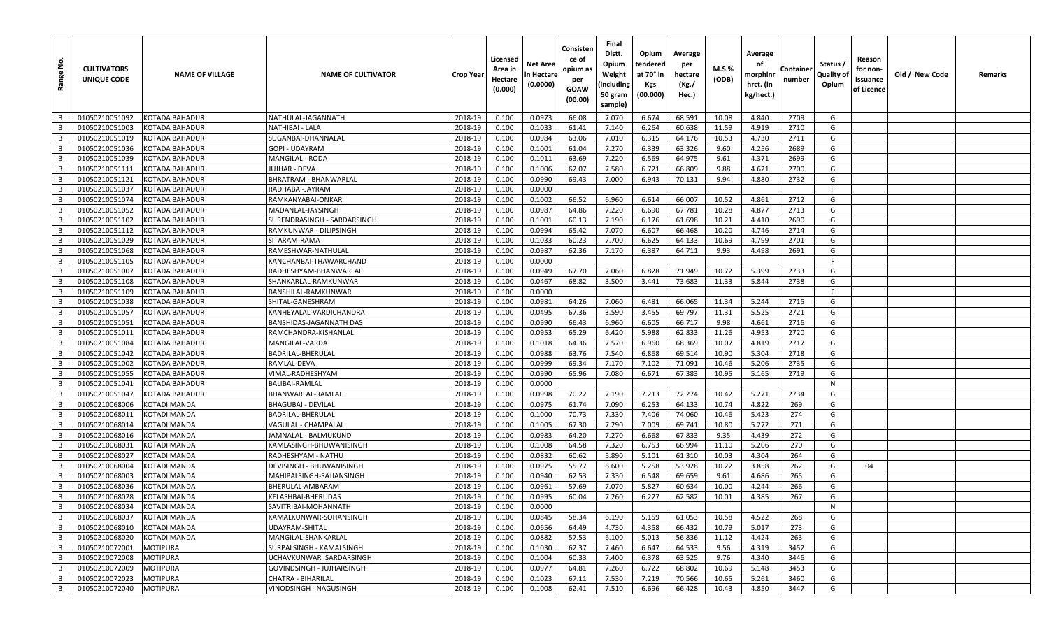| <u>و</u><br>Range                                  | <b>CULTIVATORS</b><br>UNIQUE CODE | <b>NAME OF VILLAGE</b>             | <b>NAME OF CULTIVATOR</b>                    | <b>Crop Year</b>   | Licensed<br>Area in<br>Hectare<br>(0.000) | Net Area<br>in Hectare<br>(0.0000) | Consisten<br>ce of<br>opium as<br>per<br>GOAW<br>(00.00) | Final<br>Distt.<br>Opium<br>Weight<br>(including<br>50 gram<br>sample) | Opium<br>tendered<br>at 70° in<br>Kgs<br>(00.000) | Average<br>per<br>hectare<br>(Kg./<br>Hec.) | M.S.%<br>(ODB) | Average<br>οf<br>morphinr<br>hrct. (in<br>kg/hect.) | Container<br>number | Status /<br>Quality of<br>Opium | Reason<br>for non-<br>Issuance<br>of Licence | Old / New Code | Remarks |
|----------------------------------------------------|-----------------------------------|------------------------------------|----------------------------------------------|--------------------|-------------------------------------------|------------------------------------|----------------------------------------------------------|------------------------------------------------------------------------|---------------------------------------------------|---------------------------------------------|----------------|-----------------------------------------------------|---------------------|---------------------------------|----------------------------------------------|----------------|---------|
| $\overline{\mathbf{3}}$                            | 01050210051092                    | <b>KOTADA BAHADUR</b>              | NATHULAL-JAGANNATH                           | 2018-19            | 0.100                                     | 0.0973                             | 66.08                                                    | 7.070                                                                  | 6.674                                             | 68.591                                      | 10.08          | 4.840                                               | 2709                | G                               |                                              |                |         |
| $\overline{3}$                                     | 01050210051003                    | KOTADA BAHADUR                     | NATHIBAI - LALA                              | 2018-19            | 0.100                                     | 0.1033                             | 61.41                                                    | 7.140                                                                  | 6.264                                             | 60.638                                      | 11.59          | 4.919                                               | 2710                | G                               |                                              |                |         |
| $\overline{\mathbf{3}}$                            | 01050210051019                    | <b>KOTADA BAHADUR</b>              | SUGANBAI-DHANNALAL                           | 2018-19            | 0.100                                     | 0.0984                             | 63.06                                                    | 7.010                                                                  | 6.315                                             | 64.176                                      | 10.53          | 4.730                                               | 2711                | G                               |                                              |                |         |
| $\overline{\mathbf{3}}$                            | 01050210051036                    | KOTADA BAHADUR                     | GOPI - UDAYRAM                               | 2018-19            | 0.100                                     | 0.1001                             | 61.04                                                    | 7.270                                                                  | 6.339                                             | 63.326                                      | 9.60           | 4.256                                               | 2689                | G                               |                                              |                |         |
| $\overline{\mathbf{3}}$                            | 01050210051039                    | KOTADA BAHADUR                     | MANGILAL - RODA                              | 2018-19            | 0.100                                     | 0.1011                             | 63.69                                                    | 7.220                                                                  | 6.569                                             | 64.975                                      | 9.61           | 4.371                                               | 2699                | G                               |                                              |                |         |
| $\overline{3}$                                     | 01050210051111                    | KOTADA BAHADUR                     | UJHAR - DEVA                                 | 2018-19            | 0.100                                     | 0.1006                             | 62.07                                                    | 7.580                                                                  | 6.721                                             | 66.809                                      | 9.88           | 4.621                                               | 2700                | G                               |                                              |                |         |
| $\overline{\mathbf{3}}$                            | 01050210051121                    | KOTADA BAHADUR                     | BHRATRAM - BHANWARLAL                        | 2018-19            | 0.100                                     | 0.0990                             | 69.43                                                    | 7.000                                                                  | 6.943                                             | 70.131                                      | 9.94           | 4.880                                               | 2732                | G                               |                                              |                |         |
| $\overline{\mathbf{3}}$                            | 01050210051037                    | KOTADA BAHADUR                     | RADHABAI-JAYRAM                              | 2018-19            | 0.100                                     | 0.0000                             |                                                          |                                                                        |                                                   |                                             |                |                                                     |                     | F.                              |                                              |                |         |
| $\overline{3}$                                     | 01050210051074                    | KOTADA BAHADUR                     | RAMKANYABAI-ONKAR                            | 2018-19            | 0.100                                     | 0.1002                             | 66.52                                                    | 6.960                                                                  | 6.614                                             | 66.007                                      | 10.52          | 4.861                                               | 2712                | G                               |                                              |                |         |
| $\overline{3}$                                     | 01050210051052                    | KOTADA BAHADUR                     | MADANLAL-JAYSINGH                            | 2018-19            | 0.100                                     | 0.0987                             | 64.86                                                    | 7.220                                                                  | 6.690                                             | 67.781                                      | 10.28          | 4.877                                               | 2713                | G                               |                                              |                |         |
| $\overline{\mathbf{3}}$                            | 01050210051102                    | KOTADA BAHADUR                     | SURENDRASINGH - SARDARSINGH                  | 2018-19            | 0.100                                     | 0.1001                             | 60.13                                                    | 7.190                                                                  | 6.176                                             | 61.698                                      | 10.21          | 4.410                                               | 2690                | G                               |                                              |                |         |
| $\overline{3}$                                     | 01050210051112                    | KOTADA BAHADUR                     | RAMKUNWAR - DILIPSINGH                       | 2018-19            | 0.100                                     | 0.0994                             | 65.42                                                    | 7.070                                                                  | 6.607                                             | 66.468                                      | 10.20          | 4.746                                               | 2714                | G                               |                                              |                |         |
| $\overline{\mathbf{3}}$                            | 01050210051029                    | KOTADA BAHADUR                     | SITARAM-RAMA                                 | 2018-19            | 0.100                                     | 0.1033                             | 60.23                                                    | 7.700                                                                  | 6.625                                             | 64.133                                      | 10.69          | 4.799                                               | 2701                | G                               |                                              |                |         |
| $\overline{\mathbf{3}}$                            | 01050210051068                    | KOTADA BAHADUR                     | RAMESHWAR-NATHULAL                           | 2018-19            | 0.100                                     | 0.0987                             | 62.36                                                    | 7.170                                                                  | 6.387                                             | 64.711                                      | 9.93           | 4.498                                               | 2691                | G                               |                                              |                |         |
| $\overline{3}$                                     | 01050210051105                    | KOTADA BAHADUR                     | KANCHANBAI-THAWARCHAND                       | 2018-19            | 0.100                                     | 0.0000                             |                                                          |                                                                        |                                                   |                                             |                |                                                     |                     | -F                              |                                              |                |         |
| $\overline{\mathbf{3}}$                            | 01050210051007                    | KOTADA BAHADUR                     | RADHESHYAM-BHANWARLAL                        | 2018-19            | 0.100                                     | 0.0949                             | 67.70                                                    | 7.060                                                                  | 6.828                                             | 71.949                                      | 10.72          | 5.399                                               | 2733                | G                               |                                              |                |         |
| $\overline{\mathbf{3}}$                            | 01050210051108                    | KOTADA BAHADUR                     | SHANKARLAL-RAMKUNWAR                         | 2018-19            | 0.100                                     | 0.0467                             | 68.82                                                    | 3.500                                                                  | 3.441                                             | 73.683                                      | 11.33          | 5.844                                               | 2738                | G                               |                                              |                |         |
| $\overline{\mathbf{3}}$                            | 01050210051109                    | KOTADA BAHADUR                     | BANSHILAL-RAMKUNWAR                          | 2018-19            | 0.100                                     | 0.0000                             |                                                          |                                                                        |                                                   |                                             |                |                                                     |                     | F                               |                                              |                |         |
| $\overline{3}$                                     | 01050210051038                    | KOTADA BAHADUR                     | SHITAL-GANESHRAM                             | 2018-19            | 0.100                                     | 0.0981                             | 64.26                                                    | 7.060                                                                  | 6.481                                             | 66.065                                      | 11.34          | 5.244                                               | 2715                | G                               |                                              |                |         |
| $\overline{3}$                                     | 01050210051057                    | KOTADA BAHADUR                     | KANHEYALAL-VARDICHANDRA                      | 2018-19            | 0.100                                     | 0.0495                             | 67.36                                                    | 3.590                                                                  | 3.455                                             | 69.797                                      | 11.31          | 5.525                                               | 2721                | G                               |                                              |                |         |
| $\overline{3}$                                     | 01050210051051                    | KOTADA BAHADUR                     | BANSHIDAS-JAGANNATH DAS                      | 2018-19            | 0.100                                     | 0.0990                             | 66.43                                                    | 6.960                                                                  | 6.605                                             | 66.717                                      | 9.98           | 4.661                                               | 2716                | G                               |                                              |                |         |
| $\overline{\mathbf{3}}$                            | 01050210051011                    | <b>KOTADA BAHADUR</b>              | RAMCHANDRA-KISHANLAL                         | 2018-19            | 0.100                                     | 0.0953                             | 65.29                                                    | 6.420                                                                  | 5.988                                             | 62.833                                      | 11.26          | 4.953                                               | 2720                | G                               |                                              |                |         |
| $\overline{3}$                                     | 01050210051084                    | KOTADA BAHADUR                     | MANGILAL-VARDA                               | 2018-19            | 0.100                                     | 0.1018                             | 64.36                                                    | 7.570                                                                  | 6.960                                             | 68.369                                      | 10.07          | 4.819                                               | 2717                | G                               |                                              |                |         |
| $\overline{\mathbf{3}}$                            | 01050210051042                    | KOTADA BAHADUR                     | BADRILAL-BHERULAL                            | 2018-19            | 0.100                                     | 0.0988                             | 63.76                                                    | 7.540                                                                  | 6.868                                             | 69.514                                      | 10.90          | 5.304                                               | 2718                | G                               |                                              |                |         |
| $\overline{\mathbf{3}}$                            | 01050210051002                    | KOTADA BAHADUR                     | RAMLAL-DEVA                                  | 2018-19            | 0.100                                     | 0.0999                             | 69.34                                                    | 7.170                                                                  | 7.102                                             | 71.091                                      | 10.46          | 5.206                                               | 2735                | G                               |                                              |                |         |
| $\overline{3}$                                     | 01050210051055                    | KOTADA BAHADUR                     | VIMAL-RADHESHYAM                             | 2018-19            | 0.100                                     | 0.0990                             | 65.96                                                    | 7.080                                                                  | 6.671                                             | 67.383                                      | 10.95          | 5.165                                               | 2719                | G                               |                                              |                |         |
| $\overline{\mathbf{3}}$                            | 01050210051041                    | KOTADA BAHADUR                     | BALIBAI-RAMLAL                               | 2018-19            | 0.100                                     | 0.0000                             |                                                          |                                                                        |                                                   |                                             |                |                                                     |                     | N                               |                                              |                |         |
| $\overline{3}$                                     | 01050210051047                    | KOTADA BAHADUR                     | BHANWARLAL-RAMLAI                            | 2018-19            | 0.100                                     | 0.0998                             | 70.22                                                    | 7.190                                                                  | 7.213                                             | 72.274                                      | 10.42          | 5.271                                               | 2734                | G                               |                                              |                |         |
| $\overline{\mathbf{3}}$                            | 01050210068006                    | KOTADI MANDA                       | BHAGUBAI - DEVILAL                           | 2018-19            | 0.100                                     | 0.0975                             | 61.74                                                    | 7.090                                                                  | 6.253                                             | 64.133                                      | 10.74          | 4.822                                               | 269                 | G                               |                                              |                |         |
| $\overline{\mathbf{3}}$                            | 01050210068011                    | KOTADI MANDA                       | BADRILAL-BHERULAL                            | 2018-19            | 0.100                                     | 0.1000                             | 70.73                                                    | 7.330                                                                  | 7.406                                             | 74.060                                      | 10.46          | 5.423                                               | 274                 | G                               |                                              |                |         |
| $\overline{\mathbf{3}}$                            | 01050210068014                    | KOTADI MANDA                       | VAGULAL - CHAMPALAL                          | 2018-19            | 0.100                                     | 0.1005                             | 67.30                                                    | 7.290                                                                  | 7.009                                             | 69.741                                      | 10.80          | 5.272                                               | 271                 | G                               |                                              |                |         |
| $\overline{\mathbf{3}}$                            | 01050210068016                    | KOTADI MANDA                       | JAMNALAL - BALMUKUND                         | 2018-19            | 0.100                                     | 0.0983                             | 64.20                                                    | 7.270                                                                  | 6.668                                             | 67.833                                      | 9.35           | 4.439                                               | 272                 | G                               |                                              |                |         |
| $\overline{\mathbf{3}}$                            | 01050210068031                    | <b>KOTADI MANDA</b>                | KAMLASINGH-BHUWANISINGH                      | 2018-19            | 0.100                                     | 0.1008                             | 64.58                                                    | 7.320                                                                  | 6.753                                             | 66.994                                      | 11.10          | 5.206                                               | 270                 | G                               |                                              |                |         |
| $\overline{3}$                                     | 01050210068027                    | KOTADI MANDA                       | RADHESHYAM - NATHU                           | 2018-19            | 0.100                                     | 0.0832                             | 60.62                                                    | 5.890                                                                  | 5.101                                             | 61.310                                      | 10.03          | 4.304                                               | 264                 | G                               |                                              |                |         |
| $\overline{3}$                                     | 01050210068004                    | KOTADI MANDA                       | DEVISINGH - BHUWANISINGH                     | 2018-19            | 0.100                                     | 0.0975                             | 55.77                                                    | 6.600                                                                  | 5.258                                             | 53.928                                      | 10.22          | 3.858                                               | 262                 | G                               | 04                                           |                |         |
| $\overline{\mathbf{3}}$                            | 01050210068003                    | KOTADI MANDA                       | MAHIPALSINGH-SAJJANSINGH                     | 2018-19            | 0.100                                     | 0.0940                             | 62.53                                                    | 7.330                                                                  | 6.548                                             | 69.659                                      | 9.61           | 4.686                                               | 265                 | G                               |                                              |                |         |
| $\overline{\mathbf{3}}$                            | 01050210068036                    | KOTADI MANDA                       | BHERULAL-AMBARAM                             | 2018-19            | 0.100                                     | 0.0961                             | 57.69                                                    | 7.070                                                                  | 5.827                                             | 60.634                                      | 10.00          | 4.244                                               | 266                 | G                               |                                              |                |         |
| $\overline{\mathbf{3}}$                            | 01050210068028                    | KOTADI MANDA                       | KELASHBAI-BHERUDAS                           | 2018-19            | 0.100                                     | 0.0995                             | 60.04                                                    | 7.260                                                                  | 6.227                                             | 62.582                                      | 10.01          | 4.385                                               | 267                 | G                               |                                              |                |         |
| 3 <sup>1</sup>                                     | 01050210068034                    | KOTADI MANDA                       | SAVITRIBAI-MOHANNATH                         | 2018-19            | 0.100                                     | 0.0000                             |                                                          |                                                                        |                                                   |                                             |                |                                                     |                     | N                               |                                              |                |         |
| $\overline{\mathbf{3}}$                            | 01050210068037                    | KOTADI MANDA                       | KAMALKUNWAR-SOHANSINGH                       | 2018-19            | 0.100                                     | 0.0845                             | 58.34                                                    | 6.190                                                                  | 5.159                                             | 61.053                                      | 10.58          | 4.522                                               | 268                 | G                               |                                              |                |         |
| $\overline{\mathbf{3}}$                            | 01050210068010                    | <b>KOTADI MANDA</b>                | UDAYRAM-SHITAL                               | 2018-19            | 0.100                                     | 0.0656                             | 64.49                                                    | 4.730                                                                  | 4.358                                             | 66.432                                      | 10.79          | 5.017                                               | 273                 | G                               |                                              |                |         |
| $\overline{\mathbf{3}}$                            | 01050210068020                    | KOTADI MANDA                       | MANGILAL-SHANKARLAL                          | 2018-19            | 0.100                                     | 0.0882                             | 57.53                                                    | 6.100                                                                  | 5.013                                             | 56.836                                      | 11.12          | 4.424                                               | 263                 | G                               |                                              |                |         |
| $\overline{\mathbf{3}}$                            | 01050210072001                    | <b>MOTIPURA</b>                    | SURPALSINGH - KAMALSINGH                     | 2018-19            | 0.100                                     | 0.1030                             | 62.37                                                    | 7.460                                                                  | 6.647                                             | 64.533                                      | 9.56           | 4.319                                               | 3452                | G                               |                                              |                |         |
| $\overline{3}$                                     | 01050210072008                    | <b>MOTIPURA</b>                    | UCHAVKUNWAR SARDARSINGH                      | 2018-19            | 0.100                                     | 0.1004                             | 60.33                                                    | 7.400                                                                  | 6.378                                             | 63.525                                      | 9.76           | 4.340                                               | 3446                | G                               |                                              |                |         |
| $\overline{\mathbf{3}}$<br>$\overline{\mathbf{3}}$ | 01050210072009                    | <b>MOTIPURA</b>                    | GOVINDSINGH - JUJHARSINGH                    | 2018-19            | 0.100                                     | 0.0977                             | 64.81                                                    | 7.260                                                                  | 6.722                                             | 68.802                                      | 10.69          | 5.148                                               | 3453                | G                               |                                              |                |         |
| $\overline{3}$                                     | 01050210072023<br>01050210072040  | <b>MOTIPURA</b><br><b>MOTIPURA</b> | CHATRA - BIHARILAL<br>VINODSINGH - NAGUSINGH | 2018-19<br>2018-19 | 0.100<br>0.100                            | 0.1023                             | 67.11<br>62.41                                           | 7.530<br>7.510                                                         | 7.219<br>6.696                                    | 70.566<br>66.428                            | 10.65<br>10.43 | 5.261<br>4.850                                      | 3460<br>3447        | G<br>G                          |                                              |                |         |
|                                                    |                                   |                                    |                                              |                    |                                           | 0.1008                             |                                                          |                                                                        |                                                   |                                             |                |                                                     |                     |                                 |                                              |                |         |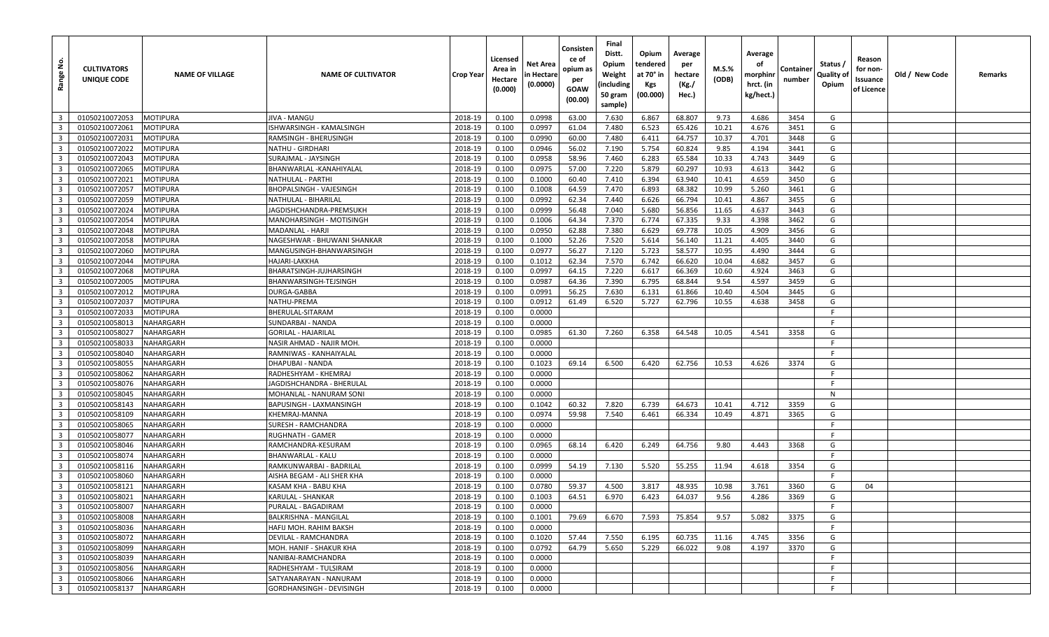| <u>ទំ</u><br>Range      | <b>CULTIVATORS</b><br>UNIQUE CODE | <b>NAME OF VILLAGE</b> | <b>NAME OF CULTIVATOR</b>   | <b>Crop Year</b> | Licensed<br>Area in<br>Hectare<br>(0.000) | Net Area<br>in Hectare<br>(0.0000) | Consisten<br>ce of<br>opium as<br>per<br>GOAW<br>(00.00) | Final<br>Distt.<br>Opium<br>Weight<br>(including<br>50 gram<br>sample) | Opium<br>tendered<br>at 70° in<br>Kgs<br>(00.000) | Average<br>per<br>hectare<br>(Kg./<br>Hec.) | M.S.%<br>(ODB) | Average<br>οf<br>morphinr<br>hrct. (in<br>kg/hect.) | Container<br>number | Status /<br>Quality of<br>Opium | Reason<br>for non-<br>Issuance<br>of Licence | Old / New Code | Remarks |
|-------------------------|-----------------------------------|------------------------|-----------------------------|------------------|-------------------------------------------|------------------------------------|----------------------------------------------------------|------------------------------------------------------------------------|---------------------------------------------------|---------------------------------------------|----------------|-----------------------------------------------------|---------------------|---------------------------------|----------------------------------------------|----------------|---------|
| $\overline{\mathbf{3}}$ | 01050210072053                    | MOTIPURA               | JIVA - MANGU                | 2018-19          | 0.100                                     | 0.0998                             | 63.00                                                    | 7.630                                                                  | 6.867                                             | 68.807                                      | 9.73           | 4.686                                               | 3454                | G                               |                                              |                |         |
| $\overline{\mathbf{3}}$ | 01050210072061                    | MOTIPURA               | SHWARSINGH - KAMALSINGH     | 2018-19          | 0.100                                     | 0.0997                             | 61.04                                                    | 7.480                                                                  | 6.523                                             | 65.426                                      | 10.21          | 4.676                                               | 3451                | G                               |                                              |                |         |
| $\overline{\mathbf{3}}$ | 01050210072031                    | MOTIPURA               | RAMSINGH - BHERUSINGH       | 2018-19          | 0.100                                     | 0.0990                             | 60.00                                                    | 7.480                                                                  | 6.411                                             | 64.757                                      | 10.37          | 4.701                                               | 3448                | G                               |                                              |                |         |
| $\overline{\mathbf{3}}$ | 01050210072022                    | <b>MOTIPURA</b>        | NATHU - GIRDHARI            | 2018-19          | 0.100                                     | 0.0946                             | 56.02                                                    | 7.190                                                                  | 5.754                                             | 60.824                                      | 9.85           | 4.194                                               | 3441                | G                               |                                              |                |         |
| $\overline{\mathbf{3}}$ | 01050210072043                    | MOTIPURA               | SURAJMAL - JAYSINGH         | 2018-19          | 0.100                                     | 0.0958                             | 58.96                                                    | 7.460                                                                  | 6.283                                             | 65.584                                      | 10.33          | 4.743                                               | 3449                | G                               |                                              |                |         |
| $\overline{\mathbf{3}}$ | 01050210072065                    | MOTIPURA               | BHANWARLAL -KANAHIYALAI     | 2018-19          | 0.100                                     | 0.0975                             | 57.00                                                    | 7.220                                                                  | 5.879                                             | 60.297                                      | 10.93          | 4.613                                               | 3442                | G                               |                                              |                |         |
| $\overline{3}$          | 01050210072021                    | MOTIPURA               | NATHULAL - PARTHI           | 2018-19          | 0.100                                     | 0.1000                             | 60.40                                                    | 7.410                                                                  | 6.394                                             | 63.940                                      | 10.41          | 4.659                                               | 3450                | G                               |                                              |                |         |
| $\overline{\mathbf{3}}$ | 01050210072057                    | MOTIPURA               | BHOPALSINGH - VAJESINGH     | 2018-19          | 0.100                                     | 0.1008                             | 64.59                                                    | 7.470                                                                  | 6.893                                             | 68.382                                      | 10.99          | 5.260                                               | 3461                | G                               |                                              |                |         |
| $\overline{3}$          | 01050210072059                    | MOTIPURA               | NATHULAL - BIHARILAL        | 2018-19          | 0.100                                     | 0.0992                             | 62.34                                                    | 7.440                                                                  | 6.626                                             | 66.794                                      | 10.41          | 4.867                                               | 3455                | G                               |                                              |                |         |
| $\overline{3}$          | 01050210072024                    | MOTIPURA               | IAGDISHCHANDRA-PREMSUKH     | 2018-19          | 0.100                                     | 0.0999                             | 56.48                                                    | 7.040                                                                  | 5.680                                             | 56.856                                      | 11.65          | 4.637                                               | 3443                | G                               |                                              |                |         |
| $\overline{\mathbf{3}}$ | 01050210072054                    | <b>MOTIPURA</b>        | MANOHARSINGH - MOTISINGH    | 2018-19          | 0.100                                     | 0.1006                             | 64.34                                                    | 7.370                                                                  | 6.774                                             | 67.335                                      | 9.33           | 4.398                                               | 3462                | G                               |                                              |                |         |
| $\overline{3}$          | 01050210072048                    | MOTIPURA               | MADANLAL - HARJI            | 2018-19          | 0.100                                     | 0.0950                             | 62.88                                                    | 7.380                                                                  | 6.629                                             | 69.778                                      | 10.05          | 4.909                                               | 3456                | G                               |                                              |                |         |
| $\overline{\mathbf{3}}$ | 01050210072058                    | MOTIPURA               | NAGESHWAR - BHUWANI SHANKAR | 2018-19          | 0.100                                     | 0.1000                             | 52.26                                                    | 7.520                                                                  | 5.614                                             | 56.140                                      | 11.21          | 4.405                                               | 3440                | G                               |                                              |                |         |
| $\overline{3}$          | 01050210072060                    | MOTIPURA               | MANGUSINGH-BHANWARSINGH     | 2018-19          | 0.100                                     | 0.0977                             | 56.27                                                    | 7.120                                                                  | 5.723                                             | 58.577                                      | 10.95          | 4.490                                               | 3444                | G                               |                                              |                |         |
| $\overline{\mathbf{3}}$ | 01050210072044                    | <b>MOTIPURA</b>        | HAJARI-LAKKHA               | 2018-19          | 0.100                                     | 0.1012                             | 62.34                                                    | 7.570                                                                  | 6.742                                             | 66.620                                      | 10.04          | 4.682                                               | 3457                | G                               |                                              |                |         |
| $\overline{\mathbf{3}}$ | 01050210072068                    | MOTIPURA               | BHARATSINGH-JUJHARSINGH     | 2018-19          | 0.100                                     | 0.0997                             | 64.15                                                    | 7.220                                                                  | 6.617                                             | 66.369                                      | 10.60          | 4.924                                               | 3463                | G                               |                                              |                |         |
| $\overline{\mathbf{3}}$ | 01050210072005                    | MOTIPURA               | BHANWARSINGH-TEJSINGH       | 2018-19          | 0.100                                     | 0.0987                             | 64.36                                                    | 7.390                                                                  | 6.795                                             | 68.844                                      | 9.54           | 4.597                                               | 3459                | G                               |                                              |                |         |
| $\overline{\mathbf{3}}$ | 01050210072012                    | <b>MOTIPURA</b>        | DURGA-GABBA                 | 2018-19          | 0.100                                     | 0.0991                             | 56.25                                                    | 7.630                                                                  | 6.131                                             | 61.866                                      | 10.40          | 4.504                                               | 3445                | G                               |                                              |                |         |
| $\overline{3}$          | 01050210072037                    | MOTIPURA               | NATHU-PREMA                 | 2018-19          | 0.100                                     | 0.0912                             | 61.49                                                    | 6.520                                                                  | 5.727                                             | 62.796                                      | 10.55          | 4.638                                               | 3458                | G                               |                                              |                |         |
| $\overline{\mathbf{3}}$ | 01050210072033                    | MOTIPURA               | BHERULAL-SITARAM            | 2018-19          | 0.100                                     | 0.0000                             |                                                          |                                                                        |                                                   |                                             |                |                                                     |                     | F                               |                                              |                |         |
| $\overline{3}$          | 01050210058013                    | NAHARGARH              | SUNDARBAI - NANDA           | 2018-19          | 0.100                                     | 0.0000                             |                                                          |                                                                        |                                                   |                                             |                |                                                     |                     | F                               |                                              |                |         |
| $\overline{\mathbf{3}}$ | 01050210058027                    | NAHARGARH              | GORILAL - HAJARILAL         | 2018-19          | 0.100                                     | 0.0985                             | 61.30                                                    | 7.260                                                                  | 6.358                                             | 64.548                                      | 10.05          | 4.541                                               | 3358                | G                               |                                              |                |         |
| $\overline{3}$          | 01050210058033                    | NAHARGARH              | NASIR AHMAD - NAJIR MOH     | 2018-19          | 0.100                                     | 0.0000                             |                                                          |                                                                        |                                                   |                                             |                |                                                     |                     | F                               |                                              |                |         |
| $\overline{3}$          | 01050210058040                    | NAHARGARH              | RAMNIWAS - KANHAIYALAL      | 2018-19          | 0.100                                     | 0.0000                             |                                                          |                                                                        |                                                   |                                             |                |                                                     |                     | -F                              |                                              |                |         |
| $\overline{\mathbf{3}}$ | 01050210058055                    | NAHARGARH              | DHAPUBAI - NANDA            | 2018-19          | 0.100                                     | 0.1023                             | 69.14                                                    | 6.500                                                                  | 6.420                                             | 62.756                                      | 10.53          | 4.626                                               | 3374                | G                               |                                              |                |         |
| $\overline{3}$          | 01050210058062                    | NAHARGARH              | RADHESHYAM - KHEMRAJ        | 2018-19          | 0.100                                     | 0.0000                             |                                                          |                                                                        |                                                   |                                             |                |                                                     |                     | F                               |                                              |                |         |
| $\overline{\mathbf{3}}$ | 01050210058076                    | NAHARGARH              | IAGDISHCHANDRA - BHERULAL   | 2018-19          | 0.100                                     | 0.0000                             |                                                          |                                                                        |                                                   |                                             |                |                                                     |                     | -F                              |                                              |                |         |
| $\overline{3}$          | 01050210058045                    | NAHARGARH              | MOHANLAL - NANURAM SONI     | 2018-19          | 0.100                                     | 0.0000                             |                                                          |                                                                        |                                                   |                                             |                |                                                     |                     | N                               |                                              |                |         |
| $\overline{\mathbf{3}}$ | 01050210058143                    | NAHARGARH              | BAPUSINGH - LAXMANSINGH     | 2018-19          | 0.100                                     | 0.1042                             | 60.32                                                    | 7.820                                                                  | 6.739                                             | 64.673                                      | 10.41          | 4.712                                               | 3359                | G                               |                                              |                |         |
| $\overline{\mathbf{3}}$ | 01050210058109                    | NAHARGARH              | KHEMRAJ-MANNA               | 2018-19          | 0.100                                     | 0.0974                             | 59.98                                                    | 7.540                                                                  | 6.461                                             | 66.334                                      | 10.49          | 4.871                                               | 3365                | G                               |                                              |                |         |
| $\overline{\mathbf{3}}$ | 01050210058065                    | NAHARGARH              | SURESH - RAMCHANDRA         | 2018-19          | 0.100                                     | 0.0000                             |                                                          |                                                                        |                                                   |                                             |                |                                                     |                     | -F                              |                                              |                |         |
| $\overline{3}$          | 01050210058077                    | NAHARGARH              | RUGHNATH - GAMER            | 2018-19          | 0.100                                     | 0.0000                             |                                                          |                                                                        |                                                   |                                             |                |                                                     |                     | -F                              |                                              |                |         |
| $\overline{\mathbf{3}}$ | 01050210058046                    | NAHARGARH              | RAMCHANDRA-KESURAM          | 2018-19          | 0.100                                     | 0.0965                             | 68.14                                                    | 6.420                                                                  | 6.249                                             | 64.756                                      | 9.80           | 4.443                                               | 3368                | G                               |                                              |                |         |
| $\overline{3}$          | 01050210058074                    | NAHARGARH              | BHANWARLAL - KALU           | 2018-19          | 0.100                                     | 0.0000                             |                                                          |                                                                        |                                                   |                                             |                |                                                     |                     | F                               |                                              |                |         |
| $\overline{\mathbf{3}}$ | 01050210058116                    | NAHARGARH              | RAMKUNWARBAI - BADRILAL     | 2018-19          | 0.100                                     | 0.0999                             | 54.19                                                    | 7.130                                                                  | 5.520                                             | 55.255                                      | 11.94          | 4.618                                               | 3354                | G                               |                                              |                |         |
| $\overline{\mathbf{3}}$ | 01050210058060                    | NAHARGARH              | AISHA BEGAM - ALI SHER KHA  | 2018-19          | 0.100                                     | 0.0000                             |                                                          |                                                                        |                                                   |                                             |                |                                                     |                     | F.                              |                                              |                |         |
| $\overline{\mathbf{3}}$ | 01050210058121                    | NAHARGARH              | KASAM KHA - BABU KHA        | 2018-19          | 0.100                                     | 0.0780                             | 59.37                                                    | 4.500                                                                  | 3.817                                             | 48.935                                      | 10.98          | 3.761                                               | 3360                | G                               | 04                                           |                |         |
| $\overline{\mathbf{3}}$ | 01050210058021                    | NAHARGARH              | KARULAL - SHANKAR           | 2018-19          | 0.100                                     | 0.1003                             | 64.51                                                    | 6.970                                                                  | 6.423                                             | 64.037                                      | 9.56           | 4.286                                               | 3369                | G                               |                                              |                |         |
| 3 <sup>1</sup>          | 01050210058007                    | <b>NAHARGARH</b>       | PURALAL - BAGADIRAM         | 2018-19          | 0.100                                     | 0.0000                             |                                                          |                                                                        |                                                   |                                             |                |                                                     |                     | -F                              |                                              |                |         |
| $\overline{\mathbf{3}}$ | 01050210058008                    | <b>NAHARGARH</b>       | BALKRISHNA - MANGILAL       | 2018-19          | 0.100                                     | 0.1001                             | 79.69                                                    | 6.670                                                                  | 7.593                                             | 75.854                                      | 9.57           | 5.082                                               | 3375                | G                               |                                              |                |         |
| $\overline{3}$          | 01050210058036                    | NAHARGARH              | HAFIJ MOH. RAHIM BAKSH      | 2018-19          | 0.100                                     | 0.0000                             |                                                          |                                                                        |                                                   |                                             |                |                                                     |                     | F                               |                                              |                |         |
| $\overline{\mathbf{3}}$ | 01050210058072                    | NAHARGARH              | DEVILAL - RAMCHANDRA        | 2018-19          | 0.100                                     | 0.1020                             | 57.44                                                    | 7.550                                                                  | 6.195                                             | 60.735                                      | 11.16          | 4.745                                               | 3356                | G                               |                                              |                |         |
| $\overline{3}$          | 01050210058099                    | NAHARGARH              | MOH. HANIF - SHAKUR KHA     | 2018-19          | 0.100                                     | 0.0792                             | 64.79                                                    | 5.650                                                                  | 5.229                                             | 66.022                                      | 9.08           | 4.197                                               | 3370                | G                               |                                              |                |         |
| $\overline{\mathbf{3}}$ | 01050210058039                    | NAHARGARH              | NANIBAI-RAMCHANDRA          | 2018-19          | 0.100                                     | 0.0000                             |                                                          |                                                                        |                                                   |                                             |                |                                                     |                     | F                               |                                              |                |         |
| $\overline{\mathbf{3}}$ | 01050210058056                    | NAHARGARH              | RADHESHYAM - TULSIRAM       | 2018-19          | 0.100                                     | 0.0000                             |                                                          |                                                                        |                                                   |                                             |                |                                                     |                     | F                               |                                              |                |         |
| $\overline{\mathbf{3}}$ | 01050210058066                    | NAHARGARH              | SATYANARAYAN - NANURAM      | 2018-19          | 0.100                                     | 0.0000                             |                                                          |                                                                        |                                                   |                                             |                |                                                     |                     | F.                              |                                              |                |         |
| $\overline{3}$          | 01050210058137                    | <b>NAHARGARH</b>       | GORDHANSINGH - DEVISINGH    | 2018-19          | 0.100                                     | 0.0000                             |                                                          |                                                                        |                                                   |                                             |                |                                                     |                     | -F                              |                                              |                |         |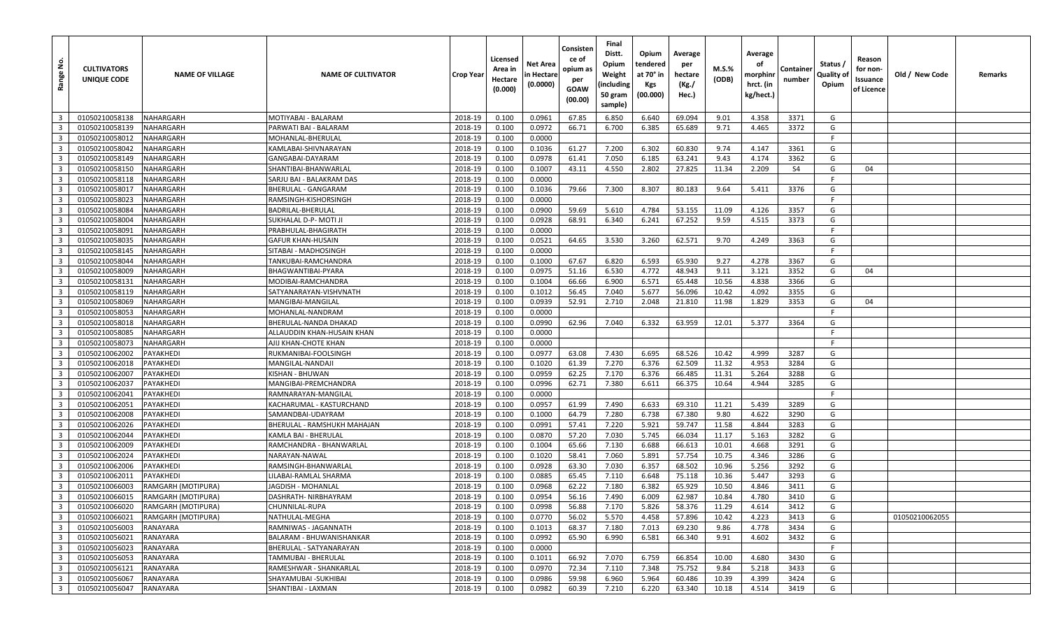| <u>ទំ</u><br>Range                        | <b>CULTIVATORS</b><br>UNIQUE CODE | <b>NAME OF VILLAGE</b> | <b>NAME OF CULTIVATOR</b>                  | <b>Crop Year</b>   | Licensed<br>Area in<br>Hectare<br>(0.000) | Net Area<br>in Hectare<br>(0.0000) | Consisten<br>ce of<br>opium as<br>per<br>GOAW<br>(00.00) | Final<br>Distt.<br>Opium<br>Weight<br>(including<br>50 gram<br>sample) | Opium<br>tendered<br>at 70° in<br>Kgs<br>(00.000) | Average<br>per<br>hectare<br>(Kg./<br>Hec.) | M.S.%<br>(ODB) | Average<br>οf<br>morphinr<br>hrct. (in<br>kg/hect.) | Container<br>number | Status /<br>Quality of<br>Opium | Reason<br>for non-<br>Issuance<br>of Licence | Old / New Code | Remarks |
|-------------------------------------------|-----------------------------------|------------------------|--------------------------------------------|--------------------|-------------------------------------------|------------------------------------|----------------------------------------------------------|------------------------------------------------------------------------|---------------------------------------------------|---------------------------------------------|----------------|-----------------------------------------------------|---------------------|---------------------------------|----------------------------------------------|----------------|---------|
| $\overline{\mathbf{3}}$                   | 01050210058138                    | NAHARGARH              | MOTIYABAI - BALARAM                        | 2018-19            | 0.100                                     | 0.0961                             | 67.85                                                    | 6.850                                                                  | 6.640                                             | 69.094                                      | 9.01           | 4.358                                               | 3371                | G                               |                                              |                |         |
| $\overline{3}$                            | 01050210058139                    | NAHARGARH              | PARWATI BAI - BALARAM                      | 2018-19            | 0.100                                     | 0.0972                             | 66.71                                                    | 6.700                                                                  | 6.385                                             | 65.689                                      | 9.71           | 4.465                                               | 3372                | G                               |                                              |                |         |
| $\overline{\mathbf{3}}$                   | 01050210058012                    | NAHARGARH              | MOHANLAL-BHERULAL                          | 2018-19            | 0.100                                     | 0.0000                             |                                                          |                                                                        |                                                   |                                             |                |                                                     |                     | F.                              |                                              |                |         |
| $\overline{\mathbf{3}}$                   | 01050210058042                    | NAHARGARH              | KAMLABAI-SHIVNARAYAN                       | 2018-19            | 0.100                                     | 0.1036                             | 61.27                                                    | 7.200                                                                  | 6.302                                             | 60.830                                      | 9.74           | 4.147                                               | 3361                | G                               |                                              |                |         |
| $\overline{\mathbf{3}}$                   | 01050210058149                    | NAHARGARH              | GANGABAI-DAYARAM                           | 2018-19            | 0.100                                     | 0.0978                             | 61.41                                                    | 7.050                                                                  | 6.185                                             | 63.241                                      | 9.43           | 4.174                                               | 3362                | G                               |                                              |                |         |
| $\overline{\mathbf{3}}$                   | 01050210058150                    | NAHARGARH              | SHANTIBAI-BHANWARLAL                       | 2018-19            | 0.100                                     | 0.1007                             | 43.11                                                    | 4.550                                                                  | 2.802                                             | 27.825                                      | 11.34          | 2.209                                               | S4                  | G                               | 04                                           |                |         |
| $\overline{\mathbf{3}}$                   | 01050210058118                    | NAHARGARH              | SARJU BAI - BALAKRAM DAS                   | 2018-19            | 0.100                                     | 0.0000                             |                                                          |                                                                        |                                                   |                                             |                |                                                     |                     | E                               |                                              |                |         |
| $\overline{\mathbf{3}}$                   | 01050210058017                    | NAHARGARH              | BHERULAL - GANGARAM                        | 2018-19            | 0.100                                     | 0.1036                             | 79.66                                                    | 7.300                                                                  | 8.307                                             | 80.183                                      | 9.64           | 5.411                                               | 3376                | G                               |                                              |                |         |
| $\overline{3}$                            | 01050210058023                    | NAHARGARH              | RAMSINGH-KISHORSINGH                       | 2018-19            | 0.100                                     | 0.0000                             |                                                          |                                                                        |                                                   |                                             |                |                                                     |                     | F                               |                                              |                |         |
| $\overline{3}$                            | 01050210058084                    | NAHARGARH              | BADRILAL-BHERULAL                          | 2018-19            | 0.100                                     | 0.0900                             | 59.69                                                    | 5.610                                                                  | 4.784                                             | 53.155                                      | 11.09          | 4.126                                               | 3357                | G                               |                                              |                |         |
| $\overline{\mathbf{3}}$                   | 01050210058004                    | NAHARGARH              | SUKHALAL D-P-MOTI JI                       | 2018-19            | 0.100                                     | 0.0928                             | 68.91                                                    | 6.340                                                                  | 6.241                                             | 67.252                                      | 9.59           | 4.515                                               | 3373                | G                               |                                              |                |         |
| $\overline{3}$                            | 01050210058091                    | NAHARGARH              | PRABHULAL-BHAGIRATH                        | 2018-19            | 0.100                                     | 0.0000                             |                                                          |                                                                        |                                                   |                                             |                |                                                     |                     | F                               |                                              |                |         |
| $\overline{\mathbf{3}}$                   | 01050210058035                    | NAHARGARH              | GAFUR KHAN-HUSAIN                          | 2018-19            | 0.100                                     | 0.0521                             | 64.65                                                    | 3.530                                                                  | 3.260                                             | 62.571                                      | 9.70           | 4.249                                               | 3363                | G                               |                                              |                |         |
| $\overline{\mathbf{3}}$                   | 01050210058145                    | NAHARGARH              | SITABAI - MADHOSINGH                       | 2018-19            | 0.100                                     | 0.0000                             |                                                          |                                                                        |                                                   |                                             |                |                                                     |                     | F.                              |                                              |                |         |
| $\overline{\mathbf{3}}$                   | 01050210058044                    | NAHARGARH              | TANKUBAI-RAMCHANDRA                        | 2018-19            | 0.100                                     | 0.1000                             | 67.67                                                    | 6.820                                                                  | 6.593                                             | 65.930                                      | 9.27           | 4.278                                               | 3367                | G                               |                                              |                |         |
| $\overline{\mathbf{3}}$                   | 01050210058009                    | NAHARGARH              | BHAGWANTIBAI-PYARA                         | 2018-19            | 0.100                                     | 0.0975                             | 51.16                                                    | 6.530                                                                  | 4.772                                             | 48.943                                      | 9.11           | 3.121                                               | 3352                | G                               | 04                                           |                |         |
| $\overline{\mathbf{3}}$                   | 01050210058131                    | NAHARGARH              | MODIBAI-RAMCHANDRA                         | 2018-19            | 0.100                                     | 0.1004                             | 66.66                                                    | 6.900                                                                  | 6.571                                             | 65.448                                      | 10.56          | 4.838                                               | 3366                | G                               |                                              |                |         |
| $\overline{\mathbf{3}}$                   | 01050210058119                    | NAHARGARH              | SATYANARAYAN-VISHVNATH                     | 2018-19            | 0.100                                     | 0.1012                             | 56.45                                                    | 7.040                                                                  | 5.677                                             | 56.096                                      | 10.42          | 4.092                                               | 3355                | G                               |                                              |                |         |
| $\overline{3}$                            | 01050210058069                    | NAHARGARH              | MANGIBAI-MANGILAL                          | 2018-19            | 0.100                                     | 0.0939                             | 52.91                                                    | 2.710                                                                  | 2.048                                             | 21.810                                      | 11.98          | 1.829                                               | 3353                | G                               | 04                                           |                |         |
| $\overline{\mathbf{3}}$                   | 01050210058053                    | NAHARGARH              | MOHANLAL-NANDRAM                           | 2018-19            | 0.100                                     | 0.0000                             |                                                          |                                                                        |                                                   |                                             |                |                                                     |                     | F                               |                                              |                |         |
| $\overline{3}$                            | 01050210058018                    | NAHARGARH              | BHERULAL-NANDA DHAKAD                      | 2018-19            | 0.100                                     | 0.0990                             | 62.96                                                    | 7.040                                                                  | 6.332                                             | 63.959                                      | 12.01          | 5.377                                               | 3364                | G                               |                                              |                |         |
| $\overline{\mathbf{3}}$                   | 01050210058085                    | NAHARGARH              | ALLAUDDIN KHAN-HUSAIN KHAN                 | 2018-19            | 0.100                                     | 0.0000                             |                                                          |                                                                        |                                                   |                                             |                |                                                     |                     | - F                             |                                              |                |         |
| $\overline{3}$                            | 01050210058073                    | NAHARGARH              | AJIJ KHAN-CHOTE KHAN                       | 2018-19            | 0.100                                     | 0.0000                             |                                                          |                                                                        |                                                   |                                             |                |                                                     |                     | F                               |                                              |                |         |
| $\overline{\mathbf{3}}$                   | 01050210062002                    | PAYAKHEDI              | RUKMANIBAI-FOOLSINGH                       | 2018-19            | 0.100                                     | 0.0977                             | 63.08                                                    | 7.430                                                                  | 6.695                                             | 68.526                                      | 10.42          | 4.999                                               | 3287                | G                               |                                              |                |         |
| $\overline{\mathbf{3}}$                   | 01050210062018                    | PAYAKHEDI              | MANGILAL-NANDAJI                           | 2018-19            | 0.100                                     | 0.1020                             | 61.39                                                    | 7.270                                                                  | 6.376                                             | 62.509                                      | 11.32          | 4.953                                               | 3284                | G                               |                                              |                |         |
| $\overline{3}$                            | 01050210062007                    | PAYAKHEDI              | KISHAN - BHUWAN                            | 2018-19            | 0.100                                     | 0.0959                             | 62.25                                                    | 7.170                                                                  | 6.376                                             | 66.485                                      | 11.31          | 5.264                                               | 3288                | G                               |                                              |                |         |
| $\overline{\mathbf{3}}$                   | 01050210062037                    | PAYAKHEDI              | MANGIBAI-PREMCHANDRA                       | 2018-19            | 0.100                                     | 0.0996                             | 62.71                                                    | 7.380                                                                  | 6.611                                             | 66.375                                      | 10.64          | 4.944                                               | 3285                | G                               |                                              |                |         |
| $\overline{3}$                            | 01050210062041                    | PAYAKHEDI              | RAMNARAYAN-MANGILAI                        | 2018-19            | 0.100                                     | 0.0000                             |                                                          |                                                                        |                                                   |                                             |                |                                                     |                     | F                               |                                              |                |         |
| $\overline{\mathbf{3}}$                   | 01050210062051                    | PAYAKHEDI              | KACHARUMAL - KASTURCHAND                   | 2018-19            | 0.100                                     | 0.0957                             | 61.99                                                    | 7.490                                                                  | 6.633                                             | 69.310                                      | 11.21          | 5.439                                               | 3289                | G                               |                                              |                |         |
| $\overline{3}$                            | 01050210062008                    | PAYAKHEDI              | SAMANDBAI-UDAYRAM                          | 2018-19            | 0.100                                     | 0.1000                             | 64.79                                                    | 7.280                                                                  | 6.738                                             | 67.380                                      | 9.80           | 4.622                                               | 3290                | G                               |                                              |                |         |
| $\overline{\mathbf{3}}$                   | 01050210062026                    | PAYAKHEDI              | BHERULAL - RAMSHUKH MAHAJAN                | 2018-19            | 0.100                                     | 0.0991                             | 57.41                                                    | 7.220                                                                  | 5.921                                             | 59.747                                      | 11.58          | 4.844                                               | 3283                | G                               |                                              |                |         |
| $\overline{\mathbf{3}}$                   | 01050210062044                    | PAYAKHEDI              | KAMLA BAI - BHERULAL                       | 2018-19            | 0.100                                     | 0.0870                             | 57.20                                                    | 7.030                                                                  | 5.745                                             | 66.034                                      | 11.17          | 5.163                                               | 3282                | G                               |                                              |                |         |
| $\overline{\mathbf{3}}$                   | 01050210062009                    | PAYAKHEDI              | RAMCHANDRA - BHANWARLAL                    | 2018-19            | 0.100                                     | 0.1004                             | 65.66                                                    | 7.130                                                                  | 6.688                                             | 66.613                                      | 10.01          | 4.668                                               | 3291                | G                               |                                              |                |         |
| $\overline{3}$                            | 01050210062024<br>01050210062006  | PAYAKHEDI              | NARAYAN-NAWAL                              | 2018-19            | 0.100                                     | 0.1020                             | 58.41                                                    | 7.060                                                                  | 5.891                                             | 57.754<br>68.502                            | 10.75          | 4.346                                               | 3286<br>3292        | G<br>G                          |                                              |                |         |
| $\overline{3}$<br>$\overline{\mathbf{3}}$ |                                   | PAYAKHEDI<br>PAYAKHEDI | RAMSINGH-BHANWARLAL                        | 2018-19            | 0.100                                     | 0.0928                             | 63.30                                                    | 7.030                                                                  | 6.357                                             |                                             | 10.96          | 5.256                                               |                     | G                               |                                              |                |         |
| $\overline{\mathbf{3}}$                   | 01050210062011<br>01050210066003  | RAMGARH (MOTIPURA)     | ILABAI-RAMLAL SHARMA<br>JAGDISH - MOHANLAL | 2018-19<br>2018-19 | 0.100<br>0.100                            | 0.0885<br>0.0968                   | 65.45<br>62.22                                           | 7.110<br>7.180                                                         | 6.648<br>6.382                                    | 75.118<br>65.929                            | 10.36<br>10.50 | 5.447<br>4.846                                      | 3293<br>3411        | G                               |                                              |                |         |
| $\overline{\mathbf{3}}$                   | 01050210066015                    | RAMGARH (MOTIPURA)     | DASHRATH- NIRBHAYRAM                       | 2018-19            | 0.100                                     | 0.0954                             | 56.16                                                    | 7.490                                                                  | 6.009                                             | 62.987                                      | 10.84          | 4.780                                               | 3410                | G                               |                                              |                |         |
| 3 <sup>1</sup>                            | 01050210066020                    | RAMGARH (MOTIPURA)     | CHUNNILAL-RUPA                             | 2018-19            |                                           | 0.0998                             | 56.88                                                    | 7.170                                                                  | 5.826                                             | 58.376                                      | 11.29          | 4.614                                               | 3412                | G                               |                                              |                |         |
| $\overline{\mathbf{3}}$                   | 01050210066021                    | RAMGARH (MOTIPURA)     | NATHULAL-MEGHA                             | 2018-19            | 0.100<br>0.100                            | 0.0770                             | 56.02                                                    | 5.570                                                                  | 4.458                                             | 57.896                                      | 10.42          | 4.223                                               | 3413                | G                               |                                              | 01050210062055 |         |
| $\overline{\mathbf{3}}$                   | 01050210056003                    | RANAYARA               | RAMNIWAS - JAGANNATH                       | 2018-19            | 0.100                                     | 0.1013                             | 68.37                                                    | 7.180                                                                  | 7.013                                             | 69.230                                      | 9.86           | 4.778                                               | 3434                | G                               |                                              |                |         |
| $\overline{\mathbf{3}}$                   | 01050210056021                    | RANAYARA               | BALARAM - BHUWANISHANKAR                   | 2018-19            | 0.100                                     | 0.0992                             | 65.90                                                    | 6.990                                                                  | 6.581                                             | 66.340                                      | 9.91           | 4.602                                               | 3432                | G                               |                                              |                |         |
| $\overline{\mathbf{3}}$                   | 01050210056023                    | RANAYARA               | BHERULAL - SATYANARAYAN                    | 2018-19            | 0.100                                     | 0.0000                             |                                                          |                                                                        |                                                   |                                             |                |                                                     |                     | -F                              |                                              |                |         |
| $\overline{\mathbf{3}}$                   | 01050210056053                    | RANAYARA               | TAMMUBAI - BHERULAL                        | 2018-19            | 0.100                                     | 0.1011                             | 66.92                                                    | 7.070                                                                  | 6.759                                             | 66.854                                      | 10.00          | 4.680                                               | 3430                | G                               |                                              |                |         |
| $\overline{\mathbf{3}}$                   | 01050210056121                    | RANAYARA               | RAMESHWAR - SHANKARLAL                     | 2018-19            | 0.100                                     | 0.0970                             | 72.34                                                    | 7.110                                                                  | 7.348                                             | 75.752                                      | 9.84           | 5.218                                               | 3433                | G                               |                                              |                |         |
| $\overline{\mathbf{3}}$                   | 01050210056067                    | RANAYARA               | SHAYAMUBAI - SUKHIBAI                      | 2018-19            | 0.100                                     | 0.0986                             | 59.98                                                    | 6.960                                                                  | 5.964                                             | 60.486                                      | 10.39          | 4.399                                               | 3424                | G                               |                                              |                |         |
| 3 <sup>1</sup>                            | 01050210056047                    | RANAYARA               | SHANTIBAI - LAXMAN                         | 2018-19            | 0.100                                     | 0.0982                             | 60.39                                                    | 7.210                                                                  | 6.220                                             | 63.340                                      | 10.18          | 4.514                                               | 3419                | G                               |                                              |                |         |
|                                           |                                   |                        |                                            |                    |                                           |                                    |                                                          |                                                                        |                                                   |                                             |                |                                                     |                     |                                 |                                              |                |         |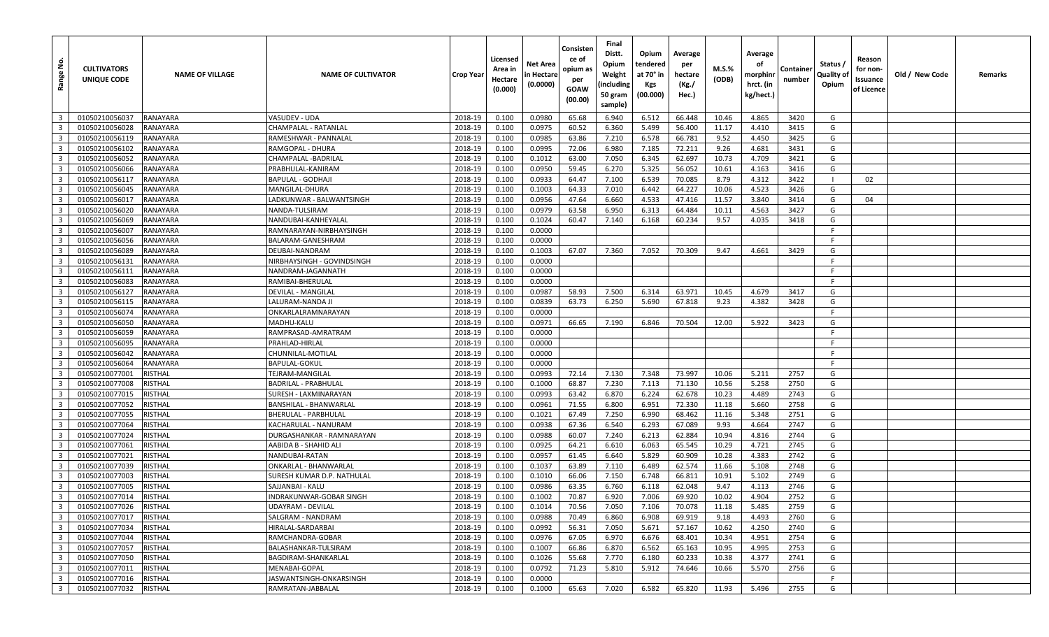| <u>ទំ</u><br>Range                                 | <b>CULTIVATORS</b><br>UNIQUE CODE | <b>NAME OF VILLAGE</b> | <b>NAME OF CULTIVATOR</b>                           | <b>Crop Year</b>   | Licensed<br>Area in<br>Hectare<br>(0.000) | Net Area<br>in Hectare<br>(0.0000) | Consisten<br>ce of<br>opium as<br>per<br>GOAW<br>(00.00) | Final<br>Distt.<br>Opium<br>Weight<br>(including<br>50 gram<br>sample) | Opium<br>tendered<br>at 70° in<br>Kgs<br>(00.000) | Average<br>per<br>hectare<br>(Kg./<br>Hec.) | M.S.%<br>(ODB) | Average<br>οf<br>morphinr<br>hrct. (in<br>kg/hect.) | Container<br>number | Status /<br>Quality of<br>Opium | Reason<br>for non-<br>Issuance<br>of Licence | Old / New Code | Remarks |
|----------------------------------------------------|-----------------------------------|------------------------|-----------------------------------------------------|--------------------|-------------------------------------------|------------------------------------|----------------------------------------------------------|------------------------------------------------------------------------|---------------------------------------------------|---------------------------------------------|----------------|-----------------------------------------------------|---------------------|---------------------------------|----------------------------------------------|----------------|---------|
| $\overline{\mathbf{3}}$                            | 01050210056037                    | RANAYARA               | VASUDEV - UDA                                       | 2018-19            | 0.100                                     | 0.0980                             | 65.68                                                    | 6.940                                                                  | 6.512                                             | 66.448                                      | 10.46          | 4.865                                               | 3420                | G                               |                                              |                |         |
| $\overline{3}$                                     | 01050210056028                    | RANAYARA               | CHAMPALAL - RATANLAL                                | 2018-19            | 0.100                                     | 0.0975                             | 60.52                                                    | 6.360                                                                  | 5.499                                             | 56.400                                      | 11.17          | 4.410                                               | 3415                | G                               |                                              |                |         |
| $\overline{\mathbf{3}}$                            | 01050210056119                    | RANAYARA               | RAMESHWAR - PANNALAL                                | 2018-19            | 0.100                                     | 0.0985                             | 63.86                                                    | 7.210                                                                  | 6.578                                             | 66.781                                      | 9.52           | 4.450                                               | 3425                | G                               |                                              |                |         |
| $\overline{\mathbf{3}}$                            | 01050210056102                    | RANAYARA               | RAMGOPAL - DHURA                                    | 2018-19            | 0.100                                     | 0.0995                             | 72.06                                                    | 6.980                                                                  | 7.185                                             | 72.211                                      | 9.26           | 4.681                                               | 3431                | G                               |                                              |                |         |
| $\overline{\mathbf{3}}$                            | 01050210056052                    | RANAYARA               | CHAMPALAL -BADRILAL                                 | 2018-19            | 0.100                                     | 0.1012                             | 63.00                                                    | 7.050                                                                  | 6.345                                             | 62.697                                      | 10.73          | 4.709                                               | 3421                | G                               |                                              |                |         |
| $\overline{\mathbf{3}}$                            | 01050210056066                    | RANAYARA               | PRABHULAL-KANIRAM                                   | 2018-19            | 0.100                                     | 0.0950                             | 59.45                                                    | 6.270                                                                  | 5.325                                             | 56.052                                      | 10.61          | 4.163                                               | 3416                | G                               |                                              |                |         |
| $\overline{3}$                                     | 01050210056117                    | RANAYARA               | BAPULAL - GODHAJI                                   | 2018-19            | 0.100                                     | 0.0933                             | 64.47                                                    | 7.100                                                                  | 6.539                                             | 70.085                                      | 8.79           | 4.312                                               | 3422                |                                 | 02                                           |                |         |
| $\overline{\mathbf{3}}$                            | 01050210056045                    | RANAYARA               | MANGILAL-DHURA                                      | 2018-19            | 0.100                                     | 0.1003                             | 64.33                                                    | 7.010                                                                  | 6.442                                             | 64.227                                      | 10.06          | 4.523                                               | 3426                | G                               |                                              |                |         |
| $\overline{3}$                                     | 01050210056017                    | RANAYARA               | ADKUNWAR - BALWANTSINGH.                            | 2018-19            | 0.100                                     | 0.0956                             | 47.64                                                    | 6.660                                                                  | 4.533                                             | 47.416                                      | 11.57          | 3.840                                               | 3414                | G                               | 04                                           |                |         |
| $\overline{3}$                                     | 01050210056020                    | RANAYARA               | NANDA-TULSIRAM                                      | 2018-19            | 0.100                                     | 0.0979                             | 63.58                                                    | 6.950                                                                  | 6.313                                             | 64.484                                      | 10.11          | 4.563                                               | 3427                | G                               |                                              |                |         |
| $\overline{\mathbf{3}}$                            | 01050210056069                    | RANAYARA               | NANDUBAI-KANHEYALAL                                 | 2018-19            | 0.100                                     | 0.1024                             | 60.47                                                    | 7.140                                                                  | 6.168                                             | 60.234                                      | 9.57           | 4.035                                               | 3418                | G                               |                                              |                |         |
| $\overline{3}$                                     | 01050210056007                    | RANAYARA               | RAMNARAYAN-NIRBHAYSINGH                             | 2018-19            | 0.100                                     | 0.0000                             |                                                          |                                                                        |                                                   |                                             |                |                                                     |                     | F                               |                                              |                |         |
| $\overline{\mathbf{3}}$                            | 01050210056056                    | RANAYARA               | BALARAM-GANESHRAM                                   | 2018-19            | 0.100                                     | 0.0000                             |                                                          |                                                                        |                                                   |                                             |                |                                                     |                     | E                               |                                              |                |         |
| $\overline{3}$                                     | 01050210056089                    | RANAYARA               | DEUBAI-NANDRAM                                      | 2018-19            | 0.100                                     | 0.1003                             | 67.07                                                    | 7.360                                                                  | 7.052                                             | 70.309                                      | 9.47           | 4.661                                               | 3429                | G                               |                                              |                |         |
| $\overline{\mathbf{3}}$                            | 01050210056131                    | RANAYARA               | NIRBHAYSINGH - GOVINDSINGH                          | 2018-19            | 0.100                                     | 0.0000                             |                                                          |                                                                        |                                                   |                                             |                |                                                     |                     | -F                              |                                              |                |         |
| $\overline{\mathbf{3}}$                            | 01050210056111                    | RANAYARA               | NANDRAM-JAGANNATH                                   | 2018-19            | 0.100                                     | 0.0000                             |                                                          |                                                                        |                                                   |                                             |                |                                                     |                     |                                 |                                              |                |         |
| $\overline{\mathbf{3}}$                            | 01050210056083                    | RANAYARA               | RAMIBAI-BHERULAL                                    | 2018-19            | 0.100                                     | 0.0000                             |                                                          |                                                                        |                                                   |                                             |                |                                                     |                     | -F                              |                                              |                |         |
| $\overline{\mathbf{3}}$                            | 01050210056127                    | RANAYARA               | DEVILAL - MANGILAL                                  | 2018-19            | 0.100                                     | 0.0987                             | 58.93                                                    | 7.500                                                                  | 6.314                                             | 63.971                                      | 10.45          | 4.679                                               | 3417                | G                               |                                              |                |         |
| $\overline{3}$                                     | 01050210056115                    | RANAYARA               | LALURAM-NANDA JI                                    | 2018-19            | 0.100                                     | 0.0839                             | 63.73                                                    | 6.250                                                                  | 5.690                                             | 67.818                                      | 9.23           | 4.382                                               | 3428                | G                               |                                              |                |         |
| $\overline{\mathbf{3}}$                            | 01050210056074                    | RANAYARA               | ONKARLALRAMNARAYAN                                  | 2018-19            | 0.100                                     | 0.0000                             |                                                          |                                                                        |                                                   |                                             |                |                                                     |                     | F                               |                                              |                |         |
| $\overline{3}$                                     | 01050210056050                    | RANAYARA               | MADHU-KALU                                          | 2018-19            | 0.100                                     | 0.0971                             | 66.65                                                    | 7.190                                                                  | 6.846                                             | 70.504                                      | 12.00          | 5.922                                               | 3423                | G                               |                                              |                |         |
| $\overline{\mathbf{3}}$                            | 01050210056059                    | RANAYARA               | RAMPRASAD-AMRATRAM                                  | 2018-19            | 0.100                                     | 0.0000                             |                                                          |                                                                        |                                                   |                                             |                |                                                     |                     | - F                             |                                              |                |         |
| $\overline{3}$                                     | 01050210056095                    | RANAYARA               | PRAHLAD-HIRLAL                                      | 2018-19            | 0.100                                     | 0.0000                             |                                                          |                                                                        |                                                   |                                             |                |                                                     |                     | F                               |                                              |                |         |
| $\overline{3}$                                     | 01050210056042                    | RANAYARA               | CHUNNILAL-MOTILAL                                   | 2018-19            | 0.100                                     | 0.0000                             |                                                          |                                                                        |                                                   |                                             |                |                                                     |                     | -F                              |                                              |                |         |
| $\overline{\mathbf{3}}$                            | 01050210056064                    | RANAYARA               | BAPULAL-GOKUL                                       | 2018-19            | 0.100                                     | 0.0000                             |                                                          |                                                                        |                                                   |                                             |                |                                                     |                     | F.                              |                                              |                |         |
| $\overline{3}$                                     | 01050210077001                    | <b>RISTHAL</b>         | TEJRAM-MANGILAL                                     | 2018-19            | 0.100                                     | 0.0993                             | 72.14                                                    | 7.130                                                                  | 7.348                                             | 73.997                                      | 10.06          | 5.211                                               | 2757                | G                               |                                              |                |         |
| $\overline{\mathbf{3}}$                            | 01050210077008                    | RISTHAL                | BADRILAL - PRABHULAL                                | 2018-19            | 0.100                                     | 0.1000                             | 68.87                                                    | 7.230                                                                  | 7.113                                             | 71.130                                      | 10.56          | 5.258                                               | 2750                | G                               |                                              |                |         |
| $\overline{3}$                                     | 01050210077015                    | RISTHAL                | SURESH - LAXMINARAYAN                               | 2018-19            | 0.100                                     | 0.0993                             | 63.42                                                    | 6.870                                                                  | 6.224                                             | 62.678                                      | 10.23          | 4.489                                               | 2743                | G                               |                                              |                |         |
| $\overline{\mathbf{3}}$                            | 01050210077052                    | <b>RISTHAL</b>         | BANSHILAL - BHANWARLAL                              | 2018-19            | 0.100                                     | 0.0961                             | 71.55                                                    | 6.800                                                                  | 6.951                                             | 72.330                                      | 11.18          | 5.660                                               | 2758                | G                               |                                              |                |         |
| $\overline{\mathbf{3}}$                            | 01050210077055                    | RISTHAL                | BHERULAL - PARBHULAL                                | 2018-19            | 0.100                                     | 0.1021                             | 67.49                                                    | 7.250                                                                  | 6.990                                             | 68.462                                      | 11.16          | 5.348                                               | 2751                | G                               |                                              |                |         |
| $\overline{\mathbf{3}}$                            | 01050210077064                    | <b>RISTHAL</b>         | KACHARULAL - NANURAM                                | 2018-19            | 0.100                                     | 0.0938                             | 67.36                                                    | 6.540                                                                  | 6.293                                             | 67.089                                      | 9.93           | 4.664                                               | 2747                | G                               |                                              |                |         |
| $\overline{3}$                                     | 01050210077024                    | RISTHAL                | DURGASHANKAR - RAMNARAYAN                           | 2018-19            | 0.100                                     | 0.0988                             | 60.07                                                    | 7.240                                                                  | 6.213                                             | 62.884                                      | 10.94          | 4.816                                               | 2744                | G                               |                                              |                |         |
| $\overline{\mathbf{3}}$                            | 01050210077061                    | <b>RISTHAL</b>         | AABIDA B - SHAHID ALI                               | 2018-19            | 0.100                                     | 0.0925                             | 64.21                                                    | 6.610                                                                  | 6.063                                             | 65.545                                      | 10.29          | 4.721                                               | 2745                | G                               |                                              |                |         |
| $\overline{3}$                                     | 01050210077021<br>01050210077039  | <b>RISTHAL</b>         | NANDUBAI-RATAN                                      | 2018-19            | 0.100                                     | 0.0957                             | 61.45                                                    | 6.640                                                                  | 5.829                                             | 60.909                                      | 10.28          | 4.383                                               | 2742<br>2748        | G<br>G                          |                                              |                |         |
| $\overline{\mathbf{3}}$<br>$\overline{\mathbf{3}}$ | 01050210077003                    | RISTHAL<br>RISTHAL     | ONKARLAL - BHANWARLAL<br>SURESH KUMAR D.P. NATHULAL | 2018-19<br>2018-19 | 0.100                                     | 0.1037<br>0.1010                   | 63.89                                                    | 7.110<br>7.150                                                         | 6.489<br>6.748                                    | 62.574<br>66.811                            | 11.66<br>10.91 | 5.108<br>5.102                                      | 2749                | G                               |                                              |                |         |
| $\overline{\mathbf{3}}$                            | 01050210077005                    | RISTHAL                | SAJJANBAI - KALU                                    | 2018-19            | 0.100<br>0.100                            | 0.0986                             | 66.06<br>63.35                                           | 6.760                                                                  | 6.118                                             | 62.048                                      | 9.47           | 4.113                                               | 2746                | G                               |                                              |                |         |
| $\overline{\mathbf{3}}$                            | 01050210077014                    | RISTHAL                | INDRAKUNWAR-GOBAR SINGH                             | 2018-19            | 0.100                                     | 0.1002                             | 70.87                                                    | 6.920                                                                  | 7.006                                             | 69.920                                      | 10.02          | 4.904                                               | 2752                | G                               |                                              |                |         |
| 3 <sup>1</sup>                                     | 01050210077026                    | <b>RISTHAL</b>         | UDAYRAM - DEVILAL                                   | 2018-19            | 0.100                                     | 0.1014                             | 70.56                                                    | 7.050                                                                  | 7.106                                             | 70.078                                      | 11.18          | 5.485                                               | 2759                | G                               |                                              |                |         |
| $\overline{3}$                                     | 01050210077017                    | <b>RISTHAL</b>         | SALGRAM - NANDRAM                                   | 2018-19            | 0.100                                     | 0.0988                             | 70.49                                                    | 6.860                                                                  | 6.908                                             | 69.919                                      | 9.18           | 4.493                                               | 2760                | G                               |                                              |                |         |
| $\overline{\mathbf{3}}$                            | 01050210077034                    | RISTHAL                | HIRALAL-SARDARBAI                                   | 2018-19            | 0.100                                     | 0.0992                             | 56.31                                                    | 7.050                                                                  | 5.671                                             | 57.167                                      | 10.62          | 4.250                                               | 2740                | G                               |                                              |                |         |
| $\overline{\mathbf{3}}$                            | 01050210077044                    | <b>RISTHAL</b>         | RAMCHANDRA-GOBAR                                    | 2018-19            | 0.100                                     | 0.0976                             | 67.05                                                    | 6.970                                                                  | 6.676                                             | 68.401                                      | 10.34          | 4.951                                               | 2754                | G                               |                                              |                |         |
| $\overline{\mathbf{3}}$                            | 01050210077057                    | <b>RISTHAL</b>         | BALASHANKAR-TULSIRAM                                | 2018-19            | 0.100                                     | 0.1007                             | 66.86                                                    | 6.870                                                                  | 6.562                                             | 65.163                                      | 10.95          | 4.995                                               | 2753                | G                               |                                              |                |         |
| $\overline{3}$                                     | 01050210077050                    | <b>RISTHAL</b>         | BAGDIRAM-SHANKARLAL                                 | 2018-19            | 0.100                                     | 0.1026                             | 55.68                                                    | 7.770                                                                  | 6.180                                             | 60.233                                      | 10.38          | 4.377                                               | 2741                | G                               |                                              |                |         |
| $\overline{\mathbf{3}}$                            | 01050210077011                    | RISTHAL                | MENABAI-GOPAL                                       | 2018-19            | 0.100                                     | 0.0792                             | 71.23                                                    | 5.810                                                                  | 5.912                                             | 74.646                                      | 10.66          | 5.570                                               | 2756                | G                               |                                              |                |         |
| $\overline{\mathbf{3}}$                            | 01050210077016                    | <b>RISTHAL</b>         | IASWANTSINGH-ONKARSINGH                             | 2018-19            | 0.100                                     | 0.0000                             |                                                          |                                                                        |                                                   |                                             |                |                                                     |                     | F.                              |                                              |                |         |
| $\overline{\mathbf{3}}$                            | 01050210077032                    | RISTHAL                | RAMRATAN-JABBALAL                                   | 2018-19            | 0.100                                     | 0.1000                             | 65.63                                                    | 7.020                                                                  | 6.582                                             | 65.820                                      | 11.93          | 5.496                                               | 2755                | G                               |                                              |                |         |
|                                                    |                                   |                        |                                                     |                    |                                           |                                    |                                                          |                                                                        |                                                   |                                             |                |                                                     |                     |                                 |                                              |                |         |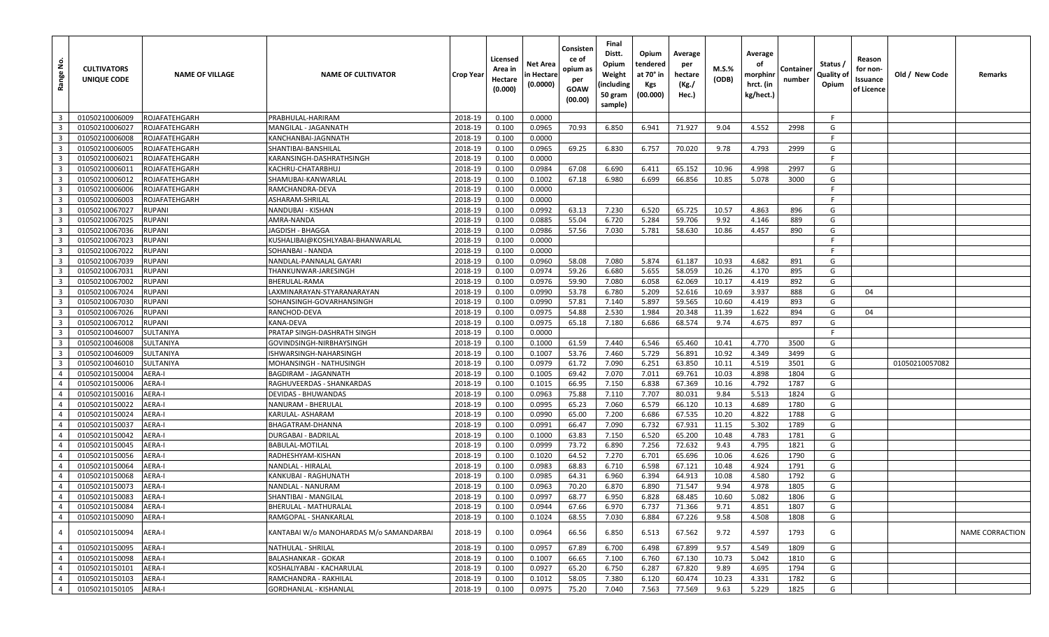| <u>و</u><br>Range       | <b>CULTIVATORS</b><br>UNIQUE CODE | <b>NAME OF VILLAGE</b> | <b>NAME OF CULTIVATOR</b>               | <b>Crop Year</b> | Licensed<br>Area in<br>Hectare<br>(0.000) | Net Area<br>n Hectare<br>(0.0000) | Consisten<br>ce of<br>opium as<br>per<br>GOAW<br>(00.00) | Final<br>Distt.<br>Opium<br>Weight<br>(including<br>50 gram<br>sample) | Opium<br>tendered<br>at 70° in<br>Kgs<br>(00.000) | Average<br>per<br>hectare<br>(Kg./<br>Hec.) | M.S.%<br>(ODB) | Average<br>οf<br>morphinr<br>hrct. (in<br>kg/hect.) | Container<br>number | Status /<br>Quality of<br>Opium | Reason<br>for non-<br>Issuance<br>of Licence | Old / New Code | Remarks                |
|-------------------------|-----------------------------------|------------------------|-----------------------------------------|------------------|-------------------------------------------|-----------------------------------|----------------------------------------------------------|------------------------------------------------------------------------|---------------------------------------------------|---------------------------------------------|----------------|-----------------------------------------------------|---------------------|---------------------------------|----------------------------------------------|----------------|------------------------|
| $\overline{\mathbf{3}}$ | 01050210006009                    | ROJAFATEHGARH          | PRABHULAL-HARIRAM                       | 2018-19          | 0.100                                     | 0.0000                            |                                                          |                                                                        |                                                   |                                             |                |                                                     |                     | F.                              |                                              |                |                        |
| $\overline{3}$          | 01050210006027                    | ROJAFATEHGARH          | MANGILAL - JAGANNATH                    | 2018-19          | 0.100                                     | 0.0965                            | 70.93                                                    | 6.850                                                                  | 6.941                                             | 71.927                                      | 9.04           | 4.552                                               | 2998                | G                               |                                              |                |                        |
| $\overline{\mathbf{3}}$ | 01050210006008                    | ROJAFATEHGARH          | KANCHANBAI-JAGNNATH                     | 2018-19          | 0.100                                     | 0.0000                            |                                                          |                                                                        |                                                   |                                             |                |                                                     |                     | F.                              |                                              |                |                        |
| $\overline{\mathbf{3}}$ | 01050210006005                    | ROJAFATEHGARH          | SHANTIBAI-BANSHILAL                     | 2018-19          | 0.100                                     | 0.0965                            | 69.25                                                    | 6.830                                                                  | 6.757                                             | 70.020                                      | 9.78           | 4.793                                               | 2999                | G                               |                                              |                |                        |
| $\overline{\mathbf{3}}$ | 01050210006021                    | ROJAFATEHGARH          | KARANSINGH-DASHRATHSINGH                | 2018-19          | 0.100                                     | 0.0000                            |                                                          |                                                                        |                                                   |                                             |                |                                                     |                     | F                               |                                              |                |                        |
| $\overline{\mathbf{3}}$ | 01050210006011                    | ROJAFATEHGARH          | KACHRU-CHATARBHUJ                       | 2018-19          | 0.100                                     | 0.0984                            | 67.08                                                    | 6.690                                                                  | 6.411                                             | 65.152                                      | 10.96          | 4.998                                               | 2997                | G                               |                                              |                |                        |
| $\overline{\mathbf{3}}$ | 01050210006012                    | ROJAFATEHGARH          | SHAMUBAI-KANWARLAL                      | 2018-19          | 0.100                                     | 0.1002                            | 67.18                                                    | 6.980                                                                  | 6.699                                             | 66.856                                      | 10.85          | 5.078                                               | 3000                | G                               |                                              |                |                        |
| $\overline{\mathbf{3}}$ | 01050210006006                    | ROJAFATEHGARH          | RAMCHANDRA-DEVA                         | 2018-19          | 0.100                                     | 0.0000                            |                                                          |                                                                        |                                                   |                                             |                |                                                     |                     | -F                              |                                              |                |                        |
| $\overline{3}$          | 01050210006003                    | ROJAFATEHGARH          | ASHARAM-SHRILAL                         | 2018-19          | 0.100                                     | 0.0000                            |                                                          |                                                                        |                                                   |                                             |                |                                                     |                     | F                               |                                              |                |                        |
| $\overline{3}$          | 01050210067027                    | RUPANI                 | NANDUBAI - KISHAN                       | 2018-19          | 0.100                                     | 0.0992                            | 63.13                                                    | 7.230                                                                  | 6.520                                             | 65.725                                      | 10.57          | 4.863                                               | 896                 | G                               |                                              |                |                        |
| $\overline{\mathbf{3}}$ | 01050210067025                    | <b>RUPANI</b>          | AMRA-NANDA                              | 2018-19          | 0.100                                     | 0.0885                            | 55.04                                                    | 6.720                                                                  | 5.284                                             | 59.706                                      | 9.92           | 4.146                                               | 889                 | G                               |                                              |                |                        |
| $\overline{3}$          | 01050210067036                    | RUPANI                 | JAGDISH - BHAGGA                        | 2018-19          | 0.100                                     | 0.0986                            | 57.56                                                    | 7.030                                                                  | 5.781                                             | 58.630                                      | 10.86          | 4.457                                               | 890                 | G                               |                                              |                |                        |
| $\overline{\mathbf{3}}$ | 01050210067023                    | RUPANI                 | KUSHALIBAI@KOSHLYABAI-BHANWARLAL        | 2018-19          | 0.100                                     | 0.0000                            |                                                          |                                                                        |                                                   |                                             |                |                                                     |                     | F                               |                                              |                |                        |
| $\overline{\mathbf{3}}$ | 01050210067022                    | RUPANI                 | SOHANBAI - NANDA                        | 2018-19          | 0.100                                     | 0.0000                            |                                                          |                                                                        |                                                   |                                             |                |                                                     |                     | F.                              |                                              |                |                        |
| $\overline{\mathbf{3}}$ | 01050210067039                    | <b>RUPANI</b>          | NANDLAL-PANNALAL GAYARI                 | 2018-19          | 0.100                                     | 0.0960                            | 58.08                                                    | 7.080                                                                  | 5.874                                             | 61.187                                      | 10.93          | 4.682                                               | 891                 | G                               |                                              |                |                        |
| $\overline{\mathbf{3}}$ | 01050210067031                    | RUPANI                 | THANKUNWAR-JARESINGH                    | 2018-19          | 0.100                                     | 0.0974                            | 59.26                                                    | 6.680                                                                  | 5.655                                             | 58.059                                      | 10.26          | 4.170                                               | 895                 | G                               |                                              |                |                        |
| $\overline{\mathbf{3}}$ | 01050210067002                    | RUPANI                 | BHERULAL-RAMA                           | 2018-19          | 0.100                                     | 0.0976                            | 59.90                                                    | 7.080                                                                  | 6.058                                             | 62.069                                      | 10.17          | 4.419                                               | 892                 | G                               |                                              |                |                        |
| $\overline{\mathbf{3}}$ | 01050210067024                    | <b>RUPANI</b>          | LAXMINARAYAN-STYARANARAYAN              | 2018-19          | 0.100                                     | 0.0990                            | 53.78                                                    | 6.780                                                                  | 5.209                                             | 52.616                                      | 10.69          | 3.937                                               | 888                 | G                               | 04                                           |                |                        |
| $\overline{3}$          | 01050210067030                    | RUPANI                 | SOHANSINGH-GOVARHANSINGH                | 2018-19          | 0.100                                     | 0.0990                            | 57.81                                                    | 7.140                                                                  | 5.897                                             | 59.565                                      | 10.60          | 4.419                                               | 893                 | G                               |                                              |                |                        |
| $\overline{\mathbf{3}}$ | 01050210067026                    | RUPANI                 | RANCHOD-DEVA                            | 2018-19          | 0.100                                     | 0.0975                            | 54.88                                                    | 2.530                                                                  | 1.984                                             | 20.348                                      | 11.39          | 1.622                                               | 894                 | G                               | 04                                           |                |                        |
| $\overline{3}$          | 01050210067012                    | RUPANI                 | KANA-DEVA                               | 2018-19          | 0.100                                     | 0.0975                            | 65.18                                                    | 7.180                                                                  | 6.686                                             | 68.574                                      | 9.74           | 4.675                                               | 897                 | G                               |                                              |                |                        |
| $\overline{\mathbf{3}}$ | 01050210046007                    | SULTANIYA              | PRATAP SINGH-DASHRATH SINGH             | 2018-19          | 0.100                                     | 0.0000                            |                                                          |                                                                        |                                                   |                                             |                |                                                     |                     | F                               |                                              |                |                        |
| $\overline{3}$          | 01050210046008                    | SULTANIYA              | GOVINDSINGH-NIRBHAYSINGH                | 2018-19          | 0.100                                     | 0.1000                            | 61.59                                                    | 7.440                                                                  | 6.546                                             | 65.460                                      | 10.41          | 4.770                                               | 3500                | G                               |                                              |                |                        |
| $\overline{\mathbf{3}}$ | 01050210046009                    | SULTANIYA              | SHWARSINGH-NAHARSINGH                   | 2018-19          | 0.100                                     | 0.1007                            | 53.76                                                    | 7.460                                                                  | 5.729                                             | 56.891                                      | 10.92          | 4.349                                               | 3499                | G                               |                                              |                |                        |
| $\overline{\mathbf{3}}$ | 01050210046010                    | SULTANIYA              | MOHANSINGH - NATHUSINGH                 | 2018-19          | 0.100                                     | 0.0979                            | 61.72                                                    | 7.090                                                                  | 6.251                                             | 63.850                                      | 10.11          | 4.519                                               | 3501                | G                               |                                              | 01050210057082 |                        |
| $\overline{4}$          | 01050210150004                    | AERA-I                 | BAGDIRAM - JAGANNATH                    | 2018-19          | 0.100                                     | 0.1005                            | 69.42                                                    | 7.070                                                                  | 7.011                                             | 69.761                                      | 10.03          | 4.898                                               | 1804                | G                               |                                              |                |                        |
| $\overline{4}$          | 01050210150006                    | AERA-I                 | RAGHUVEERDAS - SHANKARDAS               | 2018-19          | 0.100                                     | 0.1015                            | 66.95                                                    | 7.150                                                                  | 6.838                                             | 67.369                                      | 10.16          | 4.792                                               | 1787                | G                               |                                              |                |                        |
| $\overline{4}$          | 01050210150016                    | AERA-I                 | DEVIDAS - BHUWANDAS                     | 2018-19          | 0.100                                     | 0.0963                            | 75.88                                                    | 7.110                                                                  | 7.707                                             | 80.031                                      | 9.84           | 5.513                                               | 1824                | G                               |                                              |                |                        |
| $\overline{4}$          | 01050210150022                    | AERA-I                 | NANURAM - BHERULAL                      | 2018-19          | 0.100                                     | 0.0995                            | 65.23                                                    | 7.060                                                                  | 6.579                                             | 66.120                                      | 10.13          | 4.689                                               | 1780                | G                               |                                              |                |                        |
| $\overline{4}$          | 01050210150024                    | AERA-I                 | KARULAL- ASHARAM                        | 2018-19          | 0.100                                     | 0.0990                            | 65.00                                                    | 7.200                                                                  | 6.686                                             | 67.535                                      | 10.20          | 4.822                                               | 1788                | G                               |                                              |                |                        |
| $\overline{4}$          | 01050210150037                    | AERA-I                 | BHAGATRAM-DHANNA                        | 2018-19          | 0.100                                     | 0.0991                            | 66.47                                                    | 7.090                                                                  | 6.732                                             | 67.931                                      | 11.15          | 5.302                                               | 1789                | G                               |                                              |                |                        |
| $\overline{4}$          | 01050210150042                    | <b>AERA-I</b>          | DURGABAI - BADRILAL                     | 2018-19          | 0.100                                     | 0.1000                            | 63.83                                                    | 7.150                                                                  | 6.520                                             | 65.200                                      | 10.48          | 4.783                                               | 1781                | G                               |                                              |                |                        |
| $\overline{4}$          | 01050210150045                    | AERA-I                 | <b>BABULAL-MOTILAL</b>                  | 2018-19          | 0.100                                     | 0.0999                            | 73.72                                                    | 6.890                                                                  | 7.256                                             | 72.632                                      | 9.43           | 4.795                                               | 1821                | G                               |                                              |                |                        |
| $\overline{4}$          | 01050210150056                    | AERA-I                 | RADHESHYAM-KISHAN                       | 2018-19          | 0.100                                     | 0.1020                            | 64.52                                                    | 7.270                                                                  | 6.701                                             | 65.696                                      | 10.06          | 4.626                                               | 1790                | G                               |                                              |                |                        |
| $\overline{4}$          | 01050210150064                    | AERA-I                 | NANDLAL - HIRALAL                       | 2018-19          | 0.100                                     | 0.0983                            | 68.83                                                    | 6.710                                                                  | 6.598                                             | 67.121                                      | 10.48          | 4.924                                               | 1791                | G                               |                                              |                |                        |
| $\overline{4}$          | 01050210150068                    | AERA-I                 | KANKUBAI - RAGHUNATH                    | 2018-19          | 0.100                                     | 0.0985                            | 64.31                                                    | 6.960                                                                  | 6.394                                             | 64.913                                      | 10.08          | 4.580                                               | 1792                | G                               |                                              |                |                        |
| $\overline{4}$          | 01050210150073                    | AERA-I                 | NANDLAL - NANURAM                       | 2018-19          | 0.100                                     | 0.0963                            | 70.20                                                    | 6.870                                                                  | 6.890                                             | 71.547                                      | 9.94           | 4.978                                               | 1805                | G                               |                                              |                |                        |
| $\overline{4}$          | 01050210150083                    | AERA-I                 | SHANTIBAI - MANGILAL                    | 2018-19          | 0.100                                     | 0.0997                            | 68.77                                                    | 6.950                                                                  | 6.828                                             | 68.485                                      | 10.60          | 5.082                                               | 1806                | G                               |                                              |                |                        |
| $4 \mid$                | 01050210150084                    | AERA-I                 | BHERULAL - MATHURALAL                   | 2018-19          | 0.100                                     | 0.0944                            | 67.66                                                    | 6.970                                                                  | 6.737                                             | 71.366                                      | 9.71           | 4.851                                               | 1807                | G                               |                                              |                |                        |
| $\overline{4}$          | 01050210150090                    | AERA-I                 | RAMGOPAL - SHANKARLAL                   | 2018-19          | 0.100                                     | 0.1024                            | 68.55                                                    | 7.030                                                                  | 6.884                                             | 67.226                                      | 9.58           | 4.508                                               | 1808                | G                               |                                              |                |                        |
| $\overline{4}$          | 01050210150094                    | AERA-I                 | KANTABAI W/o MANOHARDAS M/o SAMANDARBAI | 2018-19          | 0.100                                     | 0.0964                            | 66.56                                                    | 6.850                                                                  | 6.513                                             | 67.562                                      | 9.72           | 4.597                                               | 1793                | G                               |                                              |                | <b>NAME CORRACTION</b> |
| $\overline{4}$          | 01050210150095                    | AERA-I                 | NATHULAL - SHRILAL                      | 2018-19          | 0.100                                     | 0.0957                            | 67.89                                                    | 6.700                                                                  | 6.498                                             | 67.899                                      | 9.57           | 4.549                                               | 1809                | G                               |                                              |                |                        |
| $\overline{4}$          | 01050210150098                    | AERA-I                 | <b>BALASHANKAR - GOKAR</b>              | 2018-19          | 0.100                                     | 0.1007                            | 66.65                                                    | 7.100                                                                  | 6.760                                             | 67.130                                      | 10.73          | 5.042                                               | 1810                | G                               |                                              |                |                        |
| $\overline{4}$          | 01050210150101                    | AERA-I                 | KOSHALIYABAI - KACHARULAL               | 2018-19          | 0.100                                     | 0.0927                            | 65.20                                                    | 6.750                                                                  | 6.287                                             | 67.820                                      | 9.89           | 4.695                                               | 1794                | G                               |                                              |                |                        |
| $\overline{4}$          | 01050210150103                    | AERA-I                 | RAMCHANDRA - RAKHILAL                   | 2018-19          | 0.100                                     | 0.1012                            | 58.05                                                    | 7.380                                                                  | 6.120                                             | 60.474                                      | 10.23          | 4.331                                               | 1782                | G                               |                                              |                |                        |
| $\overline{4}$          | 01050210150105                    | AERA-I                 | <b>GORDHANLAL - KISHANLAL</b>           | 2018-19          | 0.100                                     | 0.0975                            | 75.20                                                    | 7.040                                                                  | 7.563                                             | 77.569                                      | 9.63           | 5.229                                               | 1825                | G                               |                                              |                |                        |
|                         |                                   |                        |                                         |                  |                                           |                                   |                                                          |                                                                        |                                                   |                                             |                |                                                     |                     |                                 |                                              |                |                        |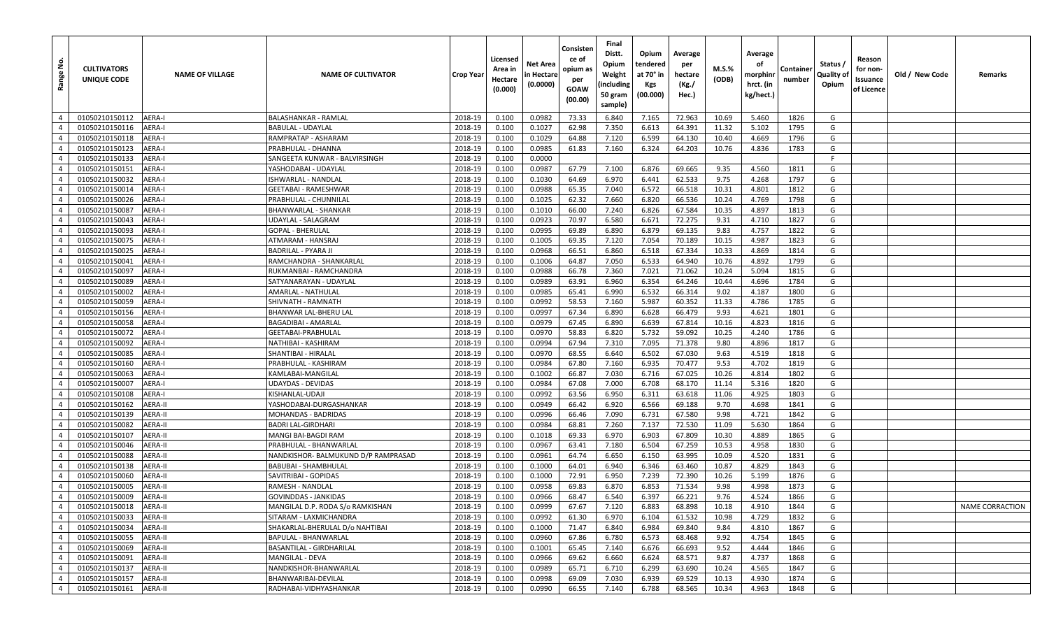| غ.<br>Range    | <b>CULTIVATORS</b><br>UNIQUE CODE | <b>NAME OF VILLAGE</b> | <b>NAME OF CULTIVATOR</b>           | <b>Crop Year</b> | Licensed<br>Area in<br>Hectare<br>(0.000) | Net Area<br>n Hectare<br>(0.0000) | Consisten<br>ce of<br>opium as<br>per<br>GOAW<br>(00.00) | Final<br>Distt.<br>Opium<br>Weight<br>(including<br>50 gram<br>sample) | Opium<br>tendered<br>at 70° in<br>Kgs<br>(00.000) | Average<br>per<br>hectare<br>(Kg./<br>Hec.) | M.S.%<br>(ODB) | Average<br>οf<br>morphinr<br>hrct. (in<br>kg/hect.) | Container<br>number | Status /<br>Quality of<br>Opium | Reason<br>for non-<br>Issuance<br>of Licence | Old / New Code | Remarks         |
|----------------|-----------------------------------|------------------------|-------------------------------------|------------------|-------------------------------------------|-----------------------------------|----------------------------------------------------------|------------------------------------------------------------------------|---------------------------------------------------|---------------------------------------------|----------------|-----------------------------------------------------|---------------------|---------------------------------|----------------------------------------------|----------------|-----------------|
| $\overline{4}$ | 01050210150112                    | AERA-I                 | BALASHANKAR - RAMLAL                | 2018-19          | 0.100                                     | 0.0982                            | 73.33                                                    | 6.840                                                                  | 7.165                                             | 72.963                                      | 10.69          | 5.460                                               | 1826                | G                               |                                              |                |                 |
| $\overline{4}$ | 01050210150116                    | AERA-I                 | BABULAL - UDAYLAL                   | 2018-19          | 0.100                                     | 0.1027                            | 62.98                                                    | 7.350                                                                  | 6.613                                             | 64.391                                      | 11.32          | 5.102                                               | 1795                | G                               |                                              |                |                 |
| $\overline{4}$ | 01050210150118                    | AERA-I                 | RAMPRATAP - ASHARAM                 | 2018-19          | 0.100                                     | 0.1029                            | 64.88                                                    | 7.120                                                                  | 6.599                                             | 64.130                                      | 10.40          | 4.669                                               | 1796                | G                               |                                              |                |                 |
| $\overline{4}$ | 01050210150123                    | <b>AERA-I</b>          | PRABHULAL - DHANNA                  | 2018-19          | 0.100                                     | 0.0985                            | 61.83                                                    | 7.160                                                                  | 6.324                                             | 64.203                                      | 10.76          | 4.836                                               | 1783                | G                               |                                              |                |                 |
| $\overline{4}$ | 01050210150133                    | AERA-I                 | SANGEETA KUNWAR - BALVIRSINGH       | 2018-19          | 0.100                                     | 0.0000                            |                                                          |                                                                        |                                                   |                                             |                |                                                     |                     | F                               |                                              |                |                 |
| $\overline{4}$ | 01050210150151                    | AERA-I                 | YASHODABAI - UDAYLAL                | 2018-19          | 0.100                                     | 0.0987                            | 67.79                                                    | 7.100                                                                  | 6.876                                             | 69.665                                      | 9.35           | 4.560                                               | 1811                | G                               |                                              |                |                 |
| $\overline{4}$ | 01050210150032                    | AERA-I                 | ISHWARLAL - NANDLAL                 | 2018-19          | 0.100                                     | 0.1030                            | 64.69                                                    | 6.970                                                                  | 6.441                                             | 62.533                                      | 9.75           | 4.268                                               | 1797                | G                               |                                              |                |                 |
| $\overline{4}$ | 01050210150014                    | AERA-I                 | <b>GEETABAI - RAMESHWAR</b>         | 2018-19          | 0.100                                     | 0.0988                            | 65.35                                                    | 7.040                                                                  | 6.572                                             | 66.518                                      | 10.31          | 4.801                                               | 1812                | G                               |                                              |                |                 |
| $\overline{4}$ | 01050210150026                    | AERA-I                 | PRABHULAL - CHUNNILAL               | 2018-19          | 0.100                                     | 0.1025                            | 62.32                                                    | 7.660                                                                  | 6.820                                             | 66.536                                      | 10.24          | 4.769                                               | 1798                | G                               |                                              |                |                 |
| $\overline{4}$ | 01050210150087                    | AERA-I                 | BHANWARLAL - SHANKAR                | 2018-19          | 0.100                                     | 0.1010                            | 66.00                                                    | 7.240                                                                  | 6.826                                             | 67.584                                      | 10.35          | 4.897                                               | 1813                | G                               |                                              |                |                 |
| $\overline{4}$ | 01050210150043                    | <b>AERA-I</b>          | UDAYLAL - SALAGRAM                  | 2018-19          | 0.100                                     | 0.0923                            | 70.97                                                    | 6.580                                                                  | 6.671                                             | 72.275                                      | 9.31           | 4.710                                               | 1827                | G                               |                                              |                |                 |
| $\overline{4}$ | 01050210150093                    | AERA-I                 | GOPAL - BHERULAL                    | 2018-19          | 0.100                                     | 0.0995                            | 69.89                                                    | 6.890                                                                  | 6.879                                             | 69.135                                      | 9.83           | 4.757                                               | 1822                | G                               |                                              |                |                 |
| $\overline{4}$ | 01050210150075                    | AERA-I                 | ATMARAM - HANSRAJ                   | 2018-19          | 0.100                                     | 0.1005                            | 69.35                                                    | 7.120                                                                  | 7.054                                             | 70.189                                      | 10.15          | 4.987                                               | 1823                | G                               |                                              |                |                 |
| $\overline{4}$ | 01050210150025                    | <b>AERA-I</b>          | BADRILAL - PYARA JI                 | 2018-19          | 0.100                                     | 0.0968                            | 66.51                                                    | 6.860                                                                  | 6.518                                             | 67.334                                      | 10.33          | 4.869                                               | 1814                | G                               |                                              |                |                 |
| $\overline{4}$ | 01050210150041                    | <b>AERA-I</b>          | RAMCHANDRA - SHANKARLAL             | 2018-19          | 0.100                                     | 0.1006                            | 64.87                                                    | 7.050                                                                  | 6.533                                             | 64.940                                      | 10.76          | 4.892                                               | 1799                | G                               |                                              |                |                 |
| $\overline{4}$ | 01050210150097                    | AERA-I                 | RUKMANBAI - RAMCHANDRA              | 2018-19          | 0.100                                     | 0.0988                            | 66.78                                                    | 7.360                                                                  | 7.021                                             | 71.062                                      | 10.24          | 5.094                                               | 1815                | G                               |                                              |                |                 |
| $\overline{4}$ | 01050210150089                    | <b>AERA-I</b>          | SATYANARAYAN - UDAYLAL              | 2018-19          | 0.100                                     | 0.0989                            | 63.91                                                    | 6.960                                                                  | 6.354                                             | 64.246                                      | 10.44          | 4.696                                               | 1784                | G                               |                                              |                |                 |
| $\overline{4}$ | 01050210150002                    | <b>AERA-I</b>          | AMARLAL - NATHULAL                  | 2018-19          | 0.100                                     | 0.0985                            | 65.41                                                    | 6.990                                                                  | 6.532                                             | 66.314                                      | 9.02           | 4.187                                               | 1800                | G                               |                                              |                |                 |
| $\overline{4}$ | 01050210150059                    | AERA-I                 | SHIVNATH - RAMNATH                  | 2018-19          | 0.100                                     | 0.0992                            | 58.53                                                    | 7.160                                                                  | 5.987                                             | 60.352                                      | 11.33          | 4.786                                               | 1785                | G                               |                                              |                |                 |
| $\overline{4}$ | 01050210150156                    | AERA-I                 | BHANWAR LAL-BHERU LAL               | 2018-19          | 0.100                                     | 0.0997                            | 67.34                                                    | 6.890                                                                  | 6.628                                             | 66.479                                      | 9.93           | 4.621                                               | 1801                | G                               |                                              |                |                 |
| $\overline{4}$ | 01050210150058                    | AERA-I                 | BAGADIBAI - AMARLAL                 | 2018-19          | 0.100                                     | 0.0979                            | 67.45                                                    | 6.890                                                                  | 6.639                                             | 67.814                                      | 10.16          | 4.823                                               | 1816                | G                               |                                              |                |                 |
| $\overline{4}$ | 01050210150072                    | <b>AERA-I</b>          | GEETABAI-PRABHULAL                  | 2018-19          | 0.100                                     | 0.0970                            | 58.83                                                    | 6.820                                                                  | 5.732                                             | 59.092                                      | 10.25          | 4.240                                               | 1786                | G                               |                                              |                |                 |
| $\overline{4}$ | 01050210150092                    | AERA-I                 | NATHIBAI - KASHIRAM                 | 2018-19          | 0.100                                     | 0.0994                            | 67.94                                                    | 7.310                                                                  | 7.095                                             | 71.378                                      | 9.80           | 4.896                                               | 1817                | G                               |                                              |                |                 |
| $\overline{4}$ | 01050210150085                    | AERA-I                 | SHANTIBAI - HIRALAL                 | 2018-19          | 0.100                                     | 0.0970                            | 68.55                                                    | 6.640                                                                  | 6.502                                             | 67.030                                      | 9.63           | 4.519                                               | 1818                | G                               |                                              |                |                 |
| $\overline{4}$ | 01050210150160                    | AERA-I                 | PRABHULAL - KASHIRAM                | 2018-19          | 0.100                                     | 0.0984                            | 67.80                                                    | 7.160                                                                  | 6.935                                             | 70.477                                      | 9.53           | 4.702                                               | 1819                | G                               |                                              |                |                 |
| $\overline{4}$ | 01050210150063                    | AERA-I                 | KAMLABAI-MANGILAL                   | 2018-19          | 0.100                                     | 0.1002                            | 66.87                                                    | 7.030                                                                  | 6.716                                             | 67.025                                      | 10.26          | 4.814                                               | 1802                | G                               |                                              |                |                 |
| $\overline{4}$ | 01050210150007                    | AERA-I                 | JDAYDAS - DEVIDAS                   | 2018-19          | 0.100                                     | 0.0984                            | 67.08                                                    | 7.000                                                                  | 6.708                                             | 68.170                                      | 11.14          | 5.316                                               | 1820                | G                               |                                              |                |                 |
| $\overline{4}$ | 01050210150108                    | AERA-I                 | KISHANLAL-UDAJI                     | 2018-19          | 0.100                                     | 0.0992                            | 63.56                                                    | 6.950                                                                  | 6.311                                             | 63.618                                      | 11.06          | 4.925                                               | 1803                | G                               |                                              |                |                 |
| $\overline{4}$ | 01050210150162                    | AERA-II                | YASHODABAI-DURGASHANKAR             | 2018-19          | 0.100                                     | 0.0949                            | 66.42                                                    | 6.920                                                                  | 6.566                                             | 69.188                                      | 9.70           | 4.698                                               | 1841                | G                               |                                              |                |                 |
| $\overline{4}$ | 01050210150139                    | AERA-II                | MOHANDAS - BADRIDAS                 | 2018-19          | 0.100                                     | 0.0996                            | 66.46                                                    | 7.090                                                                  | 6.731                                             | 67.580                                      | 9.98           | 4.721                                               | 1842                | G                               |                                              |                |                 |
| $\overline{4}$ | 01050210150082                    | AERA-II                | BADRI LAL-GIRDHARI                  | 2018-19          | 0.100                                     | 0.0984                            | 68.81                                                    | 7.260                                                                  | 7.137                                             | 72.530                                      | 11.09          | 5.630                                               | 1864                | G                               |                                              |                |                 |
| $\overline{4}$ | 01050210150107                    | AERA-II                | MANGI BAI-BAGDI RAM                 | 2018-19          | 0.100                                     | 0.1018                            | 69.33                                                    | 6.970                                                                  | 6.903                                             | 67.809                                      | 10.30          | 4.889                                               | 1865                | G                               |                                              |                |                 |
| $\overline{4}$ | 01050210150046                    | AERA-II                | PRABHULAL - BHANWARLAL              | 2018-19          | 0.100                                     | 0.0967                            | 63.41                                                    | 7.180                                                                  | 6.504                                             | 67.259                                      | 10.53          | 4.958                                               | 1830                | G                               |                                              |                |                 |
| $\overline{4}$ | 01050210150088                    | AERA-II                | NANDKISHOR- BALMUKUND D/P RAMPRASAD | 2018-19          | 0.100                                     | 0.0961                            | 64.74                                                    | 6.650                                                                  | 6.150                                             | 63.995                                      | 10.09          | 4.520                                               | 1831                | G                               |                                              |                |                 |
| $\overline{4}$ | 01050210150138                    | AERA-II                | BABUBAI - SHAMBHULAL                | 2018-19          | 0.100                                     | 0.1000                            | 64.01                                                    | 6.940                                                                  | 6.346                                             | 63.460                                      | 10.87          | 4.829                                               | 1843                | G                               |                                              |                |                 |
| $\overline{4}$ | 01050210150060                    | AERA-II                | SAVITRIBAI - GOPIDAS                | 2018-19          | 0.100                                     | 0.1000                            | 72.91                                                    | 6.950                                                                  | 7.239                                             | 72.390                                      | 10.26          | 5.199                                               | 1876                | G                               |                                              |                |                 |
| $\overline{4}$ | 01050210150005                    | AERA-II                | RAMESH - NANDLAL                    | 2018-19          | 0.100                                     | 0.0958                            | 69.83                                                    | 6.870                                                                  | 6.853                                             | 71.534                                      | 9.98           | 4.998                                               | 1873                | G                               |                                              |                |                 |
| $\overline{4}$ | 01050210150009                    | AERA-II                | GOVINDDAS - JANKIDAS                | 2018-19          | 0.100                                     | 0.0966                            | 68.47                                                    | 6.540                                                                  | 6.397                                             | 66.221                                      | 9.76           | 4.524                                               | 1866                | G                               |                                              |                |                 |
| $4 \mid$       | 01050210150018                    | AERA-II                | MANGILAL D.P. RODA S/o RAMKISHAN    | 2018-19          | 0.100                                     | 0.0999                            | 67.67                                                    | 7.120                                                                  | 6.883                                             | 68.898                                      | 10.18          | 4.910                                               | 1844                | G                               |                                              |                | NAME CORRACTION |
| $\overline{4}$ | 01050210150033                    | AERA-II                | SITARAM - LAXMICHANDRA              | 2018-19          | 0.100                                     | 0.0992                            | 61.30                                                    | 6.970                                                                  | 6.104                                             | 61.532                                      | 10.98          | 4.729                                               | 1832                | G                               |                                              |                |                 |
| $\overline{4}$ | 01050210150034                    | AERA-II                | SHAKARLAL-BHERULAL D/o NAHTIBAI     | 2018-19          | 0.100                                     | 0.1000                            | 71.47                                                    | 6.840                                                                  | 6.984                                             | 69.840                                      | 9.84           | 4.810                                               | 1867                | G                               |                                              |                |                 |
| $\overline{4}$ | 01050210150055                    | AERA-II                | BAPULAL - BHANWARLAL                | 2018-19          | 0.100                                     | 0.0960                            | 67.86                                                    | 6.780                                                                  | 6.573                                             | 68.468                                      | 9.92           | 4.754                                               | 1845                | G                               |                                              |                |                 |
| $\overline{4}$ | 01050210150069                    | <b>AERA-II</b>         | BASANTILAL - GIRDHARILAL            | 2018-19          | 0.100                                     | 0.1001                            | 65.45                                                    | 7.140                                                                  | 6.676                                             | 66.693                                      | 9.52           | 4.444                                               | 1846                | G                               |                                              |                |                 |
| $\overline{4}$ | 01050210150091                    | AERA-II                | MANGILAL - DEVA                     | 2018-19          | 0.100                                     | 0.0966                            | 69.62                                                    | 6.660                                                                  | 6.624                                             | 68.571                                      | 9.87           | 4.737                                               | 1868                | G                               |                                              |                |                 |
| $\overline{4}$ | 01050210150137                    | AERA-II                | NANDKISHOR-BHANWARLAL               | 2018-19          | 0.100                                     | 0.0989                            | 65.71                                                    | 6.710                                                                  | 6.299                                             | 63.690                                      | 10.24          | 4.565                                               | 1847                | G                               |                                              |                |                 |
| $\overline{4}$ | 01050210150157                    | AERA-II                | BHANWARIBAI-DEVILAL                 | 2018-19          | 0.100                                     | 0.0998                            | 69.09                                                    | 7.030                                                                  | 6.939                                             | 69.529                                      | 10.13          | 4.930                                               | 1874                | G                               |                                              |                |                 |
| $\overline{4}$ | 01050210150161                    | AERA-II                | RADHABAI-VIDHYASHANKAR              | 2018-19          | 0.100                                     | 0.0990                            | 66.55                                                    | 7.140                                                                  | 6.788                                             | 68.565                                      | 10.34          | 4.963                                               | 1848                | G                               |                                              |                |                 |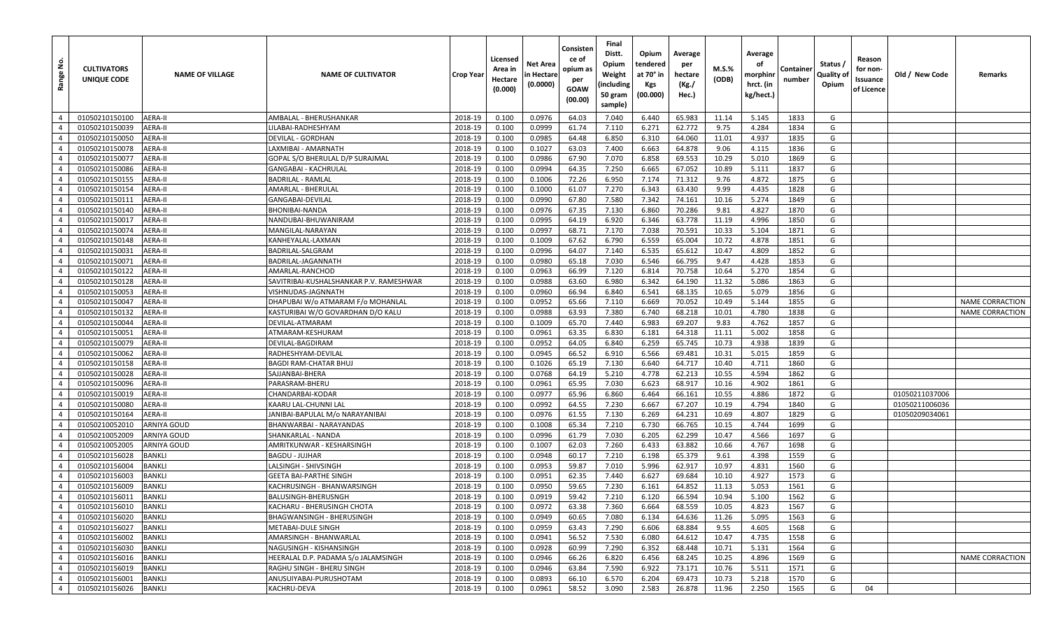| <u>غ</u><br>Range | <b>CULTIVATORS</b><br>UNIQUE CODE | <b>NAME OF VILLAGE</b> | <b>NAME OF CULTIVATOR</b>               | Crop Year | Licensed<br>Area in<br>Hectare<br>(0.000) | Net Area<br>n Hectare<br>(0.0000) | Consisten<br>ce of<br>opium as<br>per<br>GOAW<br>(00.00) | Final<br>Distt.<br>Opium<br>Weight<br>(including<br>50 gram<br>sample) | Opium<br>tendered<br>at 70° in<br>Kgs<br>(00.000) | Average<br>per<br>hectare<br>(Kg./<br>Hec.) | M.S.%<br>(ODB) | Average<br>οf<br>morphinr<br>hrct. (in<br>kg/hect.) | Containe<br>number | Status /<br>Quality of<br>Opium | Reason<br>for non-<br>Issuance<br>of Licence | Old / New Code | Remarks                |
|-------------------|-----------------------------------|------------------------|-----------------------------------------|-----------|-------------------------------------------|-----------------------------------|----------------------------------------------------------|------------------------------------------------------------------------|---------------------------------------------------|---------------------------------------------|----------------|-----------------------------------------------------|--------------------|---------------------------------|----------------------------------------------|----------------|------------------------|
| $\overline{4}$    | 01050210150100                    | AERA-II                | AMBALAL - BHERUSHANKAR                  | 2018-19   | 0.100                                     | 0.0976                            | 64.03                                                    | 7.040                                                                  | 6.440                                             | 65.983                                      | 11.14          | 5.145                                               | 1833               | G                               |                                              |                |                        |
| $\overline{4}$    | 01050210150039                    | AERA-II                | LILABAI-RADHESHYAM                      | 2018-19   | 0.100                                     | 0.0999                            | 61.74                                                    | 7.110                                                                  | 6.271                                             | 62.772                                      | 9.75           | 4.284                                               | 1834               | G                               |                                              |                |                        |
| $\overline{4}$    | 01050210150050                    | <b>AERA-II</b>         | DEVILAL - GORDHAN                       | 2018-19   | 0.100                                     | 0.0985                            | 64.48                                                    | 6.850                                                                  | 6.310                                             | 64.060                                      | 11.01          | 4.937                                               | 1835               | G                               |                                              |                |                        |
| $\overline{4}$    | 01050210150078                    | AERA-II                | LAXMIBAI - AMARNATH                     | 2018-19   | 0.100                                     | 0.1027                            | 63.03                                                    | 7.400                                                                  | 6.663                                             | 64.878                                      | 9.06           | 4.115                                               | 1836               | G                               |                                              |                |                        |
| $\overline{4}$    | 01050210150077                    | AERA-II                | GOPAL S/O BHERULAL D/P SURAJMAL         | 2018-19   | 0.100                                     | 0.0986                            | 67.90                                                    | 7.070                                                                  | 6.858                                             | 69.553                                      | 10.29          | 5.010                                               | 1869               | G                               |                                              |                |                        |
| $\overline{4}$    | 01050210150086                    | AERA-II                | GANGABAI - KACHRULAL                    | 2018-19   | 0.100                                     | 0.0994                            | 64.35                                                    | 7.250                                                                  | 6.665                                             | 67.052                                      | 10.89          | 5.111                                               | 1837               | G                               |                                              |                |                        |
| $\overline{4}$    | 01050210150155                    | AERA-II                | BADRILAL - RAMLAL                       | 2018-19   | 0.100                                     | 0.1006                            | 72.26                                                    | 6.950                                                                  | 7.174                                             | 71.312                                      | 9.76           | 4.872                                               | 1875               | G                               |                                              |                |                        |
| $\overline{4}$    | 01050210150154                    | AERA-II                | AMARLAL - BHERULAL                      | 2018-19   | 0.100                                     | 0.1000                            | 61.07                                                    | 7.270                                                                  | 6.343                                             | 63.430                                      | 9.99           | 4.435                                               | 1828               | G                               |                                              |                |                        |
| $\overline{4}$    | 01050210150111                    | AERA-II                | GANGABAI-DEVILAL                        | 2018-19   | 0.100                                     | 0.0990                            | 67.80                                                    | 7.580                                                                  | 7.342                                             | 74.161                                      | 10.16          | 5.274                                               | 1849               | G                               |                                              |                |                        |
| $\overline{4}$    | 01050210150140                    | AERA-II                | BHONIBAI-NANDA                          | 2018-19   | 0.100                                     | 0.0976                            | 67.35                                                    | 7.130                                                                  | 6.860                                             | 70.286                                      | 9.81           | 4.827                                               | 1870               | G                               |                                              |                |                        |
| $\overline{4}$    | 01050210150017                    | <b>AERA-II</b>         | NANDUBAI-BHUWANIRAM                     | 2018-19   | 0.100                                     | 0.0995                            | 64.19                                                    | 6.920                                                                  | 6.346                                             | 63.778                                      | 11.19          | 4.996                                               | 1850               | G                               |                                              |                |                        |
| $\overline{4}$    | 01050210150074                    | <b>AERA-II</b>         | MANGILAL-NARAYAN                        | 2018-19   | 0.100                                     | 0.0997                            | 68.71                                                    | 7.170                                                                  | 7.038                                             | 70.591                                      | 10.33          | 5.104                                               | 1871               | G                               |                                              |                |                        |
| $\overline{4}$    | 01050210150148                    | AERA-II                | KANHEYALAL-LAXMAN                       | 2018-19   | 0.100                                     | 0.1009                            | 67.62                                                    | 6.790                                                                  | 6.559                                             | 65.004                                      | 10.72          | 4.878                                               | 1851               | G                               |                                              |                |                        |
| $\overline{4}$    | 01050210150031                    | <b>AERA-II</b>         | BADRILAL-SALGRAM                        | 2018-19   | 0.100                                     | 0.0996                            | 64.07                                                    | 7.140                                                                  | 6.535                                             | 65.612                                      | 10.47          | 4.809                                               | 1852               | G                               |                                              |                |                        |
| $\overline{4}$    | 01050210150071                    | <b>AERA-II</b>         | BADRILAL-JAGANNATH                      | 2018-19   | 0.100                                     | 0.0980                            | 65.18                                                    | 7.030                                                                  | 6.546                                             | 66.795                                      | 9.47           | 4.428                                               | 1853               | G                               |                                              |                |                        |
| $\overline{4}$    | 01050210150122                    | AERA-II                | AMARLAL-RANCHOD                         | 2018-19   | 0.100                                     | 0.0963                            | 66.99                                                    | 7.120                                                                  | 6.814                                             | 70.758                                      | 10.64          | 5.270                                               | 1854               | G                               |                                              |                |                        |
| $\overline{4}$    | 01050210150128                    | AERA-II                | SAVITRIBAI-KUSHALSHANKAR P.V. RAMESHWAR | 2018-19   | 0.100                                     | 0.0988                            | 63.60                                                    | 6.980                                                                  | 6.342                                             | 64.190                                      | 11.32          | 5.086                                               | 1863               | G                               |                                              |                |                        |
| $\overline{4}$    | 01050210150053                    | <b>AERA-II</b>         | VISHNUDAS-JAGNNATH                      | 2018-19   | 0.100                                     | 0.0960                            | 66.94                                                    | 6.840                                                                  | 6.541                                             | 68.135                                      | 10.65          | 5.079                                               | 1856               | G                               |                                              |                |                        |
| $\overline{4}$    | 01050210150047                    | AERA-II                | DHAPUBAI W/o ATMARAM F/o MOHANLAL       | 2018-19   | 0.100                                     | 0.0952                            | 65.66                                                    | 7.110                                                                  | 6.669                                             | 70.052                                      | 10.49          | 5.144                                               | 1855               | G                               |                                              |                | <b>NAME CORRACTION</b> |
| $\overline{4}$    | 01050210150132                    | <b>AERA-II</b>         | KASTURIBAI W/O GOVARDHAN D/O KALU       | 2018-19   | 0.100                                     | 0.0988                            | 63.93                                                    | 7.380                                                                  | 6.740                                             | 68.218                                      | 10.01          | 4.780                                               | 1838               | G                               |                                              |                | <b>NAME CORRACTION</b> |
| $\overline{4}$    | 01050210150044                    | AERA-II                | DEVILAL-ATMARAM                         | 2018-19   | 0.100                                     | 0.1009                            | 65.70                                                    | 7.440                                                                  | 6.983                                             | 69.207                                      | 9.83           | 4.762                                               | 1857               | G                               |                                              |                |                        |
| $\overline{4}$    | 01050210150051                    | <b>AERA-II</b>         | ATMARAM-KESHURAM                        | 2018-19   | 0.100                                     | 0.0961                            | 63.35                                                    | 6.830                                                                  | 6.181                                             | 64.318                                      | 11.11          | 5.002                                               | 1858               | G                               |                                              |                |                        |
| $\overline{4}$    | 01050210150079                    | AERA-II                | DEVILAL-BAGDIRAM                        | 2018-19   | 0.100                                     | 0.0952                            | 64.05                                                    | 6.840                                                                  | 6.259                                             | 65.745                                      | 10.73          | 4.938                                               | 1839               | G                               |                                              |                |                        |
| $\overline{4}$    | 01050210150062                    | AERA-II                | RADHESHYAM-DEVILAL                      | 2018-19   | 0.100                                     | 0.0945                            | 66.52                                                    | 6.910                                                                  | 6.566                                             | 69.481                                      | 10.31          | 5.015                                               | 1859               | G                               |                                              |                |                        |
| $\overline{4}$    | 01050210150158                    | AERA-II                | <b>BAGDI RAM-CHATAR BHUJ</b>            | 2018-19   | 0.100                                     | 0.1026                            | 65.19                                                    | 7.130                                                                  | 6.640                                             | 64.717                                      | 10.40          | 4.711                                               | 1860               | G                               |                                              |                |                        |
| $\overline{4}$    | 01050210150028                    | AERA-II                | SAJJANBAI-BHERA                         | 2018-19   | 0.100                                     | 0.0768                            | 64.19                                                    | 5.210                                                                  | 4.778                                             | 62.213                                      | 10.55          | 4.594                                               | 1862               | G                               |                                              |                |                        |
| $\overline{4}$    | 01050210150096                    | AERA-II                | PARASRAM-BHERU                          | 2018-19   | 0.100                                     | 0.0961                            | 65.95                                                    | 7.030                                                                  | 6.623                                             | 68.917                                      | 10.16          | 4.902                                               | 1861               | G                               |                                              |                |                        |
| $\overline{4}$    | 01050210150019                    | AERA-II                | CHANDARBAI-KODAR                        | 2018-19   | 0.100                                     | 0.0977                            | 65.96                                                    | 6.860                                                                  | 6.464                                             | 66.161                                      | 10.55          | 4.886                                               | 1872               | G                               |                                              | 01050211037006 |                        |
| $\overline{4}$    | 01050210150080                    | <b>AERA-II</b>         | KAARU LAL-CHUNNI LAL                    | 2018-19   | 0.100                                     | 0.0992                            | 64.55                                                    | 7.230                                                                  | 6.667                                             | 67.207                                      | 10.19          | 4.794                                               | 1840               | G                               |                                              | 01050211006036 |                        |
| $\overline{4}$    | 01050210150164                    | AERA-II                | IANIBAI-BAPULAL M/o NARAYANIBAI         | 2018-19   | 0.100                                     | 0.0976                            | 61.55                                                    | 7.130                                                                  | 6.269                                             | 64.231                                      | 10.69          | 4.807                                               | 1829               | G                               |                                              | 01050209034061 |                        |
| $\overline{4}$    | 01050210052010                    | <b>ARNIYA GOUD</b>     | BHANWARBAI - NARAYANDAS                 | 2018-19   | 0.100                                     | 0.1008                            | 65.34                                                    | 7.210                                                                  | 6.730                                             | 66.765                                      | 10.15          | 4.744                                               | 1699               | G                               |                                              |                |                        |
| $\overline{4}$    | 01050210052009                    | ARNIYA GOUD            | SHANKARLAL - NANDA                      | 2018-19   | 0.100                                     | 0.0996                            | 61.79                                                    | 7.030                                                                  | 6.205                                             | 62.299                                      | 10.47          | 4.566                                               | 1697               | G                               |                                              |                |                        |
| $\overline{4}$    | 01050210052005                    | <b>ARNIYA GOUD</b>     | AMRITKUNWAR - KESHARSINGH               | 2018-19   | 0.100                                     | 0.1007                            | 62.03                                                    | 7.260                                                                  | 6.433                                             | 63.882                                      | 10.66          | 4.767                                               | 1698               | G                               |                                              |                |                        |
| $\overline{4}$    | 01050210156028                    | <b>BANKLI</b>          | <b>BAGDU - JUJHAR</b>                   | 2018-19   | 0.100                                     | 0.0948                            | 60.17                                                    | 7.210                                                                  | 6.198                                             | 65.379                                      | 9.61           | 4.398                                               | 1559               | G                               |                                              |                |                        |
| $\overline{4}$    | 01050210156004                    | <b>BANKLI</b>          | LALSINGH - SHIVSINGH                    | 2018-19   | 0.100                                     | 0.0953                            | 59.87                                                    | 7.010                                                                  | 5.996                                             | 62.917                                      | 10.97          | 4.831                                               | 1560               | G                               |                                              |                |                        |
| $\overline{4}$    | 01050210156003                    | <b>BANKLI</b>          | <b>GEETA BAI-PARTHE SINGH</b>           | 2018-19   | 0.100                                     | 0.0951                            | 62.35                                                    | 7.440                                                                  | 6.627                                             | 69.684                                      | 10.10          | 4.927                                               | 1573               | G                               |                                              |                |                        |
| $\overline{4}$    | 01050210156009                    | <b>BANKLI</b>          | KACHRUSINGH - BHANWARSINGH              | 2018-19   | 0.100                                     | 0.0950                            | 59.65                                                    | 7.230                                                                  | 6.161                                             | 64.852                                      | 11.13          | 5.053                                               | 1561               | G                               |                                              |                |                        |
| $\overline{4}$    | 01050210156011                    | <b>BANKLI</b>          | BALUSINGH-BHERUSNGH                     | 2018-19   | 0.100                                     | 0.0919                            | 59.42                                                    | 7.210                                                                  | 6.120                                             | 66.594                                      | 10.94          | 5.100                                               | 1562               | G                               |                                              |                |                        |
| $\overline{4}$    | 01050210156010                    | <b>BANKLI</b>          | KACHARU - BHERUSINGH CHOTA              | 2018-19   | 0.100                                     | 0.0972                            | 63.38                                                    | 7.360                                                                  | 6.664                                             | 68.559                                      | 10.05          | 4.823                                               | 1567               | G                               |                                              |                |                        |
| $\overline{4}$    | 01050210156020                    | BANKLI                 | BHAGWANSINGH - BHERUSINGH               | 2018-19   | 0.100                                     | 0.0949                            | 60.65                                                    | 7.080                                                                  | 6.134                                             | 64.636                                      | 11.26          | 5.095                                               | 1563               | G                               |                                              |                |                        |
| $\overline{4}$    | 01050210156027                    | <b>BANKLI</b>          | METABAI-DULE SINGH                      | 2018-19   | 0.100                                     | 0.0959                            | 63.43                                                    | 7.290                                                                  | 6.606                                             | 68.884                                      | 9.55           | 4.605                                               | 1568               | G                               |                                              |                |                        |
| $\overline{4}$    | 01050210156002                    | <b>BANKLI</b>          | AMARSINGH - BHANWARLAL                  | 2018-19   | 0.100                                     | 0.0941                            | 56.52                                                    | 7.530                                                                  | 6.080                                             | 64.612                                      | 10.47          | 4.735                                               | 1558               | G                               |                                              |                |                        |
| $\overline{4}$    | 01050210156030                    | <b>BANKLI</b>          | NAGUSINGH - KISHANSINGH                 | 2018-19   | 0.100                                     | 0.0928                            | 60.99                                                    | 7.290                                                                  | 6.352                                             | 68.448                                      | 10.71          | 5.131                                               | 1564               | G                               |                                              |                |                        |
| $\overline{4}$    | 01050210156016                    | <b>BANKLI</b>          | HEERALAL D.P. PADAMA S/o JALAMSINGH     | 2018-19   | 0.100                                     | 0.0946                            | 66.26                                                    | 6.820                                                                  | 6.456                                             | 68.245                                      | 10.25          | 4.896                                               | 1569               | G                               |                                              |                | <b>NAME CORRACTION</b> |
| $\overline{4}$    | 01050210156019                    | <b>BANKLI</b>          | RAGHU SINGH - BHERU SINGH               | 2018-19   | 0.100                                     | 0.0946                            | 63.84                                                    | 7.590                                                                  | 6.922                                             | 73.171                                      | 10.76          | 5.511                                               | 1571               | G                               |                                              |                |                        |
| $\overline{4}$    | 01050210156001                    | <b>BANKLI</b>          | ANUSUIYABAI-PURUSHOTAM                  | 2018-19   | 0.100                                     | 0.0893                            | 66.10                                                    | 6.570                                                                  | 6.204                                             | 69.473                                      | 10.73          | 5.218                                               | 1570               | G                               |                                              |                |                        |
| $\overline{4}$    | 01050210156026                    | <b>BANKLI</b>          | KACHRU-DEVA                             | 2018-19   | 0.100                                     | 0.0961                            | 58.52                                                    | 3.090                                                                  | 2.583                                             | 26.878                                      | 11.96          | 2.250                                               | 1565               | G                               | 04                                           |                |                        |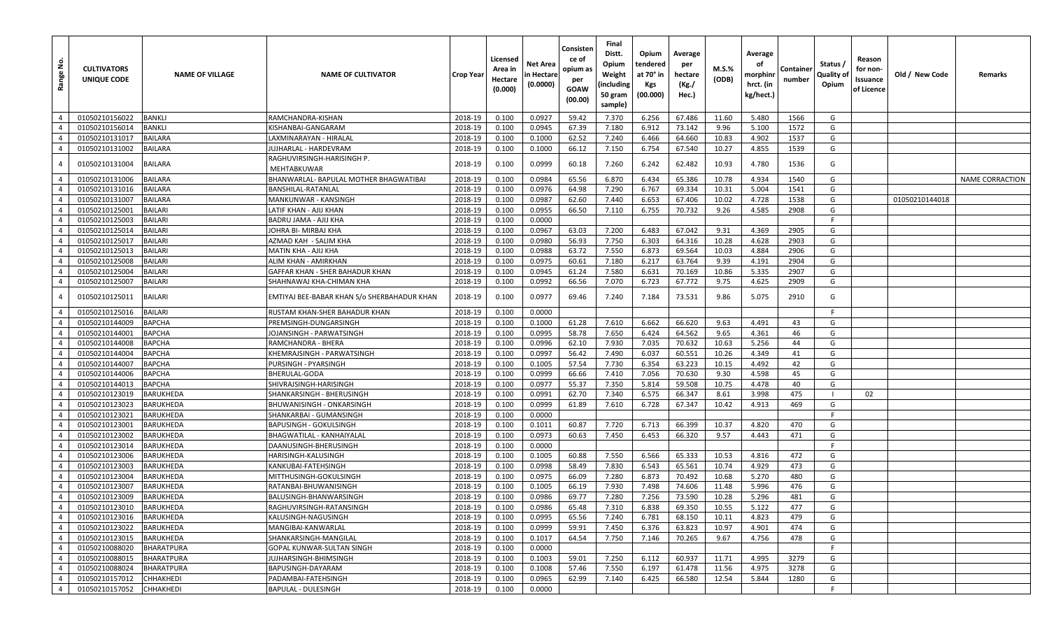| Range No.      | <b>CULTIVATORS</b><br>UNIQUE CODE | <b>NAME OF VILLAGE</b> | <b>NAME OF CULTIVATOR</b>                   | <b>Crop Year</b> | Licensed<br>Area in<br>Hectare<br>(0.000) | Net Area<br>n Hectare<br>(0.0000) | Consisten<br>ce of<br>opium as<br>per<br>GOAW<br>(00.00) | Final<br>Distt.<br>Opium<br>Weight<br>(including<br>50 gram<br>sample) | Opium<br>tendered<br>at 70° in<br>Kgs<br>(00.000) | Average<br>per<br>hectare<br>(Kg./<br>Hec.) | M.S.%<br>(ODB) | Average<br>οf<br>morphinr<br>hrct. (in<br>kg/hect.) | Container<br>number | Status /<br>Quality of<br>Opium | Reason<br>for non-<br>Issuance<br>of Licence | Old / New Code | Remarks         |
|----------------|-----------------------------------|------------------------|---------------------------------------------|------------------|-------------------------------------------|-----------------------------------|----------------------------------------------------------|------------------------------------------------------------------------|---------------------------------------------------|---------------------------------------------|----------------|-----------------------------------------------------|---------------------|---------------------------------|----------------------------------------------|----------------|-----------------|
| $\overline{4}$ | 01050210156022                    | <b>BANKLI</b>          | RAMCHANDRA-KISHAN                           | 2018-19          | 0.100                                     | 0.0927                            | 59.42                                                    | 7.370                                                                  | 6.256                                             | 67.486                                      | 11.60          | 5.480                                               | 1566                | G                               |                                              |                |                 |
| $\overline{4}$ | 01050210156014                    | BANKLI                 | KISHANBAI-GANGARAM                          | 2018-19          | 0.100                                     | 0.0945                            | 67.39                                                    | 7.180                                                                  | 6.912                                             | 73.142                                      | 9.96           | 5.100                                               | 1572                | G                               |                                              |                |                 |
| $\overline{4}$ | 01050210131017                    | <b>BAILARA</b>         | LAXMINARAYAN - HIRALAL                      | 2018-19          | 0.100                                     | 0.1000                            | 62.52                                                    | 7.240                                                                  | 6.466                                             | 64.660                                      | 10.83          | 4.902                                               | 1537                | G                               |                                              |                |                 |
| $\overline{4}$ | 01050210131002                    | <b>BAILARA</b>         | JUJHARLAL - HARDEVRAM                       | 2018-19          | 0.100                                     | 0.1000                            | 66.12                                                    | 7.150                                                                  | 6.754                                             | 67.540                                      | 10.27          | 4.855                                               | 1539                | G                               |                                              |                |                 |
| $\overline{4}$ | 01050210131004                    | <b>BAILARA</b>         | RAGHUVIRSINGH-HARISINGH P.<br>MEHTABKUWAR   | 2018-19          | 0.100                                     | 0.0999                            | 60.18                                                    | 7.260                                                                  | 6.242                                             | 62.482                                      | 10.93          | 4.780                                               | 1536                | G                               |                                              |                |                 |
| $\overline{4}$ | 01050210131006                    | <b>BAILARA</b>         | BHANWARLAL- BAPULAL MOTHER BHAGWATIBAI      | 2018-19          | 0.100                                     | 0.0984                            | 65.56                                                    | 6.870                                                                  | 6.434                                             | 65.386                                      | 10.78          | 4.934                                               | 1540                | G                               |                                              |                | NAME CORRACTION |
| $\overline{4}$ | 01050210131016                    | <b>BAILARA</b>         | BANSHILAL-RATANLAL                          | 2018-19          | 0.100                                     | 0.0976                            | 64.98                                                    | 7.290                                                                  | 6.767                                             | 69.334                                      | 10.31          | 5.004                                               | 1541                | G                               |                                              |                |                 |
| $\overline{4}$ | 01050210131007                    | <b>BAILARA</b>         | MANKUNWAR - KANSINGH                        | 2018-19          | 0.100                                     | 0.0987                            | 62.60                                                    | 7.440                                                                  | 6.653                                             | 67.406                                      | 10.02          | 4.728                                               | 1538                | G                               |                                              | 01050210144018 |                 |
| $\overline{4}$ | 01050210125001                    | <b>BAILARI</b>         | LATIF KHAN - AJIJ KHAN                      | 2018-19          | 0.100                                     | 0.0955                            | 66.50                                                    | 7.110                                                                  | 6.755                                             | 70.732                                      | 9.26           | 4.585                                               | 2908                | G                               |                                              |                |                 |
| $\overline{4}$ | 01050210125003                    | <b>BAILARI</b>         | BADRU JAMA - AJIJ KHA                       | 2018-19          | 0.100                                     | 0.0000                            |                                                          |                                                                        |                                                   |                                             |                |                                                     |                     | F                               |                                              |                |                 |
| $\overline{4}$ | 01050210125014                    | <b>BAILARI</b>         | IOHRA BI- MIRBAJ KHA                        | 2018-19          | 0.100                                     | 0.0967                            | 63.03                                                    | 7.200                                                                  | 6.483                                             | 67.042                                      | 9.31           | 4.369                                               | 2905                | G                               |                                              |                |                 |
| $\overline{4}$ | 01050210125017                    | <b>BAILARI</b>         | AZMAD KAH - SALIM KHA                       | 2018-19          | 0.100                                     | 0.0980                            | 56.93                                                    | 7.750                                                                  | 6.303                                             | 64.316                                      | 10.28          | 4.628                                               | 2903                | G                               |                                              |                |                 |
| $\overline{4}$ | 01050210125013                    | <b>BAILARI</b>         | MATIN KHA - AJIJ KHA                        | 2018-19          | 0.100                                     | 0.0988                            | 63.72                                                    | 7.550                                                                  | 6.873                                             | 69.564                                      | 10.03          | 4.884                                               | 2906                | G                               |                                              |                |                 |
| $\overline{4}$ | 01050210125008                    | <b>BAILARI</b>         | ALIM KHAN - AMIRKHAN                        | 2018-19          | 0.100                                     | 0.0975                            | 60.61                                                    | 7.180                                                                  | 6.217                                             | 63.764                                      | 9.39           | 4.191                                               | 2904                | G                               |                                              |                |                 |
| $\overline{4}$ | 01050210125004                    | <b>BAILARI</b>         | GAFFAR KHAN - SHER BAHADUR KHAN             | 2018-19          | 0.100                                     | 0.0945                            | 61.24                                                    | 7.580                                                                  | 6.631                                             | 70.169                                      | 10.86          | 5.335                                               | 2907                | G                               |                                              |                |                 |
| $\overline{4}$ | 01050210125007                    | <b>BAILARI</b>         | SHAHNAWAJ KHA-CHIMAN KHA                    | 2018-19          | 0.100                                     | 0.0992                            | 66.56                                                    | 7.070                                                                  | 6.723                                             | 67.772                                      | 9.75           | 4.625                                               | 2909                | G                               |                                              |                |                 |
| $\overline{4}$ | 01050210125011                    | <b>BAILARI</b>         | EMTIYAJ BEE-BABAR KHAN S/o SHERBAHADUR KHAN | 2018-19          | 0.100                                     | 0.0977                            | 69.46                                                    | 7.240                                                                  | 7.184                                             | 73.531                                      | 9.86           | 5.075                                               | 2910                | G                               |                                              |                |                 |
| $\overline{4}$ | 01050210125016                    | <b>BAILARI</b>         | RUSTAM KHAN-SHER BAHADUR KHAN               | 2018-19          | 0.100                                     | 0.0000                            |                                                          |                                                                        |                                                   |                                             |                |                                                     |                     | F                               |                                              |                |                 |
| $\overline{4}$ | 01050210144009                    | <b>BAPCHA</b>          | PREMSINGH-DUNGARSINGH                       | 2018-19          | 0.100                                     | 0.1000                            | 61.28                                                    | 7.610                                                                  | 6.662                                             | 66.620                                      | 9.63           | 4.491                                               | 43                  | G                               |                                              |                |                 |
| $\overline{4}$ | 01050210144001                    | <b>BAPCHA</b>          | JOJANSINGH - PARWATSINGH                    | 2018-19          | 0.100                                     | 0.0995                            | 58.78                                                    | 7.650                                                                  | 6.424                                             | 64.562                                      | 9.65           | 4.361                                               | 46                  | G                               |                                              |                |                 |
| $\overline{4}$ | 01050210144008                    | <b>BAPCHA</b>          | RAMCHANDRA - BHERA                          | 2018-19          | 0.100                                     | 0.0996                            | 62.10                                                    | 7.930                                                                  | 7.035                                             | 70.632                                      | 10.63          | 5.256                                               | 44                  | G                               |                                              |                |                 |
| $\overline{4}$ | 01050210144004                    | <b>BAPCHA</b>          | KHEMRAJSINGH - PARWATSINGH                  | 2018-19          | 0.100                                     | 0.0997                            | 56.42                                                    | 7.490                                                                  | 6.037                                             | 60.551                                      | 10.26          | 4.349                                               | 41                  | G                               |                                              |                |                 |
| $\overline{4}$ | 01050210144007                    | <b>BAPCHA</b>          | PURSINGH - PYARSINGH                        | 2018-19          | 0.100                                     | 0.1005                            | 57.54                                                    | 7.730                                                                  | 6.354                                             | 63.223                                      | 10.15          | 4.492                                               | 42                  | G                               |                                              |                |                 |
| $\overline{4}$ | 01050210144006                    | <b>BAPCHA</b>          | BHERULAL-GODA                               | 2018-19          | 0.100                                     | 0.0999                            | 66.66                                                    | 7.410                                                                  | 7.056                                             | 70.630                                      | 9.30           | 4.598                                               | 45                  | G                               |                                              |                |                 |
| $\overline{4}$ | 01050210144013                    | <b>BAPCHA</b>          | SHIVRAJSINGH-HARISINGH                      | 2018-19          | 0.100                                     | 0.0977                            | 55.37                                                    | 7.350                                                                  | 5.814                                             | 59.508                                      | 10.75          | 4.478                                               | 40                  | G                               |                                              |                |                 |
| $\overline{4}$ | 01050210123019                    | <b>BARUKHEDA</b>       | SHANKARSINGH - BHERUSINGH                   | 2018-19          | 0.100                                     | 0.0991                            | 62.70                                                    | 7.340                                                                  | 6.575                                             | 66.347                                      | 8.61           | 3.998                                               | 475                 | -1                              | 02                                           |                |                 |
| $\overline{4}$ | 01050210123023                    | <b>BARUKHEDA</b>       | BHUWANISINGH - ONKARSINGH                   | 2018-19          | 0.100                                     | 0.0999                            | 61.89                                                    | 7.610                                                                  | 6.728                                             | 67.347                                      | 10.42          | 4.913                                               | 469                 | G                               |                                              |                |                 |
| $\overline{4}$ | 01050210123021                    | <b>BARUKHEDA</b>       | SHANKARBAI - GUMANSINGH                     | 2018-19          | 0.100                                     | 0.0000                            |                                                          |                                                                        |                                                   |                                             |                |                                                     |                     | F                               |                                              |                |                 |
| $\overline{4}$ | 01050210123001                    | <b>BARUKHEDA</b>       | BAPUSINGH - GOKULSINGH                      | 2018-19          | 0.100                                     | 0.1011                            | 60.87                                                    | 7.720                                                                  | 6.713                                             | 66.399                                      | 10.37          | 4.820                                               | 470                 | G                               |                                              |                |                 |
| $\overline{4}$ | 01050210123002                    | <b>BARUKHEDA</b>       | BHAGWATILAL - KANHAIYALAL                   | 2018-19          | 0.100                                     | 0.0973                            | 60.63                                                    | 7.450                                                                  | 6.453                                             | 66.320                                      | 9.57           | 4.443                                               | 471                 | G                               |                                              |                |                 |
| $\overline{4}$ | 01050210123014                    | <b>BARUKHEDA</b>       | DAANUSINGH-BHERUSINGH                       | 2018-19          | 0.100                                     | 0.0000                            |                                                          |                                                                        |                                                   |                                             |                |                                                     |                     |                                 |                                              |                |                 |
| $\overline{4}$ | 01050210123006                    | <b>BARUKHEDA</b>       | HARISINGH-KALUSINGH                         | 2018-19          | 0.100                                     | 0.1005                            | 60.88                                                    | 7.550                                                                  | 6.566                                             | 65.333                                      | 10.53          | 4.816                                               | 472                 | G                               |                                              |                |                 |
| $\overline{4}$ | 01050210123003                    | <b>BARUKHEDA</b>       | KANKUBAI-FATEHSINGH                         | 2018-19          | 0.100                                     | 0.0998                            | 58.49                                                    | 7.830                                                                  | 6.543                                             | 65.561                                      | 10.74          | 4.929                                               | 473                 | G                               |                                              |                |                 |
| $\overline{4}$ | 01050210123004                    | <b>BARUKHEDA</b>       | MITTHUSINGH-GOKULSINGH                      | 2018-19          | 0.100                                     | 0.0975                            | 66.09                                                    | 7.280                                                                  | 6.873                                             | 70.492                                      | 10.68          | 5.270                                               | 480                 | G                               |                                              |                |                 |
| $\overline{4}$ | 01050210123007                    | <b>BARUKHEDA</b>       | RATANBAI-BHUWANISINGH                       | 2018-19          | 0.100                                     | 0.1005                            | 66.19                                                    | 7.930                                                                  | 7.498                                             | 74.606                                      | 11.48          | 5.996                                               | 476                 | G                               |                                              |                |                 |
| $\overline{4}$ | 01050210123009                    | <b>BARUKHEDA</b>       | BALUSINGH-BHANWARSINGH                      | 2018-19          | 0.100                                     | 0.0986                            | 69.77                                                    | 7.280                                                                  | 7.256                                             | 73.590                                      | 10.28          | 5.296                                               | 481                 | G                               |                                              |                |                 |
| $\overline{4}$ | 01050210123010                    | <b>BARUKHEDA</b>       | RAGHUVIRSINGH-RATANSINGH                    | 2018-19          | 0.100                                     | 0.0986                            | 65.48                                                    | 7.310                                                                  | 6.838                                             | 69.350                                      | 10.55          | 5.122                                               | 477                 | G                               |                                              |                |                 |
| $\overline{4}$ | 01050210123016                    | <b>BARUKHEDA</b>       | KALUSINGH-NAGUSINGH                         | 2018-19          | 0.100                                     | 0.0995                            | 65.56                                                    | 7.240                                                                  | 6.781                                             | 68.150                                      | 10.11          | 4.823                                               | 479                 | G                               |                                              |                |                 |
| $\overline{4}$ | 01050210123022                    | <b>BARUKHEDA</b>       | MANGIBAI-KANWARLAL                          | 2018-19          | 0.100                                     | 0.0999                            | 59.91                                                    | 7.450                                                                  | 6.376                                             | 63.823                                      | 10.97          | 4.901                                               | 474                 | G                               |                                              |                |                 |
| $\overline{4}$ | 01050210123015                    | <b>BARUKHEDA</b>       | SHANKARSINGH-MANGILAL                       | 2018-19          | 0.100                                     | 0.1017                            | 64.54                                                    | 7.750                                                                  | 7.146                                             | 70.265                                      | 9.67           | 4.756                                               | 478                 | G                               |                                              |                |                 |
| $\overline{4}$ | 01050210088020                    | <b>BHARATPURA</b>      | GOPAL KUNWAR-SULTAN SINGH                   | 2018-19          | 0.100                                     | 0.0000                            |                                                          |                                                                        |                                                   |                                             |                |                                                     |                     | -F                              |                                              |                |                 |
| $\overline{4}$ | 01050210088015                    | <b>BHARATPURA</b>      | JUJHARSINGH-BHIMSINGH                       | 2018-19          | 0.100                                     | 0.1003                            | 59.01                                                    | 7.250                                                                  | 6.112                                             | 60.937                                      | 11.71          | 4.995                                               | 3279                | G                               |                                              |                |                 |
| $\overline{4}$ | 01050210088024                    | BHARATPURA             | BAPUSINGH-DAYARAM                           | 2018-19          | 0.100                                     | 0.1008                            | 57.46                                                    | 7.550                                                                  | 6.197                                             | 61.478                                      | 11.56          | 4.975                                               | 3278                | G                               |                                              |                |                 |
| $\overline{4}$ | 01050210157012                    | CHHAKHEDI              | PADAMBAI-FATEHSINGH                         | 2018-19          | 0.100                                     | 0.0965                            | 62.99                                                    | 7.140                                                                  | 6.425                                             | 66.580                                      | 12.54          | 5.844                                               | 1280                | G                               |                                              |                |                 |
| $\overline{4}$ | 01050210157052                    | <b>CHHAKHEDI</b>       | <b>BAPULAL - DULESINGH</b>                  | 2018-19          | 0.100                                     | 0.0000                            |                                                          |                                                                        |                                                   |                                             |                |                                                     |                     | F                               |                                              |                |                 |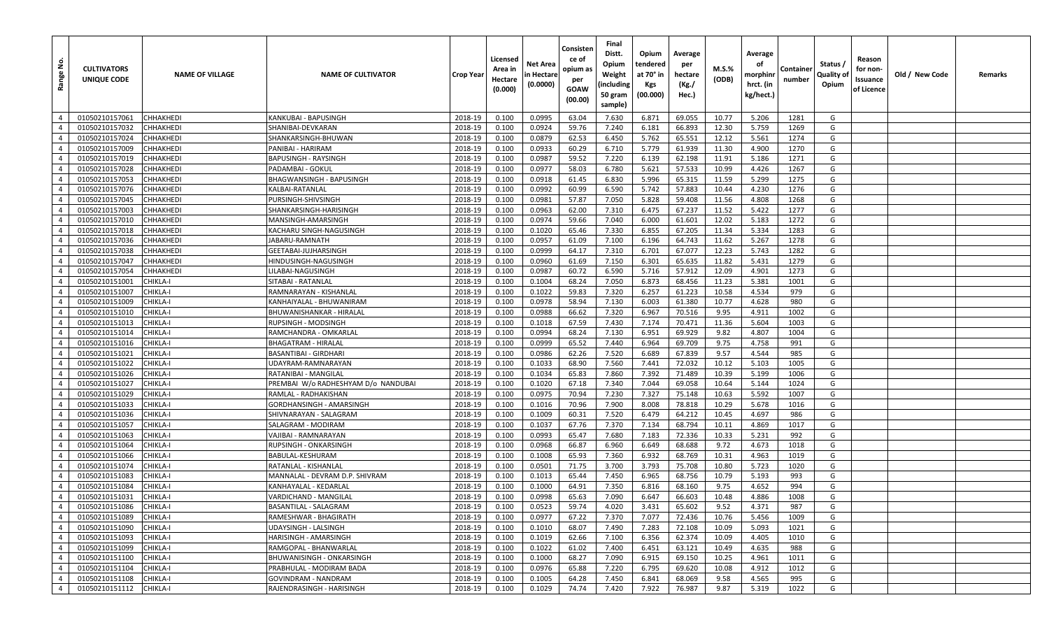| غ<br>Range                       | <b>CULTIVATORS</b><br>UNIQUE CODE | <b>NAME OF VILLAGE</b> | <b>NAME OF CULTIVATOR</b>                              | <b>Crop Year</b>   | Licensed<br>Area in<br>Hectare<br>(0.000) | Net Area<br>in Hectare<br>(0.0000) | Consisten<br>ce of<br>opium as<br>per<br>GOAW<br>(00.00) | Final<br>Distt.<br>Opium<br>Weight<br>(including<br>50 gram<br>sample) | Opium<br>tendered<br>at 70° in<br>Kgs<br>(00.000) | Average<br>per<br>hectare<br>(Kg./<br>Hec.) | M.S.%<br>(ODB) | Average<br>οf<br>morphinr<br>hrct. (in<br>kg/hect.) | Container<br>number | Status /<br>Quality of<br>Opium | Reason<br>for non-<br>Issuance<br>of Licence | Old / New Code | Remarks |
|----------------------------------|-----------------------------------|------------------------|--------------------------------------------------------|--------------------|-------------------------------------------|------------------------------------|----------------------------------------------------------|------------------------------------------------------------------------|---------------------------------------------------|---------------------------------------------|----------------|-----------------------------------------------------|---------------------|---------------------------------|----------------------------------------------|----------------|---------|
| $\overline{4}$                   | 01050210157061                    | CHHAKHEDI              | KANKUBAI - BAPUSINGH                                   | 2018-19            | 0.100                                     | 0.0995                             | 63.04                                                    | 7.630                                                                  | 6.871                                             | 69.055                                      | 10.77          | 5.206                                               | 1281                | G                               |                                              |                |         |
| $\overline{4}$                   | 01050210157032                    | CHHAKHEDI              | SHANIBAI-DEVKARAN                                      | 2018-19            | 0.100                                     | 0.0924                             | 59.76                                                    | 7.240                                                                  | 6.181                                             | 66.893                                      | 12.30          | 5.759                                               | 1269                | G                               |                                              |                |         |
| $\overline{4}$                   | 01050210157024                    | CHHAKHEDI              | SHANKARSINGH-BHUWAN                                    | 2018-19            | 0.100                                     | 0.0879                             | 62.53                                                    | 6.450                                                                  | 5.762                                             | 65.551                                      | 12.12          | 5.561                                               | 1274                | G                               |                                              |                |         |
| $\overline{4}$                   | 01050210157009                    | CHHAKHEDI              | PANIBAI - HARIRAM                                      | 2018-19            | 0.100                                     | 0.0933                             | 60.29                                                    | 6.710                                                                  | 5.779                                             | 61.939                                      | 11.30          | 4.900                                               | 1270                | G                               |                                              |                |         |
| $\overline{4}$                   | 01050210157019                    | CHHAKHEDI              | BAPUSINGH - RAYSINGH                                   | 2018-19            | 0.100                                     | 0.0987                             | 59.52                                                    | 7.220                                                                  | 6.139                                             | 62.198                                      | 11.91          | 5.186                                               | 1271                | G                               |                                              |                |         |
| $\overline{4}$                   | 01050210157028                    | CHHAKHEDI              | PADAMBAI - GOKUL                                       | 2018-19            | 0.100                                     | 0.0977                             | 58.03                                                    | 6.780                                                                  | 5.621                                             | 57.533                                      | 10.99          | 4.426                                               | 1267                | G                               |                                              |                |         |
| $\overline{4}$                   | 01050210157053                    | CHHAKHEDI              | BHAGWANSINGH - BAPUSINGH                               | 2018-19            | 0.100                                     | 0.0918                             | 61.45                                                    | 6.830                                                                  | 5.996                                             | 65.315                                      | 11.59          | 5.299                                               | 1275                | G                               |                                              |                |         |
| $\overline{4}$                   | 01050210157076                    | CHHAKHEDI              | KALBAI-RATANLAL                                        | 2018-19            | 0.100                                     | 0.0992                             | 60.99                                                    | 6.590                                                                  | 5.742                                             | 57.883                                      | 10.44          | 4.230                                               | 1276                | G                               |                                              |                |         |
| $\overline{4}$                   | 01050210157045                    | CHHAKHEDI              | PURSINGH-SHIVSINGH                                     | 2018-19            | 0.100                                     | 0.0981                             | 57.87                                                    | 7.050                                                                  | 5.828                                             | 59.408                                      | 11.56          | 4.808                                               | 1268                | G                               |                                              |                |         |
| $\overline{4}$                   | 01050210157003                    | СННАКНЕDІ              | SHANKARSINGH-HARISINGH                                 | 2018-19            | 0.100                                     | 0.0963                             | 62.00                                                    | 7.310                                                                  | 6.475                                             | 67.237                                      | 11.52          | 5.422                                               | 1277                | G                               |                                              |                |         |
| $\overline{4}$                   | 01050210157010                    | CHHAKHEDI              | MANSINGH-AMARSINGH                                     | 2018-19            | 0.100                                     | 0.0974                             | 59.66                                                    | 7.040                                                                  | 6.000                                             | 61.601                                      | 12.02          | 5.183                                               | 1272                | G                               |                                              |                |         |
| $\overline{4}$                   | 01050210157018                    | CHHAKHEDI              | KACHARU SINGH-NAGUSINGH                                | 2018-19            | 0.100                                     | 0.1020                             | 65.46                                                    | 7.330                                                                  | 6.855                                             | 67.205                                      | 11.34          | 5.334                                               | 1283                | G                               |                                              |                |         |
| $\overline{4}$                   | 01050210157036                    | CHHAKHEDI              | IABARU-RAMNATH                                         | 2018-19            | 0.100                                     | 0.0957                             | 61.09                                                    | 7.100                                                                  | 6.196                                             | 64.743                                      | 11.62          | 5.267                                               | 1278                | G                               |                                              |                |         |
| $\overline{4}$                   | 01050210157038                    | CHHAKHEDI              | GEETABAI-JUJHARSINGH                                   | 2018-19            | 0.100                                     | 0.0999                             | 64.17                                                    | 7.310                                                                  | 6.701                                             | 67.077                                      | 12.23          | 5.743                                               | 1282                | G                               |                                              |                |         |
| $\overline{4}$                   | 01050210157047                    | CHHAKHEDI              | HINDUSINGH-NAGUSINGH                                   | 2018-19            | 0.100                                     | 0.0960                             | 61.69                                                    | 7.150                                                                  | 6.301                                             | 65.635                                      | 11.82          | 5.431                                               | 1279                | G                               |                                              |                |         |
| $\overline{4}$                   | 01050210157054                    | CHHAKHEDI              | ILABAI-NAGUSINGH.                                      | 2018-19            | 0.100                                     | 0.0987                             | 60.72                                                    | 6.590                                                                  | 5.716                                             | 57.912                                      | 12.09          | 4.901                                               | 1273                | G                               |                                              |                |         |
| $\overline{4}$                   | 01050210151001                    | CHIKLA-I               | SITABAI - RATANLAL                                     | 2018-19            | 0.100                                     | 0.1004                             | 68.24                                                    | 7.050                                                                  | 6.873                                             | 68.456                                      | 11.23          | 5.381                                               | 1001                | G                               |                                              |                |         |
| $\overline{4}$                   | 01050210151007                    | CHIKLA-I               | RAMNARAYAN - KISHANLAL                                 | 2018-19            | 0.100                                     | 0.1022                             | 59.83                                                    | 7.320                                                                  | 6.257                                             | 61.223                                      | 10.58          | 4.534                                               | 979                 | G                               |                                              |                |         |
| $\overline{4}$                   | 01050210151009                    | CHIKLA-I               | KANHAIYALAL - BHUWANIRAN                               | 2018-19            | 0.100                                     | 0.0978                             | 58.94                                                    | 7.130                                                                  | 6.003                                             | 61.380                                      | 10.77          | 4.628                                               | 980                 | G                               |                                              |                |         |
| $\overline{4}$                   | 01050210151010                    | CHIKLA-I               | BHUWANISHANKAR - HIRALAL                               | 2018-19            | 0.100                                     | 0.0988                             | 66.62                                                    | 7.320                                                                  | 6.967                                             | 70.516                                      | 9.95           | 4.911                                               | 1002                | G                               |                                              |                |         |
| $\overline{4}$                   | 01050210151013                    | CHIKLA-I               | RUPSINGH - MODSINGH                                    | 2018-19            | 0.100                                     | 0.1018                             | 67.59                                                    | 7.430                                                                  | 7.174                                             | 70.471                                      | 11.36          | 5.604                                               | 1003                | G                               |                                              |                |         |
| $\overline{4}$                   | 01050210151014                    | CHIKLA-I               | RAMCHANDRA - OMKARLAL                                  | 2018-19            | 0.100                                     | 0.0994                             | 68.24                                                    | 7.130                                                                  | 6.951                                             | 69.929                                      | 9.82           | 4.807                                               | 1004                | G                               |                                              |                |         |
| $\overline{4}$                   | 01050210151016                    | CHIKLA-I               | BHAGATRAM - HIRALAL                                    | 2018-19            | 0.100                                     | 0.0999                             | 65.52                                                    | 7.440                                                                  | 6.964                                             | 69.709                                      | 9.75           | 4.758                                               | 991                 | G                               |                                              |                |         |
| $\overline{4}$                   | 01050210151021                    | CHIKLA-I               | BASANTIBAI - GIRDHARI                                  | 2018-19            | 0.100                                     | 0.0986                             | 62.26                                                    | 7.520                                                                  | 6.689                                             | 67.839                                      | 9.57           | 4.544                                               | 985                 | G                               |                                              |                |         |
| $\overline{4}$                   | 01050210151022                    | CHIKLA-I               | UDAYRAM-RAMNARAYAN                                     | 2018-19            | 0.100                                     | 0.1033                             | 68.90                                                    | 7.560                                                                  | 7.441                                             | 72.032                                      | 10.12          | 5.103                                               | 1005                | G                               |                                              |                |         |
| $\overline{4}$                   | 01050210151026                    | CHIKLA-I               | RATANIBAI - MANGILAL                                   | 2018-19            | 0.100                                     | 0.1034                             | 65.83                                                    | 7.860                                                                  | 7.392                                             | 71.489                                      | 10.39          | 5.199                                               | 1006                | G                               |                                              |                |         |
| $\overline{4}$                   | 01050210151027                    | CHIKLA-I               | PREMBAI W/o RADHESHYAM D/o NANDUBAI                    | 2018-19            | 0.100                                     | 0.1020                             | 67.18                                                    | 7.340                                                                  | 7.044                                             | 69.058                                      | 10.64          | 5.144                                               | 1024                | G                               |                                              |                |         |
| $\overline{4}$                   | 01050210151029                    | CHIKLA-I               | RAMLAL - RADHAKISHAN                                   | 2018-19            | 0.100                                     | 0.0975                             | 70.94                                                    | 7.230                                                                  | 7.327                                             | 75.148                                      | 10.63          | 5.592                                               | 1007                | G                               |                                              |                |         |
| $\overline{4}$                   | 01050210151033                    | CHIKLA-I               | GORDHANSINGH - AMARSINGH                               | 2018-19            | 0.100                                     | 0.1016                             | 70.96                                                    | 7.900                                                                  | 8.008                                             | 78.818                                      | 10.29          | 5.678                                               | 1016                | G                               |                                              |                |         |
| $\overline{4}$                   | 01050210151036                    | CHIKLA-I               | SHIVNARAYAN - SALAGRAM                                 | 2018-19            | 0.100                                     | 0.1009                             | 60.31                                                    | 7.520                                                                  | 6.479                                             | 64.212                                      | 10.45          | 4.697                                               | 986                 | G                               |                                              |                |         |
| $\overline{4}$                   | 01050210151057                    | CHIKLA-I               | SALAGRAM - MODIRAM                                     | 2018-19            | 0.100                                     | 0.1037                             | 67.76                                                    | 7.370                                                                  | 7.134                                             | 68.794                                      | 10.11          | 4.869                                               | 1017                | G                               |                                              |                |         |
| $\overline{4}$<br>$\overline{4}$ | 01050210151063                    | CHIKLA-I<br>CHIKLA-I   | VAJIBAI - RAMNARAYAN                                   | 2018-19            | 0.100                                     | 0.0993                             | 65.47                                                    | 7.680                                                                  | 7.183                                             | 72.336<br>68.688                            | 10.33<br>9.72  | 5.231<br>4.673                                      | 992                 | G<br>G                          |                                              |                |         |
| $\overline{4}$                   | 01050210151064                    |                        | RUPSINGH - ONKARSINGH<br>BABULAL-KESHURAM              | 2018-19            | 0.100                                     | 0.0968                             | 66.87                                                    | 6.960                                                                  | 6.649                                             |                                             | 10.31          |                                                     | 1018                | G                               |                                              |                |         |
| $\overline{4}$                   | 01050210151066                    | CHIKLA-I<br>CHIKLA-I   |                                                        | 2018-19            | 0.100                                     | 0.1008<br>0.0501                   | 65.93                                                    | 7.360<br>3.700                                                         | 6.932<br>3.793                                    | 68.769<br>75.708                            | 10.80          | 4.963                                               | 1019<br>1020        | G                               |                                              |                |         |
| $\overline{4}$                   | 01050210151074<br>01050210151083  | CHIKLA-I               | RATANLAL - KISHANLAI<br>MANNALAL - DEVRAM D.P. SHIVRAM | 2018-19<br>2018-19 | 0.100<br>0.100                            | 0.1013                             | 71.75<br>65.44                                           | 7.450                                                                  | 6.965                                             | 68.756                                      | 10.79          | 5.723<br>5.193                                      | 993                 | G                               |                                              |                |         |
| $\overline{4}$                   | 01050210151084                    | CHIKLA-I               | KANHAYALAL - KEDARLAL                                  | 2018-19            | 0.100                                     | 0.1000                             | 64.91                                                    | 7.350                                                                  | 6.816                                             | 68.160                                      | 9.75           | 4.652                                               | 994                 | G                               |                                              |                |         |
| $\overline{4}$                   | 01050210151031                    | CHIKLA-I               | VARDICHAND - MANGILAL                                  | 2018-19            | 0.100                                     | 0.0998                             | 65.63                                                    | 7.090                                                                  | 6.647                                             | 66.603                                      | 10.48          | 4.886                                               | 1008                | G                               |                                              |                |         |
| $4 \mid$                         | 01050210151086                    | <b>CHIKLA-I</b>        | BASANTILAL - SALAGRAM                                  | 2018-19            | 0.100                                     | 0.0523                             | 59.74                                                    | 4.020                                                                  | 3.431                                             | 65.602                                      | 9.52           | 4.371                                               | 987                 | G                               |                                              |                |         |
| $\overline{4}$                   | 01050210151089                    | <b>CHIKLA-I</b>        | RAMESHWAR - BHAGIRATH                                  | 2018-19            | 0.100                                     | 0.0977                             | 67.22                                                    | 7.370                                                                  | 7.077                                             | 72.436                                      | 10.76          | 5.456                                               | 1009                | G                               |                                              |                |         |
| $\overline{4}$                   | 01050210151090                    | CHIKLA-I               | UDAYSINGH - LALSINGH                                   | 2018-19            | 0.100                                     | 0.1010                             | 68.07                                                    | 7.490                                                                  | 7.283                                             | 72.108                                      | 10.09          | 5.093                                               | 1021                | G                               |                                              |                |         |
| $\overline{4}$                   | 01050210151093                    | <b>CHIKLA-I</b>        | HARISINGH - AMARSINGH                                  | 2018-19            | 0.100                                     | 0.1019                             | 62.66                                                    | 7.100                                                                  | 6.356                                             | 62.374                                      | 10.09          | 4.405                                               | 1010                | G                               |                                              |                |         |
| $\overline{4}$                   | 01050210151099                    | <b>CHIKLA-I</b>        | RAMGOPAL - BHANWARLAL                                  | 2018-19            | 0.100                                     | 0.1022                             | 61.02                                                    | 7.400                                                                  | 6.451                                             | 63.121                                      | 10.49          | 4.635                                               | 988                 | G                               |                                              |                |         |
| $\overline{4}$                   | 01050210151100                    | CHIKLA-I               | BHUWANISINGH - ONKARSINGH                              | 2018-19            | 0.100                                     | 0.1000                             | 68.27                                                    | 7.090                                                                  | 6.915                                             | 69.150                                      | 10.25          | 4.961                                               | 1011                | G                               |                                              |                |         |
| $\overline{4}$                   | 01050210151104                    | <b>CHIKLA-I</b>        | PRABHULAL - MODIRAM BADA                               | 2018-19            | 0.100                                     | 0.0976                             | 65.88                                                    | 7.220                                                                  | 6.795                                             | 69.620                                      | 10.08          | 4.912                                               | 1012                | G                               |                                              |                |         |
| $\overline{4}$                   | 01050210151108                    | CHIKLA-I               | GOVINDRAM - NANDRAM                                    | 2018-19            | 0.100                                     | 0.1005                             | 64.28                                                    | 7.450                                                                  | 6.841                                             | 68.069                                      | 9.58           | 4.565                                               | 995                 | G                               |                                              |                |         |
| $\overline{4}$                   | 01050210151112                    | <b>CHIKLA-I</b>        | RAJENDRASINGH - HARISINGH                              | 2018-19            | 0.100                                     | 0.1029                             | 74.74                                                    | 7.420                                                                  | 7.922                                             | 76.987                                      | 9.87           | 5.319                                               | 1022                | G                               |                                              |                |         |
|                                  |                                   |                        |                                                        |                    |                                           |                                    |                                                          |                                                                        |                                                   |                                             |                |                                                     |                     |                                 |                                              |                |         |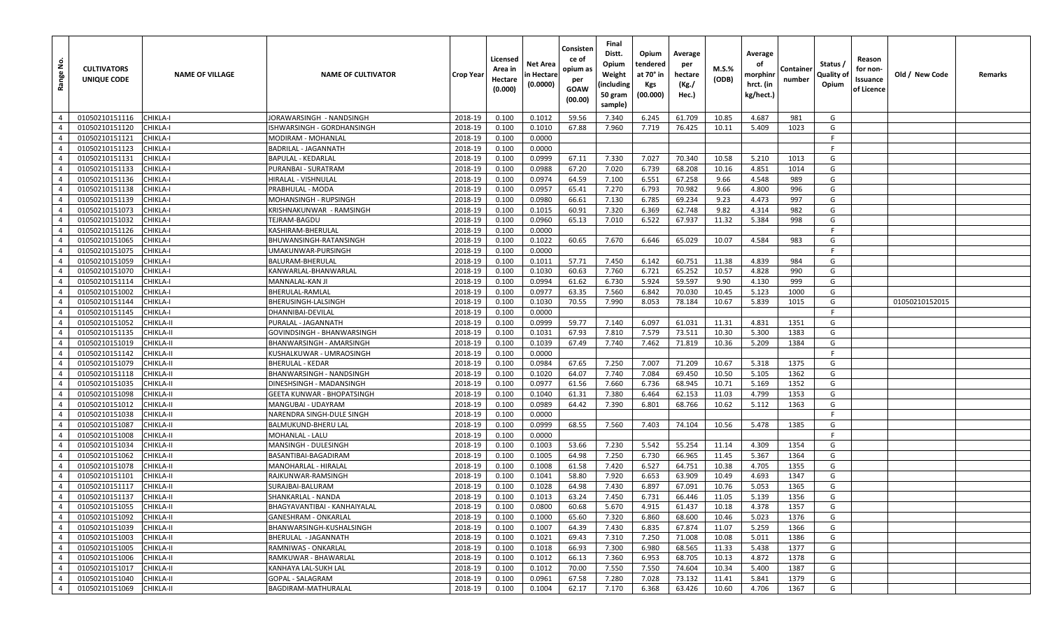| <u>ទំ</u><br>Range               | <b>CULTIVATORS</b><br>UNIQUE CODE | <b>NAME OF VILLAGE</b> | <b>NAME OF CULTIVATOR</b>                        | <b>Crop Year</b>   | Licensed<br>Area in<br>Hectare<br>(0.000) | Net Area<br>in Hectare<br>(0.0000) | Consisten<br>ce of<br>opium as<br>per<br>GOAW<br>(00.00) | Final<br>Distt.<br>Opium<br>Weight<br>(including<br>50 gram<br>sample) | Opium<br>tendered<br>at 70° in<br>Kgs<br>(00.000) | Average<br>per<br>hectare<br>(Kg./<br>Hec.) | M.S.%<br>(ODB) | Average<br>оf<br>morphinr<br>hrct. (in<br>kg/hect.) | Container<br>number | Status /<br>Quality of<br>Opium | Reason<br>for non-<br>Issuance<br>of Licence | Old / New Code | Remarks |
|----------------------------------|-----------------------------------|------------------------|--------------------------------------------------|--------------------|-------------------------------------------|------------------------------------|----------------------------------------------------------|------------------------------------------------------------------------|---------------------------------------------------|---------------------------------------------|----------------|-----------------------------------------------------|---------------------|---------------------------------|----------------------------------------------|----------------|---------|
| $\overline{4}$                   | 01050210151116                    | CHIKLA-I               | JORAWARSINGH - NANDSINGH                         | 2018-19            | 0.100                                     | 0.1012                             | 59.56                                                    | 7.340                                                                  | 6.245                                             | 61.709                                      | 10.85          | 4.687                                               | 981                 | G                               |                                              |                |         |
| $\overline{4}$                   | 01050210151120                    | CHIKLA-I               | SHWARSINGH - GORDHANSINGH                        | 2018-19            | 0.100                                     | 0.1010                             | 67.88                                                    | 7.960                                                                  | 7.719                                             | 76.425                                      | 10.11          | 5.409                                               | 1023                | G                               |                                              |                |         |
| $\overline{4}$                   | 01050210151121                    | CHIKLA-I               | MODIRAM - MOHANLAL                               | 2018-19            | 0.100                                     | 0.0000                             |                                                          |                                                                        |                                                   |                                             |                |                                                     |                     | F.                              |                                              |                |         |
| $\overline{4}$                   | 01050210151123                    | CHIKLA-I               | BADRILAL - JAGANNATH                             | 2018-19            | 0.100                                     | 0.0000                             |                                                          |                                                                        |                                                   |                                             |                |                                                     |                     | -F                              |                                              |                |         |
| $\overline{4}$                   | 01050210151131                    | CHIKLA-I               | BAPULAL - KEDARLAL                               | 2018-19            | 0.100                                     | 0.0999                             | 67.11                                                    | 7.330                                                                  | 7.027                                             | 70.340                                      | 10.58          | 5.210                                               | 1013                | G                               |                                              |                |         |
| $\overline{4}$                   | 01050210151133                    | CHIKLA-I               | PURANBAI - SURATRAM                              | 2018-19            | 0.100                                     | 0.0988                             | 67.20                                                    | 7.020                                                                  | 6.739                                             | 68.208                                      | 10.16          | 4.851                                               | 1014                | G                               |                                              |                |         |
| $\overline{4}$                   | 01050210151136                    | CHIKLA-I               | HIRALAL - VISHNULAL                              | 2018-19            | 0.100                                     | 0.0974                             | 64.59                                                    | 7.100                                                                  | 6.551                                             | 67.258                                      | 9.66           | 4.548                                               | 989                 | G                               |                                              |                |         |
| $\overline{4}$                   | 01050210151138                    | CHIKLA-I               | PRABHULAL - MODA                                 | 2018-19            | 0.100                                     | 0.0957                             | 65.41                                                    | 7.270                                                                  | 6.793                                             | 70.982                                      | 9.66           | 4.800                                               | 996                 | G                               |                                              |                |         |
| $\overline{4}$                   | 01050210151139                    | CHIKLA-I               | MOHANSINGH - RUPSINGH                            | 2018-19            | 0.100                                     | 0.0980                             | 66.61                                                    | 7.130                                                                  | 6.785                                             | 69.234                                      | 9.23           | 4.473                                               | 997                 | G                               |                                              |                |         |
| $\overline{4}$                   | 01050210151073                    | CHIKLA-I               | KRISHNAKUNWAR - RAMSINGH                         | 2018-19            | 0.100                                     | 0.1015                             | 60.91                                                    | 7.320                                                                  | 6.369                                             | 62.748                                      | 9.82           | 4.314                                               | 982                 | G                               |                                              |                |         |
| $\overline{4}$                   | 01050210151032                    | CHIKLA-I               | TEJRAM-BAGDU                                     | 2018-19            | 0.100                                     | 0.0960                             | 65.13                                                    | 7.010                                                                  | 6.522                                             | 67.937                                      | 11.32          | 5.384                                               | 998                 | G                               |                                              |                |         |
| $\overline{4}$                   | 01050210151126                    | CHIKLA-I               | KASHIRAM-BHERULAL                                | 2018-19            | 0.100                                     | 0.0000                             |                                                          |                                                                        |                                                   |                                             |                |                                                     |                     | F                               |                                              |                |         |
| $\overline{4}$                   | 01050210151065                    | CHIKLA-I               | BHUWANSINGH-RATANSINGH                           | 2018-19            | 0.100                                     | 0.1022                             | 60.65                                                    | 7.670                                                                  | 6.646                                             | 65.029                                      | 10.07          | 4.584                                               | 983                 | G                               |                                              |                |         |
| $\overline{4}$                   | 01050210151075                    | CHIKLA-I               | JMAKUNWAR-PURSINGH                               | 2018-19            | 0.100                                     | 0.0000                             |                                                          |                                                                        |                                                   |                                             |                |                                                     |                     | F.                              |                                              |                |         |
| $\overline{4}$                   | 01050210151059                    | CHIKLA-I               | BALURAM-BHERULAL                                 | 2018-19            | 0.100                                     | 0.1011                             | 57.71                                                    | 7.450                                                                  | 6.142                                             | 60.751                                      | 11.38          | 4.839                                               | 984                 | G                               |                                              |                |         |
| $\overline{4}$                   | 01050210151070                    | CHIKLA-I               | KANWARLAL-BHANWARLAL                             | 2018-19            | 0.100                                     | 0.1030                             | 60.63                                                    | 7.760                                                                  | 6.721                                             | 65.252                                      | 10.57          | 4.828                                               | 990                 | G                               |                                              |                |         |
| $\overline{4}$                   | 01050210151114                    | CHIKLA-I               | MANNALAL-KAN JI                                  | 2018-19            | 0.100                                     | 0.0994                             | 61.62                                                    | 6.730                                                                  | 5.924                                             | 59.597                                      | 9.90           | 4.130                                               | 999                 | G                               |                                              |                |         |
| $\overline{4}$                   | 01050210151002                    | CHIKLA-I               | BHERULAL-RAMLAL                                  | 2018-19            | 0.100                                     | 0.0977                             | 63.35                                                    | 7.560                                                                  | 6.842                                             | 70.030                                      | 10.45          | 5.123                                               | 1000                | G                               |                                              |                |         |
| $\overline{4}$                   | 01050210151144                    | CHIKLA-I               | BHERUSINGH-LALSINGH                              | 2018-19            | 0.100                                     | 0.1030                             | 70.55                                                    | 7.990                                                                  | 8.053                                             | 78.184                                      | 10.67          | 5.839                                               | 1015                | G                               |                                              | 01050210152015 |         |
| $\overline{4}$                   | 01050210151145                    | CHIKLA-I               | DHANNIBAI-DEVILAL                                | 2018-19            | 0.100                                     | 0.0000                             |                                                          |                                                                        |                                                   |                                             |                |                                                     |                     | -F                              |                                              |                |         |
| $\overline{4}$                   | 01050210151052                    | CHIKLA-II              | PURALAL - JAGANNATH                              | 2018-19            | 0.100                                     | 0.0999                             | 59.77                                                    | 7.140                                                                  | 6.097                                             | 61.031                                      | 11.31          | 4.831                                               | 1351                | G                               |                                              |                |         |
| $\overline{4}$                   | 01050210151135                    | <b>CHIKLA-II</b>       | GOVINDSINGH - BHANWARSINGH                       | 2018-19            | 0.100                                     | 0.1031                             | 67.93                                                    | 7.810                                                                  | 7.579                                             | 73.511                                      | 10.30          | 5.300                                               | 1383                | G                               |                                              |                |         |
| $\overline{4}$                   | 01050210151019                    | CHIKLA-II              | BHANWARSINGH - AMARSINGH                         | 2018-19            | 0.100                                     | 0.1039                             | 67.49                                                    | 7.740                                                                  | 7.462                                             | 71.819                                      | 10.36          | 5.209                                               | 1384                | G                               |                                              |                |         |
| $\overline{4}$                   | 01050210151142                    | CHIKLA-II              | KUSHALKUWAR - UMRAOSINGH                         | 2018-19            | 0.100                                     | 0.0000                             |                                                          |                                                                        |                                                   |                                             |                |                                                     |                     | E                               |                                              |                |         |
| $\overline{4}$                   | 01050210151079                    | CHIKLA-II              | BHERULAL - KEDAR                                 | 2018-19            | 0.100                                     | 0.0984                             | 67.65                                                    | 7.250                                                                  | 7.007                                             | 71.209                                      | 10.67          | 5.318                                               | 1375                | G                               |                                              |                |         |
| $\overline{4}$                   | 01050210151118                    | CHIKLA-II              | BHANWARSINGH - NANDSINGH                         | 2018-19            | 0.100                                     | 0.1020                             | 64.07                                                    | 7.740                                                                  | 7.084                                             | 69.450                                      | 10.50          | 5.105                                               | 1362                | G                               |                                              |                |         |
| $\overline{4}$                   | 01050210151035                    | CHIKLA-II              | DINESHSINGH - MADANSINGH                         | 2018-19            | 0.100                                     | 0.0977                             | 61.56                                                    | 7.660                                                                  | 6.736                                             | 68.945                                      | 10.71          | 5.169                                               | 1352                | G                               |                                              |                |         |
| $\overline{4}$<br>$\overline{4}$ | 01050210151098                    | CHIKLA-II              | GEETA KUNWAR - BHOPATSINGH                       | 2018-19            | 0.100                                     | 0.1040                             | 61.31                                                    | 7.380                                                                  | 6.464                                             | 62.153                                      | 11.03          | 4.799                                               | 1353                | G                               |                                              |                |         |
|                                  | 01050210151012                    | CHIKLA-II              | MANGUBAI - UDAYRAM                               | 2018-19            | 0.100                                     | 0.0989                             | 64.42                                                    | 7.390                                                                  | 6.801                                             | 68.766                                      | 10.62          | 5.112                                               | 1363                | G<br>-F                         |                                              |                |         |
| $\overline{4}$<br>$\overline{4}$ | 01050210151038                    | CHIKLA-II<br>CHIKLA-II | NARENDRA SINGH-DULE SINGH<br>BALMUKUND-BHERU LAL | 2018-19<br>2018-19 | 0.100                                     | 0.0000<br>0.0999                   | 68.55                                                    | 7.560                                                                  |                                                   | 74.104                                      | 10.56          |                                                     | 1385                | G                               |                                              |                |         |
| $\overline{4}$                   | 01050210151087<br>01050210151008  | CHIKLA-II              | MOHANLAL - LALU                                  | 2018-19            | 0.100<br>0.100                            | 0.0000                             |                                                          |                                                                        | 7.403                                             |                                             |                | 5.478                                               |                     | -F.                             |                                              |                |         |
| $\overline{4}$                   | 01050210151034                    | CHIKLA-II              | MANSINGH - DULESINGH                             | 2018-19            | 0.100                                     | 0.1003                             | 53.66                                                    | 7.230                                                                  | 5.542                                             | 55.254                                      | 11.14          | 4.309                                               | 1354                | G                               |                                              |                |         |
| $\overline{4}$                   | 01050210151062                    | CHIKLA-II              | BASANTIBAI-BAGADIRAM                             | 2018-19            | 0.100                                     | 0.1005                             | 64.98                                                    | 7.250                                                                  | 6.730                                             | 66.965                                      | 11.45          | 5.367                                               | 1364                | G                               |                                              |                |         |
| $\overline{4}$                   | 01050210151078                    | CHIKLA-II              | MANOHARLAL - HIRALAL                             | 2018-19            | 0.100                                     | 0.1008                             | 61.58                                                    | 7.420                                                                  | 6.527                                             | 64.751                                      | 10.38          | 4.705                                               | 1355                | G                               |                                              |                |         |
| $\overline{4}$                   | 01050210151101                    | CHIKLA-II              | RAJKUNWAR-RAMSINGH                               | 2018-19            | 0.100                                     | 0.1041                             | 58.80                                                    | 7.920                                                                  | 6.653                                             | 63.909                                      | 10.49          | 4.693                                               | 1347                | G                               |                                              |                |         |
| $\overline{4}$                   | 01050210151117                    | CHIKLA-II              | SURAJBAI-BALURAM                                 | 2018-19            | 0.100                                     | 0.1028                             | 64.98                                                    | 7.430                                                                  | 6.897                                             | 67.091                                      | 10.76          | 5.053                                               | 1365                | G                               |                                              |                |         |
| $\overline{4}$                   | 01050210151137                    | CHIKLA-II              | SHANKARLAL - NANDA                               | 2018-19            | 0.100                                     | 0.1013                             | 63.24                                                    | 7.450                                                                  | 6.731                                             | 66.446                                      | 11.05          | 5.139                                               | 1356                | G                               |                                              |                |         |
| $4 \mid$                         | 01050210151055                    | CHIKLA-II              | BHAGYAVANTIBAI - KANHAIYALAL                     | 2018-19            | 0.100                                     | 0.0800                             | 60.68                                                    | 5.670                                                                  | 4.915                                             | 61.437                                      | 10.18          | 4.378                                               | 1357                | G                               |                                              |                |         |
| $\overline{4}$                   | 01050210151092                    | <b>CHIKLA-II</b>       | GANESHRAM - ONKARLAL                             | 2018-19            | 0.100                                     | 0.1000                             | 65.60                                                    | 7.320                                                                  | 6.860                                             | 68.600                                      | 10.46          | 5.023                                               | 1376                | G                               |                                              |                |         |
| $\overline{4}$                   | 01050210151039                    | CHIKLA-II              | BHANWARSINGH-KUSHALSINGH                         | 2018-19            | 0.100                                     | 0.1007                             | 64.39                                                    | 7.430                                                                  | 6.835                                             | 67.874                                      | 11.07          | 5.259                                               | 1366                | G                               |                                              |                |         |
| $\sim$ 4                         | 01050210151003                    | CHIKLA-II              | BHERULAL - JAGANNATH                             | 2018-19            | 0.100                                     | 0.1021                             | 69.43                                                    | 7.310                                                                  | 7.250                                             | 71.008                                      | 10.08          | 5.011                                               | 1386                | G                               |                                              |                |         |
| $\overline{4}$                   | 01050210151005                    | <b>CHIKLA-II</b>       | RAMNIWAS - ONKARLAL                              | 2018-19            | 0.100                                     | 0.1018                             | 66.93                                                    | 7.300                                                                  | 6.980                                             | 68.565                                      | 11.33          | 5.438                                               | 1377                | G                               |                                              |                |         |
| $\overline{4}$                   | 01050210151006                    | CHIKLA-II              | RAMKUWAR - BHAWARLAL                             | 2018-19            | 0.100                                     | 0.1012                             | 66.13                                                    | 7.360                                                                  | 6.953                                             | 68.705                                      | 10.13          | 4.872                                               | 1378                | G                               |                                              |                |         |
| $\overline{4}$                   | 01050210151017                    | <b>CHIKLA-II</b>       | KANHAYA LAL-SUKH LAL                             | 2018-19            | 0.100                                     | 0.1012                             | 70.00                                                    | 7.550                                                                  | 7.550                                             | 74.604                                      | 10.34          | 5.400                                               | 1387                | G                               |                                              |                |         |
| $\overline{4}$                   | 01050210151040                    | CHIKLA-II              | GOPAL - SALAGRAM                                 | 2018-19            | 0.100                                     | 0.0961                             | 67.58                                                    | 7.280                                                                  | 7.028                                             | 73.132                                      | 11.41          | 5.841                                               | 1379                | G                               |                                              |                |         |
| $\overline{4}$                   | 01050210151069                    | CHIKLA-II              | BAGDIRAM-MATHURALAL                              | 2018-19            | 0.100                                     | 0.1004                             | 62.17                                                    | 7.170                                                                  | 6.368                                             | 63.426                                      | 10.60          | 4.706                                               | 1367                | G                               |                                              |                |         |
|                                  |                                   |                        |                                                  |                    |                                           |                                    |                                                          |                                                                        |                                                   |                                             |                |                                                     |                     |                                 |                                              |                |         |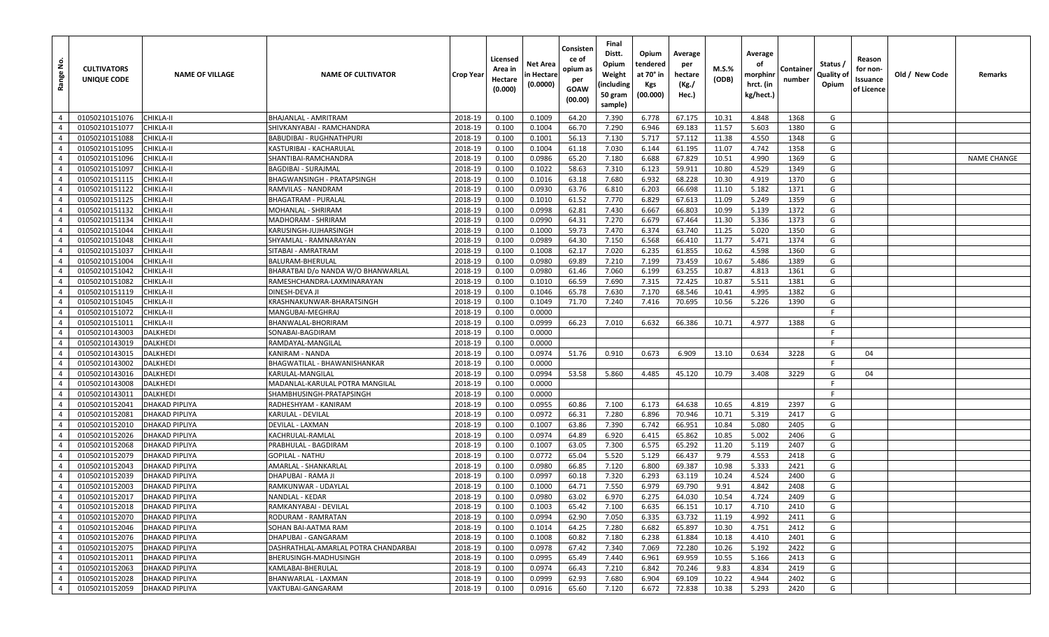| Range No.      | <b>CULTIVATORS</b><br>UNIQUE CODE | <b>NAME OF VILLAGE</b> | <b>NAME OF CULTIVATOR</b>            | <b>Crop Year</b> | Licensed<br>Area in<br>Hectare<br>(0.000) | Net Area<br>n Hectare<br>(0.0000) | Consisten<br>ce of<br>opium as<br>per<br><b>GOAW</b><br>(00.00) | Final<br>Distt.<br>Opium<br>Weight<br>(including<br>50 gram<br>sample) | Opium<br>tendered<br>at 70° in<br>Kgs<br>(00.000) | Average<br>per<br>hectare<br>(Kg./<br>Hec.) | $M.S.\%$<br>(ODB) | Average<br>оf<br>morphinr<br>hrct. (in<br>kg/hect.) | Container<br>number | Status /<br><b>Quality of</b><br>Opium | Reason<br>for non-<br>ssuance<br>of Licence | Old / New Code | Remarks            |
|----------------|-----------------------------------|------------------------|--------------------------------------|------------------|-------------------------------------------|-----------------------------------|-----------------------------------------------------------------|------------------------------------------------------------------------|---------------------------------------------------|---------------------------------------------|-------------------|-----------------------------------------------------|---------------------|----------------------------------------|---------------------------------------------|----------------|--------------------|
| $\overline{4}$ | 01050210151076                    | <b>CHIKLA-II</b>       | BHAJANLAL - AMRITRAM                 | 2018-19          | 0.100                                     | 0.1009                            | 64.20                                                           | 7.390                                                                  | 6.778                                             | 67.175                                      | 10.31             | 4.848                                               | 1368                | G                                      |                                             |                |                    |
| $\overline{4}$ | 01050210151077                    | <b>CHIKLA-II</b>       | SHIVKANYABAI - RAMCHANDRA            | 2018-19          | 0.100                                     | 0.1004                            | 66.70                                                           | 7.290                                                                  | 6.946                                             | 69.183                                      | 11.57             | 5.603                                               | 1380                | G                                      |                                             |                |                    |
| $\overline{4}$ | 01050210151088                    | <b>CHIKLA-II</b>       | <b>BABUDIBAI - RUGHNATHPURI</b>      | 2018-19          | 0.100                                     | 0.1001                            | 56.13                                                           | 7.130                                                                  | 5.717                                             | 57.112                                      | 11.38             | 4.550                                               | 1348                | G                                      |                                             |                |                    |
| $\overline{4}$ | 01050210151095                    | <b>CHIKLA-II</b>       | KASTURIBAI - KACHARULAL              | 2018-19          | 0.100                                     | 0.1004                            | 61.18                                                           | 7.030                                                                  | 6.144                                             | 61.195                                      | 11.07             | 4.742                                               | 1358                | G                                      |                                             |                |                    |
| $\overline{4}$ | 01050210151096                    | <b>CHIKLA-II</b>       | SHANTIBAI-RAMCHANDRA                 | 2018-19          | 0.100                                     | 0.0986                            | 65.20                                                           | 7.180                                                                  | 6.688                                             | 67.829                                      | 10.51             | 4.990                                               | 1369                | G                                      |                                             |                | <b>NAME CHANGE</b> |
| $\overline{4}$ | 01050210151097                    | <b>CHIKLA-II</b>       | <b>BAGDIBAI - SURAJMAL</b>           | 2018-19          | 0.100                                     | 0.1022                            | 58.63                                                           | 7.310                                                                  | 6.123                                             | 59.911                                      | 10.80             | 4.529                                               | 1349                | G                                      |                                             |                |                    |
| $\overline{4}$ | 01050210151115                    | <b>CHIKLA-II</b>       | BHAGWANSINGH - PRATAPSINGH           | 2018-19          | 0.100                                     | 0.1016                            | 63.18                                                           | 7.680                                                                  | 6.932                                             | 68.228                                      | 10.30             | 4.919                                               | 1370                | G                                      |                                             |                |                    |
| $\overline{4}$ | 01050210151122                    | <b>CHIKLA-II</b>       | RAMVILAS - NANDRAM                   | 2018-19          | 0.100                                     | 0.0930                            | 63.76                                                           | 6.810                                                                  | 6.203                                             | 66.698                                      | 11.10             | 5.182                                               | 1371                | G                                      |                                             |                |                    |
| $\overline{4}$ | 01050210151125                    | <b>CHIKLA-II</b>       | <b>BHAGATRAM - PURALAL</b>           | 2018-19          | 0.100                                     | 0.1010                            | 61.52                                                           | 7.770                                                                  | 6.829                                             | 67.613                                      | 11.09             | 5.249                                               | 1359                | G                                      |                                             |                |                    |
| $\overline{4}$ | 01050210151132                    | <b>CHIKLA-II</b>       | MOHANLAL - SHRIRAM                   | 2018-19          | 0.100                                     | 0.0998                            | 62.81                                                           | 7.430                                                                  | 6.667                                             | 66.803                                      | 10.99             | 5.139                                               | 1372                | G                                      |                                             |                |                    |
| $\overline{4}$ | 01050210151134                    | <b>CHIKLA-II</b>       | MADHORAM - SHRIRAM                   | 2018-19          | 0.100                                     | 0.0990                            | 64.31                                                           | 7.270                                                                  | 6.679                                             | 67.464                                      | 11.30             | 5.336                                               | 1373                | G                                      |                                             |                |                    |
| $\overline{4}$ | 01050210151044                    | <b>CHIKLA-II</b>       | KARUSINGH-JUJHARSINGH                | 2018-19          | 0.100                                     | 0.1000                            | 59.73                                                           | 7.470                                                                  | 6.374                                             | 63.740                                      | 11.25             | 5.020                                               | 1350                | G                                      |                                             |                |                    |
| $\overline{4}$ | 01050210151048                    | CHIKLA-II              | SHYAMLAL - RAMNARAYAN                | 2018-19          | 0.100                                     | 0.0989                            | 64.30                                                           | 7.150                                                                  | 6.568                                             | 66.410                                      | 11.77             | 5.471                                               | 1374                | G                                      |                                             |                |                    |
| $\overline{4}$ | 01050210151037                    | <b>CHIKLA-II</b>       | SITABAI - AMRATRAM                   | 2018-19          | 0.100                                     | 0.1008                            | 62.17                                                           | 7.020                                                                  | 6.235                                             | 61.855                                      | 10.62             | 4.598                                               | 1360                | G                                      |                                             |                |                    |
| $\overline{4}$ | 01050210151004                    | <b>CHIKLA-II</b>       | BALURAM-BHERULAL                     | 2018-19          | 0.100                                     | 0.0980                            | 69.89                                                           | 7.210                                                                  | 7.199                                             | 73.459                                      | 10.67             | 5.486                                               | 1389                | G                                      |                                             |                |                    |
| $\overline{4}$ | 01050210151042                    | <b>CHIKLA-II</b>       | BHARATBAI D/o NANDA W/O BHANWARLAL   | 2018-19          | 0.100                                     | 0.0980                            | 61.46                                                           | 7.060                                                                  | 6.199                                             | 63.255                                      | 10.87             | 4.813                                               | 1361                | G                                      |                                             |                |                    |
| $\overline{4}$ | 01050210151082                    | <b>CHIKLA-II</b>       | RAMESHCHANDRA-LAXMINARAYAN           | 2018-19          | 0.100                                     | 0.1010                            | 66.59                                                           | 7.690                                                                  | 7.315                                             | 72.425                                      | 10.87             | 5.511                                               | 1381                | G                                      |                                             |                |                    |
| $\overline{4}$ | 01050210151119                    | CHIKLA-II              | DINESH-DEVA JI                       | 2018-19          | 0.100                                     | 0.1046                            | 65.78                                                           | 7.630                                                                  | 7.170                                             | 68.546                                      | 10.41             | 4.995                                               | 1382                | G                                      |                                             |                |                    |
| $\overline{4}$ | 01050210151045                    | <b>CHIKLA-II</b>       | KRASHNAKUNWAR-BHARATSINGH            | 2018-19          | 0.100                                     | 0.1049                            | 71.70                                                           | 7.240                                                                  | 7.416                                             | 70.695                                      | 10.56             | 5.226                                               | 1390                | G                                      |                                             |                |                    |
| $\overline{4}$ | 01050210151072                    | CHIKLA-II              | MANGUBAI-MEGHRA.                     | 2018-19          | 0.100                                     | 0.0000                            |                                                                 |                                                                        |                                                   |                                             |                   |                                                     |                     | E                                      |                                             |                |                    |
| $\overline{4}$ | 01050210151011                    | <b>CHIKLA-II</b>       | BHANWALAL-BHORIRAM                   | 2018-19          | 0.100                                     | 0.0999                            | 66.23                                                           | 7.010                                                                  | 6.632                                             | 66.386                                      | 10.71             | 4.977                                               | 1388                | G                                      |                                             |                |                    |
| $\overline{4}$ | 01050210143003                    | <b>DALKHEDI</b>        | SONABAI-BAGDIRAM                     | 2018-19          | 0.100                                     | 0.0000                            |                                                                 |                                                                        |                                                   |                                             |                   |                                                     |                     | F.                                     |                                             |                |                    |
| $\overline{4}$ | 01050210143019                    | <b>DALKHEDI</b>        | RAMDAYAL-MANGILAL                    | 2018-19          | 0.100                                     | 0.0000                            |                                                                 |                                                                        |                                                   |                                             |                   |                                                     |                     | F                                      |                                             |                |                    |
| $\overline{4}$ | 01050210143015                    | <b>DALKHEDI</b>        | KANIRAM - NANDA                      | 2018-19          | 0.100                                     | 0.0974                            | 51.76                                                           | 0.910                                                                  | 0.673                                             | 6.909                                       | 13.10             | 0.634                                               | 3228                | G                                      | 04                                          |                |                    |
| $\overline{4}$ | 01050210143002                    | <b>DALKHEDI</b>        | BHAGWATILAL - BHAWANISHANKAR         | 2018-19          | 0.100                                     | 0.0000                            |                                                                 |                                                                        |                                                   |                                             |                   |                                                     |                     | -F                                     |                                             |                |                    |
| $\overline{4}$ | 01050210143016                    | <b>DALKHEDI</b>        | KARULAL-MANGILAL                     | 2018-19          | 0.100                                     | 0.0994                            | 53.58                                                           | 5.860                                                                  | 4.485                                             | 45.120                                      | 10.79             | 3.408                                               | 3229                | G                                      | 04                                          |                |                    |
| $\overline{4}$ | 01050210143008                    | <b>DALKHEDI</b>        | MADANLAL-KARULAL POTRA MANGILAL      | 2018-19          | 0.100                                     | 0.0000                            |                                                                 |                                                                        |                                                   |                                             |                   |                                                     |                     | F                                      |                                             |                |                    |
| $\overline{4}$ | 01050210143011                    | <b>DALKHEDI</b>        | SHAMBHUSINGH-PRATAPSINGH             | 2018-19          | 0.100                                     | 0.0000                            |                                                                 |                                                                        |                                                   |                                             |                   |                                                     |                     | -F                                     |                                             |                |                    |
| $\overline{4}$ | 01050210152041                    | <b>DHAKAD PIPLIYA</b>  | RADHESHYAM - KANIRAM                 | 2018-19          | 0.100                                     | 0.0955                            | 60.86                                                           | 7.100                                                                  | 6.173                                             | 64.638                                      | 10.65             | 4.819                                               | 2397                | G                                      |                                             |                |                    |
| $\overline{4}$ | 01050210152081                    | <b>DHAKAD PIPLIYA</b>  | KARULAL - DEVILAL                    | 2018-19          | 0.100                                     | 0.0972                            | 66.31                                                           | 7.280                                                                  | 6.896                                             | 70.946                                      | 10.71             | 5.319                                               | 2417                | G                                      |                                             |                |                    |
| $\overline{4}$ | 01050210152010                    | <b>DHAKAD PIPLIYA</b>  | DEVILAL - LAXMAN                     | 2018-19          | 0.100                                     | 0.1007                            | 63.86                                                           | 7.390                                                                  | 6.742                                             | 66.951                                      | 10.84             | 5.080                                               | 2405                | G                                      |                                             |                |                    |
| $\overline{4}$ | 01050210152026                    | <b>DHAKAD PIPLIYA</b>  | KACHRULAL-RAMLAL                     | 2018-19          | 0.100                                     | 0.0974                            | 64.89                                                           | 6.920                                                                  | 6.415                                             | 65.862                                      | 10.85             | 5.002                                               | 2406                | G                                      |                                             |                |                    |
| $\overline{4}$ | 01050210152068                    | <b>DHAKAD PIPLIYA</b>  | PRABHULAL - BAGDIRAM                 | 2018-19          | 0.100                                     | 0.1007                            | 63.05                                                           | 7.300                                                                  | 6.575                                             | 65.292                                      | 11.20             | 5.119                                               | 2407                | G                                      |                                             |                |                    |
| $\overline{4}$ | 01050210152079                    | <b>DHAKAD PIPLIYA</b>  | <b>GOPILAL - NATHU</b>               | 2018-19          | 0.100                                     | 0.0772                            | 65.04                                                           | 5.520                                                                  | 5.129                                             | 66.437                                      | 9.79              | 4.553                                               | 2418                | G                                      |                                             |                |                    |
| $\overline{4}$ | 01050210152043                    | <b>DHAKAD PIPLIYA</b>  | AMARLAL - SHANKARLAL                 | 2018-19          | 0.100                                     | 0.0980                            | 66.85                                                           | 7.120                                                                  | 6.800                                             | 69.387                                      | 10.98             | 5.333                                               | 2421                | G                                      |                                             |                |                    |
| $\overline{4}$ | 01050210152039                    | <b>DHAKAD PIPLIYA</b>  | DHAPUBAI - RAMA JI                   | 2018-19          | 0.100                                     | 0.0997                            | 60.18                                                           | 7.320                                                                  | 6.293                                             | 63.119                                      | 10.24             | 4.524                                               | 2400                | G                                      |                                             |                |                    |
| $\overline{4}$ | 01050210152003                    | <b>DHAKAD PIPLIYA</b>  | RAMKUNWAR - UDAYLAL                  | 2018-19          | 0.100                                     | 0.1000                            | 64.71                                                           | 7.550                                                                  | 6.979                                             | 69.790                                      | 9.91              | 4.842                                               | 2408                | G                                      |                                             |                |                    |
| $\overline{4}$ | 01050210152017                    | <b>DHAKAD PIPLIYA</b>  | <b>NANDLAL - KEDAR</b>               | 2018-19          | 0.100                                     | 0.0980                            | 63.02                                                           | 6.970                                                                  | 6.275                                             | 64.030                                      | 10.54             | 4.724                                               | 2409                | G                                      |                                             |                |                    |
| $\overline{4}$ | 01050210152018                    | <b>DHAKAD PIPLIYA</b>  | RAMKANYABAI - DEVILAL                | 2018-19          | 0.100                                     | 0.1003                            | 65.42                                                           | 7.100                                                                  | 6.635                                             | 66.151                                      | 10.17             | 4.710                                               | 2410                | G                                      |                                             |                |                    |
| $\overline{4}$ | 01050210152070                    | <b>DHAKAD PIPLIYA</b>  | RODURAM - RAMRATAN                   | 2018-19          | 0.100                                     | 0.0994                            | 62.90                                                           | 7.050                                                                  | 6.335                                             | 63.732                                      | 11.19             | 4.992                                               | 2411                | G                                      |                                             |                |                    |
| $\overline{4}$ | 01050210152046                    | <b>DHAKAD PIPLIYA</b>  | SOHAN BAI-AATMA RAM                  | 2018-19          | 0.100                                     | 0.1014                            | 64.25                                                           | 7.280                                                                  | 6.682                                             | 65.897                                      | 10.30             | 4.751                                               | 2412                | G                                      |                                             |                |                    |
| $\overline{4}$ | 01050210152076                    | <b>DHAKAD PIPLIYA</b>  | DHAPUBAI - GANGARAM                  | 2018-19          | 0.100                                     | 0.1008                            | 60.82                                                           | 7.180                                                                  | 6.238                                             | 61.884                                      | 10.18             | 4.410                                               | 2401                | G                                      |                                             |                |                    |
| $\overline{4}$ | 01050210152075                    | <b>DHAKAD PIPLIYA</b>  | DASHRATHLAL-AMARLAL POTRA CHANDARBAI | 2018-19          | 0.100                                     | 0.0978                            | 67.42                                                           | 7.340                                                                  | 7.069                                             | 72.280                                      | 10.26             | 5.192                                               | 2422                | G                                      |                                             |                |                    |
| $\overline{4}$ | 01050210152011                    | <b>DHAKAD PIPLIYA</b>  | BHERUSINGH-MADHUSINGH                | 2018-19          | 0.100                                     | 0.0995                            | 65.49                                                           | 7.440                                                                  | 6.961                                             | 69.959                                      | 10.55             | 5.166                                               | 2413                | G                                      |                                             |                |                    |
| $\overline{4}$ | 01050210152063                    | <b>DHAKAD PIPLIYA</b>  | KAMLABAI-BHERULAL                    | 2018-19          | 0.100                                     | 0.0974                            | 66.43                                                           | 7.210                                                                  | 6.842                                             | 70.246                                      | 9.83              | 4.834                                               | 2419                | G                                      |                                             |                |                    |
| $\overline{4}$ | 01050210152028                    | DHAKAD PIPLIYA         | BHANWARLAL - LAXMAN                  | 2018-19          | 0.100                                     | 0.0999                            | 62.93                                                           | 7.680                                                                  | 6.904                                             | 69.109                                      | 10.22             | 4.944                                               | 2402                | G                                      |                                             |                |                    |
| $\overline{4}$ | 01050210152059                    | <b>DHAKAD PIPLIYA</b>  | VAKTUBAI-GANGARAM                    | 2018-19          | 0.100                                     | 0.0916                            | 65.60                                                           | 7.120                                                                  | 6.672                                             | 72.838                                      | 10.38             | 5.293                                               | 2420                | G                                      |                                             |                |                    |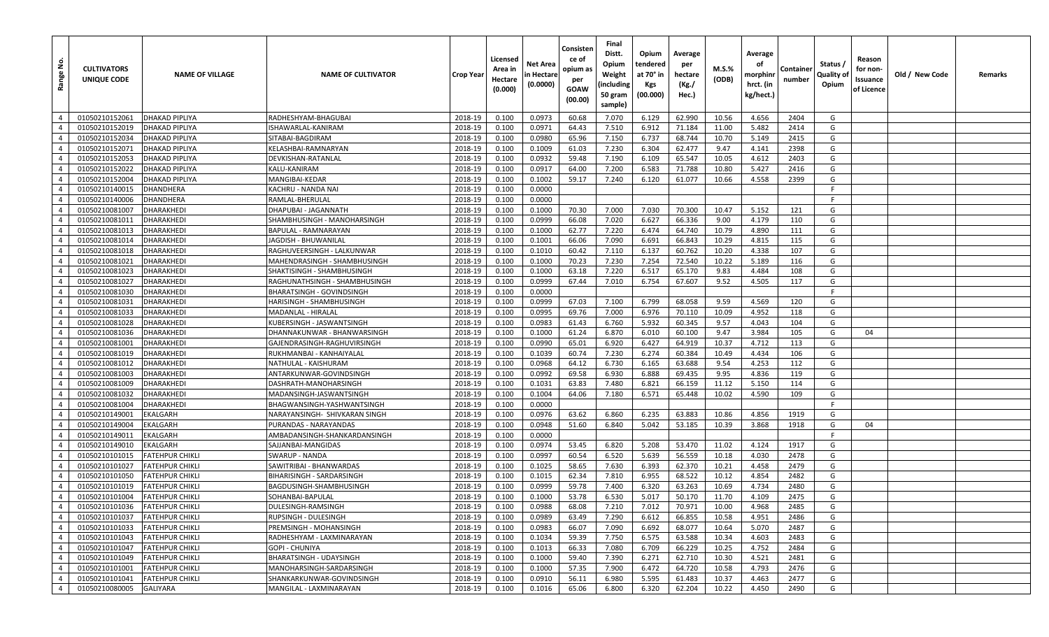| Range No.      | <b>CULTIVATORS</b><br>UNIQUE CODE | <b>NAME OF VILLAGE</b> | <b>NAME OF CULTIVATOR</b>     | <b>Crop Year</b> | Licensed<br>Area in<br>Hectare<br>(0.000) | Net Area<br>n Hectare<br>(0.0000) | Consisten<br>ce of<br>opium as<br>per<br>GOAW<br>(00.00) | Final<br>Distt.<br>Opium<br>Weight<br>(including<br>50 gram<br>sample) | Opium<br>tendered<br>at 70° in<br>Kgs<br>(00.000) | Average<br>per<br>hectare<br>(Kg./<br>Hec.) | $M.S.\%$<br>(ODB) | Average<br>оf<br>morphinr<br>hrct. (in<br>kg/hect.) | Container<br>number | Status /<br><b>Quality of</b><br>Opium | Reason<br>for non-<br>ssuance<br>of Licence | Old / New Code | Remarks |
|----------------|-----------------------------------|------------------------|-------------------------------|------------------|-------------------------------------------|-----------------------------------|----------------------------------------------------------|------------------------------------------------------------------------|---------------------------------------------------|---------------------------------------------|-------------------|-----------------------------------------------------|---------------------|----------------------------------------|---------------------------------------------|----------------|---------|
| $\overline{4}$ | 01050210152061                    | <b>DHAKAD PIPLIYA</b>  | RADHESHYAM-BHAGUBAI           | 2018-19          | 0.100                                     | 0.0973                            | 60.68                                                    | 7.070                                                                  | 6.129                                             | 62.990                                      | 10.56             | 4.656                                               | 2404                | G                                      |                                             |                |         |
| $\overline{4}$ | 01050210152019                    | <b>DHAKAD PIPLIYA</b>  | ISHAWARLAL-KANIRAM            | 2018-19          | 0.100                                     | 0.0971                            | 64.43                                                    | 7.510                                                                  | 6.912                                             | 71.184                                      | 11.00             | 5.482                                               | 2414                | G                                      |                                             |                |         |
| $\overline{4}$ | 01050210152034                    | <b>DHAKAD PIPLIYA</b>  | SITABAI-BAGDIRAM              | 2018-19          | 0.100                                     | 0.0980                            | 65.96                                                    | 7.150                                                                  | 6.737                                             | 68.744                                      | 10.70             | 5.149                                               | 2415                | G                                      |                                             |                |         |
| $\overline{4}$ | 01050210152071                    | <b>DHAKAD PIPLIYA</b>  | KELASHBAI-RAMNARYAN           | 2018-19          | 0.100                                     | 0.1009                            | 61.03                                                    | 7.230                                                                  | 6.304                                             | 62.477                                      | 9.47              | 4.141                                               | 2398                | G                                      |                                             |                |         |
| $\overline{4}$ | 01050210152053                    | <b>DHAKAD PIPLIYA</b>  | DEVKISHAN-RATANLAL            | 2018-19          | 0.100                                     | 0.0932                            | 59.48                                                    | 7.190                                                                  | 6.109                                             | 65.547                                      | 10.05             | 4.612                                               | 2403                | G                                      |                                             |                |         |
| $\overline{4}$ | 01050210152022                    | <b>DHAKAD PIPLIYA</b>  | KALU-KANIRAM                  | 2018-19          | 0.100                                     | 0.0917                            | 64.00                                                    | 7.200                                                                  | 6.583                                             | 71.788                                      | 10.80             | 5.427                                               | 2416                | G                                      |                                             |                |         |
| $\overline{4}$ | 01050210152004                    | <b>DHAKAD PIPLIYA</b>  | MANGIBAI-KEDAR                | 2018-19          | 0.100                                     | 0.1002                            | 59.17                                                    | 7.240                                                                  | 6.120                                             | 61.077                                      | 10.66             | 4.558                                               | 2399                | G                                      |                                             |                |         |
| $\overline{4}$ | 01050210140015                    | <b>DHANDHERA</b>       | KACHRU - NANDA NAI            | 2018-19          | 0.100                                     | 0.0000                            |                                                          |                                                                        |                                                   |                                             |                   |                                                     |                     | -F                                     |                                             |                |         |
| $\overline{4}$ | 01050210140006                    | <b>DHANDHERA</b>       | RAMLAL-BHERULAL               | 2018-19          | 0.100                                     | 0.0000                            |                                                          |                                                                        |                                                   |                                             |                   |                                                     |                     | F                                      |                                             |                |         |
| $\overline{4}$ | 01050210081007                    | <b>DHARAKHEDI</b>      | DHAPUBAI - JAGANNATH          | 2018-19          | 0.100                                     | 0.1000                            | 70.30                                                    | 7.000                                                                  | 7.030                                             | 70.300                                      | 10.47             | 5.152                                               | 121                 | G                                      |                                             |                |         |
| $\overline{4}$ | 01050210081011                    | <b>DHARAKHEDI</b>      | SHAMBHUSINGH - MANOHARSINGH   | 2018-19          | 0.100                                     | 0.0999                            | 66.08                                                    | 7.020                                                                  | 6.627                                             | 66.336                                      | 9.00              | 4.179                                               | 110                 | G                                      |                                             |                |         |
| $\overline{4}$ | 01050210081013                    | <b>DHARAKHEDI</b>      | BAPULAL - RAMNARAYAN          | 2018-19          | 0.100                                     | 0.1000                            | 62.77                                                    | 7.220                                                                  | 6.474                                             | 64.740                                      | 10.79             | 4.890                                               | 111                 | G                                      |                                             |                |         |
| $\overline{4}$ | 01050210081014                    | <b>DHARAKHEDI</b>      | IAGDISH - BHUWANILAL          | 2018-19          | 0.100                                     | 0.1001                            | 66.06                                                    | 7.090                                                                  | 6.691                                             | 66.843                                      | 10.29             | 4.815                                               | 115                 | G                                      |                                             |                |         |
| $\overline{4}$ | 01050210081018                    | <b>DHARAKHEDI</b>      | RAGHUVEERSINGH - LALKUNWAR    | 2018-19          | 0.100                                     | 0.1010                            | 60.42                                                    | 7.110                                                                  | 6.137                                             | 60.762                                      | 10.20             | 4.338                                               | 107                 | G                                      |                                             |                |         |
| $\overline{4}$ | 01050210081021                    | <b>DHARAKHEDI</b>      | MAHENDRASINGH - SHAMBHUSINGH  | 2018-19          | 0.100                                     | 0.1000                            | 70.23                                                    | 7.230                                                                  | 7.254                                             | 72.540                                      | 10.22             | 5.189                                               | 116                 | G                                      |                                             |                |         |
| $\overline{4}$ | 01050210081023                    | <b>DHARAKHEDI</b>      | SHAKTISINGH - SHAMBHUSINGH    | 2018-19          | 0.100                                     | 0.1000                            | 63.18                                                    | 7.220                                                                  | 6.517                                             | 65.170                                      | 9.83              | 4.484                                               | 108                 | G                                      |                                             |                |         |
| $\overline{4}$ | 01050210081027                    | <b>DHARAKHEDI</b>      | RAGHUNATHSINGH - SHAMBHUSINGH | 2018-19          | 0.100                                     | 0.0999                            | 67.44                                                    | 7.010                                                                  | 6.754                                             | 67.607                                      | 9.52              | 4.505                                               | 117                 | G                                      |                                             |                |         |
| $\overline{4}$ | 01050210081030                    | DHARAKHEDI             | BHARATSINGH - GOVINDSINGH     | 2018-19          | 0.100                                     | 0.0000                            |                                                          |                                                                        |                                                   |                                             |                   |                                                     |                     | -F                                     |                                             |                |         |
| $\overline{4}$ | 01050210081031                    | <b>DHARAKHEDI</b>      | HARISINGH - SHAMBHUSINGH      | 2018-19          | 0.100                                     | 0.0999                            | 67.03                                                    | 7.100                                                                  | 6.799                                             | 68.058                                      | 9.59              | 4.569                                               | 120                 | G                                      |                                             |                |         |
| $\overline{4}$ | 01050210081033                    | <b>DHARAKHEDI</b>      | MADANLAL - HIRALAL            | 2018-19          | 0.100                                     | 0.0995                            | 69.76                                                    | 7.000                                                                  | 6.976                                             | 70.110                                      | 10.09             | 4.952                                               | 118                 | G                                      |                                             |                |         |
| $\overline{4}$ | 01050210081028                    | DHARAKHEDI             | KUBERSINGH - JASWANTSINGH     | 2018-19          | 0.100                                     | 0.0983                            | 61.43                                                    | 6.760                                                                  | 5.932                                             | 60.345                                      | 9.57              | 4.043                                               | 104                 | G                                      |                                             |                |         |
| $\overline{4}$ | 01050210081036                    | <b>DHARAKHEDI</b>      | DHANNAKUNWAR - BHANWARSINGH   | 2018-19          | 0.100                                     | 0.1000                            | 61.24                                                    | 6.870                                                                  | 6.010                                             | 60.100                                      | 9.47              | 3.984                                               | 105                 | G                                      | 04                                          |                |         |
| $\overline{4}$ | 01050210081001                    | <b>DHARAKHEDI</b>      | GAJENDRASINGH-RAGHUVIRSINGH   | 2018-19          | 0.100                                     | 0.0990                            | 65.01                                                    | 6.920                                                                  | 6.427                                             | 64.919                                      | 10.37             | 4.712                                               | 113                 | G                                      |                                             |                |         |
| $\overline{4}$ | 01050210081019                    | <b>DHARAKHEDI</b>      | RUKHMANBAI - KANHAIYALAL      | 2018-19          | 0.100                                     | 0.1039                            | 60.74                                                    | 7.230                                                                  | 6.274                                             | 60.384                                      | 10.49             | 4.434                                               | 106                 | G                                      |                                             |                |         |
| $\overline{4}$ | 01050210081012                    | <b>DHARAKHEDI</b>      | NATHULAL - KAISHURAM          | 2018-19          | 0.100                                     | 0.0968                            | 64.12                                                    | 6.730                                                                  | 6.165                                             | 63.688                                      | 9.54              | 4.253                                               | 112                 | G                                      |                                             |                |         |
| $\overline{4}$ | 01050210081003                    | <b>DHARAKHEDI</b>      | ANTARKUNWAR-GOVINDSINGH       | 2018-19          | 0.100                                     | 0.0992                            | 69.58                                                    | 6.930                                                                  | 6.888                                             | 69.435                                      | 9.95              | 4.836                                               | 119                 | G                                      |                                             |                |         |
| $\overline{4}$ | 01050210081009                    | <b>DHARAKHEDI</b>      | DASHRATH-MANOHARSINGH         | 2018-19          | 0.100                                     | 0.1031                            | 63.83                                                    | 7.480                                                                  | 6.821                                             | 66.159                                      | 11.12             | 5.150                                               | 114                 | G                                      |                                             |                |         |
| $\overline{4}$ | 01050210081032                    | <b>DHARAKHEDI</b>      | MADANSINGH-JASWANTSINGH       | 2018-19          | 0.100                                     | 0.1004                            | 64.06                                                    | 7.180                                                                  | 6.571                                             | 65.448                                      | 10.02             | 4.590                                               | 109                 | G                                      |                                             |                |         |
| $\overline{4}$ | 01050210081004                    | DHARAKHEDI             | BHAGWANSINGH-YASHWANTSINGH    | 2018-19          | 0.100                                     | 0.0000                            |                                                          |                                                                        |                                                   |                                             |                   |                                                     |                     | E                                      |                                             |                |         |
| $\overline{4}$ | 01050210149001                    | <b>EKALGARH</b>        | NARAYANSINGH- SHIVKARAN SINGH | 2018-19          | 0.100                                     | 0.0976                            | 63.62                                                    | 6.860                                                                  | 6.235                                             | 63.883                                      | 10.86             | 4.856                                               | 1919                | G                                      |                                             |                |         |
| $\overline{4}$ | 01050210149004                    | EKALGARH               | PURANDAS - NARAYANDAS         | 2018-19          | 0.100                                     | 0.0948                            | 51.60                                                    | 6.840                                                                  | 5.042                                             | 53.185                                      | 10.39             | 3.868                                               | 1918                | G                                      | 04                                          |                |         |
| $\overline{4}$ | 01050210149011                    | <b>EKALGARH</b>        | AMBADANSINGH-SHANKARDANSINGH  | 2018-19          | 0.100                                     | 0.0000                            |                                                          |                                                                        |                                                   |                                             |                   |                                                     |                     | -F                                     |                                             |                |         |
| $\overline{4}$ | 01050210149010                    | <b>EKALGARH</b>        | SAJJANBAI-MANGIDAS            | 2018-19          | 0.100                                     | 0.0974                            | 53.45                                                    | 6.820                                                                  | 5.208                                             | 53.470                                      | 11.02             | 4.124                                               | 1917                | G                                      |                                             |                |         |
| $\overline{4}$ | 01050210101015                    | <b>FATEHPUR CHIKLI</b> | <b>SWARUP - NANDA</b>         | 2018-19          | 0.100                                     | 0.0997                            | 60.54                                                    | 6.520                                                                  | 5.639                                             | 56.559                                      | 10.18             | 4.030                                               | 2478                | G                                      |                                             |                |         |
| $\overline{4}$ | 01050210101027                    | <b>FATEHPUR CHIKLI</b> | SAWITRIBAI - BHANWARDAS       | 2018-19          | 0.100                                     | 0.1025                            | 58.65                                                    | 7.630                                                                  | 6.393                                             | 62.370                                      | 10.21             | 4.458                                               | 2479                | G                                      |                                             |                |         |
| $\overline{4}$ | 01050210101050                    | <b>FATEHPUR CHIKLI</b> | BIHARISINGH - SARDARSINGH     | 2018-19          | 0.100                                     | 0.1015                            | 62.34                                                    | 7.810                                                                  | 6.955                                             | 68.522                                      | 10.12             | 4.854                                               | 2482                | G                                      |                                             |                |         |
| $\overline{4}$ | 01050210101019                    | <b>FATEHPUR CHIKLI</b> | BAGDUSINGH-SHAMBHUSINGH       | 2018-19          | 0.100                                     | 0.0999                            | 59.78                                                    | 7.400                                                                  | 6.320                                             | 63.263                                      | 10.69             | 4.734                                               | 2480                | G                                      |                                             |                |         |
| $\overline{4}$ | 01050210101004                    | <b>FATEHPUR CHIKLI</b> | SOHANBAI-BAPULAL              | 2018-19          | 0.100                                     | 0.1000                            | 53.78                                                    | 6.530                                                                  | 5.017                                             | 50.170                                      | 11.70             | 4.109                                               | 2475                | G                                      |                                             |                |         |
| $\overline{4}$ | 01050210101036 FATEHPUR CHIKLI    |                        | DULESINGH-RAMSINGH            | 2018-19          | 0.100                                     | 0.0988                            | 68.08                                                    | 7.210                                                                  | 7.012                                             | 70.971                                      | 10.00             | 4.968                                               | 2485                | G                                      |                                             |                |         |
| $\overline{4}$ | 01050210101037                    | <b>FATEHPUR CHIKLI</b> | RUPSINGH - DULESINGH          | 2018-19          | 0.100                                     | 0.0989                            | 63.49                                                    | 7.290                                                                  | 6.612                                             | 66.855                                      | 10.58             | 4.951                                               | 2486                | G                                      |                                             |                |         |
| $\overline{4}$ | 01050210101033                    | <b>FATEHPUR CHIKLI</b> | PREMSINGH - MOHANSINGH        | 2018-19          | 0.100                                     | 0.0983                            | 66.07                                                    | 7.090                                                                  | 6.692                                             | 68.077                                      | 10.64             | 5.070                                               | 2487                | G                                      |                                             |                |         |
| $\overline{4}$ | 01050210101043                    | <b>FATEHPUR CHIKLI</b> | RADHESHYAM - LAXMINARAYAN     | 2018-19          | 0.100                                     | 0.1034                            | 59.39                                                    | 7.750                                                                  | 6.575                                             | 63.588                                      | 10.34             | 4.603                                               | 2483                | G                                      |                                             |                |         |
| $\overline{4}$ | 01050210101047                    | <b>FATEHPUR CHIKLI</b> | GOPI - CHUNIYA                | 2018-19          | 0.100                                     | 0.1013                            | 66.33                                                    | 7.080                                                                  | 6.709                                             | 66.229                                      | 10.25             | 4.752                                               | 2484                | G                                      |                                             |                |         |
| $\overline{4}$ | 01050210101049                    | <b>FATEHPUR CHIKLI</b> | BHARATSINGH - UDAYSINGH       | 2018-19          | 0.100                                     | 0.1000                            | 59.40                                                    | 7.390                                                                  | 6.271                                             | 62.710                                      | 10.30             | 4.521                                               | 2481                | G                                      |                                             |                |         |
| $\overline{4}$ | 01050210101001                    | <b>FATEHPUR CHIKLI</b> | MANOHARSINGH-SARDARSINGH      | 2018-19          | 0.100                                     | 0.1000                            | 57.35                                                    | 7.900                                                                  | 6.472                                             | 64.720                                      | 10.58             | 4.793                                               | 2476                | G                                      |                                             |                |         |
| $\overline{4}$ | 01050210101041                    | <b>FATEHPUR CHIKLI</b> | SHANKARKUNWAR-GOVINDSINGH     | 2018-19          | 0.100                                     | 0.0910                            | 56.11                                                    | 6.980                                                                  | 5.595                                             | 61.483                                      | 10.37             | 4.463                                               | 2477                | G                                      |                                             |                |         |
| $\overline{4}$ | 01050210080005                    | <b>GALIYARA</b>        | MANGILAL - LAXMINARAYAN       | 2018-19          | 0.100                                     | 0.1016                            | 65.06                                                    | 6.800                                                                  | 6.320                                             | 62.204                                      | 10.22             | 4.450                                               | 2490                | G                                      |                                             |                |         |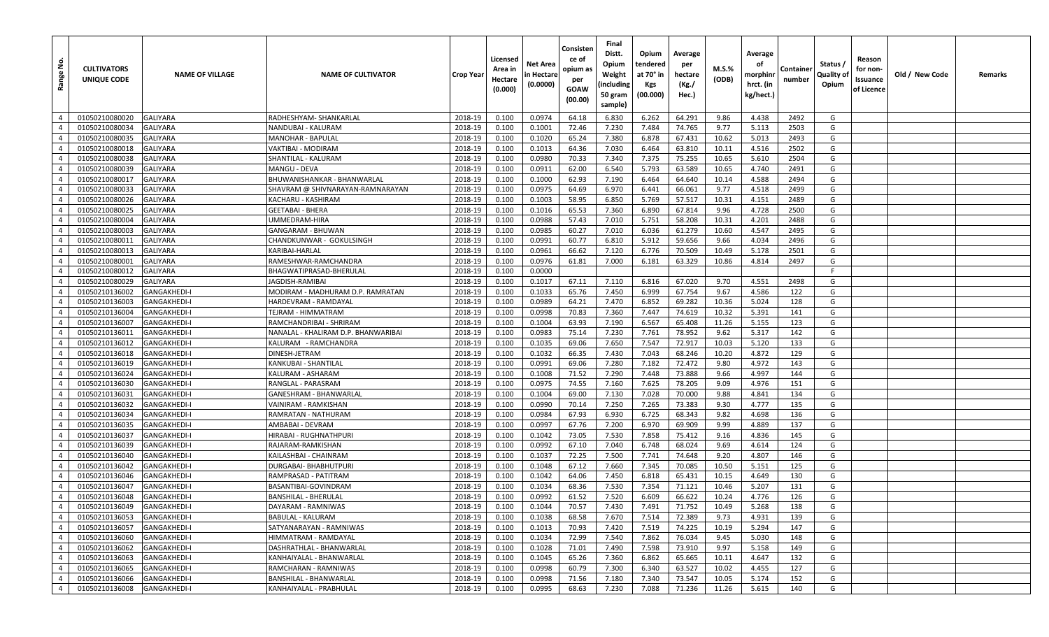| غ<br>Range     | <b>CULTIVATORS</b><br>UNIQUE CODE | <b>NAME OF VILLAGE</b> | <b>NAME OF CULTIVATOR</b>           | <b>Crop Year</b> | Licensed<br>Area in<br>Hectare<br>(0.000) | Net Area<br>n Hectare<br>(0.0000) | Consisten<br>ce of<br>opium as<br>per<br>GOAW<br>(00.00) | Final<br>Distt.<br>Opium<br>Weight<br>(including<br>50 gram<br>sample) | Opium<br>tendered<br>at 70° in<br>Kgs<br>(00.000) | Average<br>per<br>hectare<br>(Kg./<br>Hec.) | M.S.%<br>(ODB) | Average<br>οf<br>morphinr<br>hrct. (in<br>kg/hect.) | Container<br>number | Status /<br>Quality of<br>Opium | Reason<br>for non-<br>Issuance<br>of Licence | Old / New Code | Remarks |
|----------------|-----------------------------------|------------------------|-------------------------------------|------------------|-------------------------------------------|-----------------------------------|----------------------------------------------------------|------------------------------------------------------------------------|---------------------------------------------------|---------------------------------------------|----------------|-----------------------------------------------------|---------------------|---------------------------------|----------------------------------------------|----------------|---------|
| $\overline{4}$ | 01050210080020                    | <b>GALIYARA</b>        | RADHESHYAM- SHANKARLAL              | 2018-19          | 0.100                                     | 0.0974                            | 64.18                                                    | 6.830                                                                  | 6.262                                             | 64.291                                      | 9.86           | 4.438                                               | 2492                | G                               |                                              |                |         |
| $\overline{4}$ | 01050210080034                    | <b>GALIYARA</b>        | NANDUBAI - KALURAM                  | 2018-19          | 0.100                                     | 0.1001                            | 72.46                                                    | 7.230                                                                  | 7.484                                             | 74.765                                      | 9.77           | 5.113                                               | 2503                | G                               |                                              |                |         |
| $\overline{4}$ | 01050210080035                    | <b>GALIYARA</b>        | <b>MANOHAR - BAPULAL</b>            | 2018-19          | 0.100                                     | 0.1020                            | 65.24                                                    | 7.380                                                                  | 6.878                                             | 67.431                                      | 10.62          | 5.013                                               | 2493                | G                               |                                              |                |         |
| $\overline{4}$ | 01050210080018                    | <b>GALIYARA</b>        | VAKTIBAI - MODIRAM                  | 2018-19          | 0.100                                     | 0.1013                            | 64.36                                                    | 7.030                                                                  | 6.464                                             | 63.810                                      | 10.11          | 4.516                                               | 2502                | G                               |                                              |                |         |
| $\overline{4}$ | 01050210080038                    | <b>GALIYARA</b>        | SHANTILAL - KALURAM                 | 2018-19          | 0.100                                     | 0.0980                            | 70.33                                                    | 7.340                                                                  | 7.375                                             | 75.255                                      | 10.65          | 5.610                                               | 2504                | G                               |                                              |                |         |
| $\overline{4}$ | 01050210080039                    | <b>GALIYARA</b>        | MANGU - DEVA                        | 2018-19          | 0.100                                     | 0.0911                            | 62.00                                                    | 6.540                                                                  | 5.793                                             | 63.589                                      | 10.65          | 4.740                                               | 2491                | G                               |                                              |                |         |
| $\overline{4}$ | 01050210080017                    | <b>GALIYARA</b>        | BHUWANISHANKAR - BHANWARLAL         | 2018-19          | 0.100                                     | 0.1000                            | 62.93                                                    | 7.190                                                                  | 6.464                                             | 64.640                                      | 10.14          | 4.588                                               | 2494                | G                               |                                              |                |         |
| $\overline{4}$ | 01050210080033                    | <b>GALIYARA</b>        | SHAVRAM @ SHIVNARAYAN-RAMNARAYAN    | 2018-19          | 0.100                                     | 0.0975                            | 64.69                                                    | 6.970                                                                  | 6.441                                             | 66.061                                      | 9.77           | 4.518                                               | 2499                | G                               |                                              |                |         |
| $\overline{4}$ | 01050210080026                    | <b>GALIYARA</b>        | KACHARU - KASHIRAM                  | 2018-19          | 0.100                                     | 0.1003                            | 58.95                                                    | 6.850                                                                  | 5.769                                             | 57.517                                      | 10.31          | 4.151                                               | 2489                | G                               |                                              |                |         |
| $\overline{4}$ | 01050210080025                    | <b>GALIYARA</b>        | GEETABAI - BHERA                    | 2018-19          | 0.100                                     | 0.1016                            | 65.53                                                    | 7.360                                                                  | 6.890                                             | 67.814                                      | 9.96           | 4.728                                               | 2500                | G                               |                                              |                |         |
| $\overline{4}$ | 01050210080004                    | <b>GALIYARA</b>        | UMMEDRAM-HIRA                       | 2018-19          | 0.100                                     | 0.0988                            | 57.43                                                    | 7.010                                                                  | 5.751                                             | 58.208                                      | 10.31          | 4.201                                               | 2488                | G                               |                                              |                |         |
| $\overline{4}$ | 01050210080003                    | <b>GALIYARA</b>        | GANGARAM - BHUWAN                   | 2018-19          | 0.100                                     | 0.0985                            | 60.27                                                    | 7.010                                                                  | 6.036                                             | 61.279                                      | 10.60          | 4.547                                               | 2495                | G                               |                                              |                |         |
| $\overline{4}$ | 01050210080011                    | <b>GALIYARA</b>        | CHANDKUNWAR - GOKULSINGH            | 2018-19          | 0.100                                     | 0.0991                            | 60.77                                                    | 6.810                                                                  | 5.912                                             | 59.656                                      | 9.66           | 4.034                                               | 2496                | G                               |                                              |                |         |
| $\overline{4}$ | 01050210080013                    | <b>GALIYARA</b>        | KARIBAI-HARLAL                      | 2018-19          | 0.100                                     | 0.0961                            | 66.62                                                    | 7.120                                                                  | 6.776                                             | 70.509                                      | 10.49          | 5.178                                               | 2501                | G                               |                                              |                |         |
| $\overline{4}$ | 01050210080001                    | <b>GALIYARA</b>        | RAMESHWAR-RAMCHANDRA                | 2018-19          | 0.100                                     | 0.0976                            | 61.81                                                    | 7.000                                                                  | 6.181                                             | 63.329                                      | 10.86          | 4.814                                               | 2497                | G                               |                                              |                |         |
| $\overline{4}$ | 01050210080012                    | <b>GALIYARA</b>        | BHAGWATIPRASAD-BHERULAL             | 2018-19          | 0.100                                     | 0.0000                            |                                                          |                                                                        |                                                   |                                             |                |                                                     |                     | F                               |                                              |                |         |
| $\overline{4}$ | 01050210080029                    | <b>GALIYARA</b>        | JAGDISH-RAMIBAI                     | 2018-19          | 0.100                                     | 0.1017                            | 67.11                                                    | 7.110                                                                  | 6.816                                             | 67.020                                      | 9.70           | 4.551                                               | 2498                | G                               |                                              |                |         |
| $\overline{4}$ | 01050210136002                    | <b>GANGAKHEDI-I</b>    | MODIRAM - MADHURAM D.P. RAMRATAN    | 2018-19          | 0.100                                     | 0.1033                            | 65.76                                                    | 7.450                                                                  | 6.999                                             | 67.754                                      | 9.67           | 4.586                                               | 122                 | G                               |                                              |                |         |
| $\overline{4}$ | 01050210136003                    | <b>GANGAKHEDI-I</b>    | HARDEVRAM - RAMDAYAI                | 2018-19          | 0.100                                     | 0.0989                            | 64.21                                                    | 7.470                                                                  | 6.852                                             | 69.282                                      | 10.36          | 5.024                                               | 128                 | G                               |                                              |                |         |
| $\overline{4}$ | 01050210136004                    | <b>GANGAKHEDI-I</b>    | TEJRAM - HIMMATRAM                  | 2018-19          | 0.100                                     | 0.0998                            | 70.83                                                    | 7.360                                                                  | 7.447                                             | 74.619                                      | 10.32          | 5.391                                               | 141                 | G                               |                                              |                |         |
| $\overline{4}$ | 01050210136007                    | <b>GANGAKHEDI-I</b>    | RAMCHANDRIBAI - SHRIRAM             | 2018-19          | 0.100                                     | 0.1004                            | 63.93                                                    | 7.190                                                                  | 6.567                                             | 65.408                                      | 11.26          | 5.155                                               | 123                 | G                               |                                              |                |         |
| $\overline{4}$ | 01050210136011                    | <b>GANGAKHEDI-I</b>    | NANALAL - KHALIRAM D.P. BHANWARIBAI | 2018-19          | 0.100                                     | 0.0983                            | 75.14                                                    | 7.230                                                                  | 7.761                                             | 78.952                                      | 9.62           | 5.317                                               | 142                 | G                               |                                              |                |         |
| $\overline{4}$ | 01050210136012                    | <b>GANGAKHEDI-I</b>    | KALURAM - RAMCHANDRA                | 2018-19          | 0.100                                     | 0.1035                            | 69.06                                                    | 7.650                                                                  | 7.547                                             | 72.917                                      | 10.03          | 5.120                                               | 133                 | G                               |                                              |                |         |
| $\overline{4}$ | 01050210136018                    | <b>GANGAKHEDI-I</b>    | DINESH-JETRAM                       | 2018-19          | 0.100                                     | 0.1032                            | 66.35                                                    | 7.430                                                                  | 7.043                                             | 68.246                                      | 10.20          | 4.872                                               | 129                 | G                               |                                              |                |         |
| $\overline{4}$ | 01050210136019                    | <b>GANGAKHEDI-I</b>    | KANKUBAI - SHANTILAL                | 2018-19          | 0.100                                     | 0.0991                            | 69.06                                                    | 7.280                                                                  | 7.182                                             | 72.472                                      | 9.80           | 4.972                                               | 143                 | G                               |                                              |                |         |
| $\overline{4}$ | 01050210136024                    | <b>GANGAKHEDI-I</b>    | KALURAM - ASHARAM                   | 2018-19          | 0.100                                     | 0.1008                            | 71.52                                                    | 7.290                                                                  | 7.448                                             | 73.888                                      | 9.66           | 4.997                                               | 144                 | G                               |                                              |                |         |
| $\overline{4}$ | 01050210136030                    | <b>GANGAKHEDI-I</b>    | RANGLAL - PARASRAM                  | 2018-19          | 0.100                                     | 0.0975                            | 74.55                                                    | 7.160                                                                  | 7.625                                             | 78.205                                      | 9.09           | 4.976                                               | 151                 | G                               |                                              |                |         |
| $\overline{4}$ | 01050210136031                    | <b>GANGAKHEDI-I</b>    | GANESHRAM - BHANWARLAL              | 2018-19          | 0.100                                     | 0.1004                            | 69.00                                                    | 7.130                                                                  | 7.028                                             | 70.000                                      | 9.88           | 4.841                                               | 134                 | G                               |                                              |                |         |
| $\overline{4}$ | 01050210136032                    | <b>GANGAKHEDI-I</b>    | VAINIRAM - RAMKISHAN                | 2018-19          | 0.100                                     | 0.0990                            | 70.14                                                    | 7.250                                                                  | 7.265                                             | 73.383                                      | 9.30           | 4.777                                               | 135                 | G                               |                                              |                |         |
| $\overline{4}$ | 01050210136034                    | <b>GANGAKHEDI-I</b>    | RAMRATAN - NATHURAM                 | 2018-19          | 0.100                                     | 0.0984                            | 67.93                                                    | 6.930                                                                  | 6.725                                             | 68.343                                      | 9.82           | 4.698                                               | 136                 | G                               |                                              |                |         |
| $\overline{4}$ | 01050210136035                    | <b>GANGAKHEDI-I</b>    | AMBABAI - DEVRAM                    | 2018-19          | 0.100                                     | 0.0997                            | 67.76                                                    | 7.200                                                                  | 6.970                                             | 69.909                                      | 9.99           | 4.889                                               | 137                 | G                               |                                              |                |         |
| $\overline{4}$ | 01050210136037                    | <b>GANGAKHEDI-I</b>    | HIRABAI - RUGHNATHPURI              | 2018-19          | 0.100                                     | 0.1042                            | 73.05                                                    | 7.530                                                                  | 7.858                                             | 75.412                                      | 9.16           | 4.836                                               | 145                 | G                               |                                              |                |         |
| $\overline{4}$ | 01050210136039                    | <b>GANGAKHEDI-I</b>    | RAJARAM-RAMKISHAN                   | 2018-19          | 0.100                                     | 0.0992                            | 67.10                                                    | 7.040                                                                  | 6.748                                             | 68.024                                      | 9.69           | 4.614                                               | 124                 | G                               |                                              |                |         |
| $\overline{4}$ | 01050210136040                    | <b>GANGAKHEDI-I</b>    | KAILASHBAI - CHAINRAM               | 2018-19          | 0.100                                     | 0.1037                            | 72.25                                                    | 7.500                                                                  | 7.741                                             | 74.648                                      | 9.20           | 4.807                                               | 146                 | G                               |                                              |                |         |
| $\overline{4}$ | 01050210136042                    | <b>GANGAKHEDI-I</b>    | DURGABAI- BHABHUTPURI               | 2018-19          | 0.100                                     | 0.1048                            | 67.12                                                    | 7.660                                                                  | 7.345                                             | 70.085                                      | 10.50          | 5.151                                               | 125                 | G                               |                                              |                |         |
| $\overline{4}$ | 01050210136046                    | <b>GANGAKHEDI-I</b>    | RAMPRASAD - PATITRAM                | 2018-19          | 0.100                                     | 0.1042                            | 64.06                                                    | 7.450                                                                  | 6.818                                             | 65.431                                      | 10.15          | 4.649                                               | 130                 | G                               |                                              |                |         |
| $\overline{4}$ | 01050210136047                    | <b>GANGAKHEDI-I</b>    | BASANTIBAI-GOVINDRAM                | 2018-19          | 0.100                                     | 0.1034                            | 68.36                                                    | 7.530                                                                  | 7.354                                             | 71.121                                      | 10.46          | 5.207                                               | 131                 | G                               |                                              |                |         |
| $\overline{4}$ | 01050210136048                    | <b>GANGAKHEDI-I</b>    | <b>BANSHILAL - BHERULAL</b>         | 2018-19          | 0.100                                     | 0.0992                            | 61.52                                                    | 7.520                                                                  | 6.609                                             | 66.622                                      | 10.24          | 4.776                                               | 126                 | G                               |                                              |                |         |
| $\overline{4}$ | 01050210136049                    | <b>GANGAKHEDI-I</b>    | DAYARAM - RAMNIWAS                  | 2018-19          | 0.100                                     | 0.1044                            | 70.57                                                    | 7.430                                                                  | 7.491                                             | 71.752                                      | 10.49          | 5.268                                               | 138                 | G                               |                                              |                |         |
| $\overline{4}$ | 01050210136053                    | <b>GANGAKHEDI-I</b>    | BABULAL - KALURAM                   | 2018-19          | 0.100                                     | 0.1038                            | 68.58                                                    | 7.670                                                                  | 7.514                                             | 72.389                                      | 9.73           | 4.931                                               | 139                 | G                               |                                              |                |         |
| $\overline{4}$ | 01050210136057                    | <b>GANGAKHEDI-I</b>    | SATYANARAYAN - RAMNIWAS             | 2018-19          | 0.100                                     | 0.1013                            | 70.93                                                    | 7.420                                                                  | 7.519                                             | 74.225                                      | 10.19          | 5.294                                               | 147                 | G                               |                                              |                |         |
| $\overline{4}$ | 01050210136060                    | <b>GANGAKHEDI-I</b>    | HIMMATRAM - RAMDAYAL                | 2018-19          | 0.100                                     | 0.1034                            | 72.99                                                    | 7.540                                                                  | 7.862                                             | 76.034                                      | 9.45           | 5.030                                               | 148                 | G                               |                                              |                |         |
| $\overline{4}$ | 01050210136062                    | <b>GANGAKHEDI-I</b>    | DASHRATHLAL - BHANWARLAL            | 2018-19          | 0.100                                     | 0.1028                            | 71.01                                                    | 7.490                                                                  | 7.598                                             | 73.910                                      | 9.97           | 5.158                                               | 149                 | G                               |                                              |                |         |
| $\overline{4}$ | 01050210136063                    | <b>GANGAKHEDI-I</b>    | KANHAIYALAL - BHANWARLAL            | 2018-19          | 0.100                                     | 0.1045                            | 65.26                                                    | 7.360                                                                  | 6.862                                             | 65.665                                      | 10.11          | 4.647                                               | 132                 | G                               |                                              |                |         |
| $\overline{4}$ | 01050210136065                    | <b>GANGAKHEDI-I</b>    | RAMCHARAN - RAMNIWAS                | 2018-19          | 0.100                                     | 0.0998                            | 60.79                                                    | 7.300                                                                  | 6.340                                             | 63.527                                      | 10.02          | 4.455                                               | 127                 | G                               |                                              |                |         |
| $\overline{4}$ | 01050210136066                    | <b>GANGAKHEDI-I</b>    | BANSHILAL - BHANWARLAL              | 2018-19          | 0.100                                     | 0.0998                            | 71.56                                                    | 7.180                                                                  | 7.340                                             | 73.547                                      | 10.05          | 5.174                                               | 152                 | G                               |                                              |                |         |
| $\overline{4}$ | 01050210136008                    | <b>GANGAKHEDI-I</b>    | KANHAIYALAL - PRABHULAL             | 2018-19          | 0.100                                     | 0.0995                            | 68.63                                                    | 7.230                                                                  | 7.088                                             | 71.236                                      | 11.26          | 5.615                                               | 140                 | G                               |                                              |                |         |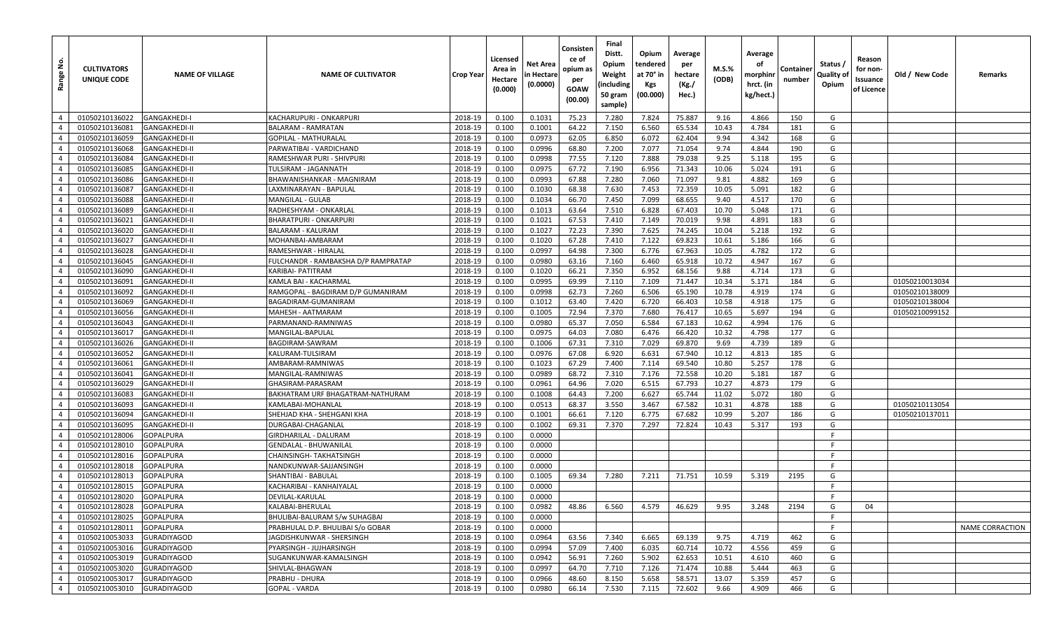| <u>و</u><br>Range | <b>CULTIVATORS</b><br>UNIQUE CODE | <b>NAME OF VILLAGE</b> | <b>NAME OF CULTIVATOR</b>           | Crop Year | Licensed<br>Area in<br>Hectare<br>(0.000) | Net Area<br>n Hectare<br>(0.0000) | Consisten<br>ce of<br>opium as<br>per<br>GOAW<br>(00.00) | Final<br>Distt.<br>Opium<br>Weight<br>(including<br>50 gram<br>sample) | Opium<br>tendered<br>at 70° in<br>Kgs<br>(00.000) | Average<br>per<br>hectare<br>(Kg./<br>Hec.) | M.S.%<br>(ODB) | Average<br>οf<br>morphinr<br>hrct. (in<br>kg/hect.) | Containe<br>number | Status /<br>Quality of<br>Opium | Reason<br>for non-<br>Issuance<br>of Licence | Old / New Code | Remarks                |
|-------------------|-----------------------------------|------------------------|-------------------------------------|-----------|-------------------------------------------|-----------------------------------|----------------------------------------------------------|------------------------------------------------------------------------|---------------------------------------------------|---------------------------------------------|----------------|-----------------------------------------------------|--------------------|---------------------------------|----------------------------------------------|----------------|------------------------|
| $\overline{4}$    | 01050210136022                    | <b>GANGAKHEDI-I</b>    | KACHARUPURI - ONKARPURI             | 2018-19   | 0.100                                     | 0.1031                            | 75.23                                                    | 7.280                                                                  | 7.824                                             | 75.887                                      | 9.16           | 4.866                                               | 150                | G                               |                                              |                |                        |
| $\overline{4}$    | 01050210136081                    | <b>GANGAKHEDI-II</b>   | <b>BALARAM - RAMRATAN</b>           | 2018-19   | 0.100                                     | 0.1001                            | 64.22                                                    | 7.150                                                                  | 6.560                                             | 65.534                                      | 10.43          | 4.784                                               | 181                | G                               |                                              |                |                        |
| $\overline{4}$    | 01050210136059                    | <b>GANGAKHEDI-II</b>   | <b>GOPILAL - MATHURALAI</b>         | 2018-19   | 0.100                                     | 0.0973                            | 62.05                                                    | 6.850                                                                  | 6.072                                             | 62.404                                      | 9.94           | 4.342                                               | 168                | G                               |                                              |                |                        |
| $\overline{4}$    | 01050210136068                    | <b>GANGAKHEDI-II</b>   | PARWATIBAI - VARDICHAND             | 2018-19   | 0.100                                     | 0.0996                            | 68.80                                                    | 7.200                                                                  | 7.077                                             | 71.054                                      | 9.74           | 4.844                                               | 190                | G                               |                                              |                |                        |
| $\overline{4}$    | 01050210136084                    | <b>GANGAKHEDI-II</b>   | RAMESHWAR PURI - SHIVPURI           | 2018-19   | 0.100                                     | 0.0998                            | 77.55                                                    | 7.120                                                                  | 7.888                                             | 79.038                                      | 9.25           | 5.118                                               | 195                | G                               |                                              |                |                        |
| $\overline{4}$    | 01050210136085                    | <b>GANGAKHEDI-II</b>   | TULSIRAM - JAGANNATH                | 2018-19   | 0.100                                     | 0.0975                            | 67.72                                                    | 7.190                                                                  | 6.956                                             | 71.343                                      | 10.06          | 5.024                                               | 191                | G                               |                                              |                |                        |
| $\overline{4}$    | 01050210136086                    | <b>GANGAKHEDI-II</b>   | BHAWANISHANKAR - MAGNIRAM           | 2018-19   | 0.100                                     | 0.0993                            | 67.88                                                    | 7.280                                                                  | 7.060                                             | 71.097                                      | 9.81           | 4.882                                               | 169                | G                               |                                              |                |                        |
| $\overline{4}$    | 01050210136087                    | <b>GANGAKHEDI-II</b>   | LAXMINARAYAN - BAPULAI              | 2018-19   | 0.100                                     | 0.1030                            | 68.38                                                    | 7.630                                                                  | 7.453                                             | 72.359                                      | 10.05          | 5.091                                               | 182                | G                               |                                              |                |                        |
| $\overline{4}$    | 01050210136088                    | <b>GANGAKHEDI-II</b>   | <b>MANGILAL - GULAB</b>             | 2018-19   | 0.100                                     | 0.1034                            | 66.70                                                    | 7.450                                                                  | 7.099                                             | 68.655                                      | 9.40           | 4.517                                               | 170                | G                               |                                              |                |                        |
| $\overline{4}$    | 01050210136089                    | <b>GANGAKHEDI-II</b>   | RADHESHYAM - ONKARLAL               | 2018-19   | 0.100                                     | 0.1013                            | 63.64                                                    | 7.510                                                                  | 6.828                                             | 67.403                                      | 10.70          | 5.048                                               | 171                | G                               |                                              |                |                        |
| $\overline{4}$    | 01050210136021                    | <b>GANGAKHEDI-II</b>   | <b>BHARATPURI - ONKARPURI</b>       | 2018-19   | 0.100                                     | 0.1021                            | 67.53                                                    | 7.410                                                                  | 7.149                                             | 70.019                                      | 9.98           | 4.891                                               | 183                | G                               |                                              |                |                        |
| $\overline{4}$    | 01050210136020                    | <b>GANGAKHEDI-II</b>   | <b>BALARAM - KALURAM</b>            | 2018-19   | 0.100                                     | 0.1027                            | 72.23                                                    | 7.390                                                                  | 7.625                                             | 74.245                                      | 10.04          | 5.218                                               | 192                | G                               |                                              |                |                        |
| $\overline{4}$    | 01050210136027                    | <b>GANGAKHEDI-II</b>   | MOHANBAI-AMBARAM                    | 2018-19   | 0.100                                     | 0.1020                            | 67.28                                                    | 7.410                                                                  | 7.122                                             | 69.823                                      | 10.61          | 5.186                                               | 166                | G                               |                                              |                |                        |
| $\overline{4}$    | 01050210136028                    | <b>GANGAKHEDI-II</b>   | RAMESHWAR - HIRALAL                 | 2018-19   | 0.100                                     | 0.0997                            | 64.98                                                    | 7.300                                                                  | 6.776                                             | 67.963                                      | 10.05          | 4.782                                               | 172                | G                               |                                              |                |                        |
| $\overline{4}$    | 01050210136045                    | <b>GANGAKHEDI-II</b>   | FULCHANDR - RAMBAKSHA D/P RAMPRATAP | 2018-19   | 0.100                                     | 0.0980                            | 63.16                                                    | 7.160                                                                  | 6.460                                             | 65.918                                      | 10.72          | 4.947                                               | 167                | G                               |                                              |                |                        |
| $\overline{4}$    | 01050210136090                    | <b>GANGAKHEDI-II</b>   | KARIBAI- PATITRAM                   | 2018-19   | 0.100                                     | 0.1020                            | 66.21                                                    | 7.350                                                                  | 6.952                                             | 68.156                                      | 9.88           | 4.714                                               | 173                | G                               |                                              |                |                        |
| $\overline{4}$    | 01050210136091                    | <b>GANGAKHEDI-II</b>   | KAMLA BAI - KACHARMAL               | 2018-19   | 0.100                                     | 0.0995                            | 69.99                                                    | 7.110                                                                  | 7.109                                             | 71.447                                      | 10.34          | 5.171                                               | 184                | G                               |                                              | 01050210013034 |                        |
| $\overline{4}$    | 01050210136092                    | <b>GANGAKHEDI-II</b>   | RAMGOPAL - BAGDIRAM D/P GUMANIRAM   | 2018-19   | 0.100                                     | 0.0998                            | 62.73                                                    | 7.260                                                                  | 6.506                                             | 65.190                                      | 10.78          | 4.919                                               | 174                | G                               |                                              | 01050210138009 |                        |
| $\overline{4}$    | 01050210136069                    | <b>GANGAKHEDI-II</b>   | BAGADIRAM-GUMANIRAM                 | 2018-19   | 0.100                                     | 0.1012                            | 63.40                                                    | 7.420                                                                  | 6.720                                             | 66.403                                      | 10.58          | 4.918                                               | 175                | G                               |                                              | 01050210138004 |                        |
| $\overline{4}$    | 01050210136056                    | <b>GANGAKHEDI-II</b>   | MAHESH - AATMARAM                   | 2018-19   | 0.100                                     | 0.1005                            | 72.94                                                    | 7.370                                                                  | 7.680                                             | 76.417                                      | 10.65          | 5.697                                               | 194                | G                               |                                              | 01050210099152 |                        |
| $\overline{4}$    | 01050210136043                    | <b>GANGAKHEDI-II</b>   | PARMANAND-RAMNIWAS                  | 2018-19   | 0.100                                     | 0.0980                            | 65.37                                                    | 7.050                                                                  | 6.584                                             | 67.183                                      | 10.62          | 4.994                                               | 176                | G                               |                                              |                |                        |
| $\overline{4}$    | 01050210136017                    | <b>GANGAKHEDI-II</b>   | MANGILAL-BAPULAL                    | 2018-19   | 0.100                                     | 0.0975                            | 64.03                                                    | 7.080                                                                  | 6.476                                             | 66.420                                      | 10.32          | 4.798                                               | 177                | G                               |                                              |                |                        |
| $\overline{4}$    | 01050210136026                    | <b>GANGAKHEDI-II</b>   | BAGDIRAM-SAWRAM                     | 2018-19   | 0.100                                     | 0.1006                            | 67.31                                                    | 7.310                                                                  | 7.029                                             | 69.870                                      | 9.69           | 4.739                                               | 189                | G                               |                                              |                |                        |
| $\overline{4}$    | 01050210136052                    | <b>GANGAKHEDI-II</b>   | KALURAM-TULSIRAM                    | 2018-19   | 0.100                                     | 0.0976                            | 67.08                                                    | 6.920                                                                  | 6.631                                             | 67.940                                      | 10.12          | 4.813                                               | 185                | G                               |                                              |                |                        |
| $\overline{4}$    | 01050210136061                    | <b>GANGAKHEDI-II</b>   | AMBARAM-RAMNIWAS                    | 2018-19   | 0.100                                     | 0.1023                            | 67.29                                                    | 7.400                                                                  | 7.114                                             | 69.540                                      | 10.80          | 5.257                                               | 178                | G                               |                                              |                |                        |
| $\overline{4}$    | 01050210136041                    | <b>GANGAKHEDI-II</b>   | MANGILAL-RAMNIWAS                   | 2018-19   | 0.100                                     | 0.0989                            | 68.72                                                    | 7.310                                                                  | 7.176                                             | 72.558                                      | 10.20          | 5.181                                               | 187                | G                               |                                              |                |                        |
| $\overline{4}$    | 01050210136029                    | <b>GANGAKHEDI-II</b>   | GHASIRAM-PARASRAM                   | 2018-19   | 0.100                                     | 0.0961                            | 64.96                                                    | 7.020                                                                  | 6.515                                             | 67.793                                      | 10.27          | 4.873                                               | 179                | G                               |                                              |                |                        |
| $\overline{4}$    | 01050210136083                    | <b>GANGAKHEDI-II</b>   | BAKHATRAM URF BHAGATRAM-NATHURAM    | 2018-19   | 0.100                                     | 0.1008                            | 64.43                                                    | 7.200                                                                  | 6.627                                             | 65.744                                      | 11.02          | 5.072                                               | 180                | G                               |                                              |                |                        |
| $\overline{4}$    | 01050210136093                    | <b>GANGAKHEDI-II</b>   | KAMLABAI-MOHANLAL                   | 2018-19   | 0.100                                     | 0.0513                            | 68.37                                                    | 3.550                                                                  | 3.467                                             | 67.582                                      | 10.31          | 4.878                                               | 188                | G                               |                                              | 01050210113054 |                        |
| $\overline{4}$    | 01050210136094                    | <b>GANGAKHEDI-II</b>   | SHEHJAD KHA - SHEHGANI KHA          | 2018-19   | 0.100                                     | 0.1001                            | 66.61                                                    | 7.120                                                                  | 6.775                                             | 67.682                                      | 10.99          | 5.207                                               | 186                | G                               |                                              | 01050210137011 |                        |
| $\overline{4}$    | 01050210136095                    | <b>GANGAKHEDI-II</b>   | DURGABAI-CHAGANLAL                  | 2018-19   | 0.100                                     | 0.1002                            | 69.31                                                    | 7.370                                                                  | 7.297                                             | 72.824                                      | 10.43          | 5.317                                               | 193                | G                               |                                              |                |                        |
| $\overline{4}$    | 01050210128006                    | GOPALPURA              | GIRDHARILAL - DALURAM               | 2018-19   | 0.100                                     | 0.0000                            |                                                          |                                                                        |                                                   |                                             |                |                                                     |                    | E                               |                                              |                |                        |
| $\overline{4}$    | 01050210128010                    | <b>GOPALPURA</b>       | <b>GENDALAL - BHUWANILAL</b>        | 2018-19   | 0.100                                     | 0.0000                            |                                                          |                                                                        |                                                   |                                             |                |                                                     |                    | F                               |                                              |                |                        |
| $\overline{4}$    | 01050210128016                    | <b>GOPALPURA</b>       | CHAINSINGH- TAKHATSINGH             | 2018-19   | 0.100                                     | 0.0000                            |                                                          |                                                                        |                                                   |                                             |                |                                                     |                    | F                               |                                              |                |                        |
| $\overline{4}$    | 01050210128018                    | GOPALPURA              | NANDKUNWAR-SAJJANSINGH              | 2018-19   | 0.100                                     | 0.0000                            |                                                          |                                                                        |                                                   |                                             |                |                                                     |                    | -F                              |                                              |                |                        |
| $\overline{4}$    | 01050210128013                    | <b>GOPALPURA</b>       | SHANTIBAI - BABULAL                 | 2018-19   | 0.100                                     | 0.1005                            | 69.34                                                    | 7.280                                                                  | 7.211                                             | 71.751                                      | 10.59          | 5.319                                               | 2195               | G                               |                                              |                |                        |
| $\overline{4}$    | 01050210128015                    | <b>GOPALPURA</b>       | KACHARIBAI - KANHAIYALAL            | 2018-19   | 0.100                                     | 0.0000                            |                                                          |                                                                        |                                                   |                                             |                |                                                     |                    |                                 |                                              |                |                        |
| $\overline{4}$    | 01050210128020                    | <b>GOPALPURA</b>       | DEVILAL-KARULAL                     | 2018-19   | 0.100                                     | 0.0000                            |                                                          |                                                                        |                                                   |                                             |                |                                                     |                    | F                               |                                              |                |                        |
| $\overline{4}$    | 01050210128028                    | <b>GOPALPURA</b>       | KALABAI-BHERULAL                    | 2018-19   | 0.100                                     | 0.0982                            | 48.86                                                    | 6.560                                                                  | 4.579                                             | 46.629                                      | 9.95           | 3.248                                               | 2194               | G                               | 04                                           |                |                        |
| $\overline{4}$    | 01050210128025                    | <b>GOPALPURA</b>       | BHULIBAI-BALURAM S/w SUHAGBAI       | 2018-19   | 0.100                                     | 0.0000                            |                                                          |                                                                        |                                                   |                                             |                |                                                     |                    | F.                              |                                              |                |                        |
| $\overline{4}$    | 01050210128011                    | <b>GOPALPURA</b>       | PRABHULAL D.P. BHULIBAI S/o GOBAR   | 2018-19   | 0.100                                     | 0.0000                            |                                                          |                                                                        |                                                   |                                             |                |                                                     |                    |                                 |                                              |                | <b>NAME CORRACTION</b> |
| $\overline{4}$    | 01050210053033                    | <b>GURADIYAGOD</b>     | JAGDISHKUNWAR - SHERSINGH           | 2018-19   | 0.100                                     | 0.0964                            | 63.56                                                    | 7.340                                                                  | 6.665                                             | 69.139                                      | 9.75           | 4.719                                               | 462                | G                               |                                              |                |                        |
| $\overline{4}$    | 01050210053016                    | <b>GURADIYAGOD</b>     | PYARSINGH - JUJHARSINGH             | 2018-19   | 0.100                                     | 0.0994                            | 57.09                                                    | 7.400                                                                  | 6.035                                             | 60.714                                      | 10.72          | 4.556                                               | 459                | G                               |                                              |                |                        |
| $\overline{4}$    | 01050210053019                    | <b>GURADIYAGOD</b>     | SUGANKUNWAR-KAMALSINGH              | 2018-19   | 0.100                                     | 0.0942                            | 56.91                                                    | 7.260                                                                  | 5.902                                             | 62.653                                      | 10.51          | 4.610                                               | 460                | G                               |                                              |                |                        |
| $\overline{4}$    | 01050210053020                    | <b>GURADIYAGOD</b>     | SHIVLAL-BHAGWAN                     | 2018-19   | 0.100                                     | 0.0997                            | 64.70                                                    | 7.710                                                                  | 7.126                                             | 71.474                                      | 10.88          | 5.444                                               | 463                | G                               |                                              |                |                        |
| $\overline{4}$    | 01050210053017                    | <b>GURADIYAGOD</b>     | PRABHU - DHURA                      | 2018-19   | 0.100                                     | 0.0966                            | 48.60                                                    | 8.150                                                                  | 5.658                                             | 58.571                                      | 13.07          | 5.359                                               | 457                | G                               |                                              |                |                        |
| $\overline{4}$    | 01050210053010                    | <b>GURADIYAGOD</b>     | <b>GOPAL - VARDA</b>                | 2018-19   | 0.100                                     | 0.0980                            | 66.14                                                    | 7.530                                                                  | 7.115                                             | 72.602                                      | 9.66           | 4.909                                               | 466                | G                               |                                              |                |                        |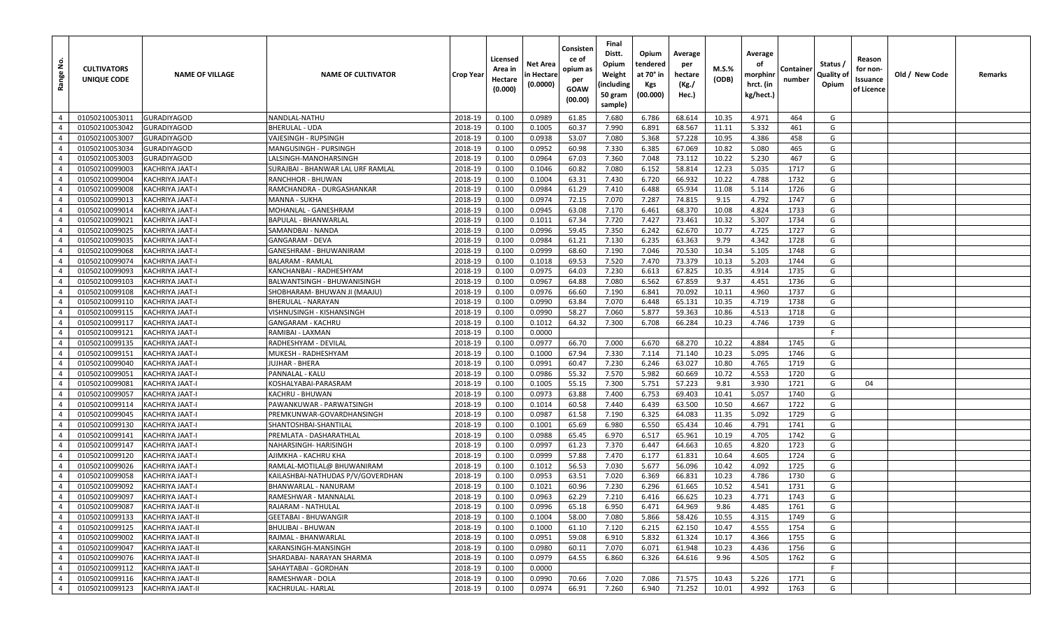| غ<br>Range     | <b>CULTIVATORS</b><br>UNIQUE CODE | <b>NAME OF VILLAGE</b> | <b>NAME OF CULTIVATOR</b>         | <b>Crop Year</b> | Licensed<br>Area in<br>Hectare<br>(0.000) | Net Area<br>n Hectare<br>(0.0000) | Consisten<br>ce of<br>opium as<br>per<br>GOAW<br>(00.00) | Final<br>Distt.<br>Opium<br>Weight<br>(including<br>50 gram<br>sample) | Opium<br>tendered<br>at 70° in<br>Kgs<br>(00.000) | Average<br>per<br>hectare<br>(Kg./<br>Hec.) | M.S.%<br>(ODB) | Average<br>оf<br>morphinr<br>hrct. (in<br>kg/hect.) | Container<br>number | Status /<br>Quality of<br>Opium | Reason<br>for non-<br>Issuance<br>of Licence | Old / New Code | Remarks |
|----------------|-----------------------------------|------------------------|-----------------------------------|------------------|-------------------------------------------|-----------------------------------|----------------------------------------------------------|------------------------------------------------------------------------|---------------------------------------------------|---------------------------------------------|----------------|-----------------------------------------------------|---------------------|---------------------------------|----------------------------------------------|----------------|---------|
| $\overline{4}$ | 01050210053011                    | <b>GURADIYAGOD</b>     | NANDLAL-NATHU                     | 2018-19          | 0.100                                     | 0.0989                            | 61.85                                                    | 7.680                                                                  | 6.786                                             | 68.614                                      | 10.35          | 4.971                                               | 464                 | G                               |                                              |                |         |
| $\overline{4}$ | 01050210053042                    | <b>GURADIYAGOD</b>     | <b>BHERULAL - UDA</b>             | 2018-19          | 0.100                                     | 0.1005                            | 60.37                                                    | 7.990                                                                  | 6.891                                             | 68.567                                      | 11.11          | 5.332                                               | 461                 | G                               |                                              |                |         |
| $\overline{4}$ | 01050210053007                    | <b>GURADIYAGOD</b>     | VAJESINGH - RUPSINGH              | 2018-19          | 0.100                                     | 0.0938                            | 53.07                                                    | 7.080                                                                  | 5.368                                             | 57.228                                      | 10.95          | 4.386                                               | 458                 | G                               |                                              |                |         |
| $\overline{4}$ | 01050210053034                    | <b>GURADIYAGOD</b>     | MANGUSINGH - PURSINGH             | 2018-19          | 0.100                                     | 0.0952                            | 60.98                                                    | 7.330                                                                  | 6.385                                             | 67.069                                      | 10.82          | 5.080                                               | 465                 | G                               |                                              |                |         |
| $\overline{4}$ | 01050210053003                    | <b>GURADIYAGOD</b>     | LALSINGH-MANOHARSINGH             | 2018-19          | 0.100                                     | 0.0964                            | 67.03                                                    | 7.360                                                                  | 7.048                                             | 73.112                                      | 10.22          | 5.230                                               | 467                 | G                               |                                              |                |         |
| $\overline{4}$ | 01050210099003                    | KACHRIYA JAAT-I        | SURAJBAI - BHANWAR LAL URF RAMLAL | 2018-19          | 0.100                                     | 0.1046                            | 60.82                                                    | 7.080                                                                  | 6.152                                             | 58.814                                      | 12.23          | 5.035                                               | 1717                | G                               |                                              |                |         |
| $\overline{4}$ | 01050210099004                    | KACHRIYA JAAT-I        | RANCHHOR - BHUWAN                 | 2018-19          | 0.100                                     | 0.1004                            | 63.31                                                    | 7.430                                                                  | 6.720                                             | 66.932                                      | 10.22          | 4.788                                               | 1732                | G                               |                                              |                |         |
| $\overline{4}$ | 01050210099008                    | KACHRIYA JAAT-I        | RAMCHANDRA - DURGASHANKAR         | 2018-19          | 0.100                                     | 0.0984                            | 61.29                                                    | 7.410                                                                  | 6.488                                             | 65.934                                      | 11.08          | 5.114                                               | 1726                | G                               |                                              |                |         |
| $\overline{4}$ | 01050210099013                    | KACHRIYA JAAT-I        | <b>MANNA - SUKHA</b>              | 2018-19          | 0.100                                     | 0.0974                            | 72.15                                                    | 7.070                                                                  | 7.287                                             | 74.815                                      | 9.15           | 4.792                                               | 1747                | G                               |                                              |                |         |
| $\overline{4}$ | 01050210099014                    | KACHRIYA JAAT-I        | MOHANLAL - GANESHRAM              | 2018-19          | 0.100                                     | 0.0945                            | 63.08                                                    | 7.170                                                                  | 6.461                                             | 68.370                                      | 10.08          | 4.824                                               | 1733                | G                               |                                              |                |         |
| $\overline{4}$ | 01050210099021                    | KACHRIYA JAAT-I        | BAPULAL - BHANWARLAL              | 2018-19          | 0.100                                     | 0.1011                            | 67.34                                                    | 7.720                                                                  | 7.427                                             | 73.461                                      | 10.32          | 5.307                                               | 1734                | G                               |                                              |                |         |
| $\overline{4}$ | 01050210099025                    | KACHRIYA JAAT-I        | SAMANDBAI - NANDA                 | 2018-19          | 0.100                                     | 0.0996                            | 59.45                                                    | 7.350                                                                  | 6.242                                             | 62.670                                      | 10.77          | 4.725                                               | 1727                | G                               |                                              |                |         |
| $\overline{4}$ | 01050210099035                    | KACHRIYA JAAT-I        | GANGARAM - DEVA                   | 2018-19          | 0.100                                     | 0.0984                            | 61.21                                                    | 7.130                                                                  | 6.235                                             | 63.363                                      | 9.79           | 4.342                                               | 1728                | G                               |                                              |                |         |
| $\overline{4}$ | 01050210099068                    | KACHRIYA JAAT-I        | GANESHRAM - BHUWANIRAM            | 2018-19          | 0.100                                     | 0.0999                            | 68.60                                                    | 7.190                                                                  | 7.046                                             | 70.530                                      | 10.34          | 5.105                                               | 1748                | G                               |                                              |                |         |
| $\overline{4}$ | 01050210099074                    | KACHRIYA JAAT-I        | <b>BALARAM - RAMLAL</b>           | 2018-19          | 0.100                                     | 0.1018                            | 69.53                                                    | 7.520                                                                  | 7.470                                             | 73.379                                      | 10.13          | 5.203                                               | 1744                | G                               |                                              |                |         |
| $\overline{4}$ | 01050210099093                    | <b>KACHRIYA JAAT-I</b> | KANCHANBAI - RADHESHYAM           | 2018-19          | 0.100                                     | 0.0975                            | 64.03                                                    | 7.230                                                                  | 6.613                                             | 67.825                                      | 10.35          | 4.914                                               | 1735                | G                               |                                              |                |         |
| $\overline{4}$ | 01050210099103                    | KACHRIYA JAAT-I        | BALWANTSINGH - BHUWANISINGH       | 2018-19          | 0.100                                     | 0.0967                            | 64.88                                                    | 7.080                                                                  | 6.562                                             | 67.859                                      | 9.37           | 4.451                                               | 1736                | G                               |                                              |                |         |
| $\overline{4}$ | 01050210099108                    | KACHRIYA JAAT-I        | SHOBHARAM- BHUWAN JI (MAAJU)      | 2018-19          | 0.100                                     | 0.0976                            | 66.60                                                    | 7.190                                                                  | 6.841                                             | 70.092                                      | 10.11          | 4.960                                               | 1737                | G                               |                                              |                |         |
| $\overline{4}$ | 01050210099110                    | KACHRIYA JAAT-I        | <b>BHERULAL - NARAYAN</b>         | 2018-19          | 0.100                                     | 0.0990                            | 63.84                                                    | 7.070                                                                  | 6.448                                             | 65.131                                      | 10.35          | 4.719                                               | 1738                | G                               |                                              |                |         |
| $\overline{4}$ | 01050210099115                    | KACHRIYA JAAT-I        | VISHNUSINGH - KISHANSINGH         | 2018-19          | 0.100                                     | 0.0990                            | 58.27                                                    | 7.060                                                                  | 5.877                                             | 59.363                                      | 10.86          | 4.513                                               | 1718                | G                               |                                              |                |         |
| $\overline{4}$ | 01050210099117                    | KACHRIYA JAAT-I        | GANGARAM - KACHRU                 | 2018-19          | 0.100                                     | 0.1012                            | 64.32                                                    | 7.300                                                                  | 6.708                                             | 66.284                                      | 10.23          | 4.746                                               | 1739                | G                               |                                              |                |         |
| $\overline{4}$ | 01050210099121                    | KACHRIYA JAAT-I        | RAMIBAI - LAXMAN                  | 2018-19          | 0.100                                     | 0.0000                            |                                                          |                                                                        |                                                   |                                             |                |                                                     |                     | F                               |                                              |                |         |
| $\overline{4}$ | 01050210099135                    | <b>KACHRIYA JAAT-I</b> | RADHESHYAM - DEVILAL              | 2018-19          | 0.100                                     | 0.0977                            | 66.70                                                    | 7.000                                                                  | 6.670                                             | 68.270                                      | 10.22          | 4.884                                               | 1745                | G                               |                                              |                |         |
| $\overline{4}$ | 01050210099151                    | KACHRIYA JAAT-I        | MUKESH - RADHESHYAM               | 2018-19          | 0.100                                     | 0.1000                            | 67.94                                                    | 7.330                                                                  | 7.114                                             | 71.140                                      | 10.23          | 5.095                                               | 1746                | G                               |                                              |                |         |
| $\overline{4}$ | 01050210099040                    | KACHRIYA JAAT-I        | JUJHAR - BHERA                    | 2018-19          | 0.100                                     | 0.0991                            | 60.47                                                    | 7.230                                                                  | 6.246                                             | 63.027                                      | 10.80          | 4.765                                               | 1719                | G                               |                                              |                |         |
| $\overline{4}$ | 01050210099051                    | <b>KACHRIYA JAAT-I</b> | PANNALAL - KALU                   | 2018-19          | 0.100                                     | 0.0986                            | 55.32                                                    | 7.570                                                                  | 5.982                                             | 60.669                                      | 10.72          | 4.553                                               | 1720                | G                               |                                              |                |         |
| $\overline{4}$ | 01050210099081                    | KACHRIYA JAAT-I        | KOSHALYABAI-PARASRAM              | 2018-19          | 0.100                                     | 0.1005                            | 55.15                                                    | 7.300                                                                  | 5.751                                             | 57.223                                      | 9.81           | 3.930                                               | 1721                | G                               | 04                                           |                |         |
| $\overline{4}$ | 01050210099057                    | KACHRIYA JAAT-I        | KACHRU - BHUWAN                   | 2018-19          | 0.100                                     | 0.0973                            | 63.88                                                    | 7.400                                                                  | 6.753                                             | 69.403                                      | 10.41          | 5.057                                               | 1740                | G                               |                                              |                |         |
| $\overline{4}$ | 01050210099114                    | KACHRIYA JAAT-I        | PAWANKUWAR - PARWATSINGH          | 2018-19          | 0.100                                     | 0.1014                            | 60.58                                                    | 7.440                                                                  | 6.439                                             | 63.500                                      | 10.50          | 4.667                                               | 1722                | G                               |                                              |                |         |
| $\overline{4}$ | 01050210099045                    | KACHRIYA JAAT-I        | PREMKUNWAR-GOVARDHANSINGH         | 2018-19          | 0.100                                     | 0.0987                            | 61.58                                                    | 7.190                                                                  | 6.325                                             | 64.083                                      | 11.35          | 5.092                                               | 1729                | G                               |                                              |                |         |
| $\overline{4}$ | 01050210099130                    | KACHRIYA JAAT-I        | SHANTOSHBAI-SHANTILAL             | 2018-19          | 0.100                                     | 0.1001                            | 65.69                                                    | 6.980                                                                  | 6.550                                             | 65.434                                      | 10.46          | 4.791                                               | 1741                | G                               |                                              |                |         |
| $\overline{4}$ | 01050210099141                    | KACHRIYA JAAT-I        | PREMLATA - DASHARATHLAL           | 2018-19          | 0.100                                     | 0.0988                            | 65.45                                                    | 6.970                                                                  | 6.517                                             | 65.961                                      | 10.19          | 4.705                                               | 1742                | G                               |                                              |                |         |
| $\overline{4}$ | 01050210099147                    | <b>KACHRIYA JAAT-I</b> | NAHARSINGH- HARISINGH             | 2018-19          | 0.100                                     | 0.0997                            | 61.23                                                    | 7.370                                                                  | 6.447                                             | 64.663                                      | 10.65          | 4.820                                               | 1723                | G                               |                                              |                |         |
| $\overline{4}$ | 01050210099120                    | KACHRIYA JAAT-I        | AJIMKHA - KACHRU KHA              | 2018-19          | 0.100                                     | 0.0999                            | 57.88                                                    | 7.470                                                                  | 6.177                                             | 61.831                                      | 10.64          | 4.605                                               | 1724                | G                               |                                              |                |         |
| $\overline{4}$ | 01050210099026                    | <b>KACHRIYA JAAT-I</b> | RAMLAL-MOTILAL@ BHUWANIRAM        | 2018-19          | 0.100                                     | 0.1012                            | 56.53                                                    | 7.030                                                                  | 5.677                                             | 56.096                                      | 10.42          | 4.092                                               | 1725                | G                               |                                              |                |         |
| $\overline{4}$ | 01050210099058                    | KACHRIYA JAAT-I        | KAILASHBAI-NATHUDAS P/V/GOVERDHAN | 2018-19          | 0.100                                     | 0.0953                            | 63.51                                                    | 7.020                                                                  | 6.369                                             | 66.831                                      | 10.23          | 4.786                                               | 1730                | G                               |                                              |                |         |
| $\overline{4}$ | 01050210099092                    | KACHRIYA JAAT-I        | BHANWARLAL - NANURAM              | 2018-19          | 0.100                                     | 0.1021                            | 60.96                                                    | 7.230                                                                  | 6.296                                             | 61.665                                      | 10.52          | 4.541                                               | 1731                | G                               |                                              |                |         |
| $\overline{4}$ | 01050210099097                    | <b>KACHRIYA JAAT-I</b> | RAMESHWAR - MANNALAL              | 2018-19          | 0.100                                     | 0.0963                            | 62.29                                                    | 7.210                                                                  | 6.416                                             | 66.625                                      | 10.23          | 4.771                                               | 1743                | G                               |                                              |                |         |
| $\overline{4}$ | 01050210099087                    | KACHRIYA JAAT-II       | RAJARAM - NATHULAL                | 2018-19          | 0.100                                     | 0.0996                            | 65.18                                                    | 6.950                                                                  | 6.471                                             | 64.969                                      | 9.86           | 4.485                                               | 1761                | G                               |                                              |                |         |
| $\overline{4}$ | 01050210099133                    | KACHRIYA JAAT-II       | <b>GEETABAI - BHUWANGIR</b>       | 2018-19          | 0.100                                     | 0.1004                            | 58.00                                                    | 7.080                                                                  | 5.866                                             | 58.426                                      | 10.55          | 4.315                                               | 1749                | G                               |                                              |                |         |
| $\overline{4}$ | 01050210099125                    | KACHRIYA JAAT-II       | <b>BHULIBAI - BHUWAN</b>          | 2018-19          | 0.100                                     | 0.1000                            | 61.10                                                    | 7.120                                                                  | 6.215                                             | 62.150                                      | 10.47          | 4.555                                               | 1754                | G                               |                                              |                |         |
| $\overline{4}$ | 01050210099002                    | KACHRIYA JAAT-II       | RAJMAL - BHANWARLAL               | 2018-19          | 0.100                                     | 0.0951                            | 59.08                                                    | 6.910                                                                  | 5.832                                             | 61.324                                      | 10.17          | 4.366                                               | 1755                | G                               |                                              |                |         |
| $\overline{4}$ | 01050210099047                    | KACHRIYA JAAT-II       | KARANSINGH-MANSINGH               | 2018-19          | 0.100                                     | 0.0980                            | 60.11                                                    | 7.070                                                                  | 6.071                                             | 61.948                                      | 10.23          | 4.436                                               | 1756                | G                               |                                              |                |         |
| $\overline{4}$ | 01050210099076                    | KACHRIYA JAAT-II       | SHARDABAI- NARAYAN SHARMA         | 2018-19          | 0.100                                     | 0.0979                            | 64.55                                                    | 6.860                                                                  | 6.326                                             | 64.616                                      | 9.96           | 4.505                                               | 1762                | G                               |                                              |                |         |
| $\overline{4}$ | 01050210099112                    | KACHRIYA JAAT-II       | SAHAYTABAI - GORDHAN              | 2018-19          | 0.100                                     | 0.0000                            |                                                          |                                                                        |                                                   |                                             |                |                                                     |                     | F                               |                                              |                |         |
| $\overline{4}$ | 01050210099116                    | KACHRIYA JAAT-II       | RAMESHWAR - DOLA                  | 2018-19          | 0.100                                     | 0.0990                            | 70.66                                                    | 7.020                                                                  | 7.086                                             | 71.575                                      | 10.43          | 5.226                                               | 1771                | G                               |                                              |                |         |
| $\overline{4}$ | 01050210099123                    | KACHRIYA JAAT-II       | KACHRULAL- HARLAL                 | 2018-19          | 0.100                                     | 0.0974                            | 66.91                                                    | 7.260                                                                  | 6.940                                             | 71.252                                      | 10.01          | 4.992                                               | 1763                | G                               |                                              |                |         |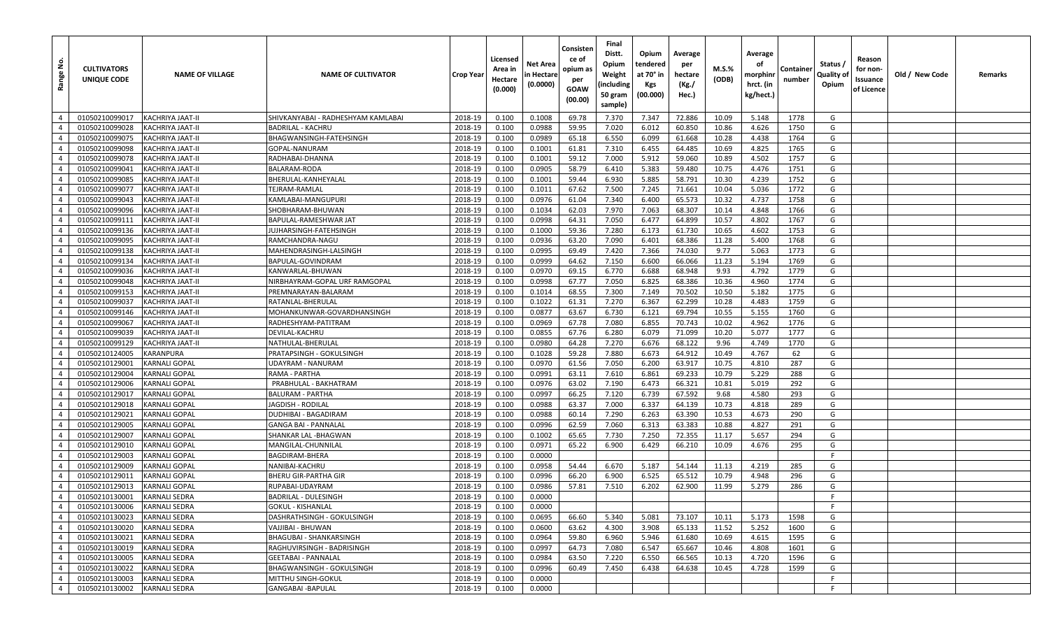| غ.<br>Range                      | <b>CULTIVATORS</b><br>UNIQUE CODE | <b>NAME OF VILLAGE</b>                       | <b>NAME OF CULTIVATOR</b>                     | <b>Crop Year</b>   | Licensed<br>Area in<br>Hectare<br>(0.000) | Net Area<br>n Hectare<br>(0.0000) | Consisten<br>ce of<br>opium as<br>per<br>GOAW<br>(00.00) | Final<br>Distt.<br>Opium<br>Weight<br>(including<br>50 gram<br>sample) | Opium<br>tendered<br>at 70° in<br>Kgs<br>(00.000) | Average<br>per<br>hectare<br>(Kg./<br>Hec.) | M.S.%<br>(ODB) | Average<br>οf<br>morphinr<br>hrct. (in<br>kg/hect.) | Container<br>number | Status /<br>Quality of<br>Opium | Reason<br>for non-<br>Issuance<br>of Licence | Old / New Code | Remarks |
|----------------------------------|-----------------------------------|----------------------------------------------|-----------------------------------------------|--------------------|-------------------------------------------|-----------------------------------|----------------------------------------------------------|------------------------------------------------------------------------|---------------------------------------------------|---------------------------------------------|----------------|-----------------------------------------------------|---------------------|---------------------------------|----------------------------------------------|----------------|---------|
| $\overline{4}$                   | 01050210099017                    | KACHRIYA JAAT-II                             | SHIVKANYABAI - RADHESHYAM KAMLABAI            | 2018-19            | 0.100                                     | 0.1008                            | 69.78                                                    | 7.370                                                                  | 7.347                                             | 72.886                                      | 10.09          | 5.148                                               | 1778                | G                               |                                              |                |         |
| $\overline{4}$                   | 01050210099028                    | KACHRIYA JAAT-II                             | <b>BADRILAL - KACHRU</b>                      | 2018-19            | 0.100                                     | 0.0988                            | 59.95                                                    | 7.020                                                                  | 6.012                                             | 60.850                                      | 10.86          | 4.626                                               | 1750                | G                               |                                              |                |         |
| $\overline{4}$                   | 01050210099075                    | KACHRIYA JAAT-II                             | BHAGWANSINGH-FATEHSINGH                       | 2018-19            | 0.100                                     | 0.0989                            | 65.18                                                    | 6.550                                                                  | 6.099                                             | 61.668                                      | 10.28          | 4.438                                               | 1764                | G                               |                                              |                |         |
| $\overline{4}$                   | 01050210099098                    | KACHRIYA JAAT-II                             | GOPAL-NANURAM                                 | 2018-19            | 0.100                                     | 0.1001                            | 61.81                                                    | 7.310                                                                  | 6.455                                             | 64.485                                      | 10.69          | 4.825                                               | 1765                | G                               |                                              |                |         |
| $\overline{4}$                   | 01050210099078                    | KACHRIYA JAAT-II                             | RADHABAI-DHANNA                               | 2018-19            | 0.100                                     | 0.1001                            | 59.12                                                    | 7.000                                                                  | 5.912                                             | 59.060                                      | 10.89          | 4.502                                               | 1757                | G                               |                                              |                |         |
| $\overline{4}$                   | 01050210099041                    | KACHRIYA JAAT-II                             | <b>BALARAM-RODA</b>                           | 2018-19            | 0.100                                     | 0.0905                            | 58.79                                                    | 6.410                                                                  | 5.383                                             | 59.480                                      | 10.75          | 4.476                                               | 1751                | G                               |                                              |                |         |
| $\overline{4}$                   | 01050210099085                    | KACHRIYA JAAT-II                             | BHERULAL-KANHEYALAL                           | 2018-19            | 0.100                                     | 0.1001                            | 59.44                                                    | 6.930                                                                  | 5.885                                             | 58.791                                      | 10.30          | 4.239                                               | 1752                | G                               |                                              |                |         |
| $\overline{4}$                   | 01050210099077                    | KACHRIYA JAAT-II                             | TEJRAM-RAMLAL                                 | 2018-19            | 0.100                                     | 0.1011                            | 67.62                                                    | 7.500                                                                  | 7.245                                             | 71.661                                      | 10.04          | 5.036                                               | 1772                | G                               |                                              |                |         |
| $\overline{4}$                   | 01050210099043                    | KACHRIYA JAAT-II                             | KAMLABAI-MANGUPURI                            | 2018-19            | 0.100                                     | 0.0976                            | 61.04                                                    | 7.340                                                                  | 6.400                                             | 65.573                                      | 10.32          | 4.737                                               | 1758                | G                               |                                              |                |         |
| $\overline{4}$                   | 01050210099096                    | KACHRIYA JAAT-II                             | SHOBHARAM-BHUWAN                              | 2018-19            | 0.100                                     | 0.1034                            | 62.03                                                    | 7.970                                                                  | 7.063                                             | 68.307                                      | 10.14          | 4.848                                               | 1766                | G                               |                                              |                |         |
| $\overline{4}$                   | 01050210099111                    | KACHRIYA JAAT-II                             | BAPULAL-RAMESHWAR JAT                         | 2018-19            | 0.100                                     | 0.0998                            | 64.31                                                    | 7.050                                                                  | 6.477                                             | 64.899                                      | 10.57          | 4.802                                               | 1767                | G                               |                                              |                |         |
| $\overline{4}$                   | 01050210099136                    | KACHRIYA JAAT-II                             | JUJHARSINGH-FATEHSINGH                        | 2018-19            | 0.100                                     | 0.1000                            | 59.36                                                    | 7.280                                                                  | 6.173                                             | 61.730                                      | 10.65          | 4.602                                               | 1753                | G                               |                                              |                |         |
| $\overline{4}$                   | 01050210099095                    | KACHRIYA JAAT-II                             | RAMCHANDRA-NAGU                               | 2018-19            | 0.100                                     | 0.0936                            | 63.20                                                    | 7.090                                                                  | 6.401                                             | 68.386                                      | 11.28          | 5.400                                               | 1768                | G                               |                                              |                |         |
| $\overline{4}$                   | 01050210099138                    | KACHRIYA JAAT-II                             | MAHENDRASINGH-LALSINGH                        | 2018-19            | 0.100                                     | 0.0995                            | 69.49                                                    | 7.420                                                                  | 7.366                                             | 74.030                                      | 9.77           | 5.063                                               | 1773                | G                               |                                              |                |         |
| $\overline{4}$                   | 01050210099134                    | KACHRIYA JAAT-II                             | BAPULAL-GOVINDRAM                             | 2018-19            | 0.100                                     | 0.0999                            | 64.62                                                    | 7.150                                                                  | 6.600                                             | 66.066                                      | 11.23          | 5.194                                               | 1769                | G                               |                                              |                |         |
| $\overline{4}$                   | 01050210099036                    | <b>KACHRIYA JAAT-II</b>                      | KANWARLAL-BHUWAN                              | 2018-19            | 0.100                                     | 0.0970                            | 69.15                                                    | 6.770                                                                  | 6.688                                             | 68.948                                      | 9.93           | 4.792                                               | 1779                | G                               |                                              |                |         |
| $\overline{4}$                   | 01050210099048                    | KACHRIYA JAAT-II                             | NIRBHAYRAM-GOPAL URF RAMGOPAL                 | 2018-19            | 0.100                                     | 0.0998                            | 67.77                                                    | 7.050                                                                  | 6.825                                             | 68.386                                      | 10.36          | 4.960                                               | 1774                | G                               |                                              |                |         |
| $\overline{4}$                   | 01050210099153                    | KACHRIYA JAAT-II                             | PREMNARAYAN-BALARAM                           | 2018-19            | 0.100                                     | 0.1014                            | 68.55                                                    | 7.300                                                                  | 7.149                                             | 70.502                                      | 10.50          | 5.182                                               | 1775                | G                               |                                              |                |         |
| $\overline{4}$                   | 01050210099037                    | KACHRIYA JAAT-II                             | RATANLAL-BHERULAL                             | 2018-19            | 0.100                                     | 0.1022                            | 61.31                                                    | 7.270                                                                  | 6.367                                             | 62.299                                      | 10.28          | 4.483                                               | 1759                | G                               |                                              |                |         |
| $\overline{4}$                   | 01050210099146                    | KACHRIYA JAAT-II                             | MOHANKUNWAR-GOVARDHANSINGH                    | 2018-19            | 0.100                                     | 0.0877                            | 63.67                                                    | 6.730                                                                  | 6.121                                             | 69.794                                      | 10.55          | 5.155                                               | 1760                | G                               |                                              |                |         |
| $\overline{4}$                   | 01050210099067                    | KACHRIYA JAAT-II                             | RADHESHYAM-PATITRAM                           | 2018-19            | 0.100                                     | 0.0969                            | 67.78                                                    | 7.080                                                                  | 6.855                                             | 70.743                                      | 10.02          | 4.962                                               | 1776                | G                               |                                              |                |         |
| $\overline{4}$                   | 01050210099039                    | KACHRIYA JAAT-II                             | DEVILAL-KACHRU                                | 2018-19            | 0.100                                     | 0.0855                            | 67.76                                                    | 6.280                                                                  | 6.079                                             | 71.099                                      | 10.20          | 5.077                                               | 1777                | G                               |                                              |                |         |
| $\overline{4}$                   | 01050210099129                    | KACHRIYA JAAT-II                             | NATHULAL-BHERULAL                             | 2018-19            | 0.100                                     | 0.0980                            | 64.28                                                    | 7.270                                                                  | 6.676                                             | 68.122                                      | 9.96           | 4.749                                               | 1770                | G                               |                                              |                |         |
| $\overline{4}$                   | 01050210124005                    | KARANPURA                                    | PRATAPSINGH - GOKULSINGH                      | 2018-19            | 0.100                                     | 0.1028                            | 59.28                                                    | 7.880                                                                  | 6.673                                             | 64.912                                      | 10.49          | 4.767                                               | 62                  | G                               |                                              |                |         |
| $\overline{4}$                   | 01050210129001                    | <b>KARNALI GOPAL</b>                         | UDAYRAM - NANURAM                             | 2018-19            | 0.100                                     | 0.0970                            | 61.56                                                    | 7.050                                                                  | 6.200                                             | 63.917                                      | 10.75          | 4.810                                               | 287                 | G                               |                                              |                |         |
| $\overline{4}$                   | 01050210129004                    | <b>KARNALI GOPAL</b>                         | RAMA - PARTHA                                 | 2018-19            | 0.100                                     | 0.0991                            | 63.11                                                    | 7.610                                                                  | 6.861                                             | 69.233                                      | 10.79          | 5.229                                               | 288                 | G                               |                                              |                |         |
| $\overline{4}$                   | 01050210129006                    | <b>KARNALI GOPAL</b>                         | PRABHULAL - BAKHATRAM                         | 2018-19            | 0.100                                     | 0.0976                            | 63.02                                                    | 7.190                                                                  | 6.473                                             | 66.321                                      | 10.81          | 5.019                                               | 292                 | G                               |                                              |                |         |
| $\overline{4}$                   | 01050210129017                    | <b>KARNALI GOPAL</b>                         | <b>BALURAM - PARTHA</b>                       | 2018-19            | 0.100                                     | 0.0997                            | 66.25                                                    | 7.120                                                                  | 6.739                                             | 67.592                                      | 9.68           | 4.580                                               | 293                 | G                               |                                              |                |         |
| $\overline{4}$                   | 01050210129018                    | <b>KARNALI GOPAL</b>                         | JAGDISH - RODILAL                             | 2018-19            | 0.100                                     | 0.0988                            | 63.37                                                    | 7.000                                                                  | 6.337                                             | 64.139                                      | 10.73          | 4.818                                               | 289                 | G                               |                                              |                |         |
| $\overline{4}$                   | 01050210129021                    | <b>KARNALI GOPAL</b>                         | DUDHIBAI - BAGADIRAM                          | 2018-19            | 0.100                                     | 0.0988                            | 60.14                                                    | 7.290                                                                  | 6.263                                             | 63.390                                      | 10.53          | 4.673                                               | 290                 | G                               |                                              |                |         |
| $\overline{4}$                   | 01050210129005                    | <b>KARNALI GOPAL</b>                         | <b>GANGA BAI - PANNALAL</b>                   | 2018-19            | 0.100                                     | 0.0996                            | 62.59                                                    | 7.060                                                                  | 6.313                                             | 63.383                                      | 10.88          | 4.827                                               | 291                 | G                               |                                              |                |         |
| $\overline{4}$                   | 01050210129007                    | <b>KARNALI GOPAL</b><br><b>KARNALI GOPAL</b> | SHANKAR LAL-BHAGWAN                           | 2018-19            | 0.100                                     | 0.1002                            | 65.65                                                    | 7.730                                                                  | 7.250                                             | 72.355                                      | 11.17          | 5.657                                               | 294                 | G                               |                                              |                |         |
| $\overline{4}$                   | 01050210129010                    |                                              | MANGILAL-CHUNNILAL                            | 2018-19            | 0.100                                     | 0.0971                            | 65.22                                                    | 6.900                                                                  | 6.429                                             | 66.210                                      | 10.09          | 4.676                                               | 295                 | G<br>F                          |                                              |                |         |
| $\overline{4}$                   | 01050210129003                    | <b>KARNALI GOPAL</b>                         | <b>BAGDIRAM-BHERA</b>                         | 2018-19            | 0.100                                     | 0.0000                            |                                                          |                                                                        |                                                   |                                             |                |                                                     |                     | G                               |                                              |                |         |
| $\overline{4}$<br>$\overline{4}$ | 01050210129009<br>01050210129011  | <b>KARNALI GOPAL</b><br><b>KARNALI GOPAL</b> | NANIBAI-KACHRU<br><b>BHERU GIR-PARTHA GIR</b> | 2018-19<br>2018-19 | 0.100<br>0.100                            | 0.0958<br>0.0996                  | 54.44<br>66.20                                           | 6.670<br>6.900                                                         | 5.187<br>6.525                                    | 54.144<br>65.512                            | 11.13<br>10.79 | 4.219<br>4.948                                      | 285<br>296          | G                               |                                              |                |         |
| $\overline{4}$                   | 01050210129013                    | <b>KARNALI GOPAL</b>                         | RUPABAI-UDAYRAM                               | 2018-19            | 0.100                                     | 0.0986                            | 57.81                                                    | 7.510                                                                  | 6.202                                             | 62.900                                      | 11.99          | 5.279                                               | 286                 | G                               |                                              |                |         |
| $\overline{4}$                   | 01050210130001                    | <b>KARNALI SEDRA</b>                         | <b>BADRILAL - DULESINGH</b>                   | 2018-19            | 0.100                                     | 0.0000                            |                                                          |                                                                        |                                                   |                                             |                |                                                     |                     | F                               |                                              |                |         |
| $\overline{4}$                   | 01050210130006                    | <b>KARNALI SEDRA</b>                         | <b>GOKUL - KISHANLAL</b>                      | 2018-19            | 0.100                                     | 0.0000                            |                                                          |                                                                        |                                                   |                                             |                |                                                     |                     | -F                              |                                              |                |         |
| $\overline{4}$                   | 01050210130023                    | <b>KARNALI SEDRA</b>                         | DASHRATHSINGH - GOKULSINGH                    | 2018-19            | 0.100                                     | 0.0695                            | 66.60                                                    | 5.340                                                                  | 5.081                                             | 73.107                                      | 10.11          | 5.173                                               | 1598                | G                               |                                              |                |         |
| $\overline{4}$                   | 01050210130020                    | <b>KARNALI SEDRA</b>                         | VAJJIBAI - BHUWAN                             | 2018-19            | 0.100                                     | 0.0600                            | 63.62                                                    | 4.300                                                                  | 3.908                                             | 65.133                                      | 11.52          | 5.252                                               | 1600                | G                               |                                              |                |         |
| $\overline{4}$                   | 01050210130021                    | <b>KARNALI SEDRA</b>                         | BHAGUBAI - SHANKARSINGH                       | 2018-19            | 0.100                                     | 0.0964                            | 59.80                                                    | 6.960                                                                  | 5.946                                             | 61.680                                      | 10.69          | 4.615                                               | 1595                | G                               |                                              |                |         |
| $\overline{4}$                   | 01050210130019                    | <b>KARNALI SEDRA</b>                         | RAGHUVIRSINGH - BADRISINGH                    | 2018-19            | 0.100                                     | 0.0997                            | 64.73                                                    | 7.080                                                                  | 6.547                                             | 65.667                                      | 10.46          | 4.808                                               | 1601                | G                               |                                              |                |         |
| $\overline{4}$                   | 01050210130005                    | <b>KARNALI SEDRA</b>                         | <b>GEETABAI - PANNALAL</b>                    | 2018-19            | 0.100                                     | 0.0984                            | 63.50                                                    | 7.220                                                                  | 6.550                                             | 66.565                                      | 10.13          | 4.720                                               | 1596                | G                               |                                              |                |         |
| $\overline{4}$                   | 01050210130022                    | <b>KARNALI SEDRA</b>                         | BHAGWANSINGH - GOKULSINGH                     | 2018-19            | 0.100                                     | 0.0996                            | 60.49                                                    | 7.450                                                                  | 6.438                                             | 64.638                                      | 10.45          | 4.728                                               | 1599                | G                               |                                              |                |         |
| $\overline{4}$                   | 01050210130003                    | <b>KARNALI SEDRA</b>                         | MITTHU SINGH-GOKUL                            | 2018-19            | 0.100                                     | 0.0000                            |                                                          |                                                                        |                                                   |                                             |                |                                                     |                     | F                               |                                              |                |         |
| $\overline{4}$                   | 01050210130002                    | <b>KARNALI SEDRA</b>                         | <b>GANGABAI - BAPULAL</b>                     | 2018-19            | 0.100                                     | 0.0000                            |                                                          |                                                                        |                                                   |                                             |                |                                                     |                     | F.                              |                                              |                |         |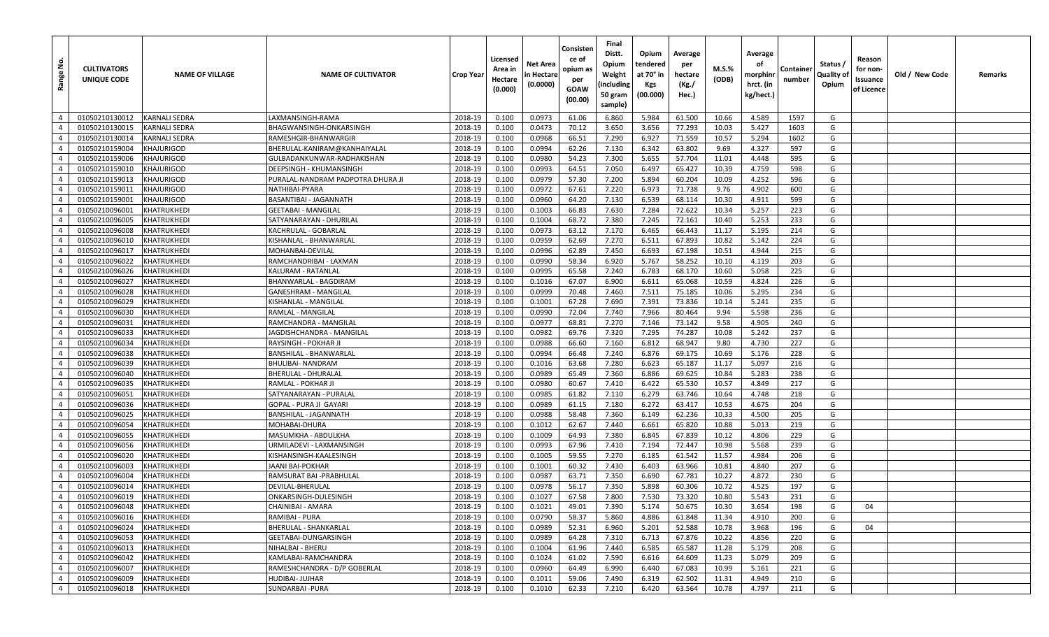| غ<br>Range                       | <b>CULTIVATORS</b><br>UNIQUE CODE | <b>NAME OF VILLAGE</b>            | <b>NAME OF CULTIVATOR</b>                  | <b>Crop Year</b>   | Licensed<br>Area in<br>Hectare<br>(0.000) | Net Area<br>in Hectare<br>(0.0000) | Consisten<br>ce of<br>opium as<br>per<br>GOAW<br>(00.00) | Final<br>Distt.<br>Opium<br>Weight<br>(including<br>50 gram<br>sample) | Opium<br>tendered<br>at 70° in<br>Kgs<br>(00.000) | Average<br>per<br>hectare<br>(Kg./<br>Hec.) | M.S.%<br>(ODB) | Average<br>οf<br>morphinr<br>hrct. (in<br>kg/hect.) | Container<br>number | Status /<br>Quality of<br>Opium | Reason<br>for non-<br>Issuance<br>of Licence | Old / New Code | Remarks |
|----------------------------------|-----------------------------------|-----------------------------------|--------------------------------------------|--------------------|-------------------------------------------|------------------------------------|----------------------------------------------------------|------------------------------------------------------------------------|---------------------------------------------------|---------------------------------------------|----------------|-----------------------------------------------------|---------------------|---------------------------------|----------------------------------------------|----------------|---------|
| $\overline{4}$                   | 01050210130012                    | <b>KARNALI SEDRA</b>              | LAXMANSINGH-RAMA                           | 2018-19            | 0.100                                     | 0.0973                             | 61.06                                                    | 6.860                                                                  | 5.984                                             | 61.500                                      | 10.66          | 4.589                                               | 1597                | G                               |                                              |                |         |
| $\overline{4}$                   | 01050210130015                    | KARNALI SEDRA                     | BHAGWANSINGH-ONKARSINGH                    | 2018-19            | 0.100                                     | 0.0473                             | 70.12                                                    | 3.650                                                                  | 3.656                                             | 77.293                                      | 10.03          | 5.427                                               | 1603                | G                               |                                              |                |         |
| $\overline{4}$                   | 01050210130014                    | KARNALI SEDRA                     | RAMESHGIR-BHANWARGIF                       | 2018-19            | 0.100                                     | 0.0968                             | 66.51                                                    | 7.290                                                                  | 6.927                                             | 71.559                                      | 10.57          | 5.294                                               | 1602                | G                               |                                              |                |         |
| $\overline{4}$                   | 01050210159004                    | KHAJURIGOD                        | BHERULAL-KANIRAM@KANHAIYALAL               | 2018-19            | 0.100                                     | 0.0994                             | 62.26                                                    | 7.130                                                                  | 6.342                                             | 63.802                                      | 9.69           | 4.327                                               | 597                 | G                               |                                              |                |         |
| $\overline{4}$                   | 01050210159006                    | KHAJURIGOD                        | GULBADANKUNWAR-RADHAKISHAN                 | 2018-19            | 0.100                                     | 0.0980                             | 54.23                                                    | 7.300                                                                  | 5.655                                             | 57.704                                      | 11.01          | 4.448                                               | 595                 | G                               |                                              |                |         |
| $\overline{4}$                   | 01050210159010                    | KHAJURIGOD                        | DEEPSINGH - KHUMANSINGH                    | 2018-19            | 0.100                                     | 0.0993                             | 64.51                                                    | 7.050                                                                  | 6.497                                             | 65.427                                      | 10.39          | 4.759                                               | 598                 | G                               |                                              |                |         |
| $\overline{4}$                   | 01050210159013                    | KHAJURIGOD                        | PURALAL-NANDRAM PADPOTRA DHURA JI          | 2018-19            | 0.100                                     | 0.0979                             | 57.30                                                    | 7.200                                                                  | 5.894                                             | 60.204                                      | 10.09          | 4.252                                               | 596                 | G                               |                                              |                |         |
| $\overline{4}$                   | 01050210159011                    | <b>KHAJURIGOD</b>                 | NATHIBAI-PYARA                             | 2018-19            | 0.100                                     | 0.0972                             | 67.61                                                    | 7.220                                                                  | 6.973                                             | 71.738                                      | 9.76           | 4.902                                               | 600                 | G                               |                                              |                |         |
| $\overline{4}$                   | 01050210159001                    | KHAJURIGOD                        | BASANTIBAI - JAGANNATH                     | 2018-19            | 0.100                                     | 0.0960                             | 64.20                                                    | 7.130                                                                  | 6.539                                             | 68.114                                      | 10.30          | 4.911                                               | 599                 | G                               |                                              |                |         |
| $\overline{4}$                   | 01050210096001                    | KHATRUKHEDI                       | GEETABAI - MANGILAL                        | 2018-19            | 0.100                                     | 0.1003                             | 66.83                                                    | 7.630                                                                  | 7.284                                             | 72.622                                      | 10.34          | 5.257                                               | 223                 | G                               |                                              |                |         |
| $\overline{4}$                   | 01050210096005                    | KHATRUKHEDI                       | SATYANARAYAN - DHURILAL                    | 2018-19            | 0.100                                     | 0.1004                             | 68.72                                                    | 7.380                                                                  | 7.245                                             | 72.161                                      | 10.40          | 5.253                                               | 233                 | G                               |                                              |                |         |
| $\overline{4}$                   | 01050210096008                    | KHATRUKHEDI                       | KACHRULAL - GOBARLAI                       | 2018-19            | 0.100                                     | 0.0973                             | 63.12                                                    | 7.170                                                                  | 6.465                                             | 66.443                                      | 11.17          | 5.195                                               | 214                 | G                               |                                              |                |         |
| $\overline{4}$                   | 01050210096010                    | KHATRUKHEDI                       | KISHANLAL - BHANWARLAL                     | 2018-19            | 0.100                                     | 0.0959                             | 62.69                                                    | 7.270                                                                  | 6.511                                             | 67.893                                      | 10.82          | 5.142                                               | 224                 | G                               |                                              |                |         |
| $\overline{4}$                   | 01050210096017                    | KHATRUKHEDI                       | MOHANBAI-DEVILAL                           | 2018-19            | 0.100                                     | 0.0996                             | 62.89                                                    | 7.450                                                                  | 6.693                                             | 67.198                                      | 10.51          | 4.944                                               | 215                 | G                               |                                              |                |         |
| $\overline{4}$                   | 01050210096022                    | KHATRUKHEDI                       | RAMCHANDRIBAI - LAXMAN                     | 2018-19            | 0.100                                     | 0.0990                             | 58.34                                                    | 6.920                                                                  | 5.767                                             | 58.252                                      | 10.10          | 4.119                                               | 203                 | G                               |                                              |                |         |
| $\overline{4}$                   | 01050210096026                    | KHATRUKHEDI                       | KALURAM - RATANLAL                         | 2018-19            | 0.100                                     | 0.0995                             | 65.58                                                    | 7.240                                                                  | 6.783                                             | 68.170                                      | 10.60          | 5.058                                               | 225                 | G                               |                                              |                |         |
| $\overline{4}$                   | 01050210096027                    | KHATRUKHEDI                       | BHANWARLAL - BAGDIRAM                      | 2018-19            | 0.100                                     | 0.1016                             | 67.07                                                    | 6.900                                                                  | 6.611                                             | 65.068                                      | 10.59          | 4.824                                               | 226                 | G                               |                                              |                |         |
| $\overline{4}$                   | 01050210096028                    | KHATRUKHEDI                       | GANESHRAM - MANGILAL                       | 2018-19            | 0.100                                     | 0.0999                             | 70.48                                                    | 7.460                                                                  | 7.511                                             | 75.185                                      | 10.06          | 5.295                                               | 234                 | G                               |                                              |                |         |
| $\overline{4}$                   | 01050210096029                    | KHATRUKHEDI                       | KISHANLAL - MANGILAL                       | 2018-19            | 0.100                                     | 0.1001                             | 67.28                                                    | 7.690                                                                  | 7.391                                             | 73.836                                      | 10.14          | 5.241                                               | 235                 | G                               |                                              |                |         |
| $\overline{4}$                   | 01050210096030                    | KHATRUKHEDI                       | RAMLAL - MANGILAL                          | 2018-19            | 0.100                                     | 0.0990                             | 72.04                                                    | 7.740                                                                  | 7.966                                             | 80.464                                      | 9.94           | 5.598                                               | 236                 | G                               |                                              |                |         |
| $\overline{4}$                   | 01050210096031                    | KHATRUKHEDI                       | RAMCHANDRA - MANGILAL                      | 2018-19            | 0.100                                     | 0.0977                             | 68.81                                                    | 7.270                                                                  | 7.146                                             | 73.142                                      | 9.58           | 4.905                                               | 240                 | G                               |                                              |                |         |
| $\overline{4}$                   | 01050210096033                    | KHATRUKHEDI                       | JAGDISHCHANDRA - MANGILAL                  | 2018-19            | 0.100                                     | 0.0982                             | 69.76                                                    | 7.320                                                                  | 7.295                                             | 74.287                                      | 10.08          | 5.242                                               | 237                 | G                               |                                              |                |         |
| $\overline{4}$                   | 01050210096034                    | KHATRUKHEDI                       | RAYSINGH - POKHAR JI                       | 2018-19            | 0.100                                     | 0.0988                             | 66.60                                                    | 7.160                                                                  | 6.812                                             | 68.947                                      | 9.80           | 4.730                                               | 227                 | G                               |                                              |                |         |
| $\overline{4}$                   | 01050210096038                    | KHATRUKHEDI                       | BANSHILAL - BHANWARLAL                     | 2018-19            | 0.100                                     | 0.0994                             | 66.48                                                    | 7.240                                                                  | 6.876                                             | 69.175                                      | 10.69          | 5.176                                               | 228                 | G                               |                                              |                |         |
| $\overline{4}$                   | 01050210096039                    | KHATRUKHEDI                       | BHULIBAI- NANDRAM                          | 2018-19            | 0.100                                     | 0.1016                             | 63.68                                                    | 7.280                                                                  | 6.623                                             | 65.187                                      | 11.17          | 5.097                                               | 216                 | G                               |                                              |                |         |
| $\overline{4}$                   | 01050210096040                    | KHATRUKHEDI                       | BHERULAL - DHURALAI                        | 2018-19            | 0.100                                     | 0.0989                             | 65.49                                                    | 7.360                                                                  | 6.886                                             | 69.625                                      | 10.84          | 5.283                                               | 238                 | G                               |                                              |                |         |
| $\overline{4}$                   | 01050210096035                    | KHATRUKHEDI                       | RAMLAL - POKHAR JI                         | 2018-19            | 0.100                                     | 0.0980                             | 60.67                                                    | 7.410                                                                  | 6.422                                             | 65.530                                      | 10.57          | 4.849                                               | 217                 | G                               |                                              |                |         |
| $\overline{4}$                   | 01050210096051                    | KHATRUKHEDI                       | SATYANARAYAN - PURALAL                     | 2018-19            | 0.100                                     | 0.0985                             | 61.82                                                    | 7.110                                                                  | 6.279                                             | 63.746                                      | 10.64          | 4.748                                               | 218                 | G                               |                                              |                |         |
| $\overline{4}$                   | 01050210096036                    | KHATRUKHEDI                       | GOPAL - PURA JI  GAYARI                    | 2018-19            | 0.100                                     | 0.0989                             | 61.15                                                    | 7.180                                                                  | 6.272                                             | 63.417                                      | 10.53          | 4.675                                               | 204                 | G                               |                                              |                |         |
| $\overline{4}$                   | 01050210096025                    | KHATRUKHEDI                       | BANSHILAL - JAGANNATH                      | 2018-19            | 0.100                                     | 0.0988                             | 58.48                                                    | 7.360                                                                  | 6.149                                             | 62.236                                      | 10.33          | 4.500                                               | 205                 | G                               |                                              |                |         |
| $\overline{4}$                   | 01050210096054                    | KHATRUKHEDI                       | MOHABAI-DHURA                              | 2018-19            | 0.100                                     | 0.1012                             | 62.67                                                    | 7.440                                                                  | 6.661                                             | 65.820                                      | 10.88          | 5.013                                               | 219                 | G                               |                                              |                |         |
| $\overline{4}$<br>$\overline{4}$ | 01050210096055                    | KHATRUKHEDI<br><b>KHATRUKHEDI</b> | MASUMKHA - ABDULKHA                        | 2018-19            | 0.100                                     | 0.1009                             | 64.93                                                    | 7.380                                                                  | 6.845                                             | 67.839<br>72.447                            | 10.12          | 4.806                                               | 229<br>239          | G<br>G                          |                                              |                |         |
| $\overline{4}$                   | 01050210096056                    |                                   | JRMILADEVI - LAXMANSINGH                   | 2018-19            | 0.100                                     | 0.0993                             | 67.96                                                    | 7.410                                                                  | 7.194                                             |                                             | 10.98<br>11.57 | 5.568                                               | 206                 | G                               |                                              |                |         |
| $\overline{4}$                   | 01050210096020                    | KHATRUKHEDI                       | KISHANSINGH-KAALESINGH<br>IAANI BAI-POKHAR | 2018-19            | 0.100                                     | 0.1005                             | 59.55                                                    | 7.270<br>7.430                                                         | 6.185<br>6.403                                    | 61.542<br>63.966                            | 10.81          | 4.984                                               | 207                 | G                               |                                              |                |         |
| $\overline{4}$                   | 01050210096003<br>01050210096004  | KHATRUKHEDI<br>KHATRUKHEDI        | RAMSURAT BAI -PRABHULAL                    | 2018-19<br>2018-19 | 0.100<br>0.100                            | 0.1001<br>0.0987                   | 60.32<br>63.71                                           | 7.350                                                                  | 6.690                                             | 67.781                                      | 10.27          | 4.840<br>4.872                                      | 230                 | G                               |                                              |                |         |
| $\overline{4}$                   | 01050210096014                    | KHATRUKHEDI                       | DEVILAL-BHERULAL                           | 2018-19            | 0.100                                     | 0.0978                             | 56.17                                                    | 7.350                                                                  | 5.898                                             | 60.306                                      | 10.72          | 4.525                                               | 197                 | G                               |                                              |                |         |
| $\overline{4}$                   | 01050210096019                    | KHATRUKHEDI                       | ONKARSINGH-DULESINGH                       | 2018-19            | 0.100                                     | 0.1027                             | 67.58                                                    | 7.800                                                                  | 7.530                                             | 73.320                                      | 10.80          | 5.543                                               | 231                 | G                               |                                              |                |         |
| $4 \mid$                         | 01050210096048                    | KHATRUKHEDI                       | CHAINIBAI - AMARA                          | 2018-19            | 0.100                                     | 0.1021                             | 49.01                                                    | 7.390                                                                  | 5.174                                             | 50.675                                      | 10.30          | 3.654                                               | 198                 | G                               | 04                                           |                |         |
| $\overline{4}$                   | 01050210096016                    | KHATRUKHEDI                       | RAMIBAI - PURA                             | 2018-19            | 0.100                                     | 0.0790                             | 58.37                                                    | 5.860                                                                  | 4.886                                             | 61.848                                      | 11.34          | 4.910                                               | 200                 | G                               |                                              |                |         |
| $\overline{4}$                   | 01050210096024                    | KHATRUKHEDI                       | BHERULAL - SHANKARLAL                      | 2018-19            | 0.100                                     | 0.0989                             | 52.31                                                    | 6.960                                                                  | 5.201                                             | 52.588                                      | 10.78          | 3.968                                               | 196                 | G                               | 04                                           |                |         |
| $\sim$ 4                         | 01050210096053                    | KHATRUKHEDI                       | GEETABAI-DUNGARSINGH                       | 2018-19            | 0.100                                     | 0.0989                             | 64.28                                                    | 7.310                                                                  | 6.713                                             | 67.876                                      | 10.22          | 4.856                                               | 220                 | G                               |                                              |                |         |
| $\overline{4}$                   | 01050210096013                    | KHATRUKHEDI                       | NIHALBAI - BHERU                           | 2018-19            | 0.100                                     | 0.1004                             | 61.96                                                    | 7.440                                                                  | 6.585                                             | 65.587                                      | 11.28          | 5.179                                               | 208                 | G                               |                                              |                |         |
| $\overline{4}$                   | 01050210096042                    | KHATRUKHEDI                       | KAMLABAI-RAMCHANDRA                        | 2018-19            | 0.100                                     | 0.1024                             | 61.02                                                    | 7.590                                                                  | 6.616                                             | 64.609                                      | 11.23          | 5.079                                               | 209                 | G                               |                                              |                |         |
| $\overline{4}$                   | 01050210096007                    | KHATRUKHEDI                       | RAMESHCHANDRA - D/P GOBERLAL               | 2018-19            | 0.100                                     | 0.0960                             | 64.49                                                    | 6.990                                                                  | 6.440                                             | 67.083                                      | 10.99          | 5.161                                               | 221                 | G                               |                                              |                |         |
| $\overline{4}$                   | 01050210096009                    | KHATRUKHEDI                       | HUDIBAI- JUJHAR                            | 2018-19            | 0.100                                     | 0.1011                             | 59.06                                                    | 7.490                                                                  | 6.319                                             | 62.502                                      | 11.31          | 4.949                                               | 210                 | G                               |                                              |                |         |
| $\overline{4}$                   | 01050210096018                    | KHATRUKHEDI                       | SUNDARBAI-PURA                             | 2018-19            | 0.100                                     | 0.1010                             | 62.33                                                    | 7.210                                                                  | 6.420                                             | 63.564                                      | 10.78          | 4.797                                               | 211                 | G                               |                                              |                |         |
|                                  |                                   |                                   |                                            |                    |                                           |                                    |                                                          |                                                                        |                                                   |                                             |                |                                                     |                     |                                 |                                              |                |         |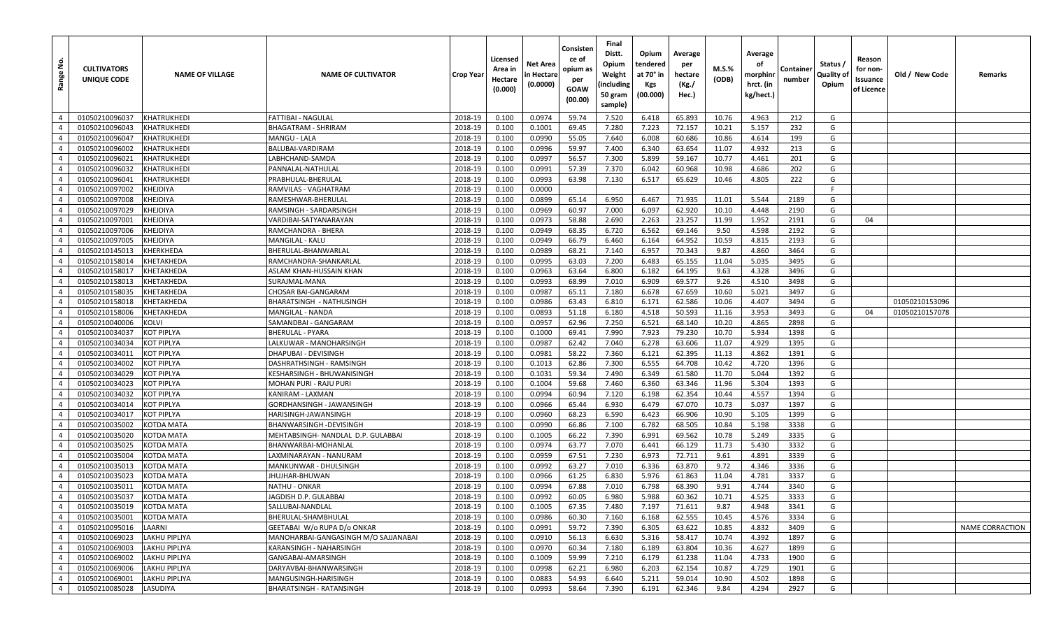| Range No.      | <b>CULTIVATORS</b><br>UNIQUE CODE | <b>NAME OF VILLAGE</b> | <b>NAME OF CULTIVATOR</b>            | <b>Crop Year</b> | Licensed<br>Area in<br>Hectare<br>(0.000) | Net Area<br>n Hectare<br>(0.0000) | Consisten<br>ce of<br>opium as<br>per<br>GOAW<br>(00.00) | Final<br>Distt.<br>Opium<br>Weight<br>(including<br>50 gram<br>sample) | Opium<br>tendered<br>at 70° in<br>Kgs<br>(00.000) | Average<br>per<br>hectare<br>(Kg./<br>Hec.) | M.S.%<br>(ODB) | Average<br>оf<br>morphinr<br>hrct. (in<br>kg/hect.) | Container<br>number | Status /<br><b>Quality of</b><br>Opium | Reason<br>for non-<br>ssuance<br>of Licence | Old / New Code | Remarks         |
|----------------|-----------------------------------|------------------------|--------------------------------------|------------------|-------------------------------------------|-----------------------------------|----------------------------------------------------------|------------------------------------------------------------------------|---------------------------------------------------|---------------------------------------------|----------------|-----------------------------------------------------|---------------------|----------------------------------------|---------------------------------------------|----------------|-----------------|
| $\overline{4}$ | 01050210096037                    | KHATRUKHEDI            | <b>FATTIBAI - NAGULAL</b>            | 2018-19          | 0.100                                     | 0.0974                            | 59.74                                                    | 7.520                                                                  | 6.418                                             | 65.893                                      | 10.76          | 4.963                                               | 212                 | G                                      |                                             |                |                 |
| $\overline{4}$ | 01050210096043                    | KHATRUKHEDI            | BHAGATRAM - SHRIRAM                  | 2018-19          | 0.100                                     | 0.1001                            | 69.45                                                    | 7.280                                                                  | 7.223                                             | 72.157                                      | 10.21          | 5.157                                               | 232                 | G                                      |                                             |                |                 |
| $\overline{4}$ | 01050210096047                    | KHATRUKHEDI            | MANGU - LALA                         | 2018-19          | 0.100                                     | 0.0990                            | 55.05                                                    | 7.640                                                                  | 6.008                                             | 60.686                                      | 10.86          | 4.614                                               | 199                 | G                                      |                                             |                |                 |
| $\overline{4}$ | 01050210096002                    | KHATRUKHEDI            | BALUBAI-VARDIRAM                     | 2018-19          | 0.100                                     | 0.0996                            | 59.97                                                    | 7.400                                                                  | 6.340                                             | 63.654                                      | 11.07          | 4.932                                               | 213                 | G                                      |                                             |                |                 |
| $\overline{4}$ | 01050210096021                    | <b>KHATRUKHEDI</b>     | LABHCHAND-SAMDA                      | 2018-19          | 0.100                                     | 0.0997                            | 56.57                                                    | 7.300                                                                  | 5.899                                             | 59.167                                      | 10.77          | 4.461                                               | 201                 | G                                      |                                             |                |                 |
| $\overline{4}$ | 01050210096032                    | KHATRUKHEDI            | PANNALAL-NATHULAL                    | 2018-19          | 0.100                                     | 0.0991                            | 57.39                                                    | 7.370                                                                  | 6.042                                             | 60.968                                      | 10.98          | 4.686                                               | 202                 | G                                      |                                             |                |                 |
| $\overline{4}$ | 01050210096041                    | <b>KHATRUKHEDI</b>     | PRABHULAL-BHERULAL                   | 2018-19          | 0.100                                     | 0.0993                            | 63.98                                                    | 7.130                                                                  | 6.517                                             | 65.629                                      | 10.46          | 4.805                                               | 222                 | G                                      |                                             |                |                 |
| $\overline{4}$ | 01050210097002                    | KHEJDIYA               | RAMVILAS - VAGHATRAM                 | 2018-19          | 0.100                                     | 0.0000                            |                                                          |                                                                        |                                                   |                                             |                |                                                     |                     | F.                                     |                                             |                |                 |
| $\overline{4}$ | 01050210097008                    | KHEJDIYA               | RAMESHWAR-BHERULAL                   | 2018-19          | 0.100                                     | 0.0899                            | 65.14                                                    | 6.950                                                                  | 6.467                                             | 71.935                                      | 11.01          | 5.544                                               | 2189                | G                                      |                                             |                |                 |
| $\overline{4}$ | 01050210097029                    | KHEJDIYA               | RAMSINGH - SARDARSINGH               | 2018-19          | 0.100                                     | 0.0969                            | 60.97                                                    | 7.000                                                                  | 6.097                                             | 62.920                                      | 10.10          | 4.448                                               | 2190                | G                                      |                                             |                |                 |
| $\overline{4}$ | 01050210097001                    | KHEJDIYA               | VARDIBAI-SATYANARAYAN                | 2018-19          | 0.100                                     | 0.0973                            | 58.88                                                    | 2.690                                                                  | 2.263                                             | 23.257                                      | 11.99          | 1.952                                               | 2191                | G                                      | 04                                          |                |                 |
| $\overline{4}$ | 01050210097006                    | KHEJDIYA               | RAMCHANDRA - BHERA                   | 2018-19          | 0.100                                     | 0.0949                            | 68.35                                                    | 6.720                                                                  | 6.562                                             | 69.146                                      | 9.50           | 4.598                                               | 2192                | G                                      |                                             |                |                 |
| $\overline{4}$ | 01050210097005                    | KHEJDIYA               | MANGILAL - KALU                      | 2018-19          | 0.100                                     | 0.0949                            | 66.79                                                    | 6.460                                                                  | 6.164                                             | 64.952                                      | 10.59          | 4.815                                               | 2193                | G                                      |                                             |                |                 |
| $\overline{4}$ | 01050210145013                    | KHERKHEDA              | BHERULAL-BHANWARLAL                  | 2018-19          | 0.100                                     | 0.0989                            | 68.21                                                    | 7.140                                                                  | 6.957                                             | 70.343                                      | 9.87           | 4.860                                               | 3464                | G                                      |                                             |                |                 |
| $\overline{4}$ | 01050210158014                    | KHETAKHEDA             | RAMCHANDRA-SHANKARLAL                | 2018-19          | 0.100                                     | 0.0995                            | 63.03                                                    | 7.200                                                                  | 6.483                                             | 65.155                                      | 11.04          | 5.035                                               | 3495                | G                                      |                                             |                |                 |
| $\overline{4}$ | 01050210158017                    | KHETAKHEDA             | ASLAM KHAN-HUSSAIN KHAN              | 2018-19          | 0.100                                     | 0.0963                            | 63.64                                                    | 6.800                                                                  | 6.182                                             | 64.195                                      | 9.63           | 4.328                                               | 3496                | G                                      |                                             |                |                 |
| $\overline{4}$ | 01050210158013                    | KHETAKHEDA             | SURAJMAL-MANA                        | 2018-19          | 0.100                                     | 0.0993                            | 68.99                                                    | 7.010                                                                  | 6.909                                             | 69.577                                      | 9.26           | 4.510                                               | 3498                | G                                      |                                             |                |                 |
| $\overline{4}$ | 01050210158035                    | KHETAKHEDA             | CHOSAR BAI-GANGARAM                  | 2018-19          | 0.100                                     | 0.0987                            | 65.11                                                    | 7.180                                                                  | 6.678                                             | 67.659                                      | 10.60          | 5.021                                               | 3497                | G                                      |                                             |                |                 |
| $\overline{4}$ | 01050210158018                    | KHETAKHEDA             | BHARATSINGH - NATHUSINGH             | 2018-19          | 0.100                                     | 0.0986                            | 63.43                                                    | 6.810                                                                  | 6.171                                             | 62.586                                      | 10.06          | 4.407                                               | 3494                | G                                      |                                             | 01050210153096 |                 |
| $\overline{4}$ | 01050210158006                    | KHETAKHEDA             | MANGILAL - NANDA                     | 2018-19          | 0.100                                     | 0.0893                            | 51.18                                                    | 6.180                                                                  | 4.518                                             | 50.593                                      | 11.16          | 3.953                                               | 3493                | G                                      | 04                                          | 01050210157078 |                 |
| $\overline{4}$ | 01050210040006                    | KOLVI                  | SAMANDBAI - GANGARAM                 | 2018-19          | 0.100                                     | 0.0957                            | 62.96                                                    | 7.250                                                                  | 6.521                                             | 68.140                                      | 10.20          | 4.865                                               | 2898                | G                                      |                                             |                |                 |
| $\overline{4}$ | 01050210034037                    | <b>KOT PIPLYA</b>      | <b>BHERULAL - PYARA</b>              | 2018-19          | 0.100                                     | 0.1000                            | 69.41                                                    | 7.990                                                                  | 7.923                                             | 79.230                                      | 10.70          | 5.934                                               | 1398                | G                                      |                                             |                |                 |
| $\overline{4}$ | 01050210034034                    | <b>KOT PIPLYA</b>      | LALKUWAR - MANOHARSINGH              | 2018-19          | 0.100                                     | 0.0987                            | 62.42                                                    | 7.040                                                                  | 6.278                                             | 63.606                                      | 11.07          | 4.929                                               | 1395                | G                                      |                                             |                |                 |
| $\overline{4}$ | 01050210034011                    | <b>KOT PIPLYA</b>      | DHAPUBAI - DEVISINGH                 | 2018-19          | 0.100                                     | 0.0981                            | 58.22                                                    | 7.360                                                                  | 6.121                                             | 62.395                                      | 11.13          | 4.862                                               | 1391                | G                                      |                                             |                |                 |
| $\overline{4}$ | 01050210034002                    | <b>KOT PIPLYA</b>      | DASHRATHSINGH - RAMSINGH             | 2018-19          | 0.100                                     | 0.1013                            | 62.86                                                    | 7.300                                                                  | 6.555                                             | 64.708                                      | 10.42          | 4.720                                               | 1396                | G                                      |                                             |                |                 |
| $\overline{4}$ | 01050210034029                    | <b>KOT PIPLYA</b>      | KESHARSINGH - BHUWANISINGH           | 2018-19          | 0.100                                     | 0.1031                            | 59.34                                                    | 7.490                                                                  | 6.349                                             | 61.580                                      | 11.70          | 5.044                                               | 1392                | G                                      |                                             |                |                 |
| $\overline{4}$ | 01050210034023                    | <b>KOT PIPLYA</b>      | MOHAN PURI - RAJU PURI               | 2018-19          | 0.100                                     | 0.1004                            | 59.68                                                    | 7.460                                                                  | 6.360                                             | 63.346                                      | 11.96          | 5.304                                               | 1393                | G                                      |                                             |                |                 |
| $\overline{4}$ | 01050210034032                    | <b>KOT PIPLYA</b>      | KANIRAM - LAXMAN                     | 2018-19          | 0.100                                     | 0.0994                            | 60.94                                                    | 7.120                                                                  | 6.198                                             | 62.354                                      | 10.44          | 4.557                                               | 1394                | G                                      |                                             |                |                 |
| $\overline{4}$ | 01050210034014                    | KOT PIPLYA             | GORDHANSINGH - JAWANSINGH            | 2018-19          | 0.100                                     | 0.0966                            | 65.44                                                    | 6.930                                                                  | 6.479                                             | 67.070                                      | 10.73          | 5.037                                               | 1397                | G                                      |                                             |                |                 |
| $\overline{4}$ | 01050210034017                    | <b>KOT PIPLYA</b>      | HARISINGH-JAWANSINGH                 | 2018-19          | 0.100                                     | 0.0960                            | 68.23                                                    | 6.590                                                                  | 6.423                                             | 66.906                                      | 10.90          | 5.105                                               | 1399                | G                                      |                                             |                |                 |
| $\overline{4}$ | 01050210035002                    | <b>KOTDA MATA</b>      | BHANWARSINGH - DEVISINGH             | 2018-19          | 0.100                                     | 0.0990                            | 66.86                                                    | 7.100                                                                  | 6.782                                             | 68.505                                      | 10.84          | 5.198                                               | 3338                | G                                      |                                             |                |                 |
| $\overline{4}$ | 01050210035020                    | <b>KOTDA MATA</b>      | MEHTABSINGH- NANDLAL D.P. GULABBAI   | 2018-19          | 0.100                                     | 0.1005                            | 66.22                                                    | 7.390                                                                  | 6.991                                             | 69.562                                      | 10.78          | 5.249                                               | 3335                | G                                      |                                             |                |                 |
| $\overline{4}$ | 01050210035025                    | <b>KOTDA MATA</b>      | BHANWARBAI-MOHANLAL                  | 2018-19          | 0.100                                     | 0.0974                            | 63.77                                                    | 7.070                                                                  | 6.441                                             | 66.129                                      | 11.73          | 5.430                                               | 3332                | G                                      |                                             |                |                 |
| $\overline{4}$ | 01050210035004                    | KOTDA MATA             | LAXMINARAYAN - NANURAM               | 2018-19          | 0.100                                     | 0.0959                            | 67.51                                                    | 7.230                                                                  | 6.973                                             | 72.711                                      | 9.61           | 4.891                                               | 3339                | G                                      |                                             |                |                 |
| $\overline{4}$ | 01050210035013                    | <b>KOTDA MATA</b>      | MANKUNWAR - DHULSINGH                | 2018-19          | 0.100                                     | 0.0992                            | 63.27                                                    | 7.010                                                                  | 6.336                                             | 63.870                                      | 9.72           | 4.346                                               | 3336                | G                                      |                                             |                |                 |
| $\overline{4}$ | 01050210035023                    | KOTDA MATA             | IHUJHAR-BHUWAN                       | 2018-19          | 0.100                                     | 0.0966                            | 61.25                                                    | 6.830                                                                  | 5.976                                             | 61.863                                      | 11.04          | 4.781                                               | 3337                | G                                      |                                             |                |                 |
| $\overline{4}$ | 01050210035011                    | KOTDA MATA             | <b>NATHU - ONKAR</b>                 | 2018-19          | 0.100                                     | 0.0994                            | 67.88                                                    | 7.010                                                                  | 6.798                                             | 68.390                                      | 9.91           | 4.744                                               | 3340                | G                                      |                                             |                |                 |
| $\overline{4}$ | 01050210035037                    | <b>KOTDA MATA</b>      | IAGDISH D.P. GULABBAI                | 2018-19          | 0.100                                     | 0.0992                            | 60.05                                                    | 6.980                                                                  | 5.988                                             | 60.362                                      | 10.71          | 4.525                                               | 3333                | G                                      |                                             |                |                 |
| $\overline{4}$ | 01050210035019                    | <b>KOTDA MATA</b>      | SALLUBAI-NANDLAL                     | 2018-19          | 0.100                                     | 0.1005                            | 67.35                                                    | 7.480                                                                  | 7.197                                             | 71.611                                      | 9.87           | 4.948                                               | 3341                | G                                      |                                             |                |                 |
| $\overline{4}$ | 01050210035001                    | <b>KOTDA MATA</b>      | BHERULAL-SHAMBHULAL                  | 2018-19          | 0.100                                     | 0.0986                            | 60.30                                                    | 7.160                                                                  | 6.168                                             | 62.555                                      | 10.45          | 4.576                                               | 3334                | G                                      |                                             |                |                 |
| $\overline{4}$ | 01050210095016                    | LAARNI                 | GEETABAI W/o RUPA D/o ONKAR          | 2018-19          | 0.100                                     | 0.0991                            | 59.72                                                    | 7.390                                                                  | 6.305                                             | 63.622                                      | 10.85          | 4.832                                               | 3409                | G                                      |                                             |                | NAME CORRACTION |
| $\overline{4}$ | 01050210069023                    | <b>LAKHU PIPLIYA</b>   | MANOHARBAI-GANGASINGH M/O SAJJANABAI | 2018-19          | 0.100                                     | 0.0910                            | 56.13                                                    | 6.630                                                                  | 5.316                                             | 58.417                                      | 10.74          | 4.392                                               | 1897                | G                                      |                                             |                |                 |
| $\overline{4}$ | 01050210069003                    | <b>LAKHU PIPLIYA</b>   | KARANSINGH - NAHARSINGH              | 2018-19          | 0.100                                     | 0.0970                            | 60.34                                                    | 7.180                                                                  | 6.189                                             | 63.804                                      | 10.36          | 4.627                                               | 1899                | G                                      |                                             |                |                 |
| $\overline{4}$ | 01050210069002                    | <b>LAKHU PIPLIYA</b>   | GANGABAI-AMARSINGH                   | 2018-19          | 0.100                                     | 0.1009                            | 59.99                                                    | 7.210                                                                  | 6.179                                             | 61.238                                      | 11.04          | 4.733                                               | 1900                | G                                      |                                             |                |                 |
| $\overline{4}$ | 01050210069006                    | <b>LAKHU PIPLIYA</b>   | DARYAVBAI-BHANWARSINGH               | 2018-19          | 0.100                                     | 0.0998                            | 62.21                                                    | 6.980                                                                  | 6.203                                             | 62.154                                      | 10.87          | 4.729                                               | 1901                | G                                      |                                             |                |                 |
| $\overline{4}$ | 01050210069001                    | <b>LAKHU PIPLIYA</b>   | MANGUSINGH-HARISINGH                 | 2018-19          | 0.100                                     | 0.0883                            | 54.93                                                    | 6.640                                                                  | 5.211                                             | 59.014                                      | 10.90          | 4.502                                               | 1898                | G                                      |                                             |                |                 |
| $\overline{4}$ | 01050210085028                    | LASUDIYA               | <b>BHARATSINGH - RATANSINGH</b>      | 2018-19          | 0.100                                     | 0.0993                            | 58.64                                                    | 7.390                                                                  | 6.191                                             | 62.346                                      | 9.84           | 4.294                                               | 2927                | G                                      |                                             |                |                 |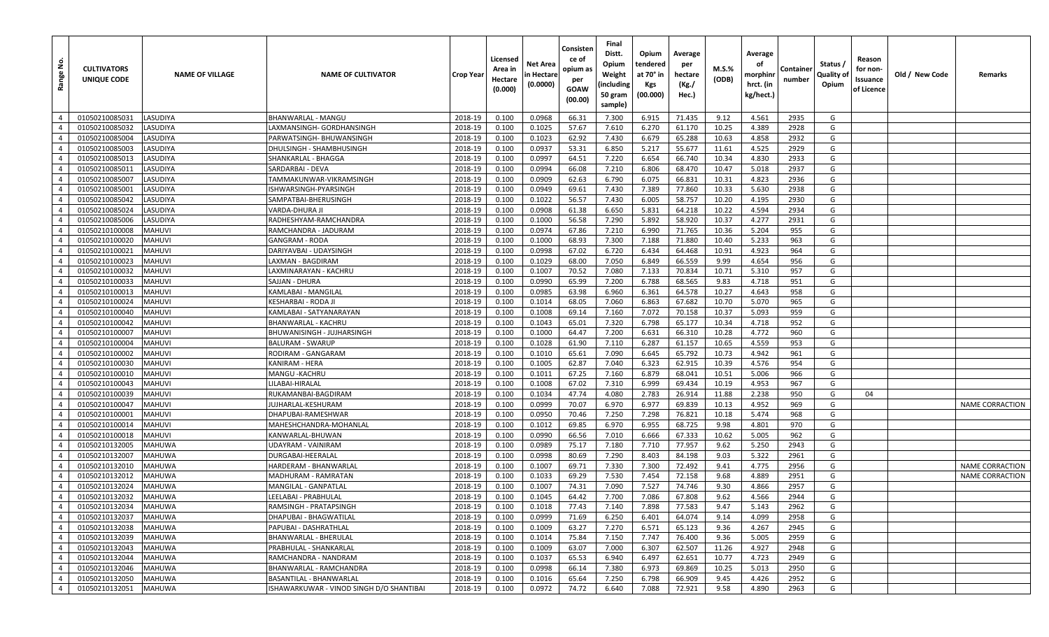| غ.<br>Range    | <b>CULTIVATORS</b><br>UNIQUE CODE | <b>NAME OF VILLAGE</b> | <b>NAME OF CULTIVATOR</b>                | <b>Crop Year</b> | Licensed<br>Area in<br>Hectare<br>(0.000) | Net Area<br>n Hectare<br>(0.0000) | Consisten<br>ce of<br>opium as<br>per<br>GOAW<br>(00.00) | Final<br>Distt.<br>Opium<br>Weight<br>(including<br>50 gram<br>sample) | Opium<br>tendered<br>at 70° in<br>Kgs<br>(00.000) | Average<br>per<br>hectare<br>(Kg./<br>Hec.) | M.S.%<br>(ODB) | Average<br>οf<br>morphinr<br>hrct. (in<br>kg/hect.) | Containe<br>number | Status /<br>Quality of<br>Opium | Reason<br>for non-<br>Issuance<br>of Licence | Old / New Code | Remarks                |
|----------------|-----------------------------------|------------------------|------------------------------------------|------------------|-------------------------------------------|-----------------------------------|----------------------------------------------------------|------------------------------------------------------------------------|---------------------------------------------------|---------------------------------------------|----------------|-----------------------------------------------------|--------------------|---------------------------------|----------------------------------------------|----------------|------------------------|
| $\overline{4}$ | 01050210085031                    | LASUDIYA               | <b>BHANWARLAL - MANGU</b>                | 2018-19          | 0.100                                     | 0.0968                            | 66.31                                                    | 7.300                                                                  | 6.915                                             | 71.435                                      | 9.12           | 4.561                                               | 2935               | G                               |                                              |                |                        |
| $\overline{4}$ | 01050210085032                    | LASUDIYA               | LAXMANSINGH- GORDHANSINGH                | 2018-19          | 0.100                                     | 0.1025                            | 57.67                                                    | 7.610                                                                  | 6.270                                             | 61.170                                      | 10.25          | 4.389                                               | 2928               | G                               |                                              |                |                        |
| $\overline{4}$ | 01050210085004                    | LASUDIYA               | PARWATSINGH- BHUWANSINGH                 | 2018-19          | 0.100                                     | 0.1023                            | 62.92                                                    | 7.430                                                                  | 6.679                                             | 65.288                                      | 10.63          | 4.858                                               | 2932               | G                               |                                              |                |                        |
| $\overline{4}$ | 01050210085003                    | LASUDIYA               | DHULSINGH - SHAMBHUSINGH                 | 2018-19          | 0.100                                     | 0.0937                            | 53.31                                                    | 6.850                                                                  | 5.217                                             | 55.677                                      | 11.61          | 4.525                                               | 2929               | G                               |                                              |                |                        |
| $\overline{4}$ | 01050210085013                    | LASUDIYA               | SHANKARLAL - BHAGGA                      | 2018-19          | 0.100                                     | 0.0997                            | 64.51                                                    | 7.220                                                                  | 6.654                                             | 66.740                                      | 10.34          | 4.830                                               | 2933               | G                               |                                              |                |                        |
| $\overline{4}$ | 01050210085011                    | LASUDIYA               | SARDARBAI - DEVA                         | 2018-19          | 0.100                                     | 0.0994                            | 66.08                                                    | 7.210                                                                  | 6.806                                             | 68.470                                      | 10.47          | 5.018                                               | 2937               | G                               |                                              |                |                        |
| $\overline{4}$ | 01050210085007                    | LASUDIYA               | TAMMAKUNWAR-VIKRAMSINGH                  | 2018-19          | 0.100                                     | 0.0909                            | 62.63                                                    | 6.790                                                                  | 6.075                                             | 66.831                                      | 10.31          | 4.823                                               | 2936               | G                               |                                              |                |                        |
| $\overline{4}$ | 01050210085001                    | LASUDIYA               | ISHWARSINGH-PYARSINGH                    | 2018-19          | 0.100                                     | 0.0949                            | 69.61                                                    | 7.430                                                                  | 7.389                                             | 77.860                                      | 10.33          | 5.630                                               | 2938               | G                               |                                              |                |                        |
| $\overline{4}$ | 01050210085042                    | LASUDIYA               | SAMPATBAI-BHERUSINGH                     | 2018-19          | 0.100                                     | 0.1022                            | 56.57                                                    | 7.430                                                                  | 6.005                                             | 58.757                                      | 10.20          | 4.195                                               | 2930               | G                               |                                              |                |                        |
| $\overline{4}$ | 01050210085024                    | LASUDIYA               | VARDA-DHURA JI                           | 2018-19          | 0.100                                     | 0.0908                            | 61.38                                                    | 6.650                                                                  | 5.831                                             | 64.218                                      | 10.22          | 4.594                                               | 2934               | G                               |                                              |                |                        |
| $\overline{4}$ | 01050210085006                    | LASUDIYA               | RADHESHYAM-RAMCHANDRA                    | 2018-19          | 0.100                                     | 0.1000                            | 56.58                                                    | 7.290                                                                  | 5.892                                             | 58.920                                      | 10.37          | 4.277                                               | 2931               | G                               |                                              |                |                        |
| $\overline{4}$ | 01050210100008                    | <b>MAHUVI</b>          | RAMCHANDRA - JADURAM                     | 2018-19          | 0.100                                     | 0.0974                            | 67.86                                                    | 7.210                                                                  | 6.990                                             | 71.765                                      | 10.36          | 5.204                                               | 955                | G                               |                                              |                |                        |
| $\overline{4}$ | 01050210100020                    | <b>MAHUVI</b>          | <b>GANGRAM - RODA</b>                    | 2018-19          | 0.100                                     | 0.1000                            | 68.93                                                    | 7.300                                                                  | 7.188                                             | 71.880                                      | 10.40          | 5.233                                               | 963                | G                               |                                              |                |                        |
| $\overline{4}$ | 01050210100021                    | <b>MAHUVI</b>          | DARIYAVBAI - UDAYSINGH                   | 2018-19          | 0.100                                     | 0.0998                            | 67.02                                                    | 6.720                                                                  | 6.434                                             | 64.468                                      | 10.91          | 4.923                                               | 964                | G                               |                                              |                |                        |
| $\overline{4}$ | 01050210100023                    | <b>MAHUVI</b>          | LAXMAN - BAGDIRAM                        | 2018-19          | 0.100                                     | 0.1029                            | 68.00                                                    | 7.050                                                                  | 6.849                                             | 66.559                                      | 9.99           | 4.654                                               | 956                | G                               |                                              |                |                        |
| $\overline{4}$ | 01050210100032                    | <b>MAHUVI</b>          | AXMINARAYAN - KACHRU                     | 2018-19          | 0.100                                     | 0.1007                            | 70.52                                                    | 7.080                                                                  | 7.133                                             | 70.834                                      | 10.71          | 5.310                                               | 957                | G                               |                                              |                |                        |
| $\overline{4}$ | 01050210100033                    | <b>MAHUVI</b>          | SAJJAN - DHURA                           | 2018-19          | 0.100                                     | 0.0990                            | 65.99                                                    | 7.200                                                                  | 6.788                                             | 68.565                                      | 9.83           | 4.718                                               | 951                | G                               |                                              |                |                        |
| $\overline{4}$ | 01050210100013                    | <b>MAHUVI</b>          | KAMLABAI - MANGILAL                      | 2018-19          | 0.100                                     | 0.0985                            | 63.98                                                    | 6.960                                                                  | 6.361                                             | 64.578                                      | 10.27          | 4.643                                               | 958                | G                               |                                              |                |                        |
| $\overline{4}$ | 01050210100024                    | <b>MAHUVI</b>          | KESHARBAI - RODA JI                      | 2018-19          | 0.100                                     | 0.1014                            | 68.05                                                    | 7.060                                                                  | 6.863                                             | 67.682                                      | 10.70          | 5.070                                               | 965                | G                               |                                              |                |                        |
| $\overline{4}$ | 01050210100040                    | <b>MAHUVI</b>          | KAMLABAI - SATYANARAYAN                  | 2018-19          | 0.100                                     | 0.1008                            | 69.14                                                    | 7.160                                                                  | 7.072                                             | 70.158                                      | 10.37          | 5.093                                               | 959                | G                               |                                              |                |                        |
| $\overline{4}$ | 01050210100042                    | <b>MAHUVI</b>          | BHANWARLAL - KACHRU                      | 2018-19          | 0.100                                     | 0.1043                            | 65.01                                                    | 7.320                                                                  | 6.798                                             | 65.177                                      | 10.34          | 4.718                                               | 952                | G                               |                                              |                |                        |
| $\overline{4}$ | 01050210100007                    | <b>MAHUVI</b>          | <b>BHUWANISINGH - JUJHARSINGH</b>        | 2018-19          | 0.100                                     | 0.1000                            | 64.47                                                    | 7.200                                                                  | 6.631                                             | 66.310                                      | 10.28          | 4.772                                               | 960                | G                               |                                              |                |                        |
| $\overline{4}$ | 01050210100004                    | <b>MAHUVI</b>          | <b>BALURAM - SWARUP</b>                  | 2018-19          | 0.100                                     | 0.1028                            | 61.90                                                    | 7.110                                                                  | 6.287                                             | 61.157                                      | 10.65          | 4.559                                               | 953                | G                               |                                              |                |                        |
| $\overline{4}$ | 01050210100002                    | <b>MAHUVI</b>          | RODIRAM - GANGARAM                       | 2018-19          | 0.100                                     | 0.1010                            | 65.61                                                    | 7.090                                                                  | 6.645                                             | 65.792                                      | 10.73          | 4.942                                               | 961                | G                               |                                              |                |                        |
| $\overline{4}$ | 01050210100030                    | <b>MAHUVI</b>          | KANIRAM - HERA                           | 2018-19          | 0.100                                     | 0.1005                            | 62.87                                                    | 7.040                                                                  | 6.323                                             | 62.915                                      | 10.39          | 4.576                                               | 954                | G                               |                                              |                |                        |
| $\overline{4}$ | 01050210100010                    | <b>MAHUVI</b>          | MANGU - KACHRU                           | 2018-19          | 0.100                                     | 0.1011                            | 67.25                                                    | 7.160                                                                  | 6.879                                             | 68.041                                      | 10.51          | 5.006                                               | 966                | G                               |                                              |                |                        |
| $\overline{4}$ | 01050210100043                    | <b>MAHUVI</b>          | .ILABAI-HIRALAL                          | 2018-19          | 0.100                                     | 0.1008                            | 67.02                                                    | 7.310                                                                  | 6.999                                             | 69.434                                      | 10.19          | 4.953                                               | 967                | G                               |                                              |                |                        |
| $\overline{4}$ | 01050210100039                    | <b>MAHUVI</b>          | RUKAMANBAI-BAGDIRAM                      | 2018-19          | 0.100                                     | 0.1034                            | 47.74                                                    | 4.080                                                                  | 2.783                                             | 26.914                                      | 11.88          | 2.238                                               | 950                | G                               | 04                                           |                |                        |
| $\overline{4}$ | 01050210100047                    | <b>MAHUVI</b>          | JUJHARLAL-KESHURAM                       | 2018-19          | 0.100                                     | 0.0999                            | 70.07                                                    | 6.970                                                                  | 6.977                                             | 69.839                                      | 10.13          | 4.952                                               | 969                | G                               |                                              |                | NAME CORRACTION        |
| $\overline{4}$ | 01050210100001                    | <b>MAHUVI</b>          | DHAPUBAI-RAMESHWAR                       | 2018-19          | 0.100                                     | 0.0950                            | 70.46                                                    | 7.250                                                                  | 7.298                                             | 76.821                                      | 10.18          | 5.474                                               | 968                | G                               |                                              |                |                        |
| $\overline{4}$ | 01050210100014                    | <b>MAHUVI</b>          | MAHESHCHANDRA-MOHANLAL                   | 2018-19          | 0.100                                     | 0.1012                            | 69.85                                                    | 6.970                                                                  | 6.955                                             | 68.725                                      | 9.98           | 4.801                                               | 970                | G                               |                                              |                |                        |
| $\overline{4}$ | 01050210100018                    | <b>MAHUVI</b>          | KANWARLAL-BHUWAN                         | 2018-19          | 0.100                                     | 0.0990                            | 66.56                                                    | 7.010                                                                  | 6.666                                             | 67.333                                      | 10.62          | 5.005                                               | 962                | G                               |                                              |                |                        |
| $\overline{4}$ | 01050210132005                    | <b>MAHUWA</b>          | UDAYRAM - VAINIRAM                       | 2018-19          | 0.100                                     | 0.0989                            | 75.17                                                    | 7.180                                                                  | 7.710                                             | 77.957                                      | 9.62           | 5.250                                               | 2943               | G                               |                                              |                |                        |
| $\overline{4}$ | 01050210132007                    | <b>MAHUWA</b>          | DURGABAI-HEERALAL                        | 2018-19          | 0.100                                     | 0.0998                            | 80.69                                                    | 7.290                                                                  | 8.403                                             | 84.198                                      | 9.03           | 5.322                                               | 2961               | G                               |                                              |                |                        |
| $\overline{4}$ | 01050210132010                    | <b>MAHUWA</b>          | HARDERAM - BHANWARLAL                    | 2018-19          | 0.100                                     | 0.1007                            | 69.71                                                    | 7.330                                                                  | 7.300                                             | 72.492                                      | 9.41           | 4.775                                               | 2956               | G                               |                                              |                | NAME CORRACTION        |
| $\overline{4}$ | 01050210132012                    | <b>MAHUWA</b>          | MADHURAM - RAMRATAN                      | 2018-19          | 0.100                                     | 0.1033                            | 69.29                                                    | 7.530                                                                  | 7.454                                             | 72.158                                      | 9.68           | 4.889                                               | 2951               | G                               |                                              |                | <b>NAME CORRACTION</b> |
| $\overline{4}$ | 01050210132024                    | <b>MAHUWA</b>          | <b>MANGILAL - GANPATLAL</b>              | 2018-19          | 0.100                                     | 0.1007                            | 74.31                                                    | 7.090                                                                  | 7.527                                             | 74.746                                      | 9.30           | 4.866                                               | 2957               | G                               |                                              |                |                        |
| $\overline{4}$ | 01050210132032                    | <b>MAHUWA</b>          | LEELABAI - PRABHULAL                     | 2018-19          | 0.100                                     | 0.1045                            | 64.42                                                    | 7.700                                                                  | 7.086                                             | 67.808                                      | 9.62           | 4.566                                               | 2944               | G                               |                                              |                |                        |
| $\overline{4}$ | 01050210132034                    | <b>MAHUWA</b>          | RAMSINGH - PRATAPSINGH                   | 2018-19          | 0.100                                     | 0.1018                            | 77.43                                                    | 7.140                                                                  | 7.898                                             | 77.583                                      | 9.47           | 5.143                                               | 2962               | G                               |                                              |                |                        |
| $\overline{4}$ | 01050210132037                    | <b>MAHUWA</b>          | DHAPUBAI - BHAGWATILAL                   | 2018-19          | 0.100                                     | 0.0999                            | 71.69                                                    | 6.250                                                                  | 6.401                                             | 64.074                                      | 9.14           | 4.099                                               | 2958               | G                               |                                              |                |                        |
| $\overline{4}$ | 01050210132038                    | <b>MAHUWA</b>          | PAPUBAI - DASHRATHLAL                    | 2018-19          | 0.100                                     | 0.1009                            | 63.27                                                    | 7.270                                                                  | 6.571                                             | 65.123                                      | 9.36           | 4.267                                               | 2945               | G                               |                                              |                |                        |
| $\overline{4}$ | 01050210132039                    | <b>MAHUWA</b>          | BHANWARLAL - BHERULAL                    | 2018-19          | 0.100                                     | 0.1014                            | 75.84                                                    | 7.150                                                                  | 7.747                                             | 76.400                                      | 9.36           | 5.005                                               | 2959               | G                               |                                              |                |                        |
| $\overline{4}$ | 01050210132043                    | <b>MAHUWA</b>          | PRABHULAL - SHANKARLAL                   | 2018-19          | 0.100                                     | 0.1009                            | 63.07                                                    | 7.000                                                                  | 6.307                                             | 62.507                                      | 11.26          | 4.927                                               | 2948               | G                               |                                              |                |                        |
| $\overline{4}$ | 01050210132044                    | <b>MAHUWA</b>          | RAMCHANDRA - NANDRAM                     | 2018-19          | 0.100                                     | 0.1037                            | 65.53                                                    | 6.940                                                                  | 6.497                                             | 62.651                                      | 10.77          | 4.723                                               | 2949               | G                               |                                              |                |                        |
| $\overline{4}$ | 01050210132046                    | <b>MAHUWA</b>          | BHANWARLAL - RAMCHANDRA                  | 2018-19          | 0.100                                     | 0.0998                            | 66.14                                                    | 7.380                                                                  | 6.973                                             | 69.869                                      | 10.25          | 5.013                                               | 2950               | G                               |                                              |                |                        |
| $\overline{4}$ | 01050210132050                    | <b>MAHUWA</b>          | BASANTILAL - BHANWARLAL                  | 2018-19          | 0.100                                     | 0.1016                            | 65.64                                                    | 7.250                                                                  | 6.798                                             | 66.909                                      | 9.45           | 4.426                                               | 2952               | G                               |                                              |                |                        |
| $\overline{4}$ | 01050210132051                    | <b>MAHUWA</b>          | ISHAWARKUWAR - VINOD SINGH D/O SHANTIBAI | 2018-19          | 0.100                                     | 0.0972                            | 74.72                                                    | 6.640                                                                  | 7.088                                             | 72.921                                      | 9.58           | 4.890                                               | 2963               | G                               |                                              |                |                        |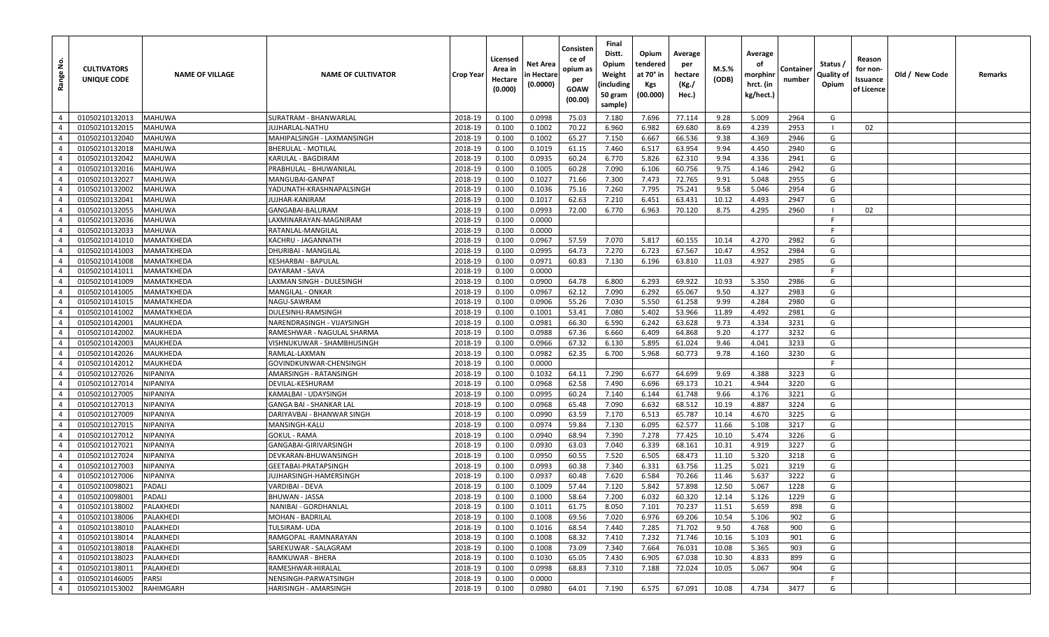| <u>ទំ</u><br>Range               | <b>CULTIVATORS</b><br>UNIQUE CODE | <b>NAME OF VILLAGE</b> | <b>NAME OF CULTIVATOR</b>                       | <b>Crop Year</b>   | Licensed<br>Area in<br>Hectare<br>(0.000) | Net Area<br>in Hectare<br>(0.0000) | Consisten<br>ce of<br>opium as<br>per<br>GOAW<br>(00.00) | Final<br>Distt.<br>Opium<br>Weight<br>(including<br>50 gram<br>sample) | Opium<br>tendered<br>at 70° in<br>Kgs<br>(00.000) | Average<br>per<br>hectare<br>(Kg./<br>Hec.) | M.S.%<br>(ODB) | Average<br>οf<br>morphinr<br>hrct. (in<br>kg/hect.) | Container<br>number | Status /<br>Quality of<br>Opium | Reason<br>for non-<br>Issuance<br>of Licence | Old / New Code | Remarks |
|----------------------------------|-----------------------------------|------------------------|-------------------------------------------------|--------------------|-------------------------------------------|------------------------------------|----------------------------------------------------------|------------------------------------------------------------------------|---------------------------------------------------|---------------------------------------------|----------------|-----------------------------------------------------|---------------------|---------------------------------|----------------------------------------------|----------------|---------|
| $\overline{4}$                   | 01050210132013                    | <b>MAHUWA</b>          | SURATRAM - BHANWARLAL                           | 2018-19            | 0.100                                     | 0.0998                             | 75.03                                                    | 7.180                                                                  | 7.696                                             | 77.114                                      | 9.28           | 5.009                                               | 2964                | G                               |                                              |                |         |
| $\overline{4}$                   | 01050210132015                    | MAHUWA                 | UJHARLAL-NATHU                                  | 2018-19            | 0.100                                     | 0.1002                             | 70.22                                                    | 6.960                                                                  | 6.982                                             | 69.680                                      | 8.69           | 4.239                                               | 2953                |                                 | 02                                           |                |         |
| $\overline{4}$                   | 01050210132040                    | <b>MAHUWA</b>          | MAHIPALSINGH - LAXMANSINGH                      | 2018-19            | 0.100                                     | 0.1002                             | 65.27                                                    | 7.150                                                                  | 6.667                                             | 66.536                                      | 9.38           | 4.369                                               | 2946                | G                               |                                              |                |         |
| $\overline{4}$                   | 01050210132018                    | <b>MAHUWA</b>          | BHERULAL - MOTILAL                              | 2018-19            | 0.100                                     | 0.1019                             | 61.15                                                    | 7.460                                                                  | 6.517                                             | 63.954                                      | 9.94           | 4.450                                               | 2940                | G                               |                                              |                |         |
| $\overline{4}$                   | 01050210132042                    | MAHUWA                 | KARULAL - BAGDIRAM                              | 2018-19            | 0.100                                     | 0.0935                             | 60.24                                                    | 6.770                                                                  | 5.826                                             | 62.310                                      | 9.94           | 4.336                                               | 2941                | G                               |                                              |                |         |
| $\overline{4}$                   | 01050210132016                    | MAHUWA                 | PRABHULAL - BHUWANILAL                          | 2018-19            | 0.100                                     | 0.1005                             | 60.28                                                    | 7.090                                                                  | 6.106                                             | 60.756                                      | 9.75           | 4.146                                               | 2942                | G                               |                                              |                |         |
| $\overline{4}$                   | 01050210132027                    | MAHUWA                 | MANGUBAI-GANPAT                                 | 2018-19            | 0.100                                     | 0.1027                             | 71.66                                                    | 7.300                                                                  | 7.473                                             | 72.765                                      | 9.91           | 5.048                                               | 2955                | G                               |                                              |                |         |
| $\overline{4}$                   | 01050210132002                    | <b>MAHUWA</b>          | YADUNATH-KRASHNAPALSINGH                        | 2018-19            | 0.100                                     | 0.1036                             | 75.16                                                    | 7.260                                                                  | 7.795                                             | 75.241                                      | 9.58           | 5.046                                               | 2954                | G                               |                                              |                |         |
| $\overline{4}$                   | 01050210132041                    | MAHUWA                 | IUJHAR-KANIRAM                                  | 2018-19            | 0.100                                     | 0.1017                             | 62.63                                                    | 7.210                                                                  | 6.451                                             | 63.431                                      | 10.12          | 4.493                                               | 2947                | G                               |                                              |                |         |
| $\overline{4}$                   | 01050210132055                    | MAHUWA                 | GANGABAI-BALURAM                                | 2018-19            | 0.100                                     | 0.0993                             | 72.00                                                    | 6.770                                                                  | 6.963                                             | 70.120                                      | 8.75           | 4.295                                               | 2960                |                                 | 02                                           |                |         |
| $\overline{4}$                   | 01050210132036                    | <b>MAHUWA</b>          | LAXMINARAYAN-MAGNIRAM                           | 2018-19            | 0.100                                     | 0.0000                             |                                                          |                                                                        |                                                   |                                             |                |                                                     |                     | -F                              |                                              |                |         |
| $\overline{4}$                   | 01050210132033                    | <b>MAHUWA</b>          | RATANLAL-MANGILAL                               | 2018-19            | 0.100                                     | 0.0000                             |                                                          |                                                                        |                                                   |                                             |                |                                                     |                     | F                               |                                              |                |         |
| $\overline{4}$                   | 01050210141010                    | MAMATKHEDA             | KACHRU - JAGANNATH                              | 2018-19            | 0.100                                     | 0.0967                             | 57.59                                                    | 7.070                                                                  | 5.817                                             | 60.155                                      | 10.14          | 4.270                                               | 2982                | G                               |                                              |                |         |
| $\overline{4}$                   | 01050210141003                    | MAMATKHEDA             | DHURIBAI - MANGILAL                             | 2018-19            | 0.100                                     | 0.0995                             | 64.73                                                    | 7.270                                                                  | 6.723                                             | 67.567                                      | 10.47          | 4.952                                               | 2984                | G                               |                                              |                |         |
| $\overline{4}$                   | 01050210141008                    | MAMATKHEDA             | KESHARBAI - BAPULAL                             | 2018-19            | 0.100                                     | 0.0971                             | 60.83                                                    | 7.130                                                                  | 6.196                                             | 63.810                                      | 11.03          | 4.927                                               | 2985                | G                               |                                              |                |         |
| $\overline{4}$                   | 01050210141011                    | MAMATKHEDA             | DAYARAM - SAVA                                  | 2018-19            | 0.100                                     | 0.0000                             |                                                          |                                                                        |                                                   |                                             |                |                                                     |                     | F                               |                                              |                |         |
| $\overline{4}$                   | 01050210141009                    | MAMATKHEDA             | LAXMAN SINGH - DULESINGH                        | 2018-19            | 0.100                                     | 0.0900                             | 64.78                                                    | 6.800                                                                  | 6.293                                             | 69.922                                      | 10.93          | 5.350                                               | 2986                | G                               |                                              |                |         |
| $\overline{4}$                   | 01050210141005                    | MAMATKHEDA             | MANGILAL - ONKAR                                | 2018-19            | 0.100                                     | 0.0967                             | 62.12                                                    | 7.090                                                                  | 6.292                                             | 65.067                                      | 9.50           | 4.327                                               | 2983                | G                               |                                              |                |         |
| $\overline{4}$                   | 01050210141015                    | MAMATKHEDA             | NAGU-SAWRAM                                     | 2018-19            | 0.100                                     | 0.0906                             | 55.26                                                    | 7.030                                                                  | 5.550                                             | 61.258                                      | 9.99           | 4.284                                               | 2980                | G                               |                                              |                |         |
| $\overline{4}$                   | 01050210141002                    | MAMATKHEDA             | DULESINHJ-RAMSINGH                              | 2018-19            | 0.100                                     | 0.1001                             | 53.41                                                    | 7.080                                                                  | 5.402                                             | 53.966                                      | 11.89          | 4.492                                               | 2981                | G                               |                                              |                |         |
| $\overline{4}$                   | 01050210142001                    | MAUKHEDA               | NARENDRASINGH - VIJAYSINGH                      | 2018-19            | 0.100                                     | 0.0981                             | 66.30                                                    | 6.590                                                                  | 6.242                                             | 63.628                                      | 9.73           | 4.334                                               | 3231                | G                               |                                              |                |         |
| $\overline{4}$                   | 01050210142002                    | MAUKHEDA               | RAMESHWAR - NAGULAL SHARMA                      | 2018-19            | 0.100                                     | 0.0988                             | 67.36                                                    | 6.660                                                                  | 6.409                                             | 64.868                                      | 9.20           | 4.177                                               | 3232                | G                               |                                              |                |         |
| $\overline{4}$                   | 01050210142003                    | MAUKHEDA               | VISHNUKUWAR - SHAMBHUSINGH                      | 2018-19            | 0.100                                     | 0.0966                             | 67.32                                                    | 6.130                                                                  | 5.895                                             | 61.024                                      | 9.46           | 4.041                                               | 3233                | G                               |                                              |                |         |
| $\overline{4}$                   | 01050210142026                    | MAUKHEDA               | RAMLAL-LAXMAN                                   | 2018-19            | 0.100                                     | 0.0982                             | 62.35                                                    | 6.700                                                                  | 5.968                                             | 60.773                                      | 9.78           | 4.160                                               | 3230                | G                               |                                              |                |         |
| $\overline{4}$                   | 01050210142012                    | MAUKHEDA               | GOVINDKUNWAR-CHENSINGH                          | 2018-19            | 0.100                                     | 0.0000                             |                                                          |                                                                        |                                                   |                                             |                |                                                     |                     | F.                              |                                              |                |         |
| $\overline{4}$                   | 01050210127026                    | NIPANIYA               | AMARSINGH - RATANSINGH                          | 2018-19            | 0.100                                     | 0.1032                             | 64.11                                                    | 7.290                                                                  | 6.677                                             | 64.699                                      | 9.69           | 4.388                                               | 3223                | G                               |                                              |                |         |
| $\overline{4}$                   | 01050210127014                    | VIPANIYA               | DEVILAL-KESHURAM                                | 2018-19            | 0.100                                     | 0.0968                             | 62.58                                                    | 7.490                                                                  | 6.696                                             | 69.173                                      | 10.21          | 4.944                                               | 3220                | G                               |                                              |                |         |
| $\overline{4}$                   | 01050210127005                    | NIPANIYA               | KAMALBAI - UDAYSINGH                            | 2018-19            | 0.100                                     | 0.0995                             | 60.24                                                    | 7.140                                                                  | 6.144                                             | 61.748                                      | 9.66           | 4.176                                               | 3221                | G                               |                                              |                |         |
| $\overline{4}$                   | 01050210127013                    | NIPANIYA               | GANGA BAI - SHANKAR LAL                         | 2018-19            | 0.100                                     | 0.0968                             | 65.48                                                    | 7.090                                                                  | 6.632                                             | 68.512                                      | 10.19          | 4.887                                               | 3224                | G                               |                                              |                |         |
| $\overline{4}$                   | 01050210127009                    | <b>NIPANIYA</b>        | DARIYAVBAI - BHANWAR SINGH                      | 2018-19            | 0.100                                     | 0.0990                             | 63.59                                                    | 7.170                                                                  | 6.513                                             | 65.787                                      | 10.14          | 4.670                                               | 3225                | G                               |                                              |                |         |
| $\overline{4}$                   | 01050210127015                    | NIPANIYA               | MANSINGH-KALU                                   | 2018-19            | 0.100                                     | 0.0974                             | 59.84                                                    | 7.130                                                                  | 6.095                                             | 62.577                                      | 11.66          | 5.108                                               | 3217                | G                               |                                              |                |         |
| $\overline{4}$                   | 01050210127012                    | NIPANIYA               | GOKUL - RAMA                                    | 2018-19            | 0.100                                     | 0.0940                             | 68.94                                                    | 7.390                                                                  | 7.278                                             | 77.425                                      | 10.10          | 5.474                                               | 3226                | G                               |                                              |                |         |
| $\overline{4}$                   | 01050210127021                    | NIPANIYA               | GANGABAI-GIRIVARSINGH                           | 2018-19            | 0.100                                     | 0.0930                             | 63.03                                                    | 7.040                                                                  | 6.339                                             | 68.161                                      | 10.31          | 4.919                                               | 3227                | G                               |                                              |                |         |
| $\overline{4}$                   | 01050210127024                    | NIPANIYA               | DEVKARAN-BHUWANSINGH                            | 2018-19            | 0.100                                     | 0.0950                             | 60.55                                                    | 7.520                                                                  | 6.505                                             | 68.473                                      | 11.10          | 5.320                                               | 3218                | G                               |                                              |                |         |
| $\overline{4}$                   | 01050210127003                    | <b>NIPANIYA</b>        | GEETABAI-PRATAPSINGH                            | 2018-19            | 0.100                                     | 0.0993                             | 60.38                                                    | 7.340                                                                  | 6.331                                             | 63.756                                      | 11.25          | 5.021                                               | 3219                | G                               |                                              |                |         |
| $\overline{4}$<br>$\overline{4}$ | 01050210127006<br>01050210098021  | NIPANIYA<br>PADALI     | JUJHARSINGH-HAMERSINGH<br>VARDIBAI - DEVA       | 2018-19<br>2018-19 | 0.100                                     | 0.0937                             | 60.48<br>57.44                                           | 7.620<br>7.120                                                         | 6.584<br>5.842                                    | 70.266<br>57.898                            | 11.46<br>12.50 | 5.637<br>5.067                                      | 3222<br>1228        | G<br>G                          |                                              |                |         |
|                                  | 01050210098001                    | PADALI                 | BHUWAN - JASSA                                  |                    | 0.100                                     | 0.1009<br>0.1000                   | 58.64                                                    | 7.200                                                                  | 6.032                                             | 60.320                                      | 12.14          | 5.126                                               | 1229                | G                               |                                              |                |         |
| $\overline{4}$                   |                                   |                        |                                                 | 2018-19            | 0.100                                     |                                    |                                                          |                                                                        |                                                   |                                             |                |                                                     |                     |                                 |                                              |                |         |
| $4 \mid$<br>$\overline{4}$       | 01050210138002<br>01050210138006  | PALAKHEDI<br>PALAKHEDI | NANIBAI - GORDHANLAL<br><b>MOHAN - BADRILAL</b> | 2018-19<br>2018-19 | 0.100                                     | 0.1011                             | 61.75<br>69.56                                           | 8.050                                                                  | 7.101<br>6.976                                    | 70.237<br>69.206                            | 11.51          | 5.659                                               | 898                 | G<br>G                          |                                              |                |         |
| $\overline{4}$                   | 01050210138010                    | PALAKHEDI              | TULSIRAM- UDA                                   | 2018-19            | 0.100<br>0.100                            | 0.1008<br>0.1016                   | 68.54                                                    | 7.020<br>7.440                                                         | 7.285                                             | 71.702                                      | 10.54<br>9.50  | 5.106<br>4.768                                      | 902<br>900          | G                               |                                              |                |         |
| $\overline{4}$                   | 01050210138014                    | PALAKHEDI              | RAMGOPAL-RAMNARAYAN                             | 2018-19            | 0.100                                     | 0.1008                             | 68.32                                                    | 7.410                                                                  | 7.232                                             | 71.746                                      | 10.16          | 5.103                                               | 901                 | G                               |                                              |                |         |
| $\overline{4}$                   | 01050210138018                    | PALAKHEDI              | SAREKUWAR - SALAGRAM                            | 2018-19            | 0.100                                     | 0.1008                             | 73.09                                                    | 7.340                                                                  | 7.664                                             | 76.031                                      | 10.08          | 5.365                                               | 903                 | G                               |                                              |                |         |
| $\overline{4}$                   | 01050210138023                    | PALAKHEDI              | RAMKUWAR - BHERA                                | 2018-19            | 0.100                                     | 0.1030                             | 65.05                                                    | 7.430                                                                  | 6.905                                             | 67.038                                      | 10.30          | 4.833                                               | 899                 | G                               |                                              |                |         |
| $\overline{4}$                   | 01050210138011                    | PALAKHEDI              | RAMESHWAR-HIRALAL                               | 2018-19            | 0.100                                     | 0.0998                             | 68.83                                                    | 7.310                                                                  | 7.188                                             | 72.024                                      | 10.05          | 5.067                                               | 904                 | G                               |                                              |                |         |
| $\overline{4}$                   | 01050210146005                    | <b>PARSI</b>           | NENSINGH-PARWATSINGH                            | 2018-19            | 0.100                                     | 0.0000                             |                                                          |                                                                        |                                                   |                                             |                |                                                     |                     | F.                              |                                              |                |         |
| $\overline{4}$                   | 01050210153002                    | RAHIMGARH              | HARISINGH - AMARSINGH                           | 2018-19            | 0.100                                     | 0.0980                             | 64.01                                                    | 7.190                                                                  | 6.575                                             | 67.091                                      | 10.08          | 4.734                                               | 3477                | G                               |                                              |                |         |
|                                  |                                   |                        |                                                 |                    |                                           |                                    |                                                          |                                                                        |                                                   |                                             |                |                                                     |                     |                                 |                                              |                |         |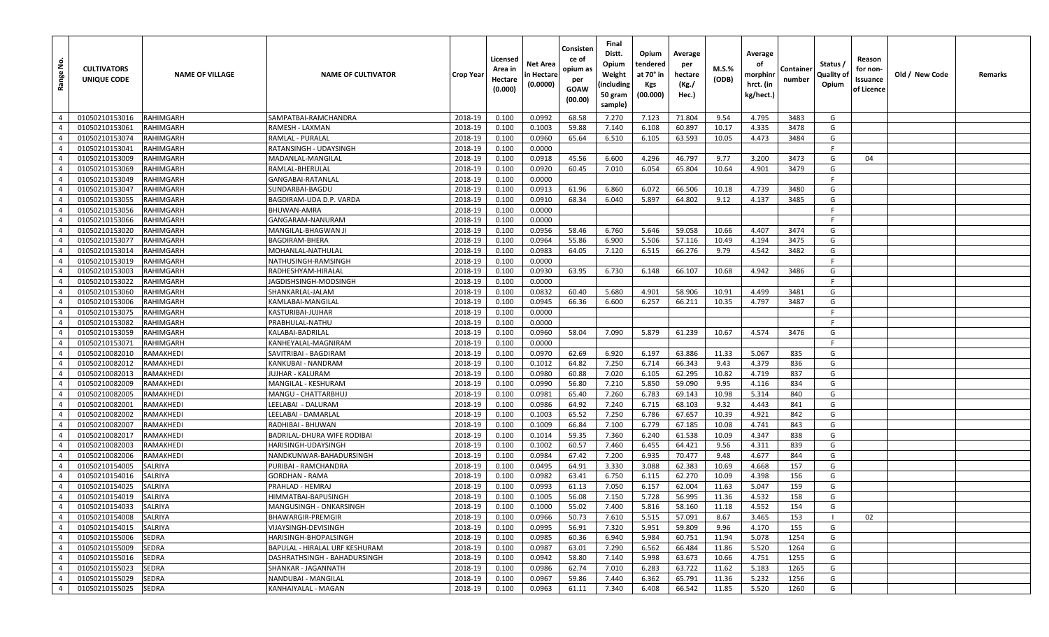| $\frac{1}{2}$<br>Range           | <b>CULTIVATORS</b><br>UNIQUE CODE | <b>NAME OF VILLAGE</b>       | <b>NAME OF CULTIVATOR</b>                                      | <b>Crop Year</b>   | Licensed<br>Area in<br>Hectare<br>(0.000) | Net Area<br>n Hectare<br>(0.0000) | Consisten<br>ce of<br>opium as<br>per<br>GOAW<br>(00.00) | Final<br>Distt.<br>Opium<br>Weight<br>(including<br>50 gram<br>sample) | Opium<br>tendered<br>at 70° in<br>Kgs<br>(00.000) | Average<br>per<br>hectare<br>(Kg./<br>Hec.) | M.S.%<br>(ODB) | Average<br>оf<br>morphinr<br>hrct. (in<br>kg/hect.) | Container<br>number | Status /<br>Quality of<br>Opium | Reason<br>for non-<br>Issuance<br>of Licence | Old / New Code | Remarks |
|----------------------------------|-----------------------------------|------------------------------|----------------------------------------------------------------|--------------------|-------------------------------------------|-----------------------------------|----------------------------------------------------------|------------------------------------------------------------------------|---------------------------------------------------|---------------------------------------------|----------------|-----------------------------------------------------|---------------------|---------------------------------|----------------------------------------------|----------------|---------|
| $\overline{4}$                   | 01050210153016                    | <b>RAHIMGARH</b>             | SAMPATBAI-RAMCHANDRA                                           | 2018-19            | 0.100                                     | 0.0992                            | 68.58                                                    | 7.270                                                                  | 7.123                                             | 71.804                                      | 9.54           | 4.795                                               | 3483                | G                               |                                              |                |         |
| $\overline{4}$                   | 01050210153061                    | <b>RAHIMGARH</b>             | RAMESH - LAXMAN                                                | 2018-19            | 0.100                                     | 0.1003                            | 59.88                                                    | 7.140                                                                  | 6.108                                             | 60.897                                      | 10.17          | 4.335                                               | 3478                | G                               |                                              |                |         |
| $\overline{4}$                   | 01050210153074                    | <b>RAHIMGARH</b>             | <b>RAMLAL - PURALAL</b>                                        | 2018-19            | 0.100                                     | 0.0960                            | 65.64                                                    | 6.510                                                                  | 6.105                                             | 63.593                                      | 10.05          | 4.473                                               | 3484                | G                               |                                              |                |         |
| $\overline{4}$                   | 01050210153041                    | <b>RAHIMGARH</b>             | RATANSINGH - UDAYSINGH                                         | 2018-19            | 0.100                                     | 0.0000                            |                                                          |                                                                        |                                                   |                                             |                |                                                     |                     | F                               |                                              |                |         |
| $\overline{4}$                   | 01050210153009                    | <b>RAHIMGARH</b>             | MADANLAL-MANGILAL                                              | 2018-19            | 0.100                                     | 0.0918                            | 45.56                                                    | 6.600                                                                  | 4.296                                             | 46.797                                      | 9.77           | 3.200                                               | 3473                | G                               | 04                                           |                |         |
| $\overline{4}$                   | 01050210153069                    | <b>RAHIMGARH</b>             | RAMLAL-BHERULAL                                                | 2018-19            | 0.100                                     | 0.0920                            | 60.45                                                    | 7.010                                                                  | 6.054                                             | 65.804                                      | 10.64          | 4.901                                               | 3479                | G                               |                                              |                |         |
| $\overline{4}$                   | 01050210153049                    | <b>RAHIMGARH</b>             | <b>GANGABAI-RATANLAL</b>                                       | 2018-19            | 0.100                                     | 0.0000                            |                                                          |                                                                        |                                                   |                                             |                |                                                     |                     | F.                              |                                              |                |         |
| $\overline{4}$                   | 01050210153047                    | <b>RAHIMGARH</b>             | SUNDARBAI-BAGDU                                                | 2018-19            | 0.100                                     | 0.0913                            | 61.96                                                    | 6.860                                                                  | 6.072                                             | 66.506                                      | 10.18          | 4.739                                               | 3480                | G                               |                                              |                |         |
| $\overline{4}$                   | 01050210153055                    | <b>RAHIMGARH</b>             | BAGDIRAM-UDA D.P. VARDA                                        | 2018-19            | 0.100                                     | 0.0910                            | 68.34                                                    | 6.040                                                                  | 5.897                                             | 64.802                                      | 9.12           | 4.137                                               | 3485                | G                               |                                              |                |         |
| $\overline{4}$                   | 01050210153056                    | <b>RAHIMGARH</b>             | BHUWAN-AMRA                                                    | 2018-19            | 0.100                                     | 0.0000                            |                                                          |                                                                        |                                                   |                                             |                |                                                     |                     | F                               |                                              |                |         |
| $\overline{4}$                   | 01050210153066                    | <b>RAHIMGARH</b>             | GANGARAM-NANURAM                                               | 2018-19            | 0.100                                     | 0.0000                            |                                                          |                                                                        |                                                   |                                             |                |                                                     |                     | F                               |                                              |                |         |
| $\overline{4}$                   | 01050210153020                    | <b>RAHIMGARH</b>             | MANGILAL-BHAGWAN JI                                            | 2018-19            | 0.100                                     | 0.0956                            | 58.46                                                    | 6.760                                                                  | 5.646                                             | 59.058                                      | 10.66          | 4.407                                               | 3474                | G                               |                                              |                |         |
| $\overline{4}$                   | 01050210153077                    | <b>RAHIMGARH</b>             | BAGDIRAM-BHERA                                                 | 2018-19            | 0.100                                     | 0.0964                            | 55.86                                                    | 6.900                                                                  | 5.506                                             | 57.116                                      | 10.49          | 4.194                                               | 3475                | G                               |                                              |                |         |
| $\overline{4}$                   | 01050210153014                    | <b>RAHIMGARH</b>             | MOHANLAL-NATHULAL                                              | 2018-19            | 0.100                                     | 0.0983                            | 64.05                                                    | 7.120                                                                  | 6.515                                             | 66.276                                      | 9.79           | 4.542                                               | 3482                | G                               |                                              |                |         |
| $\overline{4}$                   | 01050210153019                    | <b>RAHIMGARH</b>             | NATHUSINGH-RAMSINGH                                            | 2018-19            | 0.100                                     | 0.0000                            |                                                          |                                                                        |                                                   |                                             |                |                                                     |                     | F                               |                                              |                |         |
| $\overline{4}$                   | 01050210153003                    | RAHIMGARH                    | RADHESHYAM-HIRALAL                                             | 2018-19            | 0.100                                     | 0.0930                            | 63.95                                                    | 6.730                                                                  | 6.148                                             | 66.107                                      | 10.68          | 4.942                                               | 3486                | G                               |                                              |                |         |
| -4                               | 01050210153022                    | <b>RAHIMGARH</b>             | JAGDISHSINGH-MODSINGH                                          | 2018-19            | 0.100                                     | 0.0000                            |                                                          |                                                                        |                                                   |                                             |                |                                                     |                     | F                               |                                              |                |         |
| $\overline{4}$                   | 01050210153060                    | <b>RAHIMGARH</b>             | SHANKARLAL-JALAM                                               | 2018-19            | 0.100                                     | 0.0832                            | 60.40                                                    | 5.680                                                                  | 4.901                                             | 58.906                                      | 10.91          | 4.499                                               | 3481                | G                               |                                              |                |         |
| $\overline{4}$                   | 01050210153006                    | <b>RAHIMGARH</b>             | KAMLABAI-MANGILAL                                              | 2018-19            | 0.100                                     | 0.0945                            | 66.36                                                    | 6.600                                                                  | 6.257                                             | 66.211                                      | 10.35          | 4.797                                               | 3487                | G                               |                                              |                |         |
| $\overline{4}$                   | 01050210153075                    | <b>RAHIMGARH</b>             | KASTURIBAI-JUJHAR                                              | 2018-19            | 0.100                                     | 0.0000                            |                                                          |                                                                        |                                                   |                                             |                |                                                     |                     | F                               |                                              |                |         |
| $\overline{4}$                   | 01050210153082                    | <b>RAHIMGARH</b>             | PRABHULAL-NATHU                                                | 2018-19            | 0.100                                     | 0.0000                            |                                                          |                                                                        |                                                   |                                             |                |                                                     |                     | F                               |                                              |                |         |
| $\overline{4}$                   | 01050210153059                    | <b>RAHIMGARH</b>             | KALABAI-BADRILAL                                               | 2018-19            | 0.100                                     | 0.0960                            | 58.04                                                    | 7.090                                                                  | 5.879                                             | 61.239                                      | 10.67          | 4.574                                               | 3476                | G                               |                                              |                |         |
| $\overline{4}$                   | 01050210153071                    | <b>RAHIMGARH</b>             | KANHEYALAL-MAGNIRAM                                            | 2018-19            | 0.100                                     | 0.0000                            |                                                          |                                                                        |                                                   |                                             |                |                                                     |                     | F                               |                                              |                |         |
| $\overline{4}$                   | 01050210082010                    | RAMAKHEDI                    | SAVITRIBAI - BAGDIRAM                                          | 2018-19            | 0.100                                     | 0.0970                            | 62.69                                                    | 6.920                                                                  | 6.197                                             | 63.886                                      | 11.33          | 5.067                                               | 835                 | G                               |                                              |                |         |
| $\overline{4}$                   | 01050210082012                    | <b>RAMAKHEDI</b>             | KANKUBAI - NANDRAM                                             | 2018-19            | 0.100                                     | 0.1012                            | 64.82                                                    | 7.250                                                                  | 6.714                                             | 66.343                                      | 9.43           | 4.379                                               | 836                 | G                               |                                              |                |         |
| $\overline{4}$                   | 01050210082013                    | <b>RAMAKHEDI</b>             | JUJHAR - KALURAM                                               | 2018-19            | 0.100                                     | 0.0980                            | 60.88                                                    | 7.020                                                                  | 6.105                                             | 62.295                                      | 10.82          | 4.719                                               | 837                 | G                               |                                              |                |         |
| $\overline{4}$                   | 01050210082009                    | <b>RAMAKHEDI</b>             | MANGILAL - KESHURAM                                            | 2018-19            | 0.100                                     | 0.0990                            | 56.80                                                    | 7.210                                                                  | 5.850                                             | 59.090                                      | 9.95           | 4.116                                               | 834                 | G                               |                                              |                |         |
| $\overline{4}$                   | 01050210082005                    | RAMAKHEDI                    | MANGU - CHATTARBHUJ                                            | 2018-19            | 0.100                                     | 0.0981                            | 65.40                                                    | 7.260                                                                  | 6.783                                             | 69.143                                      | 10.98          | 5.314                                               | 840                 | G                               |                                              |                |         |
| $\overline{4}$                   | 01050210082001                    | RAMAKHEDI                    | LEELABAI - DALURAM                                             | 2018-19            | 0.100                                     | 0.0986                            | 64.92                                                    | 7.240                                                                  | 6.715                                             | 68.103                                      | 9.32           | 4.443                                               | 841                 | G                               |                                              |                |         |
| $\overline{4}$                   | 01050210082002                    | RAMAKHEDI                    | LEELABAI - DAMARLAI                                            | 2018-19            | 0.100                                     | 0.1003                            | 65.52                                                    | 7.250                                                                  | 6.786                                             | 67.657                                      | 10.39          | 4.921                                               | 842                 | G                               |                                              |                |         |
| $\overline{4}$                   | 01050210082007                    | RAMAKHEDI                    | RADHIBAI - BHUWAN                                              | 2018-19            | 0.100                                     | 0.1009                            | 66.84                                                    | 7.100                                                                  | 6.779                                             | 67.185                                      | 10.08          | 4.741                                               | 843                 | G                               |                                              |                |         |
| $\overline{4}$                   | 01050210082017                    | RAMAKHEDI                    | BADRILAL-DHURA WIFE RODIBAI                                    | 2018-19            | 0.100                                     | 0.1014                            | 59.35                                                    | 7.360                                                                  | 6.240                                             | 61.538                                      | 10.09          | 4.347                                               | 838                 | G                               |                                              |                |         |
| $\overline{4}$                   | 01050210082003                    | <b>RAMAKHEDI</b>             | HARISINGH-UDAYSINGH                                            | 2018-19            | 0.100                                     | 0.1002                            | 60.57                                                    | 7.460                                                                  | 6.455                                             | 64.421                                      | 9.56           | 4.311                                               | 839                 | G                               |                                              |                |         |
| $\overline{4}$                   | 01050210082006                    | RAMAKHEDI                    | NANDKUNWAR-BAHADURSINGH                                        | 2018-19            | 0.100                                     | 0.0984                            | 67.42                                                    | 7.200                                                                  | 6.935                                             | 70.477                                      | 9.48           | 4.677                                               | 844                 | G                               |                                              |                |         |
| $\overline{4}$                   | 01050210154005                    | SALRIYA                      | PURIBAI - RAMCHANDRA                                           | 2018-19            | 0.100                                     | 0.0495                            | 64.91                                                    | 3.330                                                                  | 3.088                                             | 62.383                                      | 10.69          | 4.668                                               | 157                 | G                               |                                              |                |         |
| $\overline{4}$                   | 01050210154016                    | <b>SALRIYA</b>               | <b>GORDHAN - RAMA</b>                                          | 2018-19            | 0.100                                     | 0.0982                            | 63.41                                                    | 6.750                                                                  | 6.115                                             | 62.270                                      | 10.09          | 4.398                                               | 156                 | G                               |                                              |                |         |
| $\overline{4}$                   | 01050210154025                    | SALRIYA                      | PRAHLAD - HEMRAJ                                               | 2018-19            | 0.100                                     | 0.0993                            | 61.13                                                    | 7.050                                                                  | 6.157                                             | 62.004                                      | 11.63          | 5.047                                               | 159                 | G                               |                                              |                |         |
| $\overline{4}$                   | 01050210154019                    | <b>SALRIYA</b>               | HIMMATBAI-BAPUSINGH                                            | 2018-19            | 0.100                                     | 0.1005                            | 56.08                                                    | 7.150                                                                  | 5.728                                             | 56.995                                      | 11.36          | 4.532                                               | 158                 | G                               |                                              |                |         |
| $\overline{4}$                   | 01050210154033                    | SALRIYA                      | MANGUSINGH - ONKARSINGH                                        | 2018-19            | 0.100                                     | 0.1000                            | 55.02                                                    | 7.400                                                                  | 5.816                                             | 58.160                                      | 11.18          | 4.552                                               | 154                 | G                               |                                              |                |         |
| $\overline{4}$                   | 01050210154008                    | SALRIYA                      | <b>BHAWARGIR-PREMGIR</b>                                       | 2018-19            | 0.100                                     | 0.0966                            | 50.73                                                    | 7.610                                                                  | 5.515                                             | 57.091                                      | 8.67           | 3.465                                               | 153                 |                                 | 02                                           |                |         |
| $\overline{4}$                   | 01050210154015                    | SALRIYA                      | VIJAYSINGH-DEVISINGH                                           | 2018-19            | 0.100                                     | 0.0995                            | 56.91                                                    | 7.320                                                                  | 5.951                                             | 59.809                                      | 9.96           | 4.170                                               | 155                 | G                               |                                              |                |         |
| $\overline{4}$<br>$\overline{4}$ | 01050210155006                    | <b>SEDRA</b>                 | HARISINGH-BHOPALSINGH                                          | 2018-19            | 0.100                                     | 0.0985                            | 60.36                                                    | 6.940                                                                  | 5.984                                             | 60.751                                      | 11.94          | 5.078                                               | 1254                | G<br>G                          |                                              |                |         |
| $\overline{4}$                   | 01050210155009                    | <b>SEDRA</b><br><b>SEDRA</b> | BAPULAL - HIRALAL URF KESHURAM<br>DASHRATHSINGH - BAHADURSINGH | 2018-19            | 0.100                                     | 0.0987                            | 63.01                                                    | 7.290                                                                  | 6.562                                             | 66.484                                      | 11.86          | 5.520                                               | 1264                | G                               |                                              |                |         |
| $\overline{4}$                   | 01050210155016                    |                              |                                                                | 2018-19            | 0.100                                     | 0.0942                            | 58.80                                                    | 7.140                                                                  | 5.998                                             | 63.673                                      | 10.66          | 4.751                                               | 1255                |                                 |                                              |                |         |
|                                  | 01050210155023                    | <b>SEDRA</b><br><b>SEDRA</b> | SHANKAR - JAGANNATH                                            | 2018-19            | 0.100                                     | 0.0986                            | 62.74                                                    | 7.010                                                                  | 6.283                                             | 63.722                                      | 11.62          | 5.183                                               | 1265                | G<br>G                          |                                              |                |         |
| $\overline{4}$<br>4              | 01050210155029<br>01050210155025  | <b>SEDRA</b>                 | NANDUBAI - MANGILAL<br>KANHAIYALAL - MAGAN                     | 2018-19<br>2018-19 | 0.100<br>0.100                            | 0.0967<br>0.0963                  | 59.86<br>61.11                                           | 7.440<br>7.340                                                         | 6.362<br>6.408                                    | 65.791<br>66.542                            | 11.36<br>11.85 | 5.232<br>5.520                                      | 1256<br>1260        | G                               |                                              |                |         |
|                                  |                                   |                              |                                                                |                    |                                           |                                   |                                                          |                                                                        |                                                   |                                             |                |                                                     |                     |                                 |                                              |                |         |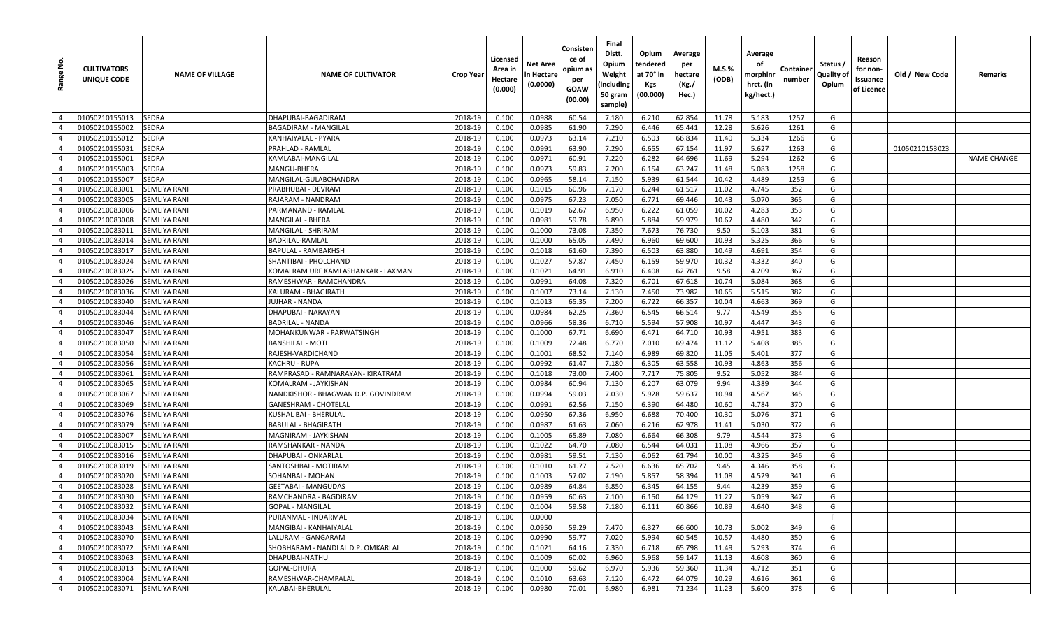| غ<br>Range                       | <b>CULTIVATORS</b><br>UNIQUE CODE | <b>NAME OF VILLAGE</b>                     | <b>NAME OF CULTIVATOR</b>               | <b>Crop Year</b>   | Licensed<br>Area in<br>Hectare<br>(0.000) | Net Area<br>n Hectare<br>(0.0000) | Consisten<br>ce of<br>opium as<br>per<br>GOAW<br>(00.00) | Final<br>Distt.<br>Opium<br>Weight<br>(including<br>50 gram<br>sample) | Opium<br>tendered<br>at 70° in<br>Kgs<br>(00.000) | Average<br>per<br>hectare<br>(Kg./<br>Hec.) | M.S.%<br>(ODB) | Average<br>οf<br>morphinr<br>hrct. (in<br>kg/hect.) | Container<br>number | Status /<br>Quality of<br>Opium | Reason<br>for non-<br>Issuance<br>of Licence | Old / New Code | Remarks            |
|----------------------------------|-----------------------------------|--------------------------------------------|-----------------------------------------|--------------------|-------------------------------------------|-----------------------------------|----------------------------------------------------------|------------------------------------------------------------------------|---------------------------------------------------|---------------------------------------------|----------------|-----------------------------------------------------|---------------------|---------------------------------|----------------------------------------------|----------------|--------------------|
| $\overline{4}$                   | 01050210155013                    | <b>SEDRA</b>                               | DHAPUBAI-BAGADIRAM                      | 2018-19            | 0.100                                     | 0.0988                            | 60.54                                                    | 7.180                                                                  | 6.210                                             | 62.854                                      | 11.78          | 5.183                                               | 1257                | G                               |                                              |                |                    |
| $\overline{4}$                   | 01050210155002                    | SEDRA                                      | <b>BAGADIRAM - MANGILAL</b>             | 2018-19            | 0.100                                     | 0.0985                            | 61.90                                                    | 7.290                                                                  | 6.446                                             | 65.441                                      | 12.28          | 5.626                                               | 1261                | G                               |                                              |                |                    |
| $\overline{4}$                   | 01050210155012                    | <b>SEDRA</b>                               | KANHAIYALAL - PYARA                     | 2018-19            | 0.100                                     | 0.0973                            | 63.14                                                    | 7.210                                                                  | 6.503                                             | 66.834                                      | 11.40          | 5.334                                               | 1266                | G                               |                                              |                |                    |
| $\overline{4}$                   | 01050210155031                    | <b>SEDRA</b>                               | PRAHLAD - RAMLAL                        | 2018-19            | 0.100                                     | 0.0991                            | 63.90                                                    | 7.290                                                                  | 6.655                                             | 67.154                                      | 11.97          | 5.627                                               | 1263                | G                               |                                              | 01050210153023 |                    |
| $\overline{4}$                   | 01050210155001                    | <b>SEDRA</b>                               | KAMLABAI-MANGILAL                       | 2018-19            | 0.100                                     | 0.0971                            | 60.91                                                    | 7.220                                                                  | 6.282                                             | 64.696                                      | 11.69          | 5.294                                               | 1262                | G                               |                                              |                | <b>NAME CHANGE</b> |
| $\overline{4}$                   | 01050210155003                    | SEDRA                                      | MANGU-BHERA                             | 2018-19            | 0.100                                     | 0.0973                            | 59.83                                                    | 7.200                                                                  | 6.154                                             | 63.247                                      | 11.48          | 5.083                                               | 1258                | G                               |                                              |                |                    |
| $\overline{4}$                   | 01050210155007                    | <b>SEDRA</b>                               | MANGILAL-GULABCHANDRA                   | 2018-19            | 0.100                                     | 0.0965                            | 58.14                                                    | 7.150                                                                  | 5.939                                             | 61.544                                      | 10.42          | 4.489                                               | 1259                | G                               |                                              |                |                    |
| $\overline{4}$                   | 01050210083001                    | <b>SEMLIYA RANI</b>                        | PRABHUBAI - DEVRAM                      | 2018-19            | 0.100                                     | 0.1015                            | 60.96                                                    | 7.170                                                                  | 6.244                                             | 61.517                                      | 11.02          | 4.745                                               | 352                 | G                               |                                              |                |                    |
| $\overline{4}$                   | 01050210083005                    | <b>SEMLIYA RANI</b>                        | RAJARAM - NANDRAM                       | 2018-19            | 0.100                                     | 0.0975                            | 67.23                                                    | 7.050                                                                  | 6.771                                             | 69.446                                      | 10.43          | 5.070                                               | 365                 | G                               |                                              |                |                    |
| $\overline{4}$                   | 01050210083006                    | <b>SEMLIYA RANI</b>                        | PARMANAND - RAMLAL                      | 2018-19            | 0.100                                     | 0.1019                            | 62.67                                                    | 6.950                                                                  | 6.222                                             | 61.059                                      | 10.02          | 4.283                                               | 353                 | G                               |                                              |                |                    |
| $\overline{4}$                   | 01050210083008                    | <b>SEMLIYA RANI</b>                        | MANGILAL - BHERA                        | 2018-19            | 0.100                                     | 0.0981                            | 59.78                                                    | 6.890                                                                  | 5.884                                             | 59.979                                      | 10.67          | 4.480                                               | 342                 | G                               |                                              |                |                    |
| $\overline{4}$                   | 01050210083011                    | <b>SEMLIYA RANI</b>                        | MANGILAL - SHRIRAM                      | 2018-19            | 0.100                                     | 0.1000                            | 73.08                                                    | 7.350                                                                  | 7.673                                             | 76.730                                      | 9.50           | 5.103                                               | 381                 | G                               |                                              |                |                    |
| $\overline{4}$                   | 01050210083014                    | <b>SEMLIYA RANI</b>                        | BADRILAL-RAMLAL                         | 2018-19            | 0.100                                     | 0.1000                            | 65.05                                                    | 7.490                                                                  | 6.960                                             | 69.600                                      | 10.93          | 5.325                                               | 366                 | G                               |                                              |                |                    |
| $\overline{4}$                   | 01050210083017                    | <b>SEMLIYA RANI</b>                        | BAPULAL - RAMBAKHSH                     | 2018-19            | 0.100                                     | 0.1018                            | 61.60                                                    | 7.390                                                                  | 6.503                                             | 63.880                                      | 10.49          | 4.691                                               | 354                 | G                               |                                              |                |                    |
| $\overline{4}$                   | 01050210083024                    | <b>SEMLIYA RANI</b>                        | SHANTIBAI - PHOLCHAND                   | 2018-19            | 0.100                                     | 0.1027                            | 57.87                                                    | 7.450                                                                  | 6.159                                             | 59.970                                      | 10.32          | 4.332                                               | 340                 | G                               |                                              |                |                    |
| $\overline{4}$                   | 01050210083025                    | <b>SEMLIYA RANI</b>                        | KOMALRAM URF KAMLASHANKAR - LAXMAN      | 2018-19            | 0.100                                     | 0.1021                            | 64.91                                                    | 6.910                                                                  | 6.408                                             | 62.761                                      | 9.58           | 4.209                                               | 367                 | G                               |                                              |                |                    |
| $\overline{4}$                   | 01050210083026                    | <b>SEMLIYA RANI</b>                        | RAMESHWAR - RAMCHANDRA                  | 2018-19            | 0.100                                     | 0.0991                            | 64.08                                                    | 7.320                                                                  | 6.701                                             | 67.618                                      | 10.74          | 5.084                                               | 368                 | G                               |                                              |                |                    |
| $\overline{4}$                   | 01050210083036                    | <b>SEMLIYA RANI</b>                        | KALURAM - BHAGIRATH                     | 2018-19            | 0.100                                     | 0.1007                            | 73.14                                                    | 7.130                                                                  | 7.450                                             | 73.982                                      | 10.65          | 5.515                                               | 382                 | G                               |                                              |                |                    |
| $\overline{4}$                   | 01050210083040                    | <b>SEMLIYA RANI</b>                        | JUJHAR - NANDA                          | 2018-19            | 0.100                                     | 0.1013                            | 65.35                                                    | 7.200                                                                  | 6.722                                             | 66.357                                      | 10.04          | 4.663                                               | 369                 | G                               |                                              |                |                    |
| $\overline{4}$                   | 01050210083044                    | <b>SEMLIYA RANI</b>                        | DHAPUBAI - NARAYAN                      | 2018-19            | 0.100                                     | 0.0984                            | 62.25                                                    | 7.360                                                                  | 6.545                                             | 66.514                                      | 9.77           | 4.549                                               | 355                 | G                               |                                              |                |                    |
| $\overline{4}$                   | 01050210083046                    | <b>SEMLIYA RANI</b>                        | BADRILAL - NANDA                        | 2018-19            | 0.100                                     | 0.0966                            | 58.36                                                    | 6.710                                                                  | 5.594                                             | 57.908                                      | 10.97          | 4.447                                               | 343                 | G                               |                                              |                |                    |
| $\overline{4}$                   | 01050210083047                    | <b>SEMLIYA RANI</b>                        | MOHANKUNWAR - PARWATSINGH               | 2018-19            | 0.100                                     | 0.1000                            | 67.71                                                    | 6.690                                                                  | 6.471                                             | 64.710                                      | 10.93          | 4.951                                               | 383                 | G                               |                                              |                |                    |
| $\overline{4}$                   | 01050210083050                    | <b>SEMLIYA RANI</b>                        | <b>BANSHILAL - MOTI</b>                 | 2018-19            | 0.100                                     | 0.1009                            | 72.48                                                    | 6.770                                                                  | 7.010                                             | 69.474                                      | 11.12          | 5.408                                               | 385                 | G                               |                                              |                |                    |
| $\overline{4}$                   | 01050210083054                    | <b>SEMLIYA RANI</b>                        | RAJESH-VARDICHAND                       | 2018-19            | 0.100                                     | 0.1001                            | 68.52                                                    | 7.140                                                                  | 6.989                                             | 69.820                                      | 11.05          | 5.401                                               | 377                 | G                               |                                              |                |                    |
| $\overline{4}$                   | 01050210083056                    | <b>SEMLIYA RANI</b>                        | KACHRU - RUPA                           | 2018-19            | 0.100                                     | 0.0992                            | 61.47                                                    | 7.180                                                                  | 6.305                                             | 63.558                                      | 10.93          | 4.863                                               | 356                 | G                               |                                              |                |                    |
| $\overline{4}$                   | 01050210083061                    | <b>SEMLIYA RANI</b>                        | RAMPRASAD - RAMNARAYAN- KIRATRAM        | 2018-19            | 0.100                                     | 0.1018                            | 73.00                                                    | 7.400                                                                  | 7.717                                             | 75.805                                      | 9.52           | 5.052                                               | 384                 | G                               |                                              |                |                    |
| $\overline{4}$                   | 01050210083065                    | <b>SEMLIYA RANI</b>                        | KOMALRAM - JAYKISHAN                    | 2018-19            | 0.100                                     | 0.0984                            | 60.94                                                    | 7.130                                                                  | 6.207                                             | 63.079                                      | 9.94           | 4.389                                               | 344                 | G                               |                                              |                |                    |
| $\overline{4}$                   | 01050210083067                    | <b>SEMLIYA RANI</b>                        | NANDKISHOR - BHAGWAN D.P. GOVINDRAM     | 2018-19            | 0.100                                     | 0.0994                            | 59.03                                                    | 7.030                                                                  | 5.928                                             | 59.637                                      | 10.94          | 4.567                                               | 345                 | G                               |                                              |                |                    |
| $\overline{4}$                   | 01050210083069                    | <b>SEMLIYA RANI</b>                        | <b>GANESHRAM - CHOTELAL</b>             | 2018-19            | 0.100                                     | 0.0991                            | 62.56                                                    | 7.150                                                                  | 6.390                                             | 64.480                                      | 10.60          | 4.784                                               | 370                 | G                               |                                              |                |                    |
| $\overline{4}$                   | 01050210083076                    | <b>SEMLIYA RANI</b>                        | KUSHAL BAI - BHERULAL                   | 2018-19            | 0.100                                     | 0.0950                            | 67.36                                                    | 6.950                                                                  | 6.688                                             | 70.400                                      | 10.30          | 5.076                                               | 371                 | G                               |                                              |                |                    |
| $\overline{4}$                   | 01050210083079                    | <b>SEMLIYA RANI</b>                        | <b>BABULAL - BHAGIRATH</b>              | 2018-19            | 0.100                                     | 0.0987                            | 61.63                                                    | 7.060                                                                  | 6.216                                             | 62.978                                      | 11.41          | 5.030                                               | 372                 | G                               |                                              |                |                    |
| $\overline{4}$                   | 01050210083007                    | <b>SEMLIYA RANI</b>                        | MAGNIRAM - JAYKISHAN                    | 2018-19            | 0.100                                     | 0.1005                            | 65.89                                                    | 7.080                                                                  | 6.664                                             | 66.308                                      | 9.79           | 4.544                                               | 373                 | G                               |                                              |                |                    |
| $\overline{4}$                   | 01050210083015                    | <b>SEMLIYA RANI</b>                        | <b>RAMSHANKAR - NANDA</b>               | 2018-19            | 0.100                                     | 0.1022                            | 64.70                                                    | 7.080                                                                  | 6.544                                             | 64.031                                      | 11.08          | 4.966                                               | 357                 | G                               |                                              |                |                    |
| $\overline{4}$                   | 01050210083016                    | <b>SEMLIYA RANI</b>                        | DHAPUBAI - ONKARLAL                     | 2018-19            | 0.100                                     | 0.0981                            | 59.51                                                    | 7.130                                                                  | 6.062                                             | 61.794                                      | 10.00          | 4.325                                               | 346                 | G                               |                                              |                |                    |
| $\overline{4}$                   | 01050210083019                    | <b>SEMLIYA RANI</b>                        | SANTOSHBAI - MOTIRAM                    | 2018-19            | 0.100                                     | 0.1010                            | 61.77                                                    | 7.520                                                                  | 6.636                                             | 65.702                                      | 9.45           | 4.346                                               | 358                 | G                               |                                              |                |                    |
| $\overline{4}$                   | 01050210083020                    | <b>SEMLIYA RANI</b>                        | SOHANBAI - MOHAN                        | 2018-19            | 0.100                                     | 0.1003                            | 57.02                                                    | 7.190                                                                  | 5.857                                             | 58.394                                      | 11.08          | 4.529                                               | 341                 | G                               |                                              |                |                    |
| $\overline{4}$                   | 01050210083028                    | <b>SEMLIYA RANI</b>                        | <b>GEETABAI - MANGUDAS</b>              | 2018-19            | 0.100                                     | 0.0989                            | 64.84                                                    | 6.850                                                                  | 6.345                                             | 64.155                                      | 9.44           | 4.239                                               | 359                 | G                               |                                              |                |                    |
| $\overline{4}$                   | 01050210083030                    | <b>SEMLIYA RANI</b>                        | RAMCHANDRA - BAGDIRAM                   | 2018-19            | 0.100                                     | 0.0959                            | 60.63                                                    | 7.100                                                                  | 6.150                                             | 64.129                                      | 11.27          | 5.059                                               | 347                 | G                               |                                              |                |                    |
| $\overline{4}$                   | 01050210083032                    | <b>SEMLIYA RANI</b>                        | <b>GOPAL - MANGILAL</b>                 | 2018-19            | 0.100                                     | 0.1004                            | 59.58                                                    | 7.180                                                                  | 6.111                                             | 60.866                                      | 10.89          | 4.640                                               | 348                 | G                               |                                              |                |                    |
| $\overline{4}$                   | 01050210083034                    | <b>SEMLIYA RANI</b>                        | PURANMAL - INDARMAL                     | 2018-19            | 0.100                                     | 0.0000                            |                                                          |                                                                        |                                                   |                                             |                |                                                     |                     | E                               |                                              |                |                    |
| $\overline{4}$                   | 01050210083043                    | <b>SEMLIYA RANI</b>                        | MANGIBAI - KANHAIYALAL                  | 2018-19            | 0.100                                     | 0.0950                            | 59.29                                                    | 7.470                                                                  | 6.327                                             | 66.600                                      | 10.73          | 5.002                                               | 349                 | G                               |                                              |                |                    |
| $\overline{4}$                   | 01050210083070                    | <b>SEMLIYA RANI</b>                        | LALURAM - GANGARAM                      | 2018-19            | 0.100                                     | 0.0990                            | 59.77                                                    | 7.020                                                                  | 5.994                                             | 60.545                                      | 10.57          | 4.480                                               | 350                 | G                               |                                              |                |                    |
| $\overline{4}$                   | 01050210083072                    | <b>SEMLIYA RANI</b>                        | SHOBHARAM - NANDLAL D.P. OMKARLAL       | 2018-19            | 0.100                                     | 0.1021                            | 64.16                                                    | 7.330                                                                  | 6.718                                             | 65.798                                      | 11.49          | 5.293                                               | 374                 | G                               |                                              |                |                    |
| $\overline{4}$<br>$\overline{4}$ | 01050210083063                    | <b>SEMLIYA RANI</b>                        | DHAPUBAI-NATHU                          | 2018-19            | 0.100                                     | 0.1009                            | 60.02                                                    | 6.960                                                                  | 5.968                                             | 59.147                                      | 11.13          | 4.608                                               | 360                 | G<br>G                          |                                              |                |                    |
| $\overline{4}$                   | 01050210083013                    | <b>SEMLIYA RANI</b>                        | GOPAL-DHURA                             | 2018-19            | 0.100                                     | 0.1000                            | 59.62                                                    | 6.970                                                                  | 5.936                                             | 59.360                                      | 11.34          | 4.712                                               | 351                 |                                 |                                              |                |                    |
| $\overline{4}$                   | 01050210083004<br>01050210083071  | <b>SEMLIYA RANI</b><br><b>SEMLIYA RANI</b> | RAMESHWAR-CHAMPALAL<br>KALABAI-BHERULAL | 2018-19<br>2018-19 | 0.100                                     | 0.1010                            | 63.63                                                    | 7.120<br>6.980                                                         | 6.472                                             | 64.079                                      | 10.29          | 4.616                                               | 361                 | G<br>G                          |                                              |                |                    |
|                                  |                                   |                                            |                                         |                    | 0.100                                     | 0.0980                            | 70.01                                                    |                                                                        | 6.981                                             | 71.234                                      | 11.23          | 5.600                                               | 378                 |                                 |                                              |                |                    |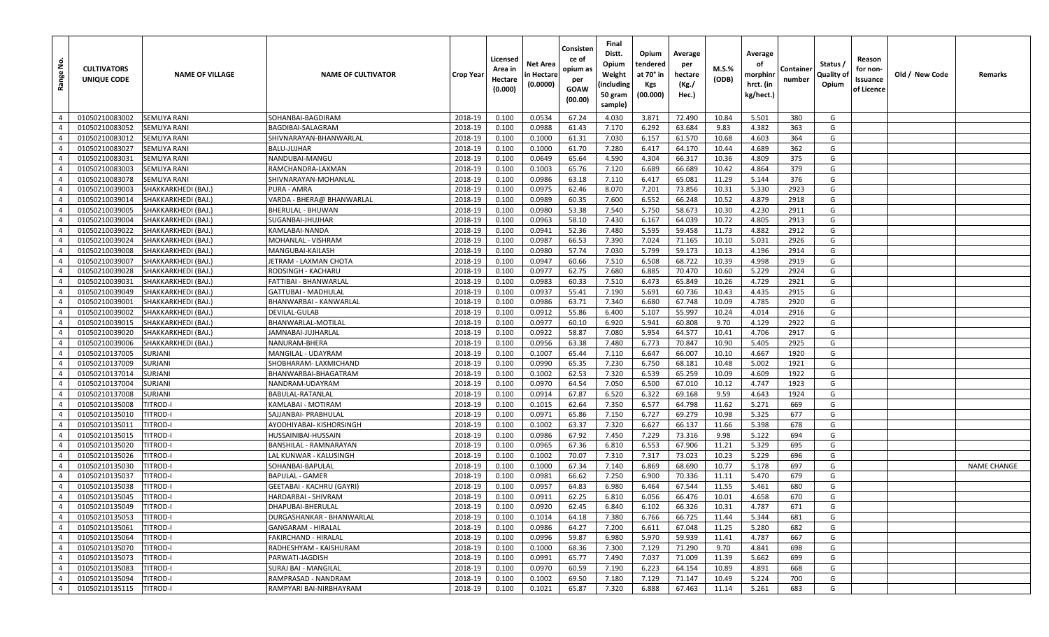| غ<br>Range     | <b>CULTIVATORS</b><br>UNIQUE CODE | <b>NAME OF VILLAGE</b> | <b>NAME OF CULTIVATOR</b> | <b>Crop Year</b> | Licensed<br>Area in<br>Hectare<br>(0.000) | <b>Net Area</b><br>in Hectare<br>(0.0000) | Consisten<br>ce of<br>opium as<br>per<br>GOAW<br>(00.00) | Final<br>Distt.<br>Opium<br>Weight<br>(including<br>50 gram<br>sample) | Opium<br>tendered<br>at 70° in<br>Kgs<br>(00.000) | Average<br>per<br>hectare<br>(Kg./<br>Hec.) | M.S.%<br>(ODB) | Average<br>οf<br>morphinr<br>hrct. (in<br>kg/hect.) | Container<br>number | Status /<br>Quality of<br>Opium | Reason<br>for non-<br>Issuance<br>of Licence | Old / New Code | Remarks            |
|----------------|-----------------------------------|------------------------|---------------------------|------------------|-------------------------------------------|-------------------------------------------|----------------------------------------------------------|------------------------------------------------------------------------|---------------------------------------------------|---------------------------------------------|----------------|-----------------------------------------------------|---------------------|---------------------------------|----------------------------------------------|----------------|--------------------|
| $\overline{4}$ | 01050210083002                    | <b>SEMLIYA RANI</b>    | SOHANBAI-BAGDIRAM         | 2018-19          | 0.100                                     | 0.0534                                    | 67.24                                                    | 4.030                                                                  | 3.871                                             | 72.490                                      | 10.84          | 5.501                                               | 380                 | G                               |                                              |                |                    |
| $\overline{4}$ | 01050210083052                    | SEMLIYA RANI           | BAGDIBAI-SALAGRAM         | 2018-19          | 0.100                                     | 0.0988                                    | 61.43                                                    | 7.170                                                                  | 6.292                                             | 63.684                                      | 9.83           | 4.382                                               | 363                 | G                               |                                              |                |                    |
| $\overline{4}$ | 01050210083012                    | SEMLIYA RANI           | SHIVNARAYAN-BHANWARLAL    | 2018-19          | 0.100                                     | 0.1000                                    | 61.31                                                    | 7.030                                                                  | 6.157                                             | 61.570                                      | 10.68          | 4.603                                               | 364                 | G                               |                                              |                |                    |
| $\overline{4}$ | 01050210083027                    | <b>SEMLIYA RANI</b>    | BALU-JUJHAR               | 2018-19          | 0.100                                     | 0.1000                                    | 61.70                                                    | 7.280                                                                  | 6.417                                             | 64.170                                      | 10.44          | 4.689                                               | 362                 | G                               |                                              |                |                    |
| $\overline{4}$ | 01050210083031                    | SEMLIYA RANI           | NANDUBAI-MANGU            | 2018-19          | 0.100                                     | 0.0649                                    | 65.64                                                    | 4.590                                                                  | 4.304                                             | 66.317                                      | 10.36          | 4.809                                               | 375                 | G                               |                                              |                |                    |
| $\overline{4}$ | 01050210083003                    | SEMLIYA RANI           | RAMCHANDRA-LAXMAN         | 2018-19          | 0.100                                     | 0.1003                                    | 65.76                                                    | 7.120                                                                  | 6.689                                             | 66.689                                      | 10.42          | 4.864                                               | 379                 | G                               |                                              |                |                    |
| $\overline{4}$ | 01050210083078                    | SEMLIYA RANI           | SHIVNARAYAN-MOHANLAL      | 2018-19          | 0.100                                     | 0.0986                                    | 63.18                                                    | 7.110                                                                  | 6.417                                             | 65.081                                      | 11.29          | 5.144                                               | 376                 | G                               |                                              |                |                    |
| $\overline{4}$ | 01050210039003                    | SHAKKARKHEDI (BAJ.)    | PURA - AMRA               | 2018-19          | 0.100                                     | 0.0975                                    | 62.46                                                    | 8.070                                                                  | 7.201                                             | 73.856                                      | 10.31          | 5.330                                               | 2923                | G                               |                                              |                |                    |
| $\overline{4}$ | 01050210039014                    | SHAKKARKHEDI (BAJ.)    | VARDA - BHERA@ BHANWARLAL | 2018-19          | 0.100                                     | 0.0989                                    | 60.35                                                    | 7.600                                                                  | 6.552                                             | 66.248                                      | 10.52          | 4.879                                               | 2918                | G                               |                                              |                |                    |
| $\overline{4}$ | 01050210039005                    | SHAKKARKHEDI (BAJ.)    | BHERULAL - BHUWAN         | 2018-19          | 0.100                                     | 0.0980                                    | 53.38                                                    | 7.540                                                                  | 5.750                                             | 58.673                                      | 10.30          | 4.230                                               | 2911                | G                               |                                              |                |                    |
| $\overline{4}$ | 01050210039004                    | SHAKKARKHEDI (BAJ.)    | SUGANBAI-JHUJHAR          | 2018-19          | 0.100                                     | 0.0963                                    | 58.10                                                    | 7.430                                                                  | 6.167                                             | 64.039                                      | 10.72          | 4.805                                               | 2913                | G                               |                                              |                |                    |
| $\overline{4}$ | 01050210039022                    | SHAKKARKHEDI (BAJ.)    | KAMLABAI-NANDA            | 2018-19          | 0.100                                     | 0.0941                                    | 52.36                                                    | 7.480                                                                  | 5.595                                             | 59.458                                      | 11.73          | 4.882                                               | 2912                | G                               |                                              |                |                    |
| $\overline{4}$ | 01050210039024                    | SHAKKARKHEDI (BAJ.)    | MOHANLAL - VISHRAM        | 2018-19          | 0.100                                     | 0.0987                                    | 66.53                                                    | 7.390                                                                  | 7.024                                             | 71.165                                      | 10.10          | 5.031                                               | 2926                | G                               |                                              |                |                    |
| $\overline{4}$ | 01050210039008                    | SHAKKARKHEDI (BAJ.)    | MANGUBAI-KAILASH          | 2018-19          | 0.100                                     | 0.0980                                    | 57.74                                                    | 7.030                                                                  | 5.799                                             | 59.173                                      | 10.13          | 4.196                                               | 2914                | G                               |                                              |                |                    |
| $\overline{4}$ | 01050210039007                    | SHAKKARKHEDI (BAJ.)    | ETRAM - LAXMAN CHOTA      | 2018-19          | 0.100                                     | 0.0947                                    | 60.66                                                    | 7.510                                                                  | 6.508                                             | 68.722                                      | 10.39          | 4.998                                               | 2919                | G                               |                                              |                |                    |
| $\overline{4}$ | 01050210039028                    | SHAKKARKHEDI (BAJ.)    | RODSINGH - KACHARU        | 2018-19          | 0.100                                     | 0.0977                                    | 62.75                                                    | 7.680                                                                  | 6.885                                             | 70.470                                      | 10.60          | 5.229                                               | 2924                | G                               |                                              |                |                    |
| $\overline{4}$ | 01050210039031                    | SHAKKARKHEDI (BAJ.)    | FATTIBAI - BHANWARLAL     | 2018-19          | 0.100                                     | 0.0983                                    | 60.33                                                    | 7.510                                                                  | 6.473                                             | 65.849                                      | 10.26          | 4.729                                               | 2921                | G                               |                                              |                |                    |
| $\overline{4}$ | 01050210039049                    | SHAKKARKHEDI (BAJ.)    | GATTUBAI - MADHULAL       | 2018-19          | 0.100                                     | 0.0937                                    | 55.41                                                    | 7.190                                                                  | 5.691                                             | 60.736                                      | 10.43          | 4.435                                               | 2915                | G                               |                                              |                |                    |
| $\overline{4}$ | 01050210039001                    | SHAKKARKHEDI (BAJ.)    | BHANWARBAI - KANWARLAL    | 2018-19          | 0.100                                     | 0.0986                                    | 63.71                                                    | 7.340                                                                  | 6.680                                             | 67.748                                      | 10.09          | 4.785                                               | 2920                | G                               |                                              |                |                    |
| $\overline{4}$ | 01050210039002                    | SHAKKARKHEDI (BAJ.)    | DEVILAL-GULAB             | 2018-19          | 0.100                                     | 0.0912                                    | 55.86                                                    | 6.400                                                                  | 5.107                                             | 55.997                                      | 10.24          | 4.014                                               | 2916                | G                               |                                              |                |                    |
| $\overline{4}$ | 01050210039015                    | SHAKKARKHEDI (BAJ.)    | BHANWARLAL-MOTILAL        | 2018-19          | 0.100                                     | 0.0977                                    | 60.10                                                    | 6.920                                                                  | 5.941                                             | 60.808                                      | 9.70           | 4.129                                               | 2922                | G                               |                                              |                |                    |
| $\overline{4}$ | 01050210039020                    | SHAKKARKHEDI (BAJ.)    | JAMNABAI-JUJHARLAL        | 2018-19          | 0.100                                     | 0.0922                                    | 58.87                                                    | 7.080                                                                  | 5.954                                             | 64.577                                      | 10.41          | 4.706                                               | 2917                | G                               |                                              |                |                    |
| $\overline{4}$ | 01050210039006                    | SHAKKARKHEDI (BAJ.)    | NANURAM-BHERA             | 2018-19          | 0.100                                     | 0.0956                                    | 63.38                                                    | 7.480                                                                  | 6.773                                             | 70.847                                      | 10.90          | 5.405                                               | 2925                | G                               |                                              |                |                    |
| $\overline{4}$ | 01050210137005                    | SURJANI                | MANGILAL - UDAYRAM        | 2018-19          | 0.100                                     | 0.1007                                    | 65.44                                                    | 7.110                                                                  | 6.647                                             | 66.007                                      | 10.10          | 4.667                                               | 1920                | G                               |                                              |                |                    |
| $\overline{4}$ | 01050210137009                    | SURJANI                | SHOBHARAM- LAXMICHAND     | 2018-19          | 0.100                                     | 0.0990                                    | 65.35                                                    | 7.230                                                                  | 6.750                                             | 68.181                                      | 10.48          | 5.002                                               | 1921                | G                               |                                              |                |                    |
| $\overline{4}$ | 01050210137014                    | SURJANI                | BHANWARBAI-BHAGATRAM      | 2018-19          | 0.100                                     | 0.1002                                    | 62.53                                                    | 7.320                                                                  | 6.539                                             | 65.259                                      | 10.09          | 4.609                                               | 1922                | G                               |                                              |                |                    |
| $\overline{4}$ | 01050210137004                    | SURJANI                | NANDRAM-UDAYRAM           | 2018-19          | 0.100                                     | 0.0970                                    | 64.54                                                    | 7.050                                                                  | 6.500                                             | 67.010                                      | 10.12          | 4.747                                               | 1923                | G                               |                                              |                |                    |
| $\overline{4}$ | 01050210137008                    | SURJANI                | BABULAL-RATANLAL          | 2018-19          | 0.100                                     | 0.0914                                    | 67.87                                                    | 6.520                                                                  | 6.322                                             | 69.168                                      | 9.59           | 4.643                                               | 1924                | G                               |                                              |                |                    |
| $\overline{4}$ | 01050210135008                    | TITROD-I               | KAMLABAI - MOTIRAM        | 2018-19          | 0.100                                     | 0.1015                                    | 62.64                                                    | 7.350                                                                  | 6.577                                             | 64.798                                      | 11.62          | 5.271                                               | 669                 | G                               |                                              |                |                    |
| $\overline{4}$ | 01050210135010                    | titrod-i               | SAJJANBAI- PRABHULAL      | 2018-19          | 0.100                                     | 0.0971                                    | 65.86                                                    | 7.150                                                                  | 6.727                                             | 69.279                                      | 10.98          | 5.325                                               | 677                 | G                               |                                              |                |                    |
| $\overline{4}$ | 01050210135011                    | <b>TITROD-I</b>        | AYODHIYABAI- KISHORSINGH  | 2018-19          | 0.100                                     | 0.1002                                    | 63.37                                                    | 7.320                                                                  | 6.627                                             | 66.137                                      | 11.66          | 5.398                                               | 678                 | G                               |                                              |                |                    |
| $\overline{4}$ | 01050210135015                    | TITROD-I               | HUSSAINIBAI-HUSSAIN       | 2018-19          | 0.100                                     | 0.0986                                    | 67.92                                                    | 7.450                                                                  | 7.229                                             | 73.316                                      | 9.98           | 5.122                                               | 694                 | G                               |                                              |                |                    |
| $\overline{4}$ | 01050210135020                    | TITROD-I               | BANSHILAL - RAMNARAYAN    | 2018-19          | 0.100                                     | 0.0965                                    | 67.36                                                    | 6.810                                                                  | 6.553                                             | 67.906                                      | 11.21          | 5.329                                               | 695                 | G                               |                                              |                |                    |
| $\overline{4}$ | 01050210135026                    | titrod-i               | LAL KUNWAR - KALUSINGH    | 2018-19          | 0.100                                     | 0.1002                                    | 70.07                                                    | 7.310                                                                  | 7.317                                             | 73.023                                      | 10.23          | 5.229                                               | 696                 | G                               |                                              |                |                    |
| $\overline{4}$ | 01050210135030                    | titrod-i               | SOHANBAI-BAPULAL          | 2018-19          | 0.100                                     | 0.1000                                    | 67.34                                                    | 7.140                                                                  | 6.869                                             | 68.690                                      | 10.77          | 5.178                                               | 697                 | G                               |                                              |                | <b>NAME CHANGE</b> |
| $\overline{4}$ | 01050210135037                    | TITROD-I               | BAPULAL - GAMER           | 2018-19          | 0.100                                     | 0.0981                                    | 66.62                                                    | 7.250                                                                  | 6.900                                             | 70.336                                      | 11.11          | 5.470                                               | 679                 | G                               |                                              |                |                    |
| $\overline{4}$ | 01050210135038                    | <b>TITROD-I</b>        | GEETABAI - KACHRU (GAYRI) | 2018-19          | 0.100                                     | 0.0957                                    | 64.83                                                    | 6.980                                                                  | 6.464                                             | 67.544                                      | 11.55          | 5.461                                               | 680                 | G                               |                                              |                |                    |
| $\overline{4}$ | 01050210135045                    | <b>ITROD-I</b>         | HARDARBAI - SHIVRAM       | 2018-19          | 0.100                                     | 0.0911                                    | 62.25                                                    | 6.810                                                                  | 6.056                                             | 66.476                                      | 10.01          | 4.658                                               | 670                 | G                               |                                              |                |                    |
| $4 \mid$       | 01050210135049                    | <b>TITROD-I</b>        | DHAPUBAI-BHERULAL         | 2018-19          | 0.100                                     | 0.0920                                    | 62.45                                                    | 6.840                                                                  | 6.102                                             | 66.326                                      | 10.31          | 4.787                                               | 671                 | G                               |                                              |                |                    |
| $\overline{4}$ | 01050210135053                    | <b>TITROD-I</b>        | DURGASHANKAR - BHANWARLAL | 2018-19          | 0.100                                     | 0.1014                                    | 64.18                                                    | 7.380                                                                  | 6.766                                             | 66.725                                      | 11.44          | 5.344                                               | 681                 | G                               |                                              |                |                    |
| $\overline{4}$ | 01050210135061                    | <b>TITROD-I</b>        | <b>GANGARAM - HIRALAL</b> | 2018-19          | 0.100                                     | 0.0986                                    | 64.27                                                    | 7.200                                                                  | 6.611                                             | 67.048                                      | 11.25          | 5.280                                               | 682                 | G                               |                                              |                |                    |
| $\overline{4}$ | 01050210135064                    | <b>TITROD-I</b>        | FAKIRCHAND - HIRALAL      | 2018-19          | 0.100                                     | 0.0996                                    | 59.87                                                    | 6.980                                                                  | 5.970                                             | 59.939                                      | 11.41          | 4.787                                               | 667                 | G                               |                                              |                |                    |
| $\overline{4}$ | 01050210135070                    | <b>TITROD-I</b>        | RADHESHYAM - KAISHURAM    | 2018-19          | 0.100                                     | 0.1000                                    | 68.36                                                    | 7.300                                                                  | 7.129                                             | 71.290                                      | 9.70           | 4.841                                               | 698                 | G                               |                                              |                |                    |
| $\overline{4}$ | 01050210135073                    | <b>TITROD-I</b>        | PARWATI-JAGDISH           | 2018-19          | 0.100                                     | 0.0991                                    | 65.77                                                    | 7.490                                                                  | 7.037                                             | 71.009                                      | 11.39          | 5.662                                               | 699                 | G                               |                                              |                |                    |
| $\overline{4}$ | 01050210135083                    | <b>TITROD-I</b>        | SURAJ BAI - MANGILAL      | 2018-19          | 0.100                                     | 0.0970                                    | 60.59                                                    | 7.190                                                                  | 6.223                                             | 64.154                                      | 10.89          | 4.891                                               | 668                 | G                               |                                              |                |                    |
| $\overline{4}$ | 01050210135094                    | TITROD-I               | RAMPRASAD - NANDRAM       | 2018-19          | 0.100                                     | 0.1002                                    | 69.50                                                    | 7.180                                                                  | 7.129                                             | 71.147                                      | 10.49          | 5.224                                               | 700                 | G                               |                                              |                |                    |
| $\overline{4}$ | 01050210135115                    | <b>TITROD-I</b>        | RAMPYARI BAI-NIRBHAYRAM   | 2018-19          | 0.100                                     | 0.1021                                    | 65.87                                                    | 7.320                                                                  | 6.888                                             | 67.463                                      | 11.14          | 5.261                                               | 683                 | G                               |                                              |                |                    |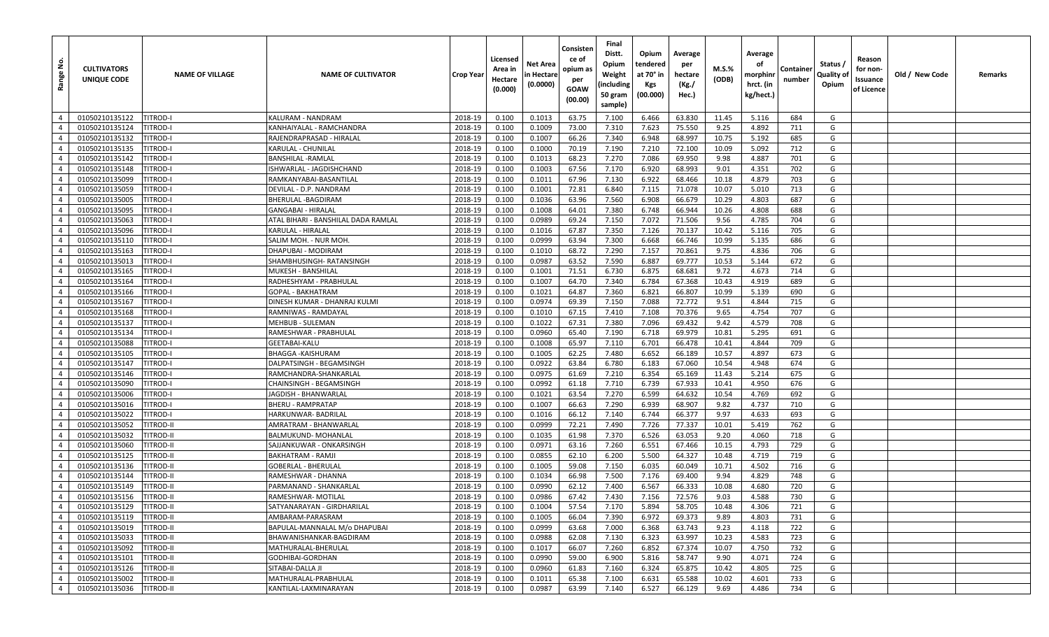| $\dot{\mathsf{z}}$<br>Range      | <b>CULTIVATORS</b><br>UNIQUE CODE | <b>NAME OF VILLAGE</b>               | <b>NAME OF CULTIVATOR</b>                                | <b>Crop Year</b>   | Licensed<br>Area in<br>Hectare<br>(0.000) | <b>Net Area</b><br>n Hectare<br>(0.0000) | Consisten<br>ce of<br>opium as<br>per<br>GOAW<br>(00.00) | Final<br>Distt.<br>Opium<br>Weight<br>(including<br>50 gram<br>sample) | Opium<br>tendered<br>at 70° in<br>Kgs<br>(00.000) | Average<br>per<br>hectare<br>(Kg./<br>Hec.) | M.S.%<br>(ODB) | Average<br>οf<br>morphinr<br>hrct. (in<br>kg/hect.) | Container<br>number | Status /<br>Quality of<br>Opium | Reason<br>for non-<br>Issuance<br>of Licence | Old / New Code | Remarks |
|----------------------------------|-----------------------------------|--------------------------------------|----------------------------------------------------------|--------------------|-------------------------------------------|------------------------------------------|----------------------------------------------------------|------------------------------------------------------------------------|---------------------------------------------------|---------------------------------------------|----------------|-----------------------------------------------------|---------------------|---------------------------------|----------------------------------------------|----------------|---------|
| $\overline{4}$                   | 01050210135122                    | <b>TITROD-I</b>                      | KALURAM - NANDRAM                                        | 2018-19            | 0.100                                     | 0.1013                                   | 63.75                                                    | 7.100                                                                  | 6.466                                             | 63.830                                      | 11.45          | 5.116                                               | 684                 | G                               |                                              |                |         |
| $\overline{4}$                   | 01050210135124                    | <b>ITROD-I</b>                       | KANHAIYALAL - RAMCHANDRA                                 | 2018-19            | 0.100                                     | 0.1009                                   | 73.00                                                    | 7.310                                                                  | 7.623                                             | 75.550                                      | 9.25           | 4.892                                               | 711                 | G                               |                                              |                |         |
| $\overline{4}$                   | 01050210135132                    | TITROD-I                             | RAJENDRAPRASAD - HIRALAL                                 | 2018-19            | 0.100                                     | 0.1007                                   | 66.26                                                    | 7.340                                                                  | 6.948                                             | 68.997                                      | 10.75          | 5.192                                               | 685                 | G                               |                                              |                |         |
| $\overline{4}$                   | 01050210135135                    | <b>TITROD-I</b>                      | KARULAL - CHUNILAL                                       | 2018-19            | 0.100                                     | 0.1000                                   | 70.19                                                    | 7.190                                                                  | 7.210                                             | 72.100                                      | 10.09          | 5.092                                               | 712                 | G                               |                                              |                |         |
| $\overline{4}$                   | 01050210135142                    | titrod-i                             | BANSHILAL -RAMLAL                                        | 2018-19            | 0.100                                     | 0.1013                                   | 68.23                                                    | 7.270                                                                  | 7.086                                             | 69.950                                      | 9.98           | 4.887                                               | 701                 | G                               |                                              |                |         |
| $\overline{4}$                   | 01050210135148                    | TITROD-I                             | ISHWARLAL - JAGDISHCHAND                                 | 2018-19            | 0.100                                     | 0.1003                                   | 67.56                                                    | 7.170                                                                  | 6.920                                             | 68.993                                      | 9.01           | 4.351                                               | 702                 | G                               |                                              |                |         |
| $\overline{4}$                   | 01050210135099                    | TITROD-I                             | RAMKANYABAI-BASANTILAL                                   | 2018-19            | 0.100                                     | 0.1011                                   | 67.96                                                    | 7.130                                                                  | 6.922                                             | 68.466                                      | 10.18          | 4.879                                               | 703                 | G                               |                                              |                |         |
| $\overline{4}$                   | 01050210135059                    | <b>TITROD-I</b>                      | DEVILAL - D.P. NANDRAM                                   | 2018-19            | 0.100                                     | 0.1001                                   | 72.81                                                    | 6.840                                                                  | 7.115                                             | 71.078                                      | 10.07          | 5.010                                               | 713                 | G                               |                                              |                |         |
| $\overline{4}$                   | 01050210135005                    | TITROD-I                             | BHERULAL -BAGDIRAM                                       | 2018-19            | 0.100                                     | 0.1036                                   | 63.96                                                    | 7.560                                                                  | 6.908                                             | 66.679                                      | 10.29          | 4.803                                               | 687                 | G                               |                                              |                |         |
| $\overline{4}$                   | 01050210135095                    | TITROD-I                             | GANGABAI - HIRALAL                                       | 2018-19            | 0.100                                     | 0.1008                                   | 64.01                                                    | 7.380                                                                  | 6.748                                             | 66.944                                      | 10.26          | 4.808                                               | 688                 | G                               |                                              |                |         |
| $\overline{4}$                   | 01050210135063                    | TITROD-I                             | ATAL BIHARI - BANSHILAL DADA RAMLAL                      | 2018-19            | 0.100                                     | 0.0989                                   | 69.24                                                    | 7.150                                                                  | 7.072                                             | 71.506                                      | 9.56           | 4.785                                               | 704                 | G                               |                                              |                |         |
| $\overline{4}$                   | 01050210135096                    | TITROD-I                             | KARULAL - HIRALAL                                        | 2018-19            | 0.100                                     | 0.1016                                   | 67.87                                                    | 7.350                                                                  | 7.126                                             | 70.137                                      | 10.42          | 5.116                                               | 705                 | G                               |                                              |                |         |
| $\overline{4}$                   | 01050210135110                    | TITROD-I                             | SALIM MOH. - NUR MOH                                     | 2018-19            | 0.100                                     | 0.0999                                   | 63.94                                                    | 7.300                                                                  | 6.668                                             | 66.746                                      | 10.99          | 5.135                                               | 686                 | G                               |                                              |                |         |
| $\overline{4}$                   | 01050210135163                    | TITROD-I                             | DHAPUBAI - MODIRAM                                       | 2018-19            | 0.100                                     | 0.1010                                   | 68.72                                                    | 7.290                                                                  | 7.157                                             | 70.861                                      | 9.75           | 4.836                                               | 706                 | G                               |                                              |                |         |
| $\overline{4}$                   | 01050210135013                    | TITROD-I                             | SHAMBHUSINGH- RATANSINGH                                 | 2018-19            | 0.100                                     | 0.0987                                   | 63.52                                                    | 7.590                                                                  | 6.887                                             | 69.777                                      | 10.53          | 5.144                                               | 672                 | G                               |                                              |                |         |
| $\overline{4}$                   | 01050210135165                    | titrod-i                             | MUKESH - BANSHILAL                                       | 2018-19            | 0.100                                     | 0.1001                                   | 71.51                                                    | 6.730                                                                  | 6.875                                             | 68.681                                      | 9.72           | 4.673                                               | 714                 | G                               |                                              |                |         |
| $\overline{4}$                   | 01050210135164                    | titrod-i                             | RADHESHYAM - PRABHULAL                                   | 2018-19            | 0.100                                     | 0.1007                                   | 64.70                                                    | 7.340                                                                  | 6.784                                             | 67.368                                      | 10.43          | 4.919                                               | 689                 | G                               |                                              |                |         |
| $\overline{4}$                   | 01050210135166                    | TITROD-I                             | GOPAL - BAKHATRAM                                        | 2018-19            | 0.100                                     | 0.1021                                   | 64.87                                                    | 7.360                                                                  | 6.821                                             | 66.807                                      | 10.99          | 5.139                                               | 690                 | G                               |                                              |                |         |
| $\overline{4}$                   | 01050210135167                    | <b>TITROD-I</b>                      | DINESH KUMAR - DHANRAJ KULMI                             | 2018-19            | 0.100                                     | 0.0974                                   | 69.39                                                    | 7.150                                                                  | 7.088                                             | 72.772                                      | 9.51           | 4.844                                               | 715                 | G                               |                                              |                |         |
| $\overline{4}$                   | 01050210135168                    | TITROD-I                             | RAMNIWAS - RAMDAYAL                                      | 2018-19            | 0.100                                     | 0.1010                                   | 67.15                                                    | 7.410                                                                  | 7.108                                             | 70.376                                      | 9.65           | 4.754                                               | 707                 | G                               |                                              |                |         |
| $\overline{4}$                   | 01050210135137                    | TITROD-I                             | MEHBUB - SULEMAN                                         | 2018-19            | 0.100                                     | 0.1022                                   | 67.31                                                    | 7.380                                                                  | 7.096                                             | 69.432                                      | 9.42           | 4.579                                               | 708                 | G                               |                                              |                |         |
| $\overline{4}$                   | 01050210135134                    | <b>TITROD-I</b>                      | RAMESHWAR - PRABHULAL                                    | 2018-19            | 0.100                                     | 0.0960                                   | 65.40                                                    | 7.190                                                                  | 6.718                                             | 69.979                                      | 10.81          | 5.295                                               | 691                 | G                               |                                              |                |         |
| $\overline{4}$                   | 01050210135088                    | TITROD-I                             | GEETABAI-KALU                                            | 2018-19            | 0.100                                     | 0.1008                                   | 65.97                                                    | 7.110                                                                  | 6.701                                             | 66.478                                      | 10.41          | 4.844                                               | 709                 | G                               |                                              |                |         |
| $\overline{4}$                   | 01050210135105                    | <b>TITROD-I</b>                      | BHAGGA -KAISHURAM                                        | 2018-19            | 0.100                                     | 0.1005                                   | 62.25                                                    | 7.480                                                                  | 6.652                                             | 66.189                                      | 10.57          | 4.897                                               | 673                 | G                               |                                              |                |         |
| $\overline{4}$                   | 01050210135147                    | TITROD-I                             | DALPATSINGH - BEGAMSINGH                                 | 2018-19            | 0.100                                     | 0.0922                                   | 63.84                                                    | 6.780                                                                  | 6.183                                             | 67.060                                      | 10.54          | 4.948                                               | 674                 | G                               |                                              |                |         |
| $\overline{4}$                   | 01050210135146                    | TITROD-I                             | RAMCHANDRA-SHANKARLAL                                    | 2018-19            | 0.100                                     | 0.0975                                   | 61.69                                                    | 7.210                                                                  | 6.354                                             | 65.169                                      | 11.43          | 5.214                                               | 675                 | G                               |                                              |                |         |
| $\overline{4}$                   | 01050210135090                    | TITROD-I                             | CHAINSINGH - BEGAMSINGH                                  | 2018-19            | 0.100                                     | 0.0992                                   | 61.18                                                    | 7.710                                                                  | 6.739                                             | 67.933                                      | 10.41          | 4.950                                               | 676                 | G                               |                                              |                |         |
| $\overline{4}$                   | 01050210135006                    | TITROD-I                             | JAGDISH - BHANWARLAL                                     | 2018-19            | 0.100                                     | 0.1021                                   | 63.54                                                    | 7.270                                                                  | 6.599                                             | 64.632                                      | 10.54          | 4.769                                               | 692                 | G                               |                                              |                |         |
| $\overline{4}$                   | 01050210135016                    | <b>TITROD-I</b>                      | <b>BHERU - RAMPRATAP</b>                                 | 2018-19            | 0.100                                     | 0.1007                                   | 66.63                                                    | 7.290                                                                  | 6.939                                             | 68.907                                      | 9.82           | 4.737                                               | 710                 | G                               |                                              |                |         |
| $\overline{4}$                   | 01050210135022                    | TITROD-I                             | HARKUNWAR- BADRILAL                                      | 2018-19            | 0.100                                     | 0.1016                                   | 66.12                                                    | 7.140                                                                  | 6.744                                             | 66.377                                      | 9.97           | 4.633                                               | 693                 | G                               |                                              |                |         |
| $\overline{4}$                   | 01050210135052                    | TITROD-II                            | AMRATRAM - BHANWARLAI                                    | 2018-19            | 0.100                                     | 0.0999                                   | 72.21                                                    | 7.490                                                                  | 7.726                                             | 77.337                                      | 10.01          | 5.419                                               | 762                 | G                               |                                              |                |         |
| $\overline{4}$                   | 01050210135032                    | TITROD-II                            | BALMUKUND- MOHANLAI                                      | 2018-19            | 0.100                                     | 0.1035                                   | 61.98                                                    | 7.370                                                                  | 6.526                                             | 63.053                                      | 9.20           | 4.060                                               | 718                 | G                               |                                              |                |         |
| $\overline{4}$                   | 01050210135060                    | TITROD-II                            | SAJJANKUWAR - ONKARSINGH                                 | 2018-19            | 0.100                                     | 0.0971                                   | 63.16                                                    | 7.260                                                                  | 6.551                                             | 67.466                                      | 10.15          | 4.793                                               | 729                 | G                               |                                              |                |         |
| $\overline{4}$                   | 01050210135125                    | TITROD-II                            | BAKHATRAM - RAMJI                                        | 2018-19            | 0.100                                     | 0.0855                                   | 62.10                                                    | 6.200                                                                  | 5.500                                             | 64.327                                      | 10.48          | 4.719                                               | 719                 | G                               |                                              |                |         |
| $\overline{4}$                   | 01050210135136                    | TITROD-II                            | GOBERLAL - BHERULAL                                      | 2018-19            | 0.100                                     | 0.1005                                   | 59.08                                                    | 7.150                                                                  | 6.035                                             | 60.049                                      | 10.71          | 4.502                                               | 716                 | G                               |                                              |                |         |
| $\overline{4}$<br>$\overline{4}$ | 01050210135144                    | TITROD-II                            | RAMESHWAR - DHANNA<br>PARMANAND - SHANKARLAL             | 2018-19            | 0.100                                     | 0.1034                                   | 66.98                                                    | 7.500                                                                  | 7.176                                             | 69.400                                      | 9.94           | 4.829                                               | 748                 | G<br>G                          |                                              |                |         |
|                                  | 01050210135149<br>01050210135156  | <b>TITROD-II</b>                     |                                                          | 2018-19            | 0.100                                     | 0.0990                                   | 62.12                                                    | 7.400                                                                  | 6.567                                             | 66.333                                      | 10.08<br>9.03  | 4.680<br>4.588                                      | 720<br>730          | G                               |                                              |                |         |
| $\overline{4}$                   | 01050210135129                    | <b>TITROD-II</b>                     | RAMESHWAR- MOTILAL                                       | 2018-19            | 0.100                                     | 0.0986                                   | 67.42                                                    | 7.430                                                                  | 7.156                                             | 72.576                                      |                |                                                     |                     |                                 |                                              |                |         |
| $\overline{4}$<br>$\overline{4}$ | 01050210135119                    | <b>TITROD-II</b><br><b>TITROD-II</b> | SATYANARAYAN - GIRDHARILAL<br>AMBARAM-PARASRAM           | 2018-19<br>2018-19 | 0.100<br>0.100                            | 0.1004<br>0.1005                         | 57.54<br>66.04                                           | 7.170<br>7.390                                                         | 5.894<br>6.972                                    | 58.705<br>69.373                            | 10.48<br>9.89  | 4.306<br>4.803                                      | 721<br>731          | G<br>G                          |                                              |                |         |
| $\overline{4}$                   |                                   |                                      |                                                          |                    |                                           |                                          |                                                          | 7.000                                                                  | 6.368                                             | 63.743                                      |                |                                                     | 722                 | G                               |                                              |                |         |
| $\overline{4}$                   | 01050210135019<br>01050210135033  | <b>TITROD-II</b><br><b>TITROD-II</b> | BAPULAL-MANNALAL M/o DHAPUBAI<br>BHAWANISHANKAR-BAGDIRAM | 2018-19<br>2018-19 | 0.100<br>0.100                            | 0.0999<br>0.0988                         | 63.68<br>62.08                                           | 7.130                                                                  | 6.323                                             | 63.997                                      | 9.23<br>10.23  | 4.118<br>4.583                                      | 723                 | G                               |                                              |                |         |
| $\overline{4}$                   | 01050210135092                    | <b>TITROD-II</b>                     | MATHURALAL-BHERULAL                                      | 2018-19            | 0.100                                     | 0.1017                                   | 66.07                                                    | 7.260                                                                  | 6.852                                             | 67.374                                      | 10.07          | 4.750                                               | 732                 | G                               |                                              |                |         |
| $\overline{4}$                   | 01050210135101                    | <b>TITROD-II</b>                     | GODHIBAI-GORDHAN                                         | 2018-19            | 0.100                                     | 0.0990                                   | 59.00                                                    | 6.900                                                                  | 5.816                                             | 58.747                                      | 9.90           | 4.071                                               | 724                 | G                               |                                              |                |         |
| $\overline{4}$                   | 01050210135126                    | <b>TITROD-II</b>                     | SITABAI-DALLA JI                                         | 2018-19            | 0.100                                     | 0.0960                                   | 61.83                                                    | 7.160                                                                  | 6.324                                             | 65.875                                      | 10.42          | 4.805                                               | 725                 | G                               |                                              |                |         |
| $\overline{4}$                   | 01050210135002                    | <b>TITROD-II</b>                     | MATHURALAL-PRABHULAL                                     | 2018-19            | 0.100                                     | 0.1011                                   | 65.38                                                    | 7.100                                                                  | 6.631                                             | 65.588                                      | 10.02          | 4.601                                               | 733                 | G                               |                                              |                |         |
| $\overline{4}$                   | 01050210135036                    | <b>TITROD-II</b>                     | KANTILAL-LAXMINARAYAN                                    | 2018-19            | 0.100                                     | 0.0987                                   | 63.99                                                    | 7.140                                                                  | 6.527                                             | 66.129                                      | 9.69           | 4.486                                               | 734                 | G                               |                                              |                |         |
|                                  |                                   |                                      |                                                          |                    |                                           |                                          |                                                          |                                                                        |                                                   |                                             |                |                                                     |                     |                                 |                                              |                |         |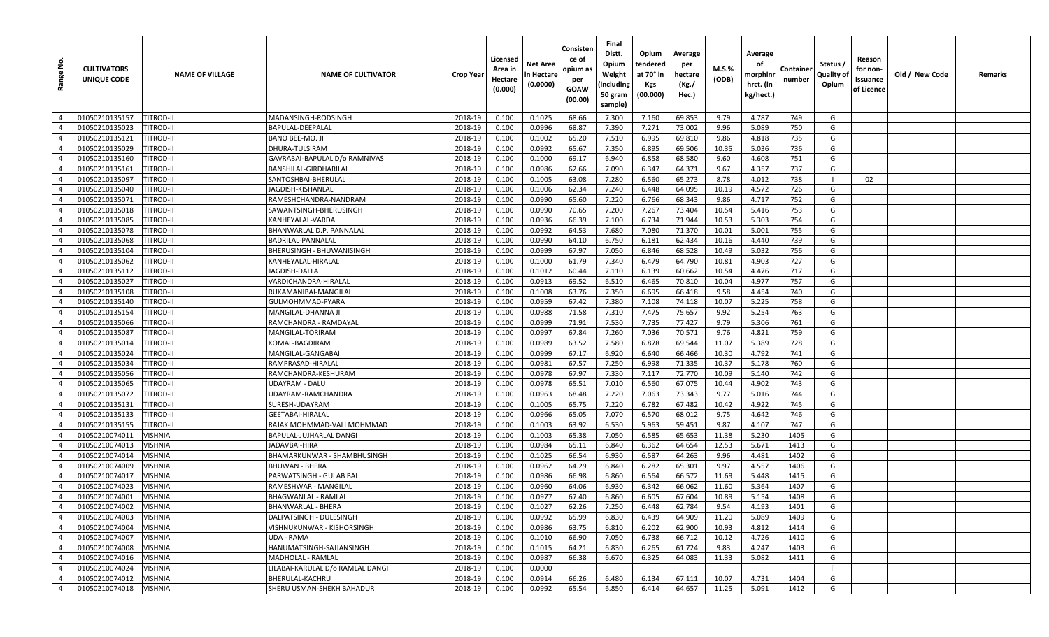| <u>و</u><br>Range | <b>CULTIVATORS</b><br>UNIQUE CODE | <b>NAME OF VILLAGE</b> | <b>NAME OF CULTIVATOR</b>        | <b>Crop Year</b> | Licensed<br>Area in<br>Hectare<br>(0.000) | Net Area<br>n Hectare<br>(0.0000) | Consisten<br>ce of<br>opium as<br>per<br>GOAW<br>(00.00) | Final<br>Distt.<br>Opium<br>Weight<br>(including<br>50 gram<br>sample) | Opium<br>tendered<br>at 70° in<br>Kgs<br>(00.000) | Average<br>per<br>hectare<br>(Kg./<br>Hec.) | M.S.%<br>(ODB) | Average<br>οf<br>morphinr<br>hrct. (in<br>kg/hect.) | Container<br>number | Status /<br>Quality of<br>Opium | Reason<br>for non-<br>Issuance<br>of Licence | Old / New Code | Remarks |
|-------------------|-----------------------------------|------------------------|----------------------------------|------------------|-------------------------------------------|-----------------------------------|----------------------------------------------------------|------------------------------------------------------------------------|---------------------------------------------------|---------------------------------------------|----------------|-----------------------------------------------------|---------------------|---------------------------------|----------------------------------------------|----------------|---------|
| $\overline{4}$    | 01050210135157                    | <b>TITROD-II</b>       | MADANSINGH-RODSINGH              | 2018-19          | 0.100                                     | 0.1025                            | 68.66                                                    | 7.300                                                                  | 7.160                                             | 69.853                                      | 9.79           | 4.787                                               | 749                 | G                               |                                              |                |         |
| $\overline{4}$    | 01050210135023                    | <b>ITROD-II</b>        | BAPULAL-DEEPALAL                 | 2018-19          | 0.100                                     | 0.0996                            | 68.87                                                    | 7.390                                                                  | 7.271                                             | 73.002                                      | 9.96           | 5.089                                               | 750                 | G                               |                                              |                |         |
| $\overline{4}$    | 01050210135121                    | <b>TITROD-II</b>       | BANO BEE-MO. JI                  | 2018-19          | 0.100                                     | 0.1002                            | 65.20                                                    | 7.510                                                                  | 6.995                                             | 69.810                                      | 9.86           | 4.818                                               | 735                 | G                               |                                              |                |         |
| $\overline{4}$    | 01050210135029                    | TITROD-II              | DHURA-TULSIRAM                   | 2018-19          | 0.100                                     | 0.0992                            | 65.67                                                    | 7.350                                                                  | 6.895                                             | 69.506                                      | 10.35          | 5.036                                               | 736                 | G                               |                                              |                |         |
| $\overline{4}$    | 01050210135160                    | <b>TITROD-II</b>       | GAVRABAI-BAPULAL D/o RAMNIVAS    | 2018-19          | 0.100                                     | 0.1000                            | 69.17                                                    | 6.940                                                                  | 6.858                                             | 68.580                                      | 9.60           | 4.608                                               | 751                 | G                               |                                              |                |         |
| $\overline{4}$    | 01050210135161                    | TITROD-II              | BANSHILAL-GIRDHARILAL            | 2018-19          | 0.100                                     | 0.0986                            | 62.66                                                    | 7.090                                                                  | 6.347                                             | 64.371                                      | 9.67           | 4.357                                               | 737                 | G                               |                                              |                |         |
| $\overline{4}$    | 01050210135097                    | titrod-ii              | SANTOSHBAI-BHERULAL              | 2018-19          | 0.100                                     | 0.1005                            | 63.08                                                    | 7.280                                                                  | 6.560                                             | 65.273                                      | 8.78           | 4.012                                               | 738                 |                                 | 02                                           |                |         |
| $\overline{4}$    | 01050210135040                    | TITROD-II              | JAGDISH-KISHANLAL                | 2018-19          | 0.100                                     | 0.1006                            | 62.34                                                    | 7.240                                                                  | 6.448                                             | 64.095                                      | 10.19          | 4.572                                               | 726                 | G                               |                                              |                |         |
| $\overline{4}$    | 01050210135071                    | <b>TITROD-II</b>       | RAMESHCHANDRA-NANDRAM            | 2018-19          | 0.100                                     | 0.0990                            | 65.60                                                    | 7.220                                                                  | 6.766                                             | 68.343                                      | 9.86           | 4.717                                               | 752                 | G                               |                                              |                |         |
| $\overline{4}$    | 01050210135018                    | <b>ITROD-II</b>        | SAWANTSINGH-BHERUSINGH           | 2018-19          | 0.100                                     | 0.0990                            | 70.65                                                    | 7.200                                                                  | 7.267                                             | 73.404                                      | 10.54          | 5.416                                               | 753                 | G                               |                                              |                |         |
| $\overline{4}$    | 01050210135085                    | TITROD-II              | KANHEYALAL-VARDA                 | 2018-19          | 0.100                                     | 0.0936                            | 66.39                                                    | 7.100                                                                  | 6.734                                             | 71.944                                      | 10.53          | 5.303                                               | 754                 | G                               |                                              |                |         |
| $\overline{4}$    | 01050210135078                    | TITROD-II              | BHANWARLAL D.P. PANNALAL         | 2018-19          | 0.100                                     | 0.0992                            | 64.53                                                    | 7.680                                                                  | 7.080                                             | 71.370                                      | 10.01          | 5.001                                               | 755                 | G                               |                                              |                |         |
| $\overline{4}$    | 01050210135068                    | TITROD-II              | BADRILAL-PANNALAL                | 2018-19          | 0.100                                     | 0.0990                            | 64.10                                                    | 6.750                                                                  | 6.181                                             | 62.434                                      | 10.16          | 4.440                                               | 739                 | G                               |                                              |                |         |
| $\overline{4}$    | 01050210135104                    | titrod-ii              | BHERUSINGH - BHUWANISINGH        | 2018-19          | 0.100                                     | 0.0999                            | 67.97                                                    | 7.050                                                                  | 6.846                                             | 68.528                                      | 10.49          | 5.032                                               | 756                 | G                               |                                              |                |         |
| $\overline{4}$    | 01050210135062                    | <b>TITROD-II</b>       | KANHEYALAL-HIRALAL               | 2018-19          | 0.100                                     | 0.1000                            | 61.79                                                    | 7.340                                                                  | 6.479                                             | 64.790                                      | 10.81          | 4.903                                               | 727                 | G                               |                                              |                |         |
| $\overline{4}$    | 01050210135112                    | <b>TITROD-II</b>       | IAGDISH-DALLA                    | 2018-19          | 0.100                                     | 0.1012                            | 60.44                                                    | 7.110                                                                  | 6.139                                             | 60.662                                      | 10.54          | 4.476                                               | 717                 | G                               |                                              |                |         |
| $\overline{4}$    | 01050210135027                    | TITROD-II              | VARDICHANDRA-HIRALAL             | 2018-19          | 0.100                                     | 0.0913                            | 69.52                                                    | 6.510                                                                  | 6.465                                             | 70.810                                      | 10.04          | 4.977                                               | 757                 | G                               |                                              |                |         |
| $\overline{4}$    | 01050210135108                    | TITROD-II              | RUKAMANIBAI-MANGILAL             | 2018-19          | 0.100                                     | 0.1008                            | 63.76                                                    | 7.350                                                                  | 6.695                                             | 66.418                                      | 9.58           | 4.454                                               | 740                 | G                               |                                              |                |         |
| $\overline{4}$    | 01050210135140                    | TITROD-II              | GULMOHMMAD-PYARA                 | 2018-19          | 0.100                                     | 0.0959                            | 67.42                                                    | 7.380                                                                  | 7.108                                             | 74.118                                      | 10.07          | 5.225                                               | 758                 | G                               |                                              |                |         |
| $\overline{4}$    | 01050210135154                    | <b>TITROD-II</b>       | MANGILAL-DHANNA JI               | 2018-19          | 0.100                                     | 0.0988                            | 71.58                                                    | 7.310                                                                  | 7.475                                             | 75.657                                      | 9.92           | 5.254                                               | 763                 | G                               |                                              |                |         |
| $\overline{4}$    | 01050210135066                    | TITROD-II              | RAMCHANDRA - RAMDAYAL            | 2018-19          | 0.100                                     | 0.0999                            | 71.91                                                    | 7.530                                                                  | 7.735                                             | 77.427                                      | 9.79           | 5.306                                               | 761                 | G                               |                                              |                |         |
| $\overline{4}$    | 01050210135087                    | <b>TITROD-II</b>       | MANGILAL-TORIRAM                 | 2018-19          | 0.100                                     | 0.0997                            | 67.84                                                    | 7.260                                                                  | 7.036                                             | 70.571                                      | 9.76           | 4.821                                               | 759                 | G                               |                                              |                |         |
| $\overline{4}$    | 01050210135014                    | titrod-ii              | KOMAL-BAGDIRAM                   | 2018-19          | 0.100                                     | 0.0989                            | 63.52                                                    | 7.580                                                                  | 6.878                                             | 69.544                                      | 11.07          | 5.389                                               | 728                 | G                               |                                              |                |         |
| $\overline{4}$    | 01050210135024                    | titrod-ii              | MANGILAL-GANGABAI                | 2018-19          | 0.100                                     | 0.0999                            | 67.17                                                    | 6.920                                                                  | 6.640                                             | 66.466                                      | 10.30          | 4.792                                               | 741                 | G                               |                                              |                |         |
| $\overline{4}$    | 01050210135034                    | titrod-ii              | RAMPRASAD-HIRALAL                | 2018-19          | 0.100                                     | 0.0981                            | 67.57                                                    | 7.250                                                                  | 6.998                                             | 71.335                                      | 10.37          | 5.178                                               | 760                 | G                               |                                              |                |         |
| $\overline{4}$    | 01050210135056                    | TITROD-II              | RAMCHANDRA-KESHURAM              | 2018-19          | 0.100                                     | 0.0978                            | 67.97                                                    | 7.330                                                                  | 7.117                                             | 72.770                                      | 10.09          | 5.140                                               | 742                 | G                               |                                              |                |         |
| $\overline{4}$    | 01050210135065                    | <b>ITROD-II</b>        | JDAYRAM - DALU                   | 2018-19          | 0.100                                     | 0.0978                            | 65.51                                                    | 7.010                                                                  | 6.560                                             | 67.075                                      | 10.44          | 4.902                                               | 743                 | G                               |                                              |                |         |
| $\overline{4}$    | 01050210135072                    | TITROD-II              | JDAYRAM-RAMCHANDRA               | 2018-19          | 0.100                                     | 0.0963                            | 68.48                                                    | 7.220                                                                  | 7.063                                             | 73.343                                      | 9.77           | 5.016                                               | 744                 | G                               |                                              |                |         |
| $\overline{4}$    | 01050210135131                    | TITROD-II              | SURESH-UDAYRAM                   | 2018-19          | 0.100                                     | 0.1005                            | 65.75                                                    | 7.220                                                                  | 6.782                                             | 67.482                                      | 10.42          | 4.922                                               | 745                 | G                               |                                              |                |         |
| $\overline{4}$    | 01050210135133                    | <b>TITROD-II</b>       | GEETABAI-HIRALAL                 | 2018-19          | 0.100                                     | 0.0966                            | 65.05                                                    | 7.070                                                                  | 6.570                                             | 68.012                                      | 9.75           | 4.642                                               | 746                 | G                               |                                              |                |         |
| $\overline{4}$    | 01050210135155                    | TITROD-II              | RAJAK MOHMMAD-VALI MOHMMAD       | 2018-19          | 0.100                                     | 0.1003                            | 63.92                                                    | 6.530                                                                  | 5.963                                             | 59.451                                      | 9.87           | 4.107                                               | 747                 | G                               |                                              |                |         |
| $\overline{4}$    | 01050210074011                    | VISHNIA                | BAPULAL-JUJHARLAL DANGI          | 2018-19          | 0.100                                     | 0.1003                            | 65.38                                                    | 7.050                                                                  | 6.585                                             | 65.653                                      | 11.38          | 5.230                                               | 1405                | G                               |                                              |                |         |
| $\overline{4}$    | 01050210074013                    | VISHNIA                | JADAVBAI-HIRA                    | 2018-19          | 0.100                                     | 0.0984                            | 65.11                                                    | 6.840                                                                  | 6.362                                             | 64.654                                      | 12.53          | 5.671                                               | 1413                | G                               |                                              |                |         |
| $\overline{4}$    | 01050210074014                    | VISHNIA                | BHAMARKUNWAR - SHAMBHUSINGH      | 2018-19          | 0.100                                     | 0.1025                            | 66.54                                                    | 6.930                                                                  | 6.587                                             | 64.263                                      | 9.96           | 4.481                                               | 1402                | G                               |                                              |                |         |
| $\overline{4}$    | 01050210074009                    | VISHNIA                | BHUWAN - BHERA                   | 2018-19          | 0.100                                     | 0.0962                            | 64.29                                                    | 6.840                                                                  | 6.282                                             | 65.301                                      | 9.97           | 4.557                                               | 1406                | G                               |                                              |                |         |
| $\overline{4}$    | 01050210074017                    | VISHNIA                | PARWATSINGH - GULAB BAI          | 2018-19          | 0.100                                     | 0.0986                            | 66.98                                                    | 6.860                                                                  | 6.564                                             | 66.572                                      | 11.69          | 5.448                                               | 1415                | G                               |                                              |                |         |
| $\overline{4}$    | 01050210074023                    | VISHNIA                | RAMESHWAR - MANGILAL             | 2018-19          | 0.100                                     | 0.0960                            | 64.06                                                    | 6.930                                                                  | 6.342                                             | 66.062                                      | 11.60          | 5.364                                               | 1407                | G                               |                                              |                |         |
| $\overline{4}$    | 01050210074001                    | VISHNIA                | BHAGWANLAL - RAMLAL              | 2018-19          | 0.100                                     | 0.0977                            | 67.40                                                    | 6.860                                                                  | 6.605                                             | 67.604                                      | 10.89          | 5.154                                               | 1408                | G                               |                                              |                |         |
| $4 \mid$          | 01050210074002                    | <b>VISHNIA</b>         | BHANWARLAL - BHERA               | 2018-19          | 0.100                                     | 0.1027                            | 62.26                                                    | 7.250                                                                  | 6.448                                             | 62.784                                      | 9.54           | 4.193                                               | 1401                | G                               |                                              |                |         |
| $\overline{4}$    | 01050210074003                    | <b>VISHNIA</b>         | DALPATSINGH - DULESINGH          | 2018-19          | 0.100                                     | 0.0992                            | 65.99                                                    | 6.830                                                                  | 6.439                                             | 64.909                                      | 11.20          | 5.089                                               | 1409                | G                               |                                              |                |         |
| $\overline{4}$    | 01050210074004                    | VISHNIA                | VISHNUKUNWAR - KISHORSINGH       | 2018-19          | 0.100                                     | 0.0986                            | 63.75                                                    | 6.810                                                                  | 6.202                                             | 62.900                                      | 10.93          | 4.812                                               | 1414                | G                               |                                              |                |         |
| $\overline{4}$    | 01050210074007                    | <b>VISHNIA</b>         | UDA - RAMA                       | 2018-19          | 0.100                                     | 0.1010                            | 66.90                                                    | 7.050                                                                  | 6.738                                             | 66.712                                      | 10.12          | 4.726                                               | 1410                | G                               |                                              |                |         |
| $\overline{4}$    | 01050210074008                    | <b>VISHNIA</b>         | HANUMATSINGH-SAJJANSINGH         | 2018-19          | 0.100                                     | 0.1015                            | 64.21                                                    | 6.830                                                                  | 6.265                                             | 61.724                                      | 9.83           | 4.247                                               | 1403                | G                               |                                              |                |         |
| $\overline{4}$    | 01050210074016                    | <b>VISHNIA</b>         | MADHOLAL - RAMLAL                | 2018-19          | 0.100                                     | 0.0987                            | 66.38                                                    | 6.670                                                                  | 6.325                                             | 64.083                                      | 11.33          | 5.082                                               | 1411                | G                               |                                              |                |         |
| $\overline{4}$    | 01050210074024                    | <b>VISHNIA</b>         | LILABAI-KARULAL D/o RAMLAL DANGI | 2018-19          | 0.100                                     | 0.0000                            |                                                          |                                                                        |                                                   |                                             |                |                                                     |                     | F                               |                                              |                |         |
| $\overline{4}$    | 01050210074012                    | VISHNIA                | BHERULAL-KACHRU                  | 2018-19          | 0.100                                     | 0.0914                            | 66.26                                                    | 6.480                                                                  | 6.134                                             | 67.111                                      | 10.07          | 4.731                                               | 1404                | G                               |                                              |                |         |
| $\overline{4}$    | 01050210074018                    | <b>VISHNIA</b>         | SHERU USMAN-SHEKH BAHADUR        | 2018-19          | 0.100                                     | 0.0992                            | 65.54                                                    | 6.850                                                                  | 6.414                                             | 64.657                                      | 11.25          | 5.091                                               | 1412                | G                               |                                              |                |         |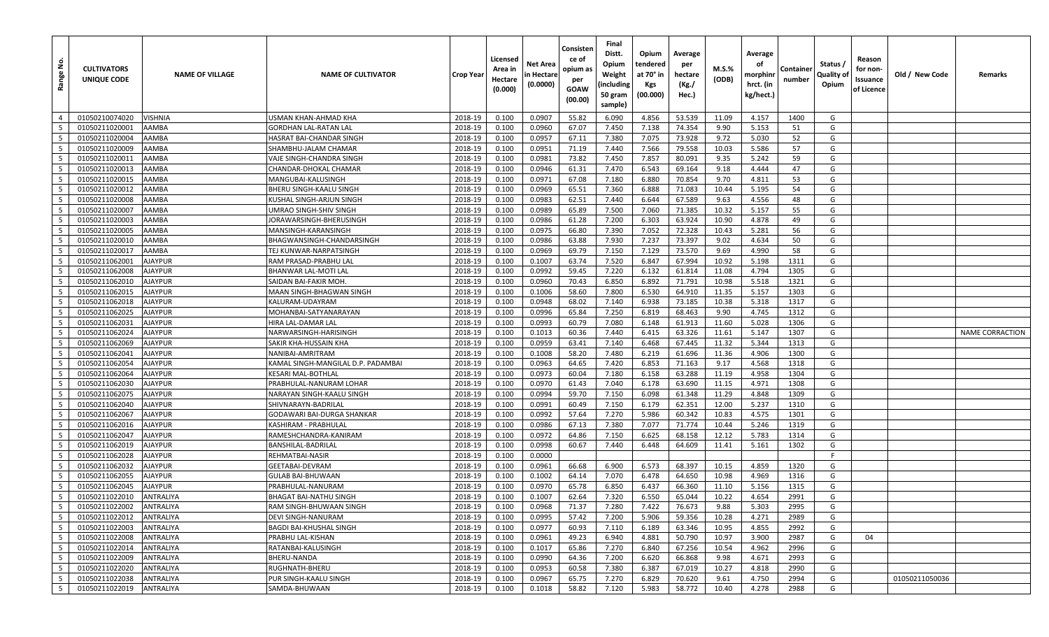| <u>و</u><br>Range    | <b>CULTIVATORS</b><br>UNIQUE CODE | <b>NAME OF VILLAGE</b>    | <b>NAME OF CULTIVATOR</b>            | <b>Crop Year</b>   | Licensed<br>Area in<br>Hectare<br>(0.000) | Net Area<br>n Hectare<br>(0.0000) | Consisten<br>ce of<br>opium as<br>per<br>GOAW<br>(00.00) | Final<br>Distt.<br>Opium<br>Weight<br>(including<br>50 gram<br>sample) | Opium<br>tendered<br>at 70° in<br>Kgs<br>(00.000) | Average<br>per<br>hectare<br>(Kg./<br>Hec.) | M.S.%<br>(ODB) | Average<br>οf<br>morphinr<br>hrct. (in<br>kg/hect.) | Container<br>number | Status /<br>Quality of<br>Opium | Reason<br>for non-<br>Issuance<br>of Licence | Old / New Code | Remarks         |
|----------------------|-----------------------------------|---------------------------|--------------------------------------|--------------------|-------------------------------------------|-----------------------------------|----------------------------------------------------------|------------------------------------------------------------------------|---------------------------------------------------|---------------------------------------------|----------------|-----------------------------------------------------|---------------------|---------------------------------|----------------------------------------------|----------------|-----------------|
| $\overline{4}$       | 01050210074020                    | VISHNIA                   | USMAN KHAN-AHMAD KHA                 | 2018-19            | 0.100                                     | 0.0907                            | 55.82                                                    | 6.090                                                                  | 4.856                                             | 53.539                                      | 11.09          | 4.157                                               | 1400                | G                               |                                              |                |                 |
| 5                    | 01050211020001                    | AAMBA                     | GORDHAN LAL-RATAN LAL                | 2018-19            | 0.100                                     | 0.0960                            | 67.07                                                    | 7.450                                                                  | 7.138                                             | 74.354                                      | 9.90           | 5.153                                               | 51                  | G                               |                                              |                |                 |
| 5                    | 01050211020004                    | AAMBA                     | HASRAT BAI-CHANDAR SINGH             | 2018-19            | 0.100                                     | 0.0957                            | 67.11                                                    | 7.380                                                                  | 7.075                                             | 73.928                                      | 9.72           | 5.030                                               | 52                  | G                               |                                              |                |                 |
| 5                    | 01050211020009                    | AAMBA                     | SHAMBHU-JALAM CHAMAR                 | 2018-19            | 0.100                                     | 0.0951                            | 71.19                                                    | 7.440                                                                  | 7.566                                             | 79.558                                      | 10.03          | 5.586                                               | 57                  | G                               |                                              |                |                 |
| 5                    | 01050211020011                    | AAMBA                     | VAJE SINGH-CHANDRA SINGH             | 2018-19            | 0.100                                     | 0.0981                            | 73.82                                                    | 7.450                                                                  | 7.857                                             | 80.091                                      | 9.35           | 5.242                                               | 59                  | G                               |                                              |                |                 |
| 5                    | 01050211020013                    | AAMBA                     | CHANDAR-DHOKAL CHAMAR                | 2018-19            | 0.100                                     | 0.0946                            | 61.31                                                    | 7.470                                                                  | 6.543                                             | 69.164                                      | 9.18           | 4.444                                               | 47                  | G                               |                                              |                |                 |
| $5\overline{)}$      | 01050211020015                    | AAMBA                     | MANGUBAI-KALUSINGH                   | 2018-19            | 0.100                                     | 0.0971                            | 67.08                                                    | 7.180                                                                  | 6.880                                             | 70.854                                      | 9.70           | 4.811                                               | 53                  | G                               |                                              |                |                 |
| 5                    | 01050211020012                    | AAMBA                     | BHERU SINGH-KAALU SINGH              | 2018-19            | 0.100                                     | 0.0969                            | 65.51                                                    | 7.360                                                                  | 6.888                                             | 71.083                                      | 10.44          | 5.195                                               | 54                  | G                               |                                              |                |                 |
| 5                    | 01050211020008                    | AAMBA                     | KUSHAL SINGH-ARJUN SINGH             | 2018-19            | 0.100                                     | 0.0983                            | 62.51                                                    | 7.440                                                                  | 6.644                                             | 67.589                                      | 9.63           | 4.556                                               | 48                  | G                               |                                              |                |                 |
| $5^{\circ}$          | 01050211020007                    | AAMBA                     | UMRAO SINGH-SHIV SINGH               | 2018-19            | 0.100                                     | 0.0989                            | 65.89                                                    | 7.500                                                                  | 7.060                                             | 71.385                                      | 10.32          | 5.157                                               | 55                  | G                               |                                              |                |                 |
| $5\overline{)}$      | 01050211020003                    | AAMBA                     | JORAWARSINGH-BHERUSINGH              | 2018-19            | 0.100                                     | 0.0986                            | 61.28                                                    | 7.200                                                                  | 6.303                                             | 63.924                                      | 10.90          | 4.878                                               | 49                  | G                               |                                              |                |                 |
| 5                    | 01050211020005                    | AAMBA                     | MANSINGH-KARANSINGH                  | 2018-19            | 0.100                                     | 0.0975                            | 66.80                                                    | 7.390                                                                  | 7.052                                             | 72.328                                      | 10.43          | 5.281                                               | 56                  | G                               |                                              |                |                 |
| $5\overline{5}$      | 01050211020010                    | AAMBA                     | BHAGWANSINGH-CHANDARSINGH            | 2018-19            | 0.100                                     | 0.0986                            | 63.88                                                    | 7.930                                                                  | 7.237                                             | 73.397                                      | 9.02           | 4.634                                               | 50                  | G                               |                                              |                |                 |
| $5\overline{)}$      | 01050211020017                    | AAMBA                     | TEJ KUNWAR-NARPATSINGH               | 2018-19            | 0.100                                     | 0.0969                            | 69.79                                                    | 7.150                                                                  | 7.129                                             | 73.570                                      | 9.69           | 4.990                                               | 58                  | G                               |                                              |                |                 |
| 5                    | 01050211062001                    | <b>AJAYPUR</b>            | RAM PRASAD-PRABHU LAI                | 2018-19            | 0.100                                     | 0.1007                            | 63.74                                                    | 7.520                                                                  | 6.847                                             | 67.994                                      | 10.92          | 5.198                                               | 1311                | G                               |                                              |                |                 |
| 5                    | 01050211062008                    | AJAYPUR                   | BHANWAR LAL-MOTI LAL                 | 2018-19            | 0.100                                     | 0.0992                            | 59.45                                                    | 7.220                                                                  | 6.132                                             | 61.814                                      | 11.08          | 4.794                                               | 1305                | G                               |                                              |                |                 |
| 5                    | 01050211062010                    | <b>AJAYPUR</b>            | SAIDAN BAI-FAKIR MOH                 | 2018-19            | 0.100                                     | 0.0960                            | 70.43                                                    | 6.850                                                                  | 6.892                                             | 71.791                                      | 10.98          | 5.518                                               | 1321                | G                               |                                              |                |                 |
| 5                    | 01050211062015                    | <b>AJAYPUR</b>            | MAAN SINGH-BHAGWAN SINGH             | 2018-19            | 0.100                                     | 0.1006                            | 58.60                                                    | 7.800                                                                  | 6.530                                             | 64.910                                      | 11.35          | 5.157                                               | 1303                | G                               |                                              |                |                 |
| 5                    | 01050211062018                    | <b>AJAYPUR</b>            | KALURAM-UDAYRAM                      | 2018-19            | 0.100                                     | 0.0948                            | 68.02                                                    | 7.140                                                                  | 6.938                                             | 73.185                                      | 10.38          | 5.318                                               | 1317                | G                               |                                              |                |                 |
| 5                    | 01050211062025                    | <b>AJAYPUR</b>            | MOHANBAI-SATYANARAYAN                | 2018-19            | 0.100                                     | 0.0996                            | 65.84                                                    | 7.250                                                                  | 6.819                                             | 68.463                                      | 9.90           | 4.745                                               | 1312                | G                               |                                              |                |                 |
| $5\overline{)}$      | 01050211062031                    | AJAYPUR                   | HIRA LAL-DAMAR LAL                   | 2018-19            | 0.100                                     | 0.0993                            | 60.79                                                    | 7.080                                                                  | 6.148                                             | 61.913                                      | 11.60          | 5.028                                               | 1306                | G                               |                                              |                |                 |
| 5                    | 01050211062024                    | <b>AJAYPUR</b>            | NARWARSINGH-HARISINGH                | 2018-19            | 0.100                                     | 0.1013                            | 60.36                                                    | 7.440                                                                  | 6.415                                             | 63.326                                      | 11.61          | 5.147                                               | 1307                | G                               |                                              |                | NAME CORRACTION |
| 5                    | 01050211062069                    | AJAYPUR                   | SAKIR KHA-HUSSAIN KHA                | 2018-19            | 0.100                                     | 0.0959                            | 63.41                                                    | 7.140                                                                  | 6.468                                             | 67.445                                      | 11.32          | 5.344                                               | 1313                | G                               |                                              |                |                 |
| 5                    | 01050211062041                    | AJAYPUR                   | NANIBAI-AMRITRAM                     | 2018-19            | 0.100                                     | 0.1008                            | 58.20                                                    | 7.480                                                                  | 6.219                                             | 61.696                                      | 11.36          | 4.906                                               | 1300                | G                               |                                              |                |                 |
| $5\overline{5}$      | 01050211062054                    | <b>AJAYPUR</b>            | KAMAL SINGH-MANGILAL D.P. PADAMBAI   | 2018-19            | 0.100                                     | 0.0963                            | 64.65                                                    | 7.420                                                                  | 6.853                                             | 71.163                                      | 9.17           | 4.568                                               | 1318                | G                               |                                              |                |                 |
| 5                    | 01050211062064                    | AJAYPUR                   | KESARI MAL-BOTHLAL                   | 2018-19            | 0.100                                     | 0.0973                            | 60.04                                                    | 7.180                                                                  | 6.158                                             | 63.288                                      | 11.19          | 4.958                                               | 1304                | G                               |                                              |                |                 |
| $5\overline{)}$      | 01050211062030                    | <b>AJAYPUR</b>            | PRABHULAL-NANURAM LOHAR              | 2018-19            | 0.100                                     | 0.0970                            | 61.43                                                    | 7.040                                                                  | 6.178                                             | 63.690                                      | 11.15          | 4.971                                               | 1308                | G                               |                                              |                |                 |
| 5                    | 01050211062075                    | <b>AJAYPUR</b>            | NARAYAN SINGH-KAALU SINGH            | 2018-19            | 0.100                                     | 0.0994                            | 59.70                                                    | 7.150                                                                  | 6.098                                             | 61.348                                      | 11.29          | 4.848                                               | 1309                | G                               |                                              |                |                 |
| 5                    | 01050211062040                    | <b>AJAYPUR</b>            | SHIVNARAYN-BADRILAL                  | 2018-19            | 0.100                                     | 0.0991                            | 60.49                                                    | 7.150                                                                  | 6.179                                             | 62.351                                      | 12.00          | 5.237                                               | 1310                | G                               |                                              |                |                 |
| 5                    | 01050211062067                    | AJAYPUR                   | GODAWARI BAI-DURGA SHANKAR           | 2018-19            | 0.100                                     | 0.0992                            | 57.64                                                    | 7.270                                                                  | 5.986                                             | 60.342                                      | 10.83          | 4.575                                               | 1301                | G                               |                                              |                |                 |
| 5                    | 01050211062016                    | <b>AJAYPUR</b>            | KASHIRAM - PRABHULAL                 | 2018-19            | 0.100                                     | 0.0986                            | 67.13                                                    | 7.380                                                                  | 7.077                                             | 71.774                                      | 10.44          | 5.246                                               | 1319                | G                               |                                              |                |                 |
| $5\overline{)}$<br>5 | 01050211062047                    | AJAYPUR                   | RAMESHCHANDRA-KANIRAM                | 2018-19            | 0.100                                     | 0.0972                            | 64.86                                                    | 7.150<br>7.440                                                         | 6.625                                             | 68.158                                      | 12.12          | 5.783                                               | 1314<br>1302        | G<br>G                          |                                              |                |                 |
| 5                    | 01050211062019                    | <b>AJAYPUR</b>            | BANSHILAL-BADRILAL                   | 2018-19            | 0.100                                     | 0.0998                            | 60.67                                                    |                                                                        | 6.448                                             | 64.609                                      | 11.41          | 5.161                                               |                     | F                               |                                              |                |                 |
| 5                    | 01050211062028                    | <b>AJAYPUR</b><br>AJAYPUR | REHMATBAI-NASIR                      | 2018-19            | 0.100                                     | 0.0000<br>0.0961                  | 66.68                                                    |                                                                        | 6.573                                             | 68.397                                      | 10.15          | 4.859                                               | 1320                | G                               |                                              |                |                 |
| 5                    | 01050211062032<br>01050211062055  | <b>AJAYPUR</b>            | GEETABAI-DEVRAM<br>GULAB BAI-BHUWAAN | 2018-19<br>2018-19 | 0.100<br>0.100                            | 0.1002                            | 64.14                                                    | 6.900<br>7.070                                                         | 6.478                                             | 64.650                                      | 10.98          | 4.969                                               | 1316                | G                               |                                              |                |                 |
| 5                    | 01050211062045                    | AJAYPUR                   | PRABHULAL-NANURAM                    | 2018-19            | 0.100                                     | 0.0970                            | 65.78                                                    | 6.850                                                                  | 6.437                                             | 66.360                                      | 11.10          | 5.156                                               | 1315                | G                               |                                              |                |                 |
| $5^{\circ}$          | 01050211022010                    | ANTRALIYA                 | BHAGAT BAI-NATHU SINGH               | 2018-19            | 0.100                                     | 0.1007                            | 62.64                                                    | 7.320                                                                  | 6.550                                             | 65.044                                      | 10.22          | 4.654                                               | 2991                | G                               |                                              |                |                 |
| 5 <sup>1</sup>       | 01050211022002                    | ANTRALIYA                 | RAM SINGH-BHUWAAN SINGH              | 2018-19            | 0.100                                     | 0.0968                            | 71.37                                                    | 7.280                                                                  | 7.422                                             | 76.673                                      | 9.88           | 5.303                                               | 2995                | G                               |                                              |                |                 |
| $5\overline{5}$      | 01050211022012                    | ANTRALIYA                 | DEVI SINGH-NANURAM                   | 2018-19            | 0.100                                     | 0.0995                            | 57.42                                                    | 7.200                                                                  | 5.906                                             | 59.356                                      | 10.28          | 4.271                                               | 2989                | G                               |                                              |                |                 |
| $5\overline{)}$      | 01050211022003                    | ANTRALIYA                 | BAGDI BAI-KHUSHAL SINGH              | 2018-19            | 0.100                                     | 0.0977                            | 60.93                                                    | 7.110                                                                  | 6.189                                             | 63.346                                      | 10.95          | 4.855                                               | 2992                | G                               |                                              |                |                 |
| 5 <sup>5</sup>       | 01050211022008                    | ANTRALIYA                 | PRABHU LAL-KISHAN                    | 2018-19            | 0.100                                     | 0.0961                            | 49.23                                                    | 6.940                                                                  | 4.881                                             | 50.790                                      | 10.97          | 3.900                                               | 2987                | G                               | 04                                           |                |                 |
| 5 <sup>5</sup>       | 01050211022014                    | ANTRALIYA                 | RATANBAI-KALUSINGH                   | 2018-19            | 0.100                                     | 0.1017                            | 65.86                                                    | 7.270                                                                  | 6.840                                             | 67.256                                      | 10.54          | 4.962                                               | 2996                | G                               |                                              |                |                 |
| $5\overline{5}$      | 01050211022009                    | ANTRALIYA                 | BHERU-NANDA                          | 2018-19            | 0.100                                     | 0.0990                            | 64.36                                                    | 7.200                                                                  | 6.620                                             | 66.868                                      | 9.98           | 4.671                                               | 2993                | G                               |                                              |                |                 |
| $5\overline{5}$      | 01050211022020                    | ANTRALIYA                 | RUGHNATH-BHERU                       | 2018-19            | 0.100                                     | 0.0953                            | 60.58                                                    | 7.380                                                                  | 6.387                                             | 67.019                                      | 10.27          | 4.818                                               | 2990                | G                               |                                              |                |                 |
| 5 <sup>5</sup>       | 01050211022038                    | ANTRALIYA                 | PUR SINGH-KAALU SINGH                | 2018-19            | 0.100                                     | 0.0967                            | 65.75                                                    | 7.270                                                                  | 6.829                                             | 70.620                                      | 9.61           | 4.750                                               | 2994                | G                               |                                              | 01050211050036 |                 |
| 5                    | 01050211022019                    | ANTRALIYA                 | SAMDA-BHUWAAN                        | 2018-19            | 0.100                                     | 0.1018                            | 58.82                                                    | 7.120                                                                  | 5.983                                             | 58.772                                      | 10.40          | 4.278                                               | 2988                | G                               |                                              |                |                 |
|                      |                                   |                           |                                      |                    |                                           |                                   |                                                          |                                                                        |                                                   |                                             |                |                                                     |                     |                                 |                                              |                |                 |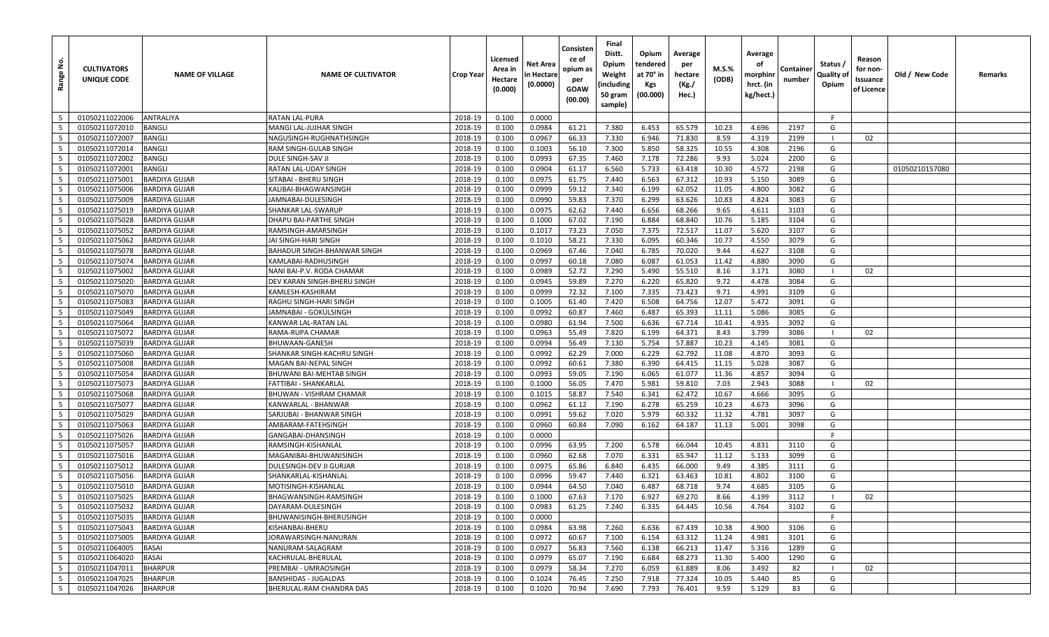| غ.<br>Range              | <b>CULTIVATORS</b><br>UNIQUE CODE | <b>NAME OF VILLAGE</b> | <b>NAME OF CULTIVATOR</b>   | Crop Year | Licensed<br>Area in<br>Hectare<br>(0.000) | Net Area<br>n Hectare<br>(0.0000) | Consisten<br>ce of<br>opium as<br>per<br><b>GOAW</b><br>(00.00) | Final<br>Distt.<br>Opium<br>Weight<br>(including<br>50 gram<br>sample) | Opium<br>tendered<br>at 70° in<br><b>Kgs</b><br>(00.000) | Average<br>per<br>hectare<br>(Kg./<br>Hec.) | <b>M.S.%</b><br>(ODB) | Average<br>οf<br>morphinr<br>hrct. (in<br>kg/hect.) | Containe<br>number | Status /<br>Quality of<br>Opium | Reason<br>for non-<br>Issuance<br>of Licence | Old / New Code | Remarks |
|--------------------------|-----------------------------------|------------------------|-----------------------------|-----------|-------------------------------------------|-----------------------------------|-----------------------------------------------------------------|------------------------------------------------------------------------|----------------------------------------------------------|---------------------------------------------|-----------------------|-----------------------------------------------------|--------------------|---------------------------------|----------------------------------------------|----------------|---------|
| 5                        | 01050211022006                    | ANTRALIYA              | <b>RATAN LAL-PURA</b>       | 2018-19   | 0.100                                     | 0.0000                            |                                                                 |                                                                        |                                                          |                                             |                       |                                                     |                    | F                               |                                              |                |         |
| 5                        | 01050211072010                    | <b>BANGLI</b>          | MANGI LAL-JUJHAR SINGH      | 2018-19   | 0.100                                     | 0.0984                            | 61.21                                                           | 7.380                                                                  | 6.453                                                    | 65.579                                      | 10.23                 | 4.696                                               | 2197               | G                               |                                              |                |         |
| - 5                      | 01050211072007                    | <b>BANGLI</b>          | NAGUSINGH-RUGHNATHSINGH     | 2018-19   | 0.100                                     | 0.0967                            | 66.33                                                           | 7.330                                                                  | 6.946                                                    | 71.830                                      | 8.59                  | 4.319                                               | 2199               |                                 | 02                                           |                |         |
| 5                        | 01050211072014                    | <b>BANGLI</b>          | RAM SINGH-GULAB SINGH       | 2018-19   | 0.100                                     | 0.1003                            | 56.10                                                           | 7.300                                                                  | 5.850                                                    | 58.325                                      | 10.55                 | 4.308                                               | 2196               | G                               |                                              |                |         |
| 5                        | 01050211072002                    | <b>BANGLI</b>          | <b>DULE SINGH-SAV JI</b>    | 2018-19   | 0.100                                     | 0.0993                            | 67.35                                                           | 7.460                                                                  | 7.178                                                    | 72.286                                      | 9.93                  | 5.024                                               | 2200               | G                               |                                              |                |         |
| 5                        | 01050211072001                    | <b>BANGLI</b>          | RATAN LAL-UDAY SINGH        | 2018-19   | 0.100                                     | 0.0904                            | 61.17                                                           | 6.560                                                                  | 5.733                                                    | 63.418                                      | 10.30                 | 4.572                                               | 2198               | G                               |                                              | 01050210157080 |         |
| $5\overline{5}$          | 01050211075001                    | <b>BARDIYA GUJAR</b>   | SITABAI - BHERU SINGH       | 2018-19   | 0.100                                     | 0.0975                            | 61.75                                                           | 7.440                                                                  | 6.563                                                    | 67.312                                      | 10.93                 | 5.150                                               | 3089               | G                               |                                              |                |         |
| 5                        | 01050211075006                    | <b>BARDIYA GUJAR</b>   | KALIBAI-BHAGWANSINGH        | 2018-19   | 0.100                                     | 0.0999                            | 59.12                                                           | 7.340                                                                  | 6.199                                                    | 62.052                                      | 11.05                 | 4.800                                               | 3082               | G                               |                                              |                |         |
| 5                        | 01050211075009                    | <b>BARDIYA GUJAR</b>   | JAMNABAI-DULESINGH          | 2018-19   | 0.100                                     | 0.0990                            | 59.83                                                           | 7.370                                                                  | 6.299                                                    | 63.626                                      | 10.83                 | 4.824                                               | 3083               | G                               |                                              |                |         |
| 5                        | 01050211075019                    | <b>BARDIYA GUJAR</b>   | SHANKAR LAL-SWARUP          | 2018-19   | 0.100                                     | 0.0975                            | 62.62                                                           | 7.440                                                                  | 6.656                                                    | 68.266                                      | 9.65                  | 4.611                                               | 3103               | G                               |                                              |                |         |
| 5                        | 01050211075028                    | <b>BARDIYA GUJAR</b>   | DHAPU BAI-PARTHE SINGH      | 2018-19   | 0.100                                     | 0.1000                            | 67.02                                                           | 7.190                                                                  | 6.884                                                    | 68.840                                      | 10.76                 | 5.185                                               | 3104               | G                               |                                              |                |         |
| 5                        | 01050211075052                    | <b>BARDIYA GUJAR</b>   | RAMSINGH-AMARSINGH          | 2018-19   | 0.100                                     | 0.1017                            | 73.23                                                           | 7.050                                                                  | 7.375                                                    | 72.517                                      | 11.07                 | 5.620                                               | 3107               | G                               |                                              |                |         |
| $5\overline{5}$          | 01050211075062                    | <b>BARDIYA GUJAR</b>   | JAI SINGH-HARI SINGH        | 2018-19   | 0.100                                     | 0.1010                            | 58.21                                                           | 7.330                                                                  | 6.095                                                    | 60.346                                      | 10.77                 | 4.550                                               | 3079               | G                               |                                              |                |         |
| 5                        | 01050211075078                    | <b>BARDIYA GUJAR</b>   | BAHADUR SINGH-BHANWAR SINGH | 2018-19   | 0.100                                     | 0.0969                            | 67.46                                                           | 7.040                                                                  | 6.785                                                    | 70.020                                      | 9.44                  | 4.627                                               | 3108               | G                               |                                              |                |         |
| 5                        | 01050211075074                    | <b>BARDIYA GUJAR</b>   | KAMLABAI-RADHUSINGH         | 2018-19   | 0.100                                     | 0.0997                            | 60.18                                                           | 7.080                                                                  | 6.087                                                    | 61.053                                      | 11.42                 | 4.880                                               | 3090               | G                               |                                              |                |         |
| $5\overline{5}$          | 01050211075002                    | <b>BARDIYA GUJAR</b>   | NANI BAI-P.V. RODA CHAMAR   | 2018-19   | 0.100                                     | 0.0989                            | 52.72                                                           | 7.290                                                                  | 5.490                                                    | 55.510                                      | 8.16                  | 3.171                                               | 3080               |                                 | 02                                           |                |         |
| 5                        | 01050211075020                    | <b>BARDIYA GUJAR</b>   | DEV KARAN SINGH-BHERU SINGH | 2018-19   | 0.100                                     | 0.0945                            | 59.89                                                           | 7.270                                                                  | 6.220                                                    | 65.820                                      | 9.72                  | 4.478                                               | 3084               | G                               |                                              |                |         |
| 5                        | 01050211075070                    | <b>BARDIYA GUJAR</b>   | KAMLESH-KASHIRAM            | 2018-19   | 0.100                                     | 0.0999                            | 72.32                                                           | 7.100                                                                  | 7.335                                                    | 73.423                                      | 9.71                  | 4.991                                               | 3109               | G                               |                                              |                |         |
| 5                        | 01050211075083                    | <b>BARDIYA GUJAR</b>   | RAGHU SINGH-HARI SINGH      | 2018-19   | 0.100                                     | 0.1005                            | 61.40                                                           | 7.420                                                                  | 6.508                                                    | 64.756                                      | 12.07                 | 5.472                                               | 3091               | G                               |                                              |                |         |
| 5                        | 01050211075049                    | <b>BARDIYA GUJAR</b>   | JAMNABAI - GOKULSINGH       | 2018-19   | 0.100                                     | 0.0992                            | 60.87                                                           | 7.460                                                                  | 6.487                                                    | 65.393                                      | 11.11                 | 5.086                                               | 3085               | G                               |                                              |                |         |
| 5                        | 01050211075064                    | <b>BARDIYA GUJAR</b>   | KANWAR LAL-RATAN LAL        | 2018-19   | 0.100                                     | 0.0980                            | 61.94                                                           | 7.500                                                                  | 6.636                                                    | 67.714                                      | 10.41                 | 4.935                                               | 3092               | G                               |                                              |                |         |
| 5                        | 01050211075072                    | <b>BARDIYA GUJAR</b>   | RAMA-RUPA CHAMAR            | 2018-19   | 0.100                                     | 0.0963                            | 55.49                                                           | 7.820                                                                  | 6.199                                                    | 64.371                                      | 8.43                  | 3.799                                               | 3086               | $\blacksquare$                  | 02                                           |                |         |
| 5                        | 01050211075039                    | <b>BARDIYA GUJAR</b>   | BHUWAAN-GANESH              | 2018-19   | 0.100                                     | 0.0994                            | 56.49                                                           | 7.130                                                                  | 5.754                                                    | 57.887                                      | 10.23                 | 4.145                                               | 3081               | G                               |                                              |                |         |
| 5                        | 01050211075060                    | <b>BARDIYA GUJAR</b>   | SHANKAR SINGH-KACHRU SINGH  | 2018-19   | 0.100                                     | 0.0992                            | 62.29                                                           | 7.000                                                                  | 6.229                                                    | 62.792                                      | 11.08                 | 4.870                                               | 3093               | G                               |                                              |                |         |
| $5\overline{5}$          | 01050211075008                    | <b>BARDIYA GUJAR</b>   | MAGAN BAI-NEPAL SINGH       | 2018-19   | 0.100                                     | 0.0992                            | 60.61                                                           | 7.380                                                                  | 6.390                                                    | 64.415                                      | 11.15                 | 5.028                                               | 3087               | G                               |                                              |                |         |
| 5                        | 01050211075054                    | <b>BARDIYA GUJAR</b>   | BHUWANI BAI-MEHTAB SINGH    | 2018-19   | 0.100                                     | 0.0993                            | 59.05                                                           | 7.190                                                                  | 6.065                                                    | 61.077                                      | 11.36                 | 4.857                                               | 3094               | G                               |                                              |                |         |
| $5\overline{5}$          | 01050211075073                    | <b>BARDIYA GUJAR</b>   | FATTIBAI - SHANKARLAL       | 2018-19   | 0.100                                     | 0.1000                            | 56.05                                                           | 7.470                                                                  | 5.981                                                    | 59.810                                      | 7.03                  | 2.943                                               | 3088               |                                 | 02                                           |                |         |
| 5                        | 01050211075068                    | <b>BARDIYA GUJAR</b>   | BHUWAN - VISHRAM CHAMAR     | 2018-19   | 0.100                                     | 0.1015                            | 58.87                                                           | 7.540                                                                  | 6.341                                                    | 62.472                                      | 10.67                 | 4.666                                               | 3095               | G                               |                                              |                |         |
| 5                        | 01050211075077                    | <b>BARDIYA GUJAR</b>   | KANWARLAL - BHANWAR         | 2018-19   | 0.100                                     | 0.0962                            | 61.12                                                           | 7.190                                                                  | 6.278                                                    | 65.259                                      | 10.23                 | 4.673                                               | 3096               | G                               |                                              |                |         |
| 5                        | 01050211075029                    | <b>BARDIYA GUJAR</b>   | SARJUBAI - BHANWAR SINGH    | 2018-19   | 0.100                                     | 0.0991                            | 59.62                                                           | 7.020                                                                  | 5.979                                                    | 60.332                                      | 11.32                 | 4.781                                               | 3097               | G                               |                                              |                |         |
| 5                        | 01050211075063                    | <b>BARDIYA GUJAR</b>   | AMBARAM-FATEHSINGH          | 2018-19   | 0.100                                     | 0.0960                            | 60.84                                                           | 7.090                                                                  | 6.162                                                    | 64.187                                      | 11.13                 | 5.001                                               | 3098               | G                               |                                              |                |         |
| 5                        | 01050211075026                    | <b>BARDIYA GUJAR</b>   | GANGABAI-DHANSINGH          | 2018-19   | 0.100                                     | 0.0000                            |                                                                 |                                                                        |                                                          |                                             |                       |                                                     |                    | F.                              |                                              |                |         |
| 5                        | 01050211075057                    | <b>BARDIYA GUJAR</b>   | RAMSINGH-KISHANLAL          | 2018-19   | 0.100                                     | 0.0996                            | 63.95                                                           | 7.200                                                                  | 6.578                                                    | 66.044                                      | 10.45                 | 4.831                                               | 3110               | G                               |                                              |                |         |
| 5                        | 01050211075016                    | <b>BARDIYA GUJAR</b>   | MAGANIBAI-BHUWANISINGH      | 2018-19   | 0.100                                     | 0.0960                            | 62.68                                                           | 7.070                                                                  | 6.331                                                    | 65.947                                      | 11.12                 | 5.133                                               | 3099               | G                               |                                              |                |         |
| 5                        | 01050211075012                    | <b>BARDIYA GUJAR</b>   | DULESINGH-DEV JI GURJAR     | 2018-19   | 0.100                                     | 0.0975                            | 65.86                                                           | 6.840                                                                  | 6.435                                                    | 66.000                                      | 9.49                  | 4.385                                               | 3111               | G                               |                                              |                |         |
| 5                        | 01050211075056                    | <b>BARDIYA GUJAR</b>   | SHANKARLAL-KISHANLAL        | 2018-19   | 0.100                                     | 0.0996                            | 59.47                                                           | 7.440                                                                  | 6.321                                                    | 63.463                                      | 10.81                 | 4.802                                               | 3100               | G                               |                                              |                |         |
| 5                        | 01050211075010                    | <b>BARDIYA GUJAR</b>   | MOTISINGH-KISHANLAL         | 2018-19   | 0.100                                     | 0.0944                            | 64.50                                                           | 7.040                                                                  | 6.487                                                    | 68.718                                      | 9.74                  | 4.685                                               | 3105               | G                               |                                              |                |         |
| $5\overline{5}$          | 01050211075025                    | <b>BARDIYA GUJAR</b>   | BHAGWANSINGH-RAMSINGH       | 2018-19   | 0.100                                     | 0.1000                            | 67.63                                                           | 7.170                                                                  | 6.927                                                    | 69.270                                      | 8.66                  | 4.199                                               | 3112               |                                 | 02                                           |                |         |
| 5                        | 01050211075032                    | <b>BARDIYA GUJAR</b>   | DAYARAM-DULESINGH           | 2018-19   | 0.100                                     | 0.0983                            | 61.25                                                           | 7.240                                                                  | 6.335                                                    | 64.445                                      | 10.56                 | 4.764                                               | 3102               | G                               |                                              |                |         |
| $5\phantom{.0}$          | 01050211075035                    | <b>BARDIYA GUJAR</b>   | BHUWANISINGH-BHERUSINGH     | 2018-19   | 0.100                                     | 0.0000                            |                                                                 |                                                                        |                                                          |                                             |                       |                                                     |                    | F.                              |                                              |                |         |
| $5^{\circ}$              | 01050211075043                    | <b>BARDIYA GUJAR</b>   | KISHANBAI-BHERU             | 2018-19   | 0.100                                     | 0.0984                            | 63.98                                                           | 7.260                                                                  | 6.636                                                    | 67.439                                      | 10.38                 | 4.900                                               | 3106               | G                               |                                              |                |         |
| $5\overline{5}$          | 01050211075005                    | <b>BARDIYA GUJAR</b>   | JORAWARSINGH-NANURAN        | 2018-19   | 0.100                                     | 0.0972                            | 60.67                                                           | 7.100                                                                  | 6.154                                                    | 63.312                                      | 11.24                 | 4.981                                               | 3101               | G                               |                                              |                |         |
| $5\overline{5}$          | 01050211064005                    | <b>BASAI</b>           | NANURAM-SALAGRAM            | 2018-19   | 0.100                                     | 0.0927                            | 56.83                                                           | 7.560                                                                  | 6.138                                                    | 66.213                                      | 11.47                 | 5.316                                               | 1289               | G                               |                                              |                |         |
| $5\phantom{.0}$          | 01050211064020                    | <b>BASAI</b>           | KACHRULAL-BHERULAL          | 2018-19   | 0.100                                     | 0.0979                            | 65.07                                                           | 7.190                                                                  | 6.684                                                    | 68.273                                      | 11.30                 | 5.400                                               | 1290               | G                               |                                              |                |         |
| $5\phantom{.0}$          | 01050211047011                    | <b>BHARPUR</b>         | PREMBAI - UMRAOSINGH        | 2018-19   | 0.100                                     | 0.0979                            | 58.34                                                           | 7.270                                                                  | 6.059                                                    | 61.889                                      | 8.06                  | 3.492                                               | 82                 |                                 | 02                                           |                |         |
| $\overline{\phantom{0}}$ | 01050211047025                    | <b>BHARPUR</b>         | <b>BANSHIDAS - JUGALDAS</b> | 2018-19   | 0.100                                     | 0.1024                            | 76.45                                                           | 7.250                                                                  | 7.918                                                    | 77.324                                      | 10.05                 | 5.440                                               | 85                 | G                               |                                              |                |         |
| $5\overline{5}$          | 01050211047026                    | <b>BHARPUR</b>         | BHERULAL-RAM CHANDRA DAS    | 2018-19   | 0.100                                     | 0.1020                            | 70.94                                                           | 7.690                                                                  | 7.793                                                    | 76.401                                      | 9.59                  | 5.129                                               | 83                 | G                               |                                              |                |         |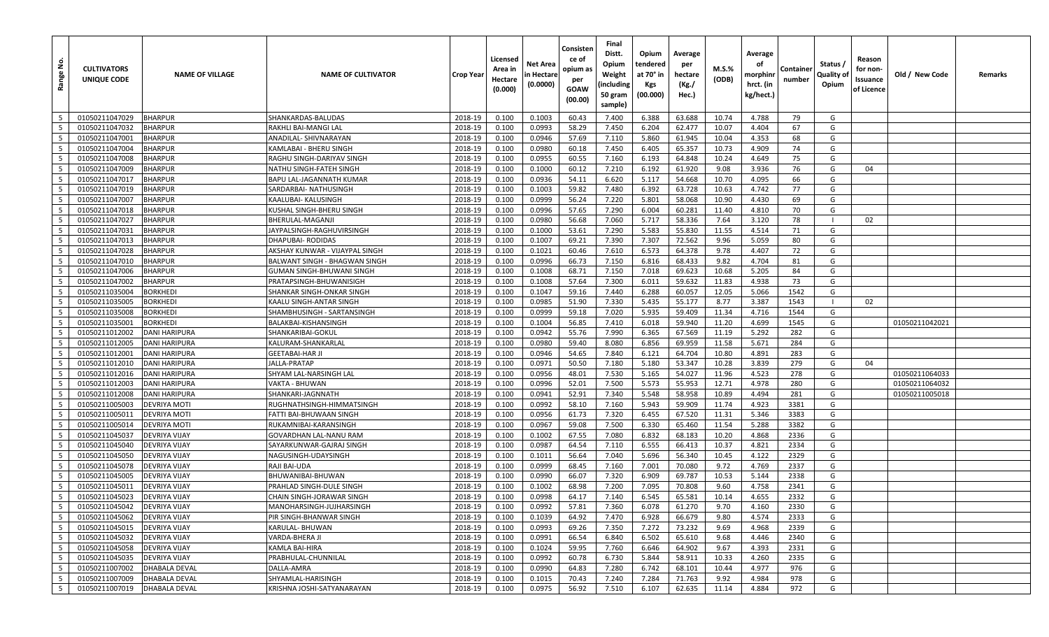| å<br>Range               | <b>CULTIVATORS</b><br>UNIQUE CODE | <b>NAME OF VILLAGE</b>                       | <b>NAME OF CULTIVATOR</b>            | Crop Year          | Licensed<br>Area in<br>Hectare<br>(0.000) | Net Area<br>n Hectare<br>(0.0000) | Consisten<br>ce of<br>opium as<br>per<br>GOAW<br>(00.00) | Final<br>Distt.<br>Opium<br>Weight<br>(including<br>50 gram<br>sample) | Opium<br>tendered<br>at 70° in<br>Kgs<br>(00.000) | Average<br>per<br>hectare<br>(Kg./<br>Hec.) | M.S.%<br>(ODB) | Average<br>οf<br>morphinr<br>hrct. (in<br>kg/hect.) | Containe<br>number | Status /<br>Quality of<br>Opium | Reason<br>for non-<br>Issuance<br>of Licence | Old / New Code | Remarks |
|--------------------------|-----------------------------------|----------------------------------------------|--------------------------------------|--------------------|-------------------------------------------|-----------------------------------|----------------------------------------------------------|------------------------------------------------------------------------|---------------------------------------------------|---------------------------------------------|----------------|-----------------------------------------------------|--------------------|---------------------------------|----------------------------------------------|----------------|---------|
| 5                        | 01050211047029                    | <b>BHARPUR</b>                               | SHANKARDAS-BALUDAS                   | 2018-19            | 0.100                                     | 0.1003                            | 60.43                                                    | 7.400                                                                  | 6.388                                             | 63.688                                      | 10.74          | 4.788                                               | 79                 | G                               |                                              |                |         |
| 5                        | 01050211047032                    | BHARPUR                                      | RAKHLI BAI-MANGI LAL                 | 2018-19            | 0.100                                     | 0.0993                            | 58.29                                                    | 7.450                                                                  | 6.204                                             | 62.477                                      | 10.07          | 4.404                                               | 67                 | G                               |                                              |                |         |
| - 5                      | 01050211047001                    | <b>BHARPUR</b>                               | ANADILAL- SHIVNARAYAN                | 2018-19            | 0.100                                     | 0.0946                            | 57.69                                                    | 7.110                                                                  | 5.860                                             | 61.945                                      | 10.04          | 4.353                                               | 68                 | G                               |                                              |                |         |
| 5                        | 01050211047004                    | <b>BHARPUR</b>                               | KAMLABAI - BHERU SINGH               | 2018-19            | 0.100                                     | 0.0980                            | 60.18                                                    | 7.450                                                                  | 6.405                                             | 65.357                                      | 10.73          | 4.909                                               | 74                 | G                               |                                              |                |         |
| 5                        | 01050211047008                    | <b>BHARPUR</b>                               | RAGHU SINGH-DARIYAV SINGH            | 2018-19            | 0.100                                     | 0.0955                            | 60.55                                                    | 7.160                                                                  | 6.193                                             | 64.848                                      | 10.24          | 4.649                                               | 75                 | G                               |                                              |                |         |
| 5                        | 01050211047009                    | <b>BHARPUR</b>                               | NATHU SINGH-FATEH SINGH              | 2018-19            | 0.100                                     | 0.1000                            | 60.12                                                    | 7.210                                                                  | 6.192                                             | 61.920                                      | 9.08           | 3.936                                               | 76                 | G                               | 04                                           |                |         |
| $5\overline{5}$          | 01050211047017                    | <b>BHARPUR</b>                               | BAPU LAL-JAGANNATH KUMAR             | 2018-19            | 0.100                                     | 0.0936                            | 54.11                                                    | 6.620                                                                  | 5.117                                             | 54.668                                      | 10.70          | 4.095                                               | 66                 | G                               |                                              |                |         |
| 5                        | 01050211047019                    | <b>BHARPUR</b>                               | SARDARBAI- NATHUSINGH                | 2018-19            | 0.100                                     | 0.1003                            | 59.82                                                    | 7.480                                                                  | 6.392                                             | 63.728                                      | 10.63          | 4.742                                               | 77                 | G                               |                                              |                |         |
| 5                        | 01050211047007                    | <b>BHARPUR</b>                               | KAALUBAI- KALUSINGH                  | 2018-19            | 0.100                                     | 0.0999                            | 56.24                                                    | 7.220                                                                  | 5.801                                             | 58.068                                      | 10.90          | 4.430                                               | 69                 | G                               |                                              |                |         |
| 5                        | 01050211047018                    | BHARPUR                                      | KUSHAL SINGH-BHERU SINGH             | 2018-19            | 0.100                                     | 0.0996                            | 57.65                                                    | 7.290                                                                  | 6.004                                             | 60.281                                      | 11.40          | 4.810                                               | 70                 | G                               |                                              |                |         |
| 5                        | 01050211047027                    | <b>BHARPUR</b>                               | BHERULAL-MAGANJI                     | 2018-19            | 0.100                                     | 0.0980                            | 56.68                                                    | 7.060                                                                  | 5.717                                             | 58.336                                      | 7.64           | 3.120                                               | 78                 | $\blacksquare$                  | 02                                           |                |         |
| 5                        | 01050211047031                    | <b>BHARPUR</b>                               | JAYPALSINGH-RAGHUVIRSINGH            | 2018-19            | 0.100                                     | 0.1000                            | 53.61                                                    | 7.290                                                                  | 5.583                                             | 55.830                                      | 11.55          | 4.514                                               | 71                 | G                               |                                              |                |         |
| $5\overline{5}$          | 01050211047013                    | <b>BHARPUR</b>                               | DHAPUBAI- RODIDAS                    | 2018-19            | 0.100                                     | 0.1007                            | 69.21                                                    | 7.390                                                                  | 7.307                                             | 72.562                                      | 9.96           | 5.059                                               | 80                 | G                               |                                              |                |         |
| 5                        | 01050211047028                    | <b>BHARPUR</b>                               | AKSHAY KUNWAR - VIJAYPAL SINGH       | 2018-19            | 0.100                                     | 0.1021                            | 60.46                                                    | 7.610                                                                  | 6.573                                             | 64.378                                      | 9.78           | 4.407                                               | 72                 | G                               |                                              |                |         |
| 5                        | 01050211047010                    | <b>BHARPUR</b>                               | <b>BALWANT SINGH - BHAGWAN SINGH</b> | 2018-19            | 0.100                                     | 0.0996                            | 66.73                                                    | 7.150                                                                  | 6.816                                             | 68.433                                      | 9.82           | 4.704                                               | 81                 | G                               |                                              |                |         |
| $5\overline{5}$          | 01050211047006                    | <b>BHARPUR</b>                               | GUMAN SINGH-BHUWANI SINGH            | 2018-19            | 0.100                                     | 0.1008                            | 68.71                                                    | 7.150                                                                  | 7.018                                             | 69.623                                      | 10.68          | 5.205                                               | 84                 | G                               |                                              |                |         |
| 5                        | 01050211047002                    | <b>BHARPUR</b>                               | PRATAPSINGH-BHUWANISIGH              | 2018-19            | 0.100                                     | 0.1008                            | 57.64                                                    | 7.300                                                                  | 6.011                                             | 59.632                                      | 11.83          | 4.938                                               | 73                 | G                               |                                              |                |         |
| 5                        | 01050211035004                    | <b>BORKHEDI</b>                              | SHANKAR SINGH-ONKAR SINGH            | 2018-19            | 0.100                                     | 0.1047                            | 59.16                                                    | 7.440                                                                  | 6.288                                             | 60.057                                      | 12.05          | 5.066                                               | 1542               | G                               |                                              |                |         |
| 5                        | 01050211035005                    | <b>BORKHEDI</b>                              | KAALU SINGH-ANTAR SINGH              | 2018-19            | 0.100                                     | 0.0985                            | 51.90                                                    | 7.330                                                                  | 5.435                                             | 55.177                                      | 8.77           | 3.387                                               | 1543               |                                 | 02                                           |                |         |
| 5                        | 01050211035008                    | <b>BORKHEDI</b>                              | SHAMBHUSINGH - SARTANSINGH           | 2018-19            | 0.100                                     | 0.0999                            | 59.18                                                    | 7.020                                                                  | 5.935                                             | 59.409                                      | 11.34          | 4.716                                               | 1544               | G                               |                                              |                |         |
| 5                        | 01050211035001                    | <b>BORKHEDI</b>                              | BALAKBAI-KISHANSINGH                 | 2018-19            | 0.100                                     | 0.1004                            | 56.85                                                    | 7.410                                                                  | 6.018                                             | 59.940                                      | 11.20          | 4.699                                               | 1545               | G                               |                                              | 01050211042021 |         |
| 5                        | 01050211012002                    | <b>DANI HARIPURA</b>                         | SHANKARIBAI-GOKUL                    | 2018-19            | 0.100                                     | 0.0942                            | 55.76                                                    | 7.990                                                                  | 6.365                                             | 67.569                                      | 11.19          | 5.292                                               | 282                | G                               |                                              |                |         |
| 5                        | 01050211012005                    | <b>DANI HARIPURA</b>                         | KALURAM-SHANKARLAL                   | 2018-19            | 0.100                                     | 0.0980                            | 59.40                                                    | 8.080                                                                  | 6.856                                             | 69.959                                      | 11.58          | 5.671                                               | 284                | G                               |                                              |                |         |
| 5                        | 01050211012001                    | <b>DANI HARIPURA</b>                         | <b>GEETABAI-HAR JI</b>               | 2018-19            | 0.100                                     | 0.0946                            | 54.65                                                    | 7.840                                                                  | 6.121                                             | 64.704                                      | 10.80          | 4.891                                               | 283                | G                               |                                              |                |         |
| $5\overline{5}$          | 01050211012010                    | <b>DANI HARIPURA</b>                         | JALLA-PRATAP                         | 2018-19            | 0.100                                     | 0.0971                            | 50.50                                                    | 7.180                                                                  | 5.180                                             | 53.347                                      | 10.28          | 3.839                                               | 279                | G                               | 04                                           |                |         |
| 5                        | 01050211012016                    | <b>DANI HARIPURA</b>                         | SHYAM LAL-NARSINGH LAL               | 2018-19            | 0.100                                     | 0.0956                            | 48.01                                                    | 7.530                                                                  | 5.165                                             | 54.027                                      | 11.96          | 4.523                                               | 278                | G                               |                                              | 01050211064033 |         |
| $5\overline{5}$          | 01050211012003                    | <b>DANI HARIPURA</b>                         | VAKTA - BHUWAN                       | 2018-19            | 0.100                                     | 0.0996                            | 52.01                                                    | 7.500                                                                  | 5.573                                             | 55.953                                      | 12.71          | 4.978                                               | 280                | G                               |                                              | 01050211064032 |         |
| 5                        | 01050211012008                    | <b>DANI HARIPURA</b>                         | SHANKARI-JAGNNATH                    | 2018-19            | 0.100                                     | 0.0941                            | 52.91                                                    | 7.340                                                                  | 5.548                                             | 58.958                                      | 10.89          | 4.494                                               | 281                | G                               |                                              | 01050211005018 |         |
| 5                        | 01050211005003                    | <b>DEVRIYA MOTI</b>                          | RUGHNATHSINGH-HIMMATSINGH            | 2018-19            | 0.100                                     | 0.0992                            | 58.10                                                    | 7.160                                                                  | 5.943                                             | 59.909                                      | 11.74          | 4.923                                               | 3381               | G                               |                                              |                |         |
| 5                        | 01050211005011                    | <b>DEVRIYA MOTI</b>                          | FATTI BAI-BHUWAAN SINGH              | 2018-19            | 0.100                                     | 0.0956                            | 61.73                                                    | 7.320                                                                  | 6.455                                             | 67.520                                      | 11.31          | 5.346                                               | 3383               | G                               |                                              |                |         |
| 5                        | 01050211005014                    | <b>DEVRIYA MOTI</b>                          | RUKAMNIBAI-KARANSINGH                | 2018-19            | 0.100                                     | 0.0967                            | 59.08                                                    | 7.500                                                                  | 6.330                                             | 65.460                                      | 11.54          | 5.288                                               | 3382               | G                               |                                              |                |         |
| 5<br>5                   | 01050211045037<br>01050211045040  | <b>DEVRIYA VIJAY</b><br><b>DEVRIYA VIJAY</b> | GOVARDHAN LAL-NANU RAM               | 2018-19            | 0.100                                     | 0.1002                            | 67.55                                                    | 7.080                                                                  | 6.832                                             | 68.183                                      | 10.20          | 4.868                                               | 2336               | G<br>G                          |                                              |                |         |
| 5                        |                                   |                                              | SAYARKUNWAR-GAJRAJ SINGH             | 2018-19            | 0.100                                     | 0.0987                            | 64.54                                                    | 7.110                                                                  | 6.555                                             | 66.413                                      | 10.37<br>10.45 | 4.821                                               | 2334               | G                               |                                              |                |         |
| 5                        | 01050211045050<br>01050211045078  | <b>DEVRIYA VIJAY</b>                         | NAGUSINGH-UDAYSINGH                  | 2018-19            | 0.100                                     | 0.1011<br>0.0999                  | 56.64                                                    | 7.040                                                                  | 5.696<br>7.001                                    | 56.340<br>70.080                            | 9.72           | 4.122                                               | 2329<br>2337       | G                               |                                              |                |         |
| 5                        | 01050211045005                    | <b>DEVRIYA VIJAY</b><br><b>DEVRIYA VIJAY</b> | RAJI BAI-UDA<br>BHUWANIBAI-BHUWAN    | 2018-19<br>2018-19 | 0.100<br>0.100                            | 0.0990                            | 68.45<br>66.07                                           | 7.160<br>7.320                                                         | 6.909                                             | 69.787                                      | 10.53          | 4.769<br>5.144                                      | 2338               | G                               |                                              |                |         |
| 5                        | 01050211045011                    | <b>DEVRIYA VIJAY</b>                         | PRAHLAD SINGH-DULE SINGH             | 2018-19            | 0.100                                     | 0.1002                            | 68.98                                                    | 7.200                                                                  | 7.095                                             | 70.808                                      | 9.60           | 4.758                                               | 2341               | G                               |                                              |                |         |
| $5\overline{5}$          | 01050211045023                    | <b>DEVRIYA VIJAY</b>                         | CHAIN SINGH-JORAWAR SINGH            | 2018-19            | 0.100                                     | 0.0998                            | 64.17                                                    | 7.140                                                                  | 6.545                                             | 65.581                                      | 10.14          | 4.655                                               | 2332               | G                               |                                              |                |         |
| 5                        | 01050211045042                    | <b>DEVRIYA VIJAY</b>                         | MANOHARSINGH-JUJHARSINGH             | 2018-19            | 0.100                                     | 0.0992                            | 57.81                                                    | 7.360                                                                  | 6.078                                             | 61.270                                      | 9.70           | 4.160                                               | 2330               | G                               |                                              |                |         |
| $5\phantom{.0}$          | 01050211045062                    | <b>DEVRIYA VIJAY</b>                         | PIR SINGH-BHANWAR SINGH              | 2018-19            | 0.100                                     | 0.1039                            | 64.92                                                    | 7.470                                                                  | 6.928                                             | 66.679                                      | 9.80           | 4.574                                               | 2333               | G                               |                                              |                |         |
| $5\overline{5}$          | 01050211045015                    | <b>DEVRIYA VIJAY</b>                         | KARULAL- BHUWAN                      | 2018-19            | 0.100                                     | 0.0993                            | 69.26                                                    | 7.350                                                                  | 7.272                                             | 73.232                                      | 9.69           | 4.968                                               | 2339               | G                               |                                              |                |         |
| $5\overline{5}$          | 01050211045032                    | <b>DEVRIYA VIJAY</b>                         | VARDA-BHERA JI                       | 2018-19            | 0.100                                     | 0.0991                            | 66.54                                                    | 6.840                                                                  | 6.502                                             | 65.610                                      | 9.68           | 4.446                                               | 2340               | G                               |                                              |                |         |
| $5\phantom{.0}$          | 01050211045058                    | <b>DEVRIYA VIJAY</b>                         | KAMLA BAI-HIRA                       | 2018-19            | 0.100                                     | 0.1024                            | 59.95                                                    | 7.760                                                                  | 6.646                                             | 64.902                                      | 9.67           | 4.393                                               | 2331               | G                               |                                              |                |         |
| $5\phantom{.0}$          | 01050211045035                    | <b>DEVRIYA VIJAY</b>                         | PRABHULAL-CHUNNILAL                  | 2018-19            | 0.100                                     | 0.0992                            | 60.78                                                    | 6.730                                                                  | 5.844                                             | 58.911                                      | 10.33          | 4.260                                               | 2335               | G                               |                                              |                |         |
| $5\phantom{.0}$          | 01050211007002                    | <b>DHABALA DEVAL</b>                         | DALLA-AMRA                           | 2018-19            | 0.100                                     | 0.0990                            | 64.83                                                    | 7.280                                                                  | 6.742                                             | 68.101                                      | 10.44          | 4.977                                               | 976                | G                               |                                              |                |         |
| $\overline{\phantom{0}}$ | 01050211007009                    | <b>DHABALA DEVAL</b>                         | SHYAMLAL-HARISINGH                   | 2018-19            | 0.100                                     | 0.1015                            | 70.43                                                    | 7.240                                                                  | 7.284                                             | 71.763                                      | 9.92           | 4.984                                               | 978                | G                               |                                              |                |         |
| $5\overline{5}$          | 01050211007019                    | DHABALA DEVAL                                | KRISHNA JOSHI-SATYANARAYAN           | 2018-19            | 0.100                                     | 0.0975                            | 56.92                                                    | 7.510                                                                  | 6.107                                             | 62.635                                      | 11.14          | 4.884                                               | 972                | G                               |                                              |                |         |
|                          |                                   |                                              |                                      |                    |                                           |                                   |                                                          |                                                                        |                                                   |                                             |                |                                                     |                    |                                 |                                              |                |         |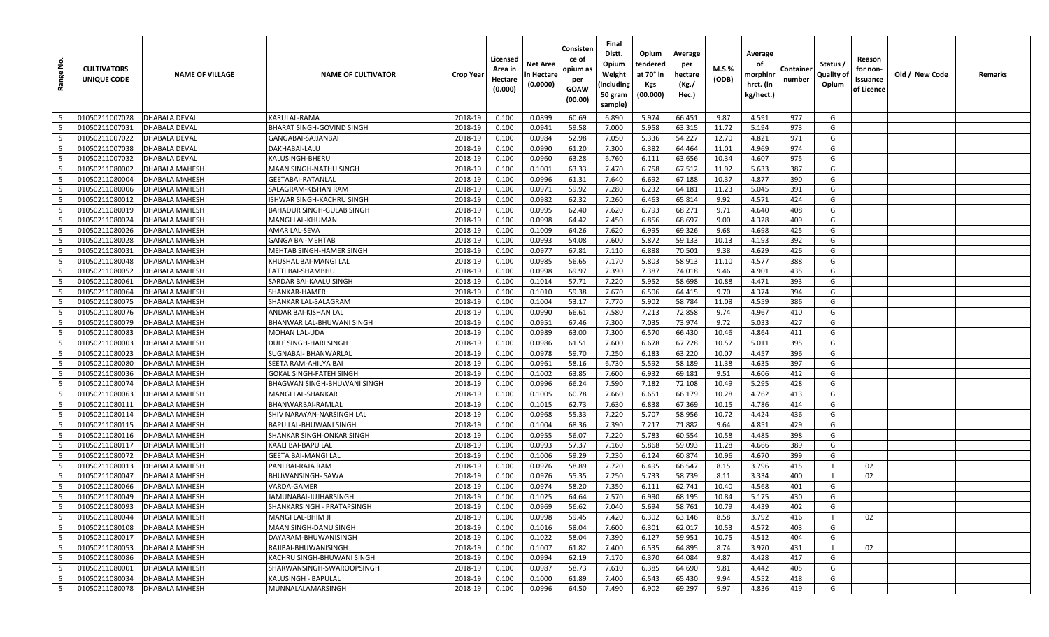| غ<br>Range                         | <b>CULTIVATORS</b><br>UNIQUE CODE | <b>NAME OF VILLAGE</b>                  | <b>NAME OF CULTIVATOR</b>                | Crop Year          | Licensed<br>Area in<br>Hectare<br>(0.000) | Net Area<br>n Hectare<br>(0.0000) | Consisten<br>ce of<br>opium as<br>per<br>GOAW<br>(00.00) | Final<br>Distt.<br>Opium<br>Weight<br>(including<br>50 gram<br>sample) | Opium<br>tendered<br>at 70° in<br>Kgs<br>(00.000) | Average<br>per<br>hectare<br>(Kg./<br>Hec.) | M.S.%<br>(ODB) | Average<br>οf<br>morphinr<br>hrct. (in<br>kg/hect.) | Containe<br>number | Status /<br>Quality of<br>Opium | Reason<br>for non-<br>Issuance<br>of Licence | Old / New Code | Remarks |
|------------------------------------|-----------------------------------|-----------------------------------------|------------------------------------------|--------------------|-------------------------------------------|-----------------------------------|----------------------------------------------------------|------------------------------------------------------------------------|---------------------------------------------------|---------------------------------------------|----------------|-----------------------------------------------------|--------------------|---------------------------------|----------------------------------------------|----------------|---------|
| 5                                  | 01050211007028                    | <b>DHABALA DEVAL</b>                    | KARULAL-RAMA                             | 2018-19            | 0.100                                     | 0.0899                            | 60.69                                                    | 6.890                                                                  | 5.974                                             | 66.451                                      | 9.87           | 4.591                                               | 977                | G                               |                                              |                |         |
| 5                                  | 01050211007031                    | <b>DHABALA DEVAL</b>                    | BHARAT SINGH-GOVIND SINGH                | 2018-19            | 0.100                                     | 0.0941                            | 59.58                                                    | 7.000                                                                  | 5.958                                             | 63.315                                      | 11.72          | 5.194                                               | 973                | G                               |                                              |                |         |
| - 5                                | 01050211007022                    | <b>DHABALA DEVAL</b>                    | GANGABAI-SAJJANBAI                       | 2018-19            | 0.100                                     | 0.0984                            | 52.98                                                    | 7.050                                                                  | 5.336                                             | 54.227                                      | 12.70          | 4.821                                               | 971                | G                               |                                              |                |         |
| 5                                  | 01050211007038                    | <b>DHABALA DEVAL</b>                    | DAKHABAI-LALU                            | 2018-19            | 0.100                                     | 0.0990                            | 61.20                                                    | 7.300                                                                  | 6.382                                             | 64.464                                      | 11.01          | 4.969                                               | 974                | G                               |                                              |                |         |
| 5                                  | 01050211007032                    | <b>DHABALA DEVAL</b>                    | KALUSINGH-BHERU                          | 2018-19            | 0.100                                     | 0.0960                            | 63.28                                                    | 6.760                                                                  | 6.111                                             | 63.656                                      | 10.34          | 4.607                                               | 975                | G                               |                                              |                |         |
| 5                                  | 01050211080002                    | <b>DHABALA MAHESH</b>                   | MAAN SINGH-NATHU SINGH                   | 2018-19            | 0.100                                     | 0.1001                            | 63.33                                                    | 7.470                                                                  | 6.758                                             | 67.512                                      | 11.92          | 5.633                                               | 387                | G                               |                                              |                |         |
| $5\overline{5}$                    | 01050211080004                    | DHABALA MAHESH                          | GEETABAI-RATANLAL                        | 2018-19            | 0.100                                     | 0.0996                            | 61.31                                                    | 7.640                                                                  | 6.692                                             | 67.188                                      | 10.37          | 4.877                                               | 390                | G                               |                                              |                |         |
| 5                                  | 01050211080006                    | <b>DHABALA MAHESH</b>                   | SALAGRAM-KISHAN RAM                      | 2018-19            | 0.100                                     | 0.0971                            | 59.92                                                    | 7.280                                                                  | 6.232                                             | 64.181                                      | 11.23          | 5.045                                               | 391                | G                               |                                              |                |         |
| 5                                  | 01050211080012                    | <b>DHABALA MAHESH</b>                   | ISHWAR SINGH-KACHRU SINGH                | 2018-19            | 0.100                                     | 0.0982                            | 62.32                                                    | 7.260                                                                  | 6.463                                             | 65.814                                      | 9.92           | 4.571                                               | 424                | G                               |                                              |                |         |
| 5                                  | 01050211080019                    | DHABALA MAHESH                          | BAHADUR SINGH-GULAB SINGH                | 2018-19            | 0.100                                     | 0.0995                            | 62.40                                                    | 7.620                                                                  | 6.793                                             | 68.271                                      | 9.71           | 4.640                                               | 408                | G                               |                                              |                |         |
| 5                                  | 01050211080024                    | <b>DHABALA MAHESH</b>                   | MANGI LAL-KHUMAN                         | 2018-19            | 0.100                                     | 0.0998                            | 64.42                                                    | 7.450                                                                  | 6.856                                             | 68.697                                      | 9.00           | 4.328                                               | 409                | G                               |                                              |                |         |
| 5                                  | 01050211080026                    | DHABALA MAHESH                          | AMAR LAL-SEVA                            | 2018-19            | 0.100                                     | 0.1009                            | 64.26                                                    | 7.620                                                                  | 6.995                                             | 69.326                                      | 9.68           | 4.698                                               | 425                | G                               |                                              |                |         |
| $5\overline{5}$                    | 01050211080028                    | DHABALA MAHESH                          | <b>GANGA BAI-MEHTAB</b>                  | 2018-19            | 0.100                                     | 0.0993                            | 54.08                                                    | 7.600                                                                  | 5.872                                             | 59.133                                      | 10.13          | 4.193                                               | 392                | G                               |                                              |                |         |
| 5                                  | 01050211080031                    | <b>DHABALA MAHESH</b>                   | MEHTAB SINGH-HAMER SINGH                 | 2018-19            | 0.100                                     | 0.0977                            | 67.81                                                    | 7.110                                                                  | 6.888                                             | 70.501                                      | 9.38           | 4.629                                               | 426                | G                               |                                              |                |         |
| 5                                  | 01050211080048                    | <b>DHABALA MAHESH</b>                   | KHUSHAL BAI-MANGI LAL                    | 2018-19            | 0.100                                     | 0.0985                            | 56.65                                                    | 7.170                                                                  | 5.803                                             | 58.913                                      | 11.10          | 4.577                                               | 388                | G                               |                                              |                |         |
| $5\overline{5}$                    | 01050211080052                    | DHABALA MAHESH                          | FATTI BAI-SHAMBHU                        | 2018-19            | 0.100                                     | 0.0998                            | 69.97                                                    | 7.390                                                                  | 7.387                                             | 74.018                                      | 9.46           | 4.901                                               | 435                | G                               |                                              |                |         |
| 5                                  | 01050211080061                    | <b>DHABALA MAHESH</b>                   | SARDAR BAI-KAALU SINGH                   | 2018-19            | 0.100                                     | 0.1014                            | 57.71                                                    | 7.220                                                                  | 5.952                                             | 58.698                                      | 10.88          | 4.471                                               | 393                | G                               |                                              |                |         |
| 5                                  | 01050211080064                    | <b>DHABALA MAHESH</b>                   | SHANKAR-HAMER                            | 2018-19            | 0.100                                     | 0.1010                            | 59.38                                                    | 7.670                                                                  | 6.506                                             | 64.415                                      | 9.70           | 4.374                                               | 394                | G                               |                                              |                |         |
| 5                                  | 01050211080075                    | <b>DHABALA MAHESH</b>                   | SHANKAR LAL-SALAGRAM                     | 2018-19            | 0.100                                     | 0.1004                            | 53.17                                                    | 7.770                                                                  | 5.902                                             | 58.784                                      | 11.08          | 4.559                                               | 386                | G                               |                                              |                |         |
| 5                                  | 01050211080076                    | DHABALA MAHESH                          | ANDAR BAI-KISHAN LAL                     | 2018-19            | 0.100                                     | 0.0990                            | 66.61                                                    | 7.580                                                                  | 7.213                                             | 72.858                                      | 9.74           | 4.967                                               | 410                | G                               |                                              |                |         |
| 5                                  | 01050211080079                    | DHABALA MAHESH                          | BHANWAR LAL-BHUWANI SINGH                | 2018-19            | 0.100                                     | 0.0951                            | 67.46                                                    | 7.300                                                                  | 7.035                                             | 73.974                                      | 9.72           | 5.033                                               | 427                | G                               |                                              |                |         |
| 5                                  | 01050211080083                    | <b>DHABALA MAHESH</b>                   | MOHAN LAL-UDA                            | 2018-19            | 0.100                                     | 0.0989                            | 63.00                                                    | 7.300                                                                  | 6.570                                             | 66.430                                      | 10.46          | 4.864                                               | 411                | G                               |                                              |                |         |
| 5                                  | 01050211080003                    | <b>DHABALA MAHESH</b>                   | DULE SINGH-HARI SINGH                    | 2018-19            | 0.100                                     | 0.0986                            | 61.51                                                    | 7.600                                                                  | 6.678                                             | 67.728                                      | 10.57          | 5.011                                               | 395                | G                               |                                              |                |         |
| 5                                  | 01050211080023                    | DHABALA MAHESH                          | SUGNABAI- BHANWARLAL                     | 2018-19            | 0.100                                     | 0.0978                            | 59.70                                                    | 7.250                                                                  | 6.183                                             | 63.220                                      | 10.07          | 4.457                                               | 396                | G                               |                                              |                |         |
| $5\overline{5}$                    | 01050211080080                    | <b>DHABALA MAHESH</b>                   | SEETA RAM-AHILYA BAI                     | 2018-19            | 0.100                                     | 0.0961                            | 58.16                                                    | 6.730                                                                  | 5.592                                             | 58.189                                      | 11.38          | 4.635                                               | 397                | G                               |                                              |                |         |
| 5                                  | 01050211080036                    | <b>DHABALA MAHESH</b>                   | <b>GOKAL SINGH-FATEH SINGH</b>           | 2018-19            | 0.100                                     | 0.1002                            | 63.85                                                    | 7.600                                                                  | 6.932                                             | 69.181                                      | 9.51           | 4.606                                               | 412                | G                               |                                              |                |         |
| $5\overline{5}$                    | 01050211080074                    | DHABALA MAHESH                          | BHAGWAN SINGH-BHUWANI SINGH              | 2018-19            | 0.100                                     | 0.0996                            | 66.24                                                    | 7.590                                                                  | 7.182                                             | 72.108                                      | 10.49          | 5.295                                               | 428                | G                               |                                              |                |         |
| 5                                  | 01050211080063                    | <b>DHABALA MAHESH</b>                   | MANGI LAL-SHANKAR                        | 2018-19            | 0.100                                     | 0.1005                            | 60.78                                                    | 7.660                                                                  | 6.651                                             | 66.179                                      | 10.28          | 4.762                                               | 413                | G                               |                                              |                |         |
| 5                                  | 01050211080111                    | <b>DHABALA MAHESH</b>                   | BHANWARBAI-RAMLAL                        | 2018-19            | 0.100                                     | 0.1015                            | 62.73                                                    | 7.630                                                                  | 6.838                                             | 67.369                                      | 10.15          | 4.786                                               | 414                | G                               |                                              |                |         |
| 5                                  | 01050211080114                    | DHABALA MAHESH                          | SHIV NARAYAN-NARSINGH LAL                | 2018-19            | 0.100                                     | 0.0968                            | 55.33                                                    | 7.220                                                                  | 5.707                                             | 58.956                                      | 10.72          | 4.424                                               | 436                | G                               |                                              |                |         |
| 5                                  | 01050211080115                    | DHABALA MAHESH                          | BAPU LAL-BHUWANI SINGH                   | 2018-19            | 0.100                                     | 0.1004                            | 68.36                                                    | 7.390                                                                  | 7.217                                             | 71.882                                      | 9.64           | 4.851                                               | 429                | G                               |                                              |                |         |
| 5                                  | 01050211080116                    | DHABALA MAHESH                          | SHANKAR SINGH-ONKAR SINGH                | 2018-19            | 0.100                                     | 0.0955                            | 56.07                                                    | 7.220                                                                  | 5.783                                             | 60.554                                      | 10.58          | 4.485                                               | 398                | G                               |                                              |                |         |
| 5                                  | 01050211080117                    | <b>DHABALA MAHESH</b>                   | KAALI BAI-BAPU LAL                       | 2018-19            | 0.100                                     | 0.0993                            | 57.37                                                    | 7.160                                                                  | 5.868                                             | 59.093                                      | 11.28          | 4.666                                               | 389                | G                               |                                              |                |         |
| 5                                  | 01050211080072                    | <b>DHABALA MAHESH</b>                   | <b>GEETA BAI-MANGI LAL</b>               | 2018-19            | 0.100                                     | 0.1006                            | 59.29                                                    | 7.230                                                                  | 6.124                                             | 60.874                                      | 10.96          | 4.670                                               | 399                | G                               |                                              |                |         |
| 5                                  | 01050211080013                    | DHABALA MAHESH                          | PANI BAI-RAJA RAM                        | 2018-19            | 0.100                                     | 0.0976                            | 58.89                                                    | 7.720                                                                  | 6.495                                             | 66.547                                      | 8.15           | 3.796                                               | 415                |                                 | 02                                           |                |         |
| 5                                  | 01050211080047                    | <b>DHABALA MAHESH</b>                   | <b>BHUWANSINGH- SAWA</b>                 | 2018-19            | 0.100                                     | 0.0976                            | 55.35                                                    | 7.250                                                                  | 5.733                                             | 58.739                                      | 8.11           | 3.334                                               | 400                | $\blacksquare$                  | 02                                           |                |         |
| 5                                  | 01050211080066                    | DHABALA MAHESH                          | VARDA-GAMER                              | 2018-19            | 0.100                                     | 0.0974                            | 58.20                                                    | 7.350                                                                  | 6.111                                             | 62.741                                      | 10.40          | 4.568                                               | 401                | G                               |                                              |                |         |
| $5\overline{5}$                    | 01050211080049                    | <b>DHABALA MAHESH</b>                   | <b>JAMUNABAI-JUJHARSINGH</b>             | 2018-19            | 0.100                                     | 0.1025                            | 64.64                                                    | 7.570                                                                  | 6.990                                             | 68.195                                      | 10.84          | 5.175                                               | 430                | G                               |                                              |                |         |
| 5                                  | 01050211080093                    | DHABALA MAHESH                          | SHANKARSINGH - PRATAPSINGH               | 2018-19            | 0.100                                     | 0.0969                            | 56.62                                                    | 7.040                                                                  | 5.694                                             | 58.761                                      | 10.79          | 4.439                                               | 402                | G                               |                                              |                |         |
| $5\overline{5}$                    | 01050211080044                    | DHABALA MAHESH                          | MANGI LAL-BHIM JI                        | 2018-19            | 0.100                                     | 0.0998                            | 59.45                                                    | 7.420                                                                  | 6.302                                             | 63.146                                      | 8.58           | 3.792                                               | 416                |                                 | 02                                           |                |         |
| $5\overline{5}$                    | 01050211080108                    | <b>DHABALA MAHESH</b>                   | MAAN SINGH-DANU SINGH                    | 2018-19            | 0.100                                     | 0.1016                            | 58.04                                                    | 7.600                                                                  | 6.301                                             | 62.017                                      | 10.53          | 4.572                                               | 403                | G                               |                                              |                |         |
| $5\overline{5}$                    | 01050211080017                    | DHABALA MAHESH                          | DAYARAM-BHUWANISINGH                     | 2018-19            | 0.100                                     | 0.1022                            | 58.04                                                    | 7.390                                                                  | 6.127                                             | 59.951                                      | 10.75          | 4.512                                               | 404                | G                               |                                              |                |         |
| $5\overline{5}$                    | 01050211080053                    | DHABALA MAHESH                          | RAJIBAI-BHUWANISINGH                     | 2018-19            | 0.100                                     | 0.1007                            | 61.82                                                    | 7.400                                                                  | 6.535                                             | 64.895                                      | 8.74           | 3.970                                               | 431                |                                 | 02                                           |                |         |
| $5\overline{5}$<br>$5\overline{5}$ | 01050211080086                    | DHABALA MAHESH                          | KACHRU SINGH-BHUWANI SINGH               | 2018-19            | 0.100                                     | 0.0994                            | 62.19                                                    | 7.170                                                                  | 6.370                                             | 64.084                                      | 9.87           | 4.428                                               | 417                | G                               |                                              |                |         |
| $5\phantom{.0}$                    | 01050211080001                    | DHABALA MAHESH                          | SHARWANSINGH-SWAROOPSINGH                | 2018-19            | 0.100                                     | 0.0987                            | 58.73                                                    | 7.610                                                                  | 6.385                                             | 64.690                                      | 9.81           | 4.442                                               | 405                | G                               |                                              |                |         |
| 5                                  | 01050211080034<br>01050211080078  | DHABALA MAHESH<br><b>DHABALA MAHESH</b> | KALUSINGH - BAPULAL<br>MUNNALALAMARSINGH | 2018-19<br>2018-19 | 0.100<br>0.100                            | 0.1000<br>0.0996                  | 61.89<br>64.50                                           | 7.400<br>7.490                                                         | 6.543<br>6.902                                    | 65.430<br>69.297                            | 9.94<br>9.97   | 4.552<br>4.836                                      | 418<br>419         | G<br>G                          |                                              |                |         |
|                                    |                                   |                                         |                                          |                    |                                           |                                   |                                                          |                                                                        |                                                   |                                             |                |                                                     |                    |                                 |                                              |                |         |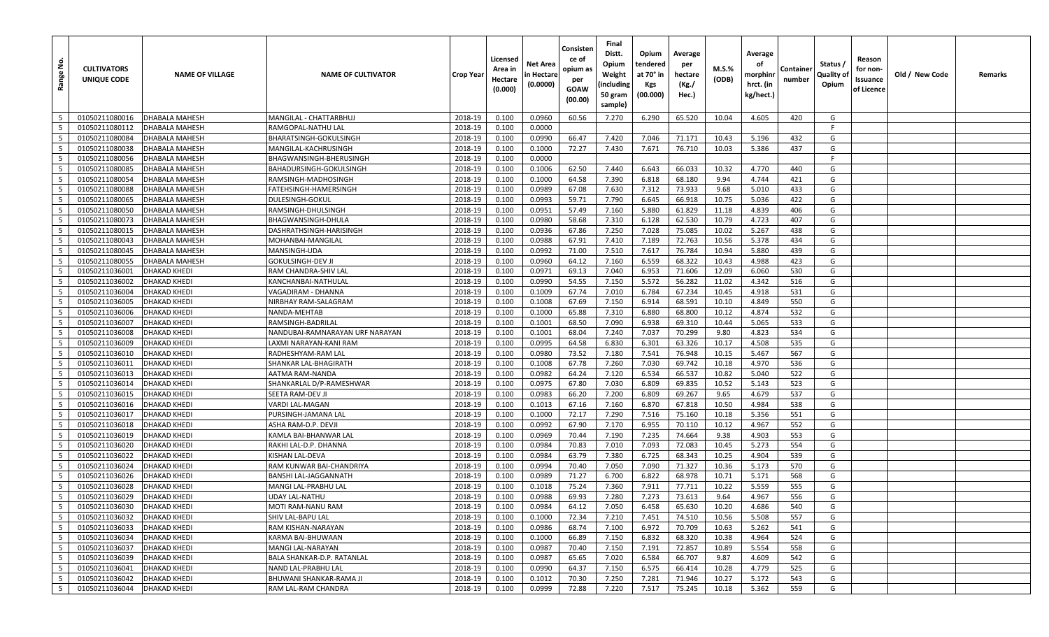| غ.<br>Range     | <b>CULTIVATORS</b><br>UNIQUE CODE | <b>NAME OF VILLAGE</b>                     | <b>NAME OF CULTIVATOR</b>                  | Crop Year          | Licensed<br>Area in<br>Hectare<br>(0.000) | Net Area<br>n Hectare<br>(0.0000) | Consisten<br>ce of<br>opium as<br>per<br>GOAW<br>(00.00) | Final<br>Distt.<br>Opium<br>Weight<br>(including<br>50 gram<br>sample) | Opium<br>tendered<br>at 70° in<br>Kgs<br>(00.000) | Average<br>per<br>hectare<br>(Kg./<br>Hec.) | M.S.%<br>(ODB) | Average<br>οf<br>morphinr<br>hrct. (in<br>kg/hect.) | Containe<br>number | Status /<br>Quality of<br>Opium | Reason<br>for non-<br>Issuance<br>of Licence | Old / New Code | Remarks |
|-----------------|-----------------------------------|--------------------------------------------|--------------------------------------------|--------------------|-------------------------------------------|-----------------------------------|----------------------------------------------------------|------------------------------------------------------------------------|---------------------------------------------------|---------------------------------------------|----------------|-----------------------------------------------------|--------------------|---------------------------------|----------------------------------------------|----------------|---------|
| 5               | 01050211080016                    | <b>DHABALA MAHESH</b>                      | MANGILAL - CHATTARBHU.                     | 2018-19            | 0.100                                     | 0.0960                            | 60.56                                                    | 7.270                                                                  | 6.290                                             | 65.520                                      | 10.04          | 4.605                                               | 420                | G                               |                                              |                |         |
| 5               | 01050211080112                    | DHABALA MAHESH                             | RAMGOPAL-NATHU LAL                         | 2018-19            | 0.100                                     | 0.0000                            |                                                          |                                                                        |                                                   |                                             |                |                                                     |                    | F                               |                                              |                |         |
| - 5             | 01050211080084                    | <b>DHABALA MAHESH</b>                      | BHARATSINGH-GOKULSINGH                     | 2018-19            | 0.100                                     | 0.0990                            | 66.47                                                    | 7.420                                                                  | 7.046                                             | 71.171                                      | 10.43          | 5.196                                               | 432                | G                               |                                              |                |         |
| 5               | 01050211080038                    | <b>DHABALA MAHESH</b>                      | MANGILAL-KACHRUSINGH                       | 2018-19            | 0.100                                     | 0.1000                            | 72.27                                                    | 7.430                                                                  | 7.671                                             | 76.710                                      | 10.03          | 5.386                                               | 437                | G                               |                                              |                |         |
| 5               | 01050211080056                    | DHABALA MAHESH                             | BHAGWANSINGH-BHERUSINGH                    | 2018-19            | 0.100                                     | 0.0000                            |                                                          |                                                                        |                                                   |                                             |                |                                                     |                    | E                               |                                              |                |         |
| 5               | 01050211080085                    | DHABALA MAHESH                             | BAHADURSINGH-GOKULSINGH                    | 2018-19            | 0.100                                     | 0.1006                            | 62.50                                                    | 7.440                                                                  | 6.643                                             | 66.033                                      | 10.32          | 4.770                                               | 440                | G                               |                                              |                |         |
| $5\overline{5}$ | 01050211080054                    | DHABALA MAHESH                             | RAMSINGH-MADHOSINGH                        | 2018-19            | 0.100                                     | 0.1000                            | 64.58                                                    | 7.390                                                                  | 6.818                                             | 68.180                                      | 9.94           | 4.744                                               | 421                | G                               |                                              |                |         |
| 5               | 01050211080088                    | <b>DHABALA MAHESH</b>                      | FATEHSINGH-HAMERSINGH                      | 2018-19            | 0.100                                     | 0.0989                            | 67.08                                                    | 7.630                                                                  | 7.312                                             | 73.933                                      | 9.68           | 5.010                                               | 433                | G                               |                                              |                |         |
| 5               | 01050211080065                    | DHABALA MAHESH                             | DULESINGH-GOKUI                            | 2018-19            | 0.100                                     | 0.0993                            | 59.71                                                    | 7.790                                                                  | 6.645                                             | 66.918                                      | 10.75          | 5.036                                               | 422                | G                               |                                              |                |         |
| 5               | 01050211080050                    | DHABALA MAHESH                             | RAMSINGH-DHULSINGH                         | 2018-19            | 0.100                                     | 0.0951                            | 57.49                                                    | 7.160                                                                  | 5.880                                             | 61.829                                      | 11.18          | 4.839                                               | 406                | G                               |                                              |                |         |
| 5               | 01050211080073                    | <b>DHABALA MAHESH</b>                      | BHAGWANSINGH-DHULA                         | 2018-19            | 0.100                                     | 0.0980                            | 58.68                                                    | 7.310                                                                  | 6.128                                             | 62.530                                      | 10.79          | 4.723                                               | 407                | G                               |                                              |                |         |
| 5               | 01050211080015                    | <b>DHABALA MAHESH</b>                      | DASHRATHSINGH-HARISINGH                    | 2018-19            | 0.100                                     | 0.0936                            | 67.86                                                    | 7.250                                                                  | 7.028                                             | 75.085                                      | 10.02          | 5.267                                               | 438                | G                               |                                              |                |         |
| $5\overline{5}$ | 01050211080043                    | DHABALA MAHESH                             | MOHANBAI-MANGILAL                          | 2018-19            | 0.100                                     | 0.0988                            | 67.91                                                    | 7.410                                                                  | 7.189                                             | 72.763                                      | 10.56          | 5.378                                               | 434                | G                               |                                              |                |         |
| 5               | 01050211080045                    | <b>DHABALA MAHESH</b>                      | MANSINGH-UDA                               | 2018-19            | 0.100                                     | 0.0992                            | 71.00                                                    | 7.510                                                                  | 7.617                                             | 76.784                                      | 10.94          | 5.880                                               | 439                | G                               |                                              |                |         |
| 5               | 01050211080055                    | <b>DHABALA MAHESH</b>                      | <b>GOKULSINGH-DEV JI</b>                   | 2018-19            | 0.100                                     | 0.0960                            | 64.12                                                    | 7.160                                                                  | 6.559                                             | 68.322                                      | 10.43          | 4.988                                               | 423                | G                               |                                              |                |         |
| $5\overline{5}$ | 01050211036001                    | <b>DHAKAD KHEDI</b>                        | RAM CHANDRA-SHIV LAL                       | 2018-19            | 0.100                                     | 0.0971                            | 69.13                                                    | 7.040                                                                  | 6.953                                             | 71.606                                      | 12.09          | 6.060                                               | 530                | G                               |                                              |                |         |
| 5               | 01050211036002                    | <b>DHAKAD KHEDI</b>                        | KANCHANBAI-NATHULAL                        | 2018-19            | 0.100                                     | 0.0990                            | 54.55                                                    | 7.150                                                                  | 5.572                                             | 56.282                                      | 11.02          | 4.342                                               | 516                | G                               |                                              |                |         |
| 5               | 01050211036004                    | <b>DHAKAD KHEDI</b>                        | VAGADIRAM - DHANNA                         | 2018-19            | 0.100                                     | 0.1009                            | 67.74                                                    | 7.010                                                                  | 6.784                                             | 67.234                                      | 10.45          | 4.918                                               | 531                | G                               |                                              |                |         |
| 5               | 01050211036005                    | <b>DHAKAD KHEDI</b>                        | NIRBHAY RAM-SALAGRAM                       | 2018-19            | 0.100                                     | 0.1008                            | 67.69                                                    | 7.150                                                                  | 6.914                                             | 68.591                                      | 10.10          | 4.849                                               | 550                | G                               |                                              |                |         |
| 5               | 01050211036006                    | <b>DHAKAD KHEDI</b>                        | NANDA-MEHTAB                               | 2018-19            | 0.100                                     | 0.1000                            | 65.88                                                    | 7.310                                                                  | 6.880                                             | 68.800                                      | 10.12          | 4.874                                               | 532                | G                               |                                              |                |         |
| 5               | 01050211036007                    | <b>DHAKAD KHEDI</b>                        | RAMSINGH-BADRILAL                          | 2018-19            | 0.100                                     | 0.1001                            | 68.50                                                    | 7.090                                                                  | 6.938                                             | 69.310                                      | 10.44          | 5.065                                               | 533                | G                               |                                              |                |         |
| 5               | 01050211036008                    | <b>DHAKAD KHEDI</b>                        | NANDUBAI-RAMNARAYAN URF NARAYAN            | 2018-19            | 0.100                                     | 0.1001                            | 68.04                                                    | 7.240                                                                  | 7.037                                             | 70.299                                      | 9.80           | 4.823                                               | 534                | G                               |                                              |                |         |
| 5               | 01050211036009                    | <b>DHAKAD KHEDI</b>                        | LAXMI NARAYAN-KANI RAM                     | 2018-19            | 0.100                                     | 0.0995                            | 64.58                                                    | 6.830                                                                  | 6.301                                             | 63.326                                      | 10.17          | 4.508                                               | 535                | G                               |                                              |                |         |
| 5               | 01050211036010                    | <b>DHAKAD KHEDI</b>                        | RADHESHYAM-RAM LAL                         | 2018-19            | 0.100                                     | 0.0980                            | 73.52                                                    | 7.180                                                                  | 7.541                                             | 76.948                                      | 10.15          | 5.467                                               | 567                | G                               |                                              |                |         |
| 5               | 01050211036011                    | <b>DHAKAD KHEDI</b>                        | SHANKAR LAL-BHAGIRATH                      | 2018-19            | 0.100                                     | 0.1008                            | 67.78                                                    | 7.260                                                                  | 7.030                                             | 69.742                                      | 10.18          | 4.970                                               | 536                | G                               |                                              |                |         |
| 5               | 01050211036013                    | <b>DHAKAD KHEDI</b>                        | AATMA RAM-NANDA                            | 2018-19            | 0.100                                     | 0.0982                            | 64.24                                                    | 7.120                                                                  | 6.534                                             | 66.537                                      | 10.82          | 5.040                                               | 522                | G                               |                                              |                |         |
| $5\overline{5}$ | 01050211036014                    | <b>DHAKAD KHEDI</b>                        | SHANKARLAL D/P-RAMESHWAR                   | 2018-19            | 0.100                                     | 0.0975                            | 67.80                                                    | 7.030                                                                  | 6.809                                             | 69.835                                      | 10.52          | 5.143                                               | 523                | G                               |                                              |                |         |
| 5<br>5          | 01050211036015<br>01050211036016  | <b>DHAKAD KHEDI</b><br><b>DHAKAD KHEDI</b> | SEETA RAM-DEV JI<br>VARDI LAL-MAGAN        | 2018-19<br>2018-19 | 0.100<br>0.100                            | 0.0983<br>0.1013                  | 66.20<br>67.16                                           | 7.200<br>7.160                                                         | 6.809<br>6.870                                    | 69.267<br>67.818                            | 9.65<br>10.50  | 4.679<br>4.984                                      | 537<br>538         | G<br>G                          |                                              |                |         |
| 5               | 01050211036017                    | <b>DHAKAD KHEDI</b>                        |                                            | 2018-19            | 0.100                                     | 0.1000                            | 72.17                                                    | 7.290                                                                  | 7.516                                             | 75.160                                      | 10.18          | 5.356                                               | 551                | G                               |                                              |                |         |
| 5               | 01050211036018                    | <b>DHAKAD KHEDI</b>                        | PURSINGH-JAMANA LAL<br>ASHA RAM-D.P. DEVJI | 2018-19            | 0.100                                     | 0.0992                            | 67.90                                                    | 7.170                                                                  | 6.955                                             | 70.110                                      | 10.12          | 4.967                                               | 552                | G                               |                                              |                |         |
| 5               | 01050211036019                    | <b>DHAKAD KHEDI</b>                        | KAMLA BAI-BHANWAR LAL                      | 2018-19            | 0.100                                     | 0.0969                            | 70.44                                                    | 7.190                                                                  | 7.235                                             | 74.664                                      | 9.38           | 4.903                                               | 553                | G                               |                                              |                |         |
| 5               | 01050211036020                    | <b>DHAKAD KHEDI</b>                        | RAKHI LAL-D.P. DHANNA                      | 2018-19            | 0.100                                     | 0.0984                            | 70.83                                                    | 7.010                                                                  | 7.093                                             | 72.083                                      | 10.45          | 5.273                                               | 554                | G                               |                                              |                |         |
| 5               | 01050211036022                    | <b>DHAKAD KHEDI</b>                        | KISHAN LAL-DEVA                            | 2018-19            | 0.100                                     | 0.0984                            | 63.79                                                    | 7.380                                                                  | 6.725                                             | 68.343                                      | 10.25          | 4.904                                               | 539                | G                               |                                              |                |         |
| 5               | 01050211036024                    | <b>DHAKAD KHEDI</b>                        | RAM KUNWAR BAI-CHANDRIYA                   | 2018-19            | 0.100                                     | 0.0994                            | 70.40                                                    | 7.050                                                                  | 7.090                                             | 71.327                                      | 10.36          | 5.173                                               | 570                | G                               |                                              |                |         |
| 5               | 01050211036026                    | <b>DHAKAD KHEDI</b>                        | BANSHI LAL-JAGGANNATH                      | 2018-19            | 0.100                                     | 0.0989                            | 71.27                                                    | 6.700                                                                  | 6.822                                             | 68.978                                      | 10.71          | 5.171                                               | 568                | G                               |                                              |                |         |
| 5               | 01050211036028                    | <b>DHAKAD KHEDI</b>                        | MANGI LAL-PRABHU LAL                       | 2018-19            | 0.100                                     | 0.1018                            | 75.24                                                    | 7.360                                                                  | 7.911                                             | 77.711                                      | 10.22          | 5.559                                               | 555                | G                               |                                              |                |         |
| $5\overline{5}$ | 01050211036029                    | <b>DHAKAD KHEDI</b>                        | UDAY LAL-NATHU                             | 2018-19            | 0.100                                     | 0.0988                            | 69.93                                                    | 7.280                                                                  | 7.273                                             | 73.613                                      | 9.64           | 4.967                                               | 556                | G                               |                                              |                |         |
| 5               | 01050211036030                    | <b>DHAKAD KHEDI</b>                        | MOTI RAM-NANU RAM                          | 2018-19            | 0.100                                     | 0.0984                            | 64.12                                                    | 7.050                                                                  | 6.458                                             | 65.630                                      | 10.20          | 4.686                                               | 540                | G                               |                                              |                |         |
| $5\overline{5}$ | 01050211036032                    | <b>DHAKAD KHEDI</b>                        | SHIV LAL-BAPU LAL                          | 2018-19            | 0.100                                     | 0.1000                            | 72.34                                                    | 7.210                                                                  | 7.451                                             | 74.510                                      | 10.56          | 5.508                                               | 557                | G                               |                                              |                |         |
| $5\overline{5}$ | 01050211036033                    | <b>DHAKAD KHEDI</b>                        | RAM KISHAN-NARAYAN                         | 2018-19            | 0.100                                     | 0.0986                            | 68.74                                                    | 7.100                                                                  | 6.972                                             | 70.709                                      | 10.63          | 5.262                                               | 541                | G                               |                                              |                |         |
| $5\overline{5}$ | 01050211036034                    | <b>DHAKAD KHEDI</b>                        | KARMA BAI-BHUWAAN                          | 2018-19            | 0.100                                     | 0.1000                            | 66.89                                                    | 7.150                                                                  | 6.832                                             | 68.320                                      | 10.38          | 4.964                                               | 524                | G                               |                                              |                |         |
| $5\overline{5}$ | 01050211036037                    | <b>DHAKAD KHEDI</b>                        | MANGI LAL-NARAYAN                          | 2018-19            | 0.100                                     | 0.0987                            | 70.40                                                    | 7.150                                                                  | 7.191                                             | 72.857                                      | 10.89          | 5.554                                               | 558                | G                               |                                              |                |         |
| $5\phantom{.0}$ | 01050211036039                    | <b>DHAKAD KHEDI</b>                        | BALA SHANKAR-D.P. RATANLAL                 | 2018-19            | 0.100                                     | 0.0987                            | 65.65                                                    | 7.020                                                                  | 6.584                                             | 66.707                                      | 9.87           | 4.609                                               | 542                | G                               |                                              |                |         |
| $5\phantom{.0}$ | 01050211036041                    | <b>DHAKAD KHEDI</b>                        | NAND LAL-PRABHU LAL                        | 2018-19            | 0.100                                     | 0.0990                            | 64.37                                                    | 7.150                                                                  | 6.575                                             | 66.414                                      | 10.28          | 4.779                                               | 525                | G                               |                                              |                |         |
| $5\phantom{.0}$ | 01050211036042                    | <b>DHAKAD KHEDI</b>                        | BHUWANI SHANKAR-RAMA JI                    | 2018-19            | 0.100                                     | 0.1012                            | 70.30                                                    | 7.250                                                                  | 7.281                                             | 71.946                                      | 10.27          | 5.172                                               | 543                | G                               |                                              |                |         |
| $5\overline{5}$ | 01050211036044                    | <b>DHAKAD KHEDI</b>                        | RAM LAL-RAM CHANDRA                        | 2018-19            | 0.100                                     | 0.0999                            | 72.88                                                    | 7.220                                                                  | 7.517                                             | 75.245                                      | 10.18          | 5.362                                               | 559                | G                               |                                              |                |         |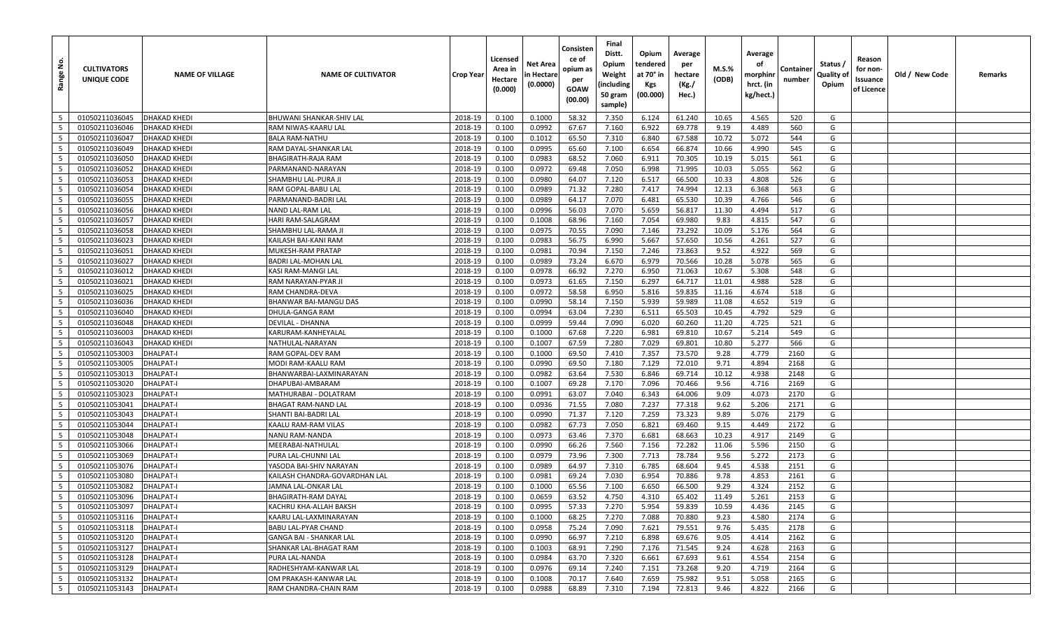| غ<br>Range               | <b>CULTIVATORS</b><br>UNIQUE CODE | <b>NAME OF VILLAGE</b> | <b>NAME OF CULTIVATOR</b>      | <b>Crop Year</b> | Licensed<br>Area in<br>Hectare<br>(0.000) | Net Area<br>n Hectare<br>(0.0000) | Consisten<br>ce of<br>opium as<br>per<br>GOAW<br>(00.00) | Final<br>Distt.<br>Opium<br>Weight<br>(including<br>50 gram<br>sample) | Opium<br>tendered<br>at 70° in<br>Kgs<br>(00.000) | Average<br>per<br>hectare<br>(Kg./<br>Hec.) | M.S.%<br>(ODB) | Average<br>οf<br>morphinr<br>hrct. (in<br>kg/hect.) | Containe<br>number | Status /<br>Quality of<br>Opium | Reason<br>for non-<br>Issuance<br>of Licence | Old / New Code | Remarks |
|--------------------------|-----------------------------------|------------------------|--------------------------------|------------------|-------------------------------------------|-----------------------------------|----------------------------------------------------------|------------------------------------------------------------------------|---------------------------------------------------|---------------------------------------------|----------------|-----------------------------------------------------|--------------------|---------------------------------|----------------------------------------------|----------------|---------|
| 5                        | 01050211036045                    | <b>DHAKAD KHEDI</b>    | BHUWANI SHANKAR-SHIV LAL       | 2018-19          | 0.100                                     | 0.1000                            | 58.32                                                    | 7.350                                                                  | 6.124                                             | 61.240                                      | 10.65          | 4.565                                               | 520                | G                               |                                              |                |         |
| 5                        | 01050211036046                    | <b>DHAKAD KHEDI</b>    | RAM NIWAS-KAARU LAL            | 2018-19          | 0.100                                     | 0.0992                            | 67.67                                                    | 7.160                                                                  | 6.922                                             | 69.778                                      | 9.19           | 4.489                                               | 560                | G                               |                                              |                |         |
| - 5                      | 01050211036047                    | <b>DHAKAD KHEDI</b>    | <b>BALA RAM-NATHU</b>          | 2018-19          | 0.100                                     | 0.1012                            | 65.50                                                    | 7.310                                                                  | 6.840                                             | 67.588                                      | 10.72          | 5.072                                               | 544                | G                               |                                              |                |         |
| 5                        | 01050211036049                    | <b>DHAKAD KHEDI</b>    | RAM DAYAL-SHANKAR LAL          | 2018-19          | 0.100                                     | 0.0995                            | 65.60                                                    | 7.100                                                                  | 6.654                                             | 66.874                                      | 10.66          | 4.990                                               | 545                | G                               |                                              |                |         |
| 5                        | 01050211036050                    | <b>DHAKAD KHEDI</b>    | <b>BHAGIRATH-RAJA RAM</b>      | 2018-19          | 0.100                                     | 0.0983                            | 68.52                                                    | 7.060                                                                  | 6.911                                             | 70.305                                      | 10.19          | 5.015                                               | 561                | G                               |                                              |                |         |
| 5                        | 01050211036052                    | <b>DHAKAD KHEDI</b>    | PARMANAND-NARAYAN              | 2018-19          | 0.100                                     | 0.0972                            | 69.48                                                    | 7.050                                                                  | 6.998                                             | 71.995                                      | 10.03          | 5.055                                               | 562                | G                               |                                              |                |         |
| 5                        | 01050211036053                    | DHAKAD KHEDI           | SHAMBHU LAL-PURA JI            | 2018-19          | 0.100                                     | 0.0980                            | 64.07                                                    | 7.120                                                                  | 6.517                                             | 66.500                                      | 10.33          | 4.808                                               | 526                | G                               |                                              |                |         |
| 5                        | 01050211036054                    | <b>DHAKAD KHEDI</b>    | RAM GOPAL-BABU LAL             | 2018-19          | 0.100                                     | 0.0989                            | 71.32                                                    | 7.280                                                                  | 7.417                                             | 74.994                                      | 12.13          | 6.368                                               | 563                | G                               |                                              |                |         |
| 5                        | 01050211036055                    | <b>DHAKAD KHEDI</b>    | PARMANAND-BADRI LAL            | 2018-19          | 0.100                                     | 0.0989                            | 64.17                                                    | 7.070                                                                  | 6.481                                             | 65.530                                      | 10.39          | 4.766                                               | 546                | G                               |                                              |                |         |
| 5                        | 01050211036056                    | DHAKAD KHEDI           | NAND LAL-RAM LAL               | 2018-19          | 0.100                                     | 0.0996                            | 56.03                                                    | 7.070                                                                  | 5.659                                             | 56.817                                      | 11.30          | 4.494                                               | 517                | G                               |                                              |                |         |
| 5                        | 01050211036057                    | <b>DHAKAD KHEDI</b>    | HARI RAM-SALAGRAM              | 2018-19          | 0.100                                     | 0.1008                            | 68.96                                                    | 7.160                                                                  | 7.054                                             | 69.980                                      | 9.83           | 4.815                                               | 547                | G                               |                                              |                |         |
| 5                        | 01050211036058                    | <b>DHAKAD KHEDI</b>    | SHAMBHU LAL-RAMA JI            | 2018-19          | 0.100                                     | 0.0975                            | 70.55                                                    | 7.090                                                                  | 7.146                                             | 73.292                                      | 10.09          | 5.176                                               | 564                | G                               |                                              |                |         |
| $5\overline{5}$          | 01050211036023                    | <b>DHAKAD KHEDI</b>    | KAILASH BAI-KANI RAM           | 2018-19          | 0.100                                     | 0.0983                            | 56.75                                                    | 6.990                                                                  | 5.667                                             | 57.650                                      | 10.56          | 4.261                                               | 527                | G                               |                                              |                |         |
| 5                        | 01050211036051                    | <b>DHAKAD KHEDI</b>    | MUKESH-RAM PRATAP              | 2018-19          | 0.100                                     | 0.0981                            | 70.94                                                    | 7.150                                                                  | 7.246                                             | 73.863                                      | 9.52           | 4.922                                               | 569                | G                               |                                              |                |         |
| 5                        | 01050211036027                    | <b>DHAKAD KHEDI</b>    | <b>BADRI LAL-MOHAN LAL</b>     | 2018-19          | 0.100                                     | 0.0989                            | 73.24                                                    | 6.670                                                                  | 6.979                                             | 70.566                                      | 10.28          | 5.078                                               | 565                | G                               |                                              |                |         |
| $5\overline{5}$          | 01050211036012                    | <b>DHAKAD KHEDI</b>    | KASI RAM-MANGI LAL             | 2018-19          | 0.100                                     | 0.0978                            | 66.92                                                    | 7.270                                                                  | 6.950                                             | 71.063                                      | 10.67          | 5.308                                               | 548                | G                               |                                              |                |         |
| 5                        | 01050211036021                    | <b>DHAKAD KHEDI</b>    | RAM NARAYAN-PYAR J             | 2018-19          | 0.100                                     | 0.0973                            | 61.65                                                    | 7.150                                                                  | 6.297                                             | 64.717                                      | 11.01          | 4.988                                               | 528                | G                               |                                              |                |         |
| 5                        | 01050211036025                    | <b>DHAKAD KHEDI</b>    | RAM CHANDRA-DEVA               | 2018-19          | 0.100                                     | 0.0972                            | 58.58                                                    | 6.950                                                                  | 5.816                                             | 59.835                                      | 11.16          | 4.674                                               | 518                | G                               |                                              |                |         |
| 5                        | 01050211036036                    | <b>DHAKAD KHEDI</b>    | BHANWAR BAI-MANGU DAS          | 2018-19          | 0.100                                     | 0.0990                            | 58.14                                                    | 7.150                                                                  | 5.939                                             | 59.989                                      | 11.08          | 4.652                                               | 519                | G                               |                                              |                |         |
| 5                        | 01050211036040                    | <b>DHAKAD KHEDI</b>    | DHULA-GANGA RAM                | 2018-19          | 0.100                                     | 0.0994                            | 63.04                                                    | 7.230                                                                  | 6.511                                             | 65.503                                      | 10.45          | 4.792                                               | 529                | G                               |                                              |                |         |
| 5                        | 01050211036048                    | <b>DHAKAD KHEDI</b>    | <b>DEVILAL - DHANNA</b>        | 2018-19          | 0.100                                     | 0.0999                            | 59.44                                                    | 7.090                                                                  | 6.020                                             | 60.260                                      | 11.20          | 4.725                                               | 521                | G                               |                                              |                |         |
| 5                        | 01050211036003                    | <b>DHAKAD KHEDI</b>    | KARURAM-KANHEYALAL             | 2018-19          | 0.100                                     | 0.1000                            | 67.68                                                    | 7.220                                                                  | 6.981                                             | 69.810                                      | 10.67          | 5.214                                               | 549                | G                               |                                              |                |         |
| 5                        | 01050211036043                    | <b>DHAKAD KHEDI</b>    | NATHULAL-NARAYAN               | 2018-19          | 0.100                                     | 0.1007                            | 67.59                                                    | 7.280                                                                  | 7.029                                             | 69.801                                      | 10.80          | 5.277                                               | 566                | G                               |                                              |                |         |
| 5                        | 01050211053003                    | <b>DHALPAT-I</b>       | RAM GOPAL-DEV RAM              | 2018-19          | 0.100                                     | 0.1000                            | 69.50                                                    | 7.410                                                                  | 7.357                                             | 73.570                                      | 9.28           | 4.779                                               | 2160               | G                               |                                              |                |         |
| 5                        | 01050211053005                    | <b>DHALPAT-I</b>       | MODI RAM-KAALU RAM             | 2018-19          | 0.100                                     | 0.0990                            | 69.50                                                    | 7.180                                                                  | 7.129                                             | 72.010                                      | 9.71           | 4.894                                               | 2168               | G                               |                                              |                |         |
| 5                        | 01050211053013                    | <b>DHALPAT-I</b>       | BHANWARBAI-LAXMINARAYAN        | 2018-19          | 0.100                                     | 0.0982                            | 63.64                                                    | 7.530                                                                  | 6.846                                             | 69.714                                      | 10.12          | 4.938                                               | 2148               | G                               |                                              |                |         |
| 5                        | 01050211053020                    | <b>DHALPAT-I</b>       | DHAPUBAI-AMBARAM               | 2018-19          | 0.100                                     | 0.1007                            | 69.28                                                    | 7.170                                                                  | 7.096                                             | 70.466                                      | 9.56           | 4.716                                               | 2169               | G                               |                                              |                |         |
| 5                        | 01050211053023                    | <b>DHALPAT-I</b>       | MATHURABAI - DOLATRAM          | 2018-19          | 0.100                                     | 0.0991                            | 63.07                                                    | 7.040                                                                  | 6.343                                             | 64.006                                      | 9.09           | 4.073                                               | 2170               | G                               |                                              |                |         |
| 5                        | 01050211053041                    | <b>DHALPAT-I</b>       | BHAGAT RAM-NAND LAL            | 2018-19          | 0.100                                     | 0.0936                            | 71.55                                                    | 7.080                                                                  | 7.237                                             | 77.318                                      | 9.62           | 5.206                                               | 2171               | G                               |                                              |                |         |
| 5                        | 01050211053043                    | <b>DHALPAT-I</b>       | SHANTI BAI-BADRI LAL           | 2018-19          | 0.100                                     | 0.0990                            | 71.37                                                    | 7.120                                                                  | 7.259                                             | 73.323                                      | 9.89           | 5.076                                               | 2179               | G                               |                                              |                |         |
| 5                        | 01050211053044                    | <b>DHALPAT-I</b>       | KAALU RAM-RAM VILAS            | 2018-19          | 0.100                                     | 0.0982                            | 67.73                                                    | 7.050                                                                  | 6.821                                             | 69.460                                      | 9.15           | 4.449                                               | 2172               | G                               |                                              |                |         |
| 5                        | 01050211053048                    | <b>DHALPAT-I</b>       | NANU RAM-NANDA                 | 2018-19          | 0.100                                     | 0.0973                            | 63.46                                                    | 7.370                                                                  | 6.681                                             | 68.663                                      | 10.23          | 4.917                                               | 2149               | G                               |                                              |                |         |
| 5                        | 01050211053066                    | <b>DHALPAT-I</b>       | MEERABAI-NATHULAL              | 2018-19          | 0.100                                     | 0.0990                            | 66.26                                                    | 7.560                                                                  | 7.156                                             | 72.282                                      | 11.06          | 5.596                                               | 2150               | G                               |                                              |                |         |
| 5                        | 01050211053069                    | <b>DHALPAT-I</b>       | PURA LAL-CHUNNI LAL            | 2018-19          | 0.100                                     | 0.0979                            | 73.96                                                    | 7.300                                                                  | 7.713                                             | 78.784                                      | 9.56           | 5.272                                               | 2173               | G                               |                                              |                |         |
| 5                        | 01050211053076                    | <b>DHALPAT-I</b>       | YASODA BAI-SHIV NARAYAN        | 2018-19          | 0.100                                     | 0.0989                            | 64.97                                                    | 7.310                                                                  | 6.785                                             | 68.604                                      | 9.45           | 4.538                                               | 2151               | G                               |                                              |                |         |
| 5                        | 01050211053080                    | <b>DHALPAT-I</b>       | KAILASH CHANDRA-GOVARDHAN LAL  | 2018-19          | 0.100                                     | 0.0981                            | 69.24                                                    | 7.030                                                                  | 6.954                                             | 70.886                                      | 9.78           | 4.853                                               | 2161               | G                               |                                              |                |         |
| 5                        | 01050211053082                    | <b>DHALPAT-I</b>       | JAMNA LAL-ONKAR LAL            | 2018-19          | 0.100                                     | 0.1000                            | 65.56                                                    | 7.100                                                                  | 6.650                                             | 66.500                                      | 9.29           | 4.324                                               | 2152               | G                               |                                              |                |         |
| $5\overline{5}$          | 01050211053096                    | <b>DHALPAT-I</b>       | BHAGIRATH-RAM DAYAL            | 2018-19          | 0.100                                     | 0.0659                            | 63.52                                                    | 4.750                                                                  | 4.310                                             | 65.402                                      | 11.49          | 5.261                                               | 2153               | G                               |                                              |                |         |
| 5                        | 01050211053097                    | DHALPAT-I              | KACHRU KHA-ALLAH BAKSH         | 2018-19          | 0.100                                     | 0.0995                            | 57.33                                                    | 7.270                                                                  | 5.954                                             | 59.839                                      | 10.59          | 4.436                                               | 2145               | G                               |                                              |                |         |
| $5\phantom{.0}$          | 01050211053116                    | <b>DHALPAT-I</b>       | KAARU LAL-LAXMINARAYAN         | 2018-19          | 0.100                                     | 0.1000                            | 68.25                                                    | 7.270                                                                  | 7.088                                             | 70.880                                      | 9.23           | 4.580                                               | 2174               | G                               |                                              |                |         |
| $5^{\circ}$              | 01050211053118                    | <b>DHALPAT-I</b>       | BABU LAL-PYAR CHAND            | 2018-19          | 0.100                                     | 0.0958                            | 75.24                                                    | 7.090                                                                  | 7.621                                             | 79.551                                      | 9.76           | 5.435                                               | 2178               | G                               |                                              |                |         |
| $5\overline{5}$          | 01050211053120                    | <b>DHALPAT-I</b>       | <b>GANGA BAI - SHANKAR LAL</b> | 2018-19          | 0.100                                     | 0.0990                            | 66.97                                                    | 7.210                                                                  | 6.898                                             | 69.676                                      | 9.05           | 4.414                                               | 2162               | G                               |                                              |                |         |
| $5\overline{5}$          | 01050211053127                    | <b>DHALPAT-I</b>       | SHANKAR LAL-BHAGAT RAM         | 2018-19          | 0.100                                     | 0.1003                            | 68.91                                                    | 7.290                                                                  | 7.176                                             | 71.545                                      | 9.24           | 4.628                                               | 2163               | G                               |                                              |                |         |
| $5\phantom{.0}$          | 01050211053128                    | <b>DHALPAT-I</b>       | PURA LAL-NANDA                 | 2018-19          | 0.100                                     | 0.0984                            | 63.70                                                    | 7.320                                                                  | 6.661                                             | 67.693                                      | 9.61           | 4.554                                               | 2154               | G                               |                                              |                |         |
| $5\phantom{.0}$          | 01050211053129                    | <b>DHALPAT-I</b>       | RADHESHYAM-KANWAR LAL          | 2018-19          | 0.100                                     | 0.0976                            | 69.14                                                    | 7.240                                                                  | 7.151                                             | 73.268                                      | 9.20           | 4.719                                               | 2164               | G                               |                                              |                |         |
| $\overline{\phantom{0}}$ | 01050211053132                    | <b>DHALPAT-I</b>       | OM PRAKASH-KANWAR LAL          | 2018-19          | 0.100                                     | 0.1008                            | 70.17                                                    | 7.640                                                                  | 7.659                                             | 75.982                                      | 9.51           | 5.058                                               | 2165               | G                               |                                              |                |         |
| $5\overline{5}$          | 01050211053143                    | <b>DHALPAT-I</b>       | RAM CHANDRA-CHAIN RAM          | 2018-19          | 0.100                                     | 0.0988                            | 68.89                                                    | 7.310                                                                  | 7.194                                             | 72.813                                      | 9.46           | 4.822                                               | 2166               | G                               |                                              |                |         |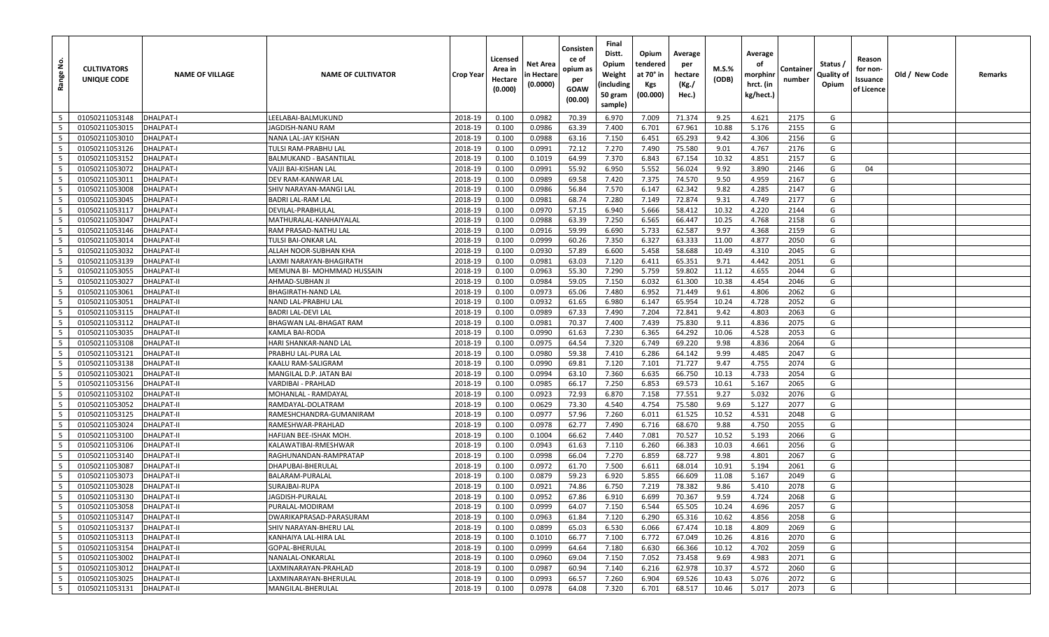| غ.<br>Range     | <b>CULTIVATORS</b><br>UNIQUE CODE | <b>NAME OF VILLAGE</b> | <b>NAME OF CULTIVATOR</b>  | Crop Year | Licensed<br>Area in<br>Hectare<br>(0.000) | Net Area<br>n Hectare<br>(0.0000) | Consisten<br>ce of<br>opium as<br>per<br>GOAW<br>(00.00) | Final<br>Distt.<br>Opium<br>Weight<br>(including<br>50 gram<br>sample) | Opium<br>tendered<br>at 70° in<br>Kgs<br>(00.000) | Average<br>per<br>hectare<br>(Kg./<br>Hec.) | M.S.%<br>(ODB) | Average<br>οf<br>morphinr<br>hrct. (in<br>kg/hect.) | Containe<br>number | Status /<br>Quality of<br>Opium | Reason<br>for non-<br>Issuance<br>of Licence | Old / New Code | Remarks |
|-----------------|-----------------------------------|------------------------|----------------------------|-----------|-------------------------------------------|-----------------------------------|----------------------------------------------------------|------------------------------------------------------------------------|---------------------------------------------------|---------------------------------------------|----------------|-----------------------------------------------------|--------------------|---------------------------------|----------------------------------------------|----------------|---------|
| 5               | 01050211053148                    | <b>DHALPAT-I</b>       | LEELABAI-BALMUKUND         | 2018-19   | 0.100                                     | 0.0982                            | 70.39                                                    | 6.970                                                                  | 7.009                                             | 71.374                                      | 9.25           | 4.621                                               | 2175               | G                               |                                              |                |         |
| 5               | 01050211053015                    | <b>DHALPAT-I</b>       | JAGDISH-NANU RAM           | 2018-19   | 0.100                                     | 0.0986                            | 63.39                                                    | 7.400                                                                  | 6.701                                             | 67.961                                      | 10.88          | 5.176                                               | 2155               | G                               |                                              |                |         |
| - 5             | 01050211053010                    | <b>DHALPAT-I</b>       | NANA LAL-JAY KISHAN        | 2018-19   | 0.100                                     | 0.0988                            | 63.16                                                    | 7.150                                                                  | 6.451                                             | 65.293                                      | 9.42           | 4.306                                               | 2156               | G                               |                                              |                |         |
| 5               | 01050211053126                    | <b>DHALPAT-I</b>       | TULSI RAM-PRABHU LAL       | 2018-19   | 0.100                                     | 0.0991                            | 72.12                                                    | 7.270                                                                  | 7.490                                             | 75.580                                      | 9.01           | 4.767                                               | 2176               | G                               |                                              |                |         |
| 5               | 01050211053152                    | <b>DHALPAT-I</b>       | BALMUKAND - BASANTILAL     | 2018-19   | 0.100                                     | 0.1019                            | 64.99                                                    | 7.370                                                                  | 6.843                                             | 67.154                                      | 10.32          | 4.851                                               | 2157               | G                               |                                              |                |         |
| 5               | 01050211053072                    | <b>DHALPAT-I</b>       | VAJJI BAI-KISHAN LAL       | 2018-19   | 0.100                                     | 0.0991                            | 55.92                                                    | 6.950                                                                  | 5.552                                             | 56.024                                      | 9.92           | 3.890                                               | 2146               | G                               | 04                                           |                |         |
| $5\overline{5}$ | 01050211053011                    | DHALPAT-I              | DEV RAM-KANWAR LAL         | 2018-19   | 0.100                                     | 0.0989                            | 69.58                                                    | 7.420                                                                  | 7.375                                             | 74.570                                      | 9.50           | 4.959                                               | 2167               | G                               |                                              |                |         |
| 5               | 01050211053008                    | <b>DHALPAT-I</b>       | SHIV NARAYAN-MANGI LAL     | 2018-19   | 0.100                                     | 0.0986                            | 56.84                                                    | 7.570                                                                  | 6.147                                             | 62.342                                      | 9.82           | 4.285                                               | 2147               | G                               |                                              |                |         |
| 5               | 01050211053045                    | <b>DHALPAT-I</b>       | <b>BADRI LAL-RAM LAL</b>   | 2018-19   | 0.100                                     | 0.0981                            | 68.74                                                    | 7.280                                                                  | 7.149                                             | 72.874                                      | 9.31           | 4.749                                               | 2177               | G                               |                                              |                |         |
| 5               | 01050211053117                    | <b>DHALPAT-I</b>       | DEVILAL-PRABHULAL          | 2018-19   | 0.100                                     | 0.0970                            | 57.15                                                    | 6.940                                                                  | 5.666                                             | 58.412                                      | 10.32          | 4.220                                               | 2144               | G                               |                                              |                |         |
| 5               | 01050211053047                    | <b>DHALPAT-I</b>       | MATHURALAL-KANHAIYALAL     | 2018-19   | 0.100                                     | 0.0988                            | 63.39                                                    | 7.250                                                                  | 6.565                                             | 66.447                                      | 10.25          | 4.768                                               | 2158               | G                               |                                              |                |         |
| 5               | 01050211053146                    | <b>DHALPAT-I</b>       | RAM PRASAD-NATHU LAL       | 2018-19   | 0.100                                     | 0.0916                            | 59.99                                                    | 6.690                                                                  | 5.733                                             | 62.587                                      | 9.97           | 4.368                                               | 2159               | G                               |                                              |                |         |
| $5\overline{5}$ | 01050211053014                    | <b>DHALPAT-II</b>      | TULSI BAI-ONKAR LAL        | 2018-19   | 0.100                                     | 0.0999                            | 60.26                                                    | 7.350                                                                  | 6.327                                             | 63.333                                      | 11.00          | 4.877                                               | 2050               | G                               |                                              |                |         |
| 5               | 01050211053032                    | <b>DHALPAT-II</b>      | ALLAH NOOR-SUBHAN KHA      | 2018-19   | 0.100                                     | 0.0930                            | 57.89                                                    | 6.600                                                                  | 5.458                                             | 58.688                                      | 10.49          | 4.310                                               | 2045               | G                               |                                              |                |         |
| 5               | 01050211053139                    | <b>DHALPAT-II</b>      | LAXMI NARAYAN-BHAGIRATH    | 2018-19   | 0.100                                     | 0.0981                            | 63.03                                                    | 7.120                                                                  | 6.411                                             | 65.351                                      | 9.71           | 4.442                                               | 2051               | G                               |                                              |                |         |
| $5\overline{5}$ | 01050211053055                    | <b>DHALPAT-II</b>      | MEMUNA BI- MOHMMAD HUSSAIN | 2018-19   | 0.100                                     | 0.0963                            | 55.30                                                    | 7.290                                                                  | 5.759                                             | 59.802                                      | 11.12          | 4.655                                               | 2044               | G                               |                                              |                |         |
| 5               | 01050211053027                    | <b>DHALPAT-II</b>      | AHMAD-SUBHAN JI            | 2018-19   | 0.100                                     | 0.0984                            | 59.05                                                    | 7.150                                                                  | 6.032                                             | 61.300                                      | 10.38          | 4.454                                               | 2046               | G                               |                                              |                |         |
| 5               | 01050211053061                    | <b>DHALPAT-II</b>      | BHAGIRATH-NAND LAL         | 2018-19   | 0.100                                     | 0.0973                            | 65.06                                                    | 7.480                                                                  | 6.952                                             | 71.449                                      | 9.61           | 4.806                                               | 2062               | G                               |                                              |                |         |
| 5               | 01050211053051                    | <b>DHALPAT-II</b>      | NAND LAL-PRABHU LAL        | 2018-19   | 0.100                                     | 0.0932                            | 61.65                                                    | 6.980                                                                  | 6.147                                             | 65.954                                      | 10.24          | 4.728                                               | 2052               | G                               |                                              |                |         |
| 5               | 01050211053115                    | <b>DHALPAT-II</b>      | <b>BADRI LAL-DEVI LAL</b>  | 2018-19   | 0.100                                     | 0.0989                            | 67.33                                                    | 7.490                                                                  | 7.204                                             | 72.841                                      | 9.42           | 4.803                                               | 2063               | G                               |                                              |                |         |
| 5               | 01050211053112                    | <b>DHALPAT-II</b>      | BHAGWAN LAL-BHAGAT RAM     | 2018-19   | 0.100                                     | 0.0981                            | 70.37                                                    | 7.400                                                                  | 7.439                                             | 75.830                                      | 9.11           | 4.836                                               | 2075               | G                               |                                              |                |         |
| 5               | 01050211053035                    | <b>DHALPAT-II</b>      | <b>KAMLA BAI-RODA</b>      | 2018-19   | 0.100                                     | 0.0990                            | 61.63                                                    | 7.230                                                                  | 6.365                                             | 64.292                                      | 10.06          | 4.528                                               | 2053               | G                               |                                              |                |         |
| 5               | 01050211053108                    | <b>DHALPAT-II</b>      | HARI SHANKAR-NAND LAL      | 2018-19   | 0.100                                     | 0.0975                            | 64.54                                                    | 7.320                                                                  | 6.749                                             | 69.220                                      | 9.98           | 4.836                                               | 2064               | G                               |                                              |                |         |
| 5               | 01050211053121                    | DHALPAT-II             | PRABHU LAL-PURA LAL        | 2018-19   | 0.100                                     | 0.0980                            | 59.38                                                    | 7.410                                                                  | 6.286                                             | 64.142                                      | 9.99           | 4.485                                               | 2047               | G                               |                                              |                |         |
| 5               | 01050211053138                    | <b>DHALPAT-II</b>      | KAALU RAM-SALIGRAM         | 2018-19   | 0.100                                     | 0.0990                            | 69.81                                                    | 7.120                                                                  | 7.101                                             | 71.727                                      | 9.47           | 4.755                                               | 2074               | G                               |                                              |                |         |
| 5               | 01050211053021                    | <b>DHALPAT-II</b>      | MANGILAL D.P. JATAN BAI    | 2018-19   | 0.100                                     | 0.0994                            | 63.10                                                    | 7.360                                                                  | 6.635                                             | 66.750                                      | 10.13          | 4.733                                               | 2054               | G                               |                                              |                |         |
| 5               | 01050211053156                    | <b>DHALPAT-II</b>      | VARDIBAI - PRAHLAD         | 2018-19   | 0.100                                     | 0.0985                            | 66.17                                                    | 7.250                                                                  | 6.853                                             | 69.573                                      | 10.61          | 5.167                                               | 2065               | G                               |                                              |                |         |
| 5               | 01050211053102                    | <b>DHALPAT-II</b>      | MOHANLAL - RAMDAYAL        | 2018-19   | 0.100                                     | 0.0923                            | 72.93                                                    | 6.870                                                                  | 7.158                                             | 77.551                                      | 9.27           | 5.032                                               | 2076               | G                               |                                              |                |         |
| 5               | 01050211053052                    | <b>DHALPAT-II</b>      | RAMDAYAL-DOLATRAM          | 2018-19   | 0.100                                     | 0.0629                            | 73.30                                                    | 4.540                                                                  | 4.754                                             | 75.580                                      | 9.69           | 5.127                                               | 2077               | G                               |                                              |                |         |
| 5               | 01050211053125                    | <b>DHALPAT-II</b>      | RAMESHCHANDRA-GUMANIRAM    | 2018-19   | 0.100                                     | 0.0977                            | 57.96                                                    | 7.260                                                                  | 6.011                                             | 61.525                                      | 10.52          | 4.531                                               | 2048               | G                               |                                              |                |         |
| 5               | 01050211053024                    | <b>DHALPAT-II</b>      | RAMESHWAR-PRAHLAD          | 2018-19   | 0.100                                     | 0.0978                            | 62.77                                                    | 7.490                                                                  | 6.716                                             | 68.670                                      | 9.88           | 4.750                                               | 2055               | G                               |                                              |                |         |
| 5               | 01050211053100                    | <b>DHALPAT-II</b>      | HAFIJAN BEE-ISHAK MOH.     | 2018-19   | 0.100                                     | 0.1004                            | 66.62                                                    | 7.440                                                                  | 7.081                                             | 70.527                                      | 10.52          | 5.193                                               | 2066               | G                               |                                              |                |         |
| 5               | 01050211053106                    | <b>DHALPAT-II</b>      | KALAWATIBAI-RMESHWAR       | 2018-19   | 0.100                                     | 0.0943                            | 61.63                                                    | 7.110                                                                  | 6.260                                             | 66.383                                      | 10.03          | 4.661                                               | 2056               | G                               |                                              |                |         |
| 5               | 01050211053140                    | <b>DHALPAT-II</b>      | RAGHUNANDAN-RAMPRATAP      | 2018-19   | 0.100                                     | 0.0998                            | 66.04                                                    | 7.270                                                                  | 6.859                                             | 68.727                                      | 9.98           | 4.801                                               | 2067               | G                               |                                              |                |         |
| 5               | 01050211053087                    | <b>DHALPAT-II</b>      | DHAPUBAI-BHERULAL          | 2018-19   | 0.100                                     | 0.0972                            | 61.70                                                    | 7.500                                                                  | 6.611                                             | 68.014                                      | 10.91          | 5.194                                               | 2061               | G                               |                                              |                |         |
| 5               | 01050211053073                    | <b>DHALPAT-II</b>      | BALARAM-PURALAL            | 2018-19   | 0.100                                     | 0.0879                            | 59.23                                                    | 6.920                                                                  | 5.855                                             | 66.609                                      | 11.08          | 5.167                                               | 2049               | G                               |                                              |                |         |
| 5               | 01050211053028                    | <b>DHALPAT-II</b>      | SURAJBAI-RUPA              | 2018-19   | 0.100                                     | 0.0921                            | 74.86                                                    | 6.750                                                                  | 7.219                                             | 78.382                                      | 9.86           | 5.410                                               | 2078               | G                               |                                              |                |         |
| $5\overline{5}$ | 01050211053130                    | <b>DHALPAT-II</b>      | <b>JAGDISH-PURALAL</b>     | 2018-19   | 0.100                                     | 0.0952                            | 67.86                                                    | 6.910                                                                  | 6.699                                             | 70.367                                      | 9.59           | 4.724                                               | 2068               | G                               |                                              |                |         |
| 5               | 01050211053058                    | <b>DHALPAT-II</b>      | PURALAL-MODIRAM            | 2018-19   | 0.100                                     | 0.0999                            | 64.07                                                    | 7.150                                                                  | 6.544                                             | 65.505                                      | 10.24          | 4.696                                               | 2057               | G                               |                                              |                |         |
| $5\overline{5}$ | 01050211053147                    | <b>DHALPAT-II</b>      | DWARIKAPRASAD-PARASURAM    | 2018-19   | 0.100                                     | 0.0963                            | 61.84                                                    | 7.120                                                                  | 6.290                                             | 65.316                                      | 10.62          | 4.856                                               | 2058               | G                               |                                              |                |         |
| $5\overline{5}$ | 01050211053137                    | <b>DHALPAT-II</b>      | SHIV NARAYAN-BHERU LAL     | 2018-19   | 0.100                                     | 0.0899                            | 65.03                                                    | 6.530                                                                  | 6.066                                             | 67.474                                      | 10.18          | 4.809                                               | 2069               | G                               |                                              |                |         |
| $5\overline{5}$ | 01050211053113                    | DHALPAT-II             | KANHAIYA LAL-HIRA LAL      | 2018-19   | 0.100                                     | 0.1010                            | 66.77                                                    | 7.100                                                                  | 6.772                                             | 67.049                                      | 10.26          | 4.816                                               | 2070               | G                               |                                              |                |         |
| $5\phantom{.0}$ | 01050211053154                    | <b>DHALPAT-II</b>      | GOPAL-BHERULAL             | 2018-19   | 0.100                                     | 0.0999                            | 64.64                                                    | 7.180                                                                  | 6.630                                             | 66.366                                      | 10.12          | 4.702                                               | 2059               | G                               |                                              |                |         |
| $5\overline{5}$ | 01050211053002                    | DHALPAT-II             | NANALAL-ONKARLAL           | 2018-19   | 0.100                                     | 0.0960                            | 69.04                                                    | 7.150                                                                  | 7.052                                             | 73.458                                      | 9.69           | 4.983                                               | 2071               | G                               |                                              |                |         |
| $5\overline{5}$ | 01050211053012                    | <b>DHALPAT-II</b>      | LAXMINARAYAN-PRAHLAD       | 2018-19   | 0.100                                     | 0.0987                            | 60.94                                                    | 7.140                                                                  | 6.216                                             | 62.978                                      | 10.37          | 4.572                                               | 2060               | G                               |                                              |                |         |
| $5\phantom{.0}$ | 01050211053025                    | DHALPAT-II             | LAXMINARAYAN-BHERULAL      | 2018-19   | 0.100                                     | 0.0993                            | 66.57                                                    | 7.260                                                                  | 6.904                                             | 69.526                                      | 10.43          | 5.076                                               | 2072               | G                               |                                              |                |         |
| 5               | 01050211053131                    | DHALPAT-II             | MANGILAL-BHERULAL          | 2018-19   | 0.100                                     | 0.0978                            | 64.08                                                    | 7.320                                                                  | 6.701                                             | 68.517                                      | 10.46          | 5.017                                               | 2073               | G                               |                                              |                |         |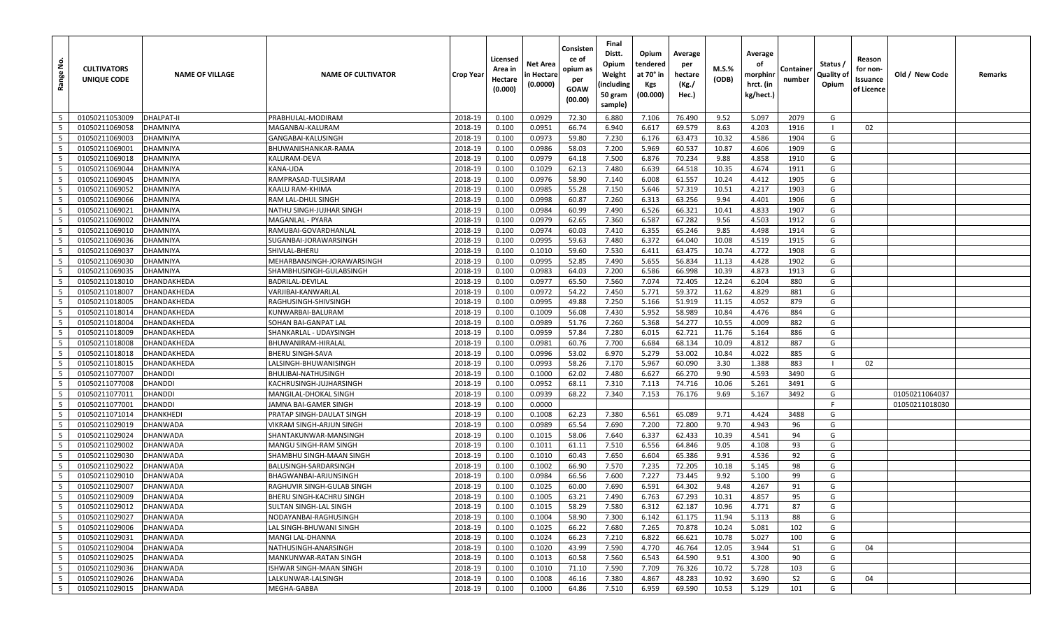| <u>غ</u><br>Range        | <b>CULTIVATORS</b><br>UNIQUE CODE | <b>NAME OF VILLAGE</b> | <b>NAME OF CULTIVATOR</b>  | Crop Year | Licensed<br>Area in<br>Hectare<br>(0.000) | Net Area<br>n Hectare<br>(0.0000) | Consisten<br>ce of<br>opium as<br>per<br>GOAW<br>(00.00) | Final<br>Distt.<br>Opium<br>Weight<br>(including<br>50 gram<br>sample) | Opium<br>tendered<br>at 70° in<br>Kgs<br>(00.000) | Average<br>per<br>hectare<br>(Kg./<br>Hec.) | M.S.%<br>(ODB) | Average<br>οf<br>morphinr<br>hrct. (in<br>kg/hect.) | Containe<br>number | Status /<br>Quality of<br>Opium | Reason<br>for non-<br>Issuance<br>of Licence | Old / New Code | Remarks |
|--------------------------|-----------------------------------|------------------------|----------------------------|-----------|-------------------------------------------|-----------------------------------|----------------------------------------------------------|------------------------------------------------------------------------|---------------------------------------------------|---------------------------------------------|----------------|-----------------------------------------------------|--------------------|---------------------------------|----------------------------------------------|----------------|---------|
| 5                        | 01050211053009                    | <b>DHALPAT-II</b>      | PRABHULAL-MODIRAM          | 2018-19   | 0.100                                     | 0.0929                            | 72.30                                                    | 6.880                                                                  | 7.106                                             | 76.490                                      | 9.52           | 5.097                                               | 2079               | G                               |                                              |                |         |
| 5                        | 01050211069058                    | DHAMNIYA               | MAGANBAI-KALURAM           | 2018-19   | 0.100                                     | 0.0951                            | 66.74                                                    | 6.940                                                                  | 6.617                                             | 69.579                                      | 8.63           | 4.203                                               | 1916               |                                 | 02                                           |                |         |
| - 5                      | 01050211069003                    | <b>DHAMNIYA</b>        | GANGABAI-KALUSINGH         | 2018-19   | 0.100                                     | 0.0973                            | 59.80                                                    | 7.230                                                                  | 6.176                                             | 63.473                                      | 10.32          | 4.586                                               | 1904               | G                               |                                              |                |         |
| 5                        | 01050211069001                    | DHAMNIYA               | BHUWANISHANKAR-RAMA        | 2018-19   | 0.100                                     | 0.0986                            | 58.03                                                    | 7.200                                                                  | 5.969                                             | 60.537                                      | 10.87          | 4.606                                               | 1909               | G                               |                                              |                |         |
| 5                        | 01050211069018                    | <b>DHAMNIYA</b>        | <b>KALURAM-DEVA</b>        | 2018-19   | 0.100                                     | 0.0979                            | 64.18                                                    | 7.500                                                                  | 6.876                                             | 70.234                                      | 9.88           | 4.858                                               | 1910               | G                               |                                              |                |         |
| 5                        | 01050211069044                    | DHAMNIYA               | KANA-UDA                   | 2018-19   | 0.100                                     | 0.1029                            | 62.13                                                    | 7.480                                                                  | 6.639                                             | 64.518                                      | 10.35          | 4.674                                               | 1911               | G                               |                                              |                |         |
| $5\overline{5}$          | 01050211069045                    | DHAMNIYA               | RAMPRASAD-TULSIRAM         | 2018-19   | 0.100                                     | 0.0976                            | 58.90                                                    | 7.140                                                                  | 6.008                                             | 61.557                                      | 10.24          | 4.412                                               | 1905               | G                               |                                              |                |         |
| 5                        | 01050211069052                    | <b>DHAMNIYA</b>        | KAALU RAM-KHIMA            | 2018-19   | 0.100                                     | 0.0985                            | 55.28                                                    | 7.150                                                                  | 5.646                                             | 57.319                                      | 10.51          | 4.217                                               | 1903               | G                               |                                              |                |         |
| 5                        | 01050211069066                    | <b>DHAMNIYA</b>        | RAM LAL-DHUL SINGH         | 2018-19   | 0.100                                     | 0.0998                            | 60.87                                                    | 7.260                                                                  | 6.313                                             | 63.256                                      | 9.94           | 4.401                                               | 1906               | G                               |                                              |                |         |
| 5                        | 01050211069021                    | DHAMNIYA               | NATHU SINGH-JUJHAR SINGH   | 2018-19   | 0.100                                     | 0.0984                            | 60.99                                                    | 7.490                                                                  | 6.526                                             | 66.321                                      | 10.41          | 4.833                                               | 1907               | G                               |                                              |                |         |
| 5                        | 01050211069002                    | <b>DHAMNIYA</b>        | MAGANLAL - PYARA           | 2018-19   | 0.100                                     | 0.0979                            | 62.65                                                    | 7.360                                                                  | 6.587                                             | 67.282                                      | 9.56           | 4.503                                               | 1912               | G                               |                                              |                |         |
| 5                        | 01050211069010                    | <b>DHAMNIYA</b>        | RAMUBAI-GOVARDHANLAL       | 2018-19   | 0.100                                     | 0.0974                            | 60.03                                                    | 7.410                                                                  | 6.355                                             | 65.246                                      | 9.85           | 4.498                                               | 1914               | G                               |                                              |                |         |
| $5\overline{5}$          | 01050211069036                    | <b>DHAMNIYA</b>        | SUGANBAI-JORAWARSINGH      | 2018-19   | 0.100                                     | 0.0995                            | 59.63                                                    | 7.480                                                                  | 6.372                                             | 64.040                                      | 10.08          | 4.519                                               | 1915               | G                               |                                              |                |         |
| 5                        | 01050211069037                    | <b>DHAMNIYA</b>        | SHIVLAL-BHERU              | 2018-19   | 0.100                                     | 0.1010                            | 59.60                                                    | 7.530                                                                  | 6.411                                             | 63.475                                      | 10.74          | 4.772                                               | 1908               | G                               |                                              |                |         |
| 5                        | 01050211069030                    | <b>DHAMNIYA</b>        | MEHARBANSINGH-JORAWARSINGH | 2018-19   | 0.100                                     | 0.0995                            | 52.85                                                    | 7.490                                                                  | 5.655                                             | 56.834                                      | 11.13          | 4.428                                               | 1902               | G                               |                                              |                |         |
| $5\overline{5}$          | 01050211069035                    | <b>DHAMNIYA</b>        | SHAMBHUSINGH-GULABSINGH    | 2018-19   | 0.100                                     | 0.0983                            | 64.03                                                    | 7.200                                                                  | 6.586                                             | 66.998                                      | 10.39          | 4.873                                               | 1913               | G                               |                                              |                |         |
| 5                        | 01050211018010                    | DHANDAKHEDA            | BADRILAL-DEVILAL           | 2018-19   | 0.100                                     | 0.0977                            | 65.50                                                    | 7.560                                                                  | 7.074                                             | 72.405                                      | 12.24          | 6.204                                               | 880                | G                               |                                              |                |         |
| 5                        | 01050211018007                    | DHANDAKHEDA            | VARJIBAI-KANWARLAI         | 2018-19   | 0.100                                     | 0.0972                            | 54.22                                                    | 7.450                                                                  | 5.771                                             | 59.372                                      | 11.62          | 4.829                                               | 881                | G                               |                                              |                |         |
| 5                        | 01050211018005                    | DHANDAKHEDA            | RAGHUSINGH-SHIVSINGH       | 2018-19   | 0.100                                     | 0.0995                            | 49.88                                                    | 7.250                                                                  | 5.166                                             | 51.919                                      | 11.15          | 4.052                                               | 879                | G                               |                                              |                |         |
| 5                        | 01050211018014                    | DHANDAKHEDA            | KUNWARBAI-BALURAM          | 2018-19   | 0.100                                     | 0.1009                            | 56.08                                                    | 7.430                                                                  | 5.952                                             | 58.989                                      | 10.84          | 4.476                                               | 884                | G                               |                                              |                |         |
| 5                        | 01050211018004                    | DHANDAKHEDA            | SOHAN BAI-GANPAT LAI       | 2018-19   | 0.100                                     | 0.0989                            | 51.76                                                    | 7.260                                                                  | 5.368                                             | 54.277                                      | 10.55          | 4.009                                               | 882                | G                               |                                              |                |         |
| 5                        | 01050211018009                    | DHANDAKHEDA            | SHANKARLAL - UDAYSINGH     | 2018-19   | 0.100                                     | 0.0959                            | 57.84                                                    | 7.280                                                                  | 6.015                                             | 62.721                                      | 11.76          | 5.164                                               | 886                | G                               |                                              |                |         |
| 5                        | 01050211018008                    | DHANDAKHEDA            | BHUWANIRAM-HIRALAL         | 2018-19   | 0.100                                     | 0.0981                            | 60.76                                                    | 7.700                                                                  | 6.684                                             | 68.134                                      | 10.09          | 4.812                                               | 887                | G                               |                                              |                |         |
| 5                        | 01050211018018                    | DHANDAKHEDA            | <b>BHERU SINGH-SAVA</b>    | 2018-19   | 0.100                                     | 0.0996                            | 53.02                                                    | 6.970                                                                  | 5.279                                             | 53.002                                      | 10.84          | 4.022                                               | 885                | G                               |                                              |                |         |
| $5\overline{5}$          | 01050211018015                    | DHANDAKHEDA            | LALSINGH-BHUWANISINGH      | 2018-19   | 0.100                                     | 0.0993                            | 58.26                                                    | 7.170                                                                  | 5.967                                             | 60.090                                      | 3.30           | 1.388                                               | 883                | - 1                             | 02                                           |                |         |
| 5                        | 01050211077007                    | <b>DHANDDI</b>         | BHULIBAI-NATHUSINGH        | 2018-19   | 0.100                                     | 0.1000                            | 62.02                                                    | 7.480                                                                  | 6.627                                             | 66.270                                      | 9.90           | 4.593                                               | 3490               | G                               |                                              |                |         |
| $5\overline{5}$          | 01050211077008                    | <b>DHANDDI</b>         | KACHRUSINGH-JUJHARSINGH    | 2018-19   | 0.100                                     | 0.0952                            | 68.11                                                    | 7.310                                                                  | 7.113                                             | 74.716                                      | 10.06          | 5.261                                               | 3491               | G                               |                                              |                |         |
| 5                        | 01050211077011                    | <b>DHANDDI</b>         | MANGILAL-DHOKAL SINGH      | 2018-19   | 0.100                                     | 0.0939                            | 68.22                                                    | 7.340                                                                  | 7.153                                             | 76.176                                      | 9.69           | 5.167                                               | 3492               | G                               |                                              | 01050211064037 |         |
| 5                        | 01050211077001                    | <b>DHANDDI</b>         | JAMNA BAI-GAMER SINGH      | 2018-19   | 0.100                                     | 0.0000                            |                                                          |                                                                        |                                                   |                                             |                |                                                     |                    | F                               |                                              | 01050211018030 |         |
| 5                        | 01050211071014                    | <b>DHANKHEDI</b>       | PRATAP SINGH-DAULAT SINGH  | 2018-19   | 0.100                                     | 0.1008                            | 62.23                                                    | 7.380                                                                  | 6.561                                             | 65.089                                      | 9.71           | 4.424                                               | 3488               | G                               |                                              |                |         |
| 5                        | 01050211029019                    | <b>DHANWADA</b>        | VIKRAM SINGH-ARJUN SINGH   | 2018-19   | 0.100                                     | 0.0989                            | 65.54                                                    | 7.690                                                                  | 7.200                                             | 72.800                                      | 9.70           | 4.943                                               | 96                 | G                               |                                              |                |         |
| 5                        | 01050211029024                    | DHANWADA               | SHANTAKUNWAR-MANSINGH      | 2018-19   | 0.100                                     | 0.1015                            | 58.06                                                    | 7.640                                                                  | 6.337                                             | 62.433                                      | 10.39          | 4.541                                               | 94                 | G                               |                                              |                |         |
| 5                        | 01050211029002                    | <b>DHANWADA</b>        | MANGU SINGH-RAM SINGH      | 2018-19   | 0.100                                     | 0.1011                            | 61.11                                                    | 7.510                                                                  | 6.556                                             | 64.846                                      | 9.05           | 4.108                                               | 93                 | G                               |                                              |                |         |
| 5                        | 01050211029030                    | <b>DHANWADA</b>        | SHAMBHU SINGH-MAAN SINGH   | 2018-19   | 0.100                                     | 0.1010                            | 60.43                                                    | 7.650                                                                  | 6.604                                             | 65.386                                      | 9.91           | 4.536                                               | 92                 | G                               |                                              |                |         |
| 5                        | 01050211029022                    | <b>DHANWADA</b>        | BALUSINGH-SARDARSINGH      | 2018-19   | 0.100                                     | 0.1002                            | 66.90                                                    | 7.570                                                                  | 7.235                                             | 72.205                                      | 10.18          | 5.145                                               | 98                 | G                               |                                              |                |         |
| 5                        | 01050211029010                    | <b>DHANWADA</b>        | BHAGWANBAI-ARJUNSINGH      | 2018-19   | 0.100                                     | 0.0984                            | 66.56                                                    | 7.600                                                                  | 7.227                                             | 73.445                                      | 9.92           | 5.100                                               | 99                 | G                               |                                              |                |         |
| 5                        | 01050211029007                    | DHANWADA               | RAGHUVIR SINGH-GULAB SINGH | 2018-19   | 0.100                                     | 0.1025                            | 60.00                                                    | 7.690                                                                  | 6.591                                             | 64.302                                      | 9.48           | 4.267                                               | 91                 | G                               |                                              |                |         |
| $5\overline{5}$          | 01050211029009                    | <b>DHANWADA</b>        | BHERU SINGH-KACHRU SINGH   | 2018-19   | 0.100                                     | 0.1005                            | 63.21                                                    | 7.490                                                                  | 6.763                                             | 67.293                                      | 10.31          | 4.857                                               | 95                 | G                               |                                              |                |         |
| 5                        | 01050211029012                    | DHANWADA               | SULTAN SINGH-LAL SINGH     | 2018-19   | 0.100                                     | 0.1015                            | 58.29                                                    | 7.580                                                                  | 6.312                                             | 62.187                                      | 10.96          | 4.771                                               | 87                 | G                               |                                              |                |         |
| $5\phantom{.0}$          | 01050211029027                    | DHANWADA               | NODAYANBAI-RAGHUSINGH      | 2018-19   | 0.100                                     | 0.1004                            | 58.90                                                    | 7.300                                                                  | 6.142                                             | 61.175                                      | 11.94          | 5.113                                               | 88                 | G                               |                                              |                |         |
| $5^{\circ}$              | 01050211029006                    | <b>DHANWADA</b>        | LAL SINGH-BHUWANI SINGH    | 2018-19   | 0.100                                     | 0.1025                            | 66.22                                                    | 7.680                                                                  | 7.265                                             | 70.878                                      | 10.24          | 5.081                                               | 102                | G                               |                                              |                |         |
| $5\overline{5}$          | 01050211029031                    | <b>DHANWADA</b>        | MANGI LAL-DHANNA           | 2018-19   | 0.100                                     | 0.1024                            | 66.23                                                    | 7.210                                                                  | 6.822                                             | 66.621                                      | 10.78          | 5.027                                               | 100                | G                               |                                              |                |         |
| $5\overline{5}$          | 01050211029004                    | <b>DHANWADA</b>        | NATHUSINGH-ANARSINGH       | 2018-19   | 0.100                                     | 0.1020                            | 43.99                                                    | 7.590                                                                  | 4.770                                             | 46.764                                      | 12.05          | 3.944                                               | <b>S1</b>          | G                               | 04                                           |                |         |
| $5\phantom{.0}$          | 01050211029025                    | <b>DHANWADA</b>        | MANKUNWAR-RATAN SINGH      | 2018-19   | 0.100                                     | 0.1013                            | 60.58                                                    | 7.560                                                                  | 6.543                                             | 64.590                                      | 9.51           | 4.300                                               | 90                 | G                               |                                              |                |         |
| $5\phantom{.0}$          | 01050211029036                    | <b>DHANWADA</b>        | ISHWAR SINGH-MAAN SINGH    | 2018-19   | 0.100                                     | 0.1010                            | 71.10                                                    | 7.590                                                                  | 7.709                                             | 76.326                                      | 10.72          | 5.728                                               | 103                | G                               |                                              |                |         |
| $\overline{\phantom{0}}$ | 01050211029026                    | <b>DHANWADA</b>        | LALKUNWAR-LALSINGH         | 2018-19   | 0.100                                     | 0.1008                            | 46.16                                                    | 7.380                                                                  | 4.867                                             | 48.283                                      | 10.92          | 3.690                                               | S <sub>2</sub>     | G                               | 04                                           |                |         |
| $5\overline{5}$          | 01050211029015                    | <b>DHANWADA</b>        | MEGHA-GABBA                | 2018-19   | 0.100                                     | 0.1000                            | 64.86                                                    | 7.510                                                                  | 6.959                                             | 69.590                                      | 10.53          | 5.129                                               | 101                | G                               |                                              |                |         |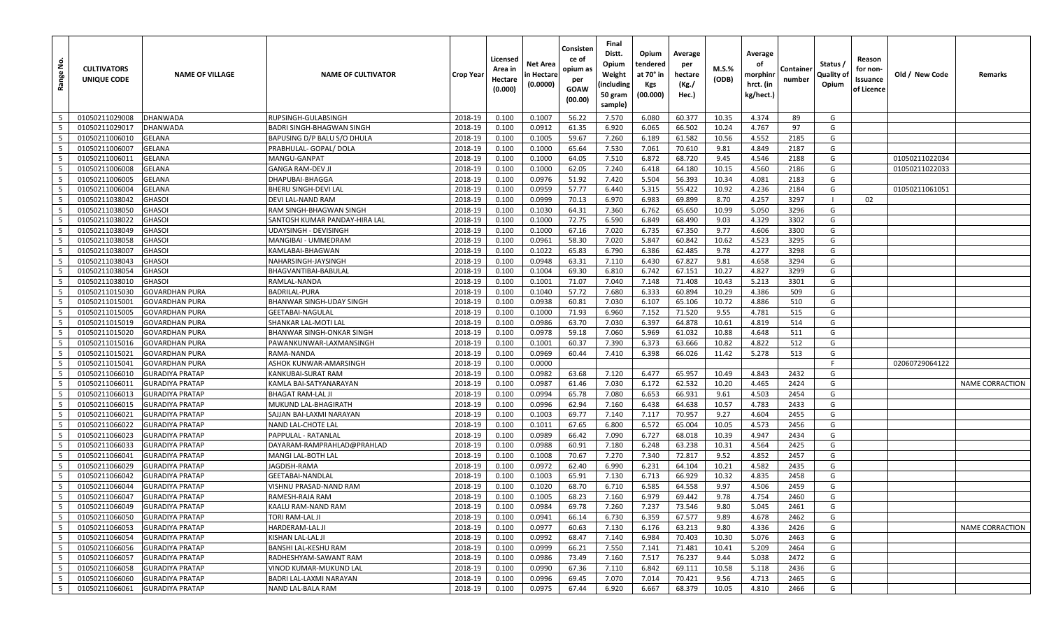| å<br>Range      | <b>CULTIVATORS</b><br>UNIQUE CODE | <b>NAME OF VILLAGE</b>                           | <b>NAME OF CULTIVATOR</b>          | Crop Year          | Licensed<br>Area in<br>Hectare<br>(0.000) | Net Area<br>n Hectare<br>(0.0000) | Consisten<br>ce of<br>opium as<br>per<br><b>GOAW</b><br>(00.00) | Final<br>Distt.<br>Opium<br>Weight<br>(including<br>50 gram<br>sample) | Opium<br>tendered<br>at 70° in<br><b>Kgs</b><br>(00.000) | Average<br>per<br>hectare<br>(Kg./<br>Hec.) | M.S.%<br>(ODB) | Average<br>οf<br>morphinn<br>hrct. (in<br>kg/hect.) | Containeı<br>number | Status /<br>Quality of<br>Opium | Reason<br>for non-<br>Issuance<br>of Licence | Old / New Code | Remarks                |
|-----------------|-----------------------------------|--------------------------------------------------|------------------------------------|--------------------|-------------------------------------------|-----------------------------------|-----------------------------------------------------------------|------------------------------------------------------------------------|----------------------------------------------------------|---------------------------------------------|----------------|-----------------------------------------------------|---------------------|---------------------------------|----------------------------------------------|----------------|------------------------|
| 5               | 01050211029008                    | <b>DHANWADA</b>                                  | RUPSINGH-GULABSINGH                | 2018-19            | 0.100                                     | 0.1007                            | 56.22                                                           | 7.570                                                                  | 6.080                                                    | 60.377                                      | 10.35          | 4.374                                               | 89                  | G                               |                                              |                |                        |
| 5               | 01050211029017                    | <b>DHANWADA</b>                                  | BADRI SINGH-BHAGWAN SINGH          | 2018-19            | 0.100                                     | 0.0912                            | 61.35                                                           | 6.920                                                                  | 6.065                                                    | 66.502                                      | 10.24          | 4.767                                               | 97                  | G                               |                                              |                |                        |
| 5               | 01050211006010                    | <b>GELANA</b>                                    | BAPUSING D/P BALU S/O DHULA        | 2018-19            | 0.100                                     | 0.1005                            | 59.67                                                           | 7.260                                                                  | 6.189                                                    | 61.582                                      | 10.56          | 4.552                                               | 2185                | G                               |                                              |                |                        |
| 5               | 01050211006007                    | <b>GELANA</b>                                    | PRABHULAL- GOPAL/ DOLA             | 2018-19            | 0.100                                     | 0.1000                            | 65.64                                                           | 7.530                                                                  | 7.061                                                    | 70.610                                      | 9.81           | 4.849                                               | 2187                | G                               |                                              |                |                        |
| 5               | 01050211006011                    | <b>GELANA</b>                                    | MANGU-GANPAT                       | 2018-19            | 0.100                                     | 0.1000                            | 64.05                                                           | 7.510                                                                  | 6.872                                                    | 68.720                                      | 9.45           | 4.546                                               | 2188                | G                               |                                              | 01050211022034 |                        |
| 5               | 01050211006008                    | <b>GELANA</b>                                    | GANGA RAM-DEV JI                   | 2018-19            | 0.100                                     | 0.1000                            | 62.05                                                           | 7.240                                                                  | 6.418                                                    | 64.180                                      | 10.15          | 4.560                                               | 2186                | G                               |                                              | 01050211022033 |                        |
| 5               | 01050211006005                    | <b>GELANA</b>                                    | DHAPUBAI-BHAGGA                    | 2018-19            | 0.100                                     | 0.0976                            | 51.92                                                           | 7.420                                                                  | 5.504                                                    | 56.393                                      | 10.34          | 4.081                                               | 2183                | G                               |                                              |                |                        |
| 5               | 01050211006004                    | <b>GELANA</b>                                    | BHERU SINGH-DEVI LAL               | 2018-19            | 0.100                                     | 0.0959                            | 57.77                                                           | 6.440                                                                  | 5.315                                                    | 55.422                                      | 10.92          | 4.236                                               | 2184                | G                               |                                              | 01050211061051 |                        |
| 5               | 01050211038042                    | <b>GHASOI</b>                                    | DEVI LAL-NAND RAM                  | 2018-19            | 0.100                                     | 0.0999                            | 70.13                                                           | 6.970                                                                  | 6.983                                                    | 69.899                                      | 8.70           | 4.257                                               | 3297                |                                 | 02                                           |                |                        |
| 5               | 01050211038050                    | <b>GHASOI</b>                                    | RAM SINGH-BHAGWAN SINGH            | 2018-19            | 0.100                                     | 0.1030                            | 64.31                                                           | 7.360                                                                  | 6.762                                                    | 65.650                                      | 10.99          | 5.050                                               | 3296                | G                               |                                              |                |                        |
| 5               | 01050211038022                    | <b>GHASOI</b>                                    | SANTOSH KUMAR PANDAY-HIRA LAL      | 2018-19            | 0.100                                     | 0.1000                            | 72.75                                                           | 6.590                                                                  | 6.849                                                    | 68.490                                      | 9.03           | 4.329                                               | 3302                | G                               |                                              |                |                        |
| 5               | 01050211038049                    | <b>GHASOI</b>                                    | UDAYSINGH - DEVISINGH              | 2018-19            | 0.100                                     | 0.1000                            | 67.16                                                           | 7.020                                                                  | 6.735                                                    | 67.350                                      | 9.77           | 4.606                                               | 3300                | G                               |                                              |                |                        |
| 5               | 01050211038058                    | <b>GHASOI</b>                                    | MANGIBAI - UMMEDRAM                | 2018-19            | 0.100                                     | 0.0961                            | 58.30                                                           | 7.020                                                                  | 5.847                                                    | 60.842                                      | 10.62          | 4.523                                               | 3295                | G                               |                                              |                |                        |
| 5               | 01050211038007                    | <b>GHASOI</b>                                    | KAMLABAI-BHAGWAN                   | 2018-19            | 0.100                                     | 0.1022                            | 65.83                                                           | 6.790                                                                  | 6.386                                                    | 62.485                                      | 9.78           | 4.277                                               | 3298                | G                               |                                              |                |                        |
| 5               | 01050211038043                    | <b>GHASOI</b>                                    | NAHARSINGH-JAYSINGH                | 2018-19            | 0.100                                     | 0.0948                            | 63.31                                                           | 7.110                                                                  | 6.430                                                    | 67.827                                      | 9.81           | 4.658                                               | 3294                | G                               |                                              |                |                        |
| 5               | 01050211038054                    | <b>GHASOI</b>                                    | BHAGVANTIBAI-BABULAL               | 2018-19            | 0.100                                     | 0.1004                            | 69.30                                                           | 6.810                                                                  | 6.742                                                    | 67.151                                      | 10.27          | 4.827                                               | 3299                | G                               |                                              |                |                        |
| 5               | 01050211038010                    | <b>GHASOI</b>                                    | RAMLAL-NANDA                       | 2018-19            | 0.100                                     | 0.1001                            | 71.07                                                           | 7.040                                                                  | 7.148                                                    | 71.408                                      | 10.43          | 5.213                                               | 3301                | G                               |                                              |                |                        |
| 5               | 01050211015030                    | <b>GOVARDHAN PURA</b>                            | <b>BADRILAL-PURA</b>               | 2018-19            | 0.100                                     | 0.1040                            | 57.72                                                           | 7.680                                                                  | 6.333                                                    | 60.894                                      | 10.29          | 4.386                                               | 509                 | G                               |                                              |                |                        |
| 5               | 01050211015001                    | <b>GOVARDHAN PURA</b>                            | BHANWAR SINGH-UDAY SINGH           | 2018-19            | 0.100                                     | 0.0938                            | 60.81                                                           | 7.030                                                                  | 6.107                                                    | 65.106                                      | 10.72          | 4.886                                               | 510                 | G                               |                                              |                |                        |
| 5               | 01050211015005                    | <b>GOVARDHAN PURA</b>                            | GEETABAI-NAGULAL                   | 2018-19            | 0.100                                     | 0.1000                            | 71.93                                                           | 6.960                                                                  | 7.152                                                    | 71.520                                      | 9.55           | 4.781                                               | 515                 | G                               |                                              |                |                        |
| 5               | 01050211015019                    | <b>GOVARDHAN PURA</b>                            | SHANKAR LAL-MOTI LAL               | 2018-19            | 0.100                                     | 0.0986                            | 63.70                                                           | 7.030                                                                  | 6.397                                                    | 64.878                                      | 10.61          | 4.819                                               | 514                 | G                               |                                              |                |                        |
| 5               | 01050211015020                    | <b>GOVARDHAN PURA</b>                            | BHANWAR SINGH-ONKAR SINGH          | 2018-19            | 0.100                                     | 0.0978                            | 59.18                                                           | 7.060                                                                  | 5.969                                                    | 61.032                                      | 10.88          | 4.648                                               | 511                 | G                               |                                              |                |                        |
| 5               | 01050211015016                    | <b>GOVARDHAN PURA</b>                            | PAWANKUNWAR-LAXMANSINGH            | 2018-19            | 0.100                                     | 0.1001                            | 60.37                                                           | 7.390                                                                  | 6.373                                                    | 63.666                                      | 10.82          | 4.822                                               | 512                 | G                               |                                              |                |                        |
| 5               | 01050211015021                    | <b>GOVARDHAN PURA</b>                            | RAMA-NANDA                         | 2018-19            | 0.100                                     | 0.0969                            | 60.44                                                           | 7.410                                                                  | 6.398                                                    | 66.026                                      | 11.42          | 5.278                                               | 513                 | G                               |                                              |                |                        |
| 5               | 01050211015041                    | <b>GOVARDHAN PURA</b>                            | ASHOK KUNWAR-AMARSINGH             | 2018-19            | 0.100                                     | 0.0000                            |                                                                 |                                                                        |                                                          |                                             |                |                                                     |                     | F.                              |                                              | 02060729064122 |                        |
| 5               | 01050211066010                    | <b>GURADIYA PRATAP</b>                           | KANKUBAI-SURAT RAM                 | 2018-19            | 0.100                                     | 0.0982                            | 63.68                                                           | 7.120                                                                  | 6.477                                                    | 65.957                                      | 10.49          | 4.843                                               | 2432                | G                               |                                              |                |                        |
| 5               | 01050211066011                    | <b>GURADIYA PRATAP</b>                           | KAMLA BAI-SATYANARAYAN             | 2018-19            | 0.100                                     | 0.0987                            | 61.46                                                           | 7.030                                                                  | 6.172                                                    | 62.532                                      | 10.20          | 4.465                                               | 2424                | G                               |                                              |                | <b>NAME CORRACTION</b> |
| 5               | 01050211066013                    | <b>GURADIYA PRATAP</b>                           | <b>BHAGAT RAM-LAL JI</b>           | 2018-19            | 0.100                                     | 0.0994                            | 65.78                                                           | 7.080                                                                  | 6.653                                                    | 66.931                                      | 9.61           | 4.503                                               | 2454                | G                               |                                              |                |                        |
| 5               | 01050211066015                    | <b>GURADIYA PRATAP</b>                           | MUKUND LAL-BHAGIRATH               | 2018-19            | 0.100                                     | 0.0996                            | 62.94                                                           | 7.160                                                                  | 6.438                                                    | 64.638                                      | 10.57          | 4.783                                               | 2433                | G                               |                                              |                |                        |
| 5               | 01050211066021                    | <b>GURADIYA PRATAP</b>                           | SAJJAN BAI-LAXMI NARAYAN           | 2018-19            | 0.100                                     | 0.1003                            | 69.77                                                           | 7.140                                                                  | 7.117                                                    | 70.957                                      | 9.27           | 4.604                                               | 2455                | G                               |                                              |                |                        |
| 5               | 01050211066022                    | <b>GURADIYA PRATAP</b>                           | NAND LAL-CHOTE LAL                 | 2018-19            | 0.100                                     | 0.1011                            | 67.65                                                           | 6.800                                                                  | 6.572                                                    | 65.004                                      | 10.05          | 4.573                                               | 2456                | G                               |                                              |                |                        |
| 5               | 01050211066023                    | <b>GURADIYA PRATAP</b>                           | PAPPULAL - RATANLAI                | 2018-19            | 0.100                                     | 0.0989                            | 66.42                                                           | 7.090                                                                  | 6.727                                                    | 68.018                                      | 10.39          | 4.947                                               | 2434                | G                               |                                              |                |                        |
| 5               | 01050211066033                    | <b>GURADIYA PRATAP</b>                           | DAYARAM-RAMPRAHLAD@PRAHLAD         | 2018-19            | 0.100                                     | 0.0988                            | 60.91                                                           | 7.180                                                                  | 6.248                                                    | 63.238                                      | 10.31          | 4.564                                               | 2425                | G                               |                                              |                |                        |
| 5               | 01050211066041                    | <b>GURADIYA PRATAP</b>                           | MANGI LAL-BOTH LAL                 | 2018-19            | 0.100                                     | 0.1008                            | 70.67                                                           | 7.270                                                                  | 7.340                                                    | 72.817                                      | 9.52           | 4.852                                               | 2457                | G                               |                                              |                |                        |
| 5               | 01050211066029                    | <b>GURADIYA PRATAP</b>                           | JAGDISH-RAMA                       | 2018-19            | 0.100                                     | 0.0972                            | 62.40                                                           | 6.990                                                                  | 6.231                                                    | 64.104                                      | 10.21          | 4.582                                               | 2435                | G                               |                                              |                |                        |
| 5               | 01050211066042                    | <b>GURADIYA PRATAP</b>                           | GEETABAI-NANDLAL                   | 2018-19<br>2018-19 | 0.100                                     | 0.1003<br>0.1020                  | 65.91<br>68.70                                                  | 7.130                                                                  | 6.713<br>6.585                                           | 66.929<br>64.558                            | 10.32<br>9.97  | 4.835<br>4.506                                      | 2458                | G<br>G                          |                                              |                |                        |
| 5               | 01050211066044<br>01050211066047  | <b>GURADIYA PRATAP</b>                           | VISHNU PRASAD-NAND RAM             | 2018-19            | 0.100                                     | 0.1005                            | 68.23                                                           | 6.710<br>7.160                                                         | 6.979                                                    | 69.442                                      | 9.78           | 4.754                                               | 2459<br>2460        | G                               |                                              |                |                        |
| $5\overline{5}$ |                                   | <b>GURADIYA PRATAP</b>                           | RAMESH-RAJA RAM                    |                    | 0.100                                     |                                   |                                                                 |                                                                        |                                                          |                                             |                |                                                     |                     |                                 |                                              |                |                        |
| 5<br>5          | 01050211066049<br>01050211066050  | <b>GURADIYA PRATAP</b><br><b>GURADIYA PRATAP</b> | KAALU RAM-NAND RAM                 | 2018-19            | 0.100                                     | 0.0984                            | 69.78                                                           | 7.260                                                                  | 7.237                                                    | 73.546                                      | 9.80           | 5.045                                               | 2461                | G                               |                                              |                |                        |
| 5               | 01050211066053                    | <b>GURADIYA PRATAP</b>                           | TORI RAM-LAL JI<br>HARDERAM-LAL JI | 2018-19<br>2018-19 | 0.100<br>0.100                            | 0.0941<br>0.0977                  | 66.14<br>60.63                                                  | 6.730<br>7.130                                                         | 6.359<br>6.176                                           | 67.577<br>63.213                            | 9.89<br>9.80   | 4.678<br>4.336                                      | 2462<br>2426        | G<br>G                          |                                              |                | <b>NAME CORRACTION</b> |
| 5               | 01050211066054                    | <b>GURADIYA PRATAP</b>                           | KISHAN LAL-LAL JI                  | 2018-19            | 0.100                                     | 0.0992                            | 68.47                                                           |                                                                        | 6.984                                                    | 70.403                                      | 10.30          | 5.076                                               | 2463                | G                               |                                              |                |                        |
| 5               | 01050211066056                    | <b>GURADIYA PRATAP</b>                           | BANSHI LAL-KESHU RAM               | 2018-19            | 0.100                                     | 0.0999                            | 66.21                                                           | 7.140<br>7.550                                                         | 7.141                                                    | 71.481                                      | 10.41          | 5.209                                               | 2464                | G                               |                                              |                |                        |
| 5               | 01050211066057                    | <b>GURADIYA PRATAP</b>                           | RADHESHYAM-SAWANT RAM              | 2018-19            | 0.100                                     | 0.0986                            | 73.49                                                           | 7.160                                                                  | 7.517                                                    | 76.237                                      | 9.44           | 5.038                                               | 2472                | G                               |                                              |                |                        |
| 5               | 01050211066058                    | <b>GURADIYA PRATAP</b>                           | VINOD KUMAR-MUKUND LAL             | 2018-19            | 0.100                                     | 0.0990                            | 67.36                                                           | 7.110                                                                  | 6.842                                                    | 69.111                                      | 10.58          | 5.118                                               | 2436                | G                               |                                              |                |                        |
| 5               | 01050211066060                    | <b>GURADIYA PRATAP</b>                           | BADRI LAL-LAXMI NARAYAN            | 2018-19            | 0.100                                     | 0.0996                            | 69.45                                                           | 7.070                                                                  | 7.014                                                    | 70.421                                      | 9.56           | 4.713                                               | 2465                | G                               |                                              |                |                        |
| 5               | 01050211066061                    | <b>GURADIYA PRATAP</b>                           | NAND LAL-BALA RAM                  | 2018-19            | 0.100                                     | 0.0975                            | 67.44                                                           | 6.920                                                                  | 6.667                                                    | 68.379                                      | 10.05          | 4.810                                               | 2466                | G                               |                                              |                |                        |
|                 |                                   |                                                  |                                    |                    |                                           |                                   |                                                                 |                                                                        |                                                          |                                             |                |                                                     |                     |                                 |                                              |                |                        |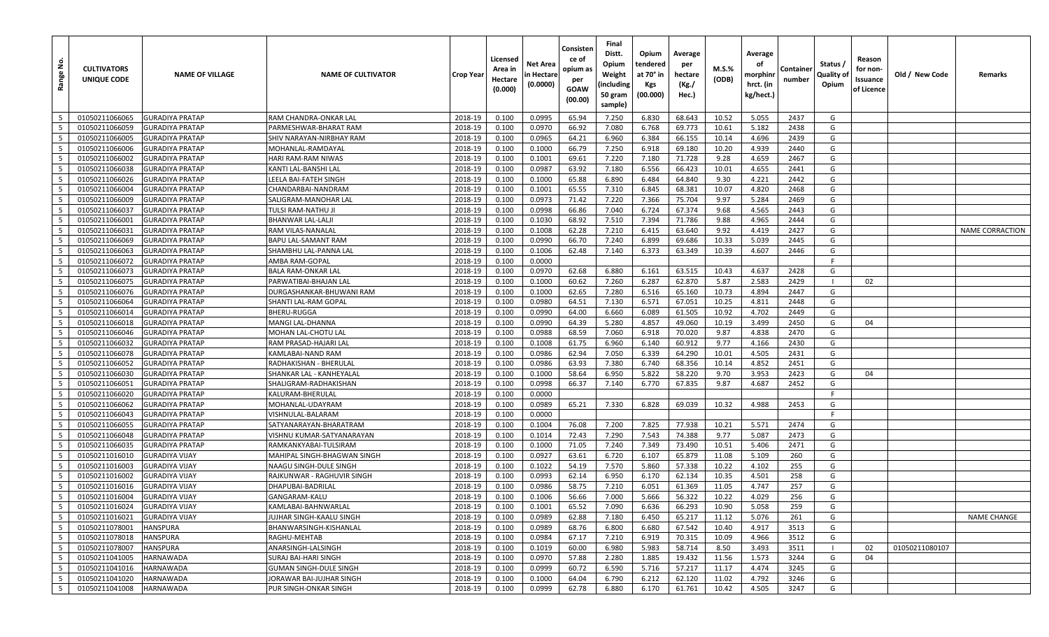| <u>و</u><br>Range        | <b>CULTIVATORS</b><br>UNIQUE CODE | <b>NAME OF VILLAGE</b> | <b>NAME OF CULTIVATOR</b>     | Crop Year | Licensed<br>Area in<br>Hectare<br>(0.000) | Net Area<br>n Hectare<br>(0.0000) | Consisten<br>ce of<br>opium as<br>per<br>GOAW<br>(00.00) | Final<br>Distt.<br>Opium<br>Weight<br>(including<br>50 gram<br>sample) | Opium<br>tendered<br>at 70° in<br>Kgs<br>(00.000) | Average<br>per<br>hectare<br>(Kg./<br>Hec.) | M.S.%<br>(ODB) | Average<br>οf<br>morphinı<br>hrct. (in<br>kg/hect.) | Containe<br>number | Status /<br>Quality of<br>Opium | Reason<br>for non-<br>Issuance<br>of Licence | Old / New Code | Remarks                |
|--------------------------|-----------------------------------|------------------------|-------------------------------|-----------|-------------------------------------------|-----------------------------------|----------------------------------------------------------|------------------------------------------------------------------------|---------------------------------------------------|---------------------------------------------|----------------|-----------------------------------------------------|--------------------|---------------------------------|----------------------------------------------|----------------|------------------------|
| 5                        | 01050211066065                    | <b>GURADIYA PRATAP</b> | RAM CHANDRA-ONKAR LAL         | 2018-19   | 0.100                                     | 0.0995                            | 65.94                                                    | 7.250                                                                  | 6.830                                             | 68.643                                      | 10.52          | 5.055                                               | 2437               | G                               |                                              |                |                        |
| 5                        | 01050211066059                    | <b>GURADIYA PRATAP</b> | PARMESHWAR-BHARAT RAM         | 2018-19   | 0.100                                     | 0.0970                            | 66.92                                                    | 7.080                                                                  | 6.768                                             | 69.773                                      | 10.61          | 5.182                                               | 2438               | G                               |                                              |                |                        |
| - 5                      | 01050211066005                    | <b>GURADIYA PRATAP</b> | SHIV NARAYAN-NIRBHAY RAM      | 2018-19   | 0.100                                     | 0.0965                            | 64.21                                                    | 6.960                                                                  | 6.384                                             | 66.155                                      | 10.14          | 4.696                                               | 2439               | G                               |                                              |                |                        |
| 5                        | 01050211066006                    | <b>GURADIYA PRATAP</b> | MOHANLAL-RAMDAYAL             | 2018-19   | 0.100                                     | 0.1000                            | 66.79                                                    | 7.250                                                                  | 6.918                                             | 69.180                                      | 10.20          | 4.939                                               | 2440               | G                               |                                              |                |                        |
| 5                        | 01050211066002                    | <b>GURADIYA PRATAP</b> | HARI RAM-RAM NIWAS            | 2018-19   | 0.100                                     | 0.1001                            | 69.61                                                    | 7.220                                                                  | 7.180                                             | 71.728                                      | 9.28           | 4.659                                               | 2467               | G                               |                                              |                |                        |
| 5                        | 01050211066038                    | <b>GURADIYA PRATAP</b> | KANTI LAL-BANSHI LAL          | 2018-19   | 0.100                                     | 0.0987                            | 63.92                                                    | 7.180                                                                  | 6.556                                             | 66.423                                      | 10.01          | 4.655                                               | 2441               | G                               |                                              |                |                        |
| $5\overline{5}$          | 01050211066026                    | <b>GURADIYA PRATAP</b> | LEELA BAI-FATEH SINGH         | 2018-19   | 0.100                                     | 0.1000                            | 65.88                                                    | 6.890                                                                  | 6.484                                             | 64.840                                      | 9.30           | 4.221                                               | 2442               | G                               |                                              |                |                        |
| 5                        | 01050211066004                    | <b>GURADIYA PRATAP</b> | CHANDARBAI-NANDRAM            | 2018-19   | 0.100                                     | 0.1001                            | 65.55                                                    | 7.310                                                                  | 6.845                                             | 68.381                                      | 10.07          | 4.820                                               | 2468               | G                               |                                              |                |                        |
| 5                        | 01050211066009                    | <b>GURADIYA PRATAP</b> | SALIGRAM-MANOHAR LAL          | 2018-19   | 0.100                                     | 0.0973                            | 71.42                                                    | 7.220                                                                  | 7.366                                             | 75.704                                      | 9.97           | 5.284                                               | 2469               | G                               |                                              |                |                        |
| 5                        | 01050211066037                    | <b>GURADIYA PRATAP</b> | TULSI RAM-NATHU JI            | 2018-19   | 0.100                                     | 0.0998                            | 66.86                                                    | 7.040                                                                  | 6.724                                             | 67.374                                      | 9.68           | 4.565                                               | 2443               | G                               |                                              |                |                        |
| 5                        | 01050211066001                    | <b>GURADIYA PRATAP</b> | BHANWAR LAL-LALJI             | 2018-19   | 0.100                                     | 0.1030                            | 68.92                                                    | 7.510                                                                  | 7.394                                             | 71.786                                      | 9.88           | 4.965                                               | 2444               | G                               |                                              |                |                        |
| 5                        | 01050211066031                    | <b>GURADIYA PRATAP</b> | RAM VILAS-NANALAL             | 2018-19   | 0.100                                     | 0.1008                            | 62.28                                                    | 7.210                                                                  | 6.415                                             | 63.640                                      | 9.92           | 4.419                                               | 2427               | G                               |                                              |                | <b>NAME CORRACTION</b> |
| $5\overline{5}$          | 01050211066069                    | <b>GURADIYA PRATAP</b> | BAPU LAL-SAMANT RAM           | 2018-19   | 0.100                                     | 0.0990                            | 66.70                                                    | 7.240                                                                  | 6.899                                             | 69.686                                      | 10.33          | 5.039                                               | 2445               | G                               |                                              |                |                        |
| 5                        | 01050211066063                    | <b>GURADIYA PRATAP</b> | SHAMBHU LAL-PANNA LAL         | 2018-19   | 0.100                                     | 0.1006                            | 62.48                                                    | 7.140                                                                  | 6.373                                             | 63.349                                      | 10.39          | 4.607                                               | 2446               | G                               |                                              |                |                        |
| 5                        | 01050211066072                    | <b>GURADIYA PRATAP</b> | AMBA RAM-GOPAL                | 2018-19   | 0.100                                     | 0.0000                            |                                                          |                                                                        |                                                   |                                             |                |                                                     |                    | -F                              |                                              |                |                        |
| $5\overline{5}$          | 01050211066073                    | <b>GURADIYA PRATAP</b> | BALA RAM-ONKAR LAL            | 2018-19   | 0.100                                     | 0.0970                            | 62.68                                                    | 6.880                                                                  | 6.161                                             | 63.515                                      | 10.43          | 4.637                                               | 2428               | G                               |                                              |                |                        |
| 5                        | 01050211066075                    | <b>GURADIYA PRATAP</b> | PARWATIBAI-BHAJAN LAL         | 2018-19   | 0.100                                     | 0.1000                            | 60.62                                                    | 7.260                                                                  | 6.287                                             | 62.870                                      | 5.87           | 2.583                                               | 2429               |                                 | 02                                           |                |                        |
| 5                        | 01050211066076                    | <b>GURADIYA PRATAP</b> | DURGASHANKAR-BHUWANI RAM      | 2018-19   | 0.100                                     | 0.1000                            | 62.65                                                    | 7.280                                                                  | 6.516                                             | 65.160                                      | 10.73          | 4.894                                               | 2447               | G                               |                                              |                |                        |
| 5                        | 01050211066064                    | <b>GURADIYA PRATAP</b> | SHANTI LAL-RAM GOPAL          | 2018-19   | 0.100                                     | 0.0980                            | 64.51                                                    | 7.130                                                                  | 6.571                                             | 67.051                                      | 10.25          | 4.811                                               | 2448               | G                               |                                              |                |                        |
| 5                        | 01050211066014                    | <b>GURADIYA PRATAP</b> | <b>BHERU-RUGGA</b>            | 2018-19   | 0.100                                     | 0.0990                            | 64.00                                                    | 6.660                                                                  | 6.089                                             | 61.505                                      | 10.92          | 4.702                                               | 2449               | G                               |                                              |                |                        |
| 5                        | 01050211066018                    | <b>GURADIYA PRATAP</b> | MANGI LAL-DHANNA              | 2018-19   | 0.100                                     | 0.0990                            | 64.39                                                    | 5.280                                                                  | 4.857                                             | 49.060                                      | 10.19          | 3.499                                               | 2450               | G                               | 04                                           |                |                        |
| 5                        | 01050211066046                    | <b>GURADIYA PRATAP</b> | MOHAN LAL-CHOTU LAL           | 2018-19   | 0.100                                     | 0.0988                            | 68.59                                                    | 7.060                                                                  | 6.918                                             | 70.020                                      | 9.87           | 4.838                                               | 2470               | G                               |                                              |                |                        |
| 5                        | 01050211066032                    | <b>GURADIYA PRATAP</b> | RAM PRASAD-HAJARI LAL         | 2018-19   | 0.100                                     | 0.1008                            | 61.75                                                    | 6.960                                                                  | 6.140                                             | 60.912                                      | 9.77           | 4.166                                               | 2430               | G                               |                                              |                |                        |
| 5                        | 01050211066078                    | <b>GURADIYA PRATAP</b> | KAMLABAI-NAND RAM             | 2018-19   | 0.100                                     | 0.0986                            | 62.94                                                    | 7.050                                                                  | 6.339                                             | 64.290                                      | 10.01          | 4.505                                               | 2431               | G                               |                                              |                |                        |
| 5                        | 01050211066052                    | <b>GURADIYA PRATAP</b> | RADHAKISHAN - BHERULAL        | 2018-19   | 0.100                                     | 0.0986                            | 63.93                                                    | 7.380                                                                  | 6.740                                             | 68.356                                      | 10.14          | 4.852                                               | 2451               | G                               |                                              |                |                        |
| 5                        | 01050211066030                    | <b>GURADIYA PRATAP</b> | SHANKAR LAL - KANHEYALAL      | 2018-19   | 0.100                                     | 0.1000                            | 58.64                                                    | 6.950                                                                  | 5.822                                             | 58.220                                      | 9.70           | 3.953                                               | 2423               | G                               | 04                                           |                |                        |
| $5\overline{5}$          | 01050211066051                    | <b>GURADIYA PRATAP</b> | SHALIGRAM-RADHAKISHAN         | 2018-19   | 0.100                                     | 0.0998                            | 66.37                                                    | 7.140                                                                  | 6.770                                             | 67.835                                      | 9.87           | 4.687                                               | 2452               | G                               |                                              |                |                        |
| 5                        | 01050211066020                    | <b>GURADIYA PRATAP</b> | KALURAM-BHERULAL              | 2018-19   | 0.100                                     | 0.0000                            |                                                          |                                                                        |                                                   |                                             |                |                                                     |                    | F.                              |                                              |                |                        |
| 5                        | 01050211066062                    | <b>GURADIYA PRATAP</b> | MOHANLAL-UDAYRAM              | 2018-19   | 0.100                                     | 0.0989                            | 65.21                                                    | 7.330                                                                  | 6.828                                             | 69.039                                      | 10.32          | 4.988                                               | 2453               | G                               |                                              |                |                        |
| 5                        | 01050211066043                    | <b>GURADIYA PRATAP</b> | VISHNULAL-BALARAM             | 2018-19   | 0.100                                     | 0.0000                            |                                                          |                                                                        |                                                   |                                             |                |                                                     |                    | F                               |                                              |                |                        |
| 5                        | 01050211066055                    | <b>GURADIYA PRATAP</b> | SATYANARAYAN-BHARATRAM        | 2018-19   | 0.100                                     | 0.1004                            | 76.08                                                    | 7.200                                                                  | 7.825                                             | 77.938                                      | 10.21          | 5.571                                               | 2474               | G                               |                                              |                |                        |
| 5                        | 01050211066048                    | <b>GURADIYA PRATAP</b> | VISHNU KUMAR-SATYANARAYAN     | 2018-19   | 0.100                                     | 0.1014                            | 72.43                                                    | 7.290                                                                  | 7.543                                             | 74.388                                      | 9.77           | 5.087                                               | 2473               | G                               |                                              |                |                        |
| 5                        | 01050211066035                    | <b>GURADIYA PRATAP</b> | RAMKANKYABAI-TULSIRAM         | 2018-19   | 0.100                                     | 0.1000                            | 71.05                                                    | 7.240                                                                  | 7.349                                             | 73.490                                      | 10.51          | 5.406                                               | 2471               | G                               |                                              |                |                        |
| 5                        | 01050211016010                    | <b>GURADIYA VIJAY</b>  | MAHIPAL SINGH-BHAGWAN SINGH   | 2018-19   | 0.100                                     | 0.0927                            | 63.61                                                    | 6.720                                                                  | 6.107                                             | 65.879                                      | 11.08          | 5.109                                               | 260                | G                               |                                              |                |                        |
| 5                        | 01050211016003                    | <b>GURADIYA VIJAY</b>  | NAAGU SINGH-DULE SINGH        | 2018-19   | 0.100                                     | 0.1022                            | 54.19                                                    | 7.570                                                                  | 5.860                                             | 57.338                                      | 10.22          | 4.102                                               | 255                | G                               |                                              |                |                        |
| 5                        | 01050211016002                    | <b>GURADIYA VIJAY</b>  | RAJKUNWAR - RAGHUVIR SINGH    | 2018-19   | 0.100                                     | 0.0993                            | 62.14                                                    | 6.950                                                                  | 6.170                                             | 62.134                                      | 10.35          | 4.501                                               | 258                | G                               |                                              |                |                        |
| 5                        | 01050211016016                    | <b>GURADIYA VIJAY</b>  | DHAPUBAI-BADRILAL             | 2018-19   | 0.100                                     | 0.0986                            | 58.75                                                    | 7.210                                                                  | 6.051                                             | 61.369                                      | 11.05          | 4.747                                               | 257                | G                               |                                              |                |                        |
| $5\overline{5}$          | 01050211016004                    | <b>GURADIYA VIJAY</b>  | GANGARAM-KALU                 | 2018-19   | 0.100                                     | 0.1006                            | 56.66                                                    | 7.000                                                                  | 5.666                                             | 56.322                                      | 10.22          | 4.029                                               | 256                | G                               |                                              |                |                        |
| 5                        | 01050211016024                    | <b>GURADIYA VIJAY</b>  | KAMLABAI-BAHNWARLAL           | 2018-19   | 0.100                                     | 0.1001                            | 65.52                                                    | 7.090                                                                  | 6.636                                             | 66.293                                      | 10.90          | 5.058                                               | 259                | G                               |                                              |                |                        |
| $5\phantom{.0}$          | 01050211016021                    | <b>GURADIYA VIJAY</b>  | JUJHAR SINGH-KAALU SINGH      | 2018-19   | 0.100                                     | 0.0989                            | 62.88                                                    | 7.180                                                                  | 6.450                                             | 65.217                                      | 11.12          | 5.076                                               | 261                | G                               |                                              |                | <b>NAME CHANGE</b>     |
| $5^{\circ}$              | 01050211078001                    | <b>HANSPURA</b>        | BHANWARSINGH-KISHANLAL        | 2018-19   | 0.100                                     | 0.0989                            | 68.76                                                    | 6.800                                                                  | 6.680                                             | 67.542                                      | 10.40          | 4.917                                               | 3513               | G                               |                                              |                |                        |
| $\overline{\phantom{0}}$ | 01050211078018                    | HANSPURA               | RAGHU-MEHTAB                  | 2018-19   | 0.100                                     | 0.0984                            | 67.17                                                    | 7.210                                                                  | 6.919                                             | 70.315                                      | 10.09          | 4.966                                               | 3512               | G                               |                                              |                |                        |
| $5\phantom{.0}$          | 01050211078007                    | HANSPURA               | ANARSINGH-LALSINGH            | 2018-19   | 0.100                                     | 0.1019                            | 60.00                                                    | 6.980                                                                  | 5.983                                             | 58.714                                      | 8.50           | 3.493                                               | 3511               |                                 | 02                                           | 01050211080107 |                        |
| $5\phantom{.0}$          | 01050211041005                    | <b>HARNAWADA</b>       | SURAJ BAI-HARI SINGH          | 2018-19   | 0.100                                     | 0.0970                            | 57.88                                                    | 2.280                                                                  | 1.885                                             | 19.432                                      | 11.56          | 1.573                                               | 3244               | G                               | 04                                           |                |                        |
| $5\phantom{.0}$          | 01050211041016                    | <b>HARNAWADA</b>       | <b>GUMAN SINGH-DULE SINGH</b> | 2018-19   | 0.100                                     | 0.0999                            | 60.72                                                    | 6.590                                                                  | 5.716                                             | 57.217                                      | 11.17          | 4.474                                               | 3245               | G                               |                                              |                |                        |
| $\overline{\phantom{0}}$ | 01050211041020                    | <b>HARNAWADA</b>       | JORAWAR BAI-JUJHAR SINGH      | 2018-19   | 0.100                                     | 0.1000                            | 64.04                                                    | 6.790                                                                  | 6.212                                             | 62.120                                      | 11.02          | 4.792                                               | 3246               | G                               |                                              |                |                        |
| $5\overline{5}$          | 01050211041008                    | <b>HARNAWADA</b>       | PUR SINGH-ONKAR SINGH         | 2018-19   | 0.100                                     | 0.0999                            | 62.78                                                    | 6.880                                                                  | 6.170                                             | 61.761                                      | 10.42          | 4.505                                               | 3247               | G                               |                                              |                |                        |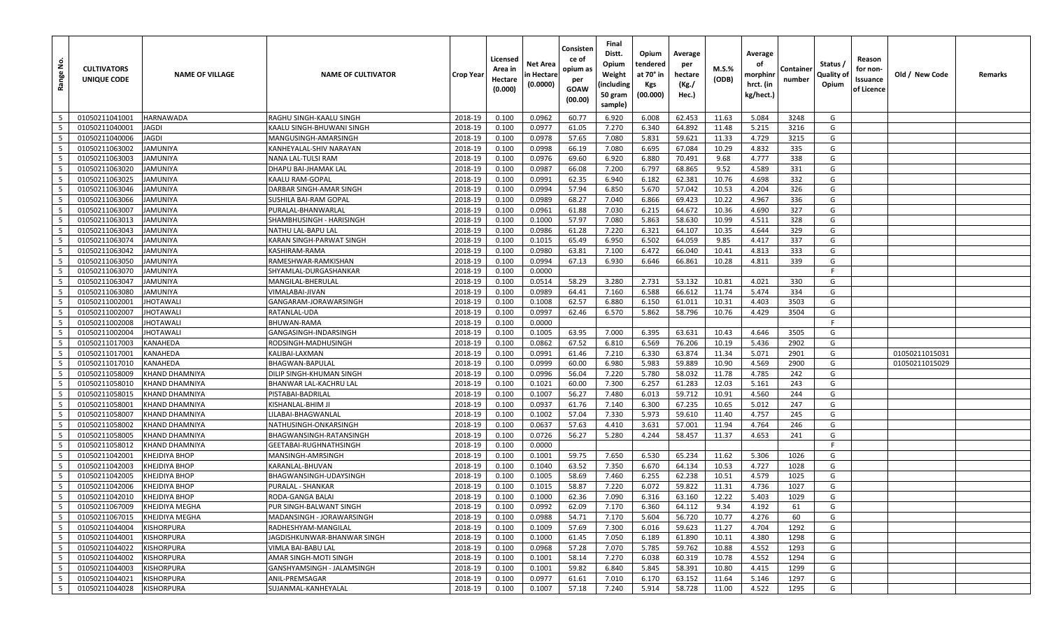| <u>غ</u><br>Range        | <b>CULTIVATORS</b><br>UNIQUE CODE | <b>NAME OF VILLAGE</b> | <b>NAME OF CULTIVATOR</b>   | Crop Year | Licensed<br>Area in<br>Hectare<br>(0.000) | Net Area<br>n Hectare<br>(0.0000) | Consisten<br>ce of<br>opium as<br>per<br>GOAW<br>(00.00) | Final<br>Distt.<br>Opium<br>Weight<br>(including<br>50 gram<br>sample) | Opium<br>tendered<br>at 70° in<br>Kgs<br>(00.000) | Average<br>per<br>hectare<br>(Kg./<br>Hec.) | M.S.%<br>(ODB) | Average<br>οf<br>morphinı<br>hrct. (in<br>kg/hect.) | Containe<br>number | Status /<br>Quality of<br>Opium | Reason<br>for non-<br>Issuance<br>of Licence | Old / New Code | Remarks |
|--------------------------|-----------------------------------|------------------------|-----------------------------|-----------|-------------------------------------------|-----------------------------------|----------------------------------------------------------|------------------------------------------------------------------------|---------------------------------------------------|---------------------------------------------|----------------|-----------------------------------------------------|--------------------|---------------------------------|----------------------------------------------|----------------|---------|
| 5                        | 01050211041001                    | <b>HARNAWADA</b>       | RAGHU SINGH-KAALU SINGH     | 2018-19   | 0.100                                     | 0.0962                            | 60.77                                                    | 6.920                                                                  | 6.008                                             | 62.453                                      | 11.63          | 5.084                                               | 3248               | G                               |                                              |                |         |
| 5                        | 01050211040001                    | JAGDI                  | KAALU SINGH-BHUWANI SINGH   | 2018-19   | 0.100                                     | 0.0977                            | 61.05                                                    | 7.270                                                                  | 6.340                                             | 64.892                                      | 11.48          | 5.215                                               | 3216               | G                               |                                              |                |         |
| - 5                      | 01050211040006                    | <b>JAGDI</b>           | MANGUSINGH-AMARSINGH        | 2018-19   | 0.100                                     | 0.0978                            | 57.65                                                    | 7.080                                                                  | 5.831                                             | 59.621                                      | 11.33          | 4.729                                               | 3215               | G                               |                                              |                |         |
| 5                        | 01050211063002                    | <b>JAMUNIYA</b>        | KANHEYALAL-SHIV NARAYAN     | 2018-19   | 0.100                                     | 0.0998                            | 66.19                                                    | 7.080                                                                  | 6.695                                             | 67.084                                      | 10.29          | 4.832                                               | 335                | G                               |                                              |                |         |
| 5                        | 01050211063003                    | JAMUNIYA               | <b>NANA LAL-TULSI RAM</b>   | 2018-19   | 0.100                                     | 0.0976                            | 69.60                                                    | 6.920                                                                  | 6.880                                             | 70.491                                      | 9.68           | 4.777                                               | 338                | G                               |                                              |                |         |
| 5                        | 01050211063020                    | JAMUNIYA               | DHAPU BAI-JHAMAK LAL        | 2018-19   | 0.100                                     | 0.0987                            | 66.08                                                    | 7.200                                                                  | 6.797                                             | 68.865                                      | 9.52           | 4.589                                               | 331                | G                               |                                              |                |         |
| $5\overline{5}$          | 01050211063025                    | JAMUNIYA               | KAALU RAM-GOPAL             | 2018-19   | 0.100                                     | 0.0991                            | 62.35                                                    | 6.940                                                                  | 6.182                                             | 62.381                                      | 10.76          | 4.698                                               | 332                | G                               |                                              |                |         |
| 5                        | 01050211063046                    | JAMUNIYA               | DARBAR SINGH-AMAR SINGH     | 2018-19   | 0.100                                     | 0.0994                            | 57.94                                                    | 6.850                                                                  | 5.670                                             | 57.042                                      | 10.53          | 4.204                                               | 326                | G                               |                                              |                |         |
| 5                        | 01050211063066                    | JAMUNIYA               | SUSHILA BAI-RAM GOPAL       | 2018-19   | 0.100                                     | 0.0989                            | 68.27                                                    | 7.040                                                                  | 6.866                                             | 69.423                                      | 10.22          | 4.967                                               | 336                | G                               |                                              |                |         |
| 5                        | 01050211063007                    | JAMUNIYA               | PURALAL-BHANWARLAL          | 2018-19   | 0.100                                     | 0.0961                            | 61.88                                                    | 7.030                                                                  | 6.215                                             | 64.672                                      | 10.36          | 4.690                                               | 327                | G                               |                                              |                |         |
| 5                        | 01050211063013                    | JAMUNIYA               | SHAMBHUSINGH - HARISINGH    | 2018-19   | 0.100                                     | 0.1000                            | 57.97                                                    | 7.080                                                                  | 5.863                                             | 58.630                                      | 10.99          | 4.511                                               | 328                | G                               |                                              |                |         |
| 5                        | 01050211063043                    | JAMUNIYA               | NATHU LAL-BAPU LAL          | 2018-19   | 0.100                                     | 0.0986                            | 61.28                                                    | 7.220                                                                  | 6.321                                             | 64.107                                      | 10.35          | 4.644                                               | 329                | G                               |                                              |                |         |
| $5\overline{5}$          | 01050211063074                    | JAMUNIYA               | KARAN SINGH-PARWAT SINGH    | 2018-19   | 0.100                                     | 0.1015                            | 65.49                                                    | 6.950                                                                  | 6.502                                             | 64.059                                      | 9.85           | 4.417                                               | 337                | G                               |                                              |                |         |
| 5                        | 01050211063042                    | JAMUNIYA               | KASHIRAM-RAMA               | 2018-19   | 0.100                                     | 0.0980                            | 63.81                                                    | 7.100                                                                  | 6.472                                             | 66.040                                      | 10.41          | 4.813                                               | 333                | G                               |                                              |                |         |
| 5                        | 01050211063050                    | JAMUNIYA               | RAMESHWAR-RAMKISHAN         | 2018-19   | 0.100                                     | 0.0994                            | 67.13                                                    | 6.930                                                                  | 6.646                                             | 66.861                                      | 10.28          | 4.811                                               | 339                | G                               |                                              |                |         |
| $5\overline{5}$          | 01050211063070                    | JAMUNIYA               | SHYAMLAL-DURGASHANKAR       | 2018-19   | 0.100                                     | 0.0000                            |                                                          |                                                                        |                                                   |                                             |                |                                                     |                    |                                 |                                              |                |         |
| 5                        | 01050211063047                    | <b>JAMUNIYA</b>        | MANGILAL-BHERULAL           | 2018-19   | 0.100                                     | 0.0514                            | 58.29                                                    | 3.280                                                                  | 2.731                                             | 53.132                                      | 10.81          | 4.021                                               | 330                | G                               |                                              |                |         |
| 5                        | 01050211063080                    | JAMUNIYA               | VIMALABAI-JIVAN             | 2018-19   | 0.100                                     | 0.0989                            | 64.41                                                    | 7.160                                                                  | 6.588                                             | 66.612                                      | 11.74          | 5.474                                               | 334                | G                               |                                              |                |         |
| 5                        | 01050211002001                    | <b>JHOTAWALI</b>       | GANGARAM-JORAWARSINGH       | 2018-19   | 0.100                                     | 0.1008                            | 62.57                                                    | 6.880                                                                  | 6.150                                             | 61.011                                      | 10.31          | 4.403                                               | 3503               | G                               |                                              |                |         |
| 5                        | 01050211002007                    | <b>JHOTAWALI</b>       | RATANLAL-UDA                | 2018-19   | 0.100                                     | 0.0997                            | 62.46                                                    | 6.570                                                                  | 5.862                                             | 58.796                                      | 10.76          | 4.429                                               | 3504               | G                               |                                              |                |         |
| 5                        | 01050211002008                    | <b>JHOTAWALI</b>       | BHUWAN-RAMA                 | 2018-19   | 0.100                                     | 0.0000                            |                                                          |                                                                        |                                                   |                                             |                |                                                     |                    | F.                              |                                              |                |         |
| 5                        | 01050211002004                    | <b>JHOTAWALI</b>       | GANGASINGH-INDARSINGH       | 2018-19   | 0.100                                     | 0.1005                            | 63.95                                                    | 7.000                                                                  | 6.395                                             | 63.631                                      | 10.43          | 4.646                                               | 3505               | G                               |                                              |                |         |
| 5                        | 01050211017003                    | KANAHEDA               | RODSINGH-MADHUSINGH         | 2018-19   | 0.100                                     | 0.0862                            | 67.52                                                    | 6.810                                                                  | 6.569                                             | 76.206                                      | 10.19          | 5.436                                               | 2902               | G                               |                                              |                |         |
| 5                        | 01050211017001                    | KANAHEDA               | KALIBAI-LAXMAN              | 2018-19   | 0.100                                     | 0.0991                            | 61.46                                                    | 7.210                                                                  | 6.330                                             | 63.874                                      | 11.34          | 5.071                                               | 2901               | G                               |                                              | 01050211015031 |         |
| $5\overline{5}$          | 01050211017010                    | KANAHEDA               | BHAGWAN-BAPULAL             | 2018-19   | 0.100                                     | 0.0999                            | 60.00                                                    | 6.980                                                                  | 5.983                                             | 59.889                                      | 10.90          | 4.569                                               | 2900               | G                               |                                              | 01050211015029 |         |
| 5                        | 01050211058009                    | <b>KHAND DHAMNIYA</b>  | DILIP SINGH-KHUMAN SINGH    | 2018-19   | 0.100                                     | 0.0996                            | 56.04                                                    | 7.220                                                                  | 5.780                                             | 58.032                                      | 11.78          | 4.785                                               | 242                | G                               |                                              |                |         |
| $5\overline{5}$          | 01050211058010                    | KHAND DHAMNIYA         | BHANWAR LAL-KACHRU LAL      | 2018-19   | 0.100                                     | 0.1021                            | 60.00                                                    | 7.300                                                                  | 6.257                                             | 61.283                                      | 12.03          | 5.161                                               | 243                | G                               |                                              |                |         |
| 5                        | 01050211058015                    | KHAND DHAMNIYA         | PISTABAI-BADRILAL           | 2018-19   | 0.100                                     | 0.1007                            | 56.27                                                    | 7.480                                                                  | 6.013                                             | 59.712                                      | 10.91          | 4.560                                               | 244                | G                               |                                              |                |         |
| 5                        | 01050211058001                    | KHAND DHAMNIYA         | KISHANLAL-BHIM JI           | 2018-19   | 0.100                                     | 0.0937                            | 61.76                                                    | 7.140                                                                  | 6.300                                             | 67.235                                      | 10.65          | 5.012                                               | 247                | G                               |                                              |                |         |
| 5                        | 01050211058007                    | KHAND DHAMNIYA         | LILABAI-BHAGWANLAL          | 2018-19   | 0.100                                     | 0.1002                            | 57.04                                                    | 7.330                                                                  | 5.973                                             | 59.610                                      | 11.40          | 4.757                                               | 245                | G                               |                                              |                |         |
| 5                        | 01050211058002                    | <b>KHAND DHAMNIYA</b>  | NATHUSINGH-ONKARSINGH       | 2018-19   | 0.100                                     | 0.0637                            | 57.63                                                    | 4.410                                                                  | 3.631                                             | 57.001                                      | 11.94          | 4.764                                               | 246                | G                               |                                              |                |         |
| $5\overline{5}$          | 01050211058005                    | KHAND DHAMNIYA         | BHAGWANSINGH-RATANSINGH     | 2018-19   | 0.100                                     | 0.0726                            | 56.27                                                    | 5.280                                                                  | 4.244                                             | 58.457                                      | 11.37          | 4.653                                               | 241                | G                               |                                              |                |         |
| 5                        | 01050211058012                    | <b>KHAND DHAMNIYA</b>  | GEETABAI-RUGHNATHSINGH      | 2018-19   | 0.100                                     | 0.0000                            |                                                          |                                                                        |                                                   |                                             |                |                                                     |                    | F                               |                                              |                |         |
| 5                        | 01050211042001                    | <b>KHEJDIYA BHOP</b>   | MANSINGH-AMRSINGH           | 2018-19   | 0.100                                     | 0.1001                            | 59.75                                                    | 7.650                                                                  | 6.530                                             | 65.234                                      | 11.62          | 5.306                                               | 1026               | G                               |                                              |                |         |
| 5                        | 01050211042003                    | KHEJDIYA BHOP          | KARANLAL-BHUVAN             | 2018-19   | 0.100                                     | 0.1040                            | 63.52                                                    | 7.350                                                                  | 6.670                                             | 64.134                                      | 10.53          | 4.727                                               | 1028               | G                               |                                              |                |         |
| 5                        | 01050211042005                    | KHEJDIYA BHOP          | BHAGWANSINGH-UDAYSINGH      | 2018-19   | 0.100                                     | 0.1005                            | 58.69                                                    | 7.460                                                                  | 6.255                                             | 62.238                                      | 10.51          | 4.579                                               | 1025               | G                               |                                              |                |         |
| 5                        | 01050211042006                    | KHEJDIYA BHOP          | PURALAL - SHANKAR           | 2018-19   | 0.100                                     | 0.1015                            | 58.87                                                    | 7.220                                                                  | 6.072                                             | 59.822                                      | 11.31          | 4.736                                               | 1027               | G                               |                                              |                |         |
| $5\overline{5}$          | 01050211042010                    | <b>KHEJDIYA BHOP</b>   | RODA-GANGA BALAI            | 2018-19   | 0.100                                     | 0.1000                            | 62.36                                                    | 7.090                                                                  | 6.316                                             | 63.160                                      | 12.22          | 5.403                                               | 1029               | G                               |                                              |                |         |
| 5                        | 01050211067009                    | KHEJDIYA MEGHA         | PUR SINGH-BALWANT SINGH     | 2018-19   | 0.100                                     | 0.0992                            | 62.09                                                    | 7.170                                                                  | 6.360                                             | 64.112                                      | 9.34           | 4.192                                               | 61                 | G                               |                                              |                |         |
| $5\overline{5}$          | 01050211067015                    | <b>KHEJDIYA MEGHA</b>  | MADANSINGH - JORAWARSINGH   | 2018-19   | 0.100                                     | 0.0988                            | 54.71                                                    | 7.170                                                                  | 5.604                                             | 56.720                                      | 10.77          | 4.276                                               | 60                 | G                               |                                              |                |         |
| $5^{\circ}$              | 01050211044004                    | <b>KISHORPURA</b>      | RADHESHYAM-MANGILAL         | 2018-19   | 0.100                                     | 0.1009                            | 57.69                                                    | 7.300                                                                  | 6.016                                             | 59.623                                      | 11.27          | 4.704                                               | 1292               | G                               |                                              |                |         |
| $5\overline{5}$          | 01050211044001                    | <b>KISHORPURA</b>      | JAGDISHKUNWAR-BHANWAR SINGH | 2018-19   | 0.100                                     | 0.1000                            | 61.45                                                    | 7.050                                                                  | 6.189                                             | 61.890                                      | 10.11          | 4.380                                               | 1298               | G                               |                                              |                |         |
| $5\overline{5}$          | 01050211044022                    | <b>KISHORPURA</b>      | VIMLA BAI-BABU LAL          | 2018-19   | 0.100                                     | 0.0968                            | 57.28                                                    | 7.070                                                                  | 5.785                                             | 59.762                                      | 10.88          | 4.552                                               | 1293               | G                               |                                              |                |         |
| $5\phantom{.0}$          | 01050211044002                    | <b>KISHORPURA</b>      | AMAR SINGH-MOTI SINGH       | 2018-19   | 0.100                                     | 0.1001                            | 58.14                                                    | 7.270                                                                  | 6.038                                             | 60.319                                      | 10.78          | 4.552                                               | 1294               | G                               |                                              |                |         |
| $5\phantom{.0}$          | 01050211044003                    | <b>KISHORPURA</b>      | GANSHYAMSINGH - JALAMSINGH  | 2018-19   | 0.100                                     | 0.1001                            | 59.82                                                    | 6.840                                                                  | 5.845                                             | 58.391                                      | 10.80          | 4.415                                               | 1299               | G                               |                                              |                |         |
| $\overline{\phantom{0}}$ | 01050211044021                    | <b>KISHORPURA</b>      | ANIL-PREMSAGAR              | 2018-19   | 0.100                                     | 0.0977                            | 61.61                                                    | 7.010                                                                  | 6.170                                             | 63.152                                      | 11.64          | 5.146                                               | 1297               | G                               |                                              |                |         |
| $5\overline{5}$          | 01050211044028                    | <b>KISHORPURA</b>      | SUJANMAL-KANHEYALAL         | 2018-19   | 0.100                                     | 0.1007                            | 57.18                                                    | 7.240                                                                  | 5.914                                             | 58.728                                      | 11.00          | 4.522                                               | 1295               | G                               |                                              |                |         |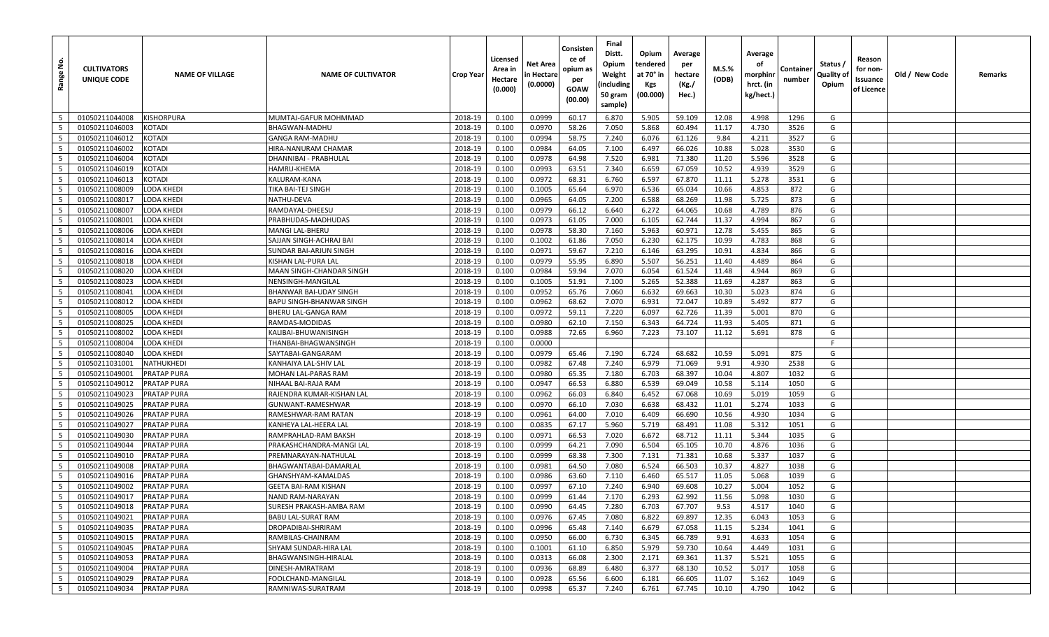| غ.<br>Range     | <b>CULTIVATORS</b><br>UNIQUE CODE | <b>NAME OF VILLAGE</b> | <b>NAME OF CULTIVATOR</b>   | <b>Crop Year</b> | Licensed<br>Area in<br>Hectare<br>(0.000) | Net Area<br>n Hectare<br>(0.0000) | Consisten<br>ce of<br>opium as<br>per<br>GOAW<br>(00.00) | Final<br>Distt.<br>Opium<br>Weight<br>(including<br>50 gram<br>sample) | Opium<br>tendered<br>at 70° in<br>Kgs<br>(00.000) | Average<br>per<br>hectare<br>(Kg./<br>Hec.) | M.S.%<br>(ODB) | Average<br>οf<br>morphinr<br>hrct. (in<br>kg/hect.) | Containe<br>number | Status /<br>Quality of<br>Opium | Reason<br>for non-<br>Issuance<br>of Licence | Old / New Code | Remarks |
|-----------------|-----------------------------------|------------------------|-----------------------------|------------------|-------------------------------------------|-----------------------------------|----------------------------------------------------------|------------------------------------------------------------------------|---------------------------------------------------|---------------------------------------------|----------------|-----------------------------------------------------|--------------------|---------------------------------|----------------------------------------------|----------------|---------|
| 5               | 01050211044008                    | KISHORPURA             | MUMTAJ-GAFUR MOHMMAD        | 2018-19          | 0.100                                     | 0.0999                            | 60.17                                                    | 6.870                                                                  | 5.905                                             | 59.109                                      | 12.08          | 4.998                                               | 1296               | G                               |                                              |                |         |
| 5               | 01050211046003                    | KOTADI                 | BHAGWAN-MADHU               | 2018-19          | 0.100                                     | 0.0970                            | 58.26                                                    | 7.050                                                                  | 5.868                                             | 60.494                                      | 11.17          | 4.730                                               | 3526               | G                               |                                              |                |         |
| - 5             | 01050211046012                    | <b>KOTADI</b>          | <b>GANGA RAM-MADHU</b>      | 2018-19          | 0.100                                     | 0.0994                            | 58.75                                                    | 7.240                                                                  | 6.076                                             | 61.126                                      | 9.84           | 4.211                                               | 3527               | G                               |                                              |                |         |
| 5               | 01050211046002                    | KOTADI                 | HIRA-NANURAM CHAMAR         | 2018-19          | 0.100                                     | 0.0984                            | 64.05                                                    | 7.100                                                                  | 6.497                                             | 66.026                                      | 10.88          | 5.028                                               | 3530               | G                               |                                              |                |         |
| 5               | 01050211046004                    | KOTADI                 | DHANNIBAI - PRABHULAL       | 2018-19          | 0.100                                     | 0.0978                            | 64.98                                                    | 7.520                                                                  | 6.981                                             | 71.380                                      | 11.20          | 5.596                                               | 3528               | G                               |                                              |                |         |
| 5               | 01050211046019                    | <b>KOTADI</b>          | HAMRU-KHEMA                 | 2018-19          | 0.100                                     | 0.0993                            | 63.51                                                    | 7.340                                                                  | 6.659                                             | 67.059                                      | 10.52          | 4.939                                               | 3529               | G                               |                                              |                |         |
| 5               | 01050211046013                    | <b>KOTADI</b>          | KALURAM-KANA                | 2018-19          | 0.100                                     | 0.0972                            | 68.31                                                    | 6.760                                                                  | 6.597                                             | 67.870                                      | 11.11          | 5.278                                               | 3531               | G                               |                                              |                |         |
| 5               | 01050211008009                    | LODA KHEDI             | TIKA BAI-TEJ SINGH          | 2018-19          | 0.100                                     | 0.1005                            | 65.64                                                    | 6.970                                                                  | 6.536                                             | 65.034                                      | 10.66          | 4.853                                               | 872                | G                               |                                              |                |         |
| 5               | 01050211008017                    | <b>LODA KHEDI</b>      | NATHU-DEVA                  | 2018-19          | 0.100                                     | 0.0965                            | 64.05                                                    | 7.200                                                                  | 6.588                                             | 68.269                                      | 11.98          | 5.725                                               | 873                | G                               |                                              |                |         |
| 5               | 01050211008007                    | LODA KHEDI             | RAMDAYAL-DHEESU             | 2018-19          | 0.100                                     | 0.0979                            | 66.12                                                    | 6.640                                                                  | 6.272                                             | 64.065                                      | 10.68          | 4.789                                               | 876                | G                               |                                              |                |         |
| 5               | 01050211008001                    | <b>LODA KHEDI</b>      | PRABHUDAS-MADHUDAS          | 2018-19          | 0.100                                     | 0.0973                            | 61.05                                                    | 7.000                                                                  | 6.105                                             | 62.744                                      | 11.37          | 4.994                                               | 867                | G                               |                                              |                |         |
| 5               | 01050211008006                    | LODA KHEDI             | MANGI LAL-BHERU             | 2018-19          | 0.100                                     | 0.0978                            | 58.30                                                    | 7.160                                                                  | 5.963                                             | 60.971                                      | 12.78          | 5.455                                               | 865                | G                               |                                              |                |         |
| $5\overline{5}$ | 01050211008014                    | <b>LODA KHEDI</b>      | SAJJAN SINGH-ACHRAJ BAI     | 2018-19          | 0.100                                     | 0.1002                            | 61.86                                                    | 7.050                                                                  | 6.230                                             | 62.175                                      | 10.99          | 4.783                                               | 868                | G                               |                                              |                |         |
| 5               | 01050211008016                    | <b>LODA KHEDI</b>      | SUNDAR BAI-ARJUN SINGH      | 2018-19          | 0.100                                     | 0.0971                            | 59.67                                                    | 7.210                                                                  | 6.146                                             | 63.295                                      | 10.91          | 4.834                                               | 866                | G                               |                                              |                |         |
| 5               | 01050211008018                    | <b>LODA KHEDI</b>      | KISHAN LAL-PURA LAL         | 2018-19          | 0.100                                     | 0.0979                            | 55.95                                                    | 6.890                                                                  | 5.507                                             | 56.251                                      | 11.40          | 4.489                                               | 864                | G                               |                                              |                |         |
| $5\overline{5}$ | 01050211008020                    | <b>LODA KHEDI</b>      | MAAN SINGH-CHANDAR SINGH    | 2018-19          | 0.100                                     | 0.0984                            | 59.94                                                    | 7.070                                                                  | 6.054                                             | 61.524                                      | 11.48          | 4.944                                               | 869                | G                               |                                              |                |         |
| 5               | 01050211008023                    | <b>LODA KHEDI</b>      | NENSINGH-MANGILAI           | 2018-19          | 0.100                                     | 0.1005                            | 51.91                                                    | 7.100                                                                  | 5.265                                             | 52.388                                      | 11.69          | 4.287                                               | 863                | G                               |                                              |                |         |
| 5               | 01050211008041                    | <b>LODA KHEDI</b>      | BHANWAR BAI-UDAY SINGH      | 2018-19          | 0.100                                     | 0.0952                            | 65.76                                                    | 7.060                                                                  | 6.632                                             | 69.663                                      | 10.30          | 5.023                                               | 874                | G                               |                                              |                |         |
| 5               | 01050211008012                    | <b>LODA KHEDI</b>      | BAPU SINGH-BHANWAR SINGH    | 2018-19          | 0.100                                     | 0.0962                            | 68.62                                                    | 7.070                                                                  | 6.931                                             | 72.047                                      | 10.89          | 5.492                                               | 877                | G                               |                                              |                |         |
| 5               | 01050211008005                    | <b>LODA KHEDI</b>      | BHERU LAL-GANGA RAM         | 2018-19          | 0.100                                     | 0.0972                            | 59.11                                                    | 7.220                                                                  | 6.097                                             | 62.726                                      | 11.39          | 5.001                                               | 870                | G                               |                                              |                |         |
| 5               | 01050211008025                    | <b>LODA KHEDI</b>      | RAMDAS-MODIDAS              | 2018-19          | 0.100                                     | 0.0980                            | 62.10                                                    | 7.150                                                                  | 6.343                                             | 64.724                                      | 11.93          | 5.405                                               | 871                | G                               |                                              |                |         |
| 5               | 01050211008002                    | <b>LODA KHEDI</b>      | KALIBAI-BHUWANISINGH        | 2018-19          | 0.100                                     | 0.0988                            | 72.65                                                    | 6.960                                                                  | 7.223                                             | 73.107                                      | 11.12          | 5.691                                               | 878                | G                               |                                              |                |         |
| 5               | 01050211008004                    | <b>LODA KHEDI</b>      | THANBAI-BHAGWANSINGH        | 2018-19          | 0.100                                     | 0.0000                            |                                                          |                                                                        |                                                   |                                             |                |                                                     |                    | F                               |                                              |                |         |
| 5               | 01050211008040                    | <b>LODA KHEDI</b>      | SAYTABAI-GANGARAM           | 2018-19          | 0.100                                     | 0.0979                            | 65.46                                                    | 7.190                                                                  | 6.724                                             | 68.682                                      | 10.59          | 5.091                                               | 875                | G                               |                                              |                |         |
| 5               | 01050211031001                    | <b>NATHUKHEDI</b>      | KANHAIYA LAL-SHIV LAL       | 2018-19          | 0.100                                     | 0.0982                            | 67.48                                                    | 7.240                                                                  | 6.979                                             | 71.069                                      | 9.91           | 4.930                                               | 2538               | G                               |                                              |                |         |
| 5               | 01050211049001                    | <b>PRATAP PURA</b>     | MOHAN LAL-PARAS RAM         | 2018-19          | 0.100                                     | 0.0980                            | 65.35                                                    | 7.180                                                                  | 6.703                                             | 68.397                                      | 10.04          | 4.807                                               | 1032               | G                               |                                              |                |         |
| 5               | 01050211049012                    | <b>PRATAP PURA</b>     | NIHAAL BAI-RAJA RAM         | 2018-19          | 0.100                                     | 0.0947                            | 66.53                                                    | 6.880                                                                  | 6.539                                             | 69.049                                      | 10.58          | 5.114                                               | 1050               | G                               |                                              |                |         |
| 5               | 01050211049023                    | <b>PRATAP PURA</b>     | RAJENDRA KUMAR-KISHAN LAL   | 2018-19          | 0.100                                     | 0.0962                            | 66.03                                                    | 6.840                                                                  | 6.452                                             | 67.068                                      | 10.69          | 5.019                                               | 1059               | G                               |                                              |                |         |
| 5               | 01050211049025                    | <b>PRATAP PURA</b>     | GUNWANT-RAMESHWAR           | 2018-19          | 0.100                                     | 0.0970                            | 66.10                                                    | 7.030                                                                  | 6.638                                             | 68.432                                      | 11.01          | 5.274                                               | 1033               | G                               |                                              |                |         |
| 5               | 01050211049026                    | <b>PRATAP PURA</b>     | RAMESHWAR-RAM RATAN         | 2018-19          | 0.100                                     | 0.0961                            | 64.00                                                    | 7.010                                                                  | 6.409                                             | 66.690                                      | 10.56          | 4.930                                               | 1034               | G                               |                                              |                |         |
| 5               | 01050211049027                    | <b>PRATAP PURA</b>     | KANHEYA LAL-HEERA LAL       | 2018-19          | 0.100                                     | 0.0835                            | 67.17                                                    | 5.960                                                                  | 5.719                                             | 68.491                                      | 11.08          | 5.312                                               | 1051               | G                               |                                              |                |         |
| 5               | 01050211049030                    | <b>PRATAP PURA</b>     | RAMPRAHLAD-RAM BAKSH        | 2018-19          | 0.100                                     | 0.0971                            | 66.53                                                    | 7.020                                                                  | 6.672                                             | 68.712                                      | 11.11          | 5.344                                               | 1035               | G                               |                                              |                |         |
| 5               | 01050211049044                    | <b>PRATAP PURA</b>     | PRAKASHCHANDRA-MANGI LAL    | 2018-19          | 0.100                                     | 0.0999                            | 64.21                                                    | 7.090                                                                  | 6.504                                             | 65.105                                      | 10.70          | 4.876                                               | 1036               | G                               |                                              |                |         |
| 5               | 01050211049010                    | <b>PRATAP PURA</b>     | PREMNARAYAN-NATHULAL        | 2018-19          | 0.100                                     | 0.0999                            | 68.38                                                    | 7.300                                                                  | 7.131                                             | 71.381                                      | 10.68          | 5.337                                               | 1037               | G                               |                                              |                |         |
| 5               | 01050211049008                    | <b>PRATAP PURA</b>     | BHAGWANTABAI-DAMARLAL       | 2018-19          | 0.100                                     | 0.0981                            | 64.50                                                    | 7.080                                                                  | 6.524                                             | 66.503                                      | 10.37          | 4.827                                               | 1038               | G                               |                                              |                |         |
| 5               | 01050211049016                    | <b>PRATAP PURA</b>     | GHANSHYAM-KAMALDAS          | 2018-19          | 0.100                                     | 0.0986                            | 63.60                                                    | 7.110                                                                  | 6.460                                             | 65.517                                      | 11.05          | 5.068                                               | 1039               | G                               |                                              |                |         |
| 5               | 01050211049002                    | <b>PRATAP PURA</b>     | <b>GEETA BAI-RAM KISHAN</b> | 2018-19          | 0.100                                     | 0.0997                            | 67.10                                                    | 7.240                                                                  | 6.940                                             | 69.608                                      | 10.27          | 5.004                                               | 1052               | G                               |                                              |                |         |
| $5\overline{5}$ | 01050211049017                    | <b>PRATAP PURA</b>     | <b>NAND RAM-NARAYAN</b>     | 2018-19          | 0.100                                     | 0.0999                            | 61.44                                                    | 7.170                                                                  | 6.293                                             | 62.992                                      | 11.56          | 5.098                                               | 1030               | G                               |                                              |                |         |
| 5               | 01050211049018                    | <b>PRATAP PURA</b>     | SURESH PRAKASH-AMBA RAM     | 2018-19          | 0.100                                     | 0.0990                            | 64.45                                                    | 7.280                                                                  | 6.703                                             | 67.707                                      | 9.53           | 4.517                                               | 1040               | G                               |                                              |                |         |
| $5\overline{5}$ | 01050211049021                    | <b>PRATAP PURA</b>     | BABU LAL-SURAT RAM          | 2018-19          | 0.100                                     | 0.0976                            | 67.45                                                    | 7.080                                                                  | 6.822                                             | 69.897                                      | 12.35          | 6.043                                               | 1053               | G                               |                                              |                |         |
| $5\overline{5}$ | 01050211049035                    | <b>PRATAP PURA</b>     | DROPADIBAI-SHRIRAM          | 2018-19          | 0.100                                     | 0.0996                            | 65.48                                                    | 7.140                                                                  | 6.679                                             | 67.058                                      | 11.15          | 5.234                                               | 1041               | G                               |                                              |                |         |
| $5\overline{5}$ | 01050211049015                    | <b>PRATAP PURA</b>     | RAMBILAS-CHAINRAM           | 2018-19          | 0.100                                     | 0.0950                            | 66.00                                                    | 6.730                                                                  | 6.345                                             | 66.789                                      | 9.91           | 4.633                                               | 1054               | G                               |                                              |                |         |
| $5\phantom{.0}$ | 01050211049045                    | <b>PRATAP PURA</b>     | SHYAM SUNDAR-HIRA LAL       | 2018-19          | 0.100                                     | 0.1001                            | 61.10                                                    | 6.850                                                                  | 5.979                                             | 59.730                                      | 10.64          | 4.449                                               | 1031               | G                               |                                              |                |         |
| $5\phantom{.0}$ | 01050211049053                    | <b>PRATAP PURA</b>     | BHAGWANSINGH-HIRALAL        | 2018-19          | 0.100                                     | 0.0313                            | 66.08                                                    | 2.300                                                                  | 2.171                                             | 69.361                                      | 11.37          | 5.521                                               | 1055               | G                               |                                              |                |         |
| $5\phantom{.0}$ | 01050211049004                    | <b>PRATAP PURA</b>     | DINESH-AMRATRAM             | 2018-19          | 0.100                                     | 0.0936                            | 68.89                                                    | 6.480                                                                  | 6.377                                             | 68.130                                      | 10.52          | 5.017                                               | 1058               | G                               |                                              |                |         |
| $5\phantom{.0}$ | 01050211049029                    | <b>PRATAP PURA</b>     | FOOLCHAND-MANGILAL          | 2018-19          | 0.100                                     | 0.0928                            | 65.56                                                    | 6.600                                                                  | 6.181                                             | 66.605                                      | 11.07          | 5.162                                               | 1049               | G                               |                                              |                |         |
| 5               | 01050211049034                    | <b>PRATAP PURA</b>     | RAMNIWAS-SURATRAM           | 2018-19          | 0.100                                     | 0.0998                            | 65.37                                                    | 7.240                                                                  | 6.761                                             | 67.745                                      | 10.10          | 4.790                                               | 1042               | G                               |                                              |                |         |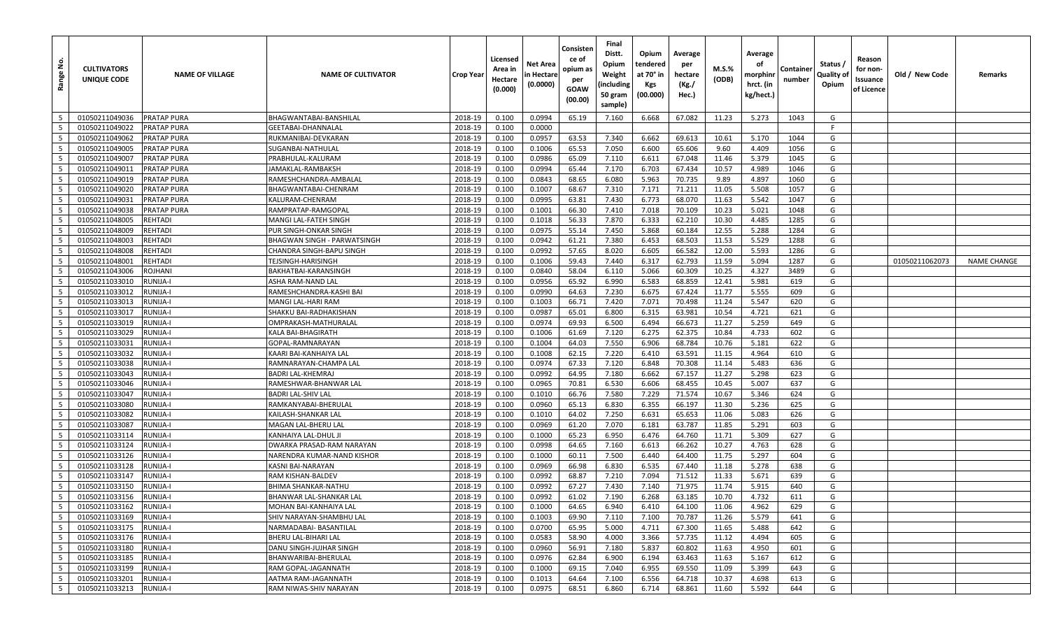| <u>ទំ</u><br>Range | <b>CULTIVATORS</b><br>UNIQUE CODE | <b>NAME OF VILLAGE</b> | <b>NAME OF CULTIVATOR</b>              | <b>Crop Year</b>   | Licensed<br>Area in<br>Hectare<br>(0.000) | Net Area<br>n Hectare<br>(0.0000) | Consisten<br>ce of<br>opium as<br>per<br>GOAW<br>(00.00) | Final<br>Distt.<br>Opium<br>Weight<br>(including<br>50 gram<br>sample) | Opium<br>tendered<br>at 70° in<br>Kgs<br>(00.000) | Average<br>per<br>hectare<br>(Kg./<br>Hec.) | M.S.%<br>(ODB) | Average<br>οf<br>morphinr<br>hrct. (in<br>kg/hect.) | Container<br>number | Status /<br>Quality of<br>Opium | Reason<br>for non-<br>Issuance<br>of Licence | Old / New Code | Remarks            |
|--------------------|-----------------------------------|------------------------|----------------------------------------|--------------------|-------------------------------------------|-----------------------------------|----------------------------------------------------------|------------------------------------------------------------------------|---------------------------------------------------|---------------------------------------------|----------------|-----------------------------------------------------|---------------------|---------------------------------|----------------------------------------------|----------------|--------------------|
| 5                  | 01050211049036                    | <b>PRATAP PURA</b>     | BHAGWANTABAI-BANSHILAL                 | 2018-19            | 0.100                                     | 0.0994                            | 65.19                                                    | 7.160                                                                  | 6.668                                             | 67.082                                      | 11.23          | 5.273                                               | 1043                | G                               |                                              |                |                    |
| $5\overline{5}$    | 01050211049022                    | PRATAP PURA            | GEETABAI-DHANNALAL                     | 2018-19            | 0.100                                     | 0.0000                            |                                                          |                                                                        |                                                   |                                             |                |                                                     |                     | E                               |                                              |                |                    |
| 5                  | 01050211049062                    | PRATAP PURA            | RUKMANIBAI-DEVKARAN                    | 2018-19            | 0.100                                     | 0.0957                            | 63.53                                                    | 7.340                                                                  | 6.662                                             | 69.613                                      | 10.61          | 5.170                                               | 1044                | G                               |                                              |                |                    |
| 5                  | 01050211049005                    | PRATAP PURA            | SUGANBAI-NATHULAL                      | 2018-19            | 0.100                                     | 0.1006                            | 65.53                                                    | 7.050                                                                  | 6.600                                             | 65.606                                      | 9.60           | 4.409                                               | 1056                | G                               |                                              |                |                    |
| 5                  | 01050211049007                    | PRATAP PURA            | PRABHULAL-KALURAM                      | 2018-19            | 0.100                                     | 0.0986                            | 65.09                                                    | 7.110                                                                  | 6.611                                             | 67.048                                      | 11.46          | 5.379                                               | 1045                | G                               |                                              |                |                    |
| 5                  | 01050211049011                    | PRATAP PURA            | JAMAKLAL-RAMBAKSH                      | 2018-19            | 0.100                                     | 0.0994                            | 65.44                                                    | 7.170                                                                  | 6.703                                             | 67.434                                      | 10.57          | 4.989                                               | 1046                | G                               |                                              |                |                    |
| $5\overline{)}$    | 01050211049019                    | PRATAP PURA            | RAMESHCHANDRA-AMBALAL                  | 2018-19            | 0.100                                     | 0.0843                            | 68.65                                                    | 6.080                                                                  | 5.963                                             | 70.735                                      | 9.89           | 4.897                                               | 1060                | G                               |                                              |                |                    |
| $5\overline{5}$    | 01050211049020                    | <b>PRATAP PURA</b>     | BHAGWANTABAI-CHENRAM                   | 2018-19            | 0.100                                     | 0.1007                            | 68.67                                                    | 7.310                                                                  | 7.171                                             | 71.211                                      | 11.05          | 5.508                                               | 1057                | G                               |                                              |                |                    |
| 5                  | 01050211049031                    | <b>PRATAP PURA</b>     | KALURAM-CHENRAM                        | 2018-19            | 0.100                                     | 0.0995                            | 63.81                                                    | 7.430                                                                  | 6.773                                             | 68.070                                      | 11.63          | 5.542                                               | 1047                | G                               |                                              |                |                    |
| $5\overline{)}$    | 01050211049038                    | PRATAP PURA            | RAMPRATAP-RAMGOPAL                     | 2018-19            | 0.100                                     | 0.1001                            | 66.30                                                    | 7.410                                                                  | 7.018                                             | 70.109                                      | 10.23          | 5.021                                               | 1048                | G                               |                                              |                |                    |
| $5\overline{)}$    | 01050211048005                    | <b>REHTADI</b>         | MANGI LAL-FATEH SINGH                  | 2018-19            | 0.100                                     | 0.1018                            | 56.33                                                    | 7.870                                                                  | 6.333                                             | 62.210                                      | 10.30          | 4.485                                               | 1285                | G                               |                                              |                |                    |
| 5                  | 01050211048009                    | <b>REHTADI</b>         | PUR SINGH-ONKAR SINGH                  | 2018-19            | 0.100                                     | 0.0975                            | 55.14                                                    | 7.450                                                                  | 5.868                                             | 60.184                                      | 12.55          | 5.288                                               | 1284                | G                               |                                              |                |                    |
| $5\overline{5}$    | 01050211048003                    | REHTADI                | BHAGWAN SINGH - PARWATSINGH            | 2018-19            | 0.100                                     | 0.0942                            | 61.21                                                    | 7.380                                                                  | 6.453                                             | 68.503                                      | 11.53          | 5.529                                               | 1288                | G                               |                                              |                |                    |
| $5\overline{)}$    | 01050211048008                    | <b>REHTADI</b>         | CHANDRA SINGH-BAPU SINGH               | 2018-19            | 0.100                                     | 0.0992                            | 57.65                                                    | 8.020                                                                  | 6.605                                             | 66.582                                      | 12.00          | 5.593                                               | 1286                | G                               |                                              |                |                    |
| $5\overline{5}$    | 01050211048001                    | <b>REHTADI</b>         | TEJSINGH-HARISINGH                     | 2018-19            | 0.100                                     | 0.1006                            | 59.43                                                    | 7.440                                                                  | 6.317                                             | 62.793                                      | 11.59          | 5.094                                               | 1287                | G                               |                                              | 01050211062073 | <b>NAME CHANGE</b> |
| 5                  | 01050211043006                    | ROJHANI                | BAKHATBAI-KARANSINGH                   | 2018-19            | 0.100                                     | 0.0840                            | 58.04                                                    | 6.110                                                                  | 5.066                                             | 60.309                                      | 10.25          | 4.327                                               | 3489                | G                               |                                              |                |                    |
| 5                  | 01050211033010                    | <b>RUNIJA-I</b>        | ASHA RAM-NAND LAL                      | 2018-19            | 0.100                                     | 0.0956                            | 65.92                                                    | 6.990                                                                  | 6.583                                             | 68.859                                      | 12.41          | 5.981                                               | 619                 | G                               |                                              |                |                    |
| 5                  | 01050211033012                    | <b>RUNIJA-I</b>        | RAMESHCHANDRA-KASHI BAI                | 2018-19            | 0.100                                     | 0.0990                            | 64.63                                                    | 7.230                                                                  | 6.675                                             | 67.424                                      | 11.77          | 5.555                                               | 609                 | G                               |                                              |                |                    |
| 5                  | 01050211033013                    | RUNIJA-I               | MANGI LAL-HARI RAM                     | 2018-19            | 0.100                                     | 0.1003                            | 66.71                                                    | 7.420                                                                  | 7.071                                             | 70.498                                      | 11.24          | 5.547                                               | 620                 | G                               |                                              |                |                    |
| $5\overline{5}$    | 01050211033017                    | RUNIJA-I               | SHAKKU BAI-RADHAKISHAN                 | 2018-19            | 0.100                                     | 0.0987                            | 65.01                                                    | 6.800                                                                  | 6.315                                             | 63.981                                      | 10.54          | 4.721                                               | 621                 | G                               |                                              |                |                    |
| $5\overline{)}$    | 01050211033019                    | RUNIJA-I               | OMPRAKASH-MATHURALAL                   | 2018-19            | 0.100                                     | 0.0974                            | 69.93                                                    | 6.500                                                                  | 6.494                                             | 66.673                                      | 11.27          | 5.259                                               | 649                 | G                               |                                              |                |                    |
| 5                  | 01050211033029                    | <b>RUNIJA-I</b>        | KALA BAI-BHAGIRATH                     | 2018-19            | 0.100                                     | 0.1006                            | 61.69                                                    | 7.120                                                                  | 6.275                                             | 62.375                                      | 10.84          | 4.733                                               | 602                 | G                               |                                              |                |                    |
| 5                  | 01050211033031                    | RUNIJA-I               | GOPAL-RAMNARAYAN                       | 2018-19            | 0.100                                     | 0.1004                            | 64.03                                                    | 7.550                                                                  | 6.906                                             | 68.784                                      | 10.76          | 5.181                                               | 622                 | G                               |                                              |                |                    |
| $5\overline{)}$    | 01050211033032                    | RUNIJA-I               | KAARI BAI-KANHAIYA LAL                 | 2018-19            | 0.100                                     | 0.1008                            | 62.15                                                    | 7.220                                                                  | 6.410                                             | 63.591                                      | 11.15          | 4.964                                               | 610                 | G                               |                                              |                |                    |
| $5\overline{5}$    | 01050211033038                    | RUNIJA-I               | RAMNARAYAN-CHAMPA LAL                  | 2018-19            | 0.100                                     | 0.0974                            | 67.33                                                    | 7.120                                                                  | 6.848                                             | 70.308                                      | 11.14          | 5.483                                               | 636                 | G                               |                                              |                |                    |
| 5                  | 01050211033043                    | RUNIJA-I               | BADRI LAL-KHEMRAJ                      | 2018-19            | 0.100                                     | 0.0992                            | 64.95                                                    | 7.180                                                                  | 6.662                                             | 67.157                                      | 11.27          | 5.298                                               | 623                 | G                               |                                              |                |                    |
| $5\overline{)}$    | 01050211033046                    | RUNIJA-I               | RAMESHWAR-BHANWAR LAL                  | 2018-19            | 0.100                                     | 0.0965                            | 70.81                                                    | 6.530                                                                  | 6.606                                             | 68.455                                      | 10.45          | 5.007                                               | 637                 | G                               |                                              |                |                    |
| 5                  | 01050211033047                    | <b>RUNIJA-I</b>        | BADRI LAL-SHIV LAL                     | 2018-19            | 0.100                                     | 0.1010                            | 66.76                                                    | 7.580                                                                  | 7.229                                             | 71.574                                      | 10.67          | 5.346                                               | 624                 | G                               |                                              |                |                    |
| 5                  | 01050211033080                    | <b>RUNIJA-I</b>        | RAMKANYABAI-BHERULAL                   | 2018-19            | 0.100                                     | 0.0960                            | 65.13                                                    | 6.830                                                                  | 6.355                                             | 66.197                                      | 11.30          | 5.236                                               | 625                 | G                               |                                              |                |                    |
| 5                  | 01050211033082                    | RUNIJA-I               | KAILASH-SHANKAR LAL                    | 2018-19            | 0.100                                     | 0.1010                            | 64.02                                                    | 7.250                                                                  | 6.631                                             | 65.653                                      | 11.06          | 5.083                                               | 626                 | G                               |                                              |                |                    |
| 5                  | 01050211033087                    | RUNIJA-I               | MAGAN LAL-BHERU LAL                    | 2018-19            | 0.100                                     | 0.0969                            | 61.20                                                    | 7.070                                                                  | 6.181                                             | 63.787                                      | 11.85          | 5.291                                               | 603                 | G                               |                                              |                |                    |
| $5\overline{)}$    | 01050211033114                    | RUNIJA-I               | KANHAIYA LAL-DHUL JI                   | 2018-19            | 0.100                                     | 0.1000                            | 65.23                                                    | 6.950                                                                  | 6.476                                             | 64.760                                      | 11.71          | 5.309                                               | 627                 | G                               |                                              |                |                    |
| 5                  | 01050211033124<br>01050211033126  | RUNIJA-I               | DWARKA PRASAD-RAM NARAYAN              | 2018-19            | 0.100                                     | 0.0998                            | 64.65                                                    | 7.160                                                                  | 6.613                                             | 66.262                                      | 10.27          | 4.763                                               | 628                 | G                               |                                              |                |                    |
| 5<br>5             | 01050211033128                    | RUNIJA-I               | NARENDRA KUMAR-NAND KISHOR             | 2018-19            | 0.100                                     | 0.1000                            | 60.11                                                    | 7.500                                                                  | 6.440                                             | 64.400                                      | 11.75          | 5.297                                               | 604                 | G<br>G                          |                                              |                |                    |
| $5\overline{5}$    | 01050211033147                    | RUNIJA-I<br>RUNIJA-I   | KASNI BAI-NARAYAN<br>RAM KISHAN-BALDEV | 2018-19<br>2018-19 | 0.100                                     | 0.0969<br>0.0992                  | 66.98<br>68.87                                           | 6.830<br>7.210                                                         | 6.535<br>7.094                                    | 67.440<br>71.512                            | 11.18<br>11.33 | 5.278<br>5.671                                      | 638<br>639          | G                               |                                              |                |                    |
| 5                  | 01050211033150                    | RUNIJA-I               | BHIMA SHANKAR-NATHU                    | 2018-19            | 0.100<br>0.100                            | 0.0992                            | 67.27                                                    | 7.430                                                                  | 7.140                                             | 71.975                                      | 11.74          | 5.915                                               | 640                 | G                               |                                              |                |                    |
| $5^{\circ}$        | 01050211033156                    | RUNIJA-I               | BHANWAR LAL-SHANKAR LAL                | 2018-19            | 0.100                                     | 0.0992                            | 61.02                                                    | 7.190                                                                  | 6.268                                             | 63.185                                      | 10.70          | 4.732                                               | 611                 | G                               |                                              |                |                    |
| 5 <sup>1</sup>     | 01050211033162                    | RUNIJA-I               | MOHAN BAI-KANHAIYA LAL                 | 2018-19            | 0.100                                     | 0.1000                            | 64.65                                                    | 6.940                                                                  | 6.410                                             | 64.100                                      | 11.06          | 4.962                                               | 629                 | G                               |                                              |                |                    |
| $5\overline{5}$    | 01050211033169                    | <b>RUNIJA-I</b>        | SHIV NARAYAN-SHAMBHU LAL               | 2018-19            | 0.100                                     | 0.1003                            | 69.90                                                    | 7.110                                                                  | 7.100                                             | 70.787                                      | 11.26          | 5.579                                               | 641                 | G                               |                                              |                |                    |
| $5\overline{)}$    | 01050211033175                    | <b>RUNIJA-I</b>        | NARMADABAI- BASANTILAL                 | 2018-19            | 0.100                                     | 0.0700                            | 65.95                                                    | 5.000                                                                  | 4.711                                             | 67.300                                      | 11.65          | 5.488                                               | 642                 | G                               |                                              |                |                    |
| 5 <sup>1</sup>     | 01050211033176                    | <b>RUNIJA-I</b>        | BHERU LAL-BIHARI LAL                   | 2018-19            | 0.100                                     | 0.0583                            | 58.90                                                    | 4.000                                                                  | 3.366                                             | 57.735                                      | 11.12          | 4.494                                               | 605                 | G                               |                                              |                |                    |
| 5 <sup>5</sup>     | 01050211033180                    | <b>RUNIJA-I</b>        | DANU SINGH-JUJHAR SINGH                | 2018-19            | 0.100                                     | 0.0960                            | 56.91                                                    | 7.180                                                                  | 5.837                                             | 60.802                                      | 11.63          | 4.950                                               | 601                 | G                               |                                              |                |                    |
| $5\overline{5}$    | 01050211033185                    | <b>RUNIJA-I</b>        | BHANWARIBAI-BHERULAL                   | 2018-19            | 0.100                                     | 0.0976                            | 62.84                                                    | 6.900                                                                  | 6.194                                             | 63.463                                      | 11.63          | 5.167                                               | 612                 | G                               |                                              |                |                    |
| $5\overline{5}$    | 01050211033199                    | <b>RUNIJA-I</b>        | RAM GOPAL-JAGANNATH                    | 2018-19            | 0.100                                     | 0.1000                            | 69.15                                                    | 7.040                                                                  | 6.955                                             | 69.550                                      | 11.09          | 5.399                                               | 643                 | G                               |                                              |                |                    |
| 5 <sup>5</sup>     | 01050211033201                    | <b>RUNIJA-I</b>        | AATMA RAM-JAGANNATH                    | 2018-19            | 0.100                                     | 0.1013                            | 64.64                                                    | 7.100                                                                  | 6.556                                             | 64.718                                      | 10.37          | 4.698                                               | 613                 | G                               |                                              |                |                    |
| 5                  | 01050211033213                    | <b>RUNIJA-I</b>        | RAM NIWAS-SHIV NARAYAN                 | 2018-19            | 0.100                                     | 0.0975                            | 68.51                                                    | 6.860                                                                  | 6.714                                             | 68.861                                      | 11.60          | 5.592                                               | 644                 | G                               |                                              |                |                    |
|                    |                                   |                        |                                        |                    |                                           |                                   |                                                          |                                                                        |                                                   |                                             |                |                                                     |                     |                                 |                                              |                |                    |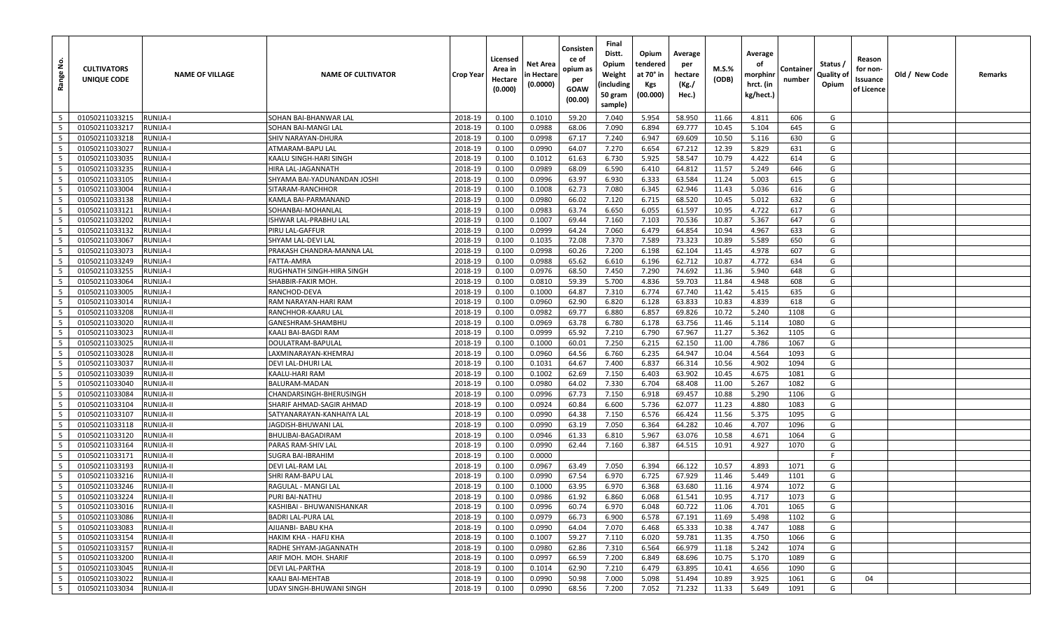| <u>ي</u><br>Range                  | <b>CULTIVATORS</b><br>UNIQUE CODE | <b>NAME OF VILLAGE</b> | <b>NAME OF CULTIVATOR</b>                      | <b>Crop Year</b>   | Licensed<br>Area in<br>Hectare<br>(0.000) | Net Area<br>n Hectare<br>(0.0000) | Consisten<br>ce of<br>opium as<br>per<br>GOAW<br>(00.00) | Final<br>Distt.<br>Opium<br>Weight<br>(including<br>50 gram<br>sample) | Opium<br>tendered<br>at 70° in<br>Kgs<br>(00.000) | Average<br>per<br>hectare<br>(Kg./<br>Hec.) | M.S.%<br>(ODB) | Average<br>οf<br>morphinr<br>hrct. (in<br>kg/hect.) | Container<br>number | Status /<br>Quality of<br>Opium | Reason<br>for non-<br>Issuance<br>of Licence | Old / New Code | Remarks |
|------------------------------------|-----------------------------------|------------------------|------------------------------------------------|--------------------|-------------------------------------------|-----------------------------------|----------------------------------------------------------|------------------------------------------------------------------------|---------------------------------------------------|---------------------------------------------|----------------|-----------------------------------------------------|---------------------|---------------------------------|----------------------------------------------|----------------|---------|
| 5                                  | 01050211033215                    | <b>RUNIJA-I</b>        | SOHAN BAI-BHANWAR LAL                          | 2018-19            | 0.100                                     | 0.1010                            | 59.20                                                    | 7.040                                                                  | 5.954                                             | 58.950                                      | 11.66          | 4.811                                               | 606                 | G                               |                                              |                |         |
| $5\overline{5}$                    | 01050211033217                    | RUNIJA-I               | SOHAN BAI-MANGI LAL                            | 2018-19            | 0.100                                     | 0.0988                            | 68.06                                                    | 7.090                                                                  | 6.894                                             | 69.777                                      | 10.45          | 5.104                                               | 645                 | G                               |                                              |                |         |
| 5                                  | 01050211033218                    | RUNIJA-I               | SHIV NARAYAN-DHURA                             | 2018-19            | 0.100                                     | 0.0998                            | 67.17                                                    | 7.240                                                                  | 6.947                                             | 69.609                                      | 10.50          | 5.116                                               | 630                 | G                               |                                              |                |         |
| 5                                  | 01050211033027                    | <b>RUNIJA-I</b>        | ATMARAM-BAPU LAL                               | 2018-19            | 0.100                                     | 0.0990                            | 64.07                                                    | 7.270                                                                  | 6.654                                             | 67.212                                      | 12.39          | 5.829                                               | 631                 | G                               |                                              |                |         |
| 5                                  | 01050211033035                    | RUNIJA-I               | KAALU SINGH-HARI SINGH                         | 2018-19            | 0.100                                     | 0.1012                            | 61.63                                                    | 6.730                                                                  | 5.925                                             | 58.547                                      | 10.79          | 4.422                                               | 614                 | G                               |                                              |                |         |
| 5                                  | 01050211033235                    | RUNIJA-I               | HIRA LAL-JAGANNATH                             | 2018-19            | 0.100                                     | 0.0989                            | 68.09                                                    | 6.590                                                                  | 6.410                                             | 64.812                                      | 11.57          | 5.249                                               | 646                 | G                               |                                              |                |         |
| $5\overline{)}$                    | 01050211033105                    | RUNIJA-I               | SHYAMA BAI-YADUNANDAN JOSHI                    | 2018-19            | 0.100                                     | 0.0996                            | 63.97                                                    | 6.930                                                                  | 6.333                                             | 63.584                                      | 11.24          | 5.003                                               | 615                 | G                               |                                              |                |         |
| 5                                  | 01050211033004                    | RUNIJA-I               | SITARAM-RANCHHOR                               | 2018-19            | 0.100                                     | 0.1008                            | 62.73                                                    | 7.080                                                                  | 6.345                                             | 62.946                                      | 11.43          | 5.036                                               | 616                 | G                               |                                              |                |         |
| 5                                  | 01050211033138                    | RUNIJA-I               | KAMLA BAI-PARMANAND                            | 2018-19            | 0.100                                     | 0.0980                            | 66.02                                                    | 7.120                                                                  | 6.715                                             | 68.520                                      | 10.45          | 5.012                                               | 632                 | G                               |                                              |                |         |
| $5\overline{)}$                    | 01050211033121                    | RUNIJA-I               | SOHANBAI-MOHANLAL                              | 2018-19            | 0.100                                     | 0.0983                            | 63.74                                                    | 6.650                                                                  | 6.055                                             | 61.597                                      | 10.95          | 4.722                                               | 617                 | G                               |                                              |                |         |
| $5\overline{)}$                    | 01050211033202                    | RUNIJA-I               | ISHWAR LAL-PRABHU LAL                          | 2018-19            | 0.100                                     | 0.1007                            | 69.44                                                    | 7.160                                                                  | 7.103                                             | 70.536                                      | 10.87          | 5.367                                               | 647                 | G                               |                                              |                |         |
| 5                                  | 01050211033132                    | RUNIJA-I               | PIRU LAL-GAFFUR                                | 2018-19            | 0.100                                     | 0.0999                            | 64.24                                                    | 7.060                                                                  | 6.479                                             | 64.854                                      | 10.94          | 4.967                                               | 633                 | G                               |                                              |                |         |
| $5\overline{5}$                    | 01050211033067                    | RUNIJA-I               | SHYAM LAL-DEVI LAL                             | 2018-19            | 0.100                                     | 0.1035                            | 72.08                                                    | 7.370                                                                  | 7.589                                             | 73.323                                      | 10.89          | 5.589                                               | 650                 | G                               |                                              |                |         |
| $5\overline{)}$                    | 01050211033073                    | RUNIJA-I               | PRAKASH CHANDRA-MANNA LAL                      | 2018-19            | 0.100                                     | 0.0998                            | 60.26                                                    | 7.200                                                                  | 6.198                                             | 62.104                                      | 11.45          | 4.978                                               | 607                 | G                               |                                              |                |         |
| 5                                  | 01050211033249                    | RUNIJA-I               | FATTA-AMRA                                     | 2018-19            | 0.100                                     | 0.0988                            | 65.62                                                    | 6.610                                                                  | 6.196                                             | 62.712                                      | 10.87          | 4.772                                               | 634                 | G                               |                                              |                |         |
| 5                                  | 01050211033255                    | RUNIJA-I               | RUGHNATH SINGH-HIRA SINGH                      | 2018-19            | 0.100                                     | 0.0976                            | 68.50                                                    | 7.450                                                                  | 7.290                                             | 74.692                                      | 11.36          | 5.940                                               | 648                 | G                               |                                              |                |         |
| 5                                  | 01050211033064                    | RUNIJA-I               | SHABBIR-FAKIR MOH.                             | 2018-19            | 0.100                                     | 0.0810                            | 59.39                                                    | 5.700                                                                  | 4.836                                             | 59.703                                      | 11.84          | 4.948                                               | 608                 | G                               |                                              |                |         |
| 5                                  | 01050211033005                    | <b>RUNIJA-I</b>        | RANCHOD-DEVA                                   | 2018-19            | 0.100                                     | 0.1000                            | 64.87                                                    | 7.310                                                                  | 6.774                                             | 67.740                                      | 11.42          | 5.415                                               | 635                 | G                               |                                              |                |         |
| 5                                  | 01050211033014                    | RUNIJA-I               | RAM NARAYAN-HARI RAM                           | 2018-19            | 0.100                                     | 0.0960                            | 62.90                                                    | 6.820                                                                  | 6.128                                             | 63.833                                      | 10.83          | 4.839                                               | 618                 | G                               |                                              |                |         |
| $5\overline{5}$                    | 01050211033208                    | RUNIJA-II              | RANCHHOR-KAARU LAL                             | 2018-19            | 0.100                                     | 0.0982                            | 69.77                                                    | 6.880                                                                  | 6.857                                             | 69.826                                      | 10.72          | 5.240                                               | 1108                | G                               |                                              |                |         |
| $5\overline{)}$                    | 01050211033020                    | RUNIJA-II              | GANESHRAM-SHAMBHU                              | 2018-19            | 0.100                                     | 0.0969                            | 63.78                                                    | 6.780                                                                  | 6.178                                             | 63.756                                      | 11.46          | 5.114                                               | 1080                | G                               |                                              |                |         |
| 5                                  | 01050211033023                    | <b>RUNIJA-II</b>       | KAALI BAI-BAGDI RAM                            | 2018-19            | 0.100                                     | 0.0999                            | 65.92                                                    | 7.210                                                                  | 6.790                                             | 67.967                                      | 11.27          | 5.362                                               | 1105                | G                               |                                              |                |         |
| 5                                  | 01050211033025                    | RUNIJA-II              | DOULATRAM-BAPULAL                              | 2018-19            | 0.100                                     | 0.1000                            | 60.01                                                    | 7.250                                                                  | 6.215                                             | 62.150                                      | 11.00          | 4.786                                               | 1067                | G                               |                                              |                |         |
| $5\overline{)}$                    | 01050211033028                    | RUNIJA-II              | LAXMINARAYAN-KHEMRAJ                           | 2018-19            | 0.100                                     | 0.0960                            | 64.56                                                    | 6.760                                                                  | 6.235                                             | 64.947                                      | 10.04          | 4.564                                               | 1093                | G                               |                                              |                |         |
| $5\overline{5}$                    | 01050211033037                    | RUNIJA-II              | DEVI LAL-DHURI LAL                             | 2018-19            | 0.100                                     | 0.1031                            | 64.67                                                    | 7.400                                                                  | 6.837                                             | 66.314                                      | 10.56          | 4.902                                               | 1094                | G                               |                                              |                |         |
| 5                                  | 01050211033039                    | RUNIJA-II              | KAALU-HARI RAM                                 | 2018-19            | 0.100                                     | 0.1002                            | 62.69                                                    | 7.150                                                                  | 6.403                                             | 63.902                                      | 10.45          | 4.675                                               | 1081                | G                               |                                              |                |         |
| $5\overline{)}$                    | 01050211033040                    | RUNIJA-II              | BALURAM-MADAN                                  | 2018-19            | 0.100                                     | 0.0980                            | 64.02                                                    | 7.330                                                                  | 6.704                                             | 68.408                                      | 11.00          | 5.267                                               | 1082                | G                               |                                              |                |         |
| 5                                  | 01050211033084                    | RUNIJA-II              | CHANDARSINGH-BHERUSINGH                        | 2018-19            | 0.100                                     | 0.0996                            | 67.73                                                    | 7.150                                                                  | 6.918                                             | 69.457                                      | 10.88          | 5.290                                               | 1106                | G                               |                                              |                |         |
| 5                                  | 01050211033104                    | RUNIJA-II              | SHARIF AHMAD-SAGIR AHMAD                       | 2018-19            | 0.100                                     | 0.0924                            | 60.84                                                    | 6.600                                                                  | 5.736                                             | 62.077                                      | 11.23          | 4.880                                               | 1083                | G                               |                                              |                |         |
| 5                                  | 01050211033107                    | RUNIJA-II              | SATYANARAYAN-KANHAIYA LAL                      | 2018-19            | 0.100                                     | 0.0990                            | 64.38                                                    | 7.150                                                                  | 6.576                                             | 66.424                                      | 11.56          | 5.375                                               | 1095                | G                               |                                              |                |         |
| 5                                  | 01050211033118                    | RUNIJA-II              | JAGDISH-BHUWANI LAL                            | 2018-19            | 0.100                                     | 0.0990                            | 63.19                                                    | 7.050                                                                  | 6.364                                             | 64.282                                      | 10.46          | 4.707                                               | 1096                | G                               |                                              |                |         |
| $5\overline{)}$                    | 01050211033120                    | RUNIJA-II              | BHULIBAI-BAGADIRAM                             | 2018-19            | 0.100                                     | 0.0946                            | 61.33                                                    | 6.810                                                                  | 5.967                                             | 63.076                                      | 10.58          | 4.671                                               | 1064                | G                               |                                              |                |         |
| 5                                  | 01050211033164                    | RUNIJA-II              | PARAS RAM-SHIV LAL                             | 2018-19            | 0.100                                     | 0.0990                            | 62.44                                                    | 7.160                                                                  | 6.387                                             | 64.515                                      | 10.91          | 4.927                                               | 1070                | G                               |                                              |                |         |
| 5                                  | 01050211033171                    | RUNIJA-II              | SUGRA BAI-IBRAHIM                              | 2018-19            | 0.100                                     | 0.0000                            |                                                          |                                                                        |                                                   |                                             |                |                                                     |                     | F                               |                                              |                |         |
| 5                                  | 01050211033193                    | RUNIJA-II              | DEVI LAL-RAM LAL                               | 2018-19            | 0.100                                     | 0.0967                            | 63.49                                                    | 7.050                                                                  | 6.394                                             | 66.122                                      | 10.57          | 4.893                                               | 1071                | G                               |                                              |                |         |
| 5                                  | 01050211033216                    | RUNIJA-II              | SHRI RAM-BAPU LAL                              | 2018-19            | 0.100                                     | 0.0990                            | 67.54                                                    | 6.970                                                                  | 6.725                                             | 67.929                                      | 11.46          | 5.449                                               | 1101                | G                               |                                              |                |         |
| 5                                  | 01050211033246                    | RUNIJA-II              | RAGULAL - MANGI LAL                            | 2018-19            | 0.100                                     | 0.1000                            | 63.95                                                    | 6.970                                                                  | 6.368                                             | 63.680                                      | 11.16          | 4.974                                               | 1072                | G                               |                                              |                |         |
| 5 <sup>5</sup>                     | 01050211033224                    | RUNIJA-II              | PURI BAI-NATHU                                 | 2018-19            | 0.100                                     | 0.0986                            | 61.92                                                    | 6.860                                                                  | 6.068                                             | 61.541                                      | 10.95          | 4.717                                               | 1073                | G                               |                                              |                |         |
| 5 <sub>1</sub>                     | 01050211033016                    | RUNIJA-II              | KASHIBAI - BHUWANISHANKAR                      | 2018-19            | 0.100                                     | 0.0996                            | 60.74                                                    | 6.970                                                                  | 6.048                                             | 60.722                                      | 11.06          | 4.701                                               | 1065                | G                               |                                              |                |         |
| $5\overline{5}$<br>$5\overline{)}$ | 01050211033086                    | RUNIJA-II              | BADRI LAL-PURA LAL                             | 2018-19<br>2018-19 | 0.100                                     | 0.0979                            | 66.73                                                    | 6.900                                                                  | 6.578                                             | 67.191                                      | 11.69          | 5.498                                               | 1102<br>1088        | G<br>G                          |                                              |                |         |
| 5 <sup>1</sup>                     | 01050211033083                    | RUNIJA-II              | AJIJANBI- BABU KHA                             |                    | 0.100                                     | 0.0990                            | 64.04                                                    | 7.070                                                                  | 6.468                                             | 65.333                                      | 10.38          | 4.747                                               |                     |                                 |                                              |                |         |
| 5 <sup>5</sup>                     | 01050211033154<br>01050211033157  | RUNIJA-II              | HAKIM KHA - HAFIJ KHA<br>RADHE SHYAM-JAGANNATH | 2018-19<br>2018-19 | 0.100                                     | 0.1007                            | 59.27                                                    | 7.110<br>7.310                                                         | 6.020<br>6.564                                    | 59.781                                      | 11.35          | 4.750                                               | 1066                | G<br>G                          |                                              |                |         |
| $5\overline{5}$                    | 01050211033200                    | RUNIJA-II<br>RUNIJA-II | ARIF MOH. MOH. SHARIF                          | 2018-19            | 0.100<br>0.100                            | 0.0980<br>0.0997                  | 62.86<br>66.59                                           | 7.200                                                                  | 6.849                                             | 66.979<br>68.696                            | 11.18<br>10.75 | 5.242<br>5.170                                      | 1074<br>1089        | G                               |                                              |                |         |
| $5\overline{)}$                    | 01050211033045                    | RUNIJA-II              | DEVI LAL-PARTHA                                | 2018-19            | 0.100                                     | 0.1014                            | 62.90                                                    | 7.210                                                                  | 6.479                                             | 63.895                                      | 10.41          | 4.656                                               | 1090                | G                               |                                              |                |         |
| $5\overline{)}$                    | 01050211033022                    | RUNIJA-II              | KAALI BAI-MEHTAB                               | 2018-19            | 0.100                                     | 0.0990                            | 50.98                                                    | 7.000                                                                  | 5.098                                             | 51.494                                      | 10.89          | 3.925                                               | 1061                | G                               | 04                                           |                |         |
| 5 <sub>1</sub>                     | 01050211033034                    | RUNIJA-II              | <b>UDAY SINGH-BHUWANI SINGH</b>                | 2018-19            | 0.100                                     | 0.0990                            | 68.56                                                    | 7.200                                                                  | 7.052                                             | 71.232                                      | 11.33          | 5.649                                               | 1091                | G                               |                                              |                |         |
|                                    |                                   |                        |                                                |                    |                                           |                                   |                                                          |                                                                        |                                                   |                                             |                |                                                     |                     |                                 |                                              |                |         |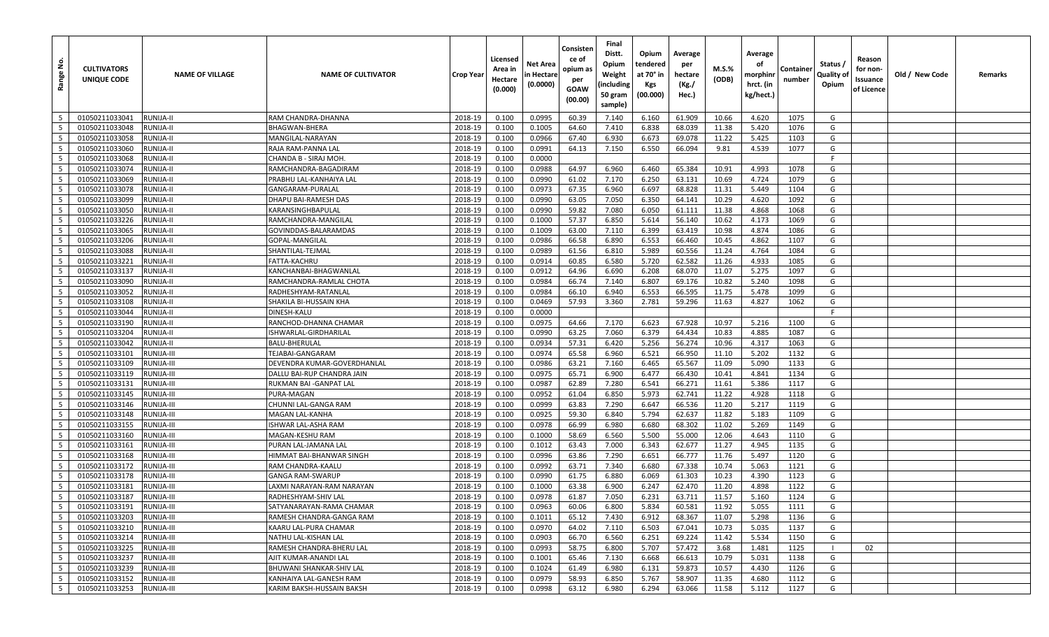| <u>و</u><br>Range    | <b>CULTIVATORS</b><br>UNIQUE CODE | <b>NAME OF VILLAGE</b>   | <b>NAME OF CULTIVATOR</b>                    | <b>Crop Year</b>   | Licensed<br>Area in<br>Hectare<br>(0.000) | Net Area<br>n Hectare<br>(0.0000) | Consisten<br>ce of<br>opium as<br>per<br>GOAW<br>(00.00) | Final<br>Distt.<br>Opium<br>Weight<br>(including<br>50 gram<br>sample) | Opium<br>tendered<br>at 70° in<br>Kgs<br>(00.000) | Average<br>per<br>hectare<br>(Kg./<br>Hec.) | M.S.%<br>(ODB) | Average<br>οf<br>morphinr<br>hrct. (in<br>kg/hect.) | Container<br>number | Status /<br>Quality of<br>Opium | Reason<br>for non-<br>Issuance<br>of Licence | Old / New Code | Remarks |
|----------------------|-----------------------------------|--------------------------|----------------------------------------------|--------------------|-------------------------------------------|-----------------------------------|----------------------------------------------------------|------------------------------------------------------------------------|---------------------------------------------------|---------------------------------------------|----------------|-----------------------------------------------------|---------------------|---------------------------------|----------------------------------------------|----------------|---------|
| 5                    | 01050211033041                    | RUNIJA-II                | RAM CHANDRA-DHANNA                           | 2018-19            | 0.100                                     | 0.0995                            | 60.39                                                    | 7.140                                                                  | 6.160                                             | 61.909                                      | 10.66          | 4.620                                               | 1075                | G                               |                                              |                |         |
| 5                    | 01050211033048                    | RUNIJA-II                | BHAGWAN-BHERA                                | 2018-19            | 0.100                                     | 0.1005                            | 64.60                                                    | 7.410                                                                  | 6.838                                             | 68.039                                      | 11.38          | 5.420                                               | 1076                | G                               |                                              |                |         |
| 5                    | 01050211033058                    | RUNIJA-II                | MANGILAL-NARAYAN                             | 2018-19            | 0.100                                     | 0.0966                            | 67.40                                                    | 6.930                                                                  | 6.673                                             | 69.078                                      | 11.22          | 5.425                                               | 1103                | G                               |                                              |                |         |
| 5                    | 01050211033060                    | RUNIJA-II                | RAJA RAM-PANNA LAL                           | 2018-19            | 0.100                                     | 0.0991                            | 64.13                                                    | 7.150                                                                  | 6.550                                             | 66.094                                      | 9.81           | 4.539                                               | 1077                | G                               |                                              |                |         |
| 5                    | 01050211033068                    | RUNIJA-II                | CHANDA B - SIRAJ MOH                         | 2018-19            | 0.100                                     | 0.0000                            |                                                          |                                                                        |                                                   |                                             |                |                                                     |                     | F                               |                                              |                |         |
| 5                    | 01050211033074                    | RUNIJA-II                | RAMCHANDRA-BAGADIRAM                         | 2018-19            | 0.100                                     | 0.0988                            | 64.97                                                    | 6.960                                                                  | 6.460                                             | 65.384                                      | 10.91          | 4.993                                               | 1078                | G                               |                                              |                |         |
| $5\overline{)}$      | 01050211033069                    | RUNIJA-II                | PRABHU LAL-KANHAIYA LAL                      | 2018-19            | 0.100                                     | 0.0990                            | 61.02                                                    | 7.170                                                                  | 6.250                                             | 63.131                                      | 10.69          | 4.724                                               | 1079                | G                               |                                              |                |         |
| 5                    | 01050211033078                    | RUNIJA-II                | GANGARAM-PURALAL                             | 2018-19            | 0.100                                     | 0.0973                            | 67.35                                                    | 6.960                                                                  | 6.697                                             | 68.828                                      | 11.31          | 5.449                                               | 1104                | G                               |                                              |                |         |
| 5                    | 01050211033099                    | RUNIJA-II                | DHAPU BAI-RAMESH DAS                         | 2018-19            | 0.100                                     | 0.0990                            | 63.05                                                    | 7.050                                                                  | 6.350                                             | 64.141                                      | 10.29          | 4.620                                               | 1092                | G                               |                                              |                |         |
| $5\overline{)}$      | 01050211033050                    | RUNIJA-II                | KARANSINGHBAPULAL                            | 2018-19            | 0.100                                     | 0.0990                            | 59.82                                                    | 7.080                                                                  | 6.050                                             | 61.111                                      | 11.38          | 4.868                                               | 1068                | G                               |                                              |                |         |
| $5\overline{)}$      | 01050211033226                    | RUNIJA-II                | RAMCHANDRA-MANGILAL                          | 2018-19            | 0.100                                     | 0.1000                            | 57.37                                                    | 6.850                                                                  | 5.614                                             | 56.140                                      | 10.62          | 4.173                                               | 1069                | G                               |                                              |                |         |
| 5                    | 01050211033065                    | RUNIJA-II                | GOVINDDAS-BALARAMDAS                         | 2018-19            | 0.100                                     | 0.1009                            | 63.00                                                    | 7.110                                                                  | 6.399                                             | 63.419                                      | 10.98          | 4.874                                               | 1086                | G                               |                                              |                |         |
| $5\overline{5}$      | 01050211033206                    | RUNIJA-II                | GOPAL-MANGILAL                               | 2018-19            | 0.100                                     | 0.0986                            | 66.58                                                    | 6.890                                                                  | 6.553                                             | 66.460                                      | 10.45          | 4.862                                               | 1107                | G                               |                                              |                |         |
| $5\overline{)}$      | 01050211033088                    | RUNIJA-II                | SHANTILAL-TEJMAL                             | 2018-19            | 0.100                                     | 0.0989                            | 61.56                                                    | 6.810                                                                  | 5.989                                             | 60.556                                      | 11.24          | 4.764                                               | 1084                | G                               |                                              |                |         |
| 5                    | 01050211033221                    | RUNIJA-II                | FATTA-KACHRU                                 | 2018-19            | 0.100                                     | 0.0914                            | 60.85                                                    | 6.580                                                                  | 5.720                                             | 62.582                                      | 11.26          | 4.933                                               | 1085                | G                               |                                              |                |         |
| 5                    | 01050211033137                    | RUNIJA-II                | KANCHANBAI-BHAGWANLAL                        | 2018-19            | 0.100                                     | 0.0912                            | 64.96                                                    | 6.690                                                                  | 6.208                                             | 68.070                                      | 11.07          | 5.275                                               | 1097                | G                               |                                              |                |         |
| 5                    | 01050211033090                    | <b>RUNIJA-II</b>         | RAMCHANDRA-RAMLAL CHOTA                      | 2018-19            | 0.100                                     | 0.0984                            | 66.74                                                    | 7.140                                                                  | 6.807                                             | 69.176                                      | 10.82          | 5.240                                               | 1098                | G                               |                                              |                |         |
| 5                    | 01050211033052                    | RUNIJA-II                | RADHESHYAM-RATANLAL                          | 2018-19            | 0.100                                     | 0.0984                            | 66.10                                                    | 6.940                                                                  | 6.553                                             | 66.595                                      | 11.75          | 5.478                                               | 1099                | G                               |                                              |                |         |
| 5                    | 01050211033108                    | RUNIJA-II                | SHAKILA BI-HUSSAIN KHA                       | 2018-19            | 0.100                                     | 0.0469                            | 57.93                                                    | 3.360                                                                  | 2.781                                             | 59.296                                      | 11.63          | 4.827                                               | 1062                | G                               |                                              |                |         |
| $5\overline{5}$      | 01050211033044                    | RUNIJA-II                | DINESH-KALU                                  | 2018-19            | 0.100                                     | 0.0000                            |                                                          |                                                                        |                                                   |                                             |                |                                                     |                     | F                               |                                              |                |         |
| $5\overline{)}$      | 01050211033190                    | RUNIJA-II                | RANCHOD-DHANNA CHAMAR                        | 2018-19            | 0.100                                     | 0.0975                            | 64.66                                                    | 7.170                                                                  | 6.623                                             | 67.928                                      | 10.97          | 5.216                                               | 1100                | G                               |                                              |                |         |
| $5\overline{5}$      | 01050211033204                    | RUNIJA-II                | ISHWARLAL-GIRDHARILAL                        | 2018-19            | 0.100                                     | 0.0990                            | 63.25                                                    | 7.060                                                                  | 6.379                                             | 64.434                                      | 10.83          | 4.885                                               | 1087                | G                               |                                              |                |         |
| 5                    | 01050211033042                    | RUNIJA-II                | BALU-BHERULAL                                | 2018-19            | 0.100                                     | 0.0934                            | 57.31                                                    | 6.420                                                                  | 5.256                                             | 56.274                                      | 10.96          | 4.317                                               | 1063                | G                               |                                              |                |         |
| 5                    | 01050211033101                    | RUNIJA-III               | TEJABAI-GANGARAM                             | 2018-19            | 0.100                                     | 0.0974                            | 65.58                                                    | 6.960                                                                  | 6.521                                             | 66.950                                      | 11.10          | 5.202                                               | 1132                | G                               |                                              |                |         |
| $5\overline{5}$      | 01050211033109                    | RUNIJA-III               | DEVENDRA KUMAR-GOVERDHANLAL                  | 2018-19            | 0.100                                     | 0.0986                            | 63.21                                                    | 7.160                                                                  | 6.465                                             | 65.567                                      | 11.09          | 5.090                                               | 1133                | G                               |                                              |                |         |
| 5                    | 01050211033119                    | RUNIJA-III               | DALLU BAI-RUP CHANDRA JAIN                   | 2018-19            | 0.100                                     | 0.0975                            | 65.71                                                    | 6.900                                                                  | 6.477                                             | 66.430                                      | 10.41          | 4.841                                               | 1134                | G                               |                                              |                |         |
| $5\overline{)}$      | 01050211033131                    | RUNIJA-III               | RUKMAN BAI -GANPAT LAL                       | 2018-19            | 0.100                                     | 0.0987                            | 62.89                                                    | 7.280                                                                  | 6.541                                             | 66.271                                      | 11.61          | 5.386                                               | 1117                | G                               |                                              |                |         |
| 5                    | 01050211033145                    | RUNIJA-III               | PURA-MAGAN                                   | 2018-19            | 0.100                                     | 0.0952                            | 61.04                                                    | 6.850                                                                  | 5.973                                             | 62.741                                      | 11.22          | 4.928                                               | 1118                | G                               |                                              |                |         |
| 5                    | 01050211033146                    | RUNIJA-III               | CHUNNI LAL-GANGA RAM                         | 2018-19            | 0.100                                     | 0.0999                            | 63.83                                                    | 7.290                                                                  | 6.647                                             | 66.536                                      | 11.20          | 5.217                                               | 1119                | G                               |                                              |                |         |
| 5                    | 01050211033148                    | RUNIJA-III               | MAGAN LAL-KANHA                              | 2018-19            | 0.100                                     | 0.0925                            | 59.30                                                    | 6.840                                                                  | 5.794                                             | 62.637                                      | 11.82          | 5.183                                               | 1109                | G                               |                                              |                |         |
| 5                    | 01050211033155                    | RUNIJA-III               | ISHWAR LAL-ASHA RAM                          | 2018-19            | 0.100                                     | 0.0978                            | 66.99                                                    | 6.980                                                                  | 6.680                                             | 68.302                                      | 11.02          | 5.269                                               | 1149                | G                               |                                              |                |         |
| $5\overline{)}$<br>5 | 01050211033160                    | RUNIJA-III               | MAGAN-KESHU RAM                              | 2018-19            | 0.100                                     | 0.1000                            | 58.69                                                    | 6.560                                                                  | 5.500                                             | 55.000                                      | 12.06          | 4.643<br>4.945                                      | 1110                | G<br>G                          |                                              |                |         |
| 5                    | 01050211033161<br>01050211033168  | RUNIJA-III               | PURAN LAL-JAMANA LAI                         | 2018-19            | 0.100                                     | 0.1012                            | 63.43                                                    | 7.000                                                                  | 6.343                                             | 62.677                                      | 11.27          |                                                     | 1135                | G                               |                                              |                |         |
| 5                    | 01050211033172                    | RUNIJA-III               | HIMMAT BAI-BHANWAR SINGH                     | 2018-19            | 0.100                                     | 0.0996<br>0.0992                  | 63.86                                                    | 7.290<br>7.340                                                         | 6.651<br>6.680                                    | 66.777<br>67.338                            | 11.76<br>10.74 | 5.497                                               | 1120<br>1121        | G                               |                                              |                |         |
| 5                    | 01050211033178                    | RUNIJA-III<br>RUNIJA-III | RAM CHANDRA-KAALU<br><b>GANGA RAM-SWARUP</b> | 2018-19<br>2018-19 | 0.100<br>0.100                            | 0.0990                            | 63.71<br>61.75                                           | 6.880                                                                  | 6.069                                             | 61.303                                      | 10.23          | 5.063<br>4.390                                      | 1123                | G                               |                                              |                |         |
| 5                    | 01050211033181                    | RUNIJA-III               | LAXMI NARAYAN-RAM NARAYAN                    | 2018-19            | 0.100                                     | 0.1000                            | 63.38                                                    | 6.900                                                                  | 6.247                                             | 62.470                                      | 11.20          | 4.898                                               | 1122                | G                               |                                              |                |         |
| 5 <sup>5</sup>       | 01050211033187                    | RUNIJA-III               | RADHESHYAM-SHIV LAL                          | 2018-19            | 0.100                                     | 0.0978                            | 61.87                                                    | 7.050                                                                  | 6.231                                             | 63.711                                      | 11.57          | 5.160                                               | 1124                | G                               |                                              |                |         |
| 5 <sup>1</sup>       | 01050211033191                    | RUNIJA-III               | SATYANARAYAN-RAMA CHAMAR                     | 2018-19            | 0.100                                     | 0.0963                            | 60.06                                                    | 6.800                                                                  | 5.834                                             | 60.581                                      | 11.92          | 5.055                                               | 1111                | G                               |                                              |                |         |
| $5\overline{5}$      | 01050211033203                    | RUNIJA-III               | RAMESH CHANDRA-GANGA RAM                     | 2018-19            | 0.100                                     | 0.1011                            | 65.12                                                    | 7.430                                                                  | 6.912                                             | 68.367                                      | 11.07          | 5.298                                               | 1136                | G                               |                                              |                |         |
| $5\overline{5}$      | 01050211033210                    | RUNIJA-III               | KAARU LAL-PURA CHAMAR                        | 2018-19            | 0.100                                     | 0.0970                            | 64.02                                                    | 7.110                                                                  | 6.503                                             | 67.041                                      | 10.73          | 5.035                                               | 1137                | G                               |                                              |                |         |
| 5 <sup>5</sup>       | 01050211033214                    | RUNIJA-III               | NATHU LAL-KISHAN LAL                         | 2018-19            | 0.100                                     | 0.0903                            | 66.70                                                    | 6.560                                                                  | 6.251                                             | 69.224                                      | 11.42          | 5.534                                               | 1150                | G                               |                                              |                |         |
| $5\overline{)}$      | 01050211033225                    | <b>RUNIJA-III</b>        | RAMESH CHANDRA-BHERU LAL                     | 2018-19            | 0.100                                     | 0.0993                            | 58.75                                                    | 6.800                                                                  | 5.707                                             | 57.472                                      | 3.68           | 1.481                                               | 1125                |                                 | 02                                           |                |         |
| $5\overline{5}$      | 01050211033237                    | RUNIJA-III               | AJIT KUMAR-ANANDI LAL                        | 2018-19            | 0.100                                     | 0.1001                            | 65.46                                                    | 7.130                                                                  | 6.668                                             | 66.613                                      | 10.79          | 5.031                                               | 1138                | G                               |                                              |                |         |
| $5\overline{5}$      | 01050211033239                    | RUNIJA-III               | BHUWANI SHANKAR-SHIV LAL                     | 2018-19            | 0.100                                     | 0.1024                            | 61.49                                                    | 6.980                                                                  | 6.131                                             | 59.873                                      | 10.57          | 4.430                                               | 1126                | G                               |                                              |                |         |
| 5 <sup>5</sup>       | 01050211033152                    | RUNIJA-III               | KANHAIYA LAL-GANESH RAM                      | 2018-19            | 0.100                                     | 0.0979                            | 58.93                                                    | 6.850                                                                  | 5.767                                             | 58.907                                      | 11.35          | 4.680                                               | 1112                | G                               |                                              |                |         |
| 5                    | 01050211033253                    | RUNIJA-III               | KARIM BAKSH-HUSSAIN BAKSH                    | 2018-19            | 0.100                                     | 0.0998                            | 63.12                                                    | 6.980                                                                  | 6.294                                             | 63.066                                      | 11.58          | 5.112                                               | 1127                | G                               |                                              |                |         |
|                      |                                   |                          |                                              |                    |                                           |                                   |                                                          |                                                                        |                                                   |                                             |                |                                                     |                     |                                 |                                              |                |         |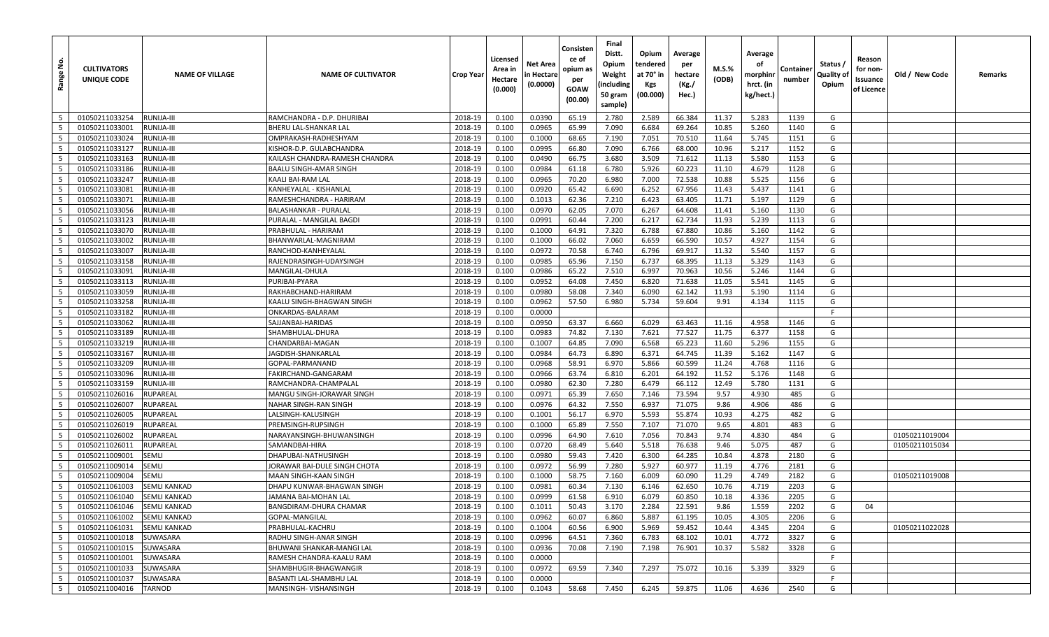| <u>غ</u><br>Range        | <b>CULTIVATORS</b><br>UNIQUE CODE | <b>NAME OF VILLAGE</b>      | <b>NAME OF CULTIVATOR</b>                  | Crop Year          | Licensed<br>Area in<br>Hectare<br>(0.000) | Net Area<br>n Hectare<br>(0.0000) | Consisten<br>ce of<br>opium as<br>per<br>GOAW<br>(00.00) | Final<br>Distt.<br>Opium<br>Weight<br>(including<br>50 gram<br>sample) | Opium<br>tendered<br>at 70° in<br>Kgs<br>(00.000) | Average<br>per<br>hectare<br>(Kg./<br>Hec.) | M.S.%<br>(ODB) | Average<br>οf<br>morphinr<br>hrct. (in<br>kg/hect.) | Containe<br>number | Status /<br>Quality of<br>Opium | Reason<br>for non-<br>Issuance<br>of Licence | Old / New Code                   | Remarks |
|--------------------------|-----------------------------------|-----------------------------|--------------------------------------------|--------------------|-------------------------------------------|-----------------------------------|----------------------------------------------------------|------------------------------------------------------------------------|---------------------------------------------------|---------------------------------------------|----------------|-----------------------------------------------------|--------------------|---------------------------------|----------------------------------------------|----------------------------------|---------|
| 5                        | 01050211033254                    | RUNIJA-III                  | RAMCHANDRA - D.P. DHURIBAI                 | 2018-19            | 0.100                                     | 0.0390                            | 65.19                                                    | 2.780                                                                  | 2.589                                             | 66.384                                      | 11.37          | 5.283                                               | 1139               | G                               |                                              |                                  |         |
| 5                        | 01050211033001                    | RUNIJA-III                  | BHERU LAL-SHANKAR LAL                      | 2018-19            | 0.100                                     | 0.0965                            | 65.99                                                    | 7.090                                                                  | 6.684                                             | 69.264                                      | 10.85          | 5.260                                               | 1140               | G                               |                                              |                                  |         |
| - 5                      | 01050211033024                    | RUNIJA-III                  | OMPRAKASH-RADHESHYAM                       | 2018-19            | 0.100                                     | 0.1000                            | 68.65                                                    | 7.190                                                                  | 7.051                                             | 70.510                                      | 11.64          | 5.745                                               | 1151               | G                               |                                              |                                  |         |
| 5                        | 01050211033127                    | RUNIJA-III                  | KISHOR-D.P. GULABCHANDRA                   | 2018-19            | 0.100                                     | 0.0995                            | 66.80                                                    | 7.090                                                                  | 6.766                                             | 68.000                                      | 10.96          | 5.217                                               | 1152               | G                               |                                              |                                  |         |
| 5                        | 01050211033163                    | RUNIJA-III                  | KAILASH CHANDRA-RAMESH CHANDRA             | 2018-19            | 0.100                                     | 0.0490                            | 66.75                                                    | 3.680                                                                  | 3.509                                             | 71.612                                      | 11.13          | 5.580                                               | 1153               | G                               |                                              |                                  |         |
| 5                        | 01050211033186                    | RUNIJA-III                  | BAALU SINGH-AMAR SINGH                     | 2018-19            | 0.100                                     | 0.0984                            | 61.18                                                    | 6.780                                                                  | 5.926                                             | 60.223                                      | 11.10          | 4.679                                               | 1128               | G                               |                                              |                                  |         |
| 5                        | 01050211033247                    | RUNIJA-III                  | KAALI BAI-RAM LAL                          | 2018-19            | 0.100                                     | 0.0965                            | 70.20                                                    | 6.980                                                                  | 7.000                                             | 72.538                                      | 10.88          | 5.525                                               | 1156               | G                               |                                              |                                  |         |
| 5                        | 01050211033081                    | RUNIJA-III                  | KANHEYALAL - KISHANLAL                     | 2018-19            | 0.100                                     | 0.0920                            | 65.42                                                    | 6.690                                                                  | 6.252                                             | 67.956                                      | 11.43          | 5.437                                               | 1141               | G                               |                                              |                                  |         |
| 5                        | 01050211033071                    | RUNIJA-III                  | RAMESHCHANDRA - HARIRAM                    | 2018-19            | 0.100                                     | 0.1013                            | 62.36                                                    | 7.210                                                                  | 6.423                                             | 63.405                                      | 11.71          | 5.197                                               | 1129               | G                               |                                              |                                  |         |
| 5                        | 01050211033056                    | RUNIJA-III                  | BALASHANKAR - PURALAL                      | 2018-19            | 0.100                                     | 0.0970                            | 62.05                                                    | 7.070                                                                  | 6.267                                             | 64.608                                      | 11.41          | 5.160                                               | 1130               | G                               |                                              |                                  |         |
| 5                        | 01050211033123                    | RUNIJA-III                  | PURALAL - MANGILAL BAGDI                   | 2018-19            | 0.100                                     | 0.0991                            | 60.44                                                    | 7.200                                                                  | 6.217                                             | 62.734                                      | 11.93          | 5.239                                               | 1113               | G                               |                                              |                                  |         |
| 5                        | 01050211033070                    | RUNIJA-III                  | PRABHULAL - HARIRAM                        | 2018-19            | 0.100                                     | 0.1000                            | 64.91                                                    | 7.320                                                                  | 6.788                                             | 67.880                                      | 10.86          | 5.160                                               | 1142               | G                               |                                              |                                  |         |
| $5\overline{5}$          | 01050211033002                    | RUNIJA-III                  | BHANWARLAL-MAGNIRAM                        | 2018-19            | 0.100                                     | 0.1000                            | 66.02                                                    | 7.060                                                                  | 6.659                                             | 66.590                                      | 10.57          | 4.927                                               | 1154               | G                               |                                              |                                  |         |
| 5                        | 01050211033007                    | RUNIJA-III                  | RANCHOD-KANHEYALAL                         | 2018-19            | 0.100                                     | 0.0972                            | 70.58                                                    | 6.740                                                                  | 6.796                                             | 69.917                                      | 11.32          | 5.540                                               | 1157               | G                               |                                              |                                  |         |
| 5                        | 01050211033158                    | RUNIJA-III                  | RAJENDRASINGH-UDAYSINGH                    | 2018-19            | 0.100                                     | 0.0985                            | 65.96                                                    | 7.150                                                                  | 6.737                                             | 68.395                                      | 11.13          | 5.329                                               | 1143               | G                               |                                              |                                  |         |
| $5\overline{5}$          | 01050211033091                    | RUNIJA-III                  | MANGILAL-DHULA                             | 2018-19            | 0.100                                     | 0.0986                            | 65.22                                                    | 7.510                                                                  | 6.997                                             | 70.963                                      | 10.56          | 5.246                                               | 1144               | G                               |                                              |                                  |         |
| 5                        | 01050211033113                    | RUNIJA-III                  | PURIBAI-PYARA                              | 2018-19            | 0.100                                     | 0.0952                            | 64.08                                                    | 7.450                                                                  | 6.820                                             | 71.638                                      | 11.05          | 5.541                                               | 1145               | G                               |                                              |                                  |         |
| 5                        | 01050211033059                    | RUNIJA-III                  | RAKHABCHAND-HARIRAM                        | 2018-19            | 0.100                                     | 0.0980                            | 58.08                                                    | 7.340                                                                  | 6.090                                             | 62.142                                      | 11.93          | 5.190                                               | 1114               | G                               |                                              |                                  |         |
| 5                        | 01050211033258                    | RUNIJA-III                  | KAALU SINGH-BHAGWAN SINGH                  | 2018-19            | 0.100                                     | 0.0962                            | 57.50                                                    | 6.980                                                                  | 5.734                                             | 59.604                                      | 9.91           | 4.134                                               | 1115               | G                               |                                              |                                  |         |
| 5                        | 01050211033182                    | RUNIJA-III                  | ONKARDAS-BALARAM                           | 2018-19            | 0.100                                     | 0.0000                            |                                                          |                                                                        |                                                   |                                             |                |                                                     |                    | F                               |                                              |                                  |         |
| 5                        | 01050211033062                    | RUNIJA-III                  | SAJJANBAI-HARIDAS                          | 2018-19            | 0.100                                     | 0.0950                            | 63.37                                                    | 6.660                                                                  | 6.029                                             | 63.463                                      | 11.16          | 4.958                                               | 1146               | G                               |                                              |                                  |         |
| 5                        | 01050211033189                    | RUNIJA-III                  | SHAMBHULAL-DHURA                           | 2018-19            | 0.100                                     | 0.0983                            | 74.82                                                    | 7.130                                                                  | 7.621                                             | 77.527                                      | 11.75          | 6.377                                               | 1158               | G                               |                                              |                                  |         |
| 5                        | 01050211033219                    | RUNIJA-III                  | CHANDARBAI-MAGAN                           | 2018-19            | 0.100                                     | 0.1007                            | 64.85                                                    | 7.090                                                                  | 6.568                                             | 65.223                                      | 11.60          | 5.296                                               | 1155               | G                               |                                              |                                  |         |
| 5                        | 01050211033167                    | RUNIJA-III                  | IAGDISH-SHANKARLAL                         | 2018-19            | 0.100                                     | 0.0984                            | 64.73                                                    | 6.890                                                                  | 6.371                                             | 64.745                                      | 11.39          | 5.162                                               | 1147               | G                               |                                              |                                  |         |
| 5                        | 01050211033209                    | RUNIJA-III                  | GOPAL-PARMANAND                            | 2018-19            | 0.100                                     | 0.0968                            | 58.91                                                    | 6.970                                                                  | 5.866                                             | 60.599                                      | 11.24          | 4.768                                               | 1116               | G                               |                                              |                                  |         |
| 5                        | 01050211033096                    | RUNIJA-III                  | FAKIRCHAND-GANGARAM                        | 2018-19            | 0.100                                     | 0.0966                            | 63.74                                                    | 6.810                                                                  | 6.201                                             | 64.192                                      | 11.52          | 5.176                                               | 1148               | G                               |                                              |                                  |         |
| $5\overline{5}$          | 01050211033159                    | RUNIJA-III                  | RAMCHANDRA-CHAMPALAL                       | 2018-19            | 0.100                                     | 0.0980                            | 62.30                                                    | 7.280                                                                  | 6.479                                             | 66.112                                      | 12.49          | 5.780                                               | 1131               | G                               |                                              |                                  |         |
| 5                        | 01050211026016                    | <b>RUPAREAL</b>             | MANGU SINGH-JORAWAR SINGH                  | 2018-19            | 0.100                                     | 0.0971                            | 65.39                                                    | 7.650                                                                  | 7.146                                             | 73.594                                      | 9.57           | 4.930                                               | 485                | G                               |                                              |                                  |         |
| 5                        | 01050211026007                    | RUPAREAL                    | NAHAR SINGH-RAN SINGH                      | 2018-19            | 0.100                                     | 0.0976                            | 64.32                                                    | 7.550                                                                  | 6.937                                             | 71.075                                      | 9.86           | 4.906                                               | 486                | G                               |                                              |                                  |         |
| 5                        | 01050211026005                    | RUPAREAL                    | LALSINGH-KALUSINGH                         | 2018-19            | 0.100                                     | 0.1001                            | 56.17                                                    | 6.970                                                                  | 5.593                                             | 55.874                                      | 10.93          | 4.275                                               | 482                | G                               |                                              |                                  |         |
| 5                        | 01050211026019                    | RUPAREAL                    | PREMSINGH-RUPSINGH                         | 2018-19            | 0.100                                     | 0.1000                            | 65.89                                                    | 7.550                                                                  | 7.107                                             | 71.070                                      | 9.65           | 4.801                                               | 483                | G<br>G                          |                                              |                                  |         |
| $5\overline{5}$<br>5     | 01050211026002<br>01050211026011  | RUPAREAL<br><b>RUPAREAL</b> | NARAYANSINGH-BHUWANSINGH<br>SAMANDBAI-HIRA | 2018-19<br>2018-19 | 0.100<br>0.100                            | 0.0996<br>0.0720                  | 64.90<br>68.49                                           | 7.610<br>5.640                                                         | 7.056<br>5.518                                    | 70.843<br>76.638                            | 9.74<br>9.46   | 4.830<br>5.075                                      | 484<br>487         | G                               |                                              | 01050211019004<br>01050211015034 |         |
| 5                        | 01050211009001                    | <b>SEMLI</b>                | DHAPUBAI-NATHUSINGH                        | 2018-19            | 0.100                                     | 0.0980                            | 59.43                                                    | 7.420                                                                  | 6.300                                             | 64.285                                      | 10.84          | 4.878                                               | 2180               | G                               |                                              |                                  |         |
| 5                        | 01050211009014                    | <b>SEMLI</b>                | JORAWAR BAI-DULE SINGH CHOTA               | 2018-19            | 0.100                                     | 0.0972                            | 56.99                                                    | 7.280                                                                  | 5.927                                             | 60.977                                      | 11.19          | 4.776                                               | 2181               | G                               |                                              |                                  |         |
| 5                        | 01050211009004                    | <b>SEMLI</b>                | MAAN SINGH-KAAN SINGH                      | 2018-19            | 0.100                                     | 0.1000                            | 58.75                                                    | 7.160                                                                  | 6.009                                             | 60.090                                      | 11.29          | 4.749                                               | 2182               | G                               |                                              | 01050211019008                   |         |
| 5                        | 01050211061003                    | <b>SEMLI KANKAD</b>         | DHAPU KUNWAR-BHAGWAN SINGH                 | 2018-19            | 0.100                                     | 0.0981                            | 60.34                                                    | 7.130                                                                  | 6.146                                             | 62.650                                      | 10.76          | 4.719                                               | 2203               | G                               |                                              |                                  |         |
| $5\overline{5}$          | 01050211061040                    | <b>SEMLI KANKAD</b>         | <b>JAMANA BAI-MOHAN LAL</b>                | 2018-19            | 0.100                                     | 0.0999                            | 61.58                                                    | 6.910                                                                  | 6.079                                             | 60.850                                      | 10.18          | 4.336                                               | 2205               | G                               |                                              |                                  |         |
| 5                        | 01050211061046                    | <b>SEMLI KANKAD</b>         | BANGDIRAM-DHURA CHAMAR                     | 2018-19            | 0.100                                     | 0.1011                            | 50.43                                                    | 3.170                                                                  | 2.284                                             | 22.591                                      | 9.86           | 1.559                                               | 2202               | G                               | 04                                           |                                  |         |
| $5\overline{5}$          | 01050211061002                    | <b>SEMLI KANKAD</b>         | GOPAL-MANGILAL                             | 2018-19            | 0.100                                     | 0.0962                            | 60.07                                                    | 6.860                                                                  | 5.887                                             | 61.195                                      | 10.05          | 4.305                                               | 2206               | G                               |                                              |                                  |         |
| $5\overline{5}$          | 01050211061031                    | <b>SEMLI KANKAD</b>         | PRABHULAL-KACHRU                           | 2018-19            | 0.100                                     | 0.1004                            | 60.56                                                    | 6.900                                                                  | 5.969                                             | 59.452                                      | 10.44          | 4.345                                               | 2204               | G                               |                                              | 01050211022028                   |         |
| $5\overline{5}$          | 01050211001018                    | <b>SUWASARA</b>             | RADHU SINGH-ANAR SINGH                     | 2018-19            | 0.100                                     | 0.0996                            | 64.51                                                    | 7.360                                                                  | 6.783                                             | 68.102                                      | 10.01          | 4.772                                               | 3327               | G                               |                                              |                                  |         |
| $5\overline{5}$          | 01050211001015                    | SUWASARA                    | BHUWANI SHANKAR-MANGI LAL                  | 2018-19            | 0.100                                     | 0.0936                            | 70.08                                                    | 7.190                                                                  | 7.198                                             | 76.901                                      | 10.37          | 5.582                                               | 3328               | G                               |                                              |                                  |         |
| $5\phantom{.0}$          | 01050211001001                    | SUWASARA                    | RAMESH CHANDRA-KAALU RAM                   | 2018-19            | 0.100                                     | 0.0000                            |                                                          |                                                                        |                                                   |                                             |                |                                                     |                    | E                               |                                              |                                  |         |
| $5\phantom{.0}$          | 01050211001033                    | SUWASARA                    | SHAMBHUGIR-BHAGWANGIR                      | 2018-19            | 0.100                                     | 0.0972                            | 69.59                                                    | 7.340                                                                  | 7.297                                             | 75.072                                      | 10.16          | 5.339                                               | 3329               | G                               |                                              |                                  |         |
| $\overline{\phantom{0}}$ | 01050211001037                    | SUWASARA                    | BASANTI LAL-SHAMBHU LAL                    | 2018-19            | 0.100                                     | 0.0000                            |                                                          |                                                                        |                                                   |                                             |                |                                                     |                    | F                               |                                              |                                  |         |
| $5\overline{5}$          | 01050211004016                    | <b>TARNOD</b>               | MANSINGH-VISHANSINGH                       | 2018-19            | 0.100                                     | 0.1043                            | 58.68                                                    | 7.450                                                                  | 6.245                                             | 59.875                                      | 11.06          | 4.636                                               | 2540               | G                               |                                              |                                  |         |